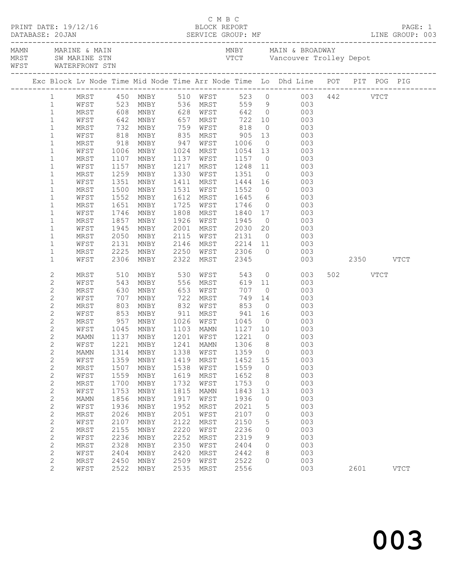| WFST WATERFRONT STN |                |      |            |                                |      |                      |                   |                |                                                                                                                         |               |          |             |
|---------------------|----------------|------|------------|--------------------------------|------|----------------------|-------------------|----------------|-------------------------------------------------------------------------------------------------------------------------|---------------|----------|-------------|
|                     |                |      |            |                                |      |                      |                   |                | Exc Block Lv Node Time Mid Node Time Arr Node Time Lo Dhd Line POT PIT POG PIG                                          |               |          |             |
|                     |                |      |            |                                |      |                      |                   |                | 1 MRST 450 MNBY 510 WFST 523 0 003 442 VTCT<br>1 WFST 523 MNBY 536 MRST 559 9 003<br>1 MRST 608 MNBY 628 WFST 642 0 003 |               |          |             |
|                     |                |      |            |                                |      |                      |                   |                |                                                                                                                         |               |          |             |
|                     |                |      |            |                                |      |                      |                   |                |                                                                                                                         |               |          |             |
|                     | $\mathbf{1}$   | WFST |            | 642 MNBY 657 MRST 722 10       |      |                      |                   |                | 003                                                                                                                     |               |          |             |
|                     | $\mathbf{1}$   | MRST | 732        | MNBY                           | 759  | WFST                 | 818               | $\overline{0}$ | 003                                                                                                                     |               |          |             |
|                     | $\mathbf{1}$   | WFST |            | MNBY                           |      |                      |                   |                | 003                                                                                                                     |               |          |             |
|                     | $\mathbf{1}$   | MRST | 818<br>918 | MNBY                           |      | 835 MRST<br>947 WFST | $905$<br>1006     |                | $\begin{array}{c} 13 \\ 0 \end{array}$<br>003                                                                           |               |          |             |
|                     | $\mathbf 1$    | WFST | 1006       | MNBY                           |      | 1024 MRST            | 1054              | 13             | 003                                                                                                                     |               |          |             |
|                     | $\mathbf{1}$   | MRST | 1107       | MNBY                           | 1137 | WFST                 | 1157              | $\overline{0}$ | 003                                                                                                                     |               |          |             |
|                     | $\mathbf{1}$   | WFST | 1157       | MNBY                           |      | 1217 MRST            |                   |                | 003                                                                                                                     |               |          |             |
|                     | $\mathbf{1}$   | MRST | 1157       | MNBY                           |      | 1330 WFST            | 1248 11<br>1351 0 |                | $\begin{bmatrix} 0 \\ 0 \end{bmatrix}$<br>003                                                                           |               |          |             |
|                     | $\mathbf{1}$   | WFST | 1351       | MNBY                           | 1411 | MRST                 | 1444 16           |                | 003                                                                                                                     |               |          |             |
|                     | $\mathbf{1}$   | MRST | 1500       | MNBY                           | 1531 | WFST                 | 1552              |                | $\overline{0}$<br>003                                                                                                   |               |          |             |
|                     | $\mathbf{1}$   | WFST | 1552       | MNBY                           |      | 1612 MRST            |                   |                | 003                                                                                                                     |               |          |             |
|                     | $\mathbf 1$    | MRST | 1651       | MNBY                           |      | 1725 WFST            | 1645<br>1746      |                | $\begin{array}{c} 6 \\ 0 \end{array}$<br>003                                                                            |               |          |             |
|                     | $\mathbf{1}$   | WFST | 1746       | MNBY                           |      | 1808 MRST            | 1840              |                | 17<br>003                                                                                                               |               |          |             |
|                     | $\mathbf{1}$   | MRST | 1857       | MNBY                           |      | 1926 WFST            | 1945              | $\overline{0}$ | 003                                                                                                                     |               |          |             |
|                     | $\mathbf{1}$   | WFST | 1945       | MNBY                           | 2001 | MRST                 | 2030              | 20             | 003                                                                                                                     |               |          |             |
|                     | $\mathbf{1}$   | MRST | 2050       | MNBY                           |      | 2115 WFST            | 2131              | $\overline{0}$ | 003                                                                                                                     |               |          |             |
|                     | $\mathbf{1}$   | WFST | 2131       | MNBY                           |      | 2146 MRST            | $2214$ 11         |                | 003                                                                                                                     |               |          |             |
|                     | $\mathbf{1}$   | MRST | 2225       | MNBY                           |      |                      | 2250 WFST 2306    |                | $\overline{0}$<br>003                                                                                                   |               |          |             |
|                     | $\mathbf 1$    | WFST | 2306       | MNBY                           |      | 2322 MRST            | 2345              |                |                                                                                                                         | 003 2350 VTCT |          |             |
|                     | $\sqrt{2}$     | MRST | 510        | MNBY                           |      | 530 WFST             | 543               |                | $\overline{0}$<br>003                                                                                                   |               | 502 VTCT |             |
|                     | $\mathbf{2}$   | WFST | 543        | MNBY                           |      | 556 MRST             | 619 11            |                | 003                                                                                                                     |               |          |             |
|                     | $\mathbf{2}$   | MRST | 630        | MNBY                           | 653  | WFST                 |                   | $\overline{0}$ | 003                                                                                                                     |               |          |             |
|                     | $\overline{c}$ | WFST | 707<br>803 | MNBY                           | 722  | MRST                 | 707<br>749<br>853 | 14             | 003                                                                                                                     |               |          |             |
|                     | $\sqrt{2}$     | MRST |            | MNBY                           | 832  | WFST                 |                   | $\overline{0}$ | 003                                                                                                                     |               |          |             |
|                     | $\mathbf{2}$   | WFST | 853        | MNBY                           | 911  | MRST                 | 941 16            |                | 003                                                                                                                     |               |          |             |
|                     | $\mathbf{2}$   | MRST | 957        | MNBY                           |      | 1026 WFST            | 1045              | $\overline{0}$ | 003                                                                                                                     |               |          |             |
|                     | $\mathbf{2}$   | WFST |            | 1045 MNBY<br>1137 MNBY         |      | 1103 MAMN            | 1127 10           |                | $\begin{array}{c} 003 \\ 003 \end{array}$                                                                               |               |          |             |
|                     | $\overline{c}$ | MAMN |            |                                |      | $1201$ WFST          | 1221              | $\bigcirc$     |                                                                                                                         |               |          |             |
|                     | $\overline{c}$ |      |            |                                |      |                      |                   |                | WFST 1221 MNBY 1241 MAMN 1306 8 003                                                                                     |               |          |             |
|                     | $\sqrt{2}$     | MAMN | 1314       | MNBY                           | 1338 | WFST                 | 1359              | $\circ$        | 003                                                                                                                     |               |          |             |
|                     | $\mathbf{2}$   | WFST | 1359       | MNBY                           | 1419 | MRST                 | 1452              | 15             | 003                                                                                                                     |               |          |             |
|                     | $\mathbf{2}$   | MRST | 1507       | MNBY                           | 1538 | WFST                 | 1559              | $\circ$        | 003                                                                                                                     |               |          |             |
|                     | $\mathbf{2}$   | WFST | 1559       | MNBY                           | 1619 | MRST                 | 1652              | 8              | 003                                                                                                                     |               |          |             |
|                     | $\mathbf{2}$   | MRST | 1700       | MNBY                           | 1732 | WFST                 | 1753              | $\circ$        | 003                                                                                                                     |               |          |             |
|                     | $\mathbf{2}$   | WFST | 1753       | MNBY                           | 1815 | MAMN                 | 1843              | 13             | 003                                                                                                                     |               |          |             |
|                     | $\sqrt{2}$     | MAMN | 1856       | $\operatorname{\texttt{MNBY}}$ | 1917 | WFST                 | 1936              | $\circ$        | 003                                                                                                                     |               |          |             |
|                     | $\mathbf{2}$   | WFST | 1936       | MNBY                           | 1952 | MRST                 | 2021              | 5              | 003                                                                                                                     |               |          |             |
|                     | $\sqrt{2}$     | MRST | 2026       | MNBY                           | 2051 | WFST                 | 2107              | 0              | 003                                                                                                                     |               |          |             |
|                     | $\mathbf{2}$   | WFST | 2107       | $\operatorname{\texttt{MNBY}}$ | 2122 | MRST                 | 2150              | 5              | 003                                                                                                                     |               |          |             |
|                     | $\mathbf{2}$   | MRST | 2155       | MNBY                           | 2220 | WFST                 | 2236              | 0              | 003                                                                                                                     |               |          |             |
|                     | $\mathbf{2}$   | WFST | 2236       | MNBY                           | 2252 | MRST                 | 2319              | 9              | 003                                                                                                                     |               |          |             |
|                     | $\mathbf{2}$   | MRST | 2328       | MNBY                           | 2350 | WFST                 | 2404              | $\circ$        | 003                                                                                                                     |               |          |             |
|                     | $\mathbf{2}$   | WFST | 2404       | MNBY                           | 2420 | MRST                 | 2442              | 8              | 003                                                                                                                     |               |          |             |
|                     | $\mathbf{2}$   | MRST | 2450       | MNBY                           | 2509 | WFST                 | 2522              | $\circ$        | 003                                                                                                                     |               |          |             |
|                     | $\overline{2}$ | WFST | 2522       | MNBY                           | 2535 | MRST                 | 2556              |                | 003                                                                                                                     |               | 2601     | <b>VTCT</b> |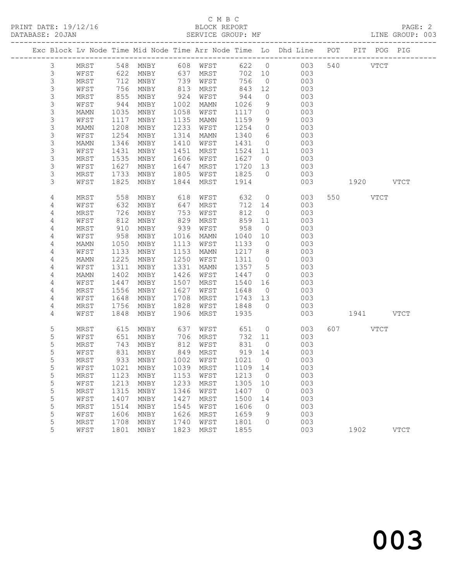# C M B C<br>BLOCK REPORT

LINE GROUP: 003

|             |      |      |                                        |      |      |        |                 | Exc Block Lv Node Time Mid Node Time Arr Node Time Lo Dhd Line POT | PIT                | POG PIG     |
|-------------|------|------|----------------------------------------|------|------|--------|-----------------|--------------------------------------------------------------------|--------------------|-------------|
| 3           | MRST |      | 548 MNBY 608 WFST<br>622 MNBY 637 MRST |      |      | 622 0  |                 | 003                                                                | 540<br><b>VTCT</b> |             |
| $\mathsf 3$ | WFST | 622  |                                        |      |      | 702 10 |                 | 003                                                                |                    |             |
| $\mathsf S$ | MRST | 712  | MNBY                                   | 739  | WFST | 756    | $\overline{0}$  | 003                                                                |                    |             |
| $\mathsf S$ | WFST | 756  | MNBY                                   | 813  | MRST | 843    | 12              | 003                                                                |                    |             |
| 3           | MRST | 855  | MNBY                                   | 924  | WFST | 944    | $\circ$         | 003                                                                |                    |             |
| $\mathsf S$ | WFST | 944  | MNBY                                   | 1002 | MAMN | 1026   | 9               | 003                                                                |                    |             |
| $\mathsf 3$ | MAMN | 1035 | MNBY                                   | 1058 | WFST | 1117   | $\circ$         | 003                                                                |                    |             |
| $\mathsf S$ | WFST | 1117 | MNBY                                   | 1135 | MAMN | 1159   | 9               | 003                                                                |                    |             |
| $\mathsf S$ | MAMN | 1208 | MNBY                                   | 1233 | WFST | 1254   | $\circ$         | 003                                                                |                    |             |
| $\mathsf S$ | WFST | 1254 | MNBY                                   | 1314 | MAMN | 1340   | $6\overline{6}$ | 003                                                                |                    |             |
| $\mathsf 3$ | MAMN | 1346 | MNBY                                   | 1410 | WFST | 1431   | $\overline{0}$  | 003                                                                |                    |             |
| 3           | WFST | 1431 | MNBY                                   | 1451 | MRST | 1524   | 11              | 003                                                                |                    |             |
| 3           | MRST | 1535 | MNBY                                   | 1606 | WFST | 1627   | $\overline{0}$  | 003                                                                |                    |             |
| 3           | WFST | 1627 | MNBY                                   | 1647 | MRST | 1720   | 13              | 003                                                                |                    |             |
| 3           | MRST | 1733 | MNBY                                   | 1805 | WFST | 1825   | $\overline{0}$  | 003                                                                |                    |             |
| 3           | WFST | 1825 | MNBY                                   | 1844 | MRST | 1914   |                 | 003                                                                | 1920 VTCT          |             |
| 4           | MRST | 558  | MNBY                                   | 618  | WFST | 632    | $\overline{0}$  | 003                                                                | 550 VTCT           |             |
| 4           | WFST | 632  | MNBY                                   | 647  | MRST | 712    | 14              | 003                                                                |                    |             |
| 4           | MRST | 726  | MNBY                                   | 753  | WFST | 812    | $\overline{0}$  | 003                                                                |                    |             |
| 4           | WFST | 812  | MNBY                                   | 829  | MRST | 859    | 11              | 003                                                                |                    |             |
| 4           | MRST | 910  | MNBY                                   | 939  | WFST | 958    | $\overline{0}$  | 003                                                                |                    |             |
| 4           | WFST | 958  | MNBY                                   | 1016 | MAMN | 1040   | 10              | 003                                                                |                    |             |
| 4           | MAMN | 1050 | MNBY                                   | 1113 | WFST | 1133   | $\overline{0}$  | 003                                                                |                    |             |
| 4           | WFST | 1133 | MNBY                                   | 1153 | MAMN | 1217   | 8 <sup>8</sup>  | 003                                                                |                    |             |
| 4           | MAMN | 1225 | MNBY                                   | 1250 | WFST | 1311   | $\overline{0}$  | 003                                                                |                    |             |
| 4           | WFST | 1311 | MNBY                                   | 1331 | MAMN | 1357   | $5\overline{)}$ | 003                                                                |                    |             |
| 4           | MAMN | 1402 | MNBY                                   | 1426 | WFST | 1447   | $\overline{0}$  | 003                                                                |                    |             |
| 4           | WFST | 1447 | MNBY                                   | 1507 | MRST | 1540   | 16              | 003                                                                |                    |             |
| 4           | MRST | 1556 | MNBY                                   | 1627 | WFST | 1648   | $\overline{0}$  | 003                                                                |                    |             |
| 4           | WFST | 1648 | MNBY                                   | 1708 | MRST | 1743   | 13              | 003                                                                |                    |             |
| 4           | MRST | 1756 | MNBY                                   | 1828 | WFST | 1848   | $\overline{0}$  | 003                                                                |                    |             |
| 4           | WFST | 1848 | MNBY                                   | 1906 | MRST | 1935   |                 | 003                                                                | 1941 VTCT          |             |
| 5           | MRST | 615  | MNBY                                   | 637  | WFST | 651    | $\overline{0}$  | 003                                                                | 607 VTCT           |             |
| 5           | WFST | 651  | MNBY                                   | 706  | MRST | 732    | 11              | 003                                                                |                    |             |
| 5           | MRST | 743  | MNBY                                   | 812  | WFST | 831    | $\overline{0}$  | 003                                                                |                    |             |
| 5           | WFST | 831  | MNBY                                   | 849  | MRST | 919    | 14              | 003                                                                |                    |             |
| 5           | MRST | 933  | MNBY                                   | 1002 | WFST | 1021   | $\overline{0}$  | 003                                                                |                    |             |
| 5           | WFST |      | 1021 MNBY 1039 MRST 1109 14            |      |      |        |                 | 003                                                                |                    |             |
| 5           | MRST | 1123 | MNBY                                   | 1153 | WFST | 1213   | $\overline{0}$  | 003                                                                |                    |             |
| 5           | WFST | 1213 | MNBY                                   | 1233 | MRST | 1305   | 10              | 003                                                                |                    |             |
| 5           | MRST | 1315 | MNBY                                   | 1346 | WFST | 1407   | $\overline{0}$  | 003                                                                |                    |             |
| 5           | WFST | 1407 | MNBY                                   | 1427 | MRST | 1500   | 14              | 003                                                                |                    |             |
| $\mathsf S$ | MRST | 1514 | $\operatorname{MNBY}$                  | 1545 | WFST | 1606   | $\circ$         | 003                                                                |                    |             |
| 5           | WFST | 1606 | MNBY                                   | 1626 | MRST | 1659   | 9               | 003                                                                |                    |             |
| 5           | MRST | 1708 | MNBY                                   | 1740 | WFST | 1801   | 0               | 003                                                                |                    |             |
| 5           | WFST | 1801 | MNBY                                   | 1823 | MRST | 1855   |                 | 003                                                                | 1902               | <b>VTCT</b> |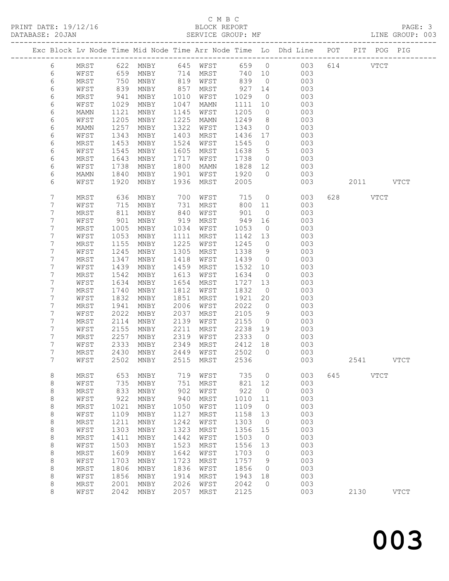## C M B C<br>BLOCK REPORT

| DATABASE: 20JAN |                |            |                   |                                |      | SERVICE GROUP: MF |         |                 |                                                                                |     |             | LINE GROUP: 003 |
|-----------------|----------------|------------|-------------------|--------------------------------|------|-------------------|---------|-----------------|--------------------------------------------------------------------------------|-----|-------------|-----------------|
|                 |                |            |                   |                                |      |                   |         |                 | Exc Block Lv Node Time Mid Node Time Arr Node Time Lo Dhd Line POT PIT POG PIG |     |             |                 |
|                 | 6              |            |                   |                                |      |                   |         |                 | MRST 622 MNBY 645 WFST 659 0 003 614 VTCT                                      |     |             |                 |
|                 | 6              | WFST       | 659               |                                |      | MNBY 714 MRST     |         |                 | 740 10<br>003                                                                  |     |             |                 |
|                 | 6              | MRST       | 750<br>839<br>941 | MNBY                           |      | 819 WFST          | 839     | $\overline{0}$  | 003                                                                            |     |             |                 |
|                 | 6              | WFST       |                   | MNBY                           | 857  | MRST              | 927     | 14              | 003                                                                            |     |             |                 |
|                 | 6              | MRST       |                   | MNBY                           | 1010 | WFST              | 1029    | $\overline{0}$  | 003                                                                            |     |             |                 |
|                 | 6              | WFST       | 1029              | MNBY                           | 1047 | MAMN              | 1111    | 10              | 003                                                                            |     |             |                 |
|                 | 6              | MAMN       | 1121              | MNBY                           | 1145 | WFST              | 1205    | $\overline{0}$  | 003                                                                            |     |             |                 |
|                 | 6              | WFST       | 1205              | MNBY                           | 1225 | MAMN              | 1249    | 8 <sup>8</sup>  | 003                                                                            |     |             |                 |
|                 | 6              | MAMN       | 1257              | MNBY                           | 1322 | WFST              | 1343    | $\overline{0}$  | 003                                                                            |     |             |                 |
|                 | 6              | WFST       | 1343              | MNBY                           | 1403 | MRST              | 1436 17 |                 | 003                                                                            |     |             |                 |
|                 | 6              | MRST       | 1453              | MNBY                           | 1524 | WFST              | 1545    | $\overline{0}$  | 003                                                                            |     |             |                 |
|                 | 6              | WFST       | 1545              | MNBY                           | 1605 | MRST              | 1638    | $5\overline{)}$ | 003                                                                            |     |             |                 |
|                 | 6              | MRST       | 1643              | MNBY                           | 1717 | WFST              | 1738    | $\overline{0}$  | 003                                                                            |     |             |                 |
|                 | 6              | WFST       | 1738              | MNBY                           | 1800 | MAMN              | 1828 12 |                 | 003                                                                            |     |             |                 |
|                 | 6              | MAMN       | 1840              | MNBY                           | 1901 | WFST              | 1920    | $\bigcirc$      | 003                                                                            |     |             |                 |
|                 | 6              | WFST       | 1920              | MNBY                           | 1936 | MRST              | 2005    |                 | 003                                                                            |     | 2011 VTCT   |                 |
|                 | 7              | MRST       | 636               | MNBY                           | 700  | WFST              | 715     | $\overline{0}$  | 003                                                                            |     | 628 VTCT    |                 |
|                 | 7              | WFST       | 715               | MNBY                           | 731  | MRST              | 800     | 11              | 003                                                                            |     |             |                 |
|                 | 7              | MRST       | 811<br>901        | MNBY                           | 840  | WFST              | 901     | $\overline{0}$  | 003                                                                            |     |             |                 |
|                 | $\overline{7}$ | WFST       |                   | MNBY                           | 919  | MRST              | 949     | 16              | 003                                                                            |     |             |                 |
|                 | 7              | MRST       | 1005              | MNBY                           | 1034 | WFST              | 1053    | $\overline{0}$  | 003                                                                            |     |             |                 |
|                 | 7              | WFST       | 1053              | MNBY                           | 1111 | MRST              | 1142    | 13              | 003                                                                            |     |             |                 |
|                 | 7              | MRST       | 1155              | MNBY                           | 1225 | WFST              | 1245    | $\overline{0}$  | 003                                                                            |     |             |                 |
|                 | 7              | WFST       | 1245              | MNBY                           | 1305 | MRST              | 1338    | 9               | 003                                                                            |     |             |                 |
|                 | 7              | MRST       | 1347              | MNBY                           | 1418 | WFST              | 1439    | $\overline{0}$  | 003                                                                            |     |             |                 |
|                 | 7              | WFST       | 1439              | MNBY                           | 1459 | MRST              | 1532    | 10              | 003                                                                            |     |             |                 |
|                 | 7              | MRST       | 1542              | MNBY                           | 1613 | WFST              | 1634    | $\overline{0}$  | 003                                                                            |     |             |                 |
|                 | 7              | WFST       | 1634              | MNBY                           | 1654 | MRST              | 1727    | 13              | 003                                                                            |     |             |                 |
|                 | 7              | MRST       | 1740              | MNBY                           | 1812 | WFST              | 1832    | $\overline{0}$  | 003                                                                            |     |             |                 |
|                 | 7              | WFST       | 1832              | MNBY                           | 1851 | MRST              | 1921    | 20              | 003                                                                            |     |             |                 |
|                 | 7              | MRST       | 1941              | MNBY                           | 2006 | WFST              | 2022    | $\overline{0}$  | 003                                                                            |     |             |                 |
|                 | 7              | WFST       | 2022              | MNBY                           | 2037 | MRST              | 2105    | 9               | 003                                                                            |     |             |                 |
|                 | 7              | MRST       | 2114              | MNBY                           | 2139 | WFST              | 2155    | $\overline{0}$  | 003                                                                            |     |             |                 |
|                 | 7              | WFST       | 2155              | MNBY                           | 2211 | MRST              | 2238    | 19              | 003                                                                            |     |             |                 |
|                 | 7              | MRST       | 2257              | MNBY                           | 2319 | WFST              | 2333    | $\overline{0}$  | 003                                                                            |     |             |                 |
|                 | 7              | WFST       | 2333              | MNBY                           | 2349 | MRST              | 2412 18 |                 | 003                                                                            |     |             |                 |
|                 | 7<br>7         | MRST       | 2430              | MNBY                           | 2449 | WFST              | 2502    | $\bigcirc$      | 003                                                                            |     |             |                 |
|                 |                |            |                   |                                |      |                   |         |                 | WFST 2502 MNBY 2515 MRST 2536 003                                              |     | 2541        | VTCT            |
|                 | 8              | MRST       | 653               | MNBY                           | 719  | WFST              | 735     | $\circ$         | 003                                                                            | 645 | <b>VTCT</b> |                 |
|                 | $\,8\,$        | WFST       | 735               | MNBY                           | 751  | MRST              | 821     | 12              | 003                                                                            |     |             |                 |
|                 | $\,8\,$        | MRST       | 833               | MNBY                           | 902  | WFST              | 922     | $\overline{0}$  | 003                                                                            |     |             |                 |
|                 | $\,8\,$        | WFST       | 922               | MNBY                           | 940  | MRST              | 1010    | 11              | 003                                                                            |     |             |                 |
|                 | $\,8\,$        | MRST       | 1021              | MNBY                           | 1050 | WFST              | 1109    | $\overline{0}$  | 003                                                                            |     |             |                 |
|                 | $\,8\,$        | WFST       | 1109              | MNBY                           | 1127 | MRST              | 1158    | 13              | 003                                                                            |     |             |                 |
|                 | 8              | MRST       | 1211              | MNBY                           | 1242 | WFST              | 1303    | $\overline{0}$  | 003                                                                            |     |             |                 |
|                 | $\,8\,$        | WFST       | 1303              | MNBY                           | 1323 | MRST              | 1356    | 15              | 003                                                                            |     |             |                 |
|                 | 8              | $\tt MRST$ | 1411              | $\operatorname{\mathsf{MNBY}}$ | 1442 | WFST              | 1503    | $\circ$         | 003                                                                            |     |             |                 |
|                 | $\,8\,$        | WFST       | 1503              | MNBY                           | 1523 | MRST              | 1556    | 13              | 003                                                                            |     |             |                 |
|                 | $\,8\,$        | $\tt MRST$ | 1609              | MNBY                           | 1642 | WFST              | 1703    | $\circ$         | 003                                                                            |     |             |                 |
|                 | $\,8\,$        | WFST       | 1703              | MNBY                           | 1723 | MRST              | 1757    | 9               | 003                                                                            |     |             |                 |
|                 | 8              | MRST       | 1806              | MNBY                           | 1836 | WFST              | 1856    | 0               | 003                                                                            |     |             |                 |
|                 | $\,8\,$        | WFST       | 1856              | MNBY                           | 1914 | MRST              | 1943    | 18              | 003                                                                            |     |             |                 |
|                 | 8              | MRST       | 2001              | MNBY                           | 2026 | WFST              | 2042    | 0               | 003                                                                            |     |             |                 |
|                 | 8              | WFST       | 2042              | MNBY                           | 2057 | MRST              | 2125    |                 | 003                                                                            |     | 2130        | <b>VTCT</b>     |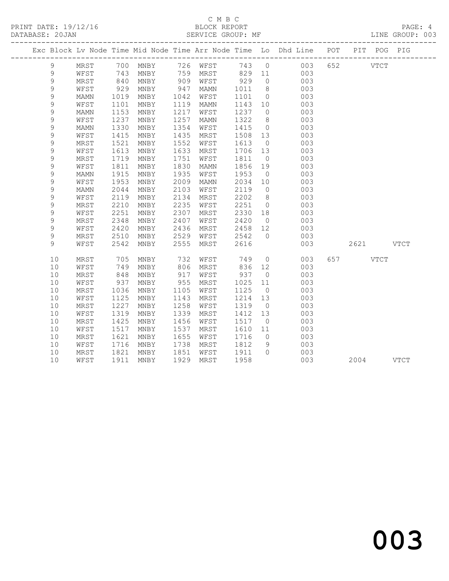#### C M B C<br>BLOCK REPORT SERVICE GROUP: MF

|             |             |              |      |            |          |         |                | Exc Block Lv Node Time Mid Node Time Arr Node Time Lo Dhd Line POT PIT POG PIG |           |  |
|-------------|-------------|--------------|------|------------|----------|---------|----------------|--------------------------------------------------------------------------------|-----------|--|
| 9           |             |              |      |            |          |         |                | MRST 700 MNBY 726 WFST 743 0 003<br>WFST 743 MNBY 759 MRST 829 11 003          | 652 VTCT  |  |
| $\mathsf 9$ |             |              |      |            |          |         |                | 003                                                                            |           |  |
| $\mathsf 9$ | MRST        | 840          | MNBY |            | 909 WFST | 929     | $\overline{0}$ | 003                                                                            |           |  |
| $\mathsf 9$ | WFST        | 929          | MNBY | 947        | MAMN     | 1011    | 8 <sup>8</sup> | 003                                                                            |           |  |
| $\mathsf 9$ | MAMN        | 1019         | MNBY | 1042       | WFST     | 1101    | $\overline{0}$ | 003                                                                            |           |  |
| $\mathsf 9$ | WFST        | 1101         | MNBY | 1119       | MAMN     | 1143 10 |                | 003                                                                            |           |  |
| $\mathsf 9$ | <b>MAMN</b> | 1153         | MNBY | 1217       | WFST     | 1237 0  |                | 003                                                                            |           |  |
| $\mathsf 9$ | WFST        | 1237         | MNBY | 1257       | MAMN     | 1322    | 8 <sup>8</sup> | 003                                                                            |           |  |
| $\mathsf 9$ | MAMN        | 1330         | MNBY | 1354       | WFST     | 1415    | $\overline{0}$ | 003                                                                            |           |  |
| $\mathsf 9$ | WFST        | 1415         | MNBY | 1435       | MRST     | 1508 13 |                | 003                                                                            |           |  |
| $\mathsf 9$ | MRST        | 1521         | MNBY | 1552       | WFST     | 1613    | $\overline{0}$ | 003                                                                            |           |  |
| 9           | WFST        | 1613         | MNBY | 1633       | MRST     | 1706 13 |                | 003                                                                            |           |  |
| $\mathsf 9$ | MRST        | 1719         | MNBY | 1751       | WFST     | 1811    | $\overline{0}$ | 003                                                                            |           |  |
| $\mathsf 9$ | WFST        | 1811         | MNBY | 1830       | MAMN     | 1856    | 19             | 003                                                                            |           |  |
| $\mathsf 9$ | MAMN        | 1915         | MNBY | 1935       | WFST     | 1953    | $\overline{0}$ | 003                                                                            |           |  |
| $\mathsf 9$ | WFST        | 1953         | MNBY | 2009       | MAMN     | 2034 10 |                | 003                                                                            |           |  |
| 9           | MAMN        | 2044         | MNBY | 2103       | WFST     | 2119    | $\overline{0}$ | 003                                                                            |           |  |
| $\mathsf 9$ | WFST        | 2119         | MNBY | 2134       | MRST     | 2202    | 8 <sup>8</sup> | 003                                                                            |           |  |
| $\mathsf 9$ | MRST        | 2210         | MNBY | 2235       | WFST     | 2251    | $\overline{0}$ | 003                                                                            |           |  |
| $\mathsf 9$ | WFST        | 2251         | MNBY | 2307       | MRST     | 2330 18 |                | 003                                                                            |           |  |
| $\mathsf 9$ | MRST        | 2348         | MNBY | 2407       | WFST     | 2420    | $\overline{0}$ | 003                                                                            |           |  |
| $\mathsf 9$ | WFST        | 2420         | MNBY | 2436       | MRST     | 2458 12 |                | 003                                                                            |           |  |
| $\mathsf 9$ | MRST        | 2510         | MNBY | 2529       | WFST     | 2542    | $\bigcap$      | 003                                                                            |           |  |
| 9           | WFST        | 2542         | MNBY | 2555       | MRST     | 2616    |                | 003                                                                            | 2621 VTCT |  |
| 10          | MRST        | 705          | MNBY | 732        | WFST     | 749     |                | 003<br>$\overline{0}$                                                          | 657 VTCT  |  |
| 10          | WFST        | 749          | MNBY | 806        | MRST     | 836 12  |                | 003                                                                            |           |  |
| 10          | MRST        | 848<br>937   | MNBY | 917<br>955 | WFST     | 937 0   |                | 003                                                                            |           |  |
| 10          | WFST        |              | MNBY |            | MRST     | 1025    | 11             | 003                                                                            |           |  |
| 10          | MRST        | 1036         | MNBY | 1105       | WFST     | 1125    | $\overline{0}$ | 003                                                                            |           |  |
| 10          | WFST        | 1125         | MNBY | 1143       | MRST     | 1214 13 |                | 003                                                                            |           |  |
| 10          | MRST        | 1227         | MNBY | 1258       | WFST     | 1319    | $\overline{0}$ | 003                                                                            |           |  |
| 10          | WFST        | 1319         | MNBY | 1339       | MRST     | 1412 13 |                | 003                                                                            |           |  |
| 10          | MRST        | 1425         | MNBY | 1456       | WFST     | 1517    | $\overline{0}$ | 003                                                                            |           |  |
| 10          | WFST        | 1517         | MNBY | 1537       | MRST     | 1610    | 11             | 003                                                                            |           |  |
| 10          | MRST        | 1621         | MNBY | 1655       | WFST     | 1716    | $\overline{0}$ | 003                                                                            |           |  |
| 10          | WFST        | 1716         | MNBY | 1738       | MRST     | 1812    | 9              | 003                                                                            |           |  |
| 10          | MRST        | 1821<br>1911 | MNBY | 1851       | WFST     | 1911 0  |                | 003                                                                            |           |  |
| 10          | WFST        | 1911         | MNBY | 1929       | MRST     | 1958    |                | 003                                                                            | 2004 VTCT |  |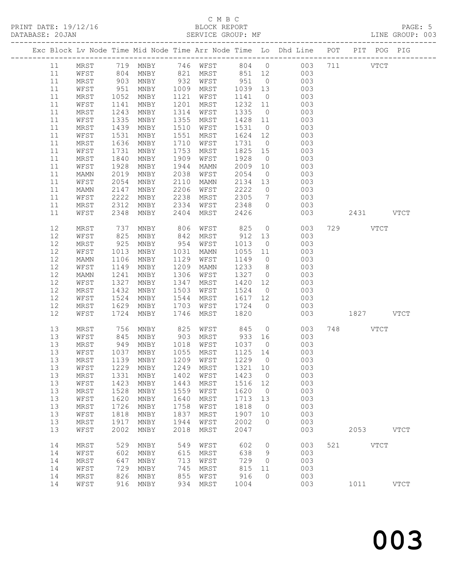# C M B C<br>BLOCK REPORT

LINE GROUP: 003

|    |    |      |              |      |      |                                  |         |                 | Exc Block Lv Node Time Mid Node Time Arr Node Time Lo Dhd Line POT                    |           | PIT POG PIG |
|----|----|------|--------------|------|------|----------------------------------|---------|-----------------|---------------------------------------------------------------------------------------|-----------|-------------|
|    | 11 |      |              |      |      |                                  |         |                 |                                                                                       |           |             |
|    | 11 |      |              |      |      |                                  |         |                 | MRST 719 MNBY 746 WFST 804 0 003 711 VTCT<br>WFST 804 MNBY 821 MRST 851 12 003<br>003 |           |             |
|    | 11 | MRST | 903          | MNBY |      | 932 WFST                         | 951     |                 | $\overline{0}$<br>003                                                                 |           |             |
|    | 11 | WFST | 951          | MNBY | 1009 | MRST                             | 1039    | 13              | 003                                                                                   |           |             |
|    | 11 | MRST | 1052         | MNBY | 1121 | WFST                             | 1141    | $\overline{0}$  | 003                                                                                   |           |             |
|    | 11 | WFST | 1141         | MNBY | 1201 | MRST                             | 1232    | 11              | 003                                                                                   |           |             |
| 11 |    | MRST | 1243         | MNBY | 1314 | WFST                             | 1335    | $\overline{0}$  | 003                                                                                   |           |             |
| 11 |    | WFST | 1335         | MNBY | 1355 | MRST                             | 1428    | 11              | 003                                                                                   |           |             |
| 11 |    | MRST | 1439         | MNBY | 1510 | WFST                             | 1531    | $\overline{0}$  | 003                                                                                   |           |             |
|    | 11 | WFST | 1531         | MNBY | 1551 | MRST                             | 1624 12 |                 | 003                                                                                   |           |             |
|    | 11 | MRST | 1636         | MNBY | 1710 | WFST                             | 1731    | $\overline{0}$  | 003                                                                                   |           |             |
|    | 11 | WFST | 1731         | MNBY | 1753 | MRST                             | 1825    | 15              | 003                                                                                   |           |             |
| 11 |    | MRST | 1840         | MNBY | 1909 | WFST                             | 1928    | $\overline{0}$  | 003                                                                                   |           |             |
|    | 11 | WFST | 1928         | MNBY | 1944 | MAMN                             | 2009    | 10              | 003                                                                                   |           |             |
|    | 11 | MAMN | 2019         | MNBY | 2038 | WFST                             | 2054    | $\overline{0}$  | 003                                                                                   |           |             |
|    | 11 | WFST | 2054         | MNBY | 2110 | MAMN                             | 2134    | 13              | 003                                                                                   |           |             |
| 11 |    | MAMN | 2147         | MNBY | 2206 | WFST                             | 2222    | $\overline{0}$  | 003                                                                                   |           |             |
|    | 11 | WFST | 2222         | MNBY | 2238 | MRST                             | 2305    | $7\overline{ }$ | 003                                                                                   |           |             |
| 11 |    | MRST | 2312         | MNBY | 2334 | WFST                             | 2348    | $\overline{0}$  | 003                                                                                   |           |             |
|    | 11 | WFST | 2348         | MNBY | 2404 | MRST                             | 2426    |                 | 003                                                                                   | 2431 VTCT |             |
| 12 |    | MRST | 737          | MNBY | 806  | WFST                             | 825     |                 | $\overline{O}$<br>003                                                                 | 729 VTCT  |             |
|    | 12 | WFST | 825          | MNBY | 842  | MRST                             | 912     | 13              | 003                                                                                   |           |             |
| 12 |    | MRST | 925          | MNBY | 954  | WFST                             | 1013    | $\overline{0}$  | 003                                                                                   |           |             |
| 12 |    | WFST | 1013         | MNBY | 1031 | MAMN                             | 1055    | 11              | 003                                                                                   |           |             |
| 12 |    | MAMN | 1106         | MNBY | 1129 | WFST                             | 1149    | $\overline{0}$  | 003                                                                                   |           |             |
| 12 |    | WFST | 1149         | MNBY | 1209 | MAMN                             | 1233    | 8 <sup>8</sup>  | 003                                                                                   |           |             |
| 12 |    | MAMN | 1241         | MNBY | 1306 | WFST                             | 1327    | $\overline{0}$  | 003                                                                                   |           |             |
| 12 |    | WFST | 1327         | MNBY | 1347 | MRST                             | 1420    | 12              | 003                                                                                   |           |             |
| 12 |    | MRST | 1432         | MNBY | 1503 | WFST                             | 1524    | $\overline{0}$  | 003                                                                                   |           |             |
| 12 |    | WFST | 1524         | MNBY | 1544 | MRST                             | 1617    | 12              | 003                                                                                   |           |             |
| 12 |    | MRST | 1629         | MNBY | 1703 | WFST                             | 1724    | $\overline{0}$  | 003                                                                                   |           |             |
| 12 |    | WFST | 1724         | MNBY | 1746 | MRST                             | 1820    |                 | 003                                                                                   | 1827 VTCT |             |
| 13 |    | MRST | 756          | MNBY | 825  | WFST 845                         |         |                 | $\overline{0}$<br>003                                                                 | 748 VTCT  |             |
|    | 13 | WFST | 845          | MNBY | 903  | MRST                             | 933 16  |                 | 003                                                                                   |           |             |
| 13 |    | MRST | 949          | MNBY | 1018 | WFST                             | 1037    | $\overline{0}$  | 003                                                                                   |           |             |
|    | 13 | WFST |              | MNBY | 1055 | MRST                             | 1125 14 |                 | 003                                                                                   |           |             |
|    | 13 | MRST | 1037<br>1139 | MNBY | 1209 | WFST                             | 1229 0  |                 | 003                                                                                   |           |             |
|    | 13 |      |              |      |      | WFST 1229 MNBY 1249 MRST 1321 10 |         |                 | 003                                                                                   |           |             |
| 13 |    | MRST | 1331         | MNBY | 1402 | WFST                             | 1423    | $\overline{0}$  | 003                                                                                   |           |             |
|    | 13 | WFST | 1423         | MNBY | 1443 | MRST                             | 1516    | 12              | 003                                                                                   |           |             |
| 13 |    | MRST | 1528         | MNBY | 1559 | WFST                             | 1620    | $\overline{0}$  | 003                                                                                   |           |             |
| 13 |    | WFST | 1620         | MNBY | 1640 | MRST                             | 1713    | 13              | 003                                                                                   |           |             |
| 13 |    | MRST | 1726         | MNBY | 1758 | WFST                             | 1818    | $\overline{0}$  | 003                                                                                   |           |             |
| 13 |    | WFST | 1818         | MNBY | 1837 | MRST                             | 1907    | 10              | 003                                                                                   |           |             |
| 13 |    | MRST | 1917         | MNBY | 1944 | WFST                             | 2002    | $\overline{0}$  | 003                                                                                   |           |             |
| 13 |    | WFST | 2002         | MNBY | 2018 | MRST                             | 2047    |                 | 003                                                                                   | 2053 VTCT |             |
| 14 |    | MRST | 529          | MNBY | 549  | WFST                             | 602     | $\overline{0}$  | 003                                                                                   | 521 VTCT  |             |
| 14 |    | WFST | 602          | MNBY | 615  | MRST                             | 638     | 9               | 003                                                                                   |           |             |
| 14 |    | MRST | 647          | MNBY | 713  | WFST                             | 729     | $\overline{0}$  | 003                                                                                   |           |             |
| 14 |    | WFST | 729          | MNBY | 745  | MRST                             | 815     | 11              | 003                                                                                   |           |             |
| 14 |    | MRST | 826          | MNBY | 855  | WFST                             | 916     | $\Omega$        | 003                                                                                   |           |             |
| 14 |    | WFST | 916          | MNBY | 934  | MRST                             | 1004    |                 | 003                                                                                   | 1011      | <b>VTCT</b> |
|    |    |      |              |      |      |                                  |         |                 |                                                                                       |           |             |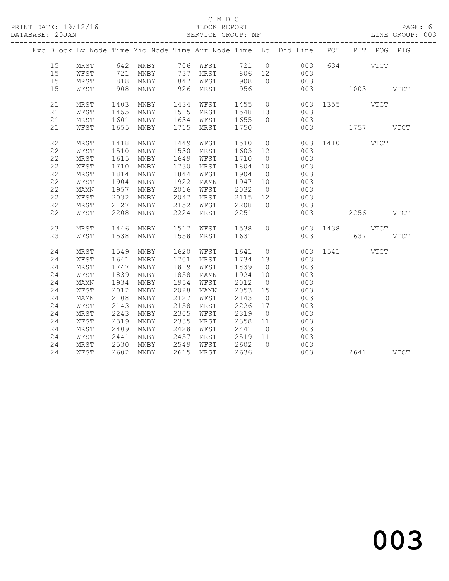#### C M B C<br>BLOCK REPORT SERVICE GROUP: MF

|    |      |                      |                                                                                             |      |                                            |              |                | Exc Block Lv Node Time Mid Node Time Arr Node Time Lo Dhd Line POT PIT POG PIG |     |               |  |
|----|------|----------------------|---------------------------------------------------------------------------------------------|------|--------------------------------------------|--------------|----------------|--------------------------------------------------------------------------------|-----|---------------|--|
| 15 |      |                      |                                                                                             |      |                                            |              |                | MRST 642 MNBY 706 WFST 721 0 003                                               |     | 634 VTCT      |  |
| 15 | WFST |                      | 721 MNBY      737   MRST        806   12<br>818   MNBY        847    WFST         908     0 |      |                                            |              |                | $\begin{array}{c} 003 \\ 003 \end{array}$                                      |     |               |  |
| 15 | MRST |                      |                                                                                             |      |                                            |              |                |                                                                                |     |               |  |
| 15 | WFST |                      | 908 MNBY                                                                                    |      | 926 MRST 956                               |              |                | 003                                                                            |     | 1003 VTCT     |  |
| 21 | MRST |                      | 1403 MNBY                                                                                   |      | 1434 WFST                                  |              |                |                                                                                |     |               |  |
| 21 | WFST |                      | MNBY                                                                                        |      |                                            |              |                | 1455 0 003 1355 VTCT                                                           |     |               |  |
| 21 | MRST | 1455<br>1601<br>1601 | MNBY                                                                                        |      | 1515 MRST 1548 13<br>1634 WFST 1655 0      |              |                | 003<br>003                                                                     |     |               |  |
| 21 | WFST |                      | 1655 MNBY                                                                                   |      | 1715 MRST                                  | 1750         |                |                                                                                |     | 003 1757 VTCT |  |
|    |      |                      |                                                                                             |      |                                            |              |                |                                                                                |     |               |  |
| 22 | MRST | 1418                 | MNBY                                                                                        |      | 1449 WFST                                  |              |                | 1510 0                                                                         |     | 003 1410 VTCT |  |
| 22 | WFST | 1510                 | MNBY                                                                                        |      | 1530 MRST                                  | 1603 12      |                | 003                                                                            |     |               |  |
| 22 | MRST | 1615                 | MNBY                                                                                        | 1649 | WFST                                       | 1710 0       |                | 003                                                                            |     |               |  |
| 22 | WFST | 1710                 | MNBY                                                                                        | 1730 | MRST                                       | 1804 10      |                | 003                                                                            |     |               |  |
| 22 | MRST | 1814                 | MNBY                                                                                        | 1844 | WFST                                       | 1904         | $\overline{0}$ | 003                                                                            |     |               |  |
| 22 | WFST | 1904                 | MNBY                                                                                        | 1922 | MAMN                                       | 1947 10      |                | 003                                                                            |     |               |  |
| 22 | MAMN | 1957                 | MNBY                                                                                        | 2016 | WFST                                       | 2032         | $\overline{0}$ | 003                                                                            |     |               |  |
| 22 | WFST | 2032                 | MNBY                                                                                        | 2047 | MRST                                       | 2115 12      |                | 003                                                                            |     |               |  |
| 22 | MRST | 2127                 | MNBY                                                                                        | 2152 | WFST                                       | 2115<br>2208 | $\bigcirc$     | 003                                                                            |     |               |  |
| 22 | WFST | 2208                 | MNBY                                                                                        | 2224 | MRST                                       | 2251         |                | 003                                                                            |     | 2256 VTCT     |  |
|    |      |                      |                                                                                             |      |                                            |              |                |                                                                                |     |               |  |
| 23 | MRST | 1446                 | MNBY 1517                                                                                   |      | WFST 1538                                  |              | $\overline{0}$ |                                                                                |     | 003 1438 VTCT |  |
| 23 | WFST |                      | 1538 MNBY                                                                                   |      | 1558 MRST                                  | 1631         |                |                                                                                | 003 | 1637 VTCT     |  |
| 24 | MRST |                      | 1549 MNBY                                                                                   |      | 1620 WFST 1641 0                           |              |                |                                                                                |     | 003 1541 VTCT |  |
| 24 | WFST | 1641                 | MNBY                                                                                        |      | 1701 MRST                                  | 1734 13      |                | 003                                                                            |     |               |  |
| 24 | MRST | 1747                 | MNBY                                                                                        | 1819 | WFST                                       | 1839         | $\overline{0}$ | 003                                                                            |     |               |  |
| 24 | WFST | 1839                 | MNBY                                                                                        | 1858 | MAMN                                       | 1924 10      |                | 003                                                                            |     |               |  |
| 24 | MAMN | 1934                 | MNBY                                                                                        | 1954 | WFST                                       | 2012         | $\overline{0}$ | 003                                                                            |     |               |  |
| 24 | WFST | 2012                 | MNBY                                                                                        | 2028 | MAMN                                       | 2053 15      |                | 003                                                                            |     |               |  |
| 24 | MAMN | 2108                 | MNBY                                                                                        | 2127 | WFST                                       | 2143         | $\overline{0}$ | 003                                                                            |     |               |  |
| 24 | WFST | 2143                 | MNBY                                                                                        | 2158 | MRST                                       | 2226 17      |                | 003                                                                            |     |               |  |
| 24 | MRST | 2243                 | MNBY                                                                                        | 2305 | WFST                                       | 2319         | $\overline{0}$ | 003                                                                            |     |               |  |
| 24 | WFST | 2319                 | MNBY                                                                                        | 2335 | MRST                                       | 2358 11      |                | 003                                                                            |     |               |  |
| 24 | MRST | 2409                 | MNBY                                                                                        | 2428 |                                            |              |                | 003                                                                            |     |               |  |
| 24 | WFST | 2441                 | MNBY                                                                                        | 2457 |                                            |              |                | 003                                                                            |     |               |  |
| 24 | MRST | 2530                 | MNBY                                                                                        | 2549 | WFST 2441 0<br>MRST 2519 11<br>WFST 2602 0 |              |                | 003                                                                            |     |               |  |
| 24 | WFST |                      | 2602 MNBY                                                                                   |      | 2615 MRST                                  | 2636         |                | 003                                                                            |     | 2641 VTCT     |  |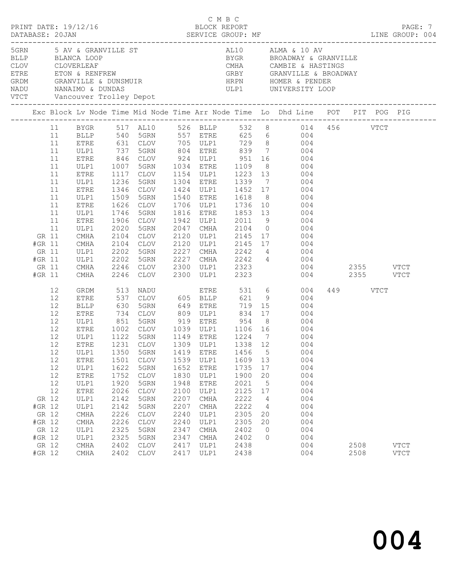|              |                                                                                    |                                                                                  |                                                                                                                                                                                             |                                                                                                                                                                                                        |                                                                                                                                                                                                                        |                                                                                                                      |                                                                                                                                                                                                                                                         |                                                                                                                                                |                                                                                                                         |                                                                                                                                                                                                                                                                                               |                                           | PAGE: 7                    |
|--------------|------------------------------------------------------------------------------------|----------------------------------------------------------------------------------|---------------------------------------------------------------------------------------------------------------------------------------------------------------------------------------------|--------------------------------------------------------------------------------------------------------------------------------------------------------------------------------------------------------|------------------------------------------------------------------------------------------------------------------------------------------------------------------------------------------------------------------------|----------------------------------------------------------------------------------------------------------------------|---------------------------------------------------------------------------------------------------------------------------------------------------------------------------------------------------------------------------------------------------------|------------------------------------------------------------------------------------------------------------------------------------------------|-------------------------------------------------------------------------------------------------------------------------|-----------------------------------------------------------------------------------------------------------------------------------------------------------------------------------------------------------------------------------------------------------------------------------------------|-------------------------------------------|----------------------------|
| NADU<br>VTCT |                                                                                    |                                                                                  | 5GRN 5 AV & GRANVILLE ST                                                                                                                                                                    |                                                                                                                                                                                                        | NANAIMO & DUNDAS                                                                                                                                                                                                       |                                                                                                                      |                                                                                                                                                                                                                                                         |                                                                                                                                                |                                                                                                                         | AL10 ALMA & 10 AV<br>ELLP BLANCA LOOP<br>CLOV CLOVERLEAF CLOVER COVER COVER COVER CLOVER CLOVER CLOVER CLOVER COVER COVER COVER COVER CALL CALL CAMBIE & HASTINGS<br>ETRE ETON & RENFREW GRANVILLE & BROADWAY<br>GRANVILLE & COVER CRANVILLE & CONSMUIR<br><br>ULP1 UNIVERSITY LOOP           |                                           |                            |
|              |                                                                                    |                                                                                  |                                                                                                                                                                                             |                                                                                                                                                                                                        |                                                                                                                                                                                                                        |                                                                                                                      |                                                                                                                                                                                                                                                         |                                                                                                                                                |                                                                                                                         |                                                                                                                                                                                                                                                                                               |                                           |                            |
|              | GR 11<br>#GR 11<br>GR 11<br>#GR 11<br>GR 11                                        | 11<br>11<br>11<br>11<br>11<br>11<br>11<br>11<br>11<br>11<br>11<br>11<br>11<br>11 | ULP1<br>ETRE<br>ULP1<br>ETRE<br>ULP1<br>ETRE<br>ULP1<br>ETRE<br>ULP1<br>ETRE<br>ULP1<br>CMHA<br>CMHA<br>ULP1<br>ULP1<br>CMHA                                                                | 737<br>846<br>1007<br>1117<br>1236<br>1346<br>1509<br>1626<br>1746<br>1906<br>2020<br>2104<br>2104<br>2202<br>2202<br>2246<br>2246                                                                     | 5GRN<br>CLOV<br>5GRN<br>CLOV<br>5GRN<br>CLOV<br>5GRN<br>CLOV<br>5GRN<br>CLOV<br>5GRN<br>CLOV<br>CLOV<br>5GRN<br>5GRN<br>CLOV                                                                                           | 1942<br>2047<br>2120<br>2120<br>2227<br>2227<br>2300                                                                 | 924 ULP1 951<br>1034 ETRE 1109 8<br>1154 ULP1 1223 13<br>1034 ETRE<br>1304 ETRE<br>1424 ULP1<br>1540 ETRE<br>1706 ULP1 1736 10<br>1816 ETRE<br>ULP1<br>CMHA<br>ULP1<br>ULP1<br>CMHA<br>CMHA<br>ULP1                                                     | 1339 7<br>1452 17<br>1618 8<br>2011 9<br>2104 0<br>2145 17<br>2323                                                                             |                                                                                                                         | BYGR 517 AL10 526 BLLP 532 8 014 456 VTCT<br>BLLP 540 5GRN 557 ETRE 625 6 004<br>ETRE 631 CLOV 705 ULP1 729 8 004<br>804 ETRE 839 7 004<br>16 004<br>$004$<br>$004$<br>004<br>004<br>004<br>004<br>1853 13 004<br>004<br>004<br>004<br>2145 17<br>004<br>2242 4<br>004<br>$2242$ 4 004<br>004 | 2355 VTCT                                 |                            |
|              | #GR 11<br>GR 12<br>#GR 12<br>GR 12<br>#GR 12<br>GR 12<br>#GR 12<br>GR 12<br>#GR 12 | 12<br>12<br>12<br>12<br>12<br>12<br>12<br>12<br>12<br>12<br>12<br>12<br>12       | CMHA<br>GRDM<br><b>ETRE</b><br>BLLP<br>ETRE<br>ULP1<br>ETRE<br>ULP1<br>ULP1<br>ETRE<br>ULP1<br>${\tt ETRE}$<br>ULP1<br>ETRE<br>ULP1<br>ULP1<br>CMHA<br>CMHA<br>ULP1<br>ULP1<br>CMHA<br>CMHA | 2246<br>513<br>537<br>630<br>734<br>$\begin{array}{c} 851 \\ 1002 \\ 1122 \end{array}$<br>1350<br>1501<br>1622<br>1752<br>1920<br>2026<br>2142<br>2142<br>2226<br>2226<br>2325<br>2325<br>2402<br>2402 | CLOV<br>NADU<br>CLOV<br>5GRN<br>CLOV<br>5GRN<br>CLOV<br>5GRN<br>5GRN<br>CLOV<br>5GRN<br><b>CLOV</b><br>5GRN<br><b>CLOV</b><br>5GRN<br>5GRN<br><b>CLOV</b><br><b>CLOV</b><br>5GRN<br>5GRN<br><b>CLOV</b><br><b>CLOV</b> | 2300<br>1419<br>1539<br>1652<br>1830<br>1948<br>2100<br>2207<br>2207<br>2240<br>2240<br>2347<br>2347<br>2417<br>2417 | ULP1<br>ETRE<br>605 BLLP<br>649 ETRE<br>809 ULP1 834 17<br>919 ETRE<br>1039 ULP1 1106 16<br>1149 ETRE 1224 7<br>1149 ETRE<br>ETRE<br>ULP1<br>ETRE<br>ULP1<br>ETRE<br>ULP1<br><b>CMHA</b><br><b>CMHA</b><br>ULP1<br>ULP1<br>CMHA<br>CMHA<br>ULP1<br>ULP1 | 2323<br>621 9<br>719 15<br>954<br>1456<br>1609<br>1735<br>1900<br>2021<br>2125<br>2222<br>2222<br>2305<br>2305<br>2402<br>2402<br>2438<br>2438 | 8 <sup>8</sup><br>5<br>13<br>17<br>20<br>5<br>17<br>$\overline{4}$<br>$\overline{4}$<br>20<br>20<br>$\overline{0}$<br>0 | 004<br>531 6<br>004<br>004<br>004<br>004<br>004<br>004<br>004<br>12 ETRE 1231 CLOV 1309 ULP1 1338 12 004<br>004<br>004<br>004<br>004<br>004<br>004<br>004<br>004<br>004<br>004<br>004<br>004<br>004<br>004                                                                                    | $2355$ $VTCT$<br>449 VTCT<br>2508<br>2508 | <b>VTCT</b><br><b>VTCT</b> |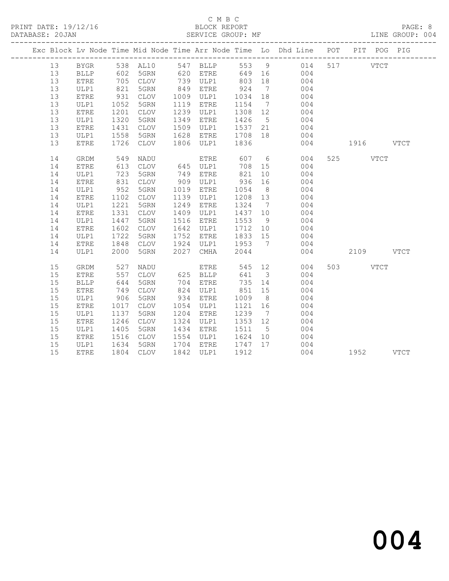#### C M B C<br>BLOCK REPORT SERVICE GROUP: MF

|    |             |              |           |      |                        |                                                            |                | Exc Block Lv Node Time Mid Node Time Arr Node Time Lo Dhd Line POT PIT POG PIG              |     |               |  |
|----|-------------|--------------|-----------|------|------------------------|------------------------------------------------------------|----------------|---------------------------------------------------------------------------------------------|-----|---------------|--|
| 13 |             |              |           |      |                        |                                                            |                | BYGR 538 AL10 547 BLLP 553 9 014 517 VTCT                                                   |     |               |  |
| 13 | BLLP        |              |           |      |                        |                                                            |                |                                                                                             |     |               |  |
| 13 | <b>ETRE</b> |              |           |      |                        |                                                            |                | 602 5GRN 620 ETRE 649 16 004<br>705 CLOV 739 ULP1 803 18 004<br>821 5GRN 849 ETRE 924 7 004 |     |               |  |
| 13 | ULP1        |              |           |      | 849 ETRE               |                                                            |                |                                                                                             |     |               |  |
| 13 | ETRE        | 931          |           |      | CLOV 1009 ULP1 1034 18 |                                                            |                | 004                                                                                         |     |               |  |
| 13 | ULP1        | 1052         | 5GRN      |      | 1119 ETRE              |                                                            |                | 1154 7 004                                                                                  |     |               |  |
| 13 | ETRE        | 1201<br>1320 | CLOV      |      | 1239 ULP1              |                                                            |                | 1308  12  004<br>1426  5  004<br>1537  21  004                                              |     |               |  |
| 13 | ULP1        |              | 5GRN      |      | 1349 ETRE              |                                                            |                |                                                                                             |     |               |  |
| 13 | ETRE        | 1431         | CLOV      |      | 1509 ULP1              |                                                            |                |                                                                                             |     |               |  |
| 13 | ULP1        | 1558         | 5GRN      |      | 1628 ETRE              | 1708 18                                                    |                | 004                                                                                         |     |               |  |
| 13 | <b>ETRE</b> | 1726         | CLOV      |      | 1806 ULP1              | 1836                                                       |                |                                                                                             |     | 004 1916 VTCT |  |
| 14 | GRDM        |              |           |      |                        |                                                            |                |                                                                                             |     | 525 VTCT      |  |
| 14 | ETRE        |              |           |      |                        | $\begin{array}{c}\n708 \\ 15\n\end{array}$                 |                |                                                                                             |     |               |  |
| 14 | ULP1        | 723          | 5GRN      | 749  | <b>ETRE</b>            | 821                                                        |                | 10 004                                                                                      |     |               |  |
| 14 | ETRE        | 831          | CLOV      |      | 909 ULP1               | 936 16                                                     |                | 004                                                                                         |     |               |  |
| 14 | ULP1        | 952          | 5GRN      |      | 1019 ETRE              | 1054                                                       | 8 <sup>8</sup> | 004                                                                                         |     |               |  |
| 14 | ETRE        | 1102         | CLOV      |      | 1139 ULP1              | 1208 13                                                    |                | 004                                                                                         |     |               |  |
| 14 | ULP1        | 1221<br>1331 | 5GRN      |      | 1249 ETRE              | 1324 7                                                     |                | $004$<br>$004$                                                                              |     |               |  |
| 14 | ETRE        |              | CLOV      |      | 1409 ULP1              | $\begin{bmatrix} 1 & 3 & 7 \\ 1 & 4 & 3 & 7 \end{bmatrix}$ |                |                                                                                             |     |               |  |
| 14 | ULP1        | 1447         | 5GRN      |      | 1516 ETRE              |                                                            |                | $1553 \t 9 \t 004$                                                                          |     |               |  |
| 14 | ETRE        | 1602         | CLOV      | 1642 | ULP1                   |                                                            |                | 1712 10 004                                                                                 |     |               |  |
| 14 | ULP1        | 1722         | 5GRN      |      | 1752 ETRE              | 1833 15                                                    |                | 004                                                                                         |     |               |  |
| 14 | ETRE        | 1848         | CLOV      |      | 1924 ULP1              |                                                            |                | 1953 7 004                                                                                  |     |               |  |
| 14 | ULP1        | 2000         | 5GRN      |      | 2027 CMHA              | 2044                                                       |                |                                                                                             | 004 | 2109 VTCT     |  |
| 15 | GRDM        | 527          | NADU      |      | <b>ETRE</b>            |                                                            |                | 545 12<br>004                                                                               |     | 503 VTCT      |  |
| 15 | ETRE        | 557          | CLOV      |      | 625 BLLP               |                                                            |                | 641 3<br>004                                                                                |     |               |  |
| 15 | <b>BLLP</b> | 644          | 5GRN      |      | 704 ETRE               |                                                            |                | 735 14 004                                                                                  |     |               |  |
| 15 | <b>ETRE</b> | 749          | CLOV      |      | 824 ULP1               | 851                                                        | 15             | 004                                                                                         |     |               |  |
| 15 | ULP1        | 906          | 5GRN      |      | 934 ETRE               | 1009                                                       | 8 <sup>8</sup> | 004                                                                                         |     |               |  |
| 15 | ETRE        | 1017         | CLOV      |      | 1054 ULP1              | 1121 16                                                    |                | $\frac{1}{004}$                                                                             |     |               |  |
| 15 | ULP1        | 1137         | 5GRN      |      | 1204 ETRE              | 1239                                                       | $\overline{7}$ | 004                                                                                         |     |               |  |
| 15 | <b>ETRE</b> | 1246         | CLOV      |      | 1324 ULP1              | 1353 12                                                    |                | 004                                                                                         |     |               |  |
| 15 | ULP1        | 1405         | 5GRN      |      | 1434 ETRE              | 1511 5                                                     |                | 004                                                                                         |     |               |  |
| 15 | ETRE        |              | CLOV      |      | 1554 ULP1              | 1624 10                                                    |                | 004                                                                                         |     |               |  |
| 15 | ULP1        | 1516<br>1634 | 5GRN      |      | 1704 ETRE              | $1747$ 17                                                  |                |                                                                                             |     |               |  |
| 15 | <b>ETRE</b> |              | 1804 CLOV |      | 1842 ULP1              | 1912                                                       |                | $\begin{array}{c} 004 \\ 004 \end{array}$                                                   |     | 1952 VTCT     |  |
|    |             |              |           |      |                        |                                                            |                |                                                                                             |     |               |  |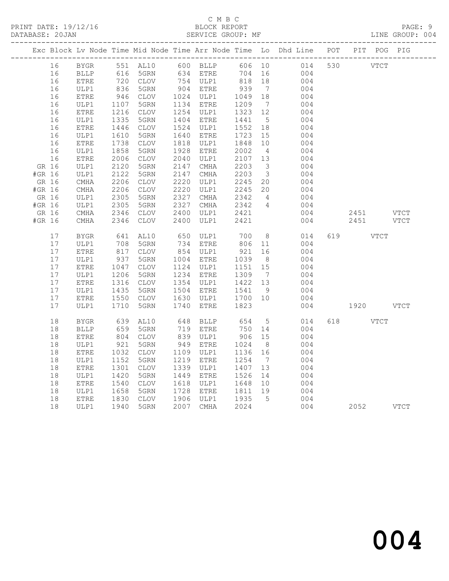## C M B C<br>BLOCK REPORT

LINE GROUP: 004

|        |          |              |                                                                                                          |                         |      |                        |                 |                              | Exc Block Lv Node Time Mid Node Time Arr Node Time Lo Dhd Line POT PIT POG PIG |     |             |             |
|--------|----------|--------------|----------------------------------------------------------------------------------------------------------|-------------------------|------|------------------------|-----------------|------------------------------|--------------------------------------------------------------------------------|-----|-------------|-------------|
|        | 16       | BYGR         |                                                                                                          | 551<br>616 5GRN<br>210V |      |                        | 606 10          |                              | 014                                                                            | 530 | <b>VTCT</b> |             |
|        | 16       | <b>BLLP</b>  |                                                                                                          |                         |      |                        | 704             | 16                           | 004                                                                            |     |             |             |
|        | 16       | <b>ETRE</b>  | $\frac{72}{836}$                                                                                         | 720 CLOV                |      | 754 ULP1<br>904 ETRE   | 818             | 18                           | 004                                                                            |     |             |             |
|        | 16       | ULP1         |                                                                                                          | 5GRN                    |      |                        | 939             | $7\phantom{.0}\phantom{.0}7$ | 004                                                                            |     |             |             |
|        | 16       | ETRE         | 946                                                                                                      | CLOV                    |      | 1024 ULP1              | 1049            | 18                           | 004                                                                            |     |             |             |
|        | 16       | ULP1         | 1107<br>1216                                                                                             | 5GRN                    |      | 1134 ETRE              | 1209            | $7\phantom{.0}\phantom{.0}7$ | 004                                                                            |     |             |             |
|        | 16       | ETRE         |                                                                                                          | CLOV                    |      | 1254 ULP1              | 1323 12         |                              | 004                                                                            |     |             |             |
|        | 16       | ULP1         | 1335                                                                                                     | 5GRN                    |      | 1404 ETRE              | 1441            | $5\overline{)}$              | 004                                                                            |     |             |             |
|        | 16       | ETRE         | 1446                                                                                                     | CLOV                    | 1524 | ULP1                   | 1552            | 18                           | 004                                                                            |     |             |             |
|        | 16       | ULP1         | 1610                                                                                                     | 5GRN                    | 1640 | ETRE                   | 1723            | 15                           | 004                                                                            |     |             |             |
|        | 16       | ${\tt ETRE}$ | 1738                                                                                                     | CLOV                    |      | 1818 ULP1              | 1848            | 10                           | 004                                                                            |     |             |             |
|        | 16<br>16 | ULP1         | 1858<br>2006                                                                                             | 5GRN<br>CLOV            |      | 1928 ETRE<br>2040 ULP1 | 2002<br>2107 13 | $\overline{4}$               | 004<br>004                                                                     |     |             |             |
|        |          | ${\tt ETRE}$ | 2120                                                                                                     | 5GRN                    | 2147 |                        | 2203            | $\overline{\mathbf{3}}$      | 004                                                                            |     |             |             |
| #GR 16 | GR 16    | ULP1<br>ULP1 | 2122                                                                                                     | 5GRN                    | 2147 | CMHA<br>CMHA           | 2203            | $\overline{\mathbf{3}}$      | 004                                                                            |     |             |             |
| GR 16  |          | CMHA         | 2206                                                                                                     | CLOV                    | 2220 | ULP1                   | 2245            | 20                           | 004                                                                            |     |             |             |
| #GR 16 |          | CMHA         | 2206                                                                                                     | CLOV                    | 2220 | ULP1                   | 2245            | 20                           | 004                                                                            |     |             |             |
| GR 16  |          | ULP1         | 2305                                                                                                     | 5GRN                    | 2327 | CMHA                   | 2342            | $\overline{4}$               | 004                                                                            |     |             |             |
| #GR 16 |          | ULP1         | 2305                                                                                                     | 5GRN                    | 2327 | CMHA                   | 2342            | $\overline{4}$               | 004                                                                            |     |             |             |
|        | GR 16    | CMHA         | 2346                                                                                                     | CLOV                    | 2400 | ULP1                   | 2421            |                              | 004                                                                            |     | 2451        | VTCT        |
| #GR 16 |          | $\rm CMHz$   | 2346                                                                                                     | $\mathtt{CLOV}$         | 2400 | ULP1                   | 2421            |                              | 004                                                                            |     | 2451        | <b>VTCT</b> |
|        |          |              |                                                                                                          |                         |      |                        |                 |                              |                                                                                |     |             |             |
|        | 17       | BYGR         | 641                                                                                                      | AL10                    | 650  | ULP1                   | 700             | 8 <sup>8</sup>               | 014                                                                            | 619 | <b>VTCT</b> |             |
|        | 17       | ULP1         | 708                                                                                                      | 5GRN                    |      | 734 ETRE               | 806             | 11                           | 004                                                                            |     |             |             |
|        | 17       | <b>ETRE</b>  | $\begin{array}{c} \n \overline{\phantom{0}}\\ \n 817 \\ \n \overline{\phantom{0}}\\ \n 37\n \end{array}$ | CLOV                    |      | 854 ULP1               | 921             | 16                           | 004                                                                            |     |             |             |
|        | 17       | ULP1         | 937<br>1047                                                                                              | 5GRN                    |      | 1004 ETRE              | 1039            | 8 <sup>8</sup>               | 004                                                                            |     |             |             |
|        | 17       | ETRE         |                                                                                                          | CLOV                    |      | 1124 ULP1              | 1151            | 15                           | 004                                                                            |     |             |             |
|        | 17       | ULP1         | 1206<br>1316                                                                                             | 5GRN                    |      | 1234 ETRE              | 1309            | $\overline{7}$               | 004                                                                            |     |             |             |
|        | 17       | ${\tt ETRE}$ |                                                                                                          | CLOV                    |      | 1354 ULP1              | 1422 13         |                              | 004                                                                            |     |             |             |
|        | 17       | ULP1         | 1435                                                                                                     | 5GRN                    |      | 1504 ETRE              | 1541            | 9                            | 004                                                                            |     |             |             |
|        | 17       | ETRE         | 1550                                                                                                     | CLOV                    |      | 1630 ULP1              | 1700 10         |                              | 004                                                                            |     |             |             |
|        | 17       | ULP1         | 1710                                                                                                     | 5GRN                    | 1740 | ETRE                   | 1823            |                              | 004                                                                            |     | 1920 VTCT   |             |
|        | 18       | <b>BYGR</b>  | 639                                                                                                      | AL10                    |      | 648 BLLP               | 654             | $5\overline{)}$              | 014                                                                            | 618 | <b>VTCT</b> |             |
|        | 18       | <b>BLLP</b>  | 659                                                                                                      | 5GRN                    |      |                        | 750             | 14                           | 004                                                                            |     |             |             |
|        | 18       | ETRE         | $804$                                                                                                    | CLOV                    |      | 719 ETRE<br>839 ULP1   | 906             | 15                           | 004                                                                            |     |             |             |
|        | 18       | ULP1         | 921                                                                                                      | 5GRN                    | 949  | ETRE                   | 1024            | 8 <sup>8</sup>               | 004                                                                            |     |             |             |
|        | 18       | ETRE         | 1032                                                                                                     | CLOV                    |      | 1109 ULP1              | 1136            | 16                           | 004                                                                            |     |             |             |
|        | 18       | ULP1         | 1152                                                                                                     | 5GRN                    |      | 1219 ETRE              | 1254            | $7\phantom{.0}\phantom{.0}7$ | 004                                                                            |     |             |             |
|        | 18       | ${\tt ETRE}$ | 1301                                                                                                     | CLOV                    | 1339 | ULP1                   | 1407            | 13                           | 004                                                                            |     |             |             |
|        | 18       | ULP1         | 1420                                                                                                     | 5GRN                    | 1449 | ETRE                   | 1526            | 14                           | 004                                                                            |     |             |             |
|        | 18       | ETRE         | 1540                                                                                                     | CLOV                    | 1618 | ULP1                   | 1648            | 10                           | 004                                                                            |     |             |             |
|        | 18       | ULP1         | 1658                                                                                                     | 5GRN                    |      | 1728 ETRE              | 1811 19         |                              | 004                                                                            |     |             |             |
|        | 18       | ETRE         |                                                                                                          | CLOV                    |      | 1906 ULP1              | 1935            | $5^{\circ}$                  | 004                                                                            |     |             |             |
|        | 18       | ULP1         | 1830<br>1940                                                                                             | 5GRN                    |      | 2007 CMHA              | 2024            |                              | 004                                                                            |     | 2052        | <b>VTCT</b> |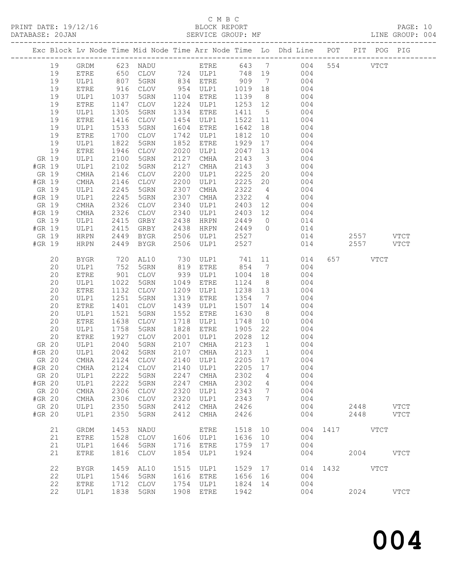PRINT DATE: 19/12/16<br>DATABASE: 20JAN

# C M B C<br>BLOCK REPORT<br>SERVICE GROUP: MF

|        |       |              |                  |                |              |              |              |                | Exc Block Lv Node Time Mid Node Time Arr Node Time Lo Dhd Line POT PIT POG PIG        |               |             |      |             |  |
|--------|-------|--------------|------------------|----------------|--------------|--------------|--------------|----------------|---------------------------------------------------------------------------------------|---------------|-------------|------|-------------|--|
|        | 19    |              |                  |                |              |              |              |                | GRDM 623 NADU ETRE 643 7 004 554 VTCT                                                 |               |             |      |             |  |
|        | 19    | ETRE         |                  |                |              |              |              |                | 650 CLOV 724 ULP1 748 19 004                                                          |               |             |      |             |  |
|        | 19    | ULP1         | 807              | 5GRN 834 ETRE  |              |              |              |                | 909 7 004                                                                             |               |             |      |             |  |
|        | 19    | ETRE         | 916<br>1037      |                |              |              |              |                | CLOV 954 ULP1 1019 18 004<br>5GRN 1104 ETRE 1139 8 004                                |               |             |      |             |  |
|        | 19    | ULP1         |                  |                |              |              |              |                |                                                                                       |               |             |      |             |  |
|        | 19    | ETRE         | 1147             | CLOV           |              | 1224 ULP1    |              |                | $1253$ $12$ 004                                                                       |               |             |      |             |  |
|        | 19    | ULP1         | 1305             | 5GRN           | 1334         | ETRE         |              |                | 1411 5 004                                                                            |               |             |      |             |  |
|        | 19    | ETRE         | 1416             | CLOV           | 1454         | ULP1         |              |                | 1522 11 004                                                                           |               |             |      |             |  |
|        | 19    | ULP1         | 1533             | 5GRN           | 1604         | ETRE         |              |                | $\begin{array}{cccc} 1642 & 18 & & 004 \\ 1812 & 10 & & 004 \end{array}$              |               |             |      |             |  |
|        | 19    | ETRE         | 1700             | CLOV           | 1742         | ULP1         |              |                |                                                                                       |               |             |      |             |  |
|        | 19    | ULP1         | 1822             | 5GRN           | 1852         | ETRE         |              |                | 1929 17 004                                                                           |               |             |      |             |  |
|        | 19    | ETRE         | 1946             | CLOV           | 2020         | ULP1         |              |                | 2047 13 004                                                                           |               |             |      |             |  |
|        | GR 19 | ULP1         | 2100             | 5GRN           | 2127         | CMHA         | 2143         |                | $\begin{array}{ccc} 3 & 004 \\ 3 & 004 \end{array}$                                   |               |             |      |             |  |
| #GR 19 |       | ULP1         | 2102             | 5GRN           | 2127         | CMHA         | 2143         |                | 2225 20 004                                                                           |               |             |      |             |  |
|        | GR 19 | CMHA         | 2146             | CLOV           | 2200         | ULP1         |              |                |                                                                                       |               |             |      |             |  |
| #GR 19 | GR 19 | CMHA         | 2146             | CLOV<br>5GRN   | 2200<br>2307 | ULP1         | 2225<br>2322 |                | 20 004                                                                                |               |             |      |             |  |
| #GR 19 |       | ULP1<br>ULP1 | $2245$<br>$2245$ | 5GRN           | 2307         | CMHA<br>CMHA | 2322         |                | $\begin{array}{ccc} 4 & 004 \\ 4 & 004 \end{array}$                                   |               |             |      |             |  |
|        | GR 19 | CMHA         | 2326             | CLOV           | 2340         | ULP1         |              |                | 2403 12 004                                                                           |               |             |      |             |  |
| #GR 19 |       | CMHA         | 2326             | CLOV           | 2340         | ULP1         |              |                | 2403 12 004                                                                           |               |             |      |             |  |
|        | GR 19 | ULP1         |                  | GRBY           | 2438         | HRPN         |              |                |                                                                                       |               |             |      |             |  |
| #GR 19 |       | ULP1         | 2415<br>2415     | GRBY           | 2438         | HRPN         | 2449 0       |                | 2449 0 014<br>2449 0 014                                                              |               |             |      |             |  |
|        | GR 19 | HRPN         | 2449             | BYGR           |              | 2506 ULP1    |              |                | $2527$ $014$ $2557$ VTCT                                                              |               |             |      |             |  |
| #GR 19 |       | HRPN         | 2449             | BYGR           | 2506         | ULP1         | 2527         |                |                                                                                       | 014 2557 VTCT |             |      |             |  |
|        |       |              |                  |                |              |              |              |                |                                                                                       |               |             |      |             |  |
|        | 20    | BYGR         | 720              |                |              |              |              |                | AL10 730 ULP1 741 11 014                                                              |               | 657 VTCT    |      |             |  |
|        | 20    | ULP1         | 752              | 5GRN           |              | 819 ETRE     |              |                | 854 7 004                                                                             |               |             |      |             |  |
|        | 20    | <b>ETRE</b>  | 901              | CLOV 939 ULP1  |              |              |              |                | 1004 18 004                                                                           |               |             |      |             |  |
|        | 20    | ULP1         | 1022             | 5GRN           | 1049         | ETRE         |              |                |                                                                                       |               |             |      |             |  |
|        | 20    | ETRE         | 1132             | CLOV           | 1209         | ULP1         |              |                | $\begin{array}{cccc} 1124 & 8 & 004 \\ 1238 & 13 & 004 \\ 1354 & 7 & 004 \end{array}$ |               |             |      |             |  |
|        | 20    | ULP1         | 1251             | 5GRN           | 1319         | ETRE         |              |                |                                                                                       |               |             |      |             |  |
|        | 20    | ETRE         | 1401             | CLOV           | 1439         | ULP1         |              |                | 1507 14 004                                                                           |               |             |      |             |  |
|        | 20    | ULP1         | 1521             | 5GRN           | 1552         | ETRE         | 1630         |                | 8 004                                                                                 |               |             |      |             |  |
|        | 20    | ETRE         | 1638             | CLOV           | 1718         | ULP1         |              |                | 1748 10 004<br>1905 22 004                                                            |               |             |      |             |  |
|        | 20    | ULP1         | 1758             | 5GRN           |              | 1828 ETRE    |              |                |                                                                                       |               |             |      |             |  |
|        | 20    | <b>ETRE</b>  | 1927             | CLOV 2001 ULP1 |              |              | 2028 12      |                | 004                                                                                   |               |             |      |             |  |
|        | GR 20 | ULP1         | 2040             | 5GRN           |              | 2107 CMHA    | 2123         | $\overline{1}$ | 004                                                                                   |               |             |      |             |  |
|        |       |              |                  |                |              |              |              |                | 004                                                                                   |               |             |      |             |  |
|        | GR 20 | CMHA         | 2124             | <b>CLOV</b>    | 2140         | ULP1         | 2205         | 17             | 004                                                                                   |               |             |      |             |  |
| #GR 20 |       | <b>CMHA</b>  | 2124             | <b>CLOV</b>    | 2140         | ULP1         | 2205         | 17             | 004                                                                                   |               |             |      |             |  |
|        | GR 20 | ULP1         | 2222             | 5GRN           | 2247         | <b>CMHA</b>  | 2302         | 4              | 004                                                                                   |               |             |      |             |  |
| #GR 20 |       | ULP1         | 2222             | 5GRN           | 2247         | <b>CMHA</b>  | 2302         | 4              | 004                                                                                   |               |             |      |             |  |
|        | GR 20 | CMHA         | 2306             | <b>CLOV</b>    | 2320         | ULP1         | 2343         | 7              | 004                                                                                   |               |             |      |             |  |
| #GR 20 |       | CMHA         | 2306             | <b>CLOV</b>    | 2320         | ULP1         | 2343         | 7              | 004                                                                                   |               |             |      |             |  |
|        | GR 20 | ULP1         | 2350             | 5GRN           | 2412         | CMHA         | 2426         |                | 004                                                                                   |               | 2448        |      | <b>VTCT</b> |  |
| #GR 20 |       | ULP1         | 2350             | 5GRN           | 2412         | CMHA         | 2426         |                | 004                                                                                   |               | 2448        |      | <b>VTCT</b> |  |
|        | 21    | GRDM         | 1453             | NADU           |              | <b>ETRE</b>  | 1518         | 10             | 004                                                                                   | 1417          |             | VTCT |             |  |
|        | 21    | ETRE         | 1528             | <b>CLOV</b>    | 1606         | ULP1         | 1636         | 10             | 004                                                                                   |               |             |      |             |  |
|        | 21    | ULP1         | 1646             | 5GRN           | 1716         | <b>ETRE</b>  | 1759         | 17             | 004                                                                                   |               |             |      |             |  |
|        | 21    | ETRE         | 1816             | <b>CLOV</b>    | 1854         | ULP1         | 1924         |                | 004                                                                                   |               | 2004        |      | <b>VTCT</b> |  |
|        |       |              |                  |                |              |              |              |                |                                                                                       |               |             |      |             |  |
|        | 22    | <b>BYGR</b>  | 1459             | AL10           | 1515         | ULP1         | 1529         | 17             | 014                                                                                   | 1432          | <b>VTCT</b> |      |             |  |
|        | 22    | ULP1         | 1546             | 5GRN           | 1616         | ETRE         | 1656         | 16             | 004                                                                                   |               |             |      |             |  |
|        | 22    | ${\tt ETRE}$ | 1712             | <b>CLOV</b>    | 1754         | ULP1         | 1824         | 14             | 004                                                                                   |               |             |      |             |  |
|        | 22    | ULP1         | 1838             | 5GRN           | 1908         | <b>ETRE</b>  | 1942         |                | 004                                                                                   |               | 2024        |      | <b>VTCT</b> |  |
|        |       |              |                  |                |              |              |              |                |                                                                                       |               |             |      |             |  |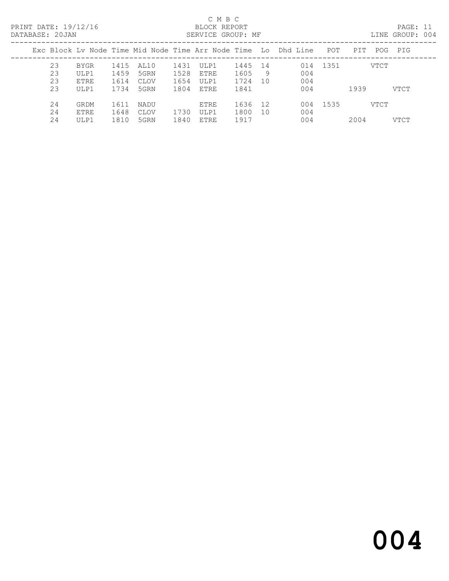PRINT DATE: 19/12/16 BLOCK REPORT<br>DATABASE: 20JAN BATABASE: 20JAN

### C M B C<br>BLOCK REPORT

PAGE: 11<br>LINE GROUP: 004

| <u>DIIILIDINDI . LUUIIN</u> |    |      |      |      |      | 001\\tell 01\001 . 111 |         |    |                                                                |          |      |      | DIND CROOL. 001 |
|-----------------------------|----|------|------|------|------|------------------------|---------|----|----------------------------------------------------------------|----------|------|------|-----------------|
|                             |    |      |      |      |      |                        |         |    | Exc Block Ly Node Time Mid Node Time Arr Node Time Lo Dhd Line | POT      | PIT  | POG  | PIG             |
|                             | 23 | BYGR | 1415 | AL10 | 1431 | ULP1                   | 1445 14 |    |                                                                | 014 1351 |      | VTCT |                 |
|                             | 23 | ULP1 | 1459 | 5GRN | 1528 | ETRE                   | 1605    | 9  | 004                                                            |          |      |      |                 |
|                             | 23 | ETRE | 1614 | CLOV | 1654 | ULP1                   | 1724    | 10 | 004                                                            |          |      |      |                 |
|                             | 23 | ULP1 | 1734 | 5GRN | 1804 | ETRE                   | 1841    |    | 004                                                            |          | 1939 |      | VTCT            |
|                             | 24 | GRDM | 1611 | NADU |      | <b>ETRE</b>            | 1636    | 12 | 004                                                            | 1535     |      | VTCT |                 |
|                             | 24 | ETRE | 1648 | CLOV | 1730 | ULP1                   | 1800    | 10 | 004                                                            |          |      |      |                 |
|                             | 24 | ULP1 | 1810 | 5GRN | 1840 | ETRE                   | 1917    |    | 004                                                            |          | 2004 |      | VTCT            |
|                             |    |      |      |      |      |                        |         |    |                                                                |          |      |      |                 |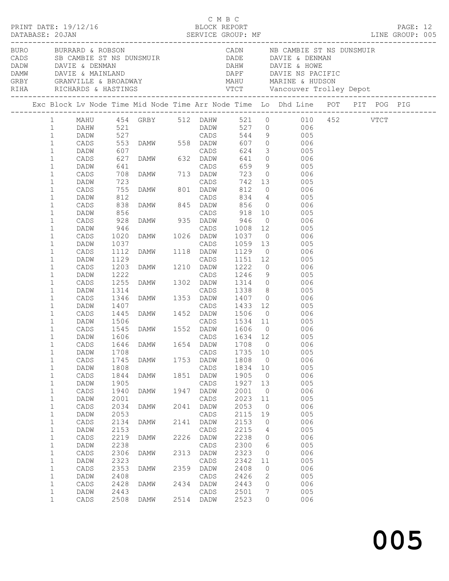|  |                                              | PRINT DATE: 19/12/16            |                           |                                                                                                   |              | C M B C<br>BLOCK REPORT |                      |                                        |                                                                                                                                                                                                                                                  |  | PAGE: 12 |  |
|--|----------------------------------------------|---------------------------------|---------------------------|---------------------------------------------------------------------------------------------------|--------------|-------------------------|----------------------|----------------------------------------|--------------------------------------------------------------------------------------------------------------------------------------------------------------------------------------------------------------------------------------------------|--|----------|--|
|  |                                              | BURO BURRARD & ROBSON           |                           |                                                                                                   |              |                         |                      |                                        | CADN NB CAMBIE ST NS DUNSMUIR<br>CADS SB CAMBIE ST NS DUNSMUIR<br>DADE DAVIE & DENMAN<br>DADW DAVIE & DENMAN<br>DAMW DAVIE & MAINLAND<br>CRBY GRANVILLE & BROADWAY MAHU MARINE & HUDSON<br>RIHA RICHARDS & HASTINGS VTCT Vancouver Trolley Depot |  |          |  |
|  |                                              |                                 |                           |                                                                                                   |              |                         |                      |                                        | Exc Block Lv Node Time Mid Node Time Arr Node Time Lo Dhd Line POT PIT POG PIG                                                                                                                                                                   |  |          |  |
|  | $1 \quad \blacksquare$                       |                                 |                           |                                                                                                   |              |                         |                      |                                        | 1 MAHU 454 GRBY 512 DAHW 521 0 010 452 VTCT                                                                                                                                                                                                      |  |          |  |
|  | $\mathbf{1}$<br>$\mathbf{1}$<br>$\mathbf{1}$ |                                 |                           |                                                                                                   |              |                         |                      |                                        |                                                                                                                                                                                                                                                  |  |          |  |
|  | $\mathbf{1}$<br>$\mathbf{1}$                 | DADW                            |                           |                                                                                                   |              |                         |                      |                                        | 659 9 005<br>723 0 006                                                                                                                                                                                                                           |  |          |  |
|  | $\mathbf 1$<br>$\mathbf 1$<br>$\mathbf 1$    | CADS<br>DADW<br>CADS            |                           | 641   CADS<br>708   DAMW   713   DADW<br>723   CADS                                               |              | CADS                    |                      |                                        | 742 13 005                                                                                                                                                                                                                                       |  |          |  |
|  | $\mathbf 1$<br>$\mathbf 1$<br>$\mathbf 1$    | DADW<br>CADS<br>DADW            |                           | 755 DAMW 801 DADW<br>812 CADS<br>838 DAMW 845 DADW<br>856 CADS                                    |              |                         |                      |                                        | CADS 834 4 005<br>DAMW 845 DADW 856 0 006<br>CADS 918 10 006                                                                                                                                                                                     |  |          |  |
|  | $\mathbf 1$<br>$\mathbf 1$                   | CADS<br>DADW                    | 928                       | DAMW 935 DADW                                                                                     |              |                         | 946                  |                                        | $0$ 006                                                                                                                                                                                                                                          |  |          |  |
|  | $\mathbf 1$<br>$\mathbf 1$<br>$\mathbf 1$    | CADS<br>DADW<br>CADS            | $946$<br>$1020$<br>$1037$ |                                                                                                   |              |                         |                      |                                        | 946 CADS 1008 12 005<br>1020 DAMW 1026 DADW 1037 0 006<br>1037 CADS 1059 13 005<br>1112 DAMW 1118 DADW 1129 0 006                                                                                                                                |  |          |  |
|  | $\mathbf 1$<br>$\mathbf 1$<br>$\mathbf 1$    | DADW<br>CADS<br>DADW            | 1129<br>1203<br>1222      |                                                                                                   |              |                         |                      |                                        | CADS 1151 12 005<br>DAMW 1210 DADW 1222 0 006<br>CADS 1246 9 005<br>DAMW 1302 DADW 1314 0 006                                                                                                                                                    |  |          |  |
|  | $\mathbf 1$<br>$\mathbf 1$                   | CADS<br>DADW                    | 1255                      |                                                                                                   |              |                         |                      |                                        | 1338 8 005                                                                                                                                                                                                                                       |  |          |  |
|  | $\mathbf 1$<br>$\mathbf 1$<br>$\mathbf 1$    | CADS<br>DADW<br>CADS            |                           | 1314 CADS 1338 8<br>1346 DAMW 1353 DADW 1407 0<br>1407 CADS 1433 12<br>1445 DAMW 1452 DADW 1506 0 |              |                         |                      |                                        | 006<br>$1433$ $12$ 005<br>$0$ 006                                                                                                                                                                                                                |  |          |  |
|  | $\mathbf{1}$<br>$\mathbf 1$                  | DADW<br>CADS                    | 1506<br>1545<br>1606      |                                                                                                   |              |                         |                      |                                        | CADS 1534 11 005<br>DAMW 1552 DADW 1606 0 006<br>CADS 1634 12 005                                                                                                                                                                                |  |          |  |
|  | $\mathbf{1}$<br>$\mathbf{1}$<br>$\mathbf 1$  | DADW<br>DADW                    | 1708                      |                                                                                                   |              | CADS                    | 1735                 | 10                                     | CADS 1646 DAMW 1654 DADW 1708 0 006<br>005                                                                                                                                                                                                       |  |          |  |
|  | $\mathbf 1$<br>$1\,$<br>$\mathbf 1$          | $\mathtt{CADS}$<br>DADW<br>CADS | 1745<br>1808<br>1844      | DAMW<br>DAMW                                                                                      | 1753<br>1851 | DADW<br>CADS<br>DADW    | 1808<br>1834<br>1905 | $\overline{0}$<br>10<br>$\overline{0}$ | 006<br>005<br>006                                                                                                                                                                                                                                |  |          |  |
|  | $\mathbf 1$<br>$\mathbf 1$                   | DADW<br>$\mathtt{CADS}$         | 1905<br>1940              | <b>DAMW</b>                                                                                       | 1947         | CADS<br>DADW            | 1927<br>2001         | 13<br>$\overline{0}$                   | 005<br>006                                                                                                                                                                                                                                       |  |          |  |
|  | $1\,$<br>$\mathbf 1$<br>$1\,$                | DADW<br>$\mathtt{CADS}$<br>DADW | 2001<br>2034<br>2053      | DAMW                                                                                              | 2041         | CADS<br>DADW<br>CADS    | 2023<br>2053<br>2115 | 11<br>$\overline{0}$<br>19             | 005<br>006<br>005                                                                                                                                                                                                                                |  |          |  |
|  | $\mathbf 1$<br>$1\,$                         | CADS<br>DADW                    | 2134<br>2153              | DAMW                                                                                              | 2141         | DADW<br>CADS            | 2153<br>2215         | 0<br>4                                 | 006<br>005                                                                                                                                                                                                                                       |  |          |  |
|  | $\mathbf 1$<br>$\mathbf 1$<br>$\mathbf 1$    | CADS<br>DADW<br>$\mathtt{CADS}$ | 2219<br>2238<br>2306      | DAMW<br>DAMW                                                                                      | 2226<br>2313 | DADW<br>CADS<br>DADW    | 2238<br>2300<br>2323 | 0<br>6<br>0                            | 006<br>005<br>006                                                                                                                                                                                                                                |  |          |  |
|  | $1\,$<br>$\mathbf 1$<br>$\mathbf 1$          | DADW<br>CADS<br>DADW            | 2323<br>2353<br>2408      | DAMW                                                                                              | 2359         | CADS<br>DADW<br>CADS    | 2342<br>2408<br>2426 | 11<br>0<br>2                           | 005<br>006<br>005                                                                                                                                                                                                                                |  |          |  |
|  | $\mathbf 1$<br>$1\,$                         | CADS<br>DADW                    | 2428<br>2443              | DAMW                                                                                              | 2434         | DADW<br>CADS            | 2443<br>2501         | 0<br>7                                 | 006<br>005                                                                                                                                                                                                                                       |  |          |  |
|  | $\mathbf{1}$                                 | CADS                            | 2508                      | DAMW                                                                                              |              | 2514 DADW               | 2523                 | 0                                      | 006                                                                                                                                                                                                                                              |  |          |  |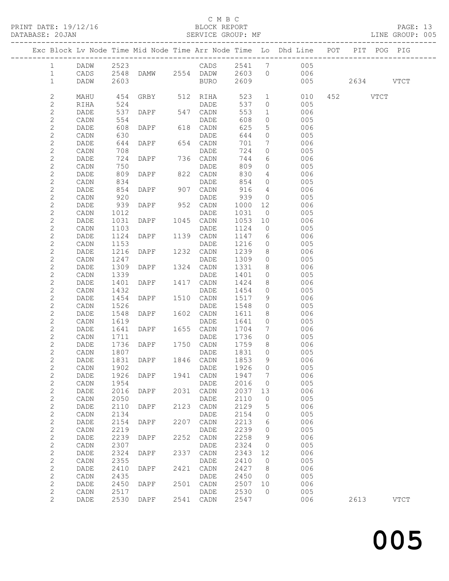#### C M B C

|                                       |                 |              |                 |      |                   |              |                 | Exc Block Lv Node Time Mid Node Time Arr Node Time Lo Dhd Line POT PIT POG PIG |          |             |  |
|---------------------------------------|-----------------|--------------|-----------------|------|-------------------|--------------|-----------------|--------------------------------------------------------------------------------|----------|-------------|--|
| $\mathbf{1}$                          | DADW            | 2523         |                 |      |                   |              |                 | CADS 2541 7 005                                                                |          |             |  |
| $\mathbf{1}$                          | CADS            |              |                 |      |                   |              |                 | 2548 DAMW 2554 DADW 2603 0 006                                                 |          |             |  |
| $\mathbf{1}$                          | DADW            | 2603         |                 |      | BURO              | 2609         |                 | 005 2634 VTCT                                                                  |          |             |  |
| 2                                     | MAHU            |              |                 |      | 454 GRBY 512 RIHA | 523          |                 | $\mathbf{1}$<br>010                                                            | 452 VTCT |             |  |
| $\mathbf{2}$                          | RIHA            | 524          |                 |      | DADE              | 537          |                 | $\overline{0}$<br>005                                                          |          |             |  |
| $\mathbf{2}$                          | DADE            | 537          | DAPF 547 CADN   |      |                   | 553          |                 | 006<br>$1$ – $\sim$                                                            |          |             |  |
| $\overline{c}$                        | CADN            | 554          |                 |      | DADE              | 608          | $\overline{0}$  | 005                                                                            |          |             |  |
| $\mathbf{2}$                          | DADE            | 608          | DAPF            |      | 618 CADN          | 625          | 5 <sup>5</sup>  | 006                                                                            |          |             |  |
| $\mathbf{2}$                          | CADN            | 630          |                 |      | DADE              | 644          | $\circ$         | 005                                                                            |          |             |  |
| $\mathbf{2}$                          | DADE            | 644          | DAPF            |      | 654 CADN          | 701          |                 | $7\overline{ }$<br>006                                                         |          |             |  |
| $\mathbf{2}$                          | CADN            | 708          |                 |      | DADE              | 724          | $\overline{0}$  | 005                                                                            |          |             |  |
| $\mathbf{2}$                          | DADE            | 724          | DAPF            |      | 736 CADN          | 744          | 6               | 006                                                                            |          |             |  |
| $\mathbf{2}$                          | CADN            | 750          |                 |      | DADE              | 809          |                 | $\overline{0}$<br>005                                                          |          |             |  |
| $\mathbf{2}$                          | DADE            | 809          | DAPF            |      | 822 CADN          | 830          |                 | $4\overline{ }$<br>006                                                         |          |             |  |
| $\mathbf{2}$                          | CADN            | 834          |                 |      | DADE              | 854          | $\overline{0}$  | 005<br>$\frac{3}{4}$                                                           |          |             |  |
| $\overline{c}$                        | DADE            | 854          | DAPF            |      | 907 CADN          | 916          |                 | 006                                                                            |          |             |  |
| $\mathbf{2}$                          | CADN            | 920          |                 |      | DADE              | 939          |                 | $\overline{0}$<br>005                                                          |          |             |  |
| $\mathbf{2}$                          | DADE            | 939          | DAPF 952 CADN   |      |                   | 1000         |                 | 12 and $\overline{a}$<br>006                                                   |          |             |  |
| $\overline{c}$                        | CADN            | 1012         |                 |      | DADE              | 1031         | $\overline{0}$  | 005                                                                            |          |             |  |
| $\overline{c}$                        | DADE            | 1031         | DAPF            |      | 1045 CADN         | 1053         | 10              | 006                                                                            |          |             |  |
| $\mathbf{2}$                          | CADN            | 1103         |                 |      | DADE              | 1124         |                 | $\overline{0}$<br>005                                                          |          |             |  |
| $\mathbf{2}$                          | DADE            | 1124         | DAPF            |      | 1139 CADN         | 1147         |                 | $6\overline{}$<br>006                                                          |          |             |  |
| $\mathbf{2}$                          | CADN            | 1153         |                 |      | DADE              | 1216         |                 | $\overline{0}$<br>005                                                          |          |             |  |
| $\overline{c}$                        | DADE            | 1216         | DAPF            |      | 1232 CADN         | 1239         | 8               | 006<br>$\overline{0}$                                                          |          |             |  |
| $\mathbf{2}$                          | CADN            | 1247         |                 |      | DADE              | 1309         |                 | 005                                                                            |          |             |  |
| $\mathbf{2}$                          | DADE            | 1309         | DAPF            |      | 1324 CADN         | 1331         |                 | 8 006                                                                          |          |             |  |
| $\mathbf{2}$<br>$\overline{c}$        | CADN            | 1339         |                 |      | DADE              | 1401<br>1424 | 8               | $\overline{0}$<br>005<br>006                                                   |          |             |  |
| $\overline{c}$                        | DADE<br>CADN    | 1401<br>1432 | DAPF            |      | 1417 CADN<br>DADE | 1454         | $\circ$         | 005                                                                            |          |             |  |
| $\overline{c}$                        | DADE            | 1454         | DAPF 1510 CADN  |      |                   | 1517         | 9               | 006                                                                            |          |             |  |
| $\mathbf{2}$                          | CADN            | 1526         |                 |      | DADE              | 1548         |                 |                                                                                |          |             |  |
| $\overline{c}$                        | DADE            | 1548         | DAPF 1602 CADN  |      |                   | 1611         |                 |                                                                                |          |             |  |
| $\sqrt{2}$                            | CADN            | 1619         |                 |      | DADE              | 1641         | $\circ$         | 005                                                                            |          |             |  |
| $\mathbf{2}$                          | DADE            | 1641         | DAPF 1655 CADN  |      |                   | 1704         | $7\overline{ }$ | 006                                                                            |          |             |  |
| $\overline{2}$                        | CADN            | 1711         |                 |      | DADE              | 1736         | $\Omega$        | 005                                                                            |          |             |  |
| $\mathbf{2}$                          | DADE            | 1736         | DAPF            | 1750 | CADN              | 1759         | 8               | 006                                                                            |          |             |  |
| $\mathbf{2}$                          | CADN            | 1807         |                 |      | DADE              | 1831         | 0               | 005                                                                            |          |             |  |
| $\sqrt{2}$                            | DADE            | 1831         | DAPF            | 1846 | CADN              | 1853         | 9               | 006                                                                            |          |             |  |
|                                       | CADN            | 1902         |                 |      | DADE              | 1926         | 0               | 005                                                                            |          |             |  |
| $\begin{array}{c} 2 \\ 2 \end{array}$ | DADE            | 1926         | DAPF            | 1941 | CADN              | 1947         | 7               | 006                                                                            |          |             |  |
| $\overline{c}$                        | CADN            | 1954         |                 |      | DADE              | 2016         | $\circ$         | 005                                                                            |          |             |  |
| $\sqrt{2}$                            | DADE            | 2016         | DAPF            | 2031 | CADN              | 2037         | 13              | 006                                                                            |          |             |  |
| $\sqrt{2}$                            | CADN            | 2050         |                 |      | DADE              | 2110         | 0               | 005                                                                            |          |             |  |
| $\overline{c}$                        | DADE            | 2110         | DAPF            | 2123 | CADN              | 2129         | 5               | 006                                                                            |          |             |  |
| $\overline{c}$                        | $\mathtt{CADN}$ | 2134         |                 |      | DADE              | 2154         | 0               | 005                                                                            |          |             |  |
| $\sqrt{2}$                            | DADE            | 2154         | DAPF            | 2207 | CADN              | 2213         | 6               | 006                                                                            |          |             |  |
| $\mathbf{2}$                          | CADN            | 2219         |                 |      | DADE              | 2239         | 0               | 005                                                                            |          |             |  |
| $\overline{c}$                        | DADE            | 2239         | DAPF            | 2252 | CADN              | 2258         | 9               | 006                                                                            |          |             |  |
| $\overline{c}$                        | CADN            | 2307         |                 |      | DADE              | 2324         | $\circ$         | 005                                                                            |          |             |  |
| $\sqrt{2}$                            | DADE            | 2324         | $\texttt{DAPF}$ | 2337 | CADN              | 2343         | 12              | 006                                                                            |          |             |  |
| $\overline{c}$                        | CADN            | 2355         |                 |      | DADE              | 2410         | 0               | 005                                                                            |          |             |  |
| $\overline{c}$                        | DADE            | 2410         | DAPF            | 2421 | CADN              | 2427         | 8               | 006                                                                            |          |             |  |
| $\overline{c}$                        | $\mathtt{CADN}$ | 2435         |                 |      | DADE              | 2450         | $\circ$         | 005                                                                            |          |             |  |
| $\overline{c}$                        | DADE            | 2450         | DAPF            | 2501 | CADN              | 2507         | 10              | 006                                                                            |          |             |  |
| $\overline{c}$                        | CADN            | 2517         |                 |      | DADE              | 2530         | $\circ$         | 005                                                                            |          |             |  |
| $\overline{c}$                        | DADE            | 2530         | DAPF            | 2541 | CADN              | 2547         |                 | 006                                                                            | 2613     | <b>VTCT</b> |  |

and the contract of  $\sim$  005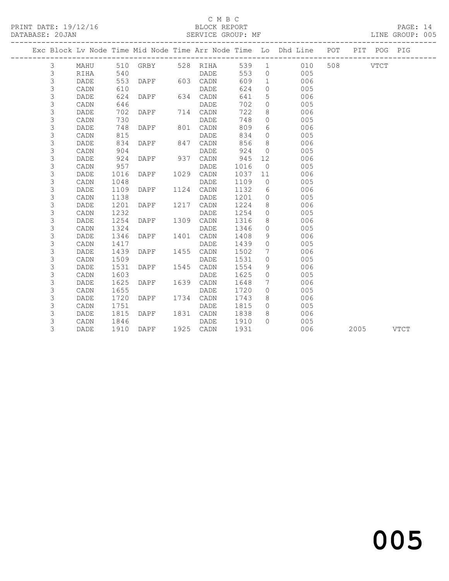### C M B C<br>BLOCK REPORT

PAGE: 14<br>LINE GROUP: 005

|  |                |             |      |      |      |               |      |                 | Exc Block Lv Node Time Mid Node Time Arr Node Time Lo Dhd Line POT |          | PIT POG   | PIG |
|--|----------------|-------------|------|------|------|---------------|------|-----------------|--------------------------------------------------------------------|----------|-----------|-----|
|  | $\mathcal{E}$  | MAHU        | 510  |      |      | GRBY 528 RIHA | 539  | $\overline{1}$  | 010                                                                | 508 VTCT |           |     |
|  | 3              | RIHA        | 540  |      |      | DADE          | 553  | $\circ$         | 005                                                                |          |           |     |
|  | $\mathfrak{Z}$ | DADE        | 553  | DAPF |      | 603 CADN      | 609  | $\mathbf{1}$    | 006                                                                |          |           |     |
|  | $\mathfrak{Z}$ | CADN        | 610  |      |      | DADE          | 624  | $\circ$         | 005                                                                |          |           |     |
|  | 3              | DADE        | 624  | DAPF |      | 634 CADN      | 641  | 5               | 006                                                                |          |           |     |
|  | 3              | CADN        | 646  |      |      | DADE          | 702  | $\circ$         | 005                                                                |          |           |     |
|  | 3              | <b>DADE</b> | 702  | DAPF |      | 714 CADN      | 722  | 8               | 006                                                                |          |           |     |
|  | 3              | CADN        | 730  |      |      | DADE          | 748  | $\circ$         | 005                                                                |          |           |     |
|  | 3              | <b>DADE</b> | 748  | DAPF |      | 801 CADN      | 809  | 6               | 006                                                                |          |           |     |
|  | 3              | CADN        | 815  |      |      | DADE          | 834  | $\circ$         | 005                                                                |          |           |     |
|  | 3              | <b>DADE</b> | 834  | DAPF | 847  | CADN          | 856  | 8               | 006                                                                |          |           |     |
|  | 3              | CADN        | 904  |      |      | DADE          | 924  | $\circ$         | 005                                                                |          |           |     |
|  | 3              | DADE        | 924  | DAPF | 937  | CADN          | 945  | 12              | 006                                                                |          |           |     |
|  | 3              | CADN        | 957  |      |      | DADE          | 1016 | $\Omega$        | 005                                                                |          |           |     |
|  | 3              | DADE        | 1016 | DAPF | 1029 | CADN          | 1037 | 11              | 006                                                                |          |           |     |
|  | 3              | CADN        | 1048 |      |      | DADE          | 1109 | $\Omega$        | 005                                                                |          |           |     |
|  | 3              | <b>DADE</b> | 1109 | DAPF | 1124 | CADN          | 1132 | 6               | 006                                                                |          |           |     |
|  | 3              | CADN        | 1138 |      |      | DADE          | 1201 | $\circ$         | 005                                                                |          |           |     |
|  | 3              | DADE        | 1201 | DAPF | 1217 | CADN          | 1224 | 8               | 006                                                                |          |           |     |
|  | 3              | CADN        | 1232 |      |      | DADE          | 1254 | $\circ$         | 005                                                                |          |           |     |
|  | 3              | <b>DADE</b> | 1254 | DAPF | 1309 | CADN          | 1316 | 8               | 006                                                                |          |           |     |
|  | 3              | CADN        | 1324 |      |      | DADE          | 1346 | $\circ$         | 005                                                                |          |           |     |
|  | 3              | DADE        | 1346 | DAPF | 1401 | CADN          | 1408 | 9               | 006                                                                |          |           |     |
|  | 3              | CADN        | 1417 |      |      | DADE          | 1439 | $\circ$         | 005                                                                |          |           |     |
|  | 3              | DADE        | 1439 | DAPF | 1455 | CADN          | 1502 | $7\phantom{.0}$ | 006                                                                |          |           |     |
|  | 3              | CADN        | 1509 |      |      | DADE          | 1531 | $\circ$         | 005                                                                |          |           |     |
|  | 3              | DADE        | 1531 | DAPF | 1545 | CADN          | 1554 | 9               | 006                                                                |          |           |     |
|  | 3              | CADN        | 1603 |      |      | DADE          | 1625 | $\circ$         | 005                                                                |          |           |     |
|  | 3              | DADE        | 1625 | DAPF |      | 1639 CADN     | 1648 | $7\phantom{.0}$ | 006                                                                |          |           |     |
|  | 3              | CADN        | 1655 |      |      | <b>DADE</b>   | 1720 | $\circ$         | 005                                                                |          |           |     |
|  | 3              | DADE        | 1720 | DAPF |      | 1734 CADN     | 1743 | 8               | 006                                                                |          |           |     |
|  | 3              | CADN        | 1751 |      |      | DADE          | 1815 | $\circ$         | 005                                                                |          |           |     |
|  | 3              | DADE        | 1815 | DAPF |      | 1831 CADN     | 1838 | 8               | 006                                                                |          |           |     |
|  | 3              | CADN        | 1846 |      |      | DADE          | 1910 | $\Omega$        | 005                                                                |          |           |     |
|  | 3              | DADE        | 1910 | DAPF |      | 1925 CADN     | 1931 |                 | 006                                                                |          | 2005 VTCT |     |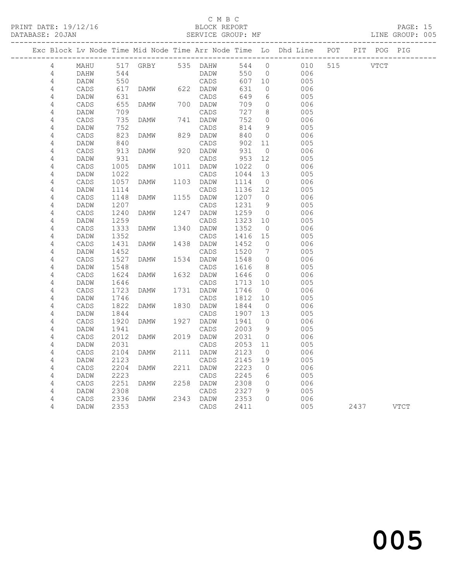### C M B C<br>BLOCK REPORT

|            |              |              |                                                                                |      |                  |                  |                      |            |      | PAGE: 15<br>LINE GROUP: 005 |  |
|------------|--------------|--------------|--------------------------------------------------------------------------------|------|------------------|------------------|----------------------|------------|------|-----------------------------|--|
|            |              |              | Exc Block Lv Node Time Mid Node Time Arr Node Time Lo Dhd Line POT PIT POG PIG |      |                  |                  |                      |            |      |                             |  |
| 4          |              |              | MAHU 517 GRBY 535 DAHW 544 0 010 515 VTCT                                      |      |                  |                  |                      |            |      |                             |  |
| 4          | DAHW         | 544          |                                                                                |      | DADW 550 0       |                  |                      | 006        |      |                             |  |
| 4          | DADW         |              | 550                                                                            |      | CADS             | 607 10           |                      | 005        |      |                             |  |
| 4          | CADS         |              | 617 DAMW 622 DADW                                                              |      |                  | 631              | $\circ$              | 006        |      |                             |  |
| $\sqrt{4}$ | DADW         | 631          |                                                                                |      | CADS             | 649              | 6                    | 005        |      |                             |  |
| $\sqrt{4}$ | CADS         | 655          |                                                                                |      | 700 DADW         | 709              | $\overline{0}$       | 006        |      |                             |  |
| 4          | DADW         | 709          | $DAMW$ 70(                                                                     |      | CADS             | 727              | 8 <sup>8</sup>       | 005        |      |                             |  |
| 4          | CADS         | 735          | DAMW                                                                           |      | 741 DADW         | 752              | $\overline{0}$       | 006        |      |                             |  |
| $\sqrt{4}$ | DADW         | 752          | <b>DAMW</b>                                                                    |      | CADS             | 814              | 9                    | 005        |      |                             |  |
| 4          | CADS<br>DADW | 823<br>840   |                                                                                |      | 829 DADW<br>CADS | 840<br>902       | $\overline{0}$<br>11 | 006<br>005 |      |                             |  |
| 4<br>4     | CADS         | 913          | DAMW                                                                           |      |                  | 931              | $\overline{0}$       | 006        |      |                             |  |
| $\sqrt{4}$ | DADW         | 931          |                                                                                |      | 920 DADW<br>CADS | 953              | 12                   | 005        |      |                             |  |
| 4          | CADS         | 1005         | DAMW 1011 DADW                                                                 |      |                  | 1022             | $\overline{0}$       | 006        |      |                             |  |
| $\sqrt{4}$ | DADW         | 1022         |                                                                                |      | CADS             | 1044             | 13                   | 005        |      |                             |  |
| 4          | CADS         | 1057         | DAMW                                                                           |      | 1103 DADW        | 1114             | $\overline{0}$       | 006        |      |                             |  |
| 4          | DADW         | 1114         |                                                                                |      | CADS             | 1136             | 12                   | 005        |      |                             |  |
| 4          | CADS         | 1148         | DAMW                                                                           |      | 1155 DADW        | 1207             | $\overline{0}$       | 006        |      |                             |  |
| 4          | DADW         | 1207         |                                                                                |      | CADS             | 1231             | 9                    | 005        |      |                             |  |
| 4          | CADS         | 1240         | DAMW                                                                           |      | 1247 DADW        | 1259             | $\overline{0}$       | 006        |      |                             |  |
| $\sqrt{4}$ | DADW         | 1259         |                                                                                |      | CADS             | 1323             | 10                   | 005        |      |                             |  |
| 4          | CADS         | 1333         | DAMW 1340 DADW                                                                 |      |                  | 1352             | $\overline{0}$       | 006        |      |                             |  |
| $\sqrt{4}$ | DADW         | 1352         |                                                                                |      | CADS             | 1416             | 15                   | 005        |      |                             |  |
| 4          | CADS         | 1431         | DAMW                                                                           |      | 1438 DADW        | 1452             | $\overline{0}$       | 006        |      |                             |  |
| 4          | DADW         | 1452         |                                                                                |      | CADS             | $1522$<br>$1548$ | $\overline{7}$       | 005        |      |                             |  |
| 4          | CADS         | 1527         | DAMW                                                                           |      | $1534$ DADW      |                  | $\overline{0}$       | 006        |      |                             |  |
| $\sqrt{4}$ | DADW         | 1548         |                                                                                |      | CADS             | 1616             | 8 <sup>8</sup>       | 005        |      |                             |  |
| 4          | CADS         | 1624         | DAMW                                                                           |      | 1632 DADW        | 1646             | $\overline{0}$       | 006        |      |                             |  |
| 4          | DADW         | 1646         |                                                                                |      | CADS             | 1713             | 10                   | 005        |      |                             |  |
| $\sqrt{4}$ | CADS         | 1723         | DAMW                                                                           |      | 1731 DADW        | 1746             | $\overline{0}$       | 006        |      |                             |  |
| $\sqrt{4}$ | DADW         | 1746         |                                                                                |      | CADS             | 1812             | 10                   | 005        |      |                             |  |
| 4          | CADS         | 1822         | DAMW                                                                           |      | 1830 DADW        | 1844             | $\overline{0}$       | 006        |      |                             |  |
| 4          | DADW         | 1844         |                                                                                |      | CADS             | 1907             | 13                   | 005        |      |                             |  |
| $\sqrt{4}$ | CADS         | 1920         | DAMW                                                                           |      | 1927 DADW        | 1941             | $\overline{0}$       | 006        |      |                             |  |
| 4          | DADW         | 1941         |                                                                                |      | CADS             | 2003             | 9                    | 005        |      |                             |  |
| 4          | CADS         | 2012         | DAMW                                                                           |      | 2019 DADW        | 2031             | $\overline{0}$       | 006        |      |                             |  |
| 4          | DADW         | 2031         |                                                                                |      | CADS             | 2053 11          |                      | 005        |      |                             |  |
| 4          |              |              | CADS 2104 DAMW                                                                 |      | 2111 DADW 2123 0 |                  |                      | 006        |      |                             |  |
| 4          | DADW         | 2123         |                                                                                |      | CADS             | 2145             | 19                   | 005        |      |                             |  |
| 4          | CADS         | 2204         | DAMW                                                                           | 2211 | DADW             | 2223             | 0                    | 006        |      |                             |  |
| 4          | DADW         | 2223         |                                                                                |      | CADS             | 2245             | 6                    | 005        |      |                             |  |
| $\sqrt{4}$ | CADS         | 2251         | DAMW                                                                           | 2258 | DADW             | 2308             | 0                    | 006<br>005 |      |                             |  |
| $\sqrt{4}$ | DADW         | 2308<br>2336 |                                                                                | 2343 | CADS<br>DADW     | 2327<br>2353     | 9<br>0               | 006        |      |                             |  |
| 4<br>4     | CADS         | 2353         | DAMW                                                                           |      |                  |                  |                      | 005        |      | <b>VTCT</b>                 |  |
|            | DADW         |              |                                                                                |      | CADS             | 2411             |                      |            | 2437 |                             |  |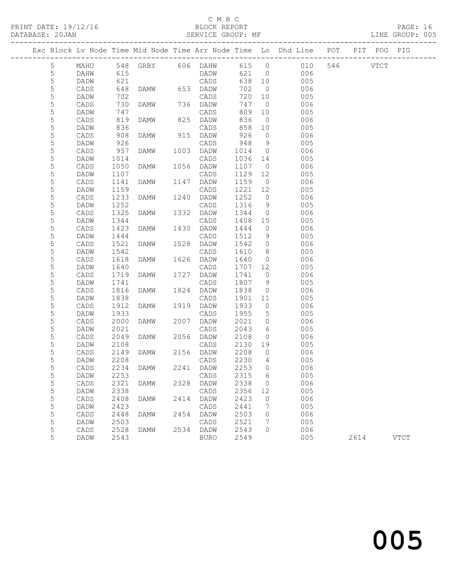### C M B C<br>BLOCK REPORT

|             |              |              |                   |      |                   |              |                     | PRINT DATE: 19/12/16 BLOCK REPORT PRINT DATE: 19/12/16 BLOCK REPORT PAGE: 16<br>DATABASE: 20JAN SERVICE GROUP: MF LINE GROUP: 005 |      |             |  |
|-------------|--------------|--------------|-------------------|------|-------------------|--------------|---------------------|-----------------------------------------------------------------------------------------------------------------------------------|------|-------------|--|
|             |              |              |                   |      |                   |              |                     | Exc Block Lv Node Time Mid Node Time Arr Node Time Lo Dhd Line POT PIT POG PIG                                                    |      |             |  |
| 5           |              |              |                   |      |                   |              |                     | MAHU 548 GRBY 606 DAHW 615 0 010 546 VTCT                                                                                         |      |             |  |
| $\mathsf 5$ | DAHW         | 615          |                   |      | DADW              |              |                     | 621 0<br>006                                                                                                                      |      |             |  |
| $\mathsf S$ | DADW         | 621          |                   |      | CADS              | 638 10       |                     | 005                                                                                                                               |      |             |  |
| $\mathsf S$ | CADS         |              | 648 DAMW 653 DADW |      |                   | 702          | $\overline{0}$      | 006                                                                                                                               |      |             |  |
| $\mathsf S$ | DADW         | 702          |                   |      | CADS              | 720          | 10                  | 005                                                                                                                               |      |             |  |
| 5           | CADS         | 730          | DAMW 736 DADW     |      |                   | 747          | $\overline{0}$      | 006                                                                                                                               |      |             |  |
| $\mathsf S$ | DADW         | 747          | DAMW 82           |      | CADS              | 809          | 10                  | 005                                                                                                                               |      |             |  |
| $\mathsf S$ | CADS         | 819          |                   |      | 825 DADW          | 836          | $\overline{0}$      | 006                                                                                                                               |      |             |  |
| 5           | DADW         | 836          |                   |      | CADS              | 858          | 10                  | 005                                                                                                                               |      |             |  |
| 5           | CADS         | 908          | DAMW 915 DADW     |      |                   | 926          | $\overline{0}$      | 006                                                                                                                               |      |             |  |
| $\mathsf S$ | DADW         | 926          |                   |      | CADS              | 948          | 9                   | 005                                                                                                                               |      |             |  |
| 5           | CADS         | 957          | DAMW              |      | 1003 DADW         | 1014         | $\overline{0}$      | 006                                                                                                                               |      |             |  |
| 5           | DADW         | 1014         |                   |      | CADS              | 1036         | 14                  | 005                                                                                                                               |      |             |  |
| 5           | CADS         | 1050         | DAMW              |      | 1056 DADW         | 1107         | $\overline{0}$      | 006                                                                                                                               |      |             |  |
| $\mathsf S$ | DADW         | 1107         |                   |      | CADS              | 1129         | 12                  | 005                                                                                                                               |      |             |  |
| 5           | CADS         | 1141         | DAMW              |      | 1147 DADW         | 1159         | $\overline{0}$      | 006                                                                                                                               |      |             |  |
| $\mathsf S$ | DADW         | 1159         |                   |      | CADS              | 1221         | 12                  | 005                                                                                                                               |      |             |  |
| 5           | CADS         | 1233         | DAMW              |      | 1240 DADW         | 1252         | $\overline{0}$      | 006                                                                                                                               |      |             |  |
| $\mathsf S$ | DADW         | 1252         |                   |      | CADS              | 1316         | 9                   | 005                                                                                                                               |      |             |  |
| 5           | CADS         | 1325         | DAMW              |      | 1332 DADW         | 1344         | $\overline{0}$      | 006                                                                                                                               |      |             |  |
| 5           | DADW         | 1344         |                   |      | CADS              | 1408         | 15                  | 005                                                                                                                               |      |             |  |
| 5           | CADS         | 1423         | DAMW              |      | 1430 DADW         | 1444         | $\overline{0}$      | 006                                                                                                                               |      |             |  |
| 5           | DADW         | 1444         |                   |      | CADS              | 1512         | 9                   | 005                                                                                                                               |      |             |  |
| $\mathsf S$ | CADS         | 1521         | DAMW              |      | 1528 DADW         | 1542         | $\circ$             | 006                                                                                                                               |      |             |  |
| $\mathsf S$ | DADW         | 1542         |                   |      | CADS              | 1610         | 8 <sup>8</sup>      | 005                                                                                                                               |      |             |  |
| $\mathsf S$ | CADS         | 1618         | DAMW              |      | 1626 DADW         | 1640         | $\overline{0}$      | 006                                                                                                                               |      |             |  |
| 5           | DADW         | 1640         |                   |      | CADS              | 1707         | 12                  | 005                                                                                                                               |      |             |  |
| $\mathsf S$ | CADS         | 1719         | DAMW              | 1727 | DADW              | 1741         | $\circ$             | 006                                                                                                                               |      |             |  |
| 5           | DADW         | 1741<br>1816 |                   |      | CADS<br>1824 DADW | 1807<br>1838 | 9<br>$\overline{0}$ | 005<br>006                                                                                                                        |      |             |  |
| 5<br>5      | CADS         |              | DAMW              |      | CADS              | 1901         |                     | 005                                                                                                                               |      |             |  |
| $\mathsf S$ | DADW<br>CADS | 1838<br>1912 | DAMW              |      | 1919 DADW         | 1933         | 11<br>$\circ$       | 006                                                                                                                               |      |             |  |
| $\mathsf S$ | DADW         | 1933         |                   |      | CADS              | 1955         | $5\overline{)}$     | 005                                                                                                                               |      |             |  |
| 5           | CADS         | 2000         | DAMW              |      | 2007 DADW         | 2021         | $\overline{0}$      | 006                                                                                                                               |      |             |  |
| 5           | DADW         | 2021         |                   |      | CADS              | 2043         | 6                   | 005                                                                                                                               |      |             |  |
| 5           | CADS         | 2049         | DAMW              |      | 2056 DADW         | 2108         | $\overline{0}$      | 006                                                                                                                               |      |             |  |
| 5           | DADW         | 2108         |                   |      | CADS              | 2130 19      |                     | 005                                                                                                                               |      |             |  |
| 5           | CADS         |              | 2149 DAMW         |      | 2156 DADW         | 2208 0       |                     | 006                                                                                                                               |      |             |  |
| 5           | DADW         | 2208         |                   |      | CADS              | 2230         | 4                   | 005                                                                                                                               |      |             |  |
| 5           | CADS         | 2234         | <b>DAMW</b>       | 2241 | DADW              | 2253         | 0                   | 006                                                                                                                               |      |             |  |
| 5           | DADW         | 2253         |                   |      | CADS              | 2315         | 6                   | 005                                                                                                                               |      |             |  |
| 5           | CADS         | 2321         | DAMW              | 2328 | DADW              | 2338         | 0                   | 006                                                                                                                               |      |             |  |
| 5           | DADW         | 2338         |                   |      | CADS              | 2356         | 12                  | 005                                                                                                                               |      |             |  |
| 5           | CADS         | 2408         | <b>DAMW</b>       | 2414 | DADW              | 2423         | 0                   | 006                                                                                                                               |      |             |  |
| 5           | DADW         | 2423         |                   |      | CADS              | 2441         | 7                   | 005                                                                                                                               |      |             |  |
| 5           | CADS         | 2448         | DAMW              | 2454 | DADW              | 2503         | 0                   | 006                                                                                                                               |      |             |  |
| 5           | DADW         | 2503         |                   |      | CADS              | 2521         | 7                   | 005                                                                                                                               |      |             |  |
| 5           | CADS         | 2528         | DAMW              |      | 2534 DADW         | 2543         | $\circ$             | 006                                                                                                                               |      |             |  |
| 5           | DADW         | 2543         |                   |      | <b>BURO</b>       | 2549         |                     | 005                                                                                                                               | 2614 | <b>VTCT</b> |  |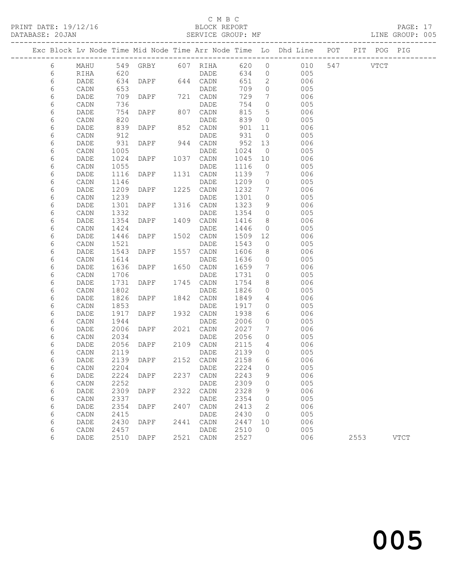### C M B C<br>BLOCK REPORT

PAGE: 17<br>LINE GROUP: 005

|        |              |              |               |      |                   |              |                                  | Exc Block Lv Node Time Mid Node Time Arr Node Time Lo Dhd Line POT |          | PIT POG PIG |             |
|--------|--------------|--------------|---------------|------|-------------------|--------------|----------------------------------|--------------------------------------------------------------------|----------|-------------|-------------|
| $6\,$  | MAHU         |              |               |      |                   |              |                                  | 549 GRBY 607 RIHA 620 0 010                                        | 547 VTCT |             |             |
| 6      | RIHA         | 620          |               |      | DADE              | 634          | $\overline{0}$                   | 005                                                                |          |             |             |
| 6      | DADE         | 634          | DAPF 644 CADN |      |                   | 651          | $\overline{2}$                   | 006                                                                |          |             |             |
| 6      | CADN         | 653          |               |      | DADE              | 709          | $\circ$                          | 005                                                                |          |             |             |
| 6      | DADE         | 709          | DAPF          |      | 721 CADN          | 729          | $7\overline{ }$                  | 006                                                                |          |             |             |
| 6      | CADN         | 736          |               |      | DADE              | 754          | $\circ$                          | 005                                                                |          |             |             |
| 6      | DADE         | 754          | DAPF          |      | 807 CADN          | 815          | 5                                | 006                                                                |          |             |             |
| 6      | CADN         | 820          |               |      | DADE              | 839          | $\overline{0}$                   | 005                                                                |          |             |             |
| 6      | DADE         | 839          | DAPF          |      | 852 CADN          | 901          | 11                               | 006                                                                |          |             |             |
| 6      | CADN         | 912          |               |      | DADE              | 931          | $\overline{0}$                   | 005                                                                |          |             |             |
| 6      | DADE         | 931          | DAPF          |      | 944 CADN          | 952          | 13                               | 006                                                                |          |             |             |
| 6      | CADN         | 1005         |               |      | DADE              | 1024         | $\overline{0}$                   | 005                                                                |          |             |             |
| 6      | DADE         | 1024         | DAPF          |      | 1037 CADN         | 1045         | 10                               | 006                                                                |          |             |             |
| 6      | CADN         | 1055         |               |      | DADE              | 1116         | $\overline{0}$                   | 005                                                                |          |             |             |
| 6      | DADE         | 1116         | DAPF          |      | 1131 CADN         | 1139         | $\overline{7}$<br>$\overline{0}$ | 006<br>005                                                         |          |             |             |
| 6<br>6 | CADN<br>DADE | 1146<br>1209 | DAPF          |      | DADE<br>1225 CADN | 1209<br>1232 | $\overline{7}$                   | 006                                                                |          |             |             |
| 6      | CADN         | 1239         |               |      | DADE              | 1301         | $\circ$                          | 005                                                                |          |             |             |
| 6      | DADE         | 1301         | DAPF          |      | 1316 CADN         | 1323         | 9                                | 006                                                                |          |             |             |
| 6      | CADN         | 1332         |               |      | DADE              | 1354         | $\overline{0}$                   | 005                                                                |          |             |             |
| 6      | DADE         | 1354         | DAPF          |      | 1409 CADN         | 1416         | 8                                | 006                                                                |          |             |             |
| 6      | CADN         | 1424         |               |      | DADE              | 1446         | $\overline{0}$                   | 005                                                                |          |             |             |
| 6      | DADE         | 1446         | DAPF          |      | 1502 CADN         | 1509         | 12                               | 006                                                                |          |             |             |
| 6      | CADN         | 1521         |               |      | DADE              | 1543         | $\overline{0}$                   | 005                                                                |          |             |             |
| 6      | DADE         | 1543         | DAPF          |      | 1557 CADN         | 1606         | 8                                | 006                                                                |          |             |             |
| 6      | CADN         | 1614         |               |      | DADE              | 1636         | $\overline{0}$                   | 005                                                                |          |             |             |
| 6      | DADE         | 1636         | DAPF          |      | 1650 CADN         | 1659         | 7                                | 006                                                                |          |             |             |
| 6      | CADN         | 1706         |               |      | DADE              | 1731         | $\circ$                          | 005                                                                |          |             |             |
| 6      | DADE         | 1731         | DAPF          | 1745 | CADN              | 1754         | 8                                | 006                                                                |          |             |             |
| 6      | CADN         | 1802         |               |      | DADE              | 1826         | $\circ$                          | 005                                                                |          |             |             |
| 6      | DADE         | 1826         | DAPF          |      | 1842 CADN         | 1849         | $4\overline{ }$                  | 006                                                                |          |             |             |
| 6      | CADN         | 1853         |               |      | DADE              | 1917         | $\circ$                          | 005                                                                |          |             |             |
| 6      | DADE         | 1917         | DAPF          | 1932 | CADN              | 1938         | 6                                | 006                                                                |          |             |             |
| 6      | CADN         | 1944         |               |      | DADE              | 2006         | $\circ$                          | 005                                                                |          |             |             |
| 6      | DADE         | 2006         | DAPF          |      | 2021 CADN         | 2027         | $7\phantom{.0}$                  | 006                                                                |          |             |             |
| 6      | CADN         | 2034         |               |      | DADE              | 2056         | $\circ$                          | 005                                                                |          |             |             |
| 6      | DADE         | 2056         | DAPF          |      | 2109 CADN         | 2115         | $4\overline{ }$                  | 006                                                                |          |             |             |
| 6      | CADN         | 2119         |               |      | DADE              | 2139         | $\overline{0}$                   | 005                                                                |          |             |             |
| 6      | DADE         |              | 2139 DAPF     |      | 2152 CADN         | 2158         | 6                                | 006                                                                |          |             |             |
| 6      | CADN         | 2204         |               |      | <b>DADE</b>       | 2224 0       |                                  | 005                                                                |          |             |             |
| 6      | DADE         | 2224         | DAPF          | 2237 | CADN              | 2243         | 9                                | 006                                                                |          |             |             |
| 6      | CADN         | 2252         |               |      | DADE              | 2309         | 0                                | 005                                                                |          |             |             |
| 6      | DADE         | 2309         | DAPF          |      | 2322 CADN         | 2328         | 9                                | 006                                                                |          |             |             |
| 6      | CADN         | 2337         |               | 2407 | DADE              | 2354         | 0                                | 005                                                                |          |             |             |
| 6<br>6 | DADE         | 2354<br>2415 | DAPF          |      | CADN              | 2413<br>2430 | 2                                | 006<br>005                                                         |          |             |             |
|        | CADN         |              |               |      | DADE<br>2441 CADN |              | $\circ$<br>10                    | 006                                                                |          |             |             |
| 6<br>6 | DADE<br>CADN | 2430<br>2457 | DAPF          |      | DADE              | 2447<br>2510 | $\overline{0}$                   | 005                                                                |          |             |             |
| 6      | DADE         | 2510         | DAPF          |      | 2521 CADN         | 2527         |                                  | 006                                                                | 2553     |             | <b>VTCT</b> |
|        |              |              |               |      |                   |              |                                  |                                                                    |          |             |             |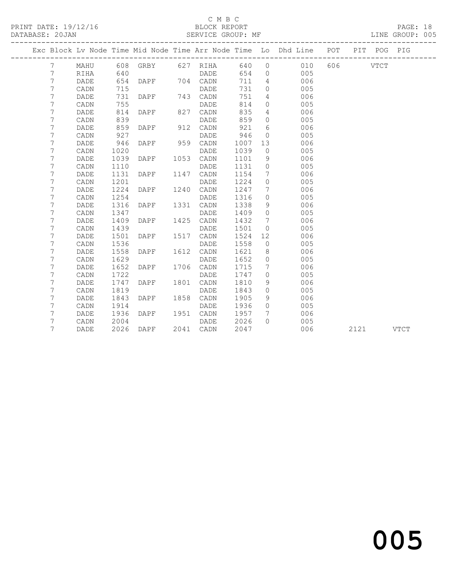## C M B C<br>BLOCK REPORT

PRINT DATE: 19/12/16 BLOCK REPORT PAGE: 18 LINE GROUP: 005 -------------------------------------------------------------------------------------------------

|  |        |                 |              | Exc Block Lv Node Time Mid Node Time Arr Node Time Lo |      |      |              |             | Dhd Line   | POT | PIT  | POG         | PIG         |
|--|--------|-----------------|--------------|-------------------------------------------------------|------|------|--------------|-------------|------------|-----|------|-------------|-------------|
|  | 7      | MAHU            | 608          | GRBY                                                  | 627  | RIHA | 640          | $\circ$     | 010        | 606 |      | <b>VTCT</b> |             |
|  | 7      | RIHA            | 640          |                                                       |      | DADE | 654          | $\circ$     | 005        |     |      |             |             |
|  | 7      | DADE            | 654          | DAPF                                                  | 704  | CADN | 711          | 4           | 006        |     |      |             |             |
|  | 7      | $\mathtt{CADN}$ | 715          |                                                       |      | DADE | 731          | 0           | 005        |     |      |             |             |
|  | 7      | $\mathtt{DADE}$ | 731          | DAPF                                                  | 743  | CADN | 751          | 4           | 006        |     |      |             |             |
|  | 7      | CADN            | 755          |                                                       |      | DADE | 814          | 0           | 005        |     |      |             |             |
|  | 7      | DADE            | 814          | DAPF                                                  | 827  | CADN | 835          | 4           | 006        |     |      |             |             |
|  | 7      | CADN            | 839          |                                                       |      | DADE | 859          | 0           | 005        |     |      |             |             |
|  | 7      | DADE            | 859          | DAPF                                                  | 912  | CADN | 921          | 6           | 006        |     |      |             |             |
|  | 7      | CADN            | 927          |                                                       |      | DADE | 946          | $\mathbf 0$ | 005        |     |      |             |             |
|  | 7      | DADE            | 946          | DAPF                                                  | 959  | CADN | 1007         | 13          | 006        |     |      |             |             |
|  | 7      | CADN            | 1020         |                                                       |      | DADE | 1039         | $\circ$     | 005        |     |      |             |             |
|  | 7      | DADE            | 1039         | DAPF                                                  | 1053 | CADN | 1101         | 9           | 006        |     |      |             |             |
|  | 7      | CADN            | 1110         |                                                       |      | DADE | 1131         | 0           | 005        |     |      |             |             |
|  | 7      | DADE            | 1131         | DAPF                                                  | 1147 | CADN | 1154         | 7           | 006        |     |      |             |             |
|  | 7      | CADN            | 1201         |                                                       |      | DADE | 1224         | 0           | 005        |     |      |             |             |
|  | 7      | DADE            | 1224         | DAPF                                                  | 1240 | CADN | 1247         | 7           | 006        |     |      |             |             |
|  | 7      | CADN            | 1254         |                                                       |      | DADE | 1316         | 0           | 005        |     |      |             |             |
|  | 7      | DADE            | 1316         | DAPF                                                  | 1331 | CADN | 1338         | 9           | 006        |     |      |             |             |
|  | 7      | CADN            | 1347         |                                                       |      | DADE | 1409         | 0           | 005        |     |      |             |             |
|  | 7      | $\mathtt{DADE}$ | 1409         | DAPF                                                  | 1425 | CADN | 1432         | 7           | 006        |     |      |             |             |
|  | 7      | CADN            | 1439         |                                                       |      | DADE | 1501         | 0           | 005        |     |      |             |             |
|  | 7      | DADE            | 1501         | DAPF                                                  | 1517 | CADN | 1524         | 12          | 006        |     |      |             |             |
|  | 7      | CADN            | 1536         |                                                       |      | DADE | 1558         | 0           | 005        |     |      |             |             |
|  | 7      | DADE            | 1558         | DAPF                                                  | 1612 | CADN | 1621         | 8           | 006        |     |      |             |             |
|  | 7      | CADN            | 1629         |                                                       |      | DADE | 1652         | 0           | 005        |     |      |             |             |
|  | 7      | DADE            | 1652         | DAPF                                                  | 1706 | CADN | 1715         | 7           | 006        |     |      |             |             |
|  | 7      | CADN            | 1722         |                                                       |      | DADE | 1747         | 0           | 005        |     |      |             |             |
|  | 7      | DADE            | 1747         | DAPF                                                  | 1801 | CADN | 1810         | 9           | 006        |     |      |             |             |
|  | 7      | CADN            | 1819         |                                                       |      | DADE | 1843         | 0           | 005        |     |      |             |             |
|  | 7      | DADE            | 1843         | DAPF                                                  | 1858 | CADN | 1905         | 9           | 006        |     |      |             |             |
|  | 7<br>7 | CADN            | 1914<br>1936 | DAPF                                                  | 1951 | DADE | 1936<br>1957 | 0<br>7      | 005<br>006 |     |      |             |             |
|  | 7      | DADE            | 2004         |                                                       |      | CADN | 2026         | $\Omega$    | 005        |     |      |             |             |
|  | 7      | CADN            | 2026         | DAPF                                                  | 2041 | DADE | 2047         |             | 006        |     |      |             | <b>VTCT</b> |
|  |        | DADE            |              |                                                       |      | CADN |              |             |            |     | 2121 |             |             |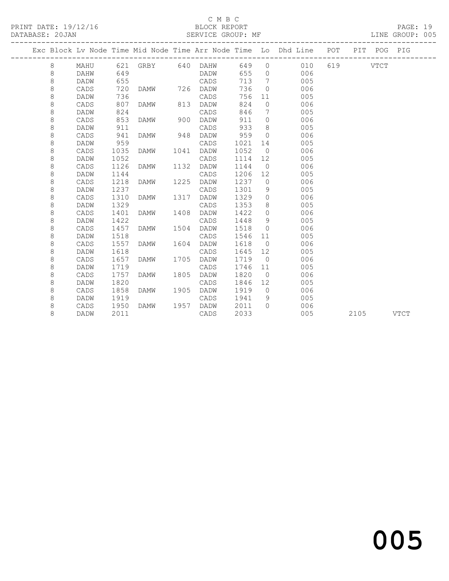### C M B C<br>BLOCK REPORT

PAGE: 19<br>LINE GROUP: 005

|  |         |             |      |                   |      |             |      |                | Exc Block Lv Node Time Mid Node Time Arr Node Time Lo Dhd Line POT |     |             | PIT POG PIG |             |
|--|---------|-------------|------|-------------------|------|-------------|------|----------------|--------------------------------------------------------------------|-----|-------------|-------------|-------------|
|  | 8       | MAHU        |      | 621 GRBY 640 DAHW |      |             | 649  | $\circ$        | 010                                                                | 619 | <b>VTCT</b> |             |             |
|  | 8       | <b>DAHW</b> | 649  |                   |      | DADW        | 655  | $\Omega$       | 006                                                                |     |             |             |             |
|  | $\,8\,$ | DADW        | 655  |                   |      | CADS        | 713  | 7              | 005                                                                |     |             |             |             |
|  | $\,8\,$ | CADS        | 720  | DAMW              | 726  | DADW        | 736  | $\Omega$       | 006                                                                |     |             |             |             |
|  | 8       | DADW        | 736  |                   |      | CADS        | 756  | 11             | 005                                                                |     |             |             |             |
|  | 8       | CADS        | 807  | DAMW              | 813  | DADW        | 824  | $\circ$        | 006                                                                |     |             |             |             |
|  | 8       | DADW        | 824  |                   |      | CADS        | 846  | 7              | 005                                                                |     |             |             |             |
|  | 8       | CADS        | 853  | DAMW              | 900  | DADW        | 911  | $\Omega$       | 006                                                                |     |             |             |             |
|  | 8       | DADW        | 911  |                   |      | CADS        | 933  | 8              | 005                                                                |     |             |             |             |
|  | 8       | CADS        | 941  | <b>DAMW</b>       | 948  | DADW        | 959  | $\overline{0}$ | 006                                                                |     |             |             |             |
|  | 8       | DADW        | 959  |                   |      | CADS        | 1021 | 14             | 005                                                                |     |             |             |             |
|  | 8       | CADS        | 1035 | <b>DAMW</b>       | 1041 | DADW        | 1052 | $\overline{0}$ | 006                                                                |     |             |             |             |
|  | $\,8\,$ | DADW        | 1052 |                   |      | CADS        | 1114 | 12             | 005                                                                |     |             |             |             |
|  | 8       | CADS        | 1126 | DAMW              | 1132 | DADW        | 1144 | $\overline{0}$ | 006                                                                |     |             |             |             |
|  | 8       | DADW        | 1144 |                   |      | CADS        | 1206 | 12             | 005                                                                |     |             |             |             |
|  | 8       | CADS        | 1218 | <b>DAMW</b>       | 1225 | DADW        | 1237 | $\circ$        | 006                                                                |     |             |             |             |
|  | 8       | DADW        | 1237 |                   |      | CADS        | 1301 | 9              | 005                                                                |     |             |             |             |
|  | 8       | CADS        | 1310 | <b>DAMW</b>       | 1317 | DADW        | 1329 | $\circ$        | 006                                                                |     |             |             |             |
|  | 8       | DADW        | 1329 |                   |      | CADS        | 1353 | 8              | 005                                                                |     |             |             |             |
|  | 8       | CADS        | 1401 | DAMW              | 1408 | DADW        | 1422 | $\circ$        | 006                                                                |     |             |             |             |
|  | 8       | <b>DADW</b> | 1422 |                   |      | CADS        | 1448 | 9              | 005                                                                |     |             |             |             |
|  | 8       | CADS        | 1457 | <b>DAMW</b>       | 1504 | DADW        | 1518 | $\Omega$       | 006                                                                |     |             |             |             |
|  | 8       | DADW        | 1518 |                   |      | CADS        | 1546 | 11             | 005                                                                |     |             |             |             |
|  | 8       | CADS        | 1557 | <b>DAMW</b>       | 1604 | DADW        | 1618 | $\overline{0}$ | 006                                                                |     |             |             |             |
|  | $\,8\,$ | DADW        | 1618 |                   |      | CADS        | 1645 | 12             | 005                                                                |     |             |             |             |
|  | 8       | CADS        | 1657 | <b>DAMW</b>       | 1705 | DADW        | 1719 | $\overline{0}$ | 006                                                                |     |             |             |             |
|  | 8       | DADW        | 1719 |                   |      | CADS        | 1746 | 11             | 005                                                                |     |             |             |             |
|  | 8       | CADS        | 1757 | DAMW              | 1805 | <b>DADW</b> | 1820 | $\overline{0}$ | 006                                                                |     |             |             |             |
|  | 8       | DADW        | 1820 |                   |      | CADS        | 1846 | 12             | 005                                                                |     |             |             |             |
|  | 8       | CADS        | 1858 | <b>DAMW</b>       | 1905 | DADW        | 1919 | $\bigcirc$     | 006                                                                |     |             |             |             |
|  | 8       | DADW        | 1919 |                   |      | CADS        | 1941 | 9              | 005                                                                |     |             |             |             |
|  | 8       | CADS        | 1950 | DAMW              | 1957 | DADW        | 2011 | $\Omega$       | 006                                                                |     |             |             |             |
|  | 8       | DADW        | 2011 |                   |      | CADS        | 2033 |                | 005                                                                |     | 2105        |             | <b>VTCT</b> |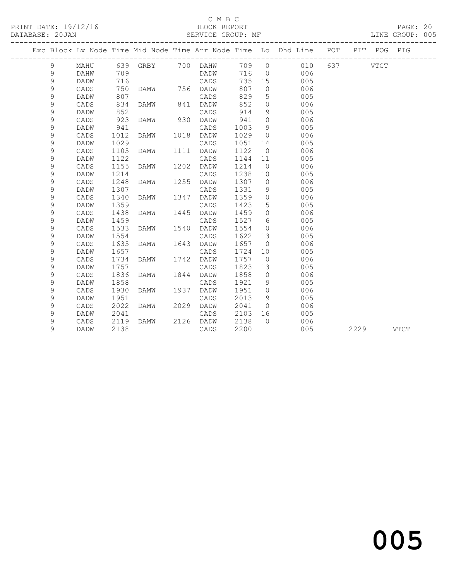### C M B C<br>BLOCK REPORT

#### SERVICE GROUP: MF

|             |             |      |      |      |          |      |                | Exc Block Lv Node Time Mid Node Time Arr Node Time Lo Dhd Line POT<br>______________________ |     |      | PIT POG PIG |             |
|-------------|-------------|------|------|------|----------|------|----------------|----------------------------------------------------------------------------------------------|-----|------|-------------|-------------|
| 9           | MAHU        | 639  | GRBY |      | 700 DAHW | 709  | $\overline{0}$ | 010                                                                                          | 637 |      | <b>VTCT</b> |             |
| 9           | DAHW        | 709  |      |      | DADW     | 716  | $\overline{0}$ | 006                                                                                          |     |      |             |             |
| $\mathsf 9$ | DADW        | 716  |      |      | CADS     | 735  | 15             | 005                                                                                          |     |      |             |             |
| $\mathsf 9$ | CADS        | 750  | DAMW |      | 756 DADW | 807  | $\mathbf{0}$   | 006                                                                                          |     |      |             |             |
| $\mathsf 9$ | DADW        | 807  |      |      | CADS     | 829  | 5              | 005                                                                                          |     |      |             |             |
| 9           | CADS        | 834  | DAMW | 841  | DADW     | 852  | $\circ$        | 006                                                                                          |     |      |             |             |
| 9           | DADW        | 852  |      |      | CADS     | 914  | 9              | 005                                                                                          |     |      |             |             |
| 9           | CADS        | 923  | DAMW | 930  | DADW     | 941  | $\circ$        | 006                                                                                          |     |      |             |             |
| 9           | DADW        | 941  |      |      | CADS     | 1003 | 9              | 005                                                                                          |     |      |             |             |
| 9           | CADS        | 1012 | DAMW | 1018 | DADW     | 1029 | $\circ$        | 006                                                                                          |     |      |             |             |
| 9           | <b>DADW</b> | 1029 |      |      | CADS     | 1051 | 14             | 005                                                                                          |     |      |             |             |
| 9           | CADS        | 1105 | DAMW | 1111 | DADW     | 1122 | $\overline{0}$ | 006                                                                                          |     |      |             |             |
| 9           | DADW        | 1122 |      |      | CADS     | 1144 | 11             | 005                                                                                          |     |      |             |             |
| 9           | CADS        | 1155 | DAMW | 1202 | DADW     | 1214 | $\overline{0}$ | 006                                                                                          |     |      |             |             |
| 9           | DADW        | 1214 |      |      | CADS     | 1238 | 10             | 005                                                                                          |     |      |             |             |
| 9           | CADS        | 1248 | DAMW | 1255 | DADW     | 1307 | $\circ$        | 006                                                                                          |     |      |             |             |
| 9           | DADW        | 1307 |      |      | CADS     | 1331 | 9              | 005                                                                                          |     |      |             |             |
| 9           | CADS        | 1340 | DAMW | 1347 | DADW     | 1359 | $\circ$        | 006                                                                                          |     |      |             |             |
| 9           | DADW        | 1359 |      |      | CADS     | 1423 | 15             | 005                                                                                          |     |      |             |             |
| 9           | CADS        | 1438 | DAMW | 1445 | DADW     | 1459 | $\circ$        | 006                                                                                          |     |      |             |             |
| 9           | <b>DADW</b> | 1459 |      |      | CADS     | 1527 | 6              | 005                                                                                          |     |      |             |             |
| 9           | CADS        | 1533 | DAMW | 1540 | DADW     | 1554 | $\mathbf 0$    | 006                                                                                          |     |      |             |             |
| 9           | <b>DADW</b> | 1554 |      |      | CADS     | 1622 | 13             | 005                                                                                          |     |      |             |             |
| 9           | CADS        | 1635 | DAMW | 1643 | DADW     | 1657 | $\overline{0}$ | 006                                                                                          |     |      |             |             |
| 9           | DADW        | 1657 |      |      | CADS     | 1724 | 10             | 005                                                                                          |     |      |             |             |
| 9           | CADS        | 1734 | DAMW | 1742 | DADW     | 1757 | $\overline{0}$ | 006                                                                                          |     |      |             |             |
| 9           | DADW        | 1757 |      |      | CADS     | 1823 | 13             | 005                                                                                          |     |      |             |             |
| 9           | CADS        | 1836 | DAMW | 1844 | DADW     | 1858 | $\overline{0}$ | 006                                                                                          |     |      |             |             |
| 9           | DADW        | 1858 |      |      | CADS     | 1921 | 9              | 005                                                                                          |     |      |             |             |
| 9           | CADS        | 1930 | DAMW | 1937 | DADW     | 1951 | $\circ$        | 006                                                                                          |     |      |             |             |
| 9           | DADW        | 1951 |      |      | CADS     | 2013 | 9              | 005                                                                                          |     |      |             |             |
| 9           | CADS        | 2022 | DAMW | 2029 | DADW     | 2041 | $\Omega$       | 006                                                                                          |     |      |             |             |
| 9           | DADW        | 2041 |      |      | CADS     | 2103 | 16             | 005                                                                                          |     |      |             |             |
| 9           | CADS        | 2119 | DAMW | 2126 | DADW     | 2138 | $\bigcap$      | 006                                                                                          |     |      |             |             |
| 9           | DADW        | 2138 |      |      | CADS     | 2200 |                | 005                                                                                          |     | 2229 |             | <b>VTCT</b> |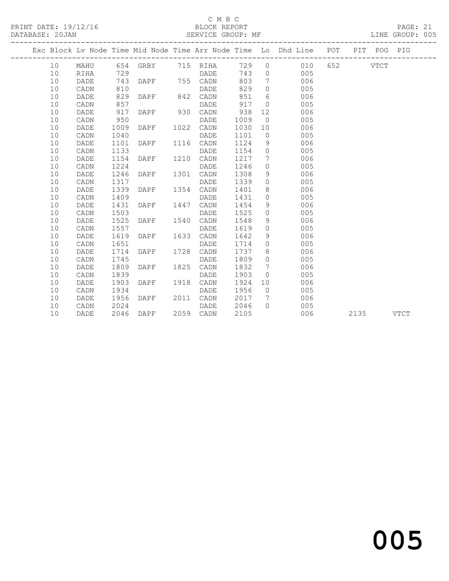### C M B C<br>BLOCK REPORT

#### SERVICE GROUP: MF

|  |      |             |      |      |      |                       |      |                 | Exc Block Lv Node Time Mid Node Time Arr Node Time Lo Dhd Line POT PIT POG PIG |      |             |
|--|------|-------------|------|------|------|-----------------------|------|-----------------|--------------------------------------------------------------------------------|------|-------------|
|  | 10   | MAHU        |      |      |      | 654 GRBY 715 RIHA 729 |      | $\circ$         | 010 652 VTCT                                                                   |      |             |
|  | 10   | <b>RIHA</b> | 729  |      |      | DADE                  | 743  | $\circ$         | 005                                                                            |      |             |
|  | 10   | DADE        | 743  | DAPF |      | 755 CADN              | 803  | $7\overline{ }$ | 006                                                                            |      |             |
|  | 10   | CADN        | 810  |      |      | DADE                  | 829  | $\circ$         | 005                                                                            |      |             |
|  | 10   | DADE        | 829  | DAPF | 842  | CADN                  | 851  | 6               | 006                                                                            |      |             |
|  | 10   | CADN        | 857  |      |      | DADE                  | 917  | $\Omega$        | 005                                                                            |      |             |
|  | 10   | DADE        | 917  | DAPF | 930  | CADN                  | 938  | 12              | 006                                                                            |      |             |
|  | 10   | CADN        | 950  |      |      | DADE                  | 1009 | $\overline{0}$  | 005                                                                            |      |             |
|  | 10   | DADE        | 1009 | DAPF | 1022 | CADN                  | 1030 | 10              | 006                                                                            |      |             |
|  | 10   | CADN        | 1040 |      |      | DADE                  | 1101 | $\overline{0}$  | 005                                                                            |      |             |
|  | 10   | DADE        | 1101 | DAPF |      | 1116 CADN             | 1124 | 9               | 006                                                                            |      |             |
|  | $10$ | CADN        | 1133 |      |      | DADE                  | 1154 | $\circ$         | 005                                                                            |      |             |
|  | 10   | DADE        | 1154 | DAPF | 1210 | CADN                  | 1217 | 7               | 006                                                                            |      |             |
|  | 10   | CADN        | 1224 |      |      | DADE                  | 1246 | $\circ$         | 005                                                                            |      |             |
|  | 10   | DADE        | 1246 | DAPF | 1301 | CADN                  | 1308 | 9               | 006                                                                            |      |             |
|  | 10   | CADN        | 1317 |      |      | DADE                  | 1339 | $\circ$         | 005                                                                            |      |             |
|  | 10   | DADE        | 1339 | DAPF | 1354 | CADN                  | 1401 | 8               | 006                                                                            |      |             |
|  | $10$ | CADN        | 1409 |      |      | DADE                  | 1431 | $\circ$         | 005                                                                            |      |             |
|  | 10   | DADE        | 1431 | DAPF | 1447 | CADN                  | 1454 | 9               | 006                                                                            |      |             |
|  | 10   | CADN        | 1503 |      |      | DADE                  | 1525 | $\circ$         | 005                                                                            |      |             |
|  | 10   | DADE        | 1525 | DAPF | 1540 | CADN                  | 1548 | 9               | 006                                                                            |      |             |
|  | 10   | CADN        | 1557 |      |      | DADE                  | 1619 | $\circ$         | 005                                                                            |      |             |
|  | 10   | DADE        | 1619 | DAPF | 1633 | CADN                  | 1642 | 9               | 006                                                                            |      |             |
|  | 10   | CADN        | 1651 |      |      | DADE                  | 1714 | $\circ$         | 005                                                                            |      |             |
|  | 10   | DADE        | 1714 | DAPF | 1728 | CADN                  | 1737 | 8               | 006                                                                            |      |             |
|  | 10   | CADN        | 1745 |      |      | DADE                  | 1809 | $\Omega$        | 005                                                                            |      |             |
|  | $10$ | DADE        | 1809 | DAPF | 1825 | CADN                  | 1832 | 7               | 006                                                                            |      |             |
|  | 10   | CADN        | 1839 |      |      | DADE                  | 1903 | $\circ$         | 005                                                                            |      |             |
|  | 10   | DADE        | 1903 | DAPF | 1918 | CADN                  | 1924 | 10              | 006                                                                            |      |             |
|  | 10   | CADN        | 1934 |      |      | DADE                  | 1956 | $\bigcirc$      | 005                                                                            |      |             |
|  | 10   | DADE        | 1956 | DAPF | 2011 | CADN                  | 2017 | $\overline{7}$  | 006                                                                            |      |             |
|  | 10   | CADN        | 2024 |      |      | DADE                  | 2046 | $\Omega$        | 005                                                                            |      |             |
|  | 10   | DADE        | 2046 | DAPF |      | 2059 CADN             | 2105 |                 | 006                                                                            | 2135 | <b>VTCT</b> |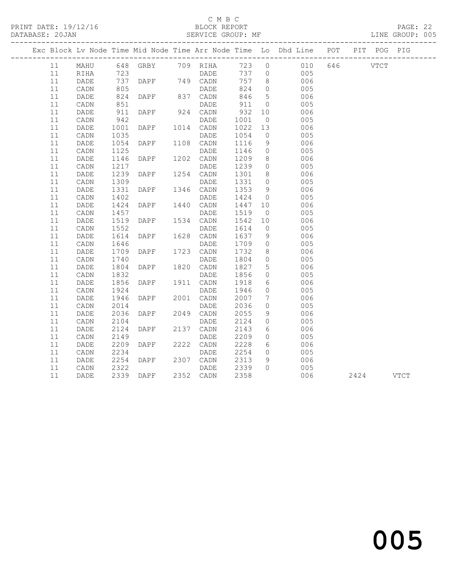### C M B C<br>BLOCK REPORT

PAGE: 22<br>LINE GROUP: 005

|    |                 |            |               |                   |       |                 | Exc Block Lv Node Time Mid Node Time Arr Node Time Lo Dhd Line POT |          | PIT POG PIG |      |
|----|-----------------|------------|---------------|-------------------|-------|-----------------|--------------------------------------------------------------------|----------|-------------|------|
| 11 | MAHU            |            |               | 648 GRBY 709 RIHA | 723 0 |                 | 010                                                                | 646 VTCT |             |      |
| 11 | RIHA            | 723        |               | <b>DADE</b>       |       |                 | 737 0<br>005                                                       |          |             |      |
| 11 | DADE            | 737        | DAPF 749 CADN |                   | 757   | 8 <sup>8</sup>  | 006                                                                |          |             |      |
| 11 | CADN            | 805        |               | DADE              | 824   | $\overline{0}$  | 005                                                                |          |             |      |
| 11 | DADE            | 824        | DAPF          | 837 CADN          | 846   | $5\overline{)}$ | 006                                                                |          |             |      |
| 11 | $\mathtt{CADN}$ | 851        |               | DADE              | 911   | $\overline{0}$  | 005                                                                |          |             |      |
| 11 | DADE            | 911<br>942 | DAPF          | 924 CADN          | 932   | 10              | 006                                                                |          |             |      |
| 11 | CADN            |            |               | DADE              | 1001  | $\overline{0}$  | 005                                                                |          |             |      |
| 11 | DADE            | 1001       | DAPF          | 1014 CADN         | 1022  | 13              | 006                                                                |          |             |      |
| 11 | CADN            | 1035       |               | DADE              | 1054  | $\overline{0}$  | 005                                                                |          |             |      |
| 11 | DADE            | 1054       | DAPF          | 1108 CADN         | 1116  | 9               | 006                                                                |          |             |      |
| 11 | $\mathtt{CADN}$ | 1125       |               | DADE              | 1146  | $\overline{0}$  | 005                                                                |          |             |      |
| 11 | DADE            | 1146       | DAPF          | 1202 CADN         | 1209  | 8 <sup>8</sup>  | 006                                                                |          |             |      |
| 11 | CADN            | 1217       |               | DADE              | 1239  | $\overline{0}$  | 005                                                                |          |             |      |
| 11 | DADE            | 1239       | DAPF          | 1254 CADN         | 1301  | 8 <sup>8</sup>  | 006                                                                |          |             |      |
| 11 | CADN            | 1309       |               | DADE              | 1331  | $\overline{0}$  | 005                                                                |          |             |      |
| 11 | DADE            | 1331       | DAPF          | 1346 CADN         | 1353  | 9               | 006                                                                |          |             |      |
| 11 | CADN            | 1402       |               | DADE              | 1424  | $\overline{0}$  | 005                                                                |          |             |      |
| 11 | DADE            | 1424       | DAPF          | 1440 CADN         | 1447  | 10              | 006                                                                |          |             |      |
| 11 | CADN            | 1457       |               | DADE              | 1519  | $\overline{0}$  | 005                                                                |          |             |      |
| 11 | DADE            | 1519       | DAPF          | 1534 CADN         | 1542  | 10              | 006                                                                |          |             |      |
| 11 | $\mathtt{CADN}$ | 1552       |               | DADE              | 1614  | $\overline{0}$  | 005                                                                |          |             |      |
| 11 | DADE            | 1614       | DAPF          | 1628 CADN         | 1637  | 9               | 006                                                                |          |             |      |
| 11 | CADN            | 1646       |               | DADE              | 1709  | $\overline{0}$  | 005                                                                |          |             |      |
| 11 | DADE            | 1709       | DAPF          | 1723 CADN         | 1732  | 8               | 006                                                                |          |             |      |
| 11 | CADN            | 1740       |               | DADE              | 1804  | $\circ$         | 005                                                                |          |             |      |
| 11 | DADE            | 1804       | DAPF          | 1820 CADN         | 1827  | 5               | 006                                                                |          |             |      |
| 11 | CADN            | 1832       |               | DADE              | 1856  | $\circ$         | 005                                                                |          |             |      |
| 11 | DADE            | 1856       | DAPF          | 1911 CADN         | 1918  | 6               | 006                                                                |          |             |      |
| 11 | CADN            | 1924       |               | DADE              | 1946  | $\circ$         | 005                                                                |          |             |      |
| 11 | DADE            | 1946       | DAPF          | 2001 CADN         | 2007  | $7\overline{ }$ | 006                                                                |          |             |      |
| 11 | CADN            | 2014       |               | DADE              | 2036  | $\circ$         | 005                                                                |          |             |      |
| 11 | DADE            | 2036       | DAPF          | 2049 CADN         | 2055  | 9               | 006                                                                |          |             |      |
| 11 | CADN            | 2104       |               | DADE              | 2124  | $\circ$         | 005                                                                |          |             |      |
| 11 | DADE            | 2124       | DAPF          | 2137 CADN         | 2143  | 6               | 006                                                                |          |             |      |
| 11 | CADN            | 2149       |               | DADE              | 2209  | $\circ$         | 005                                                                |          |             |      |
| 11 | DADE            | 2209       | DAPF          | 2222 CADN         | 2228  | 6               | 006                                                                |          |             |      |
| 11 | $\mathtt{CADN}$ | 2234       |               | DADE              | 2254  | $\circ$         | 005                                                                |          |             |      |
| 11 | DADE            | 2254       | DAPF          | 2307 CADN         | 2313  | 9               | 006                                                                |          |             |      |
| 11 | CADN            | 2322       |               | DADE              | 2339  | $\cap$          | 005                                                                |          |             |      |
| 11 | DADE            | 2339       | DAPF          | 2352 CADN         | 2358  |                 | 006                                                                | 2424     |             | VTCT |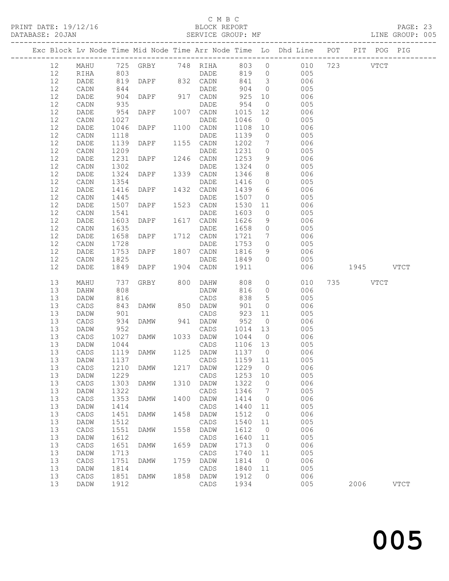### C M B C<br>BLOCK REPORT

#### SERVICE GROUP: MF

|  |          |                   |              |               |      |                                   |                   |                     | Exc Block Lv Node Time Mid Node Time Arr Node Time Lo Dhd Line POT | PIT POG PIG |             |
|--|----------|-------------------|--------------|---------------|------|-----------------------------------|-------------------|---------------------|--------------------------------------------------------------------|-------------|-------------|
|  | 12       | MAHU              |              |               |      |                                   |                   |                     | 725 GRBY 748 RIHA 803 0 010 723 VTCT                               |             |             |
|  | 12       | RIHA              |              |               |      | DADE 819 0<br>DAPF 832 CADN 841 3 |                   |                     | 005                                                                |             |             |
|  | 12       | DADE              | 803<br>819   |               |      |                                   |                   |                     | 006                                                                |             |             |
|  | 12       | CADN              | 844          |               |      | DADE                              | 904               | $\overline{0}$      | 005                                                                |             |             |
|  | 12       | DADE              | 904          | DAPF 917 CADN |      |                                   | 925               | 10                  | 006                                                                |             |             |
|  | 12       | CADN              | 935          |               |      | DADE                              | 954               | $\overline{0}$      | 005                                                                |             |             |
|  | 12       | DADE              | 954          | DAPF          |      | 1007 CADN                         | 1015              | 12                  | 006                                                                |             |             |
|  | 12       | CADN              | 1027         |               |      | DADE                              | 1046              | $\overline{0}$      | 005                                                                |             |             |
|  | 12       | DADE              | 1046         | DAPF          |      | 1100 CADN                         | 1108              | 10                  | 006                                                                |             |             |
|  | 12       | CADN              | 1118         |               |      | DADE                              | 1139              | $\overline{0}$      | 005                                                                |             |             |
|  | 12       | DADE              | 1139         | DAPF          |      | 1155 CADN                         | 1202              | $7\overline{ }$     | 006                                                                |             |             |
|  | 12       | CADN              | 1209         |               |      | DADE                              | 1231              | $\overline{0}$      | 005                                                                |             |             |
|  | 12       | DADE              | 1231         | DAPF          |      | 1246 CADN                         | 1253              | 9                   | 006                                                                |             |             |
|  | 12       | $\mathtt{CADN}$   | 1302         |               |      | DADE                              | 1324              | $\overline{0}$      | 005                                                                |             |             |
|  | 12       | DADE              | 1324         | DAPF          |      | 1339 CADN                         | 1346              | 8 <sup>8</sup>      | 006                                                                |             |             |
|  | 12       | CADN              | 1354         |               |      | DADE                              | 1416              | $\overline{0}$      | 005                                                                |             |             |
|  | 12       | DADE              | 1416         | DAPF          |      | 1432 CADN                         | 1439              | $6\overline{6}$     | 006                                                                |             |             |
|  | 12       | CADN              | 1445         |               |      | DADE                              | 1507              | $\overline{0}$      | 005                                                                |             |             |
|  | 12       | DADE              | 1507<br>1541 | DAPF          |      | 1523 CADN                         | 1530 11           |                     | 006                                                                |             |             |
|  | 12<br>12 | CADN              | 1603         | DAPF          |      | DADE<br>1617 CADN                 | 1603<br>1626      | $\overline{0}$      | 005<br>006                                                         |             |             |
|  | 12       | DADE<br>CADN      | 1635         |               |      | DADE                              | 1658              | 9<br>$\overline{0}$ | 005                                                                |             |             |
|  | 12       | DADE              | 1658         | DAPF          |      | 1712 CADN                         | 1721              | $7\overline{ }$     | 006                                                                |             |             |
|  | 12       | CADN              | 1728         |               |      | DADE                              | 1753              | $\overline{0}$      | 005                                                                |             |             |
|  | 12       | DADE              | 1753         | DAPF          |      | 1807 CADN                         | 1816              | 9                   | 006                                                                |             |             |
|  | 12       | CADN              | 1825         |               |      | DADE                              | 1849              | $\overline{0}$      | 005                                                                |             |             |
|  | 12       | DADE              | 1849         | DAPF          |      | 1904 CADN                         | 1911              |                     | 006                                                                | 1945 VTCT   |             |
|  |          |                   |              |               |      |                                   |                   |                     |                                                                    |             |             |
|  | 13       | MAHU              | 737          | GRBY 800 DAHW |      |                                   | 808               |                     | $\overline{0}$<br>010                                              | 735 VTCT    |             |
|  | 13       | DAHW              | 808          |               |      | DADW                              | 816               | $\overline{O}$      | 006                                                                |             |             |
|  | 13       | DADW              | 816          |               |      | CADS                              | 838               | 5 <sup>5</sup>      | 005                                                                |             |             |
|  | 13       | CADS              | 843          | <b>DAMW</b>   |      | 850 DADW                          | 901               | $\circ$             | 006                                                                |             |             |
|  | 13       | DADW              | 901          |               |      | CADS                              | 923               | 11                  | 005                                                                |             |             |
|  | 13       | CADS              | 934          | DAMW          |      | 941 DADW                          | 952               | $\overline{0}$      | 006                                                                |             |             |
|  | 13       | DADW              | 952<br>1027  |               |      | CADS                              | 1014              | 13                  | 005                                                                |             |             |
|  | 13<br>13 | CADS              | 1044         | DAMW          |      | 1033 DADW                         | 1044 0<br>1106 13 |                     | 006                                                                |             |             |
|  | 13       | DADW<br>CADS      | 1119         | DAMW          |      | CADS<br>1125 DADW                 | 1137 0            |                     | 005<br>006                                                         |             |             |
|  | 13       | DADW              | 1137         |               |      | CADS                              | 1159 11           |                     | 005                                                                |             |             |
|  |          | 13 CADS 1210 DAMW |              |               |      | 1217 DADW 1229 0                  |                   |                     | 006                                                                |             |             |
|  | 13       | DADW              | 1229         |               |      | CADS                              | 1253              | 10                  | 005                                                                |             |             |
|  | 13       | CADS              | 1303         | DAMW          | 1310 | DADW                              | 1322              | 0                   | 006                                                                |             |             |
|  | 13       | DADW              | 1322         |               |      | CADS                              | 1346              | 7                   | 005                                                                |             |             |
|  | 13       | CADS              | 1353         | DAMW          | 1400 | DADW                              | 1414              | $\circ$             | 006                                                                |             |             |
|  | 13       | DADW              | 1414         |               |      | $\mathtt{CADS}$                   | 1440              | 11                  | 005                                                                |             |             |
|  | 13       | CADS              | 1451         | DAMW          | 1458 | DADW                              | 1512              | $\overline{0}$      | 006                                                                |             |             |
|  | 13       | DADW              | 1512         |               |      | CADS                              | 1540              | 11                  | 005                                                                |             |             |
|  | 13       | CADS              | 1551         | DAMW          | 1558 | DADW                              | 1612              | $\overline{0}$      | 006                                                                |             |             |
|  | 13       | DADW              | 1612         |               |      | CADS                              | 1640              | 11                  | 005                                                                |             |             |
|  | 13       | CADS              | 1651         | DAMW          | 1659 | DADW                              | 1713              | $\overline{0}$      | 006                                                                |             |             |
|  | 13       | DADW              | 1713         |               |      | CADS                              | 1740              | 11                  | 005                                                                |             |             |
|  | 13       | CADS              | 1751         | DAMW          | 1759 | DADW                              | 1814              | $\circ$             | 006                                                                |             |             |
|  | 13       | DADW              | 1814         |               |      | CADS                              | 1840              | 11                  | 005                                                                |             |             |
|  | 13<br>13 | CADS<br>DADW      | 1851<br>1912 | DAMW          | 1858 | DADW<br>CADS                      | 1912<br>1934      | $\mathbf{0}$        | 006<br>005                                                         | 2006        | <b>VTCT</b> |
|  |          |                   |              |               |      |                                   |                   |                     |                                                                    |             |             |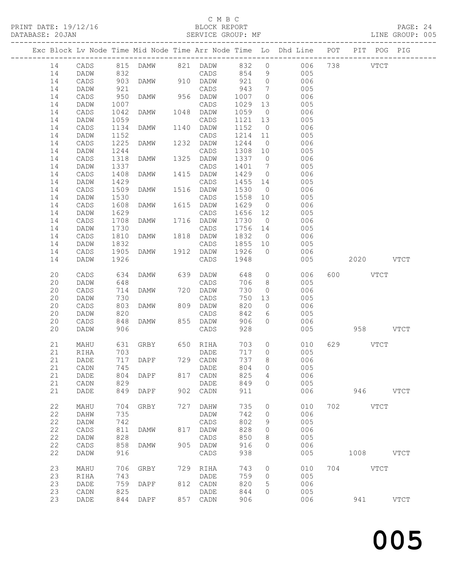### C M B C<br>BLOCK REPORT

|          |              |                |                   |     |                             |            |                 | Exc Block Lv Node Time Mid Node Time Arr Node Time Lo Dhd Line POT PIT POG PIG |          |             |             |
|----------|--------------|----------------|-------------------|-----|-----------------------------|------------|-----------------|--------------------------------------------------------------------------------|----------|-------------|-------------|
| 14       | CADS         |                |                   |     |                             |            |                 | 815 DAMW 821 DADW 832 0 006 738 VTCT                                           |          |             |             |
| 14       | DADW         | 832            |                   |     | CADS 854 9                  |            |                 | 005                                                                            |          |             |             |
| 14       | CADS         |                | 903 DAMW          |     | 910 DADW                    | 921 0      |                 | 006                                                                            |          |             |             |
| 14       | DADW         | 921            |                   |     | CADS                        | 943        | $\overline{7}$  | 005                                                                            |          |             |             |
| 14       | CADS         | 950            | DAMW              |     | 956 DADW                    | 1007       | $\overline{0}$  | 006                                                                            |          |             |             |
| 14       | DADW         | 1007           |                   |     | CADS                        | 1029       | 13              | 005                                                                            |          |             |             |
| 14       | CADS         | 1042           | DAMW              |     | 1048 DADW                   | 1059       | $\overline{0}$  | 006                                                                            |          |             |             |
| 14       | DADW         | 1059           |                   |     | CADS                        | 1121 13    |                 | 005                                                                            |          |             |             |
| 14       | CADS         | 1134           | DAMW              |     | 1140 DADW                   | 1152 0     |                 | 006                                                                            |          |             |             |
| 14       | DADW         | 1152           |                   |     | CADS                        | 1214 11    |                 | 005                                                                            |          |             |             |
| 14       | CADS         | 1225           | DAMW 1232 DADW    |     |                             | 1244       | $\overline{0}$  | 006                                                                            |          |             |             |
| 14       | DADW         | 1244           |                   |     | CADS                        | 1308 10    |                 | 005                                                                            |          |             |             |
| 14       | CADS         | 1318           | DAMW              |     | 1325 DADW                   | 1337 0     |                 | 006                                                                            |          |             |             |
| 14       | DADW         | 1337           |                   |     | CADS                        | 1401       | $7\overline{ }$ | 005                                                                            |          |             |             |
| 14       | CADS         | 1408           | DAMW              |     | 1415 DADW                   | 1429 0     |                 | 006                                                                            |          |             |             |
| 14       | DADW         | 1429           |                   |     | CADS                        | 1455 14    |                 | 005                                                                            |          |             |             |
| 14       | CADS         | 1509           | DAMW              |     | 1516 DADW                   | 1530       | $\overline{0}$  | 006                                                                            |          |             |             |
| 14       | DADW         | 1530           |                   |     | CADS                        | 1558 10    |                 | 005                                                                            |          |             |             |
| 14       | CADS         | 1608           | DAMW              |     | 1615 DADW                   | 1629       | $\overline{0}$  | 006                                                                            |          |             |             |
| 14       | DADW         | 1629           |                   |     | CADS                        | 1656 12    |                 | 005                                                                            |          |             |             |
| 14       | CADS         | 1708           | DAMW              |     | 1716 DADW                   | 1730       | $\overline{0}$  | 006                                                                            |          |             |             |
| 14       | DADW         | 1730           |                   |     | CADS                        | 1756 14    |                 | 005                                                                            |          |             |             |
| 14       | CADS         | 1810           | DAMW 1818 DADW    |     |                             |            |                 | 1832 0<br>006                                                                  |          |             |             |
| 14       | DADW         | 1832           |                   |     | CADS                        | 1855 10    |                 | 005                                                                            |          |             |             |
| 14       | CADS         | 1905           | DAMW              |     | 1912 DADW                   | 1926       | $\overline{0}$  | 006                                                                            |          |             |             |
| 14       | DADW         | 1926           |                   |     | CADS                        | 1948       |                 | 005                                                                            |          | 2020 VTCT   |             |
|          |              |                |                   |     |                             |            |                 |                                                                                |          |             |             |
| 20       | CADS         | 634            | DAMW              |     | 639 DADW                    |            |                 | 648 0<br>006                                                                   | 600 VTCT |             |             |
| 20       | DADW         |                |                   |     | CADS                        | 706        | 8 <sup>8</sup>  | 005                                                                            |          |             |             |
| 20       | CADS         | $648$<br>$714$ | DAMW              |     | 720 DADW                    | 730        | $\overline{0}$  | 006                                                                            |          |             |             |
| 20       | DADW         | 730            |                   |     | CADS                        |            | 750 13          | 005                                                                            |          |             |             |
| 20       | CADS         | 803            | DAMW              |     | 809 DADW                    | 820        | $\overline{0}$  | 006                                                                            |          |             |             |
| 20       | DADW         | 820            |                   |     | CADS                        | 842        | 6               | 005                                                                            |          |             |             |
| 20       | CADS         | 848            | DAMW              |     | 855 DADW                    | 906        | $\circ$         | 006                                                                            |          |             |             |
| 20       | DADW         | 906            |                   |     | CADS                        | 928        |                 | 005                                                                            |          | 958 VTCT    |             |
|          |              |                |                   |     |                             |            |                 |                                                                                |          |             |             |
| 21       | MAHU         | 631            | GRBY 650 RIHA     |     |                             | 703        | $\overline{0}$  | 010                                                                            | 629 VTCT |             |             |
| 21       | RIHA         | 703            |                   |     | DADE                        |            | 717 0           | 005                                                                            |          |             |             |
| 21       | DADE         |                | 717 DAPF 729 CADN |     |                             | 737        | 8               | 006                                                                            |          |             |             |
|          | 21 CADN      |                | 745 DADE          |     |                             | 804 0      |                 | 005                                                                            |          |             |             |
| 21       | DADE         | 804            | DAPF              | 817 | CADN                        | 825        | 4               | 006                                                                            |          |             |             |
| 21       | CADN         | 829            |                   |     | DADE                        | 849        | $\circ$         | 005                                                                            |          |             |             |
| 21       | DADE         | 849            | DAPF              |     | 902 CADN                    | 911        |                 | 006                                                                            | 946      |             | <b>VTCT</b> |
|          |              |                |                   |     |                             |            |                 |                                                                                |          |             |             |
| 22       | MAHU         | 704            | GRBY              | 727 | DAHW                        | 735        | 0               | 010                                                                            | 702 VTCT |             |             |
| 22       | DAHW         | 735            |                   |     | DADW                        | 742        | $\circ$         | 006                                                                            |          |             |             |
| 22<br>22 | DADW         | 742            |                   |     | $\mathtt{CADS}$             | 802        | 9               | 005                                                                            |          |             |             |
| 22       | CADS         | 811            | DAMW              |     | 817 DADW                    | 828        | 0               | 006                                                                            |          |             |             |
| 22       | DADW         | 828<br>858     |                   |     | $\mathtt{CADS}$             | 850<br>916 | 8<br>$\Omega$   | 005<br>006                                                                     |          |             |             |
| 22       | CADS<br>DADW | 916            | DAMW              |     | 905 DADW<br>$\mathtt{CADS}$ | 938        |                 | 005                                                                            |          | $1008$ VTCT |             |
|          |              |                |                   |     |                             |            |                 |                                                                                |          |             |             |
| 23       | MAHU         | 706            | GRBY              | 729 | RIHA                        | 743        | $\circ$         | 010                                                                            | 704 VTCT |             |             |
| 23       | RIHA         | 743            |                   |     | DADE                        | 759        | $\circ$         | 005                                                                            |          |             |             |
| 23       | DADE         | 759            | DAPF              |     | 812 CADN                    | 820        | 5               | 006                                                                            |          |             |             |
| 23       | CADN         | 825            |                   |     | DADE                        | 844        | 0               | 005                                                                            |          |             |             |
| 23       | DADE         | 844            | DAPF              |     | 857 CADN                    | 906        |                 | 006                                                                            | 941      |             | <b>VTCT</b> |
|          |              |                |                   |     |                             |            |                 |                                                                                |          |             |             |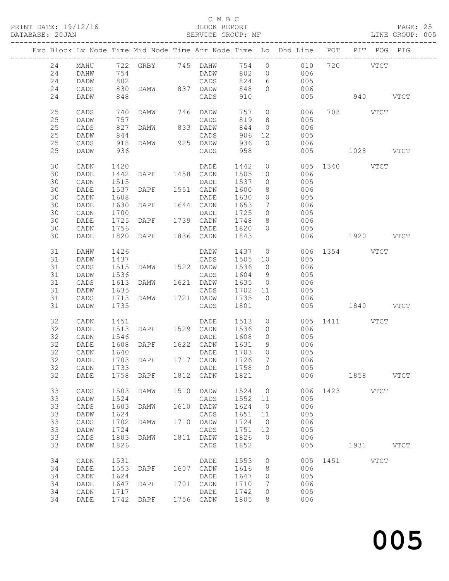#### C M B C

|    |              |            |                     |      | PRINT DATE: 19/12/16 BLOCK REPORT DATABASE: 20JAN SERVICE GROUP: |         |                | BLOCK REPORT<br>SERVICE GROUP: MF                                                                                                                                                      |               |          |      | PAGE: 25<br>LINE GROUP: 005 |  |
|----|--------------|------------|---------------------|------|------------------------------------------------------------------|---------|----------------|----------------------------------------------------------------------------------------------------------------------------------------------------------------------------------------|---------------|----------|------|-----------------------------|--|
|    |              |            |                     |      |                                                                  |         |                | Exc Block Lv Node Time Mid Node Time Arr Node Time Lo Dhd Line POT PIT POG PIG                                                                                                         |               |          |      |                             |  |
|    |              |            |                     |      |                                                                  |         |                | $\begin{tabular}{lcccccc} 24 & MAHU & 722 & GRBY & 745 & DAHW & 754 & 0 & 010 & 720 & VTCT \\ 24 & DAHW & 754 & DADW & 802 & 0 & 006 & & & & & & & & \\ \end{tabular}$                 |               |          |      |                             |  |
|    |              |            |                     |      |                                                                  |         |                |                                                                                                                                                                                        |               |          |      |                             |  |
| 24 | DADW         | 802        |                     |      | CADS                                                             | 824     |                | 6 005                                                                                                                                                                                  |               |          |      |                             |  |
| 24 | CADS         | 830        | DAMW 837 DADW       |      |                                                                  | 848     |                | 0 0 0 0 0 6                                                                                                                                                                            |               |          |      |                             |  |
| 24 | DADW         | 848        |                     |      | CADS                                                             | 910     |                |                                                                                                                                                                                        | 005 940 VTCT  |          |      |                             |  |
| 25 | CADS         | 740        | DAMW 746 DADW       |      |                                                                  | 757     |                | $\overline{O}$<br>006                                                                                                                                                                  |               | 703 VTCT |      |                             |  |
| 25 | DADW         | 757        |                     |      | CADS                                                             | 819     | 8 <sup>8</sup> | 005                                                                                                                                                                                    |               |          |      |                             |  |
| 25 | CADS         | 827<br>844 | DAMW 833 DADW       |      |                                                                  | 844     |                | 006<br>$\frac{0}{2}$                                                                                                                                                                   |               |          |      |                             |  |
| 25 | DADW         |            |                     |      | CADS                                                             | 906     | 12             | 005                                                                                                                                                                                    |               |          |      |                             |  |
| 25 | CADS         | 918        | <b>DAMW</b>         |      | 925 DADW                                                         | 936     | $\overline{0}$ | 006                                                                                                                                                                                    |               |          |      |                             |  |
| 25 | DADW         | 936        |                     |      | CADS                                                             | 958     |                |                                                                                                                                                                                        | 005 1028 VTCT |          |      |                             |  |
| 30 | CADN         | 1420       |                     |      | DADE                                                             | 1442    |                | $\overline{0}$                                                                                                                                                                         | 005 1340 VTCT |          |      |                             |  |
| 30 | DADE         | 1442       | DAPF 1458 CADN      |      |                                                                  | 1505 10 |                | 006                                                                                                                                                                                    |               |          |      |                             |  |
| 30 | CADN         | 1515       |                     |      | DADE                                                             | 1537    | $\overline{0}$ | 005                                                                                                                                                                                    |               |          |      |                             |  |
| 30 | DADE         | 1537       | DAPF 1551 CADN      |      |                                                                  | 1600    | 8              | 006                                                                                                                                                                                    |               |          |      |                             |  |
| 30 | CADN         | 1608       |                     |      | DADE                                                             | 1630    | $\overline{0}$ | 005                                                                                                                                                                                    |               |          |      |                             |  |
| 30 | DADE         | 1630       | DAPF 1644 CADN      |      |                                                                  | 1653    | $\overline{7}$ | 006                                                                                                                                                                                    |               |          |      |                             |  |
| 30 | CADN         | 1700       |                     |      | DADE                                                             | 1725    | $\circ$        | 005                                                                                                                                                                                    |               |          |      |                             |  |
| 30 | DADE         | 1725       | DAPF 1739 CADN      |      |                                                                  | 1748    | 8              | 006                                                                                                                                                                                    |               |          |      |                             |  |
| 30 | CADN         | 1756       |                     |      | DADE                                                             | 1820    | $\circ$        | 005                                                                                                                                                                                    |               |          |      |                             |  |
| 30 | DADE         | 1820       | DAPF 1836 CADN      |      |                                                                  | 1843    |                | 006                                                                                                                                                                                    | 1920 VTCT     |          |      |                             |  |
| 31 | DAHW         | 1426       |                     |      | DADW                                                             | 1437    |                | $\overline{O}$                                                                                                                                                                         | 006 1354 VTCT |          |      |                             |  |
| 31 | DADW         | 1437       |                     |      | CADS                                                             | 1505 10 |                | 005                                                                                                                                                                                    |               |          |      |                             |  |
| 31 | CADS         | 1515       | DAMW 1522 DADW      |      |                                                                  | 1536    | $\overline{0}$ | 006                                                                                                                                                                                    |               |          |      |                             |  |
| 31 | DADW         | 1536       |                     |      | CADS                                                             | 1604    | 9              | 005                                                                                                                                                                                    |               |          |      |                             |  |
| 31 | CADS         | 1613       | DAMW 1621 DADW      |      |                                                                  | 1635    | $\overline{0}$ | 006                                                                                                                                                                                    |               |          |      |                             |  |
| 31 | DADW         | 1635       |                     |      | CADS                                                             | 1702 11 |                | 005                                                                                                                                                                                    |               |          |      |                             |  |
| 31 | CADS         | 1713       | DAMW                |      | 1721 DADW                                                        | 1735    | $\bigcirc$     | 006                                                                                                                                                                                    |               |          |      |                             |  |
| 31 | DADW         | 1735       |                     |      | CADS                                                             | 1801    |                |                                                                                                                                                                                        | 005 1840 VTCT |          |      |                             |  |
| 32 | CADN         |            |                     |      |                                                                  |         |                | $\begin{tabular}{lcccccc} 1451 & & & \text{DADE} & & 1513 & 0 & & 005 & 1411 & & & \text{VTCT} \\ 1513 & \text{DAPF} & & 1529 & \text{CADN} & & 1536 & 10 & & 006 & & & \end{tabular}$ |               |          |      |                             |  |
| 32 | DADE         |            |                     |      |                                                                  |         |                |                                                                                                                                                                                        |               |          |      |                             |  |
| 32 | CADN         | 1546       |                     |      | DADE                                                             | 1608    | $\overline{0}$ | 005                                                                                                                                                                                    |               |          |      |                             |  |
| 32 | DADE         |            | 1608 DAPF 1622 CADN |      |                                                                  | 1631    | 9              | 006                                                                                                                                                                                    |               |          |      |                             |  |
|    | 32 CADN 1640 |            |                     |      | DADE 1703 0                                                      |         |                | 005                                                                                                                                                                                    |               |          |      |                             |  |
| 32 | DADE         | 1703       | DAPF                | 1717 | CADN                                                             | 1726    | 7              | 006                                                                                                                                                                                    |               |          |      |                             |  |
| 32 | CADN         | 1733       |                     |      | DADE                                                             | 1758    | $\circ$        | 005                                                                                                                                                                                    |               |          |      |                             |  |
| 32 | DADE         | 1758       | DAPF                | 1812 | CADN                                                             | 1821    |                | 006                                                                                                                                                                                    |               |          | 1858 | <b>VTCT</b>                 |  |
| 33 | CADS         | 1503       | <b>DAMW</b>         | 1510 | DADW                                                             | 1524    | 0              | 006                                                                                                                                                                                    | 1423          | VTCT     |      |                             |  |
| 33 | DADW         | 1524       |                     |      | CADS                                                             | 1552    | 11             | 005                                                                                                                                                                                    |               |          |      |                             |  |
| 33 | CADS         | 1603       | <b>DAMW</b>         | 1610 | DADW                                                             | 1624    | $\mathbf{0}$   | 006                                                                                                                                                                                    |               |          |      |                             |  |
| 33 | DADW         | 1624       |                     |      | CADS                                                             | 1651    | 11             | 005                                                                                                                                                                                    |               |          |      |                             |  |
| 33 | CADS         | 1702       | DAMW                | 1710 | DADW                                                             | 1724    | $\circ$        | 006                                                                                                                                                                                    |               |          |      |                             |  |
| 33 | DADW         | 1724       |                     |      | $\mathtt{CADS}$                                                  | 1751    | 12             | 005                                                                                                                                                                                    |               |          |      |                             |  |
| 33 | CADS         | 1803       | DAMW                | 1811 | <b>DADW</b>                                                      | 1826    | $\circ$        | 006                                                                                                                                                                                    |               |          |      |                             |  |
| 33 | DADW         | 1826       |                     |      | CADS                                                             | 1852    |                | 005                                                                                                                                                                                    |               | 1931     |      | <b>VTCT</b>                 |  |
| 34 | CADN         | 1531       |                     |      | DADE                                                             | 1553    | 0              | 005                                                                                                                                                                                    | 1451          |          | VTCT |                             |  |
| 34 | DADE         | 1553       | DAPF                | 1607 | CADN                                                             | 1616    | 8              | 006                                                                                                                                                                                    |               |          |      |                             |  |
| 34 | CADN         | 1624       |                     |      | DADE                                                             | 1647    | 0              | 005                                                                                                                                                                                    |               |          |      |                             |  |
| 34 | DADE         | 1647       | DAPF                | 1701 | CADN                                                             | 1710    | 7              | 006                                                                                                                                                                                    |               |          |      |                             |  |
| 34 | CADN         | 1717       |                     |      | DADE                                                             | 1742    | 0              | 005                                                                                                                                                                                    |               |          |      |                             |  |
| 34 | DADE         | 1742       | DAPF                | 1756 | CADN                                                             | 1805    | 8              | 006                                                                                                                                                                                    |               |          |      |                             |  |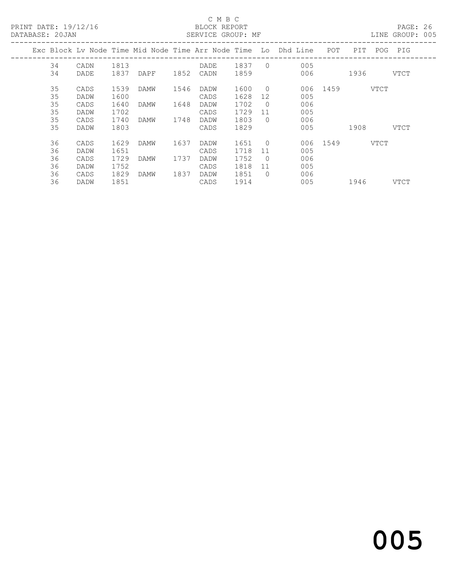#### C M B C<br>BLOCK REPORT DATABASE: 20JAN SERVICE GROUP: MF LINE GROUP: 005

|      |            |     |                                  |                                                                                |          | POG PIG                            |
|------|------------|-----|----------------------------------|--------------------------------------------------------------------------------|----------|------------------------------------|
| 1837 |            | 005 |                                  |                                                                                |          |                                    |
| 1859 |            | 006 |                                  |                                                                                |          | VTCT                               |
| 1600 | $\bigcirc$ |     |                                  |                                                                                |          |                                    |
| 1628 | 12         | 005 |                                  |                                                                                |          |                                    |
| 1702 | $\bigcirc$ | 006 |                                  |                                                                                |          |                                    |
| 1729 | 11         | 005 |                                  |                                                                                |          |                                    |
| 1803 | $\bigcirc$ | 006 |                                  |                                                                                |          |                                    |
| 1829 |            | 005 |                                  | 1908                                                                           |          | VTCT                               |
| 1651 | $\bigcirc$ |     |                                  |                                                                                |          |                                    |
| 1718 | 11         | 005 |                                  |                                                                                |          |                                    |
| 1752 | $\bigcirc$ | 006 |                                  |                                                                                |          |                                    |
| 1818 | 11         | 005 |                                  |                                                                                |          |                                    |
| 1851 |            | 006 |                                  |                                                                                |          |                                    |
| 1914 |            | 005 |                                  | 1946                                                                           |          | VTCT                               |
|      |            |     | $\overline{0}$<br>$\overline{O}$ | Exc Block Ly Node Time Mid Node Time Arr Node Time Lo Dhd Line POT<br>006 1459 | 006 1549 | PIT<br>1936<br><b>VTCT</b><br>VTCT |

# and the contract of  $\sim$  005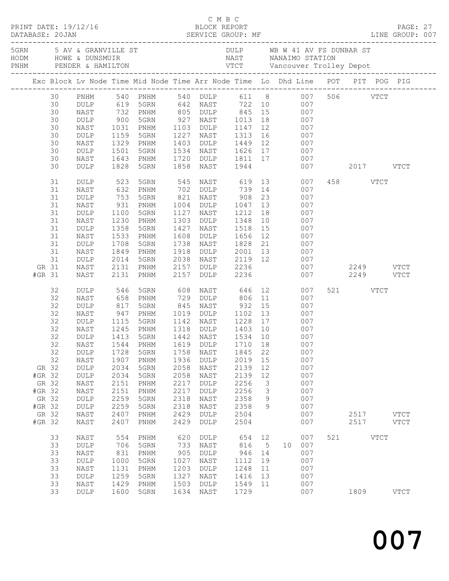| C M B C<br>PRINT DATE: 19/12/16 BLOCK REPORT PAGE: 27<br>DATABASE: 20JAN SERVICE GROUP: MF LINE GROUP: 007 |                                                                                                                     |                                                                                                                                                 |                                                                                                                                |                                                                                                                                                           |                                                                                     |                                                                                                                                                                                          |                                                                                         |                                                     |                                                                                                                                                                                                                                                                                                                                                                                                                                   |     |                           |             |                              |
|------------------------------------------------------------------------------------------------------------|---------------------------------------------------------------------------------------------------------------------|-------------------------------------------------------------------------------------------------------------------------------------------------|--------------------------------------------------------------------------------------------------------------------------------|-----------------------------------------------------------------------------------------------------------------------------------------------------------|-------------------------------------------------------------------------------------|------------------------------------------------------------------------------------------------------------------------------------------------------------------------------------------|-----------------------------------------------------------------------------------------|-----------------------------------------------------|-----------------------------------------------------------------------------------------------------------------------------------------------------------------------------------------------------------------------------------------------------------------------------------------------------------------------------------------------------------------------------------------------------------------------------------|-----|---------------------------|-------------|------------------------------|
|                                                                                                            |                                                                                                                     |                                                                                                                                                 |                                                                                                                                |                                                                                                                                                           |                                                                                     |                                                                                                                                                                                          |                                                                                         |                                                     | 5 AV & GRANVILLE ST AN AU DULP WE WALLE WE SUNDAR ST NORM AND HOWE & DUNSMUIR<br>FRIM TENDER & HAMILTON TENDER & HAMILTON TENDER & HAMILTON TENDER & HAMILTON TENDER AND MANUS TENDER AND TENDER AND TENDER AND MANUS TENDER AND                                                                                                                                                                                                  |     |                           |             |                              |
|                                                                                                            |                                                                                                                     |                                                                                                                                                 |                                                                                                                                |                                                                                                                                                           |                                                                                     |                                                                                                                                                                                          |                                                                                         |                                                     | Exc Block Lv Node Time Mid Node Time Arr Node Time Lo Dhd Line POT PIT POG PIG                                                                                                                                                                                                                                                                                                                                                    |     |                           |             |                              |
|                                                                                                            | 30 PNHM<br>30<br>30<br>30<br>30<br>30<br>30<br>30<br>30<br>30<br>31<br>31<br>31<br>31<br>31<br>31<br>31<br>31<br>31 | DULP<br>NAST<br>DULP<br>NAST<br>DULP<br>NAST<br>DULP<br>NAST<br>DULP<br>DULP<br>NAST<br>DULP<br>NAST<br>DULP<br>NAST<br>DULP<br>NAST<br>DULP    | 732<br>900<br>1031<br>1159<br>1329<br>1501<br>1643<br>1828<br>523<br>632<br>753<br>931<br>1100<br>1230<br>1358<br>1533<br>1708 | PNHM<br>5GRN<br>PNHM<br>5GRN<br>PNHM<br>5GRN<br>5GRN<br>PNHM<br>5GRN<br>PNHM<br>5GRN<br>PNHM<br>5GRN<br>PNHM<br>5GRN                                      | 1858<br>821<br>1004<br>1427<br>1608<br>1738                                         | NAST<br>NAST 908 23<br>NAST 1518                                                                                                                                                         | 1944                                                                                    |                                                     | 540 PNHM 540 DULP 611 8 007 506 VTCT<br>619 5GRN 642 NAST 722 10 007<br>907 927 931 927 945 15<br>927 NAST 1013 18<br>927 NAST 1013 18<br>907 PNHM 1103 DULP 1147 12<br>1227 NAST 1313 16 007<br>1403 DULP 1449 12 007<br>1534 NAST 1626 17 007<br>1720 DULP 1811 17 007<br>545 NAST 619 13 007<br>702 DULP 739 14 007<br>007<br>DULP 1047 13 007<br>1127 NAST 1212 18 007<br>1303 DULP 1348 10 007<br>15 007<br>DULP 1656 12 007 |     | 007 2017 VTCT<br>458 VTCT |             |                              |
| GR 31<br>#GR 31                                                                                            | 31<br>31                                                                                                            | NAST<br>DULP<br>NAST<br>NAST                                                                                                                    | 1849<br>2014<br>2131<br>2131                                                                                                   | PNHM<br>5GRN<br>PNHM<br>PNHM                                                                                                                              | 1918<br>2038<br>2157<br>2157                                                        | DULP 2236<br><b>DULP</b>                                                                                                                                                                 | 2236                                                                                    |                                                     | NAST 1828 21 007<br>DULP 2001 13 007<br>NAST 2119 12 007<br>007 2249 VTCT                                                                                                                                                                                                                                                                                                                                                         |     | 007 2249 VTCT             |             |                              |
| GR 32<br>#GR 32<br>GR 32<br>#GR 32<br>GR 32<br>#GR 32<br>GR 32<br>#GR 32                                   | 32<br>32<br>32<br>32<br>32<br>32<br>32<br>32<br>32                                                                  | DULP<br>NAST<br>$\texttt{DULP}$<br>NAST<br>DULP<br>NAST<br>DULP<br>DULP<br>NAST<br>DULP<br>DULP<br>NAST<br>NAST<br>DULP<br>DULP<br>NAST<br>NAST | 546<br>658<br>817<br>947<br>1115<br>1245<br>1728<br>1907<br>2034<br>2034<br>2151<br>2151<br>2259<br>2259<br>2407<br>2407       | 5GRN<br>PNHM<br>5GRN<br>PNHM<br>PNHM<br>1413 5GRN<br>5GRN<br>PNHM<br>5GRN<br>5GRN<br>PNHM<br>PNHM<br>5GRN<br>5GRN<br>$\mathop{\rm PNHM}\nolimits$<br>PNHM | 608<br>1758<br>1936<br>2058<br>2058<br>2217<br>2217<br>2318<br>2318<br>2429<br>2429 | NAST 646 12<br>729 DULP 806 11<br>845 NAST 932 15<br>1019 DULP 1102 13<br>1318 DULP 1403 10<br>1442 NAST<br>NAST<br>DULP<br>NAST<br>NAST<br>DULP<br>DULP<br>NAST<br>NAST<br>DULP<br>DULP | 1534 10<br>1845<br>2019<br>2139<br>2139<br>2256<br>2256<br>2358<br>2358<br>2504<br>2504 | 22<br>15<br>12<br>12<br>3<br>3<br>9<br>9            | 007<br>007<br>007<br>007<br>5GRN 1142 NAST 1228 17 007<br>007<br>007<br>32 NAST 1544 PNHM 1619 DULP 1710 18 007<br>007<br>007<br>007<br>007<br>007<br>007<br>007<br>007<br>007<br>007                                                                                                                                                                                                                                             |     | 521 VTCT<br>2517<br>2517  |             | $_{\rm VTCT}$<br><b>VTCT</b> |
|                                                                                                            | 33<br>33<br>33<br>33<br>33<br>33<br>33<br>33                                                                        | NAST<br>DULP<br>NAST<br>DULP<br>NAST<br>DULP<br>NAST<br>DULP                                                                                    | 554<br>706<br>831<br>1000<br>1131<br>1259<br>1429<br>1600                                                                      | PNHM<br>5GRN<br>PNHM<br>5GRN<br>PNHM<br>5GRN<br>PNHM<br>5GRN                                                                                              | 620<br>733<br>905<br>1027<br>1203<br>1327<br>1503<br>1634                           | <b>DULP</b><br>NAST<br>DULP<br>NAST<br>DULP<br>NAST<br>DULP<br>NAST                                                                                                                      | 654<br>816<br>946<br>1112<br>1248<br>1416<br>1549<br>1729                               | 12<br>$5\phantom{.0}$<br>14<br>19<br>11<br>13<br>11 | 007<br>10<br>007<br>007<br>007<br>007<br>007<br>007<br>007                                                                                                                                                                                                                                                                                                                                                                        | 521 | 1809                      | <b>VTCT</b> | <b>VTCT</b>                  |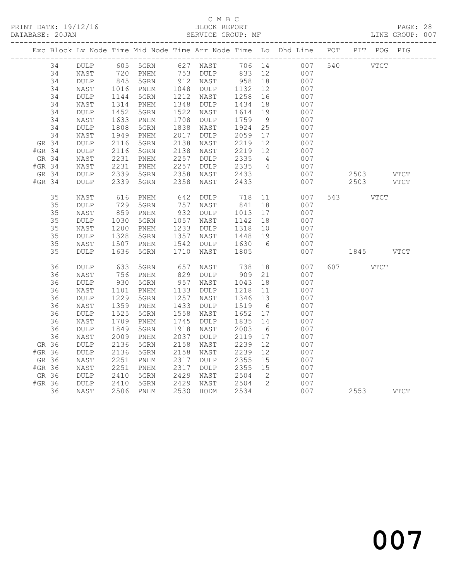#### C M B C DATABASE: 20JAN SERVICE GROUP: MF LINE GROUP: 007

|        |                 |              |                              |      |                      |                  |                | Exc Block Lv Node Time Mid Node Time Arr Node Time Lo Dhd Line POT PIT POG PIG |             |  |
|--------|-----------------|--------------|------------------------------|------|----------------------|------------------|----------------|--------------------------------------------------------------------------------|-------------|--|
| 34     | DULP            |              |                              |      |                      |                  |                | 605 5GRN 627 NAST 706 14 007                                                   | 540 VTCT    |  |
| 34     | NAST            | 720<br>845   | PNHM                         |      | 753 DULP<br>912 NAST | 833 12<br>958 18 |                | 007                                                                            |             |  |
| 34     | DULP            |              | 5GRN                         |      |                      |                  |                | 007                                                                            |             |  |
| 34     | NAST            | 1016         | PNHM                         | 1048 | DULP                 | 1132             | 12             | 007                                                                            |             |  |
| 34     | DULP            | 1144         | 5GRN                         | 1212 | NAST                 | 1258             | 16             | 007                                                                            |             |  |
| 34     | NAST            | 1314         | PNHM                         | 1348 | DULP                 | 1434             | 18             | 007                                                                            |             |  |
| 34     | $\texttt{DULP}$ | 1452         | 5GRN                         | 1522 | NAST                 | 1614             | 19             | 007                                                                            |             |  |
| 34     | NAST            | 1633         | PNHM                         | 1708 | $\texttt{DULP}$      | 1759             | 9              | 007                                                                            |             |  |
| 34     | DULP            | 1808         | 5GRN                         | 1838 | NAST                 | 1924             | 25             | 007                                                                            |             |  |
| 34     | NAST            | 1949         | PNHM                         | 2017 | DULP                 | 2059             | 17             | 007                                                                            |             |  |
| GR 34  | DULP            | 2116         | 5GRN                         | 2138 | NAST                 | 2219             | 12             | 007                                                                            |             |  |
| #GR 34 | $\texttt{DULP}$ | 2116         | 5GRN                         | 2138 | NAST                 | 2219             | 12             | 007                                                                            |             |  |
| GR 34  | NAST            | 2231         | PNHM                         | 2257 | DULP                 | 2335             | $\overline{4}$ | 007                                                                            |             |  |
| #GR 34 | NAST            | 2231         | PNHM                         | 2257 | DULP                 | 2335             | $\overline{4}$ | 007                                                                            |             |  |
| GR 34  | DULP            | 2339         | 5GRN                         | 2358 | NAST                 | 2433             |                | 007                                                                            | $2503$ VTCT |  |
| #GR 34 | <b>DULP</b>     | 2339         | 5GRN                         | 2358 | NAST                 | 2433             |                | 007                                                                            | 2503 VTCT   |  |
| 35     | NAST            | 616          | PNHM                         | 642  | DULP                 | 718<br>841       | 11             | 007                                                                            | 543 VTCT    |  |
| 35     | $\texttt{DULP}$ | 729          | 5GRN                         | 757  | NAST                 |                  | 18             | 007                                                                            |             |  |
| 35     | NAST            | 859          | PNHM                         | 932  | DULP                 | 1013             | 17             | 007                                                                            |             |  |
| 35     | <b>DULP</b>     | 1030         | 5GRN                         | 1057 | NAST                 | 1142             | 18             | 007                                                                            |             |  |
| 35     | NAST            | 1200         | PNHM                         | 1233 | DULP                 | 1318             | 10             | 007                                                                            |             |  |
| 35     | <b>DULP</b>     | 1328         | 5GRN                         | 1357 | NAST                 | 1448             | 19             | 007                                                                            |             |  |
| 35     | NAST            | 1507         | PNHM                         | 1542 | DULP                 | 1630             | 6              | 007                                                                            |             |  |
| 35     | $\texttt{DULP}$ | 1636         | 5GRN                         | 1710 | NAST                 | 1805             |                | 007                                                                            | 1845 VTCT   |  |
| 36     | DULP            | 633          | 5GRN                         | 657  | NAST                 | 738              |                | 18 18<br>007                                                                   | 607 VTCT    |  |
| 36     | NAST            | 756          | PNHM                         | 829  | DULP                 | 909              | 21             | 007                                                                            |             |  |
| 36     | <b>DULP</b>     | 930          | 5GRN                         | 957  | NAST                 | 1043             | 18             | 007                                                                            |             |  |
| 36     | NAST            | 1101         | PNHM                         | 1133 | DULP                 | 1218             | 11             | 007                                                                            |             |  |
| 36     | $\texttt{DULP}$ | 1229         | 5GRN                         | 1257 | NAST                 | 1346             | 13             | 007                                                                            |             |  |
| 36     | NAST            | 1359         | PNHM                         | 1433 | $\texttt{DULP}$      | 1519             | 6              | 007                                                                            |             |  |
| 36     | $\texttt{DULP}$ | 1525         | 5GRN                         | 1558 | NAST                 | 1652             | 17             | 007                                                                            |             |  |
| 36     | NAST            | 1709         | PNHM                         | 1745 | <b>DULP</b>          | 1835             | 14             | 007                                                                            |             |  |
| 36     | <b>DULP</b>     | 1849         | 5GRN                         | 1918 | NAST                 | 2003             | 6              | 007                                                                            |             |  |
| 36     | NAST            | 2009         | PNHM                         | 2037 | $\texttt{DULP}$      | 2119             | 17             | 007                                                                            |             |  |
| GR 36  | $\texttt{DULP}$ | 2136         | 5GRN                         | 2158 | NAST                 | 2239             | 12             | 007                                                                            |             |  |
| #GR 36 | $\texttt{DULP}$ | 2136         | 5GRN                         | 2158 | NAST                 | 2239             | 12             | 007                                                                            |             |  |
| GR 36  | NAST            | 2251         | $\mathop{\rm PNHM}\nolimits$ | 2317 | $\texttt{DULP}$      | 2355             | 15             | 007                                                                            |             |  |
| #GR 36 | NAST            | 2251         | PNHM                         | 2317 | $\texttt{DULP}$      | 2355             | 15             | 007                                                                            |             |  |
| GR 36  | <b>DULP</b>     | 2410         | 5GRN                         | 2429 | NAST                 | 2504             | $\overline{2}$ | 007                                                                            |             |  |
| #GR 36 | DULP            | 2410<br>2506 | 5GRN                         | 2429 | NAST                 | 2504             | $\overline{2}$ | 007                                                                            |             |  |
| 36     | NAST            |              | 2506 PNHM                    | 2530 | HODM                 | 2534             |                | 007                                                                            | 2553 VTCT   |  |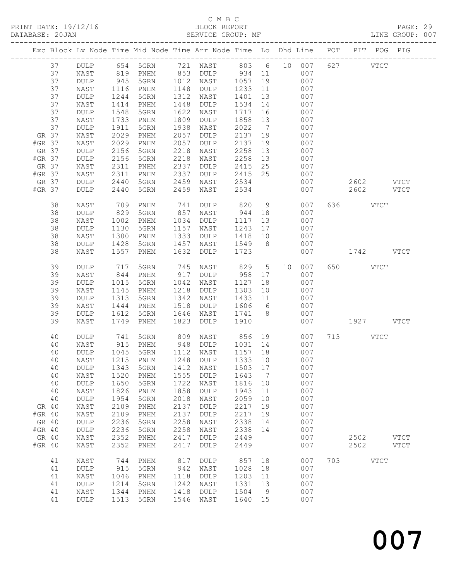#### C M B C<br>BLOCK REPORT SERVICE GROUP: MF

|                 |                              |              | Exc Block Lv Node Time Mid Node Time Arr Node Time Lo Dhd Line POT |              |                 |              |                                    |    |            |     |              |             | PIT POG PIG |
|-----------------|------------------------------|--------------|--------------------------------------------------------------------|--------------|-----------------|--------------|------------------------------------|----|------------|-----|--------------|-------------|-------------|
| 37              | DULP                         | 654          | 5GRN                                                               | 721          | NAST            | 803          | $6\overline{6}$                    | 10 | 007        | 627 |              | <b>VTCT</b> |             |
| 37              | NAST                         | 819          | PNHM                                                               | 853          | $\texttt{DULP}$ | 934          | 11                                 |    | 007        |     |              |             |             |
| 37              | DULP                         | 945          | 5GRN                                                               | 1012         | NAST            | 1057         | 19                                 |    | 007        |     |              |             |             |
| 37              | NAST                         | 1116         | PNHM                                                               | 1148         | DULP            | 1233         | 11                                 |    | 007        |     |              |             |             |
| 37              | DULP                         | 1244         | 5GRN                                                               | 1312         | NAST            | 1401         | 13                                 |    | 007        |     |              |             |             |
| 37              | NAST                         | 1414         | $\mathop{\rm PNHM}\nolimits$                                       | 1448         | DULP            | 1534         | 14                                 |    | 007        |     |              |             |             |
| 37              | DULP                         | 1548         | 5GRN                                                               | 1622         | NAST            | 1717         | 16                                 |    | 007        |     |              |             |             |
| 37              | NAST                         | 1733         | PNHM                                                               | 1809         | DULP            | 1858         | 13<br>$7\phantom{.0}\phantom{.0}7$ |    | 007        |     |              |             |             |
| 37<br>GR 37     | <b>DULP</b><br>NAST          | 1911<br>2029 | 5GRN<br>PNHM                                                       | 1938<br>2057 | NAST<br>DULP    | 2022<br>2137 | 19                                 |    | 007<br>007 |     |              |             |             |
| #GR 37          | NAST                         | 2029         | PNHM                                                               | 2057         | DULP            | 2137         | 19                                 |    | 007        |     |              |             |             |
| GR 37           | DULP                         | 2156         | 5GRN                                                               | 2218         | NAST            | 2258         | 13                                 |    | 007        |     |              |             |             |
| #GR 37          | DULP                         | 2156         | 5GRN                                                               | 2218         | NAST            | 2258         | 13                                 |    | 007        |     |              |             |             |
| GR 37           | NAST                         | 2311         | PNHM                                                               | 2337         | DULP            | 2415         | 25                                 |    | 007        |     |              |             |             |
| #GR 37          | NAST                         | 2311         | PNHM                                                               | 2337         | DULP            | 2415         | 25                                 |    | 007        |     |              |             |             |
| GR 37           | DULP                         | 2440         | 5GRN                                                               | 2459         | NAST            | 2534         |                                    |    | 007        |     | 2602         |             | <b>VTCT</b> |
| #GR 37          | <b>DULP</b>                  | 2440         | 5GRN                                                               | 2459         | NAST            | 2534         |                                    |    | 007        |     | 2602         |             | <b>VTCT</b> |
|                 |                              |              |                                                                    |              |                 |              |                                    |    |            |     |              |             |             |
| 38              | NAST                         | 709          | PNHM                                                               | 741          | DULP            | 820          | 9                                  |    | 007        | 636 |              | <b>VTCT</b> |             |
| 38              | DULP                         | 829          | 5GRN                                                               | 857          | NAST            | 944          | 18                                 |    | 007        |     |              |             |             |
| 38              | NAST                         | 1002         | PNHM                                                               | 1034         | DULP            | 1117         | 13                                 |    | 007        |     |              |             |             |
| 38<br>38        | DULP                         | 1130         | 5GRN                                                               | 1157<br>1333 | NAST            | 1243         | 17                                 |    | 007<br>007 |     |              |             |             |
| 38              | NAST<br>DULP                 | 1300<br>1428 | PNHM<br>5GRN                                                       | 1457         | DULP<br>NAST    | 1418<br>1549 | 10<br>8                            |    | 007        |     |              |             |             |
| 38              | NAST                         | 1557         | PNHM                                                               | 1632         | <b>DULP</b>     | 1723         |                                    |    | 007        |     | 1742         |             | <b>VTCT</b> |
|                 |                              |              |                                                                    |              |                 |              |                                    |    |            |     |              |             |             |
| 39              | DULP                         | 717          | 5GRN                                                               | 745          | NAST            | 829          | 5                                  | 10 | 007        | 650 |              | <b>VTCT</b> |             |
| 39              | NAST                         | 844          | PNHM                                                               | 917          | DULP            | 958          | 17                                 |    | 007        |     |              |             |             |
| 39              | DULP                         | 1015         | 5GRN                                                               | 1042         | NAST            | 1127         | 18                                 |    | 007        |     |              |             |             |
| 39              | NAST                         | 1145         | PNHM                                                               | 1218         | DULP            | 1303         | 10                                 |    | 007        |     |              |             |             |
| 39              | DULP                         | 1313         | 5GRN                                                               | 1342         | NAST            | 1433         | 11                                 |    | 007        |     |              |             |             |
| 39              | NAST                         | 1444         | PNHM                                                               | 1518         | DULP            | 1606         | 6                                  |    | 007        |     |              |             |             |
| 39              | DULP                         | 1612         | 5GRN                                                               | 1646         | NAST            | 1741         | 8                                  |    | 007        |     |              |             |             |
| 39              | NAST                         | 1749         | PNHM                                                               | 1823         | <b>DULP</b>     | 1910         |                                    |    | 007        |     | 1927         |             | <b>VTCT</b> |
| 40              | DULP                         | 741          | 5GRN                                                               | 809          | NAST            | 856          | 19                                 |    | 007        | 713 |              | <b>VTCT</b> |             |
| 40              | NAST                         | 915          | PNHM                                                               | 948          | DULP            | 1031         | 14                                 |    | 007        |     |              |             |             |
| 40              | DULP                         | 1045         | 5GRN                                                               | 1112         | NAST            | 1157         | 18                                 |    | 007        |     |              |             |             |
| 40              | NAST                         | 1215         | PNHM                                                               | 1248         | <b>DULP</b>     | 1333         | 10                                 |    | 007        |     |              |             |             |
| 40              | DULP                         |              | 1343 5GRN                                                          |              | 1412 NAST       | 1503 17      |                                    |    | 007        |     |              |             |             |
| 40              | NAST                         | 1520         | PNHM                                                               | 1555         | <b>DULP</b>     | 1643         | 7                                  |    | 007        |     |              |             |             |
| 40              | DULP                         | 1650         | 5GRN                                                               | 1722         | NAST            | 1816         | 10                                 |    | 007        |     |              |             |             |
| 40              | NAST                         | 1826         | PNHM                                                               | 1858         | DULP            | 1943         | 11                                 |    | 007        |     |              |             |             |
| 40              | DULP                         | 1954         | 5GRN                                                               | 2018         | NAST            | 2059         | 10                                 |    | 007        |     |              |             |             |
| GR 40           | $\ensuremath{\mathsf{NAST}}$ | 2109         | PNHM                                                               | 2137         | <b>DULP</b>     | 2217         | 19                                 |    | 007        |     |              |             |             |
| #GR 40          | NAST                         | 2109         | PNHM                                                               | 2137         | <b>DULP</b>     | 2217         | 19                                 |    | 007        |     |              |             |             |
| GR 40           | DULP                         | 2236         | 5GRN                                                               | 2258         | NAST            | 2338         | 14                                 |    | 007        |     |              |             |             |
| #GR 40          | DULP                         | 2236         | 5GRN                                                               | 2258         | NAST            | 2338         | 14                                 |    | 007        |     |              |             |             |
| GR 40<br>#GR 40 | NAST                         | 2352         | $\mathop{\rm PNHM}\nolimits$                                       | 2417<br>2417 | DULP            | 2449         |                                    |    | 007<br>007 |     | 2502<br>2502 |             | <b>VTCT</b> |
|                 | NAST                         | 2352         | PNHM                                                               |              | DULP            | 2449         |                                    |    |            |     |              |             | <b>VTCT</b> |
| 41              | NAST                         | 744          | PNHM                                                               | 817          | <b>DULP</b>     | 857          | 18                                 |    | 007        | 703 |              | <b>VTCT</b> |             |
| 41              | DULP                         | 915          | 5GRN                                                               | 942          | NAST            | 1028         | 18                                 |    | 007        |     |              |             |             |
| 41              | NAST                         | 1046         | PNHM                                                               | 1118         | DULP            | 1203         | 11                                 |    | 007        |     |              |             |             |
| 41              | DULP                         | 1214         | 5GRN                                                               | 1242         | NAST            | 1331         | 13                                 |    | 007        |     |              |             |             |
| 41              | NAST                         | 1344         | PNHM                                                               | 1418         | <b>DULP</b>     | 1504         | 9                                  |    | 007        |     |              |             |             |
| 41              | DULP                         | 1513         | 5GRN                                                               | 1546         | NAST            | 1640         | 15                                 |    | 007        |     |              |             |             |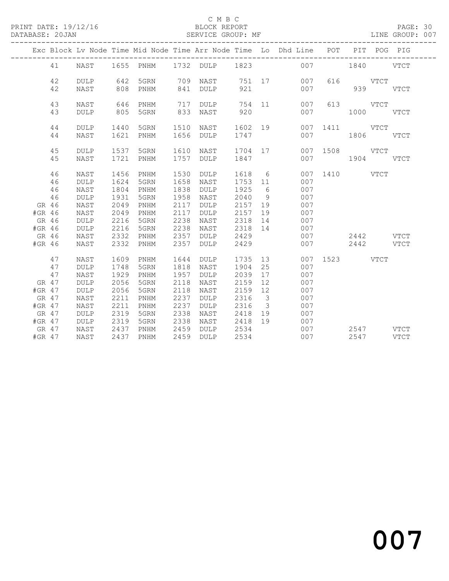### C M B C<br>BLOCK REPORT

PAGE: 30<br>LINE GROUP: 007

|          |    |                 |      |                              |      |                 |         |                         | Exc Block Lv Node Time Mid Node Time Arr Node Time Lo Dhd Line POT PIT POG PIG |               |               |             |
|----------|----|-----------------|------|------------------------------|------|-----------------|---------|-------------------------|--------------------------------------------------------------------------------|---------------|---------------|-------------|
|          | 41 | NAST            |      |                              |      |                 |         |                         | 1655 PNHM 1732 DULP 1823 007                                                   |               | 1840 VTCT     |             |
|          | 42 | <b>DULP</b>     | 642  | 5GRN                         | 709  | NAST            |         |                         | 751 17<br>007                                                                  |               | 616 VTCT      |             |
|          | 42 | NAST            | 808  | PNHM                         | 841  | DULP            | 921     |                         | 007                                                                            |               | 939           | <b>VTCT</b> |
|          | 43 | NAST            | 646  | PNHM                         | 717  | DULP            |         |                         | 754 11<br>007                                                                  |               | 613 VTCT      |             |
|          | 43 | <b>DULP</b>     | 805  | 5GRN                         | 833  | NAST            | 920     |                         | 007                                                                            |               | $1000$ $VTCT$ |             |
|          | 44 | <b>DULP</b>     | 1440 | 5GRN                         | 1510 | NAST            | 1602 19 |                         |                                                                                | 007 1411 VTCT |               |             |
|          | 44 | NAST            | 1621 | PNHM                         | 1656 | DULP            | 1747    |                         | 007                                                                            |               | 1806 VTCT     |             |
|          | 45 | $\texttt{DULP}$ | 1537 | 5GRN                         | 1610 | NAST            | 1704 17 |                         |                                                                                | 007 1508      | VTCT          |             |
|          | 45 | NAST            | 1721 | PNHM                         | 1757 | <b>DULP</b>     | 1847    |                         | 007                                                                            |               | 1904 VTCT     |             |
|          | 46 | NAST            | 1456 | PNHM                         | 1530 | DULP            | 1618 6  |                         |                                                                                | 007 1410 VTCT |               |             |
|          | 46 | <b>DULP</b>     | 1624 | 5GRN                         | 1658 | NAST            | 1753 11 |                         | 007                                                                            |               |               |             |
|          | 46 | NAST            | 1804 | PNHM                         | 1838 | DULP            | 1925    | 6                       | 007                                                                            |               |               |             |
|          | 46 | <b>DULP</b>     | 1931 | 5GRN                         | 1958 | NAST            | 2040    | 9                       | 007                                                                            |               |               |             |
| GR 46    |    | NAST            | 2049 | $\mathop{\rm PNHM}\nolimits$ | 2117 | $\texttt{DULP}$ | 2157    | 19                      | 007                                                                            |               |               |             |
| #GR 46   |    | NAST            | 2049 | PNHM                         | 2117 | DULP            | 2157    | 19                      | 007                                                                            |               |               |             |
| GR 46    |    | <b>DULP</b>     | 2216 | 5GRN                         | 2238 | NAST            | 2318    | 14                      | 007                                                                            |               |               |             |
| #GR 46   |    | <b>DULP</b>     | 2216 | 5GRN                         | 2238 | NAST            | 2318 14 |                         | 007                                                                            |               |               |             |
| GR 46    |    | NAST            | 2332 | PNHM                         | 2357 | <b>DULP</b>     | 2429    |                         | 007                                                                            |               | 2442 VTCT     |             |
| #GR 46   |    | NAST            | 2332 | PNHM                         | 2357 | <b>DULP</b>     | 2429    |                         | 007                                                                            |               | 2442 VTCT     |             |
|          | 47 | NAST            | 1609 | PNHM                         | 1644 | <b>DULP</b>     | 1735    | 13                      |                                                                                | 007 1523 VTCT |               |             |
|          | 47 | <b>DULP</b>     | 1748 | 5GRN                         | 1818 | NAST            | 1904    | 25                      | 007                                                                            |               |               |             |
|          | 47 | NAST            | 1929 | PNHM                         | 1957 | DULP            | 2039    | 17                      | 007                                                                            |               |               |             |
| GR 47    |    | <b>DULP</b>     | 2056 | 5GRN                         | 2118 | NAST            | 2159    | 12                      | 007                                                                            |               |               |             |
| #GR 47   |    | <b>DULP</b>     | 2056 | 5GRN                         | 2118 | NAST            | 2159    | 12                      | 007                                                                            |               |               |             |
| GR 47    |    | NAST            | 2211 | PNHM                         | 2237 | DULP            | 2316    | $\overline{\mathbf{3}}$ | 007                                                                            |               |               |             |
| #GR 47   |    | NAST            | 2211 | PNHM                         | 2237 | DULP            | 2316    | $\overline{\mathbf{3}}$ | 007                                                                            |               |               |             |
| GR 47    |    | DULP            | 2319 | 5GRN                         | 2338 | NAST            | 2418    | 19                      | 007                                                                            |               |               |             |
| $#GR$ 47 |    | <b>DULP</b>     | 2319 | 5GRN                         | 2338 | NAST            | 2418    | 19                      | 007                                                                            |               |               |             |
| GR 47    |    | NAST            | 2437 | $\mathop{\rm PNHM}\nolimits$ | 2459 | <b>DULP</b>     | 2534    |                         | 007                                                                            |               | 2547 VTCT     |             |
| $#GR$ 47 |    | NAST            | 2437 | PNHM                         | 2459 | <b>DULP</b>     | 2534    |                         | 007                                                                            |               | 2547          | <b>VTCT</b> |

# and 2007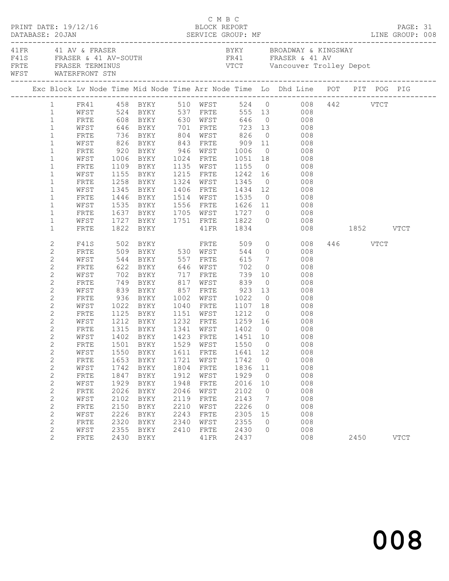| DATABASE: 20JAN |                                         | PRINT DATE: 19/12/16                                                                             |              |                                |              | C M B C<br>BLOCK REPORT |                                       |                 |                                                                                                                                                                                                    | PAGE: 31 |             |  |
|-----------------|-----------------------------------------|--------------------------------------------------------------------------------------------------|--------------|--------------------------------|--------------|-------------------------|---------------------------------------|-----------------|----------------------------------------------------------------------------------------------------------------------------------------------------------------------------------------------------|----------|-------------|--|
|                 |                                         | 41 FR 41 AV & FRASER<br>F41S FRASER & 41 AV-SOUTH<br>FRTE FRASER TERMINUS<br>WEST WATERFRONT STN |              |                                |              |                         |                                       |                 | BYKY BROADWAY & KINGSWAY<br>FR41 FRASER & 41 AV<br>VTCT Vancouver Trolley Depot                                                                                                                    |          |             |  |
|                 |                                         |                                                                                                  |              |                                |              |                         |                                       |                 | Exc Block Lv Node Time Mid Node Time Arr Node Time Lo Dhd Line POT PIT POG PIG                                                                                                                     |          |             |  |
|                 |                                         |                                                                                                  |              |                                |              |                         |                                       |                 |                                                                                                                                                                                                    |          |             |  |
|                 |                                         |                                                                                                  |              |                                |              |                         |                                       |                 | 1 FR41 458 BYKY 510 WFST 524 0 008 442 VTCT<br>1 WFST 524 BYKY 537 FRTE 555 13 008                                                                                                                 |          |             |  |
|                 | $\mathbf{1}$                            | FRTE 608 BYKY 630 WFST 646 0 008                                                                 |              |                                |              |                         |                                       |                 |                                                                                                                                                                                                    |          |             |  |
|                 | $\mathbf{1}$                            | WFST                                                                                             |              |                                |              |                         |                                       |                 |                                                                                                                                                                                                    |          |             |  |
|                 | $\mathbf{1}$                            | FRTE                                                                                             |              |                                |              |                         |                                       |                 | 646 BYKY       701   FRTE       723   13             008<br>736   BYKY        804   WFST        826     0               008<br>826   BYKY         843   FRTE          909    11                008 |          |             |  |
|                 | $\mathbf{1}$                            | WFST                                                                                             |              |                                |              |                         |                                       |                 |                                                                                                                                                                                                    |          |             |  |
|                 | $\mathbf{1}$                            | FRTE                                                                                             |              | 920 BYKY 946 WFST 1006         |              |                         |                                       |                 | $0$ 008                                                                                                                                                                                            |          |             |  |
|                 | $\mathbf{1}$                            | WFST                                                                                             | 1006         | BYKY 1024 FRTE 1051 18         |              |                         |                                       |                 | 008                                                                                                                                                                                                |          |             |  |
|                 | $\mathbf{1}$                            | FRTE                                                                                             |              |                                |              |                         |                                       |                 |                                                                                                                                                                                                    |          |             |  |
|                 | $\mathbf{1}$                            | WFST                                                                                             |              |                                |              |                         |                                       |                 | 1109 BYKY 1135 WFST 1155 0 008<br>1155 BYKY 1215 FRTE 1242 16 008                                                                                                                                  |          |             |  |
|                 | $\mathbf{1}$                            | FRTE                                                                                             |              | 1258 BYKY                      |              |                         | 1324 WFST 1345                        |                 | $0 \qquad \qquad 008$                                                                                                                                                                              |          |             |  |
|                 | $\mathbf{1}$                            | WFST                                                                                             | 1345         | BYKY 1406 FRTE 1434 12         |              |                         |                                       |                 | 008                                                                                                                                                                                                |          |             |  |
|                 | $\mathbf{1}$                            | FRTE                                                                                             |              |                                |              |                         |                                       |                 |                                                                                                                                                                                                    |          |             |  |
|                 | $\mathbf{1}$                            | WFST                                                                                             |              |                                |              |                         |                                       |                 |                                                                                                                                                                                                    |          |             |  |
|                 | $\mathbf{1}$                            | FRTE                                                                                             |              |                                |              |                         |                                       |                 | 1637 BYKY 1705 WFST 1727 0 008                                                                                                                                                                     |          |             |  |
|                 | $\mathbf{1}$                            | WFST                                                                                             |              |                                |              |                         |                                       |                 | 1727 BYKY 1751 FRTE 1822 0 008                                                                                                                                                                     |          |             |  |
|                 | $\mathbf{1}$                            | FRTE                                                                                             |              | 1822 BYKY                      |              | 41FR                    | 1834                                  |                 | 008 1852 VTCT                                                                                                                                                                                      |          |             |  |
|                 | 2                                       |                                                                                                  |              | F41S 502 BYKY FRTE 509         |              |                         |                                       |                 | $0 \hspace{3.1em} 008$                                                                                                                                                                             | 446 VTCT |             |  |
|                 | $\overline{c}$                          | FRTE                                                                                             |              | 509 BYKY 530 WFST              |              |                         |                                       |                 | 544 0 008                                                                                                                                                                                          |          |             |  |
|                 | 2                                       | WFST                                                                                             |              |                                |              |                         | 615                                   |                 | $\begin{array}{ccc}\n7 & 008 \\ \end{array}$                                                                                                                                                       |          |             |  |
|                 | $\mathbf{2}$                            | FRTE                                                                                             |              |                                |              |                         | 702                                   | $\overline{0}$  | 008                                                                                                                                                                                                |          |             |  |
|                 | 2                                       | WFST                                                                                             |              |                                |              |                         |                                       |                 | $739$ 10 008                                                                                                                                                                                       |          |             |  |
|                 | $\mathbf{2}$                            | FRTE                                                                                             |              | 749 BYKY                       |              |                         | 817 WFST 839                          |                 | $0$ 008                                                                                                                                                                                            |          |             |  |
|                 | 2                                       | WFST                                                                                             |              | 839 BYKY                       |              | 857 FRTE                | 923                                   | 13              | 008                                                                                                                                                                                                |          |             |  |
|                 | $\mathbf{2}$                            | FRTE                                                                                             |              | 936 BYKY<br>1022 BYKY          |              | 1002 WFST               |                                       |                 |                                                                                                                                                                                                    |          |             |  |
|                 | 2                                       | WFST                                                                                             |              | 1022 BYKY                      | 1040         | FRTE                    |                                       |                 |                                                                                                                                                                                                    |          |             |  |
|                 | 2                                       | FRTE                                                                                             |              | 1125 BYKY                      |              |                         | 1151 WFST 1212                        |                 | $0$ 008                                                                                                                                                                                            |          |             |  |
|                 | 2                                       | WFST                                                                                             | 1212         |                                |              |                         |                                       |                 | BYKY 1232 FRTE 1259 16 008                                                                                                                                                                         |          |             |  |
|                 | $\mathbf{2}$                            | FRTE                                                                                             |              | 1315 BYKY<br>1402 BYKY<br>BYKY |              |                         | 1341 WFST 1402 0<br>1423 FRTE 1451 10 |                 | $\begin{array}{c} 008 \\ 008 \end{array}$                                                                                                                                                          |          |             |  |
|                 | $\overline{c}$<br>$\mathbf{2}^{\prime}$ | WFST                                                                                             |              |                                |              |                         |                                       |                 | FRTE 1501 BYKY 1529 WFST 1550 0 008                                                                                                                                                                |          |             |  |
|                 |                                         |                                                                                                  |              |                                |              | FRTE                    | 1641                                  | 12              | 008                                                                                                                                                                                                |          |             |  |
|                 | $\mathbf{2}$<br>$\overline{c}$          | WFST<br>FRTE                                                                                     | 1550<br>1653 | BYKY<br>BYKY                   | 1611<br>1721 | WFST                    | 1742                                  | $\overline{0}$  | 008                                                                                                                                                                                                |          |             |  |
|                 | $\mathbf{2}$                            | WFST                                                                                             | 1742         | BYKY                           | 1804         | FRTE                    | 1836                                  | 11              | 008                                                                                                                                                                                                |          |             |  |
|                 | $\overline{c}$                          | FRTE                                                                                             | 1847         | BYKY                           | 1912         | WFST                    | 1929                                  | $\overline{0}$  | 008                                                                                                                                                                                                |          |             |  |
|                 | $\overline{c}$                          | WFST                                                                                             | 1929         | BYKY                           | 1948         | FRTE                    | 2016                                  | 10              | 008                                                                                                                                                                                                |          |             |  |
|                 | $\mathbf{2}$                            | FRTE                                                                                             | 2026         | BYKY                           | 2046         | WFST                    | 2102                                  | 0               | 008                                                                                                                                                                                                |          |             |  |
|                 | $\mathbf{2}$                            | WFST                                                                                             | 2102         | BYKY                           | 2119         | FRTE                    | 2143                                  | $7\phantom{.0}$ | 008                                                                                                                                                                                                |          |             |  |
|                 | $\overline{c}$                          | FRTE                                                                                             | 2150         | BYKY                           | 2210         | WFST                    | 2226                                  | $\circ$         | 008                                                                                                                                                                                                |          |             |  |
|                 | $\mathbf{2}$                            | WFST                                                                                             | 2226         | BYKY                           | 2243         | FRTE                    | 2305                                  | 15              | 008                                                                                                                                                                                                |          |             |  |
|                 | $\mathbf{2}$                            | FRTE                                                                                             | 2320         | BYKY                           | 2340         | WFST                    | 2355                                  | $\circ$         | 008                                                                                                                                                                                                |          |             |  |
|                 | $\mathbf{2}$                            | WFST                                                                                             | 2355         | BYKY                           | 2410         | FRTE                    | 2430                                  | 0               | 008                                                                                                                                                                                                |          |             |  |
|                 | $\overline{2}$                          | FRTE                                                                                             |              | 2430 BYKY                      |              | 41FR                    | 2437                                  |                 | 008                                                                                                                                                                                                | 2450     | <b>VTCT</b> |  |
|                 |                                         |                                                                                                  |              |                                |              |                         |                                       |                 |                                                                                                                                                                                                    |          |             |  |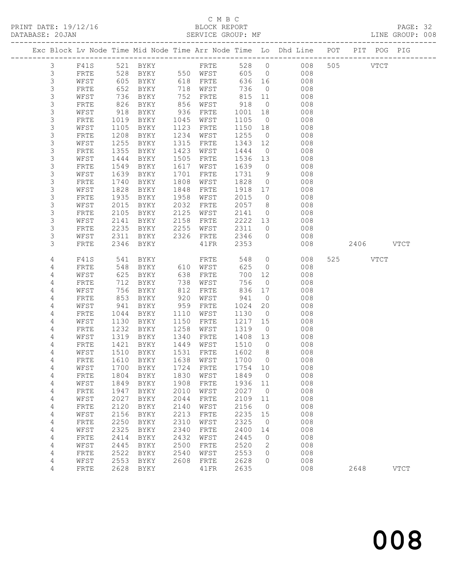# C M B C<br>BLOCK REPORT

PAGE: 32<br>LINE GROUP: 008

|                |              |      |                     |      |              |         |                | Exc Block Lv Node Time Mid Node Time Arr Node Time Lo Dhd Line POT PIT POG PIG |     |      |             |             |
|----------------|--------------|------|---------------------|------|--------------|---------|----------------|--------------------------------------------------------------------------------|-----|------|-------------|-------------|
| $\mathfrak{Z}$ | F41S         | 521  | BYKY                |      | FRTE         | 528     | $\circ$        | 008                                                                            |     | 505  | <b>VTCT</b> |             |
| 3              | FRTE         | 528  | BYKY                |      | 550 WFST     | 605     | $\overline{0}$ | 008                                                                            |     |      |             |             |
| $\mathsf S$    | WFST         | 605  | BYKY                | 618  | FRTE         | 636     | 16             | 008                                                                            |     |      |             |             |
| 3              | FRTE         | 652  | BYKY                | 718  | WFST         | 736     | $\overline{0}$ | 008                                                                            |     |      |             |             |
| 3              | WFST         | 736  | BYKY                | 752  | FRTE         | 815     | 11             | 008                                                                            |     |      |             |             |
| 3              | FRTE         | 826  | BYKY                | 856  | WFST         | 918     | $\overline{0}$ | 008                                                                            |     |      |             |             |
| $\mathsf S$    | WFST         | 918  | BYKY                | 936  | FRTE         | 1001    | 18             | 008                                                                            |     |      |             |             |
| $\mathsf S$    | FRTE         | 1019 | BYKY                | 1045 | WFST         | 1105    | $\overline{0}$ | 008                                                                            |     |      |             |             |
| $\mathsf 3$    | WFST         | 1105 | BYKY                | 1123 | FRTE         | 1150    | 18             | 008                                                                            |     |      |             |             |
| $\mathsf S$    | FRTE         | 1208 | BYKY                | 1234 | WFST         | 1255    | $\overline{0}$ | 008                                                                            |     |      |             |             |
| $\mathsf S$    | WFST         | 1255 | BYKY                | 1315 | FRTE         | 1343    | 12             | 008                                                                            |     |      |             |             |
| $\mathsf 3$    | FRTE         | 1355 | BYKY                | 1423 | WFST         | 1444    | $\overline{0}$ | 008                                                                            |     |      |             |             |
| $\mathsf 3$    | WFST         | 1444 | BYKY                | 1505 | FRTE         | 1536    | 13             | 008                                                                            |     |      |             |             |
| $\mathsf S$    | FRTE         | 1549 | BYKY                | 1617 | WFST         | 1639    | $\circ$        | 008                                                                            |     |      |             |             |
| $\mathsf S$    | WFST         | 1639 | BYKY                | 1701 | FRTE         | 1731    | 9              | 008                                                                            |     |      |             |             |
| $\mathsf S$    | FRTE         | 1740 | BYKY                | 1808 | WFST         | 1828    | $\circ$        | 008                                                                            |     |      |             |             |
| $\mathsf 3$    | WFST         | 1828 | BYKY                | 1848 | FRTE         | 1918    | 17             | 008                                                                            |     |      |             |             |
| 3              | FRTE         | 1935 | BYKY                | 1958 | WFST         | 2015    | $\circ$        | 008                                                                            |     |      |             |             |
| 3              | WFST         | 2015 | BYKY                | 2032 | FRTE         | 2057    | 8              | 008                                                                            |     |      |             |             |
| $\mathsf S$    | FRTE         | 2105 | BYKY                | 2125 | WFST         | 2141    | $\circ$        | 008                                                                            |     |      |             |             |
| $\mathsf 3$    | WFST         | 2141 | BYKY                | 2158 | FRTE         | 2222    | 13             | 008                                                                            |     |      |             |             |
| 3              | FRTE         | 2235 | BYKY                | 2255 | WFST         | 2311    | $\circ$        | 008                                                                            |     |      |             |             |
| 3              | WFST         | 2311 | BYKY                | 2326 | ${\tt FRTE}$ | 2346    | $\circ$        | 008                                                                            |     |      |             |             |
| 3              | FRTE         | 2346 | BYKY                |      | 41FR         | 2353    |                | 008                                                                            |     | 2406 |             | <b>VTCT</b> |
| 4              | F41S         | 541  | BYKY                |      | FRTE         | 548     | $\circ$        | 008                                                                            | 525 |      | <b>VTCT</b> |             |
| 4              | FRTE         | 548  | BYKY                | 610  | WFST         | 625     | $\circ$        | 008                                                                            |     |      |             |             |
| 4              | WFST         | 625  | BYKY                | 638  | FRTE         | 700     | 12             | 008                                                                            |     |      |             |             |
| 4              | FRTE         | 712  | BYKY                | 738  | WFST         | 756     | $\circ$        | 008                                                                            |     |      |             |             |
| 4              | WFST         | 756  | BYKY                | 812  | FRTE         | 836     | 17             | 008                                                                            |     |      |             |             |
| 4              | FRTE         | 853  | BYKY                | 920  | WFST         | 941     | $\circ$        | 008                                                                            |     |      |             |             |
| 4              | WFST         | 941  | BYKY                | 959  | FRTE         | 1024    | 20             | 008                                                                            |     |      |             |             |
| 4              | FRTE         | 1044 | BYKY                | 1110 | WFST         | 1130    | $\overline{0}$ | 008                                                                            |     |      |             |             |
| 4              | WFST         | 1130 | BYKY                | 1150 | FRTE         | 1217    | 15             | 008                                                                            |     |      |             |             |
| 4              | FRTE         | 1232 | BYKY                | 1258 | WFST         | 1319    | $\circ$        | 008                                                                            |     |      |             |             |
| 4              | WFST         | 1319 | BYKY                | 1340 | FRTE         | 1408    | 13             | 008                                                                            |     |      |             |             |
| 4              | FRTE         | 1421 | BYKY                | 1449 | WFST         | 1510    | $\overline{0}$ | 008                                                                            |     |      |             |             |
| 4              | WFST         | 1510 | BYKY                | 1531 | FRTE         | 1602    | 8 <sup>8</sup> | 008                                                                            |     |      |             |             |
| 4              | FRTE         | 1610 | BYKY                | 1638 | WFST         | 1700    | $\Omega$       | 008                                                                            |     |      |             |             |
| $\sqrt{4}$     | ${\tt WEST}$ |      | 1700 BYKY 1724 FRTE |      |              | 1754 10 |                | 008                                                                            |     |      |             |             |
| 4              | FRTE         | 1804 | <b>BYKY</b>         | 1830 | WFST         | 1849    | $\circ$        | 008                                                                            |     |      |             |             |
| $\sqrt{4}$     | WFST         | 1849 | BYKY                | 1908 | FRTE         | 1936    | 11             | 008                                                                            |     |      |             |             |
| 4              | FRTE         | 1947 | <b>BYKY</b>         | 2010 | WFST         | 2027    | $\circ$        | 008                                                                            |     |      |             |             |
| 4              | WFST         | 2027 | <b>BYKY</b>         | 2044 | FRTE         | 2109    | 11             | 008                                                                            |     |      |             |             |
| $\sqrt{4}$     | ${\tt FRTE}$ | 2120 | <b>BYKY</b>         | 2140 | WFST         | 2156    | $\circ$        | 008                                                                            |     |      |             |             |
| 4              | WFST         | 2156 | BYKY                | 2213 | FRTE         | 2235    | 15             | 008                                                                            |     |      |             |             |
| 4              | FRTE         | 2250 | BYKY                | 2310 | WFST         | 2325    | 0              | 008                                                                            |     |      |             |             |
| 4              | WFST         | 2325 | <b>BYKY</b>         | 2340 | FRTE         | 2400    | 14             | 008                                                                            |     |      |             |             |
| 4              | FRTE         | 2414 | BYKY                | 2432 | WFST         | 2445    | 0              | 008                                                                            |     |      |             |             |
| 4              | WFST         | 2445 | BYKY                | 2500 | FRTE         | 2520    | 2              | 008                                                                            |     |      |             |             |
| 4              | FRTE         | 2522 | BYKY                | 2540 | WFST         | 2553    | 0              | 008                                                                            |     |      |             |             |
|                |              |      |                     |      |              |         |                |                                                                                |     |      |             |             |
| 4              | WFST         | 2553 | <b>BYKY</b>         | 2608 | FRTE         | 2628    | $\Omega$       | 008                                                                            |     |      |             |             |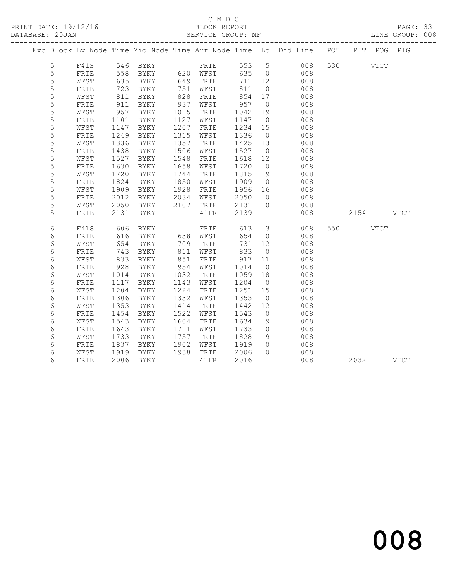# C M B C<br>BLOCK REPORT

PAGE: 33<br>LINE GROUP: 008

|             |              |                                                         |                |      |           |         |                | Exc Block Lv Node Time Mid Node Time Arr Node Time Lo Dhd Line POT PIT POG PIG |           |  |
|-------------|--------------|---------------------------------------------------------|----------------|------|-----------|---------|----------------|--------------------------------------------------------------------------------|-----------|--|
| 5           |              |                                                         |                |      |           |         |                |                                                                                |           |  |
| 5           |              |                                                         |                |      |           | 635 0   |                |                                                                                |           |  |
| 5           | WFST         | 635                                                     | BYKY           |      | 649 FRTE  | 711 12  |                | 008                                                                            |           |  |
| 5           | FRTE         | 723                                                     | BYKY           | 751  | WFST      | 811     | $\overline{0}$ | 008                                                                            |           |  |
| 5           | WFST         |                                                         | BYKY           | 828  | FRTE      | 854 17  |                | 008                                                                            |           |  |
| $\mathsf S$ | ${\tt FRTE}$ | $rac{0}{911}$                                           | BYKY           | 937  | WFST      | 957     | $\overline{0}$ | 008                                                                            |           |  |
| 5           | WFST         | 957                                                     | BYKY           | 1015 | FRTE      | 1042    | 19             | 008                                                                            |           |  |
| 5           | FRTE         | 1101                                                    | BYKY           | 1127 | WFST      | 1147    | $\overline{0}$ | 008                                                                            |           |  |
| 5           | WFST         | 1147                                                    | BYKY           | 1207 | FRTE      | 1234    | 15             | 008                                                                            |           |  |
| 5           | FRTE         | 1249                                                    | BYKY           | 1315 | WFST      | 1336    | $\overline{0}$ | 008                                                                            |           |  |
| 5           | WFST         | 1336                                                    | BYKY           | 1357 | FRTE      | 1425 13 |                | 008                                                                            |           |  |
| 5           | FRTE         | 1438                                                    | BYKY           | 1506 | WFST      | 1527    | $\overline{0}$ | 008                                                                            |           |  |
| 5           | WFST         | 1527                                                    | BYKY           | 1548 | FRTE      | 1618 12 |                | 008                                                                            |           |  |
| 5           | FRTE         | 1630                                                    | BYKY           | 1658 | WFST      | 1720    | $\overline{0}$ | 008                                                                            |           |  |
| 5           | WFST         | 1720                                                    | BYKY           | 1744 | FRTE      | 1815    | 9              | 008                                                                            |           |  |
| 5           | ${\tt FRTE}$ | 1824                                                    | BYKY           | 1850 | WFST      | 1909    | $\overline{0}$ | 008                                                                            |           |  |
| 5           | WFST         | 1909                                                    | BYKY           | 1928 | FRTE      | 1956 16 |                | 008                                                                            |           |  |
| 5           | FRTE         | 2012                                                    | BYKY           | 2034 | WFST      | 2050    | $\overline{0}$ | 008                                                                            |           |  |
| 5           | WFST         | 2050                                                    | BYKY 2107 FRTE |      |           | 2131 0  |                | 008                                                                            |           |  |
| 5           | FRTE         | 2131                                                    | BYKY           |      | 41FR      | 2139    |                | 008                                                                            | 2154 VTCT |  |
| 6           | F41S         | 606                                                     | BYKY           |      | FRTE      | 613     |                | $\overline{\mathbf{3}}$<br>008                                                 | 550 VTCT  |  |
| 6           | FRTE         | 616                                                     | BYKY           |      | 638 WFST  | 654     | $\overline{0}$ | 008                                                                            |           |  |
| 6           | WFST         | 654                                                     | BYKY           |      | 709 FRTE  | 731     | 12             | 008                                                                            |           |  |
| 6           | FRTE         | 743                                                     | BYKY           | 811  | WFST      | 833     | $\overline{0}$ | 008                                                                            |           |  |
| 6           | WFST         | 833                                                     | BYKY           | 851  | FRTE      | 917     | 11             | 008                                                                            |           |  |
| 6           | FRTE         | 928                                                     | BYKY           | 954  | WFST      | 1014    | $\overline{0}$ | 008                                                                            |           |  |
| 6           | WFST         | 1014                                                    | BYKY           | 1032 | FRTE      | 1059    | 18             | 008                                                                            |           |  |
| 6           | ${\tt FRTE}$ | 1117                                                    | BYKY           | 1143 | WFST      | 1204 0  |                | 008                                                                            |           |  |
| 6           | WFST         | 1204                                                    | BYKY           | 1224 | FRTE      | 1251    | 15             | 008                                                                            |           |  |
| 6           | FRTE         | 1306                                                    | BYKY           | 1332 | WFST      | 1353    | $\overline{0}$ | 008                                                                            |           |  |
| 6           | WFST         | 1353                                                    | BYKY           | 1414 | FRTE      | 1442    | 12             | 008                                                                            |           |  |
| 6           | FRTE         | 1454                                                    | BYKY           | 1522 | WFST      | 1543    | $\overline{0}$ | 008                                                                            |           |  |
| 6           | WFST         | 1543                                                    | BYKY           | 1604 | FRTE      | 1634    | 9              | 008                                                                            |           |  |
| 6           | FRTE         | 1643                                                    | BYKY           | 1711 | WFST      | 1733    | $\overline{0}$ | 008                                                                            |           |  |
| 6           | WFST         | 1733                                                    | BYKY           | 1757 | FRTE      | 1828    | 9              | 008                                                                            |           |  |
| 6           | FRTE         | 1837<br>$\begin{array}{c}\n 100 \\  1919\n \end{array}$ | BYKY           | 1902 | WFST      | 1919    | $\bigcirc$     | 008                                                                            |           |  |
| 6           | WFST         |                                                         | BYKY           |      | 1938 FRTE | 2006    | $\Omega$       | 008                                                                            |           |  |
| 6           | FRTE         |                                                         | 2006 BYKY      |      | 41FR      | 2016    |                | 008                                                                            | 2032 VTCT |  |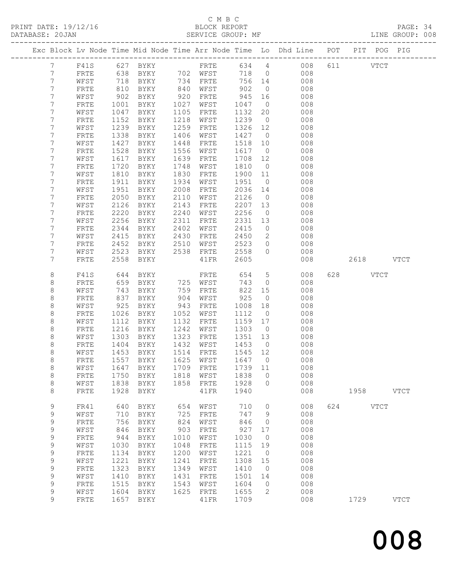## C M B C

#### DATABASE: 20JAN SERVICE GROUP: MF LINE GROUP: 008 ------------------------------------------------------------------------------------------------- Exc Block Lv Node Time Mid Node Time Arr Node Time Lo Dhd Line POT PIT POG PIG ------------------------------------------------------------------------------------------------- 7 F41S 627 BYKY FRTE 634 4 008 611 VTCT 7 FRTE 638 BYKY 702 WFST 718 0 008 7 WFST 718 BYKY 734 FRTE 756 14 008 7 FRTE 810 BYKY 840 WFST 902 0 008 7 WFST 902 BYKY 920 FRTE 945 16 008 7 FRTE 1001 BYKY 1027 WFST 1047 0 008 7 WFST 1047 BYKY 1105 FRTE 1132 20 008 7 FRTE 1152 BYKY 1218 WFST 1239 0 008 7 WFST 1239 BYKY 1259 FRTE 1326 12 008 7 FRTE 1338 BYKY 1406 WFST 1427 0 008 7 WFST 1427 BYKY 1448 FRTE 1518 10 008 7 FRTE 1528 BYKY 1556 WFST 1617 0 008 7 WFST 1617 BYKY 1639 FRTE 1708 12 008 7 FRTE 1720 BYKY 1748 WFST 1810 0 008 7 WFST 1810 BYKY 1830 FRTE 1900 11 008 7 FRTE 1911 BYKY 1934 WFST 1951 0 008 7 WFST 1951 BYKY 2008 FRTE 2036 14 008 7 FRTE 2050 BYKY 2110 WFST 2126 0 008 7 WFST 2126 BYKY 2143 FRTE 2207 13 008 7 FRTE 2220 BYKY 2240 WFST 2256 0 008 7 WFST 2256 BYKY 2311 FRTE 2331 13 008 7 FRTE 2344 BYKY 2402 WFST 2415 0 008 7 WFST 2415 BYKY 2430 FRTE 2450 2 008 7 FRTE 2452 BYKY 2510 WFST 2523 0 008 7 WFST 2523 BYKY 2538 FRTE 2558 0 008 7 FRTE 2558 BYKY 41FR 2605 008 2618 VTCT 8 F41S 644 BYKY FRTE 654 5 008 628 VTCT 8 FRTE 659 BYKY 725 WFST 743 0 008 8 WFST 743 BYKY 759 FRTE 822 15 008 8 FRTE 837 BYKY 904 WFST 925 0 008 8 WFST 925 BYKY 943 FRTE 1008 18 008 8 FRTE 1026 BYKY 1052 WFST 1112 0 008 8 WFST 1112 BYKY 1132 FRTE 1159 17 008 8 FRTE 1216 BYKY 1242 WFST 1303 0 008 8 WFST 1303 BYKY 1323 FRTE 1351 13 008 8 FRTE 1404 BYKY 1432 WFST 1453 0 008 8 WFST 1453 BYKY 1514 FRTE 1545 12 008 8 FRTE 1557 BYKY 1625 WFST 1647 0 008 8 WFST 1647 BYKY 1709 FRTE 1739 11 008 8 FRTE 1750 BYKY 1818 WFST 1838 0 008 8 WFST 1838 BYKY 1858 FRTE 1928 0 008 8 FRTE 1928 BYKY 41FR 1940 008 1958 VTCT 9 FR41 640 BYKY 654 WFST 710 0 008 624 VTCT 9 WFST 710 BYKY 725 FRTE 747 9 008 9 FRTE 756 BYKY 824 WFST 846 0 008 9 WFST 846 BYKY 903 FRTE 927 17 008 9 FRTE 944 BYKY 1010 WFST 1030 0 008 9 WFST 1030 BYKY 1048 FRTE 1115 19 008 9 FRTE 1134 BYKY 1200 WFST 1221 0 008 9 WFST 1221 BYKY 1241 FRTE 1308 15 008 9 FRTE 1323 BYKY 1349 WFST 1410 0 008 9 WFST 1410 BYKY 1431 FRTE 1501 14 008 9 FRTE 1515 BYKY 1543 WFST 1604 0 008

9 WFST 1604 BYKY 1625 FRTE 1655 2 008

9 FRTE 1657 BYKY 41FR 1709 008 1729 VTCT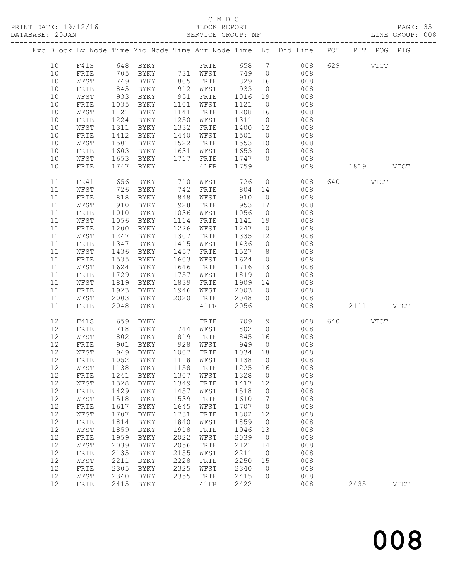# C M B C<br>BLOCK REPORT

PAGE: 35<br>LINE GROUP: 008

|          |              |                 |                   |                                       |                                  |        |                           | Exc Block Lv Node Time Mid Node Time Arr Node Time Lo Dhd Line POT PIT POG PIG |           |             |
|----------|--------------|-----------------|-------------------|---------------------------------------|----------------------------------|--------|---------------------------|--------------------------------------------------------------------------------|-----------|-------------|
| 10<br>10 | F41S         |                 | 705 BYKY 731 WFST |                                       |                                  |        | 749 0                     | 008                                                                            | 629 VTCT  |             |
|          | FRTE<br>WFST | 749             |                   |                                       | 805 FRTE                         |        |                           |                                                                                |           |             |
| 10       |              |                 | BYKY              |                                       |                                  |        | 829 16                    | 008                                                                            |           |             |
| 10       | FRTE         | 845             | BYKY              | 912                                   | WFST                             | 933    | $\overline{0}$            | 008                                                                            |           |             |
| 10       | WFST         | 933             | BYKY              | 951                                   | FRTE                             |        | 1016 19                   | 008                                                                            |           |             |
| 10       | FRTE         | 1035            | BYKY              | 1101                                  | WFST                             | 1121   | $\overline{0}$            | 008                                                                            |           |             |
| 10       | WFST         | 1121            | BYKY              | 1141                                  | FRTE                             |        | 1208 16                   | 008                                                                            |           |             |
| 10       | FRTE         | 1224            | BYKY              | 1250                                  | WFST                             | 1311   | $\overline{0}$            | 008                                                                            |           |             |
| 10       | WFST         | 1311            | BYKY              | 1332                                  | FRTE                             |        | 1400 12                   | 008                                                                            |           |             |
| 10       | ${\tt FRTE}$ | 1412            | BYKY              | 1440                                  | WFST                             | 1501   | $\overline{0}$            | 008                                                                            |           |             |
| 10       | WFST         | 1501            | BYKY              | 1522                                  | FRTE                             |        | 1553 10<br>$\overline{0}$ | 008                                                                            |           |             |
| 10       | FRTE         | 1603            | BYKY              | 1631                                  | WFST                             | 1653   |                           | 008                                                                            |           |             |
| 10       | WFST         | 1653            | BYKY              | 1717                                  | FRTE                             |        | 1747 0                    | 008                                                                            |           |             |
| 10       | FRTE         |                 | 1747 BYKY         |                                       | 41FR                             | 1759   |                           | 008                                                                            | 1819 VTCT |             |
| 11       | FR41         | 656             | BYKY              | 710                                   | WFST                             | 726    | $\overline{0}$            | 008                                                                            | 640 VTCT  |             |
| 11       | WFST         | 726             | BYKY              | 742                                   | FRTE                             |        | 804 14                    | 008                                                                            |           |             |
| 11       | FRTE         | $\frac{1}{818}$ | BYKY              | $\begin{array}{c} \n 848 \end{array}$ | WFST                             | 910    | $\overline{0}$            | 008                                                                            |           |             |
| 11       | WFST         | 910             | BYKY              | 928                                   | FRTE                             | 953 17 |                           | 008                                                                            |           |             |
| 11       | FRTE         | 1010            | BYKY              | 1036                                  | WFST                             | 1056   | $\overline{0}$            | 008                                                                            |           |             |
| 11       | WFST         | 1056            | BYKY              | 1114                                  | FRTE                             |        | 1141 19                   | 008                                                                            |           |             |
| 11       | ${\tt FRTE}$ | 1200            | BYKY              | 1226                                  | WFST                             | 1247   | $\overline{0}$            | 008                                                                            |           |             |
| 11       | WFST         | 1247            | BYKY              | 1307                                  | FRTE                             |        | 1335 12                   | 008                                                                            |           |             |
| 11       | FRTE         | 1347            | BYKY              | 1415                                  | WFST                             | 1436   | $\overline{0}$            | 008                                                                            |           |             |
| 11       | WFST         | 1436            | BYKY              | 1457                                  | FRTE                             | 1527   | 8 <sup>8</sup>            | 008                                                                            |           |             |
| 11       | FRTE         | 1535            | BYKY              | 1603                                  | WFST                             | 1624   | $\overline{0}$            | 008                                                                            |           |             |
| 11       | WFST         | 1624            | BYKY              | 1646                                  | FRTE                             |        | 1716 13                   | 008                                                                            |           |             |
| 11       | FRTE         | 1729            | BYKY              | 1757                                  | WFST                             | 1819   | $\overline{0}$            | 008                                                                            |           |             |
| 11       | WFST         | 1819            | BYKY              | 1839                                  | FRTE                             | 1909   | 14                        | 008                                                                            |           |             |
| 11       | ${\tt FRTE}$ | 1923            | BYKY              | 1946                                  | WFST                             | 2003   | $\overline{0}$            | 008                                                                            |           |             |
| 11       | WFST         | 2003            | BYKY              | 2020                                  | FRTE                             | 2048   | $\circ$                   | 008                                                                            |           |             |
| 11       | FRTE         | 2048            | BYKY              |                                       | 41FR                             | 2056   |                           | 008                                                                            | 2111 VTCT |             |
| 12       | F41S         | 659             | BYKY              |                                       | FRTE<br>WFST<br>FRTE<br>744 WFST | 709    | 9                         | 008                                                                            | 640 VTCT  |             |
| 12       | FRTE         |                 | 718 BYKY          |                                       |                                  | 802    | $\overline{0}$            | 008                                                                            |           |             |
| 12       | WFST         | 802             | BYKY              | 819                                   | FRTE                             |        | 845 16                    | 008                                                                            |           |             |
| 12       | FRTE         | 901             | BYKY              | 928                                   | WFST                             | 949    | $\overline{0}$            | 008                                                                            |           |             |
| 12       | WFST         | 949             | BYKY              |                                       | 1007 FRTE                        |        | 1034 18                   | 008                                                                            |           |             |
| 12       | FRTE         |                 | 1052 BYKY         |                                       | 1118 WFST                        | 1138   | $\overline{0}$            | 008                                                                            |           |             |
| 12       |              |                 |                   |                                       |                                  |        |                           | WFST 1138 BYKY 1158 FRTE 1225 16 008                                           |           |             |
| 12       | FRTE         | 1241            | BYKY              | 1307                                  | WFST                             | 1328   | 0                         | 008                                                                            |           |             |
| 12       | WFST         | 1328            | BYKY              | 1349                                  | FRTE                             |        | 1417 12                   | 008                                                                            |           |             |
| 12       | FRTE         | 1429            | BYKY              | 1457                                  | WFST                             | 1518   | $\overline{0}$            | 008                                                                            |           |             |
| 12       | WFST         | 1518            | BYKY              | 1539                                  | FRTE                             | 1610   | 7                         | 008                                                                            |           |             |
| 12       | FRTE         | 1617            | BYKY              | 1645                                  | WFST                             | 1707   | $\overline{0}$            | 008                                                                            |           |             |
| 12       | WFST         | 1707            | BYKY              | 1731                                  | ${\tt FRTE}$                     | 1802   | 12                        | 008                                                                            |           |             |
| 12       | FRTE         | 1814            | BYKY              | 1840                                  | WFST                             | 1859   | $\overline{0}$            | 008                                                                            |           |             |
| 12       | WFST         | 1859            | BYKY              | 1918                                  | FRTE                             | 1946   | 13                        | 008                                                                            |           |             |
| 12       | FRTE         | 1959            | BYKY              | 2022                                  | WFST                             | 2039   | $\overline{0}$            | 008                                                                            |           |             |
| 12       | WFST         | 2039            | BYKY              | 2056                                  | ${\tt FRTE}$                     | 2121   | 14                        | 008                                                                            |           |             |
| 12       | FRTE         | 2135            | BYKY              | 2155                                  | WFST                             | 2211   | $\overline{0}$            | 008                                                                            |           |             |
| 12       | WFST         | 2211            | BYKY              | 2228                                  | FRTE                             | 2250   | 15                        | 008                                                                            |           |             |
| 12       | FRTE         | 2305            | BYKY              | 2325                                  | WFST                             | 2340   | $\overline{0}$            | 008                                                                            |           |             |
| 12       | WFST         | 2340            | BYKY              | 2355                                  | FRTE                             | 2415   | $\circ$                   | 008                                                                            |           |             |
| 12       | FRTE         | 2415            | BYKY              |                                       | 41FR                             | 2422   |                           | 008                                                                            | 2435      | <b>VTCT</b> |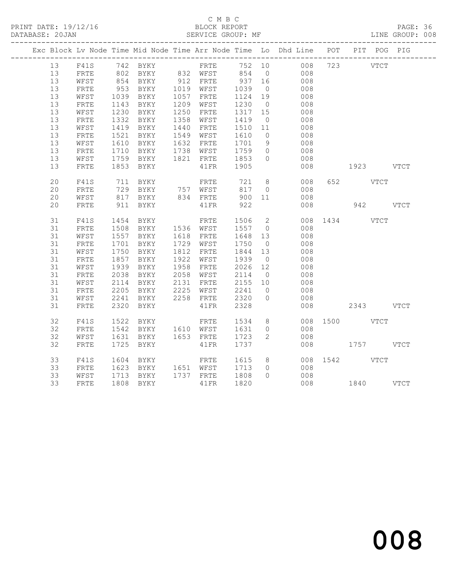## C M B C<br>BLOCK REPORT

PAGE: 36<br>LINE GROUP: 008

|    |              |              |                                                                                           |                                                |                   |                | Exc Block Lv Node Time Mid Node Time Arr Node Time Lo Dhd Line POT PIT POG PIG |               |               |  |
|----|--------------|--------------|-------------------------------------------------------------------------------------------|------------------------------------------------|-------------------|----------------|--------------------------------------------------------------------------------|---------------|---------------|--|
| 13 |              |              |                                                                                           |                                                |                   |                | F41S 742 BYKY FRTE 752 10 008 723 VTCT                                         |               |               |  |
| 13 | FRTE         |              |                                                                                           |                                                |                   |                |                                                                                |               |               |  |
| 13 | WFST         |              |                                                                                           |                                                |                   |                |                                                                                |               |               |  |
| 13 | FRTE         |              |                                                                                           |                                                |                   |                | 008                                                                            |               |               |  |
| 13 | WFST         | 1039<br>1143 | BYKY                                                                                      | 1057 FRTE<br>1209 WFST                         | 1124 19<br>1230 0 |                | 008                                                                            |               |               |  |
| 13 | FRTE         |              | 1143 BYKY                                                                                 |                                                |                   |                | 008                                                                            |               |               |  |
| 13 | WFST         |              | 1230 BYKY                                                                                 | 1250 FRTE                                      | 1317 15           |                | 008                                                                            |               |               |  |
| 13 | FRTE         | 1332         | BYKY                                                                                      | 1358 WFST                                      | 1419 0<br>1510 11 |                | $\begin{array}{c} 008 \\ 008 \end{array}$                                      |               |               |  |
| 13 | WFST         |              | 1419 BYKY                                                                                 | 1440 FRTE                                      |                   |                |                                                                                |               |               |  |
| 13 | FRTE         | 1521         | BYKY                                                                                      | 1549 WFST                                      | 1610              | $\overline{0}$ | 008                                                                            |               |               |  |
| 13 | WFST         | 1610         |                                                                                           | BYKY 1632 FRTE 1701 9<br>BYKY 1738 WFST 1759 0 |                   |                | $\begin{array}{c} 008 \\ 008 \end{array}$                                      |               |               |  |
| 13 | FRTE         | 1710         |                                                                                           |                                                |                   |                |                                                                                |               |               |  |
| 13 | WFST         |              | 1759 BYKY                                                                                 | 1821 FRTE 1853                                 |                   | $\overline{0}$ | 008                                                                            |               |               |  |
| 13 | FRTE         |              | 1853 BYKY                                                                                 | 41FR 1905                                      |                   |                | 008                                                                            |               | 1923 VTCT     |  |
| 20 | F41S         | 711          | <b>BYKY</b>                                                                               | <b>FRTE</b> 721                                |                   | 8 <sup>8</sup> | 008                                                                            | 652 VTCT      |               |  |
| 20 | FRTE         |              | 729 BYKY      757   WFST        817     0<br>817   BYKY        834   FRTE        900   11 |                                                |                   | $\overline{0}$ | 008                                                                            |               |               |  |
| 20 | WFST         |              |                                                                                           |                                                |                   |                | 008                                                                            |               |               |  |
| 20 | FRTE         | 911          | BYKY                                                                                      | 41FR 922                                       |                   |                | 008                                                                            |               | 942 VTCT      |  |
| 31 | F41S         | 1454         | <b>BYKY</b>                                                                               | FRTE                                           | 1506              | $\overline{2}$ |                                                                                | 008 1434 VTCT |               |  |
| 31 | FRTE         |              | 1508 BYKY 1536 WFST                                                                       |                                                | 1557 0            |                | 008                                                                            |               |               |  |
| 31 | WFST         |              | 1557 BYKY 1618 FRTE                                                                       |                                                |                   |                | 008                                                                            |               |               |  |
| 31 | FRTE         | 1701         | BYKY                                                                                      | 1618 FRTE 1648 13<br>1729 WFST 1750 0          |                   |                | 008                                                                            |               |               |  |
| 31 | WFST         | 1750         | BYKY                                                                                      | 1812 FRTE                                      | 1844 13<br>1939 0 |                | 008                                                                            |               |               |  |
| 31 | FRTE         | 1857         | BYKY                                                                                      | 1922 WFST                                      |                   | $\overline{0}$ | 008                                                                            |               |               |  |
| 31 | WFST         | 1939         | BYKY                                                                                      | 1958 FRTE                                      | 2026 12           |                | 008                                                                            |               |               |  |
| 31 | FRTE         | 2038         | BYKY                                                                                      | 2058 WFST<br>2131 FRTE                         | 2114 0<br>2155 10 |                | 008                                                                            |               |               |  |
| 31 | WFST         | 2114         | <b>BYKY</b>                                                                               |                                                |                   |                | 008                                                                            |               |               |  |
| 31 | FRTE         | 2205         | BYKY                                                                                      | 2225 WFST 2241                                 |                   | $\overline{0}$ | 008                                                                            |               |               |  |
| 31 | WFST         | 2241         | BYKY                                                                                      | 2258 FRTE 2320                                 |                   | $\overline{0}$ | 008                                                                            |               |               |  |
| 31 | ${\tt FRTE}$ | 2320         | BYKY                                                                                      | 41FR                                           | 2328              |                | 008                                                                            |               | 2343 VTCT     |  |
| 32 | F41S         | 1522         |                                                                                           |                                                |                   | 8 <sup>8</sup> |                                                                                | 008 1500 VTCT |               |  |
| 32 | ${\tt FRTE}$ |              |                                                                                           |                                                |                   |                | 008                                                                            |               |               |  |
| 32 | WFST         |              | 1631 BYKY                                                                                 | 1653 FRTE 1723 2                               |                   |                | 008                                                                            |               |               |  |
| 32 | FRTE         | 1725         | BYKY                                                                                      | 41FR                                           | 1737              |                |                                                                                |               | 008 1757 VTCT |  |
| 33 | F41S         | 1604         | BYKY                                                                                      | FRTE 1615                                      |                   | 8 <sup>8</sup> |                                                                                | 008 1542 VTCT |               |  |
| 33 | FRTE         |              |                                                                                           |                                                |                   |                | 008                                                                            |               |               |  |
| 33 | WFST         |              | 1623 BYKY 1651 WFST 1713 0<br>1713 BYKY 1737 FRTE 1808 0                                  |                                                |                   |                | 008                                                                            |               |               |  |
| 33 | FRTE         |              | 1808 BYKY                                                                                 | 41FR 1820                                      |                   |                | 008 1840 VTCT                                                                  |               |               |  |
|    |              |              |                                                                                           |                                                |                   |                |                                                                                |               |               |  |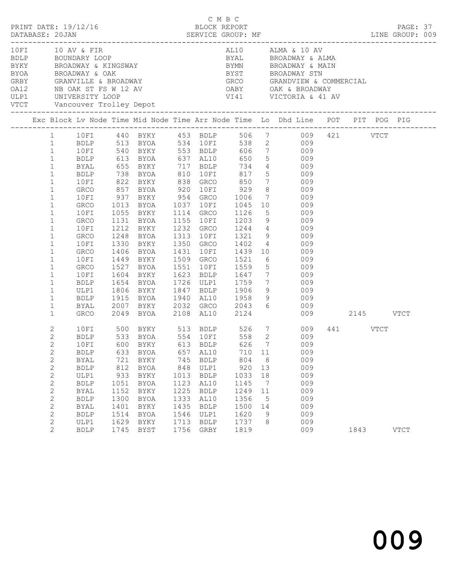|                                                                                                                                                                                                                                                                                                                                                                                           |                                                                                                                                                      |                                                                              |                                                                                                                                                                                                                                           |                                                                                   |                                                                                                                         |                                                                                                                                                                                                          |                                                                            | 10 FI 10 AV & FIR<br>BDLP BOUNDARY LOOP BYAL BROADWAY & ALMA<br>BYKY BROADWAY & KINGSWAY BYMN BROADWAY & MAIN<br>BYOA BROADWAY & OAK BYST BROADWAY STN<br>GRBY GRANVILLE & BROADWAY<br>ME OAL OAK & BROADWAY GROOMERCIAL<br>ME OAL OAK & B                                                                                                                                                                                                                                                                       |                  |             |  |
|-------------------------------------------------------------------------------------------------------------------------------------------------------------------------------------------------------------------------------------------------------------------------------------------------------------------------------------------------------------------------------------------|------------------------------------------------------------------------------------------------------------------------------------------------------|------------------------------------------------------------------------------|-------------------------------------------------------------------------------------------------------------------------------------------------------------------------------------------------------------------------------------------|-----------------------------------------------------------------------------------|-------------------------------------------------------------------------------------------------------------------------|----------------------------------------------------------------------------------------------------------------------------------------------------------------------------------------------------------|----------------------------------------------------------------------------|------------------------------------------------------------------------------------------------------------------------------------------------------------------------------------------------------------------------------------------------------------------------------------------------------------------------------------------------------------------------------------------------------------------------------------------------------------------------------------------------------------------|------------------|-------------|--|
|                                                                                                                                                                                                                                                                                                                                                                                           |                                                                                                                                                      |                                                                              |                                                                                                                                                                                                                                           |                                                                                   |                                                                                                                         |                                                                                                                                                                                                          |                                                                            | Exc Block Lv Node Time Mid Node Time Arr Node Time Lo Dhd Line POT PIT POG PIG                                                                                                                                                                                                                                                                                                                                                                                                                                   |                  |             |  |
| $1 \quad$<br>$\mathbf{1}$<br>$\mathbf{1}$<br>$\mathbf{1}$<br>$\mathbf{1}$<br>$\mathbf{1}$<br>$\mathbf{1}$<br>$\mathbf{1}$<br>$\mathbf{1}$<br>$\mathbf{1}$<br>$\mathbf{1}$<br>$\mathbf{1}$<br>$\mathbf{1}$<br>$\mathbf{1}$<br>$\mathbf{1}$<br>$\mathbf{1}$<br>$\mathbf{1}$<br>$\mathbf{1}$<br>$\mathbf{1}$<br>$\mathbf{1}$<br>$\mathbf{1}$<br>$\mathbf{1}$<br>$\mathbf{1}$<br>$\mathbf{1}$ | 10FI<br>BDLP<br>GRCO<br>10FI<br>GRCO<br>10FI<br>GRCO<br>10FI<br>GRCO<br>10FI<br>GRCO<br>10FI<br>GRCO<br>10FI<br>BDLP<br>ULP1<br>BDLP<br>BYAL<br>GRCO | 857<br>$937\n\n1013$<br>1212<br>1330<br>1406<br>1449<br>1604<br>1654<br>1806 | 540 BYKY 553 BDLP<br>613 BYOA 637 AL10<br>BYOA<br>BYKY<br><b>BYOA</b><br>1055 BYKY<br>1131 BYOA<br><b>BYKY</b><br>1248 BYOA<br>BYKY<br>BYOA<br>BYKY<br>1527 BYOA<br>BYKY<br>BYOA<br>BYKY<br>1915 BYOA<br>2007 BYKY<br>2049 BYOA 2108 AL10 |                                                                                   | 1155 10FI<br>1431 10FI<br>1509 GRCO<br>1551 10FI                                                                        | 650<br>920 10FI 929<br>954 GRCO 1006<br>1037 10FI 1045<br>1045<br>1114 GRCO 1126<br>1521<br>1559<br>1623 BDLP 1647<br>1726 ULP1 1759<br>1847 BDLP 1906<br>1940 AL10 1958<br>$2032$ GRCO $2043$ 6<br>2124 | 9                                                                          | 10FI 440 BYKY 453 BDLP 506 7 009 421 VTCT<br>BLP 513 BYOA 534 10FI 538 2 009<br>606 7 009<br>$5 \t\t 009$<br>BYAL 655 BYKY 717 BDLP 734 4 009<br>BDLP 738 BYOA 810 10FI 817 5 009<br>10FI 822 BYKY 838 GRCO 850 7 009<br>8 009<br>$\begin{array}{ccc} 7 & 009 \\ 10 & 009 \end{array}$<br>$5$ 009<br>1203 9 009<br>1232 GRCO 1244 4 009<br>1313 10FI 1321 9 009<br>1350 GRCO 1402 4 009<br>1439 10 009<br>$\begin{array}{ccc} 6 & & 009 \\ 5 & & 009 \\ 7 & & 009 \end{array}$<br>7 009<br>$9$ 009<br>009<br>009 | 009 2145 VTCT    |             |  |
| 2<br>$\mathbf{2}$<br>$\overline{2}$<br>$\mathbf{2}$<br>$\mathbf{2}$<br>$\mathbf{2}$<br>2<br>$\mathbf{2}$<br>$\mathbf{2}$<br>$\mathbf{2}$<br>2<br>$\mathbf{2}$<br>$\mathbf{2}$<br>$\overline{2}$                                                                                                                                                                                           | <b>BDLP</b><br>BYAL<br><b>BDLP</b><br>ULP1<br><b>BDLP</b><br>BYAL<br><b>BDLP</b><br>BYAL<br><b>BDLP</b><br>ULP1<br><b>BDLP</b>                       | 633<br>721<br>812<br>933<br>1051<br>1152<br>1300<br>1401<br>1514<br>1629     | BYOA<br>BYKY<br>BYOA<br>BYKY<br>BYOA<br>BYKY<br><b>BYOA</b><br>BYKY<br>BYOA<br>BYKY<br>1745 BYST                                                                                                                                          | 657<br>745<br>848<br>1013<br>1123<br>1225<br>1333<br>1435<br>1546<br>1713<br>1756 | AL10<br><b>BDLP</b><br>ULP1<br><b>BDLP</b><br>AL10<br><b>BDLP</b><br>AL10<br><b>BDLP</b><br>ULP1<br><b>BDLP</b><br>GRBY | 710<br>804<br>920<br>1033<br>1145<br>1249<br>1356<br>1500<br>1620<br>1737<br>1819                                                                                                                        | 11<br>8<br>13<br>18<br>$\overline{7}$<br>11<br>$5^{\circ}$<br>14<br>9<br>8 | 10 FI 500 BYKY 513 BDLP 526 7 009<br>BDLP 533 BYOA 554 10 FI 558 2 009<br>10FI 600 BYKY 613 BDLP 626 7 009<br>009<br>009<br>009<br>009<br>009<br>009<br>009<br>009<br>009<br>009<br>009                                                                                                                                                                                                                                                                                                                          | 441 VTCT<br>1843 | <b>VTCT</b> |  |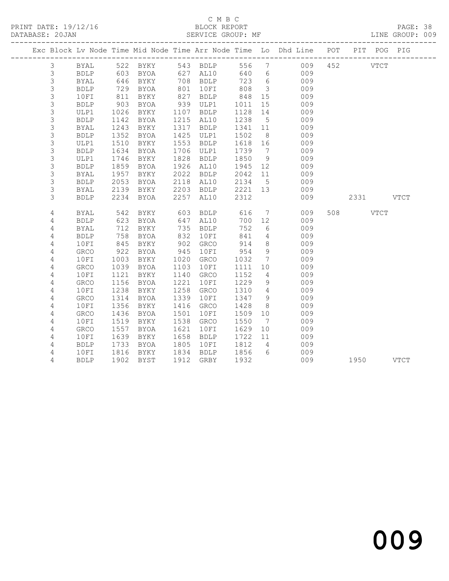## C M B C<br>BLOCK REPORT

PAGE: 38<br>LINE GROUP: 009

|  |                |              |      |             |            |                                |                         |                         | Exc Block Lv Node Time Mid Node Time Arr Node Time Lo Dhd Line POT PIT POG PIG |           |  |
|--|----------------|--------------|------|-------------|------------|--------------------------------|-------------------------|-------------------------|--------------------------------------------------------------------------------|-----------|--|
|  | $\mathcal{S}$  |              |      |             |            |                                |                         |                         | BYAL 522 BYKY 543 BDLP 556 7 009<br>BDLP 603 BYOA 627 AL10 640 6 009           | 452 VTCT  |  |
|  | $\mathcal{S}$  |              |      |             |            |                                |                         |                         | 009                                                                            |           |  |
|  | $\mathfrak{Z}$ | BYAL         |      | 646 BYKY    |            | 708 BDLP                       |                         |                         | 723 6 009                                                                      |           |  |
|  | $\mathfrak{Z}$ | BDLP         | 729  | <b>BYOA</b> |            | 801 10FI                       | 808                     | $\overline{\mathbf{3}}$ | 009                                                                            |           |  |
|  | $\mathfrak{Z}$ | 10FI         | 811  | BYKY        |            | 827 BDLP                       | 848                     | 15                      | 009                                                                            |           |  |
|  | $\mathsf 3$    | <b>BDLP</b>  | 903  | BYOA        |            | 939 ULP1                       | 1011                    | 15                      | 009                                                                            |           |  |
|  | 3              | ULP1         | 1026 | BYKY        |            | 1107 BDLP                      | 1128                    | 14                      | 009                                                                            |           |  |
|  | $\mathfrak{Z}$ | <b>BDLP</b>  | 1142 | BYOA        |            | 1215 AL10                      | 1238                    | $5\overline{)}$         | 009                                                                            |           |  |
|  | 3              | <b>BYAL</b>  | 1243 | BYKY        |            | 1317 BDLP                      | 1341 11                 |                         | 009                                                                            |           |  |
|  | $\mathfrak{Z}$ | <b>BDLP</b>  | 1352 | BYOA        |            | 1425 ULP1                      | 1502                    | 8 <sup>8</sup>          | 009                                                                            |           |  |
|  | 3              | ULP1         | 1510 | BYKY        |            | 1553 BDLP                      | 1618 16                 |                         | 009                                                                            |           |  |
|  | 3              | <b>BDLP</b>  | 1634 | BYOA        |            | 1706 ULP1                      | 1739                    | $7\overline{ }$         | 009                                                                            |           |  |
|  | 3              | ULP1         | 1746 | BYKY        | 1828       | BDLP                           | 1850                    | 9                       | 009                                                                            |           |  |
|  | 3              | <b>BDLP</b>  | 1859 | BYOA        |            | 1926 AL10                      | 1945 12                 |                         | 009                                                                            |           |  |
|  | $\mathsf 3$    | <b>BYAL</b>  | 1957 | BYKY        | 2022       | <b>BDLP</b>                    | 2042 11<br>2042<br>2134 |                         | 009                                                                            |           |  |
|  | 3              | <b>BDLP</b>  | 2053 | BYOA        |            | 2118 AL10<br>2203 BDLP 2221 13 |                         | 5 <sup>5</sup>          | 009                                                                            |           |  |
|  | 3              | BYAL         |      | 2139 BYKY   |            |                                |                         |                         | 009                                                                            |           |  |
|  | 3              | BDLP         |      | 2234 BYOA   | 2257       | AL10                           | 2312                    |                         | 009                                                                            | 2331 VTCT |  |
|  | $\overline{4}$ | BYAL         | 542  | <b>BYKY</b> |            | 603 BDLP                       | 616                     |                         | $7\overline{ }$<br>009                                                         | 508 VTCT  |  |
|  | 4              | BDLP         |      | $623$ BYOA  |            | $647$ AL10                     | 700 12                  |                         | 009                                                                            |           |  |
|  | 4              | BYAL         | 712  | BYKY        |            | 735 BDLP                       | 752                     | $6\overline{6}$         | 009                                                                            |           |  |
|  | 4              | <b>BDLP</b>  | 758  | BYOA        | 832        | 10FI                           | 841                     | $4\overline{4}$         | 009                                                                            |           |  |
|  | $\sqrt{4}$     | 10FI         | 845  | BYKY        | 902<br>945 | GRCO                           | 914                     | 8 <sup>8</sup>          | 009                                                                            |           |  |
|  | $\sqrt{4}$     | ${\tt GRCO}$ | 922  | BYOA        |            | 10FI                           | 954                     | 9                       | 009                                                                            |           |  |
|  | $\sqrt{4}$     | 10FI         | 1003 | BYKY        | 1020       | GRCO                           | 1032                    | $\overline{7}$          | 009                                                                            |           |  |
|  | $\sqrt{4}$     | GRCO         | 1039 | BYOA        | 1103       | 10FI                           | 1111 10                 |                         | 009                                                                            |           |  |
|  | 4              | 10FI         | 1121 | BYKY        | 1140       | GRCO                           | 1152                    | $\overline{4}$          | 009                                                                            |           |  |
|  | $\overline{4}$ | GRCO         | 1156 | BYOA        | 1221       | 10FI                           | 1229                    | 9                       | 009                                                                            |           |  |
|  | 4              | 10FI         | 1238 | BYKY        | 1258       | GRCO                           | 1310                    | $\overline{4}$          | 009                                                                            |           |  |
|  | $\sqrt{4}$     | GRCO         | 1314 | BYOA        | 1339       | 10FI                           | 1347                    | 9                       | 009                                                                            |           |  |
|  | $\overline{4}$ | 10FI         | 1356 | BYKY        | 1416       | GRCO                           | 1428                    | 8 <sup>8</sup>          | 009                                                                            |           |  |
|  | $\overline{4}$ | GRCO         | 1436 | BYOA        | 1501       | 10FI                           | 1509                    | 10                      | 009                                                                            |           |  |
|  | $\overline{4}$ | 10FI         | 1519 | BYKY        | 1538       | GRCO                           | 1550                    | $7\overline{ }$         | 009                                                                            |           |  |
|  | 4              | <b>GRCO</b>  | 1557 | BYOA        | 1621       | 10FI                           | 1629                    | 10                      | 009                                                                            |           |  |
|  | $\overline{4}$ | 10FI         | 1639 | BYKY        | 1658       | <b>BDLP</b>                    | 1722 11                 |                         | 009                                                                            |           |  |
|  | 4              | <b>BDLP</b>  | 1733 | BYOA        |            | 1805 10FI                      | 1812                    | $\overline{4}$          | 009                                                                            |           |  |
|  | $\sqrt{4}$     | 10FI         | 1816 | BYKY        |            | 1834 BDLP                      | 1856                    | $6\overline{6}$         | 009                                                                            |           |  |
|  | 4              | <b>BDLP</b>  |      | 1902 BYST   |            | 1912 GRBY                      | 1932                    |                         | 009                                                                            | 1950 VTCT |  |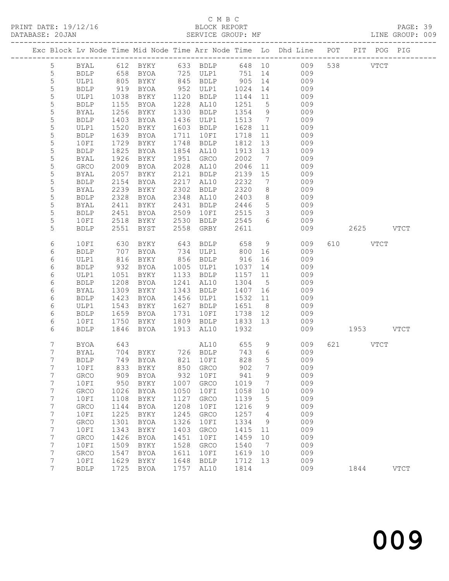## C M B C<br>BLOCK REPORT

PAGE: 39<br>LINE GROUP: 009

|  |                                    |                     |              |                            |              |                        |              |                      | Exc Block Lv Node Time Mid Node Time Arr Node Time Lo Dhd Line POT | PIT POG PIG |               |
|--|------------------------------------|---------------------|--------------|----------------------------|--------------|------------------------|--------------|----------------------|--------------------------------------------------------------------|-------------|---------------|
|  | $5\overline{)}$                    | BYAL                |              |                            |              |                        |              |                      |                                                                    | 538 VTCT    |               |
|  | $\mathsf S$                        | <b>BDLP</b>         |              |                            |              |                        |              |                      |                                                                    |             |               |
|  | 5                                  | ULP1                | 805          | BYKY                       |              |                        |              |                      | 845 BDLP 905 14 009                                                |             |               |
|  | 5                                  | <b>BDLP</b>         | 919          | BYOA                       |              | 952 ULP1               | 1024         | 14                   | 009                                                                |             |               |
|  | 5                                  | ULP1                | 1038         | BYKY                       |              | 1120 BDLP              | 1144         | 11                   | 009                                                                |             |               |
|  | $\mathsf S$                        | BDLP                | 1155         | BYOA                       |              | 1228 AL10              | 1251         | 5 <sup>5</sup>       | 009                                                                |             |               |
|  | 5                                  | BYAL                | 1256         | BYKY                       | 1330         | BDLP                   | 1354         | 9                    | 009                                                                |             |               |
|  | 5                                  | <b>BDLP</b>         | 1403         | BYOA                       |              | 1436 ULP1              | 1513         | $\overline{7}$       | 009                                                                |             |               |
|  | 5                                  | ULP1                | 1520         | BYKY                       | 1603         | BDLP                   | 1628         | 11                   | 009                                                                |             |               |
|  | $\mathsf S$                        | <b>BDLP</b>         | 1639         | BYOA                       | 1711         | 10FI                   | 1718         | 11                   | 009                                                                |             |               |
|  | 5                                  | 10FI                | 1729         | BYKY                       | 1748         | BDLP                   | 1812         | 13                   | 009                                                                |             |               |
|  | 5                                  | BDLP                | 1825         | BYOA                       |              | 1854 AL10              | 1913         | 13                   | 009                                                                |             |               |
|  | 5                                  | BYAL                | 1926         | BYKY                       | 1951         | GRCO                   | 2002         | $\overline{7}$       | 009                                                                |             |               |
|  | $\mathsf S$<br>$\mathsf S$         | GRCO                | 2009<br>2057 | BYOA                       | 2121         | 2028 AL10              | 2046<br>2139 | 11<br>15             | 009<br>009                                                         |             |               |
|  | 5                                  | BYAL<br>BDLP        | 2154         | BYKY<br>BYOA               | 2217         | BDLP<br>AL10           | 2232         | $\overline{7}$       | 009                                                                |             |               |
|  | 5                                  | BYAL                | 2239         | BYKY                       | 2302         | BDLP                   | 2320         | 8                    | 009                                                                |             |               |
|  | 5                                  | <b>BDLP</b>         | 2328         | BYOA                       | 2348         | AL10                   | 2403         | 8 <sup>8</sup>       | 009                                                                |             |               |
|  | 5                                  | BYAL                | 2411         | BYKY                       | 2431         | BDLP                   | 2446         | $5\overline{)}$      | 009                                                                |             |               |
|  | 5                                  | BDLP                | 2451         | BYOA                       | 2509         | 10FI                   | 2515         | $\mathcal{S}$        | 009                                                                |             |               |
|  | 5                                  | 10FI                | 2518         | BYKY                       | 2530         | <b>BDLP</b>            | 2545         | 6                    | 009                                                                |             |               |
|  | 5                                  | <b>BDLP</b>         | 2551         | BYST                       | 2558         | GRBY                   | 2611         |                      | 009                                                                | 2625 VTCT   |               |
|  |                                    |                     |              |                            |              |                        |              |                      |                                                                    |             |               |
|  | 6                                  | 10FI                | 630          | BYKY                       | 643          | BDLP                   | 658          | 9                    | 009                                                                | 610 VTCT    |               |
|  | 6                                  | <b>BDLP</b>         | 707          | BYOA                       |              | 734 ULP1               | 800          | 16                   | 009                                                                |             |               |
|  | 6                                  | ULP1                | 816          | BYKY                       |              | 856 BDLP               | 916          | 16                   | 009                                                                |             |               |
|  | 6                                  | <b>BDLP</b>         | 932          | BYOA                       | 1005         | ULP1                   | 1037         | 14                   | 009                                                                |             |               |
|  | 6                                  | ULP1                | 1051         | BYKY                       | 1133         | BDLP                   | 1157 11      |                      | 009                                                                |             |               |
|  | 6                                  | <b>BDLP</b>         | 1208         | BYOA                       |              | 1241 AL10              | 1304         | $5^{\circ}$          | 009                                                                |             |               |
|  | 6                                  | BYAL                | 1309         | BYKY                       | 1343         | BDLP                   | 1407 16      |                      | 009                                                                |             |               |
|  | 6                                  | <b>BDLP</b>         | 1423         | BYOA                       |              | 1456 ULP1              | 1532 11      |                      | 009                                                                |             |               |
|  | 6<br>6                             | ULP1<br><b>BDLP</b> | 1543<br>1659 | BYKY<br>BYOA               |              | 1627 BDLP<br>1731 10FI | 1651<br>1738 | 8 <sup>8</sup><br>12 | 009<br>009                                                         |             |               |
|  | 6                                  | 10FI                | 1750         | BYKY                       |              | 1809 BDLP              | 1833 13      |                      | 009                                                                |             |               |
|  | 6                                  | <b>BDLP</b>         | 1846         | BYOA                       |              | 1913 AL10              | 1932         |                      | 009                                                                | 1953 VTCT   |               |
|  |                                    |                     |              |                            |              |                        |              |                      |                                                                    |             |               |
|  | $7\phantom{.0}$                    | BYOA                | 643          |                            |              | AL10 655               |              | 9                    | 009                                                                | 621 VTCT    |               |
|  | 7                                  | BYAL                | 704          | BYKY 726 BDLP              |              |                        | 743          | $6\overline{6}$      | 009                                                                |             |               |
|  | $7\phantom{.0}$                    | <b>BDLP</b>         |              | 749 BYOA                   |              | 821 10FI               | 828          | 5                    | 009                                                                |             |               |
|  | $7\overline{ }$                    |                     |              | 10FI 833 BYKY 850 GRCO 902 |              |                        |              | 7                    | 009                                                                |             |               |
|  | 7                                  | <b>GRCO</b>         | 909          | BYOA                       | 932          | 10FI                   | 941          | 9                    | 009                                                                |             |               |
|  | 7                                  | 10FI                | 950          | BYKY                       | 1007         | GRCO                   | 1019         | 7                    | 009                                                                |             |               |
|  | 7                                  | GRCO                | 1026         | BYOA                       | 1050         | 10FI                   | 1058         | 10                   | 009                                                                |             |               |
|  | $7\phantom{.}$                     | 10FI                | 1108         | BYKY                       | 1127         | GRCO                   | 1139         | 5                    | 009                                                                |             |               |
|  | $7\phantom{.}$                     | GRCO                | 1144         | BYOA                       | 1208         | 10FI                   | 1216         | 9                    | 009                                                                |             |               |
|  | $\boldsymbol{7}$                   | 10FI                | 1225         | BYKY                       | 1245         | GRCO                   | 1257         | 4                    | 009                                                                |             |               |
|  | $\boldsymbol{7}$                   | GRCO                | 1301         | <b>BYOA</b>                | 1326         | 10FI                   | 1334         | 9                    | 009                                                                |             |               |
|  | $\boldsymbol{7}$<br>$7\phantom{.}$ | 10FI                | 1343         | BYKY                       | 1403         | GRCO                   | 1415         | 11<br>10             | 009<br>009                                                         |             |               |
|  | $\boldsymbol{7}$                   | GRCO<br>10FI        | 1426<br>1509 | <b>BYOA</b><br>BYKY        | 1451<br>1528 | 10FI<br>GRCO           | 1459<br>1540 | $\overline{7}$       | 009                                                                |             |               |
|  | 7                                  | GRCO                | 1547         | <b>BYOA</b>                | 1611         | 10FI                   | 1619         | 10                   | 009                                                                |             |               |
|  | $\overline{7}$                     | 10FI                | 1629         | BYKY                       | 1648         | <b>BDLP</b>            | 1712         | 13                   | 009                                                                |             |               |
|  | $\overline{7}$                     | <b>BDLP</b>         | 1725         | BYOA                       | 1757         | AL10                   | 1814         |                      | 009                                                                | 1844        | $_{\rm VTCT}$ |
|  |                                    |                     |              |                            |              |                        |              |                      |                                                                    |             |               |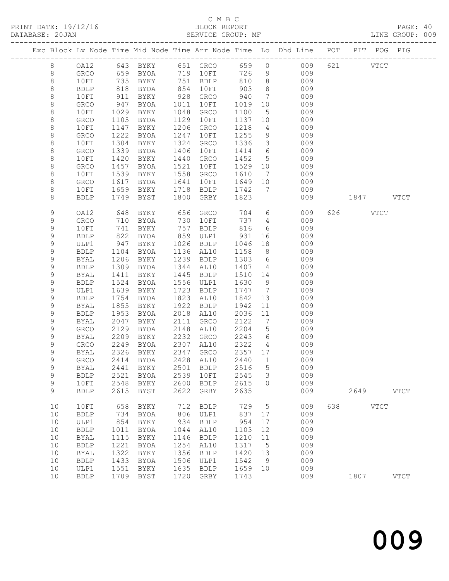## C M B C<br>BLOCK REPORT

PAGE: 40<br>LINE GROUP: 009

|             |                            |              |                                 |              |              |              |                                    | Exc Block Lv Node Time Mid Node Time Arr Node Time Lo Dhd Line POT PIT POG PIG |     |           |             |             |
|-------------|----------------------------|--------------|---------------------------------|--------------|--------------|--------------|------------------------------------|--------------------------------------------------------------------------------|-----|-----------|-------------|-------------|
| 8           | OA12                       |              | 643 BYKY                        |              | 651 GRCO     | 659          |                                    | 009<br>$\overline{0}$                                                          |     | 621 VTCT  |             |             |
| $8\,$       | GRCO                       |              | 659 BYOA                        |              | 719 10FI     | 726          | 9                                  | 009                                                                            |     |           |             |             |
| $\,8\,$     | 10FI                       | 735          | BYKY                            |              | 751 BDLP     | 810          | 8 <sup>8</sup>                     | 009                                                                            |     |           |             |             |
| 8           | <b>BDLP</b>                | 818          | BYOA                            | 854          | 10FI         | 903          | 8 <sup>8</sup>                     | 009                                                                            |     |           |             |             |
| $\,8\,$     | 10FI                       | 911          | BYKY                            | 928          | GRCO         | 940          | $7\phantom{.0}\phantom{.0}7$       | 009                                                                            |     |           |             |             |
| 8           | ${\tt GRCO}$               | 947          | BYOA                            | 1011         | 10FI         | 1019         | 10                                 | 009                                                                            |     |           |             |             |
| 8           | 10FI                       | 1029         | BYKY                            | 1048         | GRCO         | 1100         | $5\overline{)}$                    | 009                                                                            |     |           |             |             |
| 8           | GRCO                       | 1105         | BYOA                            | 1129         | 10FI         | 1137         | 10 <sup>°</sup>                    | 009                                                                            |     |           |             |             |
| 8           | 10FI                       | 1147         | BYKY                            | 1206         | GRCO         | 1218         | 4                                  | 009                                                                            |     |           |             |             |
| 8           | GRCO                       | 1222         | BYOA                            | 1247         | 10FI         | 1255         | 9                                  | 009                                                                            |     |           |             |             |
| 8           | 10FI                       | 1304         | BYKY                            | 1324         | GRCO         | 1336         | $\mathcal{S}$                      | 009                                                                            |     |           |             |             |
| 8           | GRCO                       | 1339         | BYOA                            | 1406         | 10FI         | 1414         | 6                                  | 009                                                                            |     |           |             |             |
| 8           | 10FI                       | 1420         | BYKY                            | 1440         | GRCO         | 1452         | $5\overline{)}$                    | 009                                                                            |     |           |             |             |
| 8           | GRCO                       | 1457         | BYOA                            | 1521         | 10FI         | 1529         | 10                                 | 009                                                                            |     |           |             |             |
| 8           | 10FI                       | 1539         | BYKY                            | 1558         | GRCO         | 1610         | $\overline{7}$                     | 009                                                                            |     |           |             |             |
| 8           | GRCO                       | 1617         | BYOA                            | 1641         | 10FI         | 1649         | 10                                 | 009                                                                            |     |           |             |             |
| 8           | 10FI                       | 1659         | BYKY                            | 1718         | <b>BDLP</b>  | 1742         | 7                                  | 009                                                                            |     |           |             |             |
| 8           | <b>BDLP</b>                | 1749         | BYST                            | 1800         | GRBY         | 1823         |                                    | 009                                                                            |     | 1847 VTCT |             |             |
| $\mathsf 9$ | OA12                       | 648          | BYKY                            | 656          | GRCO         | 704          |                                    | $6\overline{6}$<br>009                                                         |     | 626 VTCT  |             |             |
| 9           | GRCO                       | 710          | BYOA                            | 730          | 10FI         | 737          | $\overline{4}$                     | 009                                                                            |     |           |             |             |
| 9           | 10FI                       | 741          | BYKY                            | 757          | BDLP         | 816          | 6                                  | 009                                                                            |     |           |             |             |
| 9           | <b>BDLP</b>                | 822          | BYOA                            | 859          | ULP1         | 931          | 16                                 | 009                                                                            |     |           |             |             |
| 9           | ULP1                       | 947          | BYKY                            | 1026         | BDLP         | 1046         | 18                                 | 009                                                                            |     |           |             |             |
| 9           | <b>BDLP</b>                | 1104         | BYOA                            | 1136         | AL10         | 1158         | 8 <sup>8</sup>                     | 009                                                                            |     |           |             |             |
| 9           | BYAL                       | 1206         | BYKY                            | 1239         | BDLP         | 1303         | $6\overline{6}$                    | 009                                                                            |     |           |             |             |
| $\mathsf 9$ | <b>BDLP</b>                | 1309         | BYOA                            | 1344         | AL10         | 1407         | $\overline{4}$                     | 009                                                                            |     |           |             |             |
| 9           | BYAL                       | 1411         | BYKY                            | 1445         | BDLP         | 1510         | 14                                 | 009                                                                            |     |           |             |             |
| 9           | <b>BDLP</b>                | 1524         | BYOA                            | 1556         | ULP1         | 1630         | 9                                  | 009                                                                            |     |           |             |             |
| 9           | ULP1                       | 1639         | BYKY                            | 1723         | BDLP         | 1747         | $\overline{7}$                     | 009                                                                            |     |           |             |             |
| 9           | <b>BDLP</b>                | 1754         | BYOA                            | 1823         | AL10         | 1842         | 13                                 | 009                                                                            |     |           |             |             |
| 9           | BYAL                       | 1855<br>1953 | BYKY                            | 1922<br>2018 | BDLP         | 1942<br>2036 | 11                                 | 009<br>009                                                                     |     |           |             |             |
| 9<br>9      | <b>BDLP</b><br><b>BYAL</b> | 2047         | BYOA<br>BYKY                    | 2111         | AL10<br>GRCO | 2122         | 11<br>$7\phantom{.0}\phantom{.0}7$ | 009                                                                            |     |           |             |             |
| 9           | GRCO                       | 2129         | BYOA                            | 2148         | AL10         | 2204         | $5\overline{)}$                    | 009                                                                            |     |           |             |             |
| 9           | BYAL                       | 2209         | BYKY                            | 2232         | GRCO         | 2243         | $6\overline{6}$                    | 009                                                                            |     |           |             |             |
| 9           | GRCO                       | 2249         | BYOA                            | 2307         | AL10         | 2322         | $\overline{4}$                     | 009                                                                            |     |           |             |             |
| 9           | <b>BYAL</b>                | 2326         | BYKY                            | 2347         | GRCO         | 2357 17      |                                    | 009                                                                            |     |           |             |             |
| 9           | <b>GRCO</b>                | 2414         | BYOA                            |              | 2428 AL10    | 2440         | $\mathbf{1}$                       | 009                                                                            |     |           |             |             |
| 9           |                            |              | BYAL 2441 BYKY 2501 BDLP 2516 5 |              |              |              |                                    | 009                                                                            |     |           |             |             |
| $\mathsf 9$ | <b>BDLP</b>                | 2521         | BYOA                            | 2539         | 10FI         | 2545         | 3                                  | 009                                                                            |     |           |             |             |
| 9           | 10FI                       | 2548         | <b>BYKY</b>                     | 2600         | <b>BDLP</b>  | 2615         | $\circ$                            | 009                                                                            |     |           |             |             |
| 9           | <b>BDLP</b>                | 2615         | BYST                            | 2622         | GRBY         | 2635         |                                    | 009                                                                            |     | 2649      |             | <b>VTCT</b> |
| 10          | 10FI                       | 658          | BYKY                            | 712          | <b>BDLP</b>  | 729          | 5                                  | 009                                                                            | 638 |           | <b>VTCT</b> |             |
| 10          | <b>BDLP</b>                | 734          | BYOA                            | 806          | ULP1         | 837          | 17                                 | 009                                                                            |     |           |             |             |
| 10          | ULP1                       | 854          | BYKY                            | 934          | <b>BDLP</b>  | 954          | 17                                 | 009                                                                            |     |           |             |             |
| 10          | <b>BDLP</b>                | 1011         | BYOA                            | 1044         | AL10         | 1103         | 12                                 | 009                                                                            |     |           |             |             |
| 10          | <b>BYAL</b>                | 1115         | BYKY                            | 1146         | <b>BDLP</b>  | 1210         | 11                                 | 009                                                                            |     |           |             |             |
| 10          | <b>BDLP</b>                | 1221         | <b>BYOA</b>                     | 1254         | AL10         | 1317         | 5                                  | 009                                                                            |     |           |             |             |
| 10          | <b>BYAL</b>                | 1322         | BYKY                            | 1356         | <b>BDLP</b>  | 1420         | 13                                 | 009                                                                            |     |           |             |             |
| 10          | <b>BDLP</b>                | 1433         | BYOA                            | 1506         | ULP1         | 1542         | 9                                  | 009                                                                            |     |           |             |             |
| 10          | ULP1                       | 1551         | BYKY                            | 1635         | <b>BDLP</b>  | 1659         | 10                                 | 009                                                                            |     |           |             |             |
| 10          | <b>BDLP</b>                | 1709         | <b>BYST</b>                     | 1720         | GRBY         | 1743         |                                    | 009                                                                            |     | 1807      |             | <b>VTCT</b> |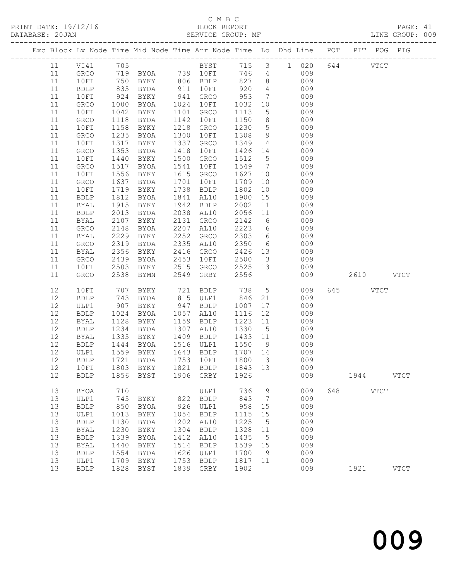#### C M B C

| DATABASE: 20JAN |              |      |                                |      | SERVICE GROUP: MF            |                                                |                 |                                                                                |          |           | LINE GROUP: 009 |  |
|-----------------|--------------|------|--------------------------------|------|------------------------------|------------------------------------------------|-----------------|--------------------------------------------------------------------------------|----------|-----------|-----------------|--|
|                 |              |      |                                |      |                              |                                                |                 | Exc Block Lv Node Time Mid Node Time Arr Node Time Lo Dhd Line POT PIT POG PIG |          |           |                 |  |
| 11              |              |      |                                |      |                              |                                                |                 | VI41 705 BYST 715 3 1 020 644 VTCT                                             |          |           |                 |  |
| 11              |              |      |                                |      | GRCO 719 BYOA 739 10FI 746 4 |                                                |                 | 009                                                                            |          |           |                 |  |
| 11              | 10FI         |      |                                |      |                              |                                                |                 |                                                                                |          |           |                 |  |
| 11              | BDLP         |      |                                |      |                              |                                                |                 |                                                                                |          |           |                 |  |
| 11              | 10FI         |      |                                |      |                              |                                                |                 |                                                                                |          |           |                 |  |
| 11              | GRCO         | 1000 | BYOA                           |      | 1024 10FI                    | 1032                                           |                 | 10<br>009                                                                      |          |           |                 |  |
| 11              | 10FI         | 1042 | BYKY                           |      | 1101 GRCO                    | 1113                                           | 5 <sup>5</sup>  | 009                                                                            |          |           |                 |  |
| 11              | GRCO         | 1118 | BYOA                           |      | 1142 10FI                    | 1150                                           | 8 <sup>8</sup>  | 009                                                                            |          |           |                 |  |
| 11              | 10FI         | 1158 | BYKY                           |      | 1218 GRCO                    | 1230                                           | $5\overline{)}$ | 009                                                                            |          |           |                 |  |
| 11              | GRCO         | 1235 | BYOA                           | 1300 | 10FI                         | 1308                                           | 9               | 009                                                                            |          |           |                 |  |
| 11              | 10FI         | 1317 | BYKY                           | 1337 | GRCO                         | 1349                                           | $4\overline{4}$ | 009                                                                            |          |           |                 |  |
| 11              | GRCO         | 1353 | BYOA                           | 1418 | 10FI                         | 1426 14                                        |                 | 009                                                                            |          |           |                 |  |
| 11              | 10FI         | 1440 | BYKY                           |      | 1500 GRCO                    | 1512 5                                         |                 | 009                                                                            |          |           |                 |  |
| 11              | GRCO         | 1517 | BYOA                           | 1541 | 10FI                         |                                                |                 | 1549 7<br>009                                                                  |          |           |                 |  |
| 11              | 10FI         | 1556 | BYKY                           |      | 1615 GRCO                    | 1627                                           | 10              | 009                                                                            |          |           |                 |  |
| 11              | GRCO         | 1637 | BYOA                           | 1701 | 10FI                         | 1709                                           | 10              | 009                                                                            |          |           |                 |  |
| 11              | 10FI         | 1719 | BYKY                           |      | 1738 BDLP                    | 1802                                           | 10              | 009                                                                            |          |           |                 |  |
| 11              | BDLP         | 1812 | BYOA                           |      | 1841 AL10                    | 1900                                           | 15              | 009                                                                            |          |           |                 |  |
| 11              | BYAL         | 1915 | BYKY                           |      | 1942 BDLP                    | 2002                                           | 11              | 009                                                                            |          |           |                 |  |
| 11              | <b>BDLP</b>  | 2013 | BYOA                           |      | 2038 AL10                    | 2056                                           | 11              | 009                                                                            |          |           |                 |  |
| 11              | BYAL         | 2107 | BYKY                           |      | 2131 GRCO                    | 2142                                           | $6\overline{6}$ | 009                                                                            |          |           |                 |  |
| 11              | GRCO         | 2148 | BYOA                           | 2207 | AL10                         | 2223                                           |                 | $6\overline{6}$<br>009                                                         |          |           |                 |  |
| 11              | BYAL         | 2229 | BYKY                           |      | 2252 GRCO                    |                                                |                 | 2303 16<br>009                                                                 |          |           |                 |  |
| 11              | GRCO         | 2319 | BYOA                           |      | 2335 AL10                    | 2350                                           | 6               | 009                                                                            |          |           |                 |  |
| 11              | BYAL         | 2356 | BYKY                           |      | 2416 GRCO                    | 2426 13                                        |                 | 009                                                                            |          |           |                 |  |
| 11              | GRCO         | 2439 | BYOA                           | 2453 | 10FI                         | 2500 3                                         |                 | 009                                                                            |          |           |                 |  |
| 11              | 10FI         | 2503 | BYKY                           |      | 2515 GRCO                    | 2525 13                                        |                 | 009                                                                            |          |           |                 |  |
| 11              | GRCO         | 2538 | BYMN                           |      | 2549 GRBY                    | 2556                                           |                 | 009                                                                            |          | 2610 VTCT |                 |  |
| 12              | 10FI         | 707  | BYKY                           |      | 721 BDLP 738                 |                                                |                 | $5 - 5$<br>009                                                                 | 645 VTCT |           |                 |  |
| 12              | <b>BDLP</b>  | 743  | BYOA                           |      | 815 ULP1                     | 846 21                                         |                 | 009                                                                            |          |           |                 |  |
| 12              | ULP1         | 907  | BYKY                           |      | 947 BDLP                     | 1007                                           | 17              | 009                                                                            |          |           |                 |  |
| 12              | <b>BDLP</b>  | 1024 | BYOA                           |      | 1057 AL10                    | 1116                                           | 12              | 009                                                                            |          |           |                 |  |
| 12              | BYAL         | 1128 | BYKY                           |      | 1159 BDLP                    | 1223 11                                        |                 | 009                                                                            |          |           |                 |  |
| 12              | BDLP         | 1234 | BYOA                           |      | 1307 AL10                    | 1330                                           | $5\overline{)}$ | 009                                                                            |          |           |                 |  |
| 12              | BYAL         | 1335 | BYKY                           |      | 1409 BDLP                    | 1433 11                                        |                 | 009                                                                            |          |           |                 |  |
| 12              | BDLP         |      | 1444 BYOA<br>1559 BYKY<br>BYOA |      | 1516 ULP1                    | 1550 9                                         |                 | 009                                                                            |          |           |                 |  |
| 12              | ULP1         |      |                                |      | 1643 BDLP                    | $\begin{array}{c}\n 1707 \\  14\n \end{array}$ |                 | 009                                                                            |          |           |                 |  |
|                 |              |      |                                |      |                              |                                                |                 | 12 BDLP 1721 BYOA 1753 10FI 1800 3 009                                         |          |           |                 |  |
| 12              | 10FI         |      | 1803 BYKY                      |      | 1821 BDLP                    | 1843 13                                        |                 | 009                                                                            |          |           |                 |  |
| 12              | BDLP         |      | 1856 BYST 1906 GRBY            |      |                              | 1926                                           |                 | 009                                                                            |          | 1944 VTCT |                 |  |
| 13              | <b>BYOA</b>  | 710  |                                |      | ULP1                         | 736                                            | 9               | 009                                                                            | 648 VTCT |           |                 |  |
| 13              | ULP1         | 745  | BYKY                           | 822  | BDLP                         | 843                                            | $\overline{7}$  | 009                                                                            |          |           |                 |  |
| 13              | <b>BDLP</b>  | 850  | BYOA                           | 926  | ULP1                         | 958                                            | 15              | 009                                                                            |          |           |                 |  |
| 13              | ULP1         | 1013 | BYKY                           | 1054 | <b>BDLP</b>                  | 1115                                           | 15              | 009                                                                            |          |           |                 |  |
| 13              | ${\tt BDLP}$ | 1130 | BYOA                           | 1202 | AL10                         | 1225                                           | $5\phantom{0}$  | 009                                                                            |          |           |                 |  |
| 13              | BYAL         | 1230 | BYKY                           | 1304 | <b>BDLP</b>                  | 1328 11                                        |                 | 009                                                                            |          |           |                 |  |
| 13              | <b>BDLP</b>  | 1339 | BYOA                           | 1412 | AL10                         | 1435                                           | $5\phantom{0}$  | 009                                                                            |          |           |                 |  |
| 13              | BYAL         | 1440 | BYKY                           | 1514 | <b>BDLP</b>                  | 1539 15                                        |                 | 009                                                                            |          |           |                 |  |
| 13              | <b>BDLP</b>  | 1554 | BYOA                           | 1626 | ULP1                         | 1700                                           | 9               | 009                                                                            |          |           |                 |  |
| 13              | ULP1         |      | 1709 BYKY                      | 1753 | BDLP                         | 1817 11                                        |                 | 009                                                                            |          |           |                 |  |

13 BDLP 1828 BYST 1839 GRBY 1902 009 1921 VTCT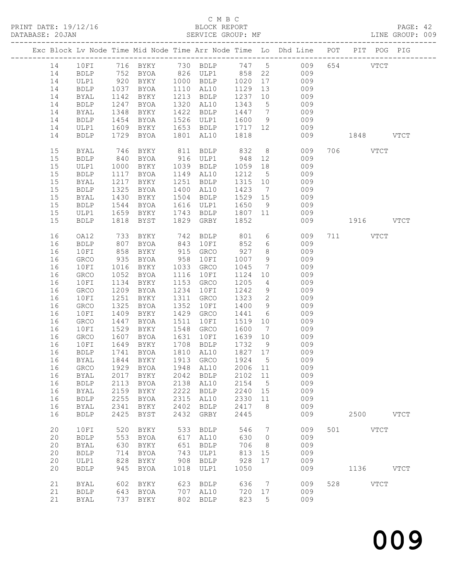#### C M B C<br>BLOCK REPORT

PAGE: 42<br>LINE GROUP: 009

|  |    |             |      |                                                                                            |      |                   |            |                              | Exc Block Lv Node Time Mid Node Time Arr Node Time Lo Dhd Line POT PIT POG PIG |     |           |             |             |
|--|----|-------------|------|--------------------------------------------------------------------------------------------|------|-------------------|------------|------------------------------|--------------------------------------------------------------------------------|-----|-----------|-------------|-------------|
|  | 14 | 10FI        |      |                                                                                            |      |                   |            |                              | 716 BYKY 730 BDLP 747 5 009                                                    |     | 654 VTCT  |             |             |
|  | 14 | BDLP        |      |                                                                                            |      |                   |            |                              | 009                                                                            |     |           |             |             |
|  | 14 | ULP1        |      | 752 BYOA        826   ULP1         858   22<br>920   BYKY       1000   BDLP      1020   17 |      |                   |            |                              | 009                                                                            |     |           |             |             |
|  | 14 | BDLP        | 1037 | BYOA                                                                                       |      | 1110 AL10         | 1129 13    |                              | 009                                                                            |     |           |             |             |
|  | 14 | BYAL        | 1142 | BYKY                                                                                       |      | 1213 BDLP         | 1237 10    |                              | 009                                                                            |     |           |             |             |
|  | 14 | BDLP        | 1247 | BYOA                                                                                       |      | 1320 AL10         | 1343       | $5\overline{)}$              | 009                                                                            |     |           |             |             |
|  | 14 | BYAL        | 1348 | BYKY                                                                                       |      | 1422 BDLP         | 1447 7     |                              | 009                                                                            |     |           |             |             |
|  | 14 | <b>BDLP</b> | 1454 | BYOA                                                                                       | 1526 | ULP1              | 1600       |                              | 9 009                                                                          |     |           |             |             |
|  | 14 | ULP1        | 1609 | BYKY                                                                                       |      | 1653 BDLP         | 1717 12    |                              | 009                                                                            |     |           |             |             |
|  | 14 | <b>BDLP</b> | 1729 | BYOA                                                                                       | 1801 | AL10              | 1818       |                              | 009                                                                            |     | 1848 VTCT |             |             |
|  |    |             |      |                                                                                            |      |                   |            |                              |                                                                                |     |           |             |             |
|  | 15 | BYAL        | 746  | BYKY                                                                                       |      | 811 BDLP          | 832        |                              | 8 <sup>1</sup><br>009                                                          |     | 706 VTCT  |             |             |
|  | 15 | <b>BDLP</b> | 840  | BYOA                                                                                       |      | 916 ULP1          | 948        | 12                           | 009                                                                            |     |           |             |             |
|  | 15 | ULP1        | 1000 | BYKY                                                                                       |      | 1039 BDLP         | 1059       | 18                           | 009                                                                            |     |           |             |             |
|  | 15 | BDLP        | 1117 | BYOA                                                                                       |      | 1149 AL10         | 1212       | $5\overline{)}$              | 009                                                                            |     |           |             |             |
|  | 15 | BYAL        | 1217 | BYKY                                                                                       |      | 1251 BDLP         | 1315 10    |                              | 009                                                                            |     |           |             |             |
|  | 15 | BDLP        | 1325 | BYOA                                                                                       |      | 1400 AL10         | 1423       | $\overline{7}$               | 009                                                                            |     |           |             |             |
|  | 15 | BYAL        | 1430 | BYKY                                                                                       | 1504 | BDLP              | 1529 15    |                              | 009                                                                            |     |           |             |             |
|  | 15 | BDLP        | 1544 | BYOA                                                                                       |      | 1616 ULP1         | 1650       | 9                            | 009                                                                            |     |           |             |             |
|  | 15 | ULP1        | 1659 | BYKY                                                                                       |      | 1743 BDLP 1807 11 |            |                              | 009                                                                            |     |           |             |             |
|  | 15 | <b>BDLP</b> | 1818 | BYST                                                                                       | 1829 | GRBY              | 1852       |                              | 009                                                                            |     | 1916 VTCT |             |             |
|  |    |             |      |                                                                                            |      |                   |            |                              |                                                                                |     |           |             |             |
|  | 16 | OA12        | 733  | BYKY                                                                                       |      | $742$ BDLP        | 801<br>852 |                              | $6\overline{6}$<br>009                                                         |     | 711 VTCT  |             |             |
|  | 16 | <b>BDLP</b> | 807  | BYOA                                                                                       | 843  | 10FI              |            | 6                            | 009                                                                            |     |           |             |             |
|  | 16 | 10FI        | 858  | BYKY                                                                                       | 915  | GRCO              | 927        | 8 <sup>8</sup>               | 009                                                                            |     |           |             |             |
|  | 16 | GRCO        | 935  | BYOA                                                                                       | 958  | 10FI              | 1007       | 9                            | 009                                                                            |     |           |             |             |
|  | 16 | 10FI        | 1016 | BYKY                                                                                       | 1033 | GRCO              | 1045       | $7\phantom{.0}\phantom{.0}7$ | 009                                                                            |     |           |             |             |
|  | 16 | GRCO        | 1052 | BYOA                                                                                       | 1116 | 10FI              | 1124       | 10                           | 009                                                                            |     |           |             |             |
|  | 16 | 10FI        | 1134 | BYKY                                                                                       | 1153 | GRCO              | 1205       |                              | $4\overline{ }$<br>009                                                         |     |           |             |             |
|  | 16 | GRCO        | 1209 | BYOA                                                                                       | 1234 | 10FI              | 1242       | 9                            | 009                                                                            |     |           |             |             |
|  | 16 | 10FI        | 1251 | BYKY                                                                                       | 1311 | GRCO              | 1323       | $\overline{2}$               | 009                                                                            |     |           |             |             |
|  | 16 | GRCO        | 1325 | BYOA                                                                                       | 1352 | 10FI              | 1400       | 9                            | 009                                                                            |     |           |             |             |
|  | 16 | 10FI        | 1409 | BYKY                                                                                       | 1429 | GRCO              | 1441       | $6\overline{6}$              | 009                                                                            |     |           |             |             |
|  | 16 | GRCO        | 1447 | BYOA                                                                                       | 1511 | 10FI              | 1519       | 10                           | 009                                                                            |     |           |             |             |
|  | 16 | 10FI        | 1529 | BYKY                                                                                       | 1548 | GRCO              | 1600       | $\overline{7}$               | 009                                                                            |     |           |             |             |
|  | 16 | GRCO        | 1607 | BYOA                                                                                       | 1631 | 10FI              | 1639 10    |                              | 009                                                                            |     |           |             |             |
|  | 16 | 10FI        | 1649 | BYKY                                                                                       |      | 1708 BDLP         | 1732       | 9                            | 009                                                                            |     |           |             |             |
|  | 16 | BDLP        | 1741 | BYOA                                                                                       |      | 1810 AL10         | 1827 17    |                              | $009$                                                                          |     |           |             |             |
|  | 16 | BYAL        |      | 1844 BYKY                                                                                  |      | 1913 GRCO         | 1924       | $5^{\circ}$                  | 009                                                                            |     |           |             |             |
|  |    |             |      | 16 GRCO 1929 BYOA 1948 AL10 2006 11                                                        |      |                   |            |                              | 009                                                                            |     |           |             |             |
|  | 16 | BYAL        | 2017 | BYKY                                                                                       | 2042 | <b>BDLP</b>       | 2102       | 11                           | 009                                                                            |     |           |             |             |
|  | 16 | <b>BDLP</b> | 2113 | <b>BYOA</b>                                                                                | 2138 | AL10              | 2154       | 5                            | 009                                                                            |     |           |             |             |
|  | 16 | <b>BYAL</b> | 2159 | BYKY                                                                                       | 2222 | <b>BDLP</b>       | 2240       | 15                           | 009                                                                            |     |           |             |             |
|  | 16 | <b>BDLP</b> | 2255 | BYOA                                                                                       | 2315 | AL10              | 2330       | 11                           | 009                                                                            |     |           |             |             |
|  | 16 | <b>BYAL</b> | 2341 | BYKY                                                                                       | 2402 | <b>BDLP</b>       | 2417       | 8                            | 009                                                                            |     |           |             |             |
|  | 16 | <b>BDLP</b> | 2425 | <b>BYST</b>                                                                                | 2432 | GRBY              | 2445       |                              | 009                                                                            |     | 2500      |             | <b>VTCT</b> |
|  | 20 | 10FI        | 520  | BYKY                                                                                       | 533  | <b>BDLP</b>       | 546        | 7                            | 009                                                                            | 501 |           | <b>VTCT</b> |             |
|  | 20 | <b>BDLP</b> | 553  | BYOA                                                                                       | 617  | AL10              | 630        | $\circ$                      | 009                                                                            |     |           |             |             |
|  | 20 | <b>BYAL</b> | 630  | BYKY                                                                                       | 651  | <b>BDLP</b>       | 706        | 8                            | 009                                                                            |     |           |             |             |
|  | 20 | <b>BDLP</b> | 714  | BYOA                                                                                       | 743  | ULP1              | 813        | 15                           | 009                                                                            |     |           |             |             |
|  | 20 | ULP1        | 828  | BYKY                                                                                       | 908  | <b>BDLP</b>       | 928        | 17                           | 009                                                                            |     |           |             |             |
|  | 20 | <b>BDLP</b> | 945  | BYOA                                                                                       | 1018 | ULP1              | 1050       |                              | 009                                                                            |     | 1136      |             | <b>VTCT</b> |
|  | 21 | <b>BYAL</b> | 602  | BYKY                                                                                       | 623  | <b>BDLP</b>       | 636        | 7                            | 009                                                                            | 528 |           | <b>VTCT</b> |             |
|  | 21 | <b>BDLP</b> | 643  | BYOA                                                                                       | 707  | AL10              | 720        | 17                           | 009                                                                            |     |           |             |             |
|  | 21 | <b>BYAL</b> | 737  | BYKY                                                                                       | 802  | <b>BDLP</b>       | 823        | 5                            | 009                                                                            |     |           |             |             |
|  |    |             |      |                                                                                            |      |                   |            |                              |                                                                                |     |           |             |             |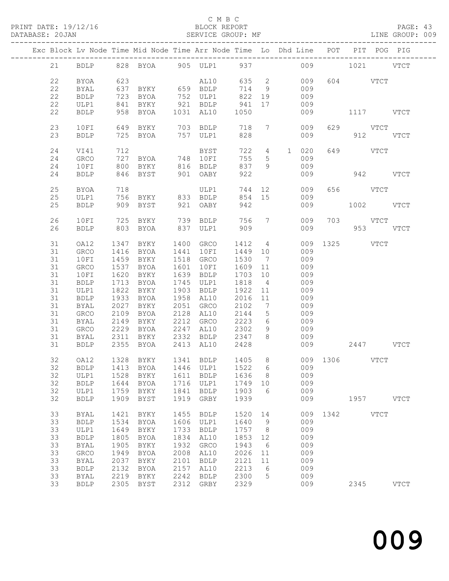#### C M B C<br>BLOCK REPORT

PAGE: 43<br>LINE GROUP: 009

|    |             |      | Exc Block Lv Node Time Mid Node Time Arr Node Time Lo Dhd Line POT PIT POG PIG |      |                                |        |                              |                       |     |           |           |             |             |
|----|-------------|------|--------------------------------------------------------------------------------|------|--------------------------------|--------|------------------------------|-----------------------|-----|-----------|-----------|-------------|-------------|
| 21 |             |      | BDLP 828 BYOA 905 ULP1 937 009 1021 VTCT                                       |      |                                |        |                              |                       |     |           |           |             |             |
| 22 | <b>BYOA</b> | 623  |                                                                                |      | AL10                           |        |                              | 635 2                 | 009 |           | 604 VTCT  |             |             |
| 22 | BYAL        | 637  | BYKY 659 BDLP                                                                  |      |                                | 714    | 9                            |                       | 009 |           |           |             |             |
| 22 | <b>BDLP</b> | 723  | BYOA                                                                           |      | 752 ULP1                       | 822 19 |                              |                       | 009 |           |           |             |             |
| 22 | ULP1        | 841  | BYKY                                                                           |      | 921 BDLP                       | 941    | 17                           |                       | 009 |           |           |             |             |
| 22 | <b>BDLP</b> | 958  | BYOA                                                                           |      | 1031 AL10                      | 1050   |                              |                       | 009 |           | 1117 VTCT |             |             |
|    |             |      |                                                                                |      |                                |        |                              |                       |     |           |           |             |             |
| 23 | 10FI        | 649  | BYKY                                                                           |      | 703 BDLP                       | 718    |                              | $7\overline{ }$       | 009 |           | 629 VTCT  |             |             |
| 23 | <b>BDLP</b> | 725  | BYOA                                                                           |      | 757 ULP1                       | 828    |                              |                       | 009 |           | 912       |             | VTCT        |
| 24 | VI41        | 712  |                                                                                |      | BYST                           |        |                              | 722  4  1  020        |     |           | 649 VTCT  |             |             |
| 24 | GRCO        | 727  | BYOA 748 10FI                                                                  |      |                                | 755    | $5\overline{)}$              |                       | 009 |           |           |             |             |
| 24 | 10FI        | 800  |                                                                                |      |                                | 837    | 9                            |                       | 009 |           |           |             |             |
|    |             |      | BYKY                                                                           |      | 816 BDLP                       |        |                              |                       |     |           |           |             |             |
| 24 | <b>BDLP</b> |      | 846 BYST                                                                       |      | 901 OABY                       | 922    |                              |                       | 009 |           | 942 VTCT  |             |             |
| 25 | <b>BYOA</b> | 718  |                                                                                |      | ULP1                           | 744    |                              | 12 and $\overline{a}$ | 009 |           | 656 VTCT  |             |             |
| 25 | ULP1        |      | 756 BYKY 833 BDLP                                                              |      |                                | 854 15 |                              |                       | 009 |           |           |             |             |
| 25 | <b>BDLP</b> | 909  | BYST                                                                           |      | 921 OABY                       | 942    |                              |                       | 009 |           | 1002 VTCT |             |             |
| 26 | 10FI        |      | 725 BYKY                                                                       |      | 739 BDLP                       |        |                              | 756 7                 | 009 |           | 703 VTCT  |             |             |
| 26 | <b>BDLP</b> | 803  | BYOA                                                                           | 837  | ULP1                           | 909    |                              |                       | 009 | 953 VTCT  |           |             |             |
|    |             |      |                                                                                |      |                                |        |                              |                       |     |           |           |             |             |
| 31 | OA12        | 1347 | BYKY                                                                           |      | 1400 GRCO                      | 1412   | $4\overline{4}$              |                       | 009 | 1325 VTCT |           |             |             |
| 31 | GRCO        | 1416 | BYOA                                                                           | 1441 | 10FI                           | 1449   | 10                           |                       | 009 |           |           |             |             |
| 31 | 10FI        | 1459 | BYKY                                                                           |      | 1518 GRCO                      | 1530   | $\overline{7}$               |                       | 009 |           |           |             |             |
| 31 | GRCO        | 1537 | BYOA                                                                           | 1601 | 10FI                           | 1609   | 11                           |                       | 009 |           |           |             |             |
| 31 | 10FI        | 1620 | BYKY                                                                           | 1639 | BDLP                           | 1703   | 10                           |                       | 009 |           |           |             |             |
| 31 | <b>BDLP</b> | 1713 | BYOA                                                                           | 1745 | ULP1                           | 1818   | $\overline{4}$               |                       | 009 |           |           |             |             |
| 31 | ULP1        | 1822 | BYKY                                                                           | 1903 | <b>BDLP</b>                    | 1922   | 11                           |                       | 009 |           |           |             |             |
| 31 | <b>BDLP</b> | 1933 | BYOA                                                                           |      | 1958 AL10                      | 2016   | 11                           |                       | 009 |           |           |             |             |
| 31 | BYAL        | 2027 | BYKY                                                                           |      | 2051 GRCO                      | 2102   | $7\phantom{.0}\phantom{.0}7$ |                       | 009 |           |           |             |             |
| 31 | GRCO        | 2109 | BYOA                                                                           | 2128 | AL10                           | 2144   | 5 <sup>5</sup>               |                       | 009 |           |           |             |             |
| 31 | BYAL        | 2149 | BYKY                                                                           | 2212 | GRCO                           | 2223   | $6\overline{6}$              |                       | 009 |           |           |             |             |
| 31 | GRCO        | 2229 | BYOA                                                                           | 2247 | AL10                           | 2302   | 9                            |                       | 009 |           |           |             |             |
| 31 | BYAL        | 2311 | BYKY                                                                           |      | 2332 BDLP                      | 2347   | 8 <sup>8</sup>               |                       | 009 |           |           |             |             |
| 31 | <b>BDLP</b> | 2355 | BYOA                                                                           |      | 2413 AL10                      | 2428   |                              |                       | 009 | 2447 VTCT |           |             |             |
|    |             |      |                                                                                |      |                                |        |                              |                       |     |           |           |             |             |
| 32 | OA12        |      | 1328 BYKY                                                                      |      | 1341 BDLP 1405 8 009 1306 VTCT |        |                              |                       |     |           |           |             |             |
|    |             |      | 32 BDLP 1413 BYOA 1446 ULP1 1522 6 009                                         |      |                                |        |                              |                       |     |           |           |             |             |
| 32 | ULP1        | 1528 | BYKY                                                                           | 1611 | <b>BDLP</b>                    | 1636   | 8                            |                       | 009 |           |           |             |             |
| 32 | <b>BDLP</b> | 1644 | <b>BYOA</b>                                                                    | 1716 | ULP1                           | 1749   | 10                           |                       | 009 |           |           |             |             |
| 32 | ULP1        | 1759 | BYKY                                                                           | 1841 | <b>BDLP</b>                    | 1903   | 6                            |                       | 009 |           |           |             |             |
| 32 | <b>BDLP</b> | 1909 | <b>BYST</b>                                                                    | 1919 | GRBY                           | 1939   |                              |                       | 009 |           |           | 1957 \      | <b>VTCT</b> |
| 33 | <b>BYAL</b> | 1421 | BYKY                                                                           | 1455 | <b>BDLP</b>                    | 1520   | 14                           |                       | 009 | 1342      |           | <b>VTCT</b> |             |
| 33 | <b>BDLP</b> | 1534 | <b>BYOA</b>                                                                    | 1606 | ULP1                           | 1640   | 9                            |                       | 009 |           |           |             |             |
| 33 | ULP1        | 1649 | BYKY                                                                           | 1733 | <b>BDLP</b>                    | 1757   | 8                            |                       | 009 |           |           |             |             |
| 33 | <b>BDLP</b> | 1805 | <b>BYOA</b>                                                                    | 1834 | AL10                           | 1853   | 12                           |                       | 009 |           |           |             |             |
| 33 | <b>BYAL</b> | 1905 | BYKY                                                                           | 1932 | GRCO                           | 1943   | - 6                          |                       | 009 |           |           |             |             |
| 33 | GRCO        | 1949 | <b>BYOA</b>                                                                    | 2008 | AL10                           | 2026   | 11                           |                       | 009 |           |           |             |             |
| 33 | <b>BYAL</b> | 2037 | BYKY                                                                           | 2101 | <b>BDLP</b>                    | 2121   | 11                           |                       | 009 |           |           |             |             |
| 33 |             |      |                                                                                |      |                                |        |                              |                       |     |           |           |             |             |
|    | <b>BDLP</b> | 2132 | <b>BYOA</b>                                                                    | 2157 | AL10                           | 2213   | 6                            |                       | 009 |           |           |             |             |
| 33 | <b>BYAL</b> | 2219 | BYKY                                                                           | 2242 | <b>BDLP</b>                    | 2300   | 5                            |                       | 009 |           |           |             |             |
| 33 | <b>BDLP</b> | 2305 | BYST                                                                           | 2312 | GRBY                           | 2329   |                              |                       | 009 |           | 2345      |             | <b>VTCT</b> |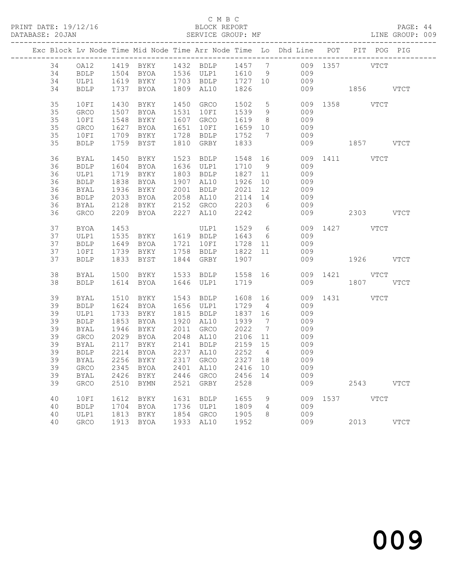#### C M B C<br>BLOCK REPORT

PAGE: 44<br>LINE GROUP: 009

|    |              |      |                             |      |                                        |           |                | Exc Block Lv Node Time Mid Node Time Arr Node Time Lo Dhd Line POT PIT POG PIG |               |           |      |
|----|--------------|------|-----------------------------|------|----------------------------------------|-----------|----------------|--------------------------------------------------------------------------------|---------------|-----------|------|
| 34 |              |      |                             |      |                                        |           |                | OA12 1419 BYKY 1432 BDLP 1457 7 009 1357 VTCT                                  |               |           |      |
| 34 | BDLP         |      |                             |      |                                        |           |                | 1504 BYOA 1536 ULP1 1610 9 009                                                 |               |           |      |
| 34 | ULP1         |      | 1619 BYKY 1703 BDLP 1727 10 |      |                                        |           |                | 009                                                                            |               |           |      |
| 34 | BDLP         |      | 1737 BYOA                   |      | 1809 AL10                              | 1826      |                |                                                                                | 009 1856 VTCT |           |      |
|    |              |      |                             |      |                                        |           |                |                                                                                |               |           |      |
| 35 | 10FI         | 1430 | BYKY                        |      | 1450 GRCO                              | 1502      |                | 5 <sub>1</sub>                                                                 | 009 1358 VTCT |           |      |
| 35 | GRCO         |      | 1507 BYOA                   |      | 1531 10FI                              | 1539 9    |                | 009                                                                            |               |           |      |
| 35 | 10FI         | 1548 | BYKY                        |      | 1607 GRCO                              | 1619      | 8 <sup>8</sup> | 009                                                                            |               |           |      |
| 35 | GRCO         |      | 1627 BYOA                   |      | 1651 10FI                              | 1659 10   |                | 009                                                                            |               |           |      |
| 35 | 10FI         |      | 1709 BYKY 1728 BDLP         |      |                                        | 1752 7    |                | 009                                                                            |               |           |      |
| 35 | BDLP         |      | 1759 BYST                   |      | 1810 GRBY                              | 1833      |                |                                                                                | 009 1857 VTCT |           |      |
|    |              |      |                             |      |                                        |           |                |                                                                                |               |           |      |
| 36 | BYAL         | 1450 | BYKY                        |      | 1523 BDLP                              | 1548 16   |                |                                                                                | 009 1411 VTCT |           |      |
| 36 | <b>BDLP</b>  |      | 1604 BYOA                   |      | 1636 ULP1                              | 1710 9    |                | 009                                                                            |               |           |      |
| 36 | ULP1         |      | 1719 BYKY                   |      | 1803 BDLP                              | 1827 11   |                | 009                                                                            |               |           |      |
| 36 | BDLP         | 1838 | BYOA                        |      | 1907 AL10                              | 1926      | 10             | 009                                                                            |               |           |      |
| 36 | BYAL         | 1936 | BYKY                        |      | 2001 BDLP 2021 12<br>2058 AL10 2114 14 |           |                | 009                                                                            |               |           |      |
| 36 | BDLP         |      | 2033 BYOA                   |      |                                        |           |                | 009                                                                            |               |           |      |
| 36 | BYAL         |      | 2128 BYKY                   |      | 2152 GRCO 2203 6                       |           |                | 009                                                                            |               |           |      |
| 36 | GRCO         |      | 2209 BYOA                   |      | 2227 AL10                              | 2242      |                |                                                                                | 009 2303 VTCT |           |      |
|    |              |      |                             |      |                                        |           |                |                                                                                |               |           |      |
| 37 | BYOA         | 1453 |                             |      | ULP1                                   | 1529 6    |                |                                                                                | 009 1427 VTCT |           |      |
| 37 | ULP1         |      | 1535 BYKY 1619 BDLP 1643 6  |      |                                        |           |                | 009                                                                            |               |           |      |
| 37 | <b>BDLP</b>  |      | 1649 BYOA                   |      | 1721 10FI                              | 1728 11   |                | 009                                                                            |               |           |      |
| 37 | 10FI         |      | 1739 BYKY 1758 BDLP 1822 11 |      |                                        |           |                | 009                                                                            |               |           |      |
| 37 | <b>BDLP</b>  |      | 1833 BYST                   |      | 1844 GRBY                              | 1907      |                |                                                                                | 009           | 1926 VTCT |      |
| 38 | BYAL         |      | 1500 BYKY 1533 BDLP 1558 16 |      |                                        |           |                |                                                                                | 009 1421 VTCT |           |      |
| 38 | <b>BDLP</b>  |      | 1614 BYOA                   |      | 1646 ULP1                              | 1719      |                |                                                                                | 009           | 1807 VTCT |      |
|    |              |      |                             |      |                                        |           |                |                                                                                |               |           |      |
| 39 | BYAL         | 1510 | BYKY                        |      | 1543 BDLP                              | 1608 16   |                |                                                                                | 009 1431 VTCT |           |      |
| 39 | <b>BDLP</b>  |      | 1624 BYOA                   |      | 1656 ULP1                              | 1729 4    |                | 009                                                                            |               |           |      |
| 39 | ULP1         | 1733 | BYKY                        |      | 1815 BDLP                              | 1837 16   |                | 009                                                                            |               |           |      |
| 39 | <b>BDLP</b>  | 1853 | BYOA                        |      | 1920 AL10                              | 1939 7    |                | 009                                                                            |               |           |      |
| 39 | BYAL         |      | 1946 BYKY                   |      | 2011 GRCO                              | 2022      | $\overline{7}$ | 009                                                                            |               |           |      |
| 39 | GRCO         |      | 2029 BYOA                   |      | 2048 AL10 2106 11                      |           |                | 009                                                                            |               |           |      |
| 39 | BYAL         |      | 2117 BYKY                   |      | 2141 BDLP                              | 2159 15   |                | 009                                                                            |               |           |      |
| 39 | BDLP         |      | 2214 BYOA                   |      | 2237 AL10                              | 2252 4    |                | 009                                                                            |               |           |      |
| 39 | BYAL         |      | 2256 BYKY                   |      | $2317$ GRCO                            | $2327$ 18 |                | 009                                                                            |               |           |      |
|    |              |      |                             |      |                                        |           |                | 39 GRCO 2345 BYOA 2401 AL10 2416 10 009                                        |               |           |      |
| 39 | BYAL         | 2426 | BYKY                        | 2446 | GRCO                                   | 2456 14   |                | 009                                                                            |               |           |      |
| 39 | ${\tt GRCO}$ | 2510 | BYMN                        | 2521 | GRBY                                   | 2528      |                | 009                                                                            |               | 2543 VTCT |      |
|    |              |      |                             |      |                                        |           |                |                                                                                |               |           |      |
| 40 | 10FI         | 1612 | BYKY                        | 1631 | <b>BDLP</b>                            | 1655      | 9              |                                                                                | 009 1537 VTCT |           |      |
| 40 | <b>BDLP</b>  | 1704 | BYOA                        |      | 1736 ULP1                              | 1809      | 4              | 009                                                                            |               |           |      |
| 40 | ULP1         | 1813 | BYKY<br>1913 BYOA           |      | 1854 GRCO                              | 1905      | 8              | 009                                                                            |               |           |      |
| 40 | GRCO         |      |                             |      | 1933 AL10                              | 1952      |                | 009                                                                            |               | 2013      | VTCT |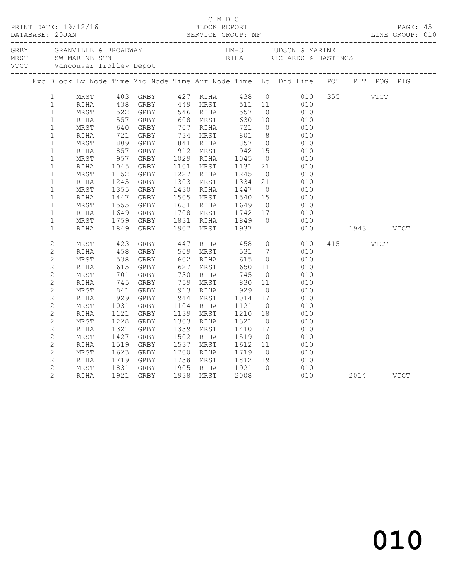|  | $\mathbf{1}$   |      |                |                                  |            |                                           |                                  |                | MRST 403 GRBY 427 RIHA 438 0 010 355 VTCT<br>RIHA 438 GRBY 449 MRST 511 11 010<br>MRST 522 GRBY 546 RIHA 557 0 010 |           |          |  |  |
|--|----------------|------|----------------|----------------------------------|------------|-------------------------------------------|----------------------------------|----------------|--------------------------------------------------------------------------------------------------------------------|-----------|----------|--|--|
|  | $\mathbf{1}$   |      |                |                                  |            |                                           |                                  |                |                                                                                                                    |           |          |  |  |
|  | $\mathbf{1}$   |      |                |                                  |            |                                           |                                  |                |                                                                                                                    |           |          |  |  |
|  | $\mathbf{1}$   | RIHA | 557<br>640     |                                  |            |                                           |                                  |                | $\begin{array}{ccc} 10 & \hspace{1.5cm} & 010 \\ \hspace{1.5cm} 0 & \hspace{1.5cm} & 010 \end{array}$              |           |          |  |  |
|  | $\mathbf{1}$   | MRST |                |                                  |            |                                           |                                  |                |                                                                                                                    |           |          |  |  |
|  | $\mathbf 1$    | RIHA |                |                                  | 734 MRST   |                                           | 801                              | 8 <sup>8</sup> | 010                                                                                                                |           |          |  |  |
|  | $\mathbf 1$    | MRST |                | 721 GRBY<br>809 GRBY<br>857 GRBY |            |                                           | 841 RIHA 857<br>912 MRST 942     | $\overline{O}$ | 010                                                                                                                |           |          |  |  |
|  | $\mathbf{1}$   | RIHA |                |                                  | 912 MRST   |                                           |                                  | 15             | $\begin{array}{c} 0 & 1 \\ 0 & 1 \end{array}$                                                                      |           |          |  |  |
|  | $\mathbf{1}$   | MRST | 957<br>1045    | GRBY                             | 1029 RIHA  |                                           |                                  | $\overline{0}$ | 010                                                                                                                |           |          |  |  |
|  | $\mathbf 1$    | RIHA | 1045           | GRBY                             | 1101 MRST  |                                           | 1045<br>1131                     | 21             | 010                                                                                                                |           |          |  |  |
|  | $\mathbf{1}$   | MRST | 1152           | GRBY                             | 1227 RIHA  |                                           | 1245                             | $\bigcirc$     | 010                                                                                                                |           |          |  |  |
|  | $\mathbf{1}$   | RIHA | 1245           | GRBY                             | 1303 MRST  |                                           | 1334                             |                | 21<br>010                                                                                                          |           |          |  |  |
|  | $\mathbf 1$    | MRST | 1355           | GRBY                             | 1430 RIHA  |                                           | 1447                             |                | $\overline{0}$<br>010                                                                                              |           |          |  |  |
|  | $\mathbf{1}$   | RIHA | 1447           | GRBY                             | 1505 MRST  |                                           |                                  | 15             |                                                                                                                    |           |          |  |  |
|  | $\mathbf{1}$   | MRST | 1555           | GRBY                             | 1631 RIHA  |                                           | 1540<br>1649                     | $\bigcirc$     | 010<br>010                                                                                                         |           |          |  |  |
|  | $\mathbf{1}$   | RIHA | 1649           | GRBY                             |            |                                           |                                  | 17             | 010                                                                                                                |           |          |  |  |
|  | $\mathbf{1}$   | MRST | 1759           | GRBY                             |            |                                           | 1708 MRST 1742<br>1831 RIHA 1849 | $\bigcirc$     | 010                                                                                                                |           |          |  |  |
|  | $\mathbf{1}$   | RIHA | 1849           | GRBY                             |            |                                           | 1907 MRST 1937                   |                | 010                                                                                                                | 1943 VTCT |          |  |  |
|  | $\overline{c}$ | MRST | 423            | GRBY                             |            |                                           | 447 RIHA 458                     |                | $\overline{0}$<br>010                                                                                              |           | 415 VTCT |  |  |
|  | $\mathbf{2}$   | RIHA | $458$<br>$538$ | GRBY                             |            |                                           | 531                              |                | $\begin{array}{c} 7 \\ 0 \end{array}$<br>010                                                                       |           |          |  |  |
|  | $\overline{c}$ | MRST |                | GRBY                             |            | <sub>ーマン MKST</sub><br>602 RIHA<br>627 MT | 615                              |                | 010                                                                                                                |           |          |  |  |
|  | $\mathbf{2}$   | RIHA | 615            | GRBY                             | 627        | MRST                                      | 650                              | 11             | 010                                                                                                                |           |          |  |  |
|  | $\overline{c}$ | MRST | 701<br>745     | GRBY                             |            | 730 RIHA                                  | 745                              | $\overline{0}$ | 010                                                                                                                |           |          |  |  |
|  | $\overline{c}$ | RIHA |                | GRBY                             |            | 759 MRST                                  | 830                              | 11             | 010                                                                                                                |           |          |  |  |
|  | $\mathbf 2$    | MRST |                | 841 GRBY<br>929 GRBY             | 913 RIHA   |                                           | $929$<br>$1014$                  | $\overline{0}$ | 010                                                                                                                |           |          |  |  |
|  | $\mathbf{2}$   | RIHA |                |                                  | $944$ MRST |                                           |                                  | 17             | 010                                                                                                                |           |          |  |  |
|  | $\overline{c}$ | MRST | 1031           | GRBY                             | 1104 RIHA  |                                           | 1121                             | $\overline{0}$ | 010                                                                                                                |           |          |  |  |
|  | $\overline{c}$ | RIHA | 1121           | GRBY                             | 1139 MRST  |                                           | 1210                             | 18             | 010                                                                                                                |           |          |  |  |
|  | $\overline{c}$ | MRST | 1228           | GRBY                             | 1303 RIHA  |                                           | 1321                             | $\overline{0}$ | 010                                                                                                                |           |          |  |  |
|  | $\mathbf{2}$   | RIHA | 1321           | GRBY                             |            | 1339 MRST                                 | 1410                             | 17             | 010                                                                                                                |           |          |  |  |
|  | $\overline{c}$ | MRST | 1427           | GRBY                             | 1502 RIHA  |                                           | 1519                             | $\overline{0}$ | 010                                                                                                                |           |          |  |  |
|  | $\overline{2}$ | RIHA | 1519           | GRBY                             | 1537 MRST  |                                           | 1612                             | 11             | 010                                                                                                                |           |          |  |  |
|  | $\overline{c}$ | MRST | 1623           | GRBY                             | 1700 RIHA  |                                           | 1719                             | $\overline{0}$ | 010                                                                                                                |           |          |  |  |
|  | $\mathbf{2}$   | RIHA | 1719           | GRBY                             |            |                                           | 1738 MRST 1812                   | 19             | 010                                                                                                                |           |          |  |  |
|  | $\overline{c}$ | MRST | 1831           | GRBY                             | 1905 RIHA  |                                           | 1921                             | $\bigcap$      | 010                                                                                                                |           |          |  |  |
|  | $\overline{2}$ | RIHA |                | 1921 GRBY                        | 1938 MRST  |                                           | 2008                             |                | 010                                                                                                                | 2014 VTCT |          |  |  |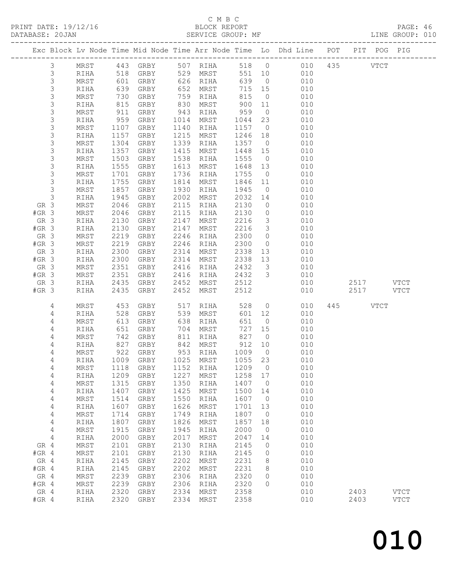#### C M B C<br>BLOCK REPORT

PAGE: 46<br>LINE GROUP: 010

|                 |                  |                    |              |                                 |              |                  |              |                         | Exc Block Lv Node Time Mid Node Time Arr Node Time Lo Dhd Line POT | PIT POG PIG            |             |
|-----------------|------------------|--------------------|--------------|---------------------------------|--------------|------------------|--------------|-------------------------|--------------------------------------------------------------------|------------------------|-------------|
|                 | $\mathfrak{Z}$   | MRST               |              | 443 GRBY 507 RIHA               |              |                  |              |                         | 518 0 010                                                          | 435<br><b>VTCT</b>     |             |
|                 | $\mathcal{S}$    | RIHA               |              | GRBY                            |              | 529 MRST         | 551 10       |                         | 010                                                                |                        |             |
|                 | $\mathsf S$      | MRST               | 518<br>601   | GRBY                            |              | 626 RIHA         | 639          | $\overline{0}$          | 010                                                                |                        |             |
|                 | 3                | RIHA               | 639          | GRBY                            | 652          | MRST             | 715 15       |                         | 010                                                                |                        |             |
|                 | 3                | MRST               | 730          | GRBY                            | 759          | RIHA             | 815          | $\overline{0}$          | 010                                                                |                        |             |
|                 | $\mathsf S$      | RIHA               | 815          | GRBY                            | 830          | MRST             | 900          | 11                      | 010                                                                |                        |             |
|                 | $\mathsf S$      | MRST               | 911          | GRBY                            | 943          | RIHA             | 959          | $\overline{0}$          | 010                                                                |                        |             |
|                 | 3                | RIHA               | 959          | GRBY                            | 1014         | MRST             | 1044         | 23                      | 010                                                                |                        |             |
|                 | $\mathsf S$      | MRST               | 1107         | GRBY                            | 1140         | RIHA             | 1157         | $\overline{0}$          | 010                                                                |                        |             |
|                 | $\mathsf S$      | RIHA               | 1157         | GRBY                            | 1215         | MRST             | 1246         | 18                      | 010                                                                |                        |             |
|                 | $\mathsf S$      | MRST               | 1304         | GRBY                            | 1339         | RIHA             | 1357         | $\overline{0}$          | 010                                                                |                        |             |
|                 | $\mathsf 3$      | RIHA               | 1357         | GRBY                            | 1415         | MRST             | 1448         | 15                      | 010                                                                |                        |             |
|                 | $\mathsf S$<br>3 | MRST               | 1503         | GRBY                            | 1538         | RIHA             | 1555         | $\overline{0}$          | 010<br>010                                                         |                        |             |
|                 | $\mathsf S$      | RIHA<br>MRST       | 1555<br>1701 | GRBY<br>GRBY                    | 1613<br>1736 | MRST<br>RIHA     | 1648<br>1755 | 13<br>$\overline{0}$    | 010                                                                |                        |             |
|                 | 3                | RIHA               | 1755         | GRBY                            | 1814         | MRST             | 1846         | 11                      | 010                                                                |                        |             |
|                 | 3                | MRST               | 1857         | GRBY                            | 1930         | RIHA             | 1945         | $\overline{0}$          | 010                                                                |                        |             |
|                 | $\mathsf 3$      | RIHA               | 1945         | GRBY                            | 2002         | MRST             | 2032         | 14                      | 010                                                                |                        |             |
| GR 3            |                  | MRST               | 2046         | GRBY                            | 2115         | RIHA             | 2130         | $\overline{0}$          | 010                                                                |                        |             |
| $#GR$ 3         |                  | MRST               | 2046         | GRBY                            | 2115         | RIHA             | 2130         | $\overline{0}$          | 010                                                                |                        |             |
| GR 3            |                  | RIHA               | 2130         | GRBY                            | 2147         | MRST             | 2216         | $\overline{\mathbf{3}}$ | 010                                                                |                        |             |
| $#GR$ 3         |                  | RIHA               | 2130         | GRBY                            | 2147         | MRST             | 2216         | $\mathcal{S}$           | 010                                                                |                        |             |
| GR 3            |                  | MRST               | 2219         | GRBY                            | 2246         | RIHA             | 2300         | $\overline{0}$          | 010                                                                |                        |             |
| $#GR$ 3         |                  | MRST               | 2219         | GRBY                            | 2246         | RIHA             | 2300         | $\overline{0}$          | 010                                                                |                        |             |
| GR 3            |                  | RIHA               | 2300         | GRBY                            | 2314         | MRST             | 2338         | 13                      | 010                                                                |                        |             |
| $#GR$ 3         |                  | RIHA               | 2300         | GRBY                            | 2314         | MRST             | 2338         | 13                      | 010                                                                |                        |             |
| GR 3            |                  | MRST               | 2351         | GRBY                            | 2416         | RIHA             | 2432         | $\overline{\mathbf{3}}$ | 010                                                                |                        |             |
| $#GR$ 3         |                  | MRST               | 2351         | GRBY                            | 2416         | RIHA             | 2432         | $\overline{\mathbf{3}}$ | 010                                                                |                        |             |
| GR 3            |                  | RIHA               | 2435         | GRBY                            | 2452         | MRST             | 2512         |                         | 010<br>010                                                         | 2517 VTCT<br>2517 VTCT |             |
| $#GR$ 3         |                  | RIHA               | 2435         | GRBY                            | 2452         | MRST             | 2512         |                         |                                                                    |                        |             |
|                 | 4                | MRST               | 453          | GRBY                            | 517          | RIHA             | 528          |                         | $\overline{O}$<br>010                                              | 445 VTCT               |             |
|                 | $\overline{4}$   | RIHA               | 528          | GRBY                            | 539          | MRST             | 601          | 12                      | 010                                                                |                        |             |
|                 | 4                | MRST               | 613          | GRBY                            | 638          | RIHA             | 651          | $\overline{0}$          | 010                                                                |                        |             |
|                 | 4                | RIHA               | 651          | GRBY                            | 704          | MRST             | 727          | 15                      | 010                                                                |                        |             |
|                 | 4<br>4           | MRST<br>RIHA       | 742<br>827   | GRBY<br>GRBY                    | 811          | RIHA<br>842 MRST | 827<br>912   | $\overline{0}$<br>10    | 010<br>010                                                         |                        |             |
|                 | 4                | MRST               | 922          | GRBY                            |              | 953 RIHA         | 1009         | $\overline{0}$          | 010                                                                |                        |             |
|                 | 4                | RIHA               |              | 1009 GRBY                       |              | 1025 MRST        | 1055 23      |                         | 010                                                                |                        |             |
|                 | 4                |                    |              | MRST 1118 GRBY 1152 RIHA 1209 0 |              |                  |              |                         | 010                                                                |                        |             |
|                 | 4                | RIHA               | 1209         | GRBY                            | 1227         | MRST             | 1258         | 17                      | 010                                                                |                        |             |
|                 | 4                | MRST               | 1315         | GRBY                            | 1350         | RIHA             | 1407         | $\overline{0}$          | 010                                                                |                        |             |
|                 | 4                | $\verb RIHA $      | 1407         | GRBY                            | 1425         | MRST             | 1500         | 14                      | 010                                                                |                        |             |
|                 | 4                | MRST               | 1514         | GRBY                            | 1550         | RIHA             | 1607         | $\overline{0}$          | 010                                                                |                        |             |
|                 | 4                | $\verb RIHA $      | 1607         | GRBY                            | 1626         | MRST             | 1701         | 13                      | 010                                                                |                        |             |
|                 | 4                | MRST               | 1714         | GRBY                            | 1749         | RIHA             | 1807         | $\overline{0}$          | 010                                                                |                        |             |
|                 | 4                | RIHA               | 1807         | GRBY                            | 1826         | MRST             | 1857         | 18                      | 010                                                                |                        |             |
|                 | 4                | MRST               | 1915         | GRBY                            | 1945         | RIHA             | 2000         | $\overline{0}$          | 010                                                                |                        |             |
|                 | 4                | RIHA               | 2000         | GRBY                            | 2017         | MRST             | 2047         | 14                      | 010                                                                |                        |             |
| GR 4<br>$#GR$ 4 |                  | MRST<br>$\tt MRST$ | 2101<br>2101 | GRBY                            | 2130<br>2130 | RIHA             | 2145<br>2145 | 0<br>0                  | 010<br>010                                                         |                        |             |
| GR 4            |                  | RIHA               | 2145         | GRBY<br>GRBY                    | 2202         | RIHA<br>MRST     | 2231         | 8                       | 010                                                                |                        |             |
| $#GR$ 4         |                  | RIHA               | 2145         | GRBY                            | 2202         | MRST             | 2231         | 8                       | 010                                                                |                        |             |
| GR 4            |                  | MRST               | 2239         | GRBY                            | 2306         | RIHA             | 2320         | 0                       | 010                                                                |                        |             |
| $#GR$ 4         |                  | $\tt MRST$         | 2239         | GRBY                            | 2306         | RIHA             | 2320         | $\Omega$                | 010                                                                |                        |             |
| GR 4            |                  | RIHA               | 2320         | GRBY                            | 2334         | MRST             | 2358         |                         | 010                                                                | 2403                   | <b>VTCT</b> |
| $#GR$ 4         |                  | RIHA               | 2320         | GRBY                            | 2334         | MRST             | 2358         |                         | 010                                                                | 2403                   | <b>VTCT</b> |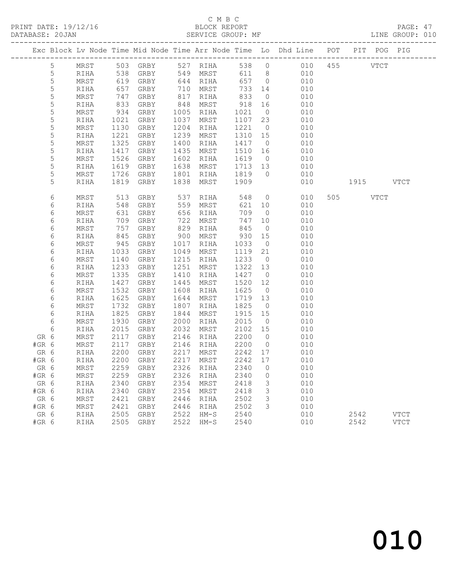PRINT DATE: 19/12/16 BLOCK REPORT BATABASE: 20JAN

#### C M B C<br>BLOCK REPORT

PAGE: 47<br>LINE GROUP: 010

|                |              |              |                                                  |              |                  |                 |                | Exc Block Lv Node Time Mid Node Time Arr Node Time Lo Dhd Line POT |           | PIT POG PIG |
|----------------|--------------|--------------|--------------------------------------------------|--------------|------------------|-----------------|----------------|--------------------------------------------------------------------|-----------|-------------|
| $\overline{5}$ |              |              | MRST 503 GRBY 527 RIHA<br>RIHA 538 GRBY 549 MRST |              |                  |                 |                | 538 0 010 455 VTCT                                                 |           |             |
| $\mathsf S$    |              |              |                                                  |              |                  | 611 8           |                | 010                                                                |           |             |
| 5              | MRST         | 619          | GRBY                                             |              | 644 RIHA         | 657             | $\overline{0}$ | 010                                                                |           |             |
| 5              | RIHA         | 657          | GRBY                                             | 710          | MRST             | 733             | 14             | 010                                                                |           |             |
| 5              | MRST         | 747          | GRBY                                             | 817          | RIHA             | 833             | $\overline{0}$ | 010                                                                |           |             |
| 5              | RIHA         | 833          | GRBY                                             | 848          | MRST             | 918             | 16             | 010                                                                |           |             |
| 5              | MRST         | 934          | GRBY                                             | 1005         | RIHA             | 1021            | $\overline{0}$ | 010                                                                |           |             |
| 5              | RIHA         | 1021         | GRBY                                             | 1037         | MRST             | 1107            | 23             | 010                                                                |           |             |
| 5              | MRST         | 1130         | GRBY                                             | 1204         | RIHA             | 1221            | $\overline{0}$ | 010                                                                |           |             |
| $\mathsf S$    | RIHA         | 1221         | GRBY                                             | 1239         | MRST             | 1310            | 15             | 010                                                                |           |             |
| $\mathsf S$    | MRST         | 1325         | GRBY                                             | 1400         | RIHA             | 1417            | $\overline{0}$ | 010                                                                |           |             |
| 5              | RIHA         | 1417         | GRBY                                             | 1435         | MRST             | 1510            | 16             | 010                                                                |           |             |
| 5              | MRST         | 1526         | GRBY                                             | 1602         | RIHA             | 1619            | $\overline{0}$ | 010                                                                |           |             |
| 5              | RIHA         | 1619         | GRBY                                             | 1638         | MRST             | 1713 13         |                | 010                                                                |           |             |
| 5              | MRST         | 1726         | GRBY                                             | 1801         | RIHA             | 1819            | $\overline{0}$ | 010                                                                |           |             |
| 5              | RIHA         | 1819         | GRBY                                             | 1838         | MRST             | 1909            |                | 010                                                                | 1915 VTCT |             |
| 6              | MRST         | 513          | GRBY                                             | 537          | RIHA             | 548             | $\overline{0}$ | 010                                                                | 505 VTCT  |             |
| 6              | RIHA         | 548          | GRBY                                             | 559          | MRST             | 621             | 10             | 010                                                                |           |             |
| 6              | MRST         | 631          | GRBY                                             | 656          | RIHA             | 709             | $\overline{0}$ | 010                                                                |           |             |
| 6              | RIHA         | 709          | GRBY                                             | 722          | MRST             | 747             | 10             | 010                                                                |           |             |
| 6              | MRST         | 757          | GRBY                                             | 829          | RIHA             | 845             | $\overline{0}$ | 010                                                                |           |             |
| 6              | RIHA         | 845          | GRBY                                             | 900          | MRST             | 930             | 15             | 010                                                                |           |             |
| 6              | MRST         | 945          | GRBY                                             | 1017         | RIHA             | 1033            | $\overline{0}$ | 010                                                                |           |             |
| 6              | RIHA         | 1033         | GRBY                                             | 1049         | MRST             | 1119            | 21             | 010                                                                |           |             |
| 6              | MRST         | 1140         | GRBY                                             | 1215         | RIHA             | 1233            | $\overline{0}$ | 010                                                                |           |             |
| 6              | RIHA         | 1233         | GRBY                                             | 1251         | MRST             | 1322            | 13             | 010                                                                |           |             |
| 6              | MRST         | 1335         | GRBY                                             | 1410         | RIHA             | 1427            | $\overline{0}$ | 010                                                                |           |             |
| 6              | RIHA         | 1427         | GRBY                                             | 1445         | MRST             | 1520            | 12             | 010                                                                |           |             |
| 6              | MRST         | 1532         | GRBY                                             | 1608         | RIHA             | 1625            | $\overline{0}$ | 010                                                                |           |             |
| 6              | RIHA         | 1625         | GRBY                                             | 1644         | MRST             | 1719            | 13             | 010                                                                |           |             |
| 6<br>6         | MRST         | 1732         | GRBY                                             | 1807         | RIHA             | 1825            | $\overline{0}$ | 010                                                                |           |             |
|                | RIHA         | 1825         | GRBY                                             | 1844         | MRST             | 1915            | 15             | 010                                                                |           |             |
| 6              | MRST         | 1930<br>2015 | GRBY                                             | 2000<br>2032 | RIHA             | 2015<br>2102 15 | $\overline{0}$ | 010<br>010                                                         |           |             |
| 6<br>GR 6      | RIHA<br>MRST | 2117         | GRBY<br>GRBY                                     | 2146         | MRST<br>RIHA     | 2200            | $\overline{0}$ | 010                                                                |           |             |
| #GR 6          | MRST         | 2117         | GRBY                                             | 2146         | RIHA             | 2200            | $\overline{0}$ | 010                                                                |           |             |
| GR 6           | RIHA         | 2200         | GRBY                                             | 2217         | MRST             | 2242 17         |                | 010                                                                |           |             |
| $#GR$ 6        | RIHA         | 2200         | GRBY                                             |              | 2217 MRST        | 2242 17         |                | 010                                                                |           |             |
| GR 6           | MRST         |              | 2259 GRBY                                        |              | 2326 RIHA 2340 0 |                 |                | 010                                                                |           |             |
| $#GR$ 6        | MRST         | 2259         | GRBY                                             | 2326         | RIHA             | 2340            | 0              | 010                                                                |           |             |
| GR 6           | RIHA         | 2340         | GRBY                                             | 2354         | MRST             | 2418            | 3              | 010                                                                |           |             |
| #GR 6          | RIHA         | 2340         | GRBY                                             | 2354         | MRST             | 2418            | 3              | 010                                                                |           |             |
| GR 6           | MRST         | 2421         | GRBY                                             | 2446         | RIHA             | 2502            | 3              | 010                                                                |           |             |
| #GR 6          | MRST         | 2421         | GRBY                                             | 2446         | RIHA             | 2502            | 3              | 010                                                                |           |             |
| GR 6           | RIHA         | 2505         | GRBY                                             | 2522         | $HM-S$           | 2540            |                | 010                                                                | 2542      | <b>VTCT</b> |
| #GR 6          | RIHA         | 2505         | GRBY                                             | 2522         | $HM-S$           | 2540            |                | 010                                                                | 2542      | <b>VTCT</b> |
|                |              |              |                                                  |              |                  |                 |                |                                                                    |           |             |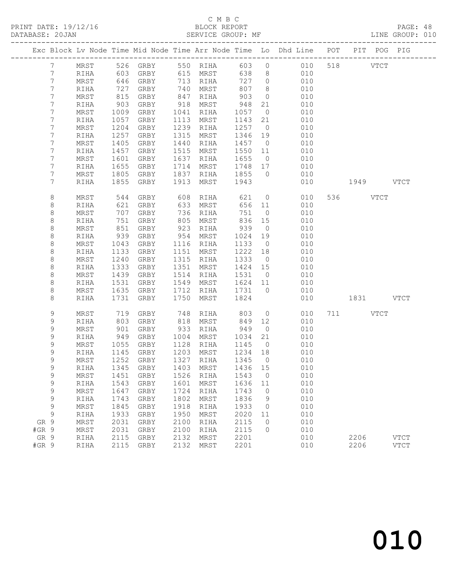## C M B C<br>BLOCK REPORT

|         | DATABASE: 20JAN  |               |            | SERVICE GROUP: MF                                                              |                        |          |                              |                |                  |            |           | LINE GROUP: 010 |  |
|---------|------------------|---------------|------------|--------------------------------------------------------------------------------|------------------------|----------|------------------------------|----------------|------------------|------------|-----------|-----------------|--|
|         |                  |               |            | Exc Block Lv Node Time Mid Node Time Arr Node Time Lo Dhd Line POT PIT POG PIG |                        |          |                              |                |                  |            |           |                 |  |
|         | $7\phantom{0}$   |               |            | MRST 526 GRBY 550 RIHA 603 0 010 518 VTCT                                      |                        |          |                              |                |                  |            |           |                 |  |
|         | $7\phantom{.}$   | RIHA          | 603        | GRBY 615 MRST                                                                  |                        |          | 638                          |                | $8 \overline{)}$ | 010        |           |                 |  |
|         | 7                | MRST          | 646        | GRBY 713 RIHA<br>GRBY 740 MRST<br>GRBY 847 RIHA                                |                        |          | 727 0                        |                |                  | 010        |           |                 |  |
|         | $\overline{7}$   | RIHA          | 727<br>815 |                                                                                |                        |          | 807                          | 8 <sup>8</sup> |                  | 010        |           |                 |  |
|         | 7                | MRST          |            |                                                                                |                        |          | 903                          | $\overline{0}$ |                  | 010        |           |                 |  |
|         | 7                | RIHA          | 903        | GRBY                                                                           | 918 MRST               |          | 948                          | 21             |                  | 010        |           |                 |  |
|         | 7                | MRST          | 1009       | GRBY                                                                           | 1041 RIHA              |          | 1057                         | $\overline{0}$ |                  | 010        |           |                 |  |
|         | $\overline{7}$   | RIHA          | 1057       | GRBY                                                                           | 1113 MRST              |          | 1143 21                      |                |                  | 010        |           |                 |  |
|         | $\overline{7}$   | MRST          | 1204       | GRBY                                                                           | 1239 RIHA              |          | 1257 0                       |                |                  | 010        |           |                 |  |
|         | 7                | RIHA          | 1257       | GRBY                                                                           | 1315                   | MRST     | 1346 19                      |                |                  | 010        |           |                 |  |
|         | 7                | MRST          | 1405       | GRBY                                                                           | 1440                   | RIHA     | 1457                         | $\overline{0}$ |                  | 010        |           |                 |  |
|         | 7                | RIHA          | 1457       | GRBY                                                                           | 1515 MRST              |          | 1550 11                      |                |                  | 010        |           |                 |  |
|         | 7                | MRST          | 1601       | GRBY                                                                           | 1637 RIHA              |          | 1655                         | $\overline{0}$ |                  | 010        |           |                 |  |
|         | 7                | RIHA          | 1655       | GRBY                                                                           | 1714 MRST              |          | 1748 17                      |                |                  | 010        |           |                 |  |
|         | 7                | MRST          | 1805       | GRBY                                                                           |                        |          | 1837 RIHA 1855 0             |                | 010              |            |           |                 |  |
|         | 7                | RIHA          | 1855       | GRBY                                                                           | 1913                   | MRST     | 1943                         |                |                  | 010        | 1949 VTCT |                 |  |
|         | 8                | MRST          | 544        | GRBY                                                                           | 608 RIHA               |          | 621                          |                | $\overline{0}$   | 010        | 536 VTCT  |                 |  |
|         | 8                | RIHA          | 621        | GRBY                                                                           | 633                    | MRST     | 656 11                       |                |                  | 010        |           |                 |  |
|         | 8                | MRST          | 707        | GRBY                                                                           | 736 RIHA<br>805 MRST   |          | 751                          | $\overline{0}$ |                  | 010        |           |                 |  |
|         | $\,8\,$          | RIHA          | 751        | GRBY                                                                           |                        | 805 MRST | 836                          | 15             |                  | 010        |           |                 |  |
|         | 8                | MRST          | 851        | GRBY                                                                           | 923 RIHA               |          | 939                          | $\overline{0}$ |                  | 010        |           |                 |  |
|         | $\,8\,$          | RIHA          | 939        | GRBY                                                                           | 954 MRST               |          | 1024                         | 19             |                  | 010        |           |                 |  |
|         | 8                | MRST          | 1043       | GRBY                                                                           | 1116 RIHA              |          | 1133                         | $\overline{0}$ |                  | 010        |           |                 |  |
|         | $\,8\,$          | RIHA          | 1133       | GRBY                                                                           | 1151 MRST              |          | 1222 18                      |                |                  | 010        |           |                 |  |
|         | 8                | MRST          | 1240       | GRBY                                                                           | 1315 RIHA              |          | 1333                         | $\overline{0}$ |                  | 010        |           |                 |  |
|         | $\,8\,$          | RIHA          | 1333       | GRBY                                                                           | 1351 MRST              |          | 1424 15                      |                |                  | 010        |           |                 |  |
|         | 8                | MRST          | 1439       | GRBY                                                                           | 1514 RIHA              |          | 1531                         | $\overline{0}$ |                  | 010        |           |                 |  |
|         | 8                | RIHA          | 1531       | GRBY                                                                           | 1549 MRST              |          | 1624 11                      |                |                  | 010        |           |                 |  |
|         | 8                | MRST          | 1635       | GRBY                                                                           | 1712 RIHA              |          | 1731 0                       |                |                  | 010        |           |                 |  |
|         | 8                | RIHA          | 1731       | GRBY                                                                           | 1750                   | MRST     | 1824                         |                |                  | 010        | 1831 VTCT |                 |  |
|         | 9                | MRST          | 719<br>803 | GRBY                                                                           |                        |          | 748 RIHA 803<br>818 MRST 849 | $\overline{0}$ |                  | 010        | 711 VTCT  |                 |  |
|         | $\mathsf 9$      | RIHA          |            | GRBY                                                                           |                        |          |                              | 12             |                  | 010        |           |                 |  |
|         | 9                | MRST          | 901        | GRBY                                                                           | 933 RIHA               |          | 949                          | $\overline{0}$ |                  | 010        |           |                 |  |
|         | 9                | RIHA          | 949        | GRBY                                                                           | 1004                   | MRST     | 1034                         | 21             |                  | 010        |           |                 |  |
|         | 9<br>$\mathsf 9$ | MRST<br>RIHA  |            | 1055 GRBY<br>1145 GRBY<br>GRBY                                                 | 1128 RIHA<br>1203 MRST |          | 1145<br>$1234$ 18            | $\overline{0}$ |                  | 010<br>010 |           |                 |  |
|         | $\mathsf{Q}$     |               |            | MRST 1252 GRBY 1327 RIHA 1345 0 010                                            |                        |          |                              |                |                  |            |           |                 |  |
|         | 9                | RIHA          | 1345       | GRBY                                                                           | 1403                   | MRST     | 1436                         | 15             |                  | 010        |           |                 |  |
|         | 9                | $\tt MRST$    | 1451       | GRBY                                                                           | 1526                   | RIHA     | 1543                         | $\overline{0}$ |                  | 010        |           |                 |  |
|         | 9                | RIHA          | 1543       | GRBY                                                                           | 1601                   | MRST     | 1636                         | 11             |                  | 010        |           |                 |  |
|         | 9                | MRST          | 1647       | GRBY                                                                           | 1724                   | RIHA     | 1743                         | $\overline{0}$ |                  | 010        |           |                 |  |
|         | 9                | RIHA          | 1743       | GRBY                                                                           | 1802                   | MRST     | 1836                         | 9              |                  | 010        |           |                 |  |
|         | 9                | $\tt MRST$    | 1845       | GRBY                                                                           | 1918                   | RIHA     | 1933                         | $\overline{0}$ |                  | 010        |           |                 |  |
|         | 9                | RIHA          | 1933       | GRBY                                                                           | 1950                   | MRST     | 2020                         | 11             |                  | 010        |           |                 |  |
| GR 9    |                  | MRST          | 2031       | GRBY                                                                           | 2100                   | RIHA     | 2115                         | $\overline{0}$ |                  | 010        |           |                 |  |
| $#GR$ 9 |                  | MRST          | 2031       | GRBY                                                                           | 2100                   | RIHA     | 2115                         | $\mathbf{0}$   |                  | 010        |           |                 |  |
| GR 9    |                  | $\verb RIHA $ | 2115       | GRBY                                                                           | 2132                   | MRST     | 2201                         |                |                  | 010        | 2206      | <b>VTCT</b>     |  |
| $#GR$ 9 |                  | RIHA          |            | 2115 GRBY                                                                      | 2132                   | MRST     | 2201                         |                |                  | 010        | 2206      | <b>VTCT</b>     |  |
|         |                  |               |            |                                                                                |                        |          |                              |                |                  |            |           |                 |  |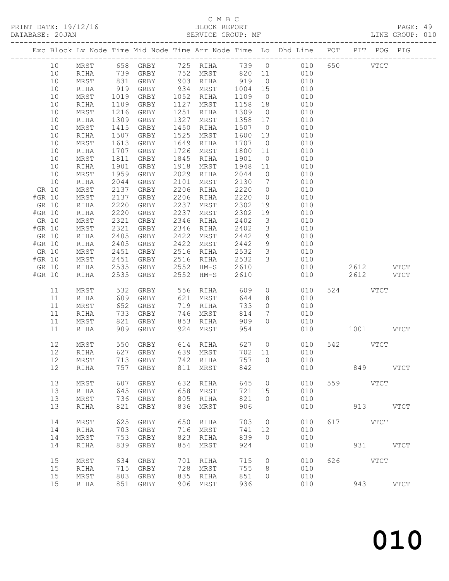### C M B C<br>BLOCK REPORT

PAGE: 49<br>LINE GROUP: 010

|        |          |              |              |                                  |              |                   |              |                              | Exc Block Lv Node Time Mid Node Time Arr Node Time Lo Dhd Line POT PIT POG PIG |     |                          |             |
|--------|----------|--------------|--------------|----------------------------------|--------------|-------------------|--------------|------------------------------|--------------------------------------------------------------------------------|-----|--------------------------|-------------|
|        |          |              |              |                                  |              |                   |              |                              |                                                                                |     |                          |             |
|        | 10       | MRST         |              | 658 GRBY                         |              |                   |              |                              | 725 RIHA 739 0 010                                                             |     | 650 000<br>$_{\rm VTCT}$ |             |
|        | 10       | RIHA         |              |                                  |              | 752 MRST          | 820 11       |                              | 010                                                                            |     |                          |             |
|        | 10       | MRST         |              | 739 GRBY<br>831 GRBY<br>919 GRBY |              | $152$<br>903 RIHA | 919          | $\overline{0}$               | 010                                                                            |     |                          |             |
|        | 10       | RIHA         |              |                                  |              | 934 MRST          | 1004 15      |                              | 010                                                                            |     |                          |             |
|        | 10       | MRST         | 1019         | GRBY                             |              | 1052 RIHA         | 1109         | $\overline{0}$               | 010                                                                            |     |                          |             |
|        | 10       | RIHA         | 1109         | GRBY                             | 1127         | MRST              | 1158         | 18                           | 010                                                                            |     |                          |             |
|        | 10       | MRST         | 1216         | GRBY                             | 1251         | RIHA              | 1309         | $\overline{0}$               | 010                                                                            |     |                          |             |
|        | 10       | RIHA         | 1309         | GRBY                             | 1327         | MRST              | 1358         | 17                           | 010                                                                            |     |                          |             |
|        | 10<br>10 | MRST<br>RIHA | 1415<br>1507 | GRBY<br>GRBY                     | 1450<br>1525 | RIHA<br>MRST      | 1507<br>1600 | $\overline{0}$<br>13         | 010<br>010                                                                     |     |                          |             |
|        | 10       | MRST         | 1613         | GRBY                             | 1649         | RIHA              | 1707         | $\overline{0}$               | 010                                                                            |     |                          |             |
|        | 10       | RIHA         | 1707         | GRBY                             | 1726         | MRST              | 1800         | 11                           | 010                                                                            |     |                          |             |
|        | 10       | MRST         | 1811         | GRBY                             | 1845         | RIHA              | 1901         | $\overline{0}$               | 010                                                                            |     |                          |             |
|        | 10       | RIHA         | 1901         | GRBY                             | 1918         | MRST              | 1948         | 11                           | 010                                                                            |     |                          |             |
|        | 10       | MRST         | 1959         | GRBY                             | 2029         | RIHA              | 2044         | $\overline{0}$               | 010                                                                            |     |                          |             |
|        | 10       | RIHA         | 2044         | GRBY                             | 2101         | MRST              | 2130         | $7\phantom{.0}\phantom{.0}7$ | 010                                                                            |     |                          |             |
| GR 10  |          | MRST         | 2137         | GRBY                             | 2206         | RIHA              | 2220         | $\overline{0}$               | 010                                                                            |     |                          |             |
| #GR 10 |          | MRST         | 2137         | GRBY                             | 2206         | RIHA              | 2220         | $\overline{0}$               | 010                                                                            |     |                          |             |
| GR 10  |          | RIHA         | 2220         | GRBY                             | 2237         | MRST              | 2302         | 19                           | 010                                                                            |     |                          |             |
| #GR 10 |          | RIHA         | 2220         | GRBY                             | 2237         | MRST              | 2302         | 19                           | 010                                                                            |     |                          |             |
| GR 10  |          | MRST         | 2321         | GRBY                             | 2346         | RIHA              | 2402         | $\overline{3}$               | 010                                                                            |     |                          |             |
| #GR 10 |          | MRST         | 2321         | GRBY                             | 2346         | RIHA              | 2402         | $\overline{3}$               | 010                                                                            |     |                          |             |
| GR 10  |          | RIHA         | 2405         | GRBY                             | 2422         | MRST              | 2442         | $\overline{9}$               | 010                                                                            |     |                          |             |
| #GR 10 |          | RIHA         | 2405         | GRBY                             | 2422         | MRST              | 2442         | 9                            | 010                                                                            |     |                          |             |
| GR 10  |          | MRST         | 2451         | GRBY                             | 2516         | RIHA              | 2532         | $\mathcal{S}$                | 010                                                                            |     |                          |             |
| #GR 10 |          | MRST         | 2451         | GRBY                             |              | 2516 RIHA         | 2532         | $\mathcal{S}$                | 010                                                                            |     |                          |             |
| GR 10  |          | RIHA         | 2535         | GRBY                             | 2552         | HM-S              | 2610         |                              | 010                                                                            |     | 2612 VTCT                |             |
| #GR 10 |          | RIHA         | 2535         | GRBY                             | 2552         | $HM-S$            | 2610         |                              | 010                                                                            |     | 2612                     | VTCT        |
|        | 11       | MRST         | 532          | GRBY                             |              | 556 RIHA          | 609          |                              | $\overline{0}$<br>010                                                          |     | 524 VTCT                 |             |
|        | 11       | RIHA         | 609          | GRBY                             | 621          | MRST              | 644          | 8                            | 010                                                                            |     |                          |             |
|        | 11       | MRST         | 652          | GRBY                             | 719          | RIHA              | 733          | $\circ$                      | 010                                                                            |     |                          |             |
|        | 11       | RIHA         | 733          | GRBY                             | 746          | MRST              | 814          | $7\phantom{.0}$              | 010                                                                            |     |                          |             |
|        | 11       | MRST         | 821          | GRBY                             | 853          | RIHA              | 909          | $\circ$                      | 010                                                                            |     |                          |             |
|        | 11       | RIHA         | 909          | GRBY                             | 924          | MRST              | 954          |                              | 010                                                                            |     | 1001 VTCT                |             |
|        | 12       | MRST         | 550          | GRBY                             |              | 614 RIHA          | 627          | $\overline{0}$               | 010                                                                            |     | 542 VTCT                 |             |
|        | 12       | RIHA         |              | 627 GRBY                         |              | 639 MRST          | 702 11       |                              | 010                                                                            |     |                          |             |
|        | 12       | MRST         |              | 713 GRBY                         |              | 742 RIHA          |              |                              | 757 0<br>010                                                                   |     |                          |             |
|        | 12 RIHA  |              |              | 757 GRBY 811 MRST                |              |                   | 842          |                              | 010                                                                            |     | 849 VTCT                 |             |
|        | 13       | MRST         | 607          | GRBY                             | 632          | RIHA              | 645          | 0                            | 010                                                                            | 559 | VTCT                     |             |
|        | 13       | RIHA         | 645          | GRBY                             | 658          | MRST              | 721          | 15                           | 010                                                                            |     |                          |             |
|        | 13       | MRST         | 736          | GRBY                             | 805          | RIHA              | 821          | $\circ$                      | 010                                                                            |     |                          |             |
|        | 13       | RIHA         | 821          | GRBY                             | 836          | MRST              | 906          |                              | 010                                                                            |     | 913                      | <b>VTCT</b> |
|        |          |              |              |                                  |              |                   |              |                              |                                                                                |     |                          |             |
|        | 14       | MRST         | 625          | GRBY                             | 650          | RIHA              | 703          | 0                            | 010                                                                            | 617 | VTCT                     |             |
|        | 14       | RIHA         | 703          | GRBY                             | 716          | MRST              | 741          | 12                           | 010                                                                            |     |                          |             |
|        | 14       | MRST         | 753          | GRBY                             | 823          | RIHA              | 839          | $\circ$                      | 010                                                                            |     |                          |             |
|        | 14       | RIHA         | 839          | GRBY                             | 854          | MRST              | 924          |                              | 010                                                                            |     | 931                      | <b>VTCT</b> |
|        | 15       | MRST         | 634          | GRBY                             | 701          | RIHA              | 715          | 0                            | 010                                                                            | 626 | VTCT                     |             |
|        | 15       | RIHA         | 715          | GRBY                             | 728          | MRST              | 755          | 8                            | 010                                                                            |     |                          |             |
|        | 15       | $\tt MRST$   | 803          | GRBY                             | 835          | RIHA              | 851          | $\Omega$                     | 010                                                                            |     |                          |             |
|        | 15       | RIHA         | 851          | GRBY                             | 906          | MRST              | 936          |                              | 010                                                                            |     | 943                      | <b>VTCT</b> |
|        |          |              |              |                                  |              |                   |              |                              |                                                                                |     |                          |             |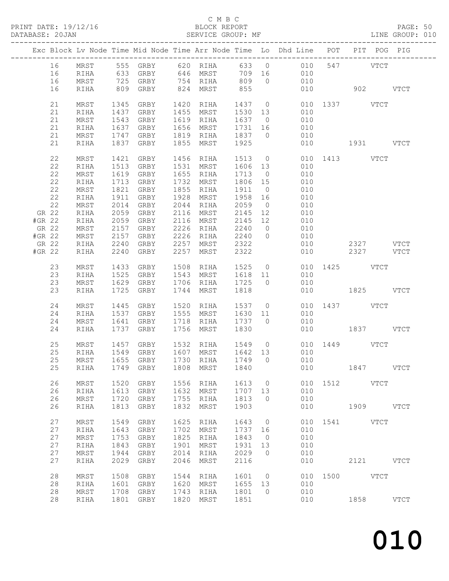#### C M B C<br>BLOCK REPORT

PAGE: 50<br>LINE GROUP: 010

|        |          |              |              |                             |              |                        |                |                | Exc Block Lv Node Time Mid Node Time Arr Node Time Lo Dhd Line POT PIT POG PIG |               |           |             |
|--------|----------|--------------|--------------|-----------------------------|--------------|------------------------|----------------|----------------|--------------------------------------------------------------------------------|---------------|-----------|-------------|
|        | 16       | MRST         |              |                             |              |                        |                |                | 555 GRBY 620 RIHA 633 0 010 547 VTCT                                           |               |           |             |
|        | 16       | RIHA         |              |                             |              |                        |                |                | 010                                                                            |               |           |             |
|        | 16       | MRST         |              |                             |              |                        |                |                | 010                                                                            |               |           |             |
|        | 16       | RIHA         |              | 809 GRBY                    |              | 824 MRST 855           |                |                | 010 902 VTCT                                                                   |               |           |             |
|        | 21       | MRST         |              | 1345 GRBY                   |              | 1420 RIHA              |                |                |                                                                                |               |           |             |
|        | 21       | RIHA         | 1437         | GRBY                        |              | 1455 MRST              | 1530 13        |                | 1437 0 010 1337 VTCT<br>1530 13 010                                            |               |           |             |
|        | 21       | MRST         | 1543         | GRBY                        |              | 1619 RIHA              | 1637 0         |                | 010                                                                            |               |           |             |
|        | 21       | RIHA         | 1637         | GRBY                        |              | 1656 MRST              | 1731 16        |                | 010                                                                            |               |           |             |
|        | 21       | MRST         |              | 1747 GRBY                   |              | 1819 RIHA              | 1837 0         |                | 010                                                                            |               |           |             |
|        | 21       | RIHA         |              | 1837 GRBY                   |              | 1855 MRST              | 1925           |                | 010                                                                            | 1931 VTCT     |           |             |
|        |          |              |              |                             |              |                        |                |                |                                                                                |               |           |             |
|        | 22       | MRST         | 1421         | GRBY                        |              | 1456 RIHA              |                |                | 1513 0 010 1413 VTCT                                                           |               |           |             |
|        | 22       | RIHA         | 1513         | GRBY                        |              | 1531 MRST              | 1606 13        |                | 010                                                                            |               |           |             |
|        | 22       | MRST         |              | 1619 GRBY                   |              | 1655 RIHA              | 1713 0         |                | 010                                                                            |               |           |             |
|        | 22       | RIHA         |              | 1713 GRBY                   | 1732         | MRST                   | 1806 15        |                | 010                                                                            |               |           |             |
|        | 22       | MRST         | 1821         | GRBY                        |              | 1855 RIHA              | 1911           | $\overline{0}$ | 010                                                                            |               |           |             |
|        | 22       | RIHA         | 1911         | GRBY                        | 1928         | MRST                   | 1958 16        |                | 010                                                                            |               |           |             |
|        | 22       | MRST         | 2014         | GRBY                        | 2044         | RIHA                   | 2059           | $\overline{0}$ | 010                                                                            |               |           |             |
|        | GR 22    | RIHA         | 2059         | GRBY                        | 2116         | MRST                   | 2145 12        |                | 010                                                                            |               |           |             |
| #GR 22 |          | RIHA         | 2059         | GRBY                        |              | 2116 MRST              | 2145 12        |                | 010                                                                            |               |           |             |
| GR 22  |          | MRST         | 2157         | GRBY                        |              | 2226 RIHA              | 2240           | $\overline{0}$ | 010                                                                            |               |           |             |
| #GR 22 |          | MRST         | 2157         | GRBY                        |              | 2226 RIHA              | 2240 0         |                | 010                                                                            |               |           |             |
| GR 22  |          | RIHA         | 2240         | GRBY                        | 2257         | MRST                   | 2322           |                | 010                                                                            |               | 2327 VTCT |             |
| #GR 22 |          | RIHA         | 2240         | GRBY                        | 2257         | MRST                   | 2322           |                |                                                                                | 010 00        | 2327 VTCT |             |
|        | 23       | MRST         |              | 1433 GRBY                   |              |                        |                |                |                                                                                |               |           |             |
|        | 23       | RIHA         |              | 1525 GRBY                   |              |                        |                |                | 1508 RIHA 1525 0 010 1425 VTCT<br>1543 MRST 1618 11 010                        |               |           |             |
|        | 23       | MRST         |              | 1629 GRBY                   |              | 1706 RIHA 1725 0       |                |                | 010                                                                            |               |           |             |
|        | 23       | RIHA         |              | 1725 GRBY                   | 1744         | MRST                   | 1818           |                |                                                                                | 010 1825 VTCT |           |             |
|        |          |              |              |                             |              |                        | 1537 0         |                |                                                                                | 010 1437 VTCT |           |             |
|        | 24<br>24 | MRST         | 1445<br>1537 | GRBY                        |              | 1520 RIHA<br>1555 MRST | 1630 11        |                | 010                                                                            |               |           |             |
|        |          | RIHA         |              | GRBY                        |              | 1718 RIHA              |                |                |                                                                                |               |           |             |
|        | 24       | MRST         | 1641         | GRBY                        |              |                        | 1737 0<br>1830 |                | 010                                                                            |               |           |             |
|        | 24       | RIHA         | 1737         | GRBY                        | 1756         | MRST                   |                |                |                                                                                | 010 1837 VTCT |           |             |
|        | 25       | MRST         | 1457         |                             |              |                        |                |                | GRBY 1532 RIHA 1549 0 010 1449 VTCT                                            |               |           |             |
|        | 25       | RIHA         |              | 1549 GRBY 1607 MRST 1642 13 |              |                        |                |                | 010                                                                            |               |           |             |
|        | 25       | MRST         |              | 1655 GRBY                   |              | 1730 RIHA              | 1749 0         |                | 010                                                                            |               |           |             |
|        |          |              |              |                             |              |                        |                |                | 25 RIHA 1749 GRBY 1808 MRST 1840 010                                           |               | 1847      | <b>VTCT</b> |
|        | 26       |              |              |                             |              |                        |                |                |                                                                                | 010 1512 VTCT |           |             |
|        | 26       | MRST         | 1520<br>1613 | GRBY                        | 1556<br>1632 | RIHA<br>MRST           | 1613<br>1707   | $\circ$<br>13  | 010                                                                            |               |           |             |
|        | 26       | RIHA         | 1720         | GRBY                        | 1755         |                        | 1813           | $\circ$        | 010                                                                            |               |           |             |
|        | 26       | MRST<br>RIHA | 1813         | GRBY<br>GRBY                | 1832         | RIHA<br>MRST           | 1903           |                | 010                                                                            |               | 1909 VTCT |             |
|        |          |              |              |                             |              |                        |                |                |                                                                                |               |           |             |
|        | 27       | MRST         | 1549         | GRBY                        | 1625         | RIHA                   | 1643           | $\overline{0}$ | 010                                                                            | 1541 VTCT     |           |             |
|        | 27       | RIHA         | 1643         | GRBY                        | 1702         | MRST                   | 1737           | 16             | 010                                                                            |               |           |             |
|        | 27       | MRST         | 1753         | GRBY                        | 1825         | RIHA                   | 1843           | $\overline{0}$ | 010                                                                            |               |           |             |
|        | 27       | RIHA         | 1843         | GRBY                        | 1901         | MRST                   | 1931           | 13             | 010                                                                            |               |           |             |
|        | 27       | MRST         | 1944         | GRBY                        | 2014         | RIHA                   | 2029           | $\overline{0}$ | 010                                                                            |               |           |             |
|        | 27       | RIHA         | 2029         | GRBY                        | 2046         | MRST                   | 2116           |                | 010                                                                            |               | 2121 VTCT |             |
|        | 28       |              | 1508         |                             | 1544         |                        | 1601           | $\overline{0}$ |                                                                                | 010 1500 VTCT |           |             |
|        | 28       | MRST<br>RIHA | 1601         | GRBY<br>GRBY                | 1620         | RIHA<br>MRST           | 1655           | 13             | 010                                                                            |               |           |             |
|        | 28       | $\tt MRST$   | 1708         | GRBY                        | 1743         | RIHA                   | 1801           | $\overline{0}$ | 010                                                                            |               |           |             |
|        | 28       | RIHA         |              | 1801 GRBY                   | 1820         | MRST                   | 1851           |                | 010                                                                            |               | 1858 VTCT |             |
|        |          |              |              |                             |              |                        |                |                |                                                                                |               |           |             |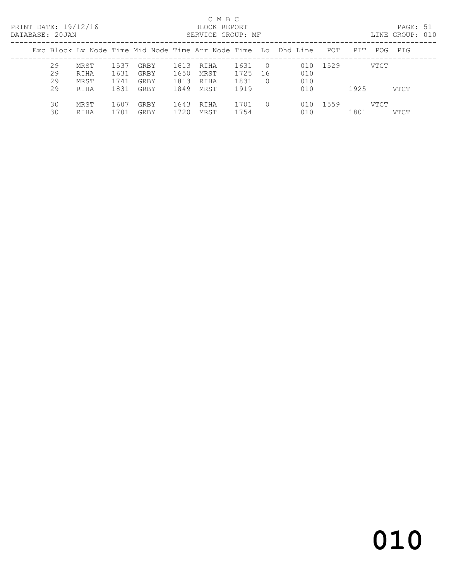#### C M B C<br>BLOCK REPORT<br>SERVICE CROUP. DATABASE: 20JAN SERVICE GROUP: MF LINE GROUP: 010

| <i>DAIADASL. Z</i> uuan                                        |              | SANYIYA GRUUF. MP |                          |             | TIME GRAAL: AIA     |
|----------------------------------------------------------------|--------------|-------------------|--------------------------|-------------|---------------------|
| Exc Block Ly Node Time Mid Node Time Arr Node Time Lo Dhd Line |              |                   |                          | POT         | POG PIG<br>PIT      |
| 29<br>MRST                                                     | 1537<br>GRBY | RIHA<br>1613      | 1631<br>$\Omega$         | 010 1529    | VTCT                |
| 29<br>RIHA                                                     | 1631<br>GRBY | 1650<br>MRST      | 1725<br>-16              | 010         |                     |
| 29<br>MRST                                                     | 1741<br>GRBY | 1813<br>RIHA      | 1831<br>$\Omega$         | 010         |                     |
| 29<br>RIHA                                                     | 1831<br>GRBY | 1849<br>MRST      | 1919                     | 010         | 1925<br>VTCT        |
| 30<br>MRST                                                     | GRBY<br>1607 | 1643<br>RIHA      | 1701<br>$\left( \right)$ | 1559<br>010 | VTCT                |
| 30<br>RIHA                                                     | 1701<br>GRBY | 1720<br>MRST      | 1754                     | 010         | 1801<br><b>VTCT</b> |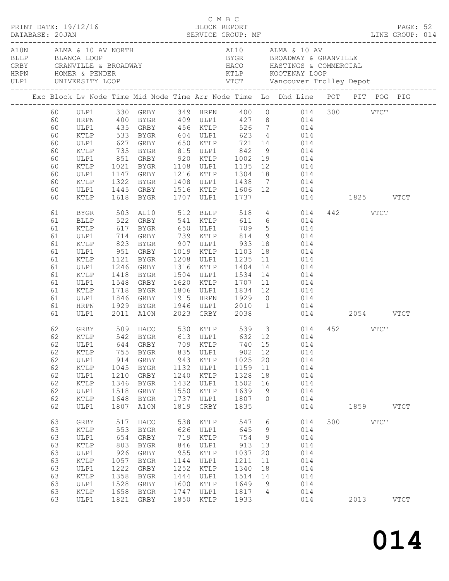|                                                                                                                                                    | PRINT DATE: 19/12/16                                                                                                                                                                         |                                                                                                                       |                                                                                                                                                                                                                                                                                                                  |                                                                                                                       | C M B C                                                                                                                      | BLOCK REPORT                                                                                                               |                                                                                   |                                                                                                                                                                                                                                                                                                                                                                                                                                                                                                                                                                                                                                                              |          |           | PAGE: 52    |  |
|----------------------------------------------------------------------------------------------------------------------------------------------------|----------------------------------------------------------------------------------------------------------------------------------------------------------------------------------------------|-----------------------------------------------------------------------------------------------------------------------|------------------------------------------------------------------------------------------------------------------------------------------------------------------------------------------------------------------------------------------------------------------------------------------------------------------|-----------------------------------------------------------------------------------------------------------------------|------------------------------------------------------------------------------------------------------------------------------|----------------------------------------------------------------------------------------------------------------------------|-----------------------------------------------------------------------------------|--------------------------------------------------------------------------------------------------------------------------------------------------------------------------------------------------------------------------------------------------------------------------------------------------------------------------------------------------------------------------------------------------------------------------------------------------------------------------------------------------------------------------------------------------------------------------------------------------------------------------------------------------------------|----------|-----------|-------------|--|
|                                                                                                                                                    | A10N ALMA & 10 AV NORTH<br>BLLP BLANCA LOOP                                                                                                                                                  |                                                                                                                       |                                                                                                                                                                                                                                                                                                                  |                                                                                                                       |                                                                                                                              |                                                                                                                            |                                                                                   | AL10 ALMA & 10 AV<br>BYGR BROADWAY & GRANVILLE                                                                                                                                                                                                                                                                                                                                                                                                                                                                                                                                                                                                               |          |           |             |  |
|                                                                                                                                                    |                                                                                                                                                                                              |                                                                                                                       |                                                                                                                                                                                                                                                                                                                  |                                                                                                                       |                                                                                                                              |                                                                                                                            |                                                                                   | Exc Block Lv Node Time Mid Node Time Arr Node Time Lo Dhd Line POT PIT POG PIG                                                                                                                                                                                                                                                                                                                                                                                                                                                                                                                                                                               |          |           |             |  |
| 60<br>60<br>60<br>60<br>60<br>60<br>60<br>60<br>60<br>60<br>60<br>61<br>61<br>61<br>61<br>61<br>61<br>61<br>61<br>61<br>61<br>61<br>61<br>61<br>61 | ULP1<br>KTLP<br>ULP1<br>KTLP<br>ULP1<br>KTLP<br>ULP1<br>KTLP<br>ULP1<br>KTLP<br>BYGR<br>BLLP<br>KTLP<br>ULP1<br>KTLP<br>ULP1<br>KTLP<br>ULP1<br>KTLP<br>ULP1<br>KTLP<br>ULP1<br>HRPN<br>ULP1 | 1718                                                                                                                  | 735 BYGR 815 ULP1 842<br>1322 BYGR<br>1618 BYGR<br>503 AL10 512 BLLP<br>522 GRBY 541 KTLP<br>951 GRBY 1019 KTLP 1103<br>1121 BYGR 1208 ULP1 1235 11<br>1246 GRBY 1316 KTLP 1404 14<br>1418 BYGR 1504 ULP1 1534 14<br>1548 GRBY<br><b>BYGR</b><br>1846 GRBY<br>1846 GRBY<br>1929 BYGR<br>2011 A10N 2023 GRBY 2038 |                                                                                                                       |                                                                                                                              | 1707 ULP1 1737<br>518                                                                                                      |                                                                                   | 60 ULP1 330 GRBY 349 HRPN 400 0 014 300 VTCT<br>HRPN 400 BYGR 409 ULP1 427 8 014<br>435 GRBY 456 KTLP 526 7 014<br>533 BYGR 604 ULP1 623 4 014<br>627 GRBY 650 KTLP 721 14 014<br>9 014<br>851 GRBY 920 KTLP 1002 19 014<br>1021 BYGR 1108 ULP1 1135 12 014<br>1147 GRBY 1216 KTLP 1304 18 014<br>1408 ULP1 1438 7 014<br>1445 GRBY 1516 KTLP 1606 12 014<br>014 1825 VTCT<br>4 014<br>611 6 014<br>709 5 014<br>814 9 014<br>18 014<br>11 014<br>$\begin{array}{ccc} 14 & \hspace{1.5cm} & 014 \\ 14 & \hspace{1.5cm} & 014 \end{array}$<br>1620 KTLP 1707 11 014<br>1806 ULP1 1834 12 014<br>1915 HRPN 1929 0 014<br>1946 ULP1 2010 1 014<br>014 2054 VTCT | 442 VTCT |           |             |  |
| 62<br>62<br>62<br>62<br>62<br>62<br>62<br>62<br>62<br>62<br>63<br>63<br>63<br>63<br>63<br>63<br>63<br>63                                           | KTLP<br>ULP1<br>$\texttt{KTLP}$<br>ULP1<br>KTLP<br>ULP1<br>KTLP<br>ULP1<br>GRBY<br>$\verb KTLP $<br>ULP1<br>KTLP<br>ULP1<br>KTLP<br>ULP1<br>KTLP                                             | 755<br>914<br>1045<br>1210<br>1346<br>1518<br>1648<br>1807<br>517<br>553<br>654<br>803<br>926<br>1057<br>1222<br>1358 | BYGR<br>GRBY<br>BYGR<br>GRBY<br>BYGR<br>GRBY<br>BYGR<br>A10N<br>HACO<br>BYGR<br>GRBY<br>BYGR<br>GRBY<br>BYGR<br>GRBY<br>BYGR                                                                                                                                                                                     | 835<br>943<br>1132<br>1240<br>1432<br>1550<br>1737<br>1819<br>538<br>626<br>719<br>846<br>955<br>1144<br>1252<br>1444 | ULP1<br>KTLP<br>ULP1<br>KTLP<br>ULP1<br>KTLP<br>ULP1<br>GRBY<br>KTLP<br>ULP1<br>KTLP<br>ULP1<br>KTLP<br>ULP1<br>KTLP<br>ULP1 | 902 12<br>1025<br>1159<br>1328<br>1502<br>1639<br>1807<br>1835<br>547<br>645<br>754<br>913<br>1037<br>1211<br>1340<br>1514 | 20<br>11<br>18<br>16<br>9<br>$\circ$<br>6<br>9<br>9<br>13<br>20<br>11<br>18<br>14 | GRBY 509 HACO 530 KTLP 539 3 014 452 VTCT<br>KTLP 542 BYGR 613 ULP1 632 12 014<br>62 ULP1 644 GRBY 709 KTLP 740 15 014<br>014<br>014<br>014<br>014<br>014<br>014<br>014<br>014<br>014<br>014<br>014<br>014<br>014<br>014<br>014<br>014                                                                                                                                                                                                                                                                                                                                                                                                                       | 500 VTCT | 1859 VTCT |             |  |
| 63<br>63<br>63                                                                                                                                     | ULP1<br>KTLP<br>ULP1                                                                                                                                                                         | 1528<br>1658<br>1821                                                                                                  | GRBY<br>BYGR<br>GRBY                                                                                                                                                                                                                                                                                             | 1600<br>1747<br>1850                                                                                                  | KTLP<br>ULP1<br>KTLP                                                                                                         | 1649<br>1817<br>1933                                                                                                       | 9<br>$\overline{4}$                                                               | 014<br>014<br>014                                                                                                                                                                                                                                                                                                                                                                                                                                                                                                                                                                                                                                            |          | 2013      | <b>VTCT</b> |  |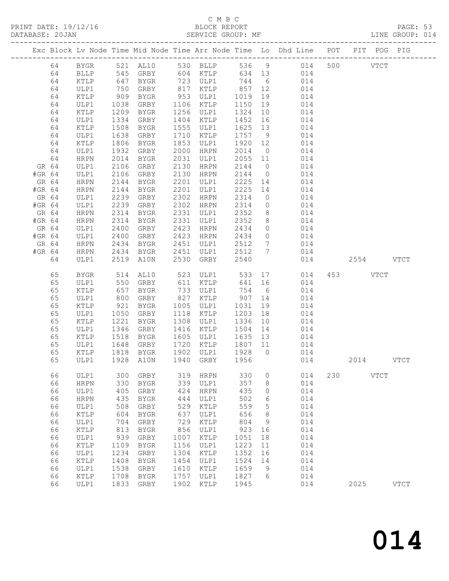#### C M B C<br>BLOCK REPORT

PRINT DATE: 19/12/16 BLOCK REPORT PAGE: 53 SERVICE GROUP: MF

|        |          |                 |              |               |              |                      |                     |                 | Exc Block Lv Node Time Mid Node Time Arr Node Time Lo Dhd Line POT PIT POG PIG |     |           |             |             |
|--------|----------|-----------------|--------------|---------------|--------------|----------------------|---------------------|-----------------|--------------------------------------------------------------------------------|-----|-----------|-------------|-------------|
|        | 64       |                 |              |               |              |                      |                     |                 | BYGR 521 AL10 530 BLLP 536 9 014 500 VTCT                                      |     |           |             |             |
|        | 64       | BLLP            |              |               |              |                      |                     |                 | 545 GRBY 604 KTLP 634 13 014                                                   |     |           |             |             |
|        | 64       | KTLP            | 647          | BYGR          |              | 723 ULP1 744 6       |                     |                 | 014                                                                            |     |           |             |             |
|        | 64       | ULP1            | 750          | GRBY          |              | 817 KTLP             | 857 12              |                 | 014                                                                            |     |           |             |             |
|        | 64       | KTLP            | 909          | BYGR          |              | 953 ULP1             | 1019 19             |                 | 014                                                                            |     |           |             |             |
|        | 64       | ULP1            | 1038         | GRBY          |              | 1106 KTLP            | 1150                | 19              | 014                                                                            |     |           |             |             |
|        | 64       | KTLP            | 1209         | BYGR          |              | 1256 ULP1            | 1324                | 10              | 014                                                                            |     |           |             |             |
|        | 64       | ULP1            | 1334         | GRBY          |              | 1404 KTLP            | 1452                | 16              | 014                                                                            |     |           |             |             |
|        | 64<br>64 | KTLP            | 1508<br>1638 | BYGR          | 1710         | 1555 ULP1            | 1625 13<br>1757 9   |                 | 014                                                                            |     |           |             |             |
|        | 64       | ULP1<br>KTLP    | 1806         | GRBY<br>BYGR  | 1853         | KTLP<br>ULP1         | 1920 12             |                 | 014<br>014                                                                     |     |           |             |             |
|        | 64       | ULP1            | 1932         | GRBY          | 2000         | HRPN                 | 2014                | $\overline{0}$  | 014                                                                            |     |           |             |             |
|        | 64       | HRPN            | 2014         | BYGR          | 2031         | ULP1                 | 2055 11             |                 | 014                                                                            |     |           |             |             |
| GR 64  |          | ULP1            | 2106         | GRBY          | 2130         | HRPN                 | 2144 0              |                 | 014                                                                            |     |           |             |             |
| #GR 64 |          | ULP1            | 2106         | GRBY          | 2130         | HRPN                 | 2144                | $\overline{0}$  | 014                                                                            |     |           |             |             |
| GR 64  |          | HRPN            | 2144         | BYGR          | 2201         | ULP1                 | 2225                | 14              | 014                                                                            |     |           |             |             |
| #GR 64 |          | HRPN            | 2144         | BYGR          | 2201         | ULP1                 | 2225 14             |                 | 014                                                                            |     |           |             |             |
| GR 64  |          | ULP1            | 2239         | GRBY          | 2302         | HRPN                 | 2314                | $\overline{0}$  | 014                                                                            |     |           |             |             |
| #GR 64 |          | ULP1            | 2239         | GRBY          | 2302         | HRPN                 | 2314                | $\overline{0}$  | 014                                                                            |     |           |             |             |
| GR 64  |          | HRPN            | 2314         | BYGR          | 2331         | ULP1                 | 2352                | 8 <sup>8</sup>  | 014                                                                            |     |           |             |             |
| #GR 64 |          | HRPN            | 2314<br>2400 | BYGR          | 2331         | ULP1                 | 2352                | 8 <sup>8</sup>  | 014                                                                            |     |           |             |             |
| GR 64  |          | ULP1            | 2400         | GRBY          | 2423         | <b>HRPN</b>          | 2434                | $\overline{0}$  | 014                                                                            |     |           |             |             |
| #GR 64 |          | ULP1            | 2400         | GRBY          |              | 2423 HRPN            | 2434                | $\overline{0}$  | 014                                                                            |     |           |             |             |
| GR 64  |          | HRPN            | 2434         | <b>BYGR</b>   |              | 2451 ULP1            | 2512                | $7\overline{ }$ | 014                                                                            |     |           |             |             |
| #GR 64 |          | HRPN            | 2434         | BYGR          |              | 2451 ULP1            | 2512 7              |                 | 014                                                                            |     |           |             |             |
|        | 64       | ULP1            |              | 2519 A10N     |              | 2530 GRBY            | 2540                |                 | 014                                                                            |     | 2554 VTCT |             |             |
|        | 65       | BYGR            |              | 514 AL10      |              | 523 ULP1             |                     |                 | 533 17 014                                                                     |     | 453 VTCT  |             |             |
|        | 65       | ULP1            | 550          | GRBY          |              | 611 KTLP             | 641 16              |                 | 014                                                                            |     |           |             |             |
|        | 65       | KTLP            | 657          | BYGR          |              | 733 ULP1<br>827 KTLP | 754 6<br>754<br>907 |                 | 014                                                                            |     |           |             |             |
|        | 65       | ULP1            | 800          | GRBY          |              |                      |                     | 14              | 014                                                                            |     |           |             |             |
|        | 65       | KTLP            | 921          | BYGR          |              | 1005 ULP1            | 1031                | 19              | 014                                                                            |     |           |             |             |
|        | 65       | ULP1            | 1050         | GRBY          |              | 1118 KTLP            | 1203                | 18              | 014                                                                            |     |           |             |             |
|        | 65<br>65 | KTLP            | 1221<br>1346 | BYGR          | 1308<br>1416 | ULP1                 | 1336<br>1504 14     | 10              | 014                                                                            |     |           |             |             |
|        | 65       | ULP1<br>KTLP    | 1518         | GRBY<br>BYGR  |              | KTLP<br>1605 ULP1    | 1635 13             |                 | 014<br>014                                                                     |     |           |             |             |
|        | 65       | ULP1            | 1648         | GRBY          | 1720         | KTLP                 | 1807 11             |                 | 014                                                                            |     |           |             |             |
|        | 65       | KTLP            | 1818         | BYGR          |              | 1902 ULP1            | 1928 0              |                 | 014                                                                            |     |           |             |             |
|        | 65       | ULP1            |              | $1928$ $A10N$ |              | 1940 GRBY 1956       |                     |                 | 014                                                                            |     | 2014      |             | <b>VTCT</b> |
|        | 66       | ULP1            | 300          | GRBY          | 319          | <b>HRPN</b>          | 330                 | 0               | 014                                                                            | 230 |           | <b>VTCT</b> |             |
|        | 66       | ${\tt HRPN}$    | 330          | <b>BYGR</b>   | 339          | ULP1                 | 357                 | 8               | 014                                                                            |     |           |             |             |
|        | 66       | ULP1            | 405          | GRBY          | 424          | <b>HRPN</b>          | 435                 | 0               | 014                                                                            |     |           |             |             |
|        | 66       | ${\tt HRPN}$    | 435          | <b>BYGR</b>   | 444          | ULP1                 | 502                 | 6               | 014                                                                            |     |           |             |             |
|        | 66       | ULP1            | 508          | ${\tt GRBY}$  | 529          | KTLP                 | 559                 | 5               | 014                                                                            |     |           |             |             |
|        | 66       | $\verb KTLP $   | 604          | <b>BYGR</b>   | 637          | ULP1                 | 656                 | 8               | 014                                                                            |     |           |             |             |
|        | 66       | ULP1            | 704          | GRBY          | 729          | <b>KTLP</b>          | 804                 | 9               | 014                                                                            |     |           |             |             |
|        | 66       | $\verb KTLP $   | 813          | <b>BYGR</b>   | 856          | ULP1                 | 923                 | 16              | 014                                                                            |     |           |             |             |
|        | 66       | ULP1            | 939          | GRBY          | 1007         | KTLP                 | 1051                | 18              | 014                                                                            |     |           |             |             |
|        | 66       | $\verb KTLP $   | 1109         | <b>BYGR</b>   | 1156         | ULP1                 | 1223                | $11$            | 014                                                                            |     |           |             |             |
|        | 66       | ULP1            | 1234         | GRBY          | 1304         | KTLP                 | 1352                | 16              | 014                                                                            |     |           |             |             |
|        | 66       | $\texttt{KTLP}$ | 1408         | <b>BYGR</b>   | 1454         | ULP1                 | 1524                | 14              | 014                                                                            |     |           |             |             |
|        | 66       | ULP1            | 1538         | GRBY          | 1610         | KTLP                 | 1659                | 9               | 014                                                                            |     |           |             |             |
|        | 66       | $\verb KTLP $   | 1708         | BYGR          | 1757         | ULP1                 | 1827                | 6               | 014                                                                            |     |           |             |             |
|        | 66       | ULP1            | 1833         | GRBY          | 1902         | KTLP                 | 1945                |                 | 014                                                                            |     | 2025      |             | <b>VTCT</b> |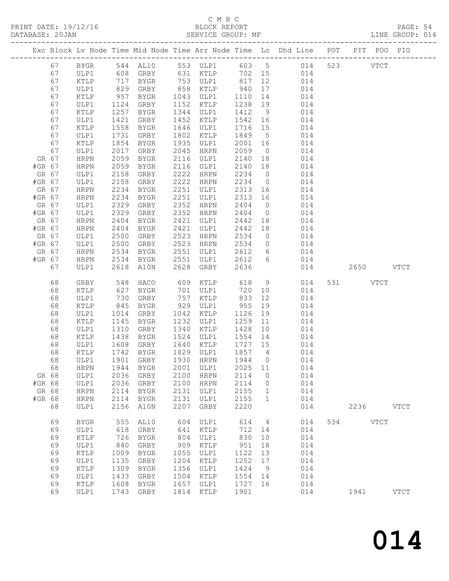# C M B C<br>BLOCK REPORT<br>SERVICE GROUP: MF

| DATABASE: 20JAN |        |                 |            |                        |      | SERVICE GROUP: MF              |         |                 |                                                                                |           | LINE GROUP: 014 |
|-----------------|--------|-----------------|------------|------------------------|------|--------------------------------|---------|-----------------|--------------------------------------------------------------------------------|-----------|-----------------|
|                 |        |                 |            |                        |      |                                |         |                 | Exc Block Lv Node Time Mid Node Time Arr Node Time Lo Dhd Line POT PIT POG PIG |           |                 |
|                 | 67     |                 |            |                        |      |                                |         |                 | BYGR 544 AL10 553 ULP1 603 5 014 523 VTCT                                      |           |                 |
|                 | 67     | ULP1            |            |                        |      |                                |         |                 | 608 GRBY 631 KTLP 702 15 014                                                   |           |                 |
|                 | 67     | KTLP            |            | BYGR                   |      |                                |         |                 | 753 ULP1 817 12 014                                                            |           |                 |
|                 | 67     | ULP1            | 717<br>829 | GRBY                   |      |                                |         | 17              | 014                                                                            |           |                 |
|                 | 67     | KTLP            | 957        | BYGR                   |      | 858 KTLP 940<br>1043 ULP1 1110 |         | 14              | 014                                                                            |           |                 |
|                 | 67     | ULP1            | 1124       | GRBY                   |      | 1152 KTLP                      | 1238 19 |                 | 014                                                                            |           |                 |
|                 | 67     | KTLP            | 1257       | BYGR                   |      | 1344 ULP1                      | 1412    | 9               | 014                                                                            |           |                 |
|                 | 67     | ULP1            | 1421       | GRBY                   |      | 1452 KTLP                      | 1542 16 |                 | 014                                                                            |           |                 |
|                 | 67     | KTLP            | 1558       | BYGR                   |      | 1646 ULP1                      | 1716 15 |                 | 014                                                                            |           |                 |
|                 | 67     | ULP1            | 1731       | GRBY                   | 1802 | KTLP                           | 1849 5  |                 | 014                                                                            |           |                 |
|                 | 67     | KTLP            | 1854       | BYGR                   |      | 1935 ULP1                      | 2001    | 16              | 014                                                                            |           |                 |
|                 | 67     | ULP1            | 2017       | GRBY                   |      | 2045 HRPN                      | 2059    | $\overline{0}$  | 014                                                                            |           |                 |
|                 | GR 67  | HRPN            | 2059       | BYGR                   |      | 2116 ULP1                      | 2140    | 18              | 014                                                                            |           |                 |
| #GR 67          |        | HRPN            | 2059       | BYGR                   |      | 2116 ULP1                      | 2140 18 |                 | 014                                                                            |           |                 |
|                 | GR 67  | ULP1            | 2158       | GRBY                   |      | 2222 HRPN                      | 2234    | $\overline{0}$  | 014                                                                            |           |                 |
| #GR 67          |        | ULP1            | 2158       | GRBY                   |      | 2222 HRPN                      | 2234 0  |                 | 014                                                                            |           |                 |
|                 | GR 67  | HRPN            | 2234       | BYGR                   |      | 2251 ULP1                      | 2313 16 |                 | 014                                                                            |           |                 |
| #GR 67          |        | HRPN            | 2234       | BYGR                   |      | 2251 ULP1                      | 2313 16 |                 | 014                                                                            |           |                 |
|                 | GR 67  | ULP1            | 2329       | GRBY                   |      | 2352 HRPN                      | 2404    | $\overline{0}$  | 014                                                                            |           |                 |
| #GR 67          |        | ULP1            | 2329       | GRBY                   |      | 2352 HRPN                      | 2404    | $\overline{O}$  | 014                                                                            |           |                 |
|                 | GR 67  | HRPN            | 2404       | BYGR                   |      | 2421 ULP1                      | 2442    | 18              | 014                                                                            |           |                 |
| #GR 67          |        | HRPN            | 2404       | BYGR                   |      | 2421 ULP1                      | 2442    | 18              | 014                                                                            |           |                 |
|                 | GR 67  | ULP1            | 2500       | GRBY                   |      | 2523 HRPN                      | 2534    |                 | $0$ 014                                                                        |           |                 |
| #GR 67          |        | ULP1            | 2500       | GRBY                   |      | 2523 HRPN                      | 2534    | $\overline{0}$  | 014                                                                            |           |                 |
|                 | GR 67  | HRPN            | 2534       | BYGR                   |      | 2551 ULP1                      | 2612 6  |                 | 014                                                                            |           |                 |
|                 | #GR 67 | HRPN            | 2534       | BYGR                   |      | 2551 ULP1 2612 6               |         |                 | 014                                                                            |           |                 |
|                 | 67     | ULP1            | 2618       | A10N                   |      | 2628 GRBY                      | 2636    |                 | 014                                                                            | 2650 VTCT |                 |
|                 |        |                 |            |                        |      |                                |         |                 |                                                                                |           |                 |
|                 | 68     | GRBY            | 548<br>627 | HACO                   |      | 609 KTLP                       | 618     |                 | 9<br>014                                                                       | 531 VTCT  |                 |
|                 | 68     | KTLP            |            | BYGR                   |      | 701 ULP1                       | 720     | 10              | 014                                                                            |           |                 |
|                 | 68     | ULP1            | 730        | GRBY                   |      | 757 KTLP                       | 833     | 12              | 014                                                                            |           |                 |
|                 | 68     | $\texttt{KTLP}$ | 845        | BYGR                   |      | 929 ULP1                       | 955     | 19              | 014                                                                            |           |                 |
|                 | 68     | ULP1            | 1014       | GRBY                   |      | 1042 KTLP                      | 1126    | 19              | 014                                                                            |           |                 |
|                 | 68     | KTLP            | 1145       | BYGR                   |      | 1232 ULP1                      | 1259    | 11              | 014                                                                            |           |                 |
|                 | 68     | ULP1            | 1310       | GRBY                   |      | 1340 KTLP                      | 1428    | 10              | 014                                                                            |           |                 |
|                 | 68     | KTLP            | 1438       | BYGR                   |      | 1524 ULP1                      | 1554    | 14              | 014                                                                            |           |                 |
|                 | 68     | ULP1            |            | 1608 GRBY<br>1742 BYGR |      | 1640 KTLP                      | 1727 15 |                 | 014                                                                            |           |                 |
|                 | 68     | KTLP            |            |                        |      | 1829 ULP1 1857 4               |         |                 | 014                                                                            |           |                 |
|                 | 68     |                 |            |                        |      |                                |         |                 | ULP1 1901 GRBY 1930 HRPN 1944 0 014                                            |           |                 |
|                 | 68     | HRPN            | 1944       | BYGR                   | 2001 | ULP1                           | 2025 11 |                 | 014                                                                            |           |                 |
|                 | GR 68  | ULP1            | 2036       | GRBY                   | 2100 | HRPN                           | 2114    | $\overline{0}$  | 014                                                                            |           |                 |
| #GR 68          |        | ULP1            | 2036       | GRBY                   | 2100 | <b>HRPN</b>                    | 2114    | $\overline{0}$  | 014                                                                            |           |                 |
|                 | GR 68  | <b>HRPN</b>     | 2114       | BYGR                   | 2131 | ULP1                           | 2155    | $\mathbf{1}$    | 014                                                                            |           |                 |
| #GR 68          |        | <b>HRPN</b>     | 2114       | BYGR                   | 2131 | ULP1                           | 2155    | 1               | 014                                                                            |           |                 |
|                 | 68     | ULP1            | 2156       | A10N                   | 2207 | GRBY                           | 2220    |                 | 014                                                                            | 2236 VTCT |                 |
|                 | 69     | ${\tt BYGR}$    | 555        | AL10                   | 604  | ULP1                           | 614     | $4\overline{4}$ | 014                                                                            | 534 VTCT  |                 |
|                 | 69     | ULP1            | 618        | GRBY                   | 641  | KTLP                           | 712     | 14              | 014                                                                            |           |                 |
|                 | 69     | KTLP            | 726        | BYGR                   | 804  | ULP1                           | 830     | 10              | 014                                                                            |           |                 |
|                 | 69     | ULP1            | 840        | GRBY                   | 909  | KTLP                           | 951     | 18              | 014                                                                            |           |                 |
|                 | 69     | $\verb KTLP $   | 1009       | BYGR                   | 1055 | ULP1                           | 1122    | 13              | 014                                                                            |           |                 |
|                 | 69     | ULP1            | 1135       | GRBY                   | 1204 | KTLP                           | 1252    | 17              | 014                                                                            |           |                 |
|                 | 69     | KTLP            | 1309       | BYGR                   | 1356 | ULP1                           | 1424    | 9               | 014                                                                            |           |                 |
|                 | 69     | ULP1            | 1433       | GRBY                   | 1504 | KTLP                           | 1554    | 14              | 014                                                                            |           |                 |
|                 | 69     | KTLP            | 1608       | BYGR                   | 1657 | ULP1                           | 1727    | 16              | 014                                                                            |           |                 |
|                 | 69     | ULP1            | 1743       | GRBY                   | 1814 | KTLP                           | 1901    |                 | 014                                                                            | 1941 VTCT |                 |
|                 |        |                 |            |                        |      |                                |         |                 |                                                                                |           |                 |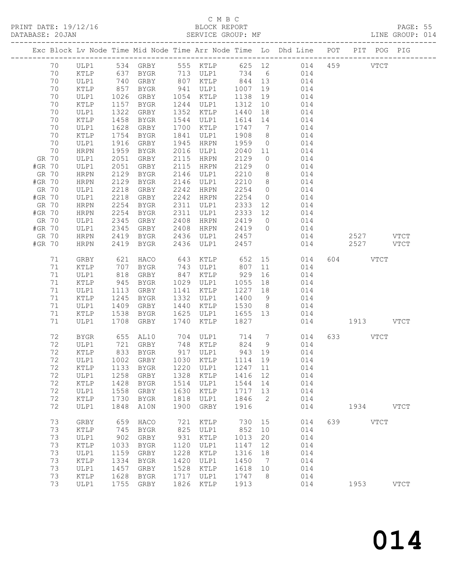#### C M B C

|        |          |                 |              |                     |              |                      |              |                | Exc Block Lv Node Time Mid Node Time Arr Node Time Lo Dhd Line POT PIT POG PIG |     |             |             |             |  |
|--------|----------|-----------------|--------------|---------------------|--------------|----------------------|--------------|----------------|--------------------------------------------------------------------------------|-----|-------------|-------------|-------------|--|
|        | 70       | ULP1            |              | 534 GRBY 555 KTLP   |              |                      |              |                | 625 12 014 459                                                                 |     |             | <b>VTCT</b> |             |  |
|        | 70       | KTLP            | 637          | BYGR 713 ULP1       |              |                      |              |                | 734 6 014                                                                      |     |             |             |             |  |
|        | 70       | ULP1            | 740<br>857   | GRBY                |              | 807 KTLP<br>941 ULP1 | 844 13       |                | 014                                                                            |     |             |             |             |  |
|        | 70       | KTLP            |              | BYGR                |              |                      | 1007         |                | 19<br>014                                                                      |     |             |             |             |  |
|        | 70       | ULP1            | 1026         | GRBY                |              | 1054 KTLP            | 1138         | 19             | 014                                                                            |     |             |             |             |  |
|        | 70       | KTLP            | 1157         | BYGR                | 1244         | ULP1                 | 1312         | 10             | 014                                                                            |     |             |             |             |  |
|        | 70       | ULP1            | 1322         | GRBY                |              | 1352 KTLP            | 1440         | 18             | 014                                                                            |     |             |             |             |  |
|        | 70       | KTLP            | 1458         | BYGR                | 1544         | ULP1                 | 1614         | 14             | 014                                                                            |     |             |             |             |  |
|        | 70       | ULP1            | 1628         | GRBY                | 1700         | KTLP                 | 1747         | $\overline{7}$ | 014                                                                            |     |             |             |             |  |
|        | 70       | KTLP            | 1754         | BYGR                | 1841         | ULP1                 | 1908         | 8 <sup>8</sup> | 014                                                                            |     |             |             |             |  |
|        | 70       | ULP1            | 1916         | GRBY                | 1945         | HRPN                 | 1959         | $\overline{0}$ | 014                                                                            |     |             |             |             |  |
|        | 70       | HRPN            | 1959         | BYGR                | 2016         | ULP1                 | 2040 11      |                | 014                                                                            |     |             |             |             |  |
|        | GR 70    | ULP1            | 2051         | GRBY                | 2115         | HRPN                 | 2129         | $\overline{0}$ | 014                                                                            |     |             |             |             |  |
| #GR 70 |          | ULP1            | 2051         | GRBY                | 2115         | HRPN                 | 2129         | $\overline{0}$ | 014                                                                            |     |             |             |             |  |
|        | GR 70    | HRPN            | 2129         | BYGR                | 2146         | ULP1                 | 2210         | 8 <sup>8</sup> | 014                                                                            |     |             |             |             |  |
| #GR 70 |          | HRPN            | 2129         | BYGR                | 2146         | ULP1                 | 2210         | 8 <sup>8</sup> | 014                                                                            |     |             |             |             |  |
|        | GR 70    | ULP1            | 2218         | GRBY                | 2242         | HRPN                 | 2254         | $\overline{0}$ | 014                                                                            |     |             |             |             |  |
| #GR 70 |          | ULP1            | 2218         | GRBY                | 2242         | HRPN                 | 2254         | $\overline{0}$ | 014                                                                            |     |             |             |             |  |
|        | GR 70    | HRPN            | 2254         | BYGR                | 2311         | ULP1                 | 2333         | 12             | 014                                                                            |     |             |             |             |  |
| #GR 70 |          | HRPN            | 2254         | BYGR                | 2311         | ULP1                 | 2333 12      |                | 014                                                                            |     |             |             |             |  |
|        | GR 70    | ULP1            | 2345         | GRBY                | 2408         | HRPN                 | 2419 0       |                | 014                                                                            |     |             |             |             |  |
| #GR 70 |          | ULP1            | 2345         | GRBY                | 2408         | HRPN                 |              |                | 2419 0 014                                                                     |     |             |             |             |  |
|        | GR 70    | HRPN            | 2419         | BYGR                | 2436         | ULP1                 | 2457         |                | 014                                                                            |     | $2527$ VTCT |             |             |  |
| #GR 70 |          | ${\tt HRPN}$    | 2419         | BYGR                | 2436         | ULP1                 | 2457         |                | 014                                                                            |     | 2527 VTCT   |             |             |  |
|        | 71       | GRBY            | 621          | HACO                | 643          | KTLP                 | 652          |                | 15<br>014                                                                      |     | 604 VTCT    |             |             |  |
|        | 71       | KTLP            | 707          | BYGR                | 743          | ULP1                 | 807          | 11             | 014                                                                            |     |             |             |             |  |
|        | 71       | ULP1            | 818          | GRBY                | 847          | KTLP                 | 929          | 16             | 014                                                                            |     |             |             |             |  |
|        | 71       | KTLP            | 945          | BYGR                | 1029         | ULP1                 | 1055         | 18             | 014                                                                            |     |             |             |             |  |
|        | 71       | ULP1            | 1113         | GRBY                | 1141         | KTLP                 | 1227         | 18             | 014                                                                            |     |             |             |             |  |
|        | 71       | KTLP            | 1245         | BYGR                | 1332         | ULP1                 | 1400         | 9              | 014                                                                            |     |             |             |             |  |
|        | 71       | ULP1            | 1409         | GRBY                | 1440         | KTLP                 | 1530         | 8 <sup>8</sup> | 014                                                                            |     |             |             |             |  |
|        | 71       | KTLP            | 1538         | BYGR                | 1625         | ULP1                 | 1655 13      |                | 014                                                                            |     |             |             |             |  |
|        | 71       | ULP1            | 1708         | GRBY                | 1740         | KTLP                 | 1827         |                | 014                                                                            |     | 1913 VTCT   |             |             |  |
|        | 72       | BYGR            |              |                     |              |                      |              |                |                                                                                | 633 |             | VTCT        |             |  |
|        | 72       | ULP1            |              |                     |              |                      |              |                |                                                                                |     |             |             |             |  |
|        | 72       | $\texttt{KTLP}$ | 833          | <b>BYGR</b>         | 917          | ULP1                 | 943          | 19             | 014                                                                            |     |             |             |             |  |
|        | 72       | ULP1            | 1002         | GRBY                | 1030         | KTLP                 | 1114         | 19             | 014                                                                            |     |             |             |             |  |
|        | 72       | KTLP            | 1133         | <b>BYGR</b>         | 1220         | ULP1                 | 1247         | 11             | 014                                                                            |     |             |             |             |  |
|        | 72       | ULP1            | 1258         | GRBY                | 1328         | KTLP                 | 1416         | 12             | 014                                                                            |     |             |             |             |  |
|        | 72       | KTLP            | 1428         | <b>BYGR</b>         | 1514         | ULP1                 | 1544         | 14             | 014                                                                            |     |             |             |             |  |
|        | 72       | ULP1            | 1558         | GRBY                | 1630         | KTLP                 | 1717         | 13             | 014                                                                            |     |             |             |             |  |
|        | 72       | KTLP            | 1730         | <b>BYGR</b>         | 1818         | ULP1                 | 1846         | 2              | 014                                                                            |     |             |             |             |  |
|        | 72       | ULP1            | 1848         | A10N                | 1900         | GRBY                 | 1916         |                | 014                                                                            |     | 1934        |             | VTCT        |  |
|        | 73       | GRBY            | 659          | HACO                | 721          | KTLP                 | 730          | 15             | 014                                                                            | 639 |             | <b>VTCT</b> |             |  |
|        | 73       | KTLP            | 745          | <b>BYGR</b>         | 825          | ULP1                 | 852          | 10             | 014                                                                            |     |             |             |             |  |
|        | 73       | ULP1            | 902          | GRBY                | 931          | KTLP                 | 1013         | 20             | 014                                                                            |     |             |             |             |  |
|        | 73       | KTLP            | 1033         | <b>BYGR</b>         | 1120         | ULP1                 | 1147         | 12             | 014                                                                            |     |             |             |             |  |
|        | 73       | ULP1            | 1159         | GRBY                | 1228         | KTLP                 | 1316         | 18             | 014                                                                            |     |             |             |             |  |
|        | 73       | KTLP            | 1334         | <b>BYGR</b>         | 1420         | ULP1                 | 1450         | 7              | 014                                                                            |     |             |             |             |  |
|        | 73<br>73 | ULP1            | 1457<br>1628 | GRBY                | 1528<br>1717 | KTLP                 | 1618<br>1747 | 10<br>8        | 014<br>014                                                                     |     |             |             |             |  |
|        | 73       | KTLP<br>ULP1    | 1755         | <b>BYGR</b><br>GRBY | 1826         | ULP1<br>KTLP         | 1913         |                | 014                                                                            |     | 1953        |             | <b>VTCT</b> |  |
|        |          |                 |              |                     |              |                      |              |                |                                                                                |     |             |             |             |  |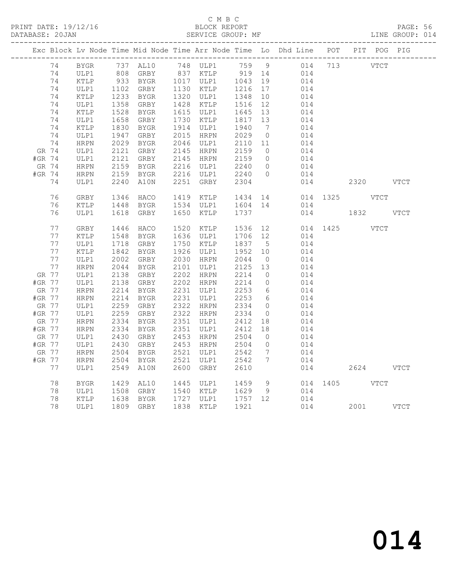## C M B C<br>BLOCK REPORT

PAGE: 56<br>LINE GROUP: 014

|        |    |             |              |                         |      |                   |                   |                              | Exc Block Lv Node Time Mid Node Time Arr Node Time Lo Dhd Line POT PIT POG PIG |     |               |  |
|--------|----|-------------|--------------|-------------------------|------|-------------------|-------------------|------------------------------|--------------------------------------------------------------------------------|-----|---------------|--|
|        | 74 | BYGR        |              | 737 AL10 748 ULP1 759 9 |      |                   |                   |                              | 014 713 VTCT                                                                   |     |               |  |
|        | 74 | ULP1        |              |                         |      |                   |                   |                              | 014                                                                            |     |               |  |
|        | 74 | KTLP        |              |                         |      |                   |                   |                              | 014                                                                            |     |               |  |
|        | 74 | ULP1        | 1102<br>1233 | GRBY                    |      | 1130 KTLP         | 1216<br>1348      | 17                           | 014                                                                            |     |               |  |
|        | 74 | KTLP        | 1233         | BYGR                    |      | 1320 ULP1         |                   | 10                           | 014                                                                            |     |               |  |
|        | 74 | ULP1        | 1358         | GRBY                    |      | 1428 KTLP         | 1516              | 12                           | 014                                                                            |     |               |  |
|        | 74 | KTLP        | 1528         | BYGR                    |      | 1615 ULP1         | 1645              | 13                           | 014                                                                            |     |               |  |
|        | 74 | ULP1        | 1658         | GRBY                    |      | 1730 KTLP         | 1817 13<br>1940 7 |                              | 014                                                                            |     |               |  |
|        | 74 | KTLP        | 1830         | BYGR                    |      | 1914 ULP1         |                   | $7\phantom{.0}\phantom{.0}7$ | 014                                                                            |     |               |  |
|        | 74 | ULP1        | 1947         | GRBY                    |      | 2015 HRPN         | 2029              | $\overline{0}$               | 014                                                                            |     |               |  |
|        | 74 | HRPN        | 2029         | BYGR                    |      | 2046 ULP1         | 2110 11           |                              | 014                                                                            |     |               |  |
| GR 74  |    | ULP1        | 2121         | GRBY                    |      | 2145 HRPN         | 2159              | $\overline{0}$               | 014                                                                            |     |               |  |
| #GR 74 |    | ULP1        | 2121         | GRBY                    |      | 2145 HRPN         | 2159<br>2240      | $\overline{0}$               | 014                                                                            |     |               |  |
| GR 74  |    | HRPN        | 2121<br>2159 | BYGR                    |      | 2216 ULP1         |                   | $\overline{0}$               | 014                                                                            |     |               |  |
| #GR 74 |    | HRPN        | 2159         | BYGR                    |      | 2216 ULP1         | 2240              | $\overline{0}$               | 014                                                                            |     |               |  |
|        | 74 | ULP1        | 2240         | A10N                    |      | 2251 GRBY         | 2304              |                              | 014                                                                            |     | 2320 VTCT     |  |
|        |    |             |              |                         |      |                   |                   |                              |                                                                                |     |               |  |
|        | 76 | GRBY        | 1346         | HACO                    |      |                   |                   |                              | 1419 KTLP 1434 14 014 1325 VTCT                                                |     |               |  |
|        | 76 | KTLP        | 1448         | BYGR                    |      | 1534 ULP1 1604 14 |                   |                              | 014                                                                            |     |               |  |
|        | 76 | ULP1        |              | 1618 GRBY               |      | 1650 KTLP         | 1737              |                              |                                                                                |     | 014 1832 VTCT |  |
|        |    |             |              |                         |      |                   |                   |                              |                                                                                |     |               |  |
|        | 77 | GRBY        | 1446         | HACO                    |      | 1520 KTLP         | 1536 12           |                              |                                                                                |     | 014 1425 VTCT |  |
|        | 77 | KTLP        | 1548         | BYGR                    |      | 1636 ULP1         | 1706 12           |                              | 014                                                                            |     |               |  |
|        | 77 | ULP1        | 1718         | GRBY                    |      | 1750 KTLP         | 1837              | $5^{\circ}$                  | 014                                                                            |     |               |  |
|        | 77 | KTLP        | 1842         | BYGR                    |      | 1926 ULP1         | 1952 10           |                              | 014                                                                            |     |               |  |
|        | 77 | ULP1        | 2002         | GRBY                    |      | 2030 HRPN         | 2044              | $\overline{0}$               | 014                                                                            |     |               |  |
|        | 77 | HRPN        | 2044         | BYGR                    |      | 2101 ULP1         | 2125 13           |                              | 014                                                                            |     |               |  |
| GR 77  |    | ULP1        | 2138         | GRBY                    |      | 2202 HRPN         | 2214              | $\overline{0}$               | 014                                                                            |     |               |  |
| #GR 77 |    | ULP1        | 2138         | GRBY                    |      | 2202 HRPN         | 2214              | $\overline{0}$               | 014                                                                            |     |               |  |
| GR 77  |    | HRPN        | 2214         | BYGR                    |      | 2231 ULP1         | 2253              | $6\overline{6}$              | 014                                                                            |     |               |  |
| #GR 77 |    | HRPN        | 2214         | BYGR                    |      | 2231 ULP1         | 2253              | 6                            | 014                                                                            |     |               |  |
| GR 77  |    | ULP1        | 2259         | GRBY                    |      | 2322 HRPN         | 2334              | $\overline{0}$               | 014                                                                            |     |               |  |
| #GR 77 |    | ULP1        | 2259         | GRBY                    |      | 2322 HRPN         | 2334              | $\overline{0}$               | 014                                                                            |     |               |  |
| GR 77  |    | HRPN        | 2334         | BYGR                    |      | 2351 ULP1         | 2412 18           |                              | 014                                                                            |     |               |  |
| #GR 77 |    | HRPN        | 2334         | BYGR                    |      | 2351 ULP1         | 2412<br>2504      | 18                           | 014                                                                            |     |               |  |
| GR 77  |    | ULP1        | 2430         | GRBY                    |      | 2453 HRPN         |                   | $\overline{0}$               | 014                                                                            |     |               |  |
| #GR 77 |    | ULP1        | 2430         | GRBY                    |      | 2453 HRPN         | 2504              | $\overline{0}$               | 014                                                                            |     |               |  |
| GR 77  |    | HRPN        | 2504         | BYGR                    |      | 2521 ULP1         | 2542              | $\overline{7}$               | 014                                                                            |     |               |  |
| #GR 77 |    | HRPN        | 2504         | BYGR                    | 2521 | ULP1              | 2542              | $7\phantom{.0}\phantom{.0}7$ | 014                                                                            |     |               |  |
|        | 77 | ULP1        | 2549         | A10N                    | 2600 | GRBY              | 2610              |                              |                                                                                | 014 | 2624 VTCT     |  |
|        |    |             |              |                         |      |                   |                   |                              |                                                                                |     |               |  |
|        | 78 | <b>BYGR</b> | 1429         | AL10                    |      | 1445 ULP1         | 1459              | 9                            | 014 1405 VTCT                                                                  |     |               |  |
|        | 78 | ULP1        | 1508         | GRBY                    |      | 1540 KTLP 1629    |                   | 9                            | 014                                                                            |     |               |  |
|        | 78 | KTLP        |              | 1638 BYGR               |      | 1727 ULP1 1757 12 |                   |                              | 014                                                                            |     |               |  |
|        | 78 | ULP1        |              | 1809 GRBY               |      | 1838 KTLP         | 1921              |                              |                                                                                | 014 | 2001 VTCT     |  |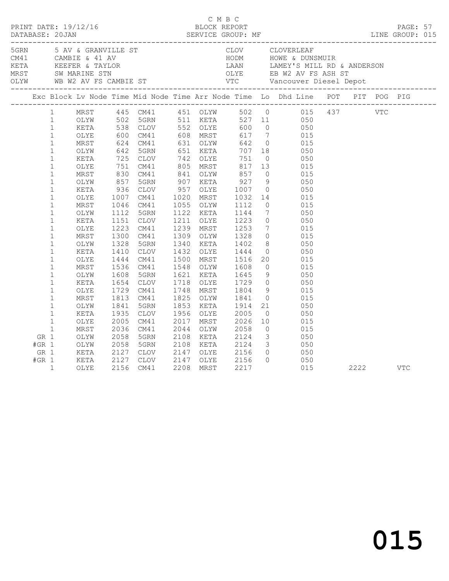| C M B C<br>PRINT DATE: 19/12/16 BLOCK REPORT<br>DATABASE: 20JAN SERVICE GROUP: MF LINE GROUP: 015 |                                                                                                                                                                                                                                                                                                                                                                                                                              |                                                                                                                                                                                                              |                                                                                                                                                                                                                    |                                                                                                                                                                                                                                                                                                                                             |                                                      |                                                                                                                                                                                                                                                                                                                  |                                                                                                                                                                         |                                                                                                                                                                                                                                                                                                                                                                                                                                                                                                                                    |                   |      |            |            |  |
|---------------------------------------------------------------------------------------------------|------------------------------------------------------------------------------------------------------------------------------------------------------------------------------------------------------------------------------------------------------------------------------------------------------------------------------------------------------------------------------------------------------------------------------|--------------------------------------------------------------------------------------------------------------------------------------------------------------------------------------------------------------|--------------------------------------------------------------------------------------------------------------------------------------------------------------------------------------------------------------------|---------------------------------------------------------------------------------------------------------------------------------------------------------------------------------------------------------------------------------------------------------------------------------------------------------------------------------------------|------------------------------------------------------|------------------------------------------------------------------------------------------------------------------------------------------------------------------------------------------------------------------------------------------------------------------------------------------------------------------|-------------------------------------------------------------------------------------------------------------------------------------------------------------------------|------------------------------------------------------------------------------------------------------------------------------------------------------------------------------------------------------------------------------------------------------------------------------------------------------------------------------------------------------------------------------------------------------------------------------------------------------------------------------------------------------------------------------------|-------------------|------|------------|------------|--|
|                                                                                                   |                                                                                                                                                                                                                                                                                                                                                                                                                              |                                                                                                                                                                                                              |                                                                                                                                                                                                                    |                                                                                                                                                                                                                                                                                                                                             |                                                      |                                                                                                                                                                                                                                                                                                                  |                                                                                                                                                                         |                                                                                                                                                                                                                                                                                                                                                                                                                                                                                                                                    |                   |      |            |            |  |
| Exc Block Lv Node Time Mid Node Time Arr Node Time Lo Dhd Line POT PIT POG PIG                    |                                                                                                                                                                                                                                                                                                                                                                                                                              |                                                                                                                                                                                                              |                                                                                                                                                                                                                    |                                                                                                                                                                                                                                                                                                                                             |                                                      |                                                                                                                                                                                                                                                                                                                  |                                                                                                                                                                         |                                                                                                                                                                                                                                                                                                                                                                                                                                                                                                                                    |                   |      |            |            |  |
| GR 1                                                                                              | $\mathbf{1}$<br>$\mathbf{1}$<br>$\mathbf{1}$<br>$\mathbf{1}$<br>$\mathbf{1}$<br>$\mathbf{1}$<br>$\mathbf{1}$<br>$\mathbf{1}$<br>$\mathbf{1}$<br>$\mathbf{1}$<br>$\mathbf{1}$<br>$\mathbf{1}$<br>$\mathbf{1}$<br>$\mathbf{1}$<br>$\mathbf{1}$<br>$\mathbf{1}$<br>$\mathbf{1}$<br>$\mathbf{1}$<br>$\mathbf{1}$<br>$\mathbf{1}$<br>$\mathbf{1}$<br>$\mathbf{1}$<br>$\mathbf{1}$<br>$\mathbf{1}$<br>$\mathbf{1}$<br>$\mathbf{1}$ | OLYE<br>MRST<br>OLYW<br>KETA<br>OLYE<br>MRST<br>OLYW<br>KETA<br>OLYE<br>MRST<br>OLYW<br>KETA<br>OLYE<br>MRST<br>OLYW<br>KETA<br>OLYE<br>MRST<br>OLYW<br>KETA<br>OLYE<br>MRST<br>OLYW<br>KETA<br>OLYE<br>MRST | $600$<br>$624$<br>$642$<br>725<br>751<br>830<br>857<br>936<br>1007<br>1046<br>1112<br>1151<br>1223<br>1300<br>1328<br>1410<br>1444<br>1536<br>1608<br>1654<br>1729<br>1813<br>1841<br>1935<br>2005<br>2036<br>2058 | 1 MRST 445 CM41 451 OLYW 502 0 015 437<br>1 OLYW 502 5GRN 511 KETA 527 11 050<br>1 KETA 538 CLOV 552 OLYE 600 0 050<br>CM41<br>CM41<br>5GRN<br>CLOV<br>CM41<br>CM41<br>5GRN<br>CLOV<br>CM41<br>CM41<br>5GRN<br>CLOV<br>CM41<br>CM41<br>5GRN<br>CLOV<br>CM41<br>CM41<br>5GRN<br>CLOV<br>CM41<br>CM41<br>5GRN<br>CLOV<br>CM41<br>CM41<br>5GRN | 1020<br>1211<br>1718<br>1825<br>2017<br>2044<br>2108 | 608 MRST<br>631 OLYW<br>651 KETA<br>742 OLYE<br>805 MRST<br>841 OLYW<br>907 KETA<br>957 OLYE<br>MRST<br>1055 OLYW<br>1122 KETA<br>OLYE<br>1239 MRST<br>1309 OLYW<br>1340 KETA<br>1432 OLYE<br>1500 MRST<br>1548 OLYW<br>1621 KETA<br>OLYE<br>1748 MRST<br>OLYW<br>1853 KETA<br>1956 OLYE<br>MRST<br>OLYW<br>KETA | 751<br>857<br>$927$<br>1007<br>1032<br>1112<br>1144<br>$1223$<br>$1253$<br>1328<br>1402<br>1444<br>1516<br>1608<br>1645<br>1841<br>1914<br>2005<br>2026<br>2058<br>2124 | 617 7 015<br>642 0 015<br>707 18 050<br>751 0<br>817 13<br>$0\qquad \qquad 015$<br>9 050<br>0 050<br>$\begin{array}{ccc} 14 & \quad & 015 \\ 0 & \quad & 015 \end{array}$<br>7 050<br>$\begin{array}{ccc} 0 & \quad & 050 \\ 7 & \quad & 015 \end{array}$<br>$0$ 015<br>8 050<br>0 050<br>$\begin{array}{ccc} 20 & \quad & 015 \\ 0 & \quad & 015 \end{array}$<br>$9$ 050<br>1729 0 050<br>1804 9 015<br>$0$ 015<br>21<br>$\overline{0}$ 050<br>$\begin{array}{ccc} 10 & \quad & 015 \\ 0 & \quad & 015 \end{array}$<br>$3 \t 050$ | 050<br>015<br>050 |      | <b>VTC</b> |            |  |
| $#GR$ 1<br>GR 1<br>$#GR$ 1                                                                        | $\mathbf{1}$                                                                                                                                                                                                                                                                                                                                                                                                                 | OLYW<br>OLYW<br>KETA<br>KETA<br>OLYE                                                                                                                                                                         | 2058<br>2127<br>2127<br>2156                                                                                                                                                                                       | 5GRN<br>CLOV<br>CLOV<br>CM41                                                                                                                                                                                                                                                                                                                | 2147<br>2208                                         | 2108 KETA<br>2147 OLYE 2156<br>OLYE<br>MRST                                                                                                                                                                                                                                                                      | 2124<br>2156<br>2217                                                                                                                                                    | $\begin{array}{ccc} 3 & \hspace{1.5mm} 050 \\ 0 & \hspace{1.5mm} 0 \end{array}$<br>$0\qquad \qquad 050$                                                                                                                                                                                                                                                                                                                                                                                                                            | 015               | 2222 |            | <b>VTC</b> |  |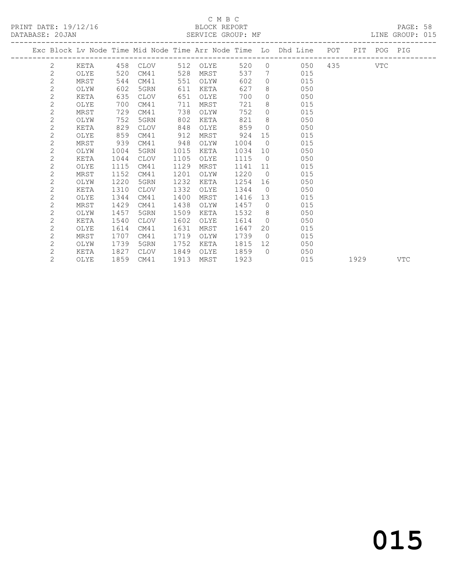PRINT DATE: 19/12/16 BLOCK REPORT BATABASE: 20JAN

#### C M B C<br>BLOCK REPORT

PAGE: 58<br>LINE GROUP: 015

|  |                |      |      |             |      |          |      |                | Exc Block Lv Node Time Mid Node Time Arr Node Time Lo Dhd Line POT PIT POG PIG |             |      |     |
|--|----------------|------|------|-------------|------|----------|------|----------------|--------------------------------------------------------------------------------|-------------|------|-----|
|  | 2              | KETA |      | 458 CLOV    |      | 512 OLYE | 520  |                | $\overline{0}$                                                                 | 050 435 VTC |      |     |
|  | $\mathbf{2}$   | OLYE | 520  | CM41        | 528  | MRST     | 537  |                | 015<br>7                                                                       |             |      |     |
|  | $\overline{2}$ | MRST | 544  | CM41        | 551  | OLYW     | 602  | $\Omega$       | 015                                                                            |             |      |     |
|  | $\mathbf 2$    | OLYW | 602  | 5GRN        | 611  | KETA     | 627  | 8              | 050                                                                            |             |      |     |
|  | $\overline{2}$ | KETA | 635  | <b>CLOV</b> | 651  | OLYE     | 700  | $\Omega$       | 050                                                                            |             |      |     |
|  | $\mathbf 2$    | OLYE | 700  | CM41        | 711  | MRST     | 721  | 8              | 015                                                                            |             |      |     |
|  | $\overline{c}$ | MRST | 729  | CM41        | 738  | OLYW     | 752  | $\circ$        | 015                                                                            |             |      |     |
|  | $\overline{c}$ | OLYW | 752  | 5GRN        | 802  | KETA     | 821  | 8              | 050                                                                            |             |      |     |
|  | $\mathbf{2}$   | KETA | 829  | <b>CLOV</b> | 848  | OLYE     | 859  | $\circ$        | 050                                                                            |             |      |     |
|  | $\overline{c}$ | OLYE | 859  | CM41        | 912  | MRST     | 924  | 15             | 015                                                                            |             |      |     |
|  | $\mathbf{2}$   | MRST | 939  | CM41        | 948  | OLYW     | 1004 | $\overline{0}$ | 015                                                                            |             |      |     |
|  | $\overline{c}$ | OLYW | 1004 | 5GRN        | 1015 | KETA     | 1034 | 10             | 050                                                                            |             |      |     |
|  | $\mathbf 2$    | KETA | 1044 | <b>CLOV</b> | 1105 | OLYE     | 1115 | $\overline{0}$ | 050                                                                            |             |      |     |
|  | $\overline{c}$ | OLYE | 1115 | CM41        | 1129 | MRST     | 1141 | 11             | 015                                                                            |             |      |     |
|  | $\overline{c}$ | MRST | 1152 | CM41        | 1201 | OLYW     | 1220 | $\overline{0}$ | 015                                                                            |             |      |     |
|  | $\mathbf{2}$   | OLYW | 1220 | 5GRN        | 1232 | KETA     | 1254 | 16             | 050                                                                            |             |      |     |
|  | $\overline{c}$ | KETA | 1310 | <b>CLOV</b> | 1332 | OLYE     | 1344 | $\bigcirc$     | 050                                                                            |             |      |     |
|  | $\overline{c}$ | OLYE | 1344 | CM41        | 1400 | MRST     | 1416 | 13             | 015                                                                            |             |      |     |
|  | $\overline{c}$ | MRST | 1429 | CM41        | 1438 | OLYW     | 1457 | $\overline{0}$ | 015                                                                            |             |      |     |
|  | $\overline{c}$ | OLYW | 1457 | 5GRN        | 1509 | KETA     | 1532 | 8 <sup>8</sup> | 050                                                                            |             |      |     |
|  | $\mathbf{2}$   | KETA | 1540 | <b>CLOV</b> | 1602 | OLYE     | 1614 | $\overline{0}$ | 050                                                                            |             |      |     |
|  | $\mathbf{2}$   | OLYE | 1614 | CM41        | 1631 | MRST     | 1647 | 20             | 015                                                                            |             |      |     |
|  | $\mathbf{2}$   | MRST | 1707 | CM41        | 1719 | OLYW     | 1739 | $\overline{0}$ | 015                                                                            |             |      |     |
|  | $\mathbf{2}$   | OLYW | 1739 | 5GRN        | 1752 | KETA     | 1815 | 12             | 050                                                                            |             |      |     |
|  | $\mathbf{2}$   | KETA | 1827 | CLOV        | 1849 | OLYE     | 1859 | $\bigcirc$     | 050                                                                            |             |      |     |
|  | $\overline{2}$ | OLYE | 1859 | CM41        | 1913 | MRST     | 1923 |                | 015                                                                            |             | 1929 | VTC |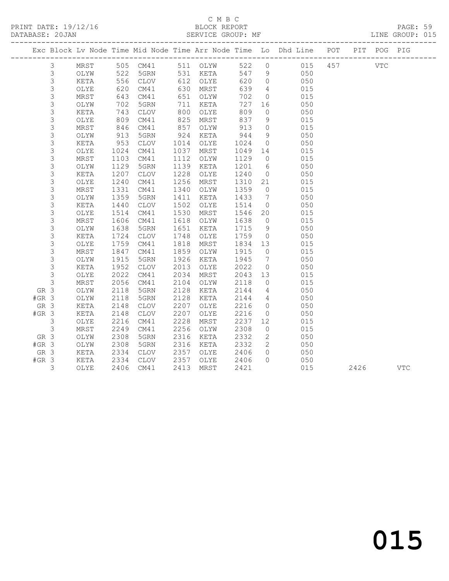### C M B C<br>BLOCK REPORT

PRINT DATE: 19/12/16 BLOCK REPORT BATABASE: 20JAN

PAGE: 59<br>LINE GROUP: 015

|         |                |      |                                                       |                        |      |                                            |         |                 | Exc Block Lv Node Time Mid Node Time Arr Node Time Lo Dhd Line POT PIT POG PIG |      |            |
|---------|----------------|------|-------------------------------------------------------|------------------------|------|--------------------------------------------|---------|-----------------|--------------------------------------------------------------------------------|------|------------|
|         | $\mathfrak{Z}$ |      |                                                       | MRST 505 CM41 511 OLYW |      |                                            |         |                 | 522 0 015 457                                                                  | VTC  |            |
|         | $\mathfrak{Z}$ | OLYW | 522                                                   |                        |      | 5GRN 531 KETA                              | 547 9   |                 | 050                                                                            |      |            |
|         | $\mathsf S$    | KETA | 556                                                   | CLOV                   |      | 612 OLYE                                   | 620     | $\overline{0}$  | 050                                                                            |      |            |
|         | 3              | OLYE | 620                                                   | CM41                   |      | 630 MRST                                   | 639     | $\overline{4}$  | 015                                                                            |      |            |
|         | $\mathsf S$    | MRST | 643                                                   | CM41                   |      | 651 OLYW                                   | 702     | $\overline{0}$  | 015                                                                            |      |            |
|         | $\mathsf S$    | OLYW | 702                                                   | 5GRN                   |      | 711 KETA                                   | 727     | 16              | 050                                                                            |      |            |
|         | $\mathsf S$    | KETA | 743                                                   | CLOV                   |      | 800 OLYE                                   | 809     | $\circ$         | 050                                                                            |      |            |
|         | $\mathsf S$    | OLYE | 809                                                   | CM41                   |      | 825 MRST<br>225 PHALE<br>857 OLYW<br>CHOLY | 837     | 9               | 015                                                                            |      |            |
|         | $\mathsf S$    | MRST | $\begin{array}{c}\n 846 \\  \hline\n 3\n \end{array}$ | CM41                   |      |                                            | 913     | $\overline{0}$  | 015                                                                            |      |            |
|         | $\mathfrak{Z}$ | OLYW | 913                                                   | 5GRN                   | 924  | KETA                                       | 944     | 9               | 050                                                                            |      |            |
|         | 3              | KETA | 953                                                   | CLOV                   | 1014 | OLYE                                       | 1024    | $\overline{0}$  | 050                                                                            |      |            |
|         | $\mathsf S$    | OLYE | 1024                                                  | CM41                   | 1037 | MRST                                       | 1049 14 |                 | 015                                                                            |      |            |
|         | 3              | MRST | 1103                                                  | CM41                   | 1112 | OLYW                                       | 1129    | $\overline{0}$  | 015                                                                            |      |            |
|         | $\mathfrak{Z}$ | OLYW | 1129                                                  | 5GRN                   | 1139 | KETA                                       | 1201    | 6               | 050                                                                            |      |            |
|         | $\mathsf 3$    | KETA | 1207                                                  | CLOV                   | 1228 | OLYE                                       | 1240    | $\overline{0}$  | 050                                                                            |      |            |
|         | $\mathsf S$    | OLYE | 1240                                                  | CM41                   | 1256 | MRST                                       | 1310 21 |                 | 015                                                                            |      |            |
|         | $\mathfrak{Z}$ | MRST | $\frac{1}{1331}$                                      | CM41                   | 1340 | OLYW                                       | 1359    | $\overline{0}$  | 015                                                                            |      |            |
|         | $\mathfrak{Z}$ | OLYW | 1359                                                  | 5GRN                   | 1411 | KETA                                       | 1433    | $7\phantom{0}$  | 050                                                                            |      |            |
|         | $\mathsf S$    | KETA | 1440                                                  | CLOV                   | 1502 | OLYE                                       | 1514    | $\overline{0}$  | 050                                                                            |      |            |
|         | $\mathsf S$    | OLYE | 1514                                                  | CM41                   | 1530 | MRST                                       | 1546    | 20              | 015                                                                            |      |            |
|         | $\mathsf S$    | MRST | 1606                                                  | CM41                   | 1618 | OLYW                                       | 1638    | $\overline{0}$  | 015                                                                            |      |            |
|         | $\mathfrak{Z}$ | OLYW | 1638                                                  | 5GRN                   | 1651 | KETA                                       | 1715    | 9               | 050                                                                            |      |            |
|         | $\mathsf S$    | KETA | 1724                                                  | CLOV                   | 1748 | OLYE                                       | 1759    | $\overline{0}$  | 050                                                                            |      |            |
|         | $\mathsf S$    | OLYE | 1759                                                  | CM41                   | 1818 | MRST                                       | 1834 13 |                 | 015                                                                            |      |            |
|         | $\mathsf S$    | MRST | 1847                                                  | CM41                   | 1859 | OLYW                                       | 1915    | $\overline{0}$  | 015                                                                            |      |            |
|         | 3              | OLYW | 1915                                                  | 5GRN                   | 1926 | KETA                                       | 1945    | $\overline{7}$  | 050                                                                            |      |            |
|         | 3              | KETA | 1952                                                  | <b>CLOV</b>            | 2013 | OLYE                                       | 2022    | $\overline{0}$  | 050                                                                            |      |            |
|         | $\mathfrak{Z}$ | OLYE | 2022                                                  | CM41                   | 2034 | MRST                                       | 2043    | 13              | 015                                                                            |      |            |
|         | $\mathsf 3$    | MRST | 2056                                                  | CM41                   | 2104 | OLYW                                       | 2118    | $\overline{0}$  | 015                                                                            |      |            |
| GR 3    |                | OLYW | 2118                                                  | 5GRN                   | 2128 | KETA                                       | 2144    | $\overline{4}$  | 050                                                                            |      |            |
| $#GR$ 3 |                | OLYW | 2118                                                  | 5GRN                   | 2128 | KETA                                       | 2144    | $4\overline{4}$ | 050                                                                            |      |            |
| GR 3    |                | KETA | 2148                                                  | CLOV                   | 2207 | OLYE                                       | 2216    | $\overline{0}$  | 050                                                                            |      |            |
| $#GR$ 3 |                | KETA | 2148                                                  | CLOV                   | 2207 | OLYE                                       | 2216    | $\overline{0}$  | 050                                                                            |      |            |
|         | $\mathcal{E}$  | OLYE | 2216                                                  | CM41                   | 2228 | MRST                                       | 2237    | 12              | 015                                                                            |      |            |
|         | $\mathsf 3$    | MRST | 2249                                                  | CM41                   | 2256 | OLYW                                       | 2308    | $\overline{0}$  | 015                                                                            |      |            |
| GR 3    |                | OLYW | 2308                                                  | 5GRN                   | 2316 | KETA                                       | 2332    | $\overline{2}$  | 050                                                                            |      |            |
| $#GR$ 3 |                | OLYW | 2308                                                  | 5GRN                   | 2316 | KETA                                       | 2332    | $\overline{2}$  | 050                                                                            |      |            |
| GR 3    |                | KETA | 2334                                                  | CLOV                   | 2357 | OLYE                                       | 2406    | $\overline{0}$  | 050                                                                            |      |            |
| $#GR$ 3 |                | KETA | 2334                                                  | CLOV                   | 2357 | OLYE                                       | 2406    | $\bigcap$       | 050                                                                            |      |            |
|         | 3              | OLYE | 2406                                                  | CM41                   | 2413 | MRST                                       | 2421    |                 | 015                                                                            | 2426 | <b>VTC</b> |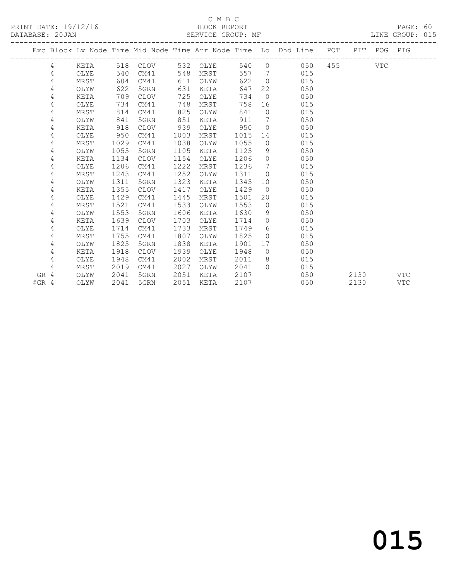#### C M B C<br>BLOCK REPORT

LINE GROUP: 015

|      |   |      |      |             |      |          |      |                 | Exc Block Lv Node Time Mid Node Time Arr Node Time Lo Dhd Line POT PIT POG PIG |       |      |     |            |
|------|---|------|------|-------------|------|----------|------|-----------------|--------------------------------------------------------------------------------|-------|------|-----|------------|
|      | 4 | KETA |      | 518 CLOV    |      | 532 OLYE | 540  |                 | $\Omega$<br>050                                                                | 455 7 |      | VTC |            |
|      | 4 | OLYE | 540  | CM41        | 548  | MRST     | 557  |                 | $7\overline{ }$<br>015                                                         |       |      |     |            |
|      | 4 | MRST | 604  | CM41        | 611  | OLYW     | 622  | $\overline{0}$  | 015                                                                            |       |      |     |            |
|      | 4 | OLYW | 622  | 5GRN        | 631  | KETA     | 647  |                 | 22<br>050                                                                      |       |      |     |            |
|      | 4 | KETA | 709  | CLOV        | 725  | OLYE     | 734  | $\overline{0}$  | 050                                                                            |       |      |     |            |
|      | 4 | OLYE | 734  | CM41        | 748  | MRST     | 758  | 16              | 015                                                                            |       |      |     |            |
|      | 4 | MRST | 814  | CM41        | 825  | OLYW     | 841  | $\circ$         | 015                                                                            |       |      |     |            |
|      | 4 | OLYW | 841  | 5GRN        | 851  | KETA     | 911  | $7\overline{ }$ | 050                                                                            |       |      |     |            |
|      | 4 | KETA | 918  | CLOV        | 939  | OLYE     | 950  |                 | 050<br>$\overline{0}$                                                          |       |      |     |            |
|      | 4 | OLYE | 950  | CM41        | 1003 | MRST     | 1015 | 14              | 015                                                                            |       |      |     |            |
|      | 4 | MRST | 1029 | CM41        | 1038 | OLYW     | 1055 | $\circ$         | 015                                                                            |       |      |     |            |
|      | 4 | OLYW | 1055 | 5GRN        | 1105 | KETA     | 1125 | 9               | 050                                                                            |       |      |     |            |
|      | 4 | KETA | 1134 | CLOV        | 1154 | OLYE     | 1206 |                 | 050<br>$\overline{0}$                                                          |       |      |     |            |
|      | 4 | OLYE | 1206 | CM41        | 1222 | MRST     | 1236 | $7\overline{ }$ | 015                                                                            |       |      |     |            |
|      | 4 | MRST | 1243 | CM41        | 1252 | OLYW     | 1311 | $\Omega$        | 015                                                                            |       |      |     |            |
|      | 4 | OLYW | 1311 | 5GRN        | 1323 | KETA     | 1345 | 10              | 050                                                                            |       |      |     |            |
|      | 4 | KETA | 1355 | CLOV        | 1417 | OLYE     | 1429 | $\overline{0}$  | 050                                                                            |       |      |     |            |
|      | 4 | OLYE | 1429 | CM41        | 1445 | MRST     | 1501 |                 | 015<br>20                                                                      |       |      |     |            |
|      | 4 | MRST | 1521 | CM41        | 1533 | OLYW     | 1553 | $\overline{0}$  | 015                                                                            |       |      |     |            |
|      | 4 | OLYW | 1553 | 5GRN        | 1606 | KETA     | 1630 | 9               | 050                                                                            |       |      |     |            |
|      | 4 | KETA | 1639 | CLOV        | 1703 | OLYE     | 1714 | $\circ$         | 050                                                                            |       |      |     |            |
|      | 4 | OLYE | 1714 | CM41        | 1733 | MRST     | 1749 | 6               | 015                                                                            |       |      |     |            |
|      | 4 | MRST | 1755 | CM41        | 1807 | OLYW     | 1825 | $\circ$         | 015                                                                            |       |      |     |            |
|      | 4 | OLYW | 1825 | 5GRN        | 1838 | KETA     | 1901 | 17              | 050                                                                            |       |      |     |            |
|      | 4 | KETA | 1918 | <b>CLOV</b> | 1939 | OLYE     | 1948 | $\circ$         | 050                                                                            |       |      |     |            |
|      | 4 | OLYE | 1948 | CM41        | 2002 | MRST     | 2011 |                 | 8<br>015                                                                       |       |      |     |            |
|      | 4 | MRST | 2019 | CM41        | 2027 | OLYW     | 2041 | $\cap$          | 015                                                                            |       |      |     |            |
| GR 4 |   | OLYW | 2041 | 5GRN        | 2051 | KETA     | 2107 |                 | 050                                                                            |       | 2130 |     | <b>VTC</b> |

#GR 4 OLYW 2041 5GRN 2051 KETA 2107 050 2130 VTC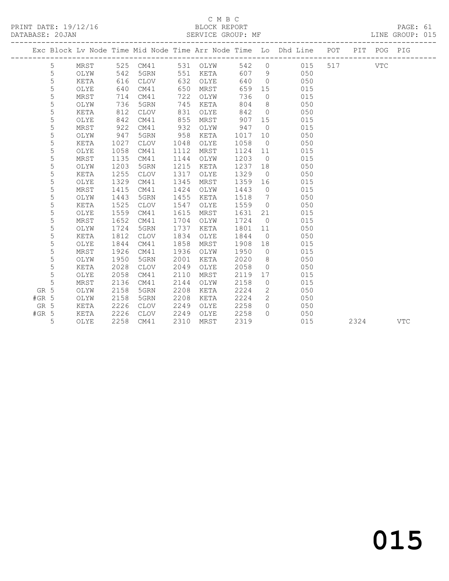### C M B C

| DIACU DEDADE |  |
|--------------|--|

PAGE: 61<br>LINE GROUP: 015

|         |   |      |      |               |      |          |      |                | Exc Block Lv Node Time Mid Node Time Arr Node Time Lo Dhd Line POT PIT POG PIG |     |      |            |            |
|---------|---|------|------|---------------|------|----------|------|----------------|--------------------------------------------------------------------------------|-----|------|------------|------------|
|         | 5 |      |      | MRST 525 CM41 |      | 531 OLYW |      |                | 542 0 015                                                                      | 517 |      | <b>VTC</b> |            |
|         | 5 | OLYW | 542  | 5GRN          |      | 551 KETA | 607  | 9              | 050                                                                            |     |      |            |            |
|         | 5 | KETA | 616  | <b>CLOV</b>   | 632  | OLYE     | 640  | $\overline{0}$ | 050                                                                            |     |      |            |            |
|         | 5 | OLYE | 640  | CM41          | 650  | MRST     | 659  | 15             | 015                                                                            |     |      |            |            |
|         | 5 | MRST | 714  | CM41          | 722  | OLYW     | 736  | $\overline{0}$ | 015                                                                            |     |      |            |            |
|         | 5 | OLYW | 736  | 5GRN          | 745  | KETA     | 804  | 8              | 050                                                                            |     |      |            |            |
|         | 5 | KETA | 812  | <b>CLOV</b>   | 831  | OLYE     | 842  | $\overline{0}$ | 050                                                                            |     |      |            |            |
|         | 5 | OLYE | 842  | CM41          | 855  | MRST     | 907  | 15             | 015                                                                            |     |      |            |            |
|         | 5 | MRST | 922  | CM41          | 932  | OLYW     | 947  | $\overline{0}$ | 015                                                                            |     |      |            |            |
|         | 5 | OLYW | 947  | 5GRN          | 958  | KETA     | 1017 | 10             | 050                                                                            |     |      |            |            |
|         | 5 | KETA | 1027 | <b>CLOV</b>   | 1048 | OLYE     | 1058 | $\overline{0}$ | 050                                                                            |     |      |            |            |
|         | 5 | OLYE | 1058 | CM41          | 1112 | MRST     | 1124 | 11             | 015                                                                            |     |      |            |            |
|         | 5 | MRST | 1135 | CM41          | 1144 | OLYW     | 1203 | $\overline{0}$ | 015                                                                            |     |      |            |            |
|         | 5 | OLYW | 1203 | 5GRN          | 1215 | KETA     | 1237 | 18             | 050                                                                            |     |      |            |            |
|         | 5 | KETA | 1255 | <b>CLOV</b>   | 1317 | OLYE     | 1329 | $\overline{0}$ | 050                                                                            |     |      |            |            |
|         | 5 | OLYE | 1329 | CM41          | 1345 | MRST     | 1359 | 16             | 015                                                                            |     |      |            |            |
|         | 5 | MRST | 1415 | CM41          | 1424 | OLYW     | 1443 | $\overline{0}$ | 015                                                                            |     |      |            |            |
|         | 5 | OLYW | 1443 | 5GRN          | 1455 | KETA     | 1518 | $\overline{7}$ | 050                                                                            |     |      |            |            |
|         | 5 | KETA | 1525 | CLOV          | 1547 | OLYE     | 1559 | $\overline{0}$ | 050                                                                            |     |      |            |            |
|         | 5 | OLYE | 1559 | CM41          | 1615 | MRST     | 1631 | 21             | 015                                                                            |     |      |            |            |
|         | 5 | MRST | 1652 | CM41          | 1704 | OLYW     | 1724 | $\overline{0}$ | 015                                                                            |     |      |            |            |
|         | 5 | OLYW | 1724 | 5GRN          | 1737 | KETA     | 1801 | 11             | 050                                                                            |     |      |            |            |
|         | 5 | KETA | 1812 | <b>CLOV</b>   | 1834 | OLYE     | 1844 | $\overline{0}$ | 050                                                                            |     |      |            |            |
|         | 5 | OLYE | 1844 | CM41          | 1858 | MRST     | 1908 | 18             | 015                                                                            |     |      |            |            |
|         | 5 | MRST | 1926 | CM41          | 1936 | OLYW     | 1950 | $\overline{0}$ | 015                                                                            |     |      |            |            |
|         | 5 | OLYW | 1950 | 5GRN          | 2001 | KETA     | 2020 | 8 <sup>8</sup> | 050                                                                            |     |      |            |            |
|         | 5 | KETA | 2028 | <b>CLOV</b>   | 2049 | OLYE     | 2058 | $\overline{0}$ | 050                                                                            |     |      |            |            |
|         | 5 | OLYE | 2058 | CM41          | 2110 | MRST     | 2119 | 17             | 015                                                                            |     |      |            |            |
|         | 5 | MRST | 2136 | CM41          | 2144 | OLYW     | 2158 | $\overline{0}$ | 015                                                                            |     |      |            |            |
| GR 5    |   | OLYW | 2158 | 5GRN          | 2208 | KETA     | 2224 | 2              | 050                                                                            |     |      |            |            |
| $#GR$ 5 |   | OLYW | 2158 | 5GRN          | 2208 | KETA     | 2224 | 2              | 050                                                                            |     |      |            |            |
| GR 5    |   | KETA | 2226 | <b>CLOV</b>   | 2249 | OLYE     | 2258 | $\Omega$       | 050                                                                            |     |      |            |            |
| $#GR$ 5 |   | KETA | 2226 | <b>CLOV</b>   | 2249 | OLYE     | 2258 | $\Omega$       | 050                                                                            |     |      |            |            |
|         | 5 | OLYE | 2258 | CM41          | 2310 | MRST     | 2319 |                | 015                                                                            |     | 2324 |            | <b>VTC</b> |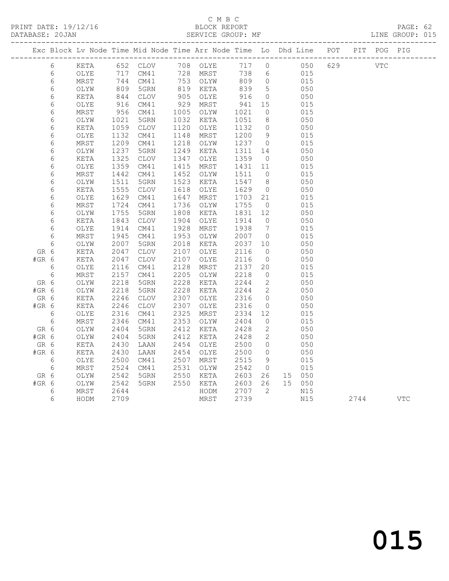PRINT DATE: 19/12/16 BLOCK REPORT BATABASE: 20JAN

#### C M B C<br>BLOCK REPORT

PAGE: 62<br>LINE GROUP: 015

|         |            |             |                 |                 |      | Exc Block Lv Node Time Mid Node Time Arr Node Time Lo Dhd Line POT PIT POG PIG |      |                            |        |     |            |            |
|---------|------------|-------------|-----------------|-----------------|------|--------------------------------------------------------------------------------|------|----------------------------|--------|-----|------------|------------|
|         | 6          | KETA        |                 | 652 CLOV        |      | 708 OLYE                                                                       | 717  | $\circ$                    | 050    | 629 | <b>VTC</b> |            |
|         | $\epsilon$ | OLYE        | 717             | CM41            | 728  | MRST                                                                           | 738  | $6\overline{6}$            | 015    |     |            |            |
|         | 6          | MRST        | 744             | CM41            |      | 753 OLYW                                                                       | 809  | $\overline{0}$             | 015    |     |            |            |
|         | $\epsilon$ | OLYW        |                 | 5GRN            | 819  | KETA                                                                           | 839  | $5^{\circ}$                | 050    |     |            |            |
|         | $\sqrt{6}$ | KETA        | $\frac{6}{844}$ | <b>CLOV</b>     | 905  | OLYE                                                                           | 916  | $\overline{0}$             | 050    |     |            |            |
|         | $\epsilon$ | OLYE        | 916             | CM41            | 929  | MRST                                                                           | 941  | 15                         | 015    |     |            |            |
|         | $\sqrt{6}$ | MRST        | 956             | CM41            | 1005 | OLYW                                                                           | 1021 | $\circ$                    | 015    |     |            |            |
|         | $\epsilon$ | OLYW        | 1021            | 5GRN            | 1032 | KETA                                                                           | 1051 | 8                          | 050    |     |            |            |
|         | $\epsilon$ | KETA        | 1059            | CLOV            | 1120 | OLYE                                                                           | 1132 | $\overline{0}$             | 050    |     |            |            |
|         | 6          | OLYE        | 1132            | CM41            | 1148 | MRST                                                                           | 1200 | - 9                        | 015    |     |            |            |
|         | $\epsilon$ | MRST        | 1209            | CM41            | 1218 | OLYW                                                                           | 1237 | $\overline{0}$             | 015    |     |            |            |
|         | $\epsilon$ | OLYW        | 1237            | 5GRN            | 1249 | KETA                                                                           | 1311 | 14                         | 050    |     |            |            |
|         | $\epsilon$ | <b>KETA</b> | 1325            | CLOV            | 1347 | OLYE                                                                           | 1359 | $\overline{0}$             | 050    |     |            |            |
|         | $\epsilon$ | OLYE        | 1359            | CM41            | 1415 | MRST                                                                           | 1431 | 11                         | 015    |     |            |            |
|         | $\epsilon$ | MRST        | 1442            | CM41            | 1452 | OLYW                                                                           | 1511 | $\overline{0}$             | 015    |     |            |            |
|         | $\epsilon$ | OLYW        | 1511            | 5GRN            | 1523 | KETA                                                                           | 1547 | 8                          | 050    |     |            |            |
|         | $\epsilon$ | KETA        | 1555            | $\mathtt{CLOV}$ | 1618 | OLYE                                                                           | 1629 | $\overline{0}$             | 050    |     |            |            |
|         | 6          | OLYE        | 1629            | CM41            | 1647 | MRST                                                                           | 1703 | 21                         | 015    |     |            |            |
|         | $\epsilon$ | MRST        | 1724            | CM41            | 1736 | OLYW                                                                           | 1755 | $\overline{0}$             | 015    |     |            |            |
|         | 6          | OLYW        | 1755            | 5GRN            | 1808 | KETA                                                                           | 1831 | 12                         | 050    |     |            |            |
|         | 6          | KETA        | 1843            | CLOV            | 1904 | OLYE                                                                           | 1914 | $\overline{0}$             | 050    |     |            |            |
|         | $\epsilon$ | OLYE        | 1914            | CM41            | 1928 | MRST                                                                           | 1938 | $\overline{7}$             | 015    |     |            |            |
|         | 6          | MRST        | 1945            | CM41            | 1953 | OLYW                                                                           | 2007 | $\overline{0}$             | 015    |     |            |            |
|         | 6          | OLYW        | 2007            | 5GRN            | 2018 | KETA                                                                           | 2037 | 10                         | 050    |     |            |            |
| GR 6    |            | KETA        | 2047            | CLOV            | 2107 | OLYE                                                                           | 2116 | $\overline{0}$             | 050    |     |            |            |
| #GR 6   |            | KETA        | 2047            | $\mathtt{CLOV}$ | 2107 | OLYE                                                                           | 2116 | $\overline{0}$             | 050    |     |            |            |
|         | 6          | OLYE        | 2116            | CM41            | 2128 | MRST                                                                           | 2137 | 20                         | 015    |     |            |            |
|         | 6          | MRST        | 2157            | CM41            | 2205 | OLYW                                                                           | 2218 | $\overline{0}$             | 015    |     |            |            |
| GR 6    |            | OLYW        | 2218            | 5GRN            | 2228 | KETA                                                                           | 2244 | 2                          | 050    |     |            |            |
| #GR 6   |            | OLYW        | 2218            | 5GRN            | 2228 | KETA                                                                           | 2244 | $\overline{\phantom{0}}^2$ | 050    |     |            |            |
| GR 6    |            | KETA        | 2246            | $\mathtt{CLOV}$ | 2307 | OLYE                                                                           | 2316 | $\overline{0}$             | 050    |     |            |            |
| $#GR$ 6 |            | KETA        | 2246            | CLOV            | 2307 | OLYE                                                                           | 2316 | $\circ$                    | 050    |     |            |            |
|         | 6          | OLYE        | 2316            | CM41            | 2325 | MRST                                                                           | 2334 | 12                         | 015    |     |            |            |
|         | $\epsilon$ | MRST        | 2346            | CM41            | 2353 | OLYW                                                                           | 2404 | $\circ$                    | 015    |     |            |            |
| GR 6    |            | OLYW        | 2404            | 5GRN            | 2412 | KETA                                                                           | 2428 | 2                          | 050    |     |            |            |
| #GR 6   |            | OLYW        | 2404            | 5GRN            | 2412 | KETA                                                                           | 2428 | 2                          | 050    |     |            |            |
| GR 6    |            | KETA        | 2430            | LAAN            | 2454 | OLYE                                                                           | 2500 | $\circ$                    | 050    |     |            |            |
| $#GR$ 6 |            | KETA        | 2430            | LAAN            | 2454 | OLYE                                                                           | 2500 | $\overline{0}$             | 050    |     |            |            |
|         | 6          | OLYE        | 2500            | CM41            | 2507 | MRST                                                                           | 2515 | - 9                        | 015    |     |            |            |
|         | 6          | MRST        | 2524            | CM41            | 2531 | OLYW                                                                           | 2542 | $\overline{0}$             | 015    |     |            |            |
| GR 6    |            | OLYW        | 2542            | 5GRN            | 2550 | KETA                                                                           | 2603 | 26                         | 15 050 |     |            |            |
| #GR 6   |            | OLYW        | 2542            | 5GRN            | 2550 | KETA                                                                           | 2603 | 26                         | 15 050 |     |            |            |
|         | 6          | MRST        | 2644            |                 |      | HODM                                                                           | 2707 | 2                          | N15    |     |            |            |
|         | 6          | HODM        | 2709            |                 |      | MRST                                                                           | 2739 |                            | N15    |     | 2744       | <b>VTC</b> |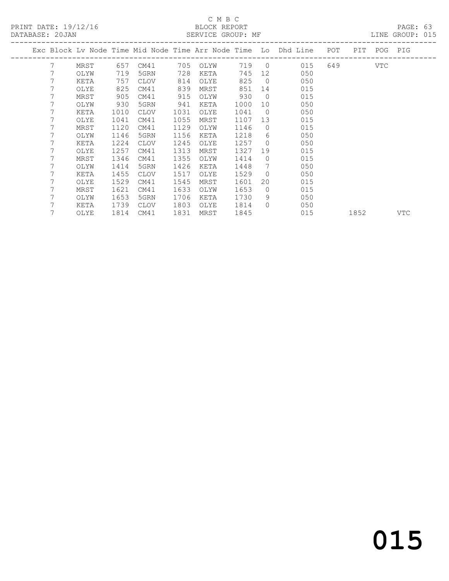PRINT DATE: 19/12/16 BLOCK REPORT<br>
DATABASE: 20.JAN

### C M B C<br>BLOCK REPORT

PAGE: 63<br>LINE GROUP: 015

| DAIADAUE. ZUUAN |   |      |      |             |      | ULIVATOL GIVOU . FIE |       |                |                                                                |     |      |         | OTTAL GIVOL . |
|-----------------|---|------|------|-------------|------|----------------------|-------|----------------|----------------------------------------------------------------|-----|------|---------|---------------|
|                 |   |      |      |             |      |                      |       |                | Exc Block Lv Node Time Mid Node Time Arr Node Time Lo Dhd Line | POT | PIT  | POG PIG |               |
|                 | 7 | MRST | 657  | CM41        | 705  | OLYW                 | 719 0 |                | 015                                                            | 649 |      | VTC     |               |
|                 | 7 | OLYW | 719  | 5GRN        | 728  | KETA                 | 745   | 12             | 050                                                            |     |      |         |               |
|                 | 7 | KETA | 757  | <b>CLOV</b> | 814  | OLYE                 | 825   | $\overline{0}$ | 050                                                            |     |      |         |               |
|                 | 7 | OLYE | 825  | CM41        | 839  | MRST                 | 851   | 14             | 015                                                            |     |      |         |               |
|                 |   | MRST | 905  | CM41        | 915  | OLYW                 | 930   | $\overline{0}$ | 015                                                            |     |      |         |               |
|                 |   | OLYW | 930  | 5GRN        | 941  | KETA                 | 1000  | 10             | 050                                                            |     |      |         |               |
|                 |   | KETA | 1010 | <b>CLOV</b> | 1031 | OLYE                 | 1041  | $\overline{0}$ | 050                                                            |     |      |         |               |
|                 |   | OLYE | 1041 | CM41        | 1055 | MRST                 | 1107  | 13             | 015                                                            |     |      |         |               |
|                 |   | MRST | 1120 | CM41        | 1129 | OLYW                 | 1146  | $\Omega$       | 015                                                            |     |      |         |               |
|                 |   | OLYW | 1146 | 5GRN        | 1156 | KETA                 | 1218  | 6              | 050                                                            |     |      |         |               |
|                 |   | KETA | 1224 | <b>CLOV</b> | 1245 | OLYE                 | 1257  | $\Omega$       | 050                                                            |     |      |         |               |
|                 |   | OLYE | 1257 | CM41        | 1313 | MRST                 | 1327  | 19             | 015                                                            |     |      |         |               |
|                 |   | MRST | 1346 | CM41        | 1355 | OLYW                 | 1414  | $\circ$        | 015                                                            |     |      |         |               |
|                 |   | OLYW | 1414 | 5GRN        | 1426 | KETA                 | 1448  | 7              | 050                                                            |     |      |         |               |
|                 |   | KETA | 1455 | <b>CLOV</b> | 1517 | OLYE                 | 1529  | $\Omega$       | 050                                                            |     |      |         |               |
|                 |   | OLYE | 1529 | CM41        | 1545 | MRST                 | 1601  | 20             | 015                                                            |     |      |         |               |
|                 |   | MRST | 1621 | CM41        | 1633 | OLYW                 | 1653  | $\circ$        | 015                                                            |     |      |         |               |
|                 |   | OLYW | 1653 | 5GRN        | 1706 | KETA                 | 1730  | 9              | 050                                                            |     |      |         |               |
|                 |   | KETA | 1739 | CLOV        | 1803 | OLYE                 | 1814  | $\Omega$       | 050                                                            |     |      |         |               |
|                 | 7 | OLYE | 1814 | CM41        | 1831 | MRST                 | 1845  |                | 015                                                            |     | 1852 |         | VTC           |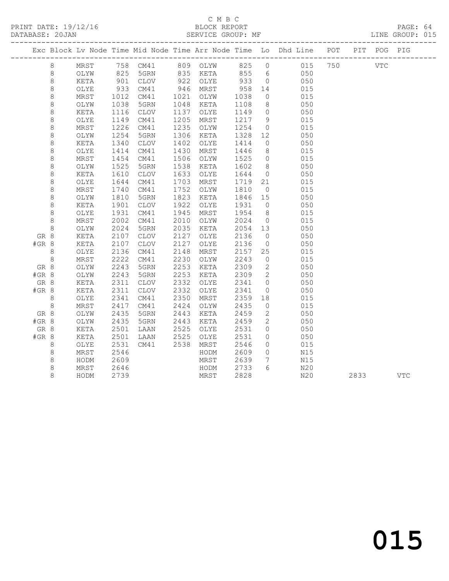### C M B C<br>BLOCK REPORT

LINE GROUP: 015

|         |         |               |                     |                 |      |          |      |                  | Exc Block Lv Node Time Mid Node Time Arr Node Time Lo Dhd Line POT |  | PIT POG PIG  |  |
|---------|---------|---------------|---------------------|-----------------|------|----------|------|------------------|--------------------------------------------------------------------|--|--------------|--|
|         | 8       | MRST          |                     |                 |      |          |      |                  | 758 CM41 809 OLYW 825 0 015 750                                    |  | $_{\rm VTC}$ |  |
|         | 8       | OLYW          | 825                 | 5GRN            |      | 835 KETA | 855  | $6\overline{6}$  | 050                                                                |  |              |  |
|         | $\,8\,$ | KETA          | 901                 | CLOV            |      | 922 OLYE | 933  | $\overline{0}$   | 050                                                                |  |              |  |
|         | 8       | OLYE          | 933                 | CM41            | 946  | MRST     | 958  | 14               | 015                                                                |  |              |  |
|         | $\,8\,$ | MRST          | $\frac{1012}{1038}$ | CM41            | 1021 | OLYW     | 1038 | $\overline{0}$   | 015                                                                |  |              |  |
|         | $\,8\,$ | OLYW          | 1038                | 5GRN            | 1048 | KETA     | 1108 | 8 <sup>8</sup>   | 050                                                                |  |              |  |
|         | 8       | KETA          | 1116                | CLOV            | 1137 | OLYE     | 1149 | $\overline{0}$   | 050                                                                |  |              |  |
|         | $\,8\,$ | OLYE          | 1149                | CM41            | 1205 | MRST     | 1217 | 9                | 015                                                                |  |              |  |
|         | $\,8\,$ | MRST          | 1226                | CM41            | 1235 | OLYW     | 1254 | $\overline{0}$   | 015                                                                |  |              |  |
|         | $\,8\,$ | OLYW          | $\frac{1}{1}$ 254   | 5GRN            | 1306 | KETA     | 1328 | 12               | 050                                                                |  |              |  |
|         | 8       | KETA          | 1340                | <b>CLOV</b>     | 1402 | OLYE     | 1414 | $\overline{0}$   | 050                                                                |  |              |  |
|         | $\,8\,$ | OLYE          | 1414                | CM41            | 1430 | MRST     | 1446 | 8 <sup>8</sup>   | 015                                                                |  |              |  |
|         | $\,8\,$ | MRST          | 1454                | CM41            | 1506 | OLYW     | 1525 | $\overline{0}$   | 015                                                                |  |              |  |
|         | $\,8\,$ | OLYW          | 1525                | 5GRN            | 1538 | KETA     | 1602 | 8 <sup>8</sup>   | 050                                                                |  |              |  |
|         | 8       | KETA          | 1610                | CLOV            | 1633 | OLYE     | 1644 | $\overline{0}$   | 050                                                                |  |              |  |
|         | 8       | OLYE          | 1644                | CM41            | 1703 | MRST     | 1719 | 21               | 015                                                                |  |              |  |
|         | $\,8\,$ | MRST          | 1740                | CM41            | 1752 | OLYW     | 1810 | $\overline{0}$   | 015                                                                |  |              |  |
|         | 8       | OLYW          | 1810                | 5GRN            | 1823 | KETA     | 1846 | 15               | 050                                                                |  |              |  |
|         | 8       | KETA          | 1901                | <b>CLOV</b>     | 1922 | OLYE     | 1931 | $\overline{0}$   | 050                                                                |  |              |  |
|         | $\,8\,$ | OLYE          | 1931                | CM41            | 1945 | MRST     | 1954 | 8 <sup>8</sup>   | 015                                                                |  |              |  |
|         | $\,8\,$ | MRST          | 2002                | CM41            | 2010 | OLYW     | 2024 | $\overline{0}$   | 015                                                                |  |              |  |
|         | 8       | OLYW          | 2024                | 5GRN            | 2035 | KETA     | 2054 | 13               | 050                                                                |  |              |  |
| GR 8    |         | KETA          | 2107                | CLOV            | 2127 | OLYE     | 2136 | $\overline{0}$   | 050                                                                |  |              |  |
| #GR 8   |         | KETA          | 2107                | CLOV            | 2127 | OLYE     | 2136 | $\overline{0}$   | 050                                                                |  |              |  |
|         | 8       | OLYE          | 2136                | CM41            | 2148 | MRST     | 2157 | 25               | 015                                                                |  |              |  |
|         | 8       | MRST          | 2222                | CM41            | 2230 | OLYW     | 2243 | $\overline{0}$   | 015                                                                |  |              |  |
| GR 8    |         | OLYW          | 2243                | 5GRN            | 2253 | KETA     | 2309 | $\overline{2}$   | 050                                                                |  |              |  |
| #GR 8   |         | OLYW          | 2243                | 5GRN            | 2253 | KETA     | 2309 | 2                | 050                                                                |  |              |  |
| GR 8    |         | $\verb KETA $ | 2311                | $\mathtt{CLOV}$ | 2332 | OLYE     | 2341 | $\overline{0}$   | 050                                                                |  |              |  |
| $#GR$ 8 |         | KETA          | 2311                | CLOV            | 2332 | OLYE     | 2341 | $\circ$          | 050                                                                |  |              |  |
|         | 8       | OLYE          | 2341                | CM41            | 2350 | MRST     | 2359 | 18               | 015                                                                |  |              |  |
|         | $\,8\,$ | MRST          | 2417                | CM41            | 2424 | OLYW     | 2435 | $\overline{0}$   | 015                                                                |  |              |  |
| GR 8    |         | OLYW          | 2435                | 5GRN            | 2443 | KETA     | 2459 | 2                | 050                                                                |  |              |  |
| #GR 8   |         | OLYW          | 2435                | 5GRN            | 2443 | KETA     | 2459 | 2                | 050                                                                |  |              |  |
| GR 8    |         | KETA          | 2501                | LAAN            | 2525 | OLYE     | 2531 | $\circ$          | 050                                                                |  |              |  |
| $#GR$ 8 |         | KETA          | 2501                | LAAN            | 2525 | OLYE     | 2531 | $\circ$          | 050                                                                |  |              |  |
|         | 8       | OLYE          | 2531                | CM41            | 2538 | MRST     | 2546 | $\circ$          | 015                                                                |  |              |  |
|         | $\,8\,$ | MRST          | 2546                |                 |      | HODM     | 2609 | $\circ$          | N15                                                                |  |              |  |
|         | $\,8\,$ | HODM          | 2609                |                 |      | MRST     | 2639 | $7\overline{ }$  | N15                                                                |  |              |  |
|         | 8       | MRST          | 2646                |                 |      | HODM     | 2733 | $6 \overline{6}$ | N20                                                                |  |              |  |

8 HODM 2739 MRST 2828 N20 2833 VTC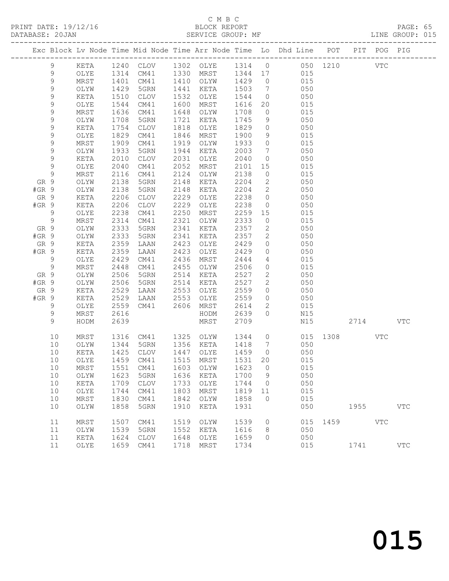#### C M B C

|         | DATABASE: 20JAN |            |                      | SERVICE GROUP: MF      |      |                                                        |        |                 | LINE GROUP: 015                                                                |              |      |          |            |  |
|---------|-----------------|------------|----------------------|------------------------|------|--------------------------------------------------------|--------|-----------------|--------------------------------------------------------------------------------|--------------|------|----------|------------|--|
|         |                 |            |                      |                        |      |                                                        |        |                 | Exc Block Lv Node Time Mid Node Time Arr Node Time Lo Dhd Line POT PIT POG PIG |              |      |          |            |  |
|         | 9               | KETA       |                      |                        |      |                                                        |        |                 | 1240 CLOV 1302 OLYE 1314 0 050 1210 VTC                                        |              |      |          |            |  |
|         | 9               | OLYE       |                      |                        |      |                                                        |        |                 | 1314 CM41 1330 MRST 1344 17 015                                                |              |      |          |            |  |
|         | $\mathsf 9$     | MRST       | 1401<br>1429<br>1510 | CM41                   |      | 1410 OLYW 1429 0                                       |        |                 | 015                                                                            |              |      |          |            |  |
|         | 9               | OLYW       |                      | 5GRN                   |      | 1441 KETA                                              | 1503 7 |                 | 050                                                                            |              |      |          |            |  |
|         | 9               | KETA       |                      | CLOV                   |      | 1532 OLYE                                              | 1544   |                 | $\overline{O}$<br>050                                                          |              |      |          |            |  |
|         | 9               | OLYE       | 1544                 | CM41                   |      | 1600 MRST                                              | 1616   |                 | 20 015                                                                         |              |      |          |            |  |
|         | 9               | MRST       | 1636                 | CM41                   |      | 1648 OLYW                                              | 1708   | $\overline{0}$  | 015                                                                            |              |      |          |            |  |
|         | 9               | OLYW       | 1708                 | 5GRN                   |      | 1721 KETA                                              | 1745   | 9               | 050                                                                            |              |      |          |            |  |
|         | $\mathsf 9$     | KETA       | $\frac{1}{1754}$     | CLOV                   |      | 1818 OLYE                                              | 1829   | $\overline{0}$  | 050                                                                            |              |      |          |            |  |
|         | 9               | OLYE       | 1829                 | CM41                   |      | 1846 MRST                                              | 1900   | 9               | 015                                                                            |              |      |          |            |  |
|         | 9               | MRST       | 1909                 | CM41                   | 1919 | OLYW                                                   | 1933   | $\overline{0}$  | 015                                                                            |              |      |          |            |  |
|         | 9               | OLYW       | 1933                 | 5GRN                   |      | 1944 KETA                                              | 2003   | $7\overline{ }$ | 050                                                                            |              |      |          |            |  |
|         | $\mathsf 9$     | KETA       | 2010                 | CLOV                   |      | 2031 OLYE                                              | 2040   | $\overline{0}$  | 050                                                                            |              |      |          |            |  |
|         | 9               | OLYE       | 2040                 | CM41                   | 2052 | MRST                                                   | 2101   |                 | 15 (1)<br>015                                                                  |              |      |          |            |  |
|         | 9               | MRST       | 2116                 | CM41                   |      | 2124 OLYW                                              | 2138   | $\overline{0}$  | 015                                                                            |              |      |          |            |  |
| GR 9    |                 | OLYW       | 2138                 | 5GRN                   | 2148 | KETA                                                   | 2204   | $\overline{2}$  | 050                                                                            |              |      |          |            |  |
| $#GR$ 9 |                 | OLYW       | 2138                 | 5GRN                   | 2148 | KETA                                                   | 2204   | $\overline{2}$  | 050                                                                            |              |      |          |            |  |
| GR 9    |                 | KETA       | 2206                 | CLOV                   | 2229 | OLYE                                                   | 2238   | $\overline{0}$  | 050                                                                            |              |      |          |            |  |
| $#GR$ 9 |                 | KETA       | 2206                 | CLOV                   | 2229 | OLYE                                                   | 2238   | $\overline{0}$  | 050                                                                            |              |      |          |            |  |
|         | 9               | OLYE       | 2238                 | CM41                   | 2250 | MRST                                                   | 2259   | 15              | 015                                                                            |              |      |          |            |  |
|         | 9               | MRST       | 2314                 | CM41                   |      | 2321 OLYW                                              | 2333   | $\overline{0}$  | 015                                                                            |              |      |          |            |  |
| GR 9    |                 | OLYW       | 2333                 | 5GRN                   | 2341 | KETA                                                   | 2357   |                 | 2 050                                                                          |              |      |          |            |  |
| $#GR$ 9 |                 | OLYW       | 2333                 | 5GRN                   | 2341 | KETA                                                   | 2357   |                 | 2 050                                                                          |              |      |          |            |  |
| GR 9    |                 | KETA       | 2359                 | LAAN                   | 2423 | OLYE                                                   | 2429   | $\overline{0}$  | 050                                                                            |              |      |          |            |  |
| #GR 9   |                 | KETA       | 2359                 | LAAN                   | 2423 | OLYE                                                   | 2429   | $\overline{0}$  | 050                                                                            |              |      |          |            |  |
|         | 9               | OLYE       | 2429                 | CM41                   |      | 2436 MRST                                              | 2444   | $\overline{4}$  | 015                                                                            |              |      |          |            |  |
|         | 9               | MRST       | 2448                 | CM41                   |      | 2455 OLYW                                              | 2506   |                 | $\overline{0}$<br>015                                                          |              |      |          |            |  |
| GR 9    |                 | OLYW       | 2506                 | 5GRN                   |      | 2514 KETA                                              | 2527   | 2               | 050                                                                            |              |      |          |            |  |
| #GR 9   |                 | OLYW       | 2506                 | 5GRN                   |      | 2514 KETA                                              | 2527   | $\overline{2}$  | 050                                                                            |              |      |          |            |  |
| GR 9    |                 | KETA       | 2529                 | LAAN                   |      | 2553 OLYE                                              | 2559   | $\overline{0}$  | 050                                                                            |              |      |          |            |  |
| $#GR$ 9 |                 | KETA       | 2529                 | LAAN 2553              |      | OLYE                                                   | 2559   |                 | $0 \qquad 050$                                                                 |              |      |          |            |  |
|         | 9               | OLYE       | 2559                 | CM41 2606              |      | MRST                                                   | 2614   |                 | $2 \overline{2}$<br>015                                                        |              |      |          |            |  |
|         | 9               | MRST       | 2616                 |                        |      | HODM                                                   | 2639   | $\overline{0}$  | N15                                                                            |              |      |          |            |  |
|         | 9               | HODM       | 2639                 |                        |      | MRST                                                   | 2709   |                 | N15                                                                            |              |      | 2714 VTC |            |  |
|         | 10              | MRST       |                      | 1316 CM41 1325 OLYW    |      |                                                        |        |                 | 1344 0 015 1308                                                                |              |      | VTC      |            |  |
|         | 10              | OLYW       |                      | 1344 5GRN<br>1425 CLOV |      | 1356 KETA     1418    7<br>1447   OLYE      1459     0 |        |                 | 050                                                                            |              |      |          |            |  |
|         | 10              | KETA       |                      |                        |      |                                                        |        |                 | 050                                                                            |              |      |          |            |  |
|         |                 |            |                      |                        |      |                                                        |        |                 | 10 OLYE 1459 CM41 1515 MRST 1531 20 015                                        |              |      |          |            |  |
|         | 10              | MRST       | 1551                 | CM41                   | 1603 | OLYW                                                   | 1623   | $\overline{0}$  | 015                                                                            |              |      |          |            |  |
|         | 10              | OLYW       | 1623                 | 5GRN                   | 1636 | KETA                                                   | 1700   | 9               | 050                                                                            |              |      |          |            |  |
|         | 10              | KETA       | 1709                 | CLOV                   | 1733 | OLYE                                                   | 1744   | $\overline{0}$  | 050                                                                            |              |      |          |            |  |
|         | 10              | OLYE       | 1744                 | CM41                   | 1803 | MRST                                                   | 1819   | 11              | 015                                                                            |              |      |          |            |  |
|         | 10              | MRST       | 1830                 | CM41                   | 1842 | OLYW                                                   | 1858   | $\overline{0}$  | 015                                                                            |              |      |          |            |  |
|         | 10              | OLYW       | 1858                 | 5GRN                   | 1910 | KETA                                                   | 1931   |                 | 050                                                                            |              |      | 1955 700 | <b>VTC</b> |  |
|         | 11              | $\tt MRST$ | 1507                 | CM41                   | 1519 | OLYW                                                   | 1539   | $\overline{0}$  |                                                                                | 015 1459 VTC |      |          |            |  |
|         | 11              | OLYW       | 1539                 | 5GRN                   | 1552 | KETA                                                   | 1616   | 8 <sup>8</sup>  | 050                                                                            |              |      |          |            |  |
|         | 11              | KETA       | 1624                 | CLOV                   | 1648 | OLYE                                                   | 1659   | $\Omega$        | 050                                                                            |              |      |          |            |  |
|         | 11              | OLYE       |                      | 1659 CM41              |      | 1718 MRST                                              | 1734   |                 | 015                                                                            |              | 1741 |          | <b>VTC</b> |  |
|         |                 |            |                      |                        |      |                                                        |        |                 |                                                                                |              |      |          |            |  |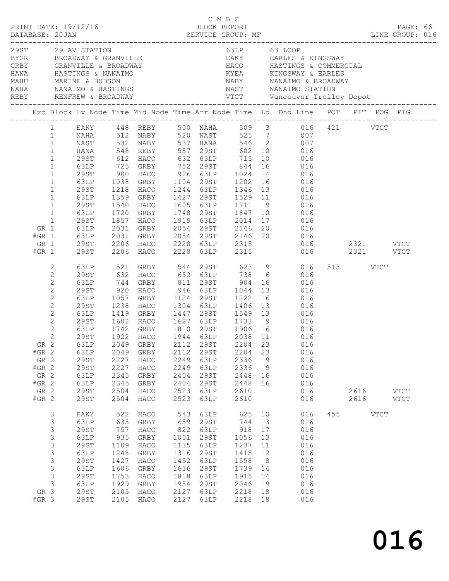|              |                                                                                                                                                                                                                                         | PRINT DATE: 19/12/16                                                                                                                |                                                                                                                                        | C M B C<br>BLOCK REPORT                                                                                                                                       |                                                                                           |                                                                                              |                                                                                                                                                                                                            |                                                                                |                                                                                                                                                                                                                                                                                                          |          |                                     | PAGE: 66 |  |
|--------------|-----------------------------------------------------------------------------------------------------------------------------------------------------------------------------------------------------------------------------------------|-------------------------------------------------------------------------------------------------------------------------------------|----------------------------------------------------------------------------------------------------------------------------------------|---------------------------------------------------------------------------------------------------------------------------------------------------------------|-------------------------------------------------------------------------------------------|----------------------------------------------------------------------------------------------|------------------------------------------------------------------------------------------------------------------------------------------------------------------------------------------------------------|--------------------------------------------------------------------------------|----------------------------------------------------------------------------------------------------------------------------------------------------------------------------------------------------------------------------------------------------------------------------------------------------------|----------|-------------------------------------|----------|--|
| NAHA<br>REBY |                                                                                                                                                                                                                                         | 29ST 29 AV STATION                                                                                                                  | NANAIMO & HASTINGS                                                                                                                     |                                                                                                                                                               |                                                                                           |                                                                                              | 63LP 63 LOOP                                                                                                                                                                                               |                                                                                | GRBY GRANVILLE & BROADWAY (AND HACO HASTINGS & COMMERCIAL HANA HASTINGS & COMMERCIAL HANA HASTINGS & COMMERCIAL<br>HANA HASTINGS & NANAIMO (AND KYEA KINGSWAY & EARLES<br>MAHU MARINE & HUDSON<br>NAST NANAIMO STATION                                                                                   |          |                                     |          |  |
|              |                                                                                                                                                                                                                                         |                                                                                                                                     |                                                                                                                                        |                                                                                                                                                               |                                                                                           |                                                                                              |                                                                                                                                                                                                            |                                                                                |                                                                                                                                                                                                                                                                                                          |          |                                     |          |  |
|              | $\mathbf{1}$<br>$\mathbf{1}$<br>$\mathbf{1}$<br>$\mathbf{1}$<br>$\mathbf{1}$<br>$\mathbf{1}$<br>$\mathbf{1}$<br>$\mathbf{1}$<br>$\mathbf{1}$<br>$\mathbf{1}$<br>$\mathbf{1}$<br>$\mathbf{1}$<br>$\mathbf{1}$<br>GR 1<br>$#GR$ 1<br>GR 1 | NAST<br><b>HANA</b><br>29ST<br>63LP<br>29ST<br>63LP<br>29ST<br>63LP<br>29ST<br>63LP<br>29ST<br><b>63LP</b><br>63LP<br>29ST          | 548<br>1038<br>1218<br>1359<br>1540<br>1720<br>1857                                                                                    | REBY 557 29ST<br>HACO<br>GRBY<br>HACO<br>GRBY<br>HACO<br>2031 GRBY 2054 29ST 2146<br>2031 GRBY 2054 29ST 2146<br>2206 HACO 2228 63LP 2315                     |                                                                                           | 1919 63LP                                                                                    | GRBY 1104 29ST 1202 16<br>1244 63LP 1346 13<br>1748 29ST 1847 10                                                                                                                                           | 16<br>14                                                                       | EAKY 448 REBY 500 NAHA 509 3 016 421 VTCT<br>1 12 NABY 520 NAST 525 7 007<br>1 107 1081 1082 1084 1085 1086 1087 1088<br>602 10 016<br>10 016<br>016<br>016<br>016<br>016<br>1529 11 016<br>016<br>016<br>2014 17 016<br>GRBY 2054 29ST 2146 20 016<br>GRBY 2054 29ST 2146 20 016<br>TIGO 2000 23TR 2015 |          |                                     |          |  |
|              | $#GR$ 1<br>2<br>$\mathbf{2}$<br>$\mathbf{2}$<br>$\mathbf{2}$<br>$\mathbf{2}$<br>$\mathbf{2}$<br>$\mathbf{2}$<br>$\mathbf{2}$<br>$\sqrt{2}$<br>$\mathbf{2}$<br>$#GR$ 2<br>GR 2<br>$#GR$ 2<br>GR 2<br>$#GR$ 2<br>GR 2<br>$#GR$ 2          | 29ST<br>63LP<br>29ST<br>63LP<br>29ST<br>63LP<br>29ST<br>63LP<br>29ST<br>63LP<br>29ST<br><b>29ST</b><br>63LP<br>63LP<br>29ST<br>29ST | 63LP 521<br>29ST 632<br>744<br>920<br>1057<br>$\frac{1}{1238}$<br>1419<br>1602<br>2049<br>2227<br>2227<br>2345<br>2345<br>2504<br>2504 | 2206 HACO 2228 63LP<br>GRBY<br>HACO<br>GRBY<br>HACO<br>GRBY<br>HACO<br>1742 GRBY<br>1922 HACO<br>GRBY<br>GRBY<br>HACO<br>HACO<br>GRBY<br>GRBY<br>HACO<br>HACO | 2112<br>2249<br>2249<br>2404<br>2404<br>2523<br>2523                                      | 1124 29ST<br>1304 63LP<br>29ST<br>63LP<br>63LP<br>29ST<br>29ST<br>63LP<br>63LP               | 2315<br>946 63LP 1044<br>1222 16<br>1406 13<br>1447 29ST 1549 13<br>1627 63LP 1733 9<br>1810  29ST  1906  16<br>1944  63LP  2038  11<br>2038 11<br>2204<br>2336<br>2336<br>2448 16<br>2448<br>2610<br>2610 | 13<br>23<br>9<br>$\overline{9}$<br>16                                          | 016<br>GRBY 544 29ST 623 9 016<br>HACO 652 63LP 738 6 016<br>811 29ST 904 16 016<br>016<br>016<br>016<br>016<br>016<br>016<br>016<br>GR 2 63LP 2049 GRBY 2112 29ST 2204 23 016<br>016<br>016<br>016<br>016<br>016<br>016<br>016                                                                          | 513 VTCT | 2321 VTCT<br>2616 VTCT<br>2616 VTCT |          |  |
|              | 3<br>$\mathsf 3$<br>$\mathsf S$<br>$\mathsf S$<br>$\mathsf S$<br>$\mathsf S$<br>$\mathsf S$<br>$\mathsf 3$<br>$\mathsf 3$<br>$\mathcal{S}$<br>GR 3<br>$#GR$ 3                                                                           | EAKY<br>63LP<br><b>29ST</b><br>63LP<br>29ST<br>63LP<br><b>29ST</b><br>63LP<br>29ST<br>63LP<br><b>29ST</b><br><b>29ST</b>            | 522<br>635<br>757<br>935<br>1109<br>1248<br>1427<br>1606<br>1753<br>1929<br>2105<br>2105                                               | HACO<br>GRBY<br>HACO<br>GRBY<br>HACO<br>GRBY<br>HACO<br>GRBY<br>HACO<br>GRBY<br>HACO<br>HACO                                                                  | 543<br>659<br>822<br>1001<br>1135<br>1316<br>1452<br>1636<br>1818<br>1954<br>2127<br>2127 | 63LP<br>29ST<br>63LP<br>29ST<br>63LP<br>29ST<br>63LP<br>29ST<br>63LP<br>29ST<br>63LP<br>63LP | 744 13<br>918<br>1056<br>1237<br>1415<br>1558<br>1739<br>1915<br>2046<br>2218<br>2218                                                                                                                      | 625 10<br>17<br>13<br>11<br>12<br>8 <sup>8</sup><br>14<br>14<br>19<br>18<br>18 | 016<br>016<br>016<br>016<br>016<br>016<br>016<br>016<br>016<br>016<br>016<br>016                                                                                                                                                                                                                         | 455 VTCT |                                     |          |  |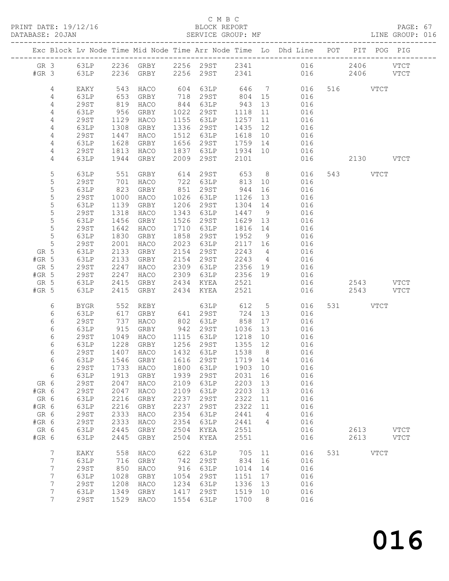PRINT DATE: 19/12/16 BLOCK REPORT BATABASE: 20JAN

#### C M B C<br>BLOCK REPORT

PAGE: 67<br>LINE GROUP: 016

|         |                 |              |            | Exc Block Lv Node Time Mid Node Time Arr Node Time Lo Dhd Line POT PIT POG PIG |      |                    |         |                |                |         |     |           |             |             |
|---------|-----------------|--------------|------------|--------------------------------------------------------------------------------|------|--------------------|---------|----------------|----------------|---------|-----|-----------|-------------|-------------|
|         |                 |              |            |                                                                                |      |                    |         |                |                |         |     |           |             |             |
|         |                 |              |            | GR 3 63LP 2236 GRBY 2256 29ST 2341 016 2406 VTCT                               |      |                    |         |                |                |         |     |           |             |             |
| $#GR$ 3 |                 | 63LP         |            | 2236 GRBY 2256 29ST 2341                                                       |      |                    |         |                |                | 016 016 |     | 2406 VTCT |             |             |
|         | 4               |              |            |                                                                                |      | 604 63LP 646 7 016 |         |                |                |         |     | 516 VTCT  |             |             |
|         | 4               | EAKY<br>63LP | 543        | HACO<br>GRBY                                                                   |      | 718 29ST           | 804 15  |                | 016            |         |     |           |             |             |
|         | 4               | 29ST         | 653<br>819 | HACO                                                                           |      | 844 63LP           | 943     | 13             | 016            |         |     |           |             |             |
|         | 4               | 63LP         | 956        | GRBY                                                                           |      | 1022 29ST          | 1118    | 11             | 016            |         |     |           |             |             |
|         | 4               | 29ST         | 1129       | HACO                                                                           |      | 1155 63LP          | 1257    | 11             | 016            |         |     |           |             |             |
|         | 4               | 63LP         | 1308       | GRBY                                                                           |      | 1336 29ST          | 1435    | 12             | 016            |         |     |           |             |             |
|         | $\overline{4}$  | 29ST         | 1447       | HACO                                                                           |      | 1512 63LP          | 1618 10 |                | 016            |         |     |           |             |             |
|         | 4               | 63LP         | 1628       | GRBY                                                                           |      | 1656 29ST          | 1759 14 |                | 016            |         |     |           |             |             |
|         | 4               | 29ST         | 1813       | HACO                                                                           | 1837 | 63LP 1934 10       |         |                | 016            |         |     |           |             |             |
|         | 4               | 63LP         | 1944       | GRBY                                                                           | 2009 | 29ST               | 2101    |                |                | 016 01  |     | 2130 VTCT |             |             |
|         |                 |              |            |                                                                                |      |                    |         |                |                |         |     |           |             |             |
|         | 5               | 63LP         | 551        | GRBY                                                                           |      | 614 29ST 653       |         |                | 8 016          |         |     | 543 VTCT  |             |             |
|         | 5               | 29ST         | 701        | HACO                                                                           |      | 722 63LP           | 813 10  |                | 016            |         |     |           |             |             |
|         | $\mathsf S$     | 63LP         | 823        | GRBY                                                                           |      | 851 29ST           | 944     | 16             | 016            |         |     |           |             |             |
|         | 5               | 29ST         | 1000       | HACO                                                                           |      | 1026 63LP          | 1126    | 13             | 016            |         |     |           |             |             |
|         | $\mathsf S$     | 63LP         | 1139       | GRBY                                                                           |      | 1206 29ST          | 1304 14 |                | 016            |         |     |           |             |             |
|         | 5               | 29ST         | 1318       | HACO                                                                           | 1343 | 63LP               | 1447 9  |                | 016            |         |     |           |             |             |
|         | 5               | 63LP         | 1456       | GRBY                                                                           | 1526 | 29ST               | 1629 13 |                | 016            |         |     |           |             |             |
|         | $\mathsf S$     | 29ST         | 1642       | HACO                                                                           | 1710 | 63LP               | 1816 14 |                | 016            |         |     |           |             |             |
|         | $5\phantom{.0}$ | 63LP         | 1830       | GRBY                                                                           | 1858 | 29ST               | 1952 9  |                | 016            |         |     |           |             |             |
|         | 5               | 29ST         | 2001       | HACO                                                                           |      | 2023 63LP          | 2117 16 |                | 016            |         |     |           |             |             |
| GR 5    |                 | 63LP         | 2133       | GRBY                                                                           | 2154 | 29ST               | 2243    | $\overline{4}$ | 016            |         |     |           |             |             |
| $#GR$ 5 |                 | 63LP         | 2133       | GRBY                                                                           |      | 2154 29ST          | 2243 4  |                | 016            |         |     |           |             |             |
| GR 5    |                 | 29ST         | 2247       | HACO                                                                           |      | 2309 63LP          | 2356 19 |                | 016            |         |     |           |             |             |
| $#GR$ 5 |                 | 29ST         | 2247       | HACO                                                                           |      | 2309 63LP          | 2356 19 |                | 016            |         |     |           |             |             |
| GR 5    |                 | 63LP         | 2415       | GRBY                                                                           |      | 2434 KYEA 2521     |         |                |                | 016     |     | 2543 VTCT |             |             |
| $#GR$ 5 |                 | 63LP         | 2415       | GRBY                                                                           | 2434 | KYEA               | 2521    |                |                | 016 01  |     | 2543 VTCT |             |             |
|         | 6               | BYGR         | 552        | REBY                                                                           |      | 63LP               | 612     |                | 5 <sub>1</sub> | 016     |     | 531 VTCT  |             |             |
|         | 6               | 63LP         | 617        | GRBY                                                                           |      | 641 29ST           | 724 13  |                |                | 016     |     |           |             |             |
|         | 6               | 29ST         | 737        | HACO                                                                           | 802  | 63LP               | 858     | 17             |                | 016     |     |           |             |             |
|         | 6               | 63LP         | 915        | GRBY                                                                           |      | 942 29ST           | 1036    | 13             |                | 016     |     |           |             |             |
|         | 6               | 29ST         | 1049       | HACO                                                                           |      | 1115 63LP          | 1218    | 10             |                | 016     |     |           |             |             |
|         | 6               | 63LP         | 1228       | GRBY                                                                           |      | 1256 29ST 1355 12  |         |                | 016            |         |     |           |             |             |
|         | 6               | 29ST         | 1407       | HACO                                                                           |      | 1432 63LP          | 1538    | 8 <sup>1</sup> | 016            |         |     |           |             |             |
|         | 6               | 63LP         |            | 1546 GRBY                                                                      |      | 1616 29ST          | 1719 14 |                | 016            |         |     |           |             |             |
|         | 6               |              |            | 29ST 1733 HACO 1800 63LP 1903 10                                               |      |                    |         |                | 016            |         |     |           |             |             |
|         | 6               | 63LP         | 1913       | GRBY                                                                           | 1939 | 29ST               | 2031    | 16             |                | 016     |     |           |             |             |
| GR 6    |                 | <b>29ST</b>  | 2047       | HACO                                                                           | 2109 | 63LP               | 2203    | 13             |                | 016     |     |           |             |             |
| #GR 6   |                 | <b>29ST</b>  | 2047       | HACO                                                                           | 2109 | 63LP               | 2203    | 13             |                | 016     |     |           |             |             |
| GR 6    |                 | 63LP         | 2216       | GRBY                                                                           | 2237 | 29ST               | 2322    | 11             |                | 016     |     |           |             |             |
| #GR 6   |                 | 63LP         | 2216       | GRBY                                                                           | 2237 | 29ST               | 2322    | 11             |                | 016     |     |           |             |             |
| GR 6    |                 | <b>29ST</b>  | 2333       | HACO                                                                           | 2354 | 63LP               | 2441    | $\overline{4}$ |                | 016     |     |           |             |             |
| #GR 6   |                 | <b>29ST</b>  | 2333       | HACO                                                                           | 2354 | 63LP               | 2441    | 4              |                | 016     |     |           |             |             |
| GR 6    |                 | 63LP         | 2445       | GRBY                                                                           | 2504 | KYEA               | 2551    |                |                | 016     |     | 2613      |             | <b>VTCT</b> |
| #GR 6   |                 | 63LP         | 2445       | GRBY                                                                           | 2504 | KYEA               | 2551    |                |                | 016     |     | 2613      |             | <b>VTCT</b> |
|         | 7               | EAKY         | 558        | HACO                                                                           | 622  | 63LP               | 705     | 11             |                | 016     | 531 |           | <b>VTCT</b> |             |
|         | 7               | 63LP         | 716        | GRBY                                                                           | 742  | 29ST               | 834     | 16             |                | 016     |     |           |             |             |
|         | 7               | <b>29ST</b>  | 850        | HACO                                                                           | 916  | 63LP               | 1014    | 14             |                | 016     |     |           |             |             |
|         | 7               | 63LP         | 1028       | GRBY                                                                           | 1054 | 29ST               | 1151    | 17             |                | 016     |     |           |             |             |
|         | 7               | <b>29ST</b>  | 1208       | HACO                                                                           | 1234 | 63LP               | 1336    | 13             |                | 016     |     |           |             |             |
|         | 7               | 63LP         | 1349       | GRBY                                                                           | 1417 | 29ST               | 1519    | 10             |                | 016     |     |           |             |             |
|         | $7\phantom{.0}$ | <b>29ST</b>  | 1529       | HACO                                                                           | 1554 | 63LP               | 1700    | - 8            |                | 016     |     |           |             |             |
|         |                 |              |            |                                                                                |      |                    |         |                |                |         |     |           |             |             |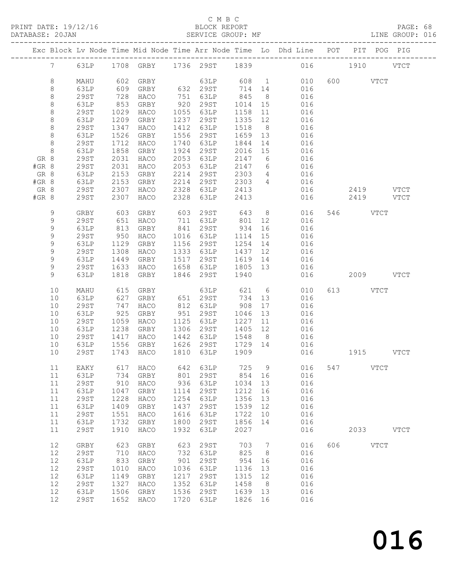#### C M B C<br>BLOCK REPORT

PAGE: 68<br>LINE GROUP: 016

|         |             |             |      | Exc Block Lv Node Time Mid Node Time Arr Node Time Lo Dhd Line POT PIT POG PIG |      |                      |                  |                              |                |           |          |             |             |
|---------|-------------|-------------|------|--------------------------------------------------------------------------------|------|----------------------|------------------|------------------------------|----------------|-----------|----------|-------------|-------------|
|         |             |             |      | 7 63LP 1708 GRBY 1736 29ST 1839 016 1910 VTCT                                  |      |                      |                  |                              |                |           |          |             |             |
|         | 8           | MAHU        |      | 602 GRBY                                                                       |      | 63LP 608 1           |                  |                              |                | 010       | 600 VTCT |             |             |
|         | $8\,$       | 63LP        | 609  |                                                                                |      | GRBY 632 29ST 714 14 |                  |                              | 016            |           |          |             |             |
|         | $8\,$       | 29ST        | 728  | HACO                                                                           |      | 751 63LP             | 845              | 8 <sup>8</sup>               | 016            |           |          |             |             |
|         | $\,8\,$     | 63LP        | 853  | GRBY                                                                           |      | 920 29ST             | 1014 15          |                              | 016            |           |          |             |             |
|         | 8           | 29ST        | 1029 | HACO                                                                           |      | 1055 63LP            | 1158             | 11                           | 016            |           |          |             |             |
|         | $\,8\,$     | 63LP        | 1209 | GRBY                                                                           | 1237 | 29ST                 | 1335             | 12                           | 016            |           |          |             |             |
|         | $\,8\,$     | 29ST        | 1347 | HACO                                                                           | 1412 | 63LP                 | 1518             | 8 <sup>1</sup>               | 016            |           |          |             |             |
|         | $8\,$       | 63LP        | 1526 | GRBY                                                                           |      | 1556 29ST            | 1659 13          |                              | 016            |           |          |             |             |
|         | $\,8\,$     | 29ST        | 1712 | HACO                                                                           | 1740 | 63LP                 | 1844             | 14                           | 016            |           |          |             |             |
|         | 8           | 63LP        | 1858 | GRBY                                                                           | 1924 | 29ST                 | 2016 15          |                              | 016            |           |          |             |             |
|         | GR 8        | 29ST        | 2031 | HACO                                                                           | 2053 | 63LP                 | 2147 6           |                              | 016            |           |          |             |             |
| #GR 8   |             | 29ST        | 2031 | HACO                                                                           | 2053 | 63LP                 | 2147 6           |                              | $016$<br>$016$ |           |          |             |             |
|         | GR 8        | 63LP        | 2153 | GRBY                                                                           | 2214 | $29ST$ 2303          |                  | $4\overline{4}$              |                |           |          |             |             |
| $#GR$ 8 |             | 63LP        | 2153 | GRBY                                                                           | 2214 | 29ST                 | 2303             | $\overline{4}$               | 016            |           |          |             |             |
|         | GR 8        | 29ST        | 2307 | HACO                                                                           | 2328 | 63LP 00              | 2413             |                              | 016            |           |          | 2419 VTCT   |             |
| #GR 8   |             | 29ST        | 2307 | HACO                                                                           | 2328 | 63LP                 | 2413             |                              | 016            |           |          | 2419 VTCT   |             |
|         | 9           | GRBY        | 603  | GRBY                                                                           | 603  | 29ST 643 8           |                  |                              |                | 016       | 546 VTCT |             |             |
|         | 9           | 29ST        | 651  | HACO                                                                           |      | 711 63LP 801 12      |                  |                              | 016            |           |          |             |             |
|         | 9           | 63LP        | 813  | GRBY                                                                           |      | 841 29ST             | 934              | 16                           | 016            |           |          |             |             |
|         | $\mathsf 9$ | 29ST        | 950  | HACO                                                                           |      | 1016 63LP            | 1114             | 15                           | 016            |           |          |             |             |
|         | $\mathsf 9$ | 63LP        | 1129 | GRBY                                                                           |      | 1156 29ST            | 1254             | 14                           | 016            |           |          |             |             |
|         | 9           | 29ST        | 1308 | HACO                                                                           |      | 1333 63LP            | 1437 12          |                              | 016            |           |          |             |             |
|         | 9           | 63LP        | 1449 | GRBY                                                                           |      | 1517 29ST            | 1619 14          |                              | 016            |           |          |             |             |
|         | 9           | 29ST        | 1633 | HACO                                                                           |      | 1658 63LP 1805 13    | 1940             |                              | 016            |           |          |             |             |
|         | 9           | 63LP        |      | 1818 GRBY                                                                      |      | 1846 29ST            |                  |                              | 016            |           |          | 2009 VTCT   |             |
|         | 10          | MAHU        | 615  | GRBY                                                                           |      | 63LP 621 6           |                  |                              | 010            |           | 613 VTCT |             |             |
|         | 10          | 63LP        | 627  | GRBY                                                                           |      | 651 29ST             | 734 13<br>908 17 |                              | 016            |           |          |             |             |
|         | 10          | 29ST        | 747  | HACO                                                                           |      | 812 63LP             |                  |                              | 016            |           |          |             |             |
|         | 10          | 63LP        | 925  | GRBY                                                                           |      | 951 29ST             | 1046             | 13                           | 016            |           |          |             |             |
|         | 10          | 29ST        | 1059 | HACO                                                                           |      | 1125 63LP            | 1227             | 11                           | 016            |           |          |             |             |
|         | 10          | 63LP        | 1238 | GRBY                                                                           |      | 1306 29ST            | 1405 12          |                              | 016            |           |          |             |             |
|         | 10          | 29ST        | 1417 | HACO                                                                           |      | 1442 63LP            | 1548 8           |                              | 016<br>016     |           |          |             |             |
|         | 10          | 63LP        | 1556 | GRBY                                                                           |      | 1626 29ST 1729 14    |                  |                              |                | 1915 VTCT |          |             |             |
|         | 10          | 29ST        | 1743 | HACO                                                                           |      | 1810 63LP            | 1909             |                              | 016            |           |          |             |             |
|         |             |             |      | 11 EAKY 617 HACO 642 63LP 725 9 016 547 VTCT                                   |      |                      |                  |                              |                |           |          |             |             |
|         | 11          | 63LP        | 734  | GRBY                                                                           | 801  | 29ST                 | 854              | 16                           | 016            |           |          |             |             |
|         | 11          | <b>29ST</b> | 910  | HACO                                                                           | 936  | 63LP                 | 1034             | 13                           | 016            |           |          |             |             |
|         | 11          | 63LP        | 1047 | GRBY                                                                           | 1114 | 29ST                 | 1212             | 16                           | 016            |           |          |             |             |
|         | 11          | <b>29ST</b> | 1228 | HACO                                                                           | 1254 | 63LP                 | 1356             | 13                           | 016            |           |          |             |             |
|         | 11          | 63LP        | 1409 | GRBY                                                                           | 1437 | 29ST                 | 1539             | 12                           | 016            |           |          |             |             |
|         | 11          | <b>29ST</b> | 1551 | HACO                                                                           | 1616 | 63LP                 | 1722             | 10                           | 016            |           |          |             |             |
|         | 11          | 63LP        | 1732 | GRBY                                                                           | 1800 | 29ST                 | 1856             | 14                           | 016            |           |          |             |             |
|         | 11          | <b>29ST</b> | 1910 | HACO                                                                           | 1932 | 63LP                 | 2027             |                              | 016            |           | 2033     |             | <b>VTCT</b> |
|         | 12          | GRBY        | 623  | GRBY                                                                           | 623  | <b>29ST</b>          | 703              | $7\phantom{.0}\phantom{.0}7$ | 016            | 606       |          | <b>VTCT</b> |             |
|         | 12          | <b>29ST</b> | 710  | HACO                                                                           | 732  | 63LP                 | 825              | 8 <sup>8</sup>               | 016            |           |          |             |             |
|         | 12          | 63LP        | 833  | GRBY                                                                           | 901  | 29ST                 | 954              | 16                           | 016            |           |          |             |             |
|         | 12          | <b>29ST</b> | 1010 | HACO                                                                           | 1036 | 63LP                 | 1136             | 13                           | 016            |           |          |             |             |
|         | 12          | 63LP        | 1149 | GRBY                                                                           | 1217 | 29ST                 | 1315             | 12                           | 016            |           |          |             |             |
|         | 12          | <b>29ST</b> | 1327 | HACO                                                                           | 1352 | 63LP                 | 1458             | 8                            | 016            |           |          |             |             |
|         | 12          | 63LP        | 1506 | GRBY                                                                           | 1536 | 29ST                 | 1639             | 13                           | 016            |           |          |             |             |
|         | 12          | <b>29ST</b> | 1652 | HACO                                                                           | 1720 | 63LP                 | 1826             | 16                           | 016            |           |          |             |             |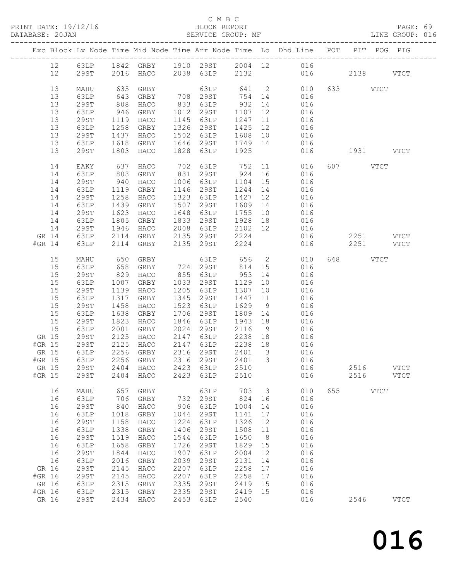PRINT DATE: 19/12/16 BLOCK REPORT<br>DATABASE: 20JAN BATABASE: 20JAN

#### C M B C<br>BLOCK REPORT

PAGE: 69<br>LINE GROUP: 016

|        |       |             |      |                                     |      |                                        |         |    | Exc Block Lv Node Time Mid Node Time Arr Node Time Lo Dhd Line POT PIT POG PIG |           |             |             |               |
|--------|-------|-------------|------|-------------------------------------|------|----------------------------------------|---------|----|--------------------------------------------------------------------------------|-----------|-------------|-------------|---------------|
|        | 12    | 63LP        |      |                                     |      |                                        |         |    | 1842 GRBY 1910 29ST 2004 12 016                                                |           |             |             |               |
|        | 12    | 29ST        |      | 2016 HACO 2038 63LP                 |      |                                        |         |    | 2132 016                                                                       |           | 2138        |             | VTCT          |
|        |       |             |      |                                     |      |                                        |         |    |                                                                                |           |             |             |               |
|        | 13    | MAHU        | 635  | GRBY                                |      | 63LP 641 2                             |         |    | 010                                                                            |           | 633 VTCT    |             |               |
|        | 13    | 63LP        | 643  | GRBY                                |      |                                        |         |    | 708 29ST 754 14 016                                                            |           |             |             |               |
|        | 13    | 29ST        | 808  | HACO                                | 833  | 63LP                                   | 932     | 14 | 016                                                                            |           |             |             |               |
|        | 13    | 63LP        | 946  | GRBY                                |      | 1012 29ST                              |         |    |                                                                                |           |             |             |               |
|        | 13    | 29ST        | 1119 | HACO                                |      | 1145 63LP                              |         |    | 1107 12 016<br>1247 11 016                                                     |           |             |             |               |
|        | 13    | 63LP        | 1258 | GRBY                                |      | 1326 29ST                              | 1425    |    | 12 016                                                                         |           |             |             |               |
|        | 13    | 29ST        | 1437 | HACO                                |      | 1502 63LP                              |         |    | 1608 10 016                                                                    |           |             |             |               |
|        | 13    | 63LP        | 1618 | GRBY                                |      |                                        |         |    |                                                                                |           |             |             |               |
|        | 13    | 29ST        | 1803 | HACO                                |      | 1828 63LP                              | 1925    |    | 1646 29ST 1749 14 016<br>016                                                   | 1931 VTCT |             |             |               |
|        |       |             |      |                                     |      |                                        |         |    |                                                                                |           |             |             |               |
|        | 14    | EAKY        | 637  | HACO                                | 702  | 63LP 752                               |         |    | 11 016                                                                         |           | 607 VTCT    |             |               |
|        | 14    | 63LP        | 803  | GRBY                                | 831  | 29ST                                   | 924     |    | 16 016                                                                         |           |             |             |               |
|        | 14    | <b>29ST</b> | 940  | HACO                                | 1006 | 63LP                                   | 1104    | 15 | 016                                                                            |           |             |             |               |
|        | 14    | 63LP        | 1119 | GRBY                                | 1146 | 29ST                                   | 1244    | 14 | 016                                                                            |           |             |             |               |
|        | 14    | 29ST        | 1258 | HACO                                |      | 1323 63LP                              | 1427    | 12 | 016                                                                            |           |             |             |               |
|        | 14    | 63LP        | 1439 | GRBY                                | 1507 | 29ST                                   | 1609 14 |    | 016                                                                            |           |             |             |               |
|        | 14    | 29ST        | 1623 | HACO                                | 1648 | 63LP                                   | 1755 10 |    | 016                                                                            |           |             |             |               |
|        | 14    | 63LP        | 1805 | GRBY                                | 1833 | 29ST                                   | 1928 18 |    | 016                                                                            |           |             |             |               |
|        | 14    | 29ST        | 1946 | HACO                                | 2008 |                                        |         |    | 63LP 2102 12 016                                                               |           |             |             |               |
| GR 14  |       | 63LP        | 2114 | GRBY                                |      | 2135 29ST                              | 2224    |    | 016                                                                            |           | $2251$ VTCT |             |               |
| #GR 14 |       | 63LP        | 2114 | GRBY                                |      | 2135 29ST                              | 2224    |    | 016                                                                            |           | 2251 VTCT   |             |               |
|        |       |             |      |                                     |      |                                        |         |    |                                                                                |           |             |             |               |
|        | 15    | MAHU        | 650  | GRBY                                |      | 63LP                                   | 656     |    | $\overline{2}$<br>010                                                          |           | 648         | <b>VTCT</b> |               |
|        | 15    | 63LP        | 658  | GRBY                                |      | 724 29ST                               | 814     | 15 | 016                                                                            |           |             |             |               |
|        | 15    | <b>29ST</b> | 829  | HACO                                |      | 855 63LP                               | 953     | 14 | 016                                                                            |           |             |             |               |
|        | 15    | 63LP        | 1007 | GRBY                                |      | 1033 29ST                              | 1129    | 10 | 016                                                                            |           |             |             |               |
|        | 15    | 29ST        | 1139 | HACO                                | 1205 | 63LP                                   | 1307    | 10 | 016                                                                            |           |             |             |               |
|        | 15    | 63LP        | 1317 | GRBY                                | 1345 | 29ST                                   | 1447    | 11 | 016                                                                            |           |             |             |               |
|        | 15    | <b>29ST</b> | 1458 | HACO                                | 1523 | 63LP                                   | 1629    | 9  | 016                                                                            |           |             |             |               |
|        | 15    | 63LP        | 1638 | GRBY                                | 1706 | 29ST                                   | 1809 14 |    | 016                                                                            |           |             |             |               |
|        | 15    | 29ST        | 1823 | HACO                                | 1846 | 63LP                                   | 1943 18 |    | 016                                                                            |           |             |             |               |
|        | 15    | 63LP        | 2001 | GRBY                                |      | 2024 29ST                              | 2116    | 9  | 016                                                                            |           |             |             |               |
| GR 15  |       | 29ST        | 2125 | HACO                                |      |                                        |         |    | 016                                                                            |           |             |             |               |
| #GR 15 |       | 29ST        | 2125 | HACO                                |      | 2147 63LP 2238 18<br>2147 63LP 2238 18 |         |    | 016                                                                            |           |             |             |               |
|        | GR 15 | 63LP        | 2256 | GRBY                                |      | 2316 29ST 2401 3                       |         |    | 016                                                                            |           |             |             |               |
| #GR 15 |       | 63LP        |      | 2256 GRBY                           |      | 2316 29ST                              |         |    | 2401 3 016                                                                     |           |             |             |               |
|        |       |             |      | GR 15 29ST 2404 HACO 2423 63LP 2510 |      |                                        |         |    | 016                                                                            |           | 2516        |             | $_{\rm VTCT}$ |
| #GR 15 |       | 29ST        | 2404 | HACO                                | 2423 | 63LP                                   | 2510    |    | 016                                                                            |           | 2516        |             | <b>VTCT</b>   |
|        |       |             |      |                                     |      |                                        |         |    |                                                                                |           |             |             |               |
|        | 16    | MAHU        | 657  | GRBY                                |      | 63LP                                   | 703     | 3  | 010                                                                            | 655       |             | <b>VTCT</b> |               |
|        | 16    | 63LP        | 706  | GRBY                                | 732  | 29ST                                   | 824     | 16 | 016                                                                            |           |             |             |               |
|        | 16    | <b>29ST</b> | 840  | HACO                                | 906  | 63LP                                   | 1004    | 14 | 016                                                                            |           |             |             |               |
|        | 16    | 63LP        | 1018 | GRBY                                | 1044 | <b>29ST</b>                            | 1141    | 17 | 016                                                                            |           |             |             |               |
|        | 16    | <b>29ST</b> | 1158 | HACO                                | 1224 | 63LP                                   | 1326    | 12 | 016                                                                            |           |             |             |               |
|        | 16    | 63LP        | 1338 | GRBY                                | 1406 | <b>29ST</b>                            | 1508    | 11 | 016                                                                            |           |             |             |               |
|        | 16    | <b>29ST</b> | 1519 | HACO                                | 1544 | 63LP                                   | 1650    | 8  | 016                                                                            |           |             |             |               |
|        | 16    | 63LP        | 1658 | GRBY                                | 1726 | <b>29ST</b>                            | 1829    | 15 | 016                                                                            |           |             |             |               |
|        | 16    | <b>29ST</b> | 1844 | HACO                                | 1907 | 63LP                                   | 2004    | 12 | 016                                                                            |           |             |             |               |
|        | 16    | 63LP        | 2016 | GRBY                                | 2039 | <b>29ST</b>                            | 2131    | 14 | 016                                                                            |           |             |             |               |
| GR 16  |       | <b>29ST</b> | 2145 | HACO                                | 2207 | 63LP                                   | 2258    | 17 | 016                                                                            |           |             |             |               |
| #GR 16 |       | <b>29ST</b> | 2145 | HACO                                | 2207 | 63LP                                   | 2258    | 17 | 016                                                                            |           |             |             |               |
| GR 16  |       | 63LP        | 2315 | GRBY                                | 2335 | 29ST                                   | 2419    | 15 | 016                                                                            |           |             |             |               |
| #GR 16 |       | 63LP        | 2315 | GRBY                                | 2335 | 29ST                                   | 2419    | 15 | 016                                                                            |           |             |             |               |
| GR 16  |       | <b>29ST</b> | 2434 | HACO                                | 2453 | 63LP                                   | 2540    |    | 016                                                                            |           | 2546        |             | <b>VTCT</b>   |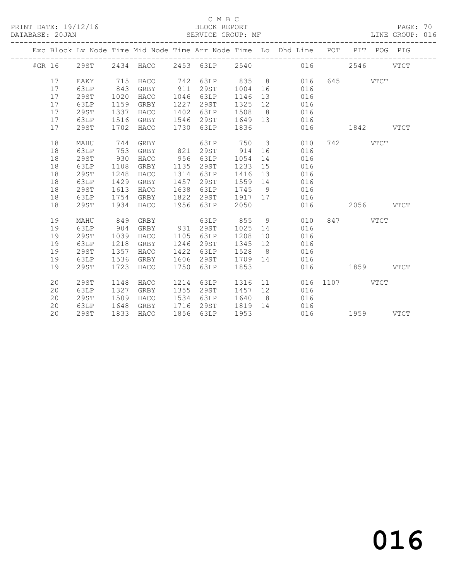#### C M B C<br>BLOCK REPORT

PAGE: 70<br>LINE GROUP: 016

|        |    |             |      |           |      |           |      |                | Exc Block Lv Node Time Mid Node Time Arr Node Time Lo Dhd Line POT |      | PIT         |             | POG PIG     |
|--------|----|-------------|------|-----------|------|-----------|------|----------------|--------------------------------------------------------------------|------|-------------|-------------|-------------|
| #GR 16 |    | 29ST        |      | 2434 HACO |      | 2453 63LP | 2540 |                | 016                                                                |      | 2546        |             | <b>VTCT</b> |
|        | 17 | EAKY        | 715  | HACO      | 742  | 63LP      | 835  | 8 <sup>8</sup> | 016                                                                | 645  |             | <b>VTCT</b> |             |
|        | 17 | 63LP        | 843  | GRBY      | 911  | 29ST      | 1004 | 16             | 016                                                                |      |             |             |             |
|        | 17 | 29ST        | 1020 | HACO      | 1046 | 63LP      | 1146 | 13             | 016                                                                |      |             |             |             |
|        | 17 | 63LP        | 1159 | GRBY      | 1227 | 29ST      | 1325 | 12             | 016                                                                |      |             |             |             |
|        | 17 | 29ST        | 1337 | HACO      | 1402 | 63LP      | 1508 | 8 <sup>8</sup> | 016                                                                |      |             |             |             |
|        | 17 | 63LP        | 1516 | GRBY      | 1546 | 29ST      | 1649 | 13             | 016                                                                |      |             |             |             |
|        | 17 | 29ST        | 1702 | HACO      | 1730 | 63LP      | 1836 |                | 016                                                                |      | 1842        |             | <b>VTCT</b> |
|        | 18 | MAHU        | 744  | GRBY      |      | 63LP      | 750  | $\mathcal{S}$  | 010                                                                | 742  |             | <b>VTCT</b> |             |
|        | 18 | 63LP        | 753  | GRBY      | 821  | 29ST      | 914  | 16             | 016                                                                |      |             |             |             |
|        | 18 | 29ST        | 930  | HACO      | 956  | 63LP      | 1054 | 14             | 016                                                                |      |             |             |             |
|        | 18 | 63LP        | 1108 | GRBY      | 1135 | 29ST      | 1233 | 15             | 016                                                                |      |             |             |             |
|        | 18 | 29ST        | 1248 | HACO      | 1314 | 63LP      | 1416 | 13             | 016                                                                |      |             |             |             |
|        | 18 | 63LP        | 1429 | GRBY      | 1457 | 29ST      | 1559 | 14             | 016                                                                |      |             |             |             |
|        | 18 | 29ST        | 1613 | HACO      | 1638 | 63LP      | 1745 | - 9            | 016                                                                |      |             |             |             |
|        | 18 | 63LP        | 1754 | GRBY      | 1822 | 29ST      | 1917 | 17             | 016                                                                |      |             |             |             |
|        | 18 | 29ST        | 1934 | HACO      | 1956 | 63LP      | 2050 |                | 016                                                                |      | 2056        |             | <b>VTCT</b> |
|        | 19 | MAHU        | 849  | GRBY      |      | 63LP      | 855  | 9              | 010                                                                | 847  |             | <b>VTCT</b> |             |
|        | 19 | 63LP        | 904  | GRBY      | 931  | 29ST      | 1025 | 14             | 016                                                                |      |             |             |             |
|        | 19 | 29ST        | 1039 | HACO      | 1105 | 63LP      | 1208 | 10             | 016                                                                |      |             |             |             |
|        | 19 | 63LP        | 1218 | GRBY      | 1246 | 29ST      | 1345 | 12             | 016                                                                |      |             |             |             |
|        | 19 | <b>29ST</b> | 1357 | HACO      | 1422 | 63LP      | 1528 | 8              | 016                                                                |      |             |             |             |
|        | 19 | 63LP        | 1536 | GRBY      | 1606 | 29ST      | 1709 | 14             | 016                                                                |      |             |             |             |
|        | 19 | 29ST        | 1723 | HACO      | 1750 | 63LP      | 1853 |                | 016                                                                |      | 1859        |             | <b>VTCT</b> |
|        | 20 | 29ST        | 1148 | HACO      | 1214 | 63LP      | 1316 | 11             | 016                                                                | 1107 | <b>VTCT</b> |             |             |
|        | 20 | 63LP        | 1327 | GRBY      | 1355 | 29ST      | 1457 | 12             | 016                                                                |      |             |             |             |
|        | 20 | 29ST        | 1509 | HACO      | 1534 | 63LP      | 1640 | 8 <sup>8</sup> | 016                                                                |      |             |             |             |
|        | 20 | 63LP        | 1648 | GRBY      | 1716 | 29ST      | 1819 | 14             | 016                                                                |      |             |             |             |
|        | 20 | 29ST        | 1833 | HACO      | 1856 | 63LP      | 1953 |                | 016                                                                |      | 1959        |             | <b>VTCT</b> |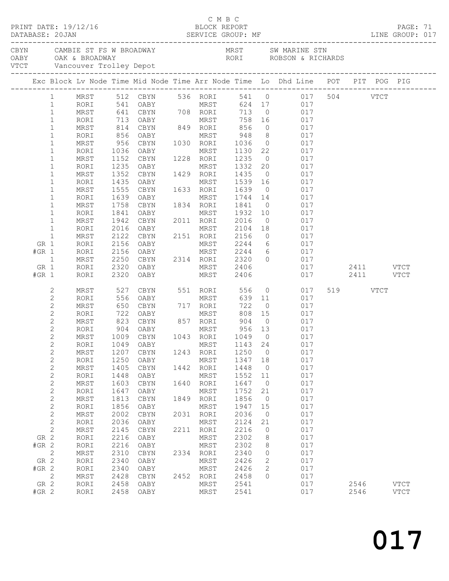|         |                                |              |                                                  |                   |      | C M B C                                 |                 |                      |                                                                                |          |           |             |  |
|---------|--------------------------------|--------------|--------------------------------------------------|-------------------|------|-----------------------------------------|-----------------|----------------------|--------------------------------------------------------------------------------|----------|-----------|-------------|--|
|         |                                |              |                                                  |                   |      |                                         |                 |                      |                                                                                |          |           |             |  |
|         |                                |              |                                                  |                   |      |                                         |                 |                      | Exc Block Lv Node Time Mid Node Time Arr Node Time Lo Dhd Line POT PIT POG PIG |          |           |             |  |
|         |                                |              |                                                  |                   |      |                                         |                 |                      |                                                                                |          |           |             |  |
|         | $\mathbf{1}$                   | MRST         |                                                  |                   |      |                                         |                 |                      | 512 CBYN 536 RORI 541 0 017 504 VTCT                                           |          |           |             |  |
|         | $\mathbf{1}$                   | RORI         | 541                                              |                   |      | OABY MRST                               |                 |                      | 624 17 017                                                                     |          |           |             |  |
|         | $\mathbf 1$<br>$\mathbf 1$     | MRST<br>RORI | 641                                              |                   |      | CBYN 708 RORI                           | 713 0<br>758 16 |                      | 017<br>017                                                                     |          |           |             |  |
|         | $\mathbf{1}$                   | MRST         | 713<br>814                                       |                   |      | OABY MRST 758<br>CBYN 849 RORI 856      |                 | $\overline{0}$       | 017                                                                            |          |           |             |  |
|         | $\mathbf{1}$                   | RORI         | 856                                              | OABY              |      | MRST 948                                |                 | 8 <sup>8</sup>       | 017                                                                            |          |           |             |  |
|         | $\mathbf{1}$                   | MRST         | 956                                              | CBYN              |      | 1030 RORI 1036                          |                 | $\overline{0}$       | 017                                                                            |          |           |             |  |
|         | $\mathbf{1}$                   | RORI         | 1036                                             | OABY              |      | MRST                                    | 1130 22         |                      | 017                                                                            |          |           |             |  |
|         | $\mathbf 1$                    | MRST         | 1152                                             | CBYN              |      | 1228 RORI                               | 1235            | $\overline{0}$       | 017                                                                            |          |           |             |  |
|         | $\mathbf{1}$                   | RORI         | 1235                                             | OABY              |      | MRST                                    | 1332            | 20                   | 017                                                                            |          |           |             |  |
|         | $\mathbf 1$                    | MRST         | 1352                                             | CBYN              |      | 1429 RORI                               | 1435            | $\overline{0}$       | 017                                                                            |          |           |             |  |
|         | $\mathbf 1$                    | RORI         | 1435                                             | OABY              |      | MRST                                    | 1539 16         |                      | 017                                                                            |          |           |             |  |
|         | 1                              | MRST         | 1555                                             | CBYN              |      | 1633 RORI                               | 1639            | $\overline{0}$       | 017                                                                            |          |           |             |  |
|         | $\mathbf 1$                    | RORI         | 1639                                             | OABY              |      | MRST                                    | 1744 14         |                      | 017                                                                            |          |           |             |  |
|         | 1<br>1                         | MRST<br>RORI | 1758<br>1841                                     | CBYN<br>OABY      |      | 1834 RORI<br>MRST                       | 1841<br>1932    | $\overline{0}$<br>10 | 017<br>017                                                                     |          |           |             |  |
|         | $\mathbf{1}$                   | MRST         | 1942                                             | CBYN              |      | 2011 RORI                               | 2016            | $\overline{0}$       | 017                                                                            |          |           |             |  |
|         | $\mathbf{1}$                   | RORI         | 2016                                             | OABY              |      | MRST                                    | 2104            | 18                   | 017                                                                            |          |           |             |  |
|         | $\mathbf 1$                    | MRST         | 2122                                             | CBYN              |      | 2151 RORI 2156                          |                 | $\overline{0}$       | 017                                                                            |          |           |             |  |
| GR 1    |                                | RORI         | 2156                                             | OABY              |      | MRST                                    | 2244            |                      | 6 017                                                                          |          |           |             |  |
| $#GR$ 1 |                                | RORI         | 2156                                             | OABY              |      | MRST 2244 6<br>2314 RORI 2320 0         |                 |                      | 017                                                                            |          |           |             |  |
|         | $\mathbf{1}$                   | MRST         | 2250                                             | CBYN              |      |                                         |                 |                      | 017                                                                            |          |           |             |  |
| GR 1    |                                | RORI         | 2320                                             | OABY              |      | MRST 2406                               |                 |                      | 017                                                                            |          | 2411 VTCT |             |  |
| $#GR$ 1 |                                | RORI         | 2320                                             | OABY              |      | MRST                                    | 2406            |                      | 017                                                                            |          | 2411 VTCT |             |  |
|         | 2                              | MRST         | 527                                              | CBYN              |      | 551 RORI                                | 556             |                      | $\overline{O}$<br>017                                                          | 519 VTCT |           |             |  |
|         | $\mathbf{2}$                   | RORI         | 556                                              | OABY              |      | MRST                                    | 639 11          |                      | 017                                                                            |          |           |             |  |
|         | $\mathbf{2}$                   | MRST         | 650                                              | CBYN              |      | 717 RORI                                | 722             | $\overline{0}$       | 017                                                                            |          |           |             |  |
|         | $\mathbf{2}$                   | RORI         | 722<br>$\begin{array}{c} 722 \\ 823 \end{array}$ |                   |      | 0ABY MRST 808 15<br>CBYN 857 RORI 904 0 | 808             |                      | 017                                                                            |          |           |             |  |
|         | $\mathbf{2}$                   | MRST         | 904                                              |                   |      | MRST 956 13                             |                 |                      | 017<br>017                                                                     |          |           |             |  |
|         | $\mathbf{2}$<br>$\overline{2}$ | RORI<br>MRST |                                                  | OABY<br>1009 CBYN |      | 1043 RORI                               | 1049 0          |                      | 017                                                                            |          |           |             |  |
|         | $\mathbf{2}$                   | RORI         |                                                  | 1049 OABY         |      | MRST 1143 24                            |                 |                      | 017                                                                            |          |           |             |  |
|         | $\mathbf{2}$                   | MRST         | 1207                                             | CBYN              | 1243 | RORI                                    | 1250            | 0                    | 017                                                                            |          |           |             |  |
|         | $\sqrt{2}$                     | RORI         | 1250                                             | OABY              |      | MRST                                    | 1347            | 18                   | 017                                                                            |          |           |             |  |
|         | $\sqrt{2}$                     | MRST         | 1405                                             | CBYN              | 1442 | RORI                                    | 1448            | 0                    | 017                                                                            |          |           |             |  |
|         | $\mathbf{2}$                   | RORI         | 1448                                             | OABY              |      | MRST                                    | 1552            | 11                   | 017                                                                            |          |           |             |  |
|         | $\sqrt{2}$                     | MRST         | 1603                                             | CBYN              | 1640 | RORI                                    | 1647            | $\overline{0}$       | 017                                                                            |          |           |             |  |
|         | $\sqrt{2}$                     | RORI         | 1647                                             | OABY              |      | MRST                                    | 1752            | 21                   | 017                                                                            |          |           |             |  |
|         | $\sqrt{2}$                     | MRST         | 1813                                             | CBYN              | 1849 | RORI                                    | 1856            | 0                    | 017                                                                            |          |           |             |  |
|         | $\mathbf{2}$                   | RORI         | 1856                                             | OABY              |      | MRST                                    | 1947            | 15                   | 017                                                                            |          |           |             |  |
|         | $\sqrt{2}$<br>$\sqrt{2}$       | MRST<br>RORI | 2002<br>2036                                     | CBYN<br>OABY      | 2031 | RORI<br>MRST                            | 2036<br>2124    | 0<br>21              | 017<br>017                                                                     |          |           |             |  |
|         | $\mathbf{2}$                   | MRST         | 2145                                             | CBYN              | 2211 | RORI                                    | 2216            | 0                    | 017                                                                            |          |           |             |  |
| GR 2    |                                | RORI         | 2216                                             | OABY              |      | MRST                                    | 2302            | 8                    | 017                                                                            |          |           |             |  |
| $#GR$ 2 |                                | RORI         | 2216                                             | OABY              |      | MRST                                    | 2302            | 8                    | 017                                                                            |          |           |             |  |
|         | $\mathbf{2}$                   | MRST         | 2310                                             | $\tt CBYN$        | 2334 | RORI                                    | 2340            | 0                    | 017                                                                            |          |           |             |  |
| GR 2    |                                | RORI         | 2340                                             | OABY              |      | MRST                                    | 2426            | 2                    | 017                                                                            |          |           |             |  |
| $#GR$ 2 |                                | RORI         | 2340                                             | OABY              |      | MRST                                    | 2426            | 2                    | 017                                                                            |          |           |             |  |
|         | $\mathbf{2}$                   | MRST         | 2428                                             | CBYN              | 2452 | RORI                                    | 2458            | $\circ$              | 017                                                                            |          |           |             |  |
| GR 2    |                                | RORI         | 2458                                             | OABY              |      | MRST                                    | 2541            |                      | 017                                                                            | 2546     |           | <b>VTCT</b> |  |
| $#GR$ 2 |                                | RORI         | 2458                                             | OABY              |      | MRST                                    | 2541            |                      | 017                                                                            | 2546     |           | <b>VTCT</b> |  |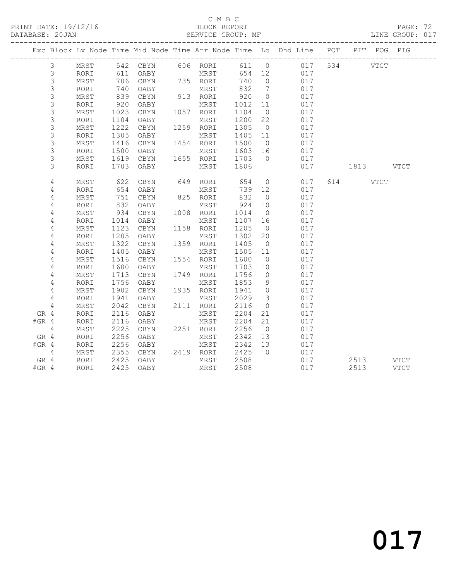#### C M B C<br>BLOCK REPORT SERVICE GROUP: MF

|         |                |      |            |               |                          |                   |                | Exc Block Lv Node Time Mid Node Time Arr Node Time Lo Dhd Line POT PIT POG PIG |           |             |
|---------|----------------|------|------------|---------------|--------------------------|-------------------|----------------|--------------------------------------------------------------------------------|-----------|-------------|
|         | 3              | MRST |            |               |                          |                   |                | 542 CBYN 606 RORI 611 0 017                                                    | 534 VTCT  |             |
|         | $\mathsf 3$    | RORI | 611        | OABY          | MRST                     | 654 12            |                | 017                                                                            |           |             |
|         | $\mathsf S$    | MRST | 706        | CBYN 735 RORI |                          | 740               | $\overline{0}$ | 017                                                                            |           |             |
|         | 3              | RORI | 740        | OABY          | MRST<br>MRST<br>913 RORI | 832<br>832<br>920 | $\overline{7}$ | 017                                                                            |           |             |
|         | $\mathsf S$    | MRST | 839        | CBYN          |                          |                   | $\overline{0}$ | 017                                                                            |           |             |
|         | $\mathsf S$    | RORI | 920        | OABY          | MRST                     | 1012              | 11             | 017                                                                            |           |             |
|         | $\mathsf S$    | MRST | 1023       | CBYN          | 1057 RORI                | 1104              | $\overline{0}$ | 017                                                                            |           |             |
|         | 3              | RORI | 1104       | OABY          | MRST                     | 1200              | 22             | 017                                                                            |           |             |
|         | $\mathsf S$    | MRST | 1222       | CBYN          | 1259 RORI                | 1305              | $\overline{0}$ | 017                                                                            |           |             |
|         | $\mathsf S$    | RORI | 1305       | OABY          | MRST                     | 1405 11           |                | 017                                                                            |           |             |
|         | 3              | MRST | 1416       | CBYN          | 1454 RORI                | 1500              | $\overline{0}$ | 017                                                                            |           |             |
|         | 3              | RORI | 1500       | OABY          | MRST                     | 1603 16           |                | 017                                                                            |           |             |
|         | $\mathsf S$    | MRST | 1619       | CBYN          | 1655 RORI                | 1703              | $\overline{0}$ | 017                                                                            |           |             |
|         | 3              | RORI | 1703       | OABY          | MRST                     | 1806              |                | 017                                                                            | 1813 VTCT |             |
|         | 4              | MRST |            | CBYN          | 649 RORI                 | 654               | $\overline{0}$ | 017                                                                            | 614 VTCT  |             |
|         | $\sqrt{4}$     | RORI | 622<br>654 | OABY          | MRST                     | 739 12            |                | 017                                                                            |           |             |
|         | 4              | MRST | 751        | CBYN          | 825 RORI                 | 832               | $\overline{0}$ | 017                                                                            |           |             |
|         | 4              | RORI | 832        | OABY          | MRST                     | 924               | 10             | 017                                                                            |           |             |
|         | $\sqrt{4}$     | MRST | 934        | CBYN          | 1008 RORI                | 1014              | $\overline{0}$ | 017                                                                            |           |             |
|         | $\sqrt{4}$     | RORI | 1014       | OABY          | MRST                     | 1107              | 16             | 017                                                                            |           |             |
|         | 4              | MRST | 1123       | CBYN          | 1158 RORI                | 1205              | $\overline{0}$ | 017                                                                            |           |             |
|         | 4              | RORI | 1205       | OABY          | MRST                     | 1302              | 20             | 017                                                                            |           |             |
|         | $\overline{4}$ | MRST | 1322       | CBYN          | 1359 RORI                | 1405              | $\overline{0}$ | 017                                                                            |           |             |
|         | $\sqrt{4}$     | RORI | 1405       | OABY          | MRST                     | 1505 11           |                | 017                                                                            |           |             |
|         | 4              | MRST | 1516       | CBYN          | 1554 RORI                | 1600              | $\overline{0}$ | 017                                                                            |           |             |
|         | 4              | RORI | 1600       | OABY          | MRST                     | 1703              | 10             | 017                                                                            |           |             |
|         | $\overline{4}$ | MRST | 1713       | CBYN          | 1749 RORI                | 1756              | $\overline{0}$ | 017                                                                            |           |             |
|         | $\sqrt{4}$     | RORI | 1756       | OABY          | MRST                     | 1853              | 9              | 017                                                                            |           |             |
|         | 4              | MRST | 1902       | CBYN          | 1935 RORI                | 1941              | $\overline{0}$ | 017                                                                            |           |             |
|         | 4              | RORI | 1941       | OABY          | MRST                     | 2029              | 13             | 017                                                                            |           |             |
|         | $\overline{4}$ | MRST | 2042       | CBYN          | 2111 RORI                | 2116              | $\overline{0}$ | 017                                                                            |           |             |
| GR 4    |                | RORI | 2116       | OABY          | MRST                     | 2204              | 21             | 017                                                                            |           |             |
| $#GR$ 4 |                | RORI | 2116       | OABY          | MRST                     | 2204              | 21             | 017                                                                            |           |             |
|         | 4              | MRST | 2225       | CBYN          | 2251 RORI                | 2256              | $\overline{0}$ | 017                                                                            |           |             |
| GR 4    |                | RORI | 2256       | OABY          | MRST                     | 2342 13           |                | 017                                                                            |           |             |
| $#GR$ 4 |                | RORI | 2256       | OABY          | MRST                     | 2342 13           |                | 017                                                                            |           |             |
|         | 4              | MRST | 2355       | CBYN          | 2419 RORI                | 2425              | $\overline{0}$ | 017                                                                            |           |             |
| GR 4    |                | RORI | 2425       | OABY          | MRST                     | 2508              |                | 017                                                                            | 2513 VTCT |             |
| $#GR$ 4 |                | RORI | 2425       | OABY          | MRST                     | 2508              |                | 017                                                                            | 2513      | <b>VTCT</b> |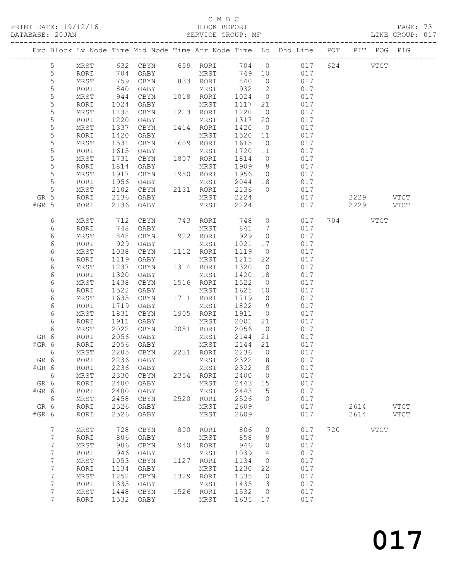## C M B C

| DATABASE: 20JAN |                |              |              |                             |      | SERVICE GROUP: MF          |              |                                  |                                                                                |                        | LINE GROUP: 017 |
|-----------------|----------------|--------------|--------------|-----------------------------|------|----------------------------|--------------|----------------------------------|--------------------------------------------------------------------------------|------------------------|-----------------|
|                 |                |              |              |                             |      |                            |              |                                  | Exc Block Lv Node Time Mid Node Time Arr Node Time Lo Dhd Line POT PIT POG PIG |                        |                 |
|                 | 5              |              |              |                             |      | MRST 632 CBYN 659 RORI     |              |                                  | 704 0 017 624 VTCT                                                             |                        |                 |
|                 | 5              | RORI         | 704          | OABY                        |      | MRST                       |              |                                  | 749 10<br>017                                                                  |                        |                 |
|                 | 5              | MRST         |              |                             |      | CBYN 833 RORI 840          |              | $\overline{0}$                   | 017                                                                            |                        |                 |
|                 | $\mathsf S$    | RORI         | 759<br>840   | OABY                        |      | MRST                       | 932          | 12                               | 017                                                                            |                        |                 |
|                 | 5              | MRST         | 944          | CBYN                        |      | 1018 RORI                  | 1024         | $\overline{0}$                   | 017                                                                            |                        |                 |
|                 | 5              | RORI         | 1024         | OABY                        |      | MRST                       | 1117         | 21                               | 017                                                                            |                        |                 |
|                 | 5              | MRST         | 1138         | CBYN                        |      | 1213 RORI                  | 1220         | $\overline{0}$                   | 017                                                                            |                        |                 |
|                 | 5              | RORI         | 1220         | OABY                        |      | MRST                       | 1317         | 20                               | 017                                                                            |                        |                 |
|                 | 5              | MRST         | 1337         | CBYN                        |      | 1414 RORI                  | 1420         | $\overline{0}$                   | 017                                                                            |                        |                 |
|                 | 5              | RORI         | 1420         | OABY                        |      | MRST                       | 1520         | 11                               | 017                                                                            |                        |                 |
|                 | 5              | MRST         | 1531         | CBYN                        |      | 1609 RORI                  | 1615         | $\overline{0}$                   | 017                                                                            |                        |                 |
|                 | 5              | RORI         | 1615         | OABY                        |      | MRST                       | 1720 11      |                                  | 017                                                                            |                        |                 |
|                 | 5              | MRST         | 1731         | CBYN                        |      | 1807 RORI                  | 1814         | $\overline{0}$                   | 017                                                                            |                        |                 |
|                 | 5              | RORI         | 1814         | OABY                        |      | MRST                       | 1909         | 8 <sup>8</sup>                   | 017                                                                            |                        |                 |
|                 | 5              | MRST         | 1917         | CBYN                        |      | 1950 RORI                  | 1956         | $\overline{0}$                   | 017                                                                            |                        |                 |
|                 | 5              | RORI         | 1956         | OABY                        |      | MRST                       | 2044 18      |                                  | 017                                                                            |                        |                 |
|                 | 5              | MRST         | 2102         | OABY MRST<br>CBYN 2131 RORI |      |                            | 2136         | $\overline{0}$                   | 017                                                                            |                        |                 |
| GR 5            |                | RORI         | 2136         | OABY                        |      | MRST 2224                  |              |                                  | 017                                                                            | 2229 VTCT              |                 |
| $#GR$ 5         |                | RORI         | 2136         | OABY                        |      | MRST                       | 2224         |                                  | 017                                                                            | 2229 VTCT              |                 |
|                 | 6              | MRST         | 712          |                             |      | CBYN 743 RORI              | 748          |                                  | $\overline{0}$<br>017                                                          | 704 VTCT               |                 |
|                 | 6              | RORI         | 748          | OABY                        |      | MRST                       | 841          | $\overline{7}$                   | 017                                                                            |                        |                 |
|                 | 6              | MRST         | 848          | CBYN                        |      | 922 RORI                   | 929          | $\overline{0}$                   | 017                                                                            |                        |                 |
|                 | 6              | RORI         | 929          | OABY                        |      | MRST                       | 1021         | 17                               | 017                                                                            |                        |                 |
|                 | 6              | MRST         | 1038         | CBYN                        |      | 1112 RORI                  | 1119         | $\overline{0}$                   | 017                                                                            |                        |                 |
|                 | 6              | RORI         | 1119         | OABY                        |      | MRST                       | 1215         | 22                               | 017                                                                            |                        |                 |
|                 | 6              | MRST         | 1237         | CBYN                        |      | 1314 RORI                  | 1320         | $\overline{0}$                   | 017                                                                            |                        |                 |
|                 | 6              | RORI         | 1320         | OABY                        |      | MRST                       | 1420         | 18                               | 017                                                                            |                        |                 |
|                 | 6              | MRST         | 1438         | CBYN                        |      | 1516 RORI                  | 1522         | $\overline{0}$                   | 017                                                                            |                        |                 |
|                 | 6              | RORI         | 1522         | OABY                        |      | MRST                       | 1625         | 10                               | 017                                                                            |                        |                 |
|                 | 6              | MRST         | 1635         | CBYN                        |      | 1711 RORI                  | 1719         | $\overline{0}$                   | 017                                                                            |                        |                 |
|                 | 6              | RORI         | 1719         | OABY                        |      | MRST                       | 1822         | $\overline{9}$                   | 017                                                                            |                        |                 |
|                 | 6              | MRST         | 1831         | CBYN                        |      | 1905 RORI                  | 1911         | $\overline{0}$                   | 017                                                                            |                        |                 |
|                 |                | RORI         | 1911         |                             |      |                            |              |                                  | 017                                                                            |                        |                 |
|                 | 6<br>6         |              | 2022         | OABY                        |      | MRST<br>2051 RORI          | 2001         | 21                               | 017                                                                            |                        |                 |
|                 |                | MRST         |              | CBYN                        |      |                            | 2056         | $\overline{0}$                   |                                                                                |                        |                 |
| GR 6<br>#GR 6   |                | RORI         | 2056         | OABY                        |      | MRST                       | 2144         | 21<br>21                         | 017<br>017                                                                     |                        |                 |
|                 |                | RORI<br>MRST | 2056         | OABY<br>2205 CBYN           |      | MRST<br>2231 RORI          | 2144<br>2236 | $\overline{0}$                   | 017                                                                            |                        |                 |
|                 | 6              |              |              |                             |      | RORI 2236 OABY MRST 2322 8 |              |                                  |                                                                                |                        |                 |
| GR 6            |                |              | 2236         |                             |      |                            |              |                                  | 017                                                                            |                        |                 |
| $#GR$ 6         |                | RORI         | 2330         | OABY<br>CBYN                |      | MRST                       | 2322<br>2400 | 8 <sup>8</sup><br>$\overline{0}$ | 017<br>017                                                                     |                        |                 |
| $6\overline{6}$ |                | MRST         | 2400         |                             |      | 2354 RORI                  | 2443         |                                  | 017                                                                            |                        |                 |
| GR 6<br>#GR 6   |                | RORI         |              | OABY                        |      | MRST                       |              | 15                               | 017                                                                            |                        |                 |
|                 |                | RORI         | 2400         | OABY                        |      | MRST                       | 2443         | 15<br>$\overline{0}$             |                                                                                |                        |                 |
| $6\overline{6}$ |                | MRST         | 2458         | CBYN                        | 2520 | RORI                       | 2526         |                                  | 017                                                                            |                        |                 |
| GR 6<br>#GR 6   |                | RORI<br>RORI | 2526<br>2526 | OABY<br>OABY                |      | MRST<br>MRST               | 2609<br>2609 |                                  | 017<br>017                                                                     | 2614 VTCT<br>2614 VTCT |                 |
|                 |                |              |              |                             |      |                            |              |                                  |                                                                                |                        |                 |
|                 | 7              | MRST         | 728          | CBYN                        |      | 800 RORI                   | 806          | $\overline{0}$                   | 017                                                                            | 720 VTCT               |                 |
|                 | 7              | RORI         | 806          | OABY                        |      | MRST                       | 858          | 8 <sup>8</sup>                   | 017                                                                            |                        |                 |
|                 | $\overline{7}$ | MRST         | 906          | CBYN                        |      | 940 RORI                   | 946          | $\overline{0}$                   | 017                                                                            |                        |                 |
|                 | 7              | RORI         | 946          | OABY                        |      | MRST                       | 1039         | 14                               | 017                                                                            |                        |                 |
|                 | 7              | MRST         | 1053         | CBYN                        | 1127 | RORI                       | 1134         | $\overline{0}$                   | 017                                                                            |                        |                 |
|                 | 7              | RORI         | 1134         | OABY                        |      | MRST                       | 1230         | 22                               | 017                                                                            |                        |                 |
|                 | 7              | MRST         | 1252         | CBYN                        |      | 1329 RORI                  | 1335         | $\overline{0}$                   | 017                                                                            |                        |                 |
|                 | 7              | RORI         | 1335         | OABY                        |      | MRST                       | 1435         | 13                               | 017                                                                            |                        |                 |
|                 | 7              | MRST         | 1448         | CBYN                        |      | 1526 RORI                  | 1532         | $\overline{0}$                   | 017                                                                            |                        |                 |
|                 | 7              | RORI         | 1532         | OABY                        |      | MRST                       | 1635 17      |                                  | 017                                                                            |                        |                 |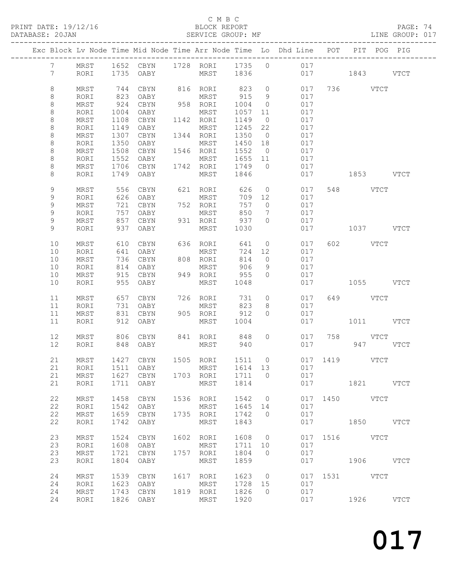PRINT DATE: 19/12/16 BLOCK REPORT<br>DATABASE: 20JAN BATABASE: 2017

### C M B C<br>BLOCK REPORT

PAGE: 74<br>LINE GROUP: 017

|  |                 |      |      | Exc Block Lv Node Time Mid Node Time Arr Node Time Lo Dhd Line POT PIT POG PIG |      |           |         |                 |               |               |           |      |
|--|-----------------|------|------|--------------------------------------------------------------------------------|------|-----------|---------|-----------------|---------------|---------------|-----------|------|
|  | $7\phantom{.0}$ | MRST |      | 1652 CBYN 1728 RORI 1735 0 017                                                 |      |           |         |                 |               |               |           |      |
|  | $7\phantom{.0}$ | RORI |      | 1735 OABY MRST 1836                                                            |      |           |         |                 |               |               |           |      |
|  |                 |      |      |                                                                                |      |           |         |                 | 017 1843 VTCT |               |           |      |
|  |                 |      |      |                                                                                |      |           |         |                 |               |               |           |      |
|  | $\,8\,$         | MRST | 744  | CBYN                                                                           |      | 816 RORI  | 823     | $\overline{0}$  | 017           |               | 736 VTCT  |      |
|  | 8               | RORI | 823  | OABY                                                                           |      | MRST      | 915     | 9               | 017           |               |           |      |
|  | $\,8\,$         | MRST | 924  | CBYN                                                                           |      | 958 RORI  | 1004    | $\overline{0}$  | 017           |               |           |      |
|  | $\,8\,$         | RORI | 1004 | OABY                                                                           |      | MRST      | 1057    | 11              | 017           |               |           |      |
|  | $\,8\,$         | MRST | 1108 | CBYN                                                                           |      | 1142 RORI | 1149    | $\overline{0}$  | 017           |               |           |      |
|  | 8               | RORI | 1149 | OABY                                                                           |      | MRST      | 1245    | 22              | 017           |               |           |      |
|  | $\,8\,$         | MRST | 1307 | CBYN                                                                           |      | 1344 RORI | 1350    | $\overline{0}$  | 017           |               |           |      |
|  | $\,8\,$         | RORI | 1350 | OABY                                                                           |      | MRST      | 1450    | 18              | 017           |               |           |      |
|  | $\,8\,$         | MRST | 1508 | CBYN                                                                           |      | 1546 RORI | 1552    | $\overline{0}$  | 017           |               |           |      |
|  | 8               | RORI | 1552 | OABY                                                                           |      | MRST      | 1655 11 |                 | 017           |               |           |      |
|  | $\,8\,$         | MRST | 1706 | CBYN                                                                           |      | 1742 RORI | 1749    | $\overline{0}$  | 017           |               |           |      |
|  | 8               | RORI | 1749 | OABY                                                                           |      | MRST      | 1846    |                 | 017           |               | 1853 VTCT |      |
|  |                 |      |      |                                                                                |      |           |         |                 |               |               |           |      |
|  | 9               | MRST | 556  | CBYN                                                                           |      | 621 RORI  | 626     | $\circ$         | 017           |               | 548 VTCT  |      |
|  | 9               | RORI | 626  | OABY                                                                           |      | MRST      | 709     | 12              | 017           |               |           |      |
|  | $\mathsf 9$     | MRST | 721  | CBYN                                                                           |      | 752 RORI  | 757     | $\overline{0}$  | 017           |               |           |      |
|  | 9               | RORI | 757  | OABY                                                                           |      | MRST      | 850     | $7\overline{ }$ | 017           |               |           |      |
|  | 9               | MRST | 857  | CBYN                                                                           |      | 931 RORI  | 937     | $\circ$         | 017           |               |           |      |
|  | 9               | RORI | 937  | OABY                                                                           |      | MRST      | 1030    |                 | 017           |               | 1037 VTCT |      |
|  |                 |      |      |                                                                                |      |           |         |                 |               |               |           |      |
|  | 10              | MRST | 610  | CBYN                                                                           |      | 636 RORI  | 641     | $\circ$         | 017           |               | 602 VTCT  |      |
|  | 10              | RORI | 641  | OABY                                                                           |      | MRST      | 724     | 12              | 017           |               |           |      |
|  | 10              | MRST | 736  | CBYN                                                                           |      | 808 RORI  | 814     | $\overline{0}$  | 017           |               |           |      |
|  | 10              | RORI | 814  | OABY                                                                           |      | MRST      | 906     | 9               | 017           |               |           |      |
|  | 10              | MRST | 915  | CBYN                                                                           |      | 949 RORI  | 955     | $\circ$         | 017           |               |           |      |
|  | 10              | RORI | 955  | OABY                                                                           |      | MRST      | 1048    |                 | 017           |               | 1055 VTCT |      |
|  |                 |      |      |                                                                                |      |           |         |                 |               |               |           |      |
|  | 11              | MRST | 657  | CBYN                                                                           |      | 726 RORI  | 731     | $\circ$         | 017           |               | 649 VTCT  |      |
|  | 11              | RORI | 731  | OABY                                                                           |      | MRST      | 823     | 8               | 017           |               |           |      |
|  | 11              | MRST | 831  | CBYN                                                                           |      | 905 RORI  | 912     | $\Omega$        | 017           |               |           |      |
|  | 11              | RORI | 912  | OABY                                                                           |      | MRST      | 1004    |                 | 017           |               | 1011 VTCT |      |
|  |                 |      |      |                                                                                |      |           |         |                 |               |               |           |      |
|  | 12              | MRST | 806  | CBYN                                                                           |      | 841 RORI  | 848     | $\circ$         | 017           |               | 758 VTCT  |      |
|  | 12              | RORI | 848  | OABY                                                                           |      | MRST      | 940     |                 | 017           |               | 947 VTCT  |      |
|  |                 |      |      |                                                                                |      |           |         |                 |               |               |           |      |
|  | 21              | MRST |      | 1427 CBYN 1505 RORI 1511 0                                                     |      |           |         |                 |               | 017 1419 VTCT |           |      |
|  | 21              | RORI | 1511 | OABY                                                                           |      | MRST      | 1614 13 |                 | 017           |               |           |      |
|  | 21              | MRST | 1627 | CBYN                                                                           |      | 1703 RORI | 1711    | $\overline{0}$  | 017           |               |           |      |
|  | 21              | RORI | 1711 | OABY                                                                           |      | MRST      | 1814    |                 | 017           |               | 1821 VTCT |      |
|  |                 |      |      |                                                                                |      |           |         |                 |               |               |           |      |
|  | 22              | MRST | 1458 | CBYN                                                                           |      | 1536 RORI | 1542    | $\circ$         | 017           |               | 1450 VTCT |      |
|  | 22              | RORI | 1542 | OABY                                                                           |      | MRST      | 1645    | 14              | 017           |               |           |      |
|  | 22              | MRST | 1659 | CBYN                                                                           | 1735 | RORI      | 1742    | $\circ$         | 017           |               |           |      |
|  | 22              | RORI | 1742 | OABY                                                                           |      | MRST      | 1843    |                 | 017           |               | 1850 VTCT |      |
|  |                 |      |      |                                                                                |      |           |         |                 |               |               |           |      |
|  | 23              | MRST | 1524 | CBYN                                                                           |      | 1602 RORI | 1608    | $\overline{0}$  | 017           | 1516          | VTCT      |      |
|  | 23              | RORI | 1608 | OABY                                                                           |      | MRST      | 1711    | 10              | 017           |               |           |      |
|  | 23              | MRST | 1721 | CBYN                                                                           | 1757 | RORI      | 1804    | $\circ$         | 017           |               |           |      |
|  | 23              | RORI | 1804 | OABY                                                                           |      | MRST      | 1859    |                 | 017           |               | 1906 VTCT |      |
|  |                 |      |      |                                                                                |      |           |         |                 |               |               |           |      |
|  | 24              | MRST | 1539 | CBYN                                                                           | 1617 | RORI      | 1623    | $\overline{0}$  | 017           |               | 1531 VTCT |      |
|  | 24              | RORI | 1623 | OABY                                                                           |      | MRST      | 1728    | 15              | 017           |               |           |      |
|  | 24              | MRST | 1743 | CBYN                                                                           | 1819 | RORI      | 1826    | $\Omega$        | 017           |               |           |      |
|  | 24              | RORI | 1826 | OABY                                                                           |      | MRST      | 1920    |                 | 017           |               | 1926      | VTCT |
|  |                 |      |      |                                                                                |      |           |         |                 |               |               |           |      |
|  |                 |      |      |                                                                                |      |           |         |                 |               |               |           |      |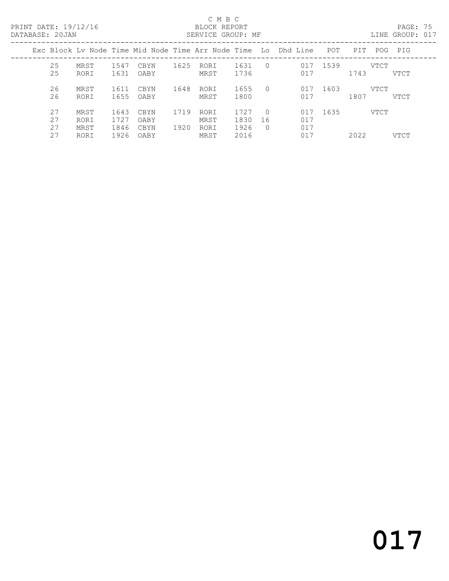PRINT DATE: 19/12/16 BLOCK REPORT<br>DATABASE: 20JAN BATABASE: 20JAN

#### C M B C<br>BLOCK REPORT

PAGE: 75<br>LINE GROUP: 017

| <u>DIIIIDIIDI. ZUUIN</u> |                      |                      |                      |              | PHILL TO RIVOIT . TH |                      |                            |                                                                    |      |      |      | TTM GIVOL . ATT |
|--------------------------|----------------------|----------------------|----------------------|--------------|----------------------|----------------------|----------------------------|--------------------------------------------------------------------|------|------|------|-----------------|
|                          |                      |                      |                      |              |                      |                      |                            | Exc Block Lv Node Time Mid Node Time Arr Node Time Lo Dhd Line POT |      | PIT  |      | POG PIG         |
| 25<br>25                 | MRST<br>RORI         | 1547<br>1631         | CBYN<br>OABY         | 1625         | RORI<br>MRST         | 1631<br>1736         | $\Omega$                   | 017<br>017                                                         | 1539 | 1743 | VTCT | VTCT            |
| 26<br>26                 | MRST<br>RORI         | 1611<br>1655         | CBYN<br>OABY         | 1648         | RORI<br>MRST         | 1655<br>1800         | $\Omega$                   | 017<br>017                                                         | 1603 | 1807 | VTCT | VTCT            |
| 27<br>27<br>27           | MRST<br>RORI<br>MRST | 1643<br>1727<br>1846 | CBYN<br>OABY<br>CBYN | 1719<br>1920 | RORI<br>MRST<br>RORI | 1727<br>1830<br>1926 | $\Omega$<br>16<br>$\Omega$ | 017<br>017<br>017                                                  | 1635 |      | VTCT |                 |
| 27                       | RORI                 | 1926                 | OABY                 |              | MRST                 | 2016                 |                            | 017                                                                |      | 2022 |      | <b>VTCT</b>     |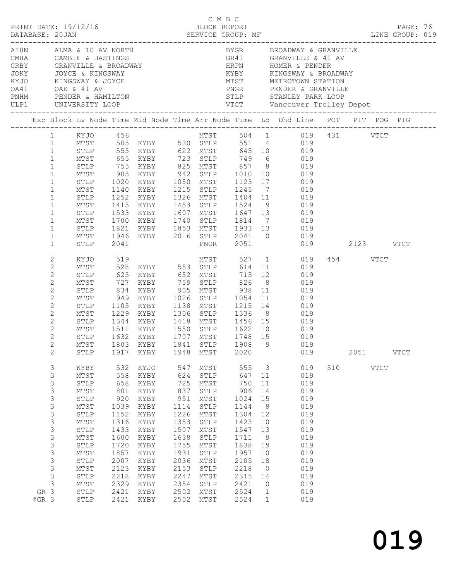|                                                                                                                                                                                                                 |                                                                                                                                                                                                                                              |                                                                                                                                         |                                                                                                                                                                                                           |                                                                                                                                         | C M B C                                                                                                                                                                      |                                                                                                                                          |                                                                                                              | LINE GROUP: 019                                                                                                                                                                                                                                                                                                                                                                                                                                                                |     |          |             |             |  |
|-----------------------------------------------------------------------------------------------------------------------------------------------------------------------------------------------------------------|----------------------------------------------------------------------------------------------------------------------------------------------------------------------------------------------------------------------------------------------|-----------------------------------------------------------------------------------------------------------------------------------------|-----------------------------------------------------------------------------------------------------------------------------------------------------------------------------------------------------------|-----------------------------------------------------------------------------------------------------------------------------------------|------------------------------------------------------------------------------------------------------------------------------------------------------------------------------|------------------------------------------------------------------------------------------------------------------------------------------|--------------------------------------------------------------------------------------------------------------|--------------------------------------------------------------------------------------------------------------------------------------------------------------------------------------------------------------------------------------------------------------------------------------------------------------------------------------------------------------------------------------------------------------------------------------------------------------------------------|-----|----------|-------------|-------------|--|
|                                                                                                                                                                                                                 | ULP1 UNIVERSITY LOOP                                                                                                                                                                                                                         |                                                                                                                                         | A10N ALMA & 10 AV NORTH<br>CMHA CAMBIE & HASTINGS<br>GRBY GRANVILLE & BROADWAY<br>JOKY JOYCE & KINGSWAY<br>KYJO KINGSWAY & JOYCE<br>OA41 OAK & 41 AV<br>PINHM PENDER & HAMILTON<br>WIMM PENDER & HAMILTON |                                                                                                                                         |                                                                                                                                                                              |                                                                                                                                          |                                                                                                              | BYGR BROADWAY & GRANVILLE<br>KYBY KINGSWAY & BROADWAY                                                                                                                                                                                                                                                                                                                                                                                                                          |     |          |             |             |  |
|                                                                                                                                                                                                                 |                                                                                                                                                                                                                                              |                                                                                                                                         |                                                                                                                                                                                                           |                                                                                                                                         |                                                                                                                                                                              |                                                                                                                                          |                                                                                                              | Exc Block Lv Node Time Mid Node Time Arr Node Time Lo Dhd Line POT PIT POG PIG                                                                                                                                                                                                                                                                                                                                                                                                 |     |          |             |             |  |
| $\mathbf{1}$<br>$\mathbf{1}$<br>$\mathbf{1}$<br>$\mathbf{1}$<br>$\mathbf{1}$<br>$\mathbf{1}$<br>$\mathbf 1$<br>$\mathbf{1}$<br>$\mathbf{1}$<br>$\mathbf{1}$<br>$\mathbf{1}$<br>$\mathbf 1$<br>$\mathbf{1}$<br>2 | STLP<br>MTST<br>STLP<br>MTST<br>STLP<br>MTST<br>STLP<br>MTST<br>STLP<br>MTST<br>STLP<br>STLP<br>KYJO 519                                                                                                                                     | 2041                                                                                                                                    |                                                                                                                                                                                                           |                                                                                                                                         |                                                                                                                                                                              |                                                                                                                                          |                                                                                                              | 1 KYJO 456 MTST 504 1 019 431 VTCT<br>1 MTST 505 KYBY 530 STLP 551 4 019<br>755 KYBY 825 MTST 857 8 019<br>905 KYBY 942 STLP 1010 10 019<br>1020 KYBY 1050 MTST 1123 17 019<br>1140 KYBY 1215 STLP 1245 7 019<br>1252 KYBY 1326 MTST 1404 11 019<br>1415 KYBY 1453 STLP 1524 9 019<br>1533 KYBY 1607 MTST 1647 13 019<br>1700 KYBY 1740 STLP 1814 7 019<br>1821 KYBY 1853 MTST 1933 13 019<br>MTST 1946 KYBY 2016 STLP 2041 0 019<br>PNGR 2051 019 2123 VTCT<br>MTST 527 1 019 |     | 454 VTCT |             |             |  |
| $\mathbf{2}$<br>$\mathbf{2}$<br>$\mathbf{2}$<br>$\mathbf{2}$<br>$\mathbf{2}$<br>$\mathbf{2}$<br>$\overline{c}$<br>$\mathbf{2}$<br>$\mathbf{2}$<br>2<br>$2\overline{ }$<br>$\mathbf{2}$                          | MTST<br>STLP<br>MTST<br>STLP<br>MTST<br>STLP<br>MTST<br>STLP<br>STLP                                                                                                                                                                         | 727<br>834<br>1105<br>1917                                                                                                              | 625 KYBY 652 MTST<br>KYBY 759 STLP 826 8<br>KYBY 905 MTST 938 11<br>1632 KYBY 1707 MTST<br>MTST 1803 KYBY 1841 STLP 1908 9<br>KYBY                                                                        | 1948                                                                                                                                    | MTST                                                                                                                                                                         | 1748 15<br>2020                                                                                                                          |                                                                                                              | 528 KYBY 553 STLP 614 11 019<br>715 12 019<br>$019$<br>$019$<br>949 KYBY 1026 STLP 1054 11 019<br>KYBY 1138 MTST 1215 14 019<br>MTST 1229 KYBY 1306 STLP 1336 8 019<br>STLP 1344 KYBY 1418 MTST 1456 15 019<br>1511 KYBY 1550 STLP 1622 10 019<br>019<br>019<br>019                                                                                                                                                                                                            |     | 2051     |             | <b>VTCT</b> |  |
| 3<br>$\mathsf S$<br>3<br>3<br>3<br>$\mathsf S$<br>$\mathsf 3$<br>3<br>3<br>3<br>$\mathfrak{Z}$<br>3<br>3<br>3<br>$\mathsf S$<br>3<br>GR 3<br>$#GR$ 3                                                            | KYBY<br>$\mathtt{MTST}$<br>STLP<br>$\mathtt{MTST}$<br>STLP<br>$\mathtt{MTST}$<br>STLP<br>$\mathtt{MTST}$<br>STLP<br>$\mathtt{MTST}$<br>STLP<br>$\mathtt{MTST}$<br>${\tt STLP}$<br>$\mathtt{MTST}$<br>STLP<br>$\mathtt{MTST}$<br>STLP<br>STLP | 532<br>558<br>658<br>801<br>920<br>1039<br>1152<br>1316<br>1433<br>1600<br>1720<br>1857<br>2007<br>2123<br>2218<br>2329<br>2421<br>2421 | KYJO<br>KYBY<br>KYBY<br>KYBY<br>KYBY<br>KYBY<br>KYBY<br>KYBY<br>KYBY<br>KYBY<br>KYBY<br>KYBY<br>KYBY<br>KYBY<br>KYBY<br>KYBY<br>KYBY<br>KYBY                                                              | 547<br>624<br>725<br>837<br>951<br>1114<br>1226<br>1353<br>1507<br>1638<br>1755<br>1931<br>2036<br>2153<br>2247<br>2354<br>2502<br>2502 | MTST<br>${\tt STLP}$<br>MTST<br>${\tt STLP}$<br>MTST<br>${\tt STLP}$<br>MTST<br>STLP<br>MTST<br>STLP<br>MTST<br>${\tt STLP}$<br>MTST<br>STLP<br>MTST<br>STLP<br>MTST<br>MTST | 555<br>647<br>750<br>906<br>1024<br>1144<br>1304<br>1423<br>1547<br>1711<br>1838<br>1957<br>2105<br>2218<br>2315<br>2421<br>2524<br>2524 | 3<br>11<br>11<br>14<br>15<br>8<br>12<br>10<br>13<br>9<br>19<br>10<br>18<br>0<br>14<br>0<br>1<br>$\mathbf{1}$ | 019<br>019<br>019<br>019<br>019<br>019<br>019<br>019<br>019<br>019<br>019<br>019<br>019<br>019<br>019<br>019<br>019<br>019                                                                                                                                                                                                                                                                                                                                                     | 510 |          | <b>VTCT</b> |             |  |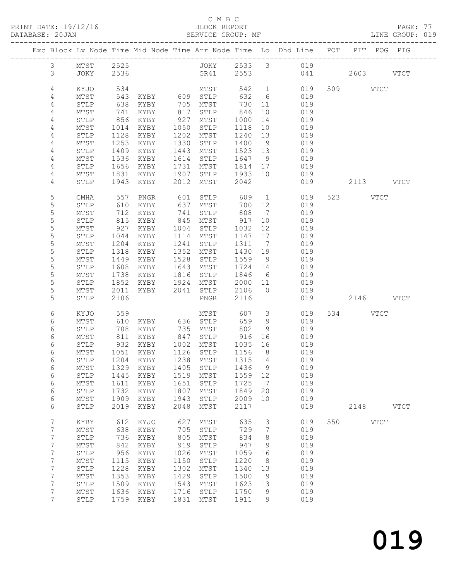PRINT DATE: 19/12/16 BLOCK REPORT BATABASE: 20JAN BLOCK REPORT

#### C M B C<br>BLOCK REPORT

PAGE: 77<br>LINE GROUP: 019

|                |              |             |                                 |      |                   |         |                | Exc Block Lv Node Time Mid Node Time Arr Node Time Lo Dhd Line POT PIT POG PIG |     |           |             |             |
|----------------|--------------|-------------|---------------------------------|------|-------------------|---------|----------------|--------------------------------------------------------------------------------|-----|-----------|-------------|-------------|
| 3 <sup>7</sup> | MTST         | 2525        |                                 |      |                   |         |                | JOKY 2533 3 019                                                                |     |           |             |             |
| $\mathcal{S}$  | JOKY         | 2536        |                                 |      | GR41              | 2553    |                | 041                                                                            |     | 2603 VTCT |             |             |
|                |              |             |                                 |      |                   |         |                |                                                                                |     |           |             |             |
| 4              | KYJO         | 534         |                                 |      | MTST              |         |                | 542 1<br>019                                                                   |     | 509 VTCT  |             |             |
| 4              | MTST         | 543         | KYBY 609 STLP                   |      |                   | 632     | 6              | 019                                                                            |     |           |             |             |
| 4              | STLP         | 638         | KYBY                            | 705  | MTST              | 730     | 11             | 019                                                                            |     |           |             |             |
| 4              | MTST         | 741         | KYBY                            | 817  | STLP              | 846     | 10             | 019                                                                            |     |           |             |             |
| 4              | STLP         | 856         | KYBY                            | 927  | MTST              | 1000    | 14             | 019                                                                            |     |           |             |             |
| 4              | MTST         | 1014        | KYBY                            | 1050 | STLP              | 1118    | 10             | 019                                                                            |     |           |             |             |
| 4              | STLP         | 1128        | KYBY                            | 1202 | MTST              | 1240    | 13             | 019                                                                            |     |           |             |             |
| 4              | MTST         | 1253        | KYBY                            | 1330 | STLP              | 1400    | 9              | 019                                                                            |     |           |             |             |
| 4              | STLP         | 1409        | KYBY                            | 1443 | MTST              | 1523 13 |                | 019                                                                            |     |           |             |             |
| 4              | MTST         | 1536        | KYBY                            | 1614 | STLP              | 1647    | 9              | 019                                                                            |     |           |             |             |
| 4              | STLP         | 1656        | KYBY                            | 1731 | MTST              | 1814    | 17             | 019                                                                            |     |           |             |             |
| 4              | MTST         | 1831        | KYBY                            | 1907 | STLP              | 1933    | 10             | 019                                                                            |     |           |             |             |
| 4              | STLP         | 1943        | KYBY                            | 2012 | MTST              | 2042    |                | 019                                                                            |     | 2113 VTCT |             |             |
|                |              |             |                                 |      |                   |         |                |                                                                                |     |           |             |             |
| 5              | <b>CMHA</b>  | 557         | PNGR                            | 601  | STLP              | 609     | $\mathbf{1}$   | 019                                                                            |     | 523 VTCT  |             |             |
| 5              | STLP         | 610         | KYBY                            | 637  | MTST              | 700     | 12             | 019                                                                            |     |           |             |             |
| $\mathsf S$    | MTST         | 712         | KYBY                            | 741  | STLP              | 808     | $\overline{7}$ | 019                                                                            |     |           |             |             |
| 5              | ${\tt STLP}$ | 815         | KYBY                            | 845  | MTST              | 917     | 10             | 019                                                                            |     |           |             |             |
| 5              | MTST         | 927         | KYBY                            | 1004 | STLP              | 1032    | 12             | 019                                                                            |     |           |             |             |
| 5              | STLP         | 1044        | KYBY                            | 1114 | MTST              | 1147    | 17             | 019                                                                            |     |           |             |             |
| $\mathsf S$    | MTST         | 1204        | KYBY                            | 1241 | STLP              | 1311    | $\overline{7}$ | 019                                                                            |     |           |             |             |
| 5              | STLP         | 1318        | KYBY                            | 1352 | MTST              | 1430    | 19             | 019                                                                            |     |           |             |             |
| 5              | MTST         | 1449        | KYBY                            | 1528 | STLP              | 1559    | 9              | 019                                                                            |     |           |             |             |
| 5              | STLP         | 1608        | KYBY                            | 1643 | MTST              | 1724    | 14             | 019                                                                            |     |           |             |             |
| 5              | MTST         | 1738        | KYBY                            | 1816 | STLP              | 1846    | 6              | 019                                                                            |     |           |             |             |
| 5              | STLP         | 1852        | KYBY                            | 1924 | MTST              | 2000    | 11             | 019                                                                            |     |           |             |             |
| 5              | MTST         | 2011        | KYBY                            | 2041 | STLP              | 2106    | $\overline{0}$ | 019                                                                            |     |           |             |             |
| 5              | STLP         | 2106        |                                 |      | PNGR              | 2116    |                | 019                                                                            |     | 2146 VTCT |             |             |
|                |              |             |                                 |      |                   |         |                |                                                                                |     |           |             |             |
| 6              | KYJO         | 559         |                                 |      | MTST              | 607     | $\mathcal{S}$  | 019                                                                            |     | 534 VTCT  |             |             |
| 6              | MTST         | 610         | KYBY                            |      | 636 STLP          | 659     | 9              | 019                                                                            |     |           |             |             |
| 6              | STLP         | 708         | KYBY                            | 735  | MTST              | 802     | 9              | 019                                                                            |     |           |             |             |
| 6              | MTST         | 811         | KYBY                            | 847  | STLP              | 916     | 16             | 019                                                                            |     |           |             |             |
| 6              | STLP         | 932<br>1051 | KYBY                            | 1002 | MTST<br>STLP 1156 | 1035    | 16             | 019                                                                            |     |           |             |             |
| 6<br>6         | MTST<br>STLP |             | KYBY<br>1204 KYBY               | 1126 | 1238 MTST         | 1315 14 | 8 <sup>8</sup> | 019<br>019                                                                     |     |           |             |             |
| $6\,$          |              |             | MTST 1329 KYBY 1405 STLP 1436 9 |      |                   |         |                | 019                                                                            |     |           |             |             |
| 6              | STLP         | 1445        | KYBY                            | 1519 | MTST              | 1559    | 12             | 019                                                                            |     |           |             |             |
| 6              | MTST         | 1611        | KYBY                            | 1651 | STLP              | 1725    | 7              | 019                                                                            |     |           |             |             |
| 6              | STLP         | 1732        | KYBY                            | 1807 | MTST              | 1849    | 20             | 019                                                                            |     |           |             |             |
| 6              | MTST         | 1909        | KYBY                            | 1943 | STLP              | 2009    | 10             | 019                                                                            |     |           |             |             |
| 6              | STLP         | 2019        | KYBY                            | 2048 | MTST              | 2117    |                | 019                                                                            |     | 2148      |             | <b>VTCT</b> |
|                |              |             |                                 |      |                   |         |                |                                                                                |     |           |             |             |
| 7              | KYBY         | 612         | KYJO                            | 627  | MTST              | 635     | 3              | 019                                                                            | 550 |           | <b>VTCT</b> |             |
| 7              | MTST         | 638         | KYBY                            | 705  | STLP              | 729     | 7              | 019                                                                            |     |           |             |             |
| 7              | STLP         | 736         | KYBY                            | 805  | MTST              | 834     | 8              | 019                                                                            |     |           |             |             |
| 7              | MTST         | 842         | KYBY                            | 919  | STLP              | 947     | 9              | 019                                                                            |     |           |             |             |
| 7              | STLP         | 956         | KYBY                            | 1026 | MTST              | 1059    | 16             | 019                                                                            |     |           |             |             |
| 7              | MTST         | 1115        | KYBY                            | 1150 | STLP              | 1220    | 8              | 019                                                                            |     |           |             |             |
| 7              | STLP         | 1228        | KYBY                            | 1302 | MTST              | 1340    | 13             | 019                                                                            |     |           |             |             |
| 7              | $MTST$       | 1353        | KYBY                            | 1429 | STLP              | 1500    | 9              | 019                                                                            |     |           |             |             |
| 7              | STLP         | 1509        | KYBY                            | 1543 | MTST              | 1623    | 13             | 019                                                                            |     |           |             |             |
| 7              | MTST         | 1636        | KYBY                            | 1716 | STLP              | 1750    | 9              | 019                                                                            |     |           |             |             |
| 7              | STLP         | 1759        | KYBY                            | 1831 | MTST              | 1911    | 9              | 019                                                                            |     |           |             |             |
|                |              |             |                                 |      |                   |         |                |                                                                                |     |           |             |             |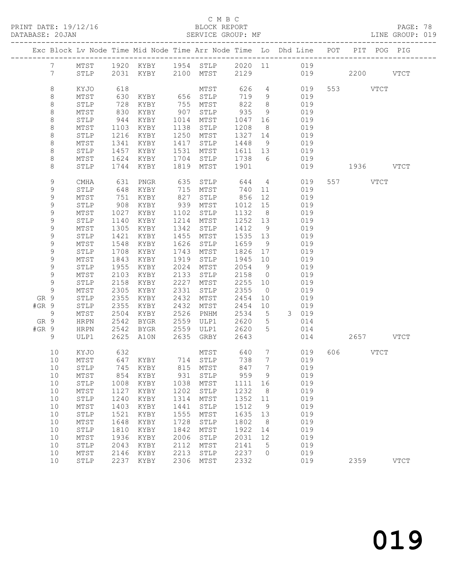#### C M B C<br>BLOCK REPORT

PAGE: 78<br>LINE GROUP: 019

|         |                 |              |      |                   |      |              |       |                 | Exc Block Lv Node Time Mid Node Time Arr Node Time Lo Dhd Line POT PIT POG PIG |     |           |      |             |
|---------|-----------------|--------------|------|-------------------|------|--------------|-------|-----------------|--------------------------------------------------------------------------------|-----|-----------|------|-------------|
|         | 7               | MTST         |      | 1920 KYBY         |      | 1954 STLP    |       |                 | 2020 11 019                                                                    |     |           |      |             |
|         | $7\phantom{.0}$ | STLP         | 2031 | KYBY              | 2100 | MTST         | 2129  |                 |                                                                                | 019 | 2200 VTCT |      |             |
|         | 8               | KYJO         | 618  |                   |      | MTST         | 626   | $\overline{4}$  | 019                                                                            |     | 553 VTCT  |      |             |
|         | 8               | MTST         | 630  | KYBY              | 656  | STLP         | 719   | 9               | 019                                                                            |     |           |      |             |
|         | $\,8\,$         | STLP         | 728  | KYBY              | 755  | MTST         | 822   | 8               | 019                                                                            |     |           |      |             |
|         | $\,8\,$         | MTST         | 830  | KYBY              | 907  | STLP         | 935   | 9               | 019                                                                            |     |           |      |             |
|         | 8               | STLP         | 944  | KYBY              | 1014 | MTST         | 1047  | 16              | 019                                                                            |     |           |      |             |
|         | $\,8\,$         | MTST         | 1103 | KYBY              | 1138 | STLP         | 1208  | - 8             | 019                                                                            |     |           |      |             |
|         | $\,8\,$         | STLP         | 1216 | KYBY              | 1250 | MTST         | 1327  | 14              | 019                                                                            |     |           |      |             |
|         | $\,8\,$         | MTST         | 1341 | KYBY              | 1417 | STLP         | 1448  | 9               | 019                                                                            |     |           |      |             |
|         | $\,8\,$         | STLP         | 1457 | KYBY              | 1531 | MTST         | 1611  | 13              | 019                                                                            |     |           |      |             |
|         | 8               | MTST         | 1624 | KYBY              | 1704 | STLP         | 1738  | 6               | 019                                                                            |     |           |      |             |
|         | 8               | STLP         | 1744 | KYBY              | 1819 | MTST         | 1901  |                 | 019                                                                            |     | 1936 VTCT |      |             |
|         | 9               | CMHA         | 631  | PNGR              | 635  | STLP         | 644   | $\overline{4}$  | 019                                                                            |     | 557 VTCT  |      |             |
|         | 9               | STLP         | 648  | KYBY              | 715  | MTST         | 740   | 11              | 019                                                                            |     |           |      |             |
|         | 9               | MTST         | 751  | KYBY              | 827  | STLP         | 856   | 12              | 019                                                                            |     |           |      |             |
|         | 9               | STLP         | 908  | KYBY              | 939  | MTST         | 1012  | 15              | 019                                                                            |     |           |      |             |
|         | $\mathsf 9$     | MTST         | 1027 | KYBY              | 1102 | ${\tt STLP}$ | 1132  | 8               | 019                                                                            |     |           |      |             |
|         | 9               | STLP         | 1140 | KYBY              | 1214 | MTST         | 1252  | 13              | 019                                                                            |     |           |      |             |
|         | 9               | MTST         | 1305 | KYBY              | 1342 | STLP         | 1412  | 9               | 019                                                                            |     |           |      |             |
|         | 9               | STLP         | 1421 | KYBY              | 1455 | MTST         | 1535  | 13              | 019                                                                            |     |           |      |             |
|         | $\mathsf 9$     | MTST         | 1548 | KYBY              | 1626 | STLP         | 1659  | 9               | 019                                                                            |     |           |      |             |
|         | 9               | STLP         | 1708 | KYBY              | 1743 | MTST         | 1826  | 17              | 019                                                                            |     |           |      |             |
|         | 9               | MTST         | 1843 | KYBY              | 1919 | STLP         | 1945  | 10              | 019                                                                            |     |           |      |             |
|         | 9               | STLP         | 1955 | KYBY              | 2024 | MTST         | 2054  | - 9             | 019                                                                            |     |           |      |             |
|         | $\mathsf 9$     | MTST         | 2103 | KYBY              | 2133 | STLP         | 2158  | $\overline{0}$  | 019                                                                            |     |           |      |             |
|         | $\mathsf 9$     | STLP         | 2158 | KYBY              | 2227 | MTST         | 2255  | 10              | 019                                                                            |     |           |      |             |
|         | 9               | MTST         | 2305 | KYBY              | 2331 | STLP         | 2355  | $\overline{0}$  | 019                                                                            |     |           |      |             |
| GR 9    |                 | STLP         | 2355 | KYBY              | 2432 | MTST         | 2454  | 10              | 019                                                                            |     |           |      |             |
| #GR 9   |                 | STLP         | 2355 | KYBY              | 2432 | MTST         | 2454  | 10              | 019                                                                            |     |           |      |             |
|         | 9               | ${\tt MTST}$ | 2504 | KYBY              | 2526 | PNHM         | 2534  | 5               | 3 <sup>7</sup><br>019                                                          |     |           |      |             |
| GR 9    |                 | <b>HRPN</b>  | 2542 | BYGR              | 2559 | ULP1         | 2620  | 5               | 014                                                                            |     |           |      |             |
| $#GR$ 9 |                 | HRPN         | 2542 | BYGR              | 2559 | ULP1         | 2620  | 5               | 014                                                                            |     |           |      |             |
|         | 9               | ULP1         | 2625 | A10N              | 2635 | GRBY         | 2643  |                 | 014                                                                            |     | 2657 VTCT |      |             |
|         | 10              | KYJO         | 632  |                   |      | MTST         | 640   | 7               | 019                                                                            | 606 |           | VTCT |             |
|         | 10              | MTST         |      | 647 KYBY 714 STLP |      |              | 738   | $7\overline{ }$ | 019                                                                            |     |           |      |             |
|         | 10              | STLP         |      | 745 KYBY          |      | 815 MTST     | 847 7 |                 | 019                                                                            |     |           |      |             |
|         | 10              | MTST         | 854  | KYBY              | 931  | STLP         | 959   | 9               | 019                                                                            |     |           |      |             |
|         | 10              | STLP         | 1008 | KYBY              | 1038 | MTST         | 1111  | 16              | 019                                                                            |     |           |      |             |
|         | 10              | MTST         | 1127 | KYBY              | 1202 | STLP         | 1232  | 8               | 019                                                                            |     |           |      |             |
|         | 10              | STLP         | 1240 | KYBY              | 1314 | MTST         | 1352  | 11              | 019                                                                            |     |           |      |             |
|         | 10              | MTST         | 1403 | KYBY              | 1441 | STLP         | 1512  | 9               | 019                                                                            |     |           |      |             |
|         | 10              | ${\tt STLP}$ | 1521 | KYBY              | 1555 | MTST         | 1635  | 13              | 019                                                                            |     |           |      |             |
|         | 10              | MTST         | 1648 | KYBY              | 1728 | STLP         | 1802  | 8               | 019                                                                            |     |           |      |             |
|         | 10              | STLP         | 1810 | KYBY              | 1842 | MTST         | 1922  | 14              | 019                                                                            |     |           |      |             |
|         | 10              | MTST         | 1936 | KYBY              | 2006 | STLP         | 2031  | 12              | 019                                                                            |     |           |      |             |
|         | 10              | STLP         | 2043 | KYBY              | 2112 | MTST         | 2141  | 5               | 019                                                                            |     |           |      |             |
|         | 10              | MTST         | 2146 | KYBY              | 2213 | STLP         | 2237  | $\Omega$        | 019                                                                            |     |           |      |             |
|         | 10              | STLP         | 2237 | KYBY              | 2306 | MTST         | 2332  |                 | 019                                                                            |     | 2359      |      | <b>VTCT</b> |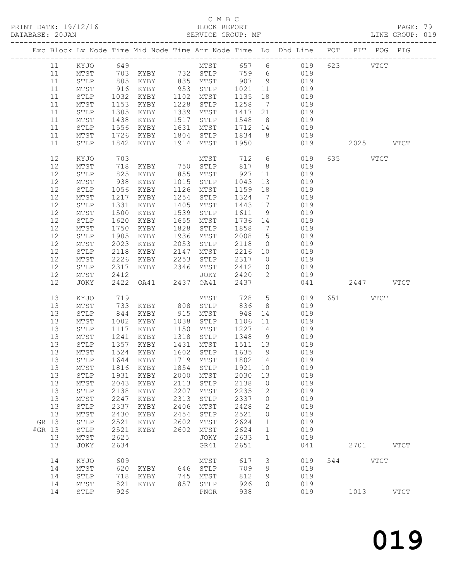PRINT DATE: 19/12/16 BLOCK REPORT<br>DATABASE: 20JAN BATABASE: 20JAN

## C M B C<br>BLOCK REPORT

PAGE: 79<br>LINE GROUP: 019

|        |    |                         |              |                      |      |                         |              |                 | ----------------------------<br>Exc Block Lv Node Time Mid Node Time Arr Node Time Lo Dhd Line POT PIT POG PIG |     |          |             |             |
|--------|----|-------------------------|--------------|----------------------|------|-------------------------|--------------|-----------------|----------------------------------------------------------------------------------------------------------------|-----|----------|-------------|-------------|
|        |    |                         |              |                      |      |                         |              |                 |                                                                                                                |     |          |             |             |
|        | 11 | KYJO                    | 649          |                      |      |                         |              |                 | MTST 657 6 019                                                                                                 |     | 623 VTCT |             |             |
|        | 11 | MTST                    |              |                      |      | 703 KYBY 732 STLP 759 6 |              |                 | 019                                                                                                            |     |          |             |             |
|        | 11 | ${\tt STLP}$            |              | KYBY                 |      | 835 MTST                | 907 9        |                 | 019                                                                                                            |     |          |             |             |
|        | 11 | MTST                    |              | 805 KYBY<br>916 KYBY | 953  | STLP                    | 1021         | 11              | 019                                                                                                            |     |          |             |             |
|        | 11 | STLP                    | 1032         | KYBY                 | 1102 | MTST                    | 1135         | 18              | 019                                                                                                            |     |          |             |             |
|        |    |                         |              |                      |      |                         |              |                 |                                                                                                                |     |          |             |             |
|        | 11 | MTST                    | 1153         | KYBY                 | 1228 | STLP                    | 1258         | $\overline{7}$  | 019                                                                                                            |     |          |             |             |
|        | 11 | STLP                    | 1305         | KYBY                 | 1339 | MTST                    | 1417         | 21              | 019                                                                                                            |     |          |             |             |
|        | 11 | MTST                    | 1438         | KYBY                 | 1517 | STLP                    | 1548         | 8 <sup>8</sup>  | 019                                                                                                            |     |          |             |             |
|        | 11 | $\texttt{STLP}$         | 1556         | KYBY                 | 1631 | MTST                    | 1712         | 14              | 019                                                                                                            |     |          |             |             |
|        | 11 | MTST                    | 1726         | KYBY                 | 1804 | STLP                    | 1834         | 8 <sup>8</sup>  | 019                                                                                                            |     |          |             |             |
|        |    |                         |              |                      |      |                         |              |                 |                                                                                                                |     |          |             |             |
|        | 11 | STLP                    | 1842         | KYBY                 | 1914 | MTST                    | 1950         |                 | 019                                                                                                            |     |          | 2025 VTCT   |             |
|        | 12 | KYJO                    | 703          |                      |      | MTST                    | 712          |                 | $6\overline{6}$<br>019                                                                                         | 635 | VTCT     |             |             |
|        | 12 | MTST                    | 718          | KYBY 750 STLP        |      |                         | 817          | 8 <sup>8</sup>  | 019                                                                                                            |     |          |             |             |
|        | 12 | STLP                    | 825          | KYBY                 | 855  | MTST                    | 927          | 11              | 019                                                                                                            |     |          |             |             |
|        |    |                         |              |                      |      |                         |              |                 |                                                                                                                |     |          |             |             |
|        | 12 | MTST                    | 938          | KYBY                 | 1015 | STLP                    | 1043         | 13              | 019                                                                                                            |     |          |             |             |
|        | 12 | STLP                    | 1056         | KYBY                 | 1126 | MTST                    | 1159         | 18              | 019                                                                                                            |     |          |             |             |
|        | 12 | MTST                    | 1217         | KYBY                 | 1254 | STLP                    | 1324         | $\overline{7}$  | 019                                                                                                            |     |          |             |             |
|        | 12 | STLP                    | 1331         | KYBY                 | 1405 | MTST                    | 1443         | 17              | 019                                                                                                            |     |          |             |             |
|        | 12 | MTST                    | 1500         | KYBY                 | 1539 | STLP                    | 1611         | 9               | 019                                                                                                            |     |          |             |             |
|        |    |                         |              |                      |      |                         |              |                 |                                                                                                                |     |          |             |             |
|        | 12 | STLP                    | 1620         | KYBY                 | 1655 | MTST                    | 1736 14      |                 | 019                                                                                                            |     |          |             |             |
|        | 12 | MTST                    | 1750         | KYBY                 | 1828 | STLP                    | 1858         | $\overline{7}$  | 019                                                                                                            |     |          |             |             |
|        | 12 | STLP                    | 1905         | KYBY                 | 1936 | MTST                    | 2008         | 15              | 019                                                                                                            |     |          |             |             |
|        | 12 | MTST                    | 2023         | KYBY                 | 2053 | STLP                    | 2118         | $\overline{0}$  | 019                                                                                                            |     |          |             |             |
|        | 12 | STLP                    | 2118         | KYBY                 | 2147 | MTST                    | 2216         | 10              | 019                                                                                                            |     |          |             |             |
|        |    |                         |              |                      |      |                         |              |                 |                                                                                                                |     |          |             |             |
|        | 12 | MTST                    | 2226         | KYBY                 | 2253 | STLP                    | 2317         | $\overline{0}$  | 019                                                                                                            |     |          |             |             |
|        | 12 | $\texttt{STLP}$         | 2317         | KYBY                 | 2346 | MTST                    | 2412         | $\overline{0}$  | 019                                                                                                            |     |          |             |             |
|        | 12 | MTST                    | 2412         |                      |      | JOKY                    | 2420         | $\overline{2}$  | 019                                                                                                            |     |          |             |             |
|        | 12 | JOKY                    | 2422         | OA41                 | 2437 | OA41                    | 2437         |                 | 041                                                                                                            |     |          | 2447 VTCT   |             |
|        | 13 | KYJO                    | 719          |                      |      | MTST                    | 728          | $5\overline{)}$ | 019                                                                                                            |     | 651 VTCT |             |             |
|        | 13 |                         | 733          |                      |      |                         | 836          | 8               | 019                                                                                                            |     |          |             |             |
|        |    | MTST                    |              | KYBY                 | 808  | STLP                    |              |                 |                                                                                                                |     |          |             |             |
|        | 13 | ${\tt STLP}$            | 844          | KYBY                 | 915  | MTST                    | 948          | 14              | 019                                                                                                            |     |          |             |             |
|        | 13 | MTST                    | 1002         | KYBY                 | 1038 | STLP                    | 1106         | 11              | 019                                                                                                            |     |          |             |             |
|        | 13 | $\texttt{STLP}$         | 1117         | KYBY                 | 1150 | MTST                    | 1227         | 14              | 019                                                                                                            |     |          |             |             |
|        | 13 | MTST                    | 1241         | KYBY                 | 1318 | STLP                    | 1348         | 9               | 019                                                                                                            |     |          |             |             |
|        |    |                         | 1357         |                      |      |                         |              |                 |                                                                                                                |     |          |             |             |
|        | 13 | STLP                    |              | KYBY                 | 1431 | MTST                    | 1511         | 13              | 019                                                                                                            |     |          |             |             |
|        |    |                         |              |                      |      |                         |              |                 |                                                                                                                |     |          |             |             |
|        | 13 | MTST                    |              | KYBY                 | 1602 | STLP                    | 1635         | 9               | 019                                                                                                            |     |          |             |             |
|        | 13 | STLP                    | 1524         | 1644 KYBY            |      | 1719 MTST               | 1802 14      |                 | 019                                                                                                            |     |          |             |             |
|        |    |                         |              |                      |      |                         |              |                 |                                                                                                                |     |          |             |             |
|        | 13 | MTST                    | 1816         | KYBY                 | 1854 | STLP                    | 1921         | 10              | 019                                                                                                            |     |          |             |             |
|        | 13 | STLP                    | 1931         | KYBY                 | 2000 | MTST                    | 2030         | 13              | 019                                                                                                            |     |          |             |             |
|        | 13 | $MTST$                  | 2043         | KYBY                 | 2113 | STLP                    | 2138         | $\overline{0}$  | 019                                                                                                            |     |          |             |             |
|        | 13 | STLP                    | 2138         | KYBY                 | 2207 | MTST                    | 2235         | 12              | 019                                                                                                            |     |          |             |             |
|        | 13 | MTST                    | 2247         | KYBY                 | 2313 | STLP                    | 2337         | $\circ$         | 019                                                                                                            |     |          |             |             |
|        |    |                         |              |                      |      |                         |              |                 |                                                                                                                |     |          |             |             |
|        | 13 | STLP                    | 2337         | KYBY                 | 2406 | MTST                    | 2428         | 2               | 019                                                                                                            |     |          |             |             |
|        | 13 | MTST                    | 2430         | KYBY                 | 2454 | STLP                    | 2521         | $\circ$         | 019                                                                                                            |     |          |             |             |
| GR 13  |    | ${\tt STLP}$            | 2521         | KYBY                 | 2602 | MTST                    | 2624         | $\mathbf{1}$    | 019                                                                                                            |     |          |             |             |
| #GR 13 |    | STLP                    | 2521         | KYBY                 | 2602 | MTST                    | 2624         | 1               | 019                                                                                                            |     |          |             |             |
|        | 13 |                         |              |                      |      |                         |              | $\mathbf 1$     | 019                                                                                                            |     |          |             |             |
|        | 13 | $\mathtt{MTST}$<br>JOKY | 2625<br>2634 |                      |      | JOKY<br>GR41            | 2633<br>2651 |                 | 041                                                                                                            |     | 2701     |             | <b>VTCT</b> |
|        |    |                         |              |                      |      |                         |              |                 |                                                                                                                |     |          |             |             |
|        | 14 | KYJO                    | 609          |                      |      | MTST                    | 617          | 3               | 019                                                                                                            | 544 |          | <b>VTCT</b> |             |
|        | 14 | $\mathtt{MTST}$         | 620          | KYBY                 | 646  | STLP                    | 709          | 9               | 019                                                                                                            |     |          |             |             |
|        | 14 | STLP                    | 718          | KYBY                 | 745  | MTST                    | 812          | 9               | 019                                                                                                            |     |          |             |             |
|        | 14 | MTST                    | 821          | KYBY                 | 857  | STLP                    | 926          | 0               | 019                                                                                                            |     |          |             |             |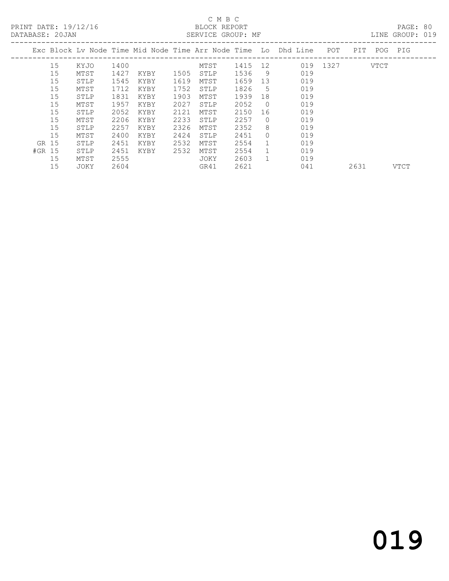PRINT DATE: 19/12/16 BLOCK REPORT BATABASE: 20JAN

## C M B C

PAGE: 80<br>LINE GROUP: 019

|        | DAIADAUE. ZUUAN |      |      |      |      | ULIVATOL GIVOU . PIP |         |                |                                                                |          |      |         | ATIMA GIVOLI . ATA |
|--------|-----------------|------|------|------|------|----------------------|---------|----------------|----------------------------------------------------------------|----------|------|---------|--------------------|
|        |                 |      |      |      |      |                      |         |                | Exc Block Lv Node Time Mid Node Time Arr Node Time Lo Dhd Line | POT      | PIT  | POG PIG |                    |
|        | 15              | KYJO | 1400 |      |      | MTST                 | 1415 12 |                |                                                                | 019 1327 |      | VTCT    |                    |
|        | 15              | MTST | 1427 | KYBY | 1505 | STLP                 | 1536    | -9             | 019                                                            |          |      |         |                    |
|        | 15              | STLP | 1545 | KYBY | 1619 | MTST                 | 1659    | 13             | 019                                                            |          |      |         |                    |
|        | 15              | MTST | 1712 | KYBY | 1752 | STLP                 | 1826    | 5              | 019                                                            |          |      |         |                    |
|        | 15              | STLP | 1831 | KYBY | 1903 | MTST                 | 1939    | 18             | 019                                                            |          |      |         |                    |
|        | 15              | MTST | 1957 | KYBY | 2027 | STLP                 | 2052    | $\bigcirc$     | 019                                                            |          |      |         |                    |
|        | 15              | STLP | 2052 | KYBY | 2121 | MTST                 | 2150    | 16             | 019                                                            |          |      |         |                    |
|        | 15              | MTST | 2206 | KYBY | 2233 | STLP                 | 2257    | $\Omega$       | 019                                                            |          |      |         |                    |
|        | 15              | STLP | 2257 | KYBY | 2326 | MTST                 | 2352    | 8              | 019                                                            |          |      |         |                    |
|        | 15              | MTST | 2400 | KYBY | 2424 | STLP                 | 2451    | $\Omega$       | 019                                                            |          |      |         |                    |
| GR 15  |                 | STLP | 2451 | KYBY | 2532 | MTST                 | 2554    |                | 019                                                            |          |      |         |                    |
| #GR 15 |                 | STLP | 2451 | KYBY | 2532 | MTST                 | 2554    | 1              | 019                                                            |          |      |         |                    |
|        | 15              | MTST | 2555 |      |      | JOKY                 | 2603    | $\overline{1}$ | 019                                                            |          |      |         |                    |
|        | 15              | JOKY | 2604 |      |      | GR41                 | 2621    |                | 041                                                            |          | 2631 |         | VTCT               |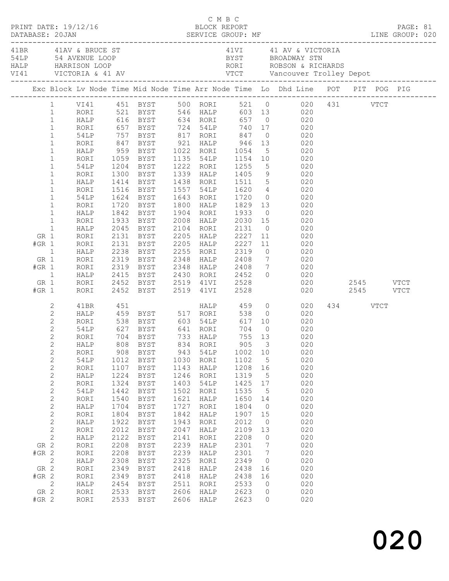|                |                |             |      |                                                            |      |           |              |         | Exc Block Lv Node Time Mid Node Time Arr Node Time Lo Dhd Line POT PIT POG PIG                                                                                                                |          |  |  |
|----------------|----------------|-------------|------|------------------------------------------------------------|------|-----------|--------------|---------|-----------------------------------------------------------------------------------------------------------------------------------------------------------------------------------------------|----------|--|--|
|                | $\mathbf{1}$   |             |      |                                                            |      |           |              |         | 1 VI41 451 BYST 500 RORI 521 0 020 431 VTCT<br>RORI 521 BYST 546 HALP 603 13 020<br>HALP 616 BYST 634 RORI 657 0 020<br>RORI 657 BYST 724 54LP 740 17 020<br>54LP 757 BYST 817 RORI 847 0 020 |          |  |  |
|                | $\mathbf{1}$   |             |      |                                                            |      |           |              |         |                                                                                                                                                                                               |          |  |  |
|                | $1\,$          |             |      |                                                            |      |           |              |         |                                                                                                                                                                                               |          |  |  |
|                | $\mathbf{1}$   |             |      |                                                            |      |           |              |         |                                                                                                                                                                                               |          |  |  |
|                | $\mathbf{1}$   | RORI        |      | 847 BYST 921 HALP 946                                      |      |           |              |         | 13 020                                                                                                                                                                                        |          |  |  |
|                | $\mathbf 1$    | HALP        |      |                                                            |      |           | 1054<br>1154 |         |                                                                                                                                                                                               |          |  |  |
|                | $\,1$          | RORI        |      | 959 BYST      1022   RORI<br>1059   BYST      1135   54LP  |      |           |              |         | $\begin{array}{ccc} & 5 & & 020 \\ 10 & & 020 \\ & 5 & & 020 \end{array}$                                                                                                                     |          |  |  |
|                | $\mathbf 1$    | 54LP        |      | 1204 BYST 1222 RORI                                        |      |           | 1255         |         |                                                                                                                                                                                               |          |  |  |
|                | $\mathbf 1$    | RORI        |      | 1300 BYST                                                  |      | 1339 HALP |              |         | 1405 9 020                                                                                                                                                                                    |          |  |  |
|                | $\mathbf 1$    | HALP        |      | 1414 BYST 1438 RORI                                        |      |           |              |         | 1511 5 020<br>1620 4 020<br>1720 0 020                                                                                                                                                        |          |  |  |
|                | $\,1$          | RORI        |      | 1516 BYST                                                  |      | 1557 54LP |              |         |                                                                                                                                                                                               |          |  |  |
|                | $\mathbf 1$    | 54LP        |      | 1624 BYST 1643 RORI                                        |      |           | 1720         |         |                                                                                                                                                                                               |          |  |  |
|                | $\mathbf 1$    | RORI        |      | 1720 BYST                                                  |      | 1800 HALP | 1829         |         | 13<br>020                                                                                                                                                                                     |          |  |  |
|                | $\mathbf{1}$   | HALP        |      | 1842 BYST                                                  |      | 1904 RORI | 1933         |         | $0 \qquad \qquad 020$                                                                                                                                                                         |          |  |  |
|                | $\mathbf{1}$   | RORI        |      | 1933 BYST                                                  |      | 2008 HALP | 2030         |         |                                                                                                                                                                                               |          |  |  |
|                | $\mathbf{1}$   | HALP        |      | 2045 BYST                                                  |      | 2104 RORI | 2131         |         | $\begin{array}{ccc} 15 & \hspace{1.5cm} 020 \\ \hspace{1.5cm} 0 & \hspace{1.5cm} 020 \end{array}$                                                                                             |          |  |  |
| GR 1           |                | RORI        |      | 2131 BYST                                                  |      | 2205 HALP | 2227         |         | 11<br>020                                                                                                                                                                                     |          |  |  |
| $#GR$ 1        |                | RORI        |      | 2131 BYST                                                  |      | 2205 HALP | 2227         |         | 11 020                                                                                                                                                                                        |          |  |  |
| $\overline{1}$ |                | HALP        |      | 2238 BYST      2255   RORI<br>2319   BYST      2348   HALP |      |           | 2319<br>2408 |         | $\begin{array}{ccc} 0 & \hspace{1.5cm} & 020 \\ 7 & \hspace{1.5cm} & 020 \end{array}$                                                                                                         |          |  |  |
| GR 1           |                | RORI        |      |                                                            |      |           |              |         |                                                                                                                                                                                               |          |  |  |
| $#GR$ 1        |                | RORI        |      | 2319 BYST 2348 HALP                                        |      |           | 2408 7       |         | 020                                                                                                                                                                                           |          |  |  |
|                | $\overline{1}$ | HALP        |      | 2415 BYST 2430 RORI                                        |      |           | 2452         |         | $0 \qquad \qquad 020$                                                                                                                                                                         |          |  |  |
| GR 1           |                | RORI        |      |                                                            |      |           |              |         |                                                                                                                                                                                               |          |  |  |
| $#GR$ 1        |                | RORI        |      | 2452 BYST     2519   41VI<br>2452   BYST      2519   41VI  |      |           | 2528<br>2528 |         |                                                                                                                                                                                               |          |  |  |
|                | 2              | 41BR        | 451  |                                                            |      |           | HALP 459     |         | $0 \qquad \qquad 020$                                                                                                                                                                         | 434 VTCT |  |  |
|                | $\mathbf{2}$   | HALP        |      |                                                            |      |           |              |         |                                                                                                                                                                                               |          |  |  |
|                | $\mathbf{2}$   | RORI        |      |                                                            |      |           |              |         | 459 BYST 517 RORI 538 0 020<br>538 BYST 603 54LP 617 10 020<br>627 BYST 641 RORI 704 0 020                                                                                                    |          |  |  |
|                | $\mathbf{2}$   | 54LP        |      |                                                            |      |           |              |         |                                                                                                                                                                                               |          |  |  |
|                | $\overline{2}$ | RORI        |      | 704 BYST 733 HALP                                          |      |           | 755 13       |         | 020                                                                                                                                                                                           |          |  |  |
|                | $2^{\circ}$    | HALP        |      | 808 BYST 834 RORI 905 3                                    |      |           |              |         | 020                                                                                                                                                                                           |          |  |  |
|                | $\sqrt{2}$     | RORI        | 908  | <b>BYST</b>                                                | 943  | 54LP      | 1002         | 10      | 020                                                                                                                                                                                           |          |  |  |
|                | $\sqrt{2}$     | 54LP        | 1012 | <b>BYST</b>                                                | 1030 | RORI      | 1102         | 5       | 020                                                                                                                                                                                           |          |  |  |
|                | $\sqrt{2}$     | RORI        | 1107 | BYST                                                       | 1143 | HALP      | 1208         | 16      | 020                                                                                                                                                                                           |          |  |  |
|                | $\sqrt{2}$     | HALP        | 1224 | BYST                                                       | 1246 | RORI      | 1319         | 5       | 020                                                                                                                                                                                           |          |  |  |
|                | $\sqrt{2}$     | RORI        | 1324 | <b>BYST</b>                                                | 1403 | 54LP      | 1425         | $17$    | 020                                                                                                                                                                                           |          |  |  |
|                | $\sqrt{2}$     | <b>54LP</b> | 1442 | ${\tt BYST}$                                               | 1502 | RORI      | 1535         | 5       | 020                                                                                                                                                                                           |          |  |  |
|                | $\mathbf{2}$   | RORI        | 1540 | <b>BYST</b>                                                | 1621 | HALP      | 1650         | 14      | 020                                                                                                                                                                                           |          |  |  |
|                | $\sqrt{2}$     | HALP        | 1704 | BYST                                                       | 1727 | RORI      | 1804         | $\circ$ | 020                                                                                                                                                                                           |          |  |  |
|                | $\sqrt{2}$     | RORI        | 1804 | BYST                                                       | 1842 | HALP      | 1907         | 15      | 020                                                                                                                                                                                           |          |  |  |
|                | $\sqrt{2}$     | HALP        | 1922 | BYST                                                       | 1943 | RORI      | 2012         | $\circ$ | 020                                                                                                                                                                                           |          |  |  |
|                | $\sqrt{2}$     | RORI        | 2012 | BYST                                                       | 2047 | HALP      | 2109         | 13      | 020                                                                                                                                                                                           |          |  |  |
|                | $\mathbf{2}$   | HALP        | 2122 | BYST                                                       | 2141 | RORI      | 2208         | 0       | 020                                                                                                                                                                                           |          |  |  |
| GR 2           |                | RORI        | 2208 | BYST                                                       | 2239 | HALP      | 2301         | 7       | 020                                                                                                                                                                                           |          |  |  |
| $#GR$ 2        |                | RORI        | 2208 | BYST                                                       | 2239 | HALP      | 2301         | 7       | 020                                                                                                                                                                                           |          |  |  |
|                | $\mathbf{2}$   | HALP        | 2308 | BYST                                                       | 2325 | RORI      | 2349         | 0       | 020                                                                                                                                                                                           |          |  |  |
| GR 2           |                | RORI        | 2349 | BYST                                                       | 2418 | HALP      | 2438         | 16      | 020                                                                                                                                                                                           |          |  |  |
| $#GR$ 2        |                | RORI        | 2349 | <b>BYST</b>                                                | 2418 | HALP      | 2438         | 16      | 020                                                                                                                                                                                           |          |  |  |
|                | $\mathbf{2}$   | HALP        | 2454 | BYST                                                       | 2511 | RORI      | 2533         | 0       | 020                                                                                                                                                                                           |          |  |  |
| GR 2           |                | RORI        | 2533 | BYST                                                       | 2606 | HALP      | 2623         | 0       | 020                                                                                                                                                                                           |          |  |  |
| $#GR$ 2        |                | RORI        | 2533 | <b>BYST</b>                                                | 2606 | HALP      | 2623         | 0       | 020                                                                                                                                                                                           |          |  |  |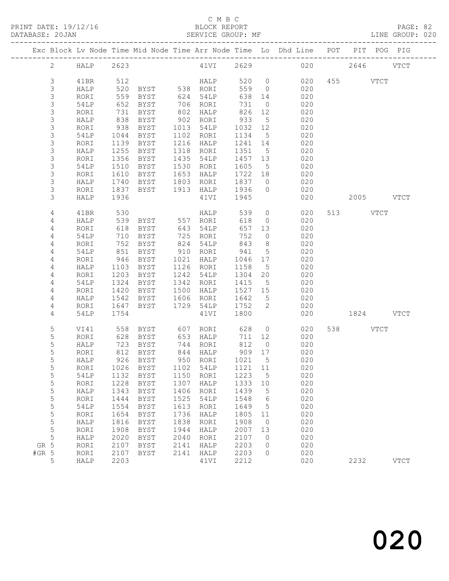|         |                |             |              |               |                      |             |      |                                                         |                 | Exc Block Lv Node Time Mid Node Time Arr Node Time Lo Dhd Line POT PIT POG PIG |           |               |
|---------|----------------|-------------|--------------|---------------|----------------------|-------------|------|---------------------------------------------------------|-----------------|--------------------------------------------------------------------------------|-----------|---------------|
|         | $\overline{2}$ | <b>HALP</b> | 2623         |               |                      |             |      |                                                         |                 | 41VI 2629 020 2646 VTCT                                                        |           |               |
|         | $\mathfrak{Z}$ | 41BR        | 512          |               |                      |             |      | HALP 520 0                                              |                 | 020                                                                            | 455 VTCT  |               |
|         | 3              | HALP        | 520          | BYST 538 RORI |                      |             |      | 559 0                                                   |                 | 020                                                                            |           |               |
|         | 3              | RORI        | 559          | BYST          |                      | 624 54LP    |      | 638                                                     | 14              | 020                                                                            |           |               |
|         | 3              | 54LP        | 652          | BYST          |                      | 706 RORI    |      | 731                                                     | $\overline{0}$  | 020                                                                            |           |               |
|         | 3              | RORI        | 731          | BYST          | 802 HALP             |             |      | 826                                                     | 12              | 020                                                                            |           |               |
|         | 3              | HALP        | 838          | BYST          | 902 RORI             |             |      | 933                                                     | $5^{\circ}$     | 020                                                                            |           |               |
|         | 3              | RORI        | 938          | BYST          | 1013 54LP            |             |      | 1032 12                                                 |                 | 020                                                                            |           |               |
|         | 3              | 54LP        | 1044         | BYST          | 1102 RORI            |             |      | 1134                                                    | $5\overline{)}$ | 020                                                                            |           |               |
|         | 3              | RORI        | 1139         | BYST          | 1216 HALP            |             |      | 1241 14                                                 |                 | 020                                                                            |           |               |
|         | $\mathsf 3$    | HALP        | 1255         | BYST          | 1318 RORI            |             |      | 1351                                                    | $5^{\circ}$     | 020                                                                            |           |               |
|         | 3              | RORI        | 1356         | BYST          | 1435 54LP            |             |      | 1457 13                                                 |                 | 020                                                                            |           |               |
|         | 3              | 54LP        | 1510         | BYST          | 1530 RORI            |             |      | 1605                                                    | $5^{\circ}$     | 020                                                                            |           |               |
|         | 3              | RORI        | 1610         | BYST          | 1653                 | <b>HALP</b> |      | 1722 18                                                 |                 | 020                                                                            |           |               |
|         | $\mathsf 3$    | HALP        | 1740         | BYST          | 1803 RORI            |             |      | 1837                                                    | $\overline{0}$  | 020                                                                            |           |               |
|         | 3              | RORI        | 1837         | BYST          |                      |             |      | 1913 HALP 1936<br>41VI 1945                             | $\overline{0}$  | 020                                                                            |           |               |
|         | $\mathfrak{Z}$ | HALP        | 1936         |               |                      | 41VI        |      | 1945                                                    |                 | 020                                                                            | 2005 VTCT |               |
|         | $\overline{4}$ | 41BR        | 530          |               |                      |             | HALP | 539                                                     | $\overline{0}$  | 020                                                                            | 513 VTCT  |               |
|         | 4              | HALP        | 539          | BYST 557 RORI |                      |             |      | 618                                                     | $\overline{0}$  | 020                                                                            |           |               |
|         | $\overline{4}$ | RORI        | 618          | BYST          |                      | 643 54LP    |      | 657 13                                                  |                 | 020                                                                            |           |               |
|         | 4              | 54LP        | 710          | BYST          |                      | 725 RORI    |      | 752                                                     | $\overline{0}$  | 020                                                                            |           |               |
|         | 4              | RORI        | 752          | BYST          | 824 54LP             |             |      | 843                                                     | 8 <sup>8</sup>  | 020                                                                            |           |               |
|         | 4              | 54LP        | 851          | BYST          | 910 RORI             |             |      | 941                                                     | $5^{\circ}$     | 020                                                                            |           |               |
|         | $\overline{4}$ | RORI        | 946          | BYST          | 1021 HALP            |             |      | 1046 17                                                 |                 | 020                                                                            |           |               |
|         | 4              | HALP        | 1103         | BYST          | 1126 RORI            |             |      | 1158                                                    | $5^{\circ}$     | 020                                                                            |           |               |
|         | 4              | RORI        | 1203         | BYST          | 1242 54LP            |             |      | 1304 20                                                 |                 | 020                                                                            |           |               |
|         | 4              | 54LP        | 1324         | BYST          | 1342 RORI            |             |      | 1415                                                    | $5^{\circ}$     | 020                                                                            |           |               |
|         | 4              | RORI        | 1420         | BYST          | 1500 HALP            |             |      | 1527 15                                                 |                 | 020                                                                            |           |               |
|         | $\overline{4}$ | HALP        | 1542         | BYST          | 1606 RORI            |             |      | 1642                                                    | $5\overline{)}$ | 020                                                                            |           |               |
|         | 4              | RORI        | 1647         | BYST          | 1729 54LP            |             |      | 1752                                                    | $\overline{2}$  | 020                                                                            |           |               |
|         | 4              | 54LP        | 1754         |               |                      | 41VI        |      | 1800                                                    |                 | 020                                                                            | 1824 VTCT |               |
|         | $\overline{5}$ | VI41        | 558          | BYST 607 RORI |                      |             |      | 628                                                     |                 | $\overline{0}$<br>020                                                          | 538 VTCT  |               |
|         | 5              | RORI        | 628          | BYST          | 653 HALP             |             |      | 711 12                                                  |                 | 020                                                                            |           |               |
|         | 5              | HALP        | 723          | BYST          |                      | 744 RORI    |      | 812                                                     | $\overline{0}$  | 020                                                                            |           |               |
|         | 5              | RORI        | 812          | BYST          | 844 HALP<br>950 RORI |             |      | $\begin{array}{cc}\n 909 & 17 \\  \hline\n \end{array}$ |                 | 020                                                                            |           |               |
|         | $\mathsf S$    | HALP        |              | 926 BYST      |                      |             |      | 1021 5                                                  |                 | 020                                                                            |           |               |
|         | 5              |             |              |               |                      |             |      |                                                         |                 | RORI 1026 BYST 1102 54LP 1121 11 020                                           |           |               |
|         | 5              | 54LP        | 1132         | BYST          | 1150                 | RORI        |      | 1223                                                    | 5               | 020                                                                            |           |               |
|         | 5              | RORI        | 1228         | BYST          | 1307                 | HALP        |      | 1333                                                    | 10              | 020                                                                            |           |               |
|         | 5              | HALP        | 1343         | BYST          | 1406                 | RORI        |      | 1439                                                    | 5               | 020                                                                            |           |               |
|         | 5              | RORI        | 1444         | BYST          | 1525                 | 54LP        |      | 1548                                                    | 6               | 020                                                                            |           |               |
|         | 5              | 54LP        | 1554         | BYST          | 1613                 | RORI        |      | 1649                                                    | 5               | 020                                                                            |           |               |
|         | $\mathsf S$    | RORI        | 1654         | <b>BYST</b>   | 1736                 | HALP        |      | 1805                                                    | 11              | 020                                                                            |           |               |
|         | 5              | HALP        | 1816         | BYST          | 1838                 | RORI        |      | 1908                                                    | $\overline{0}$  | 020                                                                            |           |               |
|         | 5              | RORI        | 1908         | <b>BYST</b>   | 1944                 | HALP        |      | 2007                                                    | 13              | 020                                                                            |           |               |
| GR 5    | 5              | HALP        | 2020         | BYST          | 2040                 | RORI        |      | 2107                                                    | $\mathbf{0}$    | 020                                                                            |           |               |
| $#GR$ 5 |                | RORI        | 2107<br>2107 | BYST          | 2141<br>2141         | HALP        |      | 2203<br>2203                                            | 0               | 020<br>020                                                                     |           |               |
|         |                | RORI        |              | BYST          |                      | HALP        |      |                                                         | $\mathbf{0}$    |                                                                                |           |               |
|         | 5              | HALP        | 2203         |               |                      | 41VI        |      | 2212                                                    |                 | 020                                                                            | 2232      | $_{\rm VTCT}$ |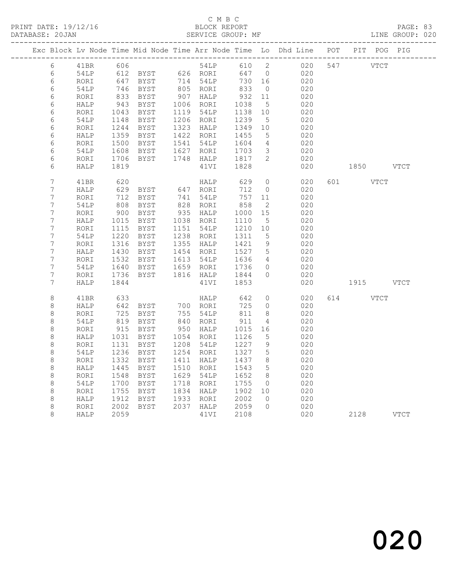|  |                    |              |              |                                                         |                                  |                   |                   | Exc Block Lv Node Time Mid Node Time Arr Node Time Lo Dhd Line POT PIT POG PIG |     |          |           |      |
|--|--------------------|--------------|--------------|---------------------------------------------------------|----------------------------------|-------------------|-------------------|--------------------------------------------------------------------------------|-----|----------|-----------|------|
|  | 6                  | 41BR         | 606          |                                                         | 54LP                             |                   |                   | 610 2<br>020                                                                   |     | 547 VTCT |           |      |
|  | 6                  | 54LP         |              | 612 BYST 626 RORI                                       |                                  | 647 0             |                   | 020                                                                            |     |          |           |      |
|  | 6                  | RORI         |              | 647 BYST<br>746 BYST<br>BYST                            | 714 54LP<br>805 RORI             | 730 16            |                   | 020                                                                            |     |          |           |      |
|  | 6                  | 54LP         |              |                                                         |                                  | 833               | $\overline{0}$    | 020                                                                            |     |          |           |      |
|  | 6                  | RORI         | 833          | BYST                                                    | 907 HALP<br>1006 RORI            | 932               | 11                | 020                                                                            |     |          |           |      |
|  | 6                  | HALP         | 943          | BYST                                                    |                                  | 1038              | $5^{\circ}$       | 020                                                                            |     |          |           |      |
|  | 6<br>6             | RORI         | 1043         | BYST                                                    | 1119 54LP<br>1206 RORI           | 1138              | 10<br>$5^{\circ}$ | 020                                                                            |     |          |           |      |
|  | 6                  | 54LP         | 1148         | BYST                                                    | 1323 HALP                        | 1239              |                   | 020<br>020                                                                     |     |          |           |      |
|  | 6                  | RORI<br>HALP | 1244<br>1359 | BYST<br>1359 BYST                                       | 1422 RORI                        | 1349 10<br>1455 5 |                   | 020                                                                            |     |          |           |      |
|  | 6                  | RORI         | 1500         |                                                         |                                  |                   | $\overline{4}$    | 020                                                                            |     |          |           |      |
|  | 6                  | 54LP         | 1608         | BYST 1541 54LP 1604<br>BYST 1627 RORI 1703              |                                  |                   | $\overline{3}$    | 020                                                                            |     |          |           |      |
|  | 6                  | RORI         | 1706         | BYST                                                    | 1748 HALP 1817                   |                   | $\overline{2}$    | 020                                                                            |     |          |           |      |
|  | 6                  | HALP         | 1819         |                                                         | 41VI                             | 1828              |                   | 020                                                                            |     |          | 1850 728  | VTCT |
|  |                    |              |              |                                                         |                                  |                   |                   |                                                                                |     |          |           |      |
|  | $\overline{7}$     | 41BR         | 620          |                                                         | HALP                             | 629               | $\overline{0}$    | 020                                                                            | 601 |          | VTCT      |      |
|  | $\boldsymbol{7}$   | HALP         | 629          | BYST 647 RORI                                           |                                  | 712               | $\overline{0}$    | 020                                                                            |     |          |           |      |
|  | $\boldsymbol{7}$   | RORI         | 712          | BYST                                                    | 741 54LP                         | 757 11            |                   | 020                                                                            |     |          |           |      |
|  | $\boldsymbol{7}$   | 54LP         | 808          | BYST                                                    | 828 RORI                         | 858               | $\overline{2}$    | 020                                                                            |     |          |           |      |
|  | $\boldsymbol{7}$   | RORI         | 900          | BYST                                                    | 935 HALP                         | 1000              | 15                | 020                                                                            |     |          |           |      |
|  | $\overline{7}$     | HALP         | 1015         | BYST                                                    | 1038 RORI                        | 1110              | $-5$              | 020                                                                            |     |          |           |      |
|  | $7\phantom{.0}$    | RORI         | 1115         | BYST                                                    | 1151 54LP                        | 1210 10           |                   | 020                                                                            |     |          |           |      |
|  | $7\phantom{.0}$    | 54LP         | 1220         | BYST                                                    | 1238 RORI                        | 1311              | 5                 | 020                                                                            |     |          |           |      |
|  | $7\phantom{.0}$    | RORI         | 1316         | BYST                                                    | 1355 HALP<br>1454 RORI           | 1421<br>1527      | 9                 | 020                                                                            |     |          |           |      |
|  | $7\phantom{.0}$    | HALP         |              | 1430 BYST                                               |                                  |                   | $5\overline{)}$   | 020                                                                            |     |          |           |      |
|  | $7\phantom{.0}$    | RORI         | 1532         | BYST                                                    | 1613 54LP                        | 1636<br>1736      | $\overline{4}$    | 020                                                                            |     |          |           |      |
|  | $7\phantom{.0}$    | 54LP         | 1640         | BYST                                                    | 1659 RORI                        |                   | $\overline{0}$    | 020                                                                            |     |          |           |      |
|  | 7<br>7             | RORI         | 1736         | BYST                                                    | 1816 HALP 1844<br>41VI 1853      |                   | $\Omega$          | 020                                                                            |     |          |           |      |
|  |                    | HALP         | 1844         |                                                         | 41VI                             | 1853              |                   | 020                                                                            |     |          | 1915 VTCT |      |
|  | $\,8\,$            | 41BR         | 633          |                                                         | HALP                             | 642               | $\circ$           | 020                                                                            |     | 614 VTCT |           |      |
|  | $\,8\,$            | HALP         |              | 642 BYST      700   RORI<br>725   BYST       755   54LP |                                  | 725               | $\overline{0}$    | 020                                                                            |     |          |           |      |
|  | $\,8\,$            | RORI         |              |                                                         |                                  | 811               | 8                 | 020                                                                            |     |          |           |      |
|  | $\,8\,$            | 54LP         | 819          | BYST                                                    | 840 RORI<br>950 HALP             | 911               | $\overline{4}$    | 020                                                                            |     |          |           |      |
|  | 8                  | RORI         |              | 915 BYST                                                |                                  | 1015              | 16                | 020                                                                            |     |          |           |      |
|  | 8                  | HALP         | 1031         | BYST                                                    | 1054 RORI<br>1208 54LP           | $1120$<br>$1227$  | 5                 | 020                                                                            |     |          |           |      |
|  | 8                  | RORI         | 1131         | BYST                                                    |                                  |                   | 9                 | 020                                                                            |     |          |           |      |
|  | 8                  | 54LP         | 1236         | BYST                                                    | 1254 RORI                        | 1327<br>1437      | $5\overline{)}$   | 020                                                                            |     |          |           |      |
|  | $\,8\,$            | RORI         | 1332         | BYST                                                    | 1411 HALP                        |                   | 8                 | 020                                                                            |     |          |           |      |
|  | $\,8\,$            | HALP         | 1445         | BYST                                                    | 1510 RORI                        | 1543              | $5^{\circ}$       | 020                                                                            |     |          |           |      |
|  | $\,8\,$            | RORI         | 1548         | BYST                                                    | 1629 54LP<br>1718 RORI           | 1652              | 8 <sup>8</sup>    | 020                                                                            |     |          |           |      |
|  | $\,8\,$<br>$\,8\,$ | 54LP<br>RORI | 1700<br>1755 | BYST<br>BYST                                            | 1834 HALP                        | 1755 0<br>1902 10 |                   | 020<br>020                                                                     |     |          |           |      |
|  | 8                  | HALP         | 1912         | BYST                                                    |                                  |                   | $\overline{0}$    | 020                                                                            |     |          |           |      |
|  | 8                  | RORI         | 2002         | BYST                                                    | 1933 RORI 2002<br>2037 HALP 2059 |                   | $\overline{0}$    | 020                                                                            |     |          |           |      |
|  | 8                  | HALP         | 2059         |                                                         | 41VI                             | 2108              |                   | 020                                                                            |     |          | 2128 VTCT |      |
|  |                    |              |              |                                                         |                                  |                   |                   |                                                                                |     |          |           |      |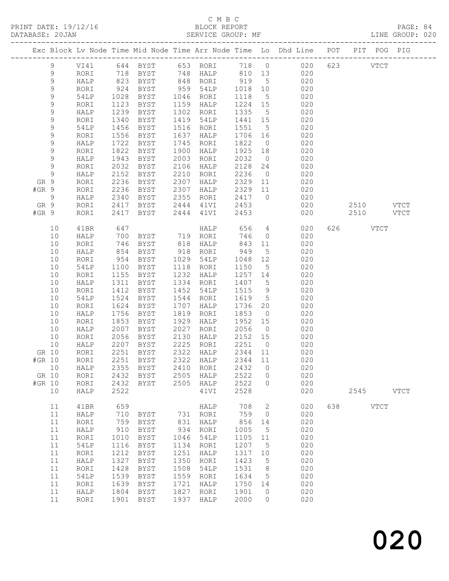#### C M B C ט בינגרט<br>BLOCK REPORT<br>יינגרט GROUP: MF

|         | DATABASE: 20JAN    |              |              |              |              | SERVICE GROUP: MF |                 |                  |                                                                                |     |          |             | LINE GROUP: 020 |
|---------|--------------------|--------------|--------------|--------------|--------------|-------------------|-----------------|------------------|--------------------------------------------------------------------------------|-----|----------|-------------|-----------------|
|         |                    |              |              |              |              |                   |                 |                  | Exc Block Lv Node Time Mid Node Time Arr Node Time Lo Dhd Line POT PIT POG PIG |     |          |             |                 |
|         | 9                  | VI41         |              | 644 BYST     |              | 653 RORI          | 718 0           |                  | 020                                                                            |     | 623 VTCT |             |                 |
|         | 9                  | RORI         |              | BYST         |              |                   |                 |                  | 020                                                                            |     |          |             |                 |
|         | $\mathsf 9$        | HALP         | 718<br>823   | BYST         |              |                   |                 |                  | 020                                                                            |     |          |             |                 |
|         | 9                  | RORI         | 924          | BYST         |              | 959 54LP          | 1018            | 10               | 020                                                                            |     |          |             |                 |
|         | 9                  | 54LP         | 1028         | BYST         |              | 1046 RORI         | 1118            | $5\overline{)}$  | 020                                                                            |     |          |             |                 |
|         | 9                  | RORI         | 1123         | BYST         |              | 1159 HALP         | 1224 15         |                  | 020                                                                            |     |          |             |                 |
|         | 9                  | HALP         | 1239         | BYST         |              | 1302 RORI         | 1335            | $5\overline{)}$  | 020                                                                            |     |          |             |                 |
|         | 9                  | RORI         | 1340         | BYST         | 1419         | 54LP              | 1441 15         |                  | 020                                                                            |     |          |             |                 |
|         | 9                  | 54LP         | 1456         | BYST         | 1516         | RORI              | 1551            | 5                | 020                                                                            |     |          |             |                 |
|         | 9                  | RORI         | 1556         | BYST         | 1637         | HALP              | 1706            | 16               | 020                                                                            |     |          |             |                 |
|         | 9                  | HALP         | 1722         | BYST         | 1745         | RORI              | 1822            | $\overline{0}$   | 020                                                                            |     |          |             |                 |
|         | 9                  | RORI         | 1822         | BYST         | 1900         | HALP              | 1925            | 18               | 020                                                                            |     |          |             |                 |
|         | 9                  | HALP         | 1943         | BYST         | 2003         | RORI              | 2032            | $\overline{0}$   | 020                                                                            |     |          |             |                 |
|         | 9<br>$\mathcal{G}$ | RORI         | 2032         | BYST         | 2106         | HALP              | 2128            | 24               | 020                                                                            |     |          |             |                 |
| GR 9    |                    | HALP         | 2152<br>2236 | BYST         | 2210<br>2307 | RORI              | 2236<br>2329 11 | $\overline{0}$   | 020<br>020                                                                     |     |          |             |                 |
| #GR 9   |                    | RORI<br>RORI | 2236         | BYST<br>BYST | 2307         | HALP<br>HALP      | 2329 11         |                  | 020                                                                            |     |          |             |                 |
|         | 9                  | HALP         | 2340         | BYST         | 2355         | RORI              | 2417            | $\overline{0}$   | 020                                                                            |     |          |             |                 |
| GR 9    |                    | RORI         | 2417         | BYST         | 2444         | 41VI              | 2453            |                  | 020                                                                            |     | 2510     |             | VTCT            |
| $#GR$ 9 |                    | RORI         | 2417         | BYST         |              | 2444 41VI         | 2453            |                  | 020                                                                            |     | 2510     |             | <b>VTCT</b>     |
|         |                    |              |              |              |              |                   |                 |                  |                                                                                |     |          |             |                 |
|         | 10                 | 41BR         | 647          |              |              | HALP              | 656             | $4\overline{ }$  | 020                                                                            | 626 |          | <b>VTCT</b> |                 |
|         | 10                 | HALP         | 700<br>746   |              |              |                   | 746             | $\overline{0}$   | 020                                                                            |     |          |             |                 |
|         | 10                 | RORI         |              |              |              | HALP              | 843             | 11               | 020                                                                            |     |          |             |                 |
|         | 10                 | HALP         | 854          | BYST         | 918          | RORI              | 949             | $5^{\circ}$      | 020                                                                            |     |          |             |                 |
|         | 10                 | RORI         | 954          | BYST         | 1029         | 54LP              | 1048            | 12               | 020                                                                            |     |          |             |                 |
|         | 10                 | 54LP         | 1100         | BYST         | 1118<br>1232 | RORI              | 1150            | $5^{\circ}$      | 020                                                                            |     |          |             |                 |
|         | 10<br>10           | RORI         | 1155<br>1311 | BYST         |              | HALP<br>1334 RORI | 1257 14<br>1407 |                  | 020<br>020                                                                     |     |          |             |                 |
|         | 10                 | HALP<br>RORI | 1412         | BYST<br>BYST | 1452         | 54LP              | 1515            | $5^{\circ}$<br>9 | 020                                                                            |     |          |             |                 |
|         | 10                 | 54LP         | 1524         | BYST         | 1544         | RORI              | 1619            | $5^{\circ}$      | 020                                                                            |     |          |             |                 |
|         | 10                 | RORI         | 1624         | BYST         | 1707         | HALP              | 1736            | 20               | 020                                                                            |     |          |             |                 |
|         | 10                 | HALP         | 1756         | BYST         | 1819         | RORI              | 1853            | $\overline{0}$   | 020                                                                            |     |          |             |                 |
|         | 10                 | RORI         | 1853         | BYST         | 1929         | HALP              | 1952            | 15               | 020                                                                            |     |          |             |                 |
|         | 10                 | HALP         | 2007         | BYST         | 2027         | RORI              | 2056            | $\overline{0}$   | 020                                                                            |     |          |             |                 |
|         | 10                 | RORI         | 2056         | BYST         | 2130         | HALP              | 2152 15         |                  | 020                                                                            |     |          |             |                 |
|         | 10                 | HALP         | 2207         | BYST         | 2225         | RORI              | 2251            | $\overline{0}$   | 020                                                                            |     |          |             |                 |
| GR 10   |                    | RORI         | 2251         | BYST         | 2322         | HALP              | 2344            | 11               | 020                                                                            |     |          |             |                 |
| #GR 10  |                    | RORI         | 2251         | BYST         | 2322         | HALP              | 2344            | 11               | 020                                                                            |     |          |             |                 |
|         | 10                 | HALP         | 2355         | <b>BYST</b>  | 2410         | RORI              | 2432            | 0                | 020                                                                            |     |          |             |                 |
| GR 10   |                    | RORI         | 2432         | <b>BYST</b>  | 2505         | HALP              | 2522            | 0                | 020                                                                            |     |          |             |                 |
| #GR 10  |                    | RORI         | 2432         | <b>BYST</b>  | 2505         | HALP              | 2522            | 0                | 020                                                                            |     |          |             |                 |
|         | 10                 | HALP         | 2522         |              |              | 41VI              | 2528            |                  | 020                                                                            |     | 2545     |             | <b>VTCT</b>     |
|         | 11                 | 41BR         | 659          |              |              | HALP              | 708             | 2                | 020                                                                            | 638 |          | VTCT        |                 |
|         | 11                 | HALP         | 710          | BYST         | 731          | RORI              | 759             | 0                | 020                                                                            |     |          |             |                 |
|         | 11                 | RORI         | 759          | <b>BYST</b>  | 831          | HALP              | 856             | 14               | 020                                                                            |     |          |             |                 |
|         | 11                 | HALP         | 910          | <b>BYST</b>  | 934          | RORI              | 1005            | 5                | 020                                                                            |     |          |             |                 |
|         | $11$               | RORI         | 1010         | <b>BYST</b>  | 1046         | 54LP              | 1105            | 11               | 020                                                                            |     |          |             |                 |
|         | 11                 | 54LP         | 1116         | <b>BYST</b>  | 1134         | RORI              | 1207            | 5                | 020                                                                            |     |          |             |                 |
|         | 11                 | RORI         | 1212         | <b>BYST</b>  | 1251         | HALP              | 1317            | 10               | 020                                                                            |     |          |             |                 |
|         | 11                 | HALP         | 1327         | <b>BYST</b>  | 1350         | RORI              | 1423            | 5                | 020                                                                            |     |          |             |                 |
|         | 11                 | RORI         | 1428         | <b>BYST</b>  | 1508         | 54LP              | 1531            | 8                | 020                                                                            |     |          |             |                 |
|         | 11                 | 54LP         | 1539         | <b>BYST</b>  | 1559         | RORI              | 1634            | 5                | 020                                                                            |     |          |             |                 |
|         | 11                 | RORI         | 1639         | <b>BYST</b>  | 1721         | HALP              | 1750            | 14               | 020                                                                            |     |          |             |                 |
|         | 11                 | HALP         | 1804         | <b>BYST</b>  | 1827<br>1937 | RORI              | 1901            | 0                | 020                                                                            |     |          |             |                 |
|         | 11                 | RORI         | 1901         | <b>BYST</b>  |              | HALP              | 2000            | $\circ$          | 020                                                                            |     |          |             |                 |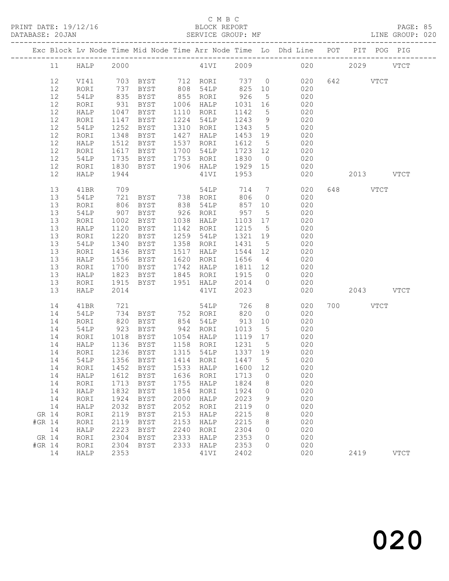## C M B C<br>BLOCK REPORT

LINE GROUP: 020

|        |    |      |              |                                     |      |           |         |                 | Exc Block Lv Node Time Mid Node Time Arr Node Time Lo Dhd Line POT PIT POG PIG |     |           |             |
|--------|----|------|--------------|-------------------------------------|------|-----------|---------|-----------------|--------------------------------------------------------------------------------|-----|-----------|-------------|
|        | 11 | HALP | 2000         |                                     |      | 41VI      |         |                 | 2009 2009                                                                      | 020 | 2029      | <b>VTCT</b> |
|        | 12 | VI41 |              | 703 BYST 712 RORI                   |      |           | 737 0   |                 | 020                                                                            |     | 642 VTCT  |             |
|        | 12 | RORI | 737          | BYST                                | 808  | 54LP      | 825     | 10              | 020                                                                            |     |           |             |
|        | 12 | 54LP | 835          | BYST                                | 855  | RORI      | 926     | $5^{\circ}$     | 020                                                                            |     |           |             |
|        | 12 | RORI | 931          | BYST                                | 1006 | HALP      | 1031    | 16              | 020                                                                            |     |           |             |
|        | 12 | HALP | 1047         | <b>BYST</b>                         | 1110 | RORI      | 1142    | $5\overline{)}$ | 020                                                                            |     |           |             |
|        | 12 | RORI | 1147         | BYST                                | 1224 | 54LP      | 1243    | 9               | 020                                                                            |     |           |             |
|        | 12 | 54LP | 1252         | <b>BYST</b>                         | 1310 | RORI      | 1343    | $5\overline{)}$ | 020                                                                            |     |           |             |
|        | 12 | RORI | 1348         | BYST                                | 1427 | HALP      | 1453    | 19              | 020                                                                            |     |           |             |
|        | 12 | HALP | 1512         | BYST                                | 1537 | RORI      | 1612    | $5\overline{)}$ | 020                                                                            |     |           |             |
|        | 12 | RORI | 1617         | BYST                                | 1700 | 54LP      | 1723 12 |                 | 020                                                                            |     |           |             |
|        | 12 | 54LP | 1735         | BYST                                | 1753 | RORI      | 1830    | $\overline{0}$  | 020                                                                            |     |           |             |
|        | 12 | RORI | 1830         | BYST                                | 1906 | HALP      | 1929    | 15              | 020                                                                            |     |           |             |
|        | 12 | HALP | 1944         |                                     |      | 41VI      | 1953    |                 | 020                                                                            |     | 2013 VTCT |             |
|        | 13 | 41BR | 709          |                                     |      | 54LP      | 714     | $7\overline{ }$ | 020                                                                            |     | 648 VTCT  |             |
|        | 13 | 54LP | 721          | BYST                                |      | 738 RORI  | 806     | $\overline{0}$  | 020                                                                            |     |           |             |
|        | 13 | RORI | 806          | BYST                                | 838  | 54LP      | 857     | 10              | 020                                                                            |     |           |             |
|        | 13 | 54LP | 907          | BYST                                |      | 926 RORI  | 957     | $5^{\circ}$     | 020                                                                            |     |           |             |
|        | 13 | RORI | 1002         | BYST                                | 1038 | HALP      | 1103    | 17              | 020                                                                            |     |           |             |
|        | 13 | HALP | 1120         | BYST                                | 1142 | RORI      | 1215    | $5^{\circ}$     | 020                                                                            |     |           |             |
|        | 13 | RORI | 1220         | BYST                                | 1259 | 54LP      | 1321    | 19              | 020                                                                            |     |           |             |
|        | 13 | 54LP | 1340         | BYST                                | 1358 | RORI      | 1431    | $5\overline{)}$ | 020                                                                            |     |           |             |
|        | 13 | RORI | 1436         | BYST                                | 1517 | HALP      | 1544    | 12              | 020                                                                            |     |           |             |
|        | 13 | HALP | 1556         | BYST                                | 1620 | RORI      | 1656    | $\overline{4}$  | 020                                                                            |     |           |             |
|        | 13 | RORI | 1700         | BYST                                | 1742 | HALP      | 1811    | 12              | 020                                                                            |     |           |             |
|        | 13 | HALP | 1823         | BYST                                | 1845 | RORI      | 1915    | $\overline{0}$  | 020                                                                            |     |           |             |
|        | 13 | RORI | 1915         | BYST                                | 1951 | HALP      | 2014    | $\overline{0}$  | 020                                                                            |     |           |             |
|        | 13 | HALP | 2014         |                                     |      | 41VI      | 2023    |                 | 020                                                                            |     | 2043 VTCT |             |
|        | 14 | 41BR | 721          |                                     |      | 54LP      | 726     | 8 <sup>8</sup>  | 020                                                                            |     | 700 VTCT  |             |
|        | 14 | 54LP | 734          | BYST                                |      | 752 RORI  | 820     | $\overline{0}$  | 020                                                                            |     |           |             |
|        | 14 | RORI | 820          | BYST                                | 854  | 54LP      | 913     | 10              | 020                                                                            |     |           |             |
|        | 14 | 54LP | 923          | BYST                                | 942  | RORI      | 1013    | 5               | 020                                                                            |     |           |             |
|        | 14 | RORI | 1018         | BYST                                | 1054 | HALP      | 1119    | 17              | 020                                                                            |     |           |             |
|        | 14 | HALP | 1136         | BYST                                |      | 1158 RORI | 1231    | $5\overline{)}$ | 020                                                                            |     |           |             |
|        | 14 | RORI | 1236         | BYST                                |      | 1315 54LP | 1337 19 |                 | 020                                                                            |     |           |             |
|        | 14 | 54LP |              | 1356 BYST                           |      | 1414 RORI | 1447    | $5^{\circ}$     | 020                                                                            |     |           |             |
|        |    |      |              | 14 RORI 1452 BYST 1533 HALP 1600 12 |      |           |         |                 | 020                                                                            |     |           |             |
|        | 14 | HALP | 1612         | <b>BYST</b>                         | 1636 | RORI      | 1713    | 0               | 020                                                                            |     |           |             |
|        | 14 | RORI | 1713         | <b>BYST</b>                         | 1755 | HALP      | 1824    | 8               | 020                                                                            |     |           |             |
|        | 14 | HALP | 1832         | <b>BYST</b>                         | 1854 | RORI      | 1924    | 0               | 020                                                                            |     |           |             |
|        | 14 | RORI | 1924         | <b>BYST</b>                         | 2000 | HALP      | 2023    | 9               | 020                                                                            |     |           |             |
|        | 14 | HALP | 2032         | <b>BYST</b>                         | 2052 | RORI      | 2119    | 0               | 020                                                                            |     |           |             |
| GR 14  |    | RORI | 2119         | <b>BYST</b>                         | 2153 | HALP      | 2215    | 8               | 020                                                                            |     |           |             |
| #GR 14 |    | RORI | 2119         | <b>BYST</b>                         | 2153 | HALP      | 2215    | 8               | 020                                                                            |     |           |             |
|        | 14 | HALP | 2223         | <b>BYST</b>                         | 2240 | RORI      | 2304    | 0               | 020                                                                            |     |           |             |
| GR 14  |    | RORI | 2304         | <b>BYST</b>                         | 2333 | HALP      | 2353    | 0               | 020                                                                            |     |           |             |
| #GR 14 | 14 | RORI | 2304<br>2353 | <b>BYST</b>                         | 2333 | HALP      | 2353    | 0               | 020<br>020                                                                     |     |           |             |
|        |    | HALP |              |                                     |      | 41VI      | 2402    |                 |                                                                                |     | 2419      | <b>VTCT</b> |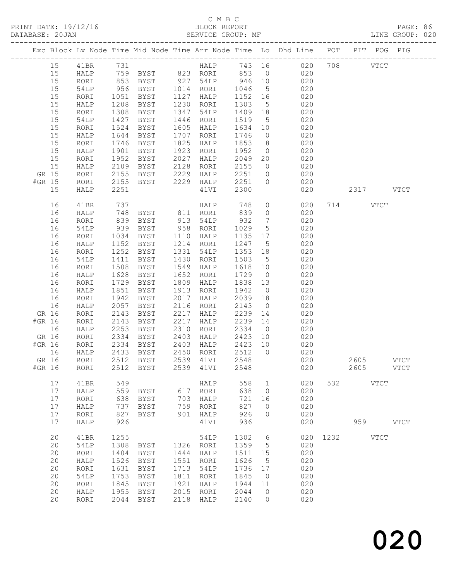|        |    |             |              |               |      |             |         |                 | Exc Block Lv Node Time Mid Node Time Arr Node Time Lo Dhd Line POT PIT POG PIG |      |             |             |
|--------|----|-------------|--------------|---------------|------|-------------|---------|-----------------|--------------------------------------------------------------------------------|------|-------------|-------------|
|        | 15 | 41BR        |              |               |      |             |         |                 |                                                                                |      |             |             |
|        | 15 | <b>HALP</b> |              |               |      |             |         |                 |                                                                                |      |             |             |
|        | 15 | RORI        |              |               |      |             | 946 10  |                 |                                                                                |      |             |             |
|        | 15 | 54LP        | 956          | BYST          |      | 1014 RORI   | 1046    | $5\overline{)}$ | 020                                                                            |      |             |             |
|        | 15 | RORI        | 1051         | BYST          | 1127 | HALP        | 1152 16 |                 | 020                                                                            |      |             |             |
|        | 15 | HALP        | 1208         | BYST          |      | 1230 RORI   | 1303    | $5\overline{)}$ | 020                                                                            |      |             |             |
|        | 15 | RORI        | 1308         | BYST          | 1347 | 54LP        | 1409 18 |                 | $020$                                                                          |      |             |             |
|        | 15 | 54LP        | 1427         | BYST          | 1446 | RORI        | 1519    | $5\overline{)}$ | 020                                                                            |      |             |             |
|        | 15 | RORI        | 1524         | BYST          | 1605 | HALP        | 1634    | 10              | 020                                                                            |      |             |             |
|        | 15 | HALP        | 1644         | BYST          | 1707 | RORI        | 1746    | $\overline{0}$  | 020                                                                            |      |             |             |
|        | 15 | RORI        | 1746         | BYST          | 1825 | HALP        | 1853    | 8 <sup>8</sup>  | 020                                                                            |      |             |             |
|        | 15 | HALP        | 1901         | BYST          | 1923 | RORI        | 1952    | $\overline{0}$  | 020                                                                            |      |             |             |
|        | 15 | RORI        | 1952         | BYST          | 2027 | HALP        | 2049    | 20              | 020                                                                            |      |             |             |
|        | 15 | HALP        | 2109         | BYST          | 2128 | RORI        | 2155    | $\overline{0}$  | 020                                                                            |      |             |             |
| GR 15  |    | RORI        | 2155         | BYST          | 2229 | HALP        | 2251 0  |                 | 020                                                                            |      |             |             |
| #GR 15 |    | RORI        | 2155         | BYST          | 2229 | HALP        | 2251    | $\overline{0}$  | 020                                                                            |      |             |             |
|        | 15 | HALP        | 2251         |               |      | 41VI        | 2300    |                 | 020                                                                            |      | 2317 VTCT   |             |
|        | 16 | 41BR        | 737          |               |      | <b>HALP</b> | 748     |                 | $\overline{O}$<br>020                                                          |      | 714 VTCT    |             |
|        | 16 | HALP        | 748          | BYST 811 RORI |      |             | 839     |                 | $\overline{O}$<br>020                                                          |      |             |             |
|        | 16 | RORI        | 839          | BYST          |      | 913 54LP    | 932     | $\overline{7}$  | 020                                                                            |      |             |             |
|        | 16 | 54LP        | 939<br>1034  | BYST          |      | 958 RORI    | 1029    | 5 <sup>5</sup>  | 020                                                                            |      |             |             |
|        | 16 | RORI        |              | BYST          |      | 1110 HALP   | 1135 17 |                 | 020                                                                            |      |             |             |
|        | 16 | HALP        | 1152         | BYST          |      | 1214 RORI   | 1247    | $5^{\circ}$     | 020                                                                            |      |             |             |
|        | 16 | RORI        | 1252         | BYST          | 1331 | 54LP        | 1353    | 18              | 020                                                                            |      |             |             |
|        | 16 | 54LP        | 1411         | BYST          | 1430 | RORI        | 1503    | $5\overline{)}$ | 020                                                                            |      |             |             |
|        | 16 | RORI        | 1508         | BYST          | 1549 | HALP        | 1618 10 |                 | 020                                                                            |      |             |             |
|        | 16 | HALP        | 1628         | BYST          | 1652 | RORI        | 1729    | $\overline{0}$  | 020                                                                            |      |             |             |
|        | 16 | RORI        | 1729         | BYST          | 1809 | HALP        | 1838    | 13              | 020                                                                            |      |             |             |
|        | 16 | HALP        | 1851         | BYST          | 1913 | RORI        | 1942    | $\overline{0}$  | 020                                                                            |      |             |             |
|        | 16 | RORI        | 1942         | BYST          | 2017 | HALP        | 2039    | 18              | 020                                                                            |      |             |             |
|        | 16 | HALP        | 2057         | BYST          | 2116 | RORI        | 2143    | $\overline{0}$  | 020                                                                            |      |             |             |
| GR 16  |    | RORI        | 2143         | BYST          | 2217 | HALP        | 2239    | 14              | 020                                                                            |      |             |             |
| #GR 16 |    | RORI        | 2143         | BYST          | 2217 | HALP        | 2239    | 14              | 020                                                                            |      |             |             |
|        | 16 | HALP        | 2253         | BYST          | 2310 | RORI        | 2334 0  |                 | 020                                                                            |      |             |             |
| GR 16  |    | RORI        | 2334         | BYST          | 2403 | HALP        | 2423 10 |                 | 020                                                                            |      |             |             |
| #GR 16 |    | RORI        | 2334         | BYST          | 2403 | HALP        | 2423 10 |                 | 020                                                                            |      |             |             |
|        | 16 | HALP        | 2433<br>2512 | BYST          |      | 2450 RORI   | 2512    | $\overline{0}$  | 020                                                                            |      |             |             |
| GR 16  |    | RORI        | 2512         | BYST          |      | 2539 41VI   | 2548    |                 | 020                                                                            |      | 2605        | <b>VTCT</b> |
|        |    |             |              |               |      |             |         |                 | #GR 16 RORI 2512 BYST 2539 41VI 2548 020                                       |      | 2605        | <b>VTCT</b> |
|        | 17 | 41BR        | 549          |               |      | HALP        | 558     | $\mathbf{1}$    | 020                                                                            | 532  | VTCT        |             |
|        | 17 | HALP        | 559          | BYST          | 617  | RORI        | 638     | $\circ$         | 020                                                                            |      |             |             |
|        | 17 | RORI        | 638          | <b>BYST</b>   | 703  | HALP        | 721     | 16              | 020                                                                            |      |             |             |
|        | 17 | HALP        | 737          | <b>BYST</b>   | 759  | RORI        | 827     | $\circ$         | 020                                                                            |      |             |             |
|        | 17 | RORI        | 827          | BYST          | 901  | HALP        | 926     | $\circ$         | 020                                                                            |      |             |             |
|        | 17 | HALP        | 926          |               |      | 41VI        | 936     |                 | 020                                                                            |      | 959         | <b>VTCT</b> |
|        | 20 | 41BR        | 1255         |               |      | 54LP        | 1302    | 6               | 020                                                                            | 1232 | <b>VTCT</b> |             |
|        | 20 | 54LP        | 1308         | BYST          | 1326 | RORI        | 1359    | 5               | 020                                                                            |      |             |             |
|        | 20 | RORI        | 1404         | <b>BYST</b>   | 1444 | HALP        | 1511    | 15              | 020                                                                            |      |             |             |
|        | 20 | HALP        | 1526         | BYST          | 1551 | RORI        | 1626    | 5               | 020                                                                            |      |             |             |
|        | 20 | RORI        | 1631         | BYST          | 1713 | 54LP        | 1736    | 17              | 020                                                                            |      |             |             |
|        | 20 | 54LP        | 1753         | BYST          | 1811 | RORI        | 1845    | $\overline{0}$  | 020                                                                            |      |             |             |
|        | 20 | RORI        | 1845         | <b>BYST</b>   | 1921 | HALP        | 1944    | 11              | 020                                                                            |      |             |             |
|        | 20 | HALP        | 1955         | BYST          | 2015 | RORI        | 2044    | $\overline{0}$  | 020                                                                            |      |             |             |
|        | 20 | RORI        | 2044         | BYST          | 2118 | HALP        | 2140    | $\circ$         | 020                                                                            |      |             |             |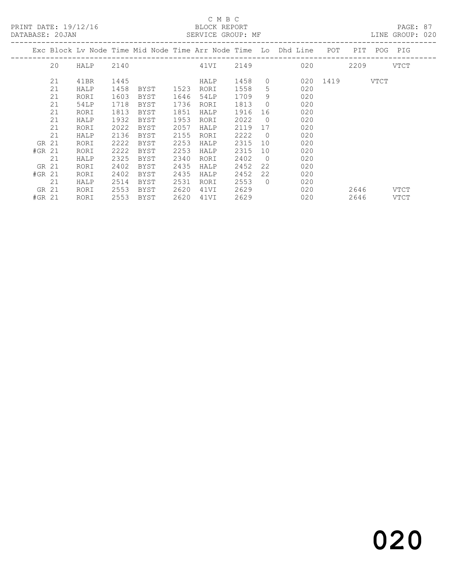## C M B C<br>
C M B C<br>
ELOCK REPOI

|          | DATABASE: 20JAN |           |      |      |      |      |      |                | SERVICE GROUP: MF                                                  |               |      |               | LINE GROUP: 020 |  |
|----------|-----------------|-----------|------|------|------|------|------|----------------|--------------------------------------------------------------------|---------------|------|---------------|-----------------|--|
|          |                 |           |      |      |      |      |      |                | Exc Block Lv Node Time Mid Node Time Arr Node Time Lo Dhd Line POT |               |      | PIT POG PIG   |                 |  |
|          | 20              | HALP 2140 |      |      |      |      |      |                | 41VI 2149 020                                                      |               |      | $2209$ $VTCT$ |                 |  |
|          | 21              | 41BR      | 1445 |      |      | HALP | 1458 |                | $\Omega$                                                           | 020 1419 VTCT |      |               |                 |  |
|          | 21              | HALP      | 1458 | BYST | 1523 | RORI | 1558 | 5 <sup>1</sup> | 020                                                                |               |      |               |                 |  |
|          | 21              | RORI      | 1603 | BYST | 1646 | 54LP | 1709 | 9              | 020                                                                |               |      |               |                 |  |
|          | 21              | 54LP      | 1718 | BYST | 1736 | RORI | 1813 | $\bigcirc$     | 020                                                                |               |      |               |                 |  |
|          | 21              | RORI      | 1813 | BYST | 1851 | HALP | 1916 | 16             | 020                                                                |               |      |               |                 |  |
|          | 21              | HALP      | 1932 | BYST | 1953 | RORI | 2022 | $\overline{0}$ | 020                                                                |               |      |               |                 |  |
|          | 21              | RORI      | 2022 | BYST | 2057 | HALP | 2119 | 17             | 020                                                                |               |      |               |                 |  |
|          | 21              | HALP      | 2136 | BYST | 2155 | RORI | 2222 | $\bigcirc$     | 020                                                                |               |      |               |                 |  |
| GR 21    |                 | RORI      | 2222 | BYST | 2253 | HALP | 2315 | 10             | 020                                                                |               |      |               |                 |  |
| $#GR$ 21 |                 | RORI      | 2222 | BYST | 2253 | HALP | 2315 | 10             | 020                                                                |               |      |               |                 |  |
|          | 21              | HALP      | 2325 | BYST | 2340 | RORI | 2402 | $\bigcirc$     | 020                                                                |               |      |               |                 |  |
| GR 21    |                 | RORI      | 2402 | BYST | 2435 | HALP | 2452 | 22             | 020                                                                |               |      |               |                 |  |
| $#GR$ 21 |                 | RORI      | 2402 | BYST | 2435 | HALP | 2452 | 22             | 020                                                                |               |      |               |                 |  |
|          | 21              | HALP      | 2514 | BYST | 2531 | RORI | 2553 | $\bigcirc$     | 020                                                                |               |      |               |                 |  |
| GR 21    |                 | RORI      | 2553 | BYST | 2620 | 41VI | 2629 |                | 020                                                                |               | 2646 |               | VTCT            |  |
| $#GR$ 21 |                 | RORI      | 2553 | BYST | 2620 | 41VI | 2629 |                | 020                                                                |               | 2646 |               | VTCT            |  |
|          |                 |           |      |      |      |      |      |                |                                                                    |               |      |               |                 |  |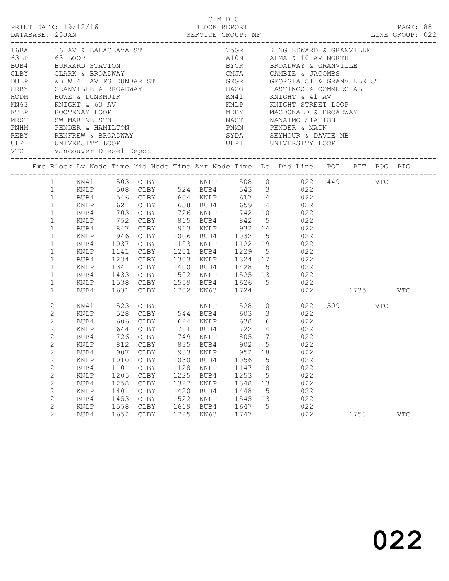|                                                                                                                                                                                                 |                                                                                                                                                                                                                                                                                                                                            |                                                                                 |                                                                                                        |                                                                                 |                                                                      | C M B C                                                                    |                                                             | PRINT DATE: 19/12/16 BLOCK REPORT PAGE: 88<br>DATABASE: 20JAN SERVICE GROUP: MF EXAMENT DATABASE: 20JAN SERVICE GROUP: MF<br>LINE GROUP: 022                                                                                                                                                                                                                                                                                                                                                                              |                 |            |  |
|-------------------------------------------------------------------------------------------------------------------------------------------------------------------------------------------------|--------------------------------------------------------------------------------------------------------------------------------------------------------------------------------------------------------------------------------------------------------------------------------------------------------------------------------------------|---------------------------------------------------------------------------------|--------------------------------------------------------------------------------------------------------|---------------------------------------------------------------------------------|----------------------------------------------------------------------|----------------------------------------------------------------------------|-------------------------------------------------------------|---------------------------------------------------------------------------------------------------------------------------------------------------------------------------------------------------------------------------------------------------------------------------------------------------------------------------------------------------------------------------------------------------------------------------------------------------------------------------------------------------------------------------|-----------------|------------|--|
| GRBY GRANVILLE & BROADWAY<br>HODM HOWE & DUNSMUIR<br>KN63 KNIGHT & 63 AV<br>KTLP KOOTENAY LOOP<br>MRST SW MARINE STN<br>PNHM PENDER & HAMILTON<br>RERY PENDER & HAMILTON<br>ULP UNIVERSITY LOOP |                                                                                                                                                                                                                                                                                                                                            |                                                                                 |                                                                                                        |                                                                                 |                                                                      |                                                                            |                                                             | 16BA 16 AV & BALACLAVA ST 25GR KING EDWARD & GRAND 63 LOOP A10N ALMA & 10 AV NORT BUB4 BURRARD STATION BY BROADWAY CAMBIE & JACOMBS DULP WB W 41 AV FS DUNBAR ST GEGR GEORGIA ST & GRAND HOME HOME & DUNSMUIR HOME WE A DUNSMU<br>25GR KING EDWARD & GRANVILLE<br>A10N ALMA & 10 AV NORTH<br>BYGR BROADWAY & GRANVILLE<br>GEGR GEORGIA ST & GRANVILLE ST<br>HACO HASTINGS & COMMERCIAL<br>KN41 KNIGHT & 41 AV<br>KNLP KNIGHT STREET LOOP<br>MILLY MACDONALD & BROADWAY<br>MDBY MACDONALD & BROADWAY<br>PNMN PENDER & MAIN |                 |            |  |
|                                                                                                                                                                                                 |                                                                                                                                                                                                                                                                                                                                            |                                                                                 |                                                                                                        |                                                                                 |                                                                      |                                                                            |                                                             | Exc Block Lv Node Time Mid Node Time Arr Node Time Lo Dhd Line POT PIT POG PIG                                                                                                                                                                                                                                                                                                                                                                                                                                            |                 |            |  |
|                                                                                                                                                                                                 | $\mathbf{1}$<br>KNLP<br>$\mathbf{1}$<br>$\mathbf{1}$<br>$\mathbf{1}$<br>$\mathbf{1}$<br>KNLP<br>$\mathbf{1}$<br>BUB4<br>$\mathbf{1}$<br>KNLP<br>$\mathbf{1}$<br>BUB4<br>$\mathbf{1}$<br>KNLP<br>$\mathbf{1}$<br>$\mathbf{1}$<br>$\mathbf{1}$                                                                                               |                                                                                 |                                                                                                        |                                                                                 |                                                                      |                                                                            |                                                             | 621 CLBY 638 BUB4 659 4 022<br>BUB4 703 CLBY 726 KNLP 742 10 022<br>KNLP 752 CLBY 815 BUB4 842 5 022<br>BUB4 847 CLBY 913 KNLP 932 14 022<br>946 CLBY 1006 BUB4 1032 5 022<br>1037 CLBY 1103 KNLP 1122 19 022<br>1141 CLBY 1201 BUB4 1229 5 022<br>1234 CLBY 1303 KNLP 1324 17 022<br>1341 CLBY 1400 BUB4 1428 5 022<br>BUB4 1433 CLBY 1502 KNLP 1525 13 022<br>KNLP 1538 CLBY 1559 BUB4 1626 5 022<br>BUB4 1631 CLBY 1702 KN63 1724 022 1735 VTC                                                                         |                 |            |  |
|                                                                                                                                                                                                 | 2<br>KN41<br>$\mathbf{2}$<br>KNLP<br>$\overline{c}$<br>BUB4<br>$\overline{c}$<br>KNLP<br>$\overline{c}$<br>BUB4<br>$\mathbf{2}$<br>2<br>BUB4<br>$\mathbf{2}$<br>KNLP<br>$\mathbf{2}$<br>BUB4<br>$\mathbf{2}$<br><b>KNLP</b><br>$\mathbf{2}$<br>BUB4<br>2<br>KNLP<br>$\mathbf{2}$<br>BUB4<br>$\mathbf{2}$<br>KNLP<br>$\overline{2}$<br>BUB4 | 726 CLBY<br>907<br>1010<br>1101<br>1205<br>1258<br>1401<br>1453<br>1558<br>1652 | CLBY<br>${\tt CLBY}$<br>CLBY<br>$\texttt{CLBY}{}$<br>$\texttt{CLBY}{}$<br>CLBY<br>CLBY<br>CLBY<br>CLBY | 749 KNLP<br>933<br>1030<br>1128<br>1225<br>1327<br>1420<br>1522<br>1619<br>1725 | KNLP<br>BUB4<br>KNLP<br>BUB4<br>KNLP<br>BUB4<br>KNLP<br>BUB4<br>KN63 | 805<br>952<br>1056<br>1147<br>1253<br>1348<br>1448<br>1545<br>1647<br>1747 | $7\overline{ }$<br>18<br>5<br>18<br>5<br>13<br>5<br>13<br>5 | $\begin{array}{ccc} 0 & \quad & 022 \\ 3 & \quad & 022 \end{array}$<br>644 CLBY 701 BUB4 722 4 022<br>022<br>KNLP 812 CLBY 835 BUB4 902 5 022<br>022<br>022<br>022<br>022<br>022<br>022<br>022<br>022<br>022                                                                                                                                                                                                                                                                                                              | 509 VTC<br>1758 | <b>VTC</b> |  |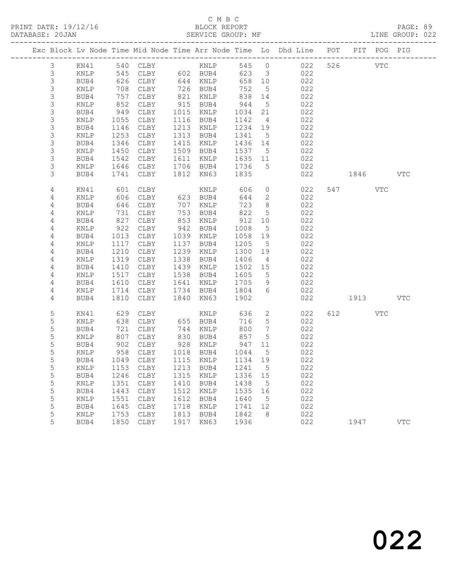|                  |                 |              |                            |              |               |              |                              | Exc Block Lv Node Time Mid Node Time Arr Node Time Lo Dhd Line POT |         | PIT POG PIG |            |
|------------------|-----------------|--------------|----------------------------|--------------|---------------|--------------|------------------------------|--------------------------------------------------------------------|---------|-------------|------------|
| $\mathfrak{Z}$   |                 |              | KN41 540 CLBY KNLP         |              |               | 545 0        |                              | 022                                                                | 526 VTC |             |            |
| $\mathsf 3$      | KNLP            | 545          |                            |              | CLBY 602 BUB4 | 623          | $\overline{\mathbf{3}}$      | 022                                                                |         |             |            |
| $\mathsf S$      | BUB4            | 626          | CLBY                       |              | 644 KNLP      | 658 10       |                              | 022                                                                |         |             |            |
| $\mathsf S$      | KNLP            | 708          | CLBY                       |              | 726 BUB4      | 752          | $5^{\circ}$                  | 022                                                                |         |             |            |
| $\mathsf S$      | BUB4            | 757          | CLBY                       | 821          | KNLP          | 838          | 14                           | 022                                                                |         |             |            |
| $\mathsf S$      | KNLP            | 852          | CLBY                       | 915          | BUB4          | 944          | $5\overline{)}$              | 022                                                                |         |             |            |
| $\mathsf S$      | BUB4            | 949          | CLBY                       | 1015         | KNLP          | 1034         | 21                           | 022                                                                |         |             |            |
| $\mathsf S$      | KNLP            | 1055         | CLBY                       |              | 1116 BUB4     | 1142         | $\overline{4}$               | 022                                                                |         |             |            |
| $\mathsf S$      | BUB4            | 1146         | CLBY                       | 1213         | KNLP          | 1234 19      |                              | 022                                                                |         |             |            |
| $\mathsf S$      | KNLP            | 1253         | CLBY                       | 1313         | BUB4          | 1341         | $5^{\circ}$                  | 022                                                                |         |             |            |
| 3                | BUB4            | 1346         | CLBY                       | 1415         | KNLP          | 1436 14      |                              | 022                                                                |         |             |            |
| 3                | KNLP            | 1450         | CLBY                       | 1509         | BUB4          | 1537         | $5\overline{)}$              | 022                                                                |         |             |            |
| 3                | BUB4            | 1542         | CLBY                       | 1611         | KNLP          | 1635 11      |                              | 022                                                                |         |             |            |
| 3                | KNLP            | 1646         | CLBY                       |              | 1706 BUB4     | 1736         | $5^{\circ}$                  | 022                                                                |         |             |            |
| 3                | BUB4            | 1741         | CLBY                       | 1812         | KN63          | 1835         |                              | 022                                                                | 1846    |             | <b>VTC</b> |
| 4                | KN41            | 601          | CLBY                       |              | KNLP          | 606          | $\circ$                      | 022                                                                | 547     | VTC         |            |
| 4                | KNLP            | 606          | CLBY                       |              | 623 BUB4      | 644          | 2                            | 022                                                                |         |             |            |
| 4                | BUB4            | 646          | CLBY                       | 707          | KNLP          | 723          | 8 <sup>8</sup>               | 022                                                                |         |             |            |
| 4                | KNLP            | 731          | CLBY                       | 753          | BUB4          | 822          | $5\overline{)}$              | 022                                                                |         |             |            |
| 4                | BUB4            | 827          | CLBY                       | 853          | KNLP          | 912          | 10                           | 022                                                                |         |             |            |
| 4                | $\texttt{KNLP}$ | 922          | CLBY                       | 942          | BUB4          | 1008         | $5\phantom{.0}$              | 022                                                                |         |             |            |
| 4                | BUB4            | 1013         | CLBY                       | 1039         | KNLP          | 1058         | 19                           | 022                                                                |         |             |            |
| 4                | KNLP            | 1117         | CLBY                       | 1137         | BUB4          | 1205         | $5^{\circ}$                  | 022                                                                |         |             |            |
| 4                | BUB4            | 1210         | CLBY                       | 1239         | KNLP          | 1300         | 19                           | 022                                                                |         |             |            |
| 4                | KNLP            | 1319         | CLBY                       | 1338         | BUB4          | 1406         | $\overline{4}$               | 022                                                                |         |             |            |
| 4                | BUB4            | 1410         | CLBY                       | 1439         | KNLP          | 1502         | 15                           | 022                                                                |         |             |            |
| 4                | KNLP            | 1517         | CLBY                       | 1538         | BUB4          | 1605         | $5^{\circ}$                  | 022                                                                |         |             |            |
| 4                | BUB4            | 1610         | CLBY                       | 1641         | KNLP          | 1705         | 9                            | 022                                                                |         |             |            |
| 4                | KNLP            | 1714         | CLBY                       | 1734         | BUB4          | 1804         | 6                            | 022                                                                |         |             |            |
| 4                | BUB4            | 1810         | CLBY                       | 1840         | KN63          | 1902         |                              | 022                                                                | 1913    |             | <b>VTC</b> |
| 5                | KN41            | 629          | CLBY                       |              | KNLP          | 636          | $\overline{2}$               | 022                                                                | 612 72  | VTC         |            |
| $\mathsf S$      | KNLP            | 638          | CLBY                       |              | 655 BUB4      | 716          | 5                            | 022                                                                |         |             |            |
| 5                | BUB4            | 721          | CLBY                       | 744          | KNLP          | 800          | $7\phantom{.0}\phantom{.0}7$ | 022                                                                |         |             |            |
| 5                | KNLP            | 807          | CLBY                       | 830          | BUB4          | 857          | $5\overline{)}$              | 022                                                                |         |             |            |
| 5                | BUB4            | 902          | CLBY                       | 928          | KNLP          | 947          | 11                           | 022                                                                |         |             |            |
| 5                | KNLP            | 958          | CLBY                       |              | 1018 BUB4     | 1044         | $5\overline{)}$              | 022                                                                |         |             |            |
| 5                | BUB4            | 1049         | CLBY                       |              | 1115 KNLP     | 1134 19      |                              | 022                                                                |         |             |            |
| 5                | $\texttt{KNLP}$ |              | 1153 CLBY 1213 BUB4 1241 5 |              |               |              |                              | 022                                                                |         |             |            |
| 5                | BUB4            | 1246         | CLBY                       | 1315         | KNLP          | 1336         | 15                           | 022                                                                |         |             |            |
| 5                | KNLP            | 1351         | CLBY                       | 1410         | BUB4          | 1438         | $5^{\circ}$                  | 022                                                                |         |             |            |
| 5                | BUB4            | 1443         | CLBY                       | 1512         | KNLP          | 1535         | 16                           | 022                                                                |         |             |            |
| 5<br>$\mathsf S$ | KNLP            | 1551         | CLBY                       | 1612<br>1718 | BUB4          | 1640         | $5^{\circ}$                  | 022<br>022                                                         |         |             |            |
| 5                | BUB4            | 1645<br>1753 | CLBY                       | 1813         | KNLP          | 1741<br>1842 | 12<br>8                      | 022                                                                |         |             |            |
| 5                | KNLP<br>BUB4    | 1850         | CLBY<br>CLBY               | 1917         | BUB4<br>KN63  | 1936         |                              | 022                                                                | 1947    |             | <b>VTC</b> |
|                  |                 |              |                            |              |               |              |                              |                                                                    |         |             |            |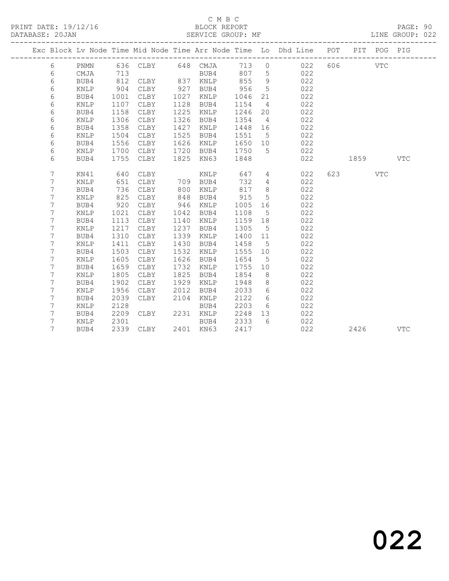## C M B C

DATABASE: 20JAN SERVICE GROUP: MF LINE GROUP: 022

|  |                 |      |      |                   |      |           |         |                 | Exc Block Lv Node Time Mid Node Time Arr Node Time Lo Dhd Line POT PIT POG PIG |         |            |
|--|-----------------|------|------|-------------------|------|-----------|---------|-----------------|--------------------------------------------------------------------------------|---------|------------|
|  | 6               | PNMN |      | 636 CLBY 648 CMJA |      |           |         |                 | 713 0 022                                                                      | 606 VTC |            |
|  | 6               | CMJA | 713  |                   |      | BUB4      | 807 5   |                 | 022                                                                            |         |            |
|  | 6               | BUB4 | 812  | CLBY              | 837  | KNLP      | 855     | 9               | 022                                                                            |         |            |
|  | 6               | KNLP | 904  | CLBY              | 927  | BUB4      | 956     | $5^{\circ}$     | 022                                                                            |         |            |
|  | 6               | BUB4 | 1001 | CLBY              | 1027 | KNLP      | 1046    | 21              | 022                                                                            |         |            |
|  | 6               | KNLP | 1107 | CLBY              | 1128 | BUB4      | 1154    | $\overline{4}$  | 022                                                                            |         |            |
|  | 6               | BUB4 | 1158 | CLBY              | 1225 | KNLP      | 1246    | 20              | 022                                                                            |         |            |
|  | 6               | KNLP | 1306 | CLBY              | 1326 | BUB4      | 1354    | $\overline{4}$  | 022                                                                            |         |            |
|  | 6               | BUB4 | 1358 | CLBY              | 1427 | KNLP      | 1448    | 16              | 022                                                                            |         |            |
|  | 6               | KNLP | 1504 | CLBY              | 1525 | BUB4      | 1551    | $5^{\circ}$     | 022                                                                            |         |            |
|  | 6               | BUB4 | 1556 | CLBY              | 1626 | KNLP      | 1650 10 |                 | 022                                                                            |         |            |
|  | 6               | KNLP | 1700 | CLBY              | 1720 | BUB4      | 1750    | 5               | 022                                                                            |         |            |
|  | 6               | BUB4 | 1755 | CLBY              | 1825 | KN63      | 1848    |                 | 022                                                                            | 1859    | <b>VTC</b> |
|  |                 |      |      |                   |      |           |         |                 |                                                                                |         |            |
|  | $7\phantom{.0}$ | KN41 | 640  | CLBY              |      | KNLP      | 647     | $4\overline{ }$ | 022                                                                            | 623 VTC |            |
|  | $7\phantom{.0}$ | KNLP | 651  | CLBY              |      | 709 BUB4  | 732     | $4\overline{ }$ | 022                                                                            |         |            |
|  | 7               | BUB4 | 736  | CLBY              | 800  | KNLP      | 817     | 8 <sup>8</sup>  | 022                                                                            |         |            |
|  | $\overline{7}$  | KNLP | 825  | CLBY              | 848  | BUB4      | 915     | $5\overline{)}$ | 022                                                                            |         |            |
|  | 7               | BUB4 | 920  | CLBY              | 946  | KNLP      | 1005    | 16              | 022                                                                            |         |            |
|  | 7               | KNLP | 1021 | CLBY              | 1042 | BUB4      | 1108    | $5^{\circ}$     | 022                                                                            |         |            |
|  | 7               | BUB4 | 1113 | CLBY              | 1140 | KNLP      | 1159 18 |                 | 022                                                                            |         |            |
|  | 7               | KNLP | 1217 | CLBY              | 1237 | BUB4      | 1305    | 5               | 022                                                                            |         |            |
|  | 7               | BUB4 | 1310 | CLBY              | 1339 | KNLP      | 1400 11 |                 | 022                                                                            |         |            |
|  | 7               | KNLP | 1411 | CLBY              | 1430 | BUB4      | 1458    | $5\overline{)}$ | 022                                                                            |         |            |
|  | 7               | BUB4 | 1503 | CLBY              | 1532 | KNLP      | 1555 10 |                 | 022                                                                            |         |            |
|  | 7               | KNLP | 1605 | CLBY              | 1626 | BUB4      | 1654    | $5^{\circ}$     | 022                                                                            |         |            |
|  | 7               | BUB4 | 1659 | CLBY              | 1732 | KNLP      | 1755 10 |                 | 022                                                                            |         |            |
|  | 7               | KNLP | 1805 | CLBY              | 1825 | BUB4      | 1854    | 8 <sup>8</sup>  | 022                                                                            |         |            |
|  | 7               | BUB4 | 1902 | CLBY              | 1929 | KNLP      | 1948    | 8               | 022                                                                            |         |            |
|  | 7               | KNLP | 1956 | CLBY              | 2012 | BUB4      | 2033    | 6               | 022                                                                            |         |            |
|  | 7               | BUB4 | 2039 | CLBY              | 2104 | KNLP      | 2122    | 6               | 022                                                                            |         |            |
|  | 7               | KNLP | 2128 |                   |      | BUB4      | 2203    | 6               | 022                                                                            |         |            |
|  | 7               | BUB4 | 2209 | CLBY              |      | 2231 KNLP | 2248    | 13              | 022                                                                            |         |            |
|  | 7               | KNLP | 2301 |                   |      | BUB4      | 2333    | 6               | 022                                                                            |         |            |
|  | $7\phantom{.0}$ | BUB4 | 2339 | CLBY              |      | 2401 KN63 | 2417    |                 | 022                                                                            | 2426    | VTC        |
|  |                 |      |      |                   |      |           |         |                 |                                                                                |         |            |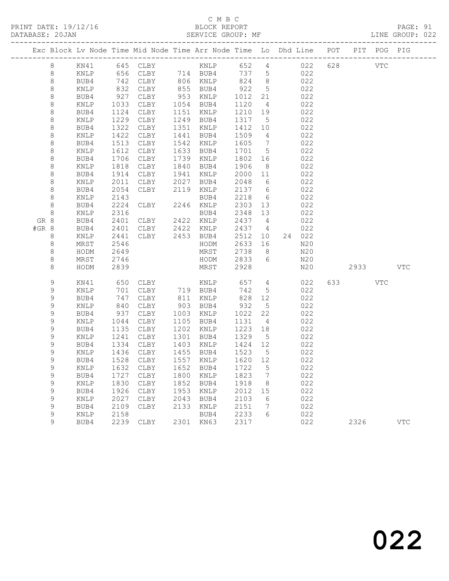## C M B C<br>BLOCK REPORT

LINE GROUP: 022

|         |                  |                 |                 | Exc Block Lv Node Time Mid Node Time Arr Node Time Lo Dhd Line POT |                        |      |                                                      |                 |            |     |      | PIT POG PIG |            |
|---------|------------------|-----------------|-----------------|--------------------------------------------------------------------|------------------------|------|------------------------------------------------------|-----------------|------------|-----|------|-------------|------------|
|         | 8                | KN41            |                 | 645 CLBY KNLP                                                      |                        |      | 652 4                                                |                 | 022        | 628 | VTC  |             |            |
|         | 8                | KNLP            |                 | 656 CLBY 714 BUB4 737 5<br>742 CLBY 806 KNLP 824 8                 |                        |      | 737 5                                                |                 | 022        |     |      |             |            |
|         | $\,8\,$          | BUB4            |                 | 742 CLBY                                                           |                        |      |                                                      |                 | 022        |     |      |             |            |
|         | $\,8\,$          | KNLP            | 832             | CLBY                                                               | 855 BUB4<br>953 KNLP   |      | $\begin{array}{cc} 922 & 5 \\ 1012 & 21 \end{array}$ | $5\overline{)}$ | 022        |     |      |             |            |
|         | $\,8\,$          | BUB4            | 927             | CLBY                                                               |                        |      |                                                      |                 | 022        |     |      |             |            |
|         | $\,8\,$          | KNLP            | 1033<br>1124    | CLBY                                                               | 1054 BUB4              |      | 1120                                                 | $\overline{4}$  | 022        |     |      |             |            |
|         | $\,8\,$          | BUB4            |                 | CLBY                                                               | 1151 KNLP              |      | 1210 19                                              |                 | 022        |     |      |             |            |
|         | $\,8\,$          | KNLP            | 1229<br>1322    | CLBY                                                               | 1249 BUB4              |      | 1317                                                 | $5^{\circ}$     | 022        |     |      |             |            |
|         | $\,8\,$          | BUB4            |                 | CLBY                                                               | 1351 KNLP              |      | 1412 10                                              |                 | 022        |     |      |             |            |
|         | $\,8\,$          | KNLP            | $142$<br>$1513$ | CLBY                                                               | 1441                   | BUB4 | 1509                                                 | $\overline{4}$  | 022        |     |      |             |            |
|         | $\,8\,$          | BUB4            |                 | CLBY                                                               | 1542 KNLP              |      | 1605                                                 | $\overline{7}$  | 022        |     |      |             |            |
|         | $\,8\,$          | KNLP            | 1612<br>1706    | CLBY                                                               | 1633 BUB4              |      | 1701                                                 | $5^{\circ}$     | 022        |     |      |             |            |
|         | 8                | BUB4            |                 | CLBY                                                               | 1739 KNLP              |      | 1802                                                 | 16              | 022        |     |      |             |            |
|         | 8                | KNLP            | 1818<br>1914    | CLBY                                                               | 1840 BUB4              |      | 1906                                                 | 8 <sup>8</sup>  | 022        |     |      |             |            |
|         | 8                | BUB4            |                 | CLBY                                                               | 1941 KNLP              |      | 2000 11                                              |                 | 022        |     |      |             |            |
|         | $\,8\,$          | KNLP            | 2011            | CLBY                                                               | 2027 BUB4              |      | 2048                                                 | $6\overline{6}$ | 022        |     |      |             |            |
|         | $\,8\,$<br>8     | BUB4            | 2054<br>2143    | CLBY                                                               | 2119 KNLP              |      | 2137 6<br>2218                                       | 6               | 022<br>022 |     |      |             |            |
|         | $\,8\,$          | KNLP<br>BUB4    | 2224            | CLBY                                                               | 2246 KNLP              | BUB4 | 2303 13                                              |                 | 022        |     |      |             |            |
|         | $\,8\,$          | KNLP            | 2316            |                                                                    |                        | BUB4 | 2348 13                                              |                 | 022        |     |      |             |            |
| GR 8    |                  | BUB4            | 2401            | CLBY 2422 KNLP                                                     |                        |      | 2437 4                                               |                 | 022        |     |      |             |            |
| $#GR$ 8 |                  | BUB4            | 2401            | CLBY 2422 KNLP                                                     |                        |      | 2437 4                                               |                 | 022        |     |      |             |            |
|         | 8                | KNLP            | 2441            | CLBY 2453 BUB4                                                     |                        |      | 2512 10                                              |                 | 24 022     |     |      |             |            |
|         | 8                | MRST            | 2546            |                                                                    |                        | HODM | 2633 16                                              |                 | N20        |     |      |             |            |
|         | $\,8\,$          | HODM            | 2649            |                                                                    |                        | MRST | 2738                                                 | 8 <sup>8</sup>  | N20        |     |      |             |            |
|         | $\,8\,$          | MRST            | 2746            |                                                                    |                        | HODM | 2833                                                 | 6               | N20        |     |      |             |            |
|         | 8                | HODM            | 2839            |                                                                    |                        | MRST | 2928                                                 |                 | N20        |     | 2933 |             | <b>VTC</b> |
|         |                  |                 |                 |                                                                    |                        |      |                                                      |                 |            |     |      |             |            |
|         | 9                | KN41            | 650<br>701      | CLBY KNLP<br>CLBY 719 BUB4                                         |                        |      | 657<br>742                                           | $4\overline{4}$ | 022        |     |      | <b>VTC</b>  |            |
|         | $\mathsf 9$      | KNLP            |                 |                                                                    |                        |      |                                                      | 5 <sup>5</sup>  | 022        |     |      |             |            |
|         | 9<br>$\mathsf 9$ | BUB4            | 747<br>840      | CLBY                                                               | 811 KNLP<br>903 BUB4   |      | 828 12<br>932 5                                      |                 | 022        |     |      |             |            |
|         | $\mathsf 9$      | KNLP<br>BUB4    |                 | CLBY<br>CLBY                                                       |                        |      | 1022                                                 | 22              | 022<br>022 |     |      |             |            |
|         | 9                | KNLP            | 937<br>1044     | CLBY                                                               | 1003 KNLP<br>1105 BUB4 |      | 1131                                                 | $\overline{4}$  | 022        |     |      |             |            |
|         | $\mathsf 9$      | BUB4            |                 | CLBY                                                               | 1202 KNLP              |      | 1223                                                 | 18              | 022        |     |      |             |            |
|         | 9                | KNLP            | 1135<br>1241    | CLBY                                                               | 1301 BUB4              |      | 1329                                                 | $5\overline{)}$ | 022        |     |      |             |            |
|         | 9                | BUB4            | 1334            | CLBY                                                               | 1403 KNLP              |      | 1424                                                 | 12              | 022        |     |      |             |            |
|         | 9                | $\texttt{KNLP}$ | 1436            | CLBY                                                               | 1455 BUB4              |      | 1523                                                 | $5^{\circ}$     | 022        |     |      |             |            |
|         | 9                | BUB4            | 1528            | CLBY                                                               | 1557 KNLP              |      | 1620 12                                              |                 | 022        |     |      |             |            |
|         | 9                | KNLP            | 1632            | CLBY                                                               | 1652 BUB4              |      | 1722                                                 | $5^{\circ}$     | 022        |     |      |             |            |
|         | 9                | BUB4            | 1727            | CLBY                                                               | 1800 KNLP              |      | 1823                                                 | $\overline{7}$  | 022        |     |      |             |            |
|         | 9                | KNLP            | 1830            | CLBY                                                               | 1852 BUB4              |      | 1918                                                 | 8 <sup>8</sup>  | 022        |     |      |             |            |
|         | 9                | BUB4            | 1926            | CLBY                                                               | 1953 KNLP              |      | 2012 15                                              |                 | 022        |     |      |             |            |
|         | $\mathsf 9$      | KNLP            | 2027            | CLBY                                                               | 2043 BUB4              |      | 2103                                                 | 6               | 022        |     |      |             |            |
|         | $\mathsf 9$      | BUB4            | 2109            | CLBY                                                               | 2133 KNLP              |      | 2151                                                 | $\overline{7}$  | 022        |     |      |             |            |
|         | 9                | KNLP            | 2158            |                                                                    |                        | BUB4 | 2233                                                 | 6               | 022        |     |      |             |            |

9 BUB4 2239 CLBY 2301 KN63 2317 022 2326 VTC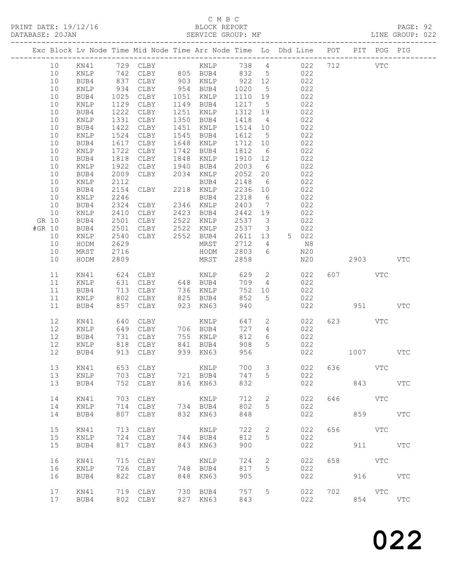| DATABASE: 20JAN                                                                | SERVICE GROUP: MF           |                                                         |     |                      |                               |                                   |                             |     |            |     | LINE GROUP: 022 |  |
|--------------------------------------------------------------------------------|-----------------------------|---------------------------------------------------------|-----|----------------------|-------------------------------|-----------------------------------|-----------------------------|-----|------------|-----|-----------------|--|
| Exc Block Lv Node Time Mid Node Time Arr Node Time Lo Dhd Line POT PIT POG PIG | --------------------        |                                                         |     |                      |                               |                                   |                             |     |            |     |                 |  |
| 10                                                                             |                             |                                                         |     |                      |                               |                                   |                             |     |            |     |                 |  |
| 10<br>KNLP                                                                     |                             |                                                         |     |                      |                               |                                   | 742 CLBY 805 BUB4 832 5 022 |     |            |     |                 |  |
| 10<br>BUB4                                                                     |                             |                                                         |     |                      |                               |                                   | 022                         |     |            |     |                 |  |
| 10<br>KNLP                                                                     | 837<br>934                  | CLBY 903 KNLP<br>CLBY 954 BUB4<br>CLBY 1051 KNLP        |     |                      | $922$ 12<br>1020 5<br>1110 19 |                                   | 022                         |     |            |     |                 |  |
| 10<br>BUB4                                                                     | 1025                        |                                                         |     |                      | 1110 19                       |                                   | 022                         |     |            |     |                 |  |
| 10<br>KNLP                                                                     | 1129                        | CLBY                                                    |     | 1149 BUB4            | 1217 5                        |                                   | 022                         |     |            |     |                 |  |
| 10<br>BUB4                                                                     | 1222                        | CLBY                                                    |     | 1251 KNLP            | 1312 19                       |                                   | 022                         |     |            |     |                 |  |
| 10<br>KNLP                                                                     | 1331                        | CLBY                                                    |     | 1350 BUB4            | 1418 4                        |                                   | 022                         |     |            |     |                 |  |
| 10<br>BUB4                                                                     | 1422                        | CLBY                                                    |     | 1451 KNLP            | 1514 10                       |                                   | 022                         |     |            |     |                 |  |
| 10<br>KNLP                                                                     | 1524                        | CLBY                                                    |     | 1545 BUB4            | 1612 5                        |                                   | 022                         |     |            |     |                 |  |
| 10<br>BUB4                                                                     | 1617                        | CLBY                                                    |     | 1648 KNLP            | 1712 10                       |                                   | 022                         |     |            |     |                 |  |
| 10<br>KNLP                                                                     | 1722                        | CLBY                                                    |     | 1742 BUB4            | 1812                          | 6                                 | 022                         |     |            |     |                 |  |
| 10<br>BUB4                                                                     | 1818                        | CLBY                                                    |     | 1848 KNLP            | 1910                          | 12                                | 022                         |     |            |     |                 |  |
| 10<br>KNLP                                                                     | 1922                        | CLBY 1940 BUB4                                          |     |                      | 2003                          | $6\overline{6}$                   | 022                         |     |            |     |                 |  |
| 10<br>BUB4                                                                     | 2009                        | CLBY 2034                                               |     | KNLP                 | 2052                          | 20                                | 022                         |     |            |     |                 |  |
| 10<br>KNLP                                                                     | 2112                        |                                                         |     | BUB4                 | 2148                          | 6                                 | 022                         |     |            |     |                 |  |
| 10<br>BUB4                                                                     | 2154                        | BUB4<br>CLBY 2218 KNLP                                  |     |                      | 2236 10                       |                                   | 022                         |     |            |     |                 |  |
| 10<br>KNLP                                                                     | 2246                        |                                                         |     |                      | 2318                          | $6\overline{6}$                   | 022                         |     |            |     |                 |  |
| 10<br>BUB4                                                                     | 2324                        | BUB4<br>CLBY 2346 KNLP                                  |     |                      | 2403                          | $\overline{7}$                    | 022                         |     |            |     |                 |  |
| 10<br>KNLP                                                                     | 2410                        |                                                         |     |                      | 2442 19                       |                                   |                             |     |            |     |                 |  |
| GR 10<br>BUB4                                                                  | 2501                        | CLBY 2423 BUB4<br>CLBY 2522 KNLP                        |     |                      | 2537 3                        |                                   | 022<br>022                  |     |            |     |                 |  |
| #GR 10                                                                         | 2501                        |                                                         |     | 2522 KNLP            | 2537 3                        |                                   |                             |     |            |     |                 |  |
| BUB4                                                                           |                             | CLBY                                                    |     | CLBY 2552 BUB4       |                               |                                   | 022                         |     |            |     |                 |  |
| 10<br>KNLP                                                                     | 2540                        |                                                         |     |                      | 2611 13                       |                                   | 5 022                       |     |            |     |                 |  |
| 10<br>HODM                                                                     | 2629                        |                                                         |     | MRST                 | 2712                          | $\overline{4}$<br>$6\overline{6}$ | N8                          |     |            |     |                 |  |
| 10<br>MRST                                                                     | 2716                        |                                                         |     | HODM                 | 2803                          |                                   | N20                         |     | 2903 VTC   |     |                 |  |
| 10<br>HODM                                                                     | 2809                        |                                                         |     | MRST                 | 2858                          |                                   | N20                         |     |            |     |                 |  |
| 11<br>KN41                                                                     |                             | 624 CLBY KNLP<br>631 CLBY 648 BUB4<br>713 CLBY 736 KNLP |     |                      | 629                           | $\overline{2}$                    | 022                         |     | 607 VTC    |     |                 |  |
| 11<br>KNLP                                                                     | $\frac{0}{24}$              |                                                         |     |                      | 709                           | $4\overline{4}$                   | 022                         |     |            |     |                 |  |
| 11<br>BUB4                                                                     |                             |                                                         |     |                      | 752                           | 10                                | 022                         |     |            |     |                 |  |
| 11<br>KNLP                                                                     | 802                         | CLBY                                                    |     | 825 BUB4             | 852                           | 5                                 | 022                         |     |            |     |                 |  |
| 11<br>BUB4                                                                     | 857                         | CLBY                                                    | 923 | KN63                 | 940                           |                                   | 022                         |     | 951 — 100  |     | <b>VTC</b>      |  |
|                                                                                |                             |                                                         |     |                      |                               |                                   |                             |     |            |     |                 |  |
| 12<br>KN41                                                                     | 640                         | CLBY                                                    |     | KNLP                 | 647                           | $\overline{2}$                    | 022                         |     | 623 VTC    |     |                 |  |
| 12<br>KNLP                                                                     | 649 CLBY                    |                                                         |     | 706 BUB4             | 727                           |                                   | $4\overline{ }$<br>022      |     |            |     |                 |  |
| 12<br>BUB4                                                                     | 731                         | CLBY                                                    |     | 755 KNLP             | 812                           | 6                                 | 022                         |     |            |     |                 |  |
| 12<br>KNLP                                                                     | 818<br>818 CLBY<br>913 CLBY | CLBY                                                    |     | 841 BUB4<br>939 KN63 | 908                           | 5                                 | 022                         |     |            |     |                 |  |
| 12<br>BUB4                                                                     |                             |                                                         |     |                      | 956                           |                                   | 022                         |     | 1007       |     | VTC             |  |
| 13<br>KN41                                                                     |                             | 653 CLBY                                                |     | KNLP                 | 700                           | 3                                 | 022                         |     | 636 100    | VTC |                 |  |
| 13<br>KNLP                                                                     | 703                         | CLBY                                                    |     | 721 BUB4             | 747                           | 5                                 | 022                         |     |            |     |                 |  |
| 13<br>BUB4                                                                     | 752                         | CLBY                                                    |     | 816 KN63             | 832                           |                                   | 022                         |     | 843        |     | VTC             |  |
|                                                                                |                             |                                                         |     |                      |                               |                                   |                             |     |            |     |                 |  |
| 14<br>KN41                                                                     | 703                         | CLBY                                                    |     | KNLP                 | 712                           | 2                                 | 022                         | 646 | <b>VTC</b> |     |                 |  |
| 14<br>KNLP                                                                     | 714                         | CLBY                                                    |     | 734 BUB4             | 802                           | 5                                 | 022                         |     |            |     |                 |  |
| 14<br>BUB4                                                                     | 807                         | CLBY                                                    | 832 | KN63                 | 848                           |                                   | 022                         |     | 859 VTC    |     |                 |  |
|                                                                                |                             |                                                         |     |                      |                               |                                   |                             |     |            |     |                 |  |
| 15<br>KN41                                                                     | 713                         | CLBY                                                    |     | KNLP                 | 722                           | 2                                 | 022                         | 656 | <b>VTC</b> |     |                 |  |
| 15<br>KNLP                                                                     | 724                         | CLBY                                                    |     | 744 BUB4             | 812                           | 5                                 | 022                         |     |            |     |                 |  |
| 15<br>BUB4                                                                     | 817                         | CLBY                                                    | 843 | KN63                 | 900                           |                                   | 022                         |     | 911 VTC    |     |                 |  |
| 16<br>KN41                                                                     | 715                         | CLBY                                                    |     | KNLP                 | 724                           | 2                                 | 022                         | 658 | <b>VTC</b> |     |                 |  |
| 16<br>KNLP                                                                     | 726                         | CLBY                                                    |     | 748 BUB4             | 817                           | 5                                 | 022                         |     |            |     |                 |  |
| 16<br>BUB4                                                                     | 822                         | CLBY                                                    | 848 | KN63                 | 905                           |                                   | 022                         |     | 916 VTC    |     |                 |  |
|                                                                                |                             |                                                         |     |                      |                               |                                   |                             |     |            |     |                 |  |
| 17<br>KN41                                                                     |                             | 719 CLBY                                                | 730 | BUB4                 | 757                           | 5                                 | 022                         | 702 | <b>VTC</b> |     |                 |  |
| 17<br>BUB4                                                                     |                             | 802 CLBY                                                |     | 827 KN63             | 843                           |                                   | 022                         |     | 854        |     | <b>VTC</b>      |  |
|                                                                                |                             |                                                         |     |                      |                               |                                   |                             |     |            |     |                 |  |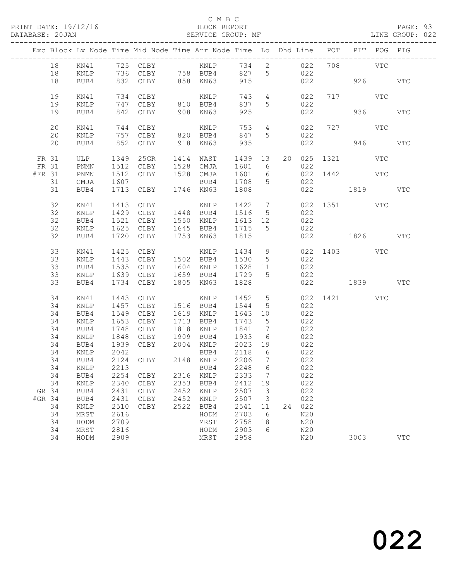#### C M B C

DATABASE: 20JAN SERVICE GROUP: MF LINE GROUP: 022

|                 |          |                              |              | Exc Block Lv Node Time Mid Node Time Arr Node Time Lo Dhd Line POT PIT POG PIG |              |                          |                   |                                                    |    |            |                 |         |            |
|-----------------|----------|------------------------------|--------------|--------------------------------------------------------------------------------|--------------|--------------------------|-------------------|----------------------------------------------------|----|------------|-----------------|---------|------------|
|                 | 18       |                              |              |                                                                                |              |                          |                   |                                                    |    |            |                 |         |            |
|                 | 18       | KNLP                         |              | 736 CLBY 758 BUB4<br>832 CLBY 858 KN63                                         |              |                          | 827 5<br>915      |                                                    |    | 022        | 926 VTC         |         |            |
|                 | 18       | BUB4                         |              |                                                                                |              |                          |                   |                                                    |    | 022        |                 |         |            |
|                 | 19       | KN41                         |              | 734 CLBY                                                                       |              | KNLP                     | 743               | $4\overline{4}$                                    |    | 022        | 717 VTC         |         |            |
|                 | 19       | KNLP                         |              | 747 CLBY 810 BUB4                                                              |              |                          | 837               | $5\overline{)}$                                    |    | 022        |                 |         |            |
|                 | 19       | BUB4                         |              | 842 CLBY                                                                       |              | 908 KN63                 | 925               |                                                    |    | 022        |                 | 936 000 | <b>VTC</b> |
|                 | 20       | KN41                         |              |                                                                                |              |                          | 753               | $4\overline{4}$                                    |    | 022        | 727 VTC         |         |            |
|                 | 20       | KNLP                         |              |                                                                                |              |                          | 847 5             |                                                    |    | 022        |                 |         |            |
|                 | 20       | BUB4                         |              | 852 CLBY                                                                       |              | 918 KN63                 | 935               |                                                    |    | 022        | 946 VTC         |         |            |
| FR 31           |          | ULP                          |              | 1349 25GR                                                                      |              | 1414 NAST                |                   |                                                    |    |            | 20 025 1321 VTC |         |            |
| FR 31           |          | $\mathop{\rm PNMN}\nolimits$ |              | 1512 CLBY 1528 CMJA                                                            |              |                          | 1439 13<br>1601 6 |                                                    |    | 022        |                 |         |            |
| #FR 31          |          | PNMN                         | 1512         | CLBY                                                                           |              | 1528 CMJA                | 1601 6            |                                                    |    |            | 022 1442 VTC    |         |            |
|                 | 31       | CMJA                         | 1607         |                                                                                |              | BUB4 1708                |                   | $5\overline{)}$                                    |    | 022        |                 |         |            |
|                 | 31       | BUB4                         |              | 1713 CLBY 1746 KN63                                                            |              |                          | 1808              |                                                    |    |            | 022 1819        |         | VTC        |
|                 | 32       | KN41                         |              | 1413 CLBY                                                                      |              | KNLP 1422 7 022 1351 VTC |                   |                                                    |    |            |                 |         |            |
|                 | 32       | KNLP                         |              | 1429 CLBY 1448 BUB4 1516 5                                                     |              |                          |                   |                                                    |    | 022        |                 |         |            |
|                 | 32       | BUB4                         | 1521         | CLBY 1550 KNLP                                                                 |              |                          | 1613 12           |                                                    |    | 022        |                 |         |            |
|                 | 32       | KNLP                         |              | 1625 CLBY                                                                      |              | 1645 BUB4                | 1715 5            |                                                    |    | 022        |                 |         |            |
|                 | 32       | BUB4                         |              | 1720 CLBY                                                                      |              | 1753 KN63                | 1815              |                                                    |    | 022        | 1826            |         | <b>VTC</b> |
|                 | 33       | KN41                         |              | 1425 CLBY                                                                      |              | KNLP 1434 9              |                   |                                                    |    |            | 022 1403 VTC    |         |            |
|                 | 33       | KNLP                         |              | 1443 CLBY 1502 BUB4 1530 5                                                     |              |                          |                   |                                                    |    | 022        |                 |         |            |
|                 | 33       | BUB4                         |              | 1535 CLBY                                                                      |              | 1604 KNLP                | 1628 11           |                                                    |    | 022        |                 |         |            |
|                 | 33       | KNLP                         |              | 1639 CLBY                                                                      |              | 1659 BUB4 1729 5         |                   |                                                    |    | 022        |                 |         |            |
|                 | 33       | BUB4                         |              | 1734 CLBY                                                                      |              | 1805 KN63                | 1828              |                                                    |    |            | 022 1839 VTC    |         |            |
|                 | 34       | KN41                         | 1443         | CLBY                                                                           |              | KNLP                     | 1452              | $5\overline{)}$                                    |    |            | 022 1421 VTC    |         |            |
|                 | 34       | KNLP                         | 1457         | CLBY                                                                           |              | 1516 BUB4                | 1544              | $5^{\circ}$                                        |    | 022        |                 |         |            |
|                 | 34       | BUB4                         | 1549         | CLBY                                                                           |              | 1619 KNLP                | 1643 10           |                                                    |    | 022        |                 |         |            |
|                 | 34       | KNLP                         | 1653         | CLBY                                                                           |              | 1713 BUB4                | 1743              | $5\overline{)}$                                    |    | 022        |                 |         |            |
|                 | 34<br>34 | BUB4<br>KNLP                 | 1848         | 1748 CLBY<br>CLBY                                                              | 1909         | 1818 KNLP<br>BUB4 1933   | 1841              | $\overline{7}$<br>$6\overline{6}$                  |    | 022<br>022 |                 |         |            |
|                 | 34       | BUB4                         |              | 1939 CLBY 2004 KNLP                                                            |              |                          | 2023 19           |                                                    |    | 022        |                 |         |            |
|                 | 34       | KNLP                         | 2042         |                                                                                |              | BUB4                     | 2118              | 6                                                  |    |            |                 |         |            |
|                 | 34       | BUB4                         |              | 2124 CLBY 2148 KNLP                                                            |              |                          | 2206              | $\overline{7}$                                     |    | 022<br>022 |                 |         |            |
|                 |          |                              |              | 34 KNLP 2213 BUB4 2248 6                                                       |              |                          |                   |                                                    |    | 022        |                 |         |            |
|                 | 34       | BUB4                         | 2254         | CLBY                                                                           | 2316         | KNLP                     | 2333              | $\overline{7}$                                     |    | 022        |                 |         |            |
|                 | 34       | KNLP                         | 2340         | CLBY                                                                           | 2353         | BUB4                     | 2412              | 19                                                 |    | 022        |                 |         |            |
| GR 34<br>#GR 34 |          | BUB4<br>BUB4                 | 2431<br>2431 | CLBY<br>CLBY                                                                   | 2452<br>2452 | KNLP<br>KNLP             | 2507<br>2507      | $\overline{\mathbf{3}}$<br>$\overline{\mathbf{3}}$ |    | 022<br>022 |                 |         |            |
|                 | 34       | KNLP                         | 2510         | CLBY                                                                           | 2522         | BUB4                     | 2541              | 11                                                 | 24 | 022        |                 |         |            |
|                 | 34       | MRST                         | 2616         |                                                                                |              | HODM                     | 2703              | 6                                                  |    | N20        |                 |         |            |
|                 | 34       | HODM                         | 2709         |                                                                                |              | MRST                     | 2758              | 18                                                 |    | N20        |                 |         |            |
|                 | 34       | MRST                         | 2816         |                                                                                |              | HODM                     | 2903              | 6                                                  |    | N20        |                 |         |            |
|                 | 34       | HODM                         | 2909         |                                                                                |              | MRST                     | 2958              |                                                    |    | N20        | 3003            |         | <b>VTC</b> |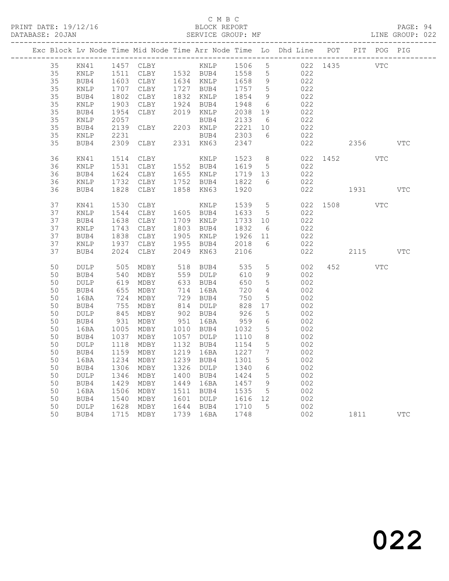### C M B C

|  | DATABASE: 20JAN |                 |      | SERVICE GROUP: MF                              |      |                      |                  |                 |                                                                                |              |         |          | LINE GROUP: 022 |
|--|-----------------|-----------------|------|------------------------------------------------|------|----------------------|------------------|-----------------|--------------------------------------------------------------------------------|--------------|---------|----------|-----------------|
|  |                 |                 |      |                                                |      |                      |                  |                 | Exc Block Lv Node Time Mid Node Time Arr Node Time Lo Dhd Line POT PIT POG PIG |              |         |          |                 |
|  | 35              |                 |      |                                                |      |                      |                  |                 |                                                                                |              |         |          |                 |
|  | 35              | KNLP            |      |                                                |      |                      |                  |                 | 1511 CLBY 1532 BUB4 1558 5 022                                                 |              |         |          |                 |
|  | 35              | BUB4            | 1603 | CLBY 1634 KNLP 1658 9<br>CLBY 1727 BUB4 1757 5 |      |                      |                  |                 | 022                                                                            |              |         |          |                 |
|  | 35              | KNLP            | 1707 |                                                |      |                      |                  |                 | 022                                                                            |              |         |          |                 |
|  | 35              | BUB4            | 1802 | CLBY                                           |      | 1832 KNLP            | 1854             | 9               | 022                                                                            |              |         |          |                 |
|  | 35              | KNLP            | 1903 | CLBY 1924 BUB4                                 |      |                      | 1948 6           |                 | 022                                                                            |              |         |          |                 |
|  | 35              | BUB4            | 1954 | CLBY                                           |      | 2019 KNLP            | 2038             | 19              | 022                                                                            |              |         |          |                 |
|  | 35              | KNLP            | 2057 |                                                |      | BUB4                 | 2133 6           |                 | 022                                                                            |              |         |          |                 |
|  | 35              | BUB4            | 2139 | CLBY                                           |      | 2203 KNLP            | 2221 10          |                 | $022$                                                                          |              |         |          |                 |
|  | 35              | KNLP            | 2231 |                                                |      |                      |                  |                 | BUB4 2303 6 022                                                                |              |         |          |                 |
|  | 35              | BUB4            |      | 2309 CLBY 2331 KN63                            |      |                      | 2347             |                 |                                                                                | 022          |         | 2356 VTC |                 |
|  | 36              | KN41            | 1514 | CLBY                                           |      | KNLP                 |                  |                 | 1523 8                                                                         | 022 1452 VTC |         |          |                 |
|  | 36              | KNLP            | 1531 | CLBY 1552 BUB4                                 |      |                      | 1619 5           |                 | 022                                                                            |              |         |          |                 |
|  | 36              | BUB4            | 1624 |                                                |      | CLBY 1655 KNLP       |                  |                 | 1719 13 022                                                                    |              |         |          |                 |
|  | 36              | KNLP            | 1732 | CLBY 1752 BUB4                                 |      |                      | 1822 6           |                 | 022                                                                            |              |         |          |                 |
|  | 36              | BUB4            | 1828 | CLBY 1858 KN63                                 |      |                      | 1920             |                 |                                                                                | 022 1931 VTC |         |          |                 |
|  | 37              | KN41            | 1530 | CLBY                                           |      | KNLP                 |                  |                 | 1539 5                                                                         | 022 1508 VTC |         |          |                 |
|  | 37              | KNLP            | 1544 | CLBY 1605 BUB4                                 |      |                      | 1633 5           |                 | 022                                                                            |              |         |          |                 |
|  | 37              | BUB4            | 1638 | CLBY                                           |      | 1709 KNLP            | 1733 10          |                 | 022                                                                            |              |         |          |                 |
|  | 37              | KNLP            | 1743 | CLBY                                           |      | 1803 BUB4            | 1832             |                 | $\begin{array}{c c}\n6 & 022\n\end{array}$                                     |              |         |          |                 |
|  | 37              | BUB4            | 1838 | CLBY                                           |      |                      |                  |                 | 1905 KNLP 1926 11 022                                                          |              |         |          |                 |
|  | 37              | KNLP            | 1937 | CLBY 1955 BUB4                                 |      |                      | 2018 6           |                 | 022                                                                            |              |         |          |                 |
|  | 37              | BUB4            | 2024 | CLBY                                           |      | 2049 KN63            | 2106             |                 |                                                                                | 022          |         | 2115     | VTC             |
|  | 50              | DULP            | 505  |                                                |      | MDBY 518 BUB4        | 535              |                 | $5 - 5$<br>002                                                                 |              | 452 VTC |          |                 |
|  | 50              | BUB4            | 540  | MDBY                                           |      | 559 DULP             | 610              | 9               | 002                                                                            |              |         |          |                 |
|  | 50              | $\texttt{DULP}$ | 619  | MDBY                                           |      | 633 BUB4             | 650              | 5 <sup>5</sup>  | 002                                                                            |              |         |          |                 |
|  | 50              | BUB4            | 655  | MDBY                                           |      | 714 16BA             | 720              | $\overline{4}$  | 002                                                                            |              |         |          |                 |
|  | 50              | 16BA            | 724  | MDBY                                           |      | 729 BUB4             | 750              | $5\overline{)}$ | 002                                                                            |              |         |          |                 |
|  | 50              | BUB4            | 755  | MDBY                                           |      | 814 DULP             | 828              | 17              | 002                                                                            |              |         |          |                 |
|  | 50              | DULP            | 845  | MDBY                                           |      |                      |                  | 5 <sup>5</sup>  | 002                                                                            |              |         |          |                 |
|  | 50              | BUB4            | 931  | MDBY                                           |      | 902 BUB4<br>951 16BA | 926<br>959       | $6\overline{6}$ | 002                                                                            |              |         |          |                 |
|  | 50              | 16BA            | 1005 | MDBY                                           |      | 1010 BUB4 1032       |                  | 5 <sup>5</sup>  | 002                                                                            |              |         |          |                 |
|  | 50              | BUB4            | 1037 | MDBY 1057 DULP                                 |      |                      | 1110             | 8 <sup>8</sup>  | 002                                                                            |              |         |          |                 |
|  | 50              | DULP            |      | MDBY                                           |      | 1132 BUB4            |                  |                 |                                                                                |              |         |          |                 |
|  | 50              | BUB4            |      | 1118 MDBY<br>1159 MDBY                         |      | 1219 16BA            | 1154 5<br>1227 7 |                 | 002<br>002                                                                     |              |         |          |                 |
|  |                 |                 |      | 50 16BA 1234 MDBY 1239 BUB4 1301               |      |                      |                  |                 | 5 002                                                                          |              |         |          |                 |
|  | 50              | BUB4            | 1306 | MDBY                                           | 1326 | DULP                 | 1340             | 6               | 002                                                                            |              |         |          |                 |
|  | 50              | DULP            | 1346 | MDBY                                           | 1400 | BUB4                 | 1424             | 5               | 002                                                                            |              |         |          |                 |
|  | 50              | BUB4            | 1429 | MDBY                                           | 1449 | 16BA                 | 1457             | 9               | 002                                                                            |              |         |          |                 |
|  | 50              | 16BA            | 1506 | MDBY                                           | 1511 | BUB4                 | 1535             | 5               | 002                                                                            |              |         |          |                 |
|  | 50              | BUB4            | 1540 | MDBY                                           | 1601 | DULP                 | 1616             | 12              | 002                                                                            |              |         |          |                 |
|  | 50              | $\texttt{DULP}$ | 1628 | MDBY                                           | 1644 | BUB4                 | 1710             | 5               | 002                                                                            |              |         |          |                 |
|  | 50              | BUB4            | 1715 | MDBY                                           | 1739 | 16BA                 | 1748             |                 | 002                                                                            |              | 1811    |          | <b>VTC</b>      |
|  |                 |                 |      |                                                |      |                      |                  |                 |                                                                                |              |         |          |                 |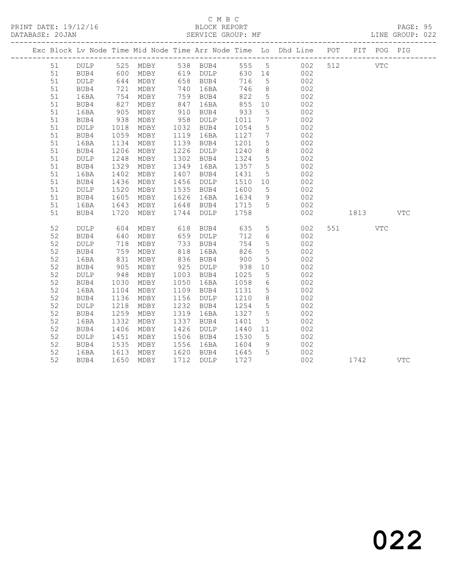PRINT DATE: 19/12/16 BLOCK REPORT BATABASE: 20JAN BERVICE GROUP: MF

## C M B C<br>BLOCK REPORT

PAGE: 95<br>LINE GROUP: 022

|          |              |                                                                                |                                  |            |                                                                  |                      |                              | Exc Block Lv Node Time Mid Node Time Arr Node Time Lo Dhd Line POT PIT POG PIG |         |            |
|----------|--------------|--------------------------------------------------------------------------------|----------------------------------|------------|------------------------------------------------------------------|----------------------|------------------------------|--------------------------------------------------------------------------------|---------|------------|
| 51       |              |                                                                                |                                  |            |                                                                  |                      |                              | DULP 525 MDBY 538 BUB4 555 5 002<br>BUB4 600 MDBY 619 DULP 630 14 002          | 512 VTC |            |
| 51       |              |                                                                                |                                  |            |                                                                  |                      |                              |                                                                                |         |            |
| 51       | DULP         |                                                                                | $644$ MDBY                       |            | 658 BUB4                                                         | 716                  | 5 <sup>5</sup>               | 002                                                                            |         |            |
| 51       | BUB4         | 721                                                                            | MDBY                             |            | 740 16BA                                                         | 746                  | 8                            | 002                                                                            |         |            |
| 51       | 16BA         |                                                                                | MDBY                             | 759<br>847 | 759 BUB4                                                         | 822                  | 5 <sup>5</sup>               | 002                                                                            |         |            |
| 51       | BUB4         | $\begin{array}{c} \n \overline{327} \\  827 \\  \overline{15} \\  \end{array}$ | MDBY                             |            | 16BA                                                             | 855                  | 10                           | 002                                                                            |         |            |
| 51       | 16BA         | 905                                                                            | MDBY                             | 910        | BUB4                                                             | 933                  | $5^{\circ}$                  | 002                                                                            |         |            |
| 51       | BUB4         | 938                                                                            | MDBY                             |            | 958 DULP                                                         | 1011                 | $7\phantom{.0}\phantom{.0}7$ | 002                                                                            |         |            |
| 51       | DULP         | 1018                                                                           | MDBY                             |            | 1032 BUB4                                                        | 1054                 | $5\overline{)}$              | 002                                                                            |         |            |
| 51       | BUB4         | 1059                                                                           | MDBY                             |            | 1119 16BA                                                        | 1127                 | $7\overline{ }$              | 002                                                                            |         |            |
| 51       | 16BA         |                                                                                | 1134 MDBY                        |            | 1139 BUB4                                                        | 1201                 | $5\overline{)}$              | 002                                                                            |         |            |
| 51       | BUB4         | 1206                                                                           | MDBY                             | 1226       | DULP                                                             | 1240                 | 8 <sup>8</sup>               | 002                                                                            |         |            |
| 51       | DULP         | 1248                                                                           | MDBY                             |            | 1302 BUB4                                                        | 1324                 | $5\overline{)}$              | 002                                                                            |         |            |
| 51       | BUB4         | 1329                                                                           | MDBY                             |            | 1349 16BA                                                        | 1357                 | $5^{\circ}$                  | 002                                                                            |         |            |
| 51       | 16BA         | 1402                                                                           | MDBY                             |            | 1407 BUB4                                                        | 1431                 | 5 <sup>5</sup>               | 002<br>002                                                                     |         |            |
| 51       | BUB4         | 1436                                                                           | MDBY                             |            | 1456 DULP                                                        | 1510                 | 10                           | 002                                                                            |         |            |
| 51       | DULP         | 1520                                                                           | MDBY                             |            | 1535 BUB4                                                        | 1600                 | $5\overline{)}$              |                                                                                |         |            |
| 51       | BUB4         | 1605                                                                           | MDBY                             |            | 1626 16BA                                                        | 1634                 | 9<br>$5^{\circ}$             | 002                                                                            |         |            |
| 51<br>51 | 16BA<br>BUB4 | 1643<br>1720                                                                   | MDBY<br>MDBY                     |            | 1648 BUB4<br>1744 DULP                                           | 1715<br>1758<br>1758 |                              | 002<br>002                                                                     | 1813    | <b>VTC</b> |
|          |              |                                                                                |                                  |            |                                                                  |                      |                              |                                                                                |         |            |
| 52       | DULP         | 604                                                                            | MDBY                             |            | 618 BUB4 635                                                     |                      | 5 <sup>5</sup>               | 002                                                                            | 551 VTC |            |
| 52       | BUB4         |                                                                                |                                  |            |                                                                  | 712                  | $6\overline{6}$              | 002                                                                            |         |            |
| 52       | <b>DULP</b>  |                                                                                |                                  |            |                                                                  | 754                  | $5\overline{)}$              | 002                                                                            |         |            |
| 52       | BUB4         |                                                                                | 640 MDBY<br>718 MDBY<br>759 MDBY |            | 659 DULP<br>733 BUB4<br>818 16BA<br>733 BUB4<br>818 16BA<br>16BA | 826                  | $5\overline{)}$              | 002                                                                            |         |            |
| 52       | 16BA         | 831                                                                            | MDBY                             |            | 836 BUB4                                                         | 900                  | $5\overline{)}$              | 002                                                                            |         |            |
| 52       | BUB4         | 905                                                                            | MDBY                             |            | 925 DULP                                                         | 938                  | 10                           | 002                                                                            |         |            |
| 52       | DULP         | 948                                                                            | MDBY                             |            | 1003 BUB4                                                        | 1025                 | $5^{\circ}$                  | 002                                                                            |         |            |
| 52       | BUB4         | 1030                                                                           | MDBY                             | 1050       | 16BA                                                             | 1058                 | $6\overline{6}$              | 002                                                                            |         |            |
| 52       | 16BA         | 1104                                                                           | MDBY                             |            | 1109 BUB4                                                        | 1131                 | $5\overline{)}$              | 002                                                                            |         |            |
| 52       | BUB4         | 1136                                                                           | MDBY                             |            | 1156 DULP                                                        | 1210                 | 8 <sup>8</sup>               | 002                                                                            |         |            |
| 52       | <b>DULP</b>  | 1218                                                                           | MDBY                             | 1232       | BUB4                                                             | 1254                 | $5\overline{)}$              | 002                                                                            |         |            |
| 52       | BUB4         | 1259                                                                           | MDBY                             | 1319       | 16BA                                                             | 1327                 | $5\overline{)}$              | 002                                                                            |         |            |
| 52       | 16BA         | 1332                                                                           | MDBY                             | 1337       | BUB4                                                             | 1401                 | 5                            | 002                                                                            |         |            |
| 52       | BUB4         | 1406                                                                           | MDBY                             | 1426       | DULP                                                             | 1440 11              |                              | 002                                                                            |         |            |
| 52       | DULP         | 1451                                                                           | MDBY                             |            | 1506 BUB4                                                        | 1530                 | $5\overline{)}$              | 002                                                                            |         |            |
| 52       | BUB4         | 1535                                                                           | MDBY                             | 1556       | 16BA                                                             | 1604                 | 9                            | 002                                                                            |         |            |
| 52       | 16BA         | 1613                                                                           | MDBY                             |            | 1620 BUB4 1645                                                   |                      | $5^{\circ}$                  | 002                                                                            |         |            |
| 52       | BUB4         |                                                                                | 1650 MDBY                        |            | 1712 DULP                                                        | 1727                 |                              | 002                                                                            | 1742    | <b>VTC</b> |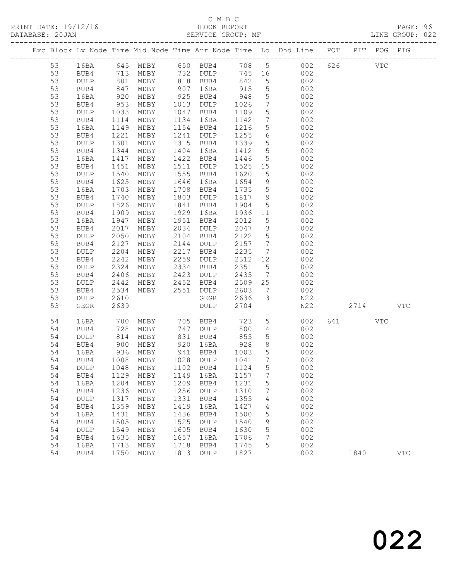## C M B C<br>BLOCK REPORT

LINE GROUP: 022

|          |              |              |                                |              |                       |                                             |                                                 | Exc Block Lv Node Time Mid Node Time Arr Node Time Lo Dhd Line POT |                                                        | PIT POG PIG |            |
|----------|--------------|--------------|--------------------------------|--------------|-----------------------|---------------------------------------------|-------------------------------------------------|--------------------------------------------------------------------|--------------------------------------------------------|-------------|------------|
| 53       |              |              |                                |              |                       |                                             |                                                 |                                                                    | 626 VTC                                                |             |            |
| 53       |              |              |                                |              |                       | $\begin{array}{ccc}\n745 & 16\n\end{array}$ |                                                 |                                                                    |                                                        |             |            |
| 53       | DULP         | 801          | MDBY                           |              | 818 BUB4              | 842                                         | 5 <sup>5</sup>                                  | 002                                                                |                                                        |             |            |
| 53       | BUB4         | 847          | MDBY                           | 907          | 16BA                  | 915                                         | $5\overline{)}$                                 | 002                                                                |                                                        |             |            |
| 53       | 16BA         | 920<br>953   | MDBY                           | 925          | BUB4                  | 948                                         | $5\overline{)}$                                 | 002                                                                |                                                        |             |            |
| 53       | BUB4         |              | MDBY                           | 1013         | DULP                  | 1026                                        | $7\overline{ }$                                 | 002                                                                |                                                        |             |            |
| 53       | DULP         | 1033         | MDBY                           | 1047         | BUB4                  | 1109                                        | $5\phantom{.0}$                                 | 002                                                                |                                                        |             |            |
| 53       | BUB4         | 1114         | MDBY                           | 1134         | 16BA                  | 1142                                        | $7\overline{ }$                                 | 002                                                                |                                                        |             |            |
| 53       | 16BA         | 1149         | MDBY                           | 1154         | BUB4                  | 1216                                        | 5 <sup>5</sup><br>$6\overline{6}$               | 002                                                                |                                                        |             |            |
| 53<br>53 | BUB4<br>DULP | 1221<br>1301 | MDBY<br>MDBY                   | 1241<br>1315 | DULP<br>BUB4          | 1255<br>1339                                | $5\overline{)}$                                 | 002<br>002                                                         |                                                        |             |            |
| 53       | BUB4         | 1344         | MDBY                           | 1404         | 16BA                  | 1412                                        | $5\overline{)}$                                 | 002                                                                |                                                        |             |            |
| 53       | 16BA         | 1417         | MDBY                           | 1422         | BUB4                  | 1446                                        | $5\overline{)}$                                 | 002                                                                |                                                        |             |            |
| 53       | BUB4         | 1451         | MDBY                           | 1511         | DULP                  | 1525                                        | 15                                              | 002                                                                |                                                        |             |            |
| 53       | DULP         | 1540         | MDBY                           | 1555         | BUB4                  | 1620                                        | $5\overline{)}$                                 | 002                                                                |                                                        |             |            |
| 53       | BUB4         | 1625         | MDBY                           | 1646         | 16BA                  | 1654                                        | 9                                               | 002                                                                |                                                        |             |            |
| 53       | 16BA         | 1703         | MDBY                           | 1708         | BUB4                  | 1735                                        | $5\overline{)}$                                 | 002                                                                |                                                        |             |            |
| 53       | BUB4         | 1740         | MDBY                           | 1803         | DULP                  | 1817                                        | 9                                               | 002                                                                |                                                        |             |            |
| 53       | DULP         | 1826         | MDBY                           | 1841         | BUB4                  | 1904                                        | $5\overline{)}$                                 | 002                                                                |                                                        |             |            |
| 53       | BUB4         | 1909         | MDBY                           | 1929         | 16BA                  | 1936 11                                     |                                                 | 002                                                                |                                                        |             |            |
| 53       | 16BA         | 1947         | MDBY                           | 1951         | BUB4                  | 2012                                        | 5                                               | 002                                                                |                                                        |             |            |
| 53       | BUB4         | 2017         | MDBY                           | 2034         | DULP                  | 2047                                        | $\overline{\mathbf{3}}$                         | 002                                                                |                                                        |             |            |
| 53       | DULP         | 2050         | MDBY                           | 2104         | BUB4                  | 2122                                        | $5\overline{)}$                                 | 002                                                                |                                                        |             |            |
| 53       | BUB4         | 2127         | MDBY                           | 2144         | DULP                  | 2157                                        | $7\phantom{.0}\phantom{.0}7$                    | 002                                                                |                                                        |             |            |
| 53       | DULP         | 2204         | MDBY                           | 2217         | BUB4                  | 2235                                        | $7\overline{ }$                                 | 002                                                                |                                                        |             |            |
| 53<br>53 | BUB4         | 2242<br>2324 | MDBY                           | 2259         | DULP                  | 2312<br>2351                                | 12                                              | 002                                                                |                                                        |             |            |
| 53       | DULP<br>BUB4 | 2406         | MDBY<br>MDBY                   | 2334<br>2423 | BUB4<br>DULP          | 2435                                        | 15<br>$\overline{7}$                            | 002<br>002                                                         |                                                        |             |            |
| 53       | DULP         | 2442         | MDBY                           | 2452         | BUB4                  | 2509                                        | 25                                              | 002                                                                |                                                        |             |            |
| 53       | BUB4         | 2534         | MDBY                           | 2551         | DULP                  | 2603                                        | $\overline{7}$                                  | 002                                                                |                                                        |             |            |
| 53       | DULP         | 2610         |                                |              | GEGR                  | 2636                                        | $\mathcal{S}$                                   | N22                                                                |                                                        |             |            |
| 53       | GEGR         | 2639         |                                |              | DULP                  | 2704                                        |                                                 | N22                                                                | 2714                                                   |             | <b>VTC</b> |
|          |              |              |                                |              |                       |                                             |                                                 |                                                                    |                                                        |             |            |
| 54       | 16BA         | 700<br>728   | MDBY 705 BUB4<br>MDBY 747 DULP |              |                       | 723                                         | $5\overline{)}$                                 | 002                                                                | 641 641 641 641 642 643 643 643 643 643 643 643 644 65 | VTC         |            |
| 54       | BUB4         |              | MDBY                           |              | 747 DULP              | 800 14                                      |                                                 | 002                                                                |                                                        |             |            |
| 54       | DULP         | 814          | MDBY                           | 831          | BUB4                  | 855                                         | 5 <sup>5</sup>                                  | 002                                                                |                                                        |             |            |
| 54       | BUB4         | 900          | MDBY                           | 920          | 16BA                  | 928                                         | 8 <sup>8</sup>                                  | 002                                                                |                                                        |             |            |
| 54<br>54 | 16BA         | 936<br>1008  | MDBY<br>MDBY                   |              | 941 BUB4<br>1028 DULP | 1003<br>1041                                | $5\overline{)}$<br>$7\phantom{.0}\phantom{.0}7$ | 002<br>002                                                         |                                                        |             |            |
| 54       | BUB4         |              | DULP 1048 MDBY 1102 BUB4 1124  |              |                       |                                             | 5 <sub>5</sub>                                  | 002                                                                |                                                        |             |            |
| 54       | BUB4         | 1129         | MDBY                           | 1149         | 16BA                  | 1157                                        | $7\phantom{.0}$                                 | 002                                                                |                                                        |             |            |
| 54       | 16BA         | 1204         | MDBY                           | 1209         | BUB4                  | 1231                                        | 5                                               | 002                                                                |                                                        |             |            |
| 54       | BUB4         | 1236         | MDBY                           | 1256         | DULP                  | 1310                                        | 7                                               | 002                                                                |                                                        |             |            |
| 54       | DULP         | 1317         | MDBY                           | 1331         | BUB4                  | 1355                                        | 4                                               | 002                                                                |                                                        |             |            |
| 54       | BUB4         | 1359         | MDBY                           | 1419         | 16BA                  | 1427                                        | 4                                               | 002                                                                |                                                        |             |            |
| 54       | 16BA         | 1431         | MDBY                           | 1436         | BUB4                  | 1500                                        | 5                                               | 002                                                                |                                                        |             |            |
| 54       | BUB4         | 1505         | MDBY                           | 1525         | DULP                  | 1540                                        | 9                                               | 002                                                                |                                                        |             |            |
| 54       | DULP         | 1549         | MDBY                           | 1605         | BUB4                  | 1630                                        | 5                                               | 002                                                                |                                                        |             |            |
| 54       | BUB4         | 1635         | MDBY                           | 1657         | 16BA                  | 1706                                        | 7                                               | 002                                                                |                                                        |             |            |
| 54       | 16BA         | 1713         | MDBY                           | 1718         | BUB4                  | 1745                                        | 5                                               | 002                                                                |                                                        |             |            |
| 54       | BUB4         | 1750         | MDBY                           | 1813         | DULP                  | 1827                                        |                                                 | 002                                                                | 1840                                                   |             | <b>VTC</b> |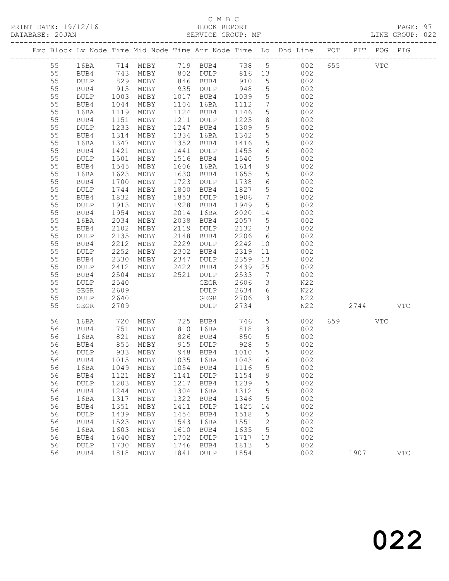## C M B C

| DATABASE: 20JAN |              |                          |                                                                            |              |                                          |                 |                         | SERVICE GROUP: MF AND THE GROUP: 022                                           |           |     |              |  |
|-----------------|--------------|--------------------------|----------------------------------------------------------------------------|--------------|------------------------------------------|-----------------|-------------------------|--------------------------------------------------------------------------------|-----------|-----|--------------|--|
|                 |              |                          |                                                                            |              |                                          |                 |                         | Exc Block Lv Node Time Mid Node Time Arr Node Time Lo Dhd Line POT PIT POG PIG |           |     |              |  |
| 55              |              |                          |                                                                            |              |                                          |                 |                         | 16BA 714 MDBY 719 BUB4 738 5 002 655 VTC                                       |           |     |              |  |
| 55              | BUB4         |                          | 743 MDBY 802 DULP 816 13                                                   |              |                                          |                 |                         | 002                                                                            |           |     |              |  |
| 55              | DULP         |                          | 829 MDBY 846 BUB4 910<br>915 MDBY 935 DULP 948<br>1003 MDBY 1017 BUB4 1039 |              |                                          |                 | $5\overline{)}$         | 002                                                                            |           |     |              |  |
| 55              | BUB4         |                          |                                                                            |              | MDBY 935 DULP 948<br>MDBY 1017 BUB4 1039 |                 | 15                      | 002                                                                            |           |     |              |  |
| 55              | DULP         |                          |                                                                            |              |                                          |                 | $5\overline{)}$         | 002                                                                            |           |     |              |  |
| 55              | BUB4         | 1044                     | MDBY                                                                       |              | 1104 16BA                                | 1112            |                         | $7\overline{ }$<br>002                                                         |           |     |              |  |
| 55              | 16BA         | 1119                     | MDBY                                                                       |              | 1124 BUB4                                | 1146            | 5 <sup>5</sup>          | 002                                                                            |           |     |              |  |
| 55              | BUB4         | 1151                     | MDBY                                                                       |              | 1211 DULP                                | 1225            | 8 <sup>8</sup>          | 002                                                                            |           |     |              |  |
| 55              | DULP         | 1233                     | MDBY                                                                       |              | 1247 BUB4                                | 1309            | $5\overline{)}$         | 002                                                                            |           |     |              |  |
| 55              | BUB4         | 1314                     | MDBY                                                                       |              | 1334 16BA                                | 1342            | $5\overline{)}$         | 002                                                                            |           |     |              |  |
| 55              | 16BA         | 1347                     | MDBY                                                                       |              | 1352 BUB4                                | 1416            | 5 <sup>5</sup>          | 002                                                                            |           |     |              |  |
| 55              | BUB4         | 1421                     | MDBY                                                                       | 1441         | DULP                                     | 1455            | $6\overline{6}$         | 002                                                                            |           |     |              |  |
| 55              | DULP         | $\frac{1}{1501}$         | MDBY                                                                       |              | 1516 BUB4                                | 1540            | 5 <sup>5</sup>          | 002                                                                            |           |     |              |  |
| 55              | BUB4         | 1545                     | MDBY                                                                       |              | 1606 16BA                                | 1614            | 9                       | 002                                                                            |           |     |              |  |
| 55              | 16BA         | 1623                     | MDBY                                                                       |              | 1630 BUB4                                | 1655            | $5\overline{)}$         | 002                                                                            |           |     |              |  |
| 55              | BUB4         | 1700<br>$1100$<br>$1744$ | MDBY                                                                       |              | 1723 DULP                                | 1738            | $6\overline{6}$         | 002                                                                            |           |     |              |  |
| 55              | DULP         |                          | MDBY                                                                       |              | 1800 BUB4                                | 1827            | 5 <sup>5</sup>          | 002                                                                            |           |     |              |  |
| 55              | BUB4         | 1832                     | MDBY                                                                       | 1853         | DULP                                     | 1906            | $7\overline{ }$         | 002                                                                            |           |     |              |  |
| 55              | DULP         | 1913                     | MDBY                                                                       | 1928         | BUB4                                     | 1949            | $5\overline{)}$         | 002                                                                            |           |     |              |  |
| 55              | BUB4         | 1954                     | MDBY                                                                       | 2014         | 16BA                                     | 2020 14         |                         | 002                                                                            |           |     |              |  |
| 55              | 16BA         | 2034<br>2102             | MDBY                                                                       |              | 2038 BUB4                                | 2057 5          |                         | 002                                                                            |           |     |              |  |
| 55<br>55        | BUB4         | 2135                     | MDBY                                                                       | 2119<br>2148 | DULP                                     | 2132<br>2206    | $\overline{\mathbf{3}}$ | 002<br>$6\overline{6}$<br>002                                                  |           |     |              |  |
| 55              | DULP<br>BUB4 | 2212                     | MDBY<br>MDBY                                                               | 2229         | BUB4<br>DULP                             | 2242            | 10                      | 002                                                                            |           |     |              |  |
| 55              | DULP         | 2252                     | MDBY                                                                       |              | 2302 BUB4                                | 2319            | 11                      | 002                                                                            |           |     |              |  |
| 55              | BUB4         | 2330                     | MDBY                                                                       | 2347         | DULP                                     | 2359            | 13                      | 002                                                                            |           |     |              |  |
| 55              | DULP         | 2412                     | MDBY 2422                                                                  |              | BUB4                                     | 2439            | 25                      | 002                                                                            |           |     |              |  |
| 55              | BUB4         | 2504                     | MDBY 2521 DULP                                                             |              |                                          | 2533            | $\overline{7}$          | 002                                                                            |           |     |              |  |
| 55              | DULP         | 2540                     |                                                                            |              | GEGR                                     | 2606            | $\overline{\mathbf{3}}$ | N22                                                                            |           |     |              |  |
| 55              | GEGR         | 2609                     |                                                                            |              | DULP                                     | 2634            | $6\overline{6}$         | N22                                                                            |           |     |              |  |
| 55              | DULP         | 2640                     |                                                                            |              | GEGR                                     | 2706            | $\overline{\mathbf{3}}$ | N22                                                                            |           |     |              |  |
| 55              | GEGR         | 2709                     |                                                                            |              | DULP                                     | 2734            |                         | N22                                                                            | 2744      |     | <b>VTC</b>   |  |
| 56              | 16BA         | 720                      |                                                                            |              | MDBY 725 BUB4                            | 746             |                         | $5 - 5$<br>002                                                                 | 659 — 100 | VTC |              |  |
| 56              | BUB4         | 751                      |                                                                            |              | MDBY 810 16BA                            | 818             | $\overline{\mathbf{3}}$ | 002                                                                            |           |     |              |  |
| 56              | 16BA         | 821                      | MDBY                                                                       |              | 826 BUB4 850                             |                 | $5\overline{)}$         | 002                                                                            |           |     |              |  |
| 56              | BUB4         |                          | 855 MDBY<br>933 MDBY                                                       |              | 915 DULP<br>948 BUB4                     | $928$<br>$1010$ | $5\overline{)}$         | 002                                                                            |           |     |              |  |
| 56              | DULP         |                          |                                                                            |              |                                          |                 | 5                       | 002                                                                            |           |     |              |  |
|                 |              |                          | 56 BUB4 1015 MDBY 1035 16BA 1043 6                                         |              |                                          |                 |                         | 002                                                                            |           |     |              |  |
| 56              | 16BA         | 1049                     | MDBY                                                                       | 1054         | BUB4                                     | 1116            | $\mathsf S$             | 002                                                                            |           |     |              |  |
| 56              | BUB4         | 1121                     | MDBY                                                                       | 1141         | DULP                                     | 1154            | 9                       | 002                                                                            |           |     |              |  |
| 56              | DULP         | 1203                     | MDBY                                                                       | 1217         | BUB4                                     | 1239            | $\mathsf S$             | 002                                                                            |           |     |              |  |
| 56              | BUB4         | 1244                     | MDBY                                                                       | 1304         | 16BA                                     | 1312            | 5                       | 002                                                                            |           |     |              |  |
| 56              | 16BA         | 1317                     | MDBY                                                                       | 1322         | BUB4                                     | 1346            | 5                       | 002                                                                            |           |     |              |  |
| 56              | BUB4         | 1351                     | MDBY                                                                       | 1411         | $\texttt{DULP}$                          | 1425            | 14                      | 002                                                                            |           |     |              |  |
| 56              | DULP         | 1439                     | MDBY                                                                       | 1454         | BUB4                                     | 1518            | $5^{\circ}$             | 002                                                                            |           |     |              |  |
| 56              | BUB4         | 1523                     | MDBY                                                                       | 1543         | 16BA                                     | 1551            | 12                      | 002                                                                            |           |     |              |  |
| 56              | 16BA         | 1603                     | MDBY                                                                       | 1610         | BUB4                                     | 1635            | $5^{\circ}$             | 002                                                                            |           |     |              |  |
| 56              | BUB4         | 1640                     | MDBY                                                                       | 1702         | DULP                                     | 1717            | 13                      | 002                                                                            |           |     |              |  |
| 56              | DULP         | 1730                     | MDBY                                                                       | 1746         | BUB4                                     | 1813            | $5^{\circ}$             | 002                                                                            |           |     |              |  |
| 56              | BUB4         |                          | 1818 MDBY                                                                  | 1841         | DULP                                     | 1854            |                         | 002                                                                            | 1907      |     | $_{\rm VTC}$ |  |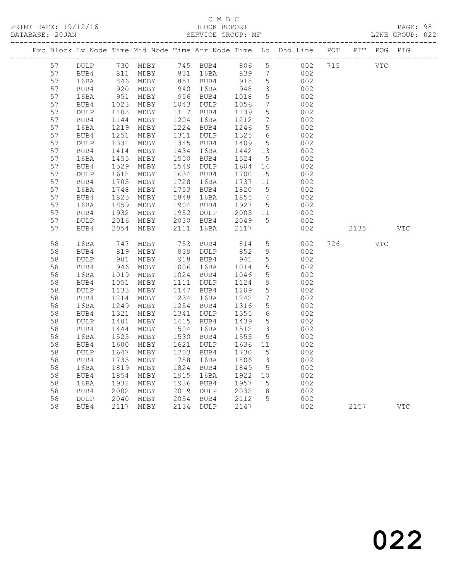PRINT DATE: 19/12/16 BLOCK REPORT BATABASE: 20JAN BLOCK REPORT SERVICE GROUP: MF

## C M B C<br>BLOCK REPORT

PAGE: 98<br>LINE GROUP: 022

|          |                 |                                                             |                                                      |      |                        |                 |                                    | Exc Block Lv Node Time Mid Node Time Arr Node Time Lo Dhd Line POT PIT POG PIG |     |      |            |            |
|----------|-----------------|-------------------------------------------------------------|------------------------------------------------------|------|------------------------|-----------------|------------------------------------|--------------------------------------------------------------------------------|-----|------|------------|------------|
| 57       | DULP            |                                                             | 730 MDBY      745  BUB4<br>811  MDBY      831   16BA |      |                        | 806 5           |                                    | 002 715                                                                        |     | VTC  |            |            |
| 57       | BUB4            | 811                                                         | MDBY                                                 |      | 831 16BA               | 839             | $\overline{7}$                     | 002                                                                            |     |      |            |            |
| 57       | 16BA            |                                                             | 846 MDBY<br>920 MDBY                                 |      | 851 BUB4<br>940 16BA   | 915             | $5\overline{)}$                    | 002                                                                            |     |      |            |            |
| 57       | BUB4            |                                                             |                                                      |      |                        | 948             | $\mathcal{S}$                      | 002                                                                            |     |      |            |            |
| 57       | 16BA            | $951$<br>$1023$                                             | MDBY                                                 |      | 956 BUB4               | 1018            | $5\phantom{.0}$                    | 002                                                                            |     |      |            |            |
| 57       | BUB4            |                                                             | MDBY                                                 |      | 1043 DULP              | 1056            | $7\overline{ }$                    | 002                                                                            |     |      |            |            |
| 57       | DULP            | 1103                                                        | MDBY                                                 |      | 1117 BUB4              | 1139            | $5\phantom{.0}$                    | 002                                                                            |     |      |            |            |
| 57<br>57 | BUB4            | 1144<br>1219                                                | MDBY                                                 |      | 1204 16BA<br>1224 BUB4 | 1212<br>1246    | $7\overline{ }$                    | 002<br>002                                                                     |     |      |            |            |
| 57       | 16BA            | 1251                                                        | MDBY                                                 | 1311 |                        | 1325            | $5\overline{)}$<br>$6\overline{6}$ | 002                                                                            |     |      |            |            |
| 57       | BUB4<br>DULP    | $\begin{array}{c}\n 1251 \\  1331\n \end{array}$            | MDBY<br>MDBY                                         |      | DULP<br>1345 BUB4      | 1409            | $5\overline{)}$                    | 002                                                                            |     |      |            |            |
| 57       | BUB4            |                                                             | MDBY                                                 |      | 1434 16BA              | 1442            | 13                                 | 002                                                                            |     |      |            |            |
| 57       | 16BA            | 1414<br>1455                                                | MDBY                                                 |      | 1500 BUB4              | 1524            | 5 <sup>5</sup>                     | 002                                                                            |     |      |            |            |
| 57       | BUB4            |                                                             | MDBY                                                 |      | 1549 DULP              | 1604            | 14                                 | 002                                                                            |     |      |            |            |
| 57       | $\texttt{DULP}$ | 1529<br>1618                                                | MDBY                                                 |      | 1634 BUB4              | 1700            | $5\overline{)}$                    | 002                                                                            |     |      |            |            |
| 57       | BUB4            | $\begin{array}{c} 1310 \\ 1705 \\ 1748 \\ 1825 \end{array}$ | MDBY                                                 |      | 1728 16BA              | 1737 11         |                                    | 002                                                                            |     |      |            |            |
| 57       | 16BA            |                                                             | MDBY                                                 |      | 1753 BUB4              | 1820            | 5 <sup>5</sup>                     | 002                                                                            |     |      |            |            |
| 57       | BUB4            |                                                             | MDBY                                                 | 1848 | 16BA                   | 1855            | $\overline{4}$                     | 002                                                                            |     |      |            |            |
| 57       | 16BA            | 1859                                                        | MDBY                                                 |      | 1904 BUB4              | 1927            | $5^{\circ}$                        | 002                                                                            |     |      |            |            |
| 57       | BUB4            | 1932                                                        | MDBY                                                 |      | 1952 DULP              | 2005            | 11                                 | 002                                                                            |     |      |            |            |
| 57       | DULP            | 2016                                                        | MDBY                                                 |      | 2030 BUB4              | 2049            | 5                                  | 002                                                                            |     |      |            |            |
| 57       | BUB4            | 2054                                                        | MDBY                                                 | 2111 | 16BA                   | 2117            |                                    | 002                                                                            |     | 2135 |            | <b>VTC</b> |
| 58       | 16BA            | 747                                                         | MDBY                                                 |      | 753 BUB4               | 814             | $5\overline{)}$                    | 002                                                                            | 726 |      | <b>VTC</b> |            |
| 58       | BUB4            | 819                                                         | MDBY                                                 |      | 839 DULP               | 852             | 9                                  | 002                                                                            |     |      |            |            |
| 58       | $\texttt{DULP}$ | 901                                                         | MDBY                                                 |      | 918 BUB4               | 941             | $5\overline{)}$                    | 002                                                                            |     |      |            |            |
| 58       | BUB4            | 946                                                         | MDBY                                                 |      | 1006 16BA              | 1014            | $5\overline{)}$                    | 002                                                                            |     |      |            |            |
| 58       | 16BA            | 1019                                                        | MDBY                                                 |      | 1024 BUB4              | 1046            | $5\phantom{.0}$                    | 002                                                                            |     |      |            |            |
| 58       | BUB4            | 1051                                                        | MDBY                                                 |      | 1111 DULP              | 1124            | 9                                  | 002                                                                            |     |      |            |            |
| 58       | DULP            | $112$<br>1214<br>249                                        | MDBY                                                 |      | 1147 BUB4              | 1209            | $5\overline{)}$                    | 002                                                                            |     |      |            |            |
| 58       | BUB4            |                                                             | MDBY                                                 |      | 1234 16BA              | 1242            | $7\overline{7}$                    | 002                                                                            |     |      |            |            |
| 58       | 16BA            | $12 -$<br>1321<br>101                                       | MDBY                                                 |      | 1254 BUB4              | 1316            | $5\overline{)}$                    | 002                                                                            |     |      |            |            |
| 58       | BUB4            |                                                             | MDBY                                                 |      | 1341 DULP              | 1355            | $6\overline{6}$                    | 002                                                                            |     |      |            |            |
| 58       | <b>DULP</b>     | $1401$<br>$1444$                                            | MDBY                                                 |      | 1415 BUB4              | 1439            | $5\phantom{.0}$                    | 002                                                                            |     |      |            |            |
| 58       | BUB4            |                                                             | MDBY                                                 | 1504 | 16BA                   | 1512 13         |                                    | 002                                                                            |     |      |            |            |
| 58       | 16BA            | 1525                                                        | MDBY                                                 |      | 1530 BUB4              | 1555            | $5\overline{)}$                    | 002                                                                            |     |      |            |            |
| 58       | BUB4            | 1600                                                        | MDBY                                                 |      | 1621 DULP<br>1703 BUB4 | 1636 11<br>1730 |                                    | 002                                                                            |     |      |            |            |
| 58<br>58 | DULP            | 1647                                                        | MDBY                                                 | 1758 |                        | 1806            | $5^{\circ}$                        | 002<br>002                                                                     |     |      |            |            |
| 58       | BUB4<br>16BA    | 1735<br>1819                                                | MDBY<br>MDBY                                         |      | 16BA<br>1824 BUB4      | 1849            | 13<br>$5^{\circ}$                  | 002                                                                            |     |      |            |            |
| 58       | BUB4            | 1854                                                        | MDBY                                                 |      | 1915 16BA              | 1922            | 10                                 | 002                                                                            |     |      |            |            |
| 58       | 16BA            | 1932                                                        | MDBY                                                 |      | 1936 BUB4              | 1957            | $5\overline{)}$                    | 002                                                                            |     |      |            |            |
| 58       | BUB4            |                                                             | MDBY                                                 |      | 2019 DULP              | 2032            | 8 <sup>8</sup>                     | 002                                                                            |     |      |            |            |
| 58       | DULP            | 2002<br>2040                                                | MDBY                                                 |      | 2054 BUB4              | 2112            | 5                                  | 002                                                                            |     |      |            |            |
| 58       | BUB4            | 2117                                                        | MDBY                                                 |      | 2134 DULP              | 2147            |                                    | 002                                                                            |     | 2157 |            | <b>VTC</b> |
|          |                 |                                                             |                                                      |      |                        |                 |                                    |                                                                                |     |      |            |            |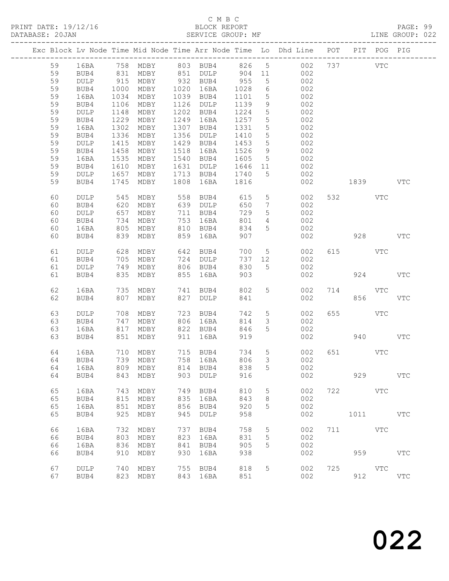PRINT DATE: 19/12/16 BLOCK REPORT BATABASE: 20JAN BERVICE GROUP: MF

## C M B C<br>BLOCK REPORT

PAGE: 99<br>LINE GROUP: 022

|  |          |              |      |                         |      |                      |            |                 | Exc Block Lv Node Time Mid Node Time Arr Node Time Lo Dhd Line POT |     |                                                                                                                                                                                                                               | PIT POG PIG |              |
|--|----------|--------------|------|-------------------------|------|----------------------|------------|-----------------|--------------------------------------------------------------------|-----|-------------------------------------------------------------------------------------------------------------------------------------------------------------------------------------------------------------------------------|-------------|--------------|
|  | 59       | 16BA         |      |                         |      |                      |            |                 | 758 MDBY 803 BUB4 826 5 002                                        |     | 737                                                                                                                                                                                                                           | <b>VTC</b>  |              |
|  | 59       | BUB4         |      |                         |      | 851 DULP 904 11      |            |                 | 002                                                                |     |                                                                                                                                                                                                                               |             |              |
|  | 59       | DULP         |      | 831 MDBY<br>915 MDBY    |      | 932 BUB4             | $-955$     | $5\overline{)}$ | 002                                                                |     |                                                                                                                                                                                                                               |             |              |
|  | 59       | BUB4         | 1000 | MDBY                    |      | 1020 16BA            | 1028       | 6               | 002                                                                |     |                                                                                                                                                                                                                               |             |              |
|  | 59       | 16BA         | 1034 | MDBY                    |      | 1039 BUB4            | 1101       | $5\phantom{.0}$ | 002                                                                |     |                                                                                                                                                                                                                               |             |              |
|  | 59       | BUB4         | 1106 | MDBY                    |      | 1126 DULP            | 1139       | 9               | 002                                                                |     |                                                                                                                                                                                                                               |             |              |
|  | 59       | DULP         | 1148 | MDBY                    |      | 1202 BUB4            | 1224       | $5\phantom{.0}$ | 002                                                                |     |                                                                                                                                                                                                                               |             |              |
|  | 59       | BUB4         | 1229 | MDBY                    |      | 1249 16BA            | 1257       | $5\overline{)}$ | 002                                                                |     |                                                                                                                                                                                                                               |             |              |
|  | 59       | 16BA         | 1302 | MDBY                    | 1307 | BUB4                 | 1331       | 5               | 002                                                                |     |                                                                                                                                                                                                                               |             |              |
|  | 59       | BUB4         | 1336 | MDBY                    | 1356 | DULP                 | 1410       | $5\phantom{.0}$ | 002                                                                |     |                                                                                                                                                                                                                               |             |              |
|  | 59       | DULP         | 1415 | MDBY                    |      | 1429 BUB4            | 1453       | $5\phantom{.0}$ | 002                                                                |     |                                                                                                                                                                                                                               |             |              |
|  | 59       | BUB4         | 1458 | MDBY                    | 1518 | 16BA                 | 1526       | 9               | 002                                                                |     |                                                                                                                                                                                                                               |             |              |
|  | 59       | 16BA         | 1535 | MDBY                    | 1540 | BUB4                 | 1605       | $5\overline{)}$ | 002                                                                |     |                                                                                                                                                                                                                               |             |              |
|  | 59       | BUB4         | 1610 | MDBY                    | 1631 | DULP                 | 1646 11    |                 | 002                                                                |     |                                                                                                                                                                                                                               |             |              |
|  | 59       | DULP         | 1657 | MDBY                    |      | 1713 BUB4            | 1740       | $5^{\circ}$     | 002                                                                |     |                                                                                                                                                                                                                               |             |              |
|  | 59       | BUB4         | 1745 | MDBY                    | 1808 | 16BA                 | 1816       |                 | 002                                                                |     | 1839   1839   1840   1840   1840   1850   1850   1850   1850   1850   1850   1850   1850   1850   1850   1850   1850   1850   1850   1850   1850   1850   1850   1850   1850   1850   1850   1850   1850   1850   1850   1850 |             | <b>VTC</b>   |
|  |          |              |      |                         |      |                      |            |                 |                                                                    |     |                                                                                                                                                                                                                               |             |              |
|  | 60       | DULP         |      | MDBY                    | 558  | BUB4                 | 615        | $5\overline{)}$ | 002                                                                |     | 532 VTC                                                                                                                                                                                                                       |             |              |
|  | 60       | BUB4         |      | 545 MDBY<br>620 MDBY    |      | 639 DULP             | 650        | $7\overline{ }$ | 002                                                                |     |                                                                                                                                                                                                                               |             |              |
|  | 60       | DULP         | 657  | MDBY                    |      | 711 BUB4             | 729        | $5\overline{)}$ | 002                                                                |     |                                                                                                                                                                                                                               |             |              |
|  | 60       | BUB4         | 734  | MDBY                    |      | 753 16BA             | 801        | $\overline{4}$  | 002                                                                |     |                                                                                                                                                                                                                               |             |              |
|  | 60       | 16BA         | 805  | MDBY                    |      | 810 BUB4             | 834        | 5               | 002                                                                |     |                                                                                                                                                                                                                               |             |              |
|  | 60       | BUB4         | 839  | MDBY                    | 859  | 16BA                 | 907        |                 | 002                                                                |     | 928                                                                                                                                                                                                                           |             | <b>VTC</b>   |
|  |          |              |      |                         |      |                      |            |                 |                                                                    |     |                                                                                                                                                                                                                               |             |              |
|  | 61       | DULP         | 628  | MDBY                    | 642  | BUB4                 | 700        | $5\overline{)}$ | 002                                                                |     | 615 VTC                                                                                                                                                                                                                       |             |              |
|  | 61       | BUB4         | 705  | MDBY                    |      | 724 DULP             | 737 12     |                 | 002                                                                |     |                                                                                                                                                                                                                               |             |              |
|  | 61       | DULP         | 749  | MDBY                    |      | 806 BUB4             | 830        | $5^{\circ}$     | 002                                                                |     |                                                                                                                                                                                                                               |             |              |
|  | 61       | BUB4         |      | 835 MDBY                | 855  | 16BA                 | 903        |                 | 002                                                                |     | 924                                                                                                                                                                                                                           |             | <b>VTC</b>   |
|  |          |              |      |                         |      |                      |            | 5               |                                                                    |     |                                                                                                                                                                                                                               |             |              |
|  | 62<br>62 | 16BA<br>BUB4 | 735  | MDBY<br>807 MDBY        |      | 741 BUB4<br>827 DULP | 802<br>841 |                 | 002<br>002                                                         | 714 | <b>VTC</b><br>856                                                                                                                                                                                                             |             | <b>VTC</b>   |
|  |          |              |      |                         |      |                      |            |                 |                                                                    |     |                                                                                                                                                                                                                               |             |              |
|  | 63       | DULP         | 708  | MDBY                    | 723  | BUB4                 | 742        | 5 <sup>5</sup>  | 002                                                                | 655 |                                                                                                                                                                                                                               | <b>VTC</b>  |              |
|  | 63       | BUB4         | 747  | MDBY                    |      | 806 16BA             | 814        | $\mathfrak{Z}$  | 002                                                                |     |                                                                                                                                                                                                                               |             |              |
|  | 63       | 16BA         | 817  | MDBY                    |      | 822 BUB4             | 846        | 5               | 002                                                                |     |                                                                                                                                                                                                                               |             |              |
|  | 63       | BUB4         |      | 851 MDBY                | 911  | 16BA                 | 919        |                 | 002                                                                |     |                                                                                                                                                                                                                               | 940 — 10    | <b>VTC</b>   |
|  |          |              |      |                         |      |                      |            |                 |                                                                    |     |                                                                                                                                                                                                                               |             |              |
|  | 64       | 16BA         |      | 710 MDBY                |      | 715 BUB4             | 734        | $5\overline{)}$ | 002                                                                |     | 651 VTC                                                                                                                                                                                                                       |             |              |
|  | 64       | BUB4         |      | 739 MDBY                |      | 758 16BA             | 806        | $\mathcal{S}$   | 002                                                                |     |                                                                                                                                                                                                                               |             |              |
|  |          | 64 16BA      |      | 809 MDBY 814 BUB4 838 5 |      |                      |            |                 | 002                                                                |     |                                                                                                                                                                                                                               |             |              |
|  | 64       | BUB4         | 843  | MDBY                    | 903  | DULP                 | 916        |                 | 002                                                                |     | 929                                                                                                                                                                                                                           |             | <b>VTC</b>   |
|  |          |              |      |                         |      |                      |            |                 |                                                                    |     |                                                                                                                                                                                                                               |             |              |
|  | 65       | 16BA         | 743  | MDBY                    | 749  | BUB4                 | 810        | 5               | 002                                                                |     | 722 VTC                                                                                                                                                                                                                       |             |              |
|  | 65       | BUB4         | 815  | MDBY                    | 835  | 16BA                 | 843        | 8               | 002                                                                |     |                                                                                                                                                                                                                               |             |              |
|  | 65       | 16BA         | 851  | MDBY                    | 856  | BUB4                 | 920        | 5               | 002                                                                |     |                                                                                                                                                                                                                               |             |              |
|  | 65       | BUB4         | 925  | MDBY                    | 945  | DULP                 | 958        |                 | 002                                                                |     | 1011                                                                                                                                                                                                                          |             | $_{\rm VTC}$ |
|  | 66       |              | 732  |                         | 737  |                      | 758        |                 |                                                                    | 711 | <b>VTC</b>                                                                                                                                                                                                                    |             |              |
|  | 66       | 16BA         | 803  | MDBY<br>MDBY            | 823  | BUB4<br>16BA         | 831        | 5               | 002<br>002                                                         |     |                                                                                                                                                                                                                               |             |              |
|  | 66       | BUB4<br>16BA | 836  | MDBY                    | 841  | BUB4                 | 905        | 5<br>5          | 002                                                                |     |                                                                                                                                                                                                                               |             |              |
|  | 66       | BUB4         | 910  | MDBY                    | 930  | 16BA                 | 938        |                 | 002                                                                |     | 959                                                                                                                                                                                                                           |             | <b>VTC</b>   |
|  |          |              |      |                         |      |                      |            |                 |                                                                    |     |                                                                                                                                                                                                                               |             |              |
|  | 67       | DULP         | 740  | MDBY                    | 755  | BUB4                 | 818        | 5               | 002                                                                | 725 |                                                                                                                                                                                                                               | VTC         |              |
|  | 67       | BUB4         |      | 823 MDBY                |      | 843 16BA             | 851        |                 | 002                                                                |     | 912                                                                                                                                                                                                                           |             | $_{\rm VTC}$ |
|  |          |              |      |                         |      |                      |            |                 |                                                                    |     |                                                                                                                                                                                                                               |             |              |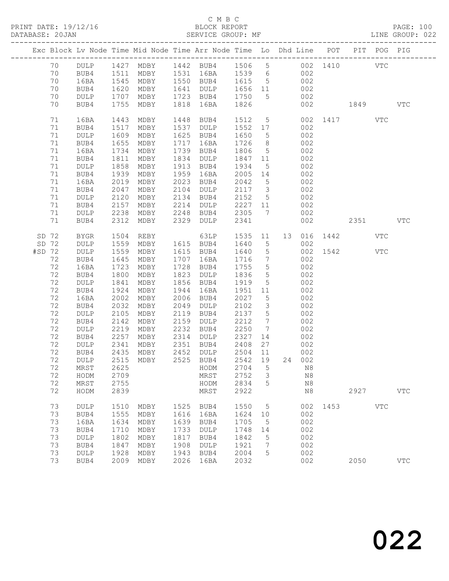#### C M B C<br>BLOCK REPORT

| DATABASE: 20JAN |    |             |                 |                                                                                |      |                           |             |                         |    |        |              |      |            |              |  |
|-----------------|----|-------------|-----------------|--------------------------------------------------------------------------------|------|---------------------------|-------------|-------------------------|----|--------|--------------|------|------------|--------------|--|
|                 |    |             |                 | Exc Block Lv Node Time Mid Node Time Arr Node Time Lo Dhd Line POT PIT POG PIG |      |                           |             |                         |    |        |              |      |            |              |  |
|                 | 70 |             |                 | DULP 1427 MDBY 1442 BUB4 1506 5 002 1410 VTC                                   |      |                           |             |                         |    |        |              |      |            |              |  |
|                 | 70 | BUB4        | 1511            |                                                                                |      | MDBY 1531 16BA 1539 6 002 |             |                         |    |        |              |      |            |              |  |
|                 | 70 | 16BA        |                 | 1545 MDBY 1550 BUB4 1615 5                                                     |      |                           |             |                         |    | 002    |              |      |            |              |  |
|                 | 70 | BUB4        |                 | MDBY                                                                           |      | 1641 DULP                 | 1656 11 002 |                         |    |        |              |      |            |              |  |
|                 | 70 | DULP        | 1620<br>1707    | MDBY                                                                           |      | 1723 BUB4                 | 1750        | $5\overline{)}$         |    | 002    |              |      |            |              |  |
|                 | 70 | BUB4        | 1755            | MDBY                                                                           | 1818 | 16BA                      | 1826        |                         |    | 002    | 1849         |      |            | $_{\rm VTC}$ |  |
|                 | 71 | 16BA        | 1443            | MDBY                                                                           | 1448 | BUB4                      | 1512 5      |                         |    |        | 002 1417 VTC |      |            |              |  |
|                 | 71 | BUB4        | 1517            | MDBY                                                                           |      | 1537 DULP                 | 1552 17     |                         |    | 002    |              |      |            |              |  |
|                 | 71 | DULP        | 1609            | MDBY                                                                           |      | 1625 BUB4                 | 1650        | $5\overline{)}$         |    | 002    |              |      |            |              |  |
|                 | 71 | BUB4        | 1655            | MDBY                                                                           | 1717 | 16BA                      | 1726        | 8 <sup>8</sup>          |    | 002    |              |      |            |              |  |
|                 | 71 | 16BA        | 1734            | MDBY                                                                           |      | 1739 BUB4                 | 1806        | $5\overline{)}$         |    | 002    |              |      |            |              |  |
|                 | 71 | BUB4        | 1811            | MDBY                                                                           |      | 1834 DULP                 | 1847 11     |                         |    | 002    |              |      |            |              |  |
|                 | 71 | DULP        | 1858            | MDBY                                                                           |      | 1913 BUB4                 | 1934        | 5 <sup>5</sup>          |    | 002    |              |      |            |              |  |
|                 | 71 | BUB4        | 1939            | MDBY                                                                           | 1959 | 16BA                      | 2005 14     |                         |    | 002    |              |      |            |              |  |
|                 | 71 | 16BA        | 2019            | MDBY                                                                           |      | 2023 BUB4                 | 2042        | $5\overline{)}$         |    | 002    |              |      |            |              |  |
|                 | 71 | BUB4        | 2047            | MDBY                                                                           |      | 2104 DULP                 | 2117 3      |                         |    | 002    |              |      |            |              |  |
|                 | 71 | DULP        | 2120            | MDBY                                                                           |      | 2134 BUB4                 | 2152        | $5\overline{)}$         |    | 002    |              |      |            |              |  |
|                 | 71 | BUB4        | 2157            | MDBY                                                                           | 2214 | DULP                      | 2227 11     |                         |    | 002    |              |      |            |              |  |
|                 | 71 | DULP        | 2238            | MDBY                                                                           | 2248 | BUB4                      | 2305        | $7\overline{7}$         |    | 002    |              |      |            |              |  |
|                 | 71 | BUB4        | 2312            | MDBY                                                                           | 2329 | DULP                      | 2341        |                         |    | 002    |              |      | 2351       | VTC          |  |
| SD 72           |    | <b>BYGR</b> | 1504            | REBY                                                                           |      | 63LP                      | 1535        | 11                      | 13 |        | 016 1442     |      | VTC        |              |  |
| SD 72           |    | DULP        | 1559            | MDBY                                                                           |      | 1615 BUB4                 | 1640        | $5^{\circ}$             |    | 002    |              |      |            |              |  |
| #SD 72          |    | DULP        | 1559            | MDBY                                                                           |      | 1615 BUB4                 | 1640        | $5\overline{)}$         |    |        | 002 1542     |      | VTC        |              |  |
|                 | 72 | BUB4        | $152$<br>$1645$ | MDBY                                                                           |      | 1707 16BA                 | 1716        | $\overline{7}$          |    | 002    |              |      |            |              |  |
|                 | 72 | 16BA        | 1723            | MDBY                                                                           | 1728 | BUB4                      | 1755        | $5\overline{)}$         |    | 002    |              |      |            |              |  |
|                 | 72 | BUB4        | 1800            | MDBY                                                                           | 1823 | DULP                      | 1836        | $5^{\circ}$             |    | 002    |              |      |            |              |  |
|                 | 72 | DULP        | 1841            | MDBY                                                                           | 1856 | BUB4                      | 1919        | 5 <sup>5</sup>          |    | 002    |              |      |            |              |  |
|                 | 72 | BUB4        | 1924            | MDBY                                                                           | 1944 | 16BA                      | 1951 11     |                         |    | 002    |              |      |            |              |  |
|                 | 72 | 16BA        | 2002            | MDBY                                                                           | 2006 | BUB4                      | 2027        | $5\overline{)}$         |    | 002    |              |      |            |              |  |
|                 | 72 | BUB4        | 2032            | MDBY                                                                           | 2049 | DULP                      | 2102        | $\overline{\mathbf{3}}$ |    | 002    |              |      |            |              |  |
|                 | 72 | DULP        | 2105            | MDBY                                                                           | 2119 | BUB4                      | 2137        | $5\overline{)}$         |    | 002    |              |      |            |              |  |
|                 | 72 | BUB4        | 2142            | MDBY                                                                           | 2159 | DULP                      | 2212        | $\overline{7}$          |    | 002    |              |      |            |              |  |
|                 | 72 | DULP        | 2219            | MDBY                                                                           | 2232 | BUB4                      | 2250        | $\overline{7}$          |    | 002    |              |      |            |              |  |
|                 | 72 | BUB4        | 2257            |                                                                                |      | MDBY 2314 DULP 2327       |             | 14                      |    | 002    |              |      |            |              |  |
|                 | 72 | <b>DULP</b> | 2341<br>2435    | MDBY                                                                           |      | 2351 BUB4                 | 2408        | 27                      |    | 002    |              |      |            |              |  |
|                 | 72 | BUB4        |                 | 2435 MDBY                                                                      |      | 2452 DULP                 | 2504 11     |                         |    | 002    |              |      |            |              |  |
|                 |    |             |                 | 72 DULP 2515 MDBY 2525 BUB4 2542 19                                            |      |                           |             |                         |    | 24 002 |              |      |            |              |  |
|                 | 72 | MRST        | 2625            |                                                                                |      | HODM                      | 2704        | 5                       |    | N8     |              |      |            |              |  |
|                 | 72 | HODM        | 2709            |                                                                                |      | MRST                      | 2752        | 3                       |    | N8     |              |      |            |              |  |
|                 | 72 | MRST        | 2755            |                                                                                |      | HODM                      | 2834        | 5                       |    | N8     |              |      |            |              |  |
|                 | 72 | HODM        | 2839            |                                                                                |      | MRST                      | 2922        |                         |    | N8     |              | 2927 |            | $_{\rm VTC}$ |  |
|                 | 73 | DULP        | 1510            | MDBY                                                                           | 1525 | BUB4                      | 1550        | 5                       |    | 002    | 1453         |      | <b>VTC</b> |              |  |
|                 | 73 | BUB4        | 1555            | MDBY                                                                           | 1616 | 16BA                      | 1624        | 10                      |    | 002    |              |      |            |              |  |
|                 | 73 | 16BA        | 1634            | MDBY                                                                           | 1639 | BUB4                      | 1705        | 5                       |    | 002    |              |      |            |              |  |
|                 | 73 | BUB4        | 1710            | MDBY                                                                           | 1733 | DULP                      | 1748        | 14                      |    | 002    |              |      |            |              |  |
|                 | 73 | DULP        | 1802            | MDBY                                                                           | 1817 | BUB4                      | 1842        | 5                       |    | 002    |              |      |            |              |  |
|                 | 73 | BUB4        | 1847            | MDBY                                                                           | 1908 | <b>DULP</b>               | 1921        | 7                       |    | 002    |              |      |            |              |  |
|                 | 73 | DULP        | 1928            | MDBY                                                                           | 1943 | BUB4                      | 2004        | 5                       |    | 002    |              |      |            |              |  |
|                 | 73 | BUB4        | 2009            | MDBY                                                                           | 2026 | 16BA                      | 2032        |                         |    | 002    |              | 2050 |            | $_{\rm VTC}$ |  |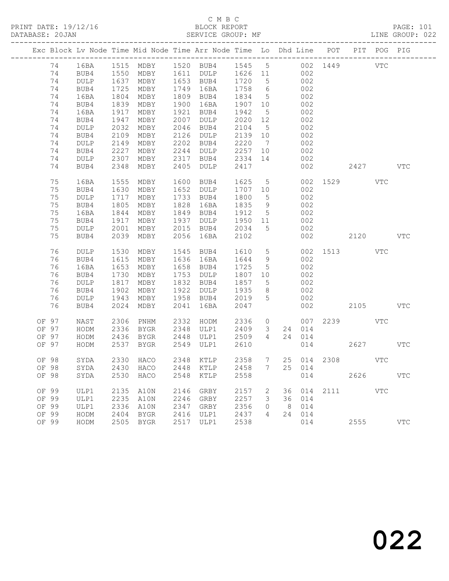|  |       |                 |      |                        |      | Exc Block Lv Node Time Mid Node Time Arr Node Time Lo Dhd Line POT |         |                 |                |        |          |                        | PIT POG PIG |              |
|--|-------|-----------------|------|------------------------|------|--------------------------------------------------------------------|---------|-----------------|----------------|--------|----------|------------------------|-------------|--------------|
|  | 74    | 16BA            |      |                        |      | 1515 MDBY 1520 BUB4 1545 5 002 1449                                |         |                 |                |        |          |                        | <b>VTC</b>  |              |
|  | 74    | BUB4            |      |                        |      | 1611 DULP 1626 11                                                  |         |                 |                | 002    |          |                        |             |              |
|  | 74    | DULP            |      | 1550 MDBY<br>1637 MDBY |      | 1653 BUB4                                                          | 1720    | 5 <sup>5</sup>  |                | 002    |          |                        |             |              |
|  | 74    | BUB4            | 1725 | MDBY                   | 1749 | 16BA                                                               | 1758    | $6\overline{6}$ |                | 002    |          |                        |             |              |
|  | 74    | 16BA            | 1804 | MDBY                   | 1809 | BUB4                                                               | 1834    | $5\overline{)}$ |                | 002    |          |                        |             |              |
|  | 74    | BUB4            | 1839 | MDBY                   | 1900 | 16BA                                                               | 1907 10 |                 |                | 002    |          |                        |             |              |
|  | 74    | 16BA            | 1917 | MDBY                   | 1921 | BUB4                                                               | 1942    | $5\overline{)}$ |                | 002    |          |                        |             |              |
|  | 74    | BUB4            | 1947 | MDBY                   | 2007 | DULP                                                               | 2020    | 12              |                | 002    |          |                        |             |              |
|  | 74    | DULP            | 2032 | MDBY                   | 2046 | BUB4                                                               | 2104    | $5^{\circ}$     |                | 002    |          |                        |             |              |
|  | 74    | BUB4            | 2109 | MDBY                   | 2126 | DULP                                                               | 2139 10 |                 |                | 002    |          |                        |             |              |
|  | 74    | DULP            | 2149 | MDBY                   | 2202 | BUB4                                                               | 2220    | $7\overline{ }$ |                | 002    |          |                        |             |              |
|  | 74    | BUB4            | 2227 | MDBY                   | 2244 | DULP                                                               | 2257    | 10              |                | 002    |          |                        |             |              |
|  | 74    | <b>DULP</b>     | 2307 | MDBY                   | 2317 | BUB4                                                               | 2334    | 14              |                | 002    |          |                        |             |              |
|  | 74    | BUB4            | 2348 | MDBY                   | 2405 | DULP                                                               | 2417    |                 |                | 002    |          | 2427                   |             | <b>VTC</b>   |
|  | 75    | 16BA            | 1555 | MDBY                   | 1600 | BUB4                                                               | 1625    | 5 <sup>5</sup>  |                |        | 002 1529 |                        | VTC         |              |
|  | 75    | BUB4            | 1630 | MDBY                   |      | 1652 DULP                                                          | 1707    | 10              |                | 002    |          |                        |             |              |
|  | 75    | DULP            | 1717 | MDBY                   |      | 1733 BUB4                                                          | 1800    | $5\overline{)}$ |                | 002    |          |                        |             |              |
|  | 75    | BUB4            | 1805 | MDBY                   | 1828 | 16BA                                                               | 1835    | 9               |                | 002    |          |                        |             |              |
|  | 75    | 16BA            | 1844 | MDBY                   | 1849 | BUB4                                                               | 1912 5  |                 |                | 002    |          |                        |             |              |
|  | 75    | BUB4            | 1917 | MDBY                   | 1937 | DULP                                                               | 1950 11 |                 |                | 002    |          |                        |             |              |
|  | 75    | $\texttt{DULP}$ | 2001 | MDBY                   | 2015 | BUB4                                                               | 2034    | 5               |                | 002    |          |                        |             |              |
|  | 75    | BUB4            | 2039 | MDBY                   | 2056 | 16BA                                                               | 2102    |                 |                | 002    |          | 2120                   |             | <b>VTC</b>   |
|  | 76    | DULP            | 1530 | MDBY                   | 1545 | BUB4                                                               | 1610    | 5 <sup>5</sup>  |                |        |          | 002 1513               | <b>VTC</b>  |              |
|  | 76    | BUB4            | 1615 | MDBY                   |      | 1636 16BA                                                          | 1644    | 9               |                | 002    |          |                        |             |              |
|  | 76    | 16BA            | 1653 | MDBY                   |      | 1658 BUB4                                                          | 1725    | $5\overline{)}$ |                | 002    |          |                        |             |              |
|  | 76    | BUB4            | 1730 | MDBY                   | 1753 | DULP                                                               | 1807 10 |                 |                | 002    |          |                        |             |              |
|  | 76    | DULP            | 1817 | MDBY                   |      | 1832 BUB4                                                          | 1857    | $5\overline{)}$ |                | 002    |          |                        |             |              |
|  | 76    | BUB4            | 1902 | MDBY                   | 1922 | DULP                                                               | 1935    | 8               |                | 002    |          |                        |             |              |
|  | 76    | DULP            | 1943 | MDBY                   |      | 1958 BUB4                                                          | 2019    | 5               |                | 002    |          |                        |             |              |
|  | 76    | BUB4            | 2024 | MDBY                   | 2041 | 16BA                                                               | 2047    |                 |                | 002    |          | 2105                   |             | <b>VTC</b>   |
|  | OF 97 | NAST            | 2306 | PNHM                   | 2332 | HODM                                                               | 2336    |                 | $\overline{0}$ | 007    |          | 2239                   | VTC         |              |
|  | OF 97 | HODM            | 2336 | BYGR                   |      | 2348 ULP1                                                          | 2409    | $\overline{3}$  |                | 24 014 |          |                        |             |              |
|  | OF 97 | HODM            |      | 2436 BYGR              | 2448 | ULP1                                                               | 2509    | $\overline{4}$  |                | 24 014 |          |                        |             |              |
|  | OF 97 | HODM            | 2537 | BYGR                   | 2549 | ULP1                                                               | 2610    |                 |                | 014    |          | 2627                   |             | VTC          |
|  | OF 98 | SYDA            |      |                        |      | 2330 HACO 2348 KTLP                                                |         |                 |                |        |          | 2358 7 25 014 2308 VTC |             |              |
|  |       |                 |      |                        |      | OF 98 SYDA 2430 HACO 2448 KTLP 2458 7 25 014                       |         |                 |                |        |          |                        |             |              |
|  | OF 98 | SYDA            | 2530 | HACO                   | 2548 | KTLP                                                               | 2558    |                 |                | 014    |          | 2626                   |             | <b>VTC</b>   |
|  | OF 99 | ULP1            | 2135 | A10N                   | 2146 | GRBY                                                               | 2157    | 2               | 36             | 014    | 2111     |                        | VTC         |              |
|  | OF 99 | ULP1            | 2235 | A10N                   | 2246 | GRBY                                                               | 2257    | 3               |                | 36 014 |          |                        |             |              |
|  | OF 99 | ULP1            | 2336 | A10N                   | 2347 | GRBY                                                               | 2356    | 0               | 8 <sup>8</sup> | 014    |          |                        |             |              |
|  | OF 99 | HODM            | 2404 | BYGR                   | 2416 | ULP1                                                               | 2437    | 4               | 24             | 014    |          |                        |             |              |
|  | OF 99 | HODM            | 2505 | <b>BYGR</b>            | 2517 | ULP1                                                               | 2538    |                 |                | 014    |          | 2555                   |             | $_{\rm VTC}$ |
|  |       |                 |      |                        |      |                                                                    |         |                 |                |        |          |                        |             |              |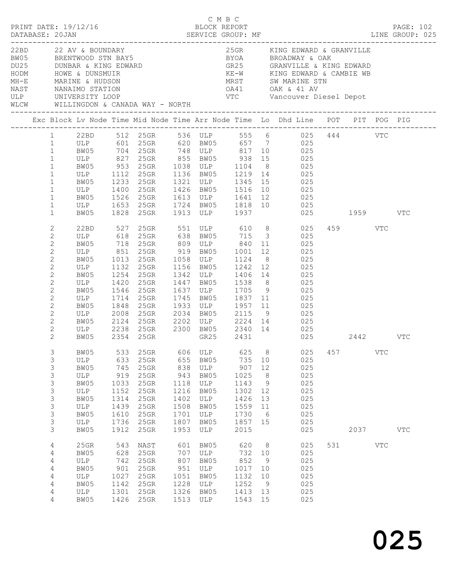|      |                                                                                                                                                                                                                                                                                                                                                                          |                                                                                                                                 |                                                                                  |                                                                                          |                                                                                  | C M B C                                                                                                       |                                                                                   |                                                      |                                                                                                                                                                                                                                                                                                                                                                                                                                                                                                                                                                                                                         |     |         |                           |              |  |
|------|--------------------------------------------------------------------------------------------------------------------------------------------------------------------------------------------------------------------------------------------------------------------------------------------------------------------------------------------------------------------------|---------------------------------------------------------------------------------------------------------------------------------|----------------------------------------------------------------------------------|------------------------------------------------------------------------------------------|----------------------------------------------------------------------------------|---------------------------------------------------------------------------------------------------------------|-----------------------------------------------------------------------------------|------------------------------------------------------|-------------------------------------------------------------------------------------------------------------------------------------------------------------------------------------------------------------------------------------------------------------------------------------------------------------------------------------------------------------------------------------------------------------------------------------------------------------------------------------------------------------------------------------------------------------------------------------------------------------------------|-----|---------|---------------------------|--------------|--|
| WLCW | 22BD 22 AV & BOUNDARY                                                                                                                                                                                                                                                                                                                                                    |                                                                                                                                 |                                                                                  | WILLINGDON & CANADA WAY - NORTH                                                          |                                                                                  |                                                                                                               |                                                                                   |                                                      | 25GR KING EDWARD & GRANVILLE<br>EN 22 AV & BOUNDARY<br>BRENTWOOD STN BAY5<br>DU25<br>DUNBAR & KING EDWARD<br>HODM<br>HODM<br>HODM<br>HODM<br>HODM<br>HODM<br>HODM<br>HODM<br>HODM<br>HOWE & DUNSMUIR<br>MH-E<br>MARINE & HUDSON<br>NAST<br>NAST<br>NAST<br>NANAIMO STATION<br>ULP<br>UNIVERSITY LOOP<br>UN                                                                                                                                                                                                                                                                                                              |     |         |                           |              |  |
|      |                                                                                                                                                                                                                                                                                                                                                                          |                                                                                                                                 |                                                                                  |                                                                                          |                                                                                  |                                                                                                               |                                                                                   |                                                      | Exc Block Lv Node Time Mid Node Time Arr Node Time Lo Dhd Line POT PIT POG PIG                                                                                                                                                                                                                                                                                                                                                                                                                                                                                                                                          |     |         |                           |              |  |
|      | $\mathbf{1}$<br>$\mathbf{1}$<br>$\mathbf{1}$<br>$\mathbf{1}$<br>$\mathbf{1}$<br>$\mathbf{1}$<br>$\mathbf{1}$<br>$\mathbf{1}$<br>$\mathbf{1}$<br>$\mathbf{1}$<br>$\mathbf 1$<br>2<br>$\mathbf{2}$<br>$\mathbf{2}$<br>$\overline{c}$<br>$\overline{c}$<br>$\overline{c}$<br>$\sqrt{2}$<br>$\mathbf{2}$<br>$\mathbf{2}$<br>$\overline{c}$<br>$\mathbf{2}$<br>$\overline{c}$ | ULP 827<br>BW05 953<br>ULP 1112<br>BW05 1233<br>ULP 1400<br>ULP 851<br>BW05<br>ULP<br>BW05<br>ULP<br>BW05<br>ULP<br>BW05<br>ULP | 1013<br>1132<br>1132<br>1254<br>1420<br>1546<br>1714<br>1848<br>2008             | 25GR<br>$25$ GR<br>$25$ GR<br>25GR<br>25GR<br>25GR<br>25GR<br>$25$ GR<br>$25$ GR<br>25GR | 1447<br>1637<br>1745<br>1933<br>2034                                             | 25GR 855 BW05 938<br>1426 BW05<br>919 BW05<br>1058 ULP<br>1156 BW05<br>1342 ULP<br>BW05<br>ULP<br>BW05<br>ULP | 1001<br>1124<br>1242 12<br>1705 9<br>1837 11<br>$1957$ $11$                       | 8 <sup>1</sup>                                       | 22BD 512 25GR 536 ULP 555 6   025 444    VTC<br>ULP   601 25GR   620 BW05   657  7    025<br>BW05 704 25GR 748 ULP 817 10 025<br>15 025<br>25GR 1038 ULP 1104 8 025<br>25GR 1136 BW05 1219 14 025<br>25GR 1321 ULP 1345 15 025<br>1516 10 025<br>ULP 1400 25GR 1613 ULP 1641 12 UZ5<br>BW05 1526 25GR 1613 ULP 1641 12 UZ5<br>ULP 1653 25GR 1724 BW05 1818 10 025<br>1959 VTC<br>22BD 527 25GR 551 ULP 610 8 025<br>ULP 618 25GR 638 BW05 715 3 025<br>BW05 718 25GR 809 ULP 840 11 025<br>12 and $\overline{a}$<br>025<br>025<br>025<br>$1242$ 12<br>1406 14 025<br>1538 8 025<br>025<br>025<br>025<br>BW05 2115 9 025 |     | 459 VTC |                           |              |  |
|      | $\mathbf{2}$<br>$\overline{c}$<br>$\overline{2}$                                                                                                                                                                                                                                                                                                                         | BW05<br>ULP 2238 25GR<br>BW05 2354 25GR                                                                                         | 2124                                                                             | $25$ GR                                                                                  | 2202                                                                             | ULP<br>GR25                                                                                                   | 2431                                                                              |                                                      | 2224 14 025<br>25GR 2300 BW05 2340 14 025<br>025                                                                                                                                                                                                                                                                                                                                                                                                                                                                                                                                                                        |     | 2442    |                           | VTC          |  |
|      | 3<br>3<br>3<br>3<br>3<br>$\mathsf 3$<br>3<br>3<br>3<br>$\mathsf 3$<br>3                                                                                                                                                                                                                                                                                                  | BW05<br>ULP<br>BW05<br>ULP<br>BW05<br>ULP<br>BW05<br>ULP<br>BW05<br>ULP<br>BW05                                                 | 533<br>633<br>745<br>919<br>1033<br>1152<br>1314<br>1439<br>1610<br>1736<br>1912 | 25GR<br>25GR<br>25GR<br>25GR<br>25GR<br>25GR<br>25GR<br>25GR<br>25GR<br>25GR<br>25GR     | 606<br>655<br>838<br>943<br>1118<br>1216<br>1402<br>1508<br>1701<br>1807<br>1953 | ULP<br>BW05<br>ULP<br>BW05<br>ULP<br>BW05<br>ULP<br>BW05<br>ULP<br>BW05<br>ULP                                | 625<br>735<br>907<br>1025<br>1143<br>1302<br>1426<br>1559<br>1730<br>1857<br>2015 | 8<br>10<br>12<br>8<br>9<br>12<br>13<br>11<br>6<br>15 | 025<br>025<br>025<br>025<br>025<br>025<br>025<br>025<br>025<br>025<br>025                                                                                                                                                                                                                                                                                                                                                                                                                                                                                                                                               | 457 | 2037    | <b>VTC</b>                | $_{\rm VTC}$ |  |
|      | 4<br>4<br>4<br>4<br>4<br>4<br>4<br>4                                                                                                                                                                                                                                                                                                                                     | 25GR<br>BW05<br>ULP<br>BW05<br>ULP<br>BW05<br>ULP<br>BW05                                                                       | 543<br>628<br>742<br>901<br>1027<br>1142<br>1301<br>1426                         | NAST<br>25GR<br>25GR<br>25GR<br>25GR<br>25GR<br>25GR<br>25GR                             | 601<br>707<br>807<br>951<br>1051<br>1228<br>1326<br>1513                         | BW05<br>$_{\rm ULP}$<br>BW05<br>ULP<br>BW05<br>ULP<br>BW05<br>ULP                                             | 620<br>732<br>852<br>1017<br>1132<br>1252<br>1413<br>1543                         | 8<br>10<br>9<br>10<br>10<br>9<br>13<br>15            | 025<br>025<br>025<br>025<br>025<br>025<br>025<br>025                                                                                                                                                                                                                                                                                                                                                                                                                                                                                                                                                                    | 531 |         | $\ensuremath{\text{VTC}}$ |              |  |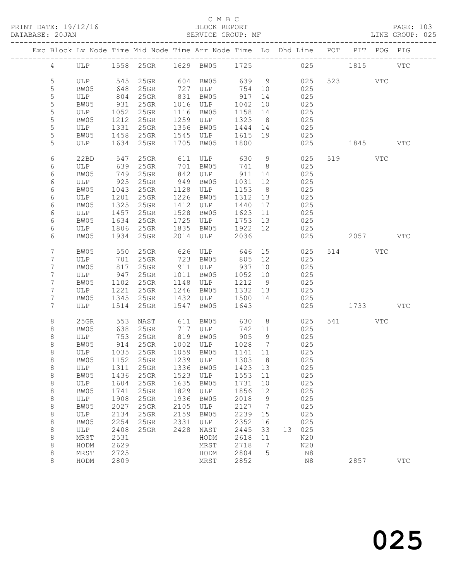|                     |             |              |                                   |      |                      |                 |                     | Exc Block Lv Node Time Mid Node Time Arr Node Time Lo Dhd Line POT PIT POG PIG |          |            |
|---------------------|-------------|--------------|-----------------------------------|------|----------------------|-----------------|---------------------|--------------------------------------------------------------------------------|----------|------------|
| $4\overline{ }$     |             |              |                                   |      |                      |                 |                     | ULP 1558 25GR 1629 BW05 1725 025 1815                                          |          | <b>VTC</b> |
| 5                   | ULP         |              | 545 25GR                          |      | 604 BW05 639 9       |                 |                     | 025                                                                            | 523 VTC  |            |
| 5                   | BW05        | 648          | 25GR                              |      | 727 ULP 754 10       |                 |                     | 025                                                                            |          |            |
| $\mathsf S$         | ULP         | 804          | 25GR                              |      | 831 BW05             | 917             | 14                  | 025                                                                            |          |            |
| $\mathsf S$         | BW05        | 931          | 25GR                              |      | 1016 ULP             | 1042            | 10                  | 025                                                                            |          |            |
| 5                   | ULP         | 1052         | $25$ GR                           |      | 1116 BW05            | 1158 14         |                     | 025                                                                            |          |            |
| 5                   | BW05        | 1212         | $25$ GR                           |      | 1259 ULP             | 1323 8          |                     | 025                                                                            |          |            |
| 5                   | ULP         | 1331         | 25GR                              |      | 1356 BW05            | 1444 14         |                     | 025                                                                            |          |            |
| 5                   | BW05        |              | $1458$ 25GR                       |      | 1545 ULP             | 1615 19         |                     | 025                                                                            |          |            |
| 5                   | ULP         |              | 1634 25GR                         |      | 1705 BW05            | 1800            |                     | 025                                                                            | 1845 VTC |            |
| 6                   | 22BD        | 547          | 25GR                              |      | 611 ULP 630          |                 | 9                   | 025                                                                            | 519 VTC  |            |
| 6                   | ULP         | 639          | 25GR                              |      | 701 BW05             | 741 8           |                     | 025                                                                            |          |            |
| 6                   | BW05<br>ULP | 749<br>925   | $25$ GR<br>25GR                   |      | 842 ULP<br>949 BW05  | 911 14<br>1031  |                     | 025                                                                            |          |            |
| 6<br>$\epsilon$     | BW05        | 1043         | $25$ GR                           |      | 1128 ULP             | 1153 8          | 12                  | 025<br>025                                                                     |          |            |
| 6                   | ULP         | 1201         | 25GR                              |      | 1226 BW05            | 1312 13         |                     | 025                                                                            |          |            |
| 6                   | BW05        | 1325         | 25GR                              |      | 1412 ULP             | 1440 17         |                     | 025                                                                            |          |            |
| 6                   | ULP         | 1457         | 25GR                              | 1528 | BW05                 | 1623            | 11                  | 025                                                                            |          |            |
| 6                   | BW05        | 1634         | $25$ GR                           | 1725 | ULP                  | 1753 13         |                     | 025                                                                            |          |            |
| 6                   | ULP         | 1806         | $25$ GR                           | 1835 | BW05                 | 1922 12         |                     | 025                                                                            |          |            |
| 6                   | BW05        |              | 1934 25GR                         |      | 2014 ULP             | 2036            |                     | 025                                                                            | 2057     | <b>VTC</b> |
| 7                   | BW05        | 550          | $25$ GR                           |      | ULP $646$            |                 | 15                  | 025                                                                            | 514 VTC  |            |
| $7\phantom{.}$      | ULP         |              | 701 25GR                          |      | 626 ULP<br>723 BW05  | 805 12          |                     | 025                                                                            |          |            |
| $7\phantom{.0}$     | BW05        | 817          | 25GR                              |      | 911 ULP 937          |                 | 10                  | 025                                                                            |          |            |
| $7\phantom{.}$      | ULP         | 947          | $25$ GR                           |      | 1011 BW05            | 1052 10         |                     | 025                                                                            |          |            |
| 7                   | BW05        | 1102         | $25$ GR                           |      | 1148 ULP             | 1212 9          |                     | 025                                                                            |          |            |
| $7\phantom{.}$<br>7 | ULP         | 1221         | $25$ GR<br>1345 25GR              |      | 1246 BW05            | 1332 13         |                     | 025                                                                            |          |            |
| 7                   | BW05<br>ULP |              | 1514 25GR                         | 1547 | 1432 ULP<br>BW05     | 1500 14<br>1643 |                     | 025<br>025                                                                     | 1733     | <b>VTC</b> |
|                     |             |              |                                   |      |                      |                 |                     |                                                                                |          |            |
| $8\,$               | $25$ GR     | 553          | NAST 611 BW05<br>25GR 717 ULP     |      |                      | $630$ 8         |                     | 025                                                                            | 541 VTC  |            |
| 8                   | BW05        | 638          | $25$ GR                           |      |                      | 742 11          |                     | 025                                                                            |          |            |
| 8<br>$\,8\,$        | ULP<br>BW05 | 753<br>914   | 25GR<br>$25$ GR                   |      | 819 BW05<br>1002 ULP | 905<br>1028     | 9<br>$\overline{7}$ | 025<br>025                                                                     |          |            |
| $\,8\,$             | ULP         |              |                                   |      | 1059 BW05            | 1141 11         |                     | 025                                                                            |          |            |
| $\,8\,$             | BW05        |              | $1035$ $-25$ GR<br>$1152$ $25$ GR |      | 1239 ULP             | 1303            | 8 <sup>8</sup>      | 025                                                                            |          |            |
| 8                   |             |              | ULP 1311 25GR 1336 BW05 1423 13   |      |                      |                 |                     | 025                                                                            |          |            |
| 8                   | BW05        | 1436         | 25GR                              | 1523 | ULP                  | 1553            | 11                  | 025                                                                            |          |            |
| 8                   | ULP         | 1604         | 25GR                              | 1635 | BW05                 | 1731            | 10                  | 025                                                                            |          |            |
| 8                   | BW05        | 1741         | 25GR                              | 1829 | ULP                  | 1856            | 12                  | 025                                                                            |          |            |
| 8                   | ULP         | 1908         | 25GR                              | 1936 | BW05                 | 2018            | 9                   | 025                                                                            |          |            |
| 8                   | BW05        | 2027         | 25GR                              | 2105 | ULP                  | 2127            | $\overline{7}$      | 025                                                                            |          |            |
| 8                   | ULP         | 2134         | 25GR                              | 2159 | BW05                 | 2239            | 15                  | 025                                                                            |          |            |
| $\,8\,$             | BW05        | 2254         | 25GR                              | 2331 | ULP                  | 2352            | 16                  | 025                                                                            |          |            |
| 8<br>8              | ULP<br>MRST | 2408<br>2531 | 25GR                              | 2428 | NAST<br>HODM         | 2445<br>2618    | 33<br>11            | 13 025<br>N20                                                                  |          |            |
| 8                   | HODM        | 2629         |                                   |      | MRST                 | 2718            | 7                   | N20                                                                            |          |            |
| $\,8\,$             | MRST        | 2725         |                                   |      | HODM                 | 2804            | 5                   | N8                                                                             |          |            |
| 8                   | HODM        | 2809         |                                   |      | MRST                 | 2852            |                     | N8                                                                             | 2857     | <b>VTC</b> |
|                     |             |              |                                   |      |                      |                 |                     |                                                                                |          |            |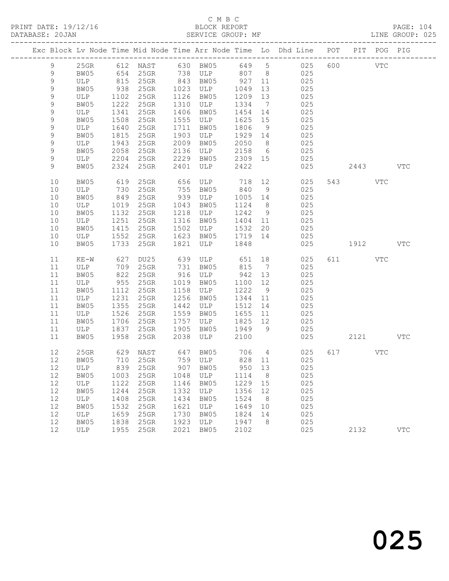|                | Exc Block Lv Node Time Mid Node Time Arr Node Time Lo Dhd Line POT PIT POG PIG |            |           |      |                                  |                        |                 |                     |          |     |            |
|----------------|--------------------------------------------------------------------------------|------------|-----------|------|----------------------------------|------------------------|-----------------|---------------------|----------|-----|------------|
| 9              |                                                                                |            |           |      | 25GR 612 NAST 630 BW05 649 5     |                        |                 | 025                 | 600 VTC  |     |            |
| 9              | BW05                                                                           |            | 654 25GR  |      | 738 ULP 807 8                    |                        |                 | 025                 |          |     |            |
| 9              | ULP                                                                            |            | 815 25GR  |      | 843 BW05                         | 927 11                 |                 | 025                 |          |     |            |
| $\mathsf 9$    | BW05                                                                           | 938        | 25GR      |      | 1023 ULP                         | 1049                   | 13              | 025                 |          |     |            |
| 9              | ULP                                                                            | 1102       | $25$ GR   |      | 1126 BW05                        | 1209 13                |                 | 025                 |          |     |            |
| $\mathsf 9$    | BW05                                                                           | 1222       | 25GR      |      | 1310 ULP                         | 1334                   | $7\overline{ }$ | 025                 |          |     |            |
| 9              | ULP                                                                            | 1341       | 25GR      |      | 1406 BW05                        | 1454 14                |                 | 025                 |          |     |            |
| $\mathsf 9$    | BW05                                                                           | 1508       | $25$ GR   |      | 1555 ULP                         | 1625 15                |                 | 025                 |          |     |            |
| $\mathsf 9$    | ULP                                                                            | 1640       | 25GR      |      | 1711 BW05                        | 1806                   | 9               | 025                 |          |     |            |
| 9              | BW05                                                                           | 1815       | $25$ GR   | 1903 | ULP                              | 1929 14                |                 | 025                 |          |     |            |
| 9              | ULP                                                                            | 1943       | 25GR      | 2009 | BW05                             | 2050                   | 8 <sup>8</sup>  | 025                 |          |     |            |
| 9              | BW05                                                                           | 2058       | $25$ GR   | 2136 | ULP                              | 2158                   | $6\overline{6}$ | 025                 |          |     |            |
| $\mathsf 9$    | ULP                                                                            | 2204       | 25GR      |      | 2229 BW05<br>BW05<br>ULP         | 2309 15                |                 | 025                 |          |     |            |
| $\overline{9}$ | BW05                                                                           |            | 2324 25GR | 2401 |                                  | 2422                   |                 | 025                 | 2443     |     | <b>VTC</b> |
| 10             | BW05                                                                           | 619        | 25GR      |      | 656 ULP 718 12                   |                        |                 | 025                 | 543      | VTC |            |
| 10             | ULP                                                                            | 730<br>849 | 25GR      |      | 755 BW05                         | 840 9                  |                 | 025                 |          |     |            |
| 10             | BW05                                                                           |            | $25$ GR   |      | $\frac{755}{939}$ ULP            | 1005 14                |                 | 025                 |          |     |            |
| 10             | ULP                                                                            | 1019       | $25$ GR   | 1043 | BW05                             | 1124 8                 |                 | 025                 |          |     |            |
| 10             | BW05                                                                           | 1132       | $25$ GR   | 1218 | ULP                              | 1242                   | 9               | 025                 |          |     |            |
| 10             | ULP                                                                            | 1251       | 25GR      | 1316 | BW05                             | 1404 11                |                 | 025                 |          |     |            |
| 10             | BW05                                                                           | 1415       | $25$ GR   |      | 1502 ULP                         | 1532 20                |                 | 025                 |          |     |            |
| 10             | ULP                                                                            |            | 1552 25GR |      | 1623 BW05                        | 1719 14                |                 | 025                 |          |     |            |
| 10             | BW05                                                                           |            | 1733 25GR | 1821 | ULP                              | 1848                   |                 | 025                 | 1912     |     | <b>VTC</b> |
| 11             | $KE-W$                                                                         | 627        | DU25      |      |                                  |                        |                 | 639 ULP 651 18 025  | 611 VTC  |     |            |
| 11             | ULP                                                                            |            | 709 25GR  |      | 731 BW05                         | 815                    | $\overline{7}$  | 025                 |          |     |            |
| 11             | BW05                                                                           | 822        | $25$ GR   |      | 916 ULP                          | 942 13                 |                 | 025                 |          |     |            |
| 11             | ULP                                                                            | 955        | 25GR      |      | 1019 BW05                        | 1100 12                |                 | 025                 |          |     |            |
| 11             | BW05                                                                           |            | 1112 25GR |      | 1158 ULP                         | 1222                   | 9               | 025                 |          |     |            |
| 11             | ULP                                                                            | 1231       | 25GR      |      | 1256 BW05                        | 1344 11                |                 | 025                 |          |     |            |
| 11             | BW05                                                                           | 1355       | 25GR      |      | 1442 ULP                         | 1512 14                |                 | 025                 |          |     |            |
| 11             | ULP                                                                            | 1526       | $25$ GR   |      | 1559 BW05                        | 1655 11                |                 | 025                 |          |     |            |
| 11             | BW05                                                                           | 1706       | 25GR      | 1757 | ULP                              | 1825 12<br>$1825$ 1949 |                 | 025                 |          |     |            |
| 11             | ULP                                                                            |            | 1837 25GR | 1905 | BW05                             |                        |                 | 025                 |          |     |            |
| 11             | BW05                                                                           |            | 1958 25GR | 2038 | ULP                              | 2100                   |                 | 025                 | 2121 VTC |     |            |
| 12             | $25$ GR                                                                        | 629        | NAST      |      | 647 BW05 706 4<br>759 ULP 828 11 |                        |                 | 025                 | 617 VTC  |     |            |
| 12             | BW05                                                                           |            | 710 25GR  |      |                                  |                        |                 | 025                 |          |     |            |
|                | 12 ULP 839 25GR                                                                |            |           |      |                                  |                        |                 | 907 BW05 950 13 025 |          |     |            |
| 12             | BW05                                                                           | 1003       | 25GR      | 1048 | ULP                              | 1114                   | 8               | 025                 |          |     |            |
| 12             | ULP                                                                            | 1122       | 25GR      | 1146 | BW05                             | 1229 15                |                 | 025                 |          |     |            |
| 12             | BW05                                                                           | 1244       | 25GR      | 1332 | ULP                              | 1356                   | 12              | 025                 |          |     |            |
| 12             | ULP                                                                            | 1408       | 25GR      | 1434 | BW05                             | 1524                   | 8 <sup>8</sup>  | 025                 |          |     |            |
| 12             | BW05                                                                           | 1532       | 25GR      | 1621 | ULP                              | 1649                   | 10              | 025                 |          |     |            |
| 12             | ULP                                                                            | 1659       | 25GR      | 1730 | BW05                             | 1824                   | 14              | 025                 |          |     |            |
| 12             | BW05                                                                           | 1838       | 25GR      | 1923 | ULP                              | 1947                   | 8               | 025                 |          |     |            |
| 12             | ULP                                                                            | 1955       | $25$ GR   | 2021 | BW05                             | 2102                   |                 | 025                 | 2132     |     | <b>VTC</b> |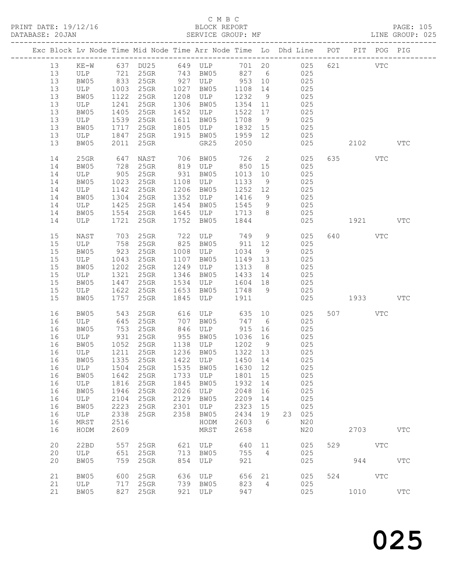#### C M B C<br>BLOCK REPORT SERVICE GROUP: MF

|    |      |            |           |      |                     |                      |                | Exc Block Lv Node Time Mid Node Time Arr Node Time Lo Dhd Line POT         |     |                                                                                                                                                                                                                                 | PIT POG PIG |              |
|----|------|------------|-----------|------|---------------------|----------------------|----------------|----------------------------------------------------------------------------|-----|---------------------------------------------------------------------------------------------------------------------------------------------------------------------------------------------------------------------------------|-------------|--------------|
| 13 |      |            |           |      |                     |                      |                |                                                                            | 621 | <b>VTC</b>                                                                                                                                                                                                                      |             |              |
| 13 |      |            |           |      |                     |                      |                | KE-W 637 DU25 649 ULP 701 20 025<br>ULP 721 25GR 743 BW05 827 6 025<br>025 |     |                                                                                                                                                                                                                                 |             |              |
|    |      |            | 833 25GR  |      | 927 ULP             |                      |                |                                                                            |     |                                                                                                                                                                                                                                 |             |              |
| 13 | BW05 |            |           |      |                     | 953 10               |                | 025                                                                        |     |                                                                                                                                                                                                                                 |             |              |
| 13 | ULP  | 1003       | 25GR      | 1027 | BW05                | 1108                 | 14             | 025                                                                        |     |                                                                                                                                                                                                                                 |             |              |
| 13 | BW05 | 1122       | $25$ GR   |      | 1208 ULP            | 1232                 | 9              | 025                                                                        |     |                                                                                                                                                                                                                                 |             |              |
| 13 | ULP  | 1241       | 25GR      | 1306 | BW05                | 1354                 | 11             | 025                                                                        |     |                                                                                                                                                                                                                                 |             |              |
| 13 | BW05 | 1405       | $25$ GR   | 1452 | ULP                 | 1522                 | 17             | 025                                                                        |     |                                                                                                                                                                                                                                 |             |              |
| 13 | ULP  | 1539       | $25$ GR   | 1611 | BW05                | 1708                 | 9              | 025                                                                        |     |                                                                                                                                                                                                                                 |             |              |
| 13 | BW05 | 1717       | $25$ GR   | 1805 | ULP                 | 1832                 | 15             | 025                                                                        |     |                                                                                                                                                                                                                                 |             |              |
| 13 | ULP  |            | 1847 25GR |      | 1915 BW05           | 18 <i>3∠</i><br>1959 | 12             | 025                                                                        |     |                                                                                                                                                                                                                                 |             |              |
|    |      |            |           |      |                     |                      |                |                                                                            |     |                                                                                                                                                                                                                                 |             |              |
| 13 | BW05 |            | 2011 25GR |      | GR25                | 2050                 |                | 025                                                                        |     | 2102 VTC                                                                                                                                                                                                                        |             |              |
| 14 | 25GR |            | NAST      |      |                     |                      | $\overline{2}$ | 025                                                                        |     | 635 VTC                                                                                                                                                                                                                         |             |              |
|    |      | 647<br>728 |           |      | 706 BW05<br>819 ULP | 726<br>850           |                |                                                                            |     |                                                                                                                                                                                                                                 |             |              |
| 14 | BW05 |            | $25$ GR   |      | ULP                 |                      | 15             | 025                                                                        |     |                                                                                                                                                                                                                                 |             |              |
| 14 | ULP  |            | 905 25GR  | 931  | BW05                | 1013                 | 10             | 025                                                                        |     |                                                                                                                                                                                                                                 |             |              |
| 14 | BW05 | 1023       | $25$ GR   | 1108 | ULP                 | 1133                 | 9              | 025                                                                        |     |                                                                                                                                                                                                                                 |             |              |
| 14 | ULP  | 1142       | $25$ GR   | 1206 | BW05                | 1252                 | 12             | 025                                                                        |     |                                                                                                                                                                                                                                 |             |              |
| 14 | BW05 |            | 1304 25GR | 1352 | ULP                 | 1416                 | 9              | 025                                                                        |     |                                                                                                                                                                                                                                 |             |              |
| 14 | ULP  | 1425       | $25$ GR   | 1454 | BW05                | 1545                 | 9              | 025                                                                        |     |                                                                                                                                                                                                                                 |             |              |
| 14 | BW05 | 1554       | $25$ GR   |      | 1645 ULP            | 1713                 | 8 <sup>8</sup> | 025                                                                        |     |                                                                                                                                                                                                                                 |             |              |
| 14 | ULP  | 1721       | $25$ GR   | 1752 | BW05                | 1844                 |                | 025                                                                        |     | 1921 VTC                                                                                                                                                                                                                        |             |              |
|    |      |            |           |      |                     |                      |                |                                                                            |     |                                                                                                                                                                                                                                 |             |              |
| 15 | NAST | 703        | $25$ GR   | 722  | ULP                 | 749                  | 9              | 025                                                                        |     | 640 VTC                                                                                                                                                                                                                         |             |              |
| 15 | ULP  | 758        | 25GR      |      | 825 BW05            | 911                  | 12             | 025                                                                        |     |                                                                                                                                                                                                                                 |             |              |
| 15 | BW05 | 923        | 25GR      |      | 1008 ULP            | 1034                 | 9              | 025                                                                        |     |                                                                                                                                                                                                                                 |             |              |
| 15 | ULP  | 1043       | $25$ GR   | 1107 | BW05                | 1149                 | 13             | 025                                                                        |     |                                                                                                                                                                                                                                 |             |              |
| 15 |      |            | 1202 25GR |      |                     |                      |                |                                                                            |     |                                                                                                                                                                                                                                 |             |              |
|    | BW05 |            |           | 1249 | ULP                 | 1313                 | 8 <sup>8</sup> | 025                                                                        |     |                                                                                                                                                                                                                                 |             |              |
| 15 | ULP  | 1321       | $25$ GR   | 1346 | BW05                | 1433 14              |                | 025                                                                        |     |                                                                                                                                                                                                                                 |             |              |
| 15 | BW05 | 1447       | 25GR      | 1534 | ULP                 | 1604                 | 18             | 025                                                                        |     |                                                                                                                                                                                                                                 |             |              |
| 15 | ULP  | 1622       | $25$ GR   | 1653 | BW05                | 1748                 | 9              | 025                                                                        |     |                                                                                                                                                                                                                                 |             |              |
| 15 | BW05 |            | 1757 25GR | 1845 | ULP                 | 1911                 |                | 025                                                                        |     | 1933 — 1933 — 1934 — 1935 — 1936 — 1937 — 1948 — 1948 — 1948 — 1948 — 1948 — 1948 — 1948 — 1948 — 1948 — 1948 — 1948 — 1948 — 1948 — 1948 — 1948 — 1948 — 1948 — 1948 — 1948 — 1948 — 1948 — 1948 — 1948 — 1948 — 1948 — 1948 — |             | <b>VTC</b>   |
|    |      |            |           |      |                     |                      |                |                                                                            |     |                                                                                                                                                                                                                                 |             |              |
| 16 | BW05 | 543        | 25GR      | 616  | ULP                 | 635                  | 10             | 025                                                                        |     | 507                                                                                                                                                                                                                             | VTC         |              |
| 16 | ULP  |            | $25$ GR   | 707  | BW05                | 747                  | 6              | 025                                                                        |     |                                                                                                                                                                                                                                 |             |              |
| 16 | BW05 | 645<br>753 | $25$ GR   | 846  | ULP                 | 915                  | 16             | 025                                                                        |     |                                                                                                                                                                                                                                 |             |              |
| 16 | ULP  | 931        | $25$ GR   | 955  | BW05                | 1036 16              |                | 025                                                                        |     |                                                                                                                                                                                                                                 |             |              |
| 16 | BW05 | 1052       | $25$ GR   |      | 1138 ULP            | 1202                 | 9              | 025                                                                        |     |                                                                                                                                                                                                                                 |             |              |
| 16 | ULP  | 1211       | $25$ GR   |      | 1236 BW05           | 1322 13              |                | 025                                                                        |     |                                                                                                                                                                                                                                 |             |              |
| 16 | BW05 |            | 1335 25GR |      | 1422 ULP            | 1450 14              |                | 025                                                                        |     |                                                                                                                                                                                                                                 |             |              |
|    |      |            |           |      |                     |                      |                |                                                                            |     |                                                                                                                                                                                                                                 |             |              |
|    |      |            |           |      |                     |                      |                | 16 ULP 1504 25GR 1535 BW05 1630 12 025                                     |     |                                                                                                                                                                                                                                 |             |              |
| 16 | BW05 | 1642       | 25GR      |      | 1733 ULP            | 1801 15              |                | 025                                                                        |     |                                                                                                                                                                                                                                 |             |              |
| 16 | ULP  | 1816       | 25GR      | 1845 | BW05                | 1932                 | 14             | 025                                                                        |     |                                                                                                                                                                                                                                 |             |              |
| 16 | BW05 | 1946       | $25$ GR   | 2026 | ULP                 | 2048                 | 16             | 025                                                                        |     |                                                                                                                                                                                                                                 |             |              |
| 16 | ULP  | 2104       | $25$ GR   | 2129 | BW05                | 2209                 | 14             | 025                                                                        |     |                                                                                                                                                                                                                                 |             |              |
| 16 | BW05 | 2223       | 25GR      | 2301 | ULP                 | 2323                 | 15             | 025                                                                        |     |                                                                                                                                                                                                                                 |             |              |
| 16 | ULP  | 2338       | 25GR      | 2358 | BW05                | 2434                 | 19             | 23 025                                                                     |     |                                                                                                                                                                                                                                 |             |              |
| 16 | MRST | 2516       |           |      | HODM                | 2603                 | 6              | N20                                                                        |     |                                                                                                                                                                                                                                 |             |              |
| 16 | HODM | 2609       |           |      | MRST                | 2658                 |                | N20                                                                        |     | 2703                                                                                                                                                                                                                            |             | VTC          |
|    |      |            |           |      |                     |                      |                |                                                                            |     |                                                                                                                                                                                                                                 |             |              |
| 20 | 22BD | 557        | $25$ GR   |      | 621 ULP             | 640                  | 11             | 025                                                                        |     | 529 VTC                                                                                                                                                                                                                         |             |              |
| 20 | ULP  | 651        | $25$ GR   |      | 713 BW05            | 755                  | $\overline{4}$ | 025                                                                        |     |                                                                                                                                                                                                                                 |             |              |
| 20 | BW05 | 759        | 25GR      | 854  | ULP                 | 921                  |                | 025                                                                        |     | 944                                                                                                                                                                                                                             |             | $_{\rm VTC}$ |
|    |      |            |           |      |                     |                      |                |                                                                            |     |                                                                                                                                                                                                                                 |             |              |
| 21 | BW05 | 600        | $25$ GR   |      | 636 ULP             | 656                  | 21             | 025                                                                        |     | 524                                                                                                                                                                                                                             | VTC         |              |
| 21 | ULP  |            | 717 25GR  |      | 739 BW05            | 823                  | $\overline{4}$ | 025                                                                        |     |                                                                                                                                                                                                                                 |             |              |
| 21 | BW05 |            | 827 25GR  |      | 921 ULP             | 947                  |                | 025                                                                        |     | 1010                                                                                                                                                                                                                            |             | <b>VTC</b>   |
|    |      |            |           |      |                     |                      |                |                                                                            |     |                                                                                                                                                                                                                                 |             |              |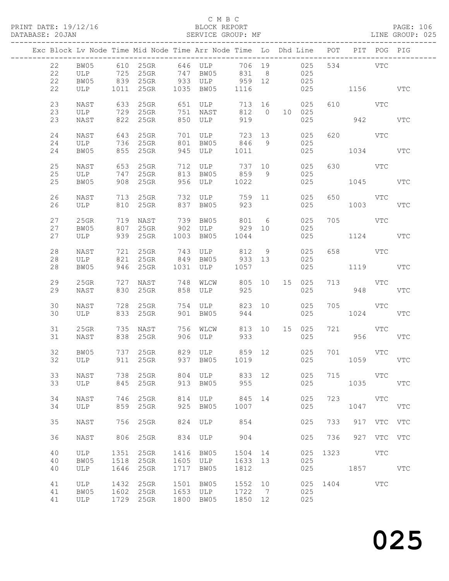|  |                |                     |              |                                  |              | Exc Block Lv Node Time Mid Node Time Arr Node Time Lo Dhd Line POT PIT POG PIG |                 |                |                      |              |                     |             |            |
|--|----------------|---------------------|--------------|----------------------------------|--------------|--------------------------------------------------------------------------------|-----------------|----------------|----------------------|--------------|---------------------|-------------|------------|
|  | 22<br>22<br>22 | BW05<br>ULP<br>BW05 |              | 725 25GR 747<br>839 25GR         |              | 610 25GR 646 ULP<br>BW05<br>933 ULP 959 12                                     | 706 19<br>831   | 8 <sup>8</sup> | 025<br>025<br>025    |              | 534 VTC             |             |            |
|  | 22             | ULP                 |              |                                  |              | 1011  25GR  1035  BW05                                                         | 1116            |                | 025                  | 1156 VTC     |                     |             |            |
|  | 23<br>23       | NAST<br>ULP         |              | 633 25GR<br>729 25GR             |              | 651 ULP<br>751 NAST                                                            | 713 16<br>812 0 |                | 025<br>10 025        |              | 610 VTC             |             |            |
|  | 23             | NAST                |              | 822 25GR                         |              | 850 ULP                                                                        | 919             |                | 025                  |              |                     | 942         | <b>VTC</b> |
|  | 24<br>24<br>24 | NAST<br>ULP<br>BW05 |              | 643 25GR<br>736 25GR<br>855 25GR | 701<br>801   | ULP<br>BW05 846<br>945 ULP                                                     | 723 13<br>1011  | 9              | 025<br>025<br>025    |              | 620 VTC<br>1034     |             | <b>VTC</b> |
|  | 25             | NAST                |              | 653 25GR                         |              | 712 ULP                                                                        | 737 10          |                | 025                  |              | 630 VTC             |             |            |
|  | 25<br>25       | ULP<br>BW05         |              | 747 25GR<br>908 25GR             |              | 813 BW05<br>956 ULP                                                            | 859 9<br>1022   |                | 025<br>025           |              | 1045 VTC            |             |            |
|  | 26<br>26       | NAST<br>ULP         |              | 713 25GR<br>810 25GR             | 837          | 732 ULP<br>BW05                                                                | 759 11<br>923   |                | 025<br>025           |              | 650 VTC<br>1003     |             | VTC        |
|  | 27<br>27       | 25GR<br>BW05        |              | 719 NAST<br>807 25GR             |              | 739 BW05                                                                       |                 | 6              | 025<br>025           |              | 705 VTC             |             |            |
|  | 27             | ULP                 |              | 939 25GR                         |              | 1003 BW05                                                                      | 1044            |                | 025                  |              | 1124                |             | VTC        |
|  | 28<br>28<br>28 | NAST<br>ULP<br>BW05 | 721          | 821 25GR<br>946 25GR             |              | 25GR 743 ULP 812 9<br>25GR 849 BW05 933 13<br>25GR 1031 ULP 1057               |                 |                | 025<br>025<br>025    |              | 658 VTC<br>1119 VTC |             |            |
|  | 29             | 25GR                |              | 727 NAST                         |              | 748 WLCW                                                                       | 805 10 15 025   |                |                      |              | 713 VTC             |             |            |
|  | 29<br>30       | NAST<br>NAST        | 728          | 830 25GR<br>25GR                 | 754          | 858 ULP<br>ULP                                                                 | 925<br>823 10   |                | 025<br>025           |              | 948<br>705 VTC      |             | <b>VTC</b> |
|  | 30             | ULP                 |              | 833 25GR                         | 901          | BW05                                                                           | 944             |                | 025                  |              | 1024                |             | VTC        |
|  | 31<br>31       | 25GR<br>NAST        |              | 735 NAST<br>838 25GR             |              | 756 WLCW<br>906 ULP                                                            | 933             |                | 813 10 15 025<br>025 | 721          | <b>VTC</b><br>956   |             | VTC        |
|  | 32<br>32       | BW05<br>ULP         |              |                                  |              |                                                                                |                 |                | 025<br>025           |              | 701 VTC<br>1059     |             | <b>VTC</b> |
|  | 33<br>33       | NAST<br>ULP         | 738<br>845   | $25$ GR<br>25GR                  | 804<br>913   | ULP<br>BW05                                                                    | 833 12<br>955   |                | 025<br>025           | 715          | <b>VTC</b><br>1035  |             | VTC        |
|  | 34<br>34       | NAST<br>ULP         | 746<br>859   | 25GR<br>25GR                     | 814<br>925   | ULP<br>BW05                                                                    | 845<br>1007     | 14             | 025<br>025           | 723          | VTC<br>1047         |             | VTC        |
|  | 35             | NAST                |              | 756 25GR                         | 824          | ULP                                                                            | 854             |                | 025                  | 733          |                     | 917 VTC VTC |            |
|  | 36             | NAST                |              | 806 25GR                         | 834          | ULP                                                                            | 904             |                | 025                  | 736          |                     | 927 VTC VTC |            |
|  | 40<br>40       | ULP<br>BW05         | 1351<br>1518 | 25GR<br>25GR                     | 1416<br>1605 | BW05<br>ULP                                                                    | 1504 14<br>1633 | 13             | 025<br>025           | 1323         | VTC                 |             |            |
|  | 40             | ULP                 | 1646         | 25GR                             | 1717         | BW05                                                                           | 1812            |                | 025                  |              | 1857 VTC            |             |            |
|  | 41<br>41       | ULP<br>BW05         | 1432<br>1602 | 25GR<br>$25$ GR                  | 1501<br>1653 | BW05<br>ULP                                                                    | 1552 10<br>1722 | $\overline{7}$ | 025                  | 025 1404 VTC |                     |             |            |
|  | 41             | ULP                 |              | 1729 25GR                        | 1800         | BW05                                                                           | 1850 12         |                | 025                  |              |                     |             |            |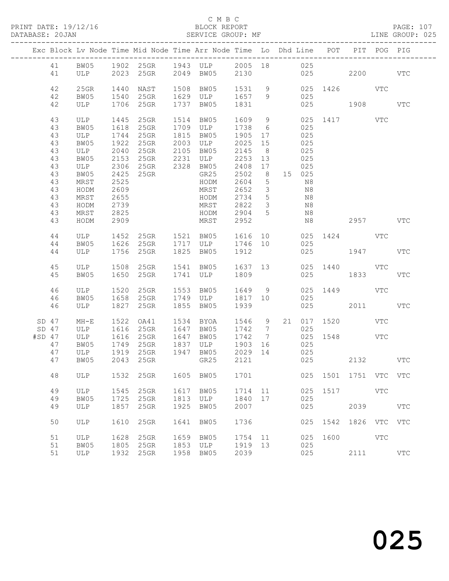#### C M B C<br>BLOCK REPORT SERVICE GROUP: MF

|                                                                                  |                                                                                                          |                                                                                              |                                                                                                        |                      | Exc Block Lv Node Time Mid Node Time Arr Node Time Lo Dhd Line POT                                     |                                                                                                                                  |                                                                                                       |    |                                                                                      |      |                                         | PIT POG PIG |            |
|----------------------------------------------------------------------------------|----------------------------------------------------------------------------------------------------------|----------------------------------------------------------------------------------------------|--------------------------------------------------------------------------------------------------------|----------------------|--------------------------------------------------------------------------------------------------------|----------------------------------------------------------------------------------------------------------------------------------|-------------------------------------------------------------------------------------------------------|----|--------------------------------------------------------------------------------------|------|-----------------------------------------|-------------|------------|
| 41                                                                               |                                                                                                          |                                                                                              |                                                                                                        |                      | 41 BW05 1902 25GR 1943 ULP 2005 18 025<br>ULP 2023 25GR 2049 BW05 2130                                 |                                                                                                                                  |                                                                                                       |    |                                                                                      |      | 025 2200 VTC                            |             |            |
| 42<br>42<br>42                                                                   | $25$ GR<br>BW05<br>ULP                                                                                   | 1440                                                                                         | NAST<br>1540 25GR<br>1706 25GR                                                                         |                      | 1508 BW05<br>1629 ULP<br>1737 BW05                                                                     | 1531 9<br>1657 9<br>1831                                                                                                         |                                                                                                       |    | 025<br>025                                                                           |      | 025 1426 VTC<br>1908                    |             | VTC        |
| 43<br>43<br>43<br>43<br>43<br>43<br>43<br>43<br>43<br>43<br>43<br>43<br>43<br>43 | ULP<br>BW05<br>ULP<br>BW05<br>ULP<br>BW05<br>ULP<br>BW05<br>MRST<br>HODM<br>MRST<br>HODM<br>MRST<br>HODM | 1445<br>1618<br>1744<br>1922<br>2040<br>2425<br>2525<br>2609<br>2655<br>2739<br>2825<br>2909 | 25GR<br>25GR<br>25GR<br>$25$ GR<br>25GR 2105 BW05<br>2153 25GR 2231 ULP<br>2306 25GR 2328 BW05<br>25GR |                      | 1514 BW05<br>1709 ULP<br>1815 BW05<br>2003 ULP<br>GR25<br>HODM<br>MRST<br>HODM<br>MRST<br>HODM<br>MRST | 1609 9<br>1738 6<br>1905 17<br>2025 15<br>2145<br>2253 13<br>2408 17<br>2502<br>2604<br>2652<br>2734 5<br>2822<br>2904 5<br>2952 | 8 <sup>8</sup><br>8 <sup>8</sup><br>$5^{\circ}$<br>$\overline{\mathbf{3}}$<br>$\overline{\mathbf{3}}$ |    | 025<br>025<br>025<br>025<br>025<br>025<br>15 025<br>N8<br>N8<br>N8<br>N8<br>N8<br>N8 |      | 025 1417 VTC<br>2957 VTC                |             |            |
| 44<br>44<br>44                                                                   | ULP<br>BW05<br>ULP                                                                                       | 1452                                                                                         | 25GR  1521  BW05<br>1756 25GR                                                                          |                      | 1626 25GR 1717 ULP 1746 10<br>1825 BW05                                                                | 1616<br>1912                                                                                                                     |                                                                                                       | 10 | 025                                                                                  |      | 025 1424 VTC<br>025 1947                |             | <b>VTC</b> |
| 45<br>45                                                                         | BW05                                                                                                     |                                                                                              | ULP 1508 25GR<br>1650 25GR                                                                             |                      | 1541 BW05 1637 13<br>1741 ULP                                                                          | 1809                                                                                                                             |                                                                                                       |    | 025                                                                                  |      | 025 1440 VTC<br>1833                    |             | VTC        |
| 46<br>46<br>46                                                                   | ULP<br>BW05<br>ULP                                                                                       | 1520<br>1658                                                                                 | 25GR<br>$25$ GR<br>1827 25GR                                                                           |                      | 1553 BW05<br>1749 ULP<br>1855 BW05                                                                     | 1649 9<br>1817 10<br>1939                                                                                                        |                                                                                                       |    | 025<br>025                                                                           |      | 025 1449 VTC<br>2011                    |             | <b>VTC</b> |
| SD 47<br>$SD$ 47<br>$#SD$ 47<br>47<br>47<br>47                                   | $MH-E$<br>ULP<br>ULP<br>BW05<br>ULP<br>BW05                                                              | 1522<br>1616<br>1749                                                                         | OA41<br>1616 25GR<br>25GR<br>25GR                                                                      |                      | 1534 BYOA<br>1647 BW05<br>1647 BW05<br>1837 ULP<br>GR25                                                | 1546 9<br>1742 7<br>1742 7<br>1903<br>2029 14<br>2121                                                                            | 16                                                                                                    |    | 025<br>025<br>025<br>025                                                             |      | 21 017 1520 VTC<br>025 1548 VTC<br>2132 |             | <b>VTC</b> |
| 48                                                                               | ULP                                                                                                      | 1532                                                                                         | 25GR                                                                                                   | 1605                 | BW05                                                                                                   | 1701                                                                                                                             |                                                                                                       |    | 025                                                                                  | 1501 | 1751 VTC VTC                            |             |            |
| 49<br>49<br>49                                                                   | ULP<br>BW05<br>ULP                                                                                       | 1545<br>1725<br>1857                                                                         | 25GR<br>25GR<br>25GR                                                                                   | 1617<br>1813<br>1925 | BW05<br>ULP<br>BW05                                                                                    | 1714<br>1840<br>2007                                                                                                             | 11<br>17                                                                                              |    | 025<br>025<br>025                                                                    | 1517 | 2039                                    | VTC         | <b>VTC</b> |
| 50                                                                               | ULP                                                                                                      | 1610                                                                                         | 25GR                                                                                                   | 1641                 | BW05                                                                                                   | 1736                                                                                                                             |                                                                                                       |    | 025                                                                                  | 1542 | 1826 VTC VTC                            |             |            |
| 51<br>51<br>51                                                                   | <b>ULP</b><br>BW05<br>ULP                                                                                | 1628<br>1805<br>1932                                                                         | 25GR<br>25GR<br>25GR                                                                                   | 1659<br>1853<br>1958 | BW05<br>ULP<br>BW05                                                                                    | 1754<br>1919<br>2039                                                                                                             | 11<br>13                                                                                              |    | 025<br>025<br>025                                                                    | 1600 | 2111                                    | VTC         | <b>VTC</b> |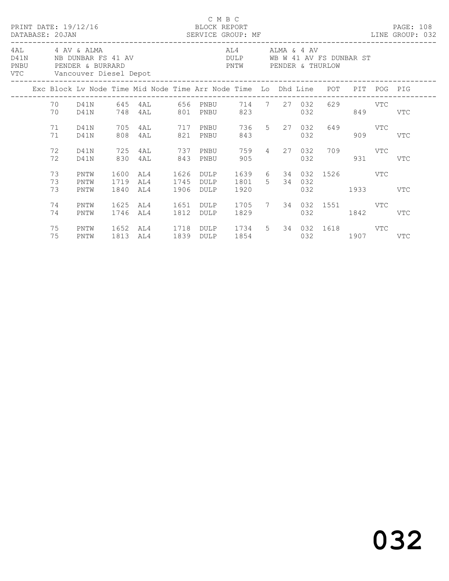|      |                |                                               |                      |                                                                                |              | C M B C                   |                                                                          |                                                                                                                                                                                                                               |     |                                    |         |           |     |  |
|------|----------------|-----------------------------------------------|----------------------|--------------------------------------------------------------------------------|--------------|---------------------------|--------------------------------------------------------------------------|-------------------------------------------------------------------------------------------------------------------------------------------------------------------------------------------------------------------------------|-----|------------------------------------|---------|-----------|-----|--|
| PNBU |                | 4AL 4 AV & ALMA<br>VTC Vancouver Diesel Depot |                      | D41N NB DUNBAR FS 41 AV<br>PENDER & BURRARD                                    |              |                           | AL4 ALMA & 4 AV<br>DULP WB W 41 AV FS DUNBAR ST<br>PNTW PENDER & THURLOW |                                                                                                                                                                                                                               |     |                                    |         |           |     |  |
|      |                |                                               |                      | Exc Block Lv Node Time Mid Node Time Arr Node Time Lo Dhd Line POT PIT POG PIG |              |                           |                                                                          |                                                                                                                                                                                                                               |     |                                    |         |           |     |  |
|      | 70             | D41N                                          |                      | 70 D41N 645 4AL 656 PNBU 714 7 27 032 629 VTC<br>748 4AL 801 PNBU              |              |                           | 823                                                                      |                                                                                                                                                                                                                               | 032 |                                    |         | 849       | VTC |  |
|      | 71<br>71       | D41N<br>D41N                                  | 705<br>808           | 4AL 717 PNBU<br>4AL                                                            |              | 821 PNBU                  | 843                                                                      | 736 5 27 032                                                                                                                                                                                                                  | 032 |                                    | 649 VTC | 909       | VTC |  |
|      | 72<br>72       | D41N<br>D41N                                  | 725<br>830           | 4AL<br>4AL                                                                     | 843          | 737 PNBU<br>PNBU          | 905                                                                      |                                                                                                                                                                                                                               |     | 759  4  27  032  709  VTC<br>032   |         | 931 — 100 | VTC |  |
|      | 73<br>73<br>73 | PNTW<br>PNTW<br>PNTW                          | 1600<br>1719<br>1840 | AL4<br>AL4<br>AL4                                                              | 1745<br>1906 | 1626 DULP<br>DULP<br>DULP | 1801 5 34 032<br>1920                                                    |                                                                                                                                                                                                                               |     | 1639 6 34 032 1526 VTC<br>032 1933 |         |           | VTC |  |
|      | 74<br>74       | PNTW<br>PNTW                                  | 1625<br>1746         | AL4<br>AL4                                                                     | 1651<br>1812 | DULP<br>DULP              | 1705 7 34 032 1551 VTC                                                   |                                                                                                                                                                                                                               |     | 032 1842                           |         |           | VTC |  |
|      | 75<br>75       | PNTW<br>PNTW                                  | 1652<br>1813         | AL4 1718 DULP 1734 5 34 032 1618 VTC<br>AL4                                    |              | 1839 DULP                 |                                                                          | 1854   1860   1860   1860   1860   1860   1860   1860   1860   1860   1860   1860   1860   1860   1860   1860   1860   1860   1860   1860   1860   1860   1860   1860   1860   1860   1860   1860   1860   1860   1860   1860 |     | 032 1907 VTC                       |         |           |     |  |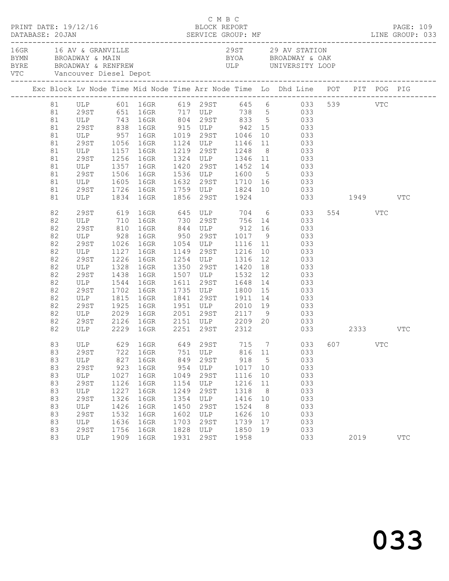| PRINT DATE: 19/12/16 |    |                                 |      |                              |      | C M B C | BLOCK REPORT   |                 |                                                                                                                                                                                                                                                            |         | PAGE: 109  |
|----------------------|----|---------------------------------|------|------------------------------|------|---------|----------------|-----------------|------------------------------------------------------------------------------------------------------------------------------------------------------------------------------------------------------------------------------------------------------------|---------|------------|
|                      |    | 16GR 16 AV & GRANVILLE          |      | VTC Vancouver Diesel Depot   |      |         |                |                 | 29ST 29 AV STATION<br>BYMN BROADWAY & MAIN BYOA BROADWAY & MAIN BYOA BROADWAY & OAK<br>BYRE BROADWAY & RENFREW ULP UNIVERSITY LOOP                                                                                                                         |         |            |
|                      |    |                                 |      |                              |      |         |                |                 | Exc Block Lv Node Time Mid Node Time Arr Node Time Lo Dhd Line POT PIT POG PIG                                                                                                                                                                             |         |            |
|                      |    |                                 |      |                              |      |         |                |                 | 81 ULP 601 16GR 619 29ST 645 6 033 539 VTC<br>81 29ST 651 16GR 717 ULP 738 5 033                                                                                                                                                                           |         |            |
|                      |    |                                 |      |                              |      |         |                |                 |                                                                                                                                                                                                                                                            |         |            |
|                      | 81 |                                 |      |                              |      |         |                |                 | ULP 743 16GR 804 29ST 833 5 033                                                                                                                                                                                                                            |         |            |
|                      | 81 |                                 |      |                              |      |         |                |                 |                                                                                                                                                                                                                                                            |         |            |
|                      | 81 |                                 |      |                              |      |         |                |                 | 29<br>ST 838 16GR 915 ULP 942 15 033<br>ULP 957 16GR 1019 29<br>ST 1056 16GR 1124 ULP 1146 11 033                                                                                                                                                          |         |            |
|                      | 81 |                                 |      |                              |      |         |                |                 |                                                                                                                                                                                                                                                            |         |            |
|                      | 81 | ULP 1157 16GR                   |      |                              |      |         | 1219 29ST 1248 |                 | 8 033                                                                                                                                                                                                                                                      |         |            |
|                      | 81 |                                 |      |                              |      |         |                |                 |                                                                                                                                                                                                                                                            |         |            |
|                      | 81 |                                 |      |                              |      |         |                |                 | $\begin{tabular}{cccccc} 29ST & 1256 & 16GR & 1324 & ULP & 1346 & 11 & 033 \\ ULP & 1357 & 16GR & 1420 & 29ST & 1452 & 14 & 033 \\ 29ST & 1506 & 16GR & 1536 & ULP & 1600 & 5 & 033 \\ ULP & 1605 & 16GR & 1632 & 29ST & 1710 & 16 & 033 \\ \end{tabular}$ |         |            |
|                      | 81 |                                 |      |                              |      |         |                |                 |                                                                                                                                                                                                                                                            |         |            |
|                      | 81 |                                 |      |                              |      |         |                |                 |                                                                                                                                                                                                                                                            |         |            |
|                      | 81 | 29ST                            |      |                              |      |         |                |                 | 1726 16GR 1759 ULP 1824 10 033                                                                                                                                                                                                                             |         |            |
|                      | 81 |                                 |      | ULP 1834 16GR 1856 29ST 1924 |      |         |                |                 | 033 1949 VTC                                                                                                                                                                                                                                               |         |            |
|                      | 82 | 29ST                            |      |                              |      |         |                |                 | 619 16GR 645 ULP 704 6 033                                                                                                                                                                                                                                 | 554 VTC |            |
|                      | 82 |                                 |      |                              |      |         |                |                 |                                                                                                                                                                                                                                                            |         |            |
|                      | 82 |                                 |      |                              |      |         |                |                 |                                                                                                                                                                                                                                                            |         |            |
|                      | 82 |                                 |      |                              |      |         |                |                 |                                                                                                                                                                                                                                                            |         |            |
|                      | 82 |                                 |      |                              |      |         |                |                 | ULP 710 16GR 730 29ST 756 14 033<br>29ST 810 16GR 844 ULP 912 16 033<br>ULP 928 16GR 950 29ST 1017 9 033<br>29ST 1026 16GR 1054 ULP 1116 11 033                                                                                                            |         |            |
|                      | 82 | ULP                             |      | 1127 16GR                    |      |         |                |                 | 1149 29ST 1216 10 033                                                                                                                                                                                                                                      |         |            |
|                      | 82 | 29ST                            | 1226 | 16GR                         |      |         |                |                 | 1254 ULP 1316 12 033<br>1350 29ST 1420 18 033<br>1507 ULP 1532 12 033                                                                                                                                                                                      |         |            |
|                      | 82 | ULP                             |      |                              |      |         |                |                 |                                                                                                                                                                                                                                                            |         |            |
|                      | 82 | 29ST                            |      | 1328 16GR<br>1438 16GR       |      |         |                |                 |                                                                                                                                                                                                                                                            |         |            |
|                      | 82 | ULP                             |      | 1544 16GR                    |      |         |                |                 | 1611 29ST 1648 14 033                                                                                                                                                                                                                                      |         |            |
|                      | 82 | 29ST                            | 1702 | 16GR                         |      |         |                |                 | 1735 ULP 1800 15 033<br>1841 29ST 1911 14 033<br>1951 ULP 2010 19 033                                                                                                                                                                                      |         |            |
|                      | 82 | ULP 1815 16GR<br>29ST 1925 16GR |      |                              |      |         |                |                 |                                                                                                                                                                                                                                                            |         |            |
|                      | 82 |                                 |      |                              |      |         |                |                 |                                                                                                                                                                                                                                                            |         |            |
|                      | 82 | ULP 2029                        |      | 16GR                         |      |         |                |                 | 2051 29ST 2117 9 033                                                                                                                                                                                                                                       |         |            |
|                      | 82 | 29ST                            |      |                              |      |         |                |                 | 2126 16GR 2151 ULP 2209 20 033                                                                                                                                                                                                                             |         |            |
|                      | 82 |                                 |      | ULP 2229 16GR 2251 29ST 2312 |      |         |                |                 | 033 2333 VTC                                                                                                                                                                                                                                               |         |            |
|                      | 83 |                                 |      |                              |      |         |                |                 | ULP 629 16GR 649 29ST 715 7 033 607 VTC                                                                                                                                                                                                                    |         |            |
|                      | 83 | 29ST                            | 722  | 16GR                         | 751  | ULP     | 816            | 11              | 033                                                                                                                                                                                                                                                        |         |            |
|                      | 83 | ULP                             | 827  | 16GR                         | 849  | 29ST    | 918            | $5\overline{)}$ | 033                                                                                                                                                                                                                                                        |         |            |
|                      | 83 | 29ST                            | 923  | 16GR                         | 954  | ULP     | 1017           | 10              | 033                                                                                                                                                                                                                                                        |         |            |
|                      | 83 | ULP                             | 1027 | 16GR                         | 1049 | 29ST    | 1116           | 10              | 033                                                                                                                                                                                                                                                        |         |            |
|                      | 83 | 29ST                            | 1126 | 16GR                         | 1154 | ULP     | 1216           | 11              | 033                                                                                                                                                                                                                                                        |         |            |
|                      | 83 | ULP                             | 1227 | 16GR                         | 1249 | 29ST    | 1318           | 8 <sup>8</sup>  | 033                                                                                                                                                                                                                                                        |         |            |
|                      | 83 | 29ST                            | 1326 | 16GR                         | 1354 | ULP     | 1416           | 10              | 033                                                                                                                                                                                                                                                        |         |            |
|                      | 83 | ULP                             | 1426 | 16GR                         | 1450 | 29ST    | 1524           | 8 <sup>8</sup>  | 033                                                                                                                                                                                                                                                        |         |            |
|                      | 83 | 29ST                            | 1532 | 16GR                         | 1602 | ULP     | 1626           | 10              | 033                                                                                                                                                                                                                                                        |         |            |
|                      | 83 | ULP                             | 1636 | 16GR                         | 1703 | 29ST    | 1739           | 17              | 033                                                                                                                                                                                                                                                        |         |            |
|                      | 83 | 29ST                            | 1756 | 16GR                         | 1828 | ULP     | 1850           | 19              | 033                                                                                                                                                                                                                                                        |         |            |
|                      | 83 | ULP                             |      | 1909 16GR                    | 1931 | 29ST    | 1958           |                 | 033                                                                                                                                                                                                                                                        | 2019    | <b>VTC</b> |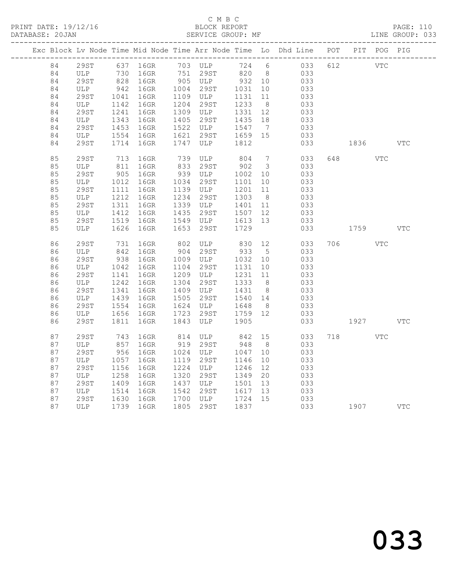### C M B C<br>BLOCK REPORT SERVICE GROUP: MF

|    |                       |                 |                                                             |      |                       |         |                         | Exc Block Lv Node Time Mid Node Time Arr Node Time Lo Dhd Line POT PIT POG PIG |     |            |     |            |
|----|-----------------------|-----------------|-------------------------------------------------------------|------|-----------------------|---------|-------------------------|--------------------------------------------------------------------------------|-----|------------|-----|------------|
| 84 |                       |                 |                                                             |      |                       |         |                         | 29ST 637 16GR 703 ULP 724 6 033                                                | 612 | <b>VTC</b> |     |            |
| 84 |                       |                 | ULP 730 16GR 751 29ST 820 8<br>29ST 828 16GR 905 ULP 932 10 |      |                       |         |                         | 033                                                                            |     |            |     |            |
| 84 |                       |                 |                                                             |      |                       |         |                         | 033                                                                            |     |            |     |            |
| 84 | ULP                   | $942$<br>$1041$ | 16GR                                                        |      | 1004 29ST 1031        |         | 10                      | 033                                                                            |     |            |     |            |
| 84 | 29ST                  |                 | 16GR                                                        |      | $1109$ ULP            | 1131    | 11                      | 033                                                                            |     |            |     |            |
| 84 | ULP                   |                 | 16GR                                                        |      | 1204 29ST             | 1233    | 8 <sup>8</sup>          | 033                                                                            |     |            |     |            |
| 84 | 29ST                  | 1142<br>1241    | 16GR                                                        |      | 1309 ULP              | 1331    | 12                      | 033                                                                            |     |            |     |            |
| 84 | ULP                   | 1343            | 16GR                                                        |      | 1405 29ST             | 1435 18 |                         | 033                                                                            |     |            |     |            |
| 84 | 29ST                  | 1453            | 16GR                                                        |      | 1522 ULP              | 1547 7  |                         | 033                                                                            |     |            |     |            |
| 84 | ULP                   | 1554            | 16GR                                                        |      | 1621 29ST 1659 15     |         |                         | 033                                                                            |     |            |     |            |
| 84 | 29ST                  | 1714            | 16GR                                                        | 1747 | ULP                   | 1812    |                         | 033                                                                            |     | 1836       |     | <b>VTC</b> |
| 85 | 29ST                  |                 | 16GR                                                        |      |                       | 804     | $7\overline{ }$         | 033                                                                            |     |            | VTC |            |
| 85 | ULP                   | 713<br>811      | 16GR                                                        |      | 739 ULP<br>833 29ST   | 902     | $\overline{\mathbf{3}}$ | 033                                                                            |     |            |     |            |
| 85 | 29ST                  | 905             | 16GR                                                        |      | 939 ULP               | 1002    | 10                      | 033                                                                            |     |            |     |            |
| 85 | ULP                   | 1012            | 16GR                                                        |      | 1034 29ST             | 1101    | 10                      | 033                                                                            |     |            |     |            |
| 85 | 29ST                  | 1111            | 16GR                                                        |      | 1139 ULP              | 1201    | 11                      | 033                                                                            |     |            |     |            |
| 85 | ULP                   | 1212            | 16GR                                                        |      | 1234 29ST             | 1303 8  |                         | 033                                                                            |     |            |     |            |
| 85 | 29ST                  | 1311            | 16GR                                                        |      | 1339 ULP              | 1401 11 |                         | 033                                                                            |     |            |     |            |
| 85 | ULP                   | 1412            | 16GR                                                        | 1435 | 29ST                  | 1507 12 |                         | 033                                                                            |     |            |     |            |
| 85 | 29ST                  | 1519            | 16GR                                                        |      | $1549$ ULP $1613$ 13  |         |                         | 033                                                                            |     |            |     |            |
| 85 | ULP                   | 1626            | 16GR                                                        | 1653 | 29ST                  | 1729    |                         | 033                                                                            |     | 1759       |     | VTC        |
|    |                       |                 |                                                             |      |                       |         |                         |                                                                                |     |            |     |            |
| 86 | 29ST                  | 731             | $16$ GR                                                     | 802  | ULP 830               |         |                         | 12 033                                                                         |     | 706        | VTC |            |
| 86 | ULP                   | 842             | 16GR                                                        | 904  | 29ST                  | 933     | 5 <sup>5</sup>          | 033                                                                            |     |            |     |            |
| 86 | 29ST                  | 938             | 16GR                                                        |      | 1009 ULP              | 1032    | 10                      | 033                                                                            |     |            |     |            |
| 86 | ULP                   | 1042            | 16GR                                                        | 1104 | 29ST                  | 1131    | 10                      | 033                                                                            |     |            |     |            |
| 86 | 29ST                  | 1141            | 16GR                                                        |      | 1209 ULP              | 1231    | 11                      | 033                                                                            |     |            |     |            |
| 86 | ULP                   |                 | 16GR                                                        | 1304 | 29ST                  | 1333    | 8 <sup>8</sup>          | 033                                                                            |     |            |     |            |
| 86 | 29ST                  | $12.$<br>1341   | 16GR                                                        |      | 1409 ULP              | 1431 8  |                         | 033                                                                            |     |            |     |            |
| 86 | ULP                   |                 | 16GR                                                        |      | 1505 29ST             | 1540 14 |                         | 033                                                                            |     |            |     |            |
| 86 | 29ST                  | $14 - 1554$     | 16GR                                                        |      | 1624 ULP              | 1648    | 8 <sup>8</sup>          | 033                                                                            |     |            |     |            |
| 86 | ULP                   | 1656            | 16GR                                                        | 1723 | 29ST                  | 1759 12 |                         | 033                                                                            |     |            |     |            |
| 86 | 29ST                  | 1811            | 16GR                                                        | 1843 | ULP                   | 1905    |                         | 033                                                                            |     | 1927       |     | VTC        |
| 87 | 29ST                  | 743             | 16GR                                                        |      | 814 ULP 842           |         |                         | 15<br>033                                                                      |     | 718 VTC    |     |            |
| 87 | ULP                   | 857             | 16GR                                                        |      | 919 29ST              | 948     | 8 <sup>8</sup>          | 033                                                                            |     |            |     |            |
| 87 | 29ST                  | 956             | 16GR                                                        |      | 1024 ULP              | 1047    | 10                      | 033                                                                            |     |            |     |            |
| 87 | ULP                   | 1057            | 16GR                                                        | 1119 | 29ST                  | 1146    | 10                      | 033                                                                            |     |            |     |            |
| 87 | <b>29ST</b>           | 1156            | 16GR                                                        | 1224 | ULP                   | 1246    | 12                      | 033                                                                            |     |            |     |            |
| 87 | ULP                   | 1258            | 16GR                                                        | 1320 | 29ST                  | 1349    | 20                      | 033                                                                            |     |            |     |            |
| 87 | 29ST                  | 1409            | 16GR                                                        |      | 1437 ULP              | 1501    | 13                      | 033                                                                            |     |            |     |            |
| 87 | ULP                   | 1514            | 16GR                                                        |      | 1542 29ST             | 1617    | 13                      | 033                                                                            |     |            |     |            |
| 87 | 29ST 1630<br>ULP 1739 |                 | 16GR                                                        |      |                       | 1724 15 |                         | 033                                                                            |     |            |     |            |
| 87 |                       |                 | 1739 16GR                                                   |      | 1700 ULP<br>1805 29ST | 1837    |                         | 033                                                                            |     | 1907       |     | VTC        |
|    |                       |                 |                                                             |      |                       |         |                         |                                                                                |     |            |     |            |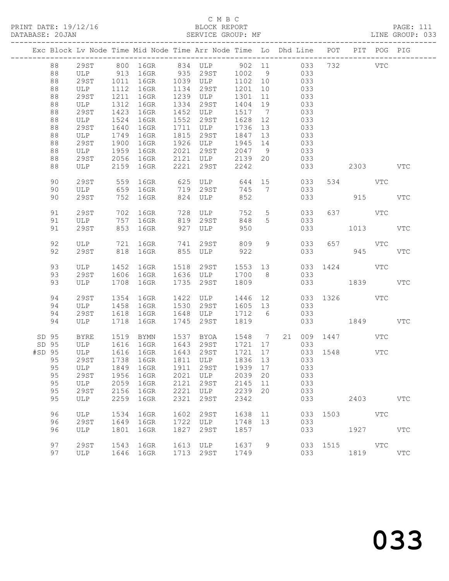### C M B C<br>BLOCK REPORT SERVICE GROUP: MF

|        |       |             |      |                   |      | Exc Block Lv Node Time Mid Node Time Arr Node Time Lo Dhd Line POT PIT POG PIG |         |                |         |     |                 |                        |     |              |
|--------|-------|-------------|------|-------------------|------|--------------------------------------------------------------------------------|---------|----------------|---------|-----|-----------------|------------------------|-----|--------------|
|        | 88    | 29ST        |      |                   |      | 800 16GR 834 ULP 902 11 033 732 VTC                                            |         |                |         |     |                 |                        |     |              |
|        | 88    | ULP         |      |                   |      | 913 16GR 935 29ST 1002 9                                                       |         |                |         | 033 |                 |                        |     |              |
|        | 88    | 29ST        | 1011 |                   |      | $16GR$ $1039$ $ULP$                                                            | 1102 10 |                |         | 033 |                 |                        |     |              |
|        | 88    | ULP         | 1112 | 16GR              | 1134 | 29ST                                                                           | 1201    | 10             | 033     |     |                 |                        |     |              |
|        | 88    | 29ST        | 1211 | 16GR              | 1239 | ULP                                                                            | 1301    | 11             |         | 033 |                 |                        |     |              |
|        | 88    | ULP         | 1312 | 16GR              | 1334 | 29ST                                                                           | 1404    | 19             |         | 033 |                 |                        |     |              |
|        | 88    | 29ST        | 1423 | 16GR              |      | 1452 ULP                                                                       | 1517    | $\overline{7}$ |         | 033 |                 |                        |     |              |
|        | 88    | ULP         | 1524 | 16GR              | 1552 | 29ST                                                                           | 1628    | 12             |         | 033 |                 |                        |     |              |
|        | 88    | 29ST        | 1640 | 16GR              | 1711 | ULP                                                                            | 1736    | 13             |         | 033 |                 |                        |     |              |
|        | 88    | ULP         | 1749 | 16GR              | 1815 | 29ST                                                                           | 1847    | 13             |         | 033 |                 |                        |     |              |
|        | 88    | 29ST        | 1900 | 16GR              |      | 1926 ULP                                                                       | 1945 14 |                |         | 033 |                 |                        |     |              |
|        | 88    | ULP         | 1959 | 16GR              | 2021 | 29ST                                                                           | 2047 9  |                | 033     |     |                 |                        |     |              |
|        | 88    | 29ST        | 2056 | 16GR              | 2121 | ULP                                                                            | 2139 20 |                | 033     |     |                 |                        |     |              |
|        | 88    | ULP         |      | 2159 16GR         | 2221 | 29ST                                                                           | 2242    |                |         | 033 |                 | 2303                   |     | VTC          |
|        | 90    | 29ST        | 559  | 16GR              | 625  | ULP 644                                                                        |         |                | 15      | 033 |                 | 534 VTC                |     |              |
|        | 90    | ULP         | 659  | 16GR              |      | 719 29ST                                                                       | 745     | 7              |         | 033 |                 |                        |     |              |
|        | 90    | 29ST        | 752  | 16GR              | 824  | ULP                                                                            | 852     |                |         | 033 |                 | 915                    |     | <b>VTC</b>   |
|        | 91    | 29ST        |      | 702 16GR          | 728  | ULP                                                                            | 752     |                | $5 - 5$ | 033 |                 | 637 VTC                |     |              |
|        | 91    | ULP         | 757  | 16GR              | 819  | 29ST                                                                           | 848     | 5 <sub>5</sub> |         | 033 |                 |                        |     |              |
|        | 91    | 29ST        | 853  | 16GR              | 927  | ULP                                                                            | 950     |                |         | 033 |                 | 1013 VTC               |     |              |
|        | 92    | ULP         | 721  | 16GR              | 741  | 29ST                                                                           | 809     | 9              |         | 033 |                 | 657 VTC                |     |              |
|        | 92    | 29ST        | 818  | 16GR              | 855  | ULP                                                                            | 922     |                |         |     | 033 034 034 035 | 945                    |     | <b>VTC</b>   |
|        | 93    | ULP         | 1452 |                   |      | 1518  29ST  1553  13                                                           |         |                |         |     |                 | 033 1424 VTC           |     |              |
|        | 93    | 29ST        |      | 16GR<br>1606 16GR |      | 1636 ULP                                                                       | 1700 8  |                |         | 033 |                 |                        |     |              |
|        | 93    | ULP         | 1708 | 16GR              | 1735 | 29ST                                                                           | 1809    |                |         |     |                 | 033 1839 VTC           |     |              |
|        |       |             |      |                   |      |                                                                                |         |                |         |     |                 |                        |     |              |
|        | 94    | 29ST        | 1354 | 16GR              |      | 1422 ULP                                                                       |         |                |         |     |                 | 1446 12 033 1326 VTC   |     |              |
|        | 94    | ULP         | 1458 | 16GR              | 1530 | 29ST                                                                           | 1605 13 |                |         | 033 |                 |                        |     |              |
|        | 94    | 29ST        | 1618 | 16GR              |      | 1648 ULP                                                                       | 1712 6  |                |         | 033 |                 |                        |     |              |
|        | 94    | ULP         | 1718 | 16GR              | 1745 | 29ST                                                                           | 1819    |                |         |     |                 | 033 1849               |     | VTC          |
|        | SD 95 | BYRE        | 1519 | BYMN              |      | 1537 BYOA                                                                      |         |                |         |     |                 | 1548 7 21 009 1447 VTC |     |              |
|        | SD 95 | ULP 1616    |      | 16GR              |      | 1643 29ST                                                                      | 1721 17 |                |         | 033 |                 |                        |     |              |
| #SD 95 |       | ULP         | 1616 | 16GR              |      | 1643 29ST                                                                      | 1721    | 17             |         |     | 033 1548        |                        | VTC |              |
|        | 95    | 29ST        |      | 1738 16GR         |      | 1811 ULP                                                                       | 1836 13 |                |         | 033 |                 |                        |     |              |
|        |       |             |      |                   |      | 95 ULP 1849 16GR 1911 29ST 1939 17 033                                         |         |                |         |     |                 |                        |     |              |
|        | 95    | 29ST        | 1956 | 16GR              | 2021 | ULP                                                                            | 2039    | 20             |         | 033 |                 |                        |     |              |
|        | 95    | ULP         | 2059 | 16GR              | 2121 | 29ST                                                                           | 2145    | 11             |         | 033 |                 |                        |     |              |
|        | 95    | 29ST        | 2156 | 16GR              | 2221 | ULP                                                                            | 2239    | 20             |         | 033 |                 |                        |     |              |
|        | 95    | ULP         | 2259 | 16GR              | 2321 | 29ST                                                                           | 2342    |                |         | 033 |                 | 2403                   |     | <b>VTC</b>   |
|        | 96    | <b>ULP</b>  | 1534 | 16GR              | 1602 | 29ST                                                                           | 1638    | 11             |         | 033 | 1503            |                        | VTC |              |
|        | 96    | 29ST        | 1649 | 16GR              | 1722 | ULP                                                                            | 1748    | 13             |         | 033 |                 |                        |     |              |
|        | 96    | ULP         | 1801 | 16GR              | 1827 | 29ST                                                                           | 1857    |                |         | 033 |                 | 1927                   |     | <b>VTC</b>   |
|        | 97    | <b>29ST</b> | 1543 | 16GR              | 1613 | ULP                                                                            | 1637    | 9              |         | 033 | 1515            |                        | VTC |              |
|        | 97    | ULP         | 1646 | 16GR              |      | 1713 29ST                                                                      | 1749    |                |         | 033 |                 | 1819                   |     | $_{\rm VTC}$ |
|        |       |             |      |                   |      |                                                                                |         |                |         |     |                 |                        |     |              |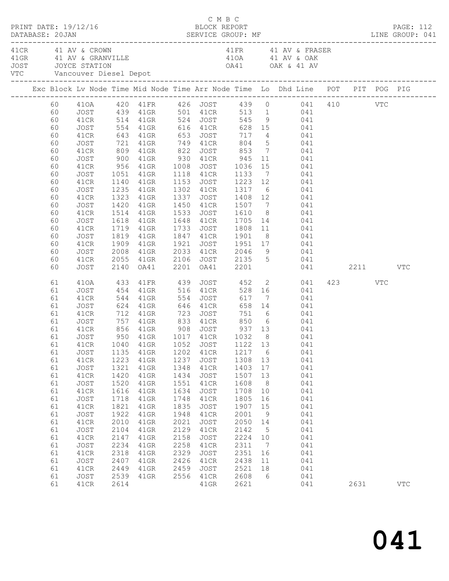| PRINT DATE: 19/12/16 |                                                                                                                                                          |                                                                                                                                                                                                      |                                                                                                                                              |                                                                                                                                                                                               |                                                                                                                                      | C M B C<br>BLOCK REPORT                                                                                                                         |                                                                                                                                                   |                                                                                                                           |                                                                                                                                                                                                                                                                                                                                                                                                                                                                                                                                                                                                                                               |                 | PAGE: 112<br>DATABASE: 20JAN SERVICE GROUP: MF LINE GROUP: 041 |
|----------------------|----------------------------------------------------------------------------------------------------------------------------------------------------------|------------------------------------------------------------------------------------------------------------------------------------------------------------------------------------------------------|----------------------------------------------------------------------------------------------------------------------------------------------|-----------------------------------------------------------------------------------------------------------------------------------------------------------------------------------------------|--------------------------------------------------------------------------------------------------------------------------------------|-------------------------------------------------------------------------------------------------------------------------------------------------|---------------------------------------------------------------------------------------------------------------------------------------------------|---------------------------------------------------------------------------------------------------------------------------|-----------------------------------------------------------------------------------------------------------------------------------------------------------------------------------------------------------------------------------------------------------------------------------------------------------------------------------------------------------------------------------------------------------------------------------------------------------------------------------------------------------------------------------------------------------------------------------------------------------------------------------------------|-----------------|----------------------------------------------------------------|
| 41 CR 41 AV & CROWN  |                                                                                                                                                          |                                                                                                                                                                                                      |                                                                                                                                              | VTC Vancouver Diesel Depot                                                                                                                                                                    |                                                                                                                                      |                                                                                                                                                 |                                                                                                                                                   |                                                                                                                           | 41 FR 41 AV & FRASER<br>41 CK 41 AV & CRANVILLE 41 AV & OAK<br>41 GRANVILLE 41 AV & OAK<br>50 JOYCE STATION<br>41 OAK & 41 AV                                                                                                                                                                                                                                                                                                                                                                                                                                                                                                                 |                 |                                                                |
|                      |                                                                                                                                                          |                                                                                                                                                                                                      |                                                                                                                                              |                                                                                                                                                                                               |                                                                                                                                      |                                                                                                                                                 |                                                                                                                                                   |                                                                                                                           | Exc Block Lv Node Time Mid Node Time Arr Node Time Lo Dhd Line POT PIT POG PIG                                                                                                                                                                                                                                                                                                                                                                                                                                                                                                                                                                |                 |                                                                |
|                      | 60<br>60<br>60<br>60<br>60<br>60<br>60<br>60<br>60<br>60<br>60<br>60<br>60<br>60<br>60<br>60<br>60                                                       | JOST<br>41CR<br>JOST<br>41CR<br>JOST<br>41CR<br>JOST<br>41CR<br>JOST<br>41CR<br>JOST<br>41CR<br>JOST<br>41CR<br>JOST<br>41CR<br>JOST                                                                 | 1323                                                                                                                                         | 41GR<br>1420 41GR<br>1514 41GR<br>1618 41GR<br>1719 41GR<br>1819 41GR<br>1909 41GR                                                                                                            |                                                                                                                                      |                                                                                                                                                 |                                                                                                                                                   |                                                                                                                           | 60 410A 420 41FR 426 JOST 439 0 041 410 VTC<br>60 JOST 439 41GR 501 41CR 513 1 041<br>60 41CR 514 41GR 524 JOST 545 9 041<br>554 41GR 616 41CR 628 15 041<br>643 41GR 653 JOST 717 4 041<br>721 41GR 749 41CR 804 5 041<br>809 41GR 822 JOST 853 7 041<br>900 41GR 930 41CR 945 11 041<br>956 41GR 1008 JOST 1036 15 041<br>1051 41GR 1118 41CR 1133 7 041<br>1140 41GR 1153 JOST 1223 12 041<br>1235 41GR 1302 41CR 1317 6 041<br>1337 JOST 1408 12 041<br>1450 41CR 1507 7 041<br>1533 JOST 1610 8 041<br>1648 41CR 1705 14 041<br>1733 JOST 1808 11 041<br>1847 41CR 1901 8 041<br>1921 JOST 1951 17 041<br>2008 41GR 2033 41CR 2046 9 041 |                 |                                                                |
|                      | 60<br>60                                                                                                                                                 | 41CR<br>JOST                                                                                                                                                                                         |                                                                                                                                              | 2055 41GR<br>2140 OA41                                                                                                                                                                        |                                                                                                                                      | 2201   0A41   2201                                                                                                                              |                                                                                                                                                   |                                                                                                                           | 2106 JOST 2135 5 041<br>041 2211 VTC                                                                                                                                                                                                                                                                                                                                                                                                                                                                                                                                                                                                          |                 |                                                                |
|                      | 61<br>61<br>61<br>61<br>61<br>61<br>61<br>61<br>61<br>61<br>61<br>61<br>61<br>61<br>61<br>61<br>61<br>61<br>61<br>61<br>61<br>61<br>61<br>61<br>61<br>61 | JOST<br>41CR<br>JOST<br>41CR<br>JOST<br>41CR<br>JOST<br>JOST<br>41CR<br>JOST<br>41CR<br>JOST<br>41CR<br>JOST<br>41CR<br>JOST<br>41CR<br>JOST<br>41CR<br>JOST<br>41CR<br>JOST<br>41CR<br>JOST<br>41CR | 1135<br>1223<br>1321<br>1420<br>1520<br>1616<br>1718<br>1821<br>1922<br>2010<br>2104<br>2147<br>2234<br>2318<br>2407<br>2449<br>2539<br>2614 | 410A 433 41FR 439<br>454 41GR 516 41CR<br>41GR<br>41GR<br>41GR<br>41GR<br>41GR<br>$41$ GR<br>41GR<br>$41$ GR<br>41GR<br>$41$ GR<br>41GR<br>$41$ GR<br>41GR<br>41GR<br>41GR<br>41GR<br>$41$ GR | 1202<br>1237<br>1348<br>1434<br>1551<br>1634<br>1748<br>1835<br>1948<br>2021<br>2129<br>2158<br>2258<br>2329<br>2426<br>2459<br>2556 | 41CR<br>JOST<br>41CR<br>JOST<br>41CR<br>JOST<br>41CR<br>JOST<br>41CR<br>JOST<br>41CR<br>JOST<br>41CR<br>JOST<br>41CR<br>JOST<br>41CR<br>$41$ GR | 1217 6<br>1308 13<br>1403<br>1507<br>1608<br>1708<br>1805<br>1907<br>2001<br>2050<br>2142<br>2224<br>2311<br>2351<br>2438<br>2521<br>2608<br>2621 | 17<br>13<br>8 <sup>8</sup><br>10<br>16<br>15<br>9<br>14<br>$5\overline{)}$<br>10<br>$\overline{7}$<br>16<br>11<br>18<br>6 | JOST 452 2 041<br>528 16 041<br>544 41GR 554 JOST 617 7 041<br>624 41GR 646 41CR 658 14 041<br>712 41GR 723 JOST 751 6 041<br>757 41GR 833 41CR 850 6 041<br>041<br>041<br>041<br>041<br>041<br>041<br>041<br>041<br>041<br>041<br>041<br>041<br>041<br>041<br>041<br>041<br>041<br>041<br>041<br>041                                                                                                                                                                                                                                                                                                                                         | 423 VTC<br>2631 | <b>VTC</b>                                                     |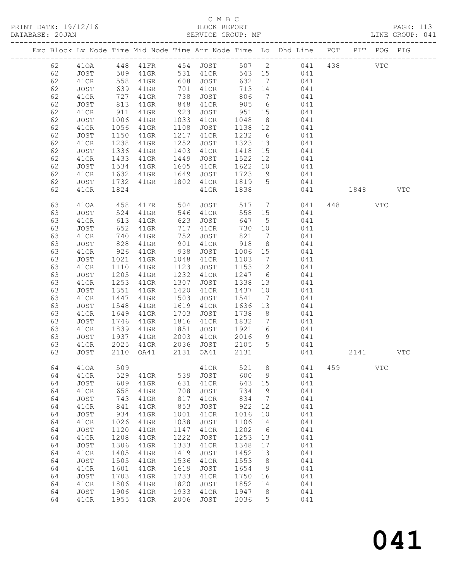PRINT DATE: 19/12/16 BLOCK REPORT<br>DATABASE: 20JAN BATABASE: 2015

# C M B C<br>BLOCK REPORT

PAGE: 113<br>LINE GROUP: 041

|          |              |                  |                      |              |                   |                |                              | Exc Block Lv Node Time Mid Node Time Arr Node Time Lo Dhd Line POT |      | PIT POG PIG  |              |
|----------|--------------|------------------|----------------------|--------------|-------------------|----------------|------------------------------|--------------------------------------------------------------------|------|--------------|--------------|
| 62       | 410A         |                  | 448  41FR  454  JOST |              |                   |                |                              | 507 2 041 438                                                      |      | <b>VTC</b>   |              |
| 62       | JOST         | 509              | 41GR                 |              | 531 41CR          |                |                              | 543 15 041                                                         |      |              |              |
| 62       | 41CR         |                  | $41$ GR              |              | 608 JOST          | 632            | $\overline{7}$               | 041                                                                |      |              |              |
| 62       | JOST         | 558<br>639       | $41$ GR              |              | 701 41CR          | 713 14         |                              | 041                                                                |      |              |              |
| 62       | 41CR         | 727              | $41$ GR              | 738          | JOST              | 806            |                              | 7 041                                                              |      |              |              |
| 62       | JOST         | 813              | 41GR                 | 848          | 41CR              | 905            | $6\overline{6}$              | 041                                                                |      |              |              |
| 62       | 41CR         | 911              | 41GR                 | 923          | JOST              | 951            | 15                           | 041                                                                |      |              |              |
| 62       | JOST         | 1006             | 41GR                 | 1033         | 41CR              | 1048           | 8 <sup>8</sup>               | 041                                                                |      |              |              |
| 62       | 41CR         | 1056             | $41$ GR              | 1108         | JOST              | 1138 12        |                              | 041                                                                |      |              |              |
| 62       | JOST         | 1150             | $41$ GR              | 1217         | 41CR              | 1232           | 6                            | 041                                                                |      |              |              |
| 62<br>62 | 41CR<br>JOST | 1238<br>1336     | 41GR<br>41GR         | 1252<br>1403 | JOST<br>41CR      | 1323<br>1418   | 13<br>15                     | 041<br>041                                                         |      |              |              |
| 62       | 41CR         | 1433             | 41GR                 | 1449         | JOST              | 1522           | 12                           | 041                                                                |      |              |              |
| 62       | JOST         | 1534             | 41GR                 | 1605         | 41CR              | 1622           | 10                           | 041                                                                |      |              |              |
| 62       | 41CR         | 1632             | 41GR                 | 1649         | JOST              | 1723           | 9                            | 041                                                                |      |              |              |
| 62       | JOST         | 1732             | 41GR                 | 1802         | 41CR              | 1819           | $5^{\circ}$                  | 041                                                                |      |              |              |
| 62       | 41CR         | 1824             |                      |              | $41$ GR           | 1838           |                              | 041                                                                | 1848 |              | $_{\rm VTC}$ |
|          |              |                  |                      |              |                   |                |                              |                                                                    |      |              |              |
| 63       | 410A         | 458              | 41FR                 | 504          | JOST              | 517            | $7\overline{ }$              | 041                                                                | 448  | VTC          |              |
| 63       | JOST         | 524              | 41GR                 | 546          | 41CR              | 558            | 15                           | 041                                                                |      |              |              |
| 63       | 41CR         | $\frac{1}{613}$  | 41GR                 | 623          | JOST              | 647            | $5\overline{)}$              | 041                                                                |      |              |              |
| 63       | JOST         | 652              | 41GR                 | 717          | 41CR              | 730 10         |                              | 041                                                                |      |              |              |
| 63       | 41CR         | 740              | $41$ GR              | 752          | JOST              | 821            | $7\phantom{.0}\phantom{.0}7$ | 041                                                                |      |              |              |
| 63<br>63 | JOST         | 828<br>926       | $41$ GR              | 901<br>938   | 41CR              | 918            | 8 <sup>8</sup>               | 041<br>041                                                         |      |              |              |
| 63       | 41CR<br>JOST | 1021             | 41GR<br>41GR         | 1048         | JOST<br>41CR      | 1006<br>1103   | 15<br>$\overline{7}$         | 041                                                                |      |              |              |
| 63       | 41CR         | 1110             | 41GR                 | 1123         | JOST              | 1153           | 12                           | 041                                                                |      |              |              |
| 63       | JOST         | 1205             | 41GR                 | 1232         | 41CR              | 1247           | $6\overline{6}$              | 041                                                                |      |              |              |
| 63       | 41CR         | $\frac{1}{1253}$ | $41$ GR              | 1307         | JOST              | 1338           | 13                           | 041                                                                |      |              |              |
| 63       | JOST         | 1351             | $41$ GR              | 1420         | 41CR              | 1437 10        |                              | 041                                                                |      |              |              |
| 63       | 41CR         | 1447             | $41$ GR              | 1503         | JOST              | 1541           | $\overline{7}$               | 041                                                                |      |              |              |
| 63       | JOST         | 1548             | $41$ GR              | 1619         | 41CR              | 1636           | 13                           | 041                                                                |      |              |              |
| 63       | 41CR         | 1649             | $41$ GR              | 1703         | JOST              | 1738           | 8 <sup>8</sup>               | 041                                                                |      |              |              |
| 63       | JOST         | 1746             | $41$ GR              | 1816         | 41CR              | 1832           | $\overline{7}$               | 041                                                                |      |              |              |
| 63       | 41CR         | 1839             | 41GR                 | 1851         | JOST              | 1921 16        |                              | 041                                                                |      |              |              |
| 63       | JOST         | 1937             | $41$ GR              | 2003         | 41CR              | 2016           | 9                            | 041                                                                |      |              |              |
| 63<br>63 | 41CR<br>JOST | 2025<br>2110     | 41GR<br>OA41         | 2131         | 2036 JOST<br>OA41 | 2105 5<br>2131 |                              | 041<br>041                                                         | 2141 |              | <b>VTC</b>   |
|          |              |                  |                      |              |                   |                |                              |                                                                    |      |              |              |
| 64       | 410A         | 509              |                      |              | 41CR              | 521 8          |                              | 041 459                                                            |      | $_{\rm VTC}$ |              |
| 64       | 41CR         | 529              | 41GR                 | 539          | JOST              | 600            | $\mathsf 9$                  | 041                                                                |      |              |              |
| 64       | JOST         | 609              | 41GR                 | 631          | 41CR              | 643            | 15                           | 041                                                                |      |              |              |
| 64       | 41CR         | 658              | 41GR                 | 708          | JOST              | 734            | 9                            | 041                                                                |      |              |              |
| 64       | JOST         | 743              | 41GR                 | 817          | 41CR              | 834            | 7                            | 041                                                                |      |              |              |
| 64       | 41CR         | 841              | 41GR                 | 853          | JOST              | 922            | 12                           | 041                                                                |      |              |              |
| 64       | JOST         | 934              | 41GR                 | 1001         | 41CR              | 1016           | 10                           | 041                                                                |      |              |              |
| 64       | 41CR         | 1026             | 41GR                 | 1038         | <b>JOST</b>       | 1106           | 14                           | 041                                                                |      |              |              |
| 64       | JOST         | 1120             | 41GR                 | 1147         | 41CR              | 1202           | 6                            | 041                                                                |      |              |              |
| 64<br>64 | 41CR<br>JOST | 1208<br>1306     | 41GR<br>$41$ GR      | 1222<br>1333 | JOST<br>41CR      | 1253<br>1348   | 13<br>17                     | 041<br>041                                                         |      |              |              |
| 64       | 41CR         | 1405             | 41GR                 | 1419         | <b>JOST</b>       | 1452           | 13                           | 041                                                                |      |              |              |
| 64       | JOST         | 1505             | 41GR                 | 1536         | 41CR              | 1553           | 8                            | 041                                                                |      |              |              |
| 64       | 41CR         | 1601             | 41GR                 | 1619         | JOST              | 1654           | 9                            | 041                                                                |      |              |              |
| 64       | JOST         | 1703             | 41GR                 | 1733         | 41CR              | 1750           | 16                           | 041                                                                |      |              |              |
| 64       | 41CR         | 1806             | 41GR                 | 1820         | <b>JOST</b>       | 1852           | 14                           | 041                                                                |      |              |              |
| 64       | JOST         | 1906             | 41GR                 | 1933         | 41CR              | 1947           | 8                            | 041                                                                |      |              |              |
| 64       | 41CR         | 1955             | 41GR                 | 2006         | JOST              | 2036           | 5                            | 041                                                                |      |              |              |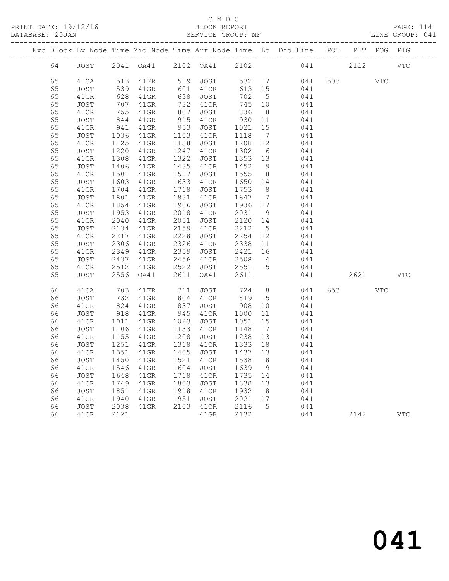# C M B C

|  |    | -------------------- |                 |                                                 |           |           |         |                 |                                                                                |         |           |            |
|--|----|----------------------|-----------------|-------------------------------------------------|-----------|-----------|---------|-----------------|--------------------------------------------------------------------------------|---------|-----------|------------|
|  |    |                      |                 |                                                 |           |           |         |                 | Exc Block Lv Node Time Mid Node Time Arr Node Time Lo Dhd Line POT PIT POG PIG |         |           |            |
|  | 64 |                      |                 |                                                 |           |           |         |                 | JOST 2041 OA41 2102 OA41 2102 041 2112 VTC                                     |         |           |            |
|  | 65 | 410A                 | 513             | 41FR 519 JOST<br>41GR 601 41CR<br>41GR 638 JOST |           |           |         |                 | 532 7 041                                                                      | 503 VTC |           |            |
|  | 65 | JOST                 |                 |                                                 |           |           |         | 613 15          | 041                                                                            |         |           |            |
|  | 65 | 41CR                 | 539<br>628      | 41GR                                            |           | 638 JOST  | 702     |                 | 5 <sub>1</sub><br>041                                                          |         |           |            |
|  | 65 | JOST                 | 707             | 41GR                                            |           | 732 41CR  | 745     |                 | 10<br>041                                                                      |         |           |            |
|  | 65 | 41CR                 | 755             | 41GR                                            | 807       | JOST      | 836     | 8 <sup>8</sup>  | 041                                                                            |         |           |            |
|  | 65 | JOST                 | 844<br>941      | $41$ GR                                         |           | 915 41CR  | 930 11  |                 | 041                                                                            |         |           |            |
|  | 65 | 41CR                 |                 | 41GR                                            | $-2$ $-3$ | JOST      | 1021    |                 | 15<br>041                                                                      |         |           |            |
|  | 65 | JOST                 | 1036            | 41GR                                            |           | 1103 41CR | 1118    |                 | $7\overline{ }$<br>041                                                         |         |           |            |
|  | 65 | 41CR                 | 1125            | 41GR                                            | 1138      | JOST      | 1208 12 |                 | 041                                                                            |         |           |            |
|  | 65 | JOST                 | 1220            | 41GR                                            |           | 1247 41CR | 1302    | 6               | 041                                                                            |         |           |            |
|  | 65 | 41CR                 | 1308            | 41GR                                            | 1322      | JOST      | 1353 13 |                 | 041                                                                            |         |           |            |
|  | 65 | JOST                 | 1406            | 41GR                                            |           | 1435 41CR | 1452    |                 | 9<br>041                                                                       |         |           |            |
|  | 65 | 41CR                 | 1501            | 41GR                                            | 1517      | JOST      |         |                 | 1555 8 041                                                                     |         |           |            |
|  | 65 | JOST                 | 1603            | $41$ GR                                         |           | 1633 41CR | 1650 14 |                 | 041                                                                            |         |           |            |
|  | 65 | 41CR                 | 1704            | 41GR                                            | 1718      | JOST      | 1753 8  |                 | 041                                                                            |         |           |            |
|  | 65 | JOST                 | 1801            | $41$ GR                                         | 1831      | 41CR      |         |                 | 1847 7<br>041                                                                  |         |           |            |
|  | 65 | 41CR                 | 1854            | 41GR                                            | 1906      | JOST      |         |                 | 1936 17 041                                                                    |         |           |            |
|  | 65 | JOST                 | 1953            | $41$ GR                                         |           | 2018 41CR | 2031    | 9               | 041                                                                            |         |           |            |
|  | 65 | 41CR                 | 2040            | 41GR                                            | 2051      | JOST      | 2120 14 |                 | 041                                                                            |         |           |            |
|  | 65 | JOST                 | 2134            | $41$ GR                                         |           | 2159 41CR | 2212    |                 | 5 <sup>1</sup><br>041                                                          |         |           |            |
|  | 65 | 41CR                 | 2217            | 41GR                                            | 2228      | JOST      | 2254    |                 | 12 and $\overline{a}$<br>041                                                   |         |           |            |
|  | 65 | JOST                 | 2306            | $41$ GR                                         |           | 2326 41CR | 2338    |                 | 11 041                                                                         |         |           |            |
|  | 65 | 41CR                 | 2349            | 41GR                                            | 2359      | JOST      | 2421    | 16              | 041                                                                            |         |           |            |
|  | 65 | JOST                 | 2437            | 41GR                                            |           | 2456 41CR |         |                 | $2508$ 4 041                                                                   |         |           |            |
|  | 65 | 41CR                 | 2512            | 41GR                                            | 2522      | JOST      |         |                 | 2551 5 041                                                                     |         |           |            |
|  | 65 | JOST                 | 2556            | OA41                                            | 2611      | OA41      | 2611    |                 | 041                                                                            |         | 2621 2002 | <b>VTC</b> |
|  | 66 | 410A                 | 703             | 41FR                                            |           | 711 JOST  |         |                 | 724 8<br>041                                                                   | 653 66  | VTC       |            |
|  | 66 | JOST                 | 732             | $41$ GR                                         |           | 804 41CR  | 819 5   |                 | 041                                                                            |         |           |            |
|  | 66 | 41CR                 | 824             | 41GR                                            | 837       | JOST      | 908     | 10              | 041                                                                            |         |           |            |
|  | 66 | JOST                 | $918$<br>$1011$ | 41GR                                            | 945       | 41CR      | 1000    | 11              | 041                                                                            |         |           |            |
|  | 66 | 41CR                 |                 | 41GR                                            | 1023      | JOST      | 1051    | 15              | 041                                                                            |         |           |            |
|  | 66 | JOST                 | 1106            | 41GR                                            | 1133      | 41CR      |         |                 | 1148 7<br>041                                                                  |         |           |            |
|  | 66 | 41CR                 | 1155            | $41$ GR                                         | 1208      | JOST      | 1238 13 |                 | 041                                                                            |         |           |            |
|  | 66 | JOST                 |                 | 1251 41GR<br>1351 41GR                          |           | 1318 41CR | 1333 18 |                 | 041                                                                            |         |           |            |
|  | 66 | 41CR                 |                 |                                                 |           | 1405 JOST | 1437 13 |                 | 041                                                                            |         |           |            |
|  |    |                      |                 |                                                 |           |           |         |                 | 66 JOST 1450 41GR 1521 41CR 1538 8 041                                         |         |           |            |
|  | 66 | 41CR                 | 1546            | 41GR                                            | 1604      | JOST      | 1639    | $\overline{9}$  | 041                                                                            |         |           |            |
|  | 66 | JOST                 | 1648            | $41$ GR                                         | 1718      | 41CR      | 1735 14 |                 | 041                                                                            |         |           |            |
|  | 66 | 41CR                 | 1749            | 41GR                                            | 1803      | JOST      | 1838    | 13              | 041                                                                            |         |           |            |
|  | 66 | JOST                 | 1851            | 41GR                                            | 1918      | 41CR      | 1932    | 8 <sup>8</sup>  | 041                                                                            |         |           |            |
|  | 66 | 41CR                 | 1940            | $41$ GR                                         | 1951      | JOST      | 2021    | 17              | 041                                                                            |         |           |            |
|  | 66 | JOST                 | 2038            | $41$ GR                                         | 2103      | 41CR      | 2116    | $5\overline{)}$ | 041                                                                            |         |           |            |
|  | 66 | 41CR                 | 2121            |                                                 |           | $41$ GR   | 2132    |                 | 041                                                                            | 2142    |           | <b>VTC</b> |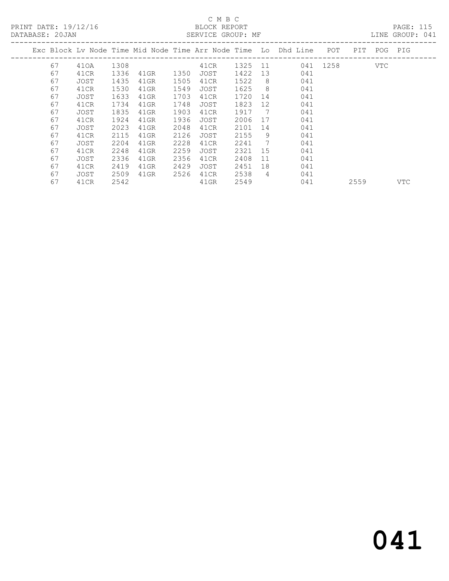# C M B C<br>BLOCK REPORT

| DATABASE: 20JAN |    |      |      |         |      | SERVICE GROUP: MF |         |     |                                                                    |          |             | LINE GROUP: 041 |  |
|-----------------|----|------|------|---------|------|-------------------|---------|-----|--------------------------------------------------------------------|----------|-------------|-----------------|--|
|                 |    |      |      |         |      |                   |         |     | Exc Block Lv Node Time Mid Node Time Arr Node Time Lo Dhd Line POT |          | PIT POG PIG |                 |  |
|                 | 67 | 410A | 1308 |         |      | 41CR              | 1325 11 |     |                                                                    | 041 1258 | VTC         |                 |  |
|                 | 67 | 41CR | 1336 | 41GR    | 1350 | JOST              | 1422 13 |     | 041                                                                |          |             |                 |  |
|                 | 67 | JOST | 1435 | 41GR    | 1505 | 41CR              | 1522    | -8  | 041                                                                |          |             |                 |  |
|                 | 67 | 41CR | 1530 | 41GR    | 1549 | JOST              | 1625    | - 8 | 041                                                                |          |             |                 |  |
|                 | 67 | JOST | 1633 | $41$ GR | 1703 | 41CR              | 1720    | 14  | 041                                                                |          |             |                 |  |
|                 | 67 | 41CR | 1734 | 41GR    | 1748 | JOST              | 1823    | 12  | 041                                                                |          |             |                 |  |
|                 | 67 | JOST | 1835 | 41GR    | 1903 | 41CR              | 1917    | 7   | 041                                                                |          |             |                 |  |
|                 | 67 | 41CR | 1924 | 41GR    | 1936 | JOST              | 2006    | 17  | 041                                                                |          |             |                 |  |
|                 | 67 | JOST | 2023 | 41GR    | 2048 | 41CR              | 2101    | 14  | 041                                                                |          |             |                 |  |
|                 | 67 | 41CR | 2115 | $41$ GR | 2126 | JOST              | 2155    | -9  | 041                                                                |          |             |                 |  |
|                 | 67 | JOST | 2204 | 41GR    | 2228 | 41CR              | 2241    | 7   | 041                                                                |          |             |                 |  |
|                 | 67 | 41CR | 2248 | $41$ GR | 2259 | JOST              | 2321    | 15  | 041                                                                |          |             |                 |  |
|                 | 67 | JOST | 2336 | 41GR    | 2356 | 41CR              | 2408    | 11  | 041                                                                |          |             |                 |  |
|                 | 67 | 41CR | 2419 | 41GR    | 2429 | JOST              | 2451 18 |     | 041                                                                |          |             |                 |  |

67 41CR 2542 41GR 2549 041 2559 VTC

67 JOST 2509 41GR 2526 41CR 2538 4 041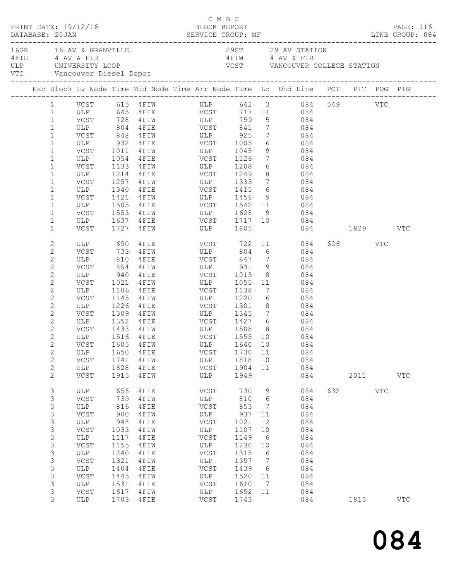|  | DATABASE: 20JAN                                                                                                                                                                                                                                                                              | PRINT DATE: 19/12/16                                                                                                                                |                                                                                                                 |                                                                                                                                                                                                                             | C M B C<br>BLOCK REPORT                                                                                       |                                                                                                                  |                                                                                       | DATABASE: 20JAN SERVICE GROUP: MF LINE GROUP: 084                                                                                                                                                                                                                     |          |                      | PAGE: 116  |  |
|--|----------------------------------------------------------------------------------------------------------------------------------------------------------------------------------------------------------------------------------------------------------------------------------------------|-----------------------------------------------------------------------------------------------------------------------------------------------------|-----------------------------------------------------------------------------------------------------------------|-----------------------------------------------------------------------------------------------------------------------------------------------------------------------------------------------------------------------------|---------------------------------------------------------------------------------------------------------------|------------------------------------------------------------------------------------------------------------------|---------------------------------------------------------------------------------------|-----------------------------------------------------------------------------------------------------------------------------------------------------------------------------------------------------------------------------------------------------------------------|----------|----------------------|------------|--|
|  |                                                                                                                                                                                                                                                                                              | 16GR 16 AV & GRANVILLE<br>4 FIE 4 AV & FIR<br>VTC Vancouver Diesel Depot                                                                            |                                                                                                                 | ULP UNIVERSITY LOOP                                                                                                                                                                                                         |                                                                                                               |                                                                                                                  |                                                                                       | 29ST 29 AV STATION<br>4 FIW 4 AV & FIR<br>VCST VANCOUVER COLLEGE STATION                                                                                                                                                                                              |          |                      |            |  |
|  |                                                                                                                                                                                                                                                                                              |                                                                                                                                                     |                                                                                                                 |                                                                                                                                                                                                                             |                                                                                                               |                                                                                                                  |                                                                                       | Exc Block Lv Node Time Mid Node Time Arr Node Time Lo Dhd Line POT PIT POG PIG                                                                                                                                                                                        |          |                      |            |  |
|  | $\mathbf{1}$<br>$\mathbf{1}$<br>$\mathbf 1$<br>$\mathbf{1}$<br>$\mathbf 1$<br>$\mathbf 1$<br>$\mathbf 1$<br>$\mathbf{1}$<br>$\mathbf 1$<br>$\mathbf 1$                                                                                                                                       | ULP<br>ULP                                                                                                                                          | 1054<br>1340                                                                                                    | VCST 728 4FIW ULP<br>ULP 804 4FIE VCST 841<br>VCST 848 4FIW ULP 925<br>ULP 932 4FIE VCST 1005<br>VCST 1011 4FIW ULP 1045<br>4FIE VCST 1126<br>VCST 1133 4FIW ULP 1208<br>ULP 1214 4FIE VCST 1249<br>VCST 1257 4FIW ULP 1333 |                                                                                                               | 759                                                                                                              | $7\overline{ }$<br>8 <sup>8</sup>                                                     | 1  VCST  615  4FIW  ULP  642  3  084  549  VTC<br>1  ULP  645  4FIE  VCST  717  11  084<br>5 084<br>7 084<br>$\begin{array}{ccc} 7 & \quad & 084 \\ 6 & \quad & 084 \end{array}$<br>9 084<br>7 084<br>$6\overline{6}$<br>084<br>084<br>7 084<br>4 FIE VCST 1415 6 084 |          |                      |            |  |
|  | $\mathbf 1$<br>$\mathbf{1}$<br>$\mathbf 1$<br>$\mathbf 1$<br>$\mathbf 1$                                                                                                                                                                                                                     | VCST<br>VCST<br>VCST                                                                                                                                | 1421                                                                                                            | ULP 1505 4FIE<br>1727 4FIW                                                                                                                                                                                                  | 4FIW ULP 1456 9<br>4FIE VCST 1542 11<br>ULP 1805                                                              |                                                                                                                  |                                                                                       | 084<br>084<br>9 084                                                                                                                                                                                                                                                   | 084 1829 |                      | VTC        |  |
|  | $\mathbf{2}$<br>$\mathbf{2}$<br>$\mathbf{2}$<br>$\mathbf{2}$<br>$\mathbf{2}$<br>$\mathbf{2}$<br>$\mathbf{2}$<br>$\mathbf{2}$<br>$\mathbf{2}$<br>$\mathbf{2}$<br>$\mathbf{2}$<br>$\mathbf{2}$<br>$\mathbf{2}$<br>$\mathbf{2}$<br>$\mathbf{2}$<br>$\mathbf{2}$<br>$\mathbf{2}$<br>$\mathbf{2}$ | ULP<br>VCST 854 4FIW<br>ULP 940 4FIE<br>VCST<br>ULP<br>VCST<br>ULP<br>VCST<br>VCST<br>VCSI 1999 FEIN<br>ULP 1516 4FIE<br>ULP<br>VCST<br>ULP<br>VCST | 810<br>1106<br>1650<br>1741<br>1828<br>1915                                                                     | ULP 650 4FIE<br>VCST 733 4FIW<br>4FIE<br>$4$ $F$ $I$ $W$<br>1021 4FIW ULP 1055<br>$4$ F I E<br>1145    4FIW<br>1226 4FIE<br>1433 4FIW<br>4FIE<br>4FIW<br>4FIE<br>4FIW                                                       | ULP<br>VCST 847<br>ULP 931<br>VCST 1013<br>VCST<br>ULP 1220<br>$VCST$ 1301 8<br>VCST<br>ULP<br>VCST<br>ULP    | 931<br>1138<br>1730 11<br>1818<br>1904<br>1949                                                                   | $7\overline{ }$<br>9<br>$6\overline{6}$<br>10<br>11                                   | VCST 722 11 084<br>804 6 084<br>084<br>084<br>$\begin{array}{c c} 8 & 084 \end{array}$<br>11 084<br>7<br>084<br>084<br>084<br>1309 4FIW ULP 1345 7 084<br>ULP 1508 8 084<br>VCST 1555 10 084<br>VCST 1605 4FIW ULP 1640 10 084<br>084<br>084<br>084<br>084            |          | 626 VTC<br>2011 2012 | VTC        |  |
|  | 3<br>3<br>3<br>3<br>$\mathsf 3$<br>$\mathsf 3$<br>$\mathsf 3$<br>3<br>$\mathsf S$<br>$\mathsf S$<br>$\mathsf 3$<br>3<br>3<br>3<br>3                                                                                                                                                          | ULP<br>VCST<br>ULP<br>VCST<br>ULP<br>VCST<br>ULP<br>VCST<br>ULP<br>VCST<br>ULP<br>VCST<br><b>ULP</b><br>VCST<br>ULP                                 | 656<br>739<br>816<br>900<br>948<br>1033<br>1117<br>1155<br>1240<br>1321<br>1404<br>1445<br>1531<br>1617<br>1703 | 4FIE<br>4FIW<br>4FIE<br>4FIW<br>4FIE<br>4FIW<br>4FIE<br>4FIW<br>4FIE<br>4FIW<br>4FIE<br>4FIW<br>4FIE<br>4FIW<br>4FIE                                                                                                        | VCST<br>ULP<br>VCST<br>ULP<br>VCST<br>ULP<br>VCST<br>ULP<br>VCST<br>ULP<br>VCST<br>ULP<br>VCST<br>ULP<br>VCST | 730<br>810<br>853<br>937<br>1021<br>1107<br>1149<br>1230<br>1315<br>1357<br>1439<br>1520<br>1610<br>1652<br>1743 | 9<br>6<br>7<br>11<br>12<br>10<br>6<br>10<br>6<br>$\overline{7}$<br>6<br>11<br>7<br>11 | 084<br>084<br>084<br>084<br>084<br>084<br>084<br>084<br>084<br>084<br>084<br>084<br>084<br>084<br>084                                                                                                                                                                 |          | 632 VTC<br>1810      | <b>VTC</b> |  |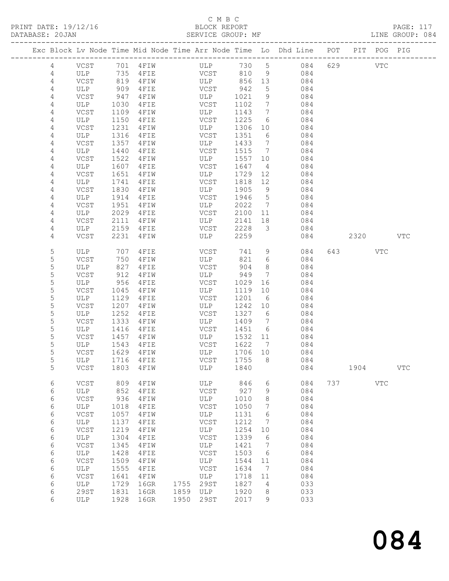PRINT DATE: 19/12/16 BLOCK REPORT BLOCK REPORT DATABASE: 20J<br>-------------

# C M B C<br>BLOCK REPORT

| DATABASE: 20JAN |                |             |      |                      | SERVICE GROUP: MF                                                              |                          |                 |                               |     |      |            | LINE GROUP: 084 |  |
|-----------------|----------------|-------------|------|----------------------|--------------------------------------------------------------------------------|--------------------------|-----------------|-------------------------------|-----|------|------------|-----------------|--|
|                 |                |             |      |                      | Exc Block Lv Node Time Mid Node Time Arr Node Time Lo Dhd Line POT PIT POG PIG |                          |                 |                               |     |      |            |                 |  |
|                 | $\overline{4}$ | VCST        |      | 701 4FIW             | <b>ULP</b>                                                                     | 730                      |                 | $5 \quad \cdots$<br>084       |     | 629  | <b>VTC</b> |                 |  |
|                 | 4              | ULP         | 735  | 4 F I E              | VCST                                                                           | 810                      | 9               | 084                           |     |      |            |                 |  |
|                 | 4              | VCST        | 819  | 4 F I W              | ULP                                                                            | 856                      | 13              | 084                           |     |      |            |                 |  |
|                 | 4              | ULP         | 909  | 4FIE                 | VCST                                                                           | 942                      | 5               | 084                           |     |      |            |                 |  |
|                 | 4              | VCST        | 947  | 4 F I W              | ULP                                                                            | 1021                     | 9               | 084                           |     |      |            |                 |  |
|                 | 4              | ULP         | 1030 | 4FIE                 | VCST                                                                           | 1102                     | $7\overline{ }$ | 084                           |     |      |            |                 |  |
|                 | 4              | VCST        | 1109 | 4 F I W              | ULP                                                                            | 1143                     | $7\overline{ }$ | 084                           |     |      |            |                 |  |
|                 | 4              | ULP         | 1150 | 4FIE                 | VCST                                                                           | 1225                     | 6               | 084                           |     |      |            |                 |  |
|                 | 4              | <b>VCST</b> | 1231 | 4FIW                 | ULP                                                                            | 1306                     | 10              | 084                           |     |      |            |                 |  |
|                 | 4              | ULP         | 1316 | 4FIE                 | VCST                                                                           | 1351                     | 6               | 084                           |     |      |            |                 |  |
|                 | 4              | VCST        | 1357 | 4FIW                 | ULP                                                                            | 1433                     | $7\phantom{.0}$ | 084                           |     |      |            |                 |  |
|                 | 4              | ULP         | 1440 | 4 F I E              | VCST                                                                           | 1515                     | $7\overline{ }$ | 084                           |     |      |            |                 |  |
|                 | 4              | VCST        | 1522 | 4FIW                 | ULP                                                                            | 1557                     | 10              | 084                           |     |      |            |                 |  |
|                 | 4              | ULP         | 1607 | 4FIE                 | VCST                                                                           | 1647                     | $\overline{4}$  | 084                           |     |      |            |                 |  |
|                 | 4              | VCST        | 1651 | 4FIW                 | ULP                                                                            | 1729                     | 12              | 084                           |     |      |            |                 |  |
|                 | 4              | ULP         | 1741 | 4FIE                 | VCST                                                                           | 1818                     | 12              | 084                           |     |      |            |                 |  |
|                 | 4              | VCST        | 1830 | 4FIW                 | ULP                                                                            | 1905                     | 9               | 084                           |     |      |            |                 |  |
|                 | 4              | ULP         | 1914 | 4FIE                 | VCST                                                                           | 1946                     | $5\phantom{.}$  | 084                           |     |      |            |                 |  |
|                 | 4              | VCST        | 1951 | 4FIW                 | ULP                                                                            | 2022                     | $7\phantom{.0}$ | 084                           |     |      |            |                 |  |
|                 | 4              | ULP         | 2029 | 4 F I E              | VCST                                                                           | 2100                     | 11              | 084                           |     |      |            |                 |  |
|                 | 4              | VCST        | 2111 | 4 F I W              | ULP                                                                            | 2141                     | 18              | 084                           |     |      |            |                 |  |
|                 | 4              | ULP         | 2159 | 4 F I E              | VCST                                                                           | 2228                     | 3               | 084                           |     |      |            |                 |  |
|                 | 4              | VCST        | 2231 | 4FIW                 | ULP                                                                            | 2259                     |                 | 084                           |     | 2320 |            | <b>VTC</b>      |  |
|                 | 5              | ULP         |      | 707 4FIE             | VCST                                                                           | 741                      | 9               | 084                           | 643 |      | <b>VTC</b> |                 |  |
|                 | 5              | VCST        | 750  | 4 F I W              | ULP                                                                            | 821                      | 6               | 084                           |     |      |            |                 |  |
|                 |                | T T T T     |      | $0.07$ $1.77$ $1.77$ | $\tau \tau \cap \cap \mathfrak{m}$                                             | $\bigcap_{n=1}^{\infty}$ |                 | $\bigcap$ $\bigcap$ $\bigcap$ |     |      |            |                 |  |

| 5           | <b>ULP</b>  | 707  | 4FIE |      | <b>VCST</b> | 741  | 9     | 084 | 643 |      | <b>VTC</b> |            |
|-------------|-------------|------|------|------|-------------|------|-------|-----|-----|------|------------|------------|
| 5           | <b>VCST</b> | 750  | 4FIW |      | ULP         | 821  | 6     | 084 |     |      |            |            |
| $\mathsf S$ | ULP         | 827  | 4FIE |      | VCST        | 904  | 8     | 084 |     |      |            |            |
| 5           | VCST        | 912  | 4FIW |      | ULP         | 949  | 7     | 084 |     |      |            |            |
| 5           | <b>ULP</b>  | 956  | 4FIE |      | VCST        | 1029 | 16    | 084 |     |      |            |            |
| 5           | <b>VCST</b> | 1045 | 4FIW |      | ULP         | 1119 | 10    | 084 |     |      |            |            |
| 5           | <b>ULP</b>  | 1129 | 4FIE |      | VCST        | 1201 | 6     | 084 |     |      |            |            |
| 5           | VCST        | 1207 | 4FIW |      | ULP         | 1242 | 10    | 084 |     |      |            |            |
| 5           | <b>ULP</b>  | 1252 | 4FIE |      | VCST        | 1327 | $6\,$ | 084 |     |      |            |            |
| 5           | <b>VCST</b> | 1333 | 4FIW |      | ULP         | 1409 | 7     | 084 |     |      |            |            |
| 5           | <b>ULP</b>  | 1416 | 4FIE |      | VCST        | 1451 | 6     | 084 |     |      |            |            |
| 5           | <b>VCST</b> | 1457 | 4FIW |      | ULP         | 1532 | 11    | 084 |     |      |            |            |
| 5           | ULP         | 1543 | 4FIE |      | VCST        | 1622 | 7     | 084 |     |      |            |            |
| 5           | <b>VCST</b> | 1629 | 4FIW |      | ULP         | 1706 | 10    | 084 |     |      |            |            |
| 5           | <b>ULP</b>  | 1716 | 4FIE |      | VCST        | 1755 | 8     | 084 |     |      |            |            |
| 5           | <b>VCST</b> | 1803 | 4FIW |      | ULP         | 1840 |       | 084 |     | 1904 |            | <b>VTC</b> |
|             |             |      |      |      |             |      |       |     |     |      |            |            |
| 6           | VCST        | 809  | 4FIW |      | ULP         | 846  | 6     | 084 | 737 |      | VTC        |            |
| 6           | <b>ULP</b>  | 852  | 4FIE |      | VCST        | 927  | 9     | 084 |     |      |            |            |
| 6           | VCST        | 936  | 4FIW |      | ULP         | 1010 | 8     | 084 |     |      |            |            |
| 6           | <b>ULP</b>  | 1018 | 4FIE |      | VCST        | 1050 | 7     | 084 |     |      |            |            |
| 6           | <b>VCST</b> | 1057 | 4FIW |      | ULP         | 1131 | 6     | 084 |     |      |            |            |
| 6           | <b>ULP</b>  | 1137 | 4FIE |      | <b>VCST</b> | 1212 | 7     | 084 |     |      |            |            |
| 6           | <b>VCST</b> | 1219 | 4FIW |      | ULP         | 1254 | 10    | 084 |     |      |            |            |
| 6           | <b>ULP</b>  | 1304 | 4FIE |      | VCST        | 1339 | 6     | 084 |     |      |            |            |
| 6           | VCST        | 1345 | 4FIW |      | ULP         | 1421 | 7     | 084 |     |      |            |            |
| 6           | ULP         | 1428 | 4FIE |      | VCST        | 1503 | 6     | 084 |     |      |            |            |
| 6           | VCST        | 1509 | 4FIW |      | ULP         | 1544 | 11    | 084 |     |      |            |            |
| 6           | <b>ULP</b>  | 1555 | 4FIE |      | VCST        | 1634 | 7     | 084 |     |      |            |            |
| 6           | <b>VCST</b> | 1641 | 4FIW |      | ULP         | 1718 | 11    | 084 |     |      |            |            |
| 6           | ULP         | 1729 | 16GR | 1755 | 29ST        | 1827 | 4     | 033 |     |      |            |            |
| 6           | 29ST        | 1831 | 16GR | 1859 | ULP         | 1920 | 8     | 033 |     |      |            |            |
| 6           | <b>ULP</b>  | 1928 | 16GR | 1950 | <b>29ST</b> | 2017 | 9     | 033 |     |      |            |            |
|             |             |      |      |      |             |      |       |     |     |      |            |            |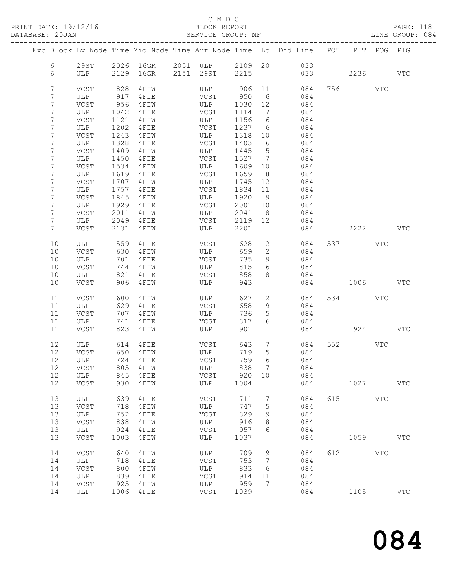# C M B C

| DATABASE: 20JAN |                   |         |      | SERVICE GROUP: MF |             |         |                              |                                                                                |         |              | LINE GROUP: 084 |
|-----------------|-------------------|---------|------|-------------------|-------------|---------|------------------------------|--------------------------------------------------------------------------------|---------|--------------|-----------------|
|                 |                   |         |      |                   |             |         |                              | Exc Block Lv Node Time Mid Node Time Arr Node Time Lo Dhd Line POT PIT POG PIG |         |              |                 |
|                 | 6                 |         |      |                   |             |         |                              | 29ST 2026 16GR 2051 ULP 2109 20 033                                            |         |              |                 |
|                 | 6                 |         |      |                   |             |         |                              | ULP 2129 16GR 2151 29ST 2215 033 2236 VTC                                      |         |              |                 |
|                 | $7\overline{ }$   | VCST    | 828  | 4 F I W           |             |         |                              | ULP 906 11 084                                                                 | 756 VTC |              |                 |
|                 | 7                 | ULP     | 917  | 4FIE              | VCST 950    |         | 6                            | 084                                                                            |         |              |                 |
|                 | 7                 | VCST    | 956  | 4 F I W           | <b>ULP</b>  | 1030 12 |                              | 084                                                                            |         |              |                 |
|                 | 7                 | ULP     | 1042 | $4$ FIE           | VCST        | 1114    | $7\overline{ }$              | 084                                                                            |         |              |                 |
|                 | 7                 | VCST    | 1121 | 4 F I W           | ULP         | 1156 6  |                              | 084                                                                            |         |              |                 |
|                 | 7                 | ULP     | 1202 | $4$ FIE           | VCST        | 1237 6  |                              | 084                                                                            |         |              |                 |
|                 | 7                 | VCST    | 1243 | 4 F I W           | <b>ULP</b>  | 1318 10 |                              | 084                                                                            |         |              |                 |
|                 | 7                 | ULP     | 1328 | $4$ FIE           | VCST        | 1403    | 6                            | 084                                                                            |         |              |                 |
|                 | 7                 | VCST    | 1409 | 4 F I W           | ULP         | 1445 5  |                              | 084                                                                            |         |              |                 |
|                 | 7                 | ULP     | 1450 | 4FIE              | VCST        | 1527 7  |                              | 084                                                                            |         |              |                 |
|                 | 7                 | VCST    | 1534 | 4 F I W           | <b>ULP</b>  | 1609    | 10                           | 084                                                                            |         |              |                 |
|                 | 7                 | ULP     | 1619 | $4$ FIE           | VCST        | 1659    | 8 <sup>8</sup>               | 084                                                                            |         |              |                 |
|                 | 7                 | VCST    | 1707 | $4 F I W$         | ULP         | 1745 12 |                              | 084                                                                            |         |              |                 |
|                 | 7                 | ULP     | 1757 | $4$ FIE           | VCST        | 1834 11 |                              | 084                                                                            |         |              |                 |
|                 | 7                 | VCST    | 1845 | $4$ FIW           | <b>ULP</b>  | 1920    | 9                            | 084                                                                            |         |              |                 |
|                 | 7                 | ULP     | 1929 | $4$ FIE           | VCST        | 2001    | 10                           | 084                                                                            |         |              |                 |
|                 | 7                 | VCST    | 2011 | 4 F I W           | ULP         | 2041    | 8 <sup>8</sup>               | 084                                                                            |         |              |                 |
|                 | $7\phantom{.}$    | ULP     | 2049 | 4 F I E           | VCST        | 2119 12 |                              | 084                                                                            |         |              |                 |
|                 | $7\phantom{.}$    | VCST    | 2131 | 4 F I W           | ULP         | 2201    |                              | 084                                                                            |         | 2222         | <b>VTC</b>      |
|                 | 10                | ULP 559 |      | 4FIE              | VCST        | 628     | $2^{\circ}$                  | 084                                                                            | 537 VTC |              |                 |
|                 | 10                | VCST    | 630  | 4 F I W           | ULP         | 659     | $\overline{2}$               | 084                                                                            |         |              |                 |
|                 | 10                | ULP     | 701  | 4FIE              | VCST        | 735     | 9                            | 084                                                                            |         |              |                 |
|                 | 10                | VCST    | 744  | $4$ FIW           | ULP         | 815     | 6                            | 084                                                                            |         |              |                 |
|                 | 10                | ULP     | 821  | 4FIE              | VCST        | 858     | 8                            | 084                                                                            |         |              |                 |
|                 | 10                | VCST    | 906  | 4 F I W           | ULP         | 943     |                              | 084                                                                            | 1006    |              | VTC             |
|                 | 11                | VCST    | 600  | 4 F I W           | ULP         | 627     | $\overline{2}$               | 084                                                                            | 534 VTC |              |                 |
|                 | 11                | ULP     | 629  | $4$ FIE           | VCST        | 658     | 9                            | 084                                                                            |         |              |                 |
|                 | 11                | VCST    | 707  | 4 F I W           | ULP         | 736     | 5 <sup>5</sup>               | 084                                                                            |         |              |                 |
|                 | 11                | ULP     | 741  | 4FIE              | VCST        | 817     | 6                            | 084                                                                            |         |              |                 |
|                 | 11                | VCST    | 823  | 4 F I W           | ULP         | 901     |                              |                                                                                |         | 924 VTC      |                 |
|                 | $12 \overline{ }$ | ULP 614 |      | 4 F I E           |             | 643     | $7\overline{ }$              | 084                                                                            | 552 VTC |              |                 |
|                 | 12                | VCST    |      | 650 4FIW          | VCST<br>ULP | 719     | 5                            | 084                                                                            |         |              |                 |
|                 |                   | 12 ULP  |      | 724 4FIE VCST     |             |         |                              | 759 6 084                                                                      |         |              |                 |
|                 | 12                | VCST    | 805  | 4 F I W           | ULP         | 838     | $\overline{7}$               | 084                                                                            |         |              |                 |
|                 | 12                | ULP     | 845  | 4FIE              | VCST        | 920     | 10                           | 084                                                                            |         |              |                 |
|                 | 12                | VCST    | 930  | 4FIW              | ULP         | 1004    |                              | 084                                                                            |         | 1027         | <b>VTC</b>      |
|                 | 13                | ULP     | 639  | 4FIE              | VCST        | 711     | 7                            | 084                                                                            | 615 VTC |              |                 |
|                 | 13                | VCST    | 718  | 4FIW              | ULP         | 747     | $5\phantom{.0}$              | 084                                                                            |         |              |                 |
|                 | 13                | ULP     | 752  | 4FIE              | VCST        | 829     | 9                            | 084                                                                            |         |              |                 |
|                 | 13                | VCST    | 838  | 4FIW              | ULP         | 916     | 8                            | 084                                                                            |         |              |                 |
|                 | 13                | ULP     | 924  | 4FIE              | VCST        | 957     | 6                            | 084                                                                            |         |              |                 |
|                 | 13                | VCST    | 1003 | 4FIW              | ULP         | 1037    |                              | 084                                                                            | 1059    |              | $_{\rm VTC}$    |
|                 | 14                | VCST    | 640  | 4FIW              | ULP         | 709     | 9                            | 084                                                                            | 612     | $_{\rm VTC}$ |                 |
|                 | 14                | ULP     | 718  | 4FIE              | VCST        | 753     | $7\phantom{.0}\phantom{.0}7$ | 084                                                                            |         |              |                 |
|                 | 14                | VCST    | 800  | 4FIW              | ULP         | 833     | 6                            | 084                                                                            |         |              |                 |
|                 | 14                | ULP     | 839  | 4FIE              | VCST        | 914     | 11                           | 084                                                                            |         |              |                 |
|                 | 14                | VCST    | 925  | 4FIW              | ULP         | 959     | $7\phantom{.0}$              | 084                                                                            |         |              |                 |
|                 | 14                | ULP     | 1006 | 4FIE              | VCST        | 1039    |                              | 084                                                                            | 1105    |              | $_{\rm VTC}$    |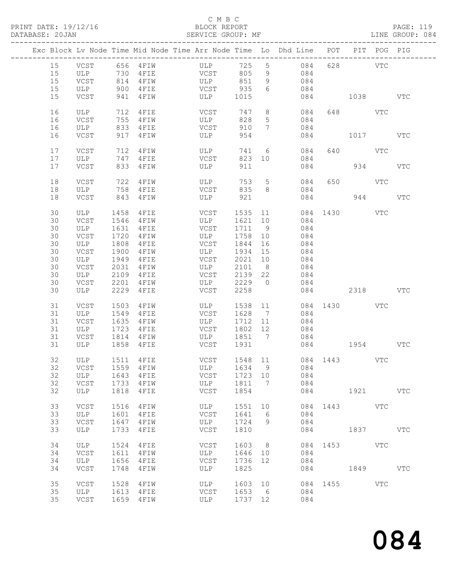# C M B C<br>BLOCK REPORT

|    |             |      |                   |             |                     |                 | Exc Block Lv Node Time Mid Node Time Arr Node Time Lo Dhd Line POT PIT POG PIG |              |           |              |              |
|----|-------------|------|-------------------|-------------|---------------------|-----------------|--------------------------------------------------------------------------------|--------------|-----------|--------------|--------------|
| 15 |             |      | VCST 656 4FIW ULP |             |                     |                 | 725 5 084                                                                      |              | 628 VTC   |              |              |
| 15 |             |      |                   | VCST<br>ULP |                     | 9               | 084                                                                            |              |           |              |              |
| 15 |             |      |                   |             | VCST 805<br>ULP 851 | 9               | 084                                                                            |              |           |              |              |
| 15 | ULP         |      | 900 4FIE          |             | VCST 935            | 6               | 084                                                                            |              |           |              |              |
| 15 | VCST        |      | 941 4FIW          |             | ULP 1015            |                 |                                                                                | 084 1038     |           |              | <b>VTC</b>   |
| 16 | ULP         | 712  | 4 F I E           | VCST        | 747                 |                 | 8<br>084                                                                       |              | 648   100 | VTC          |              |
| 16 | VCST        | 755  | 4 F I W           | ULP         | 828                 | 5 <sup>5</sup>  | 084                                                                            |              |           |              |              |
| 16 | ULP         | 833  | $4$ FIE           | VCST        | 910                 | $7\phantom{0}$  | 084                                                                            |              |           |              |              |
| 16 | VCST        | 917  | 4 F I W           | ULP         | 954                 |                 |                                                                                | 084          | 1017      |              | <b>VTC</b>   |
|    |             |      |                   |             |                     |                 |                                                                                |              |           |              |              |
| 17 | VCST        |      | 712 4FIW          | ULP         | 741                 |                 | $6\overline{6}$<br>084                                                         |              | 640 VTC   |              |              |
| 17 | ULP         | 747  | $4$ FIE           | VCST        | 823 10              |                 | 084                                                                            |              |           |              |              |
| 17 | VCST        | 833  | 4 F I W           | ULP         | 911                 |                 | 084                                                                            |              |           | 934          | <b>VTC</b>   |
| 18 | VCST        | 722  | 4FIW              | <b>ULP</b>  | 753                 | $5\overline{)}$ | 084                                                                            |              | 650 000   | VTC          |              |
| 18 | ULP         | 758  | 4 F I E           | VCST        | 835                 | 8               | 084                                                                            |              |           |              |              |
| 18 | VCST        | 843  | 4 F I W           | ULP         | 921                 |                 |                                                                                | 084          |           | 944          | <b>VTC</b>   |
|    |             |      |                   |             |                     |                 |                                                                                | 084 1430 VTC |           |              |              |
| 30 | ULP         | 1458 | $4$ FIE           | VCST        | 1535 11             |                 |                                                                                |              |           |              |              |
| 30 | VCST        | 1546 | 4 F I W           | ULP         | 1621 10             |                 | 084                                                                            |              |           |              |              |
| 30 | ULP         | 1631 | 4 F I E           | VCST        | 1711                | 9               | 084                                                                            |              |           |              |              |
| 30 | VCST        | 1720 | 4FIW              | ULP         | 1758                | 10              | 084                                                                            |              |           |              |              |
| 30 | ULP         | 1808 | 4FIE              | VCST        | 1844                | 16              | 084                                                                            |              |           |              |              |
| 30 | VCST        | 1900 | 4 F I W           | ULP         | 1934                | 15              | 084                                                                            |              |           |              |              |
| 30 | ULP         | 1949 | 4FIE              | VCST        | 2021                | 10              | 084                                                                            |              |           |              |              |
| 30 | VCST        | 2031 | 4 F I W           | ULP         | 2101                | 8 <sup>8</sup>  | 084                                                                            |              |           |              |              |
| 30 | ULP         |      | 2109 4FIE         | VCST        | 2139                | 22              | 084                                                                            |              |           |              |              |
| 30 | VCST        | 2201 | 4 F I W           | ULP         | 2229                | $\overline{0}$  | 084                                                                            |              |           |              |              |
| 30 | ULP         | 2229 | 4 F I E           | VCST        | 2258                |                 |                                                                                | 084 2318 VTC |           |              |              |
|    |             |      |                   |             |                     |                 |                                                                                |              |           |              |              |
| 31 | VCST        | 1503 | 4 F I W           | ULP         | 1538 11             |                 |                                                                                | 084 1430     |           | VTC          |              |
| 31 | ULP         | 1549 | 4 F I E           | VCST        | 1628                | $\overline{7}$  | 084                                                                            |              |           |              |              |
| 31 | VCST        | 1635 | 4 F I W           | ULP         | 1712                | 11              | 084                                                                            |              |           |              |              |
| 31 | ULP         | 1723 | $4$ F I E         | VCST        | 1802                | 12              | 084                                                                            |              |           |              |              |
| 31 | VCST        |      | 1814 4FIW         | ULP         | 1851 7              |                 | 084                                                                            |              |           |              |              |
| 31 | ULP         |      | 1858 4FIE         |             | VCST 1931           |                 |                                                                                | 084 1954 VTC |           |              |              |
| 32 | ULP         |      | 1511 4FIE         | VCST        |                     |                 | 1548 11 084 1443 VTC                                                           |              |           |              |              |
|    |             |      |                   |             |                     |                 | ULP 1634 9 084                                                                 |              |           |              |              |
|    |             |      |                   |             |                     |                 |                                                                                |              |           |              |              |
| 32 | ULP         | 1643 | 4FIE              | VCST        | 1723 10             |                 | 084                                                                            |              |           |              |              |
| 32 | VCST        | 1733 | 4FIW              | ULP         | 1811                | 7               | 084                                                                            |              |           |              |              |
| 32 | ULP         | 1818 | 4FIE              | VCST        | 1854                |                 | 084                                                                            |              | 1921      |              | $_{\rm VTC}$ |
| 33 | <b>VCST</b> | 1516 | 4FIW              | ULP         | 1551                | 10              | 084                                                                            | 1443         |           | VTC          |              |
| 33 | ULP         | 1601 | 4FIE              | VCST        | 1641                | 6               | 084                                                                            |              |           |              |              |
| 33 | <b>VCST</b> | 1647 | 4FIW              | ULP         | 1724                | 9               | 084                                                                            |              |           |              |              |
| 33 | ULP         | 1733 | 4FIE              | VCST        | 1810                |                 | 084                                                                            |              | 1837      |              | <b>VTC</b>   |
|    |             |      |                   |             |                     |                 |                                                                                |              |           |              |              |
| 34 | ULP         | 1524 | 4FIE              | VCST        | 1603                | 8 <sup>8</sup>  | 084                                                                            | 1453         |           | $_{\rm VTC}$ |              |
| 34 | <b>VCST</b> | 1611 | 4FIW              | ULP         | 1646                | 10              | 084                                                                            |              |           |              |              |
| 34 | ULP         | 1656 | 4FIE              | VCST        | 1736                | 12              | 084                                                                            |              |           |              |              |
| 34 | VCST        | 1748 | 4FIW              | ULP         | 1825                |                 | 084                                                                            |              | 1849      |              | <b>VTC</b>   |
| 35 | <b>VCST</b> | 1528 | 4FIW              | ULP         | 1603                | 10              | 084                                                                            | 1455         |           | <b>VTC</b>   |              |
| 35 | ULP         | 1613 | 4 F I E           | VCST        | 1653                | 6               | 084                                                                            |              |           |              |              |
| 35 | VCST        |      | 1659 4FIW         | ULP         | 1737 12             |                 | 084                                                                            |              |           |              |              |
|    |             |      |                   |             |                     |                 |                                                                                |              |           |              |              |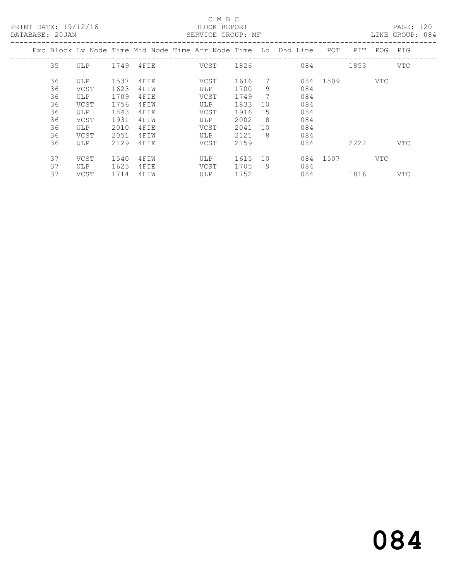C M B C<br>
PRINT DATE: 19/12/16<br>
DATABAGE: 20.IAN PRINT DATE: 19/12/16 BLOCK REPORT PAGE: 120

| DATABASE: 20JAN |    |      |      |           | SERVICE GROUP: MF |      |                 |                                                                    |          |      |     | LINE GROUP: 084 |  |
|-----------------|----|------|------|-----------|-------------------|------|-----------------|--------------------------------------------------------------------|----------|------|-----|-----------------|--|
|                 |    |      |      |           |                   |      |                 | Exc Block Ly Node Time Mid Node Time Arr Node Time Lo Dhd Line POT |          | PIT  |     | POG PIG         |  |
|                 | 35 | ULP  |      | 1749 4FIE | VCST              | 1826 |                 | 084                                                                |          | 1853 |     | VTC             |  |
|                 | 36 | ULP  | 1537 | 4FIE      | VCST              | 1616 | 7               |                                                                    | 084 1509 |      | VTC |                 |  |
|                 | 36 | VCST | 1623 | 4FIW      | ULP               | 1700 | 9               | 084                                                                |          |      |     |                 |  |
|                 | 36 | ULP  | 1709 | 4FIE      | VCST              | 1749 | $7\phantom{.0}$ | 084                                                                |          |      |     |                 |  |
|                 | 36 | VCST | 1756 | 4FIW      | ULP               | 1833 | 10              | 084                                                                |          |      |     |                 |  |
|                 | 36 | ULP  | 1843 | 4FIE      | VCST              | 1916 | 15              | 084                                                                |          |      |     |                 |  |
|                 | 36 | VCST | 1931 | 4FIW      | ULP               | 2002 | - 8             | 084                                                                |          |      |     |                 |  |
|                 | 36 | ULP  | 2010 | 4FIE      | VCST              | 2041 | 10              | 084                                                                |          |      |     |                 |  |
|                 | 36 | VCST | 2051 | 4FIW      | ULP               | 2121 | - 8             | 084                                                                |          |      |     |                 |  |
|                 | 36 | ULP  | 2129 | 4 F I E   | VCST              | 2159 |                 | 084                                                                |          | 2222 |     | VTC             |  |
|                 | 37 | VCST | 1540 | 4FIW      | ULP               | 1615 | 10              |                                                                    | 084 1507 |      | VTC |                 |  |
|                 | 37 | ULP  | 1625 | 4FIE      | VCST              | 1705 | 9               | 084                                                                |          |      |     |                 |  |
|                 | 37 | VCST | 1714 | 4FIW      | ULP               | 1752 |                 | 084                                                                |          | 1816 |     | VTC             |  |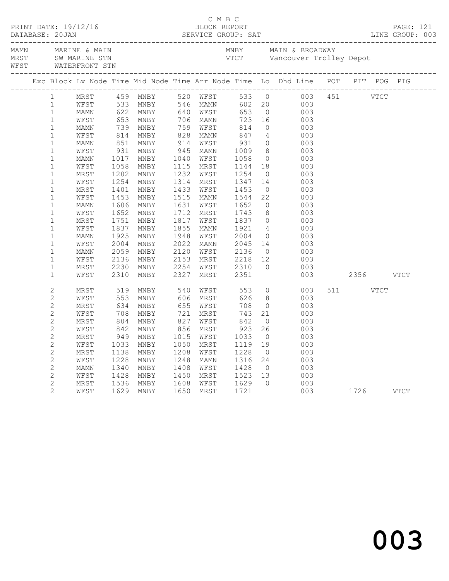|  |                   | ________________________________ |              |                      |      |                      |                                       |                |                                                                                                                                                                                                                                           |               |          |  |  |
|--|-------------------|----------------------------------|--------------|----------------------|------|----------------------|---------------------------------------|----------------|-------------------------------------------------------------------------------------------------------------------------------------------------------------------------------------------------------------------------------------------|---------------|----------|--|--|
|  |                   |                                  |              |                      |      |                      |                                       |                | Exc Block Lv Node Time Mid Node Time Arr Node Time Lo Dhd Line POT PIT POG PIG                                                                                                                                                            |               |          |  |  |
|  | $1 \qquad \qquad$ |                                  |              |                      |      |                      |                                       |                | 1 LV Node Time Mid Node Time Arr Node Time 10 Did Line POT<br>MEST<br>MEST 459 MNBY 520 WFST 533 0<br>MAMN 622 MNBY 540 WFST 533 0<br>MAMN 622 MNBY 546 WAMN 602 20 003 451<br>MAMN 739 MNBY 756 WFST 653 0<br>MAMN 739 MNBY 759 WFST 814 |               |          |  |  |
|  | $\mathbf{1}$      |                                  |              |                      |      |                      |                                       |                |                                                                                                                                                                                                                                           |               |          |  |  |
|  | $\mathbf{1}$      |                                  |              |                      |      |                      |                                       |                |                                                                                                                                                                                                                                           |               |          |  |  |
|  | $\mathbf{1}$      |                                  |              |                      |      |                      |                                       |                |                                                                                                                                                                                                                                           |               |          |  |  |
|  | $\mathbf{1}$      |                                  |              |                      |      |                      |                                       |                |                                                                                                                                                                                                                                           |               |          |  |  |
|  | $\mathbf{1}$      |                                  |              |                      |      |                      |                                       |                |                                                                                                                                                                                                                                           |               |          |  |  |
|  | $\mathbf{1}$      |                                  |              |                      |      |                      |                                       |                |                                                                                                                                                                                                                                           |               |          |  |  |
|  | $\mathbf{1}$      |                                  |              |                      |      |                      |                                       |                |                                                                                                                                                                                                                                           |               |          |  |  |
|  | $1\,$             |                                  |              |                      |      |                      |                                       |                |                                                                                                                                                                                                                                           |               |          |  |  |
|  | $\mathbf{1}$      |                                  |              |                      |      |                      |                                       |                |                                                                                                                                                                                                                                           |               |          |  |  |
|  | $1\,$             |                                  |              |                      |      |                      |                                       |                |                                                                                                                                                                                                                                           |               |          |  |  |
|  | $1\,$             |                                  |              |                      |      |                      |                                       |                |                                                                                                                                                                                                                                           |               |          |  |  |
|  | $\mathbf{1}$      |                                  |              |                      |      |                      |                                       |                |                                                                                                                                                                                                                                           |               |          |  |  |
|  | $\mathbf{1}$      |                                  |              |                      |      |                      |                                       |                |                                                                                                                                                                                                                                           |               |          |  |  |
|  | $\mathbf{1}$      |                                  |              |                      |      |                      |                                       |                |                                                                                                                                                                                                                                           |               |          |  |  |
|  | $\mathbf{1}$      |                                  |              |                      |      |                      |                                       |                |                                                                                                                                                                                                                                           |               |          |  |  |
|  | $\mathbf{1}$      |                                  |              |                      |      |                      |                                       |                |                                                                                                                                                                                                                                           |               |          |  |  |
|  | $\mathbf{1}$      |                                  |              |                      |      |                      |                                       |                |                                                                                                                                                                                                                                           |               |          |  |  |
|  | $\mathbf{1}$      |                                  |              |                      |      |                      |                                       |                |                                                                                                                                                                                                                                           |               |          |  |  |
|  | $\mathbf{1}$      |                                  |              |                      |      |                      |                                       |                |                                                                                                                                                                                                                                           |               |          |  |  |
|  | $\mathbf{1}$      |                                  |              |                      |      |                      |                                       |                |                                                                                                                                                                                                                                           |               |          |  |  |
|  | $\mathbf{1}$      |                                  |              |                      |      |                      |                                       |                |                                                                                                                                                                                                                                           |               |          |  |  |
|  | $\mathbf{1}$      | MRST                             | 2230         | MNBY                 | 2254 | WFST                 |                                       | $\bigcirc$     |                                                                                                                                                                                                                                           |               |          |  |  |
|  | $\mathbf{1}$      | WFST                             | 2310         | MNBY                 |      | 2327 MRST            | 2310<br>2351                          |                | $\begin{array}{c} 003 \\ 003 \end{array}$                                                                                                                                                                                                 | 003 2356 VTCT |          |  |  |
|  | $\mathbf{2}$      | MRST                             | 519          | MNBY 540 WFST 553    |      |                      |                                       |                | $\overline{O}$<br>003                                                                                                                                                                                                                     |               | 511 VTCT |  |  |
|  | $\mathbf{2}$      | WFST                             |              | 553 MNBY<br>634 MNBY |      |                      | 626                                   |                | $\begin{array}{c} 8 \\ 0 \end{array}$<br>003                                                                                                                                                                                              |               |          |  |  |
|  | $\mathbf{2}$      | MRST                             |              |                      |      | 606 MRST<br>655 WFST | 708                                   |                | 003                                                                                                                                                                                                                                       |               |          |  |  |
|  | $\mathbf{2}$      | WFST                             | $708$<br>804 | MNBY                 |      | 721 MRST<br>827 WFST | $743\n842\n923\n1033$                 |                | $2\frac{1}{2}$<br>003                                                                                                                                                                                                                     |               |          |  |  |
|  | $\mathbf{2}$      | MRST                             |              | MNBY                 |      |                      |                                       |                | 003                                                                                                                                                                                                                                       |               |          |  |  |
|  | $\mathbf{2}$      | WFST                             |              | 842 MNBY<br>949 MNBY |      | 856 MRST             |                                       | 26             | 003                                                                                                                                                                                                                                       |               |          |  |  |
|  | $\overline{c}$    | MRST                             |              |                      |      | 1015 WFST            |                                       | $\overline{0}$ | 003                                                                                                                                                                                                                                       |               |          |  |  |
|  | $\overline{c}$    | WFST                             | 1033         | MNBY                 |      | 1050 MRST            | 1119                                  | 19             | 003                                                                                                                                                                                                                                       |               |          |  |  |
|  | $\overline{c}$    | MRST                             | 1138         | MNBY                 |      | 1208 WFST            | 1228                                  | $\overline{0}$ | 003                                                                                                                                                                                                                                       |               |          |  |  |
|  | $\overline{c}$    | WFST                             | 1228         | MNBY                 |      | 1248 MAMN            | 1316<br>1428                          | 24             | $\begin{array}{c} 003 \\ 003 \end{array}$                                                                                                                                                                                                 |               |          |  |  |
|  | $\overline{c}$    | MAMN                             | 1340         | MNBY                 |      | 1408 WFST            |                                       | $\overline{0}$ |                                                                                                                                                                                                                                           |               |          |  |  |
|  | $\overline{c}$    | WFST                             | 1428         | MNBY                 |      |                      | 1450 MRST 1523 13<br>1608 WFST 1629 0 |                | 003                                                                                                                                                                                                                                       |               |          |  |  |
|  | $\overline{c}$    | MRST                             | 1536         | MNBY                 |      |                      |                                       |                | 003                                                                                                                                                                                                                                       |               |          |  |  |
|  | $\overline{2}$    | WFST                             |              | 1629 MNBY            |      |                      | 1650 MRST 1721                        |                | 003 1726 VTCT                                                                                                                                                                                                                             |               |          |  |  |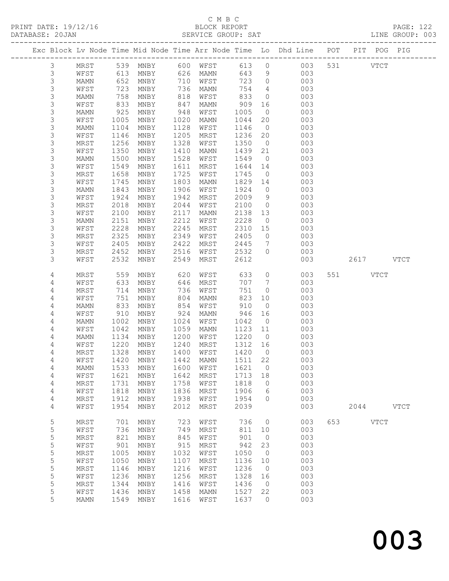### C M B C<br>BLOCK REPORT SERVICE GROUP: SAT

PRINT DATE: 19/12/16 BLOCK REPORT PAGE: 122

|            |              |              |                                        |              |              |              |                      | Exc Block Lv Node Time Mid Node Time Arr Node Time Lo Dhd Line POT |     |          | PIT POG PIG |             |
|------------|--------------|--------------|----------------------------------------|--------------|--------------|--------------|----------------------|--------------------------------------------------------------------|-----|----------|-------------|-------------|
| 3          | MRST         |              | 539 MNBY                               |              | 600 WFST     | 613          | $\overline{0}$       | 003                                                                |     | 531 000  | <b>VTCT</b> |             |
| 3          | WFST         | 613          | MNBY                                   |              | 626 MAMN     | 643          | 9                    | 003                                                                |     |          |             |             |
| 3          | MAMN         | 652          | MNBY                                   | 710          | WFST         | 723          | $\overline{0}$       | 003                                                                |     |          |             |             |
| 3          | WFST         | 723          | MNBY                                   | 736          | MAMN         | 754          | $\overline{4}$       | 003                                                                |     |          |             |             |
| 3          | MAMN         | 758          | MNBY                                   | 818          | WFST         | 833          | $\overline{0}$       | 003                                                                |     |          |             |             |
| 3          | WFST         | 833          | MNBY                                   | 847          | MAMN         | 909          | 16                   | 003                                                                |     |          |             |             |
| 3          | MAMN         | 925          | MNBY                                   | 948          | WFST         | 1005         | $\overline{0}$       | 003                                                                |     |          |             |             |
| 3          | WFST         | 1005         | MNBY                                   | 1020         | MAMN         | 1044         | 20                   | 003                                                                |     |          |             |             |
| 3          | MAMN         | 1104         | MNBY                                   | 1128         | WFST         | 1146         | $\overline{0}$       | 003                                                                |     |          |             |             |
| 3          | WFST         | 1146<br>1256 | MNBY                                   | 1205<br>1328 | MRST         | 1236<br>1350 | 20<br>$\overline{0}$ | 003<br>003                                                         |     |          |             |             |
| 3<br>3     | MRST<br>WFST | 1350         | MNBY<br>MNBY                           | 1410         | WFST<br>MAMN | 1439         | 21                   | 003                                                                |     |          |             |             |
| 3          | MAMN         | 1500         | MNBY                                   | 1528         | WFST         | 1549         | $\overline{0}$       | 003                                                                |     |          |             |             |
| 3          | WFST         | 1549         | MNBY                                   | 1611         | MRST         | 1644         | 14                   | 003                                                                |     |          |             |             |
| 3          | MRST         | 1658         | MNBY                                   | 1725         | WFST         | 1745         | $\overline{0}$       | 003                                                                |     |          |             |             |
| 3          | WFST         | 1745         | MNBY                                   | 1803         | MAMN         | 1829         | 14                   | 003                                                                |     |          |             |             |
| 3          | MAMN         | 1843         | MNBY                                   | 1906         | WFST         | 1924         | $\circ$              | 003                                                                |     |          |             |             |
| 3          | WFST         | 1924         | MNBY                                   | 1942         | MRST         | 2009         | 9                    | 003                                                                |     |          |             |             |
| 3          | MRST         | 2018         | MNBY                                   | 2044         | WFST         | 2100         | $\overline{0}$       | 003                                                                |     |          |             |             |
| 3          | WFST         | 2100         | $\operatorname{MNBY}$                  | 2117         | MAMN         | 2138         | 13                   | 003                                                                |     |          |             |             |
| 3          | MAMN         | 2151         | MNBY                                   | 2212         | WFST         | 2228         | $\circ$              | 003                                                                |     |          |             |             |
| 3          | WFST         | 2228         | MNBY                                   | 2245         | MRST         | 2310         | 15                   | 003                                                                |     |          |             |             |
| 3          | MRST         | 2325         | MNBY                                   | 2349         | WFST         | 2405         | $\circ$              | 003                                                                |     |          |             |             |
| 3          | WFST         | 2405         | MNBY                                   | 2422         | MRST         | 2445         | $7\phantom{.0}$      | 003                                                                |     |          |             |             |
| 3          | MRST         | 2452         | MNBY                                   | 2516         | WFST         | 2532         | $\circ$              | 003                                                                |     |          |             |             |
| 3          | WFST         | 2532         | MNBY                                   | 2549         | MRST         | 2612         |                      | 003                                                                |     |          | 2617 VTCT   |             |
| 4          | MRST         | 559          | MNBY                                   | 620          | WFST         | 633          | $\circ$              | 003                                                                |     | 551 VTCT |             |             |
| 4          | WFST         | 633          | MNBY                                   | 646          | MRST         | 707          | $7\phantom{.0}$      | 003                                                                |     |          |             |             |
| 4          | MRST         | 714          | MNBY                                   | 736          | WFST         | 751          | $\circ$              | 003                                                                |     |          |             |             |
| 4          | WFST         | 751          | MNBY                                   | 804          | MAMN         | 823          | 10                   | 003                                                                |     |          |             |             |
| 4          | MAMN         | 833          | MNBY                                   | 854          | WFST         | 910          | $\overline{0}$       | 003                                                                |     |          |             |             |
| 4          | WFST         | 910          | MNBY                                   | 924          | MAMN         | 946          | 16                   | 003                                                                |     |          |             |             |
| 4          | MAMN         | 1002         | MNBY                                   | 1024         | WFST         | 1042         | $\overline{0}$       | 003                                                                |     |          |             |             |
| 4          | WFST         | 1042         | MNBY                                   | 1059         | MAMN         | 1123         | 11                   | 003                                                                |     |          |             |             |
| 4          | MAMN         | 1134         | MNBY                                   | 1200         | WFST         | 1220         | $\overline{0}$       | 003                                                                |     |          |             |             |
| 4          | WFST         | 1220         | MNBY                                   | 1240         | MRST         | 1312         | 16                   | 003                                                                |     |          |             |             |
| 4          | MRST         | 1328         | MNBY                                   | 1400         | WFST         | 1420         | $\overline{0}$       | 003                                                                |     |          |             |             |
| 4          | WFST         | 1420         | MNBY                                   | 1442         | MAMN         | 1511 22      |                      | 003                                                                |     |          |             |             |
| 4          |              |              | MAMN 1533 MNBY 1600 WFST               |              |              | 1621 0       |                      | 003                                                                |     |          |             |             |
| 4          | WFST         | 1621         | MNBY                                   | 1642         | MRST         | 1713         | 18                   | 003                                                                |     |          |             |             |
| 4          | MRST         | 1731         | MNBY                                   | 1758         | WFST         | 1818         | $\circ$              | 003                                                                |     |          |             |             |
| $\sqrt{4}$ | WFST         | 1818<br>1912 | MNBY<br>MNBY                           | 1836<br>1938 | MRST         | 1906<br>1954 | 6<br>$\circ$         | 003<br>003                                                         |     |          |             |             |
| 4<br>4     | MRST<br>WFST | 1954         | MNBY                                   | 2012         | WFST<br>MRST | 2039         |                      | 003                                                                |     | 2044     |             | <b>VTCT</b> |
|            |              |              |                                        |              |              |              |                      |                                                                    |     |          |             |             |
| 5          | MRST         | 701          | MNBY                                   | 723          | WFST         | 736          | $\circ$              | 003                                                                | 653 |          | <b>VTCT</b> |             |
| 5          | WFST         | 736          | MNBY                                   | 749          | MRST         | 811          | 10                   | 003                                                                |     |          |             |             |
| 5          | MRST         | 821          | MNBY                                   | 845          | WFST         | 901          | $\overline{0}$       | 003                                                                |     |          |             |             |
| 5          | WFST         | 901          | MNBY                                   | 915          | MRST         | 942          | 23                   | 003                                                                |     |          |             |             |
| 5          | MRST         | 1005         | MNBY                                   | 1032         | WFST         | 1050         | $\overline{0}$       | 003                                                                |     |          |             |             |
| 5          | WFST         | 1050         | MNBY                                   | 1107         | MRST         | 1136         | 10                   | 003                                                                |     |          |             |             |
| 5          | MRST         | 1146         | MNBY                                   | 1216         | WFST         | 1236         | $\overline{0}$       | 003                                                                |     |          |             |             |
| 5          | WFST         | 1236         | MNBY                                   | 1256         | MRST         | 1328         | 16                   | 003                                                                |     |          |             |             |
| 5<br>5     | MRST<br>WFST | 1344<br>1436 | $\operatorname{\mathsf{MNBY}}$<br>MNBY | 1416<br>1458 | WFST<br>MAMN | 1436<br>1527 | $\overline{0}$<br>22 | 003<br>003                                                         |     |          |             |             |
| 5          | <b>MAMN</b>  | 1549         | MNBY                                   | 1616         | WFST         | 1637         | $\circ$              | 003                                                                |     |          |             |             |
|            |              |              |                                        |              |              |              |                      |                                                                    |     |          |             |             |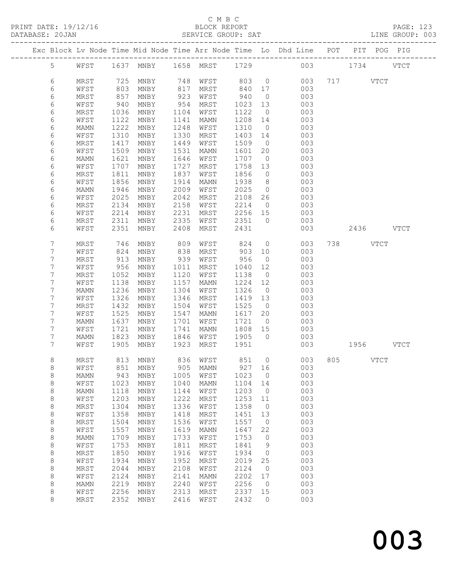### C M B C<br>BLOCK REPORT SERVICE GROUP: SAT

| Exc Block Lv Node Time Mid Node Time Arr Node Time Lo Dhd Line POT PIT POG PIG<br>1658 MRST<br>1637 MNBY<br>1729<br>5 <sup>5</sup><br>WFST<br>003<br>1734<br><b>VTCT</b><br>6<br>725<br>717 VTCT<br>MRST<br>MNBY<br>748<br>WFST<br>803<br>$\overline{0}$<br>003<br>6<br>803<br>003<br>WFST<br>MNBY<br>817<br>MRST<br>840<br>17<br>6<br>857<br>923<br>940<br>003<br>MRST<br>MNBY<br>WFST<br>$\overline{0}$<br>6<br>940<br>954<br>WFST<br>MNBY<br>MRST<br>1023<br>13<br>003<br>6<br>1104<br>1122<br>$\overline{0}$<br>003<br>MRST<br>1036<br>MNBY<br>WFST<br>6<br>1208<br>003<br>WFST<br>1122<br>MNBY<br>1141<br>MAMN<br>14<br>6<br>1222<br>1248<br>1310<br>003<br>MNBY<br>WFST<br>$\overline{0}$<br>MAMN<br>6<br>1330<br>1403<br>WFST<br>1310<br>MRST<br>14<br>003<br>MNBY<br>6<br>1417<br>1449<br>1509<br>003<br>MRST<br>MNBY<br>WFST<br>$\overline{0}$<br>6<br>1509<br>WFST<br>MNBY<br>1531<br>1601<br>20<br>003<br>MAMN<br>6<br>1621<br>1646<br>1707<br>$\overline{0}$<br>003<br>MAMN<br>MNBY<br>WFST<br>6<br>WFST<br>1707<br>MNBY<br>1727<br>MRST<br>1758<br>003<br>13<br>6<br>1811<br>1837<br>1856<br>$\circ$<br>003<br>MRST<br>MNBY<br>WFST<br>6<br>1856<br>1914<br>1938<br>8<br>003<br>WFST<br>MNBY<br>MAMN<br>6<br>2009<br>2025<br>003<br>1946<br>MNBY<br>WFST<br>MAMN<br>$\circ$<br>6<br>2025<br>2042<br>WFST<br>MNBY<br>MRST<br>2108<br>26<br>003<br>6<br>2214<br>2134<br>2158<br>WFST<br>$\overline{0}$<br>003<br>MRST<br>MNBY<br>6<br>2214<br>2231<br>2256<br>MRST<br>15<br>003<br>WFST<br>MNBY<br>6<br>2311<br>2335<br>2351<br>MRST<br>MNBY<br>WFST<br>$\overline{0}$<br>003<br>6<br>2351<br>WFST<br>MNBY<br>2408<br>MRST<br>2431<br>003<br>2436 VTCT<br>7<br>MRST<br>746<br>MNBY<br>809<br>WFST<br>824<br>$\circ$<br>003<br>738 VTCT<br>7<br>824<br>838<br>903<br>003<br>WFST<br>MNBY<br>MRST<br>10<br>7<br>939<br>MRST<br>913<br>MNBY<br>WFST<br>956<br>$\overline{0}$<br>003<br>7<br>956<br>12<br>003<br>WFST<br>MNBY<br>1011<br>MRST<br>1040<br>7<br>1052<br>1120<br>$\overline{0}$<br>003<br>MRST<br>MNBY<br>WFST<br>1138<br>7<br>003<br>WFST<br>1138<br>MNBY<br>1157<br>1224<br>12<br>MAMN<br>7<br>1236<br>1304<br>1326<br><b>MAMN</b><br>MNBY<br>WFST<br>$\overline{0}$<br>003<br>7<br>1326<br>1419<br>WFST<br>MNBY<br>1346<br>MRST<br>13<br>003<br>7<br>1432<br>1504<br>1525<br>$\overline{0}$<br>003<br>MRST<br>MNBY<br>WFST<br>7<br>1525<br>1547<br>003<br>WFST<br>MNBY<br>MAMN<br>1617<br>20<br>7<br>1637<br>1701<br>1721<br>003<br>MNBY<br>WFST<br>$\overline{0}$<br>MAMN<br>7<br>1721<br>WFST<br>MNBY<br>1741<br>1808<br>15<br>003<br>MAMN<br>7<br>1823<br>1905<br>$\overline{0}$<br>1846<br>003<br>MAMN<br>MNBY<br>WFST<br>7<br>1905<br>1923<br>1951<br>1956 VTCT<br>WFST<br>MNBY<br>MRST<br>003<br>8<br>813 MNBY<br>851<br>805 VTCT<br>836 WFST<br>$\overline{0}$<br>003<br>MRST<br>WFST 851 MNBY 905 MAMN 927 16<br>003<br>8<br>8<br>1023<br>003<br>943<br>MNBY<br>1005<br>WFST<br>$\circ$<br>MAMN<br>8<br>1023<br>003<br>WFST<br>MNBY<br>1040<br><b>MAMN</b><br>1104<br>14<br>8<br>003<br>1118<br>MNBY<br>1144<br>WFST<br>1203<br>0<br>MAMN<br>$\,8\,$<br>1203<br>1222<br>003<br>1253<br>WFST<br>MNBY<br>MRST<br>11<br>003<br>8<br>1304<br>1336<br>1358<br>$\circ$<br>MRST<br>MNBY<br>WFST<br>003<br>$\,8\,$<br>1358<br>1418<br>1451<br>WFST<br>MNBY<br>MRST<br>13<br>8<br>1504<br>1536<br>1557<br>003<br>MRST<br>MNBY<br>WFST<br>0<br>$\,8\,$<br>1557<br>1619<br>003<br>WFST<br>MNBY<br><b>MAMN</b><br>1647<br>22<br>$\,8\,$<br>1709<br>1733<br>1753<br>003<br>MAMN<br>MNBY<br>WFST<br>0<br>8<br>1753<br>1811<br>003<br>WFST<br>MNBY<br>MRST<br>1841<br>9<br>8<br>1850<br>1916<br>MRST<br>MNBY<br>WFST<br>1934<br>0<br>003<br>$\,8\,$<br>1934<br>1952<br>2019<br>25<br>003<br>WFST<br>MNBY<br>MRST<br>$\,8\,$<br>MRST<br>2044<br>2108<br>WFST<br>2124<br>$\circ$<br>003<br>MNBY<br>$\,8\,$<br>2124<br>2141<br>2202<br>003<br>WFST<br>MNBY<br><b>MAMN</b><br>17<br>8<br>2219<br>2240<br>2256<br>003<br>MAMN<br>MNBY<br>WFST<br>0<br>8<br>2256<br>2313<br>2337<br>003<br>WFST<br>$\operatorname{\mathsf{MNBY}}$<br>MRST<br>15<br>8<br>2352<br>2416<br>2432<br>003<br>MRST<br>MNBY<br>WFST<br>$\circ$ |  |  |  |  |  |  |  |  |
|----------------------------------------------------------------------------------------------------------------------------------------------------------------------------------------------------------------------------------------------------------------------------------------------------------------------------------------------------------------------------------------------------------------------------------------------------------------------------------------------------------------------------------------------------------------------------------------------------------------------------------------------------------------------------------------------------------------------------------------------------------------------------------------------------------------------------------------------------------------------------------------------------------------------------------------------------------------------------------------------------------------------------------------------------------------------------------------------------------------------------------------------------------------------------------------------------------------------------------------------------------------------------------------------------------------------------------------------------------------------------------------------------------------------------------------------------------------------------------------------------------------------------------------------------------------------------------------------------------------------------------------------------------------------------------------------------------------------------------------------------------------------------------------------------------------------------------------------------------------------------------------------------------------------------------------------------------------------------------------------------------------------------------------------------------------------------------------------------------------------------------------------------------------------------------------------------------------------------------------------------------------------------------------------------------------------------------------------------------------------------------------------------------------------------------------------------------------------------------------------------------------------------------------------------------------------------------------------------------------------------------------------------------------------------------------------------------------------------------------------------------------------------------------------------------------------------------------------------------------------------------------------------------------------------------------------------------------------------------------------------------------------------------------------------------------------------------------------------------------------------------------------------------------------------------------------------------------------------------------------------------------------------------------------------------------------------------------------------------------------------------------------------------------------------------------------------------------------------------------------------------------------------------------------------------------------------------------------------------------------------------------------------------------------------------------------------------------------------------------------------------------------------------------------------------------------------------------------------------------------------------------------------------------------------------------------------------------------------------------------------------------------------------------------------------------------------------------------------------------------------------|--|--|--|--|--|--|--|--|
|                                                                                                                                                                                                                                                                                                                                                                                                                                                                                                                                                                                                                                                                                                                                                                                                                                                                                                                                                                                                                                                                                                                                                                                                                                                                                                                                                                                                                                                                                                                                                                                                                                                                                                                                                                                                                                                                                                                                                                                                                                                                                                                                                                                                                                                                                                                                                                                                                                                                                                                                                                                                                                                                                                                                                                                                                                                                                                                                                                                                                                                                                                                                                                                                                                                                                                                                                                                                                                                                                                                                                                                                                                                                                                                                                                                                                                                                                                                                                                                                                                                                                                                                  |  |  |  |  |  |  |  |  |
|                                                                                                                                                                                                                                                                                                                                                                                                                                                                                                                                                                                                                                                                                                                                                                                                                                                                                                                                                                                                                                                                                                                                                                                                                                                                                                                                                                                                                                                                                                                                                                                                                                                                                                                                                                                                                                                                                                                                                                                                                                                                                                                                                                                                                                                                                                                                                                                                                                                                                                                                                                                                                                                                                                                                                                                                                                                                                                                                                                                                                                                                                                                                                                                                                                                                                                                                                                                                                                                                                                                                                                                                                                                                                                                                                                                                                                                                                                                                                                                                                                                                                                                                  |  |  |  |  |  |  |  |  |
|                                                                                                                                                                                                                                                                                                                                                                                                                                                                                                                                                                                                                                                                                                                                                                                                                                                                                                                                                                                                                                                                                                                                                                                                                                                                                                                                                                                                                                                                                                                                                                                                                                                                                                                                                                                                                                                                                                                                                                                                                                                                                                                                                                                                                                                                                                                                                                                                                                                                                                                                                                                                                                                                                                                                                                                                                                                                                                                                                                                                                                                                                                                                                                                                                                                                                                                                                                                                                                                                                                                                                                                                                                                                                                                                                                                                                                                                                                                                                                                                                                                                                                                                  |  |  |  |  |  |  |  |  |
|                                                                                                                                                                                                                                                                                                                                                                                                                                                                                                                                                                                                                                                                                                                                                                                                                                                                                                                                                                                                                                                                                                                                                                                                                                                                                                                                                                                                                                                                                                                                                                                                                                                                                                                                                                                                                                                                                                                                                                                                                                                                                                                                                                                                                                                                                                                                                                                                                                                                                                                                                                                                                                                                                                                                                                                                                                                                                                                                                                                                                                                                                                                                                                                                                                                                                                                                                                                                                                                                                                                                                                                                                                                                                                                                                                                                                                                                                                                                                                                                                                                                                                                                  |  |  |  |  |  |  |  |  |
|                                                                                                                                                                                                                                                                                                                                                                                                                                                                                                                                                                                                                                                                                                                                                                                                                                                                                                                                                                                                                                                                                                                                                                                                                                                                                                                                                                                                                                                                                                                                                                                                                                                                                                                                                                                                                                                                                                                                                                                                                                                                                                                                                                                                                                                                                                                                                                                                                                                                                                                                                                                                                                                                                                                                                                                                                                                                                                                                                                                                                                                                                                                                                                                                                                                                                                                                                                                                                                                                                                                                                                                                                                                                                                                                                                                                                                                                                                                                                                                                                                                                                                                                  |  |  |  |  |  |  |  |  |
|                                                                                                                                                                                                                                                                                                                                                                                                                                                                                                                                                                                                                                                                                                                                                                                                                                                                                                                                                                                                                                                                                                                                                                                                                                                                                                                                                                                                                                                                                                                                                                                                                                                                                                                                                                                                                                                                                                                                                                                                                                                                                                                                                                                                                                                                                                                                                                                                                                                                                                                                                                                                                                                                                                                                                                                                                                                                                                                                                                                                                                                                                                                                                                                                                                                                                                                                                                                                                                                                                                                                                                                                                                                                                                                                                                                                                                                                                                                                                                                                                                                                                                                                  |  |  |  |  |  |  |  |  |
|                                                                                                                                                                                                                                                                                                                                                                                                                                                                                                                                                                                                                                                                                                                                                                                                                                                                                                                                                                                                                                                                                                                                                                                                                                                                                                                                                                                                                                                                                                                                                                                                                                                                                                                                                                                                                                                                                                                                                                                                                                                                                                                                                                                                                                                                                                                                                                                                                                                                                                                                                                                                                                                                                                                                                                                                                                                                                                                                                                                                                                                                                                                                                                                                                                                                                                                                                                                                                                                                                                                                                                                                                                                                                                                                                                                                                                                                                                                                                                                                                                                                                                                                  |  |  |  |  |  |  |  |  |
|                                                                                                                                                                                                                                                                                                                                                                                                                                                                                                                                                                                                                                                                                                                                                                                                                                                                                                                                                                                                                                                                                                                                                                                                                                                                                                                                                                                                                                                                                                                                                                                                                                                                                                                                                                                                                                                                                                                                                                                                                                                                                                                                                                                                                                                                                                                                                                                                                                                                                                                                                                                                                                                                                                                                                                                                                                                                                                                                                                                                                                                                                                                                                                                                                                                                                                                                                                                                                                                                                                                                                                                                                                                                                                                                                                                                                                                                                                                                                                                                                                                                                                                                  |  |  |  |  |  |  |  |  |
|                                                                                                                                                                                                                                                                                                                                                                                                                                                                                                                                                                                                                                                                                                                                                                                                                                                                                                                                                                                                                                                                                                                                                                                                                                                                                                                                                                                                                                                                                                                                                                                                                                                                                                                                                                                                                                                                                                                                                                                                                                                                                                                                                                                                                                                                                                                                                                                                                                                                                                                                                                                                                                                                                                                                                                                                                                                                                                                                                                                                                                                                                                                                                                                                                                                                                                                                                                                                                                                                                                                                                                                                                                                                                                                                                                                                                                                                                                                                                                                                                                                                                                                                  |  |  |  |  |  |  |  |  |
|                                                                                                                                                                                                                                                                                                                                                                                                                                                                                                                                                                                                                                                                                                                                                                                                                                                                                                                                                                                                                                                                                                                                                                                                                                                                                                                                                                                                                                                                                                                                                                                                                                                                                                                                                                                                                                                                                                                                                                                                                                                                                                                                                                                                                                                                                                                                                                                                                                                                                                                                                                                                                                                                                                                                                                                                                                                                                                                                                                                                                                                                                                                                                                                                                                                                                                                                                                                                                                                                                                                                                                                                                                                                                                                                                                                                                                                                                                                                                                                                                                                                                                                                  |  |  |  |  |  |  |  |  |
|                                                                                                                                                                                                                                                                                                                                                                                                                                                                                                                                                                                                                                                                                                                                                                                                                                                                                                                                                                                                                                                                                                                                                                                                                                                                                                                                                                                                                                                                                                                                                                                                                                                                                                                                                                                                                                                                                                                                                                                                                                                                                                                                                                                                                                                                                                                                                                                                                                                                                                                                                                                                                                                                                                                                                                                                                                                                                                                                                                                                                                                                                                                                                                                                                                                                                                                                                                                                                                                                                                                                                                                                                                                                                                                                                                                                                                                                                                                                                                                                                                                                                                                                  |  |  |  |  |  |  |  |  |
|                                                                                                                                                                                                                                                                                                                                                                                                                                                                                                                                                                                                                                                                                                                                                                                                                                                                                                                                                                                                                                                                                                                                                                                                                                                                                                                                                                                                                                                                                                                                                                                                                                                                                                                                                                                                                                                                                                                                                                                                                                                                                                                                                                                                                                                                                                                                                                                                                                                                                                                                                                                                                                                                                                                                                                                                                                                                                                                                                                                                                                                                                                                                                                                                                                                                                                                                                                                                                                                                                                                                                                                                                                                                                                                                                                                                                                                                                                                                                                                                                                                                                                                                  |  |  |  |  |  |  |  |  |
|                                                                                                                                                                                                                                                                                                                                                                                                                                                                                                                                                                                                                                                                                                                                                                                                                                                                                                                                                                                                                                                                                                                                                                                                                                                                                                                                                                                                                                                                                                                                                                                                                                                                                                                                                                                                                                                                                                                                                                                                                                                                                                                                                                                                                                                                                                                                                                                                                                                                                                                                                                                                                                                                                                                                                                                                                                                                                                                                                                                                                                                                                                                                                                                                                                                                                                                                                                                                                                                                                                                                                                                                                                                                                                                                                                                                                                                                                                                                                                                                                                                                                                                                  |  |  |  |  |  |  |  |  |
|                                                                                                                                                                                                                                                                                                                                                                                                                                                                                                                                                                                                                                                                                                                                                                                                                                                                                                                                                                                                                                                                                                                                                                                                                                                                                                                                                                                                                                                                                                                                                                                                                                                                                                                                                                                                                                                                                                                                                                                                                                                                                                                                                                                                                                                                                                                                                                                                                                                                                                                                                                                                                                                                                                                                                                                                                                                                                                                                                                                                                                                                                                                                                                                                                                                                                                                                                                                                                                                                                                                                                                                                                                                                                                                                                                                                                                                                                                                                                                                                                                                                                                                                  |  |  |  |  |  |  |  |  |
|                                                                                                                                                                                                                                                                                                                                                                                                                                                                                                                                                                                                                                                                                                                                                                                                                                                                                                                                                                                                                                                                                                                                                                                                                                                                                                                                                                                                                                                                                                                                                                                                                                                                                                                                                                                                                                                                                                                                                                                                                                                                                                                                                                                                                                                                                                                                                                                                                                                                                                                                                                                                                                                                                                                                                                                                                                                                                                                                                                                                                                                                                                                                                                                                                                                                                                                                                                                                                                                                                                                                                                                                                                                                                                                                                                                                                                                                                                                                                                                                                                                                                                                                  |  |  |  |  |  |  |  |  |
|                                                                                                                                                                                                                                                                                                                                                                                                                                                                                                                                                                                                                                                                                                                                                                                                                                                                                                                                                                                                                                                                                                                                                                                                                                                                                                                                                                                                                                                                                                                                                                                                                                                                                                                                                                                                                                                                                                                                                                                                                                                                                                                                                                                                                                                                                                                                                                                                                                                                                                                                                                                                                                                                                                                                                                                                                                                                                                                                                                                                                                                                                                                                                                                                                                                                                                                                                                                                                                                                                                                                                                                                                                                                                                                                                                                                                                                                                                                                                                                                                                                                                                                                  |  |  |  |  |  |  |  |  |
|                                                                                                                                                                                                                                                                                                                                                                                                                                                                                                                                                                                                                                                                                                                                                                                                                                                                                                                                                                                                                                                                                                                                                                                                                                                                                                                                                                                                                                                                                                                                                                                                                                                                                                                                                                                                                                                                                                                                                                                                                                                                                                                                                                                                                                                                                                                                                                                                                                                                                                                                                                                                                                                                                                                                                                                                                                                                                                                                                                                                                                                                                                                                                                                                                                                                                                                                                                                                                                                                                                                                                                                                                                                                                                                                                                                                                                                                                                                                                                                                                                                                                                                                  |  |  |  |  |  |  |  |  |
|                                                                                                                                                                                                                                                                                                                                                                                                                                                                                                                                                                                                                                                                                                                                                                                                                                                                                                                                                                                                                                                                                                                                                                                                                                                                                                                                                                                                                                                                                                                                                                                                                                                                                                                                                                                                                                                                                                                                                                                                                                                                                                                                                                                                                                                                                                                                                                                                                                                                                                                                                                                                                                                                                                                                                                                                                                                                                                                                                                                                                                                                                                                                                                                                                                                                                                                                                                                                                                                                                                                                                                                                                                                                                                                                                                                                                                                                                                                                                                                                                                                                                                                                  |  |  |  |  |  |  |  |  |
|                                                                                                                                                                                                                                                                                                                                                                                                                                                                                                                                                                                                                                                                                                                                                                                                                                                                                                                                                                                                                                                                                                                                                                                                                                                                                                                                                                                                                                                                                                                                                                                                                                                                                                                                                                                                                                                                                                                                                                                                                                                                                                                                                                                                                                                                                                                                                                                                                                                                                                                                                                                                                                                                                                                                                                                                                                                                                                                                                                                                                                                                                                                                                                                                                                                                                                                                                                                                                                                                                                                                                                                                                                                                                                                                                                                                                                                                                                                                                                                                                                                                                                                                  |  |  |  |  |  |  |  |  |
|                                                                                                                                                                                                                                                                                                                                                                                                                                                                                                                                                                                                                                                                                                                                                                                                                                                                                                                                                                                                                                                                                                                                                                                                                                                                                                                                                                                                                                                                                                                                                                                                                                                                                                                                                                                                                                                                                                                                                                                                                                                                                                                                                                                                                                                                                                                                                                                                                                                                                                                                                                                                                                                                                                                                                                                                                                                                                                                                                                                                                                                                                                                                                                                                                                                                                                                                                                                                                                                                                                                                                                                                                                                                                                                                                                                                                                                                                                                                                                                                                                                                                                                                  |  |  |  |  |  |  |  |  |
|                                                                                                                                                                                                                                                                                                                                                                                                                                                                                                                                                                                                                                                                                                                                                                                                                                                                                                                                                                                                                                                                                                                                                                                                                                                                                                                                                                                                                                                                                                                                                                                                                                                                                                                                                                                                                                                                                                                                                                                                                                                                                                                                                                                                                                                                                                                                                                                                                                                                                                                                                                                                                                                                                                                                                                                                                                                                                                                                                                                                                                                                                                                                                                                                                                                                                                                                                                                                                                                                                                                                                                                                                                                                                                                                                                                                                                                                                                                                                                                                                                                                                                                                  |  |  |  |  |  |  |  |  |
|                                                                                                                                                                                                                                                                                                                                                                                                                                                                                                                                                                                                                                                                                                                                                                                                                                                                                                                                                                                                                                                                                                                                                                                                                                                                                                                                                                                                                                                                                                                                                                                                                                                                                                                                                                                                                                                                                                                                                                                                                                                                                                                                                                                                                                                                                                                                                                                                                                                                                                                                                                                                                                                                                                                                                                                                                                                                                                                                                                                                                                                                                                                                                                                                                                                                                                                                                                                                                                                                                                                                                                                                                                                                                                                                                                                                                                                                                                                                                                                                                                                                                                                                  |  |  |  |  |  |  |  |  |
|                                                                                                                                                                                                                                                                                                                                                                                                                                                                                                                                                                                                                                                                                                                                                                                                                                                                                                                                                                                                                                                                                                                                                                                                                                                                                                                                                                                                                                                                                                                                                                                                                                                                                                                                                                                                                                                                                                                                                                                                                                                                                                                                                                                                                                                                                                                                                                                                                                                                                                                                                                                                                                                                                                                                                                                                                                                                                                                                                                                                                                                                                                                                                                                                                                                                                                                                                                                                                                                                                                                                                                                                                                                                                                                                                                                                                                                                                                                                                                                                                                                                                                                                  |  |  |  |  |  |  |  |  |
|                                                                                                                                                                                                                                                                                                                                                                                                                                                                                                                                                                                                                                                                                                                                                                                                                                                                                                                                                                                                                                                                                                                                                                                                                                                                                                                                                                                                                                                                                                                                                                                                                                                                                                                                                                                                                                                                                                                                                                                                                                                                                                                                                                                                                                                                                                                                                                                                                                                                                                                                                                                                                                                                                                                                                                                                                                                                                                                                                                                                                                                                                                                                                                                                                                                                                                                                                                                                                                                                                                                                                                                                                                                                                                                                                                                                                                                                                                                                                                                                                                                                                                                                  |  |  |  |  |  |  |  |  |
|                                                                                                                                                                                                                                                                                                                                                                                                                                                                                                                                                                                                                                                                                                                                                                                                                                                                                                                                                                                                                                                                                                                                                                                                                                                                                                                                                                                                                                                                                                                                                                                                                                                                                                                                                                                                                                                                                                                                                                                                                                                                                                                                                                                                                                                                                                                                                                                                                                                                                                                                                                                                                                                                                                                                                                                                                                                                                                                                                                                                                                                                                                                                                                                                                                                                                                                                                                                                                                                                                                                                                                                                                                                                                                                                                                                                                                                                                                                                                                                                                                                                                                                                  |  |  |  |  |  |  |  |  |
|                                                                                                                                                                                                                                                                                                                                                                                                                                                                                                                                                                                                                                                                                                                                                                                                                                                                                                                                                                                                                                                                                                                                                                                                                                                                                                                                                                                                                                                                                                                                                                                                                                                                                                                                                                                                                                                                                                                                                                                                                                                                                                                                                                                                                                                                                                                                                                                                                                                                                                                                                                                                                                                                                                                                                                                                                                                                                                                                                                                                                                                                                                                                                                                                                                                                                                                                                                                                                                                                                                                                                                                                                                                                                                                                                                                                                                                                                                                                                                                                                                                                                                                                  |  |  |  |  |  |  |  |  |
|                                                                                                                                                                                                                                                                                                                                                                                                                                                                                                                                                                                                                                                                                                                                                                                                                                                                                                                                                                                                                                                                                                                                                                                                                                                                                                                                                                                                                                                                                                                                                                                                                                                                                                                                                                                                                                                                                                                                                                                                                                                                                                                                                                                                                                                                                                                                                                                                                                                                                                                                                                                                                                                                                                                                                                                                                                                                                                                                                                                                                                                                                                                                                                                                                                                                                                                                                                                                                                                                                                                                                                                                                                                                                                                                                                                                                                                                                                                                                                                                                                                                                                                                  |  |  |  |  |  |  |  |  |
|                                                                                                                                                                                                                                                                                                                                                                                                                                                                                                                                                                                                                                                                                                                                                                                                                                                                                                                                                                                                                                                                                                                                                                                                                                                                                                                                                                                                                                                                                                                                                                                                                                                                                                                                                                                                                                                                                                                                                                                                                                                                                                                                                                                                                                                                                                                                                                                                                                                                                                                                                                                                                                                                                                                                                                                                                                                                                                                                                                                                                                                                                                                                                                                                                                                                                                                                                                                                                                                                                                                                                                                                                                                                                                                                                                                                                                                                                                                                                                                                                                                                                                                                  |  |  |  |  |  |  |  |  |
|                                                                                                                                                                                                                                                                                                                                                                                                                                                                                                                                                                                                                                                                                                                                                                                                                                                                                                                                                                                                                                                                                                                                                                                                                                                                                                                                                                                                                                                                                                                                                                                                                                                                                                                                                                                                                                                                                                                                                                                                                                                                                                                                                                                                                                                                                                                                                                                                                                                                                                                                                                                                                                                                                                                                                                                                                                                                                                                                                                                                                                                                                                                                                                                                                                                                                                                                                                                                                                                                                                                                                                                                                                                                                                                                                                                                                                                                                                                                                                                                                                                                                                                                  |  |  |  |  |  |  |  |  |
|                                                                                                                                                                                                                                                                                                                                                                                                                                                                                                                                                                                                                                                                                                                                                                                                                                                                                                                                                                                                                                                                                                                                                                                                                                                                                                                                                                                                                                                                                                                                                                                                                                                                                                                                                                                                                                                                                                                                                                                                                                                                                                                                                                                                                                                                                                                                                                                                                                                                                                                                                                                                                                                                                                                                                                                                                                                                                                                                                                                                                                                                                                                                                                                                                                                                                                                                                                                                                                                                                                                                                                                                                                                                                                                                                                                                                                                                                                                                                                                                                                                                                                                                  |  |  |  |  |  |  |  |  |
|                                                                                                                                                                                                                                                                                                                                                                                                                                                                                                                                                                                                                                                                                                                                                                                                                                                                                                                                                                                                                                                                                                                                                                                                                                                                                                                                                                                                                                                                                                                                                                                                                                                                                                                                                                                                                                                                                                                                                                                                                                                                                                                                                                                                                                                                                                                                                                                                                                                                                                                                                                                                                                                                                                                                                                                                                                                                                                                                                                                                                                                                                                                                                                                                                                                                                                                                                                                                                                                                                                                                                                                                                                                                                                                                                                                                                                                                                                                                                                                                                                                                                                                                  |  |  |  |  |  |  |  |  |
|                                                                                                                                                                                                                                                                                                                                                                                                                                                                                                                                                                                                                                                                                                                                                                                                                                                                                                                                                                                                                                                                                                                                                                                                                                                                                                                                                                                                                                                                                                                                                                                                                                                                                                                                                                                                                                                                                                                                                                                                                                                                                                                                                                                                                                                                                                                                                                                                                                                                                                                                                                                                                                                                                                                                                                                                                                                                                                                                                                                                                                                                                                                                                                                                                                                                                                                                                                                                                                                                                                                                                                                                                                                                                                                                                                                                                                                                                                                                                                                                                                                                                                                                  |  |  |  |  |  |  |  |  |
|                                                                                                                                                                                                                                                                                                                                                                                                                                                                                                                                                                                                                                                                                                                                                                                                                                                                                                                                                                                                                                                                                                                                                                                                                                                                                                                                                                                                                                                                                                                                                                                                                                                                                                                                                                                                                                                                                                                                                                                                                                                                                                                                                                                                                                                                                                                                                                                                                                                                                                                                                                                                                                                                                                                                                                                                                                                                                                                                                                                                                                                                                                                                                                                                                                                                                                                                                                                                                                                                                                                                                                                                                                                                                                                                                                                                                                                                                                                                                                                                                                                                                                                                  |  |  |  |  |  |  |  |  |
|                                                                                                                                                                                                                                                                                                                                                                                                                                                                                                                                                                                                                                                                                                                                                                                                                                                                                                                                                                                                                                                                                                                                                                                                                                                                                                                                                                                                                                                                                                                                                                                                                                                                                                                                                                                                                                                                                                                                                                                                                                                                                                                                                                                                                                                                                                                                                                                                                                                                                                                                                                                                                                                                                                                                                                                                                                                                                                                                                                                                                                                                                                                                                                                                                                                                                                                                                                                                                                                                                                                                                                                                                                                                                                                                                                                                                                                                                                                                                                                                                                                                                                                                  |  |  |  |  |  |  |  |  |
|                                                                                                                                                                                                                                                                                                                                                                                                                                                                                                                                                                                                                                                                                                                                                                                                                                                                                                                                                                                                                                                                                                                                                                                                                                                                                                                                                                                                                                                                                                                                                                                                                                                                                                                                                                                                                                                                                                                                                                                                                                                                                                                                                                                                                                                                                                                                                                                                                                                                                                                                                                                                                                                                                                                                                                                                                                                                                                                                                                                                                                                                                                                                                                                                                                                                                                                                                                                                                                                                                                                                                                                                                                                                                                                                                                                                                                                                                                                                                                                                                                                                                                                                  |  |  |  |  |  |  |  |  |
|                                                                                                                                                                                                                                                                                                                                                                                                                                                                                                                                                                                                                                                                                                                                                                                                                                                                                                                                                                                                                                                                                                                                                                                                                                                                                                                                                                                                                                                                                                                                                                                                                                                                                                                                                                                                                                                                                                                                                                                                                                                                                                                                                                                                                                                                                                                                                                                                                                                                                                                                                                                                                                                                                                                                                                                                                                                                                                                                                                                                                                                                                                                                                                                                                                                                                                                                                                                                                                                                                                                                                                                                                                                                                                                                                                                                                                                                                                                                                                                                                                                                                                                                  |  |  |  |  |  |  |  |  |
|                                                                                                                                                                                                                                                                                                                                                                                                                                                                                                                                                                                                                                                                                                                                                                                                                                                                                                                                                                                                                                                                                                                                                                                                                                                                                                                                                                                                                                                                                                                                                                                                                                                                                                                                                                                                                                                                                                                                                                                                                                                                                                                                                                                                                                                                                                                                                                                                                                                                                                                                                                                                                                                                                                                                                                                                                                                                                                                                                                                                                                                                                                                                                                                                                                                                                                                                                                                                                                                                                                                                                                                                                                                                                                                                                                                                                                                                                                                                                                                                                                                                                                                                  |  |  |  |  |  |  |  |  |
|                                                                                                                                                                                                                                                                                                                                                                                                                                                                                                                                                                                                                                                                                                                                                                                                                                                                                                                                                                                                                                                                                                                                                                                                                                                                                                                                                                                                                                                                                                                                                                                                                                                                                                                                                                                                                                                                                                                                                                                                                                                                                                                                                                                                                                                                                                                                                                                                                                                                                                                                                                                                                                                                                                                                                                                                                                                                                                                                                                                                                                                                                                                                                                                                                                                                                                                                                                                                                                                                                                                                                                                                                                                                                                                                                                                                                                                                                                                                                                                                                                                                                                                                  |  |  |  |  |  |  |  |  |
|                                                                                                                                                                                                                                                                                                                                                                                                                                                                                                                                                                                                                                                                                                                                                                                                                                                                                                                                                                                                                                                                                                                                                                                                                                                                                                                                                                                                                                                                                                                                                                                                                                                                                                                                                                                                                                                                                                                                                                                                                                                                                                                                                                                                                                                                                                                                                                                                                                                                                                                                                                                                                                                                                                                                                                                                                                                                                                                                                                                                                                                                                                                                                                                                                                                                                                                                                                                                                                                                                                                                                                                                                                                                                                                                                                                                                                                                                                                                                                                                                                                                                                                                  |  |  |  |  |  |  |  |  |
|                                                                                                                                                                                                                                                                                                                                                                                                                                                                                                                                                                                                                                                                                                                                                                                                                                                                                                                                                                                                                                                                                                                                                                                                                                                                                                                                                                                                                                                                                                                                                                                                                                                                                                                                                                                                                                                                                                                                                                                                                                                                                                                                                                                                                                                                                                                                                                                                                                                                                                                                                                                                                                                                                                                                                                                                                                                                                                                                                                                                                                                                                                                                                                                                                                                                                                                                                                                                                                                                                                                                                                                                                                                                                                                                                                                                                                                                                                                                                                                                                                                                                                                                  |  |  |  |  |  |  |  |  |
|                                                                                                                                                                                                                                                                                                                                                                                                                                                                                                                                                                                                                                                                                                                                                                                                                                                                                                                                                                                                                                                                                                                                                                                                                                                                                                                                                                                                                                                                                                                                                                                                                                                                                                                                                                                                                                                                                                                                                                                                                                                                                                                                                                                                                                                                                                                                                                                                                                                                                                                                                                                                                                                                                                                                                                                                                                                                                                                                                                                                                                                                                                                                                                                                                                                                                                                                                                                                                                                                                                                                                                                                                                                                                                                                                                                                                                                                                                                                                                                                                                                                                                                                  |  |  |  |  |  |  |  |  |
|                                                                                                                                                                                                                                                                                                                                                                                                                                                                                                                                                                                                                                                                                                                                                                                                                                                                                                                                                                                                                                                                                                                                                                                                                                                                                                                                                                                                                                                                                                                                                                                                                                                                                                                                                                                                                                                                                                                                                                                                                                                                                                                                                                                                                                                                                                                                                                                                                                                                                                                                                                                                                                                                                                                                                                                                                                                                                                                                                                                                                                                                                                                                                                                                                                                                                                                                                                                                                                                                                                                                                                                                                                                                                                                                                                                                                                                                                                                                                                                                                                                                                                                                  |  |  |  |  |  |  |  |  |
|                                                                                                                                                                                                                                                                                                                                                                                                                                                                                                                                                                                                                                                                                                                                                                                                                                                                                                                                                                                                                                                                                                                                                                                                                                                                                                                                                                                                                                                                                                                                                                                                                                                                                                                                                                                                                                                                                                                                                                                                                                                                                                                                                                                                                                                                                                                                                                                                                                                                                                                                                                                                                                                                                                                                                                                                                                                                                                                                                                                                                                                                                                                                                                                                                                                                                                                                                                                                                                                                                                                                                                                                                                                                                                                                                                                                                                                                                                                                                                                                                                                                                                                                  |  |  |  |  |  |  |  |  |
|                                                                                                                                                                                                                                                                                                                                                                                                                                                                                                                                                                                                                                                                                                                                                                                                                                                                                                                                                                                                                                                                                                                                                                                                                                                                                                                                                                                                                                                                                                                                                                                                                                                                                                                                                                                                                                                                                                                                                                                                                                                                                                                                                                                                                                                                                                                                                                                                                                                                                                                                                                                                                                                                                                                                                                                                                                                                                                                                                                                                                                                                                                                                                                                                                                                                                                                                                                                                                                                                                                                                                                                                                                                                                                                                                                                                                                                                                                                                                                                                                                                                                                                                  |  |  |  |  |  |  |  |  |
|                                                                                                                                                                                                                                                                                                                                                                                                                                                                                                                                                                                                                                                                                                                                                                                                                                                                                                                                                                                                                                                                                                                                                                                                                                                                                                                                                                                                                                                                                                                                                                                                                                                                                                                                                                                                                                                                                                                                                                                                                                                                                                                                                                                                                                                                                                                                                                                                                                                                                                                                                                                                                                                                                                                                                                                                                                                                                                                                                                                                                                                                                                                                                                                                                                                                                                                                                                                                                                                                                                                                                                                                                                                                                                                                                                                                                                                                                                                                                                                                                                                                                                                                  |  |  |  |  |  |  |  |  |
|                                                                                                                                                                                                                                                                                                                                                                                                                                                                                                                                                                                                                                                                                                                                                                                                                                                                                                                                                                                                                                                                                                                                                                                                                                                                                                                                                                                                                                                                                                                                                                                                                                                                                                                                                                                                                                                                                                                                                                                                                                                                                                                                                                                                                                                                                                                                                                                                                                                                                                                                                                                                                                                                                                                                                                                                                                                                                                                                                                                                                                                                                                                                                                                                                                                                                                                                                                                                                                                                                                                                                                                                                                                                                                                                                                                                                                                                                                                                                                                                                                                                                                                                  |  |  |  |  |  |  |  |  |
|                                                                                                                                                                                                                                                                                                                                                                                                                                                                                                                                                                                                                                                                                                                                                                                                                                                                                                                                                                                                                                                                                                                                                                                                                                                                                                                                                                                                                                                                                                                                                                                                                                                                                                                                                                                                                                                                                                                                                                                                                                                                                                                                                                                                                                                                                                                                                                                                                                                                                                                                                                                                                                                                                                                                                                                                                                                                                                                                                                                                                                                                                                                                                                                                                                                                                                                                                                                                                                                                                                                                                                                                                                                                                                                                                                                                                                                                                                                                                                                                                                                                                                                                  |  |  |  |  |  |  |  |  |
|                                                                                                                                                                                                                                                                                                                                                                                                                                                                                                                                                                                                                                                                                                                                                                                                                                                                                                                                                                                                                                                                                                                                                                                                                                                                                                                                                                                                                                                                                                                                                                                                                                                                                                                                                                                                                                                                                                                                                                                                                                                                                                                                                                                                                                                                                                                                                                                                                                                                                                                                                                                                                                                                                                                                                                                                                                                                                                                                                                                                                                                                                                                                                                                                                                                                                                                                                                                                                                                                                                                                                                                                                                                                                                                                                                                                                                                                                                                                                                                                                                                                                                                                  |  |  |  |  |  |  |  |  |
|                                                                                                                                                                                                                                                                                                                                                                                                                                                                                                                                                                                                                                                                                                                                                                                                                                                                                                                                                                                                                                                                                                                                                                                                                                                                                                                                                                                                                                                                                                                                                                                                                                                                                                                                                                                                                                                                                                                                                                                                                                                                                                                                                                                                                                                                                                                                                                                                                                                                                                                                                                                                                                                                                                                                                                                                                                                                                                                                                                                                                                                                                                                                                                                                                                                                                                                                                                                                                                                                                                                                                                                                                                                                                                                                                                                                                                                                                                                                                                                                                                                                                                                                  |  |  |  |  |  |  |  |  |
|                                                                                                                                                                                                                                                                                                                                                                                                                                                                                                                                                                                                                                                                                                                                                                                                                                                                                                                                                                                                                                                                                                                                                                                                                                                                                                                                                                                                                                                                                                                                                                                                                                                                                                                                                                                                                                                                                                                                                                                                                                                                                                                                                                                                                                                                                                                                                                                                                                                                                                                                                                                                                                                                                                                                                                                                                                                                                                                                                                                                                                                                                                                                                                                                                                                                                                                                                                                                                                                                                                                                                                                                                                                                                                                                                                                                                                                                                                                                                                                                                                                                                                                                  |  |  |  |  |  |  |  |  |
|                                                                                                                                                                                                                                                                                                                                                                                                                                                                                                                                                                                                                                                                                                                                                                                                                                                                                                                                                                                                                                                                                                                                                                                                                                                                                                                                                                                                                                                                                                                                                                                                                                                                                                                                                                                                                                                                                                                                                                                                                                                                                                                                                                                                                                                                                                                                                                                                                                                                                                                                                                                                                                                                                                                                                                                                                                                                                                                                                                                                                                                                                                                                                                                                                                                                                                                                                                                                                                                                                                                                                                                                                                                                                                                                                                                                                                                                                                                                                                                                                                                                                                                                  |  |  |  |  |  |  |  |  |
|                                                                                                                                                                                                                                                                                                                                                                                                                                                                                                                                                                                                                                                                                                                                                                                                                                                                                                                                                                                                                                                                                                                                                                                                                                                                                                                                                                                                                                                                                                                                                                                                                                                                                                                                                                                                                                                                                                                                                                                                                                                                                                                                                                                                                                                                                                                                                                                                                                                                                                                                                                                                                                                                                                                                                                                                                                                                                                                                                                                                                                                                                                                                                                                                                                                                                                                                                                                                                                                                                                                                                                                                                                                                                                                                                                                                                                                                                                                                                                                                                                                                                                                                  |  |  |  |  |  |  |  |  |
|                                                                                                                                                                                                                                                                                                                                                                                                                                                                                                                                                                                                                                                                                                                                                                                                                                                                                                                                                                                                                                                                                                                                                                                                                                                                                                                                                                                                                                                                                                                                                                                                                                                                                                                                                                                                                                                                                                                                                                                                                                                                                                                                                                                                                                                                                                                                                                                                                                                                                                                                                                                                                                                                                                                                                                                                                                                                                                                                                                                                                                                                                                                                                                                                                                                                                                                                                                                                                                                                                                                                                                                                                                                                                                                                                                                                                                                                                                                                                                                                                                                                                                                                  |  |  |  |  |  |  |  |  |
|                                                                                                                                                                                                                                                                                                                                                                                                                                                                                                                                                                                                                                                                                                                                                                                                                                                                                                                                                                                                                                                                                                                                                                                                                                                                                                                                                                                                                                                                                                                                                                                                                                                                                                                                                                                                                                                                                                                                                                                                                                                                                                                                                                                                                                                                                                                                                                                                                                                                                                                                                                                                                                                                                                                                                                                                                                                                                                                                                                                                                                                                                                                                                                                                                                                                                                                                                                                                                                                                                                                                                                                                                                                                                                                                                                                                                                                                                                                                                                                                                                                                                                                                  |  |  |  |  |  |  |  |  |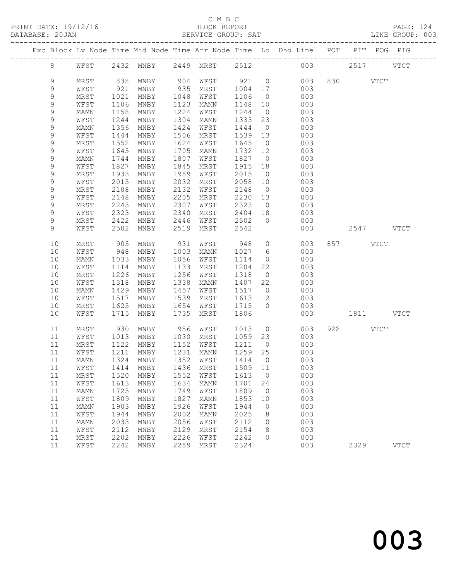# C M B C

| DATABASE: 20JAN |             |      |      |                       |      | SERVICE GROUP: SAT  |         |                | LINE GROUP: 003                                                                |           |           |             |  |
|-----------------|-------------|------|------|-----------------------|------|---------------------|---------|----------------|--------------------------------------------------------------------------------|-----------|-----------|-------------|--|
|                 |             |      |      |                       |      |                     |         |                | Exc Block Lv Node Time Mid Node Time Arr Node Time Lo Dhd Line POT PIT POG PIG |           |           |             |  |
|                 | 8           |      |      |                       |      |                     |         |                | WFST 2432 MNBY 2449 MRST 2512 003 2517 VTCT                                    |           |           |             |  |
|                 | 9           | MRST | 838  |                       |      | MNBY 904 WFST 921 0 |         |                | 003                                                                            | 830 VTCT  |           |             |  |
|                 | 9           | WFST | 921  | MNBY                  |      | 935 MRST 1004 17    |         |                | 003                                                                            |           |           |             |  |
|                 | 9           | MRST | 1021 | MNBY                  | 1048 | WFST                | 1106    | $\overline{0}$ | 003                                                                            |           |           |             |  |
|                 | 9           | WFST | 1106 | MNBY                  | 1123 | MAMN                | 1148    | 10             | 003                                                                            |           |           |             |  |
|                 | 9           | MAMN | 1158 | MNBY                  | 1224 | WFST                | 1244    | $\overline{0}$ | 003                                                                            |           |           |             |  |
|                 | $\mathsf 9$ | WFST | 1244 | MNBY                  | 1304 | MAMN                | 1333 23 |                | 003                                                                            |           |           |             |  |
|                 | $\mathsf 9$ | MAMN | 1356 | MNBY                  | 1424 | WFST                | 1444    | $\overline{0}$ | 003                                                                            |           |           |             |  |
|                 | 9           | WFST | 1444 | MNBY                  | 1506 | MRST                | 1539 13 |                | 003                                                                            |           |           |             |  |
|                 | 9           | MRST | 1552 | MNBY                  | 1624 | WFST                | 1645    | $\overline{0}$ | 003                                                                            |           |           |             |  |
|                 | 9           | WFST | 1645 | MNBY                  | 1705 | MAMN                | 1732 12 |                | 003                                                                            |           |           |             |  |
|                 | $\mathsf 9$ | MAMN | 1744 | MNBY                  | 1807 | WFST                | 1827 0  |                | 003                                                                            |           |           |             |  |
|                 | 9           | WFST | 1827 | MNBY                  | 1845 | MRST                | 1915    | 18             | 003                                                                            |           |           |             |  |
|                 | 9           | MRST | 1933 | MNBY                  | 1959 | WFST                | 2015    | $\overline{0}$ | 003                                                                            |           |           |             |  |
|                 | 9           | WFST | 2015 | MNBY                  | 2032 | MRST                | 2058    | 10             | 003                                                                            |           |           |             |  |
|                 | 9           | MRST | 2108 | MNBY                  | 2132 | WFST                | 2148    | $\overline{0}$ | 003                                                                            |           |           |             |  |
|                 | 9           | WFST | 2148 | MNBY                  | 2205 | MRST                | 2230 13 |                | 003                                                                            |           |           |             |  |
|                 | 9           | MRST | 2243 | MNBY                  | 2307 | WFST                | 2323    | $\overline{0}$ | 003                                                                            |           |           |             |  |
|                 | 9           | WFST | 2323 | MNBY                  | 2340 | MRST                | 2404 18 |                | 003                                                                            |           |           |             |  |
|                 | 9<br>9      | MRST | 2422 | MNBY                  | 2446 | WFST                | 2502    | $\bigcirc$     | 003                                                                            |           |           |             |  |
|                 |             | WFST | 2502 | MNBY                  | 2519 | MRST                | 2542    |                | 003                                                                            |           | 2547 VTCT |             |  |
|                 | 10          | MRST | 905  | MNBY                  | 931  | WFST                | 948     | $\overline{0}$ | 003                                                                            | 857 VTCT  |           |             |  |
|                 | 10          | WFST | 948  | MNBY                  | 1003 | MAMN                | 1027 6  |                | 003                                                                            |           |           |             |  |
|                 | 10          | MAMN | 1033 | MNBY                  | 1056 | WFST                | 1114    | $\overline{0}$ | 003                                                                            |           |           |             |  |
|                 | 10          | WFST | 1114 | MNBY                  | 1133 | MRST                | 1204    | 22             | 003                                                                            |           |           |             |  |
|                 | 10          | MRST | 1226 | MNBY                  | 1256 | WFST                | 1318    | $\overline{0}$ | 003                                                                            |           |           |             |  |
|                 | 10          | WFST | 1318 | MNBY                  | 1338 | MAMN                | 1407 22 |                | 003                                                                            |           |           |             |  |
|                 | 10          | MAMN | 1429 | MNBY                  | 1457 | WFST                | 1517    | $\overline{0}$ | 003                                                                            |           |           |             |  |
|                 | 10          | WFST | 1517 | MNBY                  | 1539 | MRST                | 1613 12 |                | 003                                                                            |           |           |             |  |
|                 | 10          | MRST | 1625 | MNBY                  | 1654 | WFST                | 1715 0  |                | 003                                                                            |           |           |             |  |
|                 | 10          | WFST | 1715 | MNBY                  | 1735 | MRST                | 1806    |                | 003                                                                            | 1811 VTCT |           |             |  |
|                 | 11          | MRST | 930  | MNBY                  |      | 956 WFST            | 1013    |                | $\overline{0}$<br>003                                                          | 922 VTCT  |           |             |  |
|                 | 11          | WFST | 1013 | MNBY                  |      | 1030 MRST           | 1059 23 |                | 003                                                                            |           |           |             |  |
|                 | 11          | MRST | 1122 | MNBY                  |      | 1152 WFST           | 1211    | $\overline{0}$ | 003                                                                            |           |           |             |  |
|                 | 11          | WFST | 1211 | MNBY                  |      | 1231 MAMN           | 1259 25 |                | 003                                                                            |           |           |             |  |
|                 |             |      |      |                       |      |                     |         |                | 11 MAMN 1324 MNBY 1352 WFST 1414 0 003                                         |           |           |             |  |
|                 | 11          | WFST | 1414 | MNBY                  | 1436 | MRST                | 1509    | 11             | 003                                                                            |           |           |             |  |
|                 | 11          | MRST | 1520 | MNBY                  | 1552 | WFST                | 1613    | $\overline{0}$ | 003                                                                            |           |           |             |  |
|                 | 11          | WFST | 1613 | MNBY                  | 1634 | <b>MAMN</b>         | 1701    | 24             | 003                                                                            |           |           |             |  |
|                 | 11          | MAMN | 1725 | MNBY                  | 1749 | WFST                | 1809    | $\overline{0}$ | 003                                                                            |           |           |             |  |
|                 | 11          | WFST | 1809 | MNBY                  | 1827 | MAMN                | 1853    | 10             | 003                                                                            |           |           |             |  |
|                 | 11          | MAMN | 1903 | $\operatorname{MNBY}$ | 1926 | WFST                | 1944    | $\overline{0}$ | 003                                                                            |           |           |             |  |
|                 | 11          | WFST | 1944 | MNBY                  | 2002 | MAMN                | 2025    | $8\,$          | 003                                                                            |           |           |             |  |
|                 | 11          | MAMN | 2033 | MNBY                  | 2056 | WFST                | 2112    | $\overline{0}$ | 003                                                                            |           |           |             |  |
|                 | 11          | WFST | 2112 | MNBY                  | 2129 | MRST                | 2154    | 8              | 003                                                                            |           |           |             |  |
|                 | 11          | MRST | 2202 | MNBY                  | 2226 | WFST                | 2242    | $\Omega$       | 003                                                                            |           |           |             |  |
|                 | 11          | WFST | 2242 | MNBY                  | 2259 | MRST                | 2324    |                | 003                                                                            | 2329      |           | <b>VTCT</b> |  |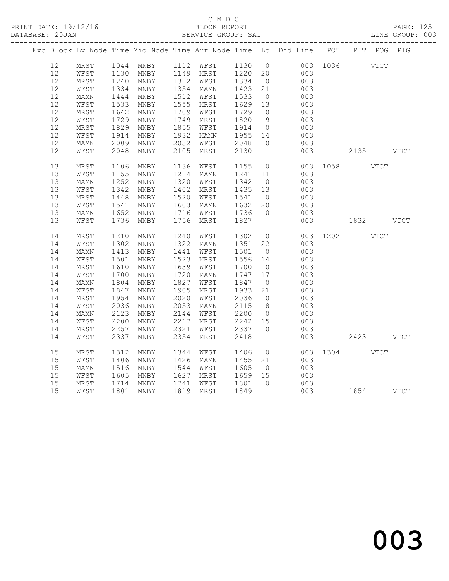## C M B C<br>BLOCK REPORT SERVICE GROUP: SAT

|  |        |      |              | Exc Block Lv Node Time Mid Node Time Arr Node Time Lo Dhd Line POT PIT POG PIG |           |      |                   |                |                |     |               |           |  |
|--|--------|------|--------------|--------------------------------------------------------------------------------|-----------|------|-------------------|----------------|----------------|-----|---------------|-----------|--|
|  | 12     | MRST |              | 1044 MNBY 1112 WFST 1130 0 003 1036 VTCT                                       |           |      |                   |                |                |     |               |           |  |
|  | 12     | WFST | 1130<br>1240 |                                                                                |           |      |                   |                |                |     |               |           |  |
|  | 12     | MRST | 1240         | MNBY 1149 MRST 1220 20 003<br>MNBY 1312 WFST 1334 0 003                        |           |      |                   |                |                |     |               |           |  |
|  | 12     | WFST | 1334         | MNBY                                                                           | 1354 MAMN |      | 1423 21           |                | 003            |     |               |           |  |
|  | 12     | MAMN | 1444         | MNBY                                                                           | 1512 WFST |      |                   |                |                | 003 |               |           |  |
|  | 12     | WFST | 1533         | MNBY                                                                           | 1555      | MRST | 1533 0<br>1629 13 |                |                | 003 |               |           |  |
|  | 12     | MRST | 1642         | MNBY                                                                           | 1709      | WFST | 1729              | $\overline{0}$ |                | 003 |               |           |  |
|  | 12     | WFST | 1729         | MNBY                                                                           | 1749      | MRST | 1820              | 9              |                | 003 |               |           |  |
|  | 12     | MRST | 1829         | MNBY                                                                           | 1855      | WFST | 1914              | $\overline{0}$ | 003            |     |               |           |  |
|  | 12     | WFST | 1914         | MNBY                                                                           | 1932      | MAMN | 1955 14           |                |                | 003 |               |           |  |
|  | 12     | MAMN | 2009         | MNBY                                                                           | 2032      | WFST | 2048              | $\overline{0}$ |                | 003 |               |           |  |
|  | 12     | WFST | 2048         | MNBY                                                                           | 2105      | MRST | 2130              |                |                | 003 |               | 2135 VTCT |  |
|  |        |      |              |                                                                                |           |      |                   |                |                |     |               |           |  |
|  | 13     | MRST | 1106         | MNBY                                                                           | 1136      | WFST | 1155              | $\overline{0}$ |                |     | 003 1058 VTCT |           |  |
|  | 13     | WFST | 1155         | MNBY                                                                           | 1214      | MAMN | 1241              | 11             |                | 003 |               |           |  |
|  | 13     | MAMN | 1252         | MNBY                                                                           | 1320      | WFST | 1342 0            |                |                | 003 |               |           |  |
|  | 13     | WFST | 1342         | MNBY                                                                           | 1402      | MRST | 1435 13           |                | 003            |     |               |           |  |
|  | 13     | MRST | 1448         | MNBY                                                                           | 1520      | WFST | 1541              | $\overline{0}$ |                | 003 |               |           |  |
|  | 13     | WFST | 1541         | MNBY                                                                           | 1603      | MAMN | 1632 20           |                |                | 003 |               |           |  |
|  | 13     | MAMN | 1652         | MNBY                                                                           | 1716      | WFST | 1736              | $\overline{0}$ | 003            |     |               |           |  |
|  | 13     | WFST | 1736         | MNBY                                                                           | 1756      | MRST | 1827              |                |                | 003 | 1832 VTCT     |           |  |
|  |        |      |              |                                                                                |           |      |                   |                |                |     |               |           |  |
|  | 14     | MRST | 1210         | MNBY                                                                           | 1240      | WFST | 1302              | $\overline{0}$ |                |     | 003 1202 VTCT |           |  |
|  | 14     | WFST | 1302         | MNBY                                                                           | 1322      | MAMN | 1351 22           |                |                | 003 |               |           |  |
|  | 14     | MAMN |              | 1413 MNBY                                                                      | 1441      | WFST | 1501              | $\overline{0}$ |                | 003 |               |           |  |
|  | 14     | WFST | 1501         | MNBY                                                                           | 1523      | MRST | 1556 14           |                |                | 003 |               |           |  |
|  | 14     | MRST | 1610         | MNBY                                                                           | 1639      | WFST | 1700              | $\overline{0}$ |                | 003 |               |           |  |
|  | 14     | WFST | 1700         | MNBY                                                                           | 1720      | MAMN | 1747 17           |                |                | 003 |               |           |  |
|  | 14     | MAMN | 1804         | MNBY                                                                           | 1827      | WFST | 1847              | $\overline{0}$ |                | 003 |               |           |  |
|  | 14     | WFST | 1847         | MNBY                                                                           | 1905      | MRST | 1933              | 21             |                | 003 |               |           |  |
|  | 14     | MRST | 1954         | MNBY                                                                           | 2020      | WFST | 2036              | $\overline{0}$ |                | 003 |               |           |  |
|  | 14     | WFST | 2036         | MNBY                                                                           | 2053      | MAMN | 2115              | 8 <sup>8</sup> |                | 003 |               |           |  |
|  | 14     | MAMN | 2123         | MNBY                                                                           | 2144      | WFST | 2200              | $\overline{0}$ |                | 003 |               |           |  |
|  | 14     | WFST | 2200         | MNBY                                                                           | 2217      | MRST | 2242 15           |                |                | 003 |               |           |  |
|  | 14     | MRST | 2257         | MNBY                                                                           | 2321      | WFST | 2337              | $\overline{0}$ |                | 003 |               |           |  |
|  | 14     | WFST | 2337         | MNBY                                                                           | 2354      | MRST | 2418              |                |                | 003 |               | 2423 VTCT |  |
|  |        |      |              |                                                                                |           |      |                   |                |                |     |               |           |  |
|  | 15     | MRST | 1312         | MNBY                                                                           | 1344      | WFST | 1406              |                | $\overline{0}$ |     | 003 1304 VTCT |           |  |
|  | 15     | WFST | 1406         | MNBY                                                                           | 1426      | MAMN | 1455 21           |                |                | 003 |               |           |  |
|  | $15\,$ | MAMN | 1516         | MNBY                                                                           | 1544 WFST |      | 1605              | $\overline{0}$ |                | 003 |               |           |  |
|  | $15\,$ | WFST | 1605         | MNBY                                                                           | 1627      | MRST | 1659 15           |                | 003            |     |               |           |  |
|  | 15     | MRST |              | 1714 MNBY                                                                      | 1741      | WFST |                   |                |                |     |               |           |  |
|  | 15     | WFST |              | 1801 MNBY                                                                      | 1819 MRST |      | 1801 0<br>1849    |                |                |     |               |           |  |
|  |        |      |              |                                                                                |           |      |                   |                |                |     |               |           |  |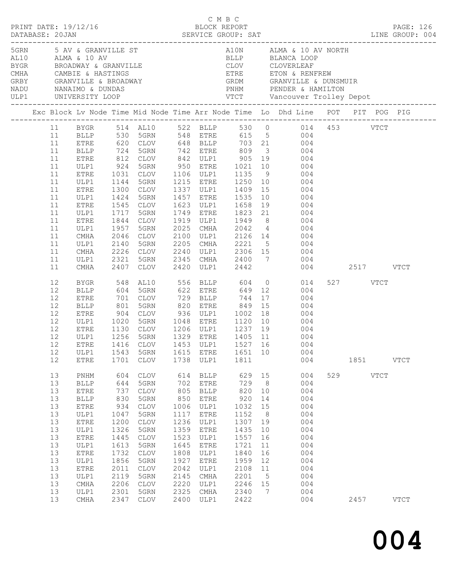| $\begin{array}{cccc}\n\texttt{CRINT} & \texttt{DATE: } 19/12/16 \\ \texttt{PRINT} & \texttt{DATE: } 19/12/16\n\end{array}$ |                                                                                                    |                                                                                                                                                                                                          |                                                                                                                                 |                                                                                                                                                                                              |                                                                                                                                  |                                                                                                                                                            |                                                                                                                                  |                                                                                                                              |                                                                                                                                                                                                                                                                                                                                                                                                                                                                               |                  |             | PAGE: 126   |  |
|----------------------------------------------------------------------------------------------------------------------------|----------------------------------------------------------------------------------------------------|----------------------------------------------------------------------------------------------------------------------------------------------------------------------------------------------------------|---------------------------------------------------------------------------------------------------------------------------------|----------------------------------------------------------------------------------------------------------------------------------------------------------------------------------------------|----------------------------------------------------------------------------------------------------------------------------------|------------------------------------------------------------------------------------------------------------------------------------------------------------|----------------------------------------------------------------------------------------------------------------------------------|------------------------------------------------------------------------------------------------------------------------------|-------------------------------------------------------------------------------------------------------------------------------------------------------------------------------------------------------------------------------------------------------------------------------------------------------------------------------------------------------------------------------------------------------------------------------------------------------------------------------|------------------|-------------|-------------|--|
|                                                                                                                            |                                                                                                    | ULP1 UNIVERSITY LOOP                                                                                                                                                                                     |                                                                                                                                 |                                                                                                                                                                                              |                                                                                                                                  |                                                                                                                                                            |                                                                                                                                  |                                                                                                                              | EXAMPLE ST AND ALMA & 10 AV ALMA & 10 AV ALMA & 10 AV BLANCA LOOP BEARCA LOOP BEARCA LOOP CLOVERLEAF CAMBLE & HASTINGS GRBY GRANVILLE & BROADWAY (CAMBLE & BROADWAY CAMBLE & BROADWAY CAMBLE & DUNDAS PNHM PENDER & HAMILTON                                                                                                                                                                                                                                                  |                  |             |             |  |
|                                                                                                                            |                                                                                                    |                                                                                                                                                                                                          |                                                                                                                                 |                                                                                                                                                                                              |                                                                                                                                  |                                                                                                                                                            |                                                                                                                                  |                                                                                                                              | Exc Block Lv Node Time Mid Node Time Arr Node Time Lo Dhd Line POT PIT POG PIG                                                                                                                                                                                                                                                                                                                                                                                                |                  |             |             |  |
|                                                                                                                            | 11<br>11<br>11<br>11<br>11<br>11<br>11<br>11<br>11<br>11<br>11<br>11<br>11<br>11                   | BLLP 724<br>ETRE<br>ULP1<br>ETRE<br>ULP1<br>ETRE<br>ULP1<br>ETRE<br>ULP1<br>ETRE<br>ULP1<br>CMHA<br>ULP1<br>CMHA                                                                                         | 812<br>924<br>1031<br>1144<br>1300<br>1717<br>1844<br>$-044$<br>1957<br>2140                                                    | 5GRN<br>5GRN<br>CLOV<br>1424 5GRN<br>1545 CLOV<br>5GRN<br>CLOV<br>5GRN<br>CLOV<br>5GRN<br>2226 CLOV                                                                                          | 2025<br>2100<br>2205                                                                                                             | 742 ETRE 809<br>1457 ETRE 1535<br>1623 ULP1 1658                                                                                                           |                                                                                                                                  |                                                                                                                              | 11 BYGR 514 AL10 522 BLLP 530 0 014 453 VTCT<br>11 BLLP 530 5GRN 548 ETRE 615 5 004<br>11 ETRE 620 CLOV 648 BLLP 703 21 004<br>3 004<br>CLOV 842 ULP1 905 19 004<br>5GRN 950 ETRE 1021 10 004<br>CLOV 1106 ULP1 1135 9 004<br>1215 ETRE 1250 10 004<br>1337 ULP1 1409 15 004<br>$\begin{array}{ccc} 10 & & 004 \\ 19 & & 004 \end{array}$<br>1749 ETRE 1823 21 004<br>1919 ULP1 1949 8 004<br>CMHA 2042 4 004<br>ULP1 2126 14 004<br>CMHA 2221 5 004<br>2240 ULP1 2306 15 004 |                  |             |             |  |
|                                                                                                                            | 11<br>11                                                                                           | ULP1<br>CMHA                                                                                                                                                                                             | 2321                                                                                                                            | 5GRN<br>2407 CLOV                                                                                                                                                                            |                                                                                                                                  |                                                                                                                                                            |                                                                                                                                  |                                                                                                                              | 2345 CMHA 2400 7 004<br>2420 ULP1 2442 004                                                                                                                                                                                                                                                                                                                                                                                                                                    | 004 2517 VTCT    |             |             |  |
|                                                                                                                            | 12<br>12<br>12<br>12<br>12<br>12<br>12<br>12<br>12<br>12<br>12                                     | BYGR<br><b>BLLP</b><br>ETRE<br>BLLP<br>ETRE<br>ULP1<br>ETRE<br>ULP1<br>ULP1<br>ETRE                                                                                                                      | 548<br>904<br>1020<br>1543<br>1701                                                                                              | AL10<br>604 5GRN<br>701 CLOV<br>801 5GRN<br>CLOV 936 ULP1 1002 18<br>5GRN<br>1130 CLOV<br>1256 5GRN<br>CLOV<br>5GRN<br>CLOV                                                                  | 820<br>1615<br>1738                                                                                                              | 556 BLLP 604<br>622 ETRE 649<br>729 BLLP 744 17<br>820 ETRE 849 15<br>1048 ETRE 1120<br>ETRE<br>ULP1                                                       | 1651 10<br>1811                                                                                                                  | 17                                                                                                                           | $0$ $014$<br>12 004<br>004<br>004<br>004<br>10 004<br>1206 ULP1 1237 19 004<br>1329 ETRE 1405 11 004<br>ETRE 1416 CLOV 1453 ULP1 1527 16 004<br>004<br>004                                                                                                                                                                                                                                                                                                                    | 527 VTCT<br>1851 |             | <b>VTCT</b> |  |
|                                                                                                                            | 13<br>13<br>13<br>13<br>13<br>13<br>13<br>13<br>13<br>13<br>13<br>13<br>13<br>13<br>13<br>13<br>13 | $\mathop{\rm PNHM}\nolimits$<br><b>BLLP</b><br><b>ETRE</b><br><b>BLLP</b><br>${\tt ETRE}$<br>ULP1<br><b>ETRE</b><br>ULP1<br>${\tt ETRE}$<br>ULP1<br>ETRE<br>ULP1<br>ETRE<br>ULP1<br>CMHA<br>ULP1<br>CMHA | 604<br>644<br>737<br>830<br>934<br>1047<br>1200<br>1326<br>1445<br>1613<br>1732<br>1856<br>2011<br>2119<br>2206<br>2301<br>2347 | <b>CLOV</b><br>5GRN<br><b>CLOV</b><br>5GRN<br><b>CLOV</b><br>5GRN<br><b>CLOV</b><br>5GRN<br><b>CLOV</b><br>5GRN<br><b>CLOV</b><br>5GRN<br><b>CLOV</b><br>5GRN<br><b>CLOV</b><br>5GRN<br>CLOV | 614<br>702<br>805<br>850<br>1006<br>1117<br>1236<br>1359<br>1523<br>1645<br>1808<br>1927<br>2042<br>2145<br>2220<br>2325<br>2400 | <b>BLLP</b><br>ETRE<br><b>BLLP</b><br>ETRE<br>ULP1<br>ETRE<br>ULP1<br>${\tt ETRE}$<br>ULP1<br>ETRE<br>ULP1<br>ETRE<br>ULP1<br>CMHA<br>ULP1<br>CMHA<br>ULP1 | 629<br>729<br>820<br>920<br>1032<br>1152<br>1307<br>1435<br>1557<br>1721<br>1840<br>1959<br>2108<br>2201<br>2246<br>2340<br>2422 | 15<br>8 <sup>8</sup><br>10<br>14<br>15<br>8 <sup>8</sup><br>19<br>10<br>16<br>11<br>16<br>12<br>11<br>$5^{\circ}$<br>15<br>7 | 004<br>004<br>004<br>004<br>004<br>004<br>004<br>004<br>004<br>004<br>004<br>004<br>004<br>004<br>004<br>004<br>004                                                                                                                                                                                                                                                                                                                                                           | 529<br>2457      | <b>VTCT</b> | <b>VTCT</b> |  |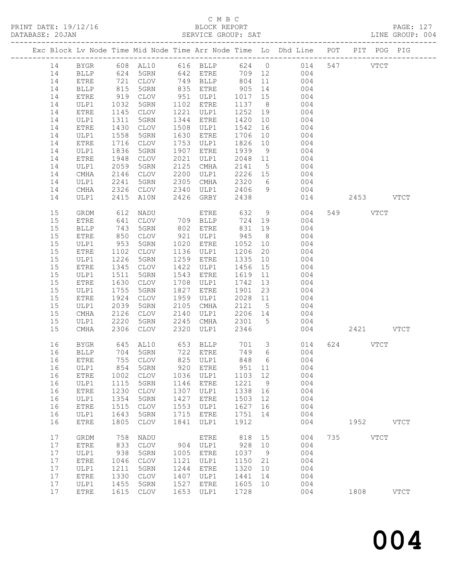# C M B C<br>BLOCK REPORT<br>SERVICE GROUP: SAT

| DATABASE: 20JAN |    |              |             |                      |      | SERVICE GROUP: SAT                                                              |            |                |                                                                                               |     |               | LINE GROUP: 004 |
|-----------------|----|--------------|-------------|----------------------|------|---------------------------------------------------------------------------------|------------|----------------|-----------------------------------------------------------------------------------------------|-----|---------------|-----------------|
|                 |    |              |             |                      |      |                                                                                 |            |                | Exc Block Lv Node Time Mid Node Time Arr Node Time Lo Dhd Line POT PIT POG PIG                |     |               |                 |
|                 |    |              |             |                      |      |                                                                                 |            |                | 14 BYGR 608 AL10 616 BLLP 624 0 014 547 VTCT                                                  |     |               |                 |
|                 | 14 |              |             |                      |      |                                                                                 |            |                | BLLP 624 5GRN 642 ETRE 709 12 004                                                             |     |               |                 |
|                 | 14 | ETRE         |             |                      |      |                                                                                 |            |                | 721 CLOV 749 BLLP 804 11 004<br>815 5GRN 835 ETRE 905 14 004<br>919 CLOV 951 ULP1 1017 15 004 |     |               |                 |
|                 | 14 | BLLP         |             |                      |      |                                                                                 |            |                |                                                                                               |     |               |                 |
|                 | 14 | ETRE         |             |                      |      |                                                                                 |            |                |                                                                                               |     |               |                 |
|                 | 14 | ULP1         | 1032        | 5GRN                 |      | 1102 ETRE                                                                       | 1137 8     |                | 004                                                                                           |     |               |                 |
|                 | 14 | ETRE         | 1145        | CLOV                 |      | 1221 ULP1                                                                       | 1252       | 19             | 004                                                                                           |     |               |                 |
|                 | 14 | ULP1         | 1311        | 5GRN                 |      | 1344 ETRE                                                                       | 1420 10    |                | 004                                                                                           |     |               |                 |
|                 | 14 | ETRE         | 1430        | CLOV                 |      | 1508 ULP1                                                                       | 1542       |                | 16<br>004                                                                                     |     |               |                 |
|                 | 14 | ULP1         | 1558        | 5GRN                 |      | 1630 ETRE                                                                       | 1706       |                | 10<br>004                                                                                     |     |               |                 |
|                 | 14 | ETRE         | 1716        | CLOV                 |      | 1753 ULP1                                                                       | 1826       | 10             | 004                                                                                           |     |               |                 |
|                 | 14 | ULP1         | 1836        | 5GRN                 |      | 1907 ETRE                                                                       | 1939       | 9              | 004                                                                                           |     |               |                 |
|                 | 14 | ETRE         | 1948        | CLOV                 | 2021 | ULP1                                                                            | $2048$ 11  |                | 004                                                                                           |     |               |                 |
|                 | 14 | ULP1         | 2059        | 5GRN                 |      | 2125 CMHA                                                                       | 2141       |                | $5 - 5$<br>004                                                                                |     |               |                 |
|                 | 14 | CMHA         | 2146        | CLOV                 |      | 2200 ULP1                                                                       |            |                | 2226 15 004                                                                                   |     |               |                 |
|                 | 14 | ULP1         |             |                      |      |                                                                                 | 2320 6     |                |                                                                                               |     |               |                 |
|                 | 14 | CMHA         |             |                      |      | 2241 5GRN 2305 CMHA 2320 6<br>2326 CLOV 2340 ULP1 2406 9                        |            |                | 004<br>004                                                                                    |     |               |                 |
|                 | 14 | ULP1         |             | 2415 A10N            |      | 2426 GRBY                                                                       | 2438       |                |                                                                                               |     | 014 2453 VTCT |                 |
|                 |    |              |             |                      |      |                                                                                 |            |                |                                                                                               |     |               |                 |
|                 | 15 | GRDM         |             | NADU                 |      | ETRE                                                                            | 632<br>724 | 9              | 004                                                                                           |     | 549 VTCT      |                 |
|                 | 15 | <b>ETRE</b>  | 612<br>641  | CLOV                 |      | EIRE<br>709 BLLP                                                                | 724 19     |                | 004                                                                                           |     |               |                 |
|                 | 15 | <b>BLLP</b>  | 743         | 5GRN                 |      | 802 ETRE                                                                        | 831        | 19             | 004                                                                                           |     |               |                 |
|                 | 15 | ETRE         | 850         | CLOV                 |      | 921 ULP1                                                                        | 945        | 8 <sup>1</sup> | 004                                                                                           |     |               |                 |
|                 | 15 | ULP1         |             | 5GRN                 |      | 1020 ETRE                                                                       | 1052       | 10             | 004                                                                                           |     |               |                 |
|                 | 15 | ETRE         | 953<br>1102 | CLOV                 |      | 1136 ULP1                                                                       | 1206       | 20             | 004                                                                                           |     |               |                 |
|                 | 15 | ULP1         | 1226        | 5GRN                 |      | 1259 ETRE                                                                       | 1335       | 10             | 004                                                                                           |     |               |                 |
|                 | 15 | ETRE         | 1345        | CLOV                 |      | 1422 ULP1                                                                       | 1456       | 15             | 004                                                                                           |     |               |                 |
|                 | 15 | ULP1         | 1511        | 5GRN                 |      | 1543 ETRE                                                                       | 1619       | 11             | 004                                                                                           |     |               |                 |
|                 | 15 | ETRE         | 1630        | CLOV                 |      | 1708 ULP1                                                                       | 1742 13    |                | 004                                                                                           |     |               |                 |
|                 | 15 | ULP1         | 1755        | 5GRN                 |      | 1827 ETRE                                                                       | 1901       |                | $2\bar{3}$<br>004                                                                             |     |               |                 |
|                 | 15 | ETRE         | 1924        | CLOV                 |      | 1959 ULP1                                                                       |            |                | 2028 11<br>004                                                                                |     |               |                 |
|                 | 15 | ULP1         | 2039        | 5GRN                 |      | 2105 CMHA                                                                       |            |                | 2121 5 004                                                                                    |     |               |                 |
|                 | 15 | CMHA         | 2126        | CLOV                 |      | 2140 ULP1 2206 14                                                               |            |                | 004                                                                                           |     |               |                 |
|                 | 15 | ULP1         | 2220        | 5GRN                 |      | $2245$ CMHA                                                                     | 2301 5     |                | 004                                                                                           |     |               |                 |
|                 | 15 | CMHA         | 2306        | CLOV                 | 2320 | ULP1                                                                            | 2346       |                |                                                                                               | 004 | 2421 VTCT     |                 |
|                 | 16 | BYGR         |             |                      |      |                                                                                 |            |                | 014                                                                                           |     | 624 VTCT      |                 |
|                 | 16 | BLLP         |             | 645 AL10<br>704 5GRN |      | 653    BLLP             701        3<br>722       ETRE             749        6 |            |                | 004                                                                                           |     |               |                 |
|                 |    |              |             |                      |      |                                                                                 |            |                | 16 ETRE 755 CLOV 825 ULP1 848 6 004                                                           |     |               |                 |
|                 | 16 | ULP1         | 854         | 5GRN                 | 920  | <b>ETRE</b>                                                                     | 951        | 11             | 004                                                                                           |     |               |                 |
|                 | 16 | ETRE         | 1002        | CLOV                 | 1036 | ULP1                                                                            | 1103 12    |                | 004                                                                                           |     |               |                 |
|                 | 16 | ULP1         | 1115        | 5GRN                 | 1146 | ETRE                                                                            | 1221       | 9              | 004                                                                                           |     |               |                 |
|                 | 16 | ${\tt ETRE}$ | 1230        | CLOV                 | 1307 | ULP1                                                                            | 1338       | 16             | 004                                                                                           |     |               |                 |
|                 | 16 | ULP1         | 1354        | 5GRN                 | 1427 | ETRE                                                                            | 1503       | 12             | 004                                                                                           |     |               |                 |
|                 | 16 | ${\tt ETRE}$ | 1515        | CLOV                 | 1553 | ULP1                                                                            | 1627       | 16             | 004                                                                                           |     |               |                 |
|                 | 16 | ULP1         | 1643        | 5GRN                 | 1715 | ETRE                                                                            | 1751       | 14             | 004                                                                                           |     |               |                 |
|                 | 16 | ETRE         | 1805        | CLOV                 | 1841 | ULP1                                                                            | 1912       |                | 004                                                                                           |     | 1952 VTCT     |                 |
|                 | 17 | GRDM         | 758         | NADU                 |      | ETRE                                                                            | 818        | 15             | 004                                                                                           |     | 735 VTCT      |                 |
|                 | 17 |              | 833         | CLOV                 | 904  |                                                                                 | 928        | 10             | 004                                                                                           |     |               |                 |
|                 | 17 | ETRE         | 938         |                      | 1005 | ULP1                                                                            |            | 9              | 004                                                                                           |     |               |                 |
|                 |    | ULP1         |             | 5GRN                 |      | ETRE                                                                            | 1037       |                |                                                                                               |     |               |                 |
|                 | 17 | ETRE         | 1046        | CLOV                 | 1121 | ULP1                                                                            | 1150       | 21             | 004                                                                                           |     |               |                 |
|                 | 17 | ULP1         | 1211        | 5GRN                 | 1244 | ETRE                                                                            | 1320       | 10             | 004                                                                                           |     |               |                 |
|                 | 17 | ETRE         | 1330        | CLOV                 | 1407 | ULP1                                                                            | 1441       | 14             | 004                                                                                           |     |               |                 |
|                 | 17 | ULP1         | 1455        | 5GRN                 | 1527 | ETRE                                                                            | 1605       | 10             | 004                                                                                           |     |               |                 |
|                 | 17 | <b>ETRE</b>  |             | 1615 CLOV            | 1653 | ULP1                                                                            | 1728       |                | 004                                                                                           |     | 1808          | $_{\rm VTCT}$   |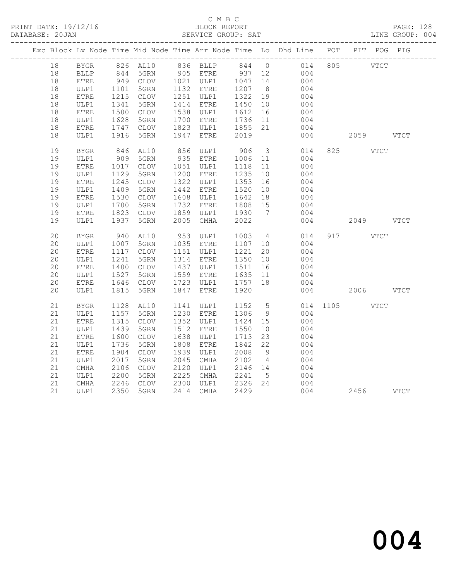### C M B C<br>BLOCK REPORT SERVICE GROUP: SAT

|    |              |              |                      |      |             |         |                         | Exc Block Lv Node Time Mid Node Time Arr Node Time Lo Dhd Line POT PIT POG PIG |               |  |
|----|--------------|--------------|----------------------|------|-------------|---------|-------------------------|--------------------------------------------------------------------------------|---------------|--|
| 18 |              |              |                      |      |             |         |                         | BYGR 826 AL10 836 BLLP 844 0 014                                               | 805 VTCT      |  |
| 18 | <b>BLLP</b>  |              | 844 5GRN<br>949 CLOV |      |             |         |                         | 905 ETRE 937 12 004                                                            |               |  |
| 18 | <b>ETRE</b>  |              |                      |      | 1021 ULP1   | 1047 14 |                         | 004                                                                            |               |  |
| 18 | ULP1         | 1101         | 5GRN                 |      | 1132 ETRE   | 1207    | 8 <sup>8</sup>          | 004                                                                            |               |  |
| 18 | ETRE         | 1215<br>1341 | CLOV                 |      | 1251 ULP1   | 1322    | 19                      | 004                                                                            |               |  |
| 18 | ULP1         |              | 5GRN                 |      | 1414 ETRE   | 1450    | 10                      | 004                                                                            |               |  |
| 18 | ETRE         | 1500         | CLOV                 |      | 1538 ULP1   | 1612    | 16                      | 004                                                                            |               |  |
| 18 | ULP1         | 1628         | 5GRN                 | 1700 | ETRE        | 1736    | 11                      | 004                                                                            |               |  |
| 18 | ${\tt ETRE}$ | 1747         | CLOV                 | 1823 | ULP1        | 1855    | 21                      | 004                                                                            |               |  |
| 18 | ULP1         | 1916         | 5GRN                 | 1947 | ETRE        | 2019    |                         | 004                                                                            | 2059 VTCT     |  |
| 19 | <b>BYGR</b>  | 846          | AL10                 |      | 856 ULP1    | 906     | $\overline{\mathbf{3}}$ | 014                                                                            | 825 VTCT      |  |
| 19 | ULP1         | 909          | 5GRN                 |      | 935 ETRE    | 1006    | 11                      | 004                                                                            |               |  |
| 19 | ${\tt ETRE}$ | 1017         | CLOV                 |      | 1051 ULP1   | 1118    | 11                      | 004                                                                            |               |  |
| 19 | ULP1         | 1129         | 5GRN                 | 1200 | <b>ETRE</b> | 1235    | 10                      | 004                                                                            |               |  |
| 19 | ${\tt ETRE}$ | 1245         | CLOV                 |      | 1322 ULP1   | 1353    | 16                      | 004                                                                            |               |  |
| 19 | ULP1         | 1409         | 5GRN                 | 1442 | ETRE        | 1520    | 10                      | 004                                                                            |               |  |
| 19 | ETRE         | 1530         | CLOV                 | 1608 | ULP1        | 1642    | 18                      | 004                                                                            |               |  |
| 19 | ULP1         | 1700         | 5GRN                 | 1732 | ETRE        | 1808 15 |                         | 004                                                                            |               |  |
| 19 | ETRE         | 1823         | CLOV                 | 1859 | ULP1        | 1930 7  |                         | 004                                                                            |               |  |
| 19 | ULP1         | 1937         | 5GRN                 | 2005 | CMHA        | 2022    |                         | 004                                                                            | 2049 VTCT     |  |
| 20 | <b>BYGR</b>  | 940          | AL10                 |      | 953 ULP1    | 1003    |                         | $4\overline{ }$<br>014                                                         | 917 VTCT      |  |
| 20 | ULP1         | 1007         | 5GRN                 |      | 1035 ETRE   | 1107 10 |                         | 004                                                                            |               |  |
| 20 | ${\tt ETRE}$ | 1117         | CLOV                 |      | 1151 ULP1   | 1221    | 20                      | 004                                                                            |               |  |
| 20 | ULP1         | 1241         | 5GRN                 |      | 1314 ETRE   | 1350    | 10                      | 004                                                                            |               |  |
| 20 | ${\tt ETRE}$ | 1400         | $\mathtt{CLOV}$      |      | 1437 ULP1   | 1511    | 16                      | 004                                                                            |               |  |
| 20 | ULP1         | 1527         | 5GRN                 | 1559 | ETRE        | 1635    | 11                      | 004                                                                            |               |  |
| 20 | ETRE         | 1646         | CLOV                 | 1723 | ULP1        | 1757    | 18                      | 004                                                                            |               |  |
| 20 | ULP1         | 1815         | 5GRN                 | 1847 | ETRE        | 1920    |                         | 004                                                                            | 2006 VTCT     |  |
| 21 | BYGR         | 1128         | AL10                 |      | 1141 ULP1   | 1152    | $5\overline{)}$         |                                                                                | 014 1105 VTCT |  |
| 21 | ULP1         | 1157         | 5GRN                 |      | 1230 ETRE   | 1306    | 9                       | 004                                                                            |               |  |
| 21 | <b>ETRE</b>  | 1315         | CLOV                 | 1352 | ULP1        | 1424    | 15                      | 004                                                                            |               |  |
| 21 | ULP1         | 1439         | 5GRN                 | 1512 | <b>ETRE</b> | 1550    | 10                      | 004                                                                            |               |  |
| 21 | ETRE         | 1600         | CLOV                 | 1638 | ULP1        | 1713    | 23                      | 004                                                                            |               |  |
| 21 | ULP1         | 1736         | 5GRN                 | 1808 | ETRE        | 1842    | 22                      | 004                                                                            |               |  |
| 21 | ETRE         | 1904         | CLOV                 | 1939 | ULP1        | 2008 9  |                         | 004                                                                            |               |  |
| 21 | ULP1         | 2017         | 5GRN                 | 2045 | CMHA        | 2102    | $\overline{4}$          | 004                                                                            |               |  |
| 21 | CMHA         | 2106         | CLOV                 | 2120 | ULP1        | 2146 14 |                         | 004                                                                            |               |  |
| 21 | ULP1         | 2200         | 5GRN                 | 2225 | CMHA        | 2241    | $5\overline{)}$         | 004                                                                            |               |  |
| 21 | CMHA         | 2246         | CLOV                 | 2300 | ULP1        | 2326    | 24                      | 004                                                                            |               |  |
| 21 | ULP1         | 2350         | 5GRN                 |      | 2414 CMHA   | 2429    |                         | 004                                                                            | 2456 VTCT     |  |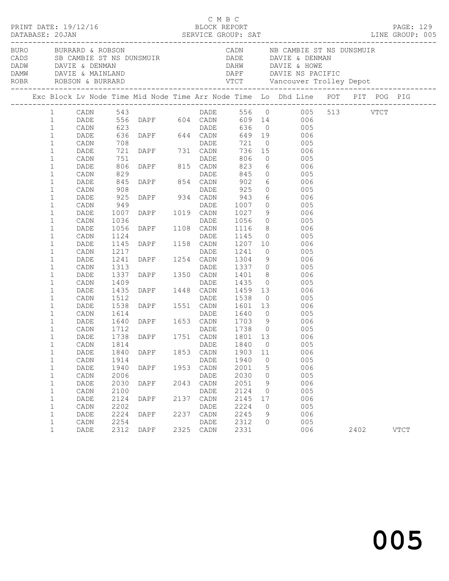|  |              |      |                   |                                                                                                                   |      | C M B C     |      |         | PAGE: 129<br>LINE GROUP: 005                                                                                                                                                                                                                   |      |             |  |
|--|--------------|------|-------------------|-------------------------------------------------------------------------------------------------------------------|------|-------------|------|---------|------------------------------------------------------------------------------------------------------------------------------------------------------------------------------------------------------------------------------------------------|------|-------------|--|
|  |              |      |                   |                                                                                                                   |      |             |      |         | BURO BURRARD & ROBSON CADN NB CAMBIE ST NS DUNSMUIR<br>CADS SB CAMBIE ST NS DUNSMUIR DADE DAVIE & DENMAN<br>DADW DAVIE & DENMAN DAVIE & MAINLAND DAPF DAVIE NS PACIFIC<br>ROBR ROBSON & BURRARD VTCT Vancouver Trolley Depot<br>------         |      |             |  |
|  |              |      |                   |                                                                                                                   |      |             |      |         | Exc Block Lv Node Time Mid Node Time Arr Node Time Lo Dhd Line POT PIT POG PIG                                                                                                                                                                 |      |             |  |
|  | $\mathbf{1}$ | CADN |                   |                                                                                                                   |      |             |      |         | 543<br>556 DAPF 604 CADN 609 14 006<br>623 DAPF 644 CADN 649 19 006<br>636 DAPF 644 CADN 649 19 006<br>708                                                                                                                                     |      |             |  |
|  | $\mathbf{1}$ | DADE |                   |                                                                                                                   |      |             |      |         |                                                                                                                                                                                                                                                |      |             |  |
|  | $\mathbf{1}$ | CADN |                   |                                                                                                                   |      |             |      |         |                                                                                                                                                                                                                                                |      |             |  |
|  | $\mathbf{1}$ | DADE |                   |                                                                                                                   |      |             |      |         |                                                                                                                                                                                                                                                |      |             |  |
|  | $\mathbf 1$  | CADN | 708<br>721<br>751 | DADE<br>DAPF 731 CADN<br>DAPF 815 CADN                                                                            |      |             | 721  |         | $0 \qquad \qquad 005$                                                                                                                                                                                                                          |      |             |  |
|  | $\mathbf 1$  | DADE |                   |                                                                                                                   |      |             |      |         | 736 15 006<br>806 0 005                                                                                                                                                                                                                        |      |             |  |
|  | $\mathbf 1$  | CADN |                   |                                                                                                                   |      |             |      |         |                                                                                                                                                                                                                                                |      |             |  |
|  | $\mathbf 1$  | DADE | 806               |                                                                                                                   |      |             | 823  |         | 6 006                                                                                                                                                                                                                                          |      |             |  |
|  | $\mathbf{1}$ | CADN | 829               |                                                                                                                   |      |             |      |         | 845 0 005                                                                                                                                                                                                                                      |      |             |  |
|  | $\mathbf{1}$ | DADE | 845<br>908        |                                                                                                                   |      |             | 902  |         | 6 006<br>0 005                                                                                                                                                                                                                                 |      |             |  |
|  | $\mathbf 1$  | CADN |                   |                                                                                                                   |      | DADE        | 925  |         |                                                                                                                                                                                                                                                |      |             |  |
|  | $\mathbf{1}$ | DADE | 925               |                                                                                                                   |      |             |      |         | $943$ 6 006                                                                                                                                                                                                                                    |      |             |  |
|  | $\mathbf 1$  | CADN | 949               |                                                                                                                   |      |             |      |         | 1007 0 005                                                                                                                                                                                                                                     |      |             |  |
|  | 1            | DADE | 1007              |                                                                                                                   |      |             | 1027 |         | $\frac{9}{2}$ 006                                                                                                                                                                                                                              |      |             |  |
|  | $\mathbf 1$  | CADN | 1036              |                                                                                                                   |      |             |      |         | 1056  0  005<br>1116  8  006                                                                                                                                                                                                                   |      |             |  |
|  | $\mathbf{1}$ | DADE | 1056              |                                                                                                                   |      |             |      |         |                                                                                                                                                                                                                                                |      |             |  |
|  | $\mathbf{1}$ | CADN | 1124              |                                                                                                                   |      |             |      |         | 1145 0 005                                                                                                                                                                                                                                     |      |             |  |
|  | 1            | DADE | 1145              |                                                                                                                   |      |             |      |         | 1207 10 006                                                                                                                                                                                                                                    |      |             |  |
|  | $\mathbf{1}$ | CADN | 1217              | DAPE 934 CADN<br>DADE DAPE 1019 CADN<br>DADE DAPE 1108 CADN<br>DAPE 1158 CADN<br>DAPE 1158 CADN<br>DAPE 1254 CADN |      |             |      |         | 1241 0 005<br>1304 9 006                                                                                                                                                                                                                       |      |             |  |
|  | $\mathbf{1}$ | DADE | 1241              |                                                                                                                   |      |             |      |         |                                                                                                                                                                                                                                                |      |             |  |
|  | $\mathbf{1}$ | CADN | 1313              | DAPE 1350 CADN                                                                                                    |      |             |      |         | 1337 0 005                                                                                                                                                                                                                                     |      |             |  |
|  | $\mathbf{1}$ | DADE | 1337              |                                                                                                                   |      |             |      |         | 1401 8 006                                                                                                                                                                                                                                     |      |             |  |
|  | 1            | CADN | 1409              |                                                                                                                   |      | DADE        |      |         |                                                                                                                                                                                                                                                |      |             |  |
|  | $\mathbf{1}$ | DADE |                   |                                                                                                                   |      |             |      |         |                                                                                                                                                                                                                                                |      |             |  |
|  | $\mathbf{1}$ | CADN | 1512              |                                                                                                                   |      |             |      |         |                                                                                                                                                                                                                                                |      |             |  |
|  | $\mathbf{1}$ | DADE | 1538              |                                                                                                                   |      |             |      |         |                                                                                                                                                                                                                                                |      |             |  |
|  | 1            | CADN | 1614<br>1640      |                                                                                                                   |      |             |      |         |                                                                                                                                                                                                                                                |      |             |  |
|  | $\mathbf{1}$ | DADE |                   |                                                                                                                   |      |             |      |         | 1409 DADE 1435 0 005<br>1435 DAPF 1448 CADN 1459 13 006<br>1512 DADE 1538 0 005<br>1538 DAPF 1551 CADN 1601 13 006<br>1614 DADE 1640 0 005<br>1640 DAPF 1653 CADN 1703 9 006<br>1712 DADE 1738 0 005<br>1738 DAPF 1751 CADN 1801 13 006<br>173 |      |             |  |
|  | $\mathbf 1$  | CADN | 1712              |                                                                                                                   |      |             |      |         |                                                                                                                                                                                                                                                |      |             |  |
|  | $\mathbf 1$  | DADE |                   |                                                                                                                   |      |             |      |         |                                                                                                                                                                                                                                                |      |             |  |
|  | $1\,$        | CADN | 1814              |                                                                                                                   |      | DADE 1840 0 |      |         | 005                                                                                                                                                                                                                                            |      |             |  |
|  | 1            | DADE | 1840              | DAPF                                                                                                              | 1853 | CADN        | 1903 | 11      | 006                                                                                                                                                                                                                                            |      |             |  |
|  | 1            | CADN | 1914              |                                                                                                                   |      | DADE        | 1940 | 0       | 005                                                                                                                                                                                                                                            |      |             |  |
|  | 1            | DADE | 1940              | DAPF                                                                                                              | 1953 | CADN        | 2001 | 5       | 006                                                                                                                                                                                                                                            |      |             |  |
|  | 1            | CADN | 2006              |                                                                                                                   |      | DADE        | 2030 | $\circ$ | 005                                                                                                                                                                                                                                            |      |             |  |
|  | 1            | DADE | 2030              | DAPF                                                                                                              | 2043 | CADN        | 2051 | 9       | 006                                                                                                                                                                                                                                            |      |             |  |
|  | $\mathbf 1$  | CADN | 2100              |                                                                                                                   |      | DADE        | 2124 | $\circ$ | 005                                                                                                                                                                                                                                            |      |             |  |
|  | 1            | DADE | 2124              | DAPF                                                                                                              | 2137 | CADN        | 2145 | 17      | 006                                                                                                                                                                                                                                            |      |             |  |
|  | $\mathbf 1$  | CADN | 2202              |                                                                                                                   |      | DADE        | 2224 | 0       | 005                                                                                                                                                                                                                                            |      |             |  |
|  | 1            | DADE | 2224              | DAPF                                                                                                              | 2237 | CADN        | 2245 | 9       | 006                                                                                                                                                                                                                                            |      |             |  |
|  | $\mathbf 1$  | CADN | 2254              |                                                                                                                   |      | DADE        | 2312 | 0       | 005                                                                                                                                                                                                                                            |      |             |  |
|  | $\mathbf{1}$ | DADE | 2312              | DAPF                                                                                                              | 2325 | CADN        | 2331 |         | 006                                                                                                                                                                                                                                            | 2402 | <b>VTCT</b> |  |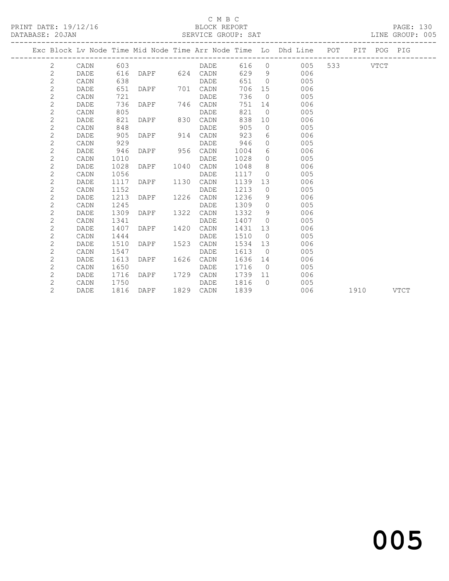## C M B C<br>BLOCK REPORT

### SERVICE GROUP: SAT

|  |                |      |      |               |      |             |      |                | Exc Block Lv Node Time Mid Node Time Arr Node Time Lo Dhd Line POT |      | PIT POG PIG |             |
|--|----------------|------|------|---------------|------|-------------|------|----------------|--------------------------------------------------------------------|------|-------------|-------------|
|  | 2              | CADN | 603  |               |      | DADE        |      |                | 616 0<br>005                                                       |      | VTCT        |             |
|  | $\overline{c}$ | DADE | 616  | DAPF 624 CADN |      |             | 629  | - 9            | 006                                                                |      |             |             |
|  | $\overline{c}$ | CADN | 638  |               |      | <b>DADE</b> | 651  | $\bigcirc$     | 005                                                                |      |             |             |
|  | $\mathbf 2$    | DADE | 651  | DAPF          | 701  | CADN        | 706  | 15             | 006                                                                |      |             |             |
|  | $\overline{c}$ | CADN | 721  |               |      | DADE        | 736  | $\bigcirc$     | 005                                                                |      |             |             |
|  | $\overline{2}$ | DADE | 736  | DAPF          |      | 746 CADN    | 751  | 14             | 006                                                                |      |             |             |
|  | $\overline{c}$ | CADN | 805  |               |      | DADE        | 821  | $\overline{0}$ | 005                                                                |      |             |             |
|  | $\overline{c}$ | DADE | 821  | DAPF          | 830  | CADN        | 838  | 10             | 006                                                                |      |             |             |
|  | $\overline{c}$ | CADN | 848  |               |      | <b>DADE</b> | 905  | $\bigcirc$     | 005                                                                |      |             |             |
|  | $\overline{c}$ | DADE | 905  | DAPF          | 914  | CADN        | 923  | 6              | 006                                                                |      |             |             |
|  | $\overline{c}$ | CADN | 929  |               |      | DADE        | 946  | $\Omega$       | 005                                                                |      |             |             |
|  | $\overline{c}$ | DADE | 946  | DAPF          | 956  | CADN        | 1004 | 6              | 006                                                                |      |             |             |
|  | $\overline{c}$ | CADN | 1010 |               |      | DADE        | 1028 | $\circ$        | 005                                                                |      |             |             |
|  | $\overline{c}$ | DADE | 1028 | DAPF          | 1040 | CADN        | 1048 | 8              | 006                                                                |      |             |             |
|  | $\overline{c}$ | CADN | 1056 |               |      | DADE        | 1117 | $\Omega$       | 005                                                                |      |             |             |
|  | $\overline{c}$ | DADE | 1117 | DAPF          | 1130 | CADN        | 1139 | 13             | 006                                                                |      |             |             |
|  | $\overline{c}$ | CADN | 1152 |               |      | DADE        | 1213 | $\circ$        | 005                                                                |      |             |             |
|  | $\overline{2}$ | DADE | 1213 | DAPF          | 1226 | CADN        | 1236 | 9              | 006                                                                |      |             |             |
|  | $\overline{c}$ | CADN | 1245 |               |      | DADE        | 1309 | $\circ$        | 005                                                                |      |             |             |
|  | $\overline{c}$ | DADE | 1309 | DAPF          | 1322 | CADN        | 1332 | 9              | 006                                                                |      |             |             |
|  | $\overline{c}$ | CADN | 1341 |               |      | DADE        | 1407 | $\Omega$       | 005                                                                |      |             |             |
|  | $\overline{c}$ | DADE | 1407 | DAPF          | 1420 | CADN        | 1431 | 13             | 006                                                                |      |             |             |
|  | $\mathbf{2}$   | CADN | 1444 |               |      | DADE        | 1510 | $\bigcirc$     | 005                                                                |      |             |             |
|  | $\overline{c}$ | DADE | 1510 | DAPF          | 1523 | CADN        | 1534 | 13             | 006                                                                |      |             |             |
|  | $\mathbf{2}$   | CADN | 1547 |               |      | DADE        | 1613 | $\bigcirc$     | 005                                                                |      |             |             |
|  | $\overline{c}$ | DADE | 1613 | DAPF          | 1626 | CADN        | 1636 | 14             | 006                                                                |      |             |             |
|  | $\overline{c}$ | CADN | 1650 |               |      | DADE        | 1716 | $\bigcirc$     | 005                                                                |      |             |             |
|  | $\mathbf{2}$   | DADE | 1716 | DAPF          | 1729 | CADN        | 1739 | 11             | 006                                                                |      |             |             |
|  | $\overline{c}$ | CADN | 1750 |               |      | DADE        | 1816 | $\bigcap$      | 005                                                                |      |             |             |
|  | $\overline{c}$ | DADE | 1816 | DAPF          | 1829 | CADN        | 1839 |                | 006                                                                | 1910 |             | <b>VTCT</b> |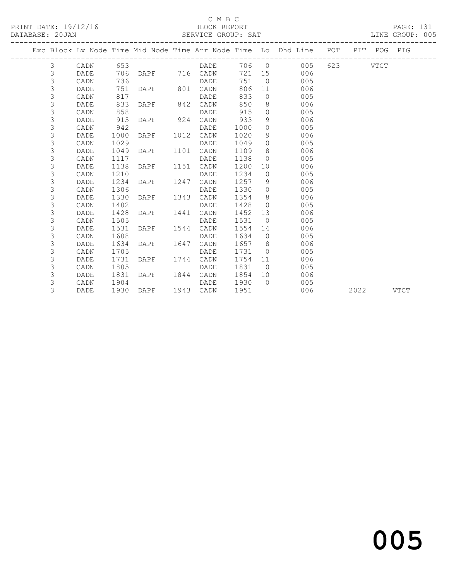# C M B C<br>BLOCK REPORT

| PRINT DATE: 19/12/16<br>DATABASE: 20JAN |             |      |                |      | . C 11 D C<br>BLOCK REPORT<br>SERVICE GROUP: SAT |        |                |                                                                                |  | PAGE: 131<br>LINE GROUP: 005 |  |
|-----------------------------------------|-------------|------|----------------|------|--------------------------------------------------|--------|----------------|--------------------------------------------------------------------------------|--|------------------------------|--|
|                                         |             |      |                |      |                                                  |        |                | Exc Block Lv Node Time Mid Node Time Arr Node Time Lo Dhd Line POT PIT POG PIG |  |                              |  |
| $\mathcal{S}$                           | CADN 653    |      |                |      |                                                  |        |                | DADE 706 0 005 623 VTCT                                                        |  |                              |  |
| $\mathcal{S}$                           | DADE        |      |                |      | 706 DAPF 716 CADN                                |        |                | 721 15 006                                                                     |  |                              |  |
| $\mathfrak{Z}$                          | CADN        | 736  |                |      | DADE                                             | 751    |                | $\overline{0}$<br>005                                                          |  |                              |  |
| 3                                       | DADE        | 751  | DAPF 801 CADN  |      |                                                  | 806    |                | 11 \,<br>006                                                                   |  |                              |  |
| 3                                       | CADN        | 817  |                |      | DADE                                             | 833    |                | $\overline{0}$<br>005                                                          |  |                              |  |
| 3                                       | DADE        | 833  | DAPF 842 CADN  |      |                                                  | 850    |                | 8 <sup>1</sup><br>006                                                          |  |                              |  |
| 3                                       | CADN        | 858  |                |      | DADE                                             | 915    | $\overline{0}$ | 005                                                                            |  |                              |  |
| 3                                       | DADE        | 915  | DAPF 924 CADN  |      |                                                  | 933    | 9              | 006                                                                            |  |                              |  |
| 3                                       | CADN        | 942  |                |      | DADE                                             | 1000   | $\circ$        | 005                                                                            |  |                              |  |
| 3                                       | DADE        | 1000 | DAPF           | 1012 | CADN                                             | 1020   | 9              | $006$                                                                          |  |                              |  |
| 3                                       | CADN        | 1029 |                |      | DADE                                             | 1049   | $\overline{0}$ | 005                                                                            |  |                              |  |
| 3                                       | DADE        | 1049 | DAPF           | 1101 | CADN                                             | 1109   | 8 <sup>8</sup> | 006                                                                            |  |                              |  |
| 3                                       | CADN        | 1117 |                |      | DADE                                             | 1138   | $\overline{0}$ | 005                                                                            |  |                              |  |
| 3                                       | DADE        | 1138 | DAPF           | 1151 | CADN                                             | 1200   | 10             | 006                                                                            |  |                              |  |
| 3                                       | CADN        | 1210 |                |      | DADE                                             | 1234   | $\overline{0}$ | 005                                                                            |  |                              |  |
| 3                                       | DADE        | 1234 | DAPF           | 1247 | CADN                                             | 1257 9 |                | 006                                                                            |  |                              |  |
| 3                                       | CADN        | 1306 |                |      | DADE                                             | 1330 0 |                | 005                                                                            |  |                              |  |
| 3                                       | DADE        | 1330 | DAPF           | 1343 | CADN                                             | 1354 8 |                | 006                                                                            |  |                              |  |
| 3                                       | CADN        | 1402 |                |      | DADE                                             | 1428   | $\overline{0}$ | 005                                                                            |  |                              |  |
| 3                                       | DADE        | 1428 | DAPF           | 1441 | CADN                                             | 1452   |                | 13<br>006                                                                      |  |                              |  |
| 3                                       | CADN        | 1505 |                |      | DADE                                             | 1531   |                | $\overline{0}$<br>005                                                          |  |                              |  |
| 3                                       | DADE        | 1531 | DAPF           | 1544 | CADN                                             | 1554   |                | 006<br>14                                                                      |  |                              |  |
| 3                                       | CADN        | 1608 |                |      | DADE                                             | 1634   | $\overline{0}$ | 005                                                                            |  |                              |  |
| 3                                       | <b>DADE</b> | 1634 | DAPF           | 1647 | CADN                                             | 1657 8 |                | 006                                                                            |  |                              |  |
| 3                                       | CADN        | 1705 |                |      | DADE                                             | 1731   | $\overline{0}$ | 005                                                                            |  |                              |  |
| 3                                       | DADE        | 1731 | DAPF           | 1744 | CADN                                             | 1754   |                | 006<br>11                                                                      |  |                              |  |
| 3                                       | CADN        | 1805 |                |      | DADE                                             | 1831   |                | $\overline{0}$<br>005                                                          |  |                              |  |
| 3                                       | DADE        | 1831 | DAPF 1844 CADN |      |                                                  | 1854   | 10             | 006                                                                            |  |                              |  |
| 3                                       | CADN        | 1904 |                |      | DADE                                             | 1930   | $\bigcap$      | 005                                                                            |  |                              |  |

3 DADE 1930 DAPF 1943 CADN 1951 006 2022 VTCT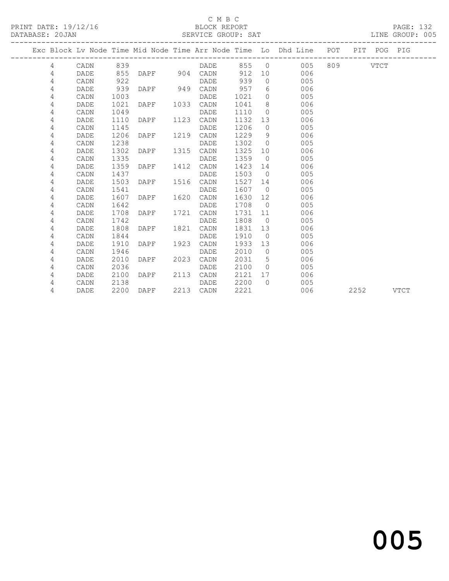## C M B C<br>BLOCK REPORT

PAGE: 132<br>LINE GROUP: 005

| DAIADAOL. ZUUAN |             |      |                |      | ODIVATOR GIVOOL . OUT |         |                |                                                                    |           |             | TIME GIVOOT . |
|-----------------|-------------|------|----------------|------|-----------------------|---------|----------------|--------------------------------------------------------------------|-----------|-------------|---------------|
|                 |             |      |                |      |                       |         |                | Exc Block Lv Node Time Mid Node Time Arr Node Time Lo Dhd Line POT |           | PIT POG PIG |               |
| $\overline{4}$  | CADN        | 839  |                |      | <b>DADE</b>           |         |                | 855 0 005 809 VTCT                                                 |           |             |               |
| 4               | DADE        | 855  |                |      | DAPF 904 CADN         | 912     | 10             | 006                                                                |           |             |               |
| 4               | CADN        | 922  |                |      | DADE                  | 939     | $\Omega$       | 005                                                                |           |             |               |
| 4               | DADE        | 939  | DAPF 949       |      | CADN                  | 957     |                | $6\degree$<br>006                                                  |           |             |               |
| 4               | CADN        | 1003 |                |      | DADE                  | 1021 0  |                | 005                                                                |           |             |               |
| 4               | DADE        | 1021 | DAPF 1033 CADN |      |                       | 1041 8  |                | 006                                                                |           |             |               |
| 4               | CADN        | 1049 |                |      | DADE                  | 1110    | $\overline{0}$ | 005                                                                |           |             |               |
| 4               | DADE        | 1110 | DAPF           | 1123 | CADN                  | 1132    |                | 006<br>13                                                          |           |             |               |
| 4               | CADN        | 1145 |                |      | DADE                  | 1206    | $\overline{0}$ | 005                                                                |           |             |               |
| 4               | DADE        | 1206 | DAPF 1219      |      | CADN                  | 1229    | 9              | 006                                                                |           |             |               |
| 4               | CADN        | 1238 |                |      | DADE                  | 1302    | $\overline{0}$ | 005                                                                |           |             |               |
| 4               | DADE        | 1302 | DAPF 1315      |      | CADN                  | 1325    |                | 006<br>10                                                          |           |             |               |
| 4               | CADN        | 1335 |                |      | DADE                  | 1359    |                | 005<br>$\overline{0}$                                              |           |             |               |
| 4               | DADE        | 1359 | DAPF           |      | 1412 CADN             | 1423 14 |                | 006                                                                |           |             |               |
| 4               | CADN        | 1437 |                |      | DADE                  | 1503    | $\bigcirc$     | 005                                                                |           |             |               |
| 4               | DADE        | 1503 | DAPF           | 1516 | CADN                  | 1527    |                | 006<br>14                                                          |           |             |               |
| 4               | CADN        | 1541 |                |      | DADE                  | 1607    |                | 005<br>$\overline{0}$                                              |           |             |               |
| 4               | DADE        | 1607 | DAPF 1620      |      | CADN                  | 1630    | 12             | 006                                                                |           |             |               |
| 4               | CADN        | 1642 |                |      | DADE                  | 1708    | $\overline{0}$ | 005                                                                |           |             |               |
| 4               | DADE        | 1708 | DAPF           | 1721 | CADN                  | 1731    | 11             | 006                                                                |           |             |               |
| 4               | CADN        | 1742 |                |      | DADE                  | 1808    |                | 005<br>$\overline{0}$                                              |           |             |               |
| 4               | DADE        | 1808 | DAPF           |      | 1821 CADN             | 1831    | 13             | 006                                                                |           |             |               |
| 4               | CADN        | 1844 |                |      | DADE                  | 1910    | $\bigcirc$     | 005                                                                |           |             |               |
| 4               | <b>DADE</b> | 1910 | DAPF           | 1923 | CADN                  | 1933    | 13             | 006                                                                |           |             |               |
| 4               | CADN        | 1946 |                |      | DADE                  | 2010    | $\overline{0}$ | 005                                                                |           |             |               |
| 4               | DADE        | 2010 | DAPF           | 2023 | CADN                  | 2031    | 5 <sup>5</sup> | 006                                                                |           |             |               |
| 4               | CADN        | 2036 |                |      | DADE                  | 2100    | $\bigcirc$     | 005                                                                |           |             |               |
| 4               | DADE        | 2100 | DAPF 2113      |      | CADN                  | 2121    |                | 17<br>006                                                          |           |             |               |
| 4               | CADN        | 2138 |                |      | DADE                  | 2200    | $\bigcap$      | 005                                                                |           |             |               |
| 4               | DADE        |      | 2200 DAPF      |      | 2213 CADN             | 2221    |                | 006                                                                | 2252 VTCT |             |               |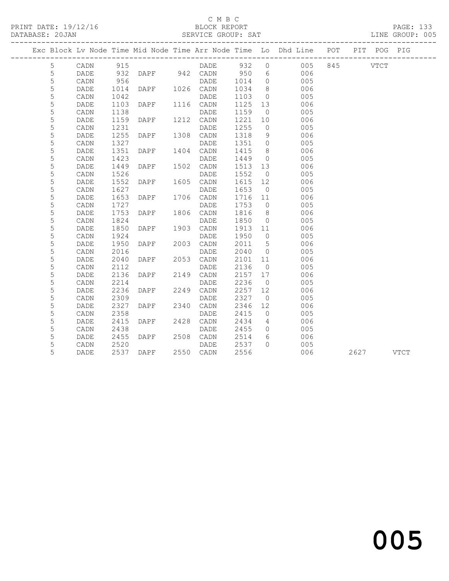## C M B C<br>BLOCK REPORT

### SERVICE GROUP: SAT

|             |                 |      |               |      |             |      |                | Exc Block Lv Node Time Mid Node Time Arr Node Time Lo Dhd Line POT PIT POG PIG |          |      |             |
|-------------|-----------------|------|---------------|------|-------------|------|----------------|--------------------------------------------------------------------------------|----------|------|-------------|
| 5           | $\mathtt{CADN}$ | 915  |               |      | DADE        | 932  | $\circ$        | 005                                                                            | 845 VTCT |      |             |
| 5           | DADE            | 932  | DAPF 942 CADN |      |             | 950  | 6              | 006                                                                            |          |      |             |
| 5           | CADN            | 956  |               |      | DADE        | 1014 | $\circ$        | 005                                                                            |          |      |             |
| 5           | DADE            | 1014 | DAPF          |      | 1026 CADN   | 1034 | 8              | 006                                                                            |          |      |             |
| $\mathsf S$ | CADN            | 1042 |               |      | DADE        | 1103 | $\circ$        | 005                                                                            |          |      |             |
| 5           | DADE            | 1103 | DAPF          | 1116 | CADN        | 1125 | 13             | 006                                                                            |          |      |             |
| 5           | CADN            | 1138 |               |      | <b>DADE</b> | 1159 | $\overline{0}$ | 005                                                                            |          |      |             |
| 5           | DADE            | 1159 | DAPF          | 1212 | CADN        | 1221 | 10             | 006                                                                            |          |      |             |
| 5           | CADN            | 1231 |               |      | DADE        | 1255 | $\circ$        | 005                                                                            |          |      |             |
| 5           | DADE            | 1255 | DAPF          | 1308 | CADN        | 1318 | 9              | 006                                                                            |          |      |             |
| 5           | CADN            | 1327 |               |      | DADE        | 1351 | $\circ$        | 005                                                                            |          |      |             |
| 5           | DADE            | 1351 | DAPF          | 1404 | CADN        | 1415 | 8              | 006                                                                            |          |      |             |
| 5           | CADN            | 1423 |               |      | <b>DADE</b> | 1449 | $\circ$        | 005                                                                            |          |      |             |
| 5           | DADE            | 1449 | DAPF          | 1502 | CADN        | 1513 | 13             | 006                                                                            |          |      |             |
| 5           | CADN            | 1526 |               |      | DADE        | 1552 | $\overline{0}$ | 005                                                                            |          |      |             |
| 5           | DADE            | 1552 | DAPF          | 1605 | CADN        | 1615 | 12             | 006                                                                            |          |      |             |
| 5           | CADN            | 1627 |               |      | DADE        | 1653 | $\overline{0}$ | 005                                                                            |          |      |             |
| 5           | DADE            | 1653 | DAPF          | 1706 | CADN        | 1716 | 11             | 006                                                                            |          |      |             |
| 5           | CADN            | 1727 |               |      | DADE        | 1753 | $\overline{0}$ | 005                                                                            |          |      |             |
| 5           | DADE            | 1753 | DAPF          | 1806 | CADN        | 1816 | 8              | 006                                                                            |          |      |             |
| 5           | CADN            | 1824 |               |      | DADE        | 1850 | $\circ$        | 005                                                                            |          |      |             |
| 5           | DADE            | 1850 | DAPF          | 1903 | CADN        | 1913 | 11             | 006                                                                            |          |      |             |
| 5           | CADN            | 1924 |               |      | DADE        | 1950 | $\overline{0}$ | 005                                                                            |          |      |             |
| 5           | DADE            | 1950 | DAPF          | 2003 | CADN        | 2011 | 5              | 006                                                                            |          |      |             |
| 5           | CADN            | 2016 |               |      | DADE        | 2040 | $\overline{0}$ | 005                                                                            |          |      |             |
| 5           | DADE            | 2040 | DAPF          | 2053 | CADN        | 2101 | 11             | 006                                                                            |          |      |             |
| 5           | CADN            | 2112 |               |      | DADE        | 2136 | $\overline{0}$ | 005                                                                            |          |      |             |
| 5           | DADE            | 2136 | DAPF          | 2149 | CADN        | 2157 | 17             | 006                                                                            |          |      |             |
| 5           | CADN            | 2214 |               |      | DADE        | 2236 | $\overline{0}$ | 005                                                                            |          |      |             |
| 5           | DADE            | 2236 | DAPF          | 2249 | CADN        | 2257 | 12             | 006                                                                            |          |      |             |
| 5           | CADN            | 2309 |               |      | DADE        | 2327 | $\overline{0}$ | 005                                                                            |          |      |             |
| 5           | DADE            | 2327 | DAPF          | 2340 | CADN        | 2346 | 12             | 006                                                                            |          |      |             |
| 5           | CADN            | 2358 |               |      | DADE        | 2415 | $\overline{0}$ | 005                                                                            |          |      |             |
| 5           | DADE            | 2415 | DAPF          | 2428 | CADN        | 2434 | $\overline{4}$ | 006                                                                            |          |      |             |
| 5           | CADN            | 2438 |               |      | DADE        | 2455 | $\circ$        | 005                                                                            |          |      |             |
| 5           | DADE            | 2455 | DAPF          | 2508 | CADN        | 2514 | 6              | 006                                                                            |          |      |             |
| 5           | CADN            | 2520 |               |      | DADE        | 2537 | $\Omega$       | 005                                                                            |          |      |             |
| 5           | DADE            | 2537 | DAPF          | 2550 | CADN        | 2556 |                | 006                                                                            |          | 2627 | <b>VTCT</b> |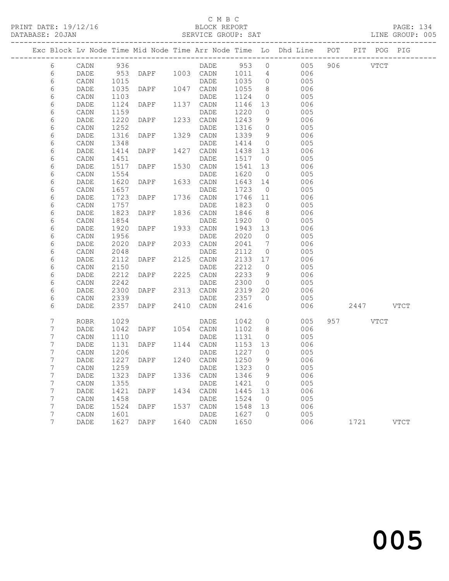## C M B C<br>BLOCK REPORT

### SERVICE GROUP: SAT

|                 |      |      |                |      |            |        |                              | Exc Block Lv Node Time Mid Node Time Arr Node Time Lo Dhd Line POT |           | PIT POG PIG |             |
|-----------------|------|------|----------------|------|------------|--------|------------------------------|--------------------------------------------------------------------|-----------|-------------|-------------|
| 6               | CADN | 936  |                |      | DADE 953 0 |        |                              | 005                                                                | 906 VTCT  |             |             |
| 6               | DADE | 953  | DAPF 1003 CADN |      |            | 1011   | $\overline{4}$               | 006                                                                |           |             |             |
| 6               | CADN | 1015 |                |      | DADE       | 1035   | $\overline{0}$               | 005                                                                |           |             |             |
| 6               | DADE | 1035 | DAPF           |      | 1047 CADN  | 1055   | 8                            | 006                                                                |           |             |             |
| 6               | CADN | 1103 |                |      | DADE       | 1124   | $\overline{0}$               | 005                                                                |           |             |             |
| 6               | DADE | 1124 | DAPF           |      | 1137 CADN  | 1146   | 13                           | 006                                                                |           |             |             |
| 6               | CADN | 1159 |                |      | DADE       | 1220   | $\overline{0}$               | 005                                                                |           |             |             |
| 6               | DADE | 1220 | DAPF           | 1233 | CADN       | 1243   | 9                            | 006                                                                |           |             |             |
| 6               | CADN | 1252 |                |      | DADE       | 1316   | $\overline{0}$               | 005                                                                |           |             |             |
| 6               | DADE | 1316 | DAPF           |      | 1329 CADN  | 1339   | 9                            | 006                                                                |           |             |             |
| 6               | CADN | 1348 |                |      | DADE       | 1414   | $\overline{0}$               | 005                                                                |           |             |             |
| 6               | DADE | 1414 | DAPF           | 1427 | CADN       | 1438   | 13                           | 006                                                                |           |             |             |
| 6               | CADN | 1451 |                |      | DADE       | 1517   | $\overline{0}$               | 005                                                                |           |             |             |
| 6               | DADE | 1517 | DAPF           | 1530 | CADN       | 1541   | 13                           | 006                                                                |           |             |             |
| 6               | CADN | 1554 |                |      | DADE       | 1620   | $\overline{0}$               | 005                                                                |           |             |             |
| 6               | DADE | 1620 | DAPF           | 1633 | CADN       | 1643   | 14                           | 006                                                                |           |             |             |
| 6               | CADN | 1657 |                |      | DADE       | 1723   | $\overline{0}$               | 005                                                                |           |             |             |
| 6               | DADE | 1723 | DAPF           |      | 1736 CADN  | 1746   | 11                           | 006                                                                |           |             |             |
| 6               | CADN | 1757 |                |      | DADE       | 1823   | $\overline{0}$               | 005                                                                |           |             |             |
| 6               | DADE | 1823 | DAPF           | 1836 | CADN       | 1846   | 8 <sup>8</sup>               | 006                                                                |           |             |             |
| 6               | CADN | 1854 |                |      | DADE       | 1920   | $\overline{0}$               | 005                                                                |           |             |             |
| 6               | DADE | 1920 | DAPF           |      | 1933 CADN  | 1943   | 13                           | 006                                                                |           |             |             |
| 6               | CADN | 1956 |                |      | DADE       | 2020   | $\overline{0}$               | 005                                                                |           |             |             |
| 6               | DADE | 2020 | DAPF           | 2033 | CADN       | 2041   | $7\phantom{.0}\phantom{.0}7$ | 006                                                                |           |             |             |
| 6               | CADN | 2048 |                |      | DADE       | 2112   | $\circ$                      | 005                                                                |           |             |             |
| 6               | DADE | 2112 | DAPF           | 2125 | CADN       | 2133   | 17                           | 006                                                                |           |             |             |
| 6               | CADN | 2150 |                |      | DADE       | 2212   | $\overline{0}$               | 005                                                                |           |             |             |
| 6               | DADE | 2212 | DAPF           | 2225 | CADN       | 2233   | 9                            | 006                                                                |           |             |             |
| 6               | CADN | 2242 |                |      | DADE       | 2300   | $\overline{0}$               | 005                                                                |           |             |             |
| 6               | DADE | 2300 | DAPF           |      | 2313 CADN  | 2319   | 20                           | 006                                                                |           |             |             |
| 6               | CADN | 2339 |                |      | DADE       | 2357   | $\bigcirc$                   | 005                                                                |           |             |             |
| 6               | DADE | 2357 | DAPF           | 2410 | CADN       | 2416   |                              | 006                                                                | 2447 VTCT |             |             |
| 7               | ROBR | 1029 |                |      | DADE       | 1042   | $\overline{0}$               | 005                                                                | 957 VTCT  |             |             |
| 7               | DADE | 1042 | DAPF           |      | 1054 CADN  | 1102   | 8                            | 006                                                                |           |             |             |
| 7               | CADN | 1110 |                |      | DADE       | 1131   | $\overline{0}$               | 005                                                                |           |             |             |
| 7               | DADE | 1131 | DAPF           | 1144 | CADN       | 1153   | 13                           | 006                                                                |           |             |             |
| 7               | CADN | 1206 |                |      | DADE       | 1227   | $\overline{0}$               | 005                                                                |           |             |             |
| 7               | DADE | 1227 | DAPF           |      | 1240 CADN  | 1250   | 9                            | 006                                                                |           |             |             |
| 7               | CADN | 1259 |                |      | DADE       | 1323 0 |                              | 005                                                                |           |             |             |
| 7               | DADE | 1323 | DAPF           |      | 1336 CADN  | 1346   | 9                            | 006                                                                |           |             |             |
| 7               | CADN | 1355 |                |      | DADE       | 1421   | $\overline{0}$               | 005                                                                |           |             |             |
| 7               | DADE | 1421 | DAPF           |      | 1434 CADN  | 1445   | 13                           | 006                                                                |           |             |             |
| 7               | CADN | 1458 |                |      | DADE       | 1524   | $\overline{0}$               | 005                                                                |           |             |             |
| 7               | DADE | 1524 | DAPF           | 1537 | CADN       | 1548   | 13                           | 006                                                                |           |             |             |
| 7               | CADN | 1601 |                |      | DADE       | 1627   | $\overline{0}$               | 005                                                                |           |             |             |
| $7\phantom{.0}$ | DADE | 1627 | DAPF           |      | 1640 CADN  | 1650   |                              | 006                                                                | 1721      |             | <b>VTCT</b> |
|                 |      |      |                |      |            |        |                              |                                                                    |           |             |             |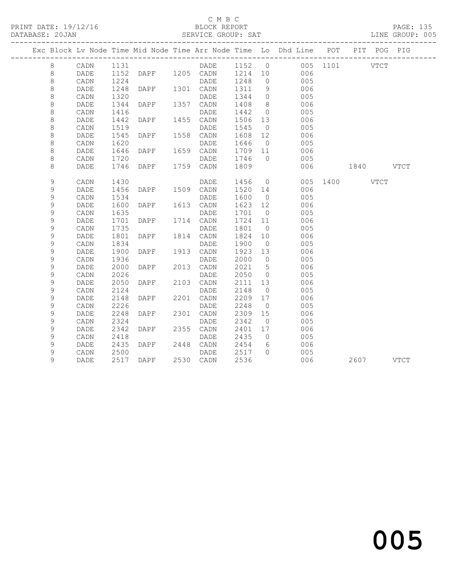## C M B C<br>BLOCK REPORT

| DATABASE: 20JAN |             | -------------------- |      |                | SERVICE GROUP: SAT          |         |                 |                                                                                |               |           | LINE GROUP: 005 |
|-----------------|-------------|----------------------|------|----------------|-----------------------------|---------|-----------------|--------------------------------------------------------------------------------|---------------|-----------|-----------------|
|                 |             |                      |      |                |                             |         |                 | Exc Block Lv Node Time Mid Node Time Arr Node Time Lo Dhd Line POT PIT POG PIG |               |           |                 |
|                 | 8           | CADN 1131            |      |                |                             |         |                 | DADE 1152 0 005 1101 VTCT                                                      |               |           |                 |
|                 | 8           | DADE                 |      |                | 1152 DAPF 1205 CADN 1214 10 |         |                 | 006                                                                            |               |           |                 |
|                 | 8           | CADN                 | 1224 |                | DADE                        | 1248    | $\overline{0}$  | 005                                                                            |               |           |                 |
|                 | 8           | DADE                 | 1248 | DAPF 1301 CADN |                             | 1311 9  |                 | 006                                                                            |               |           |                 |
|                 | $\,8\,$     | CADN                 | 1320 |                | DADE                        | 1344    | $\overline{0}$  | 005                                                                            |               |           |                 |
|                 | $\,8\,$     | DADE                 | 1344 | DAPF 1357 CADN |                             | 1408    | 8 <sup>8</sup>  | 006                                                                            |               |           |                 |
|                 | 8           | CADN                 | 1416 |                | DADE                        | 1442    | $\overline{0}$  | 005                                                                            |               |           |                 |
|                 | $\,8\,$     | DADE                 | 1442 | DAPF           | 1455 CADN                   | 1506 13 |                 | 006                                                                            |               |           |                 |
|                 | $\,8\,$     | CADN                 | 1519 |                | DADE                        | 1545    | $\overline{0}$  | 005                                                                            |               |           |                 |
|                 | $\,8\,$     | DADE                 | 1545 | DAPF           | 1558 CADN                   | 1608    | 12              | 006                                                                            |               |           |                 |
|                 | $\,8\,$     | CADN                 | 1620 |                | DADE                        | 1646    | $\overline{0}$  | 005                                                                            |               |           |                 |
|                 | $\,8\,$     | DADE                 | 1646 | DAPF           | 1659 CADN                   | 1709 11 |                 | 006                                                                            |               |           |                 |
|                 | 8           | CADN                 | 1720 |                | DADE                        | 1746    | $\bigcirc$      | 005                                                                            |               |           |                 |
|                 | 8           | DADE                 | 1746 | <b>DAPF</b>    | 1759 CADN                   | 1809    |                 | 006                                                                            | 1840 VTCT     |           |                 |
|                 | 9           | CADN                 | 1430 |                | DADE                        | 1456 0  |                 |                                                                                | 005 1400 VTCT |           |                 |
|                 | 9           | DADE                 | 1456 | DAPF 1509 CADN |                             | 1520 14 |                 | 006                                                                            |               |           |                 |
|                 | 9           | CADN                 | 1534 |                | DADE                        | 1600    | $\overline{0}$  | 005                                                                            |               |           |                 |
|                 | 9           | DADE                 | 1600 | DAPF 1613 CADN |                             | 1623 12 |                 | 006                                                                            |               |           |                 |
|                 | $\mathsf 9$ | CADN                 | 1635 |                | DADE                        | 1701 0  |                 | 005                                                                            |               |           |                 |
|                 | 9           | DADE                 | 1701 | DAPF           | 1714 CADN                   | 1724 11 |                 | 006                                                                            |               |           |                 |
|                 | 9           | CADN                 | 1735 |                | DADE                        | 1801    | $\overline{0}$  | 005                                                                            |               |           |                 |
|                 | 9           | DADE                 | 1801 | DAPF           | 1814 CADN                   | 1824    | 10              | 006                                                                            |               |           |                 |
|                 | $\mathsf 9$ | CADN                 | 1834 |                | DADE                        | 1900    | $\overline{0}$  | 005                                                                            |               |           |                 |
|                 | 9           | DADE                 | 1900 | DAPF           | 1913 CADN                   | 1923 13 |                 | 006                                                                            |               |           |                 |
|                 | 9           | CADN                 | 1936 |                | DADE                        | 2000    | $\overline{0}$  | 005                                                                            |               |           |                 |
|                 | 9           | DADE                 | 2000 | DAPF           | 2013 CADN                   | 2021    | $5\overline{)}$ | 006                                                                            |               |           |                 |
|                 | $\mathsf 9$ | CADN                 | 2026 |                | DADE                        | 2050    | $\overline{0}$  | 005                                                                            |               |           |                 |
|                 | 9           | DADE                 | 2050 | DAPF 2103 CADN |                             | 2111 13 |                 | 006                                                                            |               |           |                 |
|                 | $\mathsf 9$ | CADN                 | 2124 |                | DADE                        | 2148    | $\overline{0}$  | 005                                                                            |               |           |                 |
|                 | $\mathsf 9$ | DADE                 | 2148 | DAPF           | 2201 CADN                   | 2209 17 |                 | 006                                                                            |               |           |                 |
|                 | 9           | CADN                 | 2226 |                | DADE                        | 2248    | $\overline{0}$  | 005                                                                            |               |           |                 |
|                 | 9           | DADE                 | 2248 | DAPF           | 2301 CADN                   | 2309    | 15              | 006                                                                            |               |           |                 |
|                 | 9           | CADN                 | 2324 |                | DADE                        | 2342    | $\overline{0}$  | 005                                                                            |               |           |                 |
|                 | $\mathsf 9$ | DADE                 | 2342 | DAPF           | 2355 CADN                   | 2401    | 17              | 006                                                                            |               |           |                 |
|                 | 9           | CADN                 | 2418 |                | DADE                        | 2435    | $\overline{0}$  | 005                                                                            |               |           |                 |
|                 | 9           | DADE                 | 2435 | DAPF 2448 CADN |                             | 2454    | 6               | 006                                                                            |               |           |                 |
|                 | $\mathsf 9$ | CADN                 | 2500 |                | DADE                        | 2517 0  |                 | 005                                                                            |               |           |                 |
|                 | 9           | <b>DADE</b>          |      | 2517 DAPF      | 2530 CADN                   | 2536    |                 | 006                                                                            |               | 2607 VTCT |                 |
|                 |             |                      |      |                |                             |         |                 |                                                                                |               |           |                 |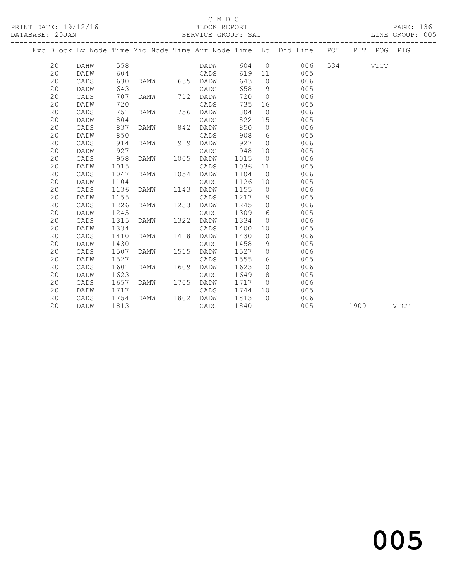## C M B C<br>BLOCK REPORT

### SERVICE GROUP: SAT

|  |    |      |      |      |      |             |      |                | Exc Block Lv Node Time Mid Node Time Arr Node Time Lo Dhd Line POT |     |      | PIT POG PIG |             |
|--|----|------|------|------|------|-------------|------|----------------|--------------------------------------------------------------------|-----|------|-------------|-------------|
|  | 20 | DAHW | 558  |      |      | <b>DADW</b> | 604  | $\overline{0}$ | 006                                                                | 534 |      | <b>VTCT</b> |             |
|  | 20 | DADW | 604  |      |      | CADS        | 619  | 11             | 005                                                                |     |      |             |             |
|  | 20 | CADS | 630  | DAMW |      | 635 DADW    | 643  | $\overline{0}$ | 006                                                                |     |      |             |             |
|  | 20 | DADW | 643  |      |      | CADS        | 658  | 9              | 005                                                                |     |      |             |             |
|  | 20 | CADS | 707  | DAMW | 712  | DADW        | 720  | $\overline{0}$ | 006                                                                |     |      |             |             |
|  | 20 | DADW | 720  |      |      | CADS        | 735  | 16             | 005                                                                |     |      |             |             |
|  | 20 | CADS | 751  | DAMW | 756  | DADW        | 804  | $\overline{0}$ | 006                                                                |     |      |             |             |
|  | 20 | DADW | 804  |      |      | CADS        | 822  | 15             | 005                                                                |     |      |             |             |
|  | 20 | CADS | 837  | DAMW | 842  | DADW        | 850  | $\circ$        | 006                                                                |     |      |             |             |
|  | 20 | DADW | 850  |      |      | CADS        | 908  | 6              | 005                                                                |     |      |             |             |
|  | 20 | CADS | 914  | DAMW | 919  | DADW        | 927  | $\overline{0}$ | 006                                                                |     |      |             |             |
|  | 20 | DADW | 927  |      |      | CADS        | 948  | 10             | 005                                                                |     |      |             |             |
|  | 20 | CADS | 958  | DAMW | 1005 | DADW        | 1015 | $\overline{0}$ | 006                                                                |     |      |             |             |
|  | 20 | DADW | 1015 |      |      | CADS        | 1036 | 11             | 005                                                                |     |      |             |             |
|  | 20 | CADS | 1047 | DAMW | 1054 | DADW        | 1104 | $\overline{0}$ | 006                                                                |     |      |             |             |
|  | 20 | DADW | 1104 |      |      | CADS        | 1126 | 10             | 005                                                                |     |      |             |             |
|  | 20 | CADS | 1136 | DAMW | 1143 | DADW        | 1155 | $\overline{0}$ | 006                                                                |     |      |             |             |
|  | 20 | DADW | 1155 |      |      | CADS        | 1217 | 9              | 005                                                                |     |      |             |             |
|  | 20 | CADS | 1226 | DAMW | 1233 | DADW        | 1245 | $\overline{0}$ | 006                                                                |     |      |             |             |
|  | 20 | DADW | 1245 |      |      | CADS        | 1309 | 6              | 005                                                                |     |      |             |             |
|  | 20 | CADS | 1315 | DAMW | 1322 | DADW        | 1334 | $\Omega$       | 006                                                                |     |      |             |             |
|  | 20 | DADW | 1334 |      |      | CADS        | 1400 | 10             | 005                                                                |     |      |             |             |
|  | 20 | CADS | 1410 | DAMW | 1418 | DADW        | 1430 | $\circ$        | 006                                                                |     |      |             |             |
|  | 20 | DADW | 1430 |      |      | CADS        | 1458 | 9              | 005                                                                |     |      |             |             |
|  | 20 | CADS | 1507 | DAMW | 1515 | DADW        | 1527 | $\circ$        | 006                                                                |     |      |             |             |
|  | 20 | DADW | 1527 |      |      | CADS        | 1555 | 6              | 005                                                                |     |      |             |             |
|  | 20 | CADS | 1601 | DAMW | 1609 | DADW        | 1623 | $\circ$        | 006                                                                |     |      |             |             |
|  | 20 | DADW | 1623 |      |      | CADS        | 1649 | 8              | 005                                                                |     |      |             |             |
|  | 20 | CADS | 1657 | DAMW | 1705 | DADW        | 1717 | $\Omega$       | 006                                                                |     |      |             |             |
|  | 20 | DADW | 1717 |      |      | CADS        | 1744 | 10             | 005                                                                |     |      |             |             |
|  | 20 | CADS | 1754 | DAMW | 1802 | DADW        | 1813 | $\Omega$       | 006                                                                |     |      |             |             |
|  | 20 | DADW | 1813 |      |      | CADS        | 1840 |                | 005                                                                |     | 1909 |             | <b>VTCT</b> |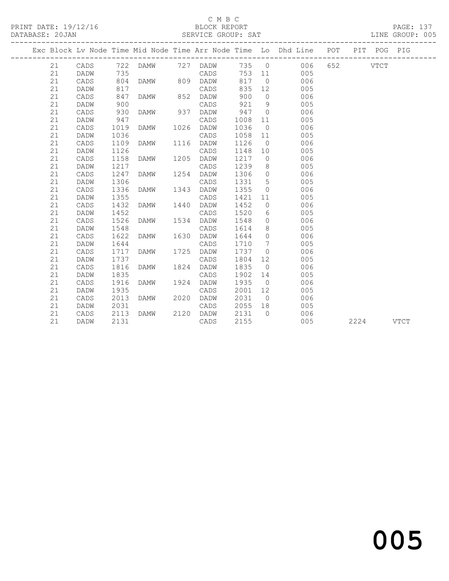# C M B C<br>BLOCK REPORT

SERVICE GROUP: SAT

|  |    |      |      |      |      |                        |         |                 | Exc Block Lv Node Time Mid Node Time Arr Node Time Lo Dhd Line POT PIT |  | POG       | PIG |
|--|----|------|------|------|------|------------------------|---------|-----------------|------------------------------------------------------------------------|--|-----------|-----|
|  | 21 |      |      |      |      | CADS 722 DAMW 727 DADW |         |                 | 735 0 006 652 VTCT                                                     |  |           |     |
|  | 21 | DADW | 735  |      |      | CADS<br>DADW           |         |                 | 753 11 005                                                             |  |           |     |
|  | 21 | CADS | 804  | DAMW |      | 809 DADW               | 817     | $\overline{0}$  | 006                                                                    |  |           |     |
|  | 21 | DADW | 817  |      |      | CADS                   | 835     | 12              | 005                                                                    |  |           |     |
|  | 21 | CADS | 847  | DAMW |      | 852 DADW               | 900     | $\overline{0}$  | 006                                                                    |  |           |     |
|  | 21 | DADW | 900  |      |      | CADS                   | 921     | 9               | 005                                                                    |  |           |     |
|  | 21 | CADS | 930  | DAMW |      | 937 DADW               | 947     | $\overline{0}$  | 006                                                                    |  |           |     |
|  | 21 | DADW | 947  |      |      | CADS                   | 1008    | 11              | 005                                                                    |  |           |     |
|  | 21 | CADS | 1019 | DAMW |      | 1026 DADW              | 1036    | $\overline{0}$  | 006                                                                    |  |           |     |
|  | 21 | DADW | 1036 |      |      | CADS                   | 1058 11 |                 | 005                                                                    |  |           |     |
|  | 21 | CADS | 1109 | DAMW |      | 1116 DADW              | 1126    | $\overline{0}$  | 006                                                                    |  |           |     |
|  | 21 | DADW | 1126 |      |      | CADS                   | 1148    | 10              | 005                                                                    |  |           |     |
|  | 21 | CADS | 1158 | DAMW | 1205 | DADW                   | 1217    | $\overline{0}$  | 006                                                                    |  |           |     |
|  | 21 | DADW | 1217 |      |      | CADS                   | 1239    | 8 <sup>8</sup>  | 005                                                                    |  |           |     |
|  | 21 | CADS | 1247 | DAMW | 1254 | DADW                   | 1306    | $\overline{0}$  | 006                                                                    |  |           |     |
|  | 21 | DADW | 1306 |      |      | CADS                   | 1331    | $5\overline{)}$ | 005                                                                    |  |           |     |
|  | 21 | CADS | 1336 | DAMW | 1343 | DADW                   | 1355    | $\overline{0}$  | 006                                                                    |  |           |     |
|  | 21 | DADW | 1355 |      |      | CADS                   | 1421    | 11              | 005                                                                    |  |           |     |
|  | 21 | CADS | 1432 | DAMW | 1440 | DADW                   | 1452    | $\overline{0}$  | 006                                                                    |  |           |     |
|  | 21 | DADW | 1452 |      |      | CADS                   | 1520    | 6               | 005                                                                    |  |           |     |
|  | 21 | CADS | 1526 | DAMW | 1534 | DADW                   | 1548    | $\overline{0}$  | 006                                                                    |  |           |     |
|  | 21 | DADW | 1548 |      |      | CADS                   | 1614    | 8               | 005                                                                    |  |           |     |
|  | 21 | CADS | 1622 | DAMW | 1630 | DADW                   | 1644    | $\bigcirc$      | 006                                                                    |  |           |     |
|  | 21 | DADW | 1644 |      |      | CADS                   | 1710    | $\overline{7}$  | 005                                                                    |  |           |     |
|  | 21 | CADS | 1717 | DAMW | 1725 | DADW                   | 1737    | $\overline{0}$  | 006                                                                    |  |           |     |
|  | 21 | DADW | 1737 |      |      | CADS                   | 1804    | 12              | 005                                                                    |  |           |     |
|  | 21 | CADS | 1816 | DAMW | 1824 | DADW                   | 1835    | $\overline{0}$  | 006                                                                    |  |           |     |
|  | 21 | DADW | 1835 |      |      | CADS                   | 1902 14 |                 | 005                                                                    |  |           |     |
|  | 21 | CADS | 1916 | DAMW | 1924 | DADW                   | 1935    | $\overline{0}$  | 006                                                                    |  |           |     |
|  | 21 | DADW | 1935 |      |      | CADS                   | 2001 12 |                 | 005                                                                    |  |           |     |
|  | 21 | CADS | 2013 | DAMW | 2020 | DADW                   | 2031    |                 | $\overline{0}$<br>006                                                  |  |           |     |
|  | 21 | DADW | 2031 |      |      | CADS                   | 2055 18 |                 | 005                                                                    |  |           |     |
|  | 21 | CADS | 2113 | DAMW |      | 2120 DADW              | 2131    | $\bigcap$       | 006                                                                    |  |           |     |
|  | 21 | DADW | 2131 |      |      | CADS                   | 2155    |                 | 005                                                                    |  | 2224 VTCT |     |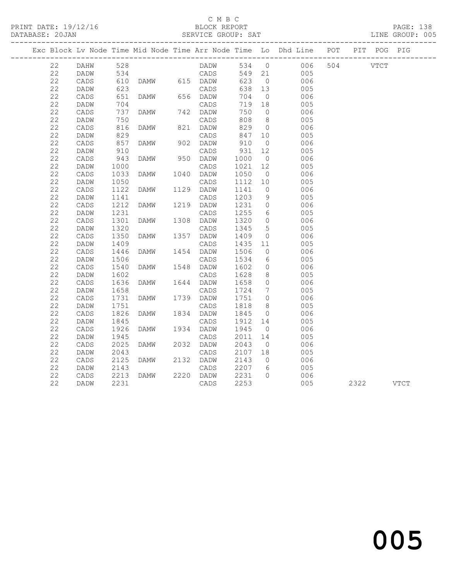# C M B C<br>BLOCK REPORT

|             |             |            | PRINT DATE: 19/12/16 BLOCK REPORT DATABASE: 20JAN SERVICE GROUP: SAT |             |                  |                 |                                                                                |  | PAGE: 138<br>LINE GROUP: 005 |
|-------------|-------------|------------|----------------------------------------------------------------------|-------------|------------------|-----------------|--------------------------------------------------------------------------------|--|------------------------------|
|             |             |            |                                                                      |             |                  |                 | Exc Block Lv Node Time Mid Node Time Arr Node Time Lo Dhd Line POT PIT POG PIG |  |                              |
|             |             |            | 22 DAHW 528                                                          |             |                  |                 | DADW 534 0 006 504 VTCT                                                        |  |                              |
| 22          | DADW        |            | 534                                                                  | CADS 549 21 |                  |                 | 005                                                                            |  |                              |
| 22          | CADS        |            |                                                                      |             | 623              |                 | $\begin{array}{c} 0 \\ 13 \end{array}$<br>006                                  |  |                              |
| 22          | DADW        |            |                                                                      |             | 638              |                 | 005                                                                            |  |                              |
| 22          | CADS        |            | 651 DAMW 656 DADW                                                    |             | 704              | $\overline{0}$  | 006                                                                            |  |                              |
| 22          | DADW        | 704        |                                                                      |             | 719              | 18              | 005                                                                            |  |                              |
| 22          | CADS        | 737        |                                                                      |             | 750              | $\overline{0}$  | 006                                                                            |  |                              |
| 22          | DADW        | 750        |                                                                      | CADS        | 808              | 8 <sup>8</sup>  | 005                                                                            |  |                              |
| 22          | CADS        | 816        | <b>DAMW</b>                                                          | 821 DADW    | 829              | $\overline{0}$  | 006                                                                            |  |                              |
| 22          | DADW        | 829        |                                                                      | CADS        | 847              | 10              | 005                                                                            |  |                              |
| 22          | CADS        | 857<br>910 | CADS<br>DAMW 902 DADW                                                |             | 9⊥<br>931<br>^ባር | $\overline{0}$  | 006                                                                            |  |                              |
| 22          | DADW        |            |                                                                      | CADS        |                  | 12              | 005                                                                            |  |                              |
| 22          | CADS        | 943        | <b>DAMW</b>                                                          | 950 DADW    | 1000             | $\overline{0}$  | 006                                                                            |  |                              |
| 22          | DADW        | 1000       |                                                                      | CADS        | 1021             | 12              | 005                                                                            |  |                              |
| 22          | CADS        | 1033       | DAMW 1040 DADW                                                       |             | 1050             | $\overline{0}$  | 006                                                                            |  |                              |
| 22          | DADW        | 1050       |                                                                      | CADS        | 1112             | 10              | 005                                                                            |  |                              |
| 22          | CADS        | 1122       | DAMW 1129 DADW                                                       |             | 1141             | $\overline{0}$  | 006                                                                            |  |                              |
| 22          | DADW        | 1141       |                                                                      | CADS        | 1203             | 9               | 005                                                                            |  |                              |
| 22          | CADS        | 1212       | DAMW 1219 DADW                                                       |             | 1231             | $\overline{0}$  | 006                                                                            |  |                              |
| 22          | DADW        | 1231       |                                                                      | CADS        | 1255             | $6\overline{6}$ | 005                                                                            |  |                              |
| 22          | CADS        | 1301       | DAMW 1308 DADW                                                       |             | 1320             | $\overline{0}$  | 006                                                                            |  |                              |
| 22          | DADW        | 1320       | CADS<br>DAMW 1357 DADW                                               | CADS        | 1345             | $5^{\circ}$     | 005                                                                            |  |                              |
| 22          | CADS        | 1350       |                                                                      |             | 1409             | $\overline{0}$  | 006                                                                            |  |                              |
| 22          | DADW        | 1409       |                                                                      | CADS        | 1435             | 11              | 005                                                                            |  |                              |
| 22          | CADS        | 1446       | DAMW 1454 DADW                                                       |             | 1506             | $\overline{0}$  | 006                                                                            |  |                              |
| $2\sqrt{2}$ | DADW        | 1506       |                                                                      | CADS        | 1534<br>1602     | 6               | 005                                                                            |  |                              |
| 22          | CADS        | 1540       | DAMW 1548 DADW                                                       |             |                  | $\overline{0}$  | 006                                                                            |  |                              |
| 22          | DADW        | 1602       |                                                                      | CADS        | 1628             | 8               | 005                                                                            |  |                              |
| $2\sqrt{2}$ | CADS        | 1636       | DAMW 1644 DADW                                                       |             | 1658             | $\circ$         | 006                                                                            |  |                              |
| 22          | DADW        | 1658       |                                                                      | CADS        | 1724             | $\overline{7}$  | 005                                                                            |  |                              |
| 22          | CADS        | 1731       | DAMW 1739 DADW                                                       |             | 1751             | $\overline{0}$  | 006                                                                            |  |                              |
| 22          | <b>DADW</b> | 1751       |                                                                      | CADS        | 1818             | 8 <sup>8</sup>  | 005                                                                            |  |                              |
| 22          | CADS        | 1826       | DAMW                                                                 | 1834 DADW   | 1845             | $\overline{0}$  | 006                                                                            |  |                              |
| 22          | DADW        | 1845       |                                                                      | CADS        | 1912             | 14              | 005                                                                            |  |                              |
| 22          | CADS        | 1926       | DAMW 1934 DADW                                                       |             | 1945             |                 | $\overline{0}$<br>006                                                          |  |                              |
| 22          | DADW        | 1945       |                                                                      | CADS        | 2011             | 14              | 005                                                                            |  |                              |
| 22          | CADS        | 2025       | DAMW                                                                 | 2032 DADW   | 2043             | $\overline{0}$  | 006                                                                            |  |                              |
| 22          | <b>DADW</b> | 2043       |                                                                      | CADS        | 2107 18          |                 | 005                                                                            |  |                              |

 22 CADS 2125 DAMW 2132 DADW 2143 0 006 22 DADW 2143 CADS 2207 6 005 22 CADS 2213 DAMW 2220 DADW 2231 0 006

2322 VTCT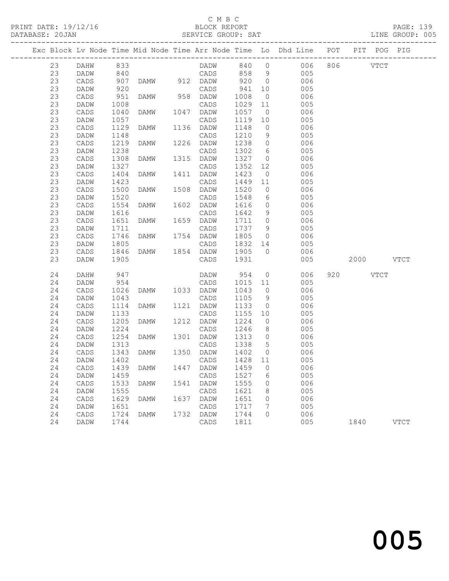# C M B C<br>BLOCK REPORT

SERVICE GROUP: SAT

|          |              |              |                                    |      |              |                |                 | Exc Block Lv Node Time Mid Node Time Arr Node Time Lo Dhd Line POT PIT POG PIG |           |             |
|----------|--------------|--------------|------------------------------------|------|--------------|----------------|-----------------|--------------------------------------------------------------------------------|-----------|-------------|
| 23       | DAHW         | 833          |                                    |      |              |                |                 | DADW 840 0 006 806 VTCT                                                        |           |             |
| 23       | DADW         | 840          |                                    |      | CADS 858 9   |                |                 | $005$                                                                          |           |             |
| 23       | CADS         | 907          | DAMW 912 DADW                      |      |              | 9200           |                 | 006                                                                            |           |             |
| 23       | DADW         | 920          |                                    |      | CADS         | 941            | 10              | 005                                                                            |           |             |
| 23       | CADS         | 951          | DAMW                               |      | 958 DADW     | 1008           | $\overline{0}$  | 006                                                                            |           |             |
| 23       | DADW         | 1008         |                                    |      | CADS         | 1029           |                 | $11$<br>005                                                                    |           |             |
| 23       | CADS         | 1040         | DAMW                               |      | 1047 DADW    | 1057           |                 | $\overline{0}$<br>006                                                          |           |             |
| 23       | DADW         | 1057         |                                    |      | CADS         | 1119           | 10              | 005                                                                            |           |             |
| 23       | CADS         | 1129         | DAMW                               |      | 1136 DADW    | 1148           | $\overline{0}$  | 006                                                                            |           |             |
| 23       | DADW         | 1148         |                                    |      | CADS         | 1210           | 9               | 005                                                                            |           |             |
| 23       | CADS         | 1219         | DAMW                               |      | 1226 DADW    | 1238 0         |                 | 006                                                                            |           |             |
| 23       | DADW         | 1238         |                                    |      | CADS         | 1302           | 6               | 005                                                                            |           |             |
| 23       | CADS         | 1308         | DAMW                               |      | 1315 DADW    | 1327           | $\overline{0}$  | 006                                                                            |           |             |
| 23       | DADW         | 1327         |                                    |      | CADS         | 1352           | 12              | 005                                                                            |           |             |
| 23       | CADS         | 1404         | DAMW                               |      | 1411 DADW    | 1423           |                 | $\overline{O}$<br>006                                                          |           |             |
| 23       | DADW         | 1423         |                                    |      | CADS         | 1449           | 11              | 005                                                                            |           |             |
| 23       | CADS         | 1500         | DAMW                               |      | 1508 DADW    | 1520           | $\overline{0}$  | 006                                                                            |           |             |
| 23       | DADW         | 1520         |                                    |      | CADS         | 1548           | $6\overline{6}$ | 005                                                                            |           |             |
| 23       | CADS         | 1554         | DAMW                               |      | 1602 DADW    | 1616           | $\overline{0}$  | 006                                                                            |           |             |
| 23       | DADW         | 1616         |                                    |      | CADS         | 1642           | 9               | 005                                                                            |           |             |
| 23       | CADS         | 1651         | DAMW                               |      | 1659 DADW    | 1711 0         |                 | 006                                                                            |           |             |
| 23       | DADW         | 1711         |                                    |      | CADS         | 1737 9         |                 | 005                                                                            |           |             |
| 23       | CADS         | 1746         | DAMW                               |      | 1754 DADW    | 1805           | $\overline{0}$  | 006                                                                            |           |             |
| 23       | DADW         | 1805         |                                    |      | CADS         | 1832 14        |                 | 005                                                                            |           |             |
| 23<br>23 | CADS         | 1846<br>1905 | DAMW 1854 DADW                     |      |              | 1905 0<br>1931 |                 | 006                                                                            |           |             |
|          | DADW         |              |                                    |      | CADS         |                |                 | 005                                                                            | 2000 VTCT |             |
| 24       | DAHW         | 947          |                                    |      | DADW         | 954 0          |                 | 006                                                                            | 920 VTCT  |             |
| 24       | DADW         | 954          |                                    |      | CADS         | 1015 11        |                 | 005                                                                            |           |             |
| 24       | CADS         | 1026         | DAMW 1033 DADW                     |      |              | 1043           | $\overline{0}$  | 006                                                                            |           |             |
| 24       | DADW         | 1043         |                                    |      | CADS         | 1105           | 9               | 005                                                                            |           |             |
| 24       | CADS         | 1114         | DAMW                               |      | 1121 DADW    | 1133           |                 | $\overline{0}$<br>006                                                          |           |             |
| 24       | DADW         | 1133         |                                    |      | CADS         | 1155           | 10              | 005                                                                            |           |             |
| 24       | CADS         | 1205         | DAMW                               |      | 1212 DADW    | 1224           | $\overline{0}$  | 006                                                                            |           |             |
| 24       | DADW         | 1224         |                                    |      | CADS         | 1246           | 8 <sup>8</sup>  | 005                                                                            |           |             |
| 24       | CADS         | 1254         | DAMW                               |      | 1301 DADW    | 1313           | $\overline{0}$  | 006                                                                            |           |             |
| 24       | DADW         | 1313         |                                    |      | CADS         | 1338           | $5\overline{)}$ | 005                                                                            |           |             |
| 24       | CADS         | 1343<br>1402 | DAMW                               |      | 1350 DADW    | 1402           | $\overline{0}$  | 006                                                                            |           |             |
| 24       | DADW         |              |                                    |      | CADS         | 1428 11        |                 | 005                                                                            |           |             |
|          |              |              | 24 CADS 1439 DAMW 1447 DADW 1459 0 |      |              |                |                 | 006                                                                            |           |             |
| 24       | DADW         | 1459         |                                    |      | CADS         | 1527           | 6               | 005                                                                            |           |             |
| 24<br>24 | CADS         | 1533         | DAMW                               | 1541 | DADW         | 1555<br>1621   | 0               | 006<br>005                                                                     |           |             |
| 24       | DADW<br>CADS | 1555<br>1629 | DAMW                               | 1637 | CADS<br>DADW | 1651           | 8<br>0          | 006                                                                            |           |             |
| 24       | DADW         | 1651         |                                    |      | CADS         | 1717           | 7               | 005                                                                            |           |             |
| 24       | CADS         | 1724         | DAMW                               | 1732 | DADW         | 1744           | 0               | 006                                                                            |           |             |
| 24       | DADW         | 1744         |                                    |      | CADS         | 1811           |                 | 005                                                                            | 1840      | <b>VTCT</b> |
|          |              |              |                                    |      |              |                |                 |                                                                                |           |             |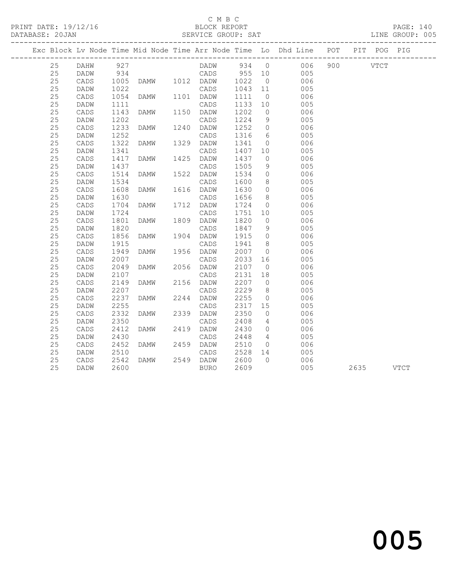# C M B C

PRINT DATE: 19/12/16 BLOCK REPORT PAGE: 140 DATABASE: 20JAN SERVICE GROUP: SAT ------------------------------------------------------------------------------------------------- Exc Block Lv Node Time Mid Node Time Arr Node Time Lo Dhd Line POT PIT POG PIG ------------------------------------------------------------------------------------------------- 25 DAHW 927 DADW 934 0 006 900 VTCT 25 DADW 934 CADS 955 10 005 25 CADS 1005 DAMW 1012 DADW 1022 0 006 25 DADW 1022 CADS 1043 11 005 25 CADS 1054 DAMW 1101 DADW 1111 0 006 25 DADW 1111 CADS 1133 10 005 25 CADS 1143 DAMW 1150 DADW 1202 0 006 25 DADW 1202 CADS 1224 9 005 25 CADS 1233 DAMW 1240 DADW 1252 0 006 25 DADW 1252 CADS 1316 6 005 25 CADS 1322 DAMW 1329 DADW 1341 0 006 25 DADW 1341 CADS 1407 10 005 25 CADS 1417 DAMW 1425 DADW 1437 0 006 25 DADW 1437 CADS 1505 9 005 25 CADS 1054 DAMW 1101 DADW 1111 0 006<br>
25 DADW 1111 0 CADS 1133 DAMW 1150 DADW 1202 0<br>
25 CADS 1143 DAMW 1150 DADW 1202 0<br>
25 CADS 1233 DAMW 1240 DADW 1252 0<br>
25 CADS 1233 DAMW 1340 DADW 1252 0<br>
25 CADS 1322 DAMW 1329 DAD 25 DADW 1534 CADS 1600 8 005 25 CADS 1608 DAMW 1616 DADW 1630 0 006 25 DADW 1630 CADS 1656 8 005 25 CADS 1704 DAMW 1712 DADW 1724 0 006 25 DADW 1724 CADS 1751 10 005 25 CADS 1801 DAMW 1809 DADW 1820 0 006 25 DADW 1820 CADS 1847 9 005 25 CADS 1856 DAMW 1904 DADW 1915 0 006 25 DADW 1915 CADS 1941 8 005 25 CADS 1949 DAMW 1956 DADW 2007 0 006 25 DADW 2007 CADS 2033 16 005 25 CADS 2049 DAMW 2056 DADW 2107 0 006 25 DADW 2107 CADS 2131 18 005 25 CADS 2149 DAMW 2156 DADW 2207 0 006 25 DADW 2207 CADS 2229 8 005 25 CADS 2237 DAMW 2244 DADW 2255 0 006 25 DADW 2255 CADS 2317 15 005 25 CADS 2332 DAMW 2339 DADW 2350 0 006 25 DADW 2350 CADS 2408 4 005 25 CADS 2412 DAMW 2419 DADW 2430 0 006 25 DADW 2007<br>
25 CADS 2049 DAMW 2056 DADW 2103 16<br>
25 DADW 2107<br>
25 DADW 2107<br>
25 CADS 2149 DAMW 2156 DADW 2207 0<br>
25 CADS 2207<br>
25 CADS 2237 DAMW 2156 DADW 2207 0<br>
25 CADS 2237 DAMW 2244 DADW 2255 0<br>
25 CADS 2237 DAMW 224 25 CADS 2452 DAMW 2459 DADW 2510 0<br>25 DADW 2510 0 CADS 2528 14

 25 DADW 2510 CADS 2528 14 005 25 CADS 2542 DAMW 2549 DADW 2600 0 006

25 DADW 2600 BURO 2609 005 2635 VTCT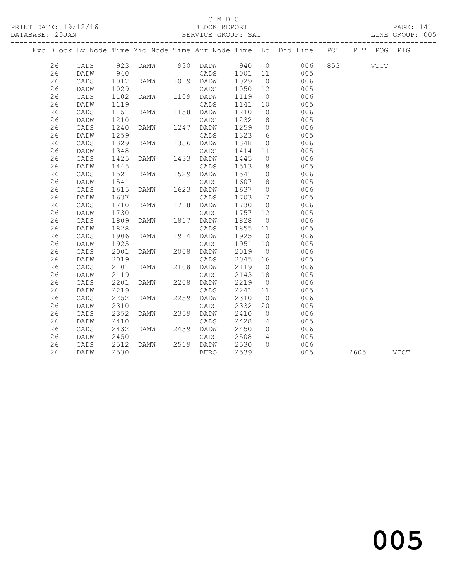# $\begin{tabular}{lllll} \multicolumn{2}{c}{\textbf{C} M B C} & \multicolumn{2}{c}{\textbf{C} M B C} \\ \multicolumn{2}{c}{\textbf{P RINT} \textbf{DATE: }} 19/12/16 & \multicolumn{2}{c}{\textbf{C} M B C} \\ \multicolumn{2}{c}{\textbf{D} M T} & \multicolumn{2}{c}{\textbf{D} M T} & \multicolumn{2}{c}{\textbf{D} M T} \\ \multicolumn{2}{c}{\textbf{D} M T} & \multicolumn{2}{c}{\textbf{D} M T} & \multicolumn{2}{c}{\textbf{D} M T} \\ \$

DATABASE: 20JAN SERVICE GROUP: SAT LINE GROUP: 005 -------------------------------------------------------------------------------------------------

| Exc Block Lv Node Time Mid Node Time Arr Node Time Lo Dhd Line |                 |              |             |      |                 |              |                      |            | POT | PIT  | POG         | PIG         |  |
|----------------------------------------------------------------|-----------------|--------------|-------------|------|-----------------|--------------|----------------------|------------|-----|------|-------------|-------------|--|
| 26                                                             | CADS            | 923          | DAMW        | 930  | DADW            | 940          | $\overline{0}$       | 006        | 853 |      | <b>VTCT</b> |             |  |
| 26                                                             | DADW            | 940          |             |      | CADS            | 1001         | 11                   | 005        |     |      |             |             |  |
| 26                                                             | CADS            | 1012         | DAMW        | 1019 | DADW            | 1029         | $\overline{0}$       | 006        |     |      |             |             |  |
| 26                                                             | DADW            | 1029         |             |      | CADS            | 1050         | 12                   | 005        |     |      |             |             |  |
| 26                                                             | CADS            | 1102         | <b>DAMW</b> | 1109 | DADW            | 1119         | $\circ$              | 006        |     |      |             |             |  |
| 26                                                             | DADW            | 1119         |             |      | CADS            | 1141         | 10                   | 005        |     |      |             |             |  |
| 26                                                             | CADS            | 1151         | <b>DAMW</b> | 1158 | DADW            | 1210         | $\circ$              | 006        |     |      |             |             |  |
| 26                                                             | DADW            | 1210         |             |      | CADS            | 1232         | 8                    | 005        |     |      |             |             |  |
| 26                                                             | CADS            | 1240         | DAMW        | 1247 | DADW            | 1259         | 0                    | 006        |     |      |             |             |  |
| 26                                                             | DADW            | 1259         |             |      | CADS            | 1323         | 6                    | 005        |     |      |             |             |  |
| 26                                                             | CADS            | 1329         | <b>DAMW</b> | 1336 | DADW            | 1348         | $\circ$              | 006        |     |      |             |             |  |
| 26                                                             | DADW            | 1348         |             |      | CADS            | 1414         | 11                   | 005        |     |      |             |             |  |
| 26                                                             | $\mathtt{CADS}$ | 1425         | <b>DAMW</b> | 1433 | DADW            | 1445         | $\circ$              | 006        |     |      |             |             |  |
| 26                                                             | DADW            | 1445         |             |      | CADS            | 1513         | 8                    | 005        |     |      |             |             |  |
| 26                                                             | CADS            | 1521         | <b>DAMW</b> | 1529 | DADW            | 1541         | $\circ$              | 006        |     |      |             |             |  |
| 26                                                             | DADW            | 1541         |             |      | CADS            | 1607         | 8                    | 005        |     |      |             |             |  |
| 26                                                             | CADS            | 1615         | <b>DAMW</b> | 1623 | DADW            | 1637         | $\circ$              | 006        |     |      |             |             |  |
| 26                                                             | DADW            | 1637         |             |      | CADS            | 1703         | 7                    | 005        |     |      |             |             |  |
| 26                                                             | CADS            | 1710         | <b>DAMW</b> | 1718 | DADW            | 1730         | $\circ$              | 006        |     |      |             |             |  |
| 26                                                             | DADW            | 1730         |             |      | CADS            | 1757         | 12                   | 005        |     |      |             |             |  |
| 26                                                             | CADS            | 1809         | DAMW        | 1817 | DADW            | 1828         | $\circ$              | 006        |     |      |             |             |  |
| 26                                                             | DADW            | 1828         |             |      | CADS            | 1855         | 11                   | 005        |     |      |             |             |  |
| 26                                                             | CADS            | 1906         | DAMW        | 1914 | DADW            | 1925         | $\overline{0}$       | 006        |     |      |             |             |  |
| 26                                                             | DADW            | 1925         |             |      | CADS            | 1951         | 10                   | 005        |     |      |             |             |  |
| 26                                                             | CADS            | 2001         | <b>DAMW</b> | 2008 | DADW            | 2019         | $\overline{0}$       | 006        |     |      |             |             |  |
| 26                                                             | DADW            | 2019         |             |      | $\mathtt{CADS}$ | 2045         | 16                   | 005        |     |      |             |             |  |
| 26                                                             | CADS            | 2101         | DAMW        | 2108 | DADW            | 2119         | $\overline{0}$       | 006        |     |      |             |             |  |
| 26                                                             | DADW            | 2119         |             |      | CADS            | 2143         | 18                   | 005        |     |      |             |             |  |
| 26                                                             | CADS            | 2201         | <b>DAMW</b> | 2208 | DADW            | 2219         | $\circ$              | 006        |     |      |             |             |  |
| 26<br>26                                                       | DADW            | 2219<br>2252 | <b>DAMW</b> |      | CADS            | 2241<br>2310 | 11<br>$\overline{0}$ | 005        |     |      |             |             |  |
| 26                                                             | CADS            | 2310         |             | 2259 | DADW            | 2332         |                      | 006        |     |      |             |             |  |
| 26                                                             | DADW<br>CADS    | 2352         | <b>DAMW</b> | 2359 | CADS<br>DADW    | 2410         | 20<br>$\circ$        | 005<br>006 |     |      |             |             |  |
| 26                                                             | DADW            | 2410         |             |      | CADS            | 2428         | 4                    | 005        |     |      |             |             |  |
| 26                                                             | CADS            | 2432         | <b>DAMW</b> | 2439 | DADW            | 2450         | $\circ$              | 006        |     |      |             |             |  |
| 26                                                             | DADW            | 2450         |             |      | CADS            | 2508         | 4                    | 005        |     |      |             |             |  |
| 26                                                             | CADS            | 2512         | DAMW        | 2519 | DADW            | 2530         | $\Omega$             | 006        |     |      |             |             |  |
| 26                                                             | DADW            | 2530         |             |      | <b>BURO</b>     | 2539         |                      | 005        |     | 2605 |             | <b>VTCT</b> |  |
|                                                                |                 |              |             |      |                 |              |                      |            |     |      |             |             |  |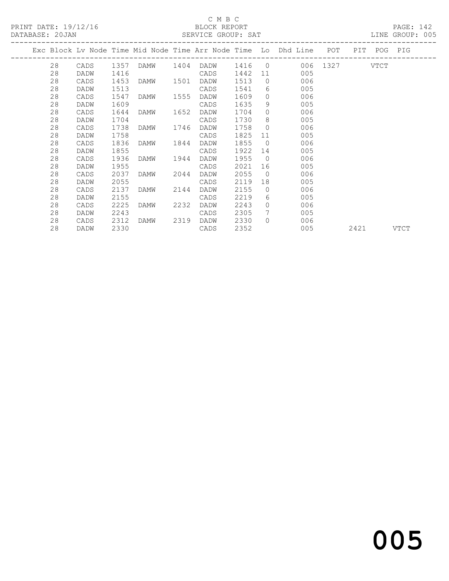PRINT DATE: 19/12/16 BLOCK REPORT<br>
DATABASE: 20.JAN SERVICE GROUP: SAT

# C M B C<br>BLOCK REPORT

PAGE: 142<br>LINE GROUP: 005

| DAIADAOL. ZUUAN |    |      |      |           | ALLAT SHOOL. WAI |      |                |                                                                    |      |             | TIME GIVOOT . |
|-----------------|----|------|------|-----------|------------------|------|----------------|--------------------------------------------------------------------|------|-------------|---------------|
|                 |    |      |      |           |                  |      |                | Exc Block Lv Node Time Mid Node Time Arr Node Time Lo Dhd Line POT |      | PIT POG PIG |               |
|                 | 28 | CADS |      |           |                  |      |                | 1357 DAMW 1404 DADW 1416 0 006 1327 VTCT                           |      |             |               |
|                 | 28 | DADW | 1416 |           | CADS             | 1442 |                | 11 7<br>005                                                        |      |             |               |
|                 | 28 | CADS | 1453 | DAMW 1501 | DADW             | 1513 |                | $\overline{0}$<br>006                                              |      |             |               |
|                 | 28 | DADW | 1513 |           | CADS             | 1541 |                | $6 \qquad \qquad$<br>005                                           |      |             |               |
|                 | 28 | CADS | 1547 | DAMW 1555 | DADW             | 1609 |                | $\Omega$<br>006                                                    |      |             |               |
|                 | 28 | DADW | 1609 |           | CADS             | 1635 | 9              | 005                                                                |      |             |               |
|                 | 28 | CADS | 1644 | DAMW 1652 | DADW             | 1704 | $\circ$        | 006                                                                |      |             |               |
|                 | 28 | DADW | 1704 |           | CADS             | 1730 | 8              | 005                                                                |      |             |               |
|                 | 28 | CADS | 1738 | DAMW 1746 | DADW             | 1758 | $\overline{0}$ | 006                                                                |      |             |               |
|                 | 28 | DADW | 1758 |           | CADS             | 1825 | 11             | 005                                                                |      |             |               |
|                 | 28 | CADS | 1836 | DAMW 1844 | DADW             | 1855 | $\overline{0}$ | 006                                                                |      |             |               |
|                 | 28 | DADW | 1855 |           | CADS             | 1922 | 14             | 005                                                                |      |             |               |
|                 | 28 | CADS | 1936 | DAMW 1944 | DADW             | 1955 |                | $\overline{0}$<br>006                                              |      |             |               |
|                 | 28 | DADW | 1955 |           | CADS             | 2021 |                | 005                                                                |      |             |               |
|                 | 28 | CADS | 2037 | DAMW 2044 | DADW             | 2055 |                | $\overline{0}$<br>006                                              |      |             |               |
|                 | 28 | DADW | 2055 |           | CADS             | 2119 |                | 005                                                                |      |             |               |
|                 | 28 | CADS | 2137 | DAMW 2144 | DADW             | 2155 | $\overline{0}$ | 006                                                                |      |             |               |
|                 | 28 | DADW | 2155 |           | CADS             | 2219 | 6              | 005                                                                |      |             |               |
|                 | 28 | CADS | 2225 | DAMW 2232 | DADW             | 2243 | $\circ$        | 006                                                                |      |             |               |
|                 | 28 | DADW | 2243 |           | CADS             | 2305 | $7\phantom{0}$ | 005                                                                |      |             |               |
|                 | 28 | CADS | 2312 | DAMW 2319 | DADW             | 2330 | $\bigcap$      | 006                                                                |      |             |               |
|                 | 28 | DADW | 2330 |           | CADS             | 2352 |                | 005                                                                | 2421 |             | VTCT          |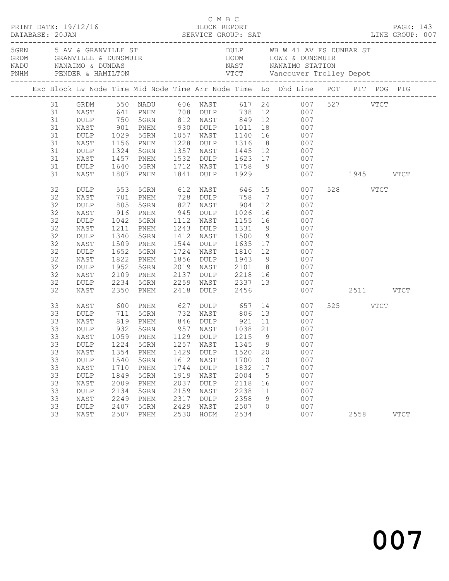|  |                                                                                  |                                                                                                                            |                                                                                                              |                                                                                                              |                                                                      |                                                                                                 |                                                                      |                                           | C M B C<br>PRINT DATE: 19/12/16 BLOCK REPORT PAGE: 143<br>DATABASE: 20JAN SERVICE GROUP: SAT LINE GROUP: 007                                                                                                                                                                                                                                  |                  |             |  |
|--|----------------------------------------------------------------------------------|----------------------------------------------------------------------------------------------------------------------------|--------------------------------------------------------------------------------------------------------------|--------------------------------------------------------------------------------------------------------------|----------------------------------------------------------------------|-------------------------------------------------------------------------------------------------|----------------------------------------------------------------------|-------------------------------------------|-----------------------------------------------------------------------------------------------------------------------------------------------------------------------------------------------------------------------------------------------------------------------------------------------------------------------------------------------|------------------|-------------|--|
|  |                                                                                  |                                                                                                                            |                                                                                                              |                                                                                                              |                                                                      |                                                                                                 |                                                                      |                                           | 5 AV & GRANVILLE ST AND STRIP OF DULP WE WALLE A DUNBAR STRIP OR ANYILLE & DUNSMUIR HODM HOWE & DUNSMUIR<br>SERD MANAIMO & DUNDAS NAST NANAIMO STATION<br>NADU PENDER & HAMILTON VTCT Vancouver Trolley Depot<br>-------------------                                                                                                          |                  |             |  |
|  |                                                                                  |                                                                                                                            |                                                                                                              |                                                                                                              |                                                                      |                                                                                                 |                                                                      |                                           | Exc Block Lv Node Time Mid Node Time Arr Node Time Lo Dhd Line POT PIT POG PIG                                                                                                                                                                                                                                                                |                  |             |  |
|  | 31<br>31<br>31<br>31<br>31<br>31<br>31<br>31<br>31<br>31                         | GRDM<br>NAST<br>DULP<br>NAST<br>DULP<br>NAST<br>DULP<br>NAST<br>DULP<br>NAST                                               | 1029<br>1156<br>1324<br>1457<br>1640<br>1807                                                                 | PNHM<br>5GRN<br>PNHM<br>5GRN<br>PNHM                                                                         | 1841                                                                 | <b>DULP</b>                                                                                     |                                                                      |                                           | 550 NADU 606 NAST 617 24 007 527 VTCT<br>641 PNHM 708 DULP 738 12 007<br>750 5GRN 812 NAST 849 12 007<br>901 PNHM 930 DULP 1011 18 007<br>5GRN 1057 NAST 1140 16 007<br>1228 DULP 1316 8 007<br>1357 NAST 1445 12 007<br>1532 DULP 1623 17 007<br>1712 NAST 1758 9 007<br>1929 007 1945 VTCT                                                  |                  |             |  |
|  | 32<br>32<br>32<br>32<br>32<br>32<br>32<br>32<br>32<br>32<br>32<br>32<br>32<br>32 | DULP<br>NAST<br>DULP<br>NAST<br>DULP<br>NAST<br>DULP<br>NAST<br>DULP<br>NAST<br>DULP<br>NAST<br>DULP<br>NAST               | 553<br>701<br>805<br>$916$<br>$1042$<br>1211<br>1340<br>1509<br>1652<br>1822<br>1952<br>2109<br>2234<br>2350 | 5GRN<br>PNHM<br>5GRN<br>PNHM<br>5GRN<br>PNHM<br>5GRN<br>PNHM<br>5GRN<br>PNHM<br>5GRN<br>PNHM<br>5GRN<br>PNHM | 827<br>2019<br>2137<br>2259<br>2418                                  | 1112 NAST                                                                                       |                                                                      |                                           | 612 NAST 646 15 007<br>728 DULP 758 7 007<br>NAST 904 12 007<br>945 DULP 1026 16 007<br>1112 NAST 1155 16 007<br>1243 DULP 1331 9 007<br>1412 NAST 1500 9 007<br>1544 DULP 1635 17 007<br>1724 NAST 1810 12 007<br>$1856$ DULP $1943$ 9 007<br>NAST 2101 8 007<br>001<br>NAST 2337 13 007<br>001<br>001<br>007<br>007<br>007<br>007 2511 VTCT | 528 VTCT         |             |  |
|  | 33<br>33<br>33<br>33<br>33<br>33<br>33<br>33<br>33<br>33<br>33<br>33<br>33<br>33 | NAST<br>DULP<br>NAST<br>DULP<br>NAST<br>NAST<br>DULP<br>NAST<br><b>DULP</b><br>NAST<br><b>DULP</b><br>NAST<br>DULP<br>NAST | 600<br>711<br>819<br>932<br>1354<br>1540<br>1710<br>1849<br>2009<br>2134<br>2249<br>2407<br>2507             | 5GRN<br>1059 PNHM<br>PNHM<br>5GRN<br>PNHM<br>5GRN<br>PNHM<br>5GRN<br>PNHM<br>5GRN<br>PNHM                    | 1429<br>1612<br>1744<br>1919<br>2037<br>2159<br>2317<br>2429<br>2530 | 1129 DULP<br>DULP<br>NAST<br><b>DULP</b><br>NAST<br>DULP<br>NAST<br><b>DULP</b><br>NAST<br>HODM | 1520<br>1700<br>1832<br>2004<br>2118<br>2238<br>2358<br>2507<br>2534 | 20<br>10<br>17<br>5<br>16<br>11<br>9<br>0 | PNHM 627 DULP 657 14 007<br>5GRN 732 NAST 806 13 007<br>PNHM 846 DULP 921 11 007<br>957 NAST 1038 21 007<br>1215 9 007<br>33 DULP 1224 5GRN 1257 NAST 1345 9 007<br>007<br>007<br>007<br>007<br>007<br>007<br>007<br>007<br>007                                                                                                               | 525 VTCT<br>2558 | <b>VTCT</b> |  |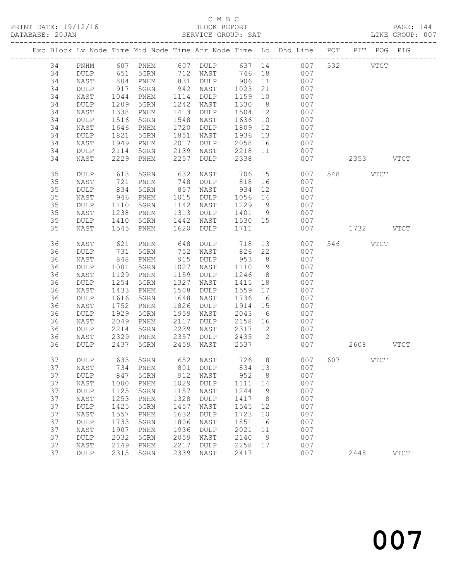PRINT DATE: 19/12/16 BLOCK REPORT<br>DATABASE: 20JAN BERVICE GROUP: SAT

# C M B C<br>BLOCK REPORT

PAGE: 144<br>LINE GROUP: 007

|          |                 |              |                              |              |                     |                   |                | Exc Block Lv Node Time Mid Node Time Arr Node Time Lo Dhd Line POT PIT POG PIG |                      |               |
|----------|-----------------|--------------|------------------------------|--------------|---------------------|-------------------|----------------|--------------------------------------------------------------------------------|----------------------|---------------|
| 34       | PNHM            |              | 607 PNHM 607 DULP            |              |                     |                   |                | 637 14 007                                                                     | 532<br>$_{\rm VTCT}$ |               |
| 34       | <b>DULP</b>     | 651          | 5GRN                         |              | 712 NAST            | 746               |                | 007<br>18 18                                                                   |                      |               |
| 34       | NAST            | 804<br>917   | PNHM                         | 831          | DULP                | 906               | 11             | 007                                                                            |                      |               |
| 34       | DULP            |              | 5GRN                         | 942          | NAST                | 1023              | 21             | 007                                                                            |                      |               |
| 34       | NAST            | 1044         | $\mathop{\rm PNHM}\nolimits$ | 1114         | DULP                | 1159              | 10             | 007                                                                            |                      |               |
| 34       | DULP            | 1209         | 5GRN                         | 1242         | NAST                | 1330              | 8 <sup>8</sup> | 007                                                                            |                      |               |
| 34       | NAST            | 1338         | PNHM                         | 1413         | DULP                | 1504              | 12             | 007                                                                            |                      |               |
| 34       | $\texttt{DULP}$ | 1516         | 5GRN                         | 1548         | NAST                | 1636              | 10             | 007                                                                            |                      |               |
| 34       | NAST            | 1646         | PNHM                         | 1720         | DULP                | 1809              | 12             | 007                                                                            |                      |               |
| 34       | DULP            | 1821         | 5GRN                         | 1851         | NAST                | 1936              | 13             | 007                                                                            |                      |               |
| 34       | NAST            | 1949         | PNHM                         | 2017         | DULP                | 2058              | 16             | 007                                                                            |                      |               |
| 34       | DULP            | 2114         | 5GRN                         | 2139         | NAST                | 2218 11           |                | 007                                                                            |                      |               |
| 34       | NAST            | 2229         | PNHM                         | 2257         | DULP                | 2338              |                | 007                                                                            | 2353 VTCT            |               |
| 35       | <b>DULP</b>     | 613          | 5GRN                         | 632          | NAST                | 706               | 15             | 007                                                                            | 548 VTCT             |               |
| 35       | NAST            | 721          | PNHM                         | 748          | DULP                | 818               | 16             | 007                                                                            |                      |               |
| 35       | $\texttt{DULP}$ | 834          | 5GRN                         | 857          | NAST                | 934               | 12             | 007                                                                            |                      |               |
| 35       | NAST            | 946          | PNHM                         | 1015         | DULP                | 1056              | 14             | 007                                                                            |                      |               |
| 35       | DULP            | 1110         | 5GRN                         | 1142         | NAST                | 1229              | 9              | 007                                                                            |                      |               |
| 35<br>35 | NAST            | 1238<br>1410 | PNHM                         | 1313<br>1442 | DULP                | 1401 9<br>1530 15 |                | 007<br>007                                                                     |                      |               |
| 35       | DULP<br>NAST    | 1545         | 5GRN<br>PNHM                 | 1620         | NAST<br><b>DULP</b> | 1711              |                | 007                                                                            | 1732 VTCT            |               |
|          |                 |              |                              |              |                     |                   |                |                                                                                |                      |               |
| 36       | NAST            | 621          | PNHM                         | 648          | DULP                | 718               |                | 13<br>007                                                                      | 546 VTCT             |               |
| 36       | DULP            | 731          | 5GRN                         | 752          | NAST                | 826               | 22             | 007                                                                            |                      |               |
| 36       | NAST            | 848          | PNHM                         | 915          | DULP                | 953               | 8 <sup>8</sup> | 007                                                                            |                      |               |
| 36       | DULP            | 1001         | 5GRN                         | 1027         | NAST                | 1110              | 19             | 007                                                                            |                      |               |
| 36       | NAST            | 1129         | PNHM                         | 1159         | DULP                | 1246              | 8 <sup>8</sup> | 007                                                                            |                      |               |
| 36       | DULP            | 1254         | 5GRN                         | 1327         | NAST                | 1415              | 18             | 007                                                                            |                      |               |
| 36       | NAST            | 1433         | PNHM                         | 1508         | DULP                | 1559              | 17             | 007                                                                            |                      |               |
| 36<br>36 | DULP<br>NAST    | 1616<br>1752 | 5GRN<br>PNHM                 | 1648<br>1826 | NAST<br>DULP        | 1736<br>1914      | 16<br>15       | 007<br>007                                                                     |                      |               |
| 36       | DULP            | 1929         | 5GRN                         | 1959         | NAST                | 2043              | 6              | 007                                                                            |                      |               |
| 36       | NAST            | 2049         | PNHM                         | 2117         | DULP                | 2158              | 16             | 007                                                                            |                      |               |
| 36       | DULP            | 2214         | 5GRN                         | 2239         | NAST                | 2317              | 12             | 007                                                                            |                      |               |
| 36       | NAST            | 2329         | PNHM                         | 2357         | DULP                | 2435              | $\overline{2}$ | 007                                                                            |                      |               |
| 36       | DULP            | 2437         | 5GRN                         | 2459         | NAST                | 2537              |                | 007                                                                            | 2608 VTCT            |               |
| 37       | <b>DULP</b>     |              | 633 5GRN                     |              | 652 NAST            |                   |                | 726 8<br>007                                                                   | 607 VTCT             |               |
| 37       | NAST            |              | 734 PNHM                     |              | 801 DULP            | 834 13            |                | 007                                                                            |                      |               |
| 37       | DULP            | 847          | 5GRN                         | 912          | NAST                | 952               | 8              | 007                                                                            |                      |               |
| 37       | NAST            | 1000         | PNHM                         | 1029         | DULP                | 1111              | 14             | 007                                                                            |                      |               |
| 37       | DULP            | 1125         | 5GRN                         | 1157         | NAST                | 1244              | 9              | 007                                                                            |                      |               |
| 37       | NAST            | 1253         | PNHM                         | 1328         | <b>DULP</b>         | 1417              | 8              | 007                                                                            |                      |               |
| 37       | DULP            | 1425         | 5GRN                         | 1457         | NAST                | 1545              | 12             | 007                                                                            |                      |               |
| 37       | NAST            | 1557         | PNHM                         | 1632         | DULP                | 1723              | 10             | 007                                                                            |                      |               |
| 37       | DULP            | 1733         | 5GRN                         | 1806         | NAST                | 1851              | 16             | 007                                                                            |                      |               |
| 37       | NAST            | 1907         | PNHM                         | 1936         | $\texttt{DULP}$     | 2021              | 11             | 007                                                                            |                      |               |
| 37       | DULP            | 2032         | 5GRN                         | 2059         | NAST                | 2140              | 9              | 007                                                                            |                      |               |
| 37       | NAST            | 2149         | PNHM                         | 2217         | DULP                | 2258              | 17             | 007                                                                            |                      |               |
| 37       | DULP            | 2315         | 5GRN                         | 2339         | NAST                | 2417              |                | 007                                                                            | 2448                 | $_{\rm VTCT}$ |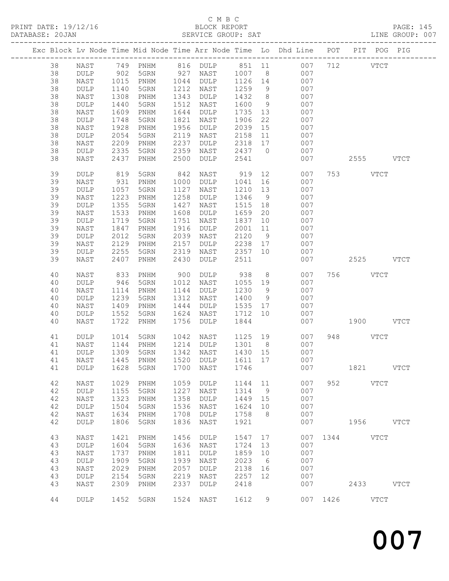### C M B C

PRINT DATE: 19/12/16 BLOCK REPORT PAGE: 145 DATABASE: 20JAN SERVICE GROUP: SAT LINE GROUP: 007 ------------------------------------------------------------------------------------------------- Exc Block Lv Node Time Mid Node Time Arr Node Time Lo Dhd Line ------------------------------------------------------------------------------------------------- 38 NAST 749 PNHM 816 DULP 851 11 007 712 VTCT 38 DULP 902 5GRN 927 NAST 1007 8 007 38 NAST 1015 PNHM 1044 DULP 1126 14 007 38 DULP 1140 5GRN 1212 NAST 1259 9 007 38 NAST 1308 PNHM 1343 DULP 1432 8 007 38 DULP 1440 5GRN 1512 NAST 1600 9 007 38 NAST 1609 PNHM 1644 DULP 1735 13 007 38 DULP 1748 5GRN 1821 NAST 1906 22 007

| $\check{ }$<br>38<br>38<br>38<br>38<br>38 | ----<br>NAST<br>$\texttt{DULP}$<br>NAST<br>DULP<br>NAST                    | $-1$<br>1928<br>2054<br>2209<br>2335<br>2437       | $\sim$ $\sim$ $\sim$ $\sim$ $\sim$<br>PNHM<br>5GRN<br>PNHM<br>5GRN<br>PNHM | 1956<br>2119<br>2237<br>2359<br>2500                | DULP<br>NAST<br>$\texttt{DULP}$<br>NAST<br>DULP                 | $-00$<br>2039<br>2158<br>2318<br>2437<br>2541       | 15<br>11<br>17<br>$\overline{0}$             | 007<br>007<br>007<br>007<br>007               |         |                  | 2555 VTCT                  |  |
|-------------------------------------------|----------------------------------------------------------------------------|----------------------------------------------------|----------------------------------------------------------------------------|-----------------------------------------------------|-----------------------------------------------------------------|-----------------------------------------------------|----------------------------------------------|-----------------------------------------------|---------|------------------|----------------------------|--|
| 39<br>39<br>39<br>39<br>39                | DULP<br>NAST<br>DULP<br>NAST<br>$\texttt{DULP}$                            | 819<br>931<br>1057<br>1223<br>1355                 | 5GRN<br>PNHM<br>5GRN<br>PNHM<br>5GRN                                       | 842<br>1000<br>1127<br>1258<br>1427                 | NAST<br>DULP<br>NAST<br>DULP<br>NAST                            | 919 12<br>1041<br>1210<br>1346<br>1515              | 16<br>13<br>9<br>18                          | 007<br>007<br>007<br>007<br>007               |         | 753 VTCT         |                            |  |
| 39<br>39<br>39<br>39<br>39<br>39          | NAST<br>DULP<br>NAST<br>DULP<br>NAST<br>DULP                               | 1533<br>1719<br>1847<br>2012<br>2129<br>2255       | PNHM<br>5GRN<br>PNHM<br>5GRN<br>PNHM<br>5GRN                               | 1608<br>1751<br>1916<br>2039<br>2157<br>2319        | DULP<br>NAST<br>DULP<br>NAST<br>DULP<br>NAST                    | 1659<br>1837<br>2001<br>2120<br>2238<br>2357        | 20<br>10<br>11<br>$\overline{9}$<br>17<br>10 | 007<br>007<br>007<br>007<br>007<br>007        |         |                  |                            |  |
| 39<br>40<br>40<br>40<br>40<br>40<br>40    | NAST<br>NAST<br>DULP<br>NAST<br>$\texttt{DULP}$<br>$\mathtt{NAST}$<br>DULP | 2407<br>833<br>946<br>1114<br>1239<br>1409<br>1552 | PNHM<br>PNHM<br>5GRN<br>PNHM<br>5GRN<br>PNHM<br>5GRN                       | 2430<br>900<br>1012<br>1144<br>1312<br>1444<br>1624 | DULP<br>DULP<br>NAST<br>$\texttt{DULP}$<br>NAST<br>DULP<br>NAST | 2511<br>938<br>1055<br>1230<br>1400<br>1535<br>1712 | 8<br>19<br>9<br>9<br>17<br>10                | 007<br>007<br>007<br>007<br>007<br>007<br>007 |         | 2525<br>756 VTCT | <b>VTCT</b>                |  |
| 40<br>41<br>41<br>41                      | NAST<br>$\texttt{DULP}$<br>NAST<br>DULP                                    | 1722<br>1014<br>1144<br>1309                       | PNHM<br>5GRN<br>PNHM<br>5GRN                                               | 1756<br>1042<br>1214<br>1342                        | <b>DULP</b><br>NAST<br>DULP<br>NAST                             | 1844<br>1125<br>1301<br>1430                        | 19<br>8 <sup>8</sup><br>15                   | 007<br>007<br>007<br>007                      |         | 948 VTCT         | 1900 VTCT                  |  |
| 41<br>41<br>42                            | NAST<br>DULP<br>NAST                                                       | 1445<br>1628<br>1029                               | PNHM<br>5GRN<br>PNHM                                                       | 1520<br>1700<br>1059                                | DULP<br>NAST<br>DULP                                            | 1611<br>1746<br>1144 11                             | 17                                           | 007<br>007<br>007                             |         | 1821<br>952 VTCT | <b>VTCT</b>                |  |
| 42<br>42<br>42<br>42<br>42                | $\texttt{DULP}$<br>NAST<br>$\texttt{DULP}$<br>NAST<br>DULP                 | 1155<br>1323<br>1504<br>1634<br>1806               | 5GRN<br>PNHM<br>5GRN<br>PNHM<br>5GRN                                       | 1227<br>1358<br>1536<br>1708<br>1836                | NAST<br>$\texttt{DULP}$<br>NAST<br>DULP<br>NAST                 | 1314<br>1449<br>1624<br>1758<br>1921                | 9<br>15<br>10<br>8 <sup>8</sup>              | 007<br>007<br>007<br>007                      | 007 000 | 1956             | <b>VTCT</b>                |  |
| 43<br>43<br>43<br>43<br>43<br>43          | NAST<br><b>DULP</b><br>NAST<br>DULP<br>NAST<br><b>DULP</b>                 | 1421<br>1604 5GRN<br>1737<br>1909<br>2029<br>2154  | PNHM<br>PNHM<br>5GRN<br>PNHM<br>5GRN                                       | 1636 NAST<br>1811<br>1939<br>2057<br>2219           | 1456 DULP<br>DULP<br>NAST<br>DULP<br>NAST                       | 1547<br>1724 13<br>1859<br>2023<br>2138<br>2257     | 17<br>10<br>6<br>16<br>12                    | 007<br>007<br>007<br>007<br>007               |         | 007 1344 VTCT    |                            |  |
| 43<br>44                                  | NAST<br>DULP                                                               | 2309<br>1452                                       | PNHM<br>5GRN                                                               | 2337<br>1524                                        | <b>DULP</b><br>NAST                                             | 2418<br>1612                                        | 9                                            | 007<br>007                                    | 1426    | 2433             | <b>VTCT</b><br><b>VTCT</b> |  |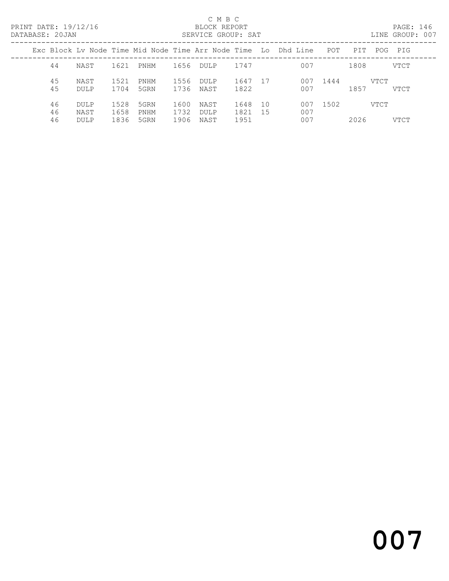#### C M B C<br>BLOCK REPORT SERVICE GROUP: SAT

|                |                             |                      |                      |                      |                             |                      |             | Exc Block Ly Node Time Mid Node Time Arr Node Time Lo Dhd Line | POT  | PTT  | POG  | PIG  |
|----------------|-----------------------------|----------------------|----------------------|----------------------|-----------------------------|----------------------|-------------|----------------------------------------------------------------|------|------|------|------|
| 44             | NAST                        | 1621                 | PNHM                 | 1656                 | DULP                        | 1747                 |             | 007                                                            |      | 1808 |      | VTCT |
| 45<br>45       | NAST<br>DULP                | 1521<br>1704         | PNHM<br>5GRN         | 1556<br>1736         | <b>DULP</b><br>NAST         | 1647<br>1822         | 17          | 007<br>007                                                     | 1444 | 1857 | VTCT | VTCT |
| 46<br>46<br>46 | DULP<br>NAST<br><b>DULP</b> | 1528<br>1658<br>1836 | 5GRN<br>PNHM<br>5GRN | 1600<br>1732<br>1906 | NAST<br><b>DULP</b><br>NAST | 1648<br>1821<br>1951 | 10<br>- 1.5 | 007<br>007<br>007                                              | 1502 | 2026 | VTCT | VTCT |

and 2007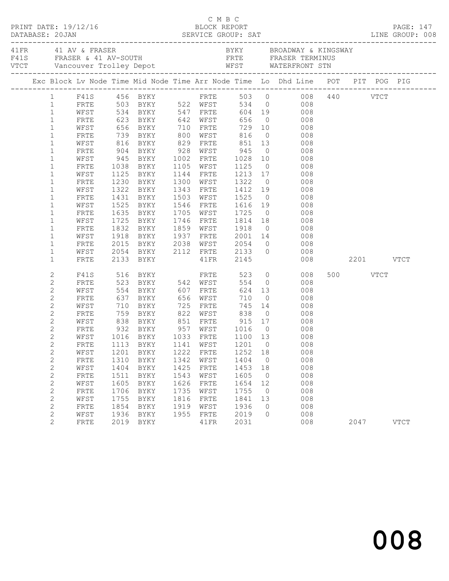| $\begin{array}{cccc}\n\texttt{CRINT} & \texttt{DATE: } 19/12/16 & \texttt{C} & \texttt{M} & \texttt{B} & \texttt{C}\n\end{array}$<br>DATABASE: 20JAN |              |      |                            |      |                        |                   |                |                                                                                                                               |               |          | <b>PAGE: 147</b> |
|------------------------------------------------------------------------------------------------------------------------------------------------------|--------------|------|----------------------------|------|------------------------|-------------------|----------------|-------------------------------------------------------------------------------------------------------------------------------|---------------|----------|------------------|
|                                                                                                                                                      |              |      |                            |      |                        |                   |                |                                                                                                                               |               |          |                  |
|                                                                                                                                                      |              |      |                            |      |                        |                   |                | Exc Block Lv Node Time Mid Node Time Arr Node Time Lo Dhd Line POT PIT POG PIG                                                |               |          |                  |
|                                                                                                                                                      |              |      |                            |      |                        |                   |                | 1 F41S 456 BYKY FRTE 503 0 008 440 VTCT<br>1 FRTE 503 BYKY 522 WFST 534 0 008 440 VTCT<br>1 WFST 534 BYKY 547 FRTE 604 19 008 |               |          |                  |
|                                                                                                                                                      |              |      |                            |      |                        |                   |                |                                                                                                                               |               |          |                  |
|                                                                                                                                                      |              |      |                            |      |                        |                   |                |                                                                                                                               |               |          |                  |
| $\mathbf{1}$                                                                                                                                         | FRTE         |      | 623 BYKY 642 WFST          |      |                        | 656               |                | $\overline{0}$<br>008                                                                                                         |               |          |                  |
| $\mathbf{1}$                                                                                                                                         | WFST         |      |                            |      |                        |                   |                |                                                                                                                               |               |          |                  |
| $\mathbf{1}$                                                                                                                                         | FRTE         |      |                            |      |                        |                   |                | 816 0 008<br>851 13 008                                                                                                       |               |          |                  |
| $\mathbf{1}$                                                                                                                                         | WFST         |      |                            |      |                        |                   |                |                                                                                                                               |               |          |                  |
| $\mathbf{1}$                                                                                                                                         | FRTE         |      | 904 BYKY 928 WFST 945      |      |                        |                   |                | $\overline{O}$<br>008                                                                                                         |               |          |                  |
| $\mathbf{1}$                                                                                                                                         | WFST         |      | 945 BYKY 1002 FRTE         |      |                        | 1028              |                | 10<br>008                                                                                                                     |               |          |                  |
| $\mathbf 1$                                                                                                                                          | FRTE         |      | 1038 BYKY<br>1125 BYKY     |      | 1105 WFST              | 1125 0<br>1213 17 |                | 008                                                                                                                           |               |          |                  |
| $\mathbf 1$                                                                                                                                          | WFST         |      |                            |      | 1144 FRTE              | 1322              |                | 008<br>$\overline{0}$                                                                                                         |               |          |                  |
| $\mathbf 1$                                                                                                                                          | FRTE         |      | 1230 BYKY                  |      | 1300 WFST              |                   |                | 008                                                                                                                           |               |          |                  |
| $\mathbf{1}$                                                                                                                                         | WFST         | 1322 | BYKY                       |      | 1343 FRTE<br>1503 WFST | 1412 19           |                | 008<br>008                                                                                                                    |               |          |                  |
| $\mathbf{1}$<br>$\mathbf{1}$                                                                                                                         | FRTE<br>WFST |      | 1431 BYKY<br>1525 BYKY     |      | 1546 FRTE              | 1525 0<br>1616 19 |                | 008                                                                                                                           |               |          |                  |
| $\mathbf 1$                                                                                                                                          | FRTE         |      | 1635 BYKY                  |      | 1705 WFST              | 1725              |                | $\overline{O}$<br>008                                                                                                         |               |          |                  |
| $\mathbf{1}$                                                                                                                                         | WFST         | 1725 | BYKY                       |      | 1746 FRTE 1814 18      |                   |                | 008                                                                                                                           |               |          |                  |
| $\mathbf 1$                                                                                                                                          | FRTE         |      |                            |      | 1859 WFST              |                   |                |                                                                                                                               |               |          |                  |
| $\mathbf 1$                                                                                                                                          | WFST         |      |                            |      |                        |                   |                |                                                                                                                               |               |          |                  |
| $\mathbf 1$                                                                                                                                          | FRTE         |      |                            |      |                        |                   |                | 1832 BYKY 1859 WFST 1918 0 008<br>1918 BYKY 1937 FRTE 2001 14 008<br>2015 BYKY 2038 WFST 2054 0 008                           |               |          |                  |
| $\mathbf{1}$                                                                                                                                         | WFST         |      | 2054 BYKY 2112 FRTE 2133 0 |      |                        |                   |                | 008                                                                                                                           |               |          |                  |
| $\mathbf 1$                                                                                                                                          | FRTE         |      | 2133 BYKY                  |      | 41FR 2145              |                   |                |                                                                                                                               | 008 2201 VTCT |          |                  |
|                                                                                                                                                      |              |      |                            |      |                        |                   |                |                                                                                                                               |               |          |                  |
| 2                                                                                                                                                    | F41S         |      | 516 BYKY                   |      | FRTE                   | 523               |                | $\overline{O}$<br>008                                                                                                         |               | 500 VTCT |                  |
| $\mathbf{2}$                                                                                                                                         | FRTE         |      | 523 BYKY 542 WFST          |      |                        | 554               |                | $\overline{0}$<br>008                                                                                                         |               |          |                  |
| $\mathbf{2}$                                                                                                                                         | WFST         |      | 554 BYKY                   |      | 607 FRTE               | 624               |                | 13<br>008                                                                                                                     |               |          |                  |
| $\mathbf{2}$                                                                                                                                         | FRTE         |      | 637 BYKY<br>710 BYKY       | 725  | 656 WFST               | 710               | $\overline{0}$ | 008                                                                                                                           |               |          |                  |
| $\mathbf{2}$                                                                                                                                         | WFST         |      | 759 BYKY 822 WFST 838      |      | FRTE                   |                   |                | 745 14<br>008<br>$\overline{0}$                                                                                               |               |          |                  |
| $\mathbf{2}$                                                                                                                                         | FRTE         |      |                            |      |                        |                   |                | 008                                                                                                                           |               |          |                  |
| $\mathbf{2}$<br>$\mathbf{2}$                                                                                                                         | WFST<br>FRTE | 838  | BYKY 851 FRTE              |      |                        |                   | $\overline{0}$ | 915 17 008                                                                                                                    |               |          |                  |
| $\mathbf{2}$                                                                                                                                         | WFST         |      |                            |      |                        | 1016 0<br>1100 13 |                | $\begin{array}{c} 008 \\ 008 \end{array}$                                                                                     |               |          |                  |
| $\mathbf{2}$                                                                                                                                         |              |      |                            |      |                        |                   |                | FRTE 1113 BYKY 1141 WFST 1201 0 008                                                                                           |               |          |                  |
| 2                                                                                                                                                    | WFST         | 1201 | BYKY                       | 1222 | FRTE                   | 1252              | 18             | 008                                                                                                                           |               |          |                  |
| $\mathbf{2}$                                                                                                                                         | FRTE         | 1310 | BYKY                       | 1342 | WFST                   | 1404              | $\overline{0}$ | 008                                                                                                                           |               |          |                  |
| $\mathbf{2}$                                                                                                                                         | WFST         | 1404 | BYKY                       | 1425 | FRTE                   | 1453              | 18             | 008                                                                                                                           |               |          |                  |
| $\mathbf{2}$                                                                                                                                         | FRTE         | 1511 | BYKY                       | 1543 | WFST                   | 1605              | $\overline{0}$ | 008                                                                                                                           |               |          |                  |
| $\mathbf{2}$                                                                                                                                         | WFST         | 1605 | BYKY                       | 1626 | FRTE                   | 1654              | 12             | 008                                                                                                                           |               |          |                  |
| $\mathbf{2}$                                                                                                                                         | FRTE         | 1706 | BYKY                       | 1735 | WFST                   | 1755              | $\overline{0}$ | 008                                                                                                                           |               |          |                  |
| $\mathbf{2}$                                                                                                                                         | WFST         | 1755 | BYKY                       | 1816 | FRTE                   | 1841              | 13             | 008                                                                                                                           |               |          |                  |
| 2                                                                                                                                                    | FRTE         | 1854 | BYKY                       | 1919 | WFST                   | 1936              | $\circ$        | 008                                                                                                                           |               |          |                  |
| $\mathbf{2}$                                                                                                                                         | WFST         | 1936 | BYKY                       | 1955 | FRTE                   | 2019              | $\Omega$       | 008                                                                                                                           |               |          |                  |
| 2                                                                                                                                                    | FRTE         | 2019 | BYKY                       |      | 41FR                   | 2031              |                | 008                                                                                                                           |               | 2047     | <b>VTCT</b>      |
|                                                                                                                                                      |              |      |                            |      |                        |                   |                |                                                                                                                               |               |          |                  |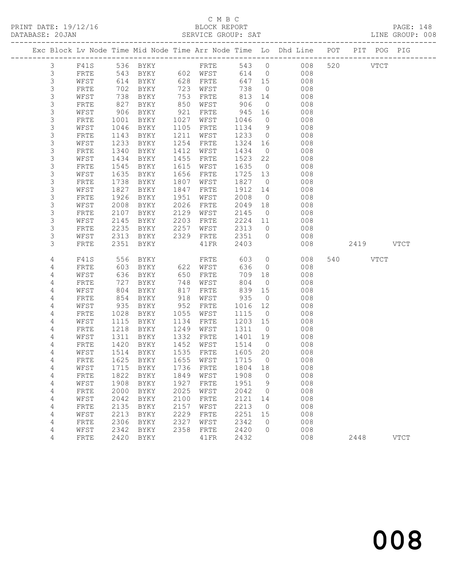#### C M B C<br>BLOCK REPORT SERVICE GROUP: SAT

|                  |              |              |                                  |              |              |              |                    | Exc Block Lv Node Time Mid Node Time Arr Node Time Lo Dhd Line POT | PIT POG PIG        |             |
|------------------|--------------|--------------|----------------------------------|--------------|--------------|--------------|--------------------|--------------------------------------------------------------------|--------------------|-------------|
| $\mathfrak{Z}$   | F41S         |              | 536 BYKY                         |              | FRTE         |              |                    | 543 0 008                                                          | 520<br><b>VTCT</b> |             |
| $\mathsf 3$      | FRTE         | 543          | BYKY 602 WFST                    |              |              | 614          | $\overline{0}$     | 008                                                                |                    |             |
| 3                | WFST         | 614          | BYKY                             | 628          | FRTE         | 647 15       |                    | 008                                                                |                    |             |
| 3                | FRTE         | 702          | BYKY                             | 723          | WFST         | 738          | $\overline{0}$     | 008                                                                |                    |             |
| 3                | WFST         | 738          | BYKY                             | 753          | FRTE         | 813          | 14                 | 008                                                                |                    |             |
| $\mathsf S$      | FRTE         | 827          | BYKY                             | 850          | WFST         | 906          | $\overline{0}$     | 008                                                                |                    |             |
| $\mathsf S$      | WFST         | 906          | BYKY                             | 921          | FRTE         | 945          | 16                 | 008                                                                |                    |             |
| $\mathsf S$      | FRTE         | 1001         | BYKY                             | 1027         | WFST         | 1046         | $\overline{0}$     | 008                                                                |                    |             |
| $\mathsf S$      | WFST         | 1046         | BYKY                             | 1105         | FRTE         | 1134         | 9                  | 008                                                                |                    |             |
| $\mathsf S$      | <b>FRTE</b>  | 1143         | BYKY                             | 1211         | WFST         | 1233         | $\overline{0}$     | 008                                                                |                    |             |
| $\mathsf S$      | WFST         | 1233         | BYKY                             | 1254         | FRTE         | 1324         | 16                 | 008                                                                |                    |             |
| $\mathsf 3$      | FRTE         | 1340         | BYKY                             | 1412         | WFST         | 1434         | $\overline{0}$     | 008                                                                |                    |             |
| $\mathsf S$      | WFST         | 1434         | BYKY                             | 1455         | FRTE         | 1523         | 22                 | 008                                                                |                    |             |
| $\mathsf S$      | FRTE         | 1545         | BYKY                             | 1615         | WFST         | 1635         | $\overline{0}$     | 008                                                                |                    |             |
| $\mathsf S$      | WFST         | 1635         | BYKY                             | 1656         | FRTE         | 1725         | 13                 | 008                                                                |                    |             |
| 3                | FRTE         | 1738         | BYKY                             | 1807         | WFST         | 1827         | $\overline{0}$     | 008                                                                |                    |             |
| $\mathsf S$      | WFST         | 1827         | BYKY                             | 1847         | FRTE         | 1912         | 14                 | 008                                                                |                    |             |
| $\mathsf S$      | FRTE         | 1926         | BYKY                             | 1951         | WFST         | 2008         | $\overline{0}$     | 008                                                                |                    |             |
| $\mathsf S$<br>3 | WFST         | 2008         | BYKY                             | 2026         | FRTE         | 2049         | 18                 | 008                                                                |                    |             |
|                  | FRTE         | 2107         | BYKY                             | 2129         | WFST         | 2145         | $\overline{0}$     | 008                                                                |                    |             |
| 3<br>3           | WFST         | 2145         | BYKY                             | 2203         | FRTE         | 2224         | 11                 | 008                                                                |                    |             |
| 3                | FRTE         | 2235<br>2313 | BYKY                             | 2257<br>2329 | WFST         | 2313<br>2351 | $\circ$<br>$\circ$ | 008<br>008                                                         |                    |             |
| 3                | WFST<br>FRTE | 2351         | BYKY<br>BYKY                     |              | FRTE<br>41FR | 2403         |                    | 008                                                                | 2419 VTCT          |             |
|                  |              |              |                                  |              |              |              |                    |                                                                    |                    |             |
| 4                | F41S         | 556          | BYKY                             |              | FRTE         | 603          | $\overline{0}$     | 008                                                                | 540<br>VTCT        |             |
| 4                | FRTE         | 603          | BYKY                             |              | 622 WFST     | 636          | $\overline{0}$     | 008                                                                |                    |             |
| 4                | WFST         | 636          | BYKY                             | 650          | FRTE         | 709          | 18                 | 008                                                                |                    |             |
| 4                | FRTE         | 727          | BYKY                             | 748          | WFST         | 804          | $\overline{0}$     | 008                                                                |                    |             |
| 4                | WFST         | 804          | BYKY                             | 817          | FRTE         | 839          | 15                 | 008                                                                |                    |             |
| 4                | FRTE         | 854          | BYKY                             | 918          | WFST         | 935          | $\overline{0}$     | 008                                                                |                    |             |
| 4                | WFST         | 935          | BYKY                             | 952          | FRTE         | 1016         | 12                 | 008                                                                |                    |             |
| 4                | FRTE         | 1028         | BYKY                             | 1055         | WFST         | 1115         | $\overline{0}$     | 008                                                                |                    |             |
| 4                | WFST         | 1115         | BYKY                             | 1134         | FRTE         | 1203         | 15                 | 008                                                                |                    |             |
| 4                | FRTE         | 1218         | BYKY                             | 1249         | WFST         | 1311         | $\overline{0}$     | 008                                                                |                    |             |
| 4                | WFST         | 1311         | BYKY                             | 1332         | FRTE         | 1401         | 19                 | 008                                                                |                    |             |
| 4                | FRTE         | 1420         | BYKY                             | 1452         | WFST         | 1514         | $\overline{0}$     | 008                                                                |                    |             |
| 4                | WFST         | 1514         | BYKY                             | 1535         | FRTE         | 1605         | 20                 | 008                                                                |                    |             |
| 4                | FRTE         | 1625         | BYKY                             | 1655         | WFST         | 1715         | $\overline{0}$     | 008                                                                |                    |             |
| 4                |              |              | WFST 1715 BYKY 1736 FRTE 1804 18 |              |              |              |                    | 008                                                                |                    |             |
| 4                | FRTE         | 1822         | <b>BYKY</b>                      | 1849         | WFST         | 1908         | 0                  | 008                                                                |                    |             |
| 4                | WFST         | 1908         | BYKY                             | 1927         | FRTE         | 1951         | 9                  | 008                                                                |                    |             |
| 4                | FRTE         | 2000         | BYKY                             | 2025         | WFST         | 2042         | 0                  | 008                                                                |                    |             |
| 4                | WFST         | 2042         | BYKY                             | 2100         | FRTE         | 2121         | 14                 | 008                                                                |                    |             |
| 4                | FRTE         | 2135         | BYKY                             | 2157         | WFST         | 2213         | $\overline{0}$     | 008                                                                |                    |             |
| 4                | WFST         | 2213         | BYKY                             | 2229         | FRTE         | 2251         | 15                 | 008                                                                |                    |             |
| 4                | FRTE         | 2306         | BYKY                             | 2327         | WFST         | 2342         | $\mathbf 0$        | 008                                                                |                    |             |
| 4                | WFST         | 2342         | BYKY                             | 2358         | FRTE         | 2420         | $\circ$            | 008                                                                |                    |             |
| 4                | FRTE         | 2420         | BYKY                             |              | 41FR         | 2432         |                    | 008                                                                | 2448               | <b>VTCT</b> |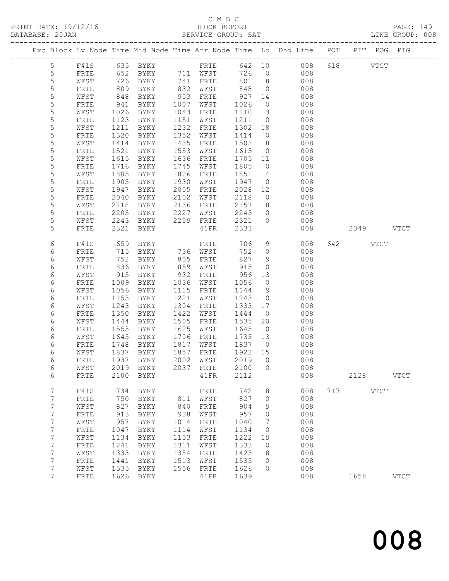### C M B C<br>BLOCK REPORT

| PRINT DATE: 19/12/16 | BLOCK REPORT                                                                   | PAGE: 149       |
|----------------------|--------------------------------------------------------------------------------|-----------------|
| DATABASE: 20JAN      | SERVICE GROUP: SAT                                                             | LINE GROUP: 008 |
|                      | Exc Block Lv Node Time Mid Node Time Arr Node Time Lo Dhd Line POT PIT POG PIG |                 |

|        |              |              |                            |              |                                     |              |                      | Exc Block Lv Node Time Mid Node Time Arr Node Time Lo Dhd Line | POT | PIT  | POG           | PIG           |
|--------|--------------|--------------|----------------------------|--------------|-------------------------------------|--------------|----------------------|----------------------------------------------------------------|-----|------|---------------|---------------|
| 5      | F41S         | 635          | BYKY                       |              | ---------------------------<br>FRTE | 642          | 10                   | 008                                                            | 618 |      | $_{\rm VTCT}$ |               |
| 5      | FRTE         | 652          | BYKY                       | 711          | WFST                                | 726          | $\circ$              | 008                                                            |     |      |               |               |
| 5      | WFST         | 726          | BYKY                       | 741          | ${\tt FRTE}$                        | 801          | 8                    | 008                                                            |     |      |               |               |
| 5      | FRTE         | 809          | BYKY                       | 832          | WFST                                | 848          | $\circ$              | 008                                                            |     |      |               |               |
| 5      | WFST         | 848          | BYKY                       | 903          | FRTE                                | 927          | 14                   | 008                                                            |     |      |               |               |
| 5      | FRTE         | 941          | BYKY                       | 1007         | WFST                                | 1026         | $\circ$              | 008                                                            |     |      |               |               |
| 5      | WFST         | 1026         | BYKY                       | 1043         | FRTE                                | 1110         | 13                   | 008                                                            |     |      |               |               |
| 5      | FRTE         | 1123         | BYKY                       | 1151         | WFST                                | 1211         | $\circ$              | 008                                                            |     |      |               |               |
| 5      | WFST         | 1211         | BYKY                       | 1232         | FRTE                                | 1302         | 18                   | 008                                                            |     |      |               |               |
| 5      | FRTE         | 1320         | BYKY                       | 1352         | WFST                                | 1414         | $\circ$              | 008                                                            |     |      |               |               |
| 5      | WFST         | 1414         | BYKY                       | 1435         | FRTE                                | 1503         | 18                   | 008                                                            |     |      |               |               |
| 5      | FRTE         | 1521         | BYKY                       | 1553         | WFST                                | 1615         | $\overline{0}$       | 008                                                            |     |      |               |               |
| 5      | WFST         | 1615         | BYKY                       | 1636         | FRTE                                | 1705         | 11                   | 008                                                            |     |      |               |               |
| 5      | FRTE         | 1716         | BYKY                       | 1745         | WFST                                | 1805         | $\circ$              | 008                                                            |     |      |               |               |
| 5      | WFST         | 1805         | BYKY                       | 1826         | FRTE                                | 1851         | 14                   | 008                                                            |     |      |               |               |
| 5      | FRTE         | 1905         | BYKY                       | 1930         | WFST                                | 1947         | $\circ$              | 008                                                            |     |      |               |               |
| 5      | WFST         | 1947         | BYKY                       | 2005         | FRTE                                | 2028         | 12                   | 008                                                            |     |      |               |               |
| 5      | FRTE         | 2040         | BYKY                       | 2102         | WFST                                | 2118         | 0                    | 008                                                            |     |      |               |               |
| 5      | WFST         | 2118         | BYKY                       | 2136         | FRTE                                | 2157         | 8                    | 008                                                            |     |      |               |               |
| 5<br>5 | ${\tt FRTE}$ | 2205         | BYKY                       | 2227         | WFST                                | 2243         | 0                    | 008                                                            |     |      |               |               |
| 5      | WFST<br>FRTE | 2243<br>2321 | BYKY<br>BYKY               | 2259         | FRTE<br>41FR                        | 2321<br>2333 | $\circ$              | 008<br>008                                                     |     | 2349 |               | <b>VTCT</b>   |
|        |              |              |                            |              |                                     |              |                      |                                                                |     |      |               |               |
| 6      | F41S         | 659          | BYKY                       |              | FRTE                                | 706          | 9                    | 008                                                            | 642 |      | <b>VTCT</b>   |               |
| 6      | FRTE         | 715          | BYKY                       | 736          | WFST                                | 752          | $\circ$              | 008                                                            |     |      |               |               |
| 6      | WFST         | 752          | BYKY                       | 805          | FRTE                                | 827          | 9                    | 008                                                            |     |      |               |               |
| 6      | FRTE         | 836          | BYKY                       | 859          | WFST                                | 915          | $\circ$              | 008                                                            |     |      |               |               |
| 6      | WFST         | 915          | BYKY                       | 932          | FRTE                                | 956          | 13                   | 008                                                            |     |      |               |               |
| 6      | FRTE         | 1009         | BYKY                       | 1036         | WFST                                | 1056         | $\circ$              | 008                                                            |     |      |               |               |
| 6      | WFST         | 1056         | BYKY                       | 1115         | FRTE                                | 1144         | 9                    | 008                                                            |     |      |               |               |
| 6      | FRTE         | 1153         | BYKY                       | 1221         | WFST                                | 1243         | $\circ$              | 008                                                            |     |      |               |               |
| 6      | WFST         | 1243         | BYKY                       | 1304         | FRTE                                | 1333         | 17                   | 008                                                            |     |      |               |               |
| 6      | FRTE         | 1350         | BYKY                       | 1422         | WFST                                | 1444         | $\circ$              | 008                                                            |     |      |               |               |
| 6      | WFST         | 1444         | BYKY                       | 1505<br>1625 | FRTE                                | 1535         | 20                   | 008                                                            |     |      |               |               |
| 6<br>6 | FRTE<br>WFST | 1555<br>1645 | BYKY<br>BYKY               | 1706         | WFST<br>FRTE                        | 1645<br>1735 | $\overline{0}$<br>13 | 008<br>008                                                     |     |      |               |               |
| 6      | FRTE         | 1748         | BYKY                       | 1817         | WFST                                | 1837         | $\overline{0}$       | 008                                                            |     |      |               |               |
| 6      | WFST         | 1837         | BYKY                       | 1857         | FRTE                                | 1922         | 15                   | 008                                                            |     |      |               |               |
| 6      | FRTE         | 1937         | BYKY                       | 2002         | WFST                                | 2019         | $\circ$              | 008                                                            |     |      |               |               |
| 6      | WFST         | 2019         | BYKY                       | 2037         | FRTE                                | 2100         | $\circ$              | 008                                                            |     |      |               |               |
| 6      | ${\tt FRTE}$ |              | 2100 BYKY                  |              | 41FR                                | 2112         |                      | 008                                                            |     | 2128 |               | VTCT          |
|        |              |              |                            |              |                                     |              |                      |                                                                |     |      |               |               |
| 7      | F41S         | 734          | BYKY                       |              | FRTE                                | 742          | 8                    | 008                                                            | 717 |      | <b>VTCT</b>   |               |
| 7      | FRTE         | 750          | BYKY                       | 811          | WFST                                | 827          | 0                    | 008                                                            |     |      |               |               |
| 7      | WFST         | 827          | BYKY                       | 840          | FRTE                                | 904          | 9                    | 008                                                            |     |      |               |               |
| 7      | FRTE         | 913          | <b>BYKY</b>                | 938          | WFST                                | 957          | 0                    | 008                                                            |     |      |               |               |
| 7<br>7 | WFST<br>FRTE | 957<br>1047  | <b>BYKY</b><br><b>BYKY</b> | 1014<br>1114 | FRTE<br>WFST                        | 1040<br>1134 | 7<br>$\circ$         | 008<br>008                                                     |     |      |               |               |
| 7      | WFST         | 1134         | <b>BYKY</b>                | 1153         | FRTE                                | 1222         | 19                   | 008                                                            |     |      |               |               |
| 7      | FRTE         | 1241         | <b>BYKY</b>                | 1311         | WFST                                | 1333         | $\circ$              | 008                                                            |     |      |               |               |
| 7      | WFST         | 1333         | <b>BYKY</b>                | 1354         | FRTE                                | 1423         | 18                   | 008                                                            |     |      |               |               |
| 7      | FRTE         | 1441         | <b>BYKY</b>                | 1513         | WFST                                | 1535         | 0                    | 008                                                            |     |      |               |               |
| 7      | WFST         | 1535         | <b>BYKY</b>                | 1556         | FRTE                                | 1626         | $\circ$              | 008                                                            |     |      |               |               |
| 7      | ${\tt FRTE}$ | 1626         | BYKY                       |              | 41FR                                | 1639         |                      | 008                                                            |     | 1658 |               | $_{\rm VTCT}$ |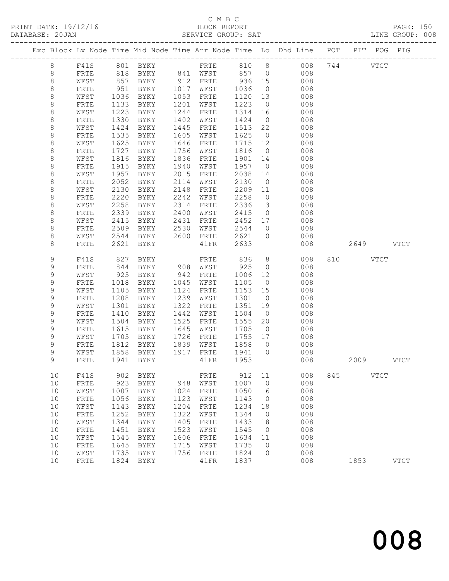#### C M B C<br>BLOCK REPORT SERVICE GROUP: SAT

|              |              |              |             |              |              |                 |                    | Exc Block Lv Node Time Mid Node Time Arr Node Time Lo Dhd Line POT |     | PIT       | POG         | PIG |
|--------------|--------------|--------------|-------------|--------------|--------------|-----------------|--------------------|--------------------------------------------------------------------|-----|-----------|-------------|-----|
| 8            | F41S         |              | 801 BYKY    |              |              |                 |                    | FRTE 810 8 008                                                     |     | 744       | <b>VTCT</b> |     |
| 8            | FRTE         | 818          | BYKY        |              | 841 WFST     | 857 0<br>936 15 |                    | 008                                                                |     |           |             |     |
| $\,8\,$      | WFST         | 857          | BYKY        |              | 912 FRTE     |                 |                    | 008                                                                |     |           |             |     |
| 8            | FRTE         | 951          | BYKY        | 1017         | WFST         | 1036            | $\overline{0}$     | 008                                                                |     |           |             |     |
| $\,8\,$      | WFST         | 1036         | BYKY        | 1053         | FRTE         | 1120            | 13                 | 008                                                                |     |           |             |     |
| $\,8\,$      | FRTE         | 1133         | BYKY        | 1201         | WFST         | 1223            | $\overline{0}$     | 008                                                                |     |           |             |     |
| 8            | WFST         | 1223         | BYKY        | 1244         | FRTE         | 1314            | 16                 | 008                                                                |     |           |             |     |
| 8            | FRTE         | 1330         | BYKY        | 1402         | WFST         | 1424            | $\overline{0}$     | 008                                                                |     |           |             |     |
| $\,8\,$      | WFST         | 1424         | BYKY        | 1445         | FRTE         | 1513            | 22                 | 008                                                                |     |           |             |     |
| $\,8\,$      | FRTE         | 1535         | BYKY        | 1605         | WFST         | 1625            | $\overline{0}$     | 008                                                                |     |           |             |     |
| 8            | WFST         | 1625         | BYKY        | 1646         | ${\tt FRTE}$ | 1715            | 12                 | 008                                                                |     |           |             |     |
| 8            | FRTE         | 1727         | BYKY        | 1756         | WFST         | 1816            | $\overline{0}$     | 008                                                                |     |           |             |     |
| 8            | WFST         | 1816         | BYKY        | 1836         | FRTE         | 1901            | 14                 | 008                                                                |     |           |             |     |
| 8            | FRTE         | 1915         | BYKY        | 1940         | WFST         | 1957            | $\overline{0}$     | 008                                                                |     |           |             |     |
| $\,8\,$      | WFST         | 1957         | BYKY        | 2015         | FRTE         | 2038            | 14                 | 008                                                                |     |           |             |     |
| 8            | FRTE         | 2052         | BYKY        | 2114         | WFST         | 2130            | $\overline{0}$     | 008                                                                |     |           |             |     |
| 8            | WFST         | 2130         | BYKY        | 2148         | FRTE         | 2209            | 11                 | 008                                                                |     |           |             |     |
| 8            | FRTE         | 2220<br>2258 | BYKY        | 2242         | WFST         | 2258            | $\overline{0}$     | 008                                                                |     |           |             |     |
| 8            | WFST         |              | BYKY        | 2314         | FRTE         | 2336            | $\overline{3}$     | 008                                                                |     |           |             |     |
| 8            | FRTE<br>WFST | 2339         | BYKY        | 2400         | WFST         | 2415            | $\overline{0}$     | 008                                                                |     |           |             |     |
| 8            |              | 2415         | BYKY        | 2431         | FRTE         | 2452            | 17                 | 008                                                                |     |           |             |     |
| 8<br>$\,8\,$ | FRTE<br>WFST | 2509<br>2544 | BYKY        | 2530<br>2600 | WFST         | 2544<br>2621    | $\circ$<br>$\circ$ | 008<br>008                                                         |     |           |             |     |
| 8            |              | 2621         | BYKY        |              | FRTE<br>41FR | 2633            |                    | 008                                                                |     | 2649 VTCT |             |     |
|              | FRTE         |              | BYKY        |              |              |                 |                    |                                                                    |     |           |             |     |
| 9            | F41S         | 827          | BYKY        |              | FRTE         | 836             | 8                  | 008                                                                | 810 |           | <b>VTCT</b> |     |
| 9            | FRTE         | 844          | BYKY        |              | 908 WFST     | 925             | $\overline{0}$     | 008                                                                |     |           |             |     |
| $\mathsf 9$  | WFST         | 925          | BYKY        | 942          | FRTE         | 1006            | 12                 | 008                                                                |     |           |             |     |
| $\mathsf 9$  | FRTE         | 1018         | BYKY        | 1045         | WFST         | 1105            | $\overline{0}$     | 008                                                                |     |           |             |     |
| 9            | WFST         | 1105         | BYKY        | 1124         | FRTE         | 1153            | 15                 | 008                                                                |     |           |             |     |
| 9            | FRTE         | 1208         | BYKY        | 1239         | WFST         | 1301            | $\overline{0}$     | 008                                                                |     |           |             |     |
| $\mathsf 9$  | WFST         | 1301         | BYKY        | 1322         | FRTE         | 1351            | 19                 | 008                                                                |     |           |             |     |
| $\mathsf 9$  | FRTE         | 1410         | BYKY        | 1442         | WFST         | 1504            | $\overline{0}$     | 008                                                                |     |           |             |     |
| 9            | WFST         | 1504         | BYKY        | 1525         | FRTE         | 1555            | 20                 | 008                                                                |     |           |             |     |
| 9            | FRTE         | 1615         | BYKY        | 1645         | WFST         | 1705            | $\overline{0}$     | 008                                                                |     |           |             |     |
| 9            | WFST         | 1705         | BYKY        | 1726         | FRTE         | 1755            | 17                 | 008                                                                |     |           |             |     |
| 9            | FRTE         | 1812         | BYKY        | 1839         | WFST         | 1858            | $\overline{0}$     | 008                                                                |     |           |             |     |
| 9            | WFST         | 1858         | BYKY        | 1917         | FRTE         | 1941            | $\overline{0}$     | 008                                                                |     |           |             |     |
| 9            | FRTE         | 1941         | BYKY        |              | 41FR         | 1953            |                    | 008                                                                |     | 2009      | VTCT        |     |
| 10           | F41S         | 902          | <b>BYKY</b> |              | FRTE         | 912             | 11                 | 008                                                                | 845 |           | <b>VTCT</b> |     |
| 10           | FRTE         | 923          | BYKY        | 948          | WFST         | 1007            | 0                  | 008                                                                |     |           |             |     |
| 10           | WFST         | 1007         | BYKY        | 1024         | FRTE         | 1050            | 6                  | 008                                                                |     |           |             |     |
| 10           | FRTE         | 1056         | <b>BYKY</b> | 1123         | WFST         | 1143            | 0                  | 008                                                                |     |           |             |     |
| 10           | WFST         | 1143         | <b>BYKY</b> | 1204         | FRTE         | 1234            | 18                 | 008                                                                |     |           |             |     |
| 10           | FRTE         | 1252         | <b>BYKY</b> | 1322         | WFST         | 1344            | 0                  | 008                                                                |     |           |             |     |
| 10           | WFST         | 1344         | <b>BYKY</b> | 1405         | FRTE         | 1433            | 18                 | 008                                                                |     |           |             |     |
| 10           | FRTE         | 1451         | <b>BYKY</b> | 1523         | WFST         | 1545            | 0                  | 008                                                                |     |           |             |     |
| 10           | WFST         | 1545         | BYKY        | 1606         | FRTE         | 1634            | 11                 | 008                                                                |     |           |             |     |
| 10           | FRTE         | 1645         | <b>BYKY</b> | 1715         | WFST         | 1735            | 0                  | 008                                                                |     |           |             |     |

10 WFST 1735 BYKY 1756 FRTE 1824 0 008

10 FRTE 1824 BYKY 41FR 1837 008 1853 VTCT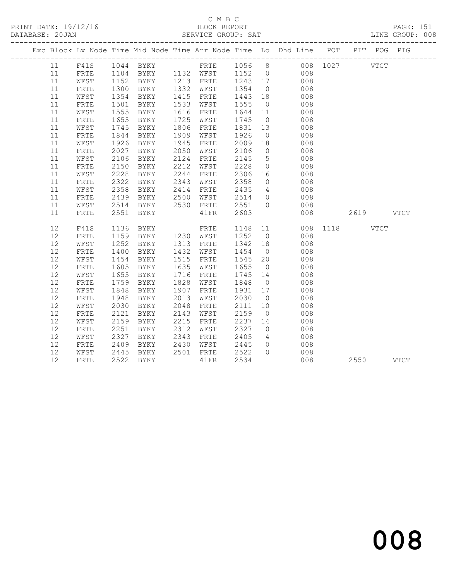#### C M B C<br>BLOCK REPORT SERVICE GROUP: SAT

PRINT DATE: 19/12/16 BLOCK REPORT PAGE: 151

|          | Exc Block Lv Node Time Mid Node Time Arr Node Time Lo Dhd Line POT PIT POG PIG                                                                                            |              |                             |      |                             |                                                         |                |                                           |               |           |  |
|----------|---------------------------------------------------------------------------------------------------------------------------------------------------------------------------|--------------|-----------------------------|------|-----------------------------|---------------------------------------------------------|----------------|-------------------------------------------|---------------|-----------|--|
|          | $\begin{tabular}{lllllllllll} 11 & F41S & 1044 & BYKY & FRTE & 1056 & 8 & 008 & 1027 & VTCT \\ 11 & FRTE & 1104 & BYKY & 1132 & WFST & 1152 & 0 & 008 & \\ \end{tabular}$ |              |                             |      |                             |                                                         |                |                                           |               |           |  |
|          |                                                                                                                                                                           |              |                             |      |                             |                                                         |                |                                           |               |           |  |
| 11       | WFST                                                                                                                                                                      |              | 1152 BYKY 1213 FRTE 1243 17 |      |                             |                                                         |                | 008                                       |               |           |  |
| 11       | FRTE                                                                                                                                                                      | 1300         | BYKY                        |      | 1332 WFST 1354              |                                                         | $\overline{0}$ | 008                                       |               |           |  |
| 11       | WFST                                                                                                                                                                      | 1354<br>1501 | BYKY                        |      | 1415 FRTE                   | 1443 18<br>1555 0                                       |                | 008                                       |               |           |  |
| 11       | ${\tt FRTE}$                                                                                                                                                              | 1501         | BYKY                        |      | 1533 WFST                   |                                                         | $\overline{0}$ | 008                                       |               |           |  |
| 11       | WFST                                                                                                                                                                      | 1555         | BYKY                        | 1616 | FRTE                        | 1644 11                                                 |                | 008                                       |               |           |  |
| 11       | ${\tt FRTE}$                                                                                                                                                              | 1655         | BYKY                        | 1725 | WFST                        | 1745                                                    | $\overline{0}$ | 008                                       |               |           |  |
| 11       | WFST                                                                                                                                                                      | 1745         | BYKY                        |      | 1806 FRTE                   | 1831 13                                                 |                | 008                                       |               |           |  |
| 11       | FRTE                                                                                                                                                                      | 1844         | BYKY                        | 1909 | WFST                        | 1926                                                    | $\overline{0}$ | 008                                       |               |           |  |
| 11       | WFST                                                                                                                                                                      | 1926         | BYKY                        | 1945 | FRTE                        | $\begin{array}{c}\n 1525 \\  2009 \\  18\n \end{array}$ |                | 008                                       |               |           |  |
| 11       | FRTE                                                                                                                                                                      | 2027         | BYKY                        | 2050 | WFST                        | 2106                                                    | $\overline{0}$ | 008                                       |               |           |  |
| 11       | WFST                                                                                                                                                                      | 2106         | BYKY                        | 2124 | FRTE                        | 2145                                                    | 5 <sup>5</sup> | 008                                       |               |           |  |
| 11       | FRTE                                                                                                                                                                      | 2150         | BYKY                        | 2212 | WFST                        | 2228                                                    | $\overline{0}$ | 008                                       |               |           |  |
| 11       | WFST                                                                                                                                                                      | 2228         | BYKY                        | 2244 | FRTE                        | 2306<br>2358<br>2306 16                                 |                | $\begin{array}{c} 008 \\ 008 \end{array}$ |               |           |  |
| 11       | ${\tt FRTE}$                                                                                                                                                              | 2322         | BYKY                        |      | 2343 WFST                   | 2435                                                    | $\overline{0}$ | 4 008                                     |               |           |  |
| 11       | WFST                                                                                                                                                                      | 2358         | BYKY                        |      | 2414 FRTE                   |                                                         | $\overline{0}$ |                                           |               |           |  |
| 11<br>11 | FRTE<br>WFST                                                                                                                                                              | 2439<br>2514 | BYKY<br>BYKY                |      | 2500 WFST 2514<br>2530 FRTE | 25510                                                   |                | 008<br>008                                |               |           |  |
| 11       | FRTE                                                                                                                                                                      |              | 2551 BYKY                   |      | 41 FR                       | 2603                                                    |                | 008                                       |               | 2619 VTCT |  |
|          |                                                                                                                                                                           |              |                             |      |                             |                                                         |                |                                           |               |           |  |
| 12       | F41S                                                                                                                                                                      | 1136         | BYKY                        |      | FRTE 1148 11                |                                                         |                |                                           | 008 1118 VTCT |           |  |
| 12       | ${\tt FRTE}$                                                                                                                                                              | 1159         | BYKY                        |      | 1230 WFST 1252 0            |                                                         |                | 008                                       |               |           |  |
| 12       | WFST                                                                                                                                                                      | 1252         | BYKY                        |      | 1313 FRTE                   |                                                         |                | 008                                       |               |           |  |
| 12       | FRTE                                                                                                                                                                      | 1400         | BYKY                        |      | 1432 WFST                   | 1342 18<br>1454 0                                       | $\overline{0}$ | 008                                       |               |           |  |
| 12       | WFST                                                                                                                                                                      | 1454         | BYKY                        | 1515 | FRTE                        | 1545 20                                                 |                | 008                                       |               |           |  |
| 12       | FRTE                                                                                                                                                                      | 1605         | BYKY                        | 1635 | WFST                        | 1655                                                    | $\overline{0}$ | 008                                       |               |           |  |
| 12       | WFST                                                                                                                                                                      | 1655         | BYKY                        |      | 1716 FRTE                   | 1745 14                                                 |                | 008                                       |               |           |  |
| 12       | FRTE                                                                                                                                                                      | 1759         | BYKY                        | 1828 | WFST                        | 1848 0                                                  |                | 008                                       |               |           |  |
| 12       | WFST                                                                                                                                                                      | 1848         | BYKY                        | 1907 | FRTE                        | 1931 17                                                 |                | 008                                       |               |           |  |
| 12       | FRTE                                                                                                                                                                      | 1948         | BYKY                        | 2013 | WFST                        | 2030                                                    | $\overline{0}$ | 008                                       |               |           |  |
| 12       | WFST                                                                                                                                                                      | 2030         | BYKY                        | 2048 | FRTE                        | 2111                                                    | 10             | 008                                       |               |           |  |
| 12       | ${\tt FRTE}$                                                                                                                                                              | 2121         | BYKY                        | 2143 | WFST                        | 2159                                                    | $\overline{0}$ | 008                                       |               |           |  |
| 12       | WFST                                                                                                                                                                      | 2159         | BYKY                        | 2215 | FRTE                        | 2237 14                                                 |                | 008                                       |               |           |  |
| 12       | ${\tt FRTE}$                                                                                                                                                              | 2251         | BYKY                        | 2312 | WFST                        | 2327                                                    | $\overline{0}$ | 008                                       |               |           |  |
| 12       | WFST                                                                                                                                                                      | 2327         | BYKY                        | 2343 | FRTE                        | 2405                                                    |                | 4 008                                     |               |           |  |
| 12       | FRTE                                                                                                                                                                      | 2409         | BYKY                        | 2430 | WFST 2445                   |                                                         | $\overline{0}$ | 008                                       |               |           |  |
| 12       | WFST                                                                                                                                                                      | 2445<br>2522 | BYKY                        |      | 2501 FRTE                   | 2522<br>2534                                            | $\bigcirc$     | 008                                       |               |           |  |
| 12       | FRTE                                                                                                                                                                      |              | 2522 BYKY                   |      | 41FR                        | 2534                                                    |                | 008                                       |               | 2550 VTCT |  |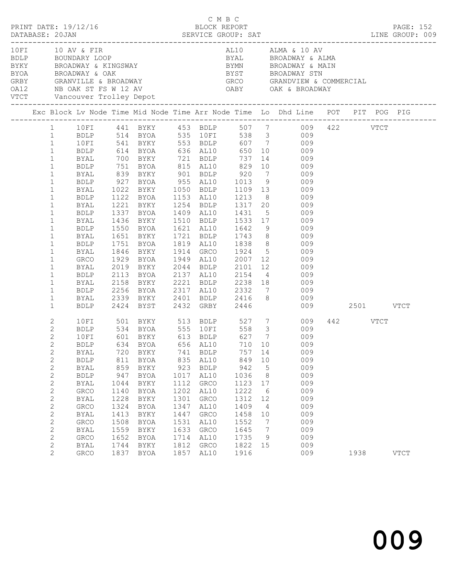|  |                |                   |      | PRINT DATE: 19/12/16 BLOCK REPORT |      | C M B C     |         |                 |                                                                                                                                                                                                                                                                            |          | PAGE: 152   |
|--|----------------|-------------------|------|-----------------------------------|------|-------------|---------|-----------------|----------------------------------------------------------------------------------------------------------------------------------------------------------------------------------------------------------------------------------------------------------------------------|----------|-------------|
|  |                |                   |      |                                   |      |             |         |                 |                                                                                                                                                                                                                                                                            |          |             |
|  |                | 10 FI 10 AV & FIR |      |                                   |      |             |         |                 | AL10 ALMA & 10 AV                                                                                                                                                                                                                                                          |          |             |
|  |                |                   |      |                                   |      |             |         |                 |                                                                                                                                                                                                                                                                            |          |             |
|  |                |                   |      |                                   |      |             |         |                 |                                                                                                                                                                                                                                                                            |          |             |
|  |                |                   |      |                                   |      |             |         |                 |                                                                                                                                                                                                                                                                            |          |             |
|  |                |                   |      |                                   |      |             |         |                 |                                                                                                                                                                                                                                                                            |          |             |
|  |                |                   |      |                                   |      |             |         |                 | 10 10 AV & FIR<br>BOUNDARY LOOP<br>BOUNDARY LOOP<br>BROADWAY & KINGSWAY<br>BROADWAY & CAK<br>BROADWAY & OAK<br>BROADWAY & OAK<br>SROADWAY & COMMERCIAL<br>GRBY<br>CARY<br>CARY<br>CARY<br>CARY<br>CARY<br>CARY<br>CARY<br>CARY<br>CARY<br>CARY<br>CARY<br>CARY<br>CARY<br> |          |             |
|  |                |                   |      |                                   |      |             |         |                 |                                                                                                                                                                                                                                                                            |          |             |
|  |                |                   |      |                                   |      |             |         |                 | Exc Block Lv Node Time Mid Node Time Arr Node Time Lo Dhd Line POT PIT POG PIG                                                                                                                                                                                             |          |             |
|  |                |                   |      |                                   |      |             |         |                 | 1 10FI 441 BYKY 453 BDLP 507 7 009 422 VTCT                                                                                                                                                                                                                                |          |             |
|  | 1              |                   |      |                                   |      |             |         |                 |                                                                                                                                                                                                                                                                            |          |             |
|  | $\mathbf{1}$   | 10FI              |      |                                   |      |             |         |                 | BDLP 514 BYOA 535 10FI 538 3 009<br>10FI 541 BYKY 553 BDLP 607 7 009                                                                                                                                                                                                       |          |             |
|  | $\mathbf{1}$   |                   |      |                                   |      |             |         |                 | BDLP 614 BYOA 636 AL10 650 10 009                                                                                                                                                                                                                                          |          |             |
|  | $\mathbf{1}$   | BYAL              |      |                                   |      |             |         |                 | BYAL 700 BYKY 721 BDLP 737 14 009<br>BDLP 751 BYOA 815 AL10 829 10 009<br>BYAL 839 BYKY 901 BDLP 920 7 009<br>BDLP 927 BYOA 955 AL10 1013 9 009                                                                                                                            |          |             |
|  | $\mathbf{1}$   |                   |      |                                   |      |             |         |                 |                                                                                                                                                                                                                                                                            |          |             |
|  | $\mathbf{1}$   |                   |      |                                   |      |             |         |                 |                                                                                                                                                                                                                                                                            |          |             |
|  | $\mathbf{1}$   |                   |      |                                   |      |             |         |                 |                                                                                                                                                                                                                                                                            |          |             |
|  | $\mathbf{1}$   | BYAL              |      |                                   |      |             |         |                 | 1022 BYKY 1050 BDLP 1109 13 009                                                                                                                                                                                                                                            |          |             |
|  | $\mathbf{1}$   | BDLP              |      |                                   |      |             |         |                 |                                                                                                                                                                                                                                                                            |          |             |
|  | $\mathbf{1}$   | BYAL              |      |                                   |      |             |         |                 | 1122 BYOA     1153   AL10      1213     8              009<br>1221   BYKY       1254   BDLP      1317   20              009                                                                                                                                                |          |             |
|  | $\mathbf{1}$   | BDLP              |      |                                   |      |             |         |                 | 1337 BYOA 1409 AL10 1431 5 009                                                                                                                                                                                                                                             |          |             |
|  | $\mathbf{1}$   | BYAL              | 1436 |                                   |      |             |         |                 | BYKY 1510 BDLP 1533 17 009                                                                                                                                                                                                                                                 |          |             |
|  | $\mathbf{1}$   | BDLP              |      |                                   |      |             |         |                 |                                                                                                                                                                                                                                                                            |          |             |
|  | $\mathbf{1}$   | BYAL              |      |                                   |      |             |         |                 | 1550 BYOA 1621 AL10 1642 9 009<br>1651 BYKY 1721 BDLP 1743 8 009<br>1751 BYOA 1819 AL10 1838 8 009                                                                                                                                                                         |          |             |
|  | $\mathbf{1}$   | BDLP              | 1751 |                                   |      |             |         |                 |                                                                                                                                                                                                                                                                            |          |             |
|  | $\mathbf{1}$   | BYAL              |      |                                   |      |             |         |                 | 1846 BYKY 1914 GRCO 1924 5 009                                                                                                                                                                                                                                             |          |             |
|  | $\mathbf{1}$   | GRCO              |      |                                   |      |             |         |                 |                                                                                                                                                                                                                                                                            |          |             |
|  | $\mathbf{1}$   | BYAL              |      |                                   |      |             |         |                 | 1929 BYOA 1949 AL10 2007 12 009<br>2019 BYKY 2044 BDLP 2101 12 009<br>2113 BYOA 2137 AL10 2154 4 009                                                                                                                                                                       |          |             |
|  | $\mathbf{1}$   | BDLP              |      |                                   |      |             |         |                 |                                                                                                                                                                                                                                                                            |          |             |
|  | $\mathbf{1}$   | BYAL              |      |                                   |      |             |         |                 | 2158 BYKY 2221 BDLP 2238 18 009                                                                                                                                                                                                                                            |          |             |
|  | $\mathbf{1}$   |                   |      |                                   |      |             |         |                 |                                                                                                                                                                                                                                                                            |          |             |
|  | $\mathbf{1}$   |                   |      |                                   |      |             |         |                 |                                                                                                                                                                                                                                                                            |          |             |
|  | $\mathbf{1}$   |                   |      |                                   |      |             |         |                 | BDLP 2256 BYOA 2317 AL10 2332 7 009<br>BYAL 2339 BYKY 2401 BDLP 2416 8 009<br>BDLP 2424 BYST 2432 GRBY 2446 009                                                                                                                                                            |          |             |
|  |                |                   |      |                                   |      |             |         |                 |                                                                                                                                                                                                                                                                            |          |             |
|  | $\mathbf{2}$   |                   |      |                                   |      |             |         |                 | 10FI 501 BYKY 513 BDLP 527 7 009<br>BDLP 534 BYOA 555 10FI 558 3 009<br>10FI 601 BYKY 613 BDLP 627 7 009                                                                                                                                                                   | 442 VTCT |             |
|  | $\overline{2}$ |                   |      |                                   |      |             |         |                 |                                                                                                                                                                                                                                                                            |          |             |
|  | $\mathbf{2}$   |                   |      |                                   |      |             |         |                 |                                                                                                                                                                                                                                                                            |          |             |
|  | $\overline{2}$ |                   |      |                                   |      |             |         |                 | BDLP 634 BYOA 656 AL10 710 10 009                                                                                                                                                                                                                                          |          |             |
|  | $\mathbf{2}$   | BYAL              | 720  | BYKY                              | 741  | BDLP        | 757 14  |                 | 009                                                                                                                                                                                                                                                                        |          |             |
|  | $\mathbf{2}$   | <b>BDLP</b>       | 811  | BYOA                              | 835  | AL10        | 849 10  |                 | 009                                                                                                                                                                                                                                                                        |          |             |
|  | $\mathbf{2}$   | <b>BYAL</b>       | 859  | BYKY                              | 923  | <b>BDLP</b> | 942     | $5\phantom{.0}$ | 009                                                                                                                                                                                                                                                                        |          |             |
|  | 2              | <b>BDLP</b>       | 947  | BYOA                              | 1017 | AL10        | 1036    | 8               | 009                                                                                                                                                                                                                                                                        |          |             |
|  | $\mathbf{2}$   | <b>BYAL</b>       | 1044 | BYKY                              | 1112 | GRCO        | 1123    | 17              | 009                                                                                                                                                                                                                                                                        |          |             |
|  | $\mathbf{2}$   | GRCO              | 1140 | BYOA                              | 1202 | AL10        | 1222    | $6\overline{6}$ | 009                                                                                                                                                                                                                                                                        |          |             |
|  | $\mathbf{2}$   | BYAL              | 1228 | BYKY                              | 1301 | GRCO        | 1312    | 12              | 009                                                                                                                                                                                                                                                                        |          |             |
|  | 2              | ${\tt GRCO}$      | 1324 | BYOA                              | 1347 | AL10        | 1409    | $\overline{4}$  | 009                                                                                                                                                                                                                                                                        |          |             |
|  | $\mathbf{2}$   | BYAL              | 1413 | BYKY                              | 1447 | GRCO        | 1458    | 10              | 009                                                                                                                                                                                                                                                                        |          |             |
|  | $\mathbf{2}$   | GRCO              | 1508 | BYOA                              | 1531 | AL10        | 1552    | $\overline{7}$  | 009                                                                                                                                                                                                                                                                        |          |             |
|  | $\sqrt{2}$     | BYAL              | 1559 | BYKY                              | 1633 | GRCO        | 1645    | $\overline{7}$  | 009                                                                                                                                                                                                                                                                        |          |             |
|  | $\mathbf{2}$   | GRCO              | 1652 | BYOA                              | 1714 | AL10        | 1735    | 9               | 009                                                                                                                                                                                                                                                                        |          |             |
|  | $\mathbf{2}$   | BYAL              | 1744 | BYKY                              | 1812 | GRCO        | 1822 15 |                 | 009                                                                                                                                                                                                                                                                        |          |             |
|  | $\overline{2}$ | GRCO              | 1837 | BYOA                              | 1857 | AL10        | 1916    |                 | 009                                                                                                                                                                                                                                                                        | 1938     | <b>VTCT</b> |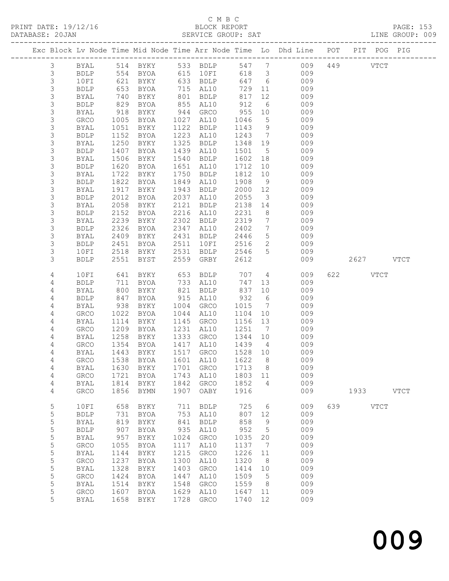#### C M B C<br>BLOCK REPORT SERVICE GROUP: SAT

PRINT DATE: 19/12/16 BLOCK REPORT PAGE: 153

|                |                     |              |                                         |              |                        |              |                              | Exc Block Lv Node Time Mid Node Time Arr Node Time Lo Dhd Line POT                                                                      |     |          | PIT POG PIG |             |
|----------------|---------------------|--------------|-----------------------------------------|--------------|------------------------|--------------|------------------------------|-----------------------------------------------------------------------------------------------------------------------------------------|-----|----------|-------------|-------------|
| 3              | BYAL                |              |                                         |              |                        |              |                              | 514 BYKY        533   BDLP         547      7              009<br>554   BYOA          615   10FI            618     3               009 |     | 449      | <b>VTCT</b> |             |
| $\mathfrak{Z}$ | BDLP                |              |                                         |              |                        |              |                              |                                                                                                                                         |     |          |             |             |
| $\mathfrak{Z}$ | 10FI                |              | 554 BYOA<br>621 BYKY                    |              | 633 BDLP               | 647          | $6\overline{6}$              | 009                                                                                                                                     |     |          |             |             |
| $\mathfrak{Z}$ | BDLP                | 653          | BYOA                                    |              | 715 AL10               | 729          | 11                           | 009                                                                                                                                     |     |          |             |             |
| 3              | BYAL                | 740          | BYKY                                    | 801          | BDLP                   | 817          | 12                           | 009                                                                                                                                     |     |          |             |             |
| $\mathfrak{Z}$ | BDLP                | 829          | BYOA                                    |              | 855 AL10               | 912          | 6                            | 009                                                                                                                                     |     |          |             |             |
| 3              | BYAL                | 918          | BYKY                                    |              | 944 GRCO               | 955          | 10                           | 009                                                                                                                                     |     |          |             |             |
| 3              | GRCO                | 1005         | BYOA                                    | 1027         | AL10                   | 1046         | $5\phantom{.0}$              | 009                                                                                                                                     |     |          |             |             |
| 3              | BYAL                | 1051         | BYKY                                    | 1122         | BDLP                   | 1143         | 9                            | 009                                                                                                                                     |     |          |             |             |
| $\mathfrak{Z}$ | <b>BDLP</b>         | 1152         | BYOA                                    | 1223         | AL10                   | 1243         | $7\phantom{.0}\phantom{.0}7$ | 009                                                                                                                                     |     |          |             |             |
| 3              | BYAL                | 1250         | BYKY                                    | 1325         | BDLP                   | 1348         | 19                           | 009                                                                                                                                     |     |          |             |             |
| 3              | <b>BDLP</b>         | 1407         | BYOA                                    | 1439         | AL10                   | 1501         | $5^{\circ}$                  | 009                                                                                                                                     |     |          |             |             |
| 3              | BYAL                | 1506         | BYKY                                    | 1540         | BDLP                   | 1602         | 18                           | 009                                                                                                                                     |     |          |             |             |
| 3              | BDLP                | 1620         | BYOA                                    | 1651         | AL10                   | 1712         | 10 <sub>o</sub>              | 009                                                                                                                                     |     |          |             |             |
| 3<br>3         | BYAL<br>BDLP        | 1722<br>1822 | BYKY<br>BYOA                            | 1750<br>1849 | <b>BDLP</b><br>AL10    | 1812<br>1908 | 10<br>9                      | 009<br>009                                                                                                                              |     |          |             |             |
| 3              | BYAL                | 1917         | BYKY                                    | 1943         | BDLP                   | 2000         | 12                           | 009                                                                                                                                     |     |          |             |             |
| $\mathfrak{Z}$ | BDLP                | 2012         | BYOA                                    | 2037         | AL10                   | 2055         | $\overline{\mathbf{3}}$      | 009                                                                                                                                     |     |          |             |             |
| 3              | <b>BYAL</b>         | 2058         | BYKY                                    | 2121         | BDLP                   | 2138         | 14                           | 009                                                                                                                                     |     |          |             |             |
| 3              | BDLP                | 2152         | BYOA                                    | 2216         | AL10                   | 2231         | 8 <sup>8</sup>               | 009                                                                                                                                     |     |          |             |             |
| 3              | BYAL                | 2239         | BYKY                                    | 2302         | BDLP                   | 2319         | $7\phantom{.0}\phantom{.0}7$ | 009                                                                                                                                     |     |          |             |             |
| 3              | BDLP                | 2326         | BYOA                                    | 2347         | AL10                   | 2402         | $7\phantom{.0}\phantom{.0}7$ | 009                                                                                                                                     |     |          |             |             |
| 3              | BYAL                | 2409         | BYKY                                    | 2431         | BDLP                   | 2446         | $5\overline{)}$              | 009                                                                                                                                     |     |          |             |             |
| 3              | BDLP                | 2451         | BYOA                                    | 2511         | 10FI                   | 2516         | $\overline{2}$               | 009                                                                                                                                     |     |          |             |             |
| 3              | 10FI                | 2518         | BYKY                                    | 2531         | BDLP                   | 2546         | 5 <sup>5</sup>               | 009                                                                                                                                     |     |          |             |             |
| 3              | <b>BDLP</b>         | 2551         | BYST                                    | 2559         | GRBY                   | 2612         |                              | 009                                                                                                                                     |     |          | 2627 VTCT   |             |
| $\overline{4}$ | 10FI                | 641          | BYKY                                    | 653          | <b>BDLP</b>            | 707          |                              | $4\overline{ }$<br>009                                                                                                                  |     | 622 VTCT |             |             |
| 4              | BDLP                | 711          | BYOA                                    |              | 733 AL10               | 747          | 13                           | 009                                                                                                                                     |     |          |             |             |
| 4              | BYAL                | 800          | BYKY                                    | 821          | BDLP                   | 837          | 10                           | 009                                                                                                                                     |     |          |             |             |
| 4              | <b>BDLP</b>         | 847          | BYOA                                    | 915          | AL10                   | 932          | $6\overline{6}$              | 009                                                                                                                                     |     |          |             |             |
| 4              | BYAL                | 938          | BYKY                                    | 1004         | GRCO                   | 1015         | $\overline{7}$               | 009                                                                                                                                     |     |          |             |             |
| 4              | GRCO                | 1022         | BYOA                                    | 1044         | AL10                   | 1104         | 10                           | 009                                                                                                                                     |     |          |             |             |
| 4              | BYAL                | 1114         | BYKY                                    | 1145         | GRCO                   | 1156         | 13                           | 009                                                                                                                                     |     |          |             |             |
| 4              | GRCO                | 1209         | BYOA                                    | 1231         | AL10                   | 1251         | $\overline{7}$               | 009                                                                                                                                     |     |          |             |             |
| 4              | BYAL                | 1258         | BYKY                                    | 1333         | GRCO                   | 1344         | 10                           | 009                                                                                                                                     |     |          |             |             |
| 4              | GRCO                | 1354         | BYOA                                    |              | 1417 AL10              | 1439         | $\overline{4}$               | 009                                                                                                                                     |     |          |             |             |
| 4              | BYAL                | 1443         | BYKY                                    |              | 1517 GRCO<br>1601 AL10 | 1528         | 10                           | 009                                                                                                                                     |     |          |             |             |
| 4              | <b>GRCO</b>         | 1538         | BYOA<br>BYAL 1630 BYKY 1701 GRCO 1713 8 |              |                        | 1622         | 8                            | 009<br>009                                                                                                                              |     |          |             |             |
| 4<br>4         | <b>GRCO</b>         | 1721         | BYOA                                    | 1743         | AL10                   | 1803 11      |                              | 009                                                                                                                                     |     |          |             |             |
| 4              | BYAL                | 1814         | BYKY                                    | 1842         | GRCO                   | 1852         | 4                            | 009                                                                                                                                     |     |          |             |             |
| 4              | GRCO                | 1856         | BYMN                                    | 1907         | OABY                   | 1916         |                              | 009                                                                                                                                     |     | 1933     |             | <b>VTCT</b> |
|                |                     |              |                                         |              |                        |              |                              |                                                                                                                                         |     |          |             |             |
| 5              | 10FI                | 658          | BYKY                                    | 711          | <b>BDLP</b>            | 725          | 6                            | 009                                                                                                                                     | 639 |          | <b>VTCT</b> |             |
| 5              | <b>BDLP</b>         | 731          | BYOA                                    | 753          | AL10                   | 807          | 12                           | 009                                                                                                                                     |     |          |             |             |
| 5              | <b>BYAL</b>         | 819          | BYKY                                    | 841          | <b>BDLP</b>            | 858          | 9                            | 009                                                                                                                                     |     |          |             |             |
| 5<br>5         | <b>BDLP</b><br>BYAL | 907<br>957   | BYOA<br>BYKY                            | 935<br>1024  | AL10<br>GRCO           | 952<br>1035  | $5\phantom{.0}$<br>20        | 009<br>009                                                                                                                              |     |          |             |             |
| 5              | GRCO                | 1055         | <b>BYOA</b>                             | 1117         | AL10                   | 1137         | 7                            | 009                                                                                                                                     |     |          |             |             |
| 5              | <b>BYAL</b>         | 1144         | BYKY                                    | 1215         | ${\tt GRCO}$           | 1226         | 11                           | 009                                                                                                                                     |     |          |             |             |
| 5              | ${\tt GRCO}$        | 1237         | BYOA                                    | 1300         | AL10                   | 1320         | 8                            | 009                                                                                                                                     |     |          |             |             |
| 5              | BYAL                | 1328         | BYKY                                    | 1403         | GRCO                   | 1414         | 10                           | 009                                                                                                                                     |     |          |             |             |
| 5              | GRCO                | 1424         | BYOA                                    | 1447         | AL10                   | 1509         | $-5$                         | 009                                                                                                                                     |     |          |             |             |
| 5              | BYAL                | 1514         | BYKY                                    | 1548         | GRCO                   | 1559         | 8                            | 009                                                                                                                                     |     |          |             |             |
| 5              | GRCO                | 1607         | BYOA                                    | 1629         | AL10                   | 1647         | 11                           | 009                                                                                                                                     |     |          |             |             |
| 5              | BYAL                | 1658         | BYKY                                    | 1728         | GRCO                   | 1740         | 12                           | 009                                                                                                                                     |     |          |             |             |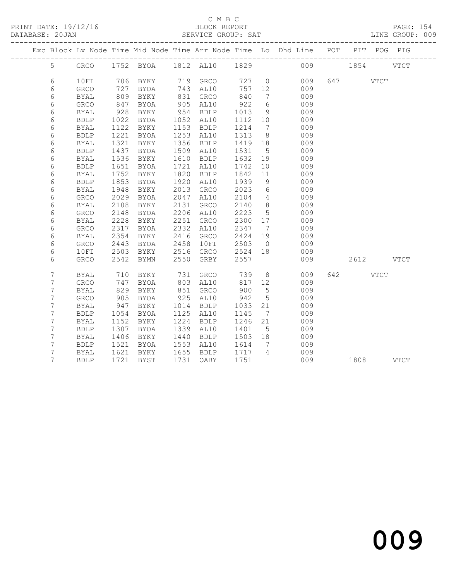#### C M B C<br>BLOCK REPORT

LINE GROUP: 009

|   |              |      |                          |      |             |         |                 | Exc Block Lv Node Time Mid Node Time Arr Node Time Lo Dhd Line POT |               | PIT POG PIG |
|---|--------------|------|--------------------------|------|-------------|---------|-----------------|--------------------------------------------------------------------|---------------|-------------|
| 5 | GRCO         |      | 1752 BYOA 1812 AL10 1829 |      |             |         |                 |                                                                    | 009 1854 VTCT |             |
| 6 | 10FI         |      | 706 BYKY                 |      | 719 GRCO    |         |                 | 727 0<br>009                                                       | 647 VTCT      |             |
| 6 | GRCO         | 727  | BYOA                     |      | 743 AL10    | 757 12  |                 | 009                                                                |               |             |
| 6 | <b>BYAL</b>  | 809  | BYKY                     |      | 831 GRCO    | 840     | $7\phantom{0}$  | 009                                                                |               |             |
| 6 | GRCO         | 847  | BYOA                     |      | 905 AL10    | 922     | $6\overline{6}$ | 009                                                                |               |             |
| 6 | BYAL         | 928  | BYKY                     | 954  | BDLP        | 1013    | 9               | 009                                                                |               |             |
| 6 | <b>BDLP</b>  | 1022 | BYOA                     |      | 1052 AL10   | 1112 10 |                 | 009                                                                |               |             |
| 6 | <b>BYAL</b>  | 1122 | BYKY                     |      | 1153 BDLP   | 1214    | $\overline{7}$  | 009                                                                |               |             |
| 6 | <b>BDLP</b>  | 1221 | BYOA                     | 1253 | AL10        | 1313    | 8 <sup>8</sup>  | 009                                                                |               |             |
| 6 | BYAL         | 1321 | BYKY                     | 1356 | BDLP        | 1419 18 |                 | 009                                                                |               |             |
| 6 | <b>BDLP</b>  | 1437 | BYOA                     | 1509 | AL10        | 1531    | $5\overline{)}$ | 009                                                                |               |             |
| 6 | BYAL         | 1536 | BYKY                     | 1610 | BDLP        | 1632 19 |                 | 009                                                                |               |             |
| 6 | <b>BDLP</b>  | 1651 | BYOA                     | 1721 | AL10        | 1742    | 10              | 009                                                                |               |             |
| 6 | BYAL         | 1752 | BYKY                     | 1820 | <b>BDLP</b> | 1842    | 11              | 009                                                                |               |             |
| 6 | <b>BDLP</b>  | 1853 | BYOA                     | 1920 | AL10        | 1939    | 9               | 009                                                                |               |             |
| 6 | <b>BYAL</b>  | 1948 | BYKY                     | 2013 | GRCO        | 2023    | $6\overline{6}$ | 009                                                                |               |             |
| 6 | GRCO         | 2029 | BYOA                     | 2047 | AL10        | 2104    | $4\overline{4}$ | 009                                                                |               |             |
| 6 | <b>BYAL</b>  | 2108 | BYKY                     | 2131 | GRCO        | 2140    | 8 <sup>8</sup>  | 009                                                                |               |             |
| 6 | GRCO         | 2148 | BYOA                     | 2206 | AL10        | 2223    | $5\overline{)}$ | 009                                                                |               |             |
| 6 | <b>BYAL</b>  | 2228 | BYKY                     | 2251 | GRCO        | 2300 17 |                 | 009                                                                |               |             |
| 6 | GRCO         | 2317 | BYOA                     | 2332 | AL10        | 2347    | $\overline{7}$  | 009                                                                |               |             |
| 6 | BYAL         | 2354 | BYKY                     | 2416 | GRCO        | 2424    | 19              | 009                                                                |               |             |
| 6 | GRCO         | 2443 | BYOA                     | 2458 | 10FI        | 2503    | $\overline{0}$  | 009                                                                |               |             |
| 6 | 10FI         | 2503 | BYKY                     | 2516 | GRCO        | 2524 18 |                 | 009                                                                |               |             |
| 6 | GRCO         | 2542 | BYMN                     | 2550 | GRBY        | 2557    |                 | 009                                                                | 2612 VTCT     |             |
| 7 | BYAL         | 710  | BYKY                     | 731  | GRCO        | 739     |                 | $8 \overline{)}$<br>009                                            | 642 VTCT      |             |
| 7 | ${\tt GRCO}$ | 747  | BYOA                     |      | 803 AL10    | 817     | 12              | 009                                                                |               |             |
| 7 | <b>BYAL</b>  | 829  | BYKY                     | 851  | GRCO        | 900     | $5^{\circ}$     | 009                                                                |               |             |
| 7 | GRCO         | 905  | BYOA                     | 925  | AL10        | 942     | $5\overline{)}$ | 009                                                                |               |             |
| 7 | BYAL         | 947  | BYKY                     | 1014 | BDLP        | 1033    | 21              | 009                                                                |               |             |
| 7 | <b>BDLP</b>  | 1054 | BYOA                     | 1125 | AL10        | 1145    | $\overline{7}$  | 009                                                                |               |             |
| 7 | BYAL         | 1152 | BYKY                     | 1224 | <b>BDLP</b> | 1246    | 21              | 009                                                                |               |             |
| 7 | <b>BDLP</b>  | 1307 | BYOA                     | 1339 | AL10        | 1401    | 5 <sup>5</sup>  | 009                                                                |               |             |
| 7 | BYAL         | 1406 | BYKY                     | 1440 | BDLP        | 1503 18 |                 | 009                                                                |               |             |
| 7 | <b>BDLP</b>  | 1521 | BYOA                     | 1553 | AL10        | 1614    | $\overline{7}$  | 009                                                                |               |             |
| 7 | <b>BYAL</b>  | 1621 | BYKY                     | 1655 | <b>BDLP</b> | 1717 4  |                 | 009                                                                |               |             |
| 7 | <b>BDLP</b>  | 1721 | BYST                     | 1731 | OABY        | 1751    |                 | 009                                                                | 1808          | VTCT        |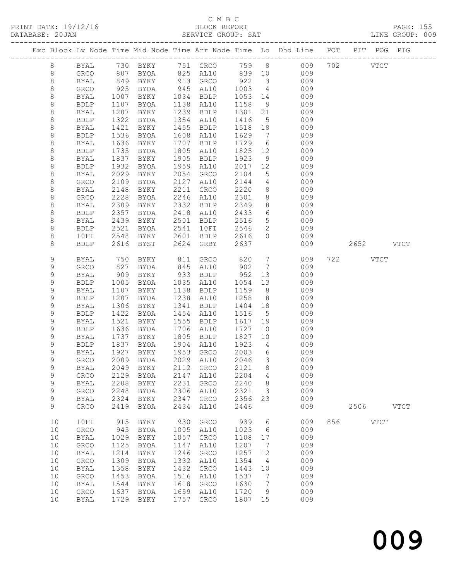### C M B C<br>BLOCK REPORT

PRINT DATE: 19/12/16 BLOCK REPORT PAGE: 155 SERVICE GROUP: SAT

|             |              |      |             |      |                            |         |                              | Exc Block Lv Node Time Mid Node Time Arr Node Time Lo Dhd Line POT |     | PIT POG PIG |             |
|-------------|--------------|------|-------------|------|----------------------------|---------|------------------------------|--------------------------------------------------------------------|-----|-------------|-------------|
| 8           |              |      |             |      |                            |         |                              | BYAL 730 BYKY 751 GRCO 759 8 009                                   | 702 | VTCT        |             |
| 8           | GRCO         | 807  | BYOA        |      | 825 AL10 839 10            |         |                              | 009                                                                |     |             |             |
| $\,8\,$     | BYAL         | 849  | BYKY        |      | 913 GRCO                   | 922     | $\overline{\mathbf{3}}$      | 009                                                                |     |             |             |
| $\,8\,$     | GRCO         | 925  | BYOA        |      | 945 AL10                   | 1003    | $\overline{4}$               | 009                                                                |     |             |             |
|             |              |      |             |      |                            |         |                              |                                                                    |     |             |             |
| $\,8\,$     | BYAL         | 1007 | BYKY        |      | 1034 BDLP                  | 1053 14 |                              | 009                                                                |     |             |             |
| 8           | <b>BDLP</b>  | 1107 | BYOA        |      | 1138 AL10                  | 1158    | 9                            | 009                                                                |     |             |             |
| 8           | BYAL         | 1207 | BYKY        |      | 1239 BDLP                  | 1301    | 21                           | 009                                                                |     |             |             |
| 8           | <b>BDLP</b>  | 1322 | BYOA        | 1354 | AL10                       | 1416    | $5\overline{)}$              | 009                                                                |     |             |             |
| $\,8\,$     | BYAL         | 1421 | BYKY        | 1455 | BDLP                       | 1518 18 |                              | 009                                                                |     |             |             |
| $\,8\,$     | <b>BDLP</b>  | 1536 | BYOA        | 1608 | AL10                       | 1629    | $7\overline{ }$              | 009                                                                |     |             |             |
| 8           | BYAL         | 1636 | BYKY        | 1707 | BDLP                       | 1729    | 6                            | 009                                                                |     |             |             |
| $\,8\,$     | <b>BDLP</b>  | 1735 | BYOA        | 1805 | AL10                       | 1825    | 12                           | 009                                                                |     |             |             |
| $\,8\,$     | BYAL         | 1837 | BYKY        | 1905 | BDLP                       | 1923    | 9                            | 009                                                                |     |             |             |
| $\,8\,$     | <b>BDLP</b>  | 1932 | BYOA        | 1959 | AL10                       | 2017    | 12                           | 009                                                                |     |             |             |
| 8           | BYAL         | 2029 | BYKY        | 2054 | GRCO                       | 2104    | 5 <sup>5</sup>               | 009                                                                |     |             |             |
| $\,8\,$     | GRCO         | 2109 | BYOA        | 2127 | AL10                       | 2144    | $4\overline{4}$              | 009                                                                |     |             |             |
| $\,8\,$     | <b>BYAL</b>  | 2148 | BYKY        | 2211 | GRCO                       | 2220    | 8 <sup>8</sup>               | 009                                                                |     |             |             |
| $\,8\,$     | GRCO         | 2228 | BYOA        | 2246 | AL10                       | 2301    | 8 <sup>8</sup>               | 009                                                                |     |             |             |
| 8           | BYAL         | 2309 | BYKY        | 2332 | BDLP                       | 2349    | 8 <sup>8</sup>               | 009                                                                |     |             |             |
| $\,8\,$     | <b>BDLP</b>  | 2357 | BYOA        | 2418 | AL10                       | 2433    | $6\overline{6}$              | 009                                                                |     |             |             |
| $\,8\,$     | BYAL         | 2439 | BYKY        | 2501 | BDLP                       | 2516    | $5\overline{)}$              | 009                                                                |     |             |             |
| $\,8\,$     | <b>BDLP</b>  | 2521 | BYOA        | 2541 | 10FI                       | 2546    | $\overline{2}$               | 009                                                                |     |             |             |
| 8           | 10FI         | 2548 | BYKY        | 2601 | BDLP                       | 2616    | $\circ$                      | 009                                                                |     |             |             |
| 8           | <b>BDLP</b>  | 2616 | BYST        | 2624 | GRBY                       | 2637    |                              | 009                                                                |     | 2652        | <b>VTCT</b> |
|             |              |      |             |      |                            |         |                              |                                                                    |     |             |             |
| 9           | BYAL         | 750  | BYKY        | 811  | GRCO                       | 820     | $\overline{7}$               | 009                                                                |     | 722<br>VTCT |             |
| 9           | ${\tt GRCO}$ | 827  | BYOA        |      | 845 AL10                   | 902     | $\overline{7}$               | 009                                                                |     |             |             |
| 9           | BYAL         | 909  | BYKY        |      | 933 BDLP                   | 952     | 13                           | 009                                                                |     |             |             |
| 9           | <b>BDLP</b>  | 1005 | BYOA        |      | 1035 AL10                  | 1054    | 13                           | 009                                                                |     |             |             |
| 9           | BYAL         | 1107 | BYKY        |      | 1138 BDLP                  | 1159    | 8 <sup>8</sup>               | 009                                                                |     |             |             |
| $\mathsf 9$ | <b>BDLP</b>  | 1207 | BYOA        |      | 1238 AL10                  | 1258    | 8 <sup>8</sup>               | 009                                                                |     |             |             |
| $\mathsf 9$ | BYAL         | 1306 | BYKY        | 1341 | BDLP                       | 1404    | 18                           | 009                                                                |     |             |             |
| 9           | <b>BDLP</b>  | 1422 | BYOA        | 1454 | AL10                       | 1516    | $5^{\circ}$                  | 009                                                                |     |             |             |
| 9           | BYAL         | 1521 | BYKY        | 1555 | BDLP                       | 1617    | 19                           | 009                                                                |     |             |             |
| $\mathsf 9$ | <b>BDLP</b>  | 1636 | BYOA        | 1706 | AL10                       | 1727    | 10                           | 009                                                                |     |             |             |
| 9           | BYAL         | 1737 | BYKY        | 1805 | BDLP                       | 1827    | 10                           | 009                                                                |     |             |             |
| 9           | <b>BDLP</b>  | 1837 | BYOA        | 1904 | AL10                       | 1923    | $\overline{4}$               | 009                                                                |     |             |             |
| 9           | BYAL         | 1927 | BYKY        |      | 1953 GRCO                  | 2003    | $6\overline{6}$              | 009                                                                |     |             |             |
| $\mathsf 9$ | GRCO         | 2009 | BYOA        |      | 2029 AL10                  | 2046    | $\overline{3}$               | 009                                                                |     |             |             |
| 9           |              |      |             |      | 2049 BYKY 2112 GRCO 2121 8 |         |                              | 009                                                                |     |             |             |
| 9           | BYAL<br>GRCO | 2129 | BYOA        | 2147 | AL10                       | 2204    | 4                            | 009                                                                |     |             |             |
| 9           | <b>BYAL</b>  | 2208 | BYKY        | 2231 | GRCO                       | 2240    | 8                            | 009                                                                |     |             |             |
| $\mathsf 9$ |              | 2248 |             | 2306 |                            | 2321    | $\mathcal{S}$                | 009                                                                |     |             |             |
| 9           | GRCO         | 2324 | BYOA        | 2347 | AL10                       | 2356    | 23                           | 009                                                                |     |             |             |
| 9           | BYAL         |      | BYKY        | 2434 | GRCO                       |         |                              |                                                                    |     | 2506        | <b>VTCT</b> |
|             | GRCO         | 2419 | BYOA        |      | AL10                       | 2446    |                              | 009                                                                |     |             |             |
| 10          | 10FI         | 915  | BYKY        | 930  | GRCO                       | 939     | $6\overline{6}$              | 009                                                                | 856 | <b>VTCT</b> |             |
| 10          | ${\tt GRCO}$ | 945  | BYOA        | 1005 | AL10                       | 1023    | $6\overline{6}$              | 009                                                                |     |             |             |
| 10          | BYAL         | 1029 | BYKY        | 1057 | GRCO                       | 1108    | 17                           | 009                                                                |     |             |             |
| 10          | ${\tt GRCO}$ | 1125 | <b>BYOA</b> | 1147 | AL10                       | 1207    | $7\phantom{.0}\phantom{.0}7$ | 009                                                                |     |             |             |
| 10          |              | 1214 |             | 1246 |                            | 1257    |                              | 009                                                                |     |             |             |
|             | <b>BYAL</b>  |      | BYKY        |      | GRCO                       |         | 12                           |                                                                    |     |             |             |
| 10          | ${\tt GRCO}$ | 1309 | <b>BYOA</b> | 1332 | AL10                       | 1354    | $\overline{4}$               | 009                                                                |     |             |             |
| 10          | BYAL         | 1358 | BYKY        | 1432 | GRCO                       | 1443    | 10                           | 009                                                                |     |             |             |
| 10          | ${\tt GRCO}$ | 1453 | BYOA        | 1516 | AL10                       | 1537    | $\overline{7}$               | 009                                                                |     |             |             |
| 10          | BYAL         | 1544 | BYKY        | 1618 | GRCO                       | 1630    | $\overline{7}$               | 009                                                                |     |             |             |
| 10          | GRCO         | 1637 | <b>BYOA</b> | 1659 | AL10                       | 1720    | 9                            | 009                                                                |     |             |             |
| 10          | <b>BYAL</b>  | 1729 | BYKY        | 1757 | GRCO                       | 1807 15 |                              | 009                                                                |     |             |             |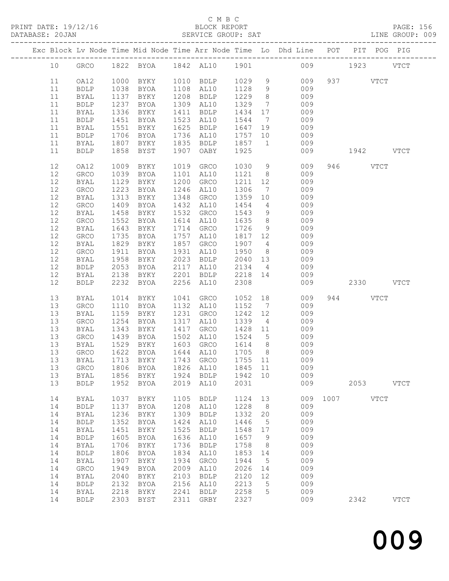#### C M B C<br>BLOCK REPORT SERVICE GROUP: SAT

|  |    |              |      |             |      |                                     |         |                 | Exc Block Lv Node Time Mid Node Time Arr Node Time Lo Dhd Line POT PIT POG PIG |          |           |             |             |
|--|----|--------------|------|-------------|------|-------------------------------------|---------|-----------------|--------------------------------------------------------------------------------|----------|-----------|-------------|-------------|
|  | 10 |              |      |             |      | GRCO 1822 BYOA 1842 AL10 1901       |         |                 |                                                                                | 009 1923 |           |             | <b>VTCT</b> |
|  | 11 | OA12         |      | 1000 BYKY   |      | 1010 BDLP                           | 1029 9  |                 | 009                                                                            |          | 937 VTCT  |             |             |
|  | 11 | <b>BDLP</b>  | 1038 | BYOA        |      | 1108 AL10                           | 1128 9  |                 | 009                                                                            |          |           |             |             |
|  | 11 |              | 1137 | BYKY        |      | 1208 BDLP                           | 1229    | 8 <sup>8</sup>  | 009                                                                            |          |           |             |             |
|  |    | BYAL         |      |             |      |                                     |         |                 |                                                                                |          |           |             |             |
|  | 11 | <b>BDLP</b>  | 1237 | BYOA        |      | 1309 AL10                           | 1329    | $7\overline{ }$ | 009                                                                            |          |           |             |             |
|  | 11 | BYAL         | 1336 | BYKY        |      | 1411 BDLP                           | 1434    | 17              | 009                                                                            |          |           |             |             |
|  | 11 | ${\tt BDLP}$ | 1451 | BYOA        |      | 1523 AL10                           | 1544    | $7\overline{ }$ | 009                                                                            |          |           |             |             |
|  | 11 | BYAL         | 1551 | BYKY        |      | 1625 BDLP                           | 1647    |                 | 19<br>009                                                                      |          |           |             |             |
|  | 11 | <b>BDLP</b>  | 1706 | BYOA        |      | 1736 AL10                           | 1757    | 10              | 009                                                                            |          |           |             |             |
|  | 11 | BYAL         | 1807 | BYKY        |      | 1835 BDLP                           | 1857 1  |                 | 009                                                                            |          |           |             |             |
|  | 11 | <b>BDLP</b>  | 1858 | BYST        | 1907 | OABY                                | 1925    |                 | 009                                                                            |          | 1942 VTCT |             |             |
|  | 12 | OA12         | 1009 | BYKY        | 1019 | GRCO                                | 1030    | 9               | 009                                                                            |          | 946 VTCT  |             |             |
|  | 12 | GRCO         | 1039 | BYOA        |      | 1101 AL10                           | 1121    | 8 <sup>8</sup>  | 009                                                                            |          |           |             |             |
|  | 12 | BYAL         | 1129 | BYKY        | 1200 | GRCO                                | 1211    | 12              | 009                                                                            |          |           |             |             |
|  | 12 | GRCO         | 1223 | BYOA        | 1246 | AL10                                | 1306    |                 | $7\overline{ }$<br>009                                                         |          |           |             |             |
|  | 12 | BYAL         | 1313 | BYKY        | 1348 | GRCO                                | 1359    | 10              | 009                                                                            |          |           |             |             |
|  | 12 | GRCO         | 1409 | BYOA        |      | 1432 AL10                           | 1454    | $4\overline{4}$ | 009                                                                            |          |           |             |             |
|  | 12 | BYAL         | 1458 | BYKY        |      | 1532 GRCO                           | 1543    | 9               | 009                                                                            |          |           |             |             |
|  | 12 | GRCO         | 1552 | BYOA        | 1614 | AL10                                | 1635    | 8 <sup>8</sup>  | 009                                                                            |          |           |             |             |
|  | 12 | BYAL         | 1643 | BYKY        |      | 1714 GRCO                           | 1726    | 9               | 009                                                                            |          |           |             |             |
|  | 12 | GRCO         | 1735 | BYOA        |      | 1757 AL10                           | 1817 12 |                 | 009                                                                            |          |           |             |             |
|  | 12 | <b>BYAL</b>  | 1829 | BYKY        |      | 1857 GRCO                           | 1907 4  |                 | 009                                                                            |          |           |             |             |
|  | 12 |              | 1911 |             |      | 1931 AL10                           | 1950    |                 | 009                                                                            |          |           |             |             |
|  |    | GRCO         |      | BYOA        |      |                                     |         | 8 <sup>8</sup>  |                                                                                |          |           |             |             |
|  | 12 | BYAL         | 1958 | BYKY        |      | 2023 BDLP                           | 2040    | 13              | 009                                                                            |          |           |             |             |
|  | 12 | <b>BDLP</b>  | 2053 | BYOA        | 2117 | AL10                                | 2134 4  |                 | 009                                                                            |          |           |             |             |
|  | 12 | BYAL         | 2138 | BYKY        |      | 2201 BDLP                           | 2218 14 |                 | 009                                                                            |          |           |             |             |
|  | 12 | <b>BDLP</b>  | 2232 | BYOA        |      | 2256 AL10                           | 2308    |                 | 009                                                                            |          | 2330 VTCT |             |             |
|  | 13 | BYAL         | 1014 | BYKY        | 1041 | GRCO                                | 1052    |                 | 18 18<br>009                                                                   |          | 944 VTCT  |             |             |
|  | 13 | GRCO         | 1110 | BYOA        |      | 1132 AL10                           | 1152    | $7\overline{ }$ | 009                                                                            |          |           |             |             |
|  | 13 | BYAL         | 1159 | BYKY        | 1231 | GRCO                                | 1242    | 12              | 009                                                                            |          |           |             |             |
|  | 13 | GRCO         | 1254 | BYOA        | 1317 | AL10                                | 1339    | $\overline{4}$  | 009                                                                            |          |           |             |             |
|  | 13 | BYAL         | 1343 | BYKY        | 1417 | GRCO                                | 1428 11 |                 | 009                                                                            |          |           |             |             |
|  | 13 | GRCO         | 1439 | BYOA        |      | 1502 AL10                           | 1524 5  |                 | 009                                                                            |          |           |             |             |
|  |    |              | 1529 |             |      |                                     | 1614 8  |                 |                                                                                |          |           |             |             |
|  | 13 | BYAL         |      | BYKY        |      | 1603 GRCO                           |         |                 | 009                                                                            |          |           |             |             |
|  | 13 | GRCO         | 1622 | BYOA        |      | 1644 AL10                           | 1705 8  |                 | 009                                                                            |          |           |             |             |
|  | 13 | <b>BYAL</b>  |      | 1713 BYKY   |      | 1743 GRCO                           |         |                 | 1755 11 009                                                                    |          |           |             |             |
|  |    |              |      |             |      | 13 GRCO 1806 BYOA 1826 AL10 1845 11 |         |                 | 009                                                                            |          |           |             |             |
|  | 13 | <b>BYAL</b>  | 1856 | BYKY        | 1924 | <b>BDLP</b>                         | 1942    | 10              | 009                                                                            |          |           |             |             |
|  | 13 | <b>BDLP</b>  | 1952 | <b>BYOA</b> | 2019 | AL10                                | 2031    |                 | 009                                                                            |          | 2053      |             | <b>VTCT</b> |
|  | 14 | <b>BYAL</b>  | 1037 | BYKY        | 1105 | <b>BDLP</b>                         | 1124    | 13              | 009                                                                            | 1007     |           | <b>VTCT</b> |             |
|  | 14 | <b>BDLP</b>  | 1137 | <b>BYOA</b> | 1208 | AL10                                | 1228    | 8               | 009                                                                            |          |           |             |             |
|  | 14 | BYAL         | 1236 | BYKY        | 1309 | <b>BDLP</b>                         | 1332    | 20              | 009                                                                            |          |           |             |             |
|  | 14 | <b>BDLP</b>  | 1352 | <b>BYOA</b> | 1424 | AL10                                | 1446    | 5               | 009                                                                            |          |           |             |             |
|  | 14 | <b>BYAL</b>  | 1451 | BYKY        | 1525 | <b>BDLP</b>                         | 1548    | 17              | 009                                                                            |          |           |             |             |
|  | 14 | <b>BDLP</b>  | 1605 | <b>BYOA</b> | 1636 | AL10                                | 1657    | 9               | 009                                                                            |          |           |             |             |
|  | 14 | BYAL         | 1706 | BYKY        | 1736 | <b>BDLP</b>                         | 1758    | 8               | 009                                                                            |          |           |             |             |
|  | 14 | <b>BDLP</b>  | 1806 | <b>BYOA</b> | 1834 | AL10                                | 1853    | 14              | 009                                                                            |          |           |             |             |
|  | 14 | <b>BYAL</b>  | 1907 | BYKY        | 1934 | GRCO                                | 1944    | 5               | 009                                                                            |          |           |             |             |
|  | 14 | GRCO         | 1949 | <b>BYOA</b> | 2009 | AL10                                | 2026    | 14              | 009                                                                            |          |           |             |             |
|  | 14 | <b>BYAL</b>  | 2040 | BYKY        | 2103 | <b>BDLP</b>                         | 2120    | 12              | 009                                                                            |          |           |             |             |
|  | 14 | <b>BDLP</b>  | 2132 | BYOA        | 2156 | AL10                                | 2213    | 5               | 009                                                                            |          |           |             |             |
|  |    |              |      |             | 2241 |                                     |         |                 | 009                                                                            |          |           |             |             |
|  | 14 | <b>BYAL</b>  | 2218 | BYKY        |      | <b>BDLP</b>                         | 2258    | 5               |                                                                                |          |           |             |             |
|  | 14 | <b>BDLP</b>  | 2303 | BYST        | 2311 | GRBY                                | 2327    |                 | 009                                                                            |          | 2342      |             | <b>VTCT</b> |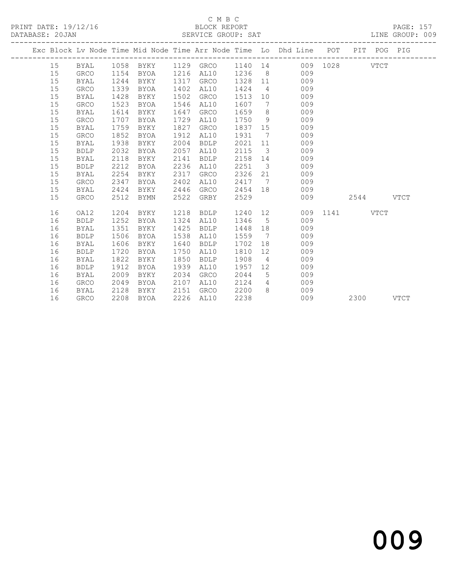#### C M B C<br>BLOCK REPORT SERVICE GROUP: SAT

|  |    |             |      |      |      |             |         |                         | Exc Block Lv Node Time Mid Node Time Arr Node Time Lo Dhd Line POT PIT POG PIG |               |           |      |
|--|----|-------------|------|------|------|-------------|---------|-------------------------|--------------------------------------------------------------------------------|---------------|-----------|------|
|  | 15 |             |      |      |      |             |         |                         | BYAL 1058 BYKY 1129 GRCO 1140 14 009 1028 VTCT                                 |               |           |      |
|  | 15 | GRCO        | 1154 | BYOA |      | 1216 AL10   | 1236    |                         | 8 009                                                                          |               |           |      |
|  | 15 | BYAL        | 1244 | BYKY | 1317 | GRCO        |         |                         | 1328 11 009                                                                    |               |           |      |
|  | 15 | <b>GRCO</b> | 1339 | BYOA | 1402 | AL10        | 1424    |                         | $4\overline{ }$<br>009                                                         |               |           |      |
|  | 15 | BYAL        | 1428 | BYKY | 1502 | GRCO        | 1513    |                         | 10<br>009                                                                      |               |           |      |
|  | 15 | <b>GRCO</b> | 1523 | BYOA | 1546 | AL10        | 1607    | $\overline{7}$          | 009                                                                            |               |           |      |
|  | 15 | <b>BYAL</b> | 1614 | BYKY | 1647 | GRCO        | 1659    | 8 <sup>8</sup>          | 009                                                                            |               |           |      |
|  | 15 | GRCO        | 1707 | BYOA | 1729 | AL10        | 1750    | 9                       | 009                                                                            |               |           |      |
|  | 15 | BYAL        | 1759 | BYKY | 1827 | GRCO        | 1837 15 |                         | 009                                                                            |               |           |      |
|  | 15 | GRCO        | 1852 | BYOA | 1912 | AL10        | 1931    |                         | 7<br>009                                                                       |               |           |      |
|  | 15 | <b>BYAL</b> | 1938 | BYKY | 2004 | <b>BDLP</b> | 2021 11 |                         | 009                                                                            |               |           |      |
|  | 15 | <b>BDLP</b> | 2032 | BYOA | 2057 | AL10        | 2115    | $\overline{\mathbf{3}}$ | 009                                                                            |               |           |      |
|  | 15 | <b>BYAL</b> | 2118 | BYKY | 2141 | <b>BDLP</b> | 2158    |                         | 009<br>14                                                                      |               |           |      |
|  | 15 | <b>BDLP</b> | 2212 | BYOA | 2236 | AL10        | 2251    |                         | $\overline{\mathbf{3}}$<br>009                                                 |               |           |      |
|  | 15 | <b>BYAL</b> | 2254 | BYKY | 2317 | GRCO        | 2326    |                         | 009                                                                            |               |           |      |
|  | 15 | <b>GRCO</b> | 2347 | BYOA | 2402 | AL10        | 2417    | $7\overline{ }$         | 009                                                                            |               |           |      |
|  | 15 | <b>BYAL</b> | 2424 | BYKY | 2446 | GRCO        | 2454 18 |                         | 009                                                                            |               |           |      |
|  | 15 | <b>GRCO</b> | 2512 | BYMN | 2522 | GRBY        | 2529    |                         | 009                                                                            |               | 2544 VTCT |      |
|  | 16 | OA12        | 1204 | BYKY | 1218 | BDLP        | 1240 12 |                         |                                                                                | 009 1141 VTCT |           |      |
|  | 16 | <b>BDLP</b> | 1252 | BYOA |      | 1324 AL10   | 1346 5  |                         | 009                                                                            |               |           |      |
|  | 16 | BYAL        | 1351 | BYKY | 1425 | BDLP        | 1448    | 18                      | 009                                                                            |               |           |      |
|  | 16 | <b>BDLP</b> | 1506 | BYOA | 1538 | AL10        | 1559    | 7                       | 009                                                                            |               |           |      |
|  | 16 | BYAL        | 1606 | BYKY | 1640 | <b>BDLP</b> | 1702    |                         | 009                                                                            |               |           |      |
|  | 16 | <b>BDLP</b> | 1720 | BYOA | 1750 | AL10        | 1810    | 12                      | 009                                                                            |               |           |      |
|  | 16 | <b>BYAL</b> | 1822 | BYKY | 1850 | <b>BDLP</b> | 1908    | $\overline{4}$          | 009                                                                            |               |           |      |
|  | 16 | <b>BDLP</b> | 1912 | BYOA | 1939 | AL10        | 1957    | 12                      | 009                                                                            |               |           |      |
|  | 16 | <b>BYAL</b> | 2009 | BYKY | 2034 | GRCO        | 2044    | 5                       | 009                                                                            |               |           |      |
|  | 16 | <b>GRCO</b> | 2049 | BYOA | 2107 | AL10        | 2124    | $4\overline{ }$         | 009                                                                            |               |           |      |
|  | 16 | BYAL        | 2128 | BYKY | 2151 | GRCO        | 2200    |                         | 8 009                                                                          |               |           |      |
|  | 16 | <b>GRCO</b> | 2208 | BYOA |      | 2226 AL10   | 2238    |                         | 009                                                                            |               | 2300      | VTCT |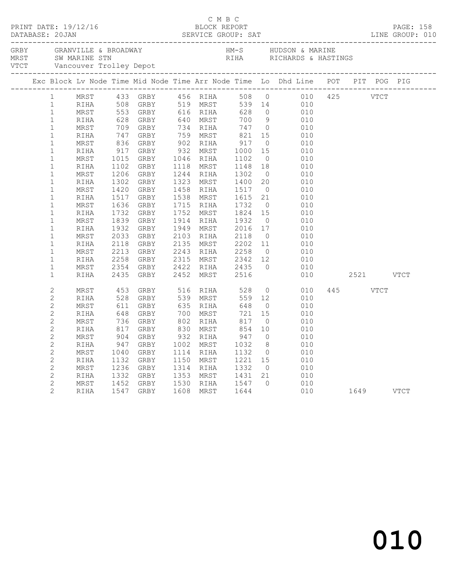|  |                |      |      |                                                                                                          |           |                                             |                | C M B C<br>PRINT DATE: 19/12/16 BLOCK REPORT PAGE: 158<br>DATABASE: 20JAN SERVICE GROUP: SAT LINE GROUP: 010                                                                                                                                 |             |          |           |  |
|--|----------------|------|------|----------------------------------------------------------------------------------------------------------|-----------|---------------------------------------------|----------------|----------------------------------------------------------------------------------------------------------------------------------------------------------------------------------------------------------------------------------------------|-------------|----------|-----------|--|
|  |                |      |      |                                                                                                          |           |                                             |                |                                                                                                                                                                                                                                              |             |          |           |  |
|  |                |      |      |                                                                                                          |           |                                             |                | Exc Block Lv Node Time Mid Node Time Arr Node Time Lo Dhd Line POT PIT POG PIG                                                                                                                                                               |             |          |           |  |
|  | 1              |      |      |                                                                                                          |           |                                             |                | MRST 433 GRBY 456 RIHA 508 0<br>RIHA 508 GRBY 519 MRST 539 14 010<br>MRST 553 GRBY 616 RIHA 628 0 010<br>RIHA 628 GRBY 640 MRST 700 9 010<br>RIHA 628 GRBY 640 MRST 700 9 010                                                                |             |          |           |  |
|  | 1              |      |      |                                                                                                          |           |                                             |                |                                                                                                                                                                                                                                              |             |          |           |  |
|  | $\mathbf{1}$   |      |      |                                                                                                          |           |                                             |                |                                                                                                                                                                                                                                              |             |          |           |  |
|  | $\mathbf{1}$   |      |      |                                                                                                          |           |                                             |                |                                                                                                                                                                                                                                              |             |          |           |  |
|  | $\mathbf{1}$   | MRST |      |                                                                                                          |           |                                             |                | 928 GRBI 940 MRST 700 9 010<br>709 GRBY 734 RIHA 747 0 010<br>747 GRBY 759 MRST 821 15 010<br>836 GRBY 902 RIHA 917 0 010<br>917 GRBY 932 MRST 1000 15 010<br>1015 GRBY 1046 RIHA 1102 0 010<br>1102 GRBY 1118 MRST 1148 18 010<br>1102 GRBY |             |          |           |  |
|  | $\mathbf 1$    | RIHA |      |                                                                                                          |           |                                             |                |                                                                                                                                                                                                                                              |             |          |           |  |
|  | $\mathbf{1}$   | MRST |      |                                                                                                          |           |                                             |                | $\begin{array}{ccc} 15 & & & \\ 0 & & & \\ 15 & & & 010 \\ & & & & 010 \\ \end{array}$                                                                                                                                                       |             |          |           |  |
|  | $\mathbf{1}$   | RIHA |      |                                                                                                          |           |                                             |                |                                                                                                                                                                                                                                              |             |          |           |  |
|  | $\mathbf{1}$   | MRST |      |                                                                                                          |           |                                             |                |                                                                                                                                                                                                                                              |             |          |           |  |
|  | $\mathbf{1}$   | RIHA |      |                                                                                                          |           |                                             |                |                                                                                                                                                                                                                                              |             |          |           |  |
|  | $\mathbf{1}$   | MRST | 1206 | GRBY                                                                                                     | 1244 RIHA | 1244 RIHA 1302<br>1323 MRST 1400            |                | $\begin{bmatrix} 0 & 010 \\ 20 & 010 \\ 0 & 010 \\ 21 & 010 \end{bmatrix}$                                                                                                                                                                   |             |          |           |  |
|  | $\mathbf{1}$   | RIHA | 1302 | GRBY                                                                                                     |           |                                             |                |                                                                                                                                                                                                                                              |             |          |           |  |
|  | $\mathbf{1}$   | MRST | 1420 | GRBY                                                                                                     |           | 1458 RIHA 1517<br>1538 MRST 1615            |                |                                                                                                                                                                                                                                              |             |          |           |  |
|  | $\mathbf{1}$   | RIHA | 1517 | GRBY                                                                                                     |           |                                             |                |                                                                                                                                                                                                                                              |             |          |           |  |
|  | $\mathbf{1}$   | MRST | 1636 | GRBY                                                                                                     | 1715 RIHA | 1715 RIHA 1732 0<br>1752 MRST 1824 15       |                | $\begin{array}{ccc} 0 & 010 \\ 15 & 010 \end{array}$                                                                                                                                                                                         |             |          |           |  |
|  | $\mathbf{1}$   | RIHA | 1732 | GRBY                                                                                                     |           |                                             |                |                                                                                                                                                                                                                                              |             |          |           |  |
|  | $\mathbf{1}$   | MRST | 1839 | GRBY                                                                                                     |           | 1914 RIHA 1932 0<br>1949 MRST 2016 17       |                | $010$<br>$010$                                                                                                                                                                                                                               |             |          |           |  |
|  | $\mathbf{1}$   | RIHA |      | 1932 GRBY                                                                                                |           |                                             |                |                                                                                                                                                                                                                                              |             |          |           |  |
|  | $\mathbf{1}$   | MRST | 2033 | GRBY                                                                                                     |           | 2103 RIHA 2118 0<br>2135 MRST 2202 11       | $\overline{0}$ | $010$<br>$010$                                                                                                                                                                                                                               |             |          |           |  |
|  | $\mathbf{1}$   | RIHA | 2118 | GRBY                                                                                                     |           |                                             |                |                                                                                                                                                                                                                                              |             |          |           |  |
|  | $\mathbf{1}$   | MRST | 2213 | GRBY                                                                                                     |           |                                             |                | 2243 RIHA 2258 0 010<br>2315 MRST 2342 12 010<br>2422 RIHA 2435 0 010                                                                                                                                                                        |             |          |           |  |
|  | $\mathbf{1}$   | RIHA | 2258 | GRBY                                                                                                     |           |                                             |                |                                                                                                                                                                                                                                              |             |          |           |  |
|  | $\mathbf{1}$   | MRST | 2354 | GRBY                                                                                                     |           | 2422 RIHA 2435<br>2452 MRST 2516            |                |                                                                                                                                                                                                                                              |             |          |           |  |
|  | $\mathbf{1}$   | RIHA |      | 2435 GRBY                                                                                                |           |                                             |                |                                                                                                                                                                                                                                              | 010         |          | 2521 VTCT |  |
|  | $\overline{c}$ | MRST | 453  | GRBY 516 RIHA 528                                                                                        |           |                                             |                | $\overline{0}$<br>010                                                                                                                                                                                                                        |             | 445 VTCT |           |  |
|  | $\overline{2}$ | RIHA |      |                                                                                                          |           | 559                                         | 12             | 010                                                                                                                                                                                                                                          |             |          |           |  |
|  | $\overline{c}$ | MRST |      |                                                                                                          |           | 648                                         | $\overline{O}$ | 010                                                                                                                                                                                                                                          |             |          |           |  |
|  | $\overline{c}$ | RIHA |      |                                                                                                          |           |                                             | 15             | 010                                                                                                                                                                                                                                          |             |          |           |  |
|  | $\overline{2}$ | MRST |      | GRBY 700 MRST 721<br>GRBY 802 RIHA 817<br>GRBY 830 MRST 854                                              |           |                                             | $\overline{0}$ | 010                                                                                                                                                                                                                                          |             |          |           |  |
|  | $\overline{2}$ | RIHA |      |                                                                                                          |           |                                             | 10             | 010                                                                                                                                                                                                                                          |             |          |           |  |
|  | $\overline{c}$ | MRST |      |                                                                                                          | 932 RIHA  | 947                                         | $\overline{0}$ | 010                                                                                                                                                                                                                                          |             |          |           |  |
|  | $\overline{c}$ | RIHA |      | 453 GRBY<br>528 GRBY<br>611 GRBY<br>648 GRBY<br>736 GRBY<br>736 GRBY<br>817 GRBY<br>947 GRBY<br>947 GRBY | 1002 MRST | $\begin{array}{c} 1032 \\ 1132 \end{array}$ | 8 <sup>8</sup> | $\frac{1}{010}$                                                                                                                                                                                                                              |             |          |           |  |
|  | $\overline{2}$ | MRST | 1040 | GRBY                                                                                                     | 1114 RIHA |                                             | $\overline{0}$ | 010                                                                                                                                                                                                                                          |             |          |           |  |
|  | $\overline{c}$ | RIHA |      | 1132 GRBY                                                                                                | 1150 MRST |                                             |                | $1221$ $15$ $010$                                                                                                                                                                                                                            |             |          |           |  |
|  | $\overline{c}$ | MRST | 1236 | GRBY                                                                                                     | 1314 RIHA | 1332                                        | $\overline{0}$ | 010                                                                                                                                                                                                                                          |             |          |           |  |
|  | $\overline{c}$ | RIHA |      | 1332 GRBY                                                                                                |           | 1353 MRST 1431 21                           |                | $\frac{010}{010}$                                                                                                                                                                                                                            |             |          |           |  |
|  | $\mathbf{2}$   | MRST |      |                                                                                                          |           | 1530 RIHA 1547 0                            |                | $\begin{matrix} 0 && 010 \\ 010 && \end{matrix}$                                                                                                                                                                                             |             |          |           |  |
|  | $\overline{2}$ | RIHA |      | 1452 GRBY<br>1547 GRBY                                                                                   |           | 1608 MRST 1644                              |                |                                                                                                                                                                                                                                              | $1649$ VTCT |          |           |  |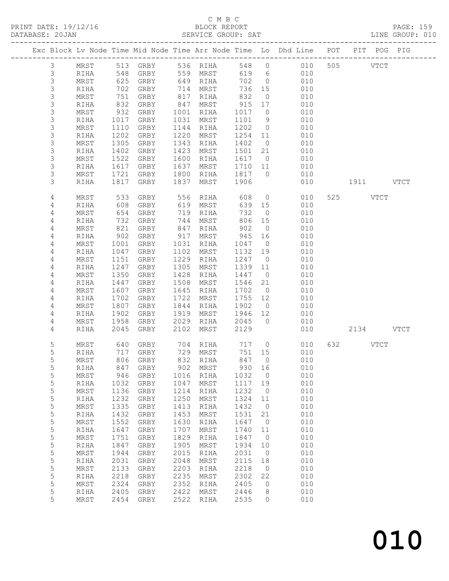### C M B C<br>BLOCK REPORT

PRINT DATE: 19/12/16 BLOCK REPORT PAGE: 159 SERVICE GROUP: SAT

|                     |                    |              |                          |              |                  |               |                      | Exc Block Lv Node Time Mid Node Time Arr Node Time Lo Dhd Line POT | PIT POG PIG |  |
|---------------------|--------------------|--------------|--------------------------|--------------|------------------|---------------|----------------------|--------------------------------------------------------------------|-------------|--|
| $\mathcal{S}$       | MRST               |              | 513 GRBY 536 RIHA        |              |                  |               |                      | 548 0 010                                                          | 505 VTCT    |  |
| 3                   | RIHA               | 548<br>625   | GRBY                     |              | 559 MRST         | 619           | 6                    | 010                                                                |             |  |
| 3                   | MRST               |              | GRBY                     |              | 649 RIHA         | 702           | $\overline{0}$       | 010                                                                |             |  |
| 3<br>3              | RIHA<br>MRST       | 702<br>751   | GRBY<br>GRBY             | 817          | 714 MRST<br>RIHA | 736 15<br>832 | $\overline{0}$       | 010<br>010                                                         |             |  |
| 3                   | RIHA               | 832          | GRBY                     | 847          | MRST             | 915           | 17                   | 010                                                                |             |  |
| 3                   | MRST               | 932          | GRBY                     | 1001         | RIHA             | 1017          | $\overline{0}$       | 010                                                                |             |  |
| 3                   | RIHA               | 1017         | GRBY                     | 1031         | MRST             | 1101          | 9                    | 010                                                                |             |  |
| 3                   | MRST               | 1110         | GRBY                     | 1144         | RIHA             | 1202          | $\overline{0}$       | 010                                                                |             |  |
| 3                   | RIHA               | 1202         | GRBY                     | 1220         | MRST             | 1254          | 11                   | 010                                                                |             |  |
| 3                   | MRST               | 1305         | GRBY                     | 1343         | RIHA             | 1402          | $\overline{0}$       | 010                                                                |             |  |
| 3                   | RIHA               | 1402         | GRBY                     | 1423         | MRST             | 1501          | 21                   | 010                                                                |             |  |
| 3                   | MRST               | 1522         | GRBY                     | 1600         | RIHA             | 1617          | $\overline{0}$       | 010                                                                |             |  |
| 3                   | RIHA               | 1617         | GRBY                     | 1637         | MRST             | 1710 11       |                      | 010                                                                |             |  |
| 3                   | MRST               | 1721         | GRBY                     | 1800         | RIHA             | 1817          | $\overline{0}$       | 010                                                                |             |  |
| 3                   | RIHA               | 1817         | GRBY                     | 1837         | MRST             | 1906          |                      | 010                                                                | 1911 VTCT   |  |
| $\sqrt{4}$          | MRST               | 533          | GRBY                     | 556          | RIHA             | 608           | $\overline{0}$       | 010                                                                | 525 VTCT    |  |
| 4                   | RIHA               | 608          | GRBY                     | 619          | MRST             | 639           | 15                   | 010                                                                |             |  |
| 4                   | MRST               | 654          | GRBY                     | 719          | RIHA             | 732           | $\overline{0}$       | 010                                                                |             |  |
| 4                   | RIHA               | 732          | GRBY                     | 744          | MRST             | 806           | 15                   | 010                                                                |             |  |
| 4                   | MRST               | 821          | GRBY                     | 847          | RIHA             | 902           | $\overline{0}$       | 010                                                                |             |  |
| $\sqrt{4}$          | RIHA               | 902          | GRBY                     | 917<br>1031  | MRST             | 945           | 16<br>$\overline{0}$ | 010<br>010                                                         |             |  |
| $\overline{4}$<br>4 | MRST<br>RIHA       | 1001<br>1047 | GRBY<br>GRBY             | 1102         | RIHA<br>MRST     | 1047<br>1132  | 19                   | 010                                                                |             |  |
| 4                   | MRST               | 1151         | GRBY                     | 1229         | RIHA             | 1247          | $\overline{0}$       | 010                                                                |             |  |
| $\overline{4}$      | RIHA               | 1247         | GRBY                     | 1305         | MRST             | 1339          | 11                   | 010                                                                |             |  |
| 4                   | MRST               | 1350         | GRBY                     | 1428         | RIHA             | 1447          | $\overline{0}$       | 010                                                                |             |  |
| $\overline{4}$      | RIHA               | 1447         | GRBY                     | 1508         | MRST             | 1546          | 21                   | 010                                                                |             |  |
| 4                   | MRST               | 1607         | GRBY                     | 1645         | RIHA             | 1702          | $\overline{0}$       | 010                                                                |             |  |
| $\overline{4}$      | RIHA               | 1702         | GRBY                     | 1722         | MRST             | 1755          | 12                   | 010                                                                |             |  |
| $\overline{4}$      | MRST               | 1807         | GRBY                     | 1844         | RIHA             | 1902          | $\overline{0}$       | 010                                                                |             |  |
| $\overline{4}$      | RIHA               | 1902         | GRBY                     | 1919         | MRST             | 1946          | 12                   | 010                                                                |             |  |
| 4                   | MRST               | 1958         | GRBY                     | 2029         | RIHA             | 2045          | $\bigcirc$           | 010                                                                |             |  |
| 4                   | RIHA               | 2045         | GRBY                     | 2102         | MRST             | 2129          |                      | 010                                                                | 2134 VTCT   |  |
| 5                   | MRST               | 640          | GRBY                     |              | 704 RIHA         | 717           |                      | $\overline{0}$<br>010                                              | 632 VTCT    |  |
| 5                   | RIHA               | 717          | GRBY                     |              | 729 MRST         | 751 15        |                      | 010                                                                |             |  |
| 5                   | MRST               | 806          | GRBY                     |              | 832 RIHA         | 847           | $\overline{0}$       | 010                                                                |             |  |
| 5                   | RIHA               |              | 847 GRBY 902 MRST 930 16 |              |                  |               |                      | 010                                                                |             |  |
| 5                   | MRST               | 946          | GRBY                     | 1016         | RIHA             | 1032          | $\overline{0}$       | 010<br>010                                                         |             |  |
| 5<br>5              | RIHA<br>$\tt MRST$ | 1032<br>1136 | GRBY<br>GRBY             | 1047<br>1214 | MRST<br>RIHA     | 1117<br>1232  | 19<br>$\overline{0}$ | 010                                                                |             |  |
| 5                   | RIHA               | 1232         | GRBY                     | 1250         | MRST             | 1324          | 11                   | 010                                                                |             |  |
| 5                   | MRST               | 1335         | GRBY                     | 1413         | RIHA             | 1432          | $\overline{0}$       | 010                                                                |             |  |
| 5                   | RIHA               | 1432         | GRBY                     | 1453         | MRST             | 1531          | 21                   | 010                                                                |             |  |
| 5                   | MRST               | 1552         | GRBY                     | 1630         | RIHA             | 1647          | $\overline{0}$       | 010                                                                |             |  |
| 5                   | RIHA               | 1647         | GRBY                     | 1707         | MRST             | 1740          | 11                   | 010                                                                |             |  |
| 5                   | MRST               | 1751         | GRBY                     | 1829         | RIHA             | 1847          | $\overline{0}$       | 010                                                                |             |  |
| 5                   | RIHA               | 1847         | GRBY                     | 1905         | MRST             | 1934          | 10                   | 010                                                                |             |  |
| 5                   | MRST               | 1944         | GRBY                     | 2015         | RIHA             | 2031          | $\overline{0}$       | 010                                                                |             |  |
| 5                   | RIHA               | 2031         | GRBY                     | 2048         | MRST             | 2115          | 18                   | 010                                                                |             |  |
| 5<br>$\mathsf S$    | MRST               | 2133<br>2218 | GRBY                     | 2203<br>2235 | RIHA             | 2218<br>2302  | $\overline{0}$       | 010<br>010                                                         |             |  |
| 5                   | RIHA<br>MRST       | 2324         | GRBY<br>GRBY             | 2352         | MRST<br>RIHA     | 2405          | 22<br>0              | 010                                                                |             |  |
| 5                   | RIHA               | 2405         | GRBY                     | 2422         | MRST             | 2446          | 8                    | 010                                                                |             |  |
| 5                   | MRST               | 2454         | GRBY                     | 2522         | RIHA             | 2535          | 0                    | 010                                                                |             |  |
|                     |                    |              |                          |              |                  |               |                      |                                                                    |             |  |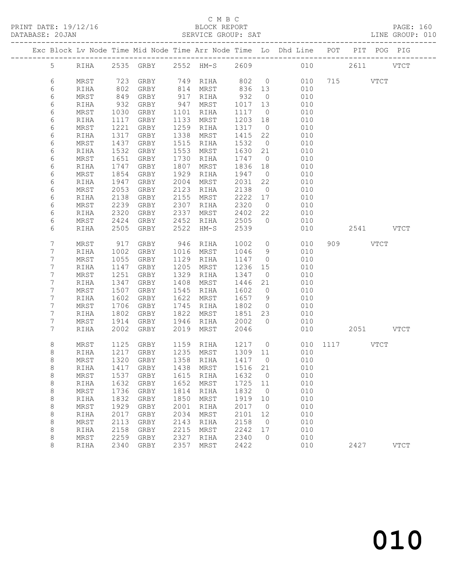#### C M B C<br>BLOCK REPORT

| Exc Block Lv Node Time Mid Node Time Arr Node Time Lo Dhd Line POT PIT POG PIG<br>5 RIHA 2535 GRBY 2552 HM-S 2609 010 2611 VTCT<br>802 0 010<br>6<br>723 GRBY 749 RIHA<br>715 VTCT<br>MRST<br>6<br>836 13<br>932 0<br>802 GRBY<br>849 GRBY<br>814 MRST<br>917 RIHA<br>010<br>RIHA<br>6<br>010<br>MRST<br>932 GRBY<br>947 MRST<br>6<br>1017<br>010<br>13<br>RIHA<br>6<br>MRST<br>GRBY<br>1101 RIHA<br>1117<br>010<br>1030<br>$\overline{0}$<br>6<br>1133 MRST<br>1203<br>1117 GRBY<br>18<br>010<br>RIHA<br>1317<br>6<br>1259 RIHA<br>MRST<br>1221 GRBY<br>$\overline{0}$<br>010<br>1415<br>6<br>1338 MRST<br>RIHA<br>1317 GRBY<br>22<br>010<br>6<br>1437<br>1515 RIHA<br>1532<br>MRST<br>GRBY<br>$\overline{0}$<br>010<br>$\epsilon$<br>1532<br>1553 MRST<br>1630<br>RIHA<br>GRBY<br>21<br>010<br>6<br>1730<br>MRST<br>1651 GRBY<br>RIHA<br>1747<br>$\overline{0}$<br>010<br>6<br>1836<br>1807<br>010<br>RIHA<br>1747 GRBY<br>MRST<br>18<br>6<br>1854<br>GRBY<br>1929<br>1947<br>010<br>MRST<br>RIHA<br>$\overline{0}$<br>6<br>1947<br>GRBY<br>2004<br>2031<br>22<br>010<br>RIHA<br>MRST<br>6<br>2053 GRBY<br>2123 RIHA<br>2138<br>$\overline{0}$<br>010<br>MRST<br>2222<br>6<br>2138<br>2155 MRST<br>RIHA<br>GRBY<br>17<br>010<br>6<br>2239<br>2307 RIHA<br>2320<br>MRST<br>GRBY<br>$\overline{0}$<br>010<br>6<br>2320<br>2337<br>2402<br>22<br>RIHA<br>GRBY<br>MRST<br>010<br>6<br>2424<br>2452 RIHA<br>2505<br>$\overline{0}$<br>010<br>MRST<br>GRBY<br>6<br>2505 GRBY<br>2522 HM-S<br>2539<br>010<br>2541 VTCT<br>RIHA<br>7<br>$\circ$<br>909 VTCT<br>917<br>GRBY<br>946 RIHA<br>1002<br>010<br>MRST<br>7<br>1002 GRBY<br>1016 MRST<br>1046<br>9<br>010<br>RIHA<br>7<br>1055 GRBY<br>1129 RIHA<br>1147<br>010<br>MRST<br>$\overline{0}$<br>7<br>1147 GRBY<br>1205 MRST<br>1236<br>15<br>010<br>RIHA<br>7<br>1251<br>1329 RIHA<br>MRST<br>GRBY<br>1347<br>$\overline{0}$<br>010<br>7<br>1347<br>1408 MRST<br>1446<br>010<br>GRBY<br>21<br>RIHA<br>7<br>1507 GRBY<br>1545 RIHA<br>1602<br>$\overline{0}$<br>MRST<br>010<br>$\boldsymbol{7}$<br>1602<br>1622 MRST<br>1657<br>9<br>010<br>GRBY<br>RIHA<br>7<br>1802<br>MRST<br>1706<br>GRBY<br>1745 RIHA<br>$\overline{0}$<br>010<br>7<br>1822 MRST<br>1851<br>1802 GRBY<br>23<br>010<br>RIHA<br>2002<br>7<br>1946 RIHA<br>$\overline{0}$<br>MRST<br>1914 GRBY<br>010<br>2019 MRST<br>7<br>2002 GRBY<br>2046<br>RIHA<br>1125 GRBY 1159 RIHA 1217 0 010 1117 VTCT<br>8<br>MRST<br>$\,8\,$<br>RIHA 1217 GRBY 1235 MRST 1309 11 010<br>8<br>1320<br>GRBY<br>1358<br>1417<br>$\circ$<br>010<br>MRST<br>RIHA<br>8<br>1516<br>010<br>RIHA<br>1417<br>GRBY<br>1438<br>MRST<br>21<br>8<br>1537<br>1615<br>1632<br>010<br>MRST<br>GRBY<br>$\circ$<br>RIHA<br>8<br>1632<br>1652<br>1725<br>010<br>RIHA<br>GRBY<br>MRST<br>11 | PRINT DATE: 19/12/16<br>DATABASE: 20JAN |  | 2/16 BLOCK REPORT<br>SERVICE GROUP: SAT |  |  |  |  | PAGE: 160<br>LINE GROUP: 010 |
|-------------------------------------------------------------------------------------------------------------------------------------------------------------------------------------------------------------------------------------------------------------------------------------------------------------------------------------------------------------------------------------------------------------------------------------------------------------------------------------------------------------------------------------------------------------------------------------------------------------------------------------------------------------------------------------------------------------------------------------------------------------------------------------------------------------------------------------------------------------------------------------------------------------------------------------------------------------------------------------------------------------------------------------------------------------------------------------------------------------------------------------------------------------------------------------------------------------------------------------------------------------------------------------------------------------------------------------------------------------------------------------------------------------------------------------------------------------------------------------------------------------------------------------------------------------------------------------------------------------------------------------------------------------------------------------------------------------------------------------------------------------------------------------------------------------------------------------------------------------------------------------------------------------------------------------------------------------------------------------------------------------------------------------------------------------------------------------------------------------------------------------------------------------------------------------------------------------------------------------------------------------------------------------------------------------------------------------------------------------------------------------------------------------------------------------------------------------------------------------------------------------------------------------------------------------------------------------------------------------------------------------------------------------------------------------------------------------------------------------------------------------------|-----------------------------------------|--|-----------------------------------------|--|--|--|--|------------------------------|
|                                                                                                                                                                                                                                                                                                                                                                                                                                                                                                                                                                                                                                                                                                                                                                                                                                                                                                                                                                                                                                                                                                                                                                                                                                                                                                                                                                                                                                                                                                                                                                                                                                                                                                                                                                                                                                                                                                                                                                                                                                                                                                                                                                                                                                                                                                                                                                                                                                                                                                                                                                                                                                                                                                                                                                   |                                         |  |                                         |  |  |  |  |                              |
|                                                                                                                                                                                                                                                                                                                                                                                                                                                                                                                                                                                                                                                                                                                                                                                                                                                                                                                                                                                                                                                                                                                                                                                                                                                                                                                                                                                                                                                                                                                                                                                                                                                                                                                                                                                                                                                                                                                                                                                                                                                                                                                                                                                                                                                                                                                                                                                                                                                                                                                                                                                                                                                                                                                                                                   |                                         |  |                                         |  |  |  |  |                              |
|                                                                                                                                                                                                                                                                                                                                                                                                                                                                                                                                                                                                                                                                                                                                                                                                                                                                                                                                                                                                                                                                                                                                                                                                                                                                                                                                                                                                                                                                                                                                                                                                                                                                                                                                                                                                                                                                                                                                                                                                                                                                                                                                                                                                                                                                                                                                                                                                                                                                                                                                                                                                                                                                                                                                                                   |                                         |  |                                         |  |  |  |  |                              |
|                                                                                                                                                                                                                                                                                                                                                                                                                                                                                                                                                                                                                                                                                                                                                                                                                                                                                                                                                                                                                                                                                                                                                                                                                                                                                                                                                                                                                                                                                                                                                                                                                                                                                                                                                                                                                                                                                                                                                                                                                                                                                                                                                                                                                                                                                                                                                                                                                                                                                                                                                                                                                                                                                                                                                                   |                                         |  |                                         |  |  |  |  |                              |
|                                                                                                                                                                                                                                                                                                                                                                                                                                                                                                                                                                                                                                                                                                                                                                                                                                                                                                                                                                                                                                                                                                                                                                                                                                                                                                                                                                                                                                                                                                                                                                                                                                                                                                                                                                                                                                                                                                                                                                                                                                                                                                                                                                                                                                                                                                                                                                                                                                                                                                                                                                                                                                                                                                                                                                   |                                         |  |                                         |  |  |  |  |                              |
|                                                                                                                                                                                                                                                                                                                                                                                                                                                                                                                                                                                                                                                                                                                                                                                                                                                                                                                                                                                                                                                                                                                                                                                                                                                                                                                                                                                                                                                                                                                                                                                                                                                                                                                                                                                                                                                                                                                                                                                                                                                                                                                                                                                                                                                                                                                                                                                                                                                                                                                                                                                                                                                                                                                                                                   |                                         |  |                                         |  |  |  |  |                              |
|                                                                                                                                                                                                                                                                                                                                                                                                                                                                                                                                                                                                                                                                                                                                                                                                                                                                                                                                                                                                                                                                                                                                                                                                                                                                                                                                                                                                                                                                                                                                                                                                                                                                                                                                                                                                                                                                                                                                                                                                                                                                                                                                                                                                                                                                                                                                                                                                                                                                                                                                                                                                                                                                                                                                                                   |                                         |  |                                         |  |  |  |  |                              |
|                                                                                                                                                                                                                                                                                                                                                                                                                                                                                                                                                                                                                                                                                                                                                                                                                                                                                                                                                                                                                                                                                                                                                                                                                                                                                                                                                                                                                                                                                                                                                                                                                                                                                                                                                                                                                                                                                                                                                                                                                                                                                                                                                                                                                                                                                                                                                                                                                                                                                                                                                                                                                                                                                                                                                                   |                                         |  |                                         |  |  |  |  |                              |
|                                                                                                                                                                                                                                                                                                                                                                                                                                                                                                                                                                                                                                                                                                                                                                                                                                                                                                                                                                                                                                                                                                                                                                                                                                                                                                                                                                                                                                                                                                                                                                                                                                                                                                                                                                                                                                                                                                                                                                                                                                                                                                                                                                                                                                                                                                                                                                                                                                                                                                                                                                                                                                                                                                                                                                   |                                         |  |                                         |  |  |  |  |                              |
|                                                                                                                                                                                                                                                                                                                                                                                                                                                                                                                                                                                                                                                                                                                                                                                                                                                                                                                                                                                                                                                                                                                                                                                                                                                                                                                                                                                                                                                                                                                                                                                                                                                                                                                                                                                                                                                                                                                                                                                                                                                                                                                                                                                                                                                                                                                                                                                                                                                                                                                                                                                                                                                                                                                                                                   |                                         |  |                                         |  |  |  |  |                              |
|                                                                                                                                                                                                                                                                                                                                                                                                                                                                                                                                                                                                                                                                                                                                                                                                                                                                                                                                                                                                                                                                                                                                                                                                                                                                                                                                                                                                                                                                                                                                                                                                                                                                                                                                                                                                                                                                                                                                                                                                                                                                                                                                                                                                                                                                                                                                                                                                                                                                                                                                                                                                                                                                                                                                                                   |                                         |  |                                         |  |  |  |  |                              |
|                                                                                                                                                                                                                                                                                                                                                                                                                                                                                                                                                                                                                                                                                                                                                                                                                                                                                                                                                                                                                                                                                                                                                                                                                                                                                                                                                                                                                                                                                                                                                                                                                                                                                                                                                                                                                                                                                                                                                                                                                                                                                                                                                                                                                                                                                                                                                                                                                                                                                                                                                                                                                                                                                                                                                                   |                                         |  |                                         |  |  |  |  |                              |
|                                                                                                                                                                                                                                                                                                                                                                                                                                                                                                                                                                                                                                                                                                                                                                                                                                                                                                                                                                                                                                                                                                                                                                                                                                                                                                                                                                                                                                                                                                                                                                                                                                                                                                                                                                                                                                                                                                                                                                                                                                                                                                                                                                                                                                                                                                                                                                                                                                                                                                                                                                                                                                                                                                                                                                   |                                         |  |                                         |  |  |  |  |                              |
|                                                                                                                                                                                                                                                                                                                                                                                                                                                                                                                                                                                                                                                                                                                                                                                                                                                                                                                                                                                                                                                                                                                                                                                                                                                                                                                                                                                                                                                                                                                                                                                                                                                                                                                                                                                                                                                                                                                                                                                                                                                                                                                                                                                                                                                                                                                                                                                                                                                                                                                                                                                                                                                                                                                                                                   |                                         |  |                                         |  |  |  |  |                              |
|                                                                                                                                                                                                                                                                                                                                                                                                                                                                                                                                                                                                                                                                                                                                                                                                                                                                                                                                                                                                                                                                                                                                                                                                                                                                                                                                                                                                                                                                                                                                                                                                                                                                                                                                                                                                                                                                                                                                                                                                                                                                                                                                                                                                                                                                                                                                                                                                                                                                                                                                                                                                                                                                                                                                                                   |                                         |  |                                         |  |  |  |  |                              |
|                                                                                                                                                                                                                                                                                                                                                                                                                                                                                                                                                                                                                                                                                                                                                                                                                                                                                                                                                                                                                                                                                                                                                                                                                                                                                                                                                                                                                                                                                                                                                                                                                                                                                                                                                                                                                                                                                                                                                                                                                                                                                                                                                                                                                                                                                                                                                                                                                                                                                                                                                                                                                                                                                                                                                                   |                                         |  |                                         |  |  |  |  |                              |
|                                                                                                                                                                                                                                                                                                                                                                                                                                                                                                                                                                                                                                                                                                                                                                                                                                                                                                                                                                                                                                                                                                                                                                                                                                                                                                                                                                                                                                                                                                                                                                                                                                                                                                                                                                                                                                                                                                                                                                                                                                                                                                                                                                                                                                                                                                                                                                                                                                                                                                                                                                                                                                                                                                                                                                   |                                         |  |                                         |  |  |  |  |                              |
|                                                                                                                                                                                                                                                                                                                                                                                                                                                                                                                                                                                                                                                                                                                                                                                                                                                                                                                                                                                                                                                                                                                                                                                                                                                                                                                                                                                                                                                                                                                                                                                                                                                                                                                                                                                                                                                                                                                                                                                                                                                                                                                                                                                                                                                                                                                                                                                                                                                                                                                                                                                                                                                                                                                                                                   |                                         |  |                                         |  |  |  |  |                              |
|                                                                                                                                                                                                                                                                                                                                                                                                                                                                                                                                                                                                                                                                                                                                                                                                                                                                                                                                                                                                                                                                                                                                                                                                                                                                                                                                                                                                                                                                                                                                                                                                                                                                                                                                                                                                                                                                                                                                                                                                                                                                                                                                                                                                                                                                                                                                                                                                                                                                                                                                                                                                                                                                                                                                                                   |                                         |  |                                         |  |  |  |  |                              |
|                                                                                                                                                                                                                                                                                                                                                                                                                                                                                                                                                                                                                                                                                                                                                                                                                                                                                                                                                                                                                                                                                                                                                                                                                                                                                                                                                                                                                                                                                                                                                                                                                                                                                                                                                                                                                                                                                                                                                                                                                                                                                                                                                                                                                                                                                                                                                                                                                                                                                                                                                                                                                                                                                                                                                                   |                                         |  |                                         |  |  |  |  |                              |
|                                                                                                                                                                                                                                                                                                                                                                                                                                                                                                                                                                                                                                                                                                                                                                                                                                                                                                                                                                                                                                                                                                                                                                                                                                                                                                                                                                                                                                                                                                                                                                                                                                                                                                                                                                                                                                                                                                                                                                                                                                                                                                                                                                                                                                                                                                                                                                                                                                                                                                                                                                                                                                                                                                                                                                   |                                         |  |                                         |  |  |  |  |                              |
|                                                                                                                                                                                                                                                                                                                                                                                                                                                                                                                                                                                                                                                                                                                                                                                                                                                                                                                                                                                                                                                                                                                                                                                                                                                                                                                                                                                                                                                                                                                                                                                                                                                                                                                                                                                                                                                                                                                                                                                                                                                                                                                                                                                                                                                                                                                                                                                                                                                                                                                                                                                                                                                                                                                                                                   |                                         |  |                                         |  |  |  |  |                              |
|                                                                                                                                                                                                                                                                                                                                                                                                                                                                                                                                                                                                                                                                                                                                                                                                                                                                                                                                                                                                                                                                                                                                                                                                                                                                                                                                                                                                                                                                                                                                                                                                                                                                                                                                                                                                                                                                                                                                                                                                                                                                                                                                                                                                                                                                                                                                                                                                                                                                                                                                                                                                                                                                                                                                                                   |                                         |  |                                         |  |  |  |  |                              |
|                                                                                                                                                                                                                                                                                                                                                                                                                                                                                                                                                                                                                                                                                                                                                                                                                                                                                                                                                                                                                                                                                                                                                                                                                                                                                                                                                                                                                                                                                                                                                                                                                                                                                                                                                                                                                                                                                                                                                                                                                                                                                                                                                                                                                                                                                                                                                                                                                                                                                                                                                                                                                                                                                                                                                                   |                                         |  |                                         |  |  |  |  |                              |
|                                                                                                                                                                                                                                                                                                                                                                                                                                                                                                                                                                                                                                                                                                                                                                                                                                                                                                                                                                                                                                                                                                                                                                                                                                                                                                                                                                                                                                                                                                                                                                                                                                                                                                                                                                                                                                                                                                                                                                                                                                                                                                                                                                                                                                                                                                                                                                                                                                                                                                                                                                                                                                                                                                                                                                   |                                         |  |                                         |  |  |  |  |                              |
|                                                                                                                                                                                                                                                                                                                                                                                                                                                                                                                                                                                                                                                                                                                                                                                                                                                                                                                                                                                                                                                                                                                                                                                                                                                                                                                                                                                                                                                                                                                                                                                                                                                                                                                                                                                                                                                                                                                                                                                                                                                                                                                                                                                                                                                                                                                                                                                                                                                                                                                                                                                                                                                                                                                                                                   |                                         |  |                                         |  |  |  |  |                              |
|                                                                                                                                                                                                                                                                                                                                                                                                                                                                                                                                                                                                                                                                                                                                                                                                                                                                                                                                                                                                                                                                                                                                                                                                                                                                                                                                                                                                                                                                                                                                                                                                                                                                                                                                                                                                                                                                                                                                                                                                                                                                                                                                                                                                                                                                                                                                                                                                                                                                                                                                                                                                                                                                                                                                                                   |                                         |  |                                         |  |  |  |  |                              |
|                                                                                                                                                                                                                                                                                                                                                                                                                                                                                                                                                                                                                                                                                                                                                                                                                                                                                                                                                                                                                                                                                                                                                                                                                                                                                                                                                                                                                                                                                                                                                                                                                                                                                                                                                                                                                                                                                                                                                                                                                                                                                                                                                                                                                                                                                                                                                                                                                                                                                                                                                                                                                                                                                                                                                                   |                                         |  |                                         |  |  |  |  |                              |
|                                                                                                                                                                                                                                                                                                                                                                                                                                                                                                                                                                                                                                                                                                                                                                                                                                                                                                                                                                                                                                                                                                                                                                                                                                                                                                                                                                                                                                                                                                                                                                                                                                                                                                                                                                                                                                                                                                                                                                                                                                                                                                                                                                                                                                                                                                                                                                                                                                                                                                                                                                                                                                                                                                                                                                   |                                         |  |                                         |  |  |  |  |                              |
|                                                                                                                                                                                                                                                                                                                                                                                                                                                                                                                                                                                                                                                                                                                                                                                                                                                                                                                                                                                                                                                                                                                                                                                                                                                                                                                                                                                                                                                                                                                                                                                                                                                                                                                                                                                                                                                                                                                                                                                                                                                                                                                                                                                                                                                                                                                                                                                                                                                                                                                                                                                                                                                                                                                                                                   |                                         |  |                                         |  |  |  |  |                              |
|                                                                                                                                                                                                                                                                                                                                                                                                                                                                                                                                                                                                                                                                                                                                                                                                                                                                                                                                                                                                                                                                                                                                                                                                                                                                                                                                                                                                                                                                                                                                                                                                                                                                                                                                                                                                                                                                                                                                                                                                                                                                                                                                                                                                                                                                                                                                                                                                                                                                                                                                                                                                                                                                                                                                                                   |                                         |  |                                         |  |  |  |  |                              |
|                                                                                                                                                                                                                                                                                                                                                                                                                                                                                                                                                                                                                                                                                                                                                                                                                                                                                                                                                                                                                                                                                                                                                                                                                                                                                                                                                                                                                                                                                                                                                                                                                                                                                                                                                                                                                                                                                                                                                                                                                                                                                                                                                                                                                                                                                                                                                                                                                                                                                                                                                                                                                                                                                                                                                                   |                                         |  |                                         |  |  |  |  |                              |
|                                                                                                                                                                                                                                                                                                                                                                                                                                                                                                                                                                                                                                                                                                                                                                                                                                                                                                                                                                                                                                                                                                                                                                                                                                                                                                                                                                                                                                                                                                                                                                                                                                                                                                                                                                                                                                                                                                                                                                                                                                                                                                                                                                                                                                                                                                                                                                                                                                                                                                                                                                                                                                                                                                                                                                   |                                         |  |                                         |  |  |  |  |                              |
|                                                                                                                                                                                                                                                                                                                                                                                                                                                                                                                                                                                                                                                                                                                                                                                                                                                                                                                                                                                                                                                                                                                                                                                                                                                                                                                                                                                                                                                                                                                                                                                                                                                                                                                                                                                                                                                                                                                                                                                                                                                                                                                                                                                                                                                                                                                                                                                                                                                                                                                                                                                                                                                                                                                                                                   |                                         |  |                                         |  |  |  |  |                              |
|                                                                                                                                                                                                                                                                                                                                                                                                                                                                                                                                                                                                                                                                                                                                                                                                                                                                                                                                                                                                                                                                                                                                                                                                                                                                                                                                                                                                                                                                                                                                                                                                                                                                                                                                                                                                                                                                                                                                                                                                                                                                                                                                                                                                                                                                                                                                                                                                                                                                                                                                                                                                                                                                                                                                                                   |                                         |  |                                         |  |  |  |  |                              |
|                                                                                                                                                                                                                                                                                                                                                                                                                                                                                                                                                                                                                                                                                                                                                                                                                                                                                                                                                                                                                                                                                                                                                                                                                                                                                                                                                                                                                                                                                                                                                                                                                                                                                                                                                                                                                                                                                                                                                                                                                                                                                                                                                                                                                                                                                                                                                                                                                                                                                                                                                                                                                                                                                                                                                                   |                                         |  |                                         |  |  |  |  |                              |
|                                                                                                                                                                                                                                                                                                                                                                                                                                                                                                                                                                                                                                                                                                                                                                                                                                                                                                                                                                                                                                                                                                                                                                                                                                                                                                                                                                                                                                                                                                                                                                                                                                                                                                                                                                                                                                                                                                                                                                                                                                                                                                                                                                                                                                                                                                                                                                                                                                                                                                                                                                                                                                                                                                                                                                   |                                         |  |                                         |  |  |  |  |                              |
|                                                                                                                                                                                                                                                                                                                                                                                                                                                                                                                                                                                                                                                                                                                                                                                                                                                                                                                                                                                                                                                                                                                                                                                                                                                                                                                                                                                                                                                                                                                                                                                                                                                                                                                                                                                                                                                                                                                                                                                                                                                                                                                                                                                                                                                                                                                                                                                                                                                                                                                                                                                                                                                                                                                                                                   |                                         |  |                                         |  |  |  |  |                              |
| 8<br>1736<br>1814<br>1832<br>010<br>MRST<br>GRBY<br>RIHA<br>$\circ$                                                                                                                                                                                                                                                                                                                                                                                                                                                                                                                                                                                                                                                                                                                                                                                                                                                                                                                                                                                                                                                                                                                                                                                                                                                                                                                                                                                                                                                                                                                                                                                                                                                                                                                                                                                                                                                                                                                                                                                                                                                                                                                                                                                                                                                                                                                                                                                                                                                                                                                                                                                                                                                                                               |                                         |  |                                         |  |  |  |  |                              |
| 8<br>1832<br>1850<br>1919<br>010<br>RIHA<br>GRBY<br>MRST<br>10                                                                                                                                                                                                                                                                                                                                                                                                                                                                                                                                                                                                                                                                                                                                                                                                                                                                                                                                                                                                                                                                                                                                                                                                                                                                                                                                                                                                                                                                                                                                                                                                                                                                                                                                                                                                                                                                                                                                                                                                                                                                                                                                                                                                                                                                                                                                                                                                                                                                                                                                                                                                                                                                                                    |                                         |  |                                         |  |  |  |  |                              |
| 8<br>010<br>MRST<br>1929<br>${\tt GRBY}$<br>2001<br>2017<br>RIHA<br>$\circ$                                                                                                                                                                                                                                                                                                                                                                                                                                                                                                                                                                                                                                                                                                                                                                                                                                                                                                                                                                                                                                                                                                                                                                                                                                                                                                                                                                                                                                                                                                                                                                                                                                                                                                                                                                                                                                                                                                                                                                                                                                                                                                                                                                                                                                                                                                                                                                                                                                                                                                                                                                                                                                                                                       |                                         |  |                                         |  |  |  |  |                              |
| 8<br>2034<br>2101<br>010<br>2017<br>GRBY<br>MRST<br>12<br>RIHA<br>8<br>2113<br>2158<br>010<br>MRST<br>GRBY<br>2143<br>$\circ$<br>RIHA                                                                                                                                                                                                                                                                                                                                                                                                                                                                                                                                                                                                                                                                                                                                                                                                                                                                                                                                                                                                                                                                                                                                                                                                                                                                                                                                                                                                                                                                                                                                                                                                                                                                                                                                                                                                                                                                                                                                                                                                                                                                                                                                                                                                                                                                                                                                                                                                                                                                                                                                                                                                                             |                                         |  |                                         |  |  |  |  |                              |
| 8<br>2242<br>010<br>2158<br>GRBY<br>2215<br>RIHA<br>MRST<br>17                                                                                                                                                                                                                                                                                                                                                                                                                                                                                                                                                                                                                                                                                                                                                                                                                                                                                                                                                                                                                                                                                                                                                                                                                                                                                                                                                                                                                                                                                                                                                                                                                                                                                                                                                                                                                                                                                                                                                                                                                                                                                                                                                                                                                                                                                                                                                                                                                                                                                                                                                                                                                                                                                                    |                                         |  |                                         |  |  |  |  |                              |
| 8<br>2259<br>2327<br>2340<br>MRST<br>GRBY<br>0<br>010<br>RIHA                                                                                                                                                                                                                                                                                                                                                                                                                                                                                                                                                                                                                                                                                                                                                                                                                                                                                                                                                                                                                                                                                                                                                                                                                                                                                                                                                                                                                                                                                                                                                                                                                                                                                                                                                                                                                                                                                                                                                                                                                                                                                                                                                                                                                                                                                                                                                                                                                                                                                                                                                                                                                                                                                                     |                                         |  |                                         |  |  |  |  |                              |

8 RIHA 2340 GRBY 2357 MRST 2422 010 2427 VTCT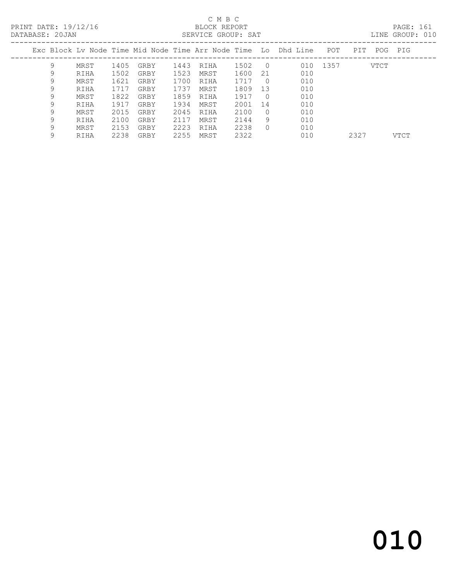### C M B C<br>BLOCK REPORT

PAGE: 161<br>LINE GROUP: 010

| PAIADASE. 200AN |   |      |      |      |      | PEIVATOR GIVOLI. PAI |         |            |                                                                    |          |      |         | TIND GIVOOL. ATO |
|-----------------|---|------|------|------|------|----------------------|---------|------------|--------------------------------------------------------------------|----------|------|---------|------------------|
|                 |   |      |      |      |      |                      |         |            | Exc Block Ly Node Time Mid Node Time Arr Node Time Lo Dhd Line POT |          | PIT  | POG PIG |                  |
|                 | 9 | MRST | 1405 | GRBY | 1443 | RIHA                 | 1502    | $\bigcirc$ |                                                                    | 010 1357 | VTCT |         |                  |
|                 | 9 | RIHA | 1502 | GRBY | 1523 | MRST                 | 1600    | 21         | 010                                                                |          |      |         |                  |
|                 | 9 | MRST | 1621 | GRBY | 1700 | RIHA                 | 1717    | $\bigcirc$ | 010                                                                |          |      |         |                  |
|                 | 9 | RIHA | 1717 | GRBY | 1737 | MRST                 | 1809    | -13        | 010                                                                |          |      |         |                  |
|                 | 9 | MRST | 1822 | GRBY | 1859 | RIHA                 | 1917    | $\bigcirc$ | 010                                                                |          |      |         |                  |
|                 | 9 | RIHA | 1917 | GRBY | 1934 | MRST                 | 2001 14 |            | 010                                                                |          |      |         |                  |
|                 | 9 | MRST | 2015 | GRBY | 2045 | RIHA                 | 2100    | $\cup$     | 010                                                                |          |      |         |                  |
|                 | 9 | RIHA | 2100 | GRBY | 2117 | MRST                 | 2144    | 9          | 010                                                                |          |      |         |                  |
|                 | 9 | MRST | 2153 | GRBY | 2223 | RIHA                 | 2238    | $\Omega$   | 010                                                                |          |      |         |                  |

9 RIHA 2238 GRBY 2255 MRST 2322 010 2327 VTCT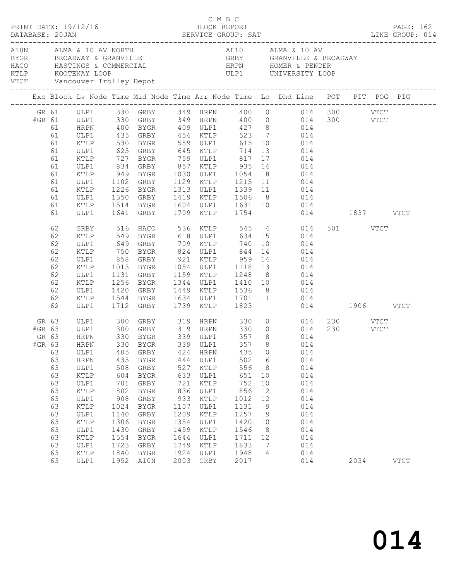|  |                                                                                                                                                                                                                                                              |                                                                                                                                                                                                                                                                                                                                                                                         |                                                                                                                     |                                                                                                                       |                                                                                                                      |                                                                                                                |                                                                                                                          |                                                                                                       |                                                                                                                                                                                                                                                                                                                                                                                                                                                                                          |                                                                                                                                                                                                                                                                                                                                      | PAGE: 162                                                                                                                                                                                                                                                                                                                                                                                |
|--|--------------------------------------------------------------------------------------------------------------------------------------------------------------------------------------------------------------------------------------------------------------|-----------------------------------------------------------------------------------------------------------------------------------------------------------------------------------------------------------------------------------------------------------------------------------------------------------------------------------------------------------------------------------------|---------------------------------------------------------------------------------------------------------------------|-----------------------------------------------------------------------------------------------------------------------|----------------------------------------------------------------------------------------------------------------------|----------------------------------------------------------------------------------------------------------------|--------------------------------------------------------------------------------------------------------------------------|-------------------------------------------------------------------------------------------------------|------------------------------------------------------------------------------------------------------------------------------------------------------------------------------------------------------------------------------------------------------------------------------------------------------------------------------------------------------------------------------------------------------------------------------------------------------------------------------------------|--------------------------------------------------------------------------------------------------------------------------------------------------------------------------------------------------------------------------------------------------------------------------------------------------------------------------------------|------------------------------------------------------------------------------------------------------------------------------------------------------------------------------------------------------------------------------------------------------------------------------------------------------------------------------------------------------------------------------------------|
|  |                                                                                                                                                                                                                                                              |                                                                                                                                                                                                                                                                                                                                                                                         |                                                                                                                     |                                                                                                                       |                                                                                                                      |                                                                                                                |                                                                                                                          |                                                                                                       |                                                                                                                                                                                                                                                                                                                                                                                                                                                                                          |                                                                                                                                                                                                                                                                                                                                      |                                                                                                                                                                                                                                                                                                                                                                                          |
|  |                                                                                                                                                                                                                                                              |                                                                                                                                                                                                                                                                                                                                                                                         |                                                                                                                     |                                                                                                                       |                                                                                                                      |                                                                                                                |                                                                                                                          |                                                                                                       |                                                                                                                                                                                                                                                                                                                                                                                                                                                                                          |                                                                                                                                                                                                                                                                                                                                      |                                                                                                                                                                                                                                                                                                                                                                                          |
|  |                                                                                                                                                                                                                                                              |                                                                                                                                                                                                                                                                                                                                                                                         |                                                                                                                     |                                                                                                                       |                                                                                                                      |                                                                                                                |                                                                                                                          |                                                                                                       |                                                                                                                                                                                                                                                                                                                                                                                                                                                                                          |                                                                                                                                                                                                                                                                                                                                      |                                                                                                                                                                                                                                                                                                                                                                                          |
|  |                                                                                                                                                                                                                                                              |                                                                                                                                                                                                                                                                                                                                                                                         |                                                                                                                     |                                                                                                                       |                                                                                                                      |                                                                                                                |                                                                                                                          |                                                                                                       |                                                                                                                                                                                                                                                                                                                                                                                                                                                                                          |                                                                                                                                                                                                                                                                                                                                      |                                                                                                                                                                                                                                                                                                                                                                                          |
|  |                                                                                                                                                                                                                                                              |                                                                                                                                                                                                                                                                                                                                                                                         |                                                                                                                     |                                                                                                                       |                                                                                                                      |                                                                                                                |                                                                                                                          |                                                                                                       |                                                                                                                                                                                                                                                                                                                                                                                                                                                                                          |                                                                                                                                                                                                                                                                                                                                      |                                                                                                                                                                                                                                                                                                                                                                                          |
|  | ULP1                                                                                                                                                                                                                                                         | 435<br>508<br>604<br>701<br>802<br>1024<br>1140<br>1306<br>1430<br>1554<br>1723<br>1840                                                                                                                                                                                                                                                                                                 | GRBY<br>BYGR<br>GRBY<br>BYGR<br>GRBY<br>BYGR<br>GRBY<br>BYGR<br>GRBY<br><b>BYGR</b><br>GRBY<br>BYGR<br>GRBY<br>BYGR | 721<br>836<br>1209<br>1354<br>1459<br>1749<br>2003                                                                    | HRPN<br>ULP1<br>KTLP<br>ULP1<br>KTLP<br>ULP1<br>KTLP<br>ULP1<br>KTLP<br>ULP1<br>KTLP<br>ULP1<br>KTLP<br>ULP1<br>GRBY | 435<br>502<br>556<br>651<br>752<br>856<br>1012<br>1131<br>1257<br>1420<br>1546<br>1711<br>1833<br>1948<br>2017 | $\circ$<br>$6\overline{6}$<br>8<br>10<br>10<br>12<br>12<br>9<br>- 9<br>10<br>8 <sup>8</sup><br>12<br>$\overline{7}$<br>4 | 014<br>014<br>014<br>014<br>014<br>014<br>014<br>014<br>014<br>014<br>014<br>014<br>014<br>014<br>014 |                                                                                                                                                                                                                                                                                                                                                                                                                                                                                          | 2034                                                                                                                                                                                                                                                                                                                                 | <b>VTCT</b>                                                                                                                                                                                                                                                                                                                                                                              |
|  | 61<br>61<br>61<br>61<br>61<br>61<br>61<br>61<br>61<br>61<br>61<br>61<br>62<br>62<br>62<br>62<br>62<br>62<br>62<br>62<br>62<br>62<br>62<br>GR 63<br>#GR 63<br>GR 63<br>63<br>63<br>63<br>63<br>63<br>63<br>63<br>63<br>63<br>63<br>63<br>63<br>63<br>63<br>63 | PRINT DATE: 19/12/16<br>DATABASE: 20JAN<br><b>HRPN</b><br>ULP1<br>KTLP<br>ULP1<br>KTLP<br>ULP1<br>KTLP<br>ULP1<br>KTLP<br>ULP1<br>KTLP<br>ULP1<br>GRBY<br>KTLP<br>ULP1<br>KTLP<br>ULP1<br>KTLP<br>ULP1<br>KTLP<br>ULP1<br>KTLP<br>ULP1<br>ULP1<br>ULP1<br>HRPN<br>ULP1<br>HRPN<br>ULP1<br>KTLP<br>ULP1<br>KTLP<br>ULP1<br>KTLP<br>ULP1<br>KTLP<br>ULP1<br>$\verb KTLP $<br>ULP1<br>KTLP | 405<br>908                                                                                                          | A10N ALMA & 10 AV NORTH<br>1350 GRBY<br>1514 BYGR<br>1641 GRBY<br>750<br>858<br>1256 BYGR<br>1420<br>300<br>1952 A10N | GRBY<br>633<br>1107<br>1644                                                                                          | 424<br>444<br>527<br>933<br>1924                                                                               | C M B C<br>BLOCK REPORT<br>1709 KTLP 1754                                                                                | 625 GRBY 645 KTLP 714<br>727 BYGR 759 ULP1 817<br>BYGR 824 ULP1 844<br>GRBY 319 HRPN 330              | 400 BYGR  409 ULP1  427  8  014<br>435 GRBY  454 KTLP  523  7  014<br>530 BYGR  559 ULP1  615  10  014<br>13 014<br>17 014<br>1102 GRBY 1129 KTLP 1215 11 014<br>1226 BYGR 1313 ULP1 1339 11 014<br>14 014<br>858 GRBY 921 KTLP 959 14 014<br>1013 BYGR 1054 ULP1 1118 13 014<br>1131 GRBY 1159 KTLP 1248 8 014<br>1344 ULP1 1410 10 014<br>1420 GRBY 1449 KTLP 1536 8 014<br>1544 BYGR 1634 ULP1 1701 11 014<br>1712 GRBY 1739 KTLP 1823 014<br>#GR 63 HRPN 330 BYGR 339 ULP1 357 8 014 | AL10 ALMA & 10 AV<br>HACO HASTINGS & COMMERCIAL HRPN HOMER & PENDER<br>KTLP KOOTENAY LOOP ULP1 UNIVERSITY LOOP<br>VTCT Vancouver Trolley Depot<br>516 HACO 536 KTLP 545 4 014<br>549 BYGR 618 ULP1 634 15 014<br>649 GRBY 709 KTLP 740 10 014<br>$0 \t 014$<br>$\begin{array}{ccc} 0 & \qquad & 014 \\ 8 & \qquad & 014 \end{array}$ | DATABASE: 20JAN SERVICE GROUP: SAT LINE GROUP: 014<br>Exc Block Lv Node Time Mid Node Time Arr Node Time Lo Dhd Line POT PIT POG PIG<br>GR 61 ULP1 330 GRBY 349 HRPN 400 0 014 300 VTCT<br>#GR 61 ULP1 330 GRBY 349 HRPN 400 0 014 300 VTCT<br>1419 KTLP 1506 8 014<br>1604 ULP1 1631 10 014<br>1709 KTLP 1754 014 1837 VTCT<br>501 VTCT<br>014<br>014 1906 VTCT<br>230 VTCT<br>230 VTCT |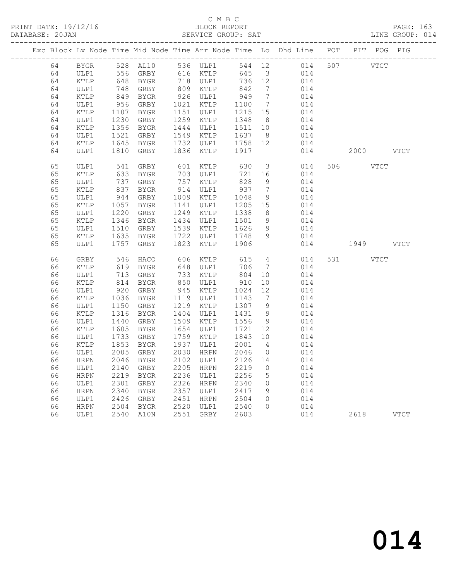PRINT DATE: 19/12/16 BLOCK REPORT<br>DATABASE: 20JAN BERVICE GROUP: SAT

### C M B C<br>BLOCK REPORT

PAGE: 163<br>LINE GROUP: 014

|  |    |                 |              |                                                                                  |      |                      |                   |                              | Exc Block Lv Node Time Mid Node Time Arr Node Time Lo Dhd Line POT PIT POG PIG |           |           |  |
|--|----|-----------------|--------------|----------------------------------------------------------------------------------|------|----------------------|-------------------|------------------------------|--------------------------------------------------------------------------------|-----------|-----------|--|
|  | 64 |                 |              |                                                                                  |      |                      |                   |                              | BYGR 528 AL10 536 ULP1 544 12 014 507 VTCT                                     |           |           |  |
|  | 64 | ULP1            |              |                                                                                  |      |                      |                   |                              | 645 3 014<br>736 12 014                                                        |           |           |  |
|  | 64 | KTLP            |              |                                                                                  |      |                      | 736 12            |                              |                                                                                |           |           |  |
|  | 64 | ULP1            |              | 556 GRBY 616 KTLP<br>648 BYGR 718 ULP1<br>748 GRBY 809 KTLP<br>849 BYGR 926 ULP1 |      |                      | 842<br>949        | $\overline{7}$               | 014                                                                            |           |           |  |
|  | 64 | KTLP            |              |                                                                                  |      |                      |                   | $7\phantom{.0}\phantom{.0}7$ | 014                                                                            |           |           |  |
|  | 64 | ULP1            | 956<br>1107  | GRBY                                                                             |      | 1021 KTLP            | 1100              | $7\overline{ }$              | 014                                                                            |           |           |  |
|  | 64 | KTLP            |              | BYGR                                                                             |      | 1151 ULP1            | 1215 15           |                              | 014                                                                            |           |           |  |
|  | 64 | ULP1            | 1230<br>1356 | GRBY                                                                             |      | 1259 KTLP            | 1348              | 8 <sup>8</sup>               | 014                                                                            |           |           |  |
|  | 64 | KTLP            |              | BYGR                                                                             |      | 1444 ULP1            | 1511              | 10                           | 014                                                                            |           |           |  |
|  | 64 | ULP1            | 1521<br>1645 | GRBY                                                                             |      | 1549 KTLP            | 1637 8<br>1758 12 |                              | 014                                                                            |           |           |  |
|  | 64 | KTLP            |              | BYGR                                                                             |      | 1732 ULP1            |                   |                              | 014                                                                            |           |           |  |
|  | 64 | ULP1            | 1810         | GRBY                                                                             | 1836 | KTLP                 | 1917              |                              | 014                                                                            |           | 2000 VTCT |  |
|  | 65 | ULP1            | 541<br>633   | GRBY                                                                             |      | $601$ KTLP           | 630<br>721        |                              | 3 014                                                                          | 506 VTCT  |           |  |
|  | 65 | KTLP            |              | BYGR                                                                             |      | 703 ULP1             | 721               | 16                           | 014                                                                            |           |           |  |
|  | 65 | ULP1            |              | 737 GRBY<br>837 BYGR                                                             |      | 757 KTLP             | 828               | 9                            | 014                                                                            |           |           |  |
|  | 65 | KTLP            |              |                                                                                  |      | 914 ULP1             | 937<br>1048       | $7\overline{ }$              | 014                                                                            |           |           |  |
|  | 65 | ULP1            | 944          | GRBY                                                                             |      | 1009 KTLP            |                   | 9                            | 014                                                                            |           |           |  |
|  | 65 | KTLP            | 1057         | BYGR                                                                             |      | 1141 ULP1            | 1205 15           |                              | 014                                                                            |           |           |  |
|  | 65 | ULP1            | 1220         | GRBY                                                                             |      | 1249 KTLP            | 1338              | 8 <sup>8</sup>               | 014                                                                            |           |           |  |
|  | 65 | KTLP            | 1346<br>1510 | BYGR                                                                             |      | 1434 ULP1            | 1501 9<br>1626    |                              | 014                                                                            |           |           |  |
|  | 65 | ULP1            |              | GRBY                                                                             | 1722 | 1539 KTLP            |                   | 9<br>9                       | 014                                                                            |           |           |  |
|  | 65 | KTLP            | 1635         | BYGR                                                                             |      | ULP1                 | 1748<br>1906      |                              | 014                                                                            |           |           |  |
|  | 65 | ULP1            | 1757         | GRBY                                                                             | 1823 | KTLP                 |                   |                              | 014                                                                            | 1949 VTCT |           |  |
|  | 66 | GRBY            | 546          | HACO                                                                             |      | 606 KTLP             | 615               | $\overline{4}$               | 014                                                                            | 531 VTCT  |           |  |
|  | 66 | KTLP            | 619          | BYGR                                                                             |      | 648 ULP1             | 706               | $7\overline{ }$              | 014                                                                            |           |           |  |
|  | 66 | ULP1            |              | 713 GRBY                                                                         |      | 733 KTLP             | 804               | 10                           | 014                                                                            |           |           |  |
|  | 66 | KTLP            | 814          | BYGR                                                                             |      | 850 ULP1<br>945 KTLP | $004$<br>910      | 10                           | 014                                                                            |           |           |  |
|  | 66 | ULP1            | 920          | GRBY                                                                             |      |                      |                   | 12                           | 014                                                                            |           |           |  |
|  | 66 | KTLP            | 1036         | BYGR                                                                             |      | 1119 ULP1            | 1143              | $7\phantom{.0}\phantom{.0}7$ | 014                                                                            |           |           |  |
|  | 66 | ULP1            | 1150         | GRBY                                                                             |      | 1219 KTLP            | 1307              | 9                            | 014                                                                            |           |           |  |
|  | 66 | $\texttt{KTLP}$ | 1316         | BYGR                                                                             | 1404 | ULP1                 | 1431              | 9                            | 014                                                                            |           |           |  |
|  | 66 | ULP1            | 1440         | GRBY                                                                             | 1509 | KTLP                 | 1556              | 9                            | 014                                                                            |           |           |  |
|  | 66 | KTLP            | 1605         | BYGR                                                                             | 1654 | ULP1                 | 1721              | 12                           | 014                                                                            |           |           |  |
|  | 66 | ULP1            | 1733         | GRBY                                                                             | 1759 | KTLP                 | 1843              | 10                           | 014                                                                            |           |           |  |
|  | 66 | KTLP            | 1853         | BYGR                                                                             | 1937 | ULP1                 | 2001              | $\overline{4}$               | 014                                                                            |           |           |  |
|  | 66 | ULP1            | 2005         | GRBY                                                                             | 2030 | HRPN                 | 2046              | $\overline{0}$               | 014                                                                            |           |           |  |
|  | 66 | HRPN            | 2046         | BYGR                                                                             | 2102 | ULP1                 | 2126              | 14                           | 014                                                                            |           |           |  |
|  | 66 | ULP1            | 2140         | GRBY                                                                             | 2205 | HRPN                 | 2219              | $\overline{0}$               | 014                                                                            |           |           |  |
|  | 66 | HRPN            | 2219         | BYGR                                                                             |      | 2236 ULP1            | 2256              | 5 <sup>5</sup>               | 014                                                                            |           |           |  |
|  | 66 | ULP1            | 2301         | GRBY                                                                             |      | 2326 HRPN            | 2340              | $\overline{0}$               | 014                                                                            |           |           |  |
|  | 66 | ${\tt HRPN}$    | 2340         | BYGR                                                                             |      | 2357 ULP1            | 2417              | 9                            | 014                                                                            |           |           |  |
|  | 66 | ULP1            | 2426         | GRBY                                                                             |      | 2451 HRPN            | 2504              | $\overline{0}$               | 014                                                                            |           |           |  |
|  | 66 | <b>HRPN</b>     | 2504<br>2540 | BYGR                                                                             |      | 2520 ULP1            | 2540              | $\Omega$                     | 014                                                                            |           |           |  |
|  | 66 | ULP1            |              | 2540 A10N                                                                        |      | 2551 GRBY            | 2603              |                              | 014                                                                            |           | 2618 VTCT |  |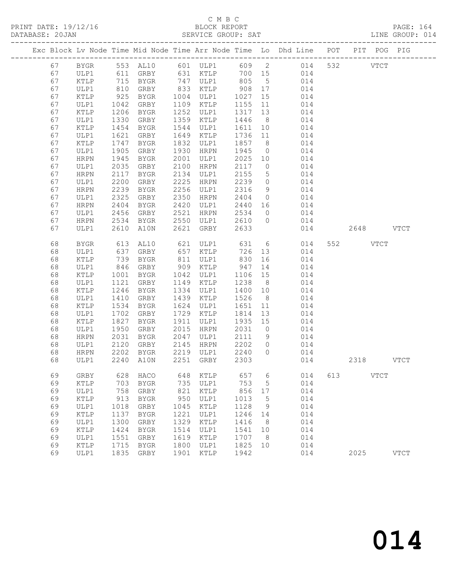PRINT DATE: 19/12/16 BLOCK REPORT<br>DATABASE: 20JAN SERVICE GROUP: SAT

### C M B C<br>BLOCK REPORT

PAGE: 164<br>LINE GROUP: 014

|  |          |                 |              |                      |              |                                                                       |              |                            | Exc Block Lv Node Time Mid Node Time Arr Node Time Lo Dhd Line POT PIT POG PIG |     |                    |             |
|--|----------|-----------------|--------------|----------------------|--------------|-----------------------------------------------------------------------|--------------|----------------------------|--------------------------------------------------------------------------------|-----|--------------------|-------------|
|  | 67       | BYGR            |              |                      |              |                                                                       |              |                            | 553 AL10 601 ULP1 609 2 014                                                    |     | 532<br><b>VTCT</b> |             |
|  | 67       | ULP1            |              | 611 GRBY             |              | 631 KTLP                                                              |              |                            | 700 15 014                                                                     |     |                    |             |
|  | 67       | KTLP            |              |                      |              | 747 ULP1                                                              | 805 5        |                            | 014                                                                            |     |                    |             |
|  | 67       | ULP1            |              | 715 BYGR<br>810 GRBY |              | $\begin{array}{cc}\n 747 & \text{-}\n 833 & \text{KTLP}\n\end{array}$ | 908 17       |                            | 014                                                                            |     |                    |             |
|  | 67       | KTLP            | 925          | BYGR                 | 1004         | ULP1                                                                  | 1027         | 15                         | 014                                                                            |     |                    |             |
|  | 67       | ULP1            | 1042         | GRBY                 | 1109         | KTLP                                                                  | 1155         | 11                         | 014                                                                            |     |                    |             |
|  | 67       | KTLP            | 1206         | BYGR                 | 1252         | ULP1                                                                  | 1317         | 13                         | 014                                                                            |     |                    |             |
|  | 67       | ULP1            | 1330         | GRBY                 | 1359         | KTLP                                                                  | 1446         | 8 <sup>8</sup>             | 014                                                                            |     |                    |             |
|  | 67       | KTLP            | 1454         | BYGR                 | 1544         | ULP1                                                                  | 1611         | 10                         | 014                                                                            |     |                    |             |
|  | 67       | ULP1            | 1621         | GRBY                 | 1649         | KTLP                                                                  | 1736         | 11                         | 014                                                                            |     |                    |             |
|  | 67       | KTLP            | 1747         | BYGR                 | 1832         | ULP1                                                                  | 1857         | 8 <sup>8</sup>             | 014                                                                            |     |                    |             |
|  | 67       | ULP1            | 1905         | GRBY                 | 1930         | HRPN                                                                  | 1945         | $\overline{0}$             | 014                                                                            |     |                    |             |
|  | 67       | HRPN            | 1945         | BYGR                 | 2001         | ULP1                                                                  | 2025 10      |                            | 014                                                                            |     |                    |             |
|  | 67       | ULP1            | 2035         | GRBY                 | 2100         | HRPN                                                                  | 2117         | $\overline{0}$             | 014                                                                            |     |                    |             |
|  | 67       | HRPN            | 2117         | BYGR                 | 2134         | ULP1                                                                  | 2155         | $5\overline{)}$            | 014                                                                            |     |                    |             |
|  | 67       | ULP1            | 2200         | GRBY                 | 2225         | HRPN                                                                  | 2239         | $\overline{0}$             | 014                                                                            |     |                    |             |
|  | 67       | HRPN            | 2239         | BYGR                 | 2256         | ULP1                                                                  | 2316         | 9                          | 014                                                                            |     |                    |             |
|  | 67       | ULP1            | 2325         | GRBY                 | 2350         | HRPN                                                                  | 2404         | $\overline{0}$             | 014                                                                            |     |                    |             |
|  | 67       | HRPN            | 2404         | BYGR                 | 2420         | ULP1                                                                  | 2440         | 16                         | 014                                                                            |     |                    |             |
|  | 67       | ULP1            | 2456         | GRBY                 | 2521         | HRPN                                                                  | 2534         | $\overline{0}$             | 014                                                                            |     |                    |             |
|  | 67       | HRPN            | 2534         | BYGR                 | 2550         | ULP1                                                                  | 2610         | $\overline{0}$             | 014                                                                            |     |                    |             |
|  | 67       | ULP1            | 2610         | A10N                 | 2621         | GRBY                                                                  | 2633         |                            | 014                                                                            |     | 2648 VTCT          |             |
|  | 68       | BYGR            | 613          | AL10                 |              | 621 ULP1                                                              | 631          |                            | 6 014                                                                          |     | 552 VTCT           |             |
|  | 68       | ULP1            | 637          | GRBY                 | 657          | KTLP                                                                  | 726          | 13                         | 014                                                                            |     |                    |             |
|  | 68       | KTLP            | 739          | BYGR                 | 811          | ULP1                                                                  | 830          | 16                         | 014                                                                            |     |                    |             |
|  | 68       | ULP1            | 846          | GRBY                 | 909          | KTLP                                                                  | 947          | 14                         | 014                                                                            |     |                    |             |
|  | 68       | KTLP            | 1001         | BYGR                 | 1042         | ULP1                                                                  | 1106         | 15                         | 014                                                                            |     |                    |             |
|  | 68       | ULP1            | 1121         | GRBY                 | 1149         | KTLP                                                                  | 1238         | 8 <sup>8</sup>             | 014                                                                            |     |                    |             |
|  | 68       | KTLP            | 1246         | BYGR                 | 1334         | ULP1                                                                  | 1400         | 10                         | 014                                                                            |     |                    |             |
|  | 68       | ULP1            | 1410         | GRBY                 | 1439         | KTLP                                                                  | 1526         | 8 <sup>8</sup>             | 014                                                                            |     |                    |             |
|  | 68       | KTLP            | 1534         | BYGR                 | 1624         | ULP1                                                                  | 1651         | 11                         | 014                                                                            |     |                    |             |
|  | 68       | ULP1            | 1702         | GRBY                 | 1729         | KTLP                                                                  | 1814         | 13                         | 014                                                                            |     |                    |             |
|  | 68       | KTLP            | 1827         | BYGR                 | 1911         | ULP1                                                                  | 1935         | 15                         | 014                                                                            |     |                    |             |
|  | 68       | ULP1            | 1950         | GRBY                 | 2015         | HRPN                                                                  | 2031         | $\overline{0}$             | 014                                                                            |     |                    |             |
|  | 68       | HRPN            | 2031         | BYGR                 | 2047         | ULP1                                                                  | 2111         | 9                          | 014                                                                            |     |                    |             |
|  | 68<br>68 | ULP1            | 2120<br>2202 | GRBY                 | 2145<br>2219 | HRPN                                                                  | 2202<br>2240 | $\overline{0}$<br>$\Omega$ | 014<br>014                                                                     |     |                    |             |
|  | 68       | HRPN<br>ULP1    |              | BYGR<br>2240 A10N    | 2251         | ULP1<br>GRBY                                                          | 2303         |                            | 014                                                                            |     | 2318 VTCT          |             |
|  |          |                 |              |                      |              |                                                                       |              |                            |                                                                                |     |                    |             |
|  | 69       | GRBY            | 628          | HACO                 | 648          | KTLP                                                                  | 657          | 6                          | 014                                                                            | 613 | <b>VTCT</b>        |             |
|  | 69       | KTLP            | 703          | BYGR                 | 735          | ULP1                                                                  | 753          | 5                          | 014                                                                            |     |                    |             |
|  | 69       | ULP1            | 758          | GRBY                 | 821          | KTLP                                                                  | 856          | 17                         | 014                                                                            |     |                    |             |
|  | 69       | KTLP            | 913          | <b>BYGR</b>          | 950          | ULP1                                                                  | 1013         | 5                          | 014                                                                            |     |                    |             |
|  | 69       | ULP1            | 1018         | GRBY                 | 1045         | KTLP                                                                  | 1128         | 9                          | 014                                                                            |     |                    |             |
|  | 69       | KTLP            | 1137         | <b>BYGR</b>          | 1221         | ULP1                                                                  | 1246         | 14                         | 014                                                                            |     |                    |             |
|  | 69       | ULP1            | 1300         | GRBY                 | 1329         | KTLP                                                                  | 1416         | 8                          | 014                                                                            |     |                    |             |
|  | 69       | KTLP            | 1424         | BYGR                 | 1514         | ULP1                                                                  | 1541         | 10                         | 014                                                                            |     |                    |             |
|  | 69       | ULP1            | 1551         | GRBY                 | 1619         | KTLP                                                                  | 1707         | 8                          | 014                                                                            |     |                    |             |
|  | 69       | $\texttt{KTLP}$ | 1715         | ${\tt BYGR}$         | 1800         | ULP1                                                                  | 1825         | 10                         | 014                                                                            |     |                    |             |
|  | 69       | ULP1            | 1835         | GRBY                 | 1901         | KTLP                                                                  | 1942         |                            | 014                                                                            |     | 2025               | <b>VTCT</b> |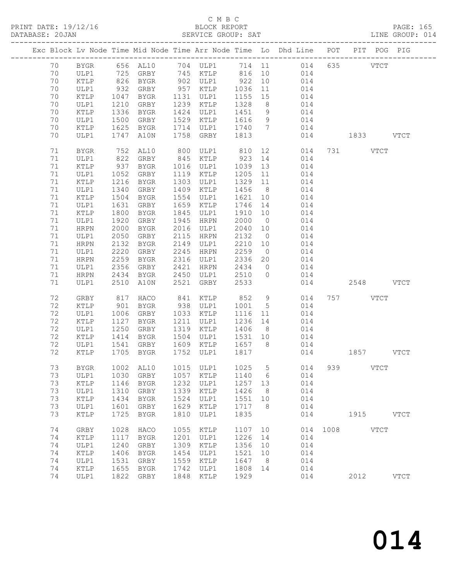PRINT DATE: 19/12/16<br>DATABASE: 20JAN

### C M B C<br>BLOCK REPORT<br>SERVICE GROUP: SAT

PAGE: 165<br>LINE GROUP: 014

| DAIADASE. |    |                 |      |             |      | OLNVICL GRUUF. OAI |      |                 |                                                                |      |             | TIME GROOF, ATA |
|-----------|----|-----------------|------|-------------|------|--------------------|------|-----------------|----------------------------------------------------------------|------|-------------|-----------------|
|           |    |                 |      |             |      |                    |      |                 | Exc Block Lv Node Time Mid Node Time Arr Node Time Lo Dhd Line | POT  | PIT         | POG PIG         |
|           | 70 | BYGR            |      | 656 AL10    |      | 704 ULP1           | 714  | 11              | 014                                                            | 635  | <b>VTCT</b> |                 |
|           | 70 | ULP1            | 725  | GRBY        | 745  | KTLP               | 816  | 10              | 014                                                            |      |             |                 |
|           | 70 | $\texttt{KTLP}$ | 826  | BYGR        | 902  | ULP1               | 922  | 10              | 014                                                            |      |             |                 |
|           | 70 | ULP1            | 932  | GRBY        | 957  | KTLP               | 1036 | 11              | 014                                                            |      |             |                 |
|           | 70 | KTLP            | 1047 | BYGR        | 1131 | ULP1               | 1155 | 15              | 014                                                            |      |             |                 |
|           | 70 | ULP1            | 1210 | GRBY        | 1239 | KTLP               | 1328 | 8               | 014                                                            |      |             |                 |
|           | 70 | KTLP            | 1336 | BYGR        | 1424 | ULP1               | 1451 | 9               | 014                                                            |      |             |                 |
|           | 70 | ULP1            | 1500 | GRBY        | 1529 | KTLP               | 1616 | 9               | 014                                                            |      |             |                 |
|           | 70 | KTLP            | 1625 | BYGR        | 1714 | ULP1               | 1740 | 7               | 014                                                            |      |             |                 |
|           | 70 | ULP1            | 1747 | A10N        | 1758 | GRBY               | 1813 |                 | 014                                                            |      | 1833        | <b>VTCT</b>     |
|           | 71 | <b>BYGR</b>     | 752  | AL10        | 800  | ULP1               | 810  | 12              | 014                                                            | 731  | <b>VTCT</b> |                 |
|           | 71 | ULP1            | 822  | GRBY        | 845  | KTLP               | 923  | 14              | 014                                                            |      |             |                 |
|           | 71 | KTLP            | 937  | BYGR        | 1016 | ULP1               | 1039 | 13              | 014                                                            |      |             |                 |
|           | 71 | ULP1            | 1052 | GRBY        | 1119 | KTLP               | 1205 | 11              | 014                                                            |      |             |                 |
|           | 71 | KTLP            | 1216 | BYGR        | 1303 | ULP1               | 1329 | 11              | 014                                                            |      |             |                 |
|           | 71 |                 | 1340 |             | 1409 |                    | 1456 |                 |                                                                |      |             |                 |
|           |    | ULP1            |      | GRBY        |      | KTLP               |      | 8               | 014                                                            |      |             |                 |
|           | 71 | KTLP            | 1504 | BYGR        | 1554 | ULP1               | 1621 | 10              | 014                                                            |      |             |                 |
|           | 71 | ULP1            | 1631 | GRBY        | 1659 | KTLP               | 1746 | 14              | 014                                                            |      |             |                 |
|           | 71 | KTLP            | 1800 | BYGR        | 1845 | ULP1               | 1910 | 10              | 014                                                            |      |             |                 |
|           | 71 | ULP1            | 1920 | GRBY        | 1945 | HRPN               | 2000 | $\overline{0}$  | 014                                                            |      |             |                 |
|           | 71 | HRPN            | 2000 | BYGR        | 2016 | ULP1               | 2040 | 10              | 014                                                            |      |             |                 |
|           | 71 | ULP1            | 2050 | GRBY        | 2115 | HRPN               | 2132 | $\overline{0}$  | 014                                                            |      |             |                 |
|           | 71 | HRPN            | 2132 | BYGR        | 2149 | ULP1               | 2210 | 10              | 014                                                            |      |             |                 |
|           | 71 | ULP1            | 2220 | GRBY        | 2245 | HRPN               | 2259 | $\overline{0}$  | 014                                                            |      |             |                 |
|           | 71 | HRPN            | 2259 | BYGR        | 2316 | ULP1               | 2336 | 20              | 014                                                            |      |             |                 |
|           | 71 | ULP1            | 2356 | GRBY        | 2421 | HRPN               | 2434 | $\overline{0}$  | 014                                                            |      |             |                 |
|           | 71 | HRPN            | 2434 | BYGR        | 2450 | ULP1               | 2510 | $\circ$         | 014                                                            |      |             |                 |
|           | 71 | ULP1            | 2510 | A10N        | 2521 | GRBY               | 2533 |                 | 014                                                            |      | 2548        | <b>VTCT</b>     |
|           | 72 | GRBY            | 817  | HACO        | 841  | KTLP               | 852  | $\overline{9}$  | 014                                                            | 757  | <b>VTCT</b> |                 |
|           | 72 | KTLP            | 901  | BYGR        | 938  | ULP1               | 1001 | $5\phantom{.0}$ | 014                                                            |      |             |                 |
|           | 72 | ULP1            | 1006 | GRBY        | 1033 | KTLP               | 1116 | 11              | 014                                                            |      |             |                 |
|           | 72 | KTLP            | 1127 | BYGR        | 1211 | ULP1               | 1236 | 14              | 014                                                            |      |             |                 |
|           | 72 | ULP1            | 1250 | GRBY        | 1319 | KTLP               | 1406 | 8               | 014                                                            |      |             |                 |
|           | 72 | KTLP            | 1414 | BYGR        | 1504 | ULP1               | 1531 | 10              | 014                                                            |      |             |                 |
|           | 72 | ULP1            | 1541 | GRBY        | 1609 | KTLP               | 1657 | 8 <sup>8</sup>  | 014                                                            |      |             |                 |
|           | 72 | KTLP            | 1705 | BYGR        | 1752 | ULP1               | 1817 |                 | 014                                                            |      | 1857        | <b>VTCT</b>     |
|           | 73 | <b>BYGR</b>     | 1002 | AL10        | 1015 | ULP1               | 1025 | 5               | 014                                                            | 939  | VTCT        |                 |
|           | 73 | ULP1            | 1030 | GRBY        | 1057 | KTLP               | 1140 | 6               | 014                                                            |      |             |                 |
|           | 73 | KTLP            | 1146 | BYGR        | 1232 | ULP1               | 1257 | 13              | 014                                                            |      |             |                 |
|           | 73 | ULP1            | 1310 | GRBY        | 1339 | KTLP               | 1426 | 8               | 014                                                            |      |             |                 |
|           | 73 | KTLP            | 1434 | BYGR        | 1524 | ULP1               | 1551 | 10              | 014                                                            |      |             |                 |
|           | 73 | ULP1            | 1601 | GRBY        | 1629 | KTLP               | 1717 | 8               | 014                                                            |      |             |                 |
|           | 73 | KTLP            | 1725 | <b>BYGR</b> | 1810 | ULP1               | 1835 |                 | 014                                                            |      | 1915        | <b>VTCT</b>     |
|           | 74 | GRBY            | 1028 | HACO        | 1055 | KTLP               | 1107 | 10              | 014                                                            | 1008 | <b>VTCT</b> |                 |
|           | 74 | KTLP            | 1117 | BYGR        | 1201 | ULP1               | 1226 | 14              | 014                                                            |      |             |                 |
|           | 74 | ULP1            | 1240 | GRBY        | 1309 | KTLP               | 1356 | 10              | 014                                                            |      |             |                 |
|           | 74 | KTLP            | 1406 | BYGR        | 1454 | ULP1               | 1521 | 10              | 014                                                            |      |             |                 |
|           | 74 | ULP1            | 1531 | GRBY        | 1559 | <b>KTLP</b>        | 1647 | 8               | 014                                                            |      |             |                 |
|           | 74 | $\verb KTLP $   | 1655 | <b>BYGR</b> | 1742 | ULP1               | 1808 | 14              | 014                                                            |      |             |                 |
|           | 74 | ULP1            | 1822 | GRBY        | 1848 | KTLP               | 1929 |                 | 014                                                            |      | 2012        | <b>VTCT</b>     |
|           |    |                 |      |             |      |                    |      |                 |                                                                |      |             |                 |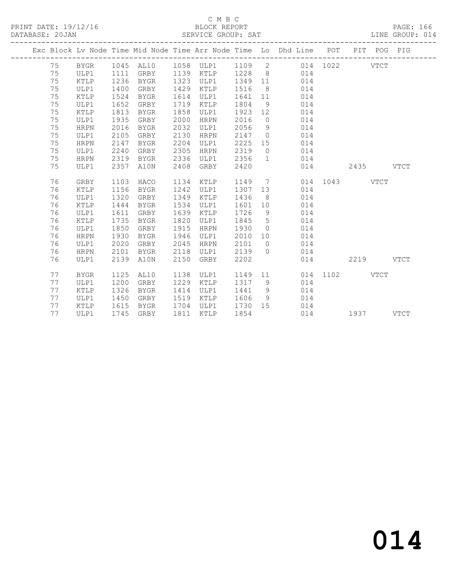#### C M B C<br>BLOCK REPORT SERVICE GROUP: SAT

|  |    |                 |      |             |      |             |         |                | Exc Block Lv Node Time Mid Node Time Arr Node Time Lo Dhd Line POT |          |             | PIT POG PIG |             |
|--|----|-----------------|------|-------------|------|-------------|---------|----------------|--------------------------------------------------------------------|----------|-------------|-------------|-------------|
|  | 75 | BYGR            |      | 1045 AL10   |      | 1058 ULP1   | 1109 2  |                |                                                                    | 014 1022 |             | <b>VTCT</b> |             |
|  | 75 | ULP1            | 1111 | GRBY        |      | 1139 KTLP   | 1228 8  |                | 014                                                                |          |             |             |             |
|  | 75 | KTLP            | 1236 | BYGR        |      | 1323 ULP1   | 1349 11 |                | 014                                                                |          |             |             |             |
|  | 75 | ULP1            | 1400 | GRBY        | 1429 | KTLP        | 1516    | 8 <sup>8</sup> | 014                                                                |          |             |             |             |
|  | 75 | KTLP            | 1524 | BYGR        | 1614 | ULP1        | 1641    | 11             | 014                                                                |          |             |             |             |
|  | 75 | ULP1            | 1652 | GRBY        | 1719 | KTLP        | 1804    | 9              | 014                                                                |          |             |             |             |
|  | 75 | KTLP            | 1813 | BYGR        | 1858 | ULP1        | 1923    | 12             | 014                                                                |          |             |             |             |
|  | 75 | ULP1            | 1935 | GRBY        | 2000 | <b>HRPN</b> | 2016    | $\overline{0}$ | 014                                                                |          |             |             |             |
|  | 75 | HRPN            | 2016 | BYGR        | 2032 | ULP1        | 2056    | 9              | 014                                                                |          |             |             |             |
|  | 75 | ULP1            | 2105 | GRBY        | 2130 | HRPN        | 2147    | $\overline{0}$ | 014                                                                |          |             |             |             |
|  | 75 | <b>HRPN</b>     | 2147 | BYGR        | 2204 | ULP1        | 2225    | 15             | 014                                                                |          |             |             |             |
|  | 75 | ULP1            | 2240 | GRBY        | 2305 | <b>HRPN</b> | 2319    | $\overline{0}$ | 014                                                                |          |             |             |             |
|  | 75 | <b>HRPN</b>     | 2319 | BYGR        | 2336 | ULP1        | 2356    | $\mathbf{1}$   | 014                                                                |          |             |             |             |
|  | 75 | ULP1            | 2357 | A10N        | 2408 | GRBY        | 2420    |                | 014                                                                |          | 2435        |             | <b>VTCT</b> |
|  |    |                 |      |             |      |             |         |                |                                                                    |          |             |             |             |
|  | 76 | GRBY            | 1103 | HACO        | 1134 | KTLP        | 1149    |                | $7\overline{ }$                                                    | 014 1043 |             | <b>VTCT</b> |             |
|  | 76 | KTLP            | 1156 | BYGR        | 1242 | ULP1        | 1307    | 13             | 014                                                                |          |             |             |             |
|  | 76 | ULP1            | 1320 | GRBY        | 1349 | KTLP        | 1436    | 8              | 014                                                                |          |             |             |             |
|  | 76 | $\texttt{KTLP}$ | 1444 | BYGR        | 1534 | ULP1        | 1601    | 10             | 014                                                                |          |             |             |             |
|  | 76 | ULP1            | 1611 | GRBY        | 1639 | KTLP        | 1726    | 9              | 014                                                                |          |             |             |             |
|  | 76 | KTLP            | 1735 | <b>BYGR</b> | 1820 | ULP1        | 1845    | 5              | 014                                                                |          |             |             |             |
|  | 76 | ULP1            | 1850 | GRBY        | 1915 | <b>HRPN</b> | 1930    | $\overline{0}$ | 014                                                                |          |             |             |             |
|  | 76 | HRPN            | 1930 | BYGR        | 1946 | ULP1        | 2010    | 10             | 014                                                                |          |             |             |             |
|  | 76 | ULP1            | 2020 | GRBY        | 2045 | <b>HRPN</b> | 2101    | $\overline{0}$ | 014                                                                |          |             |             |             |
|  | 76 | <b>HRPN</b>     | 2101 | BYGR        | 2118 | ULP1        | 2139    | $\Omega$       | 014                                                                |          |             |             |             |
|  | 76 | ULP1            | 2139 | A10N        | 2150 | GRBY        | 2202    |                | 014                                                                |          | 2219        |             | <b>VTCT</b> |
|  |    |                 |      |             |      |             |         |                |                                                                    |          |             |             |             |
|  | 77 | <b>BYGR</b>     | 1125 | AL10        | 1138 | ULP1        | 1149    |                | 11                                                                 | 014 1102 | <b>VTCT</b> |             |             |
|  | 77 | ULP1            | 1200 | GRBY        | 1229 | KTLP        | 1317    | 9 <sup>°</sup> | 014                                                                |          |             |             |             |
|  | 77 | KTLP            | 1326 | <b>BYGR</b> | 1414 | ULP1        | 1441    | 9 <sup>°</sup> | 014                                                                |          |             |             |             |
|  | 77 | ULP1            | 1450 | GRBY        | 1519 | KTLP        | 1606    | 9              | 014                                                                |          |             |             |             |
|  | 77 | KTLP            | 1615 | BYGR        | 1704 | ULP1        | 1730    | 15             | 014                                                                |          |             |             |             |
|  | 77 | ULP1            | 1745 | GRBY        | 1811 | KTLP        | 1854    |                |                                                                    | 014      | 1937 — 1937 |             | <b>VTCT</b> |
|  |    |                 |      |             |      |             |         |                |                                                                    |          |             |             |             |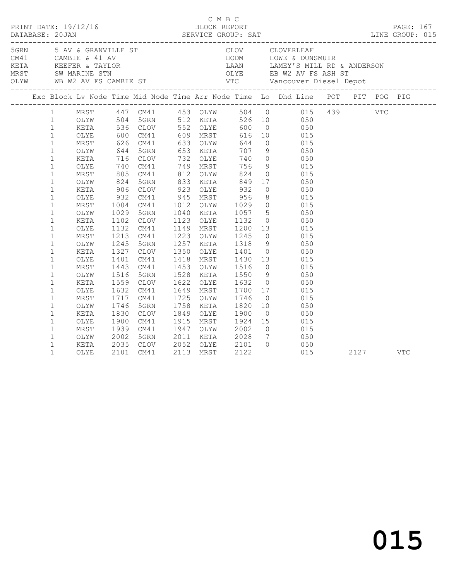|                                                                                                                                                                                                                                                                                                                                                                                                                                   |   |                                                                                                                                                                                                                      |                                              |                                                                                                                                                                                                                                                                                                                                  |                                                                                                                                |                                                                                                                                                                                                 |                                              |                                                                                                                                                                                                                                                                                                                                                                                                                                                                                                                                                                                                                                                                                                                              |      | C M B C<br>PRINT DATE: 19/12/16 BLOCK REPORT PAGE: 167<br>DATABASE: 20JAN SERVICE GROUP: SAT LINE GROUP: 015 |
|-----------------------------------------------------------------------------------------------------------------------------------------------------------------------------------------------------------------------------------------------------------------------------------------------------------------------------------------------------------------------------------------------------------------------------------|---|----------------------------------------------------------------------------------------------------------------------------------------------------------------------------------------------------------------------|----------------------------------------------|----------------------------------------------------------------------------------------------------------------------------------------------------------------------------------------------------------------------------------------------------------------------------------------------------------------------------------|--------------------------------------------------------------------------------------------------------------------------------|-------------------------------------------------------------------------------------------------------------------------------------------------------------------------------------------------|----------------------------------------------|------------------------------------------------------------------------------------------------------------------------------------------------------------------------------------------------------------------------------------------------------------------------------------------------------------------------------------------------------------------------------------------------------------------------------------------------------------------------------------------------------------------------------------------------------------------------------------------------------------------------------------------------------------------------------------------------------------------------------|------|--------------------------------------------------------------------------------------------------------------|
|                                                                                                                                                                                                                                                                                                                                                                                                                                   |   |                                                                                                                                                                                                                      |                                              |                                                                                                                                                                                                                                                                                                                                  |                                                                                                                                |                                                                                                                                                                                                 |                                              | 5 AV & GRANVILLE ST CLOV CLOVERLEAF<br>CM41 CAMBIE & 41 AV HODM HOWE & DUNSMUIR<br>KETA KEEFER & TAYLOR LAAN LAMEY'S MILL RD & ANDERSON<br>MRST SW_MARINE_STN OLYE EB_W2 AV_FS_ASH_ST<br>OLYW WB_W2_AV_FS_CAMBIE_ST___________________                                                                                                                                                                                                                                                                                                                                                                                                                                                                                       |      |                                                                                                              |
|                                                                                                                                                                                                                                                                                                                                                                                                                                   |   |                                                                                                                                                                                                                      |                                              |                                                                                                                                                                                                                                                                                                                                  |                                                                                                                                |                                                                                                                                                                                                 |                                              | Exc Block Lv Node Time Mid Node Time Arr Node Time Lo Dhd Line POT PIT POG PIG                                                                                                                                                                                                                                                                                                                                                                                                                                                                                                                                                                                                                                               |      |                                                                                                              |
| $\mathbf{1}$<br>$\mathbf{1}$<br>$\mathbf{1}$<br>$\mathbf{1}$<br>$\mathbf{1}$<br>$1\,$<br>$\mathbf{1}$<br>$1\,$<br>$\mathbf{1}$<br>$\mathbf{1}$<br>$1\,$<br>$\mathbf{1}$<br>$1\,$<br>$\mathbf{1}$<br>$\mathbf{1}$<br>$\mathbf{1}$<br>$\mathbf{1}$<br>$\mathbf{1}$<br>$\mathbf{1}$<br>$1\,$<br>$\mathbf{1}$<br>$\mathbf{1}$<br>$\mathbf{1}$<br>$1\,$<br>$\mathbf{1}$<br>$\mathbf{1}$<br>$\mathbf{1}$<br>$\mathbf{1}$<br>$\mathbf 1$ | 1 | OLYE<br>MRST<br>OLYW<br>KETA<br>OLYE<br>MRST<br>OLYW<br>KETA<br>OLYE<br>MRST<br>OLYW<br>KETA<br>OLYE<br>MRST<br>OLYW<br>KETA<br>OLYE<br>MRST<br>OLYW<br>KETA<br>OLYE<br>MRST<br>OLYW<br>KETA<br>OLYE<br>MRST<br>OLYW | 1029<br>1401<br>1443<br>1516<br>1830<br>2002 | 716 CLOV 732 OLYE 740<br>740 CM41 749 MRST 756<br>805 CM41 812 OLYW 824<br>824 5GRN 833 KETA<br>906 CLOV<br>932 CM41<br>1004 CM41<br>5GRN<br>1102 CLOV<br>1132 CM41<br>1213 CM41<br>1245 5GRN<br>1327 CLOV<br>CM41<br>CM41<br>5GRN<br>1559 CLOV<br>1632 CM41<br>1717 CM41<br>1746 5GRN<br>CLOV<br>1900 CM41<br>1939 CM41<br>5GRN | 1040 KETA<br>1123 OLYE<br>1149 MRST<br>1223 OLYW<br>1649 MRST<br>1725 OLYW<br>1758 KETA<br>1849 OLYE<br>1915 MRST<br>1947 OLYW | 849<br>1057<br>1132<br>1200<br>1245<br>1257 KETA 1318<br>1350 OLYE 1401<br>1453 OLYW 1516<br>1528 KETA 1550<br>1622 OLYE 1632<br>1700<br>1746<br>1820<br>1900<br>1924<br>2002<br>2011 KETA 2028 | 9<br>$\overline{0}$<br>10<br>$7\overline{)}$ | MRST 447 CM41 453 OLYW 504 0 015 439 VTC<br>OLYW 504 5GRN 512 KETA 526 10 050<br>KETA 536 CLOV 552 OLYE 600 0 050<br>600 CM41 609 MRST 616 10 015<br>626 CM41 633 OLYW 644 0 015<br>644 5GRN 653 KETA 707 9 050<br>$\begin{array}{ccc} 9 & \hspace{1.5cm} 015 \\ 0 & \hspace{1.5cm} 015 \end{array}$<br>17 050<br>923 OLYE 932 0<br>945 MRST 956 8 015<br>1012 OLYW 1029 0 015<br>5 050<br>$\begin{array}{ccc} 0 & 050 \\ 13 & 015 \end{array}$<br>$0\qquad \qquad 015$<br>9 050<br>0 050<br>1418 MRST 1430 13 015<br>0 015<br>9 050<br>$\begin{matrix} 0 & 0 & 0 \\ 0 & 0 & 0 \end{matrix}$<br>17 015<br>015<br>050<br>$0 \qquad \qquad 050$<br>$\begin{array}{ccc} 15 & \quad & 015 \\ 0 & \quad & 015 \end{array}$<br>050 |      |                                                                                                              |
| $\mathbf 1$<br>$\mathbf{1}$                                                                                                                                                                                                                                                                                                                                                                                                       |   | KETA<br>OLYE                                                                                                                                                                                                         |                                              | 2035 CLOV<br>2101 CM41                                                                                                                                                                                                                                                                                                           |                                                                                                                                | 2052 OLYE 2101<br>2113 MRST 2122                                                                                                                                                                | $\overline{0}$                               | $\frac{050}{0.55}$<br>015                                                                                                                                                                                                                                                                                                                                                                                                                                                                                                                                                                                                                                                                                                    | 2127 | VTC                                                                                                          |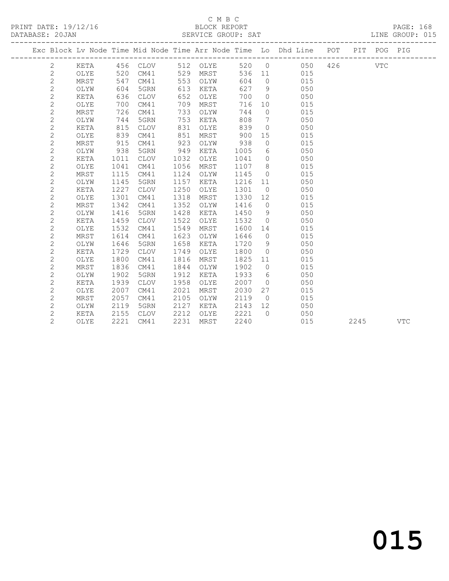PRINT DATE:  $19/12/16$ <br>DATABASE: 20JAN

## C M B C<br>BLOCK REPORT<br>SERVICE GROUP: SAT

|                |      |      |             |      |          |      |                | Exc Block Lv Node Time Mid Node Time Arr Node Time Lo Dhd Line POT PIT POG PIG                                                                                                                                                        |  |            |            |
|----------------|------|------|-------------|------|----------|------|----------------|---------------------------------------------------------------------------------------------------------------------------------------------------------------------------------------------------------------------------------------|--|------------|------------|
| $\mathbf{2}$   | KETA |      | 456 CLOV    |      | 512 OLYE |      |                | 520 0 050 426                                                                                                                                                                                                                         |  | <b>VTC</b> |            |
| $\mathbf{2}$   | OLYE | 520  | CM41        |      | 529 MRST |      |                | 536 11 015                                                                                                                                                                                                                            |  |            |            |
| $\sqrt{2}$     | MRST | 547  | CM41        | 553  | OLYW     | 604  |                | $\overline{O}$<br>015                                                                                                                                                                                                                 |  |            |            |
| $\overline{2}$ | OLYW | 604  | 5GRN        | 613  | KETA     | 627  |                | $9 \left( \frac{1}{2} \right)$<br>050                                                                                                                                                                                                 |  |            |            |
| $\mathbf{2}$   | KETA | 636  | <b>CLOV</b> | 652  | OLYE     | 700  |                | $\overline{0}$<br>050                                                                                                                                                                                                                 |  |            |            |
| $\overline{c}$ | OLYE | 700  | CM41        | 709  | MRST     | 716  |                | 015<br>10                                                                                                                                                                                                                             |  |            |            |
| $\overline{c}$ | MRST | 726  | CM41        | 733  | OLYW     | 744  | $\circ$        | 015                                                                                                                                                                                                                                   |  |            |            |
| $\overline{c}$ | OLYW | 744  | 5GRN        | 753  | KETA     | 808  | 7              | 050                                                                                                                                                                                                                                   |  |            |            |
| $\overline{c}$ | KETA | 815  | <b>CLOV</b> | 831  | OLYE     | 839  | $\circ$        | 050                                                                                                                                                                                                                                   |  |            |            |
| $\mathbf{2}$   | OLYE | 839  | CM41        | 851  | MRST     | 900  | 15             | 015                                                                                                                                                                                                                                   |  |            |            |
| $\overline{c}$ | MRST | 915  | CM41        | 923  | OLYW     | 938  | $\circ$        | 015                                                                                                                                                                                                                                   |  |            |            |
| $\overline{c}$ | OLYW | 938  | 5GRN        | 949  | KETA     | 1005 | 6              | 050                                                                                                                                                                                                                                   |  |            |            |
| $\overline{c}$ | KETA | 1011 | CLOV        | 1032 | OLYE     | 1041 |                | $\overline{0}$<br>050                                                                                                                                                                                                                 |  |            |            |
| $\overline{c}$ | OLYE | 1041 | CM41        | 1056 | MRST     | 1107 |                | 8<br>015                                                                                                                                                                                                                              |  |            |            |
| $\overline{c}$ | MRST | 1115 | CM41        | 1124 | OLYW     | 1145 |                | $\overline{0}$<br>015                                                                                                                                                                                                                 |  |            |            |
| $\overline{c}$ | OLYW | 1145 | 5GRN        | 1157 | KETA     | 1216 |                | 11 —<br>050                                                                                                                                                                                                                           |  |            |            |
| $\overline{c}$ | KETA | 1227 | <b>CLOV</b> | 1250 | OLYE     | 1301 | $\circ$        | 050                                                                                                                                                                                                                                   |  |            |            |
| $\overline{c}$ | OLYE | 1301 | CM41        | 1318 | MRST     | 1330 | 12             | 015                                                                                                                                                                                                                                   |  |            |            |
| $\overline{c}$ | MRST | 1342 | CM41        | 1352 | OLYW     | 1416 | $\overline{0}$ | 015                                                                                                                                                                                                                                   |  |            |            |
| $\overline{c}$ | OLYW | 1416 | 5GRN        | 1428 | KETA     | 1450 | 9              | 050                                                                                                                                                                                                                                   |  |            |            |
| $\overline{c}$ | KETA | 1459 | <b>CLOV</b> | 1522 | OLYE     | 1532 | $\circ$        | 050                                                                                                                                                                                                                                   |  |            |            |
| $\overline{c}$ | OLYE | 1532 | CM41        | 1549 | MRST     | 1600 | 14             | 015                                                                                                                                                                                                                                   |  |            |            |
| $\overline{c}$ | MRST | 1614 | CM41        | 1623 | OLYW     | 1646 | $\overline{0}$ | 015                                                                                                                                                                                                                                   |  |            |            |
| $\overline{c}$ | OLYW | 1646 | 5GRN        | 1658 | KETA     | 1720 | 9              | 050                                                                                                                                                                                                                                   |  |            |            |
| $\overline{c}$ | KETA | 1729 | CLOV        | 1749 | OLYE     | 1800 | $\circ$        | 050                                                                                                                                                                                                                                   |  |            |            |
| $\overline{c}$ | OLYE | 1800 | CM41        | 1816 | MRST     | 1825 |                | 015<br>11 — 11 — 11 — 11 — 11 — 11 — 11 — 11 — 11 — 11 — 11 — 11 — 11 — 11 — 11 — 11 — 11 — 11 — 11 — 11 — 11 — 11 — 11 — 11 — 11 — 11 — 11 — 11 — 11 — 11 — 11 — 11 — 11 — 11 — 11 — 11 — 11 — 11 — 11 — 11 — 11 — 11 — 11 — 11 — 11 |  |            |            |
| $\overline{c}$ | MRST | 1836 | CM41        | 1844 | OLYW     | 1902 | $\circ$        | 015                                                                                                                                                                                                                                   |  |            |            |
| $\overline{c}$ | OLYW | 1902 | 5GRN        | 1912 | KETA     | 1933 | 6              | 050                                                                                                                                                                                                                                   |  |            |            |
| $\overline{c}$ | KETA | 1939 | <b>CLOV</b> | 1958 | OLYE     | 2007 | $\circ$        | 050                                                                                                                                                                                                                                   |  |            |            |
| $\overline{c}$ | OLYE | 2007 | CM41        | 2021 | MRST     | 2030 | 27             | 015                                                                                                                                                                                                                                   |  |            |            |
| $\overline{c}$ | MRST | 2057 | CM41        | 2105 | OLYW     | 2119 | $\overline{0}$ | 015                                                                                                                                                                                                                                   |  |            |            |
| $\mathbf{2}$   | OLYW | 2119 | 5GRN        | 2127 | KETA     | 2143 | 12             | 050                                                                                                                                                                                                                                   |  |            |            |
| $\overline{c}$ | KETA | 2155 | CLOV        | 2212 | OLYE     | 2221 | $\Omega$       | 050                                                                                                                                                                                                                                   |  |            |            |
| $\overline{2}$ | OLYE | 2221 | CM41        | 2231 | MRST     | 2240 |                | 015                                                                                                                                                                                                                                   |  | 2245       | <b>VTC</b> |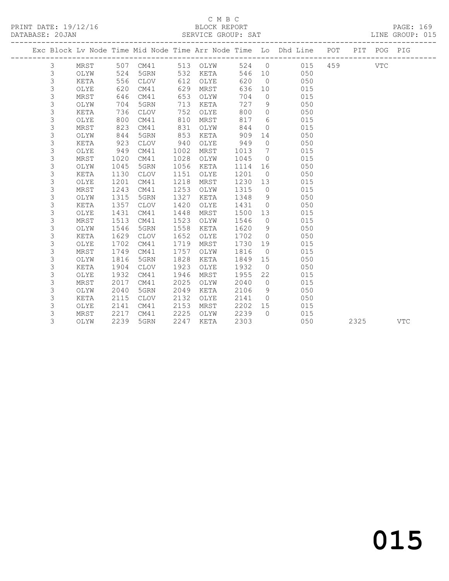### C M B C<br>BLOCK REPORT<br>TRITER CROILE SAT

| PRINT DATE: 19/12/16<br>DATABASE: 20JAN |                |      |      |             |      |          |        |                   | 16 BLOCK REPORT PAGE: 169<br>SERVICE GROUP: SAT LINE GROUP: 015                |  |            |  |
|-----------------------------------------|----------------|------|------|-------------|------|----------|--------|-------------------|--------------------------------------------------------------------------------|--|------------|--|
|                                         |                |      |      |             |      |          |        |                   | Exc Block Lv Node Time Mid Node Time Arr Node Time Lo Dhd Line POT PIT POG PIG |  |            |  |
|                                         | 3              | MRST |      | 507 CM41    |      | 513 OLYW |        |                   | 524 0 015 459                                                                  |  | <b>VTC</b> |  |
|                                         | $\mathfrak{Z}$ | OLYW | 524  | 5GRN        |      | 532 KETA | 546 10 |                   | 050                                                                            |  |            |  |
|                                         | $\mathfrak{Z}$ | KETA | 556  | CLOV        | 612  | OLYE     | 620    |                   | $\overline{0}$<br>050                                                          |  |            |  |
|                                         | $\mathfrak{Z}$ | OLYE | 620  | CM41        | 629  | MRST     | 636    |                   | 10<br>015                                                                      |  |            |  |
|                                         | $\mathfrak{Z}$ | MRST | 646  | CM41        | 653  | OLYW     | 704    | $\circ$           | 015                                                                            |  |            |  |
|                                         | 3              | OLYW | 704  | 5GRN        | 713  | KETA     | 727    |                   | 050<br>$9 \quad \bullet$                                                       |  |            |  |
|                                         | 3              | KETA | 736  | <b>CLOV</b> | 752  | OLYE     | 800    | $\overline{0}$    | 050                                                                            |  |            |  |
|                                         | $\mathfrak{Z}$ | OLYE | 800  | CM41        | 810  | MRST     | 817    | $6\degree$        | 015                                                                            |  |            |  |
|                                         | $\mathfrak{Z}$ | MRST | 823  | CM41        | 831  | OLYW     | 844    | $\overline{0}$    | 015                                                                            |  |            |  |
|                                         | 3              | OLYW | 844  | 5GRN        | 853  | KETA     | 909    | 14                | 050                                                                            |  |            |  |
|                                         | 3              | KETA | 923  | <b>CLOV</b> | 940  | OLYE     | 949    | $\circ$           | 050                                                                            |  |            |  |
|                                         | 3              | OLYE | 949  | CM41        | 1002 | MRST     | 1013   | $7\phantom{.0}\,$ | 015                                                                            |  |            |  |
|                                         | 3              | MRST | 1020 | CM41        | 1028 | OLYW     | 1045   | $\overline{0}$    | 015                                                                            |  |            |  |
|                                         | 3              | OLYW | 1045 | 5GRN        | 1056 | KETA     | 1114   | 16                | 050                                                                            |  |            |  |
|                                         | 3              | KETA | 1130 | <b>CLOV</b> | 1151 | OLYE     | 1201   |                   | $\overline{0}$<br>050                                                          |  |            |  |
|                                         | 3              | OLYE | 1201 | CM41        | 1218 | MRST     | 1230   | 13                | 015                                                                            |  |            |  |
|                                         | 3              | MRST | 1243 | CM41        | 1253 | OLYW     | 1315   | $\circ$           | 015                                                                            |  |            |  |
|                                         | 3              | OLYW | 1315 | 5GRN        | 1327 | KETA     | 1348   | 9                 | 050                                                                            |  |            |  |
|                                         | 3              | KETA | 1357 | <b>CLOV</b> | 1420 | OLYE     | 1431   | $\overline{0}$    | 050                                                                            |  |            |  |
|                                         | 3              | OLYE | 1431 | CM41        | 1448 | MRST     | 1500   | 13                | 015                                                                            |  |            |  |
|                                         | 3              | MRST | 1513 | CM41        | 1523 | OLYW     | 1546   | $\overline{0}$    | 015                                                                            |  |            |  |
|                                         | 3              | OLYW | 1546 | 5GRN        | 1558 | KETA     | 1620   | 9                 | 050                                                                            |  |            |  |
|                                         | 3              | KETA | 1629 | <b>CLOV</b> | 1652 | OLYE     | 1702   | $\overline{0}$    | 050                                                                            |  |            |  |
|                                         | 3              | OLYE | 1702 | CM41        | 1719 | MRST     | 1730   | 19                | 015                                                                            |  |            |  |
|                                         | 3              | MRST | 1749 | CM41        | 1757 | OLYW     | 1816   | $\overline{0}$    | 015                                                                            |  |            |  |
|                                         | 3              | OLYW | 1816 | 5GRN        | 1828 | KETA     | 1849   | 15                | 050                                                                            |  |            |  |
|                                         | 3              | KETA | 1904 | <b>CLOV</b> | 1923 | OLYE     | 1932   | $\overline{0}$    | 050                                                                            |  |            |  |
|                                         | 3              | OLYE | 1932 | CM41        | 1946 | MRST     | 1955   | 22                | 015                                                                            |  |            |  |
|                                         | 3              | MRST | 2017 | CM41        | 2025 | OLYW     | 2040   | $\overline{0}$    | 015                                                                            |  |            |  |
|                                         | $\mathfrak{Z}$ | OLYW | 2040 | 5GRN        | 2049 | KETA     | 2106   | 9                 | 050                                                                            |  |            |  |
|                                         | 3              | KETA | 2115 | <b>CLOV</b> | 2132 | OLYE     | 2141   | $\overline{0}$    | 050                                                                            |  |            |  |
|                                         | 3              | OLYE | 2141 | CM41        | 2153 | MRST     | 2202   | 15                | 015                                                                            |  |            |  |
|                                         | 3              | MRST | 2217 | CM41        | 2225 | OLYW     | 2239   | $\Omega$          | 015                                                                            |  |            |  |
|                                         | 3              | OLYW | 2239 | 5GRN        | 2247 | KETA     | 2303   |                   | 050                                                                            |  | 2325 VTC   |  |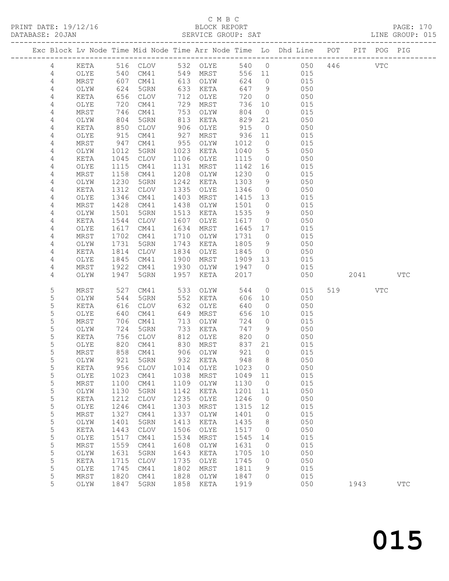### C M B C

| DATABASE: 20JAN |                |               |                   |                      |              | SERVICE GROUP: SAT     |            |                     |                                                                                |        |     | LINE GROUP: 015 |
|-----------------|----------------|---------------|-------------------|----------------------|--------------|------------------------|------------|---------------------|--------------------------------------------------------------------------------|--------|-----|-----------------|
|                 |                |               |                   |                      |              |                        |            |                     | Exc Block Lv Node Time Mid Node Time Arr Node Time Lo Dhd Line POT PIT POG PIG |        |     |                 |
|                 | 4              |               |                   |                      |              | KETA 516 CLOV 532 OLYE |            |                     | 540 0 050 446 VTC                                                              |        |     |                 |
|                 | 4              | OLYE          | 540               |                      |              | CM41 549 MRST          |            |                     | 556 11 015                                                                     |        |     |                 |
|                 | 4              | MRST          | 607<br>624<br>656 | CM41                 |              | 613 OLYW               | 624        | $\overline{0}$      | 015                                                                            |        |     |                 |
|                 | $\overline{4}$ | OLYW          |                   | 5GRN                 |              | 633 KETA               |            | 647 9               | 050                                                                            |        |     |                 |
|                 | 4              | KETA          |                   | CLOV                 |              | 712 OLYE               | 720        | $\overline{0}$      | 050                                                                            |        |     |                 |
|                 | 4              | OLYE          | 720               | CM41                 |              | 729 MRST               | 736        | 10                  | 015                                                                            |        |     |                 |
|                 | 4              | MRST          | 746               | CM41                 |              | 753 OLYW               | 804        | $\overline{0}$      | 015                                                                            |        |     |                 |
|                 | 4              | OLYW          | 746<br>804<br>850 | 5GRN                 |              | 813 KETA               | 829        | 21                  | 050                                                                            |        |     |                 |
|                 | 4              | KETA          |                   | CLOV                 | 906          | OLYE                   | 915        | $\overline{0}$      | 050                                                                            |        |     |                 |
|                 | 4              | OLYE          | 915               | CM41                 | 927          | MRST                   | 936 11     |                     | 015                                                                            |        |     |                 |
|                 | 4              | MRST          | 947               | CM41                 | 955          | OLYW                   | 1012       | $\overline{0}$      | 015                                                                            |        |     |                 |
|                 | 4              | OLYW          | 1012              | 5GRN                 | 1023         | KETA                   | 1040       | $5\overline{)}$     | 050                                                                            |        |     |                 |
|                 | 4              | KETA          | 1045              | CLOV                 | 1106         | OLYE                   | 1115       | $\overline{0}$      | 050                                                                            |        |     |                 |
|                 | 4              | OLYE          | 1115              | CM41                 | 1131         | MRST                   |            |                     | 015<br>1142 16                                                                 |        |     |                 |
|                 | 4              | MRST          | 1158              | CM41                 | 1208         | OLYW                   | 1230       | $\overline{0}$      | 015                                                                            |        |     |                 |
|                 | 4              | OLYW          | 1230              | 5GRN                 | 1242         | KETA                   | 1303       | 9                   | 050                                                                            |        |     |                 |
|                 | 4              | KETA          | 1312              | CLOV                 | 1335         | OLYE                   | 1346       | $\overline{0}$      | 050                                                                            |        |     |                 |
|                 | 4              | OLYE          | 1346              | CM41                 | 1403         | MRST                   | 1415 13    |                     | 015                                                                            |        |     |                 |
|                 | 4              | MRST          | 1428              | CM41                 | 1438         | OLYW                   | 1501       | $\overline{0}$      | 015                                                                            |        |     |                 |
|                 | 4              | OLYW          | 1501              | 5GRN                 | 1513         | KETA                   | 1535       | 9                   | 050                                                                            |        |     |                 |
|                 | 4              | KETA          | 1544              | CLOV                 | 1607         | OLYE                   | 1617       | $\overline{0}$      | 050                                                                            |        |     |                 |
|                 | 4              | OLYE          | 1617              | CM41                 | 1634         | MRST                   | 1645 17    |                     | 015                                                                            |        |     |                 |
|                 | 4              | MRST          | 1702              | CM41                 | 1710         | OLYW                   | 1731       | $\overline{0}$      | 015                                                                            |        |     |                 |
|                 | 4              | OLYW          | 1731              | 5GRN                 | 1743         | KETA                   | 1805       | 9                   | 050                                                                            |        |     |                 |
|                 | 4              | KETA          | 1814<br>1845      | CLOV                 | 1834         | OLYE                   | 1845       | $\overline{0}$      | 050<br>015                                                                     |        |     |                 |
|                 | 4              | OLYE          |                   | CM41                 | 1900         | MRST                   | 1909 13    |                     |                                                                                |        |     |                 |
|                 | 4<br>4         | MRST<br>OLYW  | 1922<br>1947      | CM41<br>5GRN         | 1930<br>1957 | OLYW 1947 0<br>KETA    | 2017       |                     | 015<br>050                                                                     | 2041 \ |     | <b>VTC</b>      |
|                 |                |               |                   |                      |              |                        |            |                     |                                                                                |        |     |                 |
|                 | 5              | MRST          | 527               | CM41                 |              | 533 OLYW               | 544        |                     | $\overline{0}$<br>015                                                          | 519    | VTC |                 |
|                 | 5              | OLYW          | 544               | 5GRN                 |              | 552 KETA               | 606        | 10                  | 050                                                                            |        |     |                 |
|                 | 5              | KETA          | 616               | CLOV                 | 632          | OLYE                   | 640        | $\overline{0}$      | 050                                                                            |        |     |                 |
|                 | 5              | OLYE          | 640               | CM41                 | 649          | MRST                   | 656        | 10                  | 015                                                                            |        |     |                 |
|                 | 5              | MRST          | 706               | CM41                 | 713          | OLYW                   | 724        | $\overline{0}$      | 015                                                                            |        |     |                 |
|                 | 5<br>5         | OLYW          | 724<br>756        | 5GRN                 | 733          | KETA                   | 747<br>820 | 9<br>$\overline{0}$ | 050<br>050                                                                     |        |     |                 |
|                 | 5              | KETA<br>OLYE  |                   | CLOV                 | 812          | OLYE<br>830 MRST       | 837        | 21                  | 015                                                                            |        |     |                 |
|                 | 5              | MRST          |                   | 820 CM41<br>858 CM41 |              | 906 OLYW               | 921        | $\overline{0}$      | 015                                                                            |        |     |                 |
|                 | 5              | OLYW          |                   | 921 5GRN             |              | 932 KETA               |            | 948 8               | 050                                                                            |        |     |                 |
|                 | 5              | KETA          | 956               | CLOV                 | 1014         | OLYE                   | 1023       | $\overline{0}$      | 050                                                                            |        |     |                 |
|                 | 5              | OLYE          | 1023              | CM41                 | 1038         | MRST                   | 1049 11    |                     | 015                                                                            |        |     |                 |
|                 | 5              | MRST          | 1100              | CM41                 | 1109         | OLYW                   | 1130       | $\overline{0}$      | 015                                                                            |        |     |                 |
|                 | 5              | OLYW          | 1130              | 5GRN                 | 1142         | KETA                   | 1201       | 11                  | 050                                                                            |        |     |                 |
|                 | 5              | KETA          | 1212              | <b>CLOV</b>          | 1235         | OLYE                   | 1246       | $\overline{0}$      | 050                                                                            |        |     |                 |
|                 | $\mathsf S$    | $\verb OLYE $ | 1246              | CM41                 | 1303         | MRST                   | 1315       | 12                  | 015                                                                            |        |     |                 |
|                 | $\mathsf S$    | MRST          | 1327              | CM41                 | 1337         | OLYW                   | 1401       | $\overline{0}$      | 015                                                                            |        |     |                 |
|                 | 5              | OLYW          | 1401              | 5GRN                 | 1413         | KETA                   | 1435       | 8                   | 050                                                                            |        |     |                 |
|                 | 5              | KETA          | 1443              | <b>CLOV</b>          | 1506         | OLYE                   | 1517       | $\overline{0}$      | 050                                                                            |        |     |                 |
|                 | 5              | OLYE          | 1517              | CM41                 | 1534         | MRST                   | 1545       | 14                  | 015                                                                            |        |     |                 |
|                 | $\mathsf S$    | MRST          | 1559              | CM41                 | 1608         | OLYW                   | 1631       | $\overline{0}$      | 015                                                                            |        |     |                 |
|                 | 5              | OLYW          | 1631              | 5GRN                 | 1643         | KETA                   | 1705       | 10                  | 050                                                                            |        |     |                 |
|                 | 5              | KETA          | 1715              | <b>CLOV</b>          | 1735         | OLYE                   | 1745       | $\overline{0}$      | 050                                                                            |        |     |                 |
|                 | 5              | OLYE          | 1745              | CM41                 | 1802         | MRST                   | 1811       | 9                   | 015                                                                            |        |     |                 |
|                 | 5              | MRST          | 1820              | CM41                 | 1828         | OLYW                   | 1847       | $\circ$             | 015                                                                            |        |     |                 |
|                 | 5              | OLYW          | 1847              | 5GRN                 | 1858         | KETA                   | 1919       |                     | 050                                                                            | 1943   |     | <b>VTC</b>      |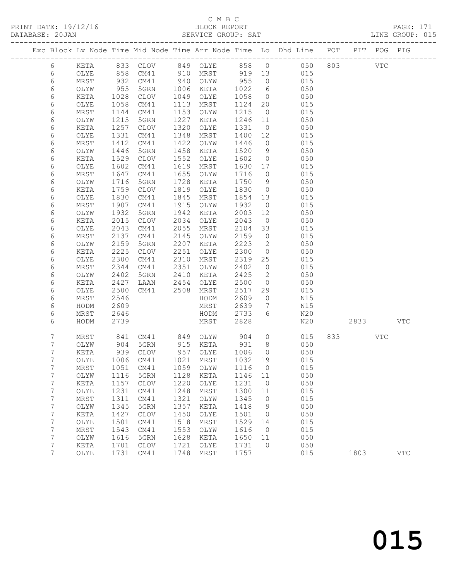### C M B C

| PRINT DATE: 19/12/16 | BLOCK REPORT       | <b>PAGE: 171</b> |  |
|----------------------|--------------------|------------------|--|
| DATABASE: 20JAN      | SERVICE GROUP: SAT | LINE GROUP: 015  |  |

|  |                  |              |              |                            |              |                   |      |              |                          | Exc Block Lv Node Time Mid Node Time Arr Node Time Lo Dhd Line POT PIT POG PIG |         |     |              |
|--|------------------|--------------|--------------|----------------------------|--------------|-------------------|------|--------------|--------------------------|--------------------------------------------------------------------------------|---------|-----|--------------|
|  | 6                | KETA         |              |                            |              |                   |      |              |                          | 833 CLOV 849 OLYE 858 0 050                                                    | 803 VTC |     |              |
|  | 6                | OLYE         | 858          | CM41                       |              | 910 MRST 919 13   |      |              |                          | 015                                                                            |         |     |              |
|  | 6                | MRST         | 932          | CM41                       |              | 940 OLYW          | 955  |              | $\overline{0}$           | 015                                                                            |         |     |              |
|  | 6                | OLYW         | 955          | 5GRN                       | 1006         | KETA              |      | 1022         | $6\overline{6}$          | 050                                                                            |         |     |              |
|  | 6                | KETA         | 1028         | CLOV                       | 1049         | OLYE              |      | 1058         | $\overline{0}$           | 050                                                                            |         |     |              |
|  | 6                | OLYE         | 1058         | CM41                       | 1113         | MRST              |      | 1124         | 20                       | 015                                                                            |         |     |              |
|  | 6                | MRST         | 1144         | CM41                       | 1153         | OLYW              |      | 1215         | $\overline{0}$           | 015                                                                            |         |     |              |
|  | 6                | OLYW         | 1215         | 5GRN                       | 1227         | KETA              |      | 1246         | 11                       | 050                                                                            |         |     |              |
|  | 6                | KETA         | 1257         | CLOV                       | 1320         | OLYE              |      | 1331         | $\overline{0}$           | 050                                                                            |         |     |              |
|  | 6                | OLYE         | 1331         | CM41                       | 1348         | MRST              |      | 1400         | 12                       | 015                                                                            |         |     |              |
|  | 6                | MRST         | 1412         | CM41                       | 1422         | OLYW              |      | 1446         | $\overline{0}$           | 015                                                                            |         |     |              |
|  | 6                | OLYW         | 1446         | 5GRN                       | 1458         | KETA              |      | 1520         | 9                        | 050                                                                            |         |     |              |
|  | 6<br>6           | KETA<br>OLYE | 1529<br>1602 | CLOV<br>CM41               | 1552<br>1619 | OLYE<br>MRST      |      | 1602<br>1630 | $\overline{0}$<br>17     | 050<br>015                                                                     |         |     |              |
|  | 6                | MRST         | 1647         | CM41                       | 1655         | OLYW              |      | 1716         | $\overline{0}$           | 015                                                                            |         |     |              |
|  | 6                | OLYW         | 1716         | 5GRN                       | 1728         | KETA              |      | 1750         | 9                        | 050                                                                            |         |     |              |
|  | 6                | KETA         | 1759         | CLOV                       | 1819         | OLYE              |      | 1830         | $\overline{0}$           | 050                                                                            |         |     |              |
|  | 6                | OLYE         | 1830         | CM41                       | 1845         | MRST              |      | 1854         | 13                       | 015                                                                            |         |     |              |
|  | 6                | MRST         | 1907         | CM41                       | 1915         | OLYW              |      | 1932         | $\overline{0}$           | 015                                                                            |         |     |              |
|  | 6                | OLYW         | 1932         | 5GRN                       | 1942         | KETA              |      | 2003         | 12                       | 050                                                                            |         |     |              |
|  | 6                | KETA         | 2015         | CLOV                       | 2034         | OLYE              |      | 2043         | $\overline{0}$           | 050                                                                            |         |     |              |
|  | 6                | OLYE         | 2043         | CM41                       | 2055         | MRST              |      | 2104         | 33                       | 015                                                                            |         |     |              |
|  | 6                | MRST         | 2137         | CM41                       | 2145         | OLYW              |      | 2159         | $\overline{0}$           | 015                                                                            |         |     |              |
|  | 6                | OLYW         | 2159         | 5GRN                       | 2207         | KETA              |      | 2223         | $\overline{\phantom{a}}$ | 050                                                                            |         |     |              |
|  | 6                | KETA         | 2225         | CLOV                       | 2251         | OLYE              |      | 2300         | $\overline{0}$           | 050                                                                            |         |     |              |
|  | 6                | OLYE         | 2300         | CM41                       | 2310         | MRST              |      | 2319         | 25                       | 015                                                                            |         |     |              |
|  | 6                | MRST         | 2344         | CM41                       | 2351         | OLYW              |      | 2402         | $\overline{0}$           | 015                                                                            |         |     |              |
|  | 6                | OLYW         | 2402         | 5GRN                       | 2410         | KETA              |      | 2425         | $\overline{\phantom{a}}$ | 050                                                                            |         |     |              |
|  | 6                | KETA         | 2427         | LAAN                       | 2454         | OLYE              |      | 2500         | $\overline{0}$           | 050                                                                            |         |     |              |
|  | 6<br>6           | OLYE<br>MRST | 2500<br>2546 | CM41                       |              | 2508 MRST<br>HODM |      | 2517<br>2609 | 29<br>$\overline{0}$     | 015<br>N15                                                                     |         |     |              |
|  | 6                | HODM         | 2609         |                            |              | MRST              |      | 2639         | $\overline{7}$           | N15                                                                            |         |     |              |
|  | 6                | MRST         | 2646         |                            |              | HODM              |      | 2733         | 6                        | N20                                                                            |         |     |              |
|  | 6                | HODM         | 2739         |                            |              | MRST              |      | 2828         |                          | N20                                                                            | 2833    |     | <b>VTC</b>   |
|  |                  |              |              |                            |              |                   |      |              |                          |                                                                                |         |     |              |
|  | 7                | MRST         | 841          | CM41 849 OLYW              |              |                   | 904  |              | $\overline{0}$           | 015                                                                            |         | VTC |              |
|  | 7                | OLYW         | 904          | 5GRN                       |              | 915 KETA          | 931  |              | 8 <sup>8</sup>           | 050                                                                            |         |     |              |
|  | 7                | KETA         | 939          | CLOV                       |              | 957 OLYE          | 1006 |              | $\overline{0}$           | 050                                                                            |         |     |              |
|  | 7                | OLYE         | 1006         | CM41                       | 1021         | MRST              |      | 1032 19      |                          | 015                                                                            |         |     |              |
|  | 7                | MRST         |              | 1051 CM41 1059 OLYW 1116 0 |              |                   |      |              |                          | 015                                                                            |         |     |              |
|  | 7                | OLYW         | 1116         | 5GRN                       | 1128         | KETA              |      | 1146         | 11                       | 050                                                                            |         |     |              |
|  | 7                | KETA         | 1157         | CLOV                       | 1220         | OLYE              |      | 1231         | $\overline{0}$           | 050                                                                            |         |     |              |
|  | $\boldsymbol{7}$ | OLYE         | 1231         | CM41                       | 1248         | MRST              |      | 1300         | 11                       | 015                                                                            |         |     |              |
|  | 7                | MRST         | 1311         | CM41                       | 1321         | OLYW              |      | 1345         | $\overline{0}$           | 015                                                                            |         |     |              |
|  | 7<br>7           | OLYW<br>KETA | 1345<br>1427 | 5GRN<br>CLOV               | 1357<br>1450 | KETA<br>OLYE      |      | 1418<br>1501 | 9<br>$\overline{0}$      | 050<br>050                                                                     |         |     |              |
|  | $\overline{7}$   | OLYE         | 1501         | CM41                       | 1518         | MRST              |      | 1529         | 14                       | 015                                                                            |         |     |              |
|  | 7                | MRST         | 1543         | CM41                       | 1553         | OLYW              |      | 1616         | $\overline{0}$           | 015                                                                            |         |     |              |
|  | 7                | OLYW         | 1616         | 5GRN                       | 1628         | KETA              |      | 1650         | 11                       | 050                                                                            |         |     |              |
|  | 7                | KETA         | 1701         | CLOV                       | 1721         | OLYE              |      | 1731         | $\circ$                  | 050                                                                            |         |     |              |
|  | 7                | OLYE         | 1731         | CM41                       | 1748         | MRST              |      | 1757         |                          | 015                                                                            | 1803    |     | $_{\rm VTC}$ |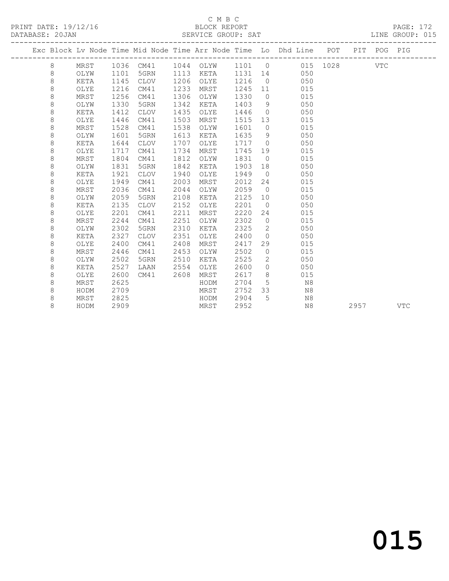#### C M B C<br>BLOCK REPORT SERVICE GROUP: SAT

|  |         |      |      |             |      |           |         |                | Exc Block Lv Node Time Mid Node Time Arr Node Time Lo Dhd Line POT |      | PIT POG PIG |            |
|--|---------|------|------|-------------|------|-----------|---------|----------------|--------------------------------------------------------------------|------|-------------|------------|
|  | 8       |      |      |             |      |           |         |                | MRST 1036 CM41 1044 OLYW 1101 0 015 1028                           |      | VTC         |            |
|  | 8       | OLYW | 1101 | 5GRN        |      | 1113 KETA | 1131 14 |                | 050                                                                |      |             |            |
|  | 8       | KETA | 1145 | CLOV        | 1206 | OLYE      | 1216    | $\overline{0}$ | 050                                                                |      |             |            |
|  | $\,8\,$ | OLYE | 1216 | CM41        | 1233 | MRST      | 1245    | 11             | 015                                                                |      |             |            |
|  | 8       | MRST | 1256 | CM41        | 1306 | OLYW      | 1330    |                | 015<br>$\overline{0}$                                              |      |             |            |
|  | 8       | OLYW | 1330 | 5GRN        | 1342 | KETA      | 1403    | 9              | 050                                                                |      |             |            |
|  | 8       | KETA | 1412 | CLOV        | 1435 | OLYE      | 1446    | $\overline{0}$ | 050                                                                |      |             |            |
|  | 8       | OLYE | 1446 | CM41        | 1503 | MRST      | 1515    | 13             | 015                                                                |      |             |            |
|  | $\,8\,$ | MRST | 1528 | CM41        | 1538 | OLYW      | 1601    | $\overline{0}$ | 015                                                                |      |             |            |
|  | $\,8\,$ | OLYW | 1601 | 5GRN        | 1613 | KETA      | 1635    | 9              | 050                                                                |      |             |            |
|  | 8       | KETA | 1644 | CLOV        | 1707 | OLYE      | 1717    | $\overline{0}$ | 050                                                                |      |             |            |
|  | 8       | OLYE | 1717 | CM41        | 1734 | MRST      | 1745    | 19             | 015                                                                |      |             |            |
|  | 8       | MRST | 1804 | CM41        | 1812 | OLYW      | 1831    | $\overline{0}$ | 015                                                                |      |             |            |
|  | 8       | OLYW | 1831 | 5GRN        | 1842 | KETA      | 1903    | 18             | 050                                                                |      |             |            |
|  | 8       | KETA | 1921 | CLOV        | 1940 | OLYE      | 1949    | $\overline{0}$ | 050                                                                |      |             |            |
|  | 8       | OLYE | 1949 | CM41        | 2003 | MRST      | 2012    | 24             | 015                                                                |      |             |            |
|  | 8       | MRST | 2036 | CM41        | 2044 | OLYW      | 2059    | $\overline{0}$ | 015                                                                |      |             |            |
|  | 8       | OLYW | 2059 | 5GRN        | 2108 | KETA      | 2125    | 10             | 050                                                                |      |             |            |
|  | $\,8\,$ | KETA | 2135 | <b>CLOV</b> | 2152 | OLYE      | 2201    | $\overline{0}$ | 050                                                                |      |             |            |
|  | 8       | OLYE | 2201 | CM41        | 2211 | MRST      | 2220    | 24             | 015                                                                |      |             |            |
|  | $\,8\,$ | MRST | 2244 | CM41        | 2251 | OLYW      | 2302    | $\overline{0}$ | 015                                                                |      |             |            |
|  | 8       | OLYW | 2302 | 5GRN        | 2310 | KETA      | 2325    | $\overline{2}$ | 050                                                                |      |             |            |
|  | 8       | KETA | 2327 | CLOV        | 2351 | OLYE      | 2400    | $\overline{0}$ | 050                                                                |      |             |            |
|  | 8       | OLYE | 2400 | CM41        | 2408 | MRST      | 2417    | 29             | 015                                                                |      |             |            |
|  | 8       | MRST | 2446 | CM41        | 2453 | OLYW      | 2502    | $\overline{0}$ | 015                                                                |      |             |            |
|  | 8       | OLYW | 2502 | 5GRN        | 2510 | KETA      | 2525    | 2              | 050                                                                |      |             |            |
|  | 8       | KETA | 2527 | LAAN        | 2554 | OLYE      | 2600    | $\Omega$       | 050                                                                |      |             |            |
|  | 8       | OLYE | 2600 | CM41        | 2608 | MRST      | 2617    | 8 <sup>8</sup> | 015                                                                |      |             |            |
|  | 8       | MRST | 2625 |             |      | HODM      | 2704    | 5 <sup>5</sup> | N8                                                                 |      |             |            |
|  | 8       | HODM | 2709 |             |      | MRST      | 2752    | 33             | N8                                                                 |      |             |            |
|  | 8       | MRST | 2825 |             |      | HODM      | 2904    | 5              | N8                                                                 |      |             |            |
|  | 8       | HODM | 2909 |             |      | MRST      | 2952    |                | N8                                                                 | 2957 |             | <b>VTC</b> |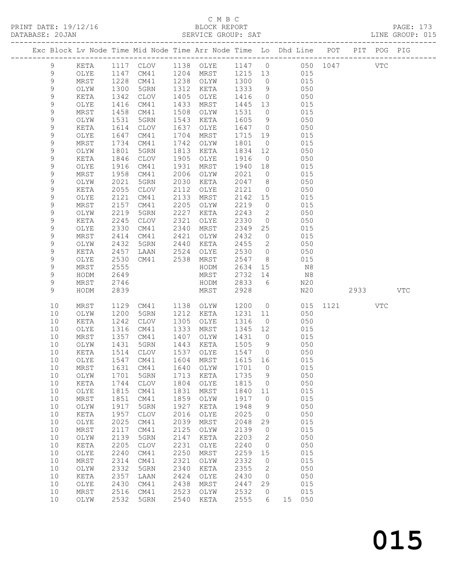#### C M B C<br>BLOCK REPORT

PRINT DATE: 19/12/16 BLOCK REPORT PAGE: 173 SERVICE GROUP: SAT

|               |              |              |                                 |              |                   |                 |                     | Exc Block Lv Node Time Mid Node Time Arr Node Time Lo Dhd Line POT |      | PIT POG PIG |            |
|---------------|--------------|--------------|---------------------------------|--------------|-------------------|-----------------|---------------------|--------------------------------------------------------------------|------|-------------|------------|
| 9             | KETA         |              |                                 |              |                   |                 |                     | 1117 CLOV 1138 OLYE 1147 0 050 1047                                |      | <b>VTC</b>  |            |
| $\mathcal{G}$ | OLYE         |              | 1147 CM41                       |              | 1204 MRST 1215 13 |                 |                     | 015                                                                |      |             |            |
| 9             | MRST         | 1228         | CM41                            |              | 1238 OLYW         | 1300            | $\overline{0}$      | 015                                                                |      |             |            |
| 9             | OLYW         | 1300         | 5GRN                            | 1312         | KETA              | 1333            | 9                   | 050                                                                |      |             |            |
| 9             | KETA         | 1342         | CLOV                            | 1405         | OLYE              | 1416            | $\overline{0}$      | 050                                                                |      |             |            |
| 9             | OLYE         | 1416         | CM41                            | 1433         | MRST              | 1445            | 13                  | 015                                                                |      |             |            |
| 9             | MRST         | 1458         | CM41                            | 1508         | OLYW              | 1531            | $\overline{0}$      | 015                                                                |      |             |            |
| 9             | OLYW         | 1531         | 5GRN                            | 1543         | KETA              | 1605            | 9                   | 050                                                                |      |             |            |
| $\mathsf 9$   | KETA         | 1614         | CLOV                            | 1637         | OLYE              | 1647            | $\overline{0}$      | 050                                                                |      |             |            |
| $\mathsf 9$   | OLYE         | 1647         | CM41                            | 1704         | MRST              | 1715            | 19                  | 015                                                                |      |             |            |
| 9             | MRST         | 1734         | CM41                            | 1742         | OLYW              | 1801            | $\overline{0}$      | 015                                                                |      |             |            |
| 9             | OLYW         | 1801         | 5GRN                            | 1813         | KETA              | 1834            | 12                  | 050                                                                |      |             |            |
| 9             | KETA         | 1846         | CLOV                            | 1905         | OLYE              | 1916            | $\overline{0}$      | 050                                                                |      |             |            |
| $\mathsf 9$   | OLYE         | 1916         | CM41                            | 1931         | MRST              | 1940            | 18                  | 015                                                                |      |             |            |
| 9             | MRST         | 1958         | CM41                            | 2006         | OLYW              | 2021            | $\overline{0}$      | 015                                                                |      |             |            |
| 9             | OLYW         | 2021         | 5GRN                            | 2030         | KETA              | 2047            | 8 <sup>8</sup>      | 050                                                                |      |             |            |
| 9             | KETA         | 2055         | CLOV                            | 2112         | OLYE              | 2121            | $\overline{0}$      | 050                                                                |      |             |            |
| 9             | OLYE         | 2121         | CM41                            | 2133         | MRST              | 2142            | 15                  | 015                                                                |      |             |            |
| 9             | MRST         | 2157         | CM41                            | 2205         | OLYW              | 2219            | $\overline{0}$      | 015                                                                |      |             |            |
| 9             | OLYW         | 2219         | 5GRN                            | 2227         | KETA              | 2243            | $\overline{2}$      | 050                                                                |      |             |            |
| 9             | KETA         | 2245         | CLOV                            | 2321         | OLYE              | 2330            | $\overline{0}$      | 050                                                                |      |             |            |
| 9             | OLYE         | 2330         | CM41                            | 2340         | MRST              | 2349            | 25                  | 015                                                                |      |             |            |
| 9             | MRST         | 2414         | CM41                            | 2421         | OLYW              | 2432            | $\circ$             | 015                                                                |      |             |            |
| 9<br>9        | OLYW         | 2432         | 5GRN                            | 2440         | KETA              | 2455            | 2<br>$\overline{0}$ | 050<br>050                                                         |      |             |            |
| 9             | KETA<br>OLYE | 2457<br>2530 | LAAN<br>CM41                    | 2524<br>2538 | OLYE<br>MRST      | 2530<br>2547    | 8 <sup>8</sup>      | 015                                                                |      |             |            |
| $\mathsf 9$   | MRST         | 2555         |                                 |              | HODM              | 2634            | 15                  | N8                                                                 |      |             |            |
| 9             | HODM         | 2649         |                                 |              | MRST              | 2732            | 14                  | N8                                                                 |      |             |            |
| 9             | MRST         | 2746         |                                 |              | HODM              | 2833            | 6                   | N20                                                                |      |             |            |
| 9             | HODM         | 2839         |                                 |              | MRST              | 2928            |                     | N20                                                                |      |             | <b>VTC</b> |
|               |              |              |                                 |              |                   |                 |                     |                                                                    |      |             |            |
| 10            | MRST         | 1129         | CM41                            | 1138         | OLYW              | 1200            | $\circ$             | 015                                                                | 1121 | <b>VTC</b>  |            |
| 10            | OLYW         | 1200         | 5GRN                            | 1212         | KETA              | 1231            | 11                  | 050                                                                |      |             |            |
| 10            | KETA         | 1242         | CLOV                            | 1305         | OLYE              | 1316            | $\overline{0}$      | 050                                                                |      |             |            |
| 10            | OLYE         | 1316         | CM41                            | 1333         | MRST              | 1345            | 12                  | 015                                                                |      |             |            |
| 10            | MRST         | 1357         | CM41                            | 1407         | OLYW              | 1431            | $\overline{0}$      | 015                                                                |      |             |            |
| 10            | OLYW         | 1431         | 5GRN                            | 1443         | KETA              | 1505            | 9                   | 050                                                                |      |             |            |
| 10<br>10      | KETA<br>OLYE | 1514<br>1547 | CLOV<br>CM41                    | 1537         | OLYE<br>1604 MRST | 1547<br>1615 16 | $\overline{0}$      | 050<br>015                                                         |      |             |            |
| $10$          |              |              | MRST 1631 CM41 1640 OLYW 1701 0 |              |                   |                 |                     | 015                                                                |      |             |            |
| 10            | OLYW         | 1701         | 5GRN                            | 1713         | KETA              | 1735            | 9                   | 050                                                                |      |             |            |
| 10            | KETA         | 1744         | <b>CLOV</b>                     | 1804         | OLYE              | 1815            | $\circ$             | 050                                                                |      |             |            |
| 10            | OLYE         | 1815         | CM41                            | 1831         | MRST              | 1840            | 11                  | 015                                                                |      |             |            |
| 10            | MRST         | 1851         | CM41                            | 1859         | OLYW              | 1917            | $\circ$             | 015                                                                |      |             |            |
| 10            | OLYW         | 1917         | 5GRN                            | 1927         | KETA              | 1948            | 9                   | 050                                                                |      |             |            |
| 10            | KETA         | 1957         | <b>CLOV</b>                     | 2016         | OLYE              | 2025            | 0                   | 050                                                                |      |             |            |
| 10            | OLYE         | 2025         | CM41                            | 2039         | MRST              | 2048            | 29                  | 015                                                                |      |             |            |
| 10            | MRST         | 2117         | CM41                            | 2125         | OLYW              | 2139            | $\circ$             | 015                                                                |      |             |            |
| 10            | OLYW         | 2139         | 5GRN                            | 2147         | KETA              | 2203            | 2                   | 050                                                                |      |             |            |
| 10            | KETA         | 2205         | <b>CLOV</b>                     | 2231         | OLYE              | 2240            | $\circ$             | 050                                                                |      |             |            |
| 10            | OLYE         | 2240         | CM41                            | 2250         | MRST              | 2259            | 15                  | 015                                                                |      |             |            |
| $10$          | MRST         | 2314         | CM41                            | 2321         | OLYW              | 2332            | $\circ$             | 015                                                                |      |             |            |
| 10            | OLYW         | 2332         | 5GRN                            | 2340         | KETA              | 2355            | 2                   | 050                                                                |      |             |            |
| 10            | KETA         | 2357         | LAAN                            | 2424         | OLYE              | 2430            | $\mathbf{0}$        | 050                                                                |      |             |            |
| 10            | OLYE         | 2430         | CM41                            | 2438         | MRST              | 2447            | 29                  | 015                                                                |      |             |            |
| 10            | MRST         | 2516         | CM41                            | 2523         | OLYW              | 2532            | $\circ$             | 015                                                                |      |             |            |
| 10            | OLYW         | 2532         | 5GRN                            | 2540         | KETA              | 2555            | 6                   | 15 050                                                             |      |             |            |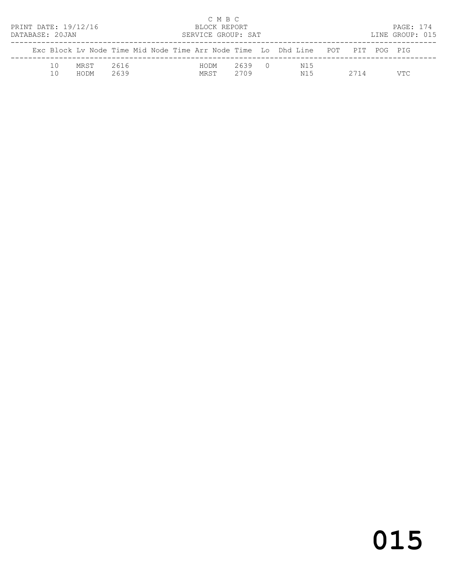| PRINT DATE: 19/12/16<br>DATABASE: 20JAN |           |              |              |  |              | C M B C<br>BLOCK REPORT<br>SERVICE GROUP: SAT |                                                                                |      | PAGE: 174<br>LINE GROUP: 015 |  |
|-----------------------------------------|-----------|--------------|--------------|--|--------------|-----------------------------------------------|--------------------------------------------------------------------------------|------|------------------------------|--|
|                                         |           |              |              |  |              |                                               | Exc Block Ly Node Time Mid Node Time Arr Node Time Lo Dhd Line POT PIT POG PIG |      |                              |  |
|                                         | 10<br>1 N | MRST<br>HODM | 2616<br>2639 |  | HODM<br>MRST | 2639 0<br>2709                                | N15<br>N15                                                                     | 2714 | VTC.                         |  |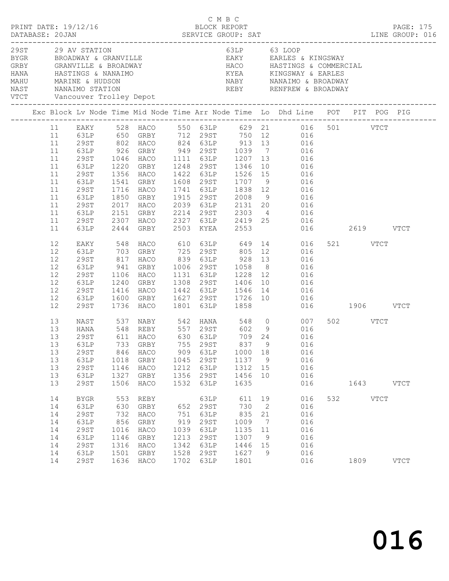|  | DATABASE: 20JAN                                                |                                                                                                  |                                                          | $\begin{array}{cccc}\n\texttt{CRINT} & \texttt{DATE: } 19/12/16 \\ \texttt{PRINT} & \texttt{DATE: } 19/12/16 \\ \end{array}$ |                                                           | C M B C                                                              |                                                                      |                                                                |                                                                                                                                                                                                                                                                                                                                                                                                                |                  |           | PAGE: 175<br>DESCRIPTION DESCRIPTION DESCRIPTION DESCRIPTION DESCRIPTION DESCRIPTION DESCRIPTIONS DESCRIPTIONS DESCRIPTIONS<br>DATABASE: 20JAN DESCRIPTION DESCRIPTION DESCRIPTIONS DESCRIPTIONS DESCRIPTIONS DESCRIPTIONS DESCRIPTIONS DESCRI |
|--|----------------------------------------------------------------|--------------------------------------------------------------------------------------------------|----------------------------------------------------------|------------------------------------------------------------------------------------------------------------------------------|-----------------------------------------------------------|----------------------------------------------------------------------|----------------------------------------------------------------------|----------------------------------------------------------------|----------------------------------------------------------------------------------------------------------------------------------------------------------------------------------------------------------------------------------------------------------------------------------------------------------------------------------------------------------------------------------------------------------------|------------------|-----------|------------------------------------------------------------------------------------------------------------------------------------------------------------------------------------------------------------------------------------------------|
|  |                                                                | 29ST 29 AV STATION                                                                               |                                                          |                                                                                                                              |                                                           |                                                                      |                                                                      |                                                                | 63LP 63 LOOP                                                                                                                                                                                                                                                                                                                                                                                                   |                  |           |                                                                                                                                                                                                                                                |
|  |                                                                |                                                                                                  |                                                          |                                                                                                                              |                                                           |                                                                      |                                                                      |                                                                | Exc Block Lv Node Time Mid Node Time Arr Node Time Lo Dhd Line POT PIT POG PIG                                                                                                                                                                                                                                                                                                                                 |                  |           |                                                                                                                                                                                                                                                |
|  | 11<br>11<br>11<br>11<br>11<br>11<br>11<br>11<br>11<br>11<br>11 | 29ST<br>63LP<br>29ST<br>63LP<br>29ST<br>63LP<br>29ST<br>63LP<br>29ST<br>63LP                     | 1716<br>1850<br>2017<br>2151<br>2307<br>2444             | 1541 GRBY<br>HACO<br>GRBY<br>2017 HACO<br>GRBY<br>HACO<br>GRBY                                                               |                                                           | 2503 KYEA                                                            | 1608 29ST 1707 9<br>1741 63LP 1838 12<br>2553                        |                                                                | 11 EAKY 528 HACO 550 63LP 629 21 016 501 VTCT<br>11 63LP 650 GRBY 712 29ST 750 12 016<br>11 29ST 802 HACO 824 63LP 913 13 016<br>63LP 926 GRBY 949 29ST 1039 7 016<br>1046 HACO 1111 63LP 1207 13 016<br>1220 GRBY 1248 29ST 1346 10 016<br>1356 HACO 1422 63LP 1526 15 016<br>016<br>016<br>1915 29ST 2008 9 016<br>2039 63LP 2131 20 016<br>2214 29ST 2303 4 016<br>2327 63LP 2419 25 016<br>016  2619  VTCT |                  |           |                                                                                                                                                                                                                                                |
|  | 12<br>12<br>12<br>12<br>12<br>12<br>12<br>12<br>12             | EAKY<br>63LP<br>29ST<br>63LP<br>29ST<br>63LP<br>29ST<br>63LP<br>29ST                             | 1106<br>1416                                             | 1240 GRBY<br>HACO<br>1600 GRBY<br>1736 HACO                                                                                  |                                                           |                                                                      |                                                                      |                                                                | 548 HACO 610 63LP 649 14 016<br>HACO 839 63LP 928 13 016<br>GRBY 1006 29ST 1058 8 016<br>HACO 1131 63LP 1228 12 016<br>1308 29ST 1406 10 016<br>1442 63LP 1546 14 016<br>1627 29ST 1726 10 016<br>1801 63LP 1858 016<br>016<br>016 1906 VTCT                                                                                                                                                                   | 521 VTCT         |           |                                                                                                                                                                                                                                                |
|  | 13<br>13<br>13<br>13<br>13<br>13<br>13<br>13                   | NAST<br>HANA<br>29ST<br>29ST<br>63LP<br>29ST<br>63LP<br><b>29ST</b>                              | 846<br>1018<br>1146<br>1327<br>1506                      | HACO<br>GRBY<br>HACO<br>GRBY<br>HACO                                                                                         | 909<br>1045<br>1212<br>1356<br>1532                       | 63LP<br>29ST<br>63LP<br>29ST<br>63LP                                 | 1000<br>1137 9<br>1312<br>1456<br>1635                               | 18<br>15<br>10                                                 | 537 NABY 542 HANA 548 0 007<br>13 63LP 733 GRBY 755 29ST 837 9 016<br>016<br>016<br>016<br>016<br>016                                                                                                                                                                                                                                                                                                          | 502 VTCT         | 1643 VTCT |                                                                                                                                                                                                                                                |
|  | 14<br>14<br>14<br>14<br>14<br>14<br>14<br>14<br>14             | <b>BYGR</b><br>63LP<br>29ST<br>63LP<br><b>29ST</b><br>63LP<br><b>29ST</b><br>63LP<br><b>29ST</b> | 553<br>630<br>732<br>856<br>1016<br>1146<br>1316<br>1501 | REBY<br>GRBY<br>HACO<br>GRBY<br>HACO<br>GRBY<br>HACO<br>GRBY<br>1636 HACO                                                    | 652<br>751<br>919<br>1039<br>1213<br>1342<br>1528<br>1702 | 63LP<br>29ST<br>63LP<br>29ST<br>63LP<br>29ST<br>63LP<br>29ST<br>63LP | 611 19<br>730<br>835<br>1009<br>1135<br>1307<br>1446<br>1627<br>1801 | $\overline{2}$<br>21<br>$\overline{7}$<br>11<br>9<br>15<br>- 9 | 016<br>016<br>016<br>016<br>016<br>016<br>016<br>016<br>016                                                                                                                                                                                                                                                                                                                                                    | 532 VTCT<br>1809 |           | <b>VTCT</b>                                                                                                                                                                                                                                    |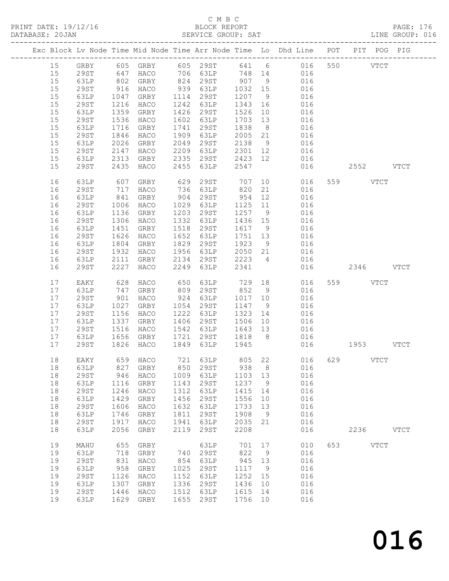#### C M B C<br>BLOCK REPORT SERVICE GROUP: SAT

|  |    |             |              |           |      |                  |         |                | Exc Block Lv Node Time Mid Node Time Arr Node Time Lo Dhd Line POT PIT POG PIG                 |           |             |             |
|--|----|-------------|--------------|-----------|------|------------------|---------|----------------|------------------------------------------------------------------------------------------------|-----------|-------------|-------------|
|  | 15 |             |              |           |      |                  |         |                | GRBY 605 GRBY 605 29ST 641 6    016 550    VTCT<br>29ST   647 HACO   706 63LP   748 14     016 |           |             |             |
|  | 15 |             |              |           |      |                  |         |                |                                                                                                |           |             |             |
|  | 15 | 63LP        | 802          | GRBY      |      | $824$ 29ST 907 9 |         |                | 016                                                                                            |           |             |             |
|  | 15 | 29ST        | 916          | HACO      |      | 939 63LP         | 1032 15 |                | 016                                                                                            |           |             |             |
|  | 15 | 63LP        |              | GRBY      |      | 1114 29ST        | 1207    | 9              | 016                                                                                            |           |             |             |
|  | 15 | 29ST        | 1047<br>1216 | HACO      |      | 1242 63LP        | 1343 16 |                | 016                                                                                            |           |             |             |
|  | 15 | 63LP        | 1359         | GRBY      | 1426 | 29ST             | 1526    | 10             | 016                                                                                            |           |             |             |
|  | 15 | 29ST        | 1536         | HACO      |      | 1602 63LP        | 1703    | 13             | 016                                                                                            |           |             |             |
|  | 15 | 63LP        | 1716         | GRBY      | 1741 | 29ST             | 1838    | 8 <sup>8</sup> | 016                                                                                            |           |             |             |
|  | 15 | 29ST        | 1846         | HACO      | 1909 | 63LP             | 2005 21 |                | 016                                                                                            |           |             |             |
|  | 15 | 63LP        | 2026         | GRBY      | 2049 | 29ST             | 2138    | 9              | 016                                                                                            |           |             |             |
|  | 15 | 29ST        | 2147         | HACO      | 2209 | 63LP             | 2301 12 |                | 016                                                                                            |           |             |             |
|  | 15 | 63LP        | 2313         | GRBY      | 2335 | 29ST             | 2423 12 |                | 016                                                                                            |           |             |             |
|  | 15 | <b>29ST</b> | 2435         | HACO      | 2455 | 63LP             | 2547    |                | 016                                                                                            | 2552 VTCT |             |             |
|  |    |             |              |           |      |                  |         |                |                                                                                                |           |             |             |
|  | 16 | 63LP        | 607          | GRBY      | 629  | 29ST             | 707     |                | 10<br>016                                                                                      | 559 VTCT  |             |             |
|  | 16 | 29ST        | 717          | HACO      |      | 736 63LP         | 820     | 21             | 016                                                                                            |           |             |             |
|  | 16 | 63LP        | 841          | GRBY      | 904  | 29ST             | 954     | 12             | 016                                                                                            |           |             |             |
|  | 16 | 29ST        | 1006         | HACO      | 1029 | 63LP             | 1125 11 |                | 016                                                                                            |           |             |             |
|  | 16 | 63LP        | 1136         | GRBY      | 1203 | 29ST             | 1257    | 9              | 016                                                                                            |           |             |             |
|  | 16 | 29ST        | 1306         | HACO      | 1332 | 63LP             | 1436 15 |                | 016                                                                                            |           |             |             |
|  | 16 | 63LP        | 1451         | GRBY      | 1518 | 29ST             | 1617 9  |                |                                                                                                |           |             |             |
|  | 16 | 29ST        | 1626         | HACO      | 1652 | 63LP             | 1751 13 |                | $\begin{array}{c} 016 \\ 016 \end{array}$                                                      |           |             |             |
|  | 16 | 63LP        | 1804         | GRBY      | 1829 | 29ST             | 1923    | 9              | 016                                                                                            |           |             |             |
|  | 16 | 29ST        | 1932         | HACO      | 1956 | 63LP             | 2050 21 |                | 016                                                                                            |           |             |             |
|  | 16 | 63LP        | 2111         | GRBY      | 2134 | 29ST             | 2223 4  |                | 016                                                                                            |           |             |             |
|  | 16 | <b>29ST</b> | 2227         | HACO      | 2249 | 63LP             | 2341    |                | 016                                                                                            |           | 2346 VTCT   |             |
|  |    |             |              |           |      |                  |         |                |                                                                                                |           |             |             |
|  | 17 | EAKY        | 628          | HACO      | 650  | 63LP             |         |                | 729 18<br>016                                                                                  | 559 VTCT  |             |             |
|  | 17 | 63LP        | 747          | GRBY      | 809  | 29ST             | 852     | 9              | 016                                                                                            |           |             |             |
|  | 17 | <b>29ST</b> | 901          | HACO      | 924  | 63LP             | 1017 10 |                | 016                                                                                            |           |             |             |
|  | 17 | 63LP        | 1027         | GRBY      | 1054 | 29ST             | 1147    | 9              | 016                                                                                            |           |             |             |
|  | 17 | 29ST        | 1156         | HACO      |      | 1222 63LP        | 1323    | 14             | 016                                                                                            |           |             |             |
|  | 17 | 63LP        | 1337         | GRBY      | 1406 | 29ST             | 1506    | 10             | 016                                                                                            |           |             |             |
|  | 17 | 29ST        | 1516         | HACO      |      | 1542 63LP        | 1643 13 |                | 016                                                                                            |           |             |             |
|  | 17 | 63LP        | 1656         | GRBY      |      | 1721 29ST        | 1818 8  |                | 016                                                                                            |           |             |             |
|  | 17 | 29ST        | 1826         | HACO      | 1849 | 63LP             | 1945    |                | 016 1953 VTCT                                                                                  |           |             |             |
|  | 18 | EAKY        |              | 659 HACO  |      |                  |         |                | 721 63LP 805 22 016                                                                            | 629 VTCT  |             |             |
|  |    |             |              |           |      |                  |         |                | 18 63LP 827 GRBY 850 29ST 938 8 016                                                            |           |             |             |
|  | 18 | 29ST        | 946          | HACO      | 1009 | 63LP             | 1103 13 |                | 016                                                                                            |           |             |             |
|  | 18 | 63LP        | 1116         | GRBY      | 1143 | 29ST             | 1237    | 9              | 016                                                                                            |           |             |             |
|  | 18 | <b>29ST</b> | 1246         | HACO      | 1312 | 63LP             | 1415    | 14             | 016                                                                                            |           |             |             |
|  | 18 | 63LP        | 1429         | GRBY      | 1456 | 29ST             | 1556    | 10             | 016                                                                                            |           |             |             |
|  | 18 | 29ST        | 1606         | HACO      | 1632 | 63LP             | 1733    | 13             | 016                                                                                            |           |             |             |
|  | 18 | 63LP        | 1746         | GRBY      | 1811 | 29ST             | 1908    | 9              | 016                                                                                            |           |             |             |
|  | 18 | 29ST        | 1917         | HACO      | 1941 | 63LP             | 2035    | 21             | 016                                                                                            |           |             |             |
|  | 18 | 63LP        | 2056         | GRBY      | 2119 | 29ST             | 2208    |                | 016                                                                                            | 2236      |             | <b>VTCT</b> |
|  |    |             |              |           |      |                  |         |                |                                                                                                |           |             |             |
|  | 19 | MAHU        | 655          | GRBY      |      | 63LP             | 701     | 17             | 010                                                                                            | 653 000   | <b>VTCT</b> |             |
|  | 19 | 63LP        | 718          | GRBY      | 740  | 29ST             | 822     | 9              | 016                                                                                            |           |             |             |
|  | 19 | <b>29ST</b> | 831          | HACO      | 854  | 63LP             | 945     | 13             | 016                                                                                            |           |             |             |
|  | 19 | 63LP        | 958          | GRBY      | 1025 | 29ST             | 1117    | 9              | 016                                                                                            |           |             |             |
|  | 19 | <b>29ST</b> | 1126         | HACO      | 1152 | 63LP             | 1252    | 15             | 016                                                                                            |           |             |             |
|  | 19 | 63LP        | 1307         | GRBY      | 1336 | 29ST             | 1436    | 10             | 016                                                                                            |           |             |             |
|  | 19 | <b>29ST</b> | 1446         | HACO      | 1512 | 63LP             | 1615    | 14             | 016                                                                                            |           |             |             |
|  | 19 | 63LP        |              | 1629 GRBY | 1655 | 29ST             | 1756    | 10             | 016                                                                                            |           |             |             |
|  |    |             |              |           |      |                  |         |                |                                                                                                |           |             |             |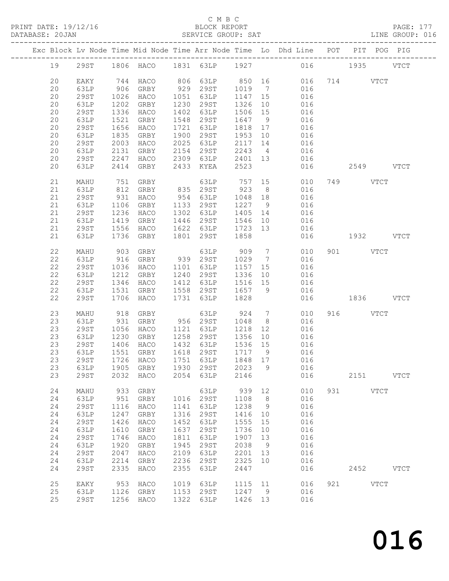#### C M B C<br>BLOCK REPORT

| DATABASE: 20JAN |    |             |      |                    |      | SERVICE GROUP: SAT  |         |                 | LINE GROUP: 016                                                                |           |          |               |  |
|-----------------|----|-------------|------|--------------------|------|---------------------|---------|-----------------|--------------------------------------------------------------------------------|-----------|----------|---------------|--|
|                 |    |             |      |                    |      |                     |         |                 | Exc Block Lv Node Time Mid Node Time Arr Node Time Lo Dhd Line POT PIT POG PIG |           |          |               |  |
|                 | 19 |             |      |                    |      |                     |         |                 | 29ST 1806 HACO 1831 63LP 1927 016 1935 VTCT                                    |           |          |               |  |
|                 | 20 | EAKY        |      | 744 HACO           |      |                     |         |                 | 806 63LP 850 16 016                                                            |           | 714 VTCT |               |  |
|                 | 20 | 63LP        | 906  | GRBY               |      | 929 29ST            |         |                 |                                                                                |           |          |               |  |
|                 | 20 | 29ST        | 1026 | HACO               |      | 1051 63LP           |         |                 | 1019 7 016<br>1147 15 016                                                      |           |          |               |  |
|                 | 20 | 63LP        | 1202 | GRBY               |      | 1230 29ST           | 1326 10 |                 | 016                                                                            |           |          |               |  |
|                 | 20 | 29ST        | 1336 | HACO               |      | 1402 63LP           | 1506 15 |                 | 016                                                                            |           |          |               |  |
|                 | 20 | 63LP        | 1521 | GRBY               |      | 1548 29ST           | 1647 9  |                 | 016                                                                            |           |          |               |  |
|                 |    |             |      |                    |      |                     |         |                 |                                                                                |           |          |               |  |
|                 | 20 | 29ST        | 1656 | HACO               |      | 1721 63LP           | 1818 17 |                 | 016<br>016                                                                     |           |          |               |  |
|                 | 20 | 63LP        | 1835 | GRBY               |      | 1900 29ST           | 1953 10 |                 |                                                                                |           |          |               |  |
|                 | 20 | 29ST        | 2003 | HACO               |      | 2025 63LP           | 2117 14 |                 | 016                                                                            |           |          |               |  |
|                 | 20 | 63LP        | 2131 | GRBY               |      | 2154 29ST           |         |                 | 2243 4 016                                                                     |           |          |               |  |
|                 | 20 | 29ST        | 2247 | HACO               |      | 2309 63LP           | 2401 13 |                 | 016                                                                            |           |          |               |  |
|                 | 20 | 63LP        |      | 2414 GRBY          |      | 2433 KYEA           | 2523    |                 | 016                                                                            |           |          | 2549 VTCT     |  |
|                 | 21 | MAHU        | 751  | GRBY               |      | 63LP 757            |         |                 | 15<br>010                                                                      |           | 749 VTCT |               |  |
|                 | 21 | 63LP        |      | 812 GRBY           |      | 835 29ST            | 923     | 8 <sup>8</sup>  | 016                                                                            |           |          |               |  |
|                 | 21 | 29ST        | 931  | HACO               |      | 954 63LP            | 1048 18 |                 | 016                                                                            |           |          |               |  |
|                 | 21 | 63LP        | 1106 | GRBY               |      | 1133 29ST           | 1227 9  |                 | 016                                                                            |           |          |               |  |
|                 | 21 | 29ST        | 1236 | HACO               |      | 1302 63LP           | 1405 14 |                 | 016                                                                            |           |          |               |  |
|                 | 21 | 63LP        | 1419 | GRBY               |      | 1446 29ST           | 1546 10 |                 | 016                                                                            |           |          |               |  |
|                 | 21 | 29ST        | 1556 | HACO               |      | 1622 63LP           | 1723 13 |                 | 016                                                                            |           |          |               |  |
|                 | 21 | 63LP        | 1736 | GRBY               | 1801 | 29ST                | 1858    |                 | 016                                                                            | 1932 VTCT |          |               |  |
|                 |    |             |      |                    |      |                     |         |                 |                                                                                |           |          |               |  |
|                 | 22 | MAHU        |      |                    |      |                     |         |                 | 010                                                                            |           | 901 VTCT |               |  |
|                 | 22 | 63LP        |      |                    |      |                     |         |                 | 016                                                                            |           |          |               |  |
|                 | 22 | 29ST        | 1036 | HACO               |      | 1101 63LP           | 1157 15 |                 | 016                                                                            |           |          |               |  |
|                 | 22 | 63LP        | 1212 | GRBY               |      | 1240 29ST           | 1336    |                 | 10 016                                                                         |           |          |               |  |
|                 | 22 | 29ST        | 1346 | HACO               |      | 1412 63LP           | 1516 15 |                 | 016                                                                            |           |          |               |  |
|                 | 22 | 63LP        | 1531 | GRBY               |      | 1558 29ST           | 1657 9  |                 | 016                                                                            |           |          |               |  |
|                 | 22 | 29ST        | 1706 | HACO               |      | 1731 63LP           | 1828    |                 | 016                                                                            | 1836 VTCT |          |               |  |
|                 | 23 | MAHU        | 918  | GRBY               |      | 63LP                | 924     | $7\overline{)}$ | 010                                                                            |           | 916 VTCT |               |  |
|                 | 23 | 63LP        | 931  | GRBY 956 29ST      |      |                     | 1048    | 8 <sup>8</sup>  | 016                                                                            |           |          |               |  |
|                 | 23 | 29ST        | 1056 | HACO               |      | 1121 63LP           |         |                 | 1218 12 016                                                                    |           |          |               |  |
|                 | 23 | 63LP        | 1230 |                    |      | GRBY 1258 29ST 1356 |         |                 | 10 016                                                                         |           |          |               |  |
|                 | 23 | 29ST        | 1406 | HACO               |      | 1432 63LP           | 1536 15 |                 | 016                                                                            |           |          |               |  |
|                 | 23 | 63LP        | 1551 | GRBY               |      | 1618 29ST           | 1717 9  |                 | 016                                                                            |           |          |               |  |
|                 |    |             |      |                    |      |                     |         |                 | 23 29ST 1726 HACO 1751 63LP 1848 17 016                                        |           |          |               |  |
|                 |    | 63LP        |      |                    | 1930 | 29ST                | 2023    | 9               | 016                                                                            |           |          |               |  |
|                 | 23 |             |      | 1905 GRBY          |      |                     |         |                 |                                                                                |           |          |               |  |
|                 | 23 | <b>29ST</b> | 2032 | HACO               | 2054 | 63LP                | 2146    |                 | 016                                                                            |           |          | 2151 VTCT     |  |
|                 | 24 | MAHU        | 933  | GRBY               |      | 63LP                | 939     | 12              | 010                                                                            |           | 931 VTCT |               |  |
|                 | 24 | 63LP        | 951  | GRBY               | 1016 | 29ST                | 1108    | 8 <sup>8</sup>  | 016                                                                            |           |          |               |  |
|                 | 24 | <b>29ST</b> | 1116 | HACO               | 1141 | 63LP                | 1238    | 9               | 016                                                                            |           |          |               |  |
|                 | 24 | 63LP        | 1247 | GRBY               | 1316 | 29ST                | 1416    | 10              | 016                                                                            |           |          |               |  |
|                 | 24 | <b>29ST</b> | 1426 | HACO               | 1452 | 63LP                | 1555    | 15              | 016                                                                            |           |          |               |  |
|                 | 24 | 63LP        | 1610 | GRBY               | 1637 | 29ST                | 1736    | 10              | 016                                                                            |           |          |               |  |
|                 | 24 | 29ST        | 1746 | HACO               | 1811 | 63LP                | 1907    | 13              | 016                                                                            |           |          |               |  |
|                 | 24 | 63LP        | 1920 | GRBY               | 1945 | 29ST                | 2038    | 9               | 016                                                                            |           |          |               |  |
|                 | 24 |             | 2047 |                    | 2109 |                     | 2201    |                 | 016                                                                            |           |          |               |  |
|                 |    | 29ST        |      | HACO               |      | 63LP                |         | 13              |                                                                                |           |          |               |  |
|                 | 24 | 63LP        | 2214 | GRBY               | 2236 | 29ST                | 2325    | 10              | 016                                                                            |           |          |               |  |
|                 | 24 | <b>29ST</b> | 2335 | HACO               | 2355 | 63LP                | 2447    |                 | 016                                                                            |           |          | 2452 VTCT     |  |
|                 | 25 | EAKY        |      | 953 HACO 1019 63LP |      |                     | 1115 11 |                 | 016                                                                            |           | 921 000  | $_{\rm VTCT}$ |  |

 25 63LP 1126 GRBY 1153 29ST 1247 9 016 25 29ST 1256 HACO 1322 63LP 1426 13 016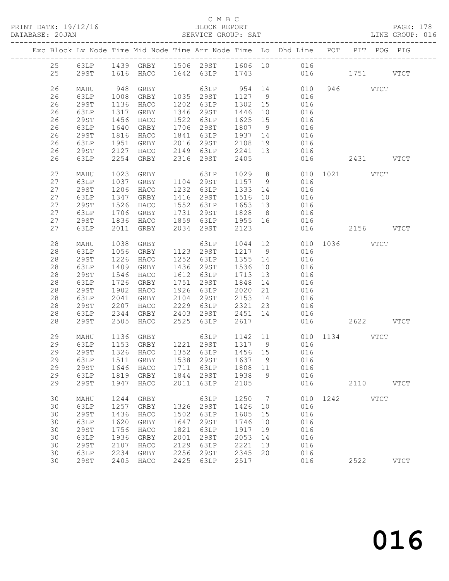#### C M B C<br>BLOCK REPORT

| DATABASE: 20JAN |    |              |              |                               |      |                                                       |         |                | SERVICE GROUP: SAT LINE GROUP: 016                                                                                                        |                 |           |             |  |
|-----------------|----|--------------|--------------|-------------------------------|------|-------------------------------------------------------|---------|----------------|-------------------------------------------------------------------------------------------------------------------------------------------|-----------------|-----------|-------------|--|
|                 |    |              |              |                               |      |                                                       |         |                | Exc Block Lv Node Time Mid Node Time Arr Node Time Lo Dhd Line POT PIT POG PIG                                                            |                 |           |             |  |
|                 |    |              |              |                               |      |                                                       |         |                | 25 63LP 1439 GRBY 1506 29ST 1606 10 016                                                                                                   |                 |           |             |  |
|                 | 25 |              |              | 29ST 1616 HACO 1642 63LP 1743 |      |                                                       |         |                | 016 1751 VTCT                                                                                                                             |                 |           |             |  |
|                 | 26 |              | 948          |                               |      |                                                       |         |                |                                                                                                                                           |                 |           |             |  |
|                 | 26 | MAHU<br>63LP | 1008         | GRBY<br>GRBY                  |      |                                                       |         |                | $\begin{array}{cccccccc} & 63 \text{LP} & 954 & 14 & 010 & 946 & & \text{VTCT} \\ 1035 & 29 \text{ST} & 1127 & 9 & 016 & & & \end{array}$ |                 |           |             |  |
|                 | 26 | 29ST         | 1136         | HACO                          |      | 1202 63LP                                             |         |                | 1302 15 016                                                                                                                               |                 |           |             |  |
|                 | 26 | 63LP         | 1317         | GRBY                          |      | 1346 29ST                                             | 1446    |                | 10 016                                                                                                                                    |                 |           |             |  |
|                 | 26 | <b>29ST</b>  |              | HACO                          |      |                                                       | 1625 15 |                |                                                                                                                                           |                 |           |             |  |
|                 | 26 | 63LP         | 1456<br>1640 | GRBY                          |      | 1522 63LP<br>1706 29ST                                | 1807 9  |                | 016<br>016                                                                                                                                |                 |           |             |  |
|                 | 26 | 29ST         | 1816         | HACO                          |      |                                                       |         |                | 1700 2551 1607 5 610<br>1841 63LP 1937 14 016                                                                                             |                 |           |             |  |
|                 | 26 | 63LP         | 1951         |                               |      |                                                       |         |                | GRBY 2016 29ST 2108 19 016                                                                                                                |                 |           |             |  |
|                 | 26 | 29ST         | 2127         |                               |      |                                                       | 2241 13 |                | 016                                                                                                                                       |                 |           |             |  |
|                 | 26 | 63LP         | 2254         |                               |      | HACO 2149 63LP<br>GRBY 2316 29ST                      | 2405    |                |                                                                                                                                           | 016 2431 VTCT   |           |             |  |
|                 |    |              |              |                               |      |                                                       |         |                |                                                                                                                                           |                 |           |             |  |
|                 | 27 | MAHU         | 1023         | GRBY                          |      | 63LP                                                  |         |                | 1029 8                                                                                                                                    | 010 1021 VTCT   |           |             |  |
|                 | 27 | 63LP         | 1037         | GRBY                          |      | 1104 29ST                                             | 1157 9  |                | 016                                                                                                                                       |                 |           |             |  |
|                 | 27 | 29ST         | 1206         | HACO                          |      | 1232 63LP                                             |         |                | $1516$ $10$ $016$<br>$165$ $01$ $01$                                                                                                      |                 |           |             |  |
|                 | 27 | 63LP         | 1347         | GRBY                          |      | 1416 29ST                                             |         |                |                                                                                                                                           |                 |           |             |  |
|                 | 27 | 29ST         | 1526         | HACO                          |      | 1552 63LP                                             |         |                | 1653 13 016                                                                                                                               |                 |           |             |  |
|                 | 27 | 63LP         | 1706         | GRBY                          |      | 1731 29ST                                             | 1828 8  |                | 016                                                                                                                                       |                 |           |             |  |
|                 | 27 | 29ST         | 1836         | HACO                          |      | 1859 63LP                                             |         |                | 1955 16 016                                                                                                                               |                 |           |             |  |
|                 | 27 | 63LP         | 2011         |                               |      | GRBY 2034 29ST                                        | 2123    |                |                                                                                                                                           | 016             | 2156 VTCT |             |  |
|                 | 28 | MAHU         | 1038         | GRBY                          |      | 63LP                                                  |         |                | 1044 12 010 1036 VTCT                                                                                                                     |                 |           |             |  |
|                 | 28 | 63LP         | 1056         | GRBY                          |      | 1123  29ST  1217  9                                   |         |                | 016                                                                                                                                       |                 |           |             |  |
|                 | 28 | 29ST         | 1226         | HACO                          |      | $1252$ $2351$ $1217$ $3$<br>$1252$ $63LP$ $1355$ $14$ |         |                | 016                                                                                                                                       |                 |           |             |  |
|                 | 28 | 63LP         | 1409         | GRBY                          |      | 1436 29ST                                             | 1536 10 |                | 016                                                                                                                                       |                 |           |             |  |
|                 | 28 | 29ST         | 1546         | HACO                          |      | 1612 63LP                                             | 1713 13 |                | 016                                                                                                                                       |                 |           |             |  |
|                 | 28 | 63LP         | 1726         | GRBY                          |      | 1751 29ST                                             | 1848    | 14             | 016                                                                                                                                       |                 |           |             |  |
|                 | 28 | 29ST         | 1902         | HACO                          |      | 1926 63LP                                             | 2020    | 21             | 016                                                                                                                                       |                 |           |             |  |
|                 | 28 | 63LP         | 2041         | GRBY                          |      | 2104 29ST                                             |         |                | 2153 14 016                                                                                                                               |                 |           |             |  |
|                 | 28 | 29ST         | 2207         | HACO                          |      | 2229 63LP                                             |         |                | 2321 23 016                                                                                                                               |                 |           |             |  |
|                 | 28 | 63LP         | 2344         | GRBY                          |      | 2403 29ST                                             |         |                | 2451 14 016                                                                                                                               |                 |           |             |  |
|                 | 28 | 29ST         | 2505         | HACO                          |      | 2525 63LP                                             | 2617    |                |                                                                                                                                           | 016  2622  VTCT |           |             |  |
|                 |    |              |              |                               |      |                                                       |         |                |                                                                                                                                           |                 |           |             |  |
|                 | 29 | MAHU         |              | 1136 GRBY                     |      |                                                       |         |                | 63LP 1142 11 010 1134 VTCT                                                                                                                |                 |           |             |  |
|                 | 29 | 63LP         |              |                               |      |                                                       |         |                |                                                                                                                                           |                 |           |             |  |
|                 | 29 | 29ST         |              |                               |      |                                                       |         |                |                                                                                                                                           |                 |           |             |  |
|                 |    |              |              |                               |      |                                                       |         |                | 29 63LP 1511 GRBY 1538 29ST 1637 9 016                                                                                                    |                 |           |             |  |
|                 | 29 | 29ST         | 1646         | HACO                          | 1711 | 63LP                                                  | 1808 11 |                | 016                                                                                                                                       |                 |           |             |  |
|                 | 29 | 63LP         | 1819         | GRBY                          | 1844 | 29ST                                                  | 1938    | 9              | 016                                                                                                                                       |                 |           |             |  |
|                 | 29 | <b>29ST</b>  | 1947         | HACO                          | 2011 | 63LP                                                  | 2105    |                | 016                                                                                                                                       |                 | 2110 VTCT |             |  |
|                 | 30 | MAHU         | 1244         | GRBY                          |      | 63LP                                                  | 1250    | $\overline{7}$ |                                                                                                                                           | 010 1242 VTCT   |           |             |  |
|                 | 30 | 63LP         | 1257         | GRBY                          | 1326 | 29ST                                                  | 1426    | 10             | 016                                                                                                                                       |                 |           |             |  |
|                 | 30 | <b>29ST</b>  | 1436         | HACO                          | 1502 | 63LP                                                  | 1605    | 15             | 016                                                                                                                                       |                 |           |             |  |
|                 | 30 | 63LP         | 1620         | GRBY                          | 1647 | 29ST                                                  | 1746    | 10             | 016                                                                                                                                       |                 |           |             |  |
|                 | 30 | 29ST         | 1756         | HACO                          | 1821 | 63LP                                                  | 1917    | 19             | 016                                                                                                                                       |                 |           |             |  |
|                 | 30 | 63LP         | 1936         | GRBY                          | 2001 | 29ST                                                  | 2053    | 14             | 016                                                                                                                                       |                 |           |             |  |
|                 | 30 | 29ST         | 2107         | HACO                          | 2129 | 63LP                                                  | 2221    | 13             | 016                                                                                                                                       |                 |           |             |  |
|                 | 30 | 63LP         | 2234         | GRBY                          | 2256 | 29ST                                                  | 2345    | 20             | 016                                                                                                                                       |                 |           |             |  |
|                 | 30 | <b>29ST</b>  | 2405         | HACO                          | 2425 | 63LP                                                  | 2517    |                | 016                                                                                                                                       |                 | 2522      | <b>VTCT</b> |  |
|                 |    |              |              |                               |      |                                                       |         |                |                                                                                                                                           |                 |           |             |  |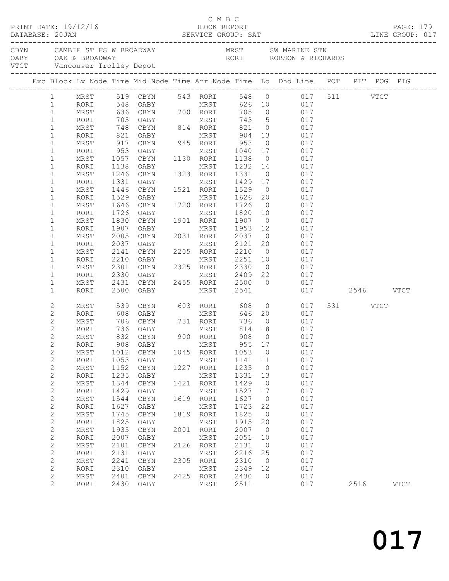| PRINT DATE: 19/12/16<br>DATABASE: 20JAN |  |                              |              |              |                           |      | C M B C<br>BLOCK REPORT BLOCK REPORT PAGE: 179<br>SERVICE GROUP: SAT LINE GROUP: 017                                             |                   |                      |                                                                                                               |           |          |  |             |
|-----------------------------------------|--|------------------------------|--------------|--------------|---------------------------|------|----------------------------------------------------------------------------------------------------------------------------------|-------------------|----------------------|---------------------------------------------------------------------------------------------------------------|-----------|----------|--|-------------|
|                                         |  |                              |              |              |                           |      | CAMBIE ST FS W BROADWAY MRST SW MARINE STN OABY OAK & BROADWAY AND MAST SW MARINE STN OABY OAK & BROADWAY RORI ROBSON & RICHARDS |                   |                      |                                                                                                               |           |          |  |             |
|                                         |  |                              |              |              |                           |      |                                                                                                                                  |                   |                      |                                                                                                               |           |          |  |             |
|                                         |  |                              |              |              |                           |      |                                                                                                                                  |                   |                      | Exc Block Lv Node Time Mid Node Time Arr Node Time Lo Dhd Line POT PIT POG PIG                                |           |          |  |             |
|                                         |  |                              |              |              |                           |      |                                                                                                                                  |                   |                      | 1 MRST 519 CBYN 543 RORI 548 0 017 511 VTCT                                                                   |           |          |  |             |
|                                         |  | 1                            | RORI         |              |                           |      |                                                                                                                                  |                   |                      | 548 OABY<br>548 OABY<br>636 CBYN 700 RORI 705 0 017<br>705 OABY MRST 743 5 017<br>748 CBYN 814 RORI 821 0 017 |           |          |  |             |
|                                         |  | $\mathbf{1}$                 | MRST         |              |                           |      |                                                                                                                                  |                   |                      |                                                                                                               |           |          |  |             |
|                                         |  | $\mathbf{1}$                 | RORI         |              |                           |      |                                                                                                                                  |                   |                      |                                                                                                               |           |          |  |             |
|                                         |  | $\mathbf{1}$                 | MRST         |              |                           |      |                                                                                                                                  |                   |                      |                                                                                                               |           |          |  |             |
|                                         |  | $\mathbf{1}$                 | RORI         |              | 821 OABY                  |      |                                                                                                                                  |                   |                      | MRST 904 13 017                                                                                               |           |          |  |             |
|                                         |  | $\mathbf{1}$                 | MRST         | 917          | CBYN 945 RORI             |      |                                                                                                                                  |                   |                      |                                                                                                               |           |          |  |             |
|                                         |  | $\mathbf{1}$                 | RORI         |              | 953 OABY                  |      | MRST<br>1130 RORI                                                                                                                |                   |                      | $\begin{array}{cccc} 953 & 0 & 017 \\ 1040 & 17 & 017 \\ 1138 & 0 & 017 \end{array}$                          |           |          |  |             |
|                                         |  | $\mathbf{1}$<br>$\mathbf 1$  | MRST<br>RORI | 1138         | 1057 CBYN<br>OABY         |      |                                                                                                                                  |                   |                      | MRST 1232 14 017                                                                                              |           |          |  |             |
|                                         |  | $\mathbf 1$                  | MRST         | 1246         | CBYN                      |      | 1323 RORI                                                                                                                        | 1331              |                      | $0 \qquad \qquad 017$                                                                                         |           |          |  |             |
|                                         |  | $\mathbf 1$                  | RORI         |              | 1331 OABY                 |      |                                                                                                                                  |                   |                      | 017                                                                                                           |           |          |  |             |
|                                         |  | $\mathbf{1}$                 | MRST         |              | 1446 CBYN                 |      | MRST<br>1521 RORI                                                                                                                |                   |                      | 1429 17<br>1529 0<br>017                                                                                      |           |          |  |             |
|                                         |  | $\mathbf{1}$                 | RORI         |              | 1529 OABY                 |      | MRST 1626                                                                                                                        |                   | 20                   | 017                                                                                                           |           |          |  |             |
|                                         |  | $\mathbf{1}$                 | MRST         | 1646         | CBYN                      |      | 1720 RORI                                                                                                                        | 1726              | $\overline{0}$       | 017                                                                                                           |           |          |  |             |
|                                         |  | $\mathbf{1}$                 | RORI         | 1726         | OABY                      |      | MRST                                                                                                                             | 1820 10<br>1907 0 |                      | $\begin{array}{ccc} 10 & \quad & 017 \\ \quad 0 & \quad & 017 \end{array}$                                    |           |          |  |             |
|                                         |  | $\mathbf 1$                  | MRST         |              | 1830 CBYN                 |      | 1901 RORI                                                                                                                        |                   |                      |                                                                                                               |           |          |  |             |
|                                         |  | $\mathbf{1}$                 | RORI         | 1907         | OABY                      |      | MRST                                                                                                                             | 1953              | 12                   | 017                                                                                                           |           |          |  |             |
|                                         |  | $\mathbf{1}$                 | MRST         | 2005         | CBYN                      |      | 2031 RORI 2037                                                                                                                   |                   |                      | $0 \qquad \qquad 017$                                                                                         |           |          |  |             |
|                                         |  | $\mathbf 1$                  | RORI         | 2037         | OABY                      |      | MRST<br>2205 RORI                                                                                                                | 2121<br>2210      |                      | $\begin{array}{ccc} 20 & \quad & 017 \\ \mathbf{0} & \quad & 017 \end{array}$                                 |           |          |  |             |
|                                         |  | $\mathbf{1}$                 | MRST         |              | 2141 CBYN                 |      |                                                                                                                                  |                   |                      | MRST 2251 10 017                                                                                              |           |          |  |             |
|                                         |  | $\mathbf{1}$<br>$\mathbf{1}$ | RORI<br>MRST | 2301         | 2210 OABY<br>CBYN         |      | 2325 RORI 2330                                                                                                                   |                   |                      | 0 017                                                                                                         |           |          |  |             |
|                                         |  | $\mathbf{1}$                 | RORI         | 2330         | OABY                      |      |                                                                                                                                  |                   |                      | 22 017                                                                                                        |           |          |  |             |
|                                         |  | $\mathbf{1}$                 | MRST         |              | 2431 CBYN                 |      | MRST 2409<br>2455 RORI 2500                                                                                                      |                   | $\overline{0}$       | 017                                                                                                           |           |          |  |             |
|                                         |  | $\mathbf 1$                  | RORI         |              | 2500 OABY                 |      | MRST                                                                                                                             | 2541              |                      | 017                                                                                                           | 2546 VTCT |          |  |             |
|                                         |  | $\mathbf{2}$                 | MRST         |              |                           |      | 603 RORI 608                                                                                                                     |                   |                      |                                                                                                               |           | 531 VTCT |  |             |
|                                         |  | $\mathbf{2}$                 | RORI         |              | 539 CBYN<br>608 OABY      |      | MRST                                                                                                                             |                   |                      | 608  0  017<br>646  20  017                                                                                   |           |          |  |             |
|                                         |  | $\mathbf{2}$                 | MRST         |              |                           |      |                                                                                                                                  |                   |                      | 736 0 017                                                                                                     |           |          |  |             |
|                                         |  | $\mathbf{2}$                 | RORI         |              |                           |      |                                                                                                                                  | 814 18            |                      | 017                                                                                                           |           |          |  |             |
|                                         |  | $\mathbf{2}$                 | MRST         |              |                           |      |                                                                                                                                  | 908               | $\overline{0}$       | 017                                                                                                           |           |          |  |             |
|                                         |  | $\mathbf{2}$                 |              |              | RORI 908 OABY MRST 955 17 |      |                                                                                                                                  |                   |                      | 017                                                                                                           |           |          |  |             |
|                                         |  | $\mathbf{2}$                 | MRST         | 1012         | CBYN                      | 1045 | RORI                                                                                                                             | 1053              | $\overline{0}$       | 017                                                                                                           |           |          |  |             |
|                                         |  | $\mathbf{2}$                 | RORI         | 1053         | OABY                      |      | MRST                                                                                                                             | 1141              | 11                   | 017                                                                                                           |           |          |  |             |
|                                         |  | $\sqrt{2}$                   | MRST         | 1152         | CBYN                      | 1227 | RORI                                                                                                                             | 1235              | $\circ$              | 017                                                                                                           |           |          |  |             |
|                                         |  | $\mathbf{2}$                 | RORI         | 1235<br>1344 | OABY                      | 1421 | MRST                                                                                                                             | 1331<br>1429      | 13<br>$\overline{0}$ | 017<br>017                                                                                                    |           |          |  |             |
|                                         |  | $\sqrt{2}$<br>$\mathbf{2}$   | MRST<br>RORI | 1429         | CBYN<br>OABY              |      | RORI<br>MRST                                                                                                                     | 1527              | 17                   | 017                                                                                                           |           |          |  |             |
|                                         |  | $\sqrt{2}$                   | MRST         | 1544         | CBYN                      | 1619 | RORI                                                                                                                             | 1627              | $\overline{0}$       | 017                                                                                                           |           |          |  |             |
|                                         |  | $\mathbf{2}$                 | RORI         | 1627         | OABY                      |      | MRST                                                                                                                             | 1723              | 22                   | 017                                                                                                           |           |          |  |             |
|                                         |  | $\mathbf{2}$                 | MRST         | 1745         | CBYN                      |      | 1819 RORI                                                                                                                        | 1825              | $\overline{0}$       | 017                                                                                                           |           |          |  |             |
|                                         |  | $\sqrt{2}$                   | RORI         | 1825         | OABY                      |      | MRST                                                                                                                             | 1915              | 20                   | 017                                                                                                           |           |          |  |             |
|                                         |  | $\mathbf{2}$                 | MRST         | 1935         | CBYN                      | 2001 | RORI                                                                                                                             | 2007              | $\circ$              | 017                                                                                                           |           |          |  |             |
|                                         |  | $\sqrt{2}$                   | RORI         | 2007         | OABY                      |      | MRST                                                                                                                             | 2051              | 10                   | 017                                                                                                           |           |          |  |             |
|                                         |  | $\sqrt{2}$                   | MRST         | 2101         | CBYN                      | 2126 | RORI                                                                                                                             | 2131              | $\overline{0}$       | 017                                                                                                           |           |          |  |             |
|                                         |  | $\sqrt{2}$                   | RORI         | 2131         | OABY                      |      | MRST                                                                                                                             | 2216              | 25                   | 017                                                                                                           |           |          |  |             |
|                                         |  | $\sqrt{2}$                   | MRST         | 2241         | CBYN                      | 2305 | RORI                                                                                                                             | 2310              | $\circ$              | 017                                                                                                           |           |          |  |             |
|                                         |  | $\sqrt{2}$                   | RORI         | 2310         | OABY                      |      | MRST                                                                                                                             | 2349              | 12                   | 017                                                                                                           |           |          |  |             |
|                                         |  | $\sqrt{2}$<br>$\mathbf{2}$   | MRST<br>RORI | 2401<br>2430 | CBYN<br>OABY              | 2425 | RORI<br>MRST                                                                                                                     | 2430<br>2511      | $\circ$              | 017<br>017                                                                                                    |           | 2516     |  | <b>VTCT</b> |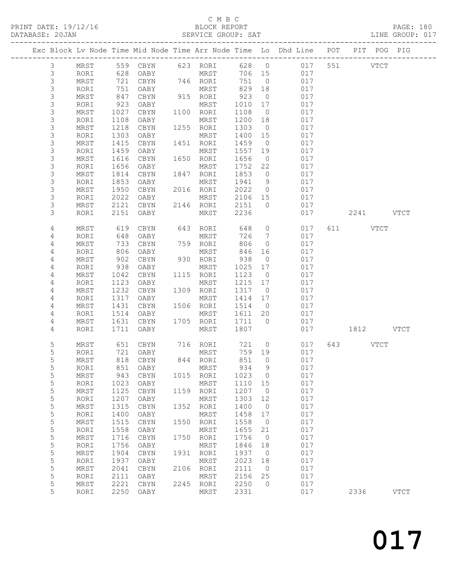#### C M B C<br>BLOCK REPORT SERVICE GROUP: SAT

|  |                |            |      |            |      |           | ---------------- |                | Exc Block Lv Node Time Mid Node Time Arr Node Time Lo Dhd Line POT |     |      | PIT POG PIG |             |
|--|----------------|------------|------|------------|------|-----------|------------------|----------------|--------------------------------------------------------------------|-----|------|-------------|-------------|
|  | 3              | MRST       | 559  | CBYN       | 623  | RORI      | 628              | $\overline{0}$ | 017                                                                | 551 |      | <b>VTCT</b> |             |
|  | $\mathsf S$    | RORI       | 628  | OABY       |      | MRST      | 706              | 15             | 017                                                                |     |      |             |             |
|  | $\mathsf 3$    | MRST       | 721  | CBYN       |      | 746 RORI  | 751              | $\overline{0}$ | 017                                                                |     |      |             |             |
|  | $\mathsf 3$    | RORI       | 751  | OABY       |      | MRST      | 829              | 18             | 017                                                                |     |      |             |             |
|  | 3              | MRST       | 847  | CBYN       | 915  | RORI      | 923              | $\overline{0}$ | 017                                                                |     |      |             |             |
|  | 3              | RORI       | 923  | OABY       |      | MRST      | 1010             | 17             | 017                                                                |     |      |             |             |
|  | $\mathfrak{Z}$ | MRST       | 1027 | CBYN       | 1100 | RORI      | 1108             | $\overline{0}$ | 017                                                                |     |      |             |             |
|  | 3              | RORI       | 1108 | OABY       |      | MRST      | 1200             | 18             | 017                                                                |     |      |             |             |
|  | $\mathsf 3$    | MRST       | 1218 | CBYN       | 1255 | RORI      | 1303             | $\overline{0}$ | 017                                                                |     |      |             |             |
|  | $\mathsf 3$    | RORI       | 1303 | OABY       |      | MRST      | 1400             | 15             | 017                                                                |     |      |             |             |
|  | $\mathsf 3$    | MRST       | 1415 | $\tt CBYN$ | 1451 | RORI      | 1459             | $\overline{0}$ | 017                                                                |     |      |             |             |
|  | $\mathsf 3$    | RORI       | 1459 | OABY       |      | MRST      | 1557             | 19             | 017                                                                |     |      |             |             |
|  | 3              | MRST       | 1616 | CBYN       | 1650 | RORI      | 1656             | $\overline{0}$ | 017                                                                |     |      |             |             |
|  | 3              | RORI       | 1656 | OABY       |      | MRST      | 1752             | 22             | 017                                                                |     |      |             |             |
|  | $\mathsf 3$    | MRST       | 1814 | CBYN       | 1847 | RORI      | 1853             | $\circ$        | 017                                                                |     |      |             |             |
|  | 3              | RORI       | 1853 | OABY       |      | MRST      | 1941             | 9              | 017                                                                |     |      |             |             |
|  | 3              | MRST       | 1950 | CBYN       | 2016 | RORI      | 2022             | $\circ$        | 017                                                                |     |      |             |             |
|  | 3              | RORI       | 2022 | OABY       |      | MRST      | 2106             | 15             | 017                                                                |     |      |             |             |
|  | 3              | MRST       | 2121 | CBYN       |      | 2146 RORI | 2151             | $\circ$        | 017                                                                |     |      |             |             |
|  | 3              | RORI       | 2151 | OABY       |      | MRST      | 2236             |                | 017                                                                |     | 2241 |             | <b>VTCT</b> |
|  | 4              | MRST       | 619  | CBYN       | 643  | RORI      | 648              | $\circ$        | 017                                                                | 611 |      | <b>VTCT</b> |             |
|  | 4              | RORI       | 648  | OABY       |      | MRST      | 726              | 7              | 017                                                                |     |      |             |             |
|  | 4              | MRST       | 733  | CBYN       |      | 759 RORI  | 806              | $\circ$        | 017                                                                |     |      |             |             |
|  | 4              | RORI       | 806  | OABY       |      | MRST      | 846              | 16             | 017                                                                |     |      |             |             |
|  | 4              | MRST       | 902  | CBYN       | 930  | RORI      | 938              | $\overline{0}$ | 017                                                                |     |      |             |             |
|  | 4              | RORI       | 938  | OABY       |      | MRST      | 1025             | 17             | 017                                                                |     |      |             |             |
|  | 4              | MRST       | 1042 | CBYN       | 1115 | RORI      | 1123             | $\overline{0}$ | 017                                                                |     |      |             |             |
|  | 4              | RORI       | 1123 | OABY       |      | MRST      | 1215             | 17             | 017                                                                |     |      |             |             |
|  | 4              | MRST       | 1232 | CBYN       | 1309 | RORI      | 1317             | $\overline{0}$ | 017                                                                |     |      |             |             |
|  | 4              | RORI       | 1317 | OABY       |      | MRST      | 1414             | 17             | 017                                                                |     |      |             |             |
|  | 4              | MRST       | 1431 | CBYN       |      | 1506 RORI | 1514             | $\overline{0}$ | 017                                                                |     |      |             |             |
|  | 4              | RORI       | 1514 | OABY       |      | MRST      | 1611             | 20             | 017                                                                |     |      |             |             |
|  | 4              | MRST       | 1631 | CBYN       | 1705 | RORI      | 1711             | $\circ$        | 017                                                                |     |      |             |             |
|  | 4              | RORI       | 1711 | OABY       |      | MRST      | 1807             |                | 017                                                                |     | 1812 |             | <b>VTCT</b> |
|  | 5              | MRST       | 651  | CBYN       |      | 716 RORI  | 721              | $\overline{0}$ | 017                                                                | 643 |      | VTCT        |             |
|  | 5              | RORI       | 721  | OABY       |      | MRST      | 759              | 19             | 017                                                                |     |      |             |             |
|  | 5              | MRST       | 818  | CBYN       |      | 844 RORI  | 851              | $\Omega$       | 017                                                                |     |      |             |             |
|  | 5              | RORI       |      | 851 OABY   |      | MRST      | 934 9            |                | 017                                                                |     |      |             |             |
|  | 5              | $\tt MRST$ | 943  | $\tt CBYN$ | 1015 | RORI      | 1023             | 0              | 017                                                                |     |      |             |             |
|  | 5              | RORI       | 1023 | OABY       |      | MRST      | 1110             | 15             | 017                                                                |     |      |             |             |
|  | 5              | $\tt MRST$ | 1125 | CBYN       | 1159 | RORI      | 1207             | $\circ$        | 017                                                                |     |      |             |             |
|  | 5              | RORI       | 1207 | OABY       |      | MRST      | 1303             | 12             | 017                                                                |     |      |             |             |
|  | 5              | $\tt MRST$ | 1315 | $\tt CBYN$ | 1352 | RORI      | 1400             | $\overline{0}$ | 017                                                                |     |      |             |             |
|  | 5              | RORI       | 1400 | OABY       |      | MRST      | 1458             | 17             | 017                                                                |     |      |             |             |
|  | 5              | MRST       | 1515 | CBYN       | 1550 | RORI      | 1558             | $\overline{0}$ | 017                                                                |     |      |             |             |
|  | 5              | RORI       | 1558 | OABY       |      | MRST      | 1655             | 21             | 017                                                                |     |      |             |             |
|  | $\mathsf S$    | MRST       | 1716 | $\tt CBYN$ | 1750 | RORI      | 1756             | $\overline{0}$ | 017                                                                |     |      |             |             |
|  | 5              | RORI       | 1756 | OABY       |      | MRST      | 1846             | 18             | 017                                                                |     |      |             |             |
|  | 5              | MRST       | 1904 | CBYN       | 1931 | RORI      | 1937             | $\overline{0}$ | 017                                                                |     |      |             |             |
|  | 5              | RORI       | 1937 | OABY       |      | MRST      | 2023             | 18             | 017                                                                |     |      |             |             |
|  | 5              | MRST       | 2041 | CBYN       | 2106 | RORI      | 2111             | $\circ$        | 017                                                                |     |      |             |             |
|  | 5              | RORI       | 2111 | OABY       |      | MRST      | 2156             | 25             | 017                                                                |     |      |             |             |
|  | 5              | MRST       | 2221 | CBYN       | 2245 | RORI      | 2250             | $\circ$        | 017                                                                |     |      |             |             |
|  | 5              | RORI       | 2250 | OABY       |      | MRST      | 2331             |                | 017                                                                |     | 2336 |             | <b>VTCT</b> |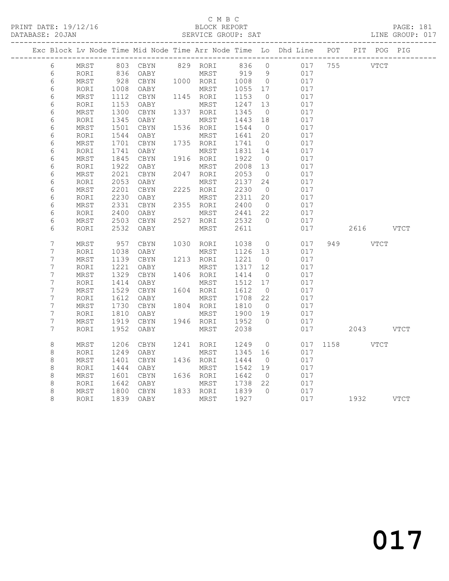### C M B C<br>BLOCK REPORT SERVICE GROUP: SAT

PRINT DATE: 19/12/16 BLOCK REPORT PAGE: 181

|  |                  |      |              |                         |                   |                 |                |            |         | Exc Block Lv Node Time Mid Node Time Arr Node Time Lo Dhd Line POT PIT POG PIG |      |
|--|------------------|------|--------------|-------------------------|-------------------|-----------------|----------------|------------|---------|--------------------------------------------------------------------------------|------|
|  | 6                | MRST |              | 803 CBYN 829 RORI 836 0 |                   |                 |                | 017        | 755     | <b>VTCT</b>                                                                    |      |
|  | $\sqrt{6}$       | RORI |              | 836 OABY                | MRST              | 919 9           |                | 017        |         |                                                                                |      |
|  | 6                | MRST |              | 928 CBYN                | 1000 RORI         | 1008            | $\overline{0}$ | 017        |         |                                                                                |      |
|  | 6                | RORI | 1008         | OABY                    | MRST              | 1055            | 17             | 017        |         |                                                                                |      |
|  | 6                | MRST | 1112         | CBYN                    | $1145$ RORI       | 1153            | $\overline{0}$ | 017        |         |                                                                                |      |
|  | 6                | RORI | 1153         | OABY                    | MRST              | 1247            | 13             | 017        |         |                                                                                |      |
|  | $\epsilon$       | MRST | 1300         | CBYN                    | 1337 RORI         | 1345            | $\overline{0}$ | 017        |         |                                                                                |      |
|  | 6                | RORI | 1345         | OABY                    | MRST              | 1443            | 18             | 017        |         |                                                                                |      |
|  | $\epsilon$       | MRST | 1501         | CBYN                    | 1536 RORI         | 1544            | $\overline{0}$ | 017        |         |                                                                                |      |
|  | 6                | RORI | 1544         | OABY                    | MRST              | 1641            | 20             | 017        |         |                                                                                |      |
|  | 6                | MRST | 1701         | CBYN                    | 1735 RORI         | 1741            | $\overline{0}$ | 017        |         |                                                                                |      |
|  | 6                | RORI | 1741         | OABY                    | MRST              | 1831 14         |                | 017        |         |                                                                                |      |
|  | 6                | MRST | 1845         | CBYN                    | 1916 RORI         | 1922            | $\overline{0}$ | 017        |         |                                                                                |      |
|  | $\epsilon$       | RORI | 1922         | OABY                    | MRST              | 2008            | 13             | 017        |         |                                                                                |      |
|  | 6                | MRST | 2021         | CBYN                    | 2047 RORI         | 2053            | $\overline{0}$ | 017        |         |                                                                                |      |
|  | 6                | RORI | 2053         | OABY                    | MRST              | 2137            | 24             | 017        |         |                                                                                |      |
|  | $\epsilon$       | MRST | 2201         | CBYN                    | 2225 RORI         | 2230            | $\overline{0}$ | 017        |         |                                                                                |      |
|  | 6                | RORI | 2230         | OABY                    | MRST              | 2311            | 20             | 017        |         |                                                                                |      |
|  | 6                | MRST | 2331         | CBYN                    | 2355 RORI         | 2400<br>2441 22 | $\overline{0}$ | 017        |         |                                                                                |      |
|  | 6                | RORI | 2400         | OABY                    | MRST              |                 | $\bigcirc$     | 017        |         |                                                                                |      |
|  | 6<br>6           | MRST | 2503<br>2532 | CBYN                    | 2527 RORI<br>MRST | 2532<br>2611    |                | 017<br>017 |         | 2616                                                                           | VTCT |
|  |                  | RORI |              | OABY                    |                   |                 |                |            |         |                                                                                |      |
|  | $7\phantom{.0}$  | MRST | 957          | CBYN                    | 1030 RORI         | 1038            | $\overline{0}$ | 017        | 949     | <b>VTCT</b>                                                                    |      |
|  | $\overline{7}$   | RORI | 1038         | OABY                    | MRST              | 1126 13         |                | 017        |         |                                                                                |      |
|  | $\boldsymbol{7}$ | MRST | 1139         | CBYN                    | 1213 RORI         | 1221            | $\overline{0}$ | 017        |         |                                                                                |      |
|  | $\boldsymbol{7}$ | RORI | 1221         | OABY                    | MRST              | 1317            | 12             | 017        |         |                                                                                |      |
|  | 7                | MRST | 1329         | CBYN                    | 1406 RORI         | 1414            | $\overline{0}$ | 017        |         |                                                                                |      |
|  | $\boldsymbol{7}$ | RORI | 1414         | OABY                    | MRST              | 1512 17         |                | 017        |         |                                                                                |      |
|  | $\boldsymbol{7}$ | MRST | 1529         | CBYN                    | 1604 RORI         | 1612            | $\overline{0}$ | 017        |         |                                                                                |      |
|  | $\boldsymbol{7}$ | RORI | 1612         | OABY                    | MRST              | 1708            | 22             | 017        |         |                                                                                |      |
|  | 7                | MRST | 1730         | CBYN                    | 1804 RORI         | 1810            | $\overline{0}$ | 017        |         |                                                                                |      |
|  | 7                | RORI | 1810         | OABY                    | MRST              | 1900            | 19             | 017        |         |                                                                                |      |
|  | $7\phantom{.0}$  | MRST |              | 1919 CBYN               | 1946 RORI         | 1952            | $\bigcirc$     | 017        |         |                                                                                |      |
|  | $7\phantom{.0}$  | RORI | 1952         | OABY                    | MRST              | 2038            |                | 017        |         | 2043 VTCT                                                                      |      |
|  |                  |      |              |                         |                   |                 |                |            |         |                                                                                |      |
|  | $\,8\,$          | MRST | 1206         | CBYN                    | 1241 RORI         | 1249            | $\overline{0}$ | 017        | 1158 11 | VTCT                                                                           |      |
|  | $\,8\,$          | RORI | 1249         | OABY                    | MRST              | 1345            | 16             | 017        |         |                                                                                |      |
|  | 8                | MRST | 1401         | CBYN                    | 1436 RORI         | 1444            | $\overline{0}$ | 017        |         |                                                                                |      |
|  | 8                | RORI | 1444         | OABY                    | MRST              | 1542            | 19             | 017        |         |                                                                                |      |
|  | 8                | MRST | 1601         | CBYN                    | 1636 RORI         | 1642            | $\overline{0}$ | 017        |         |                                                                                |      |
|  | 8                | RORI | 1642         | OABY                    | MRST              | 1738 22         |                | 017        |         |                                                                                |      |
|  | 8                | MRST | 1800         | CBYN                    | 1833 RORI         | 1839            | $\bigcap$      | 017        |         |                                                                                |      |
|  | 8                | RORI |              | 1839 OABY               | MRST              | 1927            |                | 017        |         | 1932 VTCT                                                                      |      |

017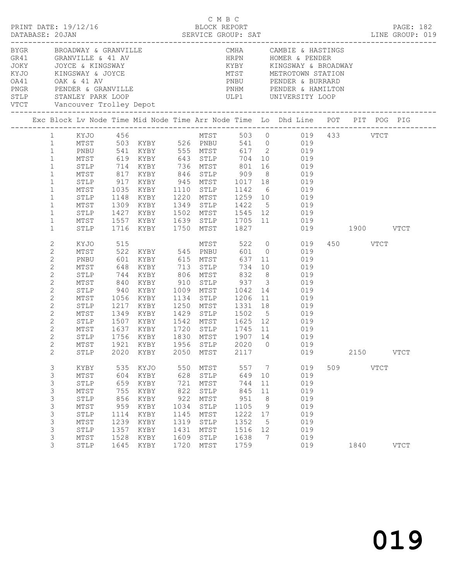|                                                           |                                |              |            |                                                    |      |              |                   |    |                                                                                                                                                                                                                                       |     |          |             | PAGE: 182<br>LINE GROUP: 019 |  |
|-----------------------------------------------------------|--------------------------------|--------------|------------|----------------------------------------------------|------|--------------|-------------------|----|---------------------------------------------------------------------------------------------------------------------------------------------------------------------------------------------------------------------------------------|-----|----------|-------------|------------------------------|--|
| BYGR BROADWAY & GRANVILLE<br>VTCT Vancouver Trolley Depot |                                |              |            |                                                    |      |              |                   |    | CMHA CAMBIE & HASTINGS<br>CR41 GRANVILLE & 41 AV (GR41 HRPN HOMER & PENDER<br>JOKY (JOYCE & KINGSWAY (GR41 KYBY KINGSWAY & BROADWA)<br>KYJO (KINGSWAY & JOYCE (MIST METROTOWN STATION)<br>CR41 CAK & 41 AV (CR) PRBU PENDER & BURRARD |     |          |             |                              |  |
|                                                           |                                |              |            |                                                    |      |              |                   |    | Exc Block Lv Node Time Mid Node Time Arr Node Time Lo Dhd Line POT PIT POG PIG                                                                                                                                                        |     |          |             |                              |  |
|                                                           |                                |              |            |                                                    |      |              |                   |    |                                                                                                                                                                                                                                       |     |          |             |                              |  |
|                                                           |                                |              |            |                                                    |      |              |                   |    | 1 KYJO 456 MTST 503 0 019 433 VTCT                                                                                                                                                                                                    |     |          |             |                              |  |
|                                                           | 1                              |              |            |                                                    |      |              |                   |    | MTST 503 KYBY 526 PNBU 541 0 019                                                                                                                                                                                                      |     |          |             |                              |  |
|                                                           | $\mathbf{1}$                   | PNBU<br>MTST |            |                                                    |      |              |                   |    |                                                                                                                                                                                                                                       |     |          |             |                              |  |
|                                                           | $\mathbf{1}$                   | STLP         |            |                                                    |      |              |                   |    | 714 KYBY 736 MTST 801 16 019                                                                                                                                                                                                          |     |          |             |                              |  |
|                                                           | $\mathbf{1}$<br>$1\,$          |              |            |                                                    |      |              |                   |    |                                                                                                                                                                                                                                       |     |          |             |                              |  |
|                                                           | $\mathbf{1}$                   | MTST         |            |                                                    |      |              |                   |    | 817 KYBY 846 STLP 909 8 019                                                                                                                                                                                                           |     |          |             |                              |  |
|                                                           | $\mathbf{1}$                   | STLP<br>MTST |            |                                                    |      |              |                   |    |                                                                                                                                                                                                                                       |     |          |             |                              |  |
|                                                           | $\mathbf 1$                    | STLP         |            |                                                    |      |              |                   |    | 917 KYBY 945 MTST 1017 18<br>1035 KYBY 1110 STLP 1142 6 019<br>1148 KYBY 1220 MTST 1259 10 019                                                                                                                                        |     |          |             |                              |  |
|                                                           | $\mathbf{1}$                   | MTST         |            |                                                    |      |              |                   |    | 1309 KYBY 1349 STLP 1422 5 019                                                                                                                                                                                                        |     |          |             |                              |  |
|                                                           | $\mathbf{1}$                   | STLP         |            |                                                    |      |              |                   |    |                                                                                                                                                                                                                                       |     |          |             |                              |  |
|                                                           | $\mathbf{1}$                   | MTST         |            |                                                    |      |              |                   |    | 019                                                                                                                                                                                                                                   |     |          |             |                              |  |
|                                                           | $\mathbf{1}$                   | STLP         |            |                                                    |      |              |                   |    | 1427 KYBY 1502 MTST 1545 12 019<br>1557 KYBY 1639 STLP 1705 11 019<br>1716 KYBY 1750 MTST 1827 019<br>019 1900 VTCT                                                                                                                   |     |          |             |                              |  |
|                                                           | 2                              | KYJO         |            |                                                    |      |              |                   |    | MTST 522 0 019                                                                                                                                                                                                                        |     | 450 VTCT |             |                              |  |
|                                                           | $\mathbf{2}$                   | MTST         |            |                                                    |      |              |                   |    | 019                                                                                                                                                                                                                                   |     |          |             |                              |  |
|                                                           | $\mathbf{2}$                   | PNBU         |            |                                                    |      |              |                   |    | $637$ 11 019                                                                                                                                                                                                                          |     |          |             |                              |  |
|                                                           | $\mathbf{2}$                   | MTST         | 648        |                                                    |      |              |                   |    | KYBY 713 STLP 734 10 019                                                                                                                                                                                                              |     |          |             |                              |  |
|                                                           | $\mathbf{2}$                   | STLP         | 744        |                                                    |      |              |                   |    | KYBY 806 MTST 832 8 019                                                                                                                                                                                                               |     |          |             |                              |  |
|                                                           | $\mathbf{2}$                   | MTST         | 840<br>940 |                                                    |      |              |                   |    | XYBY 910 STLP 937 3 019<br>XYBY 1009 MTST 1042 14 019                                                                                                                                                                                 |     |          |             |                              |  |
|                                                           | $\mathbf{2}$                   | STLP         |            |                                                    |      |              |                   |    |                                                                                                                                                                                                                                       |     |          |             |                              |  |
|                                                           | $\mathbf{2}$                   | MTST         |            |                                                    |      |              |                   |    | 1056 KYBY 1134 STLP 1206 11 019                                                                                                                                                                                                       |     |          |             |                              |  |
|                                                           | $\mathbf{2}$                   | STLP         |            | 1217 KYBY                                          |      |              | 1250 MTST 1331 18 |    | 019                                                                                                                                                                                                                                   |     |          |             |                              |  |
|                                                           | $\mathbf{2}$                   | MTST         |            |                                                    |      |              |                   |    | 1349 KYBY 1429 STLP 1502 5 019<br>1507 KYBY 1542 MTST 1625 12 019                                                                                                                                                                     |     |          |             |                              |  |
|                                                           | $\mathbf{2}$                   | STLP         |            |                                                    |      |              |                   |    | 1637 KYBY 1720 STLP 1745 11 019                                                                                                                                                                                                       |     |          |             |                              |  |
|                                                           | $\mathbf{2}$                   | MTST         |            |                                                    |      |              |                   |    |                                                                                                                                                                                                                                       |     |          |             |                              |  |
|                                                           | $\mathbf{2}$<br>$\overline{2}$ | STLP         |            | 1756 KYBY 1830 MTST 1907 14<br>1921 KYBY 1956 STLP |      |              |                   |    | 019                                                                                                                                                                                                                                   |     |          |             |                              |  |
|                                                           | $2^{\circ}$                    | MTST         |            |                                                    |      |              |                   |    | 2020 0 019<br>STLP 2020 KYBY 2050 MTST 2117 019                                                                                                                                                                                       |     |          | 2150 VTCT   |                              |  |
|                                                           |                                |              |            |                                                    |      |              |                   |    |                                                                                                                                                                                                                                       |     |          |             |                              |  |
|                                                           | 3                              | KYBY         | 535        | KYJO                                               | 550  | MTST         | 557               | 7  | 019                                                                                                                                                                                                                                   | 509 |          | <b>VTCT</b> |                              |  |
|                                                           | 3                              | $MTST$       | 604        | KYBY                                               | 628  | ${\tt STLP}$ | 649               | 10 | 019                                                                                                                                                                                                                                   |     |          |             |                              |  |
|                                                           | 3                              | STLP         | 659        | KYBY                                               | 721  | MTST         | 744               | 11 | 019                                                                                                                                                                                                                                   |     |          |             |                              |  |
|                                                           | 3                              | $MTST$       | 755        | KYBY                                               | 822  | STLP         | 845               | 11 | 019                                                                                                                                                                                                                                   |     |          |             |                              |  |
|                                                           | 3                              | STLP         | 856        | KYBY                                               | 922  | MTST         | 951               | 8  | 019                                                                                                                                                                                                                                   |     |          |             |                              |  |
|                                                           | $\mathsf 3$                    | MTST         | 959        | KYBY                                               | 1034 | ${\tt STLP}$ | 1105              | 9  | 019                                                                                                                                                                                                                                   |     |          |             |                              |  |
|                                                           | $\mathsf 3$                    | STLP         | 1114       | KYBY                                               | 1145 | MTST         | 1222              | 17 | 019                                                                                                                                                                                                                                   |     |          |             |                              |  |
|                                                           | 3                              | MTST         | 1239       | KYBY                                               | 1319 | STLP         | 1352              | 5  | 019                                                                                                                                                                                                                                   |     |          |             |                              |  |
|                                                           | 3                              | STLP         | 1357       | KYBY                                               | 1431 | MTST         | 1516              | 12 | 019                                                                                                                                                                                                                                   |     |          |             |                              |  |
|                                                           | 3                              | MTST         | 1528       | $\ensuremath{\text{KYBY}}$                         | 1609 | STLP         | 1638              | 7  | 019                                                                                                                                                                                                                                   |     |          |             |                              |  |
|                                                           | 3                              | STLP         | 1645       | KYBY                                               | 1720 | MTST         | 1759              |    | 019                                                                                                                                                                                                                                   |     | 1840     |             | <b>VTCT</b>                  |  |

C M B C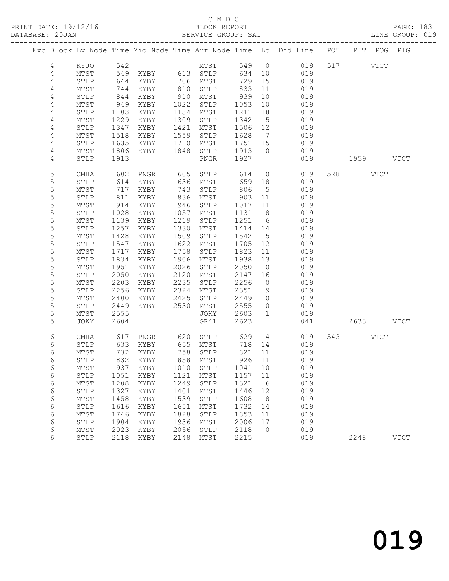|                 |                 |              |                   |              |               |              |                      | Exc Block Lv Node Time Mid Node Time Arr Node Time Lo Dhd Line POT PIT POG PIG |           |             |
|-----------------|-----------------|--------------|-------------------|--------------|---------------|--------------|----------------------|--------------------------------------------------------------------------------|-----------|-------------|
| $\overline{4}$  | KYJO 542        |              |                   |              | MTST          |              |                      | 549 0 019                                                                      | 517 VTCT  |             |
| 4               | MTST            |              | 549 KYBY 613 STLP |              |               | 634 10       |                      | 019                                                                            |           |             |
| 4               | STLP            | 644          | KYBY 706 MTST     |              |               | 729          | 15                   | 019                                                                            |           |             |
| 4               | MTST            | 744          | KYBY              | 810          | STLP          | 833          | 11                   | 019                                                                            |           |             |
| $\overline{4}$  | STLP            | 844          | KYBY              |              | 910 MTST      | 939          | 10                   | 019                                                                            |           |             |
| 4               | MTST            | 949          | KYBY              | 1022         | STLP          | 1053         | 10                   | 019                                                                            |           |             |
| 4               | STLP            | 1103         | KYBY              | 1134         | MTST          | 1211         | 18                   | 019                                                                            |           |             |
| 4               | MTST            | 1229         | KYBY              | 1309         | STLP          | 1342         | $5^{\circ}$          | 019                                                                            |           |             |
| $\sqrt{4}$      | STLP            | 1347         | KYBY              | 1421         | MTST          | 1506 12      |                      | 019                                                                            |           |             |
| $\overline{4}$  | MTST            | 1518         | KYBY              | 1559         | STLP          | 1628         | $\overline{7}$       | 019                                                                            |           |             |
| 4               | STLP            | 1635         | KYBY              | 1710         | MTST          | 1751 15      |                      | 019                                                                            |           |             |
| 4               | MTST            | 1806         | KYBY              | 1848         | STLP          | 1913         | $\bigcirc$           | 019                                                                            |           |             |
| 4               | STLP            | 1913         |                   |              | PNGR          | 1927         |                      | 019                                                                            | 1959 VTCT |             |
| 5               | CMHA            | 602          | PNGR              | 605          | STLP          | 614          |                      | $\overline{O}$<br>019                                                          | 528 VTCT  |             |
| 5               | STLP            | 614          | KYBY              |              | 636 MTST      | 659          | 18                   | 019                                                                            |           |             |
| $\mathsf S$     | MTST            | 717          | KYBY              | 743          | STLP          | 806          | $5^{\circ}$          | 019                                                                            |           |             |
| 5               | STLP            | 811          | KYBY              | 836          | MTST          | 903          | 11                   | 019                                                                            |           |             |
| 5               | MTST            | 914          | KYBY              | 946          | STLP          | 1017 11      |                      | 019                                                                            |           |             |
| 5               | STLP            | 1028         | KYBY              | 1057         | MTST          | 1131         | 8 <sup>8</sup>       | 019                                                                            |           |             |
| 5               | MTST            | 1139         | KYBY              | 1219         | STLP          | 1251 6       |                      | 019                                                                            |           |             |
| $\mathsf S$     | ${\tt STLP}$    | 1257         | KYBY              | 1330         | MTST          | 1414 14      |                      | 019                                                                            |           |             |
| $\mathsf S$     | MTST            | 1428         | KYBY              | 1509         | STLP          | 1542         | $5^{\circ}$          | 019                                                                            |           |             |
| 5               | STLP            | 1547         | KYBY              | 1622         | MTST          | 1705         | 12                   | 019                                                                            |           |             |
| 5               | MTST            | 1717         | KYBY              | 1758         | STLP          | 1823         | 11                   | 019                                                                            |           |             |
| $\mathsf S$     | STLP            | 1834         | KYBY              | 1906         | MTST          | 1938         | 13                   | 019                                                                            |           |             |
| 5<br>5          | $\mathtt{MTST}$ | 1951         | KYBY              | 2026         | STLP          | 2050         | $\overline{0}$       | 019                                                                            |           |             |
| 5               | STLP            | 2050<br>2203 | KYBY              | 2120<br>2235 | MTST          | 2147<br>2256 | 16<br>$\overline{0}$ | 019<br>019                                                                     |           |             |
| $\mathsf S$     | MTST<br>STLP    | 2256         | KYBY<br>KYBY      | 2324         | STLP<br>MTST  | 2351         | 9                    | 019                                                                            |           |             |
| 5               | MTST            | 2400         | KYBY              | 2425         | STLP          | 2449         | $\overline{0}$       | 019                                                                            |           |             |
| 5               | STLP            | 2449         | KYBY              | 2530         | MTST          | 2555         | $\overline{0}$       | 019                                                                            |           |             |
| 5               | MTST            | 2555         |                   |              | JOKY          | 2603         | $\mathbf{1}$         | 019                                                                            |           |             |
| 5               | JOKY            | 2604         |                   |              | GR41          | 2623         |                      | 041                                                                            | 2633 VTCT |             |
| 6               | CMHA            | 617          |                   |              | PNGR 620 STLP |              |                      | 629 4<br>019                                                                   | 543 VTCT  |             |
| 6               | STLP            | 633          | KYBY              |              | 655 MTST      | 718          | 14                   | 019                                                                            |           |             |
| 6               | MTST            | 732          | KYBY              |              | 758 STLP      | 821          | 11                   | 019                                                                            |           |             |
| 6               | STLP            |              | 832 KYBY          |              | 858 MTST      | 926 11       |                      | 019                                                                            |           |             |
| $6\phantom{.}6$ | MTST            |              |                   |              |               |              |                      | 937 KYBY 1010 STLP 1041 10 019                                                 |           |             |
| 6               | STLP            | 1051         | KYBY              | 1121         | MTST          | 1157         | 11                   | 019                                                                            |           |             |
| 6               | MTST            | 1208         | KYBY              | 1249         | STLP          | 1321         | 6                    | 019                                                                            |           |             |
| 6               | STLP            | 1327         | KYBY              | 1401         | MTST          | 1446         | 12                   | 019                                                                            |           |             |
| 6               | MTST            | 1458         | KYBY              | 1539         | STLP          | 1608         | 8                    | 019                                                                            |           |             |
| 6               | STLP            | 1616         | KYBY              | 1651         | MTST          | 1732         | 14                   | 019                                                                            |           |             |
| 6               | MTST            | 1746         | KYBY              | 1828         | STLP          | 1853         | 11                   | 019                                                                            |           |             |
| 6               | STLP            | 1904         | KYBY              | 1936         | MTST          | 2006         | 17                   | 019                                                                            |           |             |
| 6               | MTST            | 2023         | KYBY              | 2056         | STLP          | 2118         | $\overline{0}$       | 019                                                                            |           |             |
| 6               | STLP            | 2118         | KYBY              | 2148         | MTST          | 2215         |                      | 019                                                                            | 2248      | <b>VTCT</b> |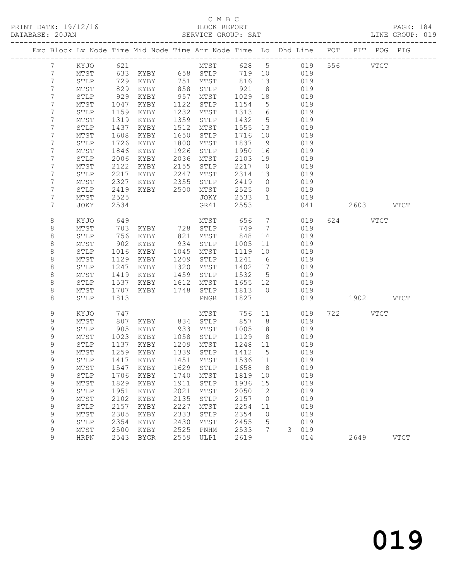|                |                 |                 |             | Exc Block Lv Node Time Mid Node Time Arr Node Time Lo Dhd Line POT PIT POG PIG |           |      |         |                 |   |           |           |             |
|----------------|-----------------|-----------------|-------------|--------------------------------------------------------------------------------|-----------|------|---------|-----------------|---|-----------|-----------|-------------|
| 7              | KYJO            | 621             |             |                                                                                |           | MTST |         |                 |   | 628 5 019 | 556 VTCT  |             |
| $7\phantom{.}$ | MTST            |                 |             | 633 KYBY 658 STLP                                                              |           |      | 719     | 10              |   | 019       |           |             |
| $7\phantom{.}$ | STLP            |                 | 729 KYBY    |                                                                                | 751 MTST  |      | 816     | 13              |   | 019       |           |             |
| 7              | MTST            | $\frac{1}{829}$ | KYBY        |                                                                                | 858       | STLP | 921     | 8               |   | 019       |           |             |
| 7              | STLP            | 929             | KYBY        |                                                                                | 957       | MTST | 1029    | 18              |   | 019       |           |             |
| 7              | MTST            | 1047            | KYBY        | 1122                                                                           |           | STLP | 1154    | 5               |   | 019       |           |             |
| 7              | STLP            | 1159            | KYBY        | 1232                                                                           |           | MTST | 1313    | 6               |   | 019       |           |             |
| 7              | MTST            | 1319            | KYBY        | 1359                                                                           |           | STLP | 1432    | $5\overline{)}$ |   | 019       |           |             |
| 7              | STLP            | 1437            | KYBY        | 1512                                                                           |           | MTST | 1555    | 13              |   | 019       |           |             |
| 7              | MTST            | 1608            | KYBY        | 1650                                                                           |           | STLP | 1716    | 10              |   | 019       |           |             |
| 7              | STLP            | 1726            | KYBY        | 1800                                                                           |           | MTST | 1837    | 9               |   | 019       |           |             |
| 7              | MTST            | 1846            | KYBY        | 1926                                                                           |           | STLP | 1950    | 16              |   | 019       |           |             |
| 7              | STLP            | 2006            | KYBY        | 2036                                                                           |           | MTST | 2103    | 19              |   | 019       |           |             |
| 7              | MTST            | 2122            | KYBY        | 2155                                                                           |           | STLP | 2217    | $\overline{0}$  |   | 019       |           |             |
| 7              | STLP            | 2217            | KYBY        | 2247                                                                           |           | MTST | 2314    | 13              |   | 019       |           |             |
| 7              | MTST            | 2327            | KYBY        | 2355                                                                           |           | STLP | 2419    | $\overline{0}$  |   | 019       |           |             |
| 7              | STLP            | 2419            | KYBY        | 2500                                                                           |           | MTST | 2525    | $\circ$         |   | 019       |           |             |
| 7              | MTST            | 2525            |             |                                                                                |           | JOKY | 2533    | $\mathbf{1}$    |   | 019       |           |             |
| 7              | JOKY            | 2534            |             |                                                                                |           | GR41 | 2553    |                 |   | 041       | 2603 VTCT |             |
| 8              | KYJO            | 649             |             |                                                                                |           | MTST | 656     | $7\overline{ }$ |   | 019       | 624 VTCT  |             |
| 8              | MTST            | 703             |             | KYBY 728 STLP                                                                  |           |      | 749     | $\overline{7}$  |   | 019       |           |             |
| $\,8\,$        | STLP            | 756             | KYBY        | 821                                                                            |           | MTST | 848     | 14              |   | 019       |           |             |
| $\,8\,$        | MTST            | 902             | KYBY        |                                                                                | 934       | STLP | 1005    | 11              |   | 019       |           |             |
| 8              | STLP            | 1016            | KYBY        | 1045                                                                           |           | MTST | 1119    | 10              |   | 019       |           |             |
| $\,8\,$        | MTST            | 1129            | KYBY        | 1209                                                                           |           | STLP | 1241    | 6               |   | 019       |           |             |
| $\,8\,$        | STLP            | 1247            | KYBY        | 1320                                                                           |           | MTST | 1402    | 17              |   | 019       |           |             |
| $\,8\,$        | MTST            | 1419            | KYBY        | 1459                                                                           |           | STLP | 1532    | $5^{\circ}$     |   | 019       |           |             |
| 8              | STLP            | 1537            | KYBY        | 1612                                                                           |           | MTST | 1655    | 12              |   | 019       |           |             |
| 8              | MTST            | 1707            | KYBY        | 1748                                                                           |           | STLP | 1813    | $\overline{0}$  |   | 019       |           |             |
| 8              | STLP            | 1813            |             |                                                                                |           | PNGR | 1827    |                 |   | 019       | 1902 VTCT |             |
| 9              | KYJO            | 747             |             |                                                                                |           | MTST | 756     | 11              |   | 019       | 722 VTCT  |             |
| 9              | MTST            | 807             | KYBY        | 834                                                                            |           | STLP | 857     | 8 <sup>8</sup>  |   | 019       |           |             |
| 9              | STLP            | 905             | KYBY        | 933                                                                            |           | MTST | 1005    | 18              |   | 019       |           |             |
| 9              | MTST            | 1023            | KYBY        | 1058                                                                           |           | STLP | 1129    | 8 <sup>8</sup>  |   | 019       |           |             |
| 9              | STLP            | 1137            | KYBY        | 1209                                                                           |           | MTST | 1248    | 11              |   | 019       |           |             |
| 9              | MTST            | 1259            | KYBY        | 1339                                                                           |           | STLP | 1412    | $5^{\circ}$     |   | 019       |           |             |
| 9              | STLP            |                 | 1417 KYBY   |                                                                                | 1451 MTST |      | 1536 11 |                 |   | 019       |           |             |
| 9              | MTST            |                 | 1547 KYBY   |                                                                                | 1629 STLP |      | 1658 8  |                 |   | 019       |           |             |
| 9              | STLP            | 1706            | KYBY        | 1740                                                                           |           | MTST | 1819    | 10              |   | 019       |           |             |
| $\mathsf 9$    | MTST            | 1829            | KYBY        | 1911                                                                           |           | STLP | 1936    | 15              |   | 019       |           |             |
| $\mathsf 9$    | ${\tt STLP}$    | 1951            | KYBY        | 2021                                                                           |           | MTST | 2050    | 12              |   | 019       |           |             |
| $\mathsf 9$    | $\mathtt{MTST}$ | 2102            | KYBY        | 2135                                                                           |           | STLP | 2157    | $\circ$         |   | 019       |           |             |
| $\mathsf 9$    | STLP            | 2157            | KYBY        | 2227                                                                           |           | MTST | 2254    | $11$            |   | 019       |           |             |
| $\mathsf 9$    | MTST            | 2305            | KYBY        | 2333                                                                           |           | STLP | 2354    | 0               |   | 019       |           |             |
| 9              | STLP            | 2354            | KYBY        | 2430                                                                           |           | MTST | 2455    | 5               |   | 019       |           |             |
| $\mathsf 9$    | MTST            | 2500            | KYBY        | 2525                                                                           |           | PNHM | 2533    | 7               | 3 | 019       |           |             |
| 9              | <b>HRPN</b>     | 2543            | <b>BYGR</b> | 2559                                                                           |           | ULP1 | 2619    |                 |   | 014       | 2649      | <b>VTCT</b> |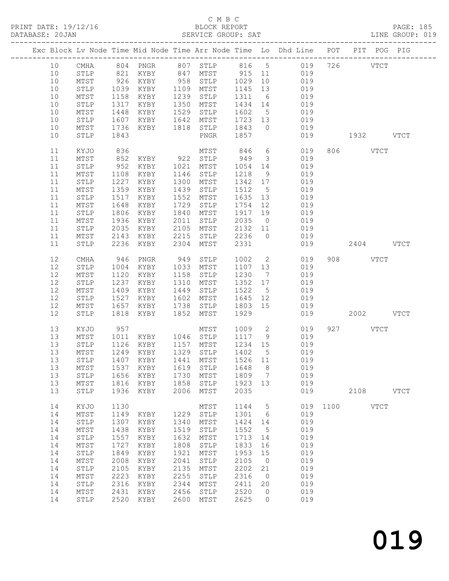### C M B C<br>BLOCK REPORT

| PRINT DATE: 19/12/16<br>DATABASE: 20JAN |                 |                         |              |                               |              |                                |              |                         | /16 BLOCK REPORT<br>SERVICE GROUP: SAT                                         |               |           |             | PAGE: 185<br>LINE GROUP: 019 |
|-----------------------------------------|-----------------|-------------------------|--------------|-------------------------------|--------------|--------------------------------|--------------|-------------------------|--------------------------------------------------------------------------------|---------------|-----------|-------------|------------------------------|
|                                         |                 |                         |              |                               |              |                                |              |                         | Exc Block Lv Node Time Mid Node Time Arr Node Time Lo Dhd Line POT PIT POG PIG |               |           |             |                              |
|                                         | 10              |                         |              |                               |              |                                |              |                         | CMHA 804 PNGR 807 STLP 816 5 019 726 VTCT                                      |               |           |             |                              |
|                                         | 10              |                         |              | STLP 821 KYBY 847 MTST 915 11 |              |                                |              |                         | 019                                                                            |               |           |             |                              |
|                                         | 10              | MTST                    |              | 926 KYBY 958                  |              | STLP                           | 1029         | 10                      | 019                                                                            |               |           |             |                              |
|                                         | 10              | STLP                    |              | 1039 KYBY                     |              | 1109 MTST                      | 1145         | 13                      | 019                                                                            |               |           |             |                              |
|                                         | 10              | MTST                    |              | 1158 KYBY                     | 1239         | STLP                           | 1311         | $6\overline{6}$         | 019                                                                            |               |           |             |                              |
|                                         | 10              | STLP                    |              | 1317 KYBY                     | 1350         | MTST                           | 1434 14      |                         | 019                                                                            |               |           |             |                              |
|                                         | 10              | MTST                    |              | 1448 KYBY                     | 1529         | STLP                           | 1602         |                         | 019<br>$5\overline{)}$                                                         |               |           |             |                              |
|                                         | 10              | STLP                    |              | 1607 KYBY                     | 1642         | MTST                           | 1723 13      |                         | 019                                                                            |               |           |             |                              |
|                                         | 10              | MTST                    |              | 1736 KYBY 1818 STLP           |              |                                | 1843 0       |                         | 019                                                                            |               |           |             |                              |
|                                         | 10              | STLP                    | 1843         |                               |              | PNGR                           | 1857         |                         | 019                                                                            |               | 1932 VTCT |             |                              |
|                                         | 11              | KYJO                    | 836          |                               |              | MTST                           | 846 6        |                         | 019                                                                            |               | 806 VTCT  |             |                              |
|                                         | 11              | MTST                    |              | 852 KYBY 922 STLP             |              |                                | 949          | $\overline{\mathbf{3}}$ | 019                                                                            |               |           |             |                              |
|                                         | 11              | STLP                    |              | 952 KYBY                      | 1021         | MTST                           | 1054         | 14                      | 019                                                                            |               |           |             |                              |
|                                         | 11              | MTST                    |              | 1108 KYBY<br>1227 KYBY        | 1146         | STLP                           | 1218         |                         | 9<br>019                                                                       |               |           |             |                              |
|                                         | 11<br>11        | STLP<br>MTST            |              | 1359 KYBY                     | 1300<br>1439 | MTST<br>STLP                   | 1342<br>1512 | 17<br>$5^{\circ}$       | 019<br>019                                                                     |               |           |             |                              |
|                                         | 11              | STLP                    |              | 1517 KYBY                     | 1552         | MTST                           | 1635         | 13                      | 019                                                                            |               |           |             |                              |
|                                         | 11              | MTST                    | 1648         | KYBY                          | 1729         | STLP                           | 1754         | 12                      | 019                                                                            |               |           |             |                              |
|                                         | 11              | STLP                    |              | 1806 KYBY                     | 1840         | MTST                           | 1917         | 19                      | 019                                                                            |               |           |             |                              |
|                                         | 11              | MTST                    |              | 1936 KYBY                     | 2011         | STLP                           | 2035         | $\overline{0}$          | 019                                                                            |               |           |             |                              |
|                                         | 11              | STLP                    |              | 2035 KYBY                     |              | 2105 MTST                      | 2132 11      |                         | 019                                                                            |               |           |             |                              |
|                                         | 11              | MTST                    | 2143         | KYBY                          | 2215         | STLP                           | 2236         | $\bigcirc$              | 019                                                                            |               |           |             |                              |
|                                         | 11              | STLP                    |              | 2236 KYBY                     | 2304         | MTST                           | 2331         |                         | 019                                                                            | $2404$ VTCT   |           |             |                              |
|                                         | 12              | CMHA                    |              | 946 PNGR                      | 949          | STLP                           | 1002 2       |                         | 019                                                                            |               | 908 VTCT  |             |                              |
|                                         | 12 <sup>°</sup> | STLP                    |              | 1004 KYBY                     | 1033         | MTST                           | 1107 13      |                         | 019                                                                            |               |           |             |                              |
|                                         | 12              | MTST                    |              | 1120 KYBY                     | 1158         | STLP                           | 1230         | $\overline{7}$          | 019                                                                            |               |           |             |                              |
|                                         | 12              | STLP                    |              | 1237 KYBY                     | 1310         | MTST                           | 1352         | 17                      | 019                                                                            |               |           |             |                              |
|                                         | 12 <sup>°</sup> | MTST                    |              | 1409 KYBY                     | 1449         | STLP                           | 1522         | $5^{\circ}$             | 019                                                                            |               |           |             |                              |
|                                         | 12              | STLP                    |              | 1527 KYBY                     | 1602         | MTST                           | 1645         |                         | 12<br>019                                                                      |               |           |             |                              |
|                                         | 12              | MTST                    |              | 1657 KYBY                     | 1738         | STLP                           | 1803         |                         | 15<br>019                                                                      |               |           |             |                              |
|                                         | 12              | STLP                    | 1818         | KYBY                          | 1852         | MTST                           | 1929         |                         |                                                                                | 019 2002 VTCT |           |             |                              |
|                                         | 13              |                         |              | KYJO 957                      |              | MTST                           |              |                         | 1009 2<br>019                                                                  |               | 927 VTCT  |             |                              |
|                                         | 13              |                         |              | MTST 1011 KYBY 1046 STLP      |              |                                | 1117 9       |                         | 019                                                                            |               |           |             |                              |
|                                         | 13              | STLP                    |              | 1126 KYBY                     |              | 1157 MTST                      | 1234 15      |                         | 019                                                                            |               |           |             |                              |
|                                         |                 |                         |              |                               |              |                                |              |                         | 13 MTST 1249 KYBY 1329 STLP 1402 5 019                                         |               |           |             |                              |
|                                         | 13              | STLP                    | 1407         | KYBY                          | 1441         | MTST                           | 1526         | 11                      | 019                                                                            |               |           |             |                              |
|                                         | 13              | MTST                    | 1537         | KYBY                          | 1619         | STLP                           | 1648         | 8                       | 019                                                                            |               |           |             |                              |
|                                         | 13              | STLP                    | 1656         | KYBY                          | 1730         | MTST                           | 1809         | 7                       | 019                                                                            |               |           |             |                              |
|                                         | 13<br>13        | $\mathtt{MTST}$<br>STLP | 1816<br>1936 | KYBY<br>KYBY                  | 1858<br>2006 | STLP<br>MTST                   | 1923<br>2035 | 13                      | 019<br>019                                                                     |               | 2108      |             | <b>VTCT</b>                  |
|                                         |                 |                         |              |                               |              |                                |              |                         |                                                                                |               |           |             |                              |
|                                         | 14              | KYJO                    | 1130         |                               |              | MTST                           | 1144         | 5                       | 019                                                                            | 1100          |           | <b>VTCT</b> |                              |
|                                         | 14<br>14        | MTST<br>${\tt STLP}$    | 1149<br>1307 | KYBY<br>KYBY                  | 1229<br>1340 | STLP<br>MTST                   | 1301<br>1424 | 6<br>14                 | 019<br>019                                                                     |               |           |             |                              |
|                                         | 14              | MTST                    | 1438         | KYBY                          | 1519         | STLP                           | 1552         | $5\phantom{.0}$         | 019                                                                            |               |           |             |                              |
|                                         | 14              | STLP                    | 1557         | KYBY                          | 1632         | MTST                           | 1713         | 14                      | 019                                                                            |               |           |             |                              |
|                                         | 14              | MTST                    | 1727         | KYBY                          | 1808         | STLP                           | 1833         | 16                      | 019                                                                            |               |           |             |                              |
|                                         | 14              | STLP                    | 1849         | KYBY                          | 1921         | MTST                           | 1953         | 15                      | 019                                                                            |               |           |             |                              |
|                                         | 14              | $\mathtt{MTST}$         | 2008         | KYBY                          | 2041         | ${\tt STLP}$                   | 2105         | $\overline{0}$          | 019                                                                            |               |           |             |                              |
|                                         | 14              | ${\tt STLP}$            | 2105         | KYBY                          | 2135         | MTST                           | 2202         | 21                      | 019                                                                            |               |           |             |                              |
|                                         | 14              | MTST                    | 2223         | KYBY                          | 2255         | STLP                           | 2316         | $\overline{0}$          | 019                                                                            |               |           |             |                              |
|                                         | 14              | STLP                    | 2316         | KYBY                          | 2344         | MTST                           | 2411         | 20                      | 019                                                                            |               |           |             |                              |
|                                         | 14              | $\mathtt{MTST}$         | 2431         | KYBY                          | 2456         | $\operatorname{\mathtt{STLP}}$ | 2520         | $\circ$                 | 019                                                                            |               |           |             |                              |

14 STLP 2520 KYBY 2600 MTST 2625 0 019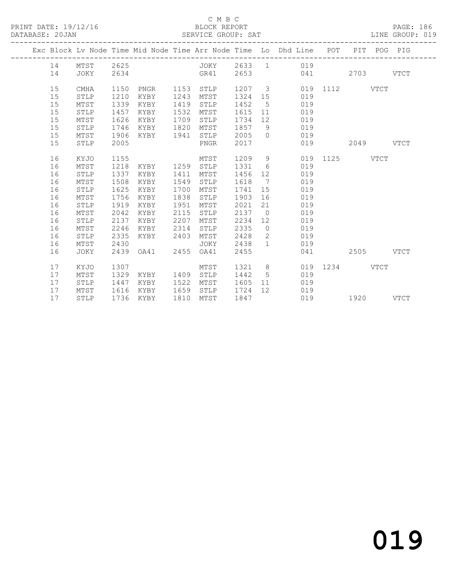### C M B C<br>BLOCK REPORT

| DATABASE: 20JAN |    |             |      |      |      | SERVICE GROUP: SAT |        |                 |                                                                                |      |             |             | LINE GROUP: 019 |  |
|-----------------|----|-------------|------|------|------|--------------------|--------|-----------------|--------------------------------------------------------------------------------|------|-------------|-------------|-----------------|--|
|                 |    |             |      |      |      |                    |        |                 | Exc Block Lv Node Time Mid Node Time Arr Node Time Lo Dhd Line POT PIT POG PIG |      |             |             |                 |  |
|                 | 14 | MTST        | 2625 |      |      | JOKY               | 2633 1 |                 | 019                                                                            |      |             |             |                 |  |
|                 | 14 | JOKY        | 2634 |      |      | GR41               | 2653   |                 | 041                                                                            |      | 2703        |             | <b>VTCT</b>     |  |
|                 | 15 | <b>CMHA</b> | 1150 | PNGR | 1153 | STLP               | 1207 3 |                 | 019                                                                            | 1112 |             | <b>VTCT</b> |                 |  |
|                 | 15 | STLP        | 1210 | KYBY | 1243 | MTST               | 1324   | 15              | 019                                                                            |      |             |             |                 |  |
|                 | 15 | MTST        | 1339 | KYBY | 1419 | STLP               | 1452   | 5               | 019                                                                            |      |             |             |                 |  |
|                 | 15 | STLP        | 1457 | KYBY | 1532 | MTST               | 1615   | 11              | 019                                                                            |      |             |             |                 |  |
|                 | 15 | MTST        | 1626 | KYBY | 1709 | STLP               | 1734   | 12 <sup>°</sup> | 019                                                                            |      |             |             |                 |  |
|                 | 15 | STLP        | 1746 | KYBY | 1820 | MTST               | 1857   | 9               | 019                                                                            |      |             |             |                 |  |
|                 | 15 | MTST        | 1906 | KYBY | 1941 | STLP               | 2005   | $\Omega$        | 019                                                                            |      |             |             |                 |  |
|                 | 15 | STLP        | 2005 |      |      | PNGR               | 2017   |                 | 019                                                                            |      | 2049        |             | <b>VTCT</b>     |  |
|                 | 16 | KYJO        | 1155 |      |      | MTST               | 1209   | 9               | 019                                                                            | 1125 |             | VTCT        |                 |  |
|                 | 16 | MTST        | 1218 | KYBY | 1259 | STLP               | 1331   | 6               | 019                                                                            |      |             |             |                 |  |
|                 | 16 | STLP        | 1337 | KYBY | 1411 | MTST               | 1456   | 12 <sup>°</sup> | 019                                                                            |      |             |             |                 |  |
|                 | 16 | MTST        | 1508 | KYBY | 1549 | STLP               | 1618   | 7               | 019                                                                            |      |             |             |                 |  |
|                 | 16 | STLP        | 1625 | KYBY | 1700 | MTST               | 1741   | 15              | 019                                                                            |      |             |             |                 |  |
|                 | 16 | MTST        | 1756 | KYBY | 1838 | STLP               | 1903   | 16              | 019                                                                            |      |             |             |                 |  |
|                 | 16 | STLP        | 1919 | KYBY | 1951 | MTST               | 2021   | 21              | 019                                                                            |      |             |             |                 |  |
|                 | 16 | MTST        | 2042 | KYBY | 2115 | STLP               | 2137   | $\overline{0}$  | 019                                                                            |      |             |             |                 |  |
|                 | 16 | STLP        | 2137 | KYBY | 2207 | MTST               | 2234   | 12 <sup>°</sup> | 019                                                                            |      |             |             |                 |  |
|                 | 16 | MTST        | 2246 | KYBY | 2314 | STLP               | 2335   | $\overline{0}$  | 019                                                                            |      |             |             |                 |  |
|                 | 16 | STLP        | 2335 | KYBY | 2403 | MTST               | 2428   | $\mathbf{2}$    | 019                                                                            |      |             |             |                 |  |
|                 | 16 | MTST        | 2430 |      |      | JOKY               | 2438   | $\mathbf{1}$    | 019                                                                            |      |             |             |                 |  |
|                 | 16 | JOKY        | 2439 | OA41 | 2455 | OA41               | 2455   |                 | 041                                                                            |      | 2505        |             | <b>VTCT</b>     |  |
|                 | 17 | KYJO        | 1307 |      |      | MTST               | 1321   | 8               | 019                                                                            | 1234 | <b>VTCT</b> |             |                 |  |
|                 | 17 | MTST        | 1329 | KYBY | 1409 | STLP               | 1442   | 5               | 019                                                                            |      |             |             |                 |  |
|                 | 17 | STLP        | 1447 | KYBY | 1522 | MTST               | 1605   | 11              | 019                                                                            |      |             |             |                 |  |
|                 | 17 | MTST        | 1616 | KYBY | 1659 | STLP               | 1724   | 12 <sup>°</sup> | 019                                                                            |      |             |             |                 |  |
|                 | 17 | STLP        | 1736 | KYBY | 1810 | MTST               | 1847   |                 | 019                                                                            |      | 1920        |             | <b>VTCT</b>     |  |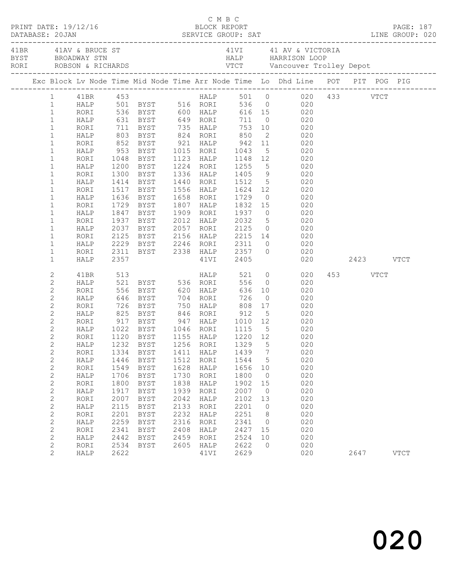|                              |                |      |                                 |      |           | C M B C              |                | C M B C<br>PRINT DATE: 19/12/16 BLOCK REPORT PAGE: 187<br>DATABASE: 20JAN SERVICE GROUP: SAT LINE GROUP: 020                                                                                                                                                                                                                   |          |             |
|------------------------------|----------------|------|---------------------------------|------|-----------|----------------------|----------------|--------------------------------------------------------------------------------------------------------------------------------------------------------------------------------------------------------------------------------------------------------------------------------------------------------------------------------|----------|-------------|
|                              |                |      |                                 |      |           |                      |                |                                                                                                                                                                                                                                                                                                                                |          |             |
|                              |                |      |                                 |      |           |                      |                | Exc Block Lv Node Time Mid Node Time Arr Node Time Lo Dhd Line POT PIT POG PIG                                                                                                                                                                                                                                                 |          |             |
|                              | 1   41BR   453 |      |                                 |      |           |                      |                | HALP 501 0 020 433 VTCT                                                                                                                                                                                                                                                                                                        |          |             |
| $\mathbf{1}$                 |                |      |                                 |      |           |                      |                | HALP 501 BYST 516 RORI 536 0 020                                                                                                                                                                                                                                                                                               |          |             |
| $\mathbf{1}$                 |                |      |                                 |      |           |                      |                | RORI 536 BYST 600 HALP 616 15 020<br>HALP 631 BYST 649 RORI 711 0 020<br>RORI 711 BYST 735 HALP 753 10 020<br>HALP 803 BYST 824 RORI 850 2 020                                                                                                                                                                                 |          |             |
| $\mathbf{1}$                 |                |      |                                 |      |           |                      |                |                                                                                                                                                                                                                                                                                                                                |          |             |
| $\mathbf{1}$                 |                |      |                                 |      |           |                      |                |                                                                                                                                                                                                                                                                                                                                |          |             |
| $\mathbf{1}$                 |                |      |                                 |      |           |                      |                |                                                                                                                                                                                                                                                                                                                                |          |             |
| $\mathbf{1}$                 | RORI           |      |                                 |      |           |                      |                | 852 BYST 921 HALP 942 11 020<br>953 BYST 1015 RORI 1043 5 020<br>1048 BYST 1123 HALP 1148 12 020                                                                                                                                                                                                                               |          |             |
| $\mathbf{1}$                 | HALP           |      |                                 |      |           |                      |                |                                                                                                                                                                                                                                                                                                                                |          |             |
| $1\,$                        | RORI           |      |                                 |      |           |                      |                |                                                                                                                                                                                                                                                                                                                                |          |             |
| $\mathbf{1}$                 | HALP           |      | 1200 BYST                       |      | 1224 RORI | 1255                 |                | $\frac{1}{5}$ 020                                                                                                                                                                                                                                                                                                              |          |             |
| $\mathbf{1}$                 | RORI           |      | 1300 BYST                       |      |           | 1336 HALP 1405       |                | 9 020                                                                                                                                                                                                                                                                                                                          |          |             |
| $\mathbf{1}$                 | HALP           |      | 1414 BYST                       |      | 1440 RORI |                      |                | 1512 5 020<br>1624 12 020                                                                                                                                                                                                                                                                                                      |          |             |
| $1\,$                        | RORI           |      | 1517 BYST                       |      | 1556 HALP | 1729                 |                | $\begin{array}{c}\n 0 \\  \hline\n 0\n \end{array}$                                                                                                                                                                                                                                                                            |          |             |
| $\mathbf{1}$                 | HALP           |      | 1636 BYST                       |      | 1658 RORI |                      |                |                                                                                                                                                                                                                                                                                                                                |          |             |
| $\mathbf{1}$                 | RORI           |      | 1729 BYST                       |      |           |                      |                | 1807 HALP 1832 15 020                                                                                                                                                                                                                                                                                                          |          |             |
| $\mathbf{1}$                 | HALP           |      | 1847 BYST                       |      | 1909 RORI |                      |                | $\begin{matrix} 0 & 0 & 2 & 0 \\ 0 & 0 & 0 & 0 \\ 0 & 0 & 0 & 0 \\ 0 & 0 & 0 & 0 \\ 0 & 0 & 0 & 0 \\ 0 & 0 & 0 & 0 \\ 0 & 0 & 0 & 0 \\ 0 & 0 & 0 & 0 \\ 0 & 0 & 0 & 0 \\ 0 & 0 & 0 & 0 \\ 0 & 0 & 0 & 0 \\ 0 & 0 & 0 & 0 \\ 0 & 0 & 0 & 0 & 0 \\ 0 & 0 & 0 & 0 & 0 \\ 0 & 0 & 0 & 0 & 0 \\ 0 & 0 & 0 & 0 & 0 & 0 \\ 0 & 0 & 0$ |          |             |
| $1\,$                        | RORI           |      | 1937 BYST<br>2037 BYST          |      | 2012 HALP | 1937<br>2032<br>2125 |                | $\begin{array}{ccc} 5 & \quad & 020 \\ 0 & \quad & 020 \end{array}$                                                                                                                                                                                                                                                            |          |             |
| $\mathbf{1}$<br>$\mathbf{1}$ | HALP           |      |                                 |      | 2057 RORI |                      |                | 2125 BYST 2156 HALP 2215 14 020                                                                                                                                                                                                                                                                                                |          |             |
| $\mathbf{1}$                 | RORI<br>HALP   |      |                                 |      |           |                      |                |                                                                                                                                                                                                                                                                                                                                |          |             |
| $\mathbf{1}$                 | RORI           |      |                                 |      |           |                      |                |                                                                                                                                                                                                                                                                                                                                |          |             |
| $\mathbf{1}$                 | HALP           |      |                                 |      |           |                      |                | 2229 BYST 2246 RORI 2311 0 020<br>2311 BYST 2338 HALP 2357 0 020<br>2357       41VI 2405      020     2423   VTCT                                                                                                                                                                                                              |          |             |
|                              |                |      |                                 |      |           |                      |                |                                                                                                                                                                                                                                                                                                                                |          |             |
| $\mathbf{2}$                 | 41BR           |      |                                 |      |           |                      |                | HALP 521 0 020                                                                                                                                                                                                                                                                                                                 | 453 VTCT |             |
| $\mathbf{2}$                 | HALP           |      |                                 |      |           |                      |                | 020<br>$\begin{array}{c} 0 \\ 10 \end{array}$                                                                                                                                                                                                                                                                                  |          |             |
| $\sqrt{2}$<br>$\mathbf{2}$   | RORI<br>HALP   |      | 646 BYST 704 RORI               |      |           | 726                  | $\overline{0}$ | 020<br>020                                                                                                                                                                                                                                                                                                                     |          |             |
| $\mathbf{2}$                 |                |      |                                 |      |           |                      |                |                                                                                                                                                                                                                                                                                                                                |          |             |
| $\sqrt{2}$                   | RORI<br>HALP   |      | 726 BYST 750 HALP               |      |           | 808                  |                | 17 020                                                                                                                                                                                                                                                                                                                         |          |             |
| $\mathbf{2}$                 | RORI           |      |                                 |      |           |                      |                |                                                                                                                                                                                                                                                                                                                                |          |             |
| $\overline{c}$               |                |      |                                 |      |           |                      |                | HALP 1022 BYST 1046 RORI 1115 5 020                                                                                                                                                                                                                                                                                            |          |             |
| $\overline{2}$               | RORI           |      | 1120 BYST 1155 HALP             |      |           | 1220 12              |                | 020                                                                                                                                                                                                                                                                                                                            |          |             |
| $\overline{2}$               |                |      | HALP 1232 BYST 1256 RORI 1329 5 |      |           |                      |                | 020                                                                                                                                                                                                                                                                                                                            |          |             |
| $\mathbf{2}$                 | RORI           | 1334 | <b>BYST</b>                     | 1411 | HALP      | 1439                 | 7              | 020                                                                                                                                                                                                                                                                                                                            |          |             |
| $\mathbf{2}$                 | HALP           | 1446 | <b>BYST</b>                     | 1512 | RORI      | 1544                 | 5              | 020                                                                                                                                                                                                                                                                                                                            |          |             |
| $\overline{c}$               | RORI           | 1549 | <b>BYST</b>                     | 1628 | HALP      | 1656                 | 10             | 020                                                                                                                                                                                                                                                                                                                            |          |             |
| $\mathbf{2}$                 | HALP           | 1706 | <b>BYST</b>                     | 1730 | RORI      | 1800                 | 0              | 020                                                                                                                                                                                                                                                                                                                            |          |             |
| $\sqrt{2}$                   | RORI           | 1800 | <b>BYST</b>                     | 1838 | HALP      | 1902                 | 15             | 020                                                                                                                                                                                                                                                                                                                            |          |             |
| $\sqrt{2}$                   | HALP           | 1917 | <b>BYST</b>                     | 1939 | RORI      | 2007                 | 0              | 020                                                                                                                                                                                                                                                                                                                            |          |             |
| $\overline{c}$               | RORI           | 2007 | <b>BYST</b>                     | 2042 | HALP      | 2102                 | 13             | 020                                                                                                                                                                                                                                                                                                                            |          |             |
| $\mathbf{2}$                 | HALP           | 2115 | <b>BYST</b>                     | 2133 | RORI      | 2201                 | 0              | 020                                                                                                                                                                                                                                                                                                                            |          |             |
| $\sqrt{2}$                   | RORI           | 2201 | <b>BYST</b>                     | 2232 | HALP      | 2251                 | 8              | 020                                                                                                                                                                                                                                                                                                                            |          |             |
| $\mathbf{2}$                 | HALP           | 2259 | <b>BYST</b>                     | 2316 | RORI      | 2341                 | 0              | 020                                                                                                                                                                                                                                                                                                                            |          |             |
| $\sqrt{2}$                   | <b>RORI</b>    | 2341 | <b>BYST</b>                     | 2408 | HALP      | 2427                 | 15             | 020                                                                                                                                                                                                                                                                                                                            |          |             |
| $\mathbf{2}$                 | HALP           | 2442 | <b>BYST</b>                     | 2459 | RORI      | 2524                 | 10             | 020                                                                                                                                                                                                                                                                                                                            |          |             |
| $\mathbf{2}$                 | RORI           | 2534 | <b>BYST</b>                     | 2605 | HALP      | 2622                 | $\mathbf 0$    | 020                                                                                                                                                                                                                                                                                                                            |          |             |
| $\mathbf{2}$                 | HALP           | 2622 |                                 |      | 41VI      | 2629                 |                | 020                                                                                                                                                                                                                                                                                                                            | 2647     | <b>VTCT</b> |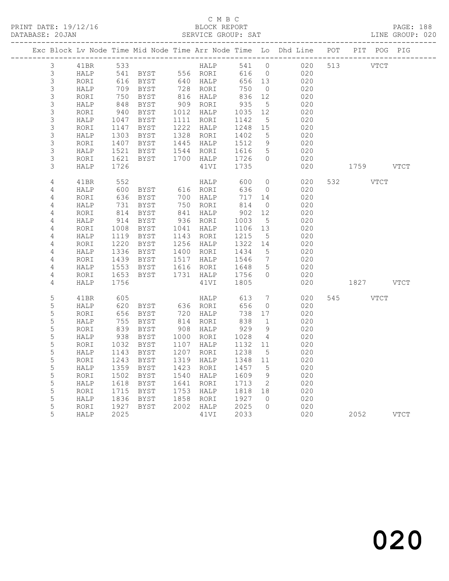|                     |              |              |                      |                                                        |                   |                               | Exc Block Lv Node Time Mid Node Time Arr Node Time Lo Dhd Line POT PIT POG PIG |          |             |      |
|---------------------|--------------|--------------|----------------------|--------------------------------------------------------|-------------------|-------------------------------|--------------------------------------------------------------------------------|----------|-------------|------|
| 3                   | 41BR         | 533          |                      | $\begin{array}{c}\n\text{HALP} \\ \hline\n\end{array}$ |                   |                               | 541 0 020                                                                      | 513 VTCT |             |      |
| $\mathfrak{Z}$      | HALP         |              | 541 BYST 556 RORI    |                                                        | 616               | $\overline{0}$                | 020                                                                            |          |             |      |
| $\mathfrak{Z}$      | RORI         |              | 616 BYST<br>709 BYST | 640 HALP<br>728 RORI<br>816 HALP<br>909 RORI           | 656 13            |                               | 020                                                                            |          |             |      |
| $\mathfrak{Z}$      | HALP         |              |                      |                                                        | 750               | $\overline{0}$                | 020                                                                            |          |             |      |
| 3                   | RORI         | 750          | BYST                 |                                                        | $8$<br>935<br>235 | 12                            | 020                                                                            |          |             |      |
| $\mathsf 3$         | HALP         | 848          | BYST                 |                                                        |                   | 5                             | 020                                                                            |          |             |      |
| 3                   | RORI         | 940          | BYST                 | 1012 HALP<br>1111 RORI                                 | 1035              | 12                            | 020                                                                            |          |             |      |
| 3                   | HALP         | 1047         | BYST                 |                                                        | 1142              | $5\overline{)}$               | 020                                                                            |          |             |      |
| 3                   | RORI         | 1147         | BYST                 | 1222 HALP<br>1328 RORI                                 | 1248              | 15                            | 020                                                                            |          |             |      |
| $\mathsf S$         | HALP         | 1303         | BYST                 |                                                        | 1402              | 5                             | 020                                                                            |          |             |      |
| 3<br>$\mathsf 3$    | RORI         | 1407         | BYST                 | 1445 HALP 1512<br>1544 RORI 1616                       |                   | 9                             | 020                                                                            |          |             |      |
|                     | HALP         | 1521         | BYST<br>BYST         | 1700 HALP                                              | 1726              | $5\overline{)}$<br>$\bigcirc$ | 020<br>020                                                                     |          |             |      |
| 3<br>$\mathfrak{Z}$ | RORI<br>HALP | 1621<br>1726 |                      | 41VI                                                   | 1735              |                               | 020                                                                            | 1759     |             | VTCT |
|                     |              |              |                      |                                                        |                   |                               |                                                                                |          |             |      |
| $\overline{4}$      | 41BR         | 552          |                      | HALP                                                   | 600               | $\overline{0}$                | 020                                                                            | 532      | VTCT        |      |
| 4                   | HALP         | 600          | BYST                 | 616 RORI                                               | 636               | $\overline{0}$                | 020                                                                            |          |             |      |
| $\overline{4}$      | RORI         | 636          | BYST                 | 700 HALP                                               | 717 14            |                               | 020                                                                            |          |             |      |
| $\overline{4}$      | HALP         | 731          | BYST                 | 750 RORI<br>841 HALP                                   | 814               | $\overline{0}$                | 020                                                                            |          |             |      |
| 4                   | RORI         | 814          | BYST                 |                                                        | 902               | 12                            | 020                                                                            |          |             |      |
| 4                   | HALP         | 914          | BYST                 | 936 RORI                                               | $902$<br>$1003$   | $5^{\circ}$                   | 020                                                                            |          |             |      |
| 4                   | RORI         | 1008         | BYST                 | 1041 HALP                                              | 1106              | 13                            | 020                                                                            |          |             |      |
| 4                   | HALP         |              | 1119 BYST            | 1143 RORI                                              | 1215              | $5^{\circ}$                   | 020                                                                            |          |             |      |
| 4                   | RORI         | 1220         | BYST                 | 1256 HALP                                              | 1322 14<br>1434 5 |                               | 020                                                                            |          |             |      |
| 4                   | HALP         | 1336         | BYST                 | 1400 RORI                                              |                   |                               | 020                                                                            |          |             |      |
| 4                   | RORI         | 1439         | BYST                 | 1517 HALP                                              | 1546<br>1648      | $7\phantom{.0}\phantom{.0}7$  | 020                                                                            |          |             |      |
| $\overline{4}$      | HALP         | 1553         | BYST                 | 1616 RORI                                              |                   | $5\overline{)}$               | 020                                                                            |          |             |      |
| 4                   | RORI         | 1653         | BYST                 | 1731 HALP 1756                                         |                   | $\bigcirc$                    | 020                                                                            |          |             |      |
| 4                   | HALP         | 1756         |                      | 41VI                                                   | 1805              |                               | 020                                                                            |          | 1827 VTCT   |      |
| $\mathsf S$         | 41BR         | 605          |                      | HALP                                                   | 613               | $7\phantom{.0}$               | 020                                                                            | 545      | <b>VTCT</b> |      |
| 5                   | HALP         | 620<br>656   |                      |                                                        | 656               | $\overline{0}$                | 020                                                                            |          |             |      |
| 5                   | RORI         |              |                      |                                                        | 738               | 17                            | 020                                                                            |          |             |      |
| 5                   | HALP         | 755          | BYST                 | 814 RORI<br>908 HALP                                   | 838               | $\overline{1}$                | 020                                                                            |          |             |      |
| 5                   | RORI         | 839          | BYST                 |                                                        | 929               | - 9                           | 020                                                                            |          |             |      |
| 5                   | HALP         | 938          | BYST                 | $1000$ RORI                                            | 1028              | $\overline{4}$                | 020                                                                            |          |             |      |
| 5                   | RORI         | 1032         | BYST                 | 1107 HALP                                              | 1132              | 11                            | 020                                                                            |          |             |      |
| 5                   | HALP         | 1143         | BYST                 | 1207 RORI                                              | 1238              | $-5$                          | 020                                                                            |          |             |      |
| 5                   | RORI         | 1243         | BYST                 | 1319 HALP                                              | 1348              | 11                            | 020                                                                            |          |             |      |
| 5                   | HALP         |              | 1359 BYST            | 1423 RORI                                              | 1457              | $5\phantom{.0}$               | 020                                                                            |          |             |      |
| $\mathsf S$         | RORI         | 1502         | BYST                 | 1540 HALP                                              | 1609              | 9                             | 020                                                                            |          |             |      |
| 5                   | HALP         | 1618         | BYST                 | 1641 RORI                                              | 1713              | $\overline{2}$                | 020                                                                            |          |             |      |
| $\mathsf S$         | RORI         | 1715         | BYST                 | 1753 HALP                                              | 1818 18           |                               | 020                                                                            |          |             |      |
| $\mathsf S$         | HALP         | 1836         | BYST                 | 1858 RORI                                              | 1927              | $\bigcirc$                    | 020                                                                            |          |             |      |
| 5                   | RORI         | 1927         | BYST                 | 2002 HALP                                              | 2025              | $\overline{0}$                | 020                                                                            |          |             |      |
| 5                   | HALP         | 2025         |                      | 41VI                                                   | 2033              |                               | 020                                                                            |          | 2052 VTCT   |      |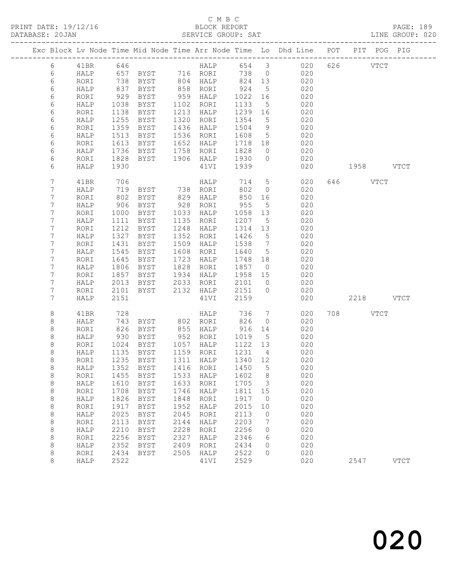|  |            |      |      |                                 |      |             |         |                              | Exc Block Lv Node Time Mid Node Time Arr Node Time Lo Dhd Line POT PIT POG PIG |           |           |             |
|--|------------|------|------|---------------------------------|------|-------------|---------|------------------------------|--------------------------------------------------------------------------------|-----------|-----------|-------------|
|  | 6          | 41BR | 646  |                                 |      | <b>HALP</b> |         |                              | 654 3 020                                                                      | 626       | VTCT      |             |
|  | 6          | HALP | 657  | BYST 716 RORI                   |      |             | 738     | $\overline{0}$               | 020                                                                            |           |           |             |
|  | $\epsilon$ | RORI | 738  | BYST                            |      | 804 HALP    | 824     | 13                           | 020                                                                            |           |           |             |
|  | 6          | HALP | 837  | BYST                            |      | 858 RORI    | 924     | $5\overline{)}$              | 020                                                                            |           |           |             |
|  | 6          | RORI | 929  | BYST                            | 959  | HALP        | 1022    | 16                           | 020                                                                            |           |           |             |
|  | 6          | HALP | 1038 | BYST                            | 1102 | RORI        | 1133    | 5                            | 020                                                                            |           |           |             |
|  | 6          | RORI | 1138 | BYST                            | 1213 | HALP        | 1239    | 16                           | 020                                                                            |           |           |             |
|  | 6          | HALP | 1255 | BYST                            | 1320 | RORI        | 1354    | $5\overline{)}$              | 020                                                                            |           |           |             |
|  | 6          | RORI | 1359 | <b>BYST</b>                     | 1436 | HALP        | 1504    | 9                            | 020                                                                            |           |           |             |
|  | 6          | HALP | 1513 | BYST                            | 1536 | RORI        | 1608    | $5^{\circ}$                  | 020                                                                            |           |           |             |
|  | 6          | RORI | 1613 | BYST                            | 1652 | HALP        | 1718    | 18                           | 020                                                                            |           |           |             |
|  | 6          | HALP | 1736 | BYST                            | 1758 | RORI        | 1828    | $\overline{0}$               | 020                                                                            |           |           |             |
|  | 6          | RORI | 1828 | BYST                            |      | 1906 HALP   | 1930    | $\overline{0}$               | 020                                                                            |           |           |             |
|  | 6          | HALP | 1930 |                                 |      | 41VI        | 1939    |                              | 020                                                                            | 1958 VTCT |           |             |
|  |            |      |      |                                 |      |             |         |                              |                                                                                |           |           |             |
|  | 7          | 41BR | 706  |                                 |      | HALP        | 714     | $5\overline{)}$              | 020                                                                            | 646 VTCT  |           |             |
|  | 7          | HALP | 719  | <b>BYST</b>                     |      | 738 RORI    | 802     | $\overline{0}$               | 020                                                                            |           |           |             |
|  | 7          | RORI | 802  | BYST                            | 829  | HALP        | 850     | 16                           | 020                                                                            |           |           |             |
|  | 7          | HALP | 906  | BYST                            | 928  | RORI        | 955     | 5                            | 020                                                                            |           |           |             |
|  | 7          | RORI | 1000 | BYST                            | 1033 | HALP        | 1058    | 13                           | 020                                                                            |           |           |             |
|  | 7          | HALP | 1111 | BYST                            | 1135 | RORI        | 1207    | $5\phantom{.0}$              | 020                                                                            |           |           |             |
|  | 7          | RORI | 1212 | BYST                            | 1248 | HALP        | 1314    | 13                           | 020                                                                            |           |           |             |
|  | 7          | HALP | 1327 | BYST                            | 1352 | RORI        | 1426    | $5\overline{)}$              | 020                                                                            |           |           |             |
|  | 7          | RORI | 1431 | BYST                            | 1509 | HALP        | 1538    | $7\phantom{.0}\phantom{.0}7$ | 020                                                                            |           |           |             |
|  | 7          | HALP | 1545 | BYST                            | 1608 | RORI        | 1640    | $5\overline{)}$              | 020                                                                            |           |           |             |
|  | 7          | RORI | 1645 | BYST                            | 1723 | HALP        | 1748    | 18                           | 020                                                                            |           |           |             |
|  | 7          | HALP | 1806 | BYST                            | 1828 | RORI        | 1857    | $\overline{0}$               | 020                                                                            |           |           |             |
|  | 7          | RORI | 1857 | BYST                            | 1934 | HALP        | 1958    | 15                           | 020                                                                            |           |           |             |
|  | 7          | HALP | 2013 | BYST                            | 2033 | RORI        | 2101    | $\overline{0}$               | 020                                                                            |           |           |             |
|  | 7          | RORI | 2101 | BYST                            | 2132 | HALP        | 2151    | $\bigcirc$                   | 020                                                                            |           |           |             |
|  | 7          | HALP | 2151 |                                 |      | 41VI        | 2159    |                              | 020                                                                            |           | 2218 VTCT |             |
|  | 8          | 41BR | 728  |                                 |      | HALP        | 736     | $7\phantom{.0}$              | 020                                                                            | 708 VTCT  |           |             |
|  | 8          | HALP | 743  | BYST                            |      | 802 RORI    | 826     | $\circ$                      | 020                                                                            |           |           |             |
|  | 8          | RORI | 826  | BYST                            | 855  | HALP        | 916     | 14                           | 020                                                                            |           |           |             |
|  | 8          | HALP | 930  | BYST                            |      | 952 RORI    | 1019    | $5^{\circ}$                  | 020                                                                            |           |           |             |
|  | 8          | RORI | 1024 | BYST                            |      | 1057 HALP   | 1122 13 |                              | 020                                                                            |           |           |             |
|  | 8          | HALP | 1135 | BYST                            |      | 1159 RORI   | 1231    | $\overline{4}$               | 020                                                                            |           |           |             |
|  | 8          | RORI | 1235 | BYST                            |      | 1311 HALP   | 1340 12 |                              | 020                                                                            |           |           |             |
|  | 8          |      |      | HALP 1352 BYST 1416 RORI 1450 5 |      |             |         |                              | 020                                                                            |           |           |             |
|  | 8          | RORI | 1455 | <b>BYST</b>                     | 1533 | HALP        | 1602    | 8                            | 020                                                                            |           |           |             |
|  | 8          | HALP | 1610 | <b>BYST</b>                     | 1633 | RORI        | 1705    | 3                            | 020                                                                            |           |           |             |
|  | 8          | RORI | 1708 | <b>BYST</b>                     | 1746 | HALP        | 1811    | 15                           | 020                                                                            |           |           |             |
|  | $\,8\,$    | HALP | 1826 | BYST                            | 1848 | RORI        | 1917    | $\circ$                      | 020                                                                            |           |           |             |
|  | 8          | RORI | 1917 | <b>BYST</b>                     | 1952 | HALP        | 2015    | 10                           | 020                                                                            |           |           |             |
|  | 8          | HALP | 2025 | <b>BYST</b>                     | 2045 | RORI        | 2113    | $\circ$                      | 020                                                                            |           |           |             |
|  | 8          | RORI | 2113 | <b>BYST</b>                     | 2144 | HALP        | 2203    | 7                            | 020                                                                            |           |           |             |
|  | $\,8\,$    | HALP | 2210 | <b>BYST</b>                     | 2228 | RORI        | 2256    | 0                            | 020                                                                            |           |           |             |
|  | $\,8\,$    | RORI | 2256 | <b>BYST</b>                     | 2327 | HALP        | 2346    | 6                            | 020                                                                            |           |           |             |
|  | 8          | HALP | 2352 | <b>BYST</b>                     | 2409 | RORI        | 2434    | 0                            | 020                                                                            |           |           |             |
|  | 8          | RORI | 2434 | <b>BYST</b>                     | 2505 | HALP        | 2522    | $\Omega$                     | 020                                                                            |           |           |             |
|  | $\,8\,$    | HALP | 2522 |                                 |      | 41VI        | 2529    |                              | 020                                                                            | 2547      |           | <b>VTCT</b> |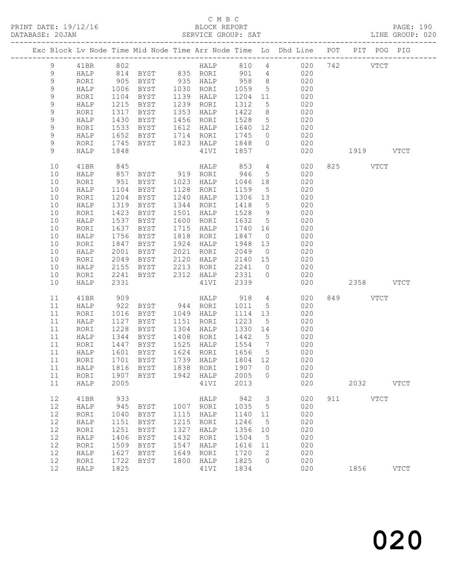### C M B C<br>BLOCK REPORT SERVICE GROUP: SAT

|  |             |              |              |                                                           |      |                        |                |                       | Exc Block Lv Node Time Mid Node Time Arr Node Time Lo Dhd Line POT PIT POG PIG |     |           |               |             |
|--|-------------|--------------|--------------|-----------------------------------------------------------|------|------------------------|----------------|-----------------------|--------------------------------------------------------------------------------|-----|-----------|---------------|-------------|
|  | 9           | 41BR         | 802          |                                                           |      |                        |                |                       | HALP 810 4 020                                                                 |     | 742       | $_{\rm VTCT}$ |             |
|  | 9           | HALP         |              |                                                           |      |                        | 901 4          |                       | 020                                                                            |     |           |               |             |
|  | $\mathsf 9$ | RORI         |              | 814 BYST       835   RORI<br>905   BYST        935   HALP |      |                        | 958            | 8 <sup>1</sup>        | 020                                                                            |     |           |               |             |
|  | 9           | HALP         | 1006         | BYST                                                      |      | 1030 RORI              | 1059           | 5 <sup>5</sup>        | 020                                                                            |     |           |               |             |
|  | 9           | RORI         | 1104         | BYST                                                      |      | 1139 HALP              | 1204 11        |                       | 020                                                                            |     |           |               |             |
|  | $\mathsf 9$ | HALP         | 1215         | BYST                                                      | 1239 | RORI                   | 1312           | $5\overline{)}$       | 020                                                                            |     |           |               |             |
|  | $\mathsf 9$ | RORI         | 1317         | BYST                                                      | 1353 | HALP                   | 1422           | 8 <sup>8</sup>        | 020                                                                            |     |           |               |             |
|  | $\mathsf 9$ | HALP         | 1430         | BYST                                                      |      | 1456 RORI              | 1528           | $5\overline{)}$       | 020                                                                            |     |           |               |             |
|  | 9           | RORI         | 1533         | BYST                                                      |      | 1612 HALP              |                |                       | 1640 12 020                                                                    |     |           |               |             |
|  | $\mathsf 9$ | HALP         | 1652         | BYST                                                      |      | 1714 RORI              | 1745           | $\overline{0}$        | 020                                                                            |     |           |               |             |
|  | 9           | RORI         | 1745         | BYST                                                      |      | 1823 HALP              | 1848           | $\overline{0}$        | 020                                                                            |     |           |               |             |
|  | 9           | HALP         | 1848         |                                                           |      | 41VI                   | 1857           |                       | 020                                                                            |     | 1919 VTCT |               |             |
|  |             |              |              |                                                           |      |                        |                |                       |                                                                                |     |           |               |             |
|  | 10          | 41BR         | 845          |                                                           |      | HALP                   | 853            | $4\overline{4}$       | 020                                                                            |     | 825 VTCT  |               |             |
|  | 10          | HALP         | 857<br>951   | BYST 919 RORI                                             |      |                        | 946            | 5 <sup>5</sup>        | 020                                                                            |     |           |               |             |
|  | 10<br>10    | RORI         |              | BYST                                                      |      | 1023 HALP<br>1128 RORI | 1046           | 18                    | 020<br>020                                                                     |     |           |               |             |
|  | 10          | HALP<br>RORI | 1104<br>1204 | BYST<br>BYST                                              | 1240 | HALP                   | 1159<br>1306   | $5\overline{)}$<br>13 | 020                                                                            |     |           |               |             |
|  | 10          | HALP         | 1319         | BYST                                                      | 1344 | RORI                   | 1418           | $5\overline{)}$       | 020                                                                            |     |           |               |             |
|  | 10          | RORI         | 1423         | BYST                                                      | 1501 | HALP                   | 1528           | 9                     | 020                                                                            |     |           |               |             |
|  | 10          | HALP         | 1537         | BYST                                                      | 1600 | RORI                   | 1632           | $5\overline{)}$       | 020                                                                            |     |           |               |             |
|  | 10          | RORI         | 1637         | BYST                                                      | 1715 | HALP                   | 1740           | 16                    | 020                                                                            |     |           |               |             |
|  | 10          | HALP         | 1756         | BYST                                                      | 1818 | RORI                   | 1847           | $\overline{0}$        | 020                                                                            |     |           |               |             |
|  | 10          | RORI         | 1847         | BYST                                                      |      | 1924 HALP              | 1948           | 13                    | 020                                                                            |     |           |               |             |
|  | 10          | HALP         | 2001         | BYST                                                      | 2021 | RORI                   | 2049           | $\overline{0}$        | 020                                                                            |     |           |               |             |
|  | 10          | RORI         | 2049         | BYST                                                      | 2120 | HALP                   | 2140           | 15                    | 020                                                                            |     |           |               |             |
|  | 10          | HALP         | 2155         | BYST                                                      |      |                        | 2241           | $\overline{0}$        | 020                                                                            |     |           |               |             |
|  | 10          | RORI         | 2241         | BYST                                                      |      | 2213 RORI<br>2312 HALP | 2331           | $\overline{0}$        | 020                                                                            |     |           |               |             |
|  | 10          | HALP         | 2331         |                                                           |      | 41VI                   | 2339           |                       | 020                                                                            |     | 2358 VTCT |               |             |
|  |             |              |              |                                                           |      |                        |                |                       |                                                                                |     |           |               |             |
|  | 11          | 41BR         | 909          |                                                           |      | HALP                   | 918            | $\overline{4}$        | 020                                                                            |     | 849 VTCT  |               |             |
|  | 11          | HALP         | 922          | BYST 944 RORI                                             |      |                        | 1011           | 5 <sup>5</sup>        | 020                                                                            |     |           |               |             |
|  | 11          | RORI         | 1016         | BYST                                                      |      | 1049 HALP              | 1114 13        |                       | 020                                                                            |     |           |               |             |
|  | 11          | HALP         | 1127         | BYST                                                      |      | 1151 RORI              | 1223           | $5\overline{)}$       | 020                                                                            |     |           |               |             |
|  | 11          | RORI         | 1228         | BYST                                                      | 1304 | HALP                   | 1330           | 14                    | 020                                                                            |     |           |               |             |
|  | 11          | HALP         | 1344         | BYST                                                      | 1408 | RORI                   | 1442           | $5\overline{)}$       | 020                                                                            |     |           |               |             |
|  | 11          | RORI         | 1447         | BYST<br>1601 BYST                                         |      | 1525 HALP<br>1624 RORI | 1554 7<br>1656 |                       | 020                                                                            |     |           |               |             |
|  | 11<br>11    | HALP<br>RORI |              | 1701 BYST                                                 |      | 1739 HALP              | 1804 12        | $5\overline{)}$       | 020<br>020                                                                     |     |           |               |             |
|  |             |              |              | 11 HALP 1816 BYST 1838 RORI 1907 0                        |      |                        |                |                       | 020                                                                            |     |           |               |             |
|  | 11          | RORI         | 1907         | BYST                                                      | 1942 | HALP                   | 2005           | $\mathbf 0$           | 020                                                                            |     |           |               |             |
|  | 11          | HALP         | 2005         |                                                           |      | 41VI                   | 2013           |                       | 020                                                                            |     | 2032      |               | <b>VTCT</b> |
|  |             |              |              |                                                           |      |                        |                |                       |                                                                                |     |           |               |             |
|  | 12          | 41BR         | 933          |                                                           |      | HALP                   | 942            | 3                     | 020                                                                            | 911 |           | <b>VTCT</b>   |             |
|  | 12          | HALP         | 945          | <b>BYST</b>                                               | 1007 | RORI                   | 1035           | 5                     | 020                                                                            |     |           |               |             |
|  | 12          | RORI         | 1040         | BYST                                                      | 1115 | HALP                   | 1140           | 11                    | 020                                                                            |     |           |               |             |
|  | 12          | HALP         | 1151         | <b>BYST</b>                                               | 1215 | RORI                   | 1246           | 5                     | 020                                                                            |     |           |               |             |
|  | 12          | RORI         | 1251         | <b>BYST</b>                                               | 1327 | HALP                   | 1356           | 10                    | 020                                                                            |     |           |               |             |
|  | 12          | HALP         | 1406         | <b>BYST</b>                                               | 1432 | RORI                   | 1504           | 5                     | 020                                                                            |     |           |               |             |
|  | 12          | RORI         | 1509         | <b>BYST</b>                                               | 1547 | HALP                   | 1616           | 11                    | 020                                                                            |     |           |               |             |
|  | 12          | HALP         | 1627         | <b>BYST</b>                                               | 1649 | RORI                   | 1720           | 2                     | 020                                                                            |     |           |               |             |
|  | 12<br>12    | RORI<br>HALP | 1722<br>1825 | <b>BYST</b>                                               | 1800 | HALP<br>41VI           | 1825<br>1834   | $\circ$               | 020<br>020                                                                     |     | 1856      |               | <b>VTCT</b> |
|  |             |              |              |                                                           |      |                        |                |                       |                                                                                |     |           |               |             |

020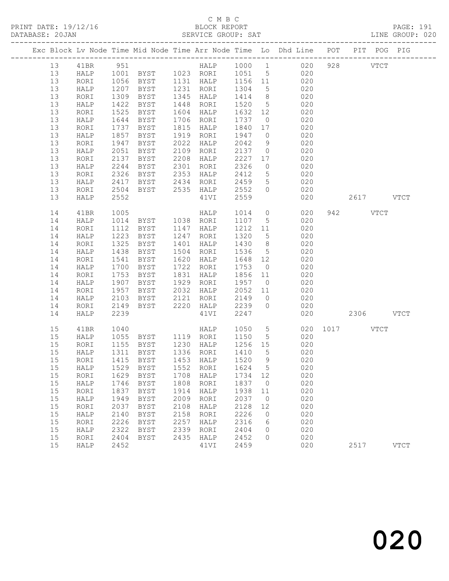# C M B C<br>BLOCK REPORT

| DATABASE: 20JAN |    |      |              |             |      | SERVICE GROUP: SAT                                                                                                |                   |                 | LINE GROUP: 020                                                                |               |          |      |             |  |
|-----------------|----|------|--------------|-------------|------|-------------------------------------------------------------------------------------------------------------------|-------------------|-----------------|--------------------------------------------------------------------------------|---------------|----------|------|-------------|--|
|                 |    |      |              |             |      |                                                                                                                   |                   |                 | Exc Block Lv Node Time Mid Node Time Arr Node Time Lo Dhd Line POT PIT POG PIG |               |          |      |             |  |
|                 | 13 |      |              |             |      |                                                                                                                   |                   |                 |                                                                                |               |          |      |             |  |
|                 | 13 |      |              |             |      |                                                                                                                   |                   |                 | HALP 1001 BYST 1023 RORI 1051 5 020                                            |               |          |      |             |  |
|                 | 13 | RORI |              |             |      |                                                                                                                   |                   |                 |                                                                                |               |          |      |             |  |
|                 | 13 | HALP |              |             |      |                                                                                                                   |                   |                 |                                                                                |               |          |      |             |  |
|                 | 13 | RORI | 1309         | BYST        |      | 1345 HALP                                                                                                         |                   |                 | $1414$ 8 020                                                                   |               |          |      |             |  |
|                 | 13 | HALP | 1422         | BYST        |      | 1448 RORI                                                                                                         |                   |                 | 1520 5 020                                                                     |               |          |      |             |  |
|                 | 13 | RORI | 1525         | BYST        |      | 1604 HALP                                                                                                         | 1632 12           |                 | 020                                                                            |               |          |      |             |  |
|                 | 13 | HALP | 1644         | BYST        |      | 1706 RORI                                                                                                         | 1737 0            |                 | 020                                                                            |               |          |      |             |  |
|                 | 13 | RORI | 1737         | BYST        |      | 1815 HALP                                                                                                         | 1840 17           |                 | 020                                                                            |               |          |      |             |  |
|                 | 13 | HALP | 1857         | BYST        |      | 1919 RORI                                                                                                         | 1947 0            |                 | 020                                                                            |               |          |      |             |  |
|                 | 13 | RORI | 1947         | BYST        | 2022 | HALP                                                                                                              | 2042              |                 | 9 020                                                                          |               |          |      |             |  |
|                 | 13 | HALP | 2051         | BYST        |      | 2109 RORI                                                                                                         | 2137 0            |                 | 020                                                                            |               |          |      |             |  |
|                 | 13 | RORI | 2137         | BYST        |      | 2208 HALP                                                                                                         | 2227              |                 | $17$ 020                                                                       |               |          |      |             |  |
|                 | 13 | HALP | 2244         | BYST        |      | 2301 RORI                                                                                                         | 2326              | $\overline{0}$  | 020                                                                            |               |          |      |             |  |
|                 | 13 | RORI | 2326         |             |      | BYST 2353 HALP                                                                                                    | 2412              | 5 <sup>5</sup>  | 020                                                                            |               |          |      |             |  |
|                 | 13 | HALP |              |             |      | BYST 2434 RORI 2459 5<br>BYST 2535 HALP 2552 0                                                                    | 2459              | 5 <sup>5</sup>  | 020                                                                            |               |          |      |             |  |
|                 | 13 | RORI | 2417<br>2504 |             |      |                                                                                                                   |                   |                 | 020                                                                            |               |          |      |             |  |
|                 | 13 | HALP | 2552         |             |      | 41VI                                                                                                              | 2559              |                 | 020                                                                            | 2617 VTCT     |          |      |             |  |
|                 | 14 | 41BR | 1005         |             |      | HALP 1014 0<br>RORT 1107 5                                                                                        |                   |                 | 020                                                                            |               | 942 VTCT |      |             |  |
|                 | 14 | HALP | 1014         |             |      |                                                                                                                   | 1107 5            |                 | 020                                                                            |               |          |      |             |  |
|                 | 14 | RORI | 1112         | <b>BYST</b> |      | 1147 HALP                                                                                                         |                   |                 | 1212 11 020                                                                    |               |          |      |             |  |
|                 | 14 | HALP | 1223         | BYST        |      | 1247 RORI                                                                                                         | 1320              | $5\overline{)}$ | 020                                                                            |               |          |      |             |  |
|                 | 14 | RORI | 1325         | BYST        |      | 1401 HALP                                                                                                         | 1430 8            |                 | 020                                                                            |               |          |      |             |  |
|                 | 14 | HALP | 1438         | BYST        |      | 1504 RORI                                                                                                         | 1536 5            |                 | 020                                                                            |               |          |      |             |  |
|                 | 14 | RORI | 1541         | BYST        |      | 1620 HALP                                                                                                         | 1648 12           |                 | 020                                                                            |               |          |      |             |  |
|                 | 14 | HALP | 1700         | BYST        |      | 1722 RORI                                                                                                         | 1753              | $\overline{0}$  | 020                                                                            |               |          |      |             |  |
|                 | 14 | RORI | 1753         | BYST        |      | 1831 HALP                                                                                                         | 1856 11           |                 | 020                                                                            |               |          |      |             |  |
|                 | 14 | HALP | 1907         | BYST        |      | 1929 RORI                                                                                                         | 1957 0            |                 | 020                                                                            |               |          |      |             |  |
|                 | 14 | RORI | 1957         | BYST        |      | 2032 HALP                                                                                                         |                   |                 | $2052$ 11 020                                                                  |               |          |      |             |  |
|                 | 14 | HALP | 2103         |             |      | BYST 2121 RORI 2149                                                                                               |                   |                 | $0$ 020                                                                        |               |          |      |             |  |
|                 | 14 | RORI | 2149         |             |      | BYST 2220 HALP 2239                                                                                               |                   | $\overline{0}$  | 020                                                                            |               |          |      |             |  |
|                 | 14 | HALP | 2239         |             |      | 41VI                                                                                                              | 2247              |                 |                                                                                | 020 2306 VTCT |          |      |             |  |
|                 | 15 | 41BR |              |             |      | 1040 HALP 1050<br>1055 BYST 1119 RORI 1150<br>1155 BYST 1230 HALP 1256<br>1311 BYST 1336 RORI 1410<br>HALP 1050 5 |                   |                 |                                                                                | 020 1017 VTCT |          |      |             |  |
|                 | 15 | HALP |              |             |      |                                                                                                                   |                   |                 | 5 020                                                                          |               |          |      |             |  |
|                 | 15 | RORI |              |             |      |                                                                                                                   | 1256 15<br>1410 5 |                 | $\begin{array}{c} 020 \\ 020 \end{array}$                                      |               |          |      |             |  |
|                 | 15 | HALP |              |             |      |                                                                                                                   |                   |                 |                                                                                |               |          |      |             |  |
|                 |    |      |              |             |      |                                                                                                                   |                   |                 | 15 RORI 1415 BYST 1453 HALP 1520 9 020                                         |               |          |      |             |  |
|                 | 15 | HALP | 1529         | BYST        | 1552 | RORI                                                                                                              | 1624              | $5^{\circ}$     | 020                                                                            |               |          |      |             |  |
|                 | 15 | RORI | 1629         | BYST        | 1708 | HALP                                                                                                              | 1734 12           |                 | 020                                                                            |               |          |      |             |  |
|                 | 15 | HALP | 1746         | BYST        | 1808 | RORI                                                                                                              | 1837              | $\overline{0}$  | 020                                                                            |               |          |      |             |  |
|                 | 15 | RORI | 1837         | <b>BYST</b> | 1914 | HALP                                                                                                              | 1938              | 11              | 020                                                                            |               |          |      |             |  |
|                 | 15 | HALP | 1949         | BYST        | 2009 | RORI                                                                                                              | 2037              | $\overline{0}$  | 020                                                                            |               |          |      |             |  |
|                 | 15 | RORI | 2037         | <b>BYST</b> | 2108 | HALP                                                                                                              | 2128              | 12              | 020                                                                            |               |          |      |             |  |
|                 | 15 | HALP | 2140         | BYST        | 2158 | RORI                                                                                                              | 2226              | $\overline{0}$  | 020                                                                            |               |          |      |             |  |
|                 | 15 | RORI | 2226         | BYST        | 2257 | HALP                                                                                                              | 2316              | $6\overline{6}$ | 020                                                                            |               |          |      |             |  |
|                 | 15 | HALP | 2322         | BYST        | 2339 | RORI                                                                                                              | 2404              | $\overline{0}$  | 020                                                                            |               |          |      |             |  |
|                 | 15 | RORI | 2404         | BYST        | 2435 | HALP                                                                                                              | 2452              | $\Omega$        | 020                                                                            |               |          |      |             |  |
|                 | 15 | HALP | 2452         |             |      | 41VI                                                                                                              | 2459              |                 | 020                                                                            |               |          | 2517 | <b>VTCT</b> |  |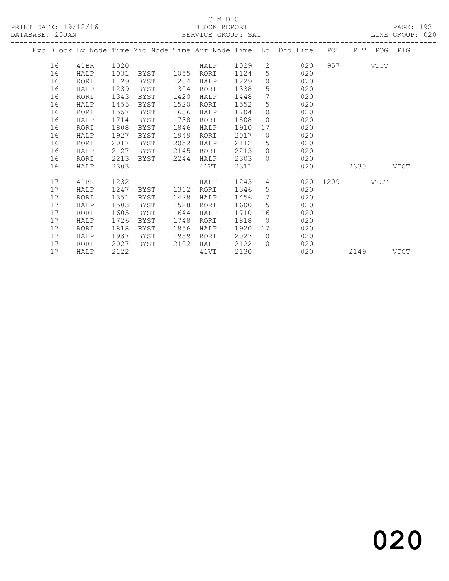### C M B C<br>BLOCK REPORT

| PRINT DATE: 19/12/16 |    | ---------------------------- |      |                |      | BLOCK REPORT    |           |                                                                                |           |  | PAGE: 192<br>DATABASE: 20JAN SERVICE GROUP: SAT LINE GROUP: 020 |
|----------------------|----|------------------------------|------|----------------|------|-----------------|-----------|--------------------------------------------------------------------------------|-----------|--|-----------------------------------------------------------------|
|                      |    |                              |      |                |      |                 |           | Exc Block Lv Node Time Mid Node Time Arr Node Time Lo Dhd Line POT PIT POG PIG |           |  |                                                                 |
|                      | 16 | 41BR                         |      |                |      |                 |           |                                                                                |           |  |                                                                 |
|                      | 16 | HALP                         | 1031 |                |      |                 |           | BYST 1055 RORI 1124 5 020                                                      |           |  |                                                                 |
|                      | 16 | RORI                         | 1129 | BYST 1204 HALP |      |                 |           | 1229 10 020                                                                    |           |  |                                                                 |
|                      | 16 | HALP                         | 1239 |                |      |                 |           | BYST 1304 RORI 1338 5 020                                                      |           |  |                                                                 |
|                      | 16 | RORI                         | 1343 | BYST           |      | 1420 HALP       |           | 1448 7 020                                                                     |           |  |                                                                 |
|                      | 16 | HALP                         | 1455 | BYST           | 1520 | RORI            |           | 1552 5 020                                                                     |           |  |                                                                 |
|                      | 16 | RORI                         | 1557 | BYST           | 1636 | HALP            |           | 1704 10 020                                                                    |           |  |                                                                 |
|                      | 16 | HALP                         | 1714 | BYST           | 1738 | RORI            |           | 1808 0 020                                                                     |           |  |                                                                 |
|                      | 16 | RORI                         | 1808 | BYST           | 1846 | HALP            |           | 1910 17 020                                                                    |           |  |                                                                 |
|                      | 16 | HALP                         | 1927 | BYST           | 1949 | RORI            | 2017      | $0$ 020                                                                        |           |  |                                                                 |
|                      | 16 | RORI                         | 2017 | BYST           |      | 2052 HALP       |           | 2112 15 020                                                                    |           |  |                                                                 |
|                      | 16 | HALP                         | 2127 | BYST 2145 RORI |      |                 |           | 2213 0 020                                                                     |           |  |                                                                 |
|                      | 16 | RORI                         | 2213 |                |      |                 |           | BYST 2244 HALP 2303 0 020                                                      |           |  |                                                                 |
|                      | 16 | HALP                         | 2303 |                |      | 41VI            | 2311 2311 | 020                                                                            | 2330 VTCT |  |                                                                 |
|                      | 17 | 41BR                         | 1232 | HALP           |      |                 |           | 1243 4 020 1209 VTCT                                                           |           |  |                                                                 |
|                      | 17 | HALP                         |      |                |      |                 |           | 1247 BYST 1312 RORI 1346 5 020                                                 |           |  |                                                                 |
|                      | 17 | RORI                         | 1351 | BYST           |      | 1428 HALP       |           | 1456 7 020                                                                     |           |  |                                                                 |
|                      | 17 | HALP                         | 1503 | BYST           | 1528 | RORI            |           | 1600 5 020                                                                     |           |  |                                                                 |
|                      | 17 | RORI                         | 1605 | BYST           | 1644 | HALP            |           | 1710 16 020                                                                    |           |  |                                                                 |
|                      | 17 | HALP                         | 1726 | BYST           | 1748 | RORI            |           | 1818 0 020                                                                     |           |  |                                                                 |
|                      | 17 | RORI                         | 1818 | BYST           | 1856 | HALP            |           | 1920 17 020                                                                    |           |  |                                                                 |
|                      | 17 | HALP                         | 1937 | BYST           | 1959 | RORI            |           | 2027 0 020                                                                     |           |  |                                                                 |
|                      | 17 | RORI                         | 2027 | BYST 2102 HALP |      |                 |           | 2122 0 020                                                                     |           |  |                                                                 |
|                      | 17 | HALP                         | 2122 |                |      | $41\mathrm{VI}$ |           | 2130 020                                                                       | 2149 VTCT |  |                                                                 |

020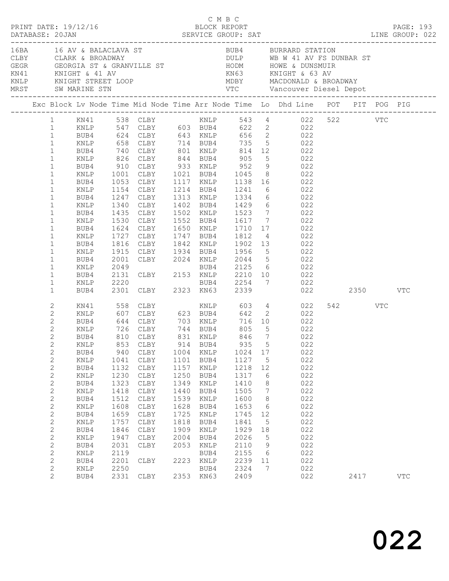|                       |                | PRINT DATE: 19/12/16 |      |                                                                                 |      | C M B C<br>BLOCK REPORT |       |                 |                                                                                                                                                                                                                                |         | PAGE: 193  |  |
|-----------------------|----------------|----------------------|------|---------------------------------------------------------------------------------|------|-------------------------|-------|-----------------|--------------------------------------------------------------------------------------------------------------------------------------------------------------------------------------------------------------------------------|---------|------------|--|
|                       |                | MRST SW MARINE STN   |      |                                                                                 |      |                         |       |                 | 168 16 AV & BALACLAVA ST AND BUBA BURRARD STATION CLARE & BROADWAY AND DULP WB W 41 AV FS DUNBAR ST AND WE GEORGIA ST & GRANVILLE ST AND MOME & DUNSMUIR WALL AND MORE WAS SERVED WANTS AND MANY AND MANY MACRONALD & BROADWAY |         |            |  |
|                       |                |                      |      |                                                                                 |      |                         |       |                 | Exc Block Lv Node Time Mid Node Time Arr Node Time Lo Dhd Line POT PIT POG PIG                                                                                                                                                 |         |            |  |
|                       |                |                      |      |                                                                                 |      |                         |       |                 | 1 KN41 538 CLBY 6 KNLP 543 4 022 522 VTC                                                                                                                                                                                       |         |            |  |
|                       |                |                      |      |                                                                                 |      |                         |       |                 |                                                                                                                                                                                                                                |         |            |  |
|                       |                |                      |      |                                                                                 |      |                         |       |                 |                                                                                                                                                                                                                                |         |            |  |
|                       |                |                      |      |                                                                                 |      |                         |       |                 |                                                                                                                                                                                                                                |         |            |  |
| $\mathbf{1}$          |                | BUB4                 |      |                                                                                 |      |                         |       |                 | 740 CLBY 801 KNLP 814 12 022                                                                                                                                                                                                   |         |            |  |
| $\mathbf{1}$          |                | KNLP                 |      | 826 CLBY 844 BUB4 905                                                           |      |                         |       |                 | 5 022                                                                                                                                                                                                                          |         |            |  |
| $\mathbf{1}$          |                |                      |      |                                                                                 |      |                         |       |                 | BUB4 910 CLBY 933 KNLP 952 9 022<br>KNLP 1001 CLBY 1021 BUB4 1045 8 022                                                                                                                                                        |         |            |  |
| $\mathbf{1}$          |                |                      |      |                                                                                 |      |                         |       |                 |                                                                                                                                                                                                                                |         |            |  |
| $\mathbf{1}$          |                | BUB4                 | 1053 |                                                                                 |      |                         |       |                 | CLBY 1117 KNLP 1138 16 022                                                                                                                                                                                                     |         |            |  |
| $\mathbf{1}$          |                | KNLP                 | 1154 |                                                                                 |      |                         |       |                 | CLBY 1214 BUB4 1241 6 022                                                                                                                                                                                                      |         |            |  |
| $\mathbf{1}$          |                | BUB4                 |      |                                                                                 |      |                         |       |                 |                                                                                                                                                                                                                                |         |            |  |
| $\mathbf{1}$          |                | KNLP                 |      |                                                                                 |      |                         |       |                 | 1247 CLBY 1313 KNLP 1334 6 022<br>1340 CLBY 1402 BUB4 1429 6 022<br>1435 CLBY 1502 KNLP 1523 7 022                                                                                                                             |         |            |  |
| $\mathbf{1}$          |                | BUB4                 |      |                                                                                 |      |                         |       |                 |                                                                                                                                                                                                                                |         |            |  |
| $\mathbf{1}$          |                | KNLP                 | 1530 |                                                                                 |      |                         |       |                 | CLBY 1552 BUB4 1617 7 022                                                                                                                                                                                                      |         |            |  |
| $\mathbf{1}$          |                | BUB4                 |      |                                                                                 |      |                         |       |                 |                                                                                                                                                                                                                                |         |            |  |
| $\mathbf{1}$          |                | KNLP                 |      |                                                                                 |      |                         |       |                 | 1624 CLBY 1650 KNLP 1710 17 022<br>1727 CLBY 1747 BUB4 1812 4 022<br>1816 CLBY 1842 KNLP 1902 13 022                                                                                                                           |         |            |  |
| $\mathbf{1}$          |                | BUB4                 |      |                                                                                 |      |                         |       |                 |                                                                                                                                                                                                                                |         |            |  |
| $\mathbf{1}$          |                | KNLP                 | 1915 |                                                                                 |      |                         |       |                 | CLBY 1934 BUB4 1956 5 022                                                                                                                                                                                                      |         |            |  |
| $\mathbf{1}$          |                | BUB4                 |      |                                                                                 |      |                         |       |                 |                                                                                                                                                                                                                                |         |            |  |
| $\mathbf{1}$          |                | KNLP                 |      |                                                                                 |      |                         |       |                 |                                                                                                                                                                                                                                |         |            |  |
| $\mathbf{1}$          |                | BUB4                 |      |                                                                                 |      |                         |       |                 |                                                                                                                                                                                                                                |         |            |  |
| $1\,$                 |                | KNLP                 |      |                                                                                 |      |                         |       |                 |                                                                                                                                                                                                                                |         |            |  |
| $\mathbf{1}$          |                | BUB4                 |      |                                                                                 |      |                         |       |                 | 2001 CLBY 2024 KNLP 2044 5<br>2001 CLBY 2024 KNLP 2044 5<br>2049 BUB4 2125 6 022<br>2131 CLBY 2153 KNLP 2210 10 022<br>2220 BUB4 2254 7 022<br>2301 CLBY 2323 KN63 2339 022<br>022 2350                                        |         | VTC        |  |
| $\mathbf{2}$          |                | KN41                 |      | 558 CLBY                                                                        |      |                         |       |                 | KNLP 603 4 022                                                                                                                                                                                                                 | 542 VTC |            |  |
| $\mathbf{2}$          |                |                      |      |                                                                                 |      |                         |       |                 | KNLP 607 CLBY 623 BUB4 642 2 022                                                                                                                                                                                               |         |            |  |
| 2                     |                | BUB4                 |      | 644 CLBY 703 KNLP                                                               |      |                         |       |                 | 716 10 022                                                                                                                                                                                                                     |         |            |  |
| $\mathbf{2}$          |                | KNLP                 |      | 726 CLBY       744   BUB4        805<br>810   CLBY        831   KNLP        846 |      |                         |       |                 | $\begin{array}{ccc} 5 & 022 \\ 7 & 022 \end{array}$                                                                                                                                                                            |         |            |  |
| $\mathbf{2}$          |                | BUB4                 |      |                                                                                 |      |                         |       | $7\overline{ }$ |                                                                                                                                                                                                                                |         |            |  |
| $\mathbf{2}^{\prime}$ |                |                      |      | KNLP 853 CLBY 914 BUB4                                                          |      |                         | 935 5 |                 | 022                                                                                                                                                                                                                            |         |            |  |
| $\mathbf{2}$          |                | BUB4                 | 940  | CLBY                                                                            |      | 1004 KNLP               | 1024  | 17              | 022                                                                                                                                                                                                                            |         |            |  |
| $\mathbf{2}$          |                | KNLP                 | 1041 | CLBY                                                                            | 1101 | BUB4                    | 1127  | $5^{\circ}$     | 022                                                                                                                                                                                                                            |         |            |  |
| $\mathbf{2}$          |                | BUB4                 | 1132 | CLBY                                                                            | 1157 | KNLP                    | 1218  | 12              | 022                                                                                                                                                                                                                            |         |            |  |
| $\mathbf{2}$          |                | KNLP                 | 1230 | CLBY                                                                            | 1250 | BUB4                    | 1317  | 6               | 022                                                                                                                                                                                                                            |         |            |  |
| $\mathbf{2}$          |                | BUB4                 | 1323 | CLBY                                                                            | 1349 | KNLP                    | 1410  | 8               | 022                                                                                                                                                                                                                            |         |            |  |
| $\mathbf{2}$          |                | KNLP                 | 1418 | CLBY                                                                            | 1440 | BUB4                    | 1505  | $7\phantom{.0}$ | 022                                                                                                                                                                                                                            |         |            |  |
| $\mathbf{2}$          |                | BUB4                 | 1512 | CLBY                                                                            | 1539 | $\texttt{KNLP}$         | 1600  | 8               | 022                                                                                                                                                                                                                            |         |            |  |
| $\mathbf{2}$          |                | $\texttt{KNLP}$      | 1608 | CLBY                                                                            | 1628 | BUB4                    | 1653  | $6\overline{6}$ | 022                                                                                                                                                                                                                            |         |            |  |
| $\mathbf{2}$          |                | BUB4                 | 1659 | CLBY                                                                            | 1725 | KNLP                    | 1745  | 12              | 022                                                                                                                                                                                                                            |         |            |  |
| $\mathbf{2}$          |                | KNLP                 | 1757 | CLBY                                                                            | 1818 | BUB4                    | 1841  | $5\phantom{.0}$ | 022                                                                                                                                                                                                                            |         |            |  |
| $\mathbf{2}$          |                | BUB4                 | 1846 | CLBY                                                                            | 1909 | KNLP                    | 1929  | 18              | 022                                                                                                                                                                                                                            |         |            |  |
| $\mathbf{2}$          |                | KNLP                 | 1947 | CLBY                                                                            | 2004 | BUB4                    | 2026  | $5\phantom{.0}$ | 022                                                                                                                                                                                                                            |         |            |  |
| $\mathbf{2}$          |                | BUB4                 | 2031 | CLBY                                                                            | 2053 | KNLP                    | 2110  | 9               | 022                                                                                                                                                                                                                            |         |            |  |
| $\mathbf{2}$          |                | KNLP                 | 2119 |                                                                                 |      | BUB4                    | 2155  | $6\overline{6}$ | 022                                                                                                                                                                                                                            |         |            |  |
| $\mathbf{2}$          |                | BUB4                 | 2201 | CLBY                                                                            |      | 2223 KNLP               | 2239  | 11              | 022                                                                                                                                                                                                                            |         |            |  |
| 2                     |                | KNLP                 | 2250 |                                                                                 |      | BUB4                    | 2324  | $7\phantom{.0}$ | 022                                                                                                                                                                                                                            |         |            |  |
|                       | $\overline{2}$ | BUB4                 | 2331 | CLBY                                                                            |      | 2353 KN63               | 2409  |                 | 022                                                                                                                                                                                                                            | 2417    | <b>VTC</b> |  |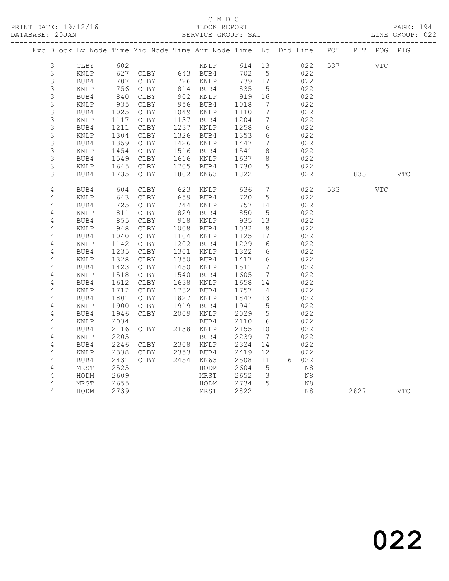|  |                |                 |              |                                                       |      |                        |                 |                              | Exc Block Lv Node Time Mid Node Time Arr Node Time Lo Dhd Line POT PIT POG PIG |                                                                                                                                                                                                                                 |            |            |
|--|----------------|-----------------|--------------|-------------------------------------------------------|------|------------------------|-----------------|------------------------------|--------------------------------------------------------------------------------|---------------------------------------------------------------------------------------------------------------------------------------------------------------------------------------------------------------------------------|------------|------------|
|  | 3              | CLBY            | 602          |                                                       |      | KNLP                   | 614 13          |                              | 022 537                                                                        | <b>VTC</b>                                                                                                                                                                                                                      |            |            |
|  | 3              | KNLP            |              | ---<br>627 CLBY     643 BUB4<br>707 CLBY     726 KNLP |      |                        | 702             | 5 <sup>5</sup>               | 022                                                                            |                                                                                                                                                                                                                                 |            |            |
|  | $\mathsf 3$    | BUB4            |              |                                                       |      |                        | 739 17          |                              | 022                                                                            |                                                                                                                                                                                                                                 |            |            |
|  | $\mathsf 3$    | KNLP            | 756          | CLBY                                                  |      | 814 BUB4               | 835             | $5^{\circ}$                  | 022                                                                            |                                                                                                                                                                                                                                 |            |            |
|  | $\mathfrak{Z}$ | BUB4            | 840          | CLBY                                                  |      | 902 KNLP               | $919$<br>$1018$ | 16                           | 022                                                                            |                                                                                                                                                                                                                                 |            |            |
|  | $\mathcal{S}$  | KNLP            | 935          | CLBY                                                  |      | 956 BUB4               |                 | 7                            | 022                                                                            |                                                                                                                                                                                                                                 |            |            |
|  | 3              | BUB4            | 1025         | CLBY                                                  |      | 1049 KNLP              | 1110            | $7\overline{ }$              | 022                                                                            |                                                                                                                                                                                                                                 |            |            |
|  | 3              | KNLP            | 1117         | CLBY                                                  |      | 1137 BUB4              | 1204            | $7\phantom{.0}$              | 022                                                                            |                                                                                                                                                                                                                                 |            |            |
|  | 3              | BUB4            | 1211         | CLBY                                                  |      | 1237 KNLP              | 1258            | 6                            | 022                                                                            |                                                                                                                                                                                                                                 |            |            |
|  | $\mathsf 3$    | KNLP            | 1304         | CLBY                                                  |      | 1326 BUB4              | 1353            | 6                            | 022                                                                            |                                                                                                                                                                                                                                 |            |            |
|  | 3              | BUB4            | 1359         | CLBY                                                  |      | 1426 KNLP              | 1447            | 7                            | 022                                                                            |                                                                                                                                                                                                                                 |            |            |
|  | 3              | KNLP            | 1454         | CLBY                                                  |      | 1516 BUB4              | 1541            | 8                            | 022                                                                            |                                                                                                                                                                                                                                 |            |            |
|  | $\mathsf S$    | BUB4            | 1549         | CLBY                                                  |      | 1616 KNLP              | 1637            | 8                            | 022                                                                            |                                                                                                                                                                                                                                 |            |            |
|  | 3              | KNLP            | 1645         | CLBY                                                  |      | 1705 BUB4 1730         |                 | $5\overline{)}$              | 022                                                                            |                                                                                                                                                                                                                                 |            |            |
|  | 3              | BUB4            | 1735         | CLBY                                                  | 1802 | KN63                   | 1822            |                              | 022                                                                            | 1833 — 1834 — 1845 — 1846 — 1847 — 1848 — 1848 — 1848 — 1848 — 1848 — 1848 — 1848 — 1848 — 1848 — 1848 — 1848 — 1848 — 1848 — 1848 — 1848 — 1848 — 1848 — 1848 — 1848 — 1848 — 1848 — 1848 — 1848 — 1848 — 1848 — 1848 — 1848 — |            | <b>VTC</b> |
|  | $\overline{4}$ | BUB4            | 604          | CLBY                                                  | 623  | KNLP                   | 636             | $7\phantom{.0}\phantom{.0}7$ | 022                                                                            | 533 and $\sim$                                                                                                                                                                                                                  | <b>VTC</b> |            |
|  | 4              | KNLP            | 643          | CLBY                                                  | 659  | BUB4                   | 720             | $5\overline{)}$              | 022                                                                            |                                                                                                                                                                                                                                 |            |            |
|  | $\overline{4}$ | BUB4            | 725          | CLBY                                                  |      | 744 KNLP               | 757             | 14                           | 022                                                                            |                                                                                                                                                                                                                                 |            |            |
|  | $\overline{4}$ | KNLP            | 855          | CLBY                                                  |      | 829 BUB4<br>918 KNLP   | 850             | $5\phantom{0}$               | 022                                                                            |                                                                                                                                                                                                                                 |            |            |
|  | 4              | BUB4            |              | CLBY                                                  |      |                        | 935             | 13                           | 022                                                                            |                                                                                                                                                                                                                                 |            |            |
|  | $\overline{4}$ | $\texttt{KNLP}$ | 948          | CLBY                                                  |      | 1008 BUB4              | 1032            | 8                            | 022                                                                            |                                                                                                                                                                                                                                 |            |            |
|  | 4              | BUB4            | 1040         | CLBY                                                  |      | 1104 KNLP              | 1125            | 17                           | 022                                                                            |                                                                                                                                                                                                                                 |            |            |
|  | $\sqrt{4}$     | KNLP            | 1142         | CLBY                                                  |      | 1202 BUB4              | 1229            | 6                            | 022                                                                            |                                                                                                                                                                                                                                 |            |            |
|  | $\sqrt{4}$     | BUB4            | 1235         | CLBY                                                  |      | 1301 KNLP              | 1322            | 6                            | 022                                                                            |                                                                                                                                                                                                                                 |            |            |
|  | 4              | KNLP            | 1328         | CLBY                                                  |      | 1350 BUB4              | 1417            | $6\overline{6}$              | 022                                                                            |                                                                                                                                                                                                                                 |            |            |
|  | $\overline{4}$ | BUB4            | 1423         | CLBY                                                  | 1450 | KNLP                   | 1511            | $7\phantom{.0}\phantom{.0}7$ | 022                                                                            |                                                                                                                                                                                                                                 |            |            |
|  | $\overline{4}$ | KNLP            | 1518         | CLBY                                                  | 1540 | BUB4                   | 1605            | $7\phantom{.0}\phantom{.0}7$ | 022                                                                            |                                                                                                                                                                                                                                 |            |            |
|  | 4              | BUB4            | 1612         | CLBY                                                  |      | 1638 KNLP              | 1658            | 14                           | 022                                                                            |                                                                                                                                                                                                                                 |            |            |
|  | 4              | KNLP            | 1712         | CLBY                                                  |      | 1732 BUB4              | 1757            | $\overline{4}$               | 022                                                                            |                                                                                                                                                                                                                                 |            |            |
|  | 4              | BUB4            | 1801         | CLBY                                                  | 1827 | KNLP                   | 1847 13         |                              | 022                                                                            |                                                                                                                                                                                                                                 |            |            |
|  | 4              | KNLP            | 1900         | CLBY                                                  | 1919 | BUB4                   | 1941            | $5^{\circ}$                  | 022                                                                            |                                                                                                                                                                                                                                 |            |            |
|  | $\overline{4}$ | BUB4            | 1946         | CLBY                                                  |      | 2009 KNLP              | 2029            | $5\overline{)}$              | 022                                                                            |                                                                                                                                                                                                                                 |            |            |
|  | 4              | KNLP            | 2034         |                                                       |      | BUB4                   | 2110            | 6                            | 022                                                                            |                                                                                                                                                                                                                                 |            |            |
|  | 4              | BUB4            | 2116         | CLBY                                                  |      | 2138 KNLP              | 2155            | 10                           | 022                                                                            |                                                                                                                                                                                                                                 |            |            |
|  | 4              | $\texttt{KNLP}$ | 2205         |                                                       |      | BUB4                   | 2239            | $7\phantom{.0}\phantom{.0}7$ | 022                                                                            |                                                                                                                                                                                                                                 |            |            |
|  | 4              | BUB4            | 2246<br>2338 | CLBY                                                  |      | 2308 KNLP<br>2353 BUB4 | 2324<br>2419    | 14<br>12                     | 022<br>022                                                                     |                                                                                                                                                                                                                                 |            |            |
|  | $\overline{4}$ | KNLP            |              | CLBY<br>CLBY                                          |      | 2454 KN63              | 2508            | 11                           | 6 022                                                                          |                                                                                                                                                                                                                                 |            |            |
|  | 4              | BUB4<br>MRST    | 2431<br>2525 |                                                       |      |                        | 2604            | $5^{\circ}$                  | N8                                                                             |                                                                                                                                                                                                                                 |            |            |
|  | 4<br>4         | HODM            | 2609         |                                                       |      | HODM<br>MRST           | 2652            | $\overline{\mathbf{3}}$      | N8                                                                             |                                                                                                                                                                                                                                 |            |            |
|  | 4              | MRST            | 2655         |                                                       |      | HODM                   | 2734            | 5                            | N8                                                                             |                                                                                                                                                                                                                                 |            |            |
|  | 4              | HODM            | 2739         |                                                       |      | MRST                   | 2822            |                              | N8                                                                             | 2827                                                                                                                                                                                                                            |            | <b>VTC</b> |
|  |                |                 |              |                                                       |      |                        |                 |                              |                                                                                |                                                                                                                                                                                                                                 |            |            |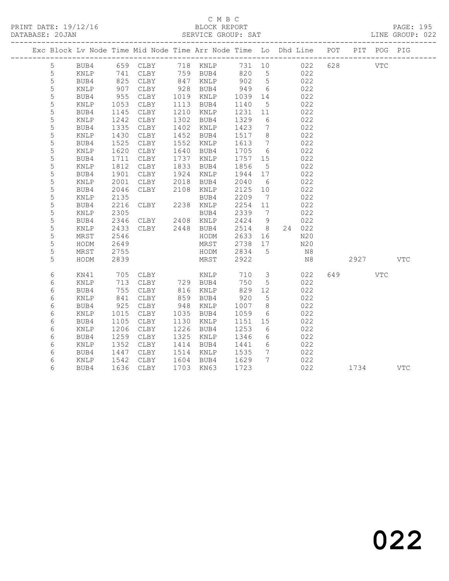|             | Exc Block Lv Node Time Mid Node Time Arr Node Time Lo Dhd Line POT |             |                      |      |                                                                                                 |         |                         |                              |     |      | PIT POG PIG |     |
|-------------|--------------------------------------------------------------------|-------------|----------------------|------|-------------------------------------------------------------------------------------------------|---------|-------------------------|------------------------------|-----|------|-------------|-----|
| 5           | BUB4                                                               |             |                      |      |                                                                                                 |         |                         | 659 CLBY 718 KNLP 731 10 022 | 628 |      | <b>VTC</b>  |     |
| $\mathsf S$ | KNLP                                                               |             | 741 CLBY<br>825 CLBY |      |                                                                                                 |         |                         | 022                          |     |      |             |     |
| 5           | BUB4                                                               |             |                      |      |                                                                                                 |         |                         | 022                          |     |      |             |     |
| 5           | KNLP                                                               | 907         | CLBY                 |      | 928 BUB4                                                                                        | 949     | 6                       | 022                          |     |      |             |     |
| 5           | BUB4                                                               | 955<br>1053 | CLBY                 |      | 1019 KNLP                                                                                       | 1039    | 14                      | 022                          |     |      |             |     |
| 5           | KNLP                                                               |             | CLBY                 | 1113 | BUB4                                                                                            | 1140    | $5^{\circ}$             | 022                          |     |      |             |     |
| 5           | BUB4                                                               | 1145        | CLBY                 | 1210 | KNLP                                                                                            | 1231    | 11                      | 022                          |     |      |             |     |
| 5           | KNLP                                                               | 1242        | CLBY                 | 1302 | BUB4                                                                                            | 1329    | 6                       | 022                          |     |      |             |     |
| 5           | BUB4                                                               | 1335        | CLBY                 | 1402 | KNLP                                                                                            | 1423    | $\overline{7}$          | 022                          |     |      |             |     |
| $\mathsf S$ | KNLP                                                               | 1430        | CLBY                 | 1452 | BUB4                                                                                            | 1517 8  |                         | 022                          |     |      |             |     |
| 5           | BUB4                                                               | 1525        | CLBY                 | 1552 | KNLP                                                                                            | 1613    | $7\phantom{0}$          | 022                          |     |      |             |     |
| 5           | KNLP                                                               | 1620        | CLBY                 | 1640 | BUB4                                                                                            | 1705    | $6\overline{6}$         | 022                          |     |      |             |     |
| 5           | BUB4                                                               | 1711        | CLBY                 | 1737 | KNLP                                                                                            | 1757 15 |                         | 022                          |     |      |             |     |
| $\mathsf S$ | $\texttt{KNLP}$                                                    | 1812        | CLBY                 | 1833 | BUB4                                                                                            | 1856    | $5\overline{)}$         | 022                          |     |      |             |     |
| 5           | BUB4                                                               | 1901        | CLBY                 | 1924 | KNLP                                                                                            | 1944    | 17                      | 022                          |     |      |             |     |
| 5           | KNLP                                                               | 2001        | CLBY                 | 2018 | BUB4                                                                                            | 2040    | 6                       | 022                          |     |      |             |     |
| 5           | BUB4                                                               | 2046        | CLBY                 |      | 2108 KNLP                                                                                       | 2125    | 10                      | 022                          |     |      |             |     |
| 5           | KNLP                                                               | 2135        |                      |      | BUB4                                                                                            | 2209    | $\overline{7}$          | 022                          |     |      |             |     |
| 5           | BUB4                                                               | 2216        | CLBY 2238 KNLP       |      |                                                                                                 | 2254    | 11                      | 022                          |     |      |             |     |
| 5           | KNLP                                                               | 2305        |                      |      | BUB4                                                                                            | 2339    | $\overline{7}$          | 022                          |     |      |             |     |
| 5           | BUB4                                                               | 2346        | CLBY 2408 KNLP       |      |                                                                                                 | 2424    | 9                       | 022                          |     |      |             |     |
| 5           | KNLP                                                               | 2433        | CLBY 2448 BUB4       |      |                                                                                                 | 2514    | 8 <sup>8</sup>          | 24 022                       |     |      |             |     |
| 5           | MRST                                                               | 2546        |                      |      | HODM                                                                                            | 2633    | 16                      | N20                          |     |      |             |     |
| 5           | HODM                                                               | 2649        |                      |      | MRST                                                                                            | 2738    | 17                      | N20                          |     |      |             |     |
| 5           | MRST                                                               | 2755        |                      |      | HODM                                                                                            | 2834    | $5^{\circ}$             | N8                           |     |      |             |     |
| 5           | HODM                                                               | 2839        |                      |      | MRST                                                                                            | 2922    |                         | N8                           |     | 2927 |             | VTC |
| 6           | KN41                                                               | 705         | CLBY                 |      | $\begin{array}{cc}\n\text{KNLF} \\ 729 & \text{BUB4} \\ \text{NHT} \\ \text{BUB4}\n\end{array}$ | 710     | $\overline{\mathbf{3}}$ | 022                          |     |      | <b>VTC</b>  |     |
| 6           | KNLP                                                               | 713         | CLBY                 |      |                                                                                                 | 750     | $5\phantom{.0}$         | 022                          |     |      |             |     |
| 6           | BUB4                                                               | 755         | CLBY                 |      | 816 KNLP                                                                                        | 829     | 12                      | 022                          |     |      |             |     |
| 6           | KNLP                                                               | 841         | CLBY                 | 859  | BUB4                                                                                            | 920     | $5\phantom{.0}$         | 022                          |     |      |             |     |
| 6           | BUB4                                                               | 925         | CLBY                 | 948  | KNLP                                                                                            | 1007    | 8 <sup>8</sup>          | 022                          |     |      |             |     |
| 6           | KNLP                                                               | 1015        | CLBY                 | 1035 | BUB4                                                                                            | 1059    | 6                       | 022                          |     |      |             |     |
| 6           | BUB4                                                               | 1105        | CLBY                 | 1130 | KNLP                                                                                            | 1151    | 15                      | 022                          |     |      |             |     |
| 6           | KNLP                                                               | 1206        | CLBY                 | 1226 | BUB4                                                                                            | 1253    | 6                       | 022                          |     |      |             |     |
| 6           | BUB4                                                               | 1259        | CLBY                 | 1325 | KNLP                                                                                            | 1346    | 6                       | 022                          |     |      |             |     |
| 6           | KNLP                                                               | 1352        | CLBY                 | 1414 | BUB4                                                                                            | 1441    | 6                       | 022                          |     |      |             |     |
| 6           | BUB4                                                               | 1447        | CLBY                 |      | 1514 KNLP                                                                                       | 1535    | $7\overline{ }$         | 022                          |     |      |             |     |
| 6           | KNLP                                                               | 1542        | CLBY                 |      | 1604 BUB4                                                                                       | 1629    | $7\phantom{0}$          | 022                          |     |      |             |     |
| 6           | BUB4                                                               | 1636        | CLBY                 | 1703 | KN63                                                                                            | 1723    |                         | 022                          |     | 1734 |             | VTC |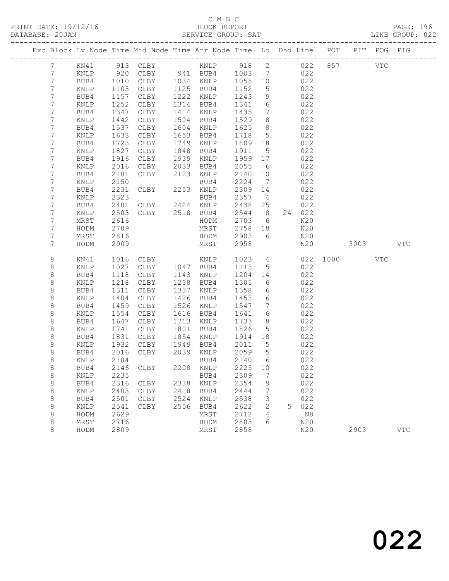|                 |                |              | Exc Block Lv Node Time Mid Node Time Arr Node Time Lo Dhd Line POT |              |              |              |                      |   |            |          | PIT POG PIG |            |
|-----------------|----------------|--------------|--------------------------------------------------------------------|--------------|--------------|--------------|----------------------|---|------------|----------|-------------|------------|
| $7\phantom{.0}$ | KN41           |              | 913 CLBY                                                           |              | KNLP 918 2   |              |                      |   | 022        | 857      | VTC         |            |
| $7\phantom{.0}$ | KNLP           |              | 920 CLBY 941 BUB4 1003<br>1010 CLBY 1034 KNLP 1055                 |              |              |              | $\overline{7}$       |   | 022        |          |             |            |
| 7               | BUB4           |              |                                                                    |              |              |              | 10                   |   | 022        |          |             |            |
| 7               | KNLP           | 1105         | CLBY                                                               |              | 1125 BUB4    | 1152         | 5                    |   | 022        |          |             |            |
| 7               | BUB4           | 1157         | CLBY                                                               | 1222         | KNLP         | 1243         | $\mathcal{G}$        |   | 022        |          |             |            |
| 7               | KNLP           | 1252         | CLBY                                                               | 1314         | BUB4         | 1341         | $\epsilon$           |   | 022        |          |             |            |
| 7               | BUB4           | 1347         | CLBY                                                               | 1414         | KNLP         | 1435         | $7\phantom{.0}$      |   | 022        |          |             |            |
| 7               | KNLP           | 1442         | CLBY                                                               | 1504         | BUB4         | 1529         | 8                    |   | 022        |          |             |            |
| 7<br>7          | BUB4           | 1537         | CLBY                                                               | 1604<br>1653 | KNLP         | 1625<br>1718 | 8<br>$5^{\circ}$     |   | 022<br>022 |          |             |            |
| 7               | KNLP<br>BUB4   | 1633<br>1723 | CLBY<br>CLBY                                                       | 1749         | BUB4<br>KNLP | 1809         | 18                   |   | 022        |          |             |            |
| 7               | KNLP           | 1827         | CLBY                                                               | 1848         | BUB4         | 1911         | $5^{\circ}$          |   | 022        |          |             |            |
| 7               | BUB4           | 1916         | CLBY                                                               | 1939         | KNLP         | 1959         | 17                   |   | 022        |          |             |            |
| 7               | KNLP           | 2016         | CLBY                                                               | 2033         | BUB4         | 2055         | $6\overline{6}$      |   | 022        |          |             |            |
| 7               | BUB4           | 2101         | CLBY                                                               | 2123         | KNLP         | 2140         | 10                   |   | 022        |          |             |            |
| 7               | KNLP           | 2150         |                                                                    |              | BUB4         | 2224         | $\overline{7}$       |   | 022        |          |             |            |
| 7               | BUB4           | 2231         | CLBY                                                               |              | 2253 KNLP    | 2309         | 14                   |   | 022        |          |             |            |
| 7               | KNLP           | 2323         |                                                                    |              | BUB4         | 2357         | $\overline{4}$       |   | 022        |          |             |            |
| 7               | BUB4           | 2401         | CLBY 2424 KNLP                                                     |              |              | 2438         | 25                   |   | 022        |          |             |            |
| 7               | KNLP           | 2503         | CLBY                                                               |              | 2518 BUB4    | 2544         | 8 <sup>8</sup>       |   | 24 022     |          |             |            |
| 7               | MRST           | 2616         |                                                                    |              | HODM         | 2703         | $6\overline{6}$      |   | N20        |          |             |            |
| 7               | HODM           | 2709         |                                                                    |              | MRST         | 2758         | 18                   |   | N20        |          |             |            |
| 7               | MRST           | 2816         |                                                                    |              | HODM         | 2903         | 6                    |   | N20        |          |             |            |
| 7               | HODM           | 2909         |                                                                    |              | MRST         | 2958         |                      |   | N20        | 3003 300 |             | <b>VTC</b> |
| 8               | KN41           | 1016         | CLBY                                                               |              | KNLP         | 1023         | $4\overline{ }$      |   | 022        | 1000 000 | <b>VTC</b>  |            |
| $\,8\,$         | KNLP           | 1027         | CLBY                                                               |              | 1047 BUB4    | 1113         | 5                    |   | 022        |          |             |            |
| 8               | BUB4           | 1118         | CLBY                                                               |              | 1143 KNLP    | 1204         | 14                   |   | 022        |          |             |            |
| 8               | KNLP           | 1218         | CLBY                                                               | 1238         | BUB4         | 1305         | 6                    |   | 022        |          |             |            |
| 8               | BUB4           | 1311         | CLBY                                                               | 1337         | KNLP         | 1358         | 6                    |   | 022        |          |             |            |
| $\,8\,$         | KNLP           | 1404         | CLBY                                                               | 1426         | BUB4         | 1453         | 6                    |   | 022        |          |             |            |
| 8               | BUB4           | 1459         | CLBY                                                               | 1526<br>1616 | KNLP         | 1547         | $7\phantom{.0}$<br>6 |   | 022<br>022 |          |             |            |
| 8<br>8          | KNLP<br>BUB4   | 1554<br>1647 | CLBY<br>CLBY                                                       | 1713         | BUB4<br>KNLP | 1641<br>1733 | 8                    |   | 022        |          |             |            |
| $\,8\,$         | KNLP           | 1741         | CLBY                                                               | 1801         | BUB4         | 1826         | 5                    |   | 022        |          |             |            |
| 8               | BUB4           | 1831         | CLBY                                                               | 1854         | KNLP         | 1914         | 18                   |   | 022        |          |             |            |
| 8               | KNLP           | 1932         | CLBY                                                               | 1949         | BUB4         | 2011         | $5\overline{)}$      |   | 022        |          |             |            |
| 8               | BUB4           | 2016         | CLBY                                                               |              | 2039 KNLP    | 2059         | $5\overline{)}$      |   | 022        |          |             |            |
| $\,8\,$         | KNLP           | 2104         |                                                                    |              | BUB4         | 2140         | 6                    |   | 022        |          |             |            |
| $\,8\,$         | BUB4 2146 CLBY |              |                                                                    |              | 2208 KNLP    | 2225 10      |                      |   | 022        |          |             |            |
| 8               | KNLP           | 2235         |                                                                    |              | BUB4         | 2309         | 7                    |   | 022        |          |             |            |
| 8               | BUB4           | 2316         | CLBY                                                               | 2338         | KNLP         | 2354         | 9                    |   | 022        |          |             |            |
| 8               | KNLP           | 2403         | CLBY                                                               | 2418         | BUB4         | 2444         | 17                   |   | 022        |          |             |            |
| 8               | BUB4           | 2501         | CLBY                                                               | 2524         | KNLP         | 2538         | 3                    |   | 022        |          |             |            |
| 8               | KNLP           | 2541         | CLBY                                                               | 2556         | BUB4         | 2622         | 2                    | 5 | 022        |          |             |            |
| 8               | HODM           | 2629         |                                                                    |              | MRST         | 2712         | 4                    |   | N8         |          |             |            |
| 8               | MRST           | 2716         |                                                                    |              | HODM         | 2803         | 6                    |   | N20        |          |             |            |
| 8               | HODM           | 2809         |                                                                    |              | MRST         | 2858         |                      |   | N20        | 2903     |             | <b>VTC</b> |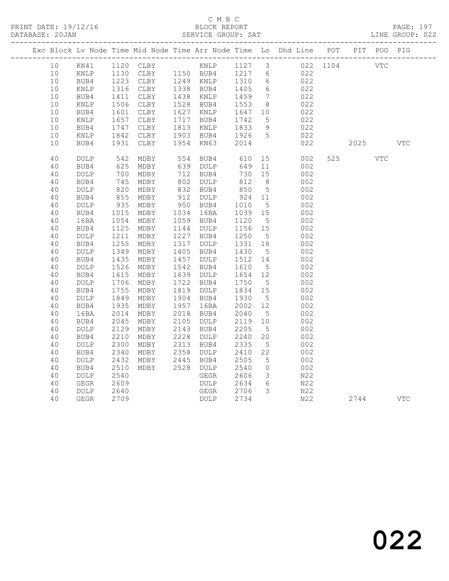|  |    |                 |      |                                            |      |                 |         |                              | Exc Block Lv Node Time Mid Node Time Arr Node Time Lo Dhd Line POT PIT POG PIG |      |     |            |
|--|----|-----------------|------|--------------------------------------------|------|-----------------|---------|------------------------------|--------------------------------------------------------------------------------|------|-----|------------|
|  | 10 | KN41            |      |                                            |      |                 |         |                              | 1120 CLBY 6 KNLP 1127 3 022 1104 VTC                                           |      |     |            |
|  | 10 | KNLP            |      |                                            |      |                 | 1217 6  |                              | 022                                                                            |      |     |            |
|  | 10 | BUB4            |      | 1130 CLBY 1150 BUB4<br>1223 CLBY 1249 KNLP |      |                 | 1310    | 6                            | 022                                                                            |      |     |            |
|  | 10 | KNLP            | 1316 | CLBY                                       |      | 1338 BUB4       | 1405    | $6\overline{6}$              | 022                                                                            |      |     |            |
|  | 10 | BUB4            | 1411 | CLBY                                       | 1438 | KNLP            | 1459    | $7\phantom{.0}\phantom{.0}7$ | 022                                                                            |      |     |            |
|  | 10 | KNLP            | 1506 | CLBY                                       | 1528 | BUB4            | 1553    | 8 <sup>8</sup>               | 022                                                                            |      |     |            |
|  | 10 | BUB4            | 1601 | CLBY                                       | 1627 | $\texttt{KNLP}$ | 1647    | 10                           | 022                                                                            |      |     |            |
|  | 10 | $\texttt{KNLP}$ | 1657 | CLBY                                       | 1717 | BUB4            | 1742    | $5\overline{)}$              | 022                                                                            |      |     |            |
|  | 10 | BUB4            | 1747 | CLBY                                       | 1813 | KNLP            | 1833    | 9                            | 022                                                                            |      |     |            |
|  | 10 | $\texttt{KNLP}$ | 1842 | CLBY                                       | 1903 | BUB4            | 1926    | $5\overline{)}$              | 022                                                                            |      |     |            |
|  | 10 | BUB4            | 1931 | CLBY                                       | 1954 | KN63            | 2014    |                              | 022                                                                            | 2025 |     | <b>VTC</b> |
|  | 40 | <b>DULP</b>     | 542  | MDBY                                       | 554  | BUB4            | 610     | 15                           | 002                                                                            | 525  | VTC |            |
|  | 40 | BUB4            | 625  | MDBY                                       | 639  | DULP            | 649     | 11                           | 002                                                                            |      |     |            |
|  | 40 | DULP            | 700  | MDBY                                       | 712  | BUB4            | 730     | 15                           | 002                                                                            |      |     |            |
|  | 40 | BUB4            | 745  | MDBY                                       | 802  | DULP            | 812     | 8 <sup>8</sup>               | 002                                                                            |      |     |            |
|  | 40 | $\texttt{DULP}$ | 820  | MDBY                                       | 832  | BUB4            | 850     | $5\overline{)}$              | 002                                                                            |      |     |            |
|  | 40 | BUB4            | 855  | MDBY                                       | 912  | DULP            | 924     | 11                           | 002                                                                            |      |     |            |
|  | 40 | $\texttt{DULP}$ | 935  | MDBY                                       | 950  | BUB4            | 1010    | $5\phantom{.0}$              | 002                                                                            |      |     |            |
|  | 40 | BUB4            | 1015 | MDBY                                       | 1034 | 16BA            | 1039    | 15                           | 002                                                                            |      |     |            |
|  | 40 | 16BA            | 1054 | MDBY                                       | 1059 | BUB4            | 1120    | $5\phantom{.0}$              | 002                                                                            |      |     |            |
|  | 40 | BUB4            | 1125 | MDBY                                       | 1144 | DULP            | 1156 15 |                              | 002                                                                            |      |     |            |
|  | 40 | <b>DULP</b>     | 1211 | MDBY                                       | 1227 | BUB4            | 1250    | 5                            | 002                                                                            |      |     |            |
|  | 40 | BUB4            | 1255 | MDBY                                       | 1317 | DULP            | 1331    | 18                           | 002                                                                            |      |     |            |
|  | 40 | <b>DULP</b>     | 1349 | MDBY                                       | 1405 | BUB4            | 1430    | $5^{\circ}$                  | 002                                                                            |      |     |            |
|  | 40 | BUB4            | 1435 | MDBY                                       | 1457 | $\texttt{DULP}$ | 1512    | 14                           | 002                                                                            |      |     |            |
|  | 40 | DULP            | 1526 | MDBY                                       | 1542 | BUB4            | 1610    | $5\overline{)}$              | 002                                                                            |      |     |            |
|  | 40 | BUB4            | 1615 | MDBY                                       | 1639 | DULP            | 1654    | 12                           | 002                                                                            |      |     |            |
|  | 40 | $\texttt{DULP}$ | 1706 | MDBY                                       | 1722 | BUB4            | 1750    | $5\overline{)}$              | 002                                                                            |      |     |            |
|  | 40 | BUB4            | 1755 | MDBY                                       | 1819 | <b>DULP</b>     | 1834    | 15                           | 002                                                                            |      |     |            |
|  | 40 | <b>DULP</b>     | 1849 | MDBY                                       | 1904 | BUB4            | 1930    | 5                            | 002                                                                            |      |     |            |
|  | 40 | BUB4            | 1935 | MDBY                                       | 1957 | 16BA            | 2002    | 12                           | 002                                                                            |      |     |            |
|  | 40 | 16BA            | 2014 | MDBY                                       | 2018 | BUB4            | 2040    | 5                            | 002                                                                            |      |     |            |
|  | 40 | BUB4            | 2045 | MDBY                                       | 2105 | DULP            | 2119    | 10                           | 002                                                                            |      |     |            |
|  | 40 | DULP            | 2129 | MDBY                                       | 2143 | BUB4            | 2205    | $5\phantom{.0}$              | 002                                                                            |      |     |            |
|  | 40 | BUB4            | 2210 | MDBY                                       | 2228 | DULP            | 2240    | 20                           | 002                                                                            |      |     |            |
|  | 40 | <b>DULP</b>     | 2300 | MDBY                                       | 2313 | BUB4            | 2335    | 5                            | 002                                                                            |      |     |            |
|  | 40 | BUB4            | 2340 | MDBY                                       | 2358 | $\texttt{DULP}$ | 2410    | 22                           | 002                                                                            |      |     |            |
|  | 40 | DULP            | 2432 | MDBY                                       | 2445 | BUB4            | 2505    | 5                            | 002                                                                            |      |     |            |
|  | 40 | BUB4            | 2510 | MDBY                                       | 2528 | DULP            | 2540    | $\circ$                      | 002                                                                            |      |     |            |
|  | 40 | $\texttt{DULP}$ | 2540 |                                            |      | GEGR            | 2606    | $\mathcal{S}$                | N22                                                                            |      |     |            |
|  | 40 | GEGR            | 2609 |                                            |      | DULP            | 2634    | 6                            | N22                                                                            |      |     |            |
|  | 40 | <b>DULP</b>     | 2640 |                                            |      | GEGR            | 2706    | 3                            | N22                                                                            |      |     |            |
|  | 40 | <b>GEGR</b>     | 2709 |                                            |      | <b>DULP</b>     | 2734    |                              | N22                                                                            | 2744 |     | <b>VTC</b> |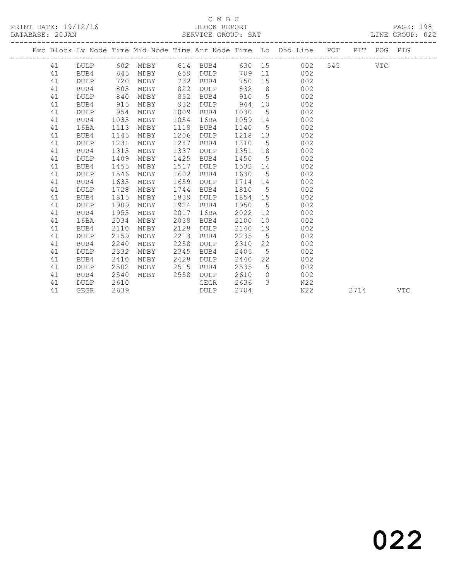# C M B C<br>BLOCK REPORT

PRINT DATE: 19/12/16 BLOCK REPORT PAGE: 198 SERVICE GROUP: SAT

|  |    |             |      |                                  |      |             |         |                 | Exc Block Lv Node Time Mid Node Time Arr Node Time Lo Dhd Line POT PIT POG PIG |         |      |     |
|--|----|-------------|------|----------------------------------|------|-------------|---------|-----------------|--------------------------------------------------------------------------------|---------|------|-----|
|  |    |             |      | 41 DULP 602 MDBY 614 BUB4 630 15 |      |             |         |                 | 002                                                                            | 545 VTC |      |     |
|  | 41 | BUB4        | 645  | MDBY                             |      | 659 DULP    |         |                 | 709 11 002                                                                     |         |      |     |
|  | 41 | <b>DULP</b> | 720  | MDBY                             | 732  | BUB4        | 750     | 15              | 002                                                                            |         |      |     |
|  | 41 | BUB4        | 805  | MDBY                             | 822  | DULP        | 832     | 8 <sup>8</sup>  | 002                                                                            |         |      |     |
|  | 41 | <b>DULP</b> | 840  | MDBY                             | 852  | BUB4        | 910     | $5^{\circ}$     | 002                                                                            |         |      |     |
|  | 41 | BUB4        | 915  | MDBY                             | 932  | <b>DULP</b> | 944     | 10              | 002                                                                            |         |      |     |
|  | 41 | <b>DULP</b> | 954  | MDBY                             | 1009 | BUB4        | 1030    | 5               | 002                                                                            |         |      |     |
|  | 41 | BUB4        | 1035 | MDBY                             | 1054 | 16BA        | 1059 14 |                 | 002                                                                            |         |      |     |
|  | 41 | 16BA        | 1113 | MDBY                             | 1118 | BUB4        | 1140    | $5\overline{)}$ | 002                                                                            |         |      |     |
|  | 41 | BUB4        | 1145 | MDBY                             | 1206 | <b>DULP</b> | 1218    | 13              | 002                                                                            |         |      |     |
|  | 41 | <b>DULP</b> | 1231 | MDBY                             | 1247 | BUB4        | 1310    | $5^{\circ}$     | 002                                                                            |         |      |     |
|  | 41 | BUB4        | 1315 | MDBY                             | 1337 | DULP        | 1351    | 18              | 002                                                                            |         |      |     |
|  | 41 | <b>DULP</b> | 1409 | MDBY                             | 1425 | BUB4        | 1450    | $5^{\circ}$     | 002                                                                            |         |      |     |
|  | 41 | BUB4        | 1455 | MDBY                             | 1517 | DULP        | 1532    | 14              | 002                                                                            |         |      |     |
|  | 41 | <b>DULP</b> | 1546 | MDBY                             | 1602 | BUB4        | 1630    | 5 <sup>5</sup>  | 002                                                                            |         |      |     |
|  | 41 | BUB4        | 1635 | MDBY                             | 1659 | DULP        | 1714 14 |                 | 002                                                                            |         |      |     |
|  | 41 | <b>DULP</b> | 1728 | MDBY                             | 1744 | BUB4        | 1810    | $5^{\circ}$     | 002                                                                            |         |      |     |
|  | 41 | BUB4        | 1815 | MDBY                             | 1839 | DULP        | 1854    | 15              | 002                                                                            |         |      |     |
|  | 41 | <b>DULP</b> | 1909 | MDBY                             | 1924 | BUB4        | 1950    | $5^{\circ}$     | 002                                                                            |         |      |     |
|  | 41 | BUB4        | 1955 | MDBY                             | 2017 | 16BA        | 2022    | 12              | 002                                                                            |         |      |     |
|  | 41 | 16BA        | 2034 | MDBY                             | 2038 | BUB4        | 2100    | 10              | 002                                                                            |         |      |     |
|  | 41 | BUB4        | 2110 | MDBY                             | 2128 | <b>DULP</b> | 2140    | 19              | 002                                                                            |         |      |     |
|  | 41 | <b>DULP</b> | 2159 | MDBY                             | 2213 | BUB4        | 2235    | $5^{\circ}$     | 002                                                                            |         |      |     |
|  | 41 | BUB4        | 2240 | MDBY                             | 2258 | <b>DULP</b> | 2310    | 22              | 002                                                                            |         |      |     |
|  | 41 | <b>DULP</b> | 2332 | MDBY                             | 2345 | BUB4        | 2405    | 5               | 002                                                                            |         |      |     |
|  | 41 | BUB4        | 2410 | MDBY                             | 2428 | <b>DULP</b> | 2440    | 22              | 002                                                                            |         |      |     |
|  | 41 | <b>DULP</b> | 2502 | MDBY                             | 2515 | BUB4        | 2535    | $5\overline{)}$ | 002                                                                            |         |      |     |
|  | 41 | BUB4        | 2540 | MDBY                             | 2558 | DULP        | 2610    | $\bigcirc$      | 002                                                                            |         |      |     |
|  | 41 | DULP        | 2610 |                                  |      | GEGR        | 2636    | $\mathcal{E}$   | N22                                                                            |         |      |     |
|  | 41 | GEGR        | 2639 |                                  |      | DULP        | 2704    |                 | N22                                                                            |         | 2714 | VTC |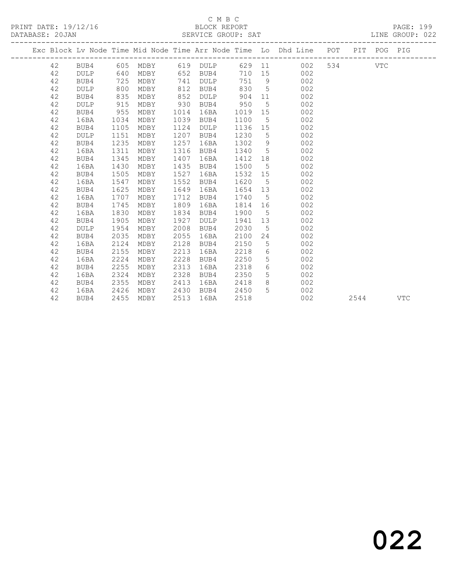### C M B C<br>BLOCK REPORT SERVICE GROUP: SAT

PRINT DATE: 19/12/16 BLOCK REPORT PAGE: 199

|  |    |             |      |      |      |                   |         |                 | Exc Block Lv Node Time Mid Node Time Arr Node Time Lo Dhd Line POT PIT POG PIG |         |      |     |
|--|----|-------------|------|------|------|-------------------|---------|-----------------|--------------------------------------------------------------------------------|---------|------|-----|
|  | 42 | BUB4        |      |      |      | 605 MDBY 619 DULP |         |                 | 629 11<br>002                                                                  | 534 VTC |      |     |
|  | 42 | DULP        | 640  | MDBY |      | 652 BUB4          | 710 15  |                 | 002                                                                            |         |      |     |
|  | 42 | BUB4        | 725  | MDBY | 741  | DULP              | 751 9   |                 | 002                                                                            |         |      |     |
|  | 42 | DULP        | 800  | MDBY | 812  | BUB4              | 830     | $5^{\circ}$     | 002                                                                            |         |      |     |
|  | 42 | BUB4        | 835  | MDBY | 852  | <b>DULP</b>       | 904     | 11              | 002                                                                            |         |      |     |
|  | 42 | <b>DULP</b> | 915  | MDBY | 930  | BUB4              | 950     | $5\overline{)}$ | 002                                                                            |         |      |     |
|  | 42 | BUB4        | 955  | MDBY | 1014 | 16BA              | 1019    | 15              | 002                                                                            |         |      |     |
|  | 42 | 16BA        | 1034 | MDBY | 1039 | BUB4              | 1100    | $5^{\circ}$     | 002                                                                            |         |      |     |
|  | 42 | BUB4        | 1105 | MDBY | 1124 | <b>DULP</b>       | 1136 15 |                 | 002                                                                            |         |      |     |
|  | 42 | <b>DULP</b> | 1151 | MDBY | 1207 | BUB4              | 1230    | 5               | 002                                                                            |         |      |     |
|  | 42 | BUB4        | 1235 | MDBY | 1257 | 16BA              | 1302    |                 | 9<br>002                                                                       |         |      |     |
|  | 42 | 16BA        | 1311 | MDBY | 1316 | BUB4              | 1340    | $5\overline{)}$ | 002                                                                            |         |      |     |
|  | 42 | BUB4        | 1345 | MDBY | 1407 | 16BA              | 1412 18 |                 | 002                                                                            |         |      |     |
|  | 42 | 16BA        | 1430 | MDBY | 1435 | BUB4              | 1500    | $5^{\circ}$     | 002                                                                            |         |      |     |
|  | 42 | BUB4        | 1505 | MDBY | 1527 | 16BA              | 1532    | 15              | 002                                                                            |         |      |     |
|  | 42 | 16BA        | 1547 | MDBY | 1552 | BUB4              | 1620    | $5^{\circ}$     | 002                                                                            |         |      |     |
|  | 42 | BUB4        | 1625 | MDBY | 1649 | 16BA              | 1654 13 |                 | 002                                                                            |         |      |     |
|  | 42 | 16BA        | 1707 | MDBY | 1712 | BUB4              | 1740    | $5^{\circ}$     | 002                                                                            |         |      |     |
|  | 42 | BUB4        | 1745 | MDBY | 1809 | 16BA              | 1814    | 16              | 002                                                                            |         |      |     |
|  | 42 | 16BA        | 1830 | MDBY | 1834 | BUB4              | 1900    | $5^{\circ}$     | 002                                                                            |         |      |     |
|  | 42 | BUB4        | 1905 | MDBY | 1927 | <b>DULP</b>       | 1941 13 |                 | 002                                                                            |         |      |     |
|  | 42 | <b>DULP</b> | 1954 | MDBY | 2008 | BUB4              | 2030    | 5 <sup>5</sup>  | 002                                                                            |         |      |     |
|  | 42 | BUB4        | 2035 | MDBY | 2055 | 16BA              | 2100    | 24              | 002                                                                            |         |      |     |
|  | 42 | 16BA        | 2124 | MDBY | 2128 | BUB4              | 2150    | 5               | 002                                                                            |         |      |     |
|  | 42 | BUB4        | 2155 | MDBY | 2213 | 16BA              | 2218    | 6               | 002                                                                            |         |      |     |
|  | 42 | 16BA        | 2224 | MDBY | 2228 | BUB4              | 2250    | 5               | 002                                                                            |         |      |     |
|  | 42 | BUB4        | 2255 | MDBY | 2313 | 16BA              | 2318    | 6               | 002                                                                            |         |      |     |
|  | 42 | 16BA        | 2324 | MDBY | 2328 | BUB4              | 2350    | 5               | 002                                                                            |         |      |     |
|  | 42 | BUB4        | 2355 | MDBY | 2413 | 16BA              | 2418    | 8               | 002                                                                            |         |      |     |
|  | 42 | 16BA        | 2426 | MDBY | 2430 | BUB4              | 2450    | 5               | 002                                                                            |         |      |     |
|  | 42 | BUB4        | 2455 | MDBY | 2513 | 16BA              | 2518    |                 | 002                                                                            |         | 2544 | VTC |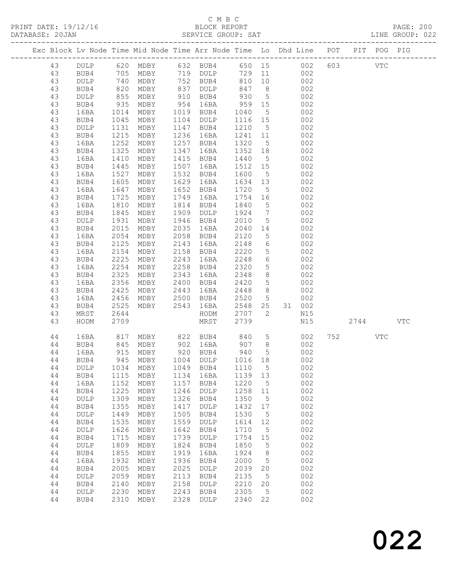# C M B C

|    |                 |                   |           |      |                                                                                   |         |                 |                                                                                |                |            | PAGE: 200<br>LINE GROUP: 022 |
|----|-----------------|-------------------|-----------|------|-----------------------------------------------------------------------------------|---------|-----------------|--------------------------------------------------------------------------------|----------------|------------|------------------------------|
|    |                 |                   |           |      |                                                                                   |         |                 | Exc Block Lv Node Time Mid Node Time Arr Node Time Lo Dhd Line POT PIT POG PIG |                |            |                              |
| 43 |                 |                   |           |      | DULP 620 MDBY 632 BUB4 650 15                                                     |         |                 | 002                                                                            | 603 VTC        |            |                              |
| 43 | BUB4            |                   |           |      | MDBY 719 DULP                                                                     |         |                 | 729 11<br>002                                                                  |                |            |                              |
| 43 | DULP            |                   | MDBY      |      | 752 BUB4<br>837 DULP                                                              | 810 10  |                 | 002                                                                            |                |            |                              |
| 43 | BUB4            | 705<br>740<br>820 | MDBY      |      | 837 DULP                                                                          | 847     | 8               | 002                                                                            |                |            |                              |
| 43 | DULP            | 855               | MDBY      |      | 910 BUB4                                                                          | 930     | $5\overline{)}$ | 002                                                                            |                |            |                              |
| 43 | BUB4            |                   | MDBY      |      | 954 16BA                                                                          | 959     | 15              | 002                                                                            |                |            |                              |
| 43 | 16BA            | $935$<br>$1014$   | MDBY      |      | 1019 BUB4                                                                         | 1040    | $5\overline{)}$ | 002                                                                            |                |            |                              |
| 43 | BUB4            | 1045              | MDBY      |      | 1104 DULP                                                                         | 1116 15 |                 | 002                                                                            |                |            |                              |
| 43 | DULP            | 1131              | MDBY      |      | 1147 BUB4                                                                         | 1210    | $5^{\circ}$     | 002                                                                            |                |            |                              |
| 43 | BUB4            | 1215              | MDBY      |      | 1236 16BA                                                                         | 1241    | 11              | 002                                                                            |                |            |                              |
| 43 | 16BA            | 1252              | MDBY      |      | 1257 BUB4                                                                         | 1320    | $5^{\circ}$     | 002                                                                            |                |            |                              |
| 43 | BUB4            | 1325              | MDBY      | 1347 | 16BA                                                                              | 1352    | 18              | 002                                                                            |                |            |                              |
| 43 | 16BA            | 1410              | MDBY      |      | 1415 BUB4                                                                         | 1440    | $5^{\circ}$     | 002                                                                            |                |            |                              |
| 43 | BUB4            | 1445              | MDBY      | 1507 | 16BA                                                                              | 1512 15 |                 | 002                                                                            |                |            |                              |
| 43 | 16BA            | 1527              | MDBY      |      | 1532 BUB4                                                                         | 1600    | 5 <sup>5</sup>  | 002                                                                            |                |            |                              |
| 43 | BUB4            | 1605              | MDBY      |      | 1629 16BA                                                                         | 1634 13 |                 | 002                                                                            |                |            |                              |
| 43 | 16BA            | 1647              | MDBY      | 1652 | BUB4                                                                              | 1720    | $5^{\circ}$     | 002                                                                            |                |            |                              |
| 43 | BUB4            | 1725              | MDBY      | 1749 | 16BA                                                                              | 1754    | 16              | 002                                                                            |                |            |                              |
| 43 | 16BA            |                   | MDBY      |      | 1814 BUB4                                                                         | 1840    | $5\overline{)}$ | 002                                                                            |                |            |                              |
| 43 | BUB4            | $10 - 1845$       | MDBY      | 1909 | DULP                                                                              | 1924    | $7\overline{ }$ | 002                                                                            |                |            |                              |
| 43 | $\texttt{DULP}$ | 1931              | MDBY      |      | 1946 BUB4                                                                         | 2010    | $5\overline{)}$ | 002                                                                            |                |            |                              |
| 43 | BUB4            | 2015              | MDBY      |      | 2035 16BA                                                                         | 2040    | 14              | 002                                                                            |                |            |                              |
| 43 | 16BA            | 2054              | MDBY      | 2058 | BUB4                                                                              | 2120    | 5 <sup>5</sup>  | 002                                                                            |                |            |                              |
| 43 | BUB4            | 2125              | MDBY      | 2143 | 16BA                                                                              | 2148    | $6\overline{6}$ | 002                                                                            |                |            |                              |
| 43 | 16BA            | 2154              | MDBY      | 2158 | BUB4                                                                              | 2220    | 5 <sup>5</sup>  | 002                                                                            |                |            |                              |
| 43 | BUB4            | 2225              | MDBY      | 2243 | 16BA                                                                              | 2248    | $6\overline{6}$ | 002                                                                            |                |            |                              |
| 43 | 16BA            | 2254              | MDBY      | 2258 | BUB4                                                                              | 2320    | $5\overline{)}$ | 002                                                                            |                |            |                              |
| 43 | BUB4            | 2325              | MDBY      | 2343 | 16BA                                                                              | 2348    | 8 <sup>8</sup>  | 002                                                                            |                |            |                              |
| 43 | 16BA            | 2356              | MDBY      |      | 2400 BUB4                                                                         | 2420    | $5\overline{)}$ | 002                                                                            |                |            |                              |
| 43 | BUB4            | 2425              | MDBY      | 2443 | 16BA                                                                              | 2448    | 8 <sup>8</sup>  | 002                                                                            |                |            |                              |
| 43 | 16BA            | 2456              | MDBY      | 2500 | BUB4                                                                              | 2520    | 5 <sup>5</sup>  | 002                                                                            |                |            |                              |
| 43 | BUB4            | 2525              | MDBY      | 2543 | 16BA                                                                              | 2548    | 25              | 31 002                                                                         |                |            |                              |
| 43 | MRST            | 2644              |           |      | HODM                                                                              | 2707    | $\overline{2}$  | N15                                                                            |                |            |                              |
| 43 | HODM            | 2709              |           |      | MRST                                                                              | 2739    |                 | N15                                                                            | 2744           |            | VTC                          |
| 44 | 16BA            |                   |           |      | 817 MDBY       822   BUB4        840<br>845   MDBY         902   16BA         907 |         | $5\overline{)}$ | 002                                                                            | 752 and $\sim$ | <b>VTC</b> |                              |
| 44 | BUB4            |                   |           |      |                                                                                   |         | 8 <sup>8</sup>  | 002                                                                            |                |            |                              |
| 44 | 16BA            |                   | 915 MDBY  |      | 920 BUB4                                                                          | 940     | 5 <sup>5</sup>  | 002                                                                            |                |            |                              |
| 44 | BUB4            | 945               | MDBY      | 1004 | DULP                                                                              | 1016    | 18              | 002                                                                            |                |            |                              |
| 44 | DULP            | 1034              | MDBY      | 1049 | BUB4                                                                              | 1110    | $5^{\circ}$     | 002                                                                            |                |            |                              |
| 44 | BUB4            | 1115              | MDBY      | 1134 | 16BA                                                                              | 1139    | 13              | 002                                                                            |                |            |                              |
| 44 | 16BA            | 1152              | MDBY      | 1157 | BUB4                                                                              | 1220    | 5               | 002                                                                            |                |            |                              |
| 44 | BUB4            | 1225              | MDBY      | 1246 | DULP                                                                              | 1258    | 11              | 002                                                                            |                |            |                              |
| 44 | DULP            | 1309              | MDBY      | 1326 | BUB4                                                                              | 1350    | $5^{\circ}$     | 002                                                                            |                |            |                              |
| 44 | BUB4            | 1355              | MDBY      | 1417 | DULP                                                                              | 1432    | 17              | 002                                                                            |                |            |                              |
| 44 | DULP            | 1449              | MDBY      | 1505 | BUB4                                                                              | 1530    | $5\phantom{.0}$ | 002                                                                            |                |            |                              |
| 44 | BUB4            | 1535              | MDBY      | 1559 | DULP                                                                              | 1614    | 12              | 002                                                                            |                |            |                              |
| 44 | DULP            | 1626              | MDBY      | 1642 | BUB4                                                                              | 1710    | $5^{\circ}$     | 002                                                                            |                |            |                              |
| 44 | BUB4            | 1715              | MDBY      | 1739 | DULP                                                                              | 1754    | 15              | 002                                                                            |                |            |                              |
| 44 | DULP            | 1809              | MDBY      | 1824 | BUB4                                                                              | 1850    | $5^{\circ}$     | 002                                                                            |                |            |                              |
| 44 | BUB4            | 1855              | MDBY      | 1919 | 16BA                                                                              | 1924    | 8 <sup>8</sup>  | 002                                                                            |                |            |                              |
| 44 | 16BA            | 1932              | MDBY      | 1936 | BUB4                                                                              | 2000    | $5^{\circ}$     | 002                                                                            |                |            |                              |
| 44 | BUB4            |                   | 2005 MDBY | 2025 | DULP                                                                              | 2039 20 |                 | 002                                                                            |                |            |                              |

 44 BUB4 2140 MDBY 2158 DULP 2210 20 002 44 DULP 2230 MDBY 2243 BUB4 2305 5 002

 44 BUB4 2005 MDBY 2025 DULP 2039 20 002 44 DULP 2059 MDBY 2113 BUB4 2135 5 002

44 BUB4 2310 MDBY 2328 DULP 2340 22 002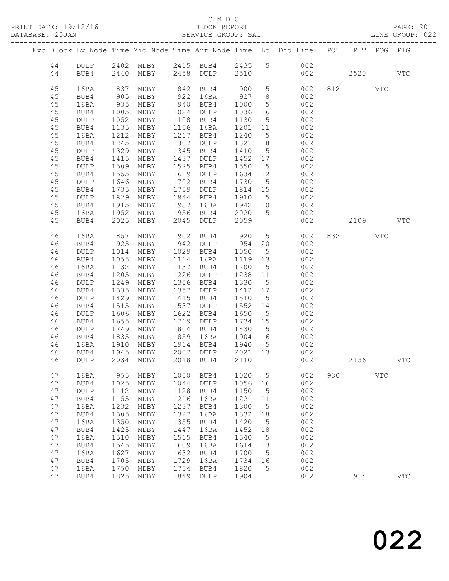### C M B C

|          |                 |              |                           |              | ں ں یں ب                |      |             |                                                                                                                                          |     |      |              |              |  |
|----------|-----------------|--------------|---------------------------|--------------|-------------------------|------|-------------|------------------------------------------------------------------------------------------------------------------------------------------|-----|------|--------------|--------------|--|
|          |                 |              |                           |              |                         |      |             | Exc Block Lv Node Time Mid Node Time Arr Node Time Lo Dhd Line POT PIT POG PIG                                                           |     |      |              |              |  |
| 44       |                 |              |                           |              |                         |      |             | 44 DULP 2402 MDBY 2415 BUB4 2435 5 002<br>BUB4 2440 MDBY 2458 DULP 2510 002 2520 VTC                                                     |     |      |              |              |  |
| 45       |                 |              |                           |              |                         |      |             | 16BA 837 MDBY 842 BUB4 900 5 002 812 VTC                                                                                                 |     |      |              |              |  |
| 45       | BUB4            |              |                           |              |                         |      |             |                                                                                                                                          |     |      |              |              |  |
| 45       | 16BA            |              |                           |              |                         |      |             |                                                                                                                                          |     |      |              |              |  |
| 45       | BUB4            |              |                           |              |                         |      |             | 905 MDBY 922 16BA 927 8 002<br>935 MDBY 940 BUB4 1000 5 002<br>1005 MDBY 1024 DULP 1036 16 002<br>1052 MDBY 1108 BUB4 1130 5 002         |     |      |              |              |  |
| 45       | DULP            |              |                           |              |                         |      |             |                                                                                                                                          |     |      |              |              |  |
| 45       | BUB4            |              | 1135 MDBY                 |              |                         |      |             | 1156 16BA 1201 11 002                                                                                                                    |     |      |              |              |  |
| 45       | 16BA            | 1212         | MDBY                      |              |                         |      |             | 1217 BUB4 1240 5 002<br>1307 DULP 1321 8 002<br>1345 BUB4 1410 5 002                                                                     |     |      |              |              |  |
| 45       | BUB4            |              | 1245 MDBY                 |              |                         |      |             |                                                                                                                                          |     |      |              |              |  |
| 45<br>45 | DULP<br>BUB4    | 1415         | 1329 MDBY<br>MDBY         |              |                         |      |             | 1437 DULP 1452 17 002                                                                                                                    |     |      |              |              |  |
| 45       |                 | 1509         |                           |              |                         |      |             |                                                                                                                                          |     |      |              |              |  |
| 45       | DULP<br>BUB4    |              | MDBY<br>MDBY              |              |                         |      |             | 1525 BUB4 1550 5 002<br>1619 DULP 1634 12 002<br>1702 BUB4 1730 5 002                                                                    |     |      |              |              |  |
| 45       | $\texttt{DULP}$ | 1555<br>1646 | 1646 MDBY                 |              |                         |      |             |                                                                                                                                          |     |      |              |              |  |
| 45       | BUB4            |              | 1735 MDBY                 |              |                         |      |             | 1759 DULP 1814 15 002                                                                                                                    |     |      |              |              |  |
| 45       | DULP            |              |                           |              |                         |      |             |                                                                                                                                          |     |      |              |              |  |
| 45       | BUB4            |              |                           |              |                         |      |             |                                                                                                                                          |     |      |              |              |  |
| 45       | 16BA            |              |                           |              |                         |      |             |                                                                                                                                          |     |      |              |              |  |
| 45       | BUB4            |              |                           |              |                         |      |             | 1829 MDBY 1844 BUB4 1910 5<br>1915 MDBY 1937 16BA 1942 10 002<br>1952 MDBY 1956 BUB4 2020 5 002<br>2025 MDBY 2045 DULP 2059 002 2109 VTC |     |      |              |              |  |
|          |                 |              |                           |              |                         |      |             |                                                                                                                                          |     |      |              |              |  |
| 46       | 16BA            |              |                           |              |                         |      |             | 857 MDBY 902 BUB4 920 5 002 832 VTC<br>925 MDBY 942 DULP 954 20 002                                                                      |     |      |              |              |  |
| 46       | BUB4            |              |                           |              |                         |      |             |                                                                                                                                          |     |      |              |              |  |
| 46       | DULP            |              |                           |              |                         |      |             | 1014 MDBY 1029 BUB4 1050 5 002                                                                                                           |     |      |              |              |  |
| 46       | BUB4            | 1055         | MDBY                      |              | 1114 16BA               |      |             | 1119 13 002                                                                                                                              |     |      |              |              |  |
| 46       | 16BA            |              | 1132 MDBY                 |              |                         |      |             | 1137 BUB4 1200 5 002<br>1226 DULP 1238 11 002<br>1306 BUB4 1330 5 002                                                                    |     |      |              |              |  |
| 46       | BUB4            |              | 1205 MDBY                 |              |                         |      |             |                                                                                                                                          |     |      |              |              |  |
| 46       | $\texttt{DULP}$ |              | 1249 MDBY                 |              |                         |      |             |                                                                                                                                          |     |      |              |              |  |
| 46       | BUB4            | 1335         | MDBY                      |              | 1357 DULP               |      |             | 1412 17 002                                                                                                                              |     |      |              |              |  |
| 46       | $\texttt{DULP}$ | 1429         | MDBY                      |              |                         |      |             | 1445 BUB4 1510 5 002<br>1537 DULP 1552 14 002<br>1622 BUB4 1650 5 002                                                                    |     |      |              |              |  |
| 46       | BUB4            | 1515         | MDBY                      |              |                         |      |             |                                                                                                                                          |     |      |              |              |  |
| 46       | $\texttt{DULP}$ |              | 1606 MDBY                 |              |                         |      |             |                                                                                                                                          |     |      |              |              |  |
| 46       | BUB4            | 1655         | MDBY                      |              |                         |      |             | 1719 DULP 1734 15 002                                                                                                                    |     |      |              |              |  |
| 46       | DULP            |              |                           |              |                         |      |             | 1749 MDBY 1804 BUB4 1830 5 002<br>1835 MDBY 1859 16BA 1904 6 002<br>1910 MDBY 1914 BUB4 1940 5 002                                       |     |      |              |              |  |
| 46       | BUB4            |              |                           |              |                         |      |             |                                                                                                                                          |     |      |              |              |  |
| 46       | 16BA            | 1945         |                           |              |                         | 2021 |             |                                                                                                                                          |     |      |              |              |  |
| 46<br>46 | BUB4<br>DULP    | 2034         | $\texttt{MDBY}{}$<br>MDBY | 2007<br>2048 | $\texttt{DULP}$<br>BUB4 | 2110 | 13          | 002<br>002                                                                                                                               |     | 2136 |              | <b>VTC</b>   |  |
|          |                 |              |                           |              |                         |      |             |                                                                                                                                          |     |      |              |              |  |
| 47       | 16BA            | 955          | MDBY                      | 1000         | BUB4                    | 1020 | 5           | 002                                                                                                                                      | 930 |      | $_{\rm VTC}$ |              |  |
| 47       | BUB4            | 1025         | MDBY                      | 1044         | <b>DULP</b>             | 1056 | 16          | 002                                                                                                                                      |     |      |              |              |  |
| 47       | DULP            | 1112         | MDBY                      | 1128         | BUB4                    | 1150 | 5           | 002                                                                                                                                      |     |      |              |              |  |
| 47       | BUB4            | 1155         | MDBY                      | 1216         | 16BA                    | 1221 | 11          | 002                                                                                                                                      |     |      |              |              |  |
| 47       | 16BA            | 1232         | MDBY                      | 1237         | BUB4                    | 1300 | $\mathsf S$ | 002                                                                                                                                      |     |      |              |              |  |
| 47       | BUB4            | 1305         | MDBY                      | 1327         | 16BA                    | 1332 | 18          | 002                                                                                                                                      |     |      |              |              |  |
| 47       | 16BA            | 1350         | MDBY                      | 1355         | BUB4                    | 1420 | 5           | 002                                                                                                                                      |     |      |              |              |  |
| 47       | BUB4            | 1425         | MDBY                      | 1447         | 16BA                    | 1452 | 18          | 002                                                                                                                                      |     |      |              |              |  |
| 47       | 16BA            | 1510         | MDBY                      | 1515         | BUB4                    | 1540 | 5           | 002                                                                                                                                      |     |      |              |              |  |
| 47       | BUB4            | 1545         | MDBY                      | 1609         | 16BA                    | 1614 | 13          | 002                                                                                                                                      |     |      |              |              |  |
| 47       | 16BA            | 1627         | MDBY                      | 1632         | BUB4                    | 1700 | 5           | 002                                                                                                                                      |     |      |              |              |  |
| 47       | BUB4            | 1705         | MDBY                      | 1729         | 16BA                    | 1734 | 16          | 002                                                                                                                                      |     |      |              |              |  |
| 47       | 16BA            | 1750         | MDBY                      | 1754         | BUB4                    | 1820 | 5           | 002                                                                                                                                      |     |      |              |              |  |
| 47       | BUB4            | 1825         | MDBY                      | 1849         | DULP                    | 1904 |             | 002                                                                                                                                      |     | 1914 |              | $_{\rm VTC}$ |  |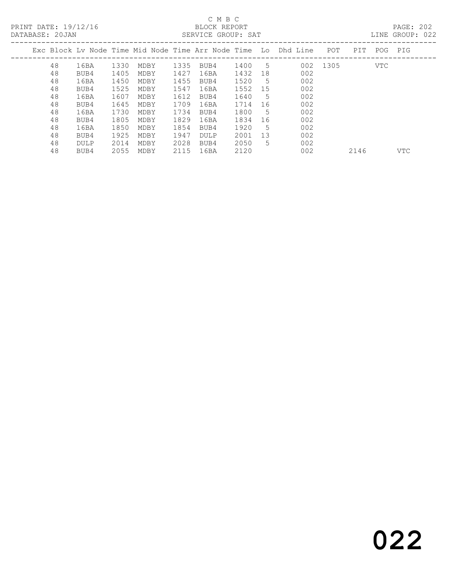# C M B C<br>BLOCK REPORT

PAGE: 202<br>LINE GROUP: 022

|    |             |      |      |      | DUINTEUR UNUUL . UIIT |         |     |                                                                      |          |     |         | TIME AIRCLI.<br>◡▵▵ |
|----|-------------|------|------|------|-----------------------|---------|-----|----------------------------------------------------------------------|----------|-----|---------|---------------------|
|    |             |      |      |      |                       |         |     | Exc Block Lv Node Time Mid Node Time Arr Node Time  Lo  Dhd Line   . | POT      | PIT | POG PIG |                     |
| 48 | 16BA        | 1330 | MDBY | 1335 | BUB4                  | 1400    | -5  |                                                                      | 002 1305 |     | VTC     |                     |
| 48 | BUB4        | 1405 | MDBY | 1427 | 16BA                  | 1432    | 18  | 002                                                                  |          |     |         |                     |
| 48 | 16BA        | 1450 | MDBY | 1455 | BUB4                  | 1520    | - 5 | 002                                                                  |          |     |         |                     |
| 48 | BUB4        | 1525 | MDBY | 1547 | 16BA                  | 1552 15 |     | 002                                                                  |          |     |         |                     |
| 48 | 16BA        | 1607 | MDBY | 1612 | BUB4                  | 1640    | .5  | 002                                                                  |          |     |         |                     |
| 48 | BUB4        | 1645 | MDBY | 1709 | 16BA                  | 1714    | 16  | 002                                                                  |          |     |         |                     |
| 48 | 16BA        | 1730 | MDBY | 1734 | BUB4                  | 1800    | -5  | 002                                                                  |          |     |         |                     |
| 48 | BUB4        | 1805 | MDBY | 1829 | 16BA                  | 1834    | -16 | 002                                                                  |          |     |         |                     |
| 48 | 16BA        | 1850 | MDBY | 1854 | BUB4                  | 1920    | -5  | 002                                                                  |          |     |         |                     |
| 48 | BUB4        | 1925 | MDBY | 1947 | DULP                  | 2001    | 13  | 002                                                                  |          |     |         |                     |
| 48 | <b>DULP</b> | 2014 | MDBY | 2028 | BUB4                  | 2050    | 5.  | 002                                                                  |          |     |         |                     |
|    |             |      |      |      |                       |         |     |                                                                      |          |     |         |                     |

48 BUB4 2055 MDBY 2115 16BA 2120 002 2146 VTC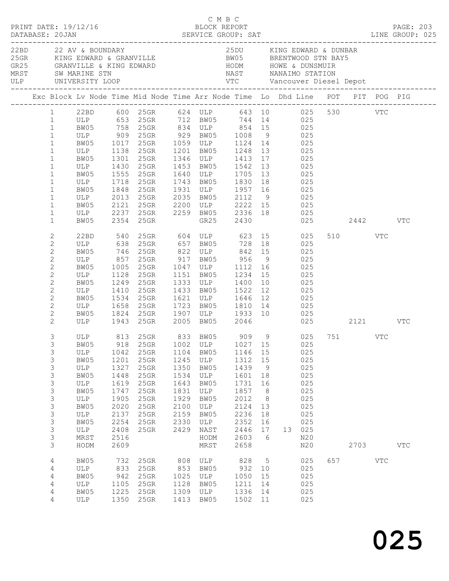| DATABASE: 20JAN |                                                                                                                                                                                                    | PRINT DATE: 19/12/16                                                                           |                                                                                                      |                                                                                                                                                                                                                                                                                                                                                                                                                          |                                                                                      | C M B C                                                                                         | BLOCK REPORT                                                                                            |                                                                                      |            |                                                                                            |                         | <b>PAGE: 203</b> |  |
|-----------------|----------------------------------------------------------------------------------------------------------------------------------------------------------------------------------------------------|------------------------------------------------------------------------------------------------|------------------------------------------------------------------------------------------------------|--------------------------------------------------------------------------------------------------------------------------------------------------------------------------------------------------------------------------------------------------------------------------------------------------------------------------------------------------------------------------------------------------------------------------|--------------------------------------------------------------------------------------|-------------------------------------------------------------------------------------------------|---------------------------------------------------------------------------------------------------------|--------------------------------------------------------------------------------------|------------|--------------------------------------------------------------------------------------------|-------------------------|------------------|--|
|                 |                                                                                                                                                                                                    | 22BD 22 AV & BOUNDARY                                                                          |                                                                                                      | 25GR KING EDWARD & GRANVILLE BW05 BRENTWOOD STN BAY5                                                                                                                                                                                                                                                                                                                                                                     |                                                                                      |                                                                                                 | 25DU KING EDWARD & DUNBAR                                                                               |                                                                                      |            |                                                                                            |                         |                  |  |
|                 |                                                                                                                                                                                                    |                                                                                                |                                                                                                      | Exc Block Lv Node Time Mid Node Time Arr Node Time Lo Dhd Line POT PIT POG PIG                                                                                                                                                                                                                                                                                                                                           |                                                                                      |                                                                                                 |                                                                                                         |                                                                                      |            |                                                                                            |                         |                  |  |
|                 | $\mathbf{1}$<br>$\mathbf{1}$<br>$\mathbf{1}$<br>$\mathbf{1}$<br>$\mathbf{1}$<br>$\mathbf{1}$<br>$\mathbf{1}$<br>$\mathbf{1}$                                                                       | ULP 1718 25GR                                                                                  |                                                                                                      | 1 22BD 600 25GR 624 ULP 643 10 025 530 VTC<br>1 ULP 653 25GR 712 BW05 744 14 025<br>99 5 758 758 758 834 ULP 854 15<br>ULP 909 25GR 929 BW05 1008 9 025<br>25GR 1059 ULP 1124 14 025<br>ULP 1138 25GR 1201 BW05 1248 13 025<br>BW05 1301 25GR 1346 ULP 1413 17 025<br>ULP 1430 25GR 1453 BW05 1542 13 025<br>BW05 1555 25GR 1640 ULP 1705 13 025                                                                         |                                                                                      |                                                                                                 | 1743 BW05 1830 18                                                                                       |                                                                                      | 025        |                                                                                            |                         |                  |  |
|                 | $\mathbf{1}$<br>$\mathbf{1}$<br>$1\,$<br>$\mathbf{1}$<br>$\mathbf{1}$                                                                                                                              | BW05                                                                                           |                                                                                                      | BW05 1848 25GR 1931 ULP 1957 16 025<br>ULP 2013 25GR 2035 BW05 2112 9 025<br>BW05 2121 25GR 2200 ULP 2222 15 025<br>ULP 2237 25GR 2259 BW05 2336 18 025<br>2354 25GR                                                                                                                                                                                                                                                     |                                                                                      |                                                                                                 | GR25 2430                                                                                               |                                                                                      |            |                                                                                            | 025 2442 VTC            |                  |  |
|                 | $\overline{c}$<br>$\mathbf{2}$<br>$\overline{c}$<br>$\mathbf{2}$<br>$\mathbf{2}$<br>$\mathbf{2}$<br>$\mathbf{2}$<br>$\mathbf{2}$<br>$\mathbf{2}$<br>$\mathbf{2}$<br>$\mathbf{2}$<br>$\overline{2}$ | BW05<br>ULP<br>BW05 1534 25GR<br>ULP 1658 25GR                                                 | 1410                                                                                                 | 22BD 540 25GR 604 ULP 623 15 025<br>ULP 638 25GR 657 BW05 728 18 025<br>BW05 746 25GR 822 ULP 842 15<br>ULP 857 25GR 917 BW05 956 9 025<br>BW05 1005 25GR 1047 ULP 1112 16 025<br>ULP 1128 25GR 1151 BW05 1234 15 025<br>1249  25GR  1333  ULP  1400  10<br>25GR 1433 BW05 1522 12 025<br>25GR 1621 ULP 1646 12 025<br>25GR 1723 BW05 1810 14 025<br>BW05 1824 25GR 1907 ULP 1933 10 025<br>ULP 1943 25GR 2005 BW05 2046 |                                                                                      |                                                                                                 |                                                                                                         |                                                                                      | 025<br>025 |                                                                                            | 510 VTC<br>025 2121 VTC |                  |  |
|                 | 3<br>3<br>3<br>3<br>3<br>3<br>3<br>3<br>3<br>3<br>3<br>3<br>3<br>3<br>3                                                                                                                            | ULP<br>BW05<br>ULP<br>BW05<br>ULP<br>BW05<br>ULP<br>BW05<br>ULP<br>BW05<br>ULP<br>MRST<br>HODM | 1042<br>1201<br>1327<br>1448<br>1619<br>1747<br>1905<br>2020<br>2137<br>2254<br>2408<br>2516<br>2609 | ULP 813 25GR 833 BW05 909 9 025 751 VTC<br>BW05 918 25GR 1002 ULP 1027 15 025<br>25GR<br>25GR<br>25GR<br>25GR<br>25GR<br>25GR<br>$25$ GR<br>25GR<br>25GR<br>25GR<br>25GR                                                                                                                                                                                                                                                 | 1104<br>1245<br>1350<br>1534<br>1643<br>1831<br>1929<br>2100<br>2159<br>2330<br>2429 | BW05<br>ULP<br>BW05<br>ULP<br>BW05<br>ULP<br>BW05<br>ULP<br>BW05<br>ULP<br>NAST<br>HODM<br>MRST | 1146 15<br>1312<br>1439<br>1601<br>1731<br>1857<br>2012<br>2124<br>2236<br>2352<br>2446<br>2603<br>2658 | 15<br>9<br>18<br>16<br>8 <sup>8</sup><br>8 <sup>8</sup><br>13<br>18<br>16<br>17<br>6 |            | 025<br>025<br>025<br>025<br>025<br>025<br>025<br>025<br>025<br>025<br>13 025<br>N20<br>N20 | 2703                    | $_{\rm VTC}$     |  |
|                 | $\overline{4}$<br>4<br>4<br>4<br>4<br>4                                                                                                                                                            | BW05<br>ULP<br>BW05<br>ULP<br>BW05<br>ULP                                                      | 732<br>833<br>942<br>1105<br>1225                                                                    | 25GR<br>25GR<br>25GR<br>25GR<br>25GR<br>1350 25GR                                                                                                                                                                                                                                                                                                                                                                        | 808<br>853<br>1025<br>1128<br>1309<br>1413                                           | ULP<br>BW05<br>ULP<br>BW05<br>ULP<br>BW05                                                       | 828<br>932<br>1050<br>1211<br>1336<br>1502 11                                                           | $5\overline{)}$<br>10<br>15<br>14<br>14                                              |            | 025<br>025<br>025<br>025<br>025<br>025                                                     | 657 VTC                 |                  |  |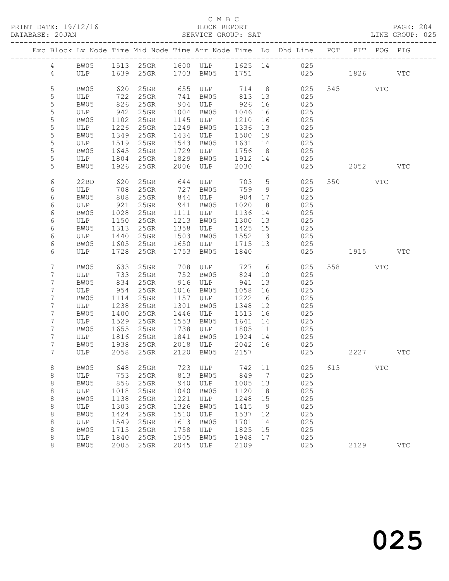| PRINT DATE: 19/12/16<br>DATABASE: 20JAN |                       |              | SERVICE GROUP: SAT                                                |      | C M B C<br>BLOCK REPORT                    |         |                 | LINE GROUP: 025                                                                         |     |          |              | PAGE: 204    |
|-----------------------------------------|-----------------------|--------------|-------------------------------------------------------------------|------|--------------------------------------------|---------|-----------------|-----------------------------------------------------------------------------------------|-----|----------|--------------|--------------|
|                                         |                       |              |                                                                   |      |                                            |         |                 | Exc Block Lv Node Time Mid Node Time Arr Node Time Lo Dhd Line POT PIT POG PIG          |     |          |              |              |
|                                         |                       |              |                                                                   |      |                                            |         |                 | 4 BW05 1513 25GR 1600 ULP 1625 14 025                                                   |     |          |              |              |
|                                         |                       |              |                                                                   |      |                                            |         |                 | 4 ULP 1639 25GR 1703 BW05 1751 025 1826 VTC                                             |     |          |              |              |
| 5                                       | BW05                  | 620          |                                                                   |      |                                            |         |                 | 25GR 655 ULP 714 8 025                                                                  |     | 545 VTC  |              |              |
| 5                                       | ULP 722               |              | $25$ GR                                                           |      | 741 BW05                                   |         |                 | 813 13 025                                                                              |     |          |              |              |
| 5                                       | BW05                  | 826          | $25$ GR                                                           |      | 904 ULP 926                                |         | 16              | 025                                                                                     |     |          |              |              |
| 5                                       |                       |              | 25GR 1004 BW05                                                    |      |                                            | 1046    | 16              | 025                                                                                     |     |          |              |              |
| $\mathsf S$                             | ULP 942<br>BW05 1102  |              | 25GR 1145 ULP                                                     |      |                                            | 1210 16 |                 | 025                                                                                     |     |          |              |              |
| 5                                       | $ULP$ $1226$          |              | 25GR 1249 BW05                                                    |      |                                            | 1336 13 |                 | 025                                                                                     |     |          |              |              |
| 5                                       | BW05                  | 1349         | 25GR                                                              |      | 1434 ULP                                   | 1500 19 |                 | 025                                                                                     |     |          |              |              |
| 5                                       | ULP                   | 1519         | 25GR                                                              |      | 1543 BW05                                  | 1631 14 |                 | 025                                                                                     |     |          |              |              |
| $\mathsf S$                             |                       |              |                                                                   |      |                                            |         |                 |                                                                                         |     |          |              |              |
| 5                                       |                       |              | BW05 1645 25GR 1729 ULP 1756 8<br>ULP 1804 25GR 1829 BW05 1912 14 |      |                                            |         |                 | $025$<br>$025$                                                                          |     |          |              |              |
| 5                                       | BW05                  | 1926         |                                                                   |      | 25GR 2006 ULP                              | 2030    |                 | 025                                                                                     |     | 2052 VTC |              |              |
|                                         |                       |              |                                                                   |      |                                            |         |                 |                                                                                         |     |          |              |              |
| 6                                       | 22BD 620<br>ULP 708   |              |                                                                   |      |                                            |         |                 | 25GR 644 ULP 703 5 025<br>25GR 727 BW05 759 9 025                                       |     | 550 VTC  |              |              |
| 6                                       |                       | 808          |                                                                   |      | 844 ULP 904 17                             |         |                 |                                                                                         |     |          |              |              |
| 6<br>6                                  | BW05<br>ULP           |              | $25$ GR                                                           |      | BW05                                       | 1020    | 8 <sup>8</sup>  | 025<br>025                                                                              |     |          |              |              |
| 6                                       |                       | 921          | 25GR                                                              | 941  |                                            | 1136 14 |                 |                                                                                         |     |          |              |              |
| 6                                       | BW05 1028<br>ULP 1150 |              | 25GR 1111 ULP<br>25GR 1213 BW05                                   |      |                                            | 1300 13 |                 | 025<br>025                                                                              |     |          |              |              |
| 6                                       | BW05                  | 1313         |                                                                   |      | 25GR 1358 ULP 1425 15                      |         |                 | 025                                                                                     |     |          |              |              |
| 6                                       | ULP 1440              |              |                                                                   |      | 25GR 1503 BW05 1552 13                     |         |                 | 025                                                                                     |     |          |              |              |
| 6                                       |                       |              |                                                                   |      |                                            |         |                 |                                                                                         |     |          |              |              |
| 6                                       |                       |              |                                                                   |      |                                            |         |                 | BW05 1605 25GR 1650 ULP 1715 13 025<br>ULP 1728 25GR 1753 BW05 1840 025<br>025 1915 VTC |     |          |              |              |
|                                         |                       |              |                                                                   |      |                                            |         |                 |                                                                                         |     |          |              |              |
| 7                                       | BW05                  |              | 633 25GR                                                          |      |                                            |         |                 | 708 ULP 727 6 025                                                                       |     | 558 VTC  |              |              |
| 7                                       | ULP                   | 733<br>834   | 25GR                                                              |      | 752 BW05                                   | 824     | 10              | 025                                                                                     |     |          |              |              |
| 7                                       | BW05                  |              | 25GR                                                              |      | 916 ULP                                    | 941     | 13              | 025                                                                                     |     |          |              |              |
| 7                                       | ULP 954               |              | $25$ GR                                                           |      | 1016 BW05                                  | 1058    | 16              | 025                                                                                     |     |          |              |              |
| 7                                       | BW05                  | 1114         | $25$ GR                                                           |      | 1157 ULP                                   | 1222    | 16              | 025                                                                                     |     |          |              |              |
| 7                                       | ULP                   | 1238<br>1400 | 25GR                                                              |      | 1301 BW05                                  | 1348    | 12              | 025                                                                                     |     |          |              |              |
| 7                                       | BW05<br>ULP 1529      |              | 25GR                                                              |      | 1446 ULP<br>25GR 1553 BW05 1641 14         | 1513 16 |                 | 025<br>025                                                                              |     |          |              |              |
| 7                                       |                       |              |                                                                   |      |                                            |         |                 | 025                                                                                     |     |          |              |              |
| 7                                       | BW05                  | 1655         |                                                                   |      | 25GR 1738 ULP 1805 11<br>1841 BW05 1924 14 |         |                 |                                                                                         |     |          |              |              |
| 7                                       | ULP                   |              | 1816 25GR                                                         |      |                                            |         |                 | 025                                                                                     |     |          |              |              |
| 7<br>7                                  | ULP                   | 2058         | BW05 1938 25GR 2018 ULP 2042 16<br>25GR                           | 2120 | BW05                                       | 2157    |                 | 025<br>025                                                                              |     | 2227     |              | VTC          |
|                                         |                       |              |                                                                   |      |                                            |         |                 |                                                                                         |     |          |              |              |
| 8                                       | BW05                  | 648          | 25GR                                                              | 723  | ULP                                        | 742     | 11              | 025                                                                                     | 613 |          | $_{\rm VTC}$ |              |
| $\,8\,$                                 | <b>ULP</b>            | 753          | 25GR                                                              | 813  | BW05                                       | 849     | $7\phantom{.0}$ | 025                                                                                     |     |          |              |              |
| 8                                       | BW05                  | 856          | 25GR                                                              | 940  | ULP                                        | 1005    | 13              | 025                                                                                     |     |          |              |              |
| 8                                       | <b>ULP</b>            | 1018         | 25GR                                                              | 1040 | BW05                                       | 1120    | 18              | 025                                                                                     |     |          |              |              |
| 8                                       | BW05                  | 1138         | 25GR                                                              | 1221 | ULP                                        | 1248    | 15              | 025                                                                                     |     |          |              |              |
| $\,8\,$                                 | ULP                   | 1303         | 25GR                                                              | 1326 | BW05                                       | 1415    | 9               | 025                                                                                     |     |          |              |              |
| $\,8\,$                                 | BW05                  | 1424         | 25GR                                                              | 1510 | ULP                                        | 1537    | 12              | 025                                                                                     |     |          |              |              |
| 8                                       | ULP                   | 1549         | 25GR                                                              | 1613 | BW05                                       | 1701    | 14              | 025                                                                                     |     |          |              |              |
| $\,8\,$                                 | BW05                  | 1715         | 25GR                                                              | 1758 | ULP                                        | 1825    | 15              | 025                                                                                     |     |          |              |              |
| $\,8\,$                                 | ULP                   | 1840         | 25GR                                                              | 1905 | BW05                                       | 1948    | 17              | 025                                                                                     |     |          |              |              |
| $\,8\,$                                 | BW05                  | 2005         | 25GR                                                              | 2045 | ULP                                        | 2109    |                 | 025                                                                                     |     | 2129     |              | $_{\rm VTC}$ |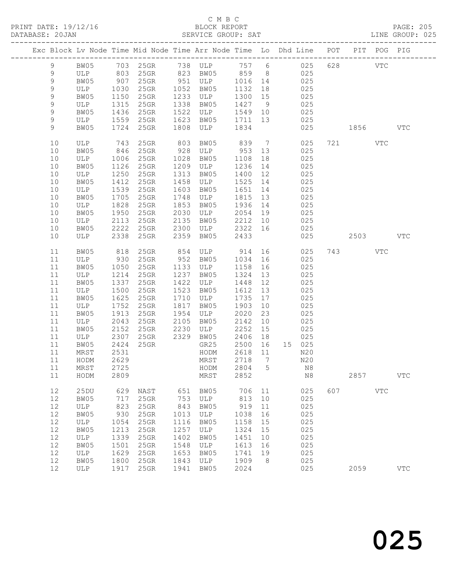|  |               |                               |      |         |      | Exc Block Lv Node Time Mid Node Time Arr Node Time Lo Dhd Line POT |         |                |               |     |         | PIT POG PIG |              |
|--|---------------|-------------------------------|------|---------|------|--------------------------------------------------------------------|---------|----------------|---------------|-----|---------|-------------|--------------|
|  |               |                               |      |         |      |                                                                    |         |                |               |     |         |             |              |
|  | 9             | BW05                          |      |         |      | 703 25GR 738 ULP 757 6 025                                         |         |                |               | 628 |         | VTC         |              |
|  | 9             |                               |      |         |      |                                                                    |         |                | 025           |     |         |             |              |
|  | 9             | ULP 803 25GR<br>BW05 907 25GR |      |         |      |                                                                    |         |                | $\frac{1}{2}$ |     |         |             |              |
|  | $\mathcal{G}$ | ULP                           | 1030 | $25$ GR |      | 1052 BW05                                                          | 1132 18 |                | 025           |     |         |             |              |
|  | $\mathsf 9$   | BW05                          | 1150 | 25GR    | 1233 | ULP                                                                | 1300 15 |                | 025           |     |         |             |              |
|  | $\mathsf 9$   | ULP                           | 1315 | 25GR    | 1338 | BW05                                                               | 1427 9  |                | 025           |     |         |             |              |
|  | 9             | BW05                          | 1436 | $25$ GR | 1522 | ULP                                                                | 1549 10 |                | 025           |     |         |             |              |
|  | 9             | ULP                           | 1559 | 25GR    | 1623 | BW05                                                               | 1711 13 |                | 025           |     |         |             |              |
|  | 9             | BW05                          | 1724 | 25GR    | 1808 | ULP                                                                | 1834    |                | 025           |     | 1856 18 |             | <b>VTC</b>   |
|  |               |                               |      |         |      |                                                                    |         |                |               |     |         |             |              |
|  | 10            | ULP                           | 743  | 25GR    | 803  | BW05                                                               | 839 7   |                | 025           |     | 721 VTC |             |              |
|  | 10            | BW05                          | 846  | 25GR    | 928  | ULP 953 13                                                         |         |                | 025           |     |         |             |              |
|  | 10            | ULP                           | 1006 | $25$ GR | 1028 | BW05                                                               | 1108    | 18             | 025           |     |         |             |              |
|  | 10            | BW05                          | 1126 | 25GR    | 1209 | ULP                                                                | 1236    | 14             | 025           |     |         |             |              |
|  |               |                               |      |         |      |                                                                    |         |                |               |     |         |             |              |
|  | $10$          | ULP                           | 1250 | 25GR    | 1313 | BW05                                                               | 1400    | 12             | 025<br>025    |     |         |             |              |
|  | 10            | BW05                          | 1412 | 25GR    | 1458 | ULP                                                                | 1525 14 |                |               |     |         |             |              |
|  | 10            | ULP                           | 1539 | 25GR    | 1603 | BW05                                                               | 1651    | 14             | 025           |     |         |             |              |
|  | 10            | BW05                          | 1705 | $25$ GR | 1748 | ULP                                                                | 1815 13 |                | 025           |     |         |             |              |
|  | 10            | ULP                           | 1828 | $25$ GR | 1853 | BW05                                                               | 1936    | 14             | 025           |     |         |             |              |
|  | 10            | BW05                          | 1950 | 25GR    | 2030 | ULP                                                                | 2054 19 |                | 025           |     |         |             |              |
|  | 10            | ULP                           | 2113 | $25$ GR | 2135 | BW05 2212 10                                                       |         |                | 025           |     |         |             |              |
|  | 10            | BW05                          | 2222 | 25GR    | 2300 | ULP                                                                | 2322 16 |                | 025           |     |         |             |              |
|  | 10            | ULP                           | 2338 | 25GR    | 2359 | BW05                                                               | 2433    |                | 025           |     | 2503    |             | <b>VTC</b>   |
|  |               |                               |      |         |      |                                                                    |         |                |               |     |         |             |              |
|  | 11            | BW05                          | 818  | 25GR    | 854  | ULP                                                                | 914     |                | 025           |     | 743     | VTC         |              |
|  | 11            | ULP                           | 930  | $25$ GR | 952  | BW05                                                               | 1034    | 16             | 025           |     |         |             |              |
|  | 11            | BW05                          | 1050 | $25$ GR | 1133 | ULP                                                                | 1158    | 16             | 025           |     |         |             |              |
|  | 11            | ULP                           | 1214 | 25GR    | 1237 | BW05                                                               | 1324    | 13             | 025           |     |         |             |              |
|  | 11            | BW05                          | 1337 | 25GR    | 1422 | ULP                                                                | 1448    | 12             | 025           |     |         |             |              |
|  | 11            | ULP                           | 1500 | 25GR    | 1523 | BW05                                                               | 1612    | 13             | 025           |     |         |             |              |
|  | 11            | BW05                          | 1625 | 25GR    | 1710 | ULP                                                                | 1735    | 17             | 025           |     |         |             |              |
|  | 11            | ULP                           | 1752 | $25$ GR | 1817 | BW05                                                               | 1903    | 10             | 025           |     |         |             |              |
|  | 11            | BW05                          | 1913 | $25$ GR | 1954 | ULP                                                                | 2020    | 23             | 025           |     |         |             |              |
|  | 11            | ULP                           | 2043 | 25GR    | 2105 | BW05                                                               | 2142    | 10             | 025           |     |         |             |              |
|  | 11            | BW05                          | 2152 | $25$ GR | 2230 | ULP                                                                | 2252    | 15             | 025           |     |         |             |              |
|  | 11            | ULP                           | 2307 | 25GR    |      | 2329 BW05                                                          | 2406    | 18             | 025           |     |         |             |              |
|  | 11            | BW05                          | 2424 | 25GR    |      | GR25                                                               | 2500    | 16             | 15 025        |     |         |             |              |
|  | 11            | MRST                          | 2531 |         |      | HODM                                                               | 2618    | 11             | N20           |     |         |             |              |
|  | 11            | HODM                          | 2629 |         |      | MRST                                                               | 2718    | $\overline{7}$ | N20           |     |         |             |              |
|  |               | 11 MRST 2725                  |      |         |      | HODM 2804 5                                                        |         |                | N8            |     |         |             |              |
|  | 11            | HODM                          | 2809 |         |      | MRST                                                               | 2852    |                | N8            |     | 2857    |             | VTC          |
|  |               |                               |      |         |      |                                                                    |         |                |               |     |         |             |              |
|  | 12            | 25DU                          | 629  | NAST    | 651  | BW05                                                               | 706     | 11             | 025           | 607 |         | VTC         |              |
|  | 12            | BW05                          | 717  | 25GR    | 753  | ULP                                                                | 813     | 10             | 025           |     |         |             |              |
|  | 12            | ULP                           | 823  | 25GR    | 843  | BW05                                                               | 919     | 11             | 025           |     |         |             |              |
|  | 12            | BW05                          | 930  | 25GR    | 1013 | ULP                                                                | 1038    | 16             | 025           |     |         |             |              |
|  | 12            | ULP                           | 1054 | 25GR    | 1116 | BW05                                                               | 1158    | 15             | 025           |     |         |             |              |
|  | 12            | BW05                          | 1213 | 25GR    | 1257 | ULP                                                                | 1324    | 15             | 025           |     |         |             |              |
|  | 12            | ULP                           | 1339 | 25GR    | 1402 | BW05                                                               | 1451    | 10             | 025           |     |         |             |              |
|  | 12            | BW05                          | 1501 | 25GR    | 1548 | ULP                                                                | 1613    | 16             | 025           |     |         |             |              |
|  | 12            | ULP                           | 1629 | 25GR    | 1653 | BW05                                                               | 1741    | 19             | 025           |     |         |             |              |
|  | 12            | BW05                          | 1800 | 25GR    | 1843 | ULP                                                                | 1909    | 8              | 025           |     |         |             |              |
|  | 12            | ULP                           | 1917 | 25GR    | 1941 | BW05                                                               | 2024    |                | 025           |     | 2059    |             | $_{\rm VTC}$ |
|  |               |                               |      |         |      |                                                                    |         |                |               |     |         |             |              |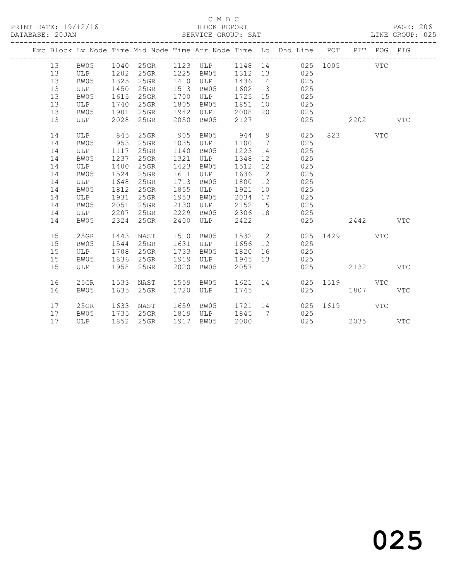|  |    |      |      |           |      |           |         |                | Exc Block Lv Node Time Mid Node Time Arr Node Time Lo Dhd Line POT |          |      | PIT POG PIG  |              |
|--|----|------|------|-----------|------|-----------|---------|----------------|--------------------------------------------------------------------|----------|------|--------------|--------------|
|  | 13 | BW05 |      | 1040 25GR |      | 1123 ULP  | 1148 14 |                |                                                                    | 025 1005 |      | VTC          |              |
|  | 13 | ULP  | 1202 | $25$ GR   | 1225 | BW05      | 1312    | 13             | 025                                                                |          |      |              |              |
|  | 13 | BW05 | 1325 | 25GR      | 1410 | ULP       | 1436    | 14             | 025                                                                |          |      |              |              |
|  | 13 | ULP  | 1450 | $25$ GR   | 1513 | BW05      | 1602    | 13             | 025                                                                |          |      |              |              |
|  | 13 | BW05 | 1615 | 25GR      | 1700 | ULP       | 1725 15 |                | 025                                                                |          |      |              |              |
|  | 13 | ULP  | 1740 | $25$ GR   | 1805 | BW05      | 1851    | 10             | 025                                                                |          |      |              |              |
|  | 13 | BW05 | 1901 | 25GR      | 1942 | ULP       | 2008    | 20             | 025                                                                |          |      |              |              |
|  | 13 | ULP  | 2028 | 25GR      | 2050 | BW05      | 2127    |                | 025                                                                |          | 2202 |              | <b>VTC</b>   |
|  | 14 | ULP  | 845  | 25GR      | 905  | BW05      | 944     | 9              | 025                                                                | 823      |      | <b>VTC</b>   |              |
|  | 14 | BW05 | 953  | $25$ GR   | 1035 | ULP       | 1100    | 17             | 025                                                                |          |      |              |              |
|  | 14 | ULP  | 1117 | $25$ GR   | 1140 | BW05      | 1223    | 14             | 025                                                                |          |      |              |              |
|  | 14 | BW05 | 1237 | $25$ GR   | 1321 | ULP       | 1348    | 12             | 025                                                                |          |      |              |              |
|  | 14 | ULP  | 1400 | $25$ GR   | 1423 | BW05      | 1512    | 12             | 025                                                                |          |      |              |              |
|  | 14 | BW05 | 1524 | 25GR      | 1611 | ULP       | 1636    | 12             | 025                                                                |          |      |              |              |
|  | 14 | ULP  | 1648 | $25$ GR   | 1713 | BW05      | 1800    | 12             | 025                                                                |          |      |              |              |
|  | 14 | BW05 | 1812 | 25GR      | 1855 | ULP       | 1921    | 10             | 025                                                                |          |      |              |              |
|  | 14 | ULP  | 1931 | 25GR      | 1953 | BW05      | 2034    | 17             | 025                                                                |          |      |              |              |
|  | 14 | BW05 | 2051 | 25GR      | 2130 | ULP       | 2152 15 |                | 025                                                                |          |      |              |              |
|  | 14 | ULP  | 2207 | 25GR      | 2229 | BW05      | 2306 18 |                | 025                                                                |          |      |              |              |
|  | 14 | BW05 | 2324 | $25$ GR   | 2400 | ULP       | 2422    |                | 025                                                                |          | 2442 |              | <b>VTC</b>   |
|  | 15 | 25GR | 1443 | NAST      | 1510 | BW05      | 1532    | 12             | 025                                                                | 1429     |      | <b>VTC</b>   |              |
|  | 15 | BW05 | 1544 | 25GR      | 1631 | ULP       | 1656    | 12             | 025                                                                |          |      |              |              |
|  | 15 | ULP  | 1708 | 25GR      | 1733 | BW05      | 1820    | 16             | 025                                                                |          |      |              |              |
|  | 15 | BW05 | 1836 | $25$ GR   | 1919 | ULP       | 1945 13 |                | 025                                                                |          |      |              |              |
|  | 15 | ULP  | 1958 | 25GR      | 2020 | BW05      | 2057    |                | 025                                                                |          | 2132 |              | $_{\rm VTC}$ |
|  | 16 | 25GR | 1533 | NAST      | 1559 | BW05      | 1621    | 14             |                                                                    | 025 1519 |      | <b>VTC</b>   |              |
|  | 16 | BW05 | 1635 | $25$ GR   | 1720 | ULP       | 1745    |                | 025                                                                |          | 1807 |              | $_{\rm VTC}$ |
|  | 17 | 25GR | 1633 | NAST      | 1659 | BW05      | 1721 14 |                | 025                                                                | 1619     |      | $_{\rm VTC}$ |              |
|  | 17 | BW05 | 1735 | 25GR      |      | 1819 ULP  | 1845    | $\overline{7}$ | 025                                                                |          |      |              |              |
|  | 17 | ULP  | 1852 | 25GR      |      | 1917 BW05 | 2000    |                | 025                                                                |          | 2035 |              | <b>VTC</b>   |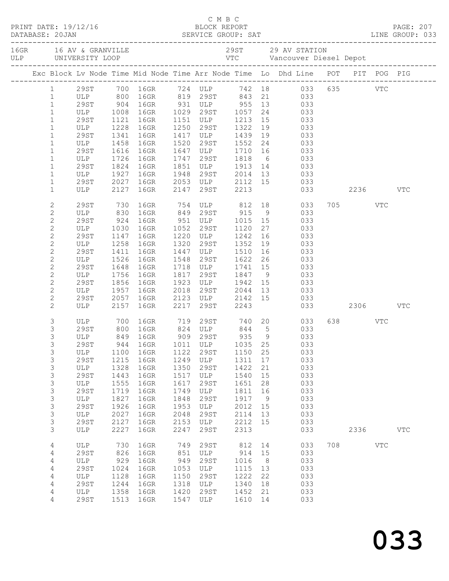|  |                |                     |      | C M B C<br>PRINT DATE: 19/12/16 BLOCK REPORT PAGE: 207<br>DATABASE: 20JAN SERVICE GROUP: SAT LINE GROUP: 033 |      |                                            |               |                 |   |                                                                                         |              |            |              |  |
|--|----------------|---------------------|------|--------------------------------------------------------------------------------------------------------------|------|--------------------------------------------|---------------|-----------------|---|-----------------------------------------------------------------------------------------|--------------|------------|--------------|--|
|  |                |                     |      |                                                                                                              |      |                                            |               |                 |   |                                                                                         |              |            |              |  |
|  |                |                     |      |                                                                                                              |      |                                            |               |                 |   |                                                                                         |              |            |              |  |
|  |                |                     |      |                                                                                                              |      |                                            |               |                 |   |                                                                                         |              |            |              |  |
|  |                |                     |      |                                                                                                              |      |                                            |               |                 |   |                                                                                         |              |            |              |  |
|  |                |                     |      | Exc Block Lv Node Time Mid Node Time Arr Node Time Lo Dhd Line POT PIT POG PIG                               |      |                                            |               |                 |   |                                                                                         |              |            |              |  |
|  |                |                     |      | 1 29ST 700 16GR 724 ULP 742 18 033 635 VTC                                                                   |      |                                            |               |                 |   |                                                                                         |              |            |              |  |
|  | $\mathbf{1}$   |                     |      |                                                                                                              |      |                                            |               |                 |   |                                                                                         |              |            |              |  |
|  | $\mathbf{1}$   |                     |      | ULP 800 16GR 819 29ST 843 21 033<br>29ST 904 16GR 931 ULP 955 13 033<br>ULP 1008 16GR 1029 29ST 1057 24 033  |      |                                            |               |                 |   |                                                                                         |              |            |              |  |
|  | $\mathbf{1}$   |                     |      |                                                                                                              |      |                                            |               |                 |   |                                                                                         |              |            |              |  |
|  | $\mathbf{1}$   | 29ST                | 1121 | 16GR                                                                                                         | 1151 | ULP 1213                                   |               | 15              |   | 033                                                                                     |              |            |              |  |
|  | $\mathbf{1}$   | ULP                 | 1228 | 16GR                                                                                                         | 1250 | 29ST                                       | 1322          | 19              |   | 033                                                                                     |              |            |              |  |
|  | $\mathbf{1}$   | 29ST                | 1341 | 16GR                                                                                                         |      | 1417 ULP                                   | 1439          | 19              |   |                                                                                         |              |            |              |  |
|  | $\mathbf{1}$   | ULP                 | 1458 | 16GR                                                                                                         | 1520 | 29ST                                       | 1552          |                 |   | $\begin{array}{ccc} 19 & \hspace{1.5cm} 033 \\ 24 & \hspace{1.5cm} 033 \end{array}$     |              |            |              |  |
|  | $\mathbf{1}$   | 29ST                | 1616 | 16GR                                                                                                         | 1647 |                                            | ULP 1710      | 16              |   | 033                                                                                     |              |            |              |  |
|  | $\mathbf{1}$   | ULP                 | 1726 | 16GR                                                                                                         | 1747 | 29ST                                       | 1818          | $6\overline{6}$ |   | 033                                                                                     |              |            |              |  |
|  | $\mathbf{1}$   | 29ST                | 1824 | 16GR                                                                                                         | 1851 |                                            | ULP 1913      |                 |   |                                                                                         |              |            |              |  |
|  | $\mathbf{1}$   | ULP                 | 1927 | 16GR                                                                                                         | 1948 |                                            | $29ST$ $2014$ |                 |   | $\begin{array}{ccc} 14 & \hspace{1.5cm} & 033 \\ 13 & \hspace{1.5cm} & 033 \end{array}$ |              |            |              |  |
|  | $\mathbf{1}$   | 29ST                | 2027 | 16GR                                                                                                         |      | 2053 ULP 2112 15 033                       |               |                 |   |                                                                                         |              |            |              |  |
|  | $\mathbf{1}$   | ULP                 | 2127 | 16GR                                                                                                         | 2147 | 29ST                                       | 2213          |                 |   |                                                                                         | 033 2236 VTC |            |              |  |
|  |                |                     |      |                                                                                                              |      |                                            |               |                 |   |                                                                                         |              |            |              |  |
|  | $\mathbf{2}$   | 29ST                | 730  | 16GR 754 ULP 812 18 033                                                                                      |      |                                            |               |                 |   |                                                                                         | 705 VTC      |            |              |  |
|  | $\mathbf{2}$   | ULP                 | 830  | 16GR 849 29ST 915                                                                                            |      |                                            |               |                 | 9 | 033                                                                                     |              |            |              |  |
|  | $\mathbf{2}$   | 29ST                | 924  | 16GR 951 ULP 1015 15                                                                                         |      |                                            |               |                 |   | 033                                                                                     |              |            |              |  |
|  | $\mathbf{2}$   | ULP                 | 1030 | 16GR                                                                                                         | 1052 | 29ST                                       | 1120          | 27              |   |                                                                                         |              |            |              |  |
|  | $\overline{c}$ | 29ST                | 1147 | 16GR                                                                                                         | 1220 | ULP                                        | 1242          | 16              |   | 033<br>033                                                                              |              |            |              |  |
|  | $\sqrt{2}$     | ULP                 | 1258 | 16GR                                                                                                         | 1320 | 29ST                                       | 1352          | 19              |   | 033                                                                                     |              |            |              |  |
|  | $\mathbf{2}$   | 29ST                | 1411 | 16GR                                                                                                         | 1447 | ULP                                        | 1510          | 16              |   | 033                                                                                     |              |            |              |  |
|  | $\mathbf{2}$   | ULP                 | 1526 | 16GR                                                                                                         | 1548 | 29ST                                       | 1622          | 26              |   |                                                                                         |              |            |              |  |
|  | $\overline{c}$ | 29ST                | 1648 | 16GR                                                                                                         |      | 1718 ULP                                   | 1741 15       |                 |   | 033<br>033                                                                              |              |            |              |  |
|  | $\mathbf{2}$   | ULP                 | 1756 | 16GR                                                                                                         | 1817 | 29ST                                       | 1847          |                 |   | $\begin{array}{ccc} 13 & 033 \\ 9 & 033 \end{array}$                                    |              |            |              |  |
|  | $\mathbf{2}$   | 29ST                | 1856 | 16GR                                                                                                         | 1923 |                                            | ULP 1942      | 15              |   | 033                                                                                     |              |            |              |  |
|  | $\mathbf{2}$   | ULP                 | 1957 | 16GR                                                                                                         | 2018 | 29ST                                       | 2044          | 13              |   | 033                                                                                     |              |            |              |  |
|  | $\mathbf{2}$   |                     | 2057 | 16GR                                                                                                         |      |                                            |               |                 |   |                                                                                         |              |            |              |  |
|  | $\mathbf{2}$   | 29ST<br>ULP         |      | 2157 16GR                                                                                                    | 2217 | 2123 ULP 2142 15<br>2217 29ST 2243<br>29ST | 2243          |                 |   | 033<br>033                                                                              | 2306 VTC     |            |              |  |
|  |                |                     |      |                                                                                                              |      |                                            |               |                 |   |                                                                                         |              |            |              |  |
|  | 3              | ULP                 | 700  | 16GR 719                                                                                                     |      |                                            |               |                 |   | 29ST 740 20 033                                                                         | 638 VTC      |            |              |  |
|  | $\mathsf S$    |                     |      |                                                                                                              |      |                                            |               |                 |   |                                                                                         |              |            |              |  |
|  | 3              | 29ST 800<br>ULP 849 |      | 16GR 824 ULP 844 5<br>16GR 909 29ST 935 9                                                                    |      |                                            |               |                 |   | $\begin{array}{ccc} 5 & 033 \\ 9 & 033 \end{array}$                                     |              |            |              |  |
|  | 3              | 29ST                |      | 944 16GR 1011 ULP 1035 25 033                                                                                |      |                                            |               |                 |   |                                                                                         |              |            |              |  |
|  | 3              | ULP                 | 1100 | 16GR                                                                                                         | 1122 | 29ST                                       | 1150          | 25              |   | 033                                                                                     |              |            |              |  |
|  | 3              | 29ST                | 1215 | 16GR                                                                                                         | 1249 | ULP                                        | 1311          | 17              |   | 033                                                                                     |              |            |              |  |
|  | $\mathsf S$    | ULP                 | 1328 | 16GR                                                                                                         | 1350 | 29ST                                       | 1422          | 21              |   | 033                                                                                     |              |            |              |  |
|  | $\mathsf S$    | 29ST                | 1443 | 16GR                                                                                                         | 1517 | ULP                                        | 1540          | 15              |   | 033                                                                                     |              |            |              |  |
|  | 3              | ULP                 | 1555 | 16GR                                                                                                         | 1617 | 29ST                                       | 1651          | 28              |   | 033                                                                                     |              |            |              |  |
|  | $\mathsf S$    | <b>29ST</b>         | 1719 | 16GR                                                                                                         | 1749 | ULP                                        | 1811          | 16              |   | 033                                                                                     |              |            |              |  |
|  | $\mathsf S$    | ULP                 | 1827 | 16GR                                                                                                         | 1848 | 29ST                                       | 1917          | 9               |   | 033                                                                                     |              |            |              |  |
|  | $\mathsf S$    | 29ST                | 1926 | 16GR                                                                                                         | 1953 | ULP                                        | 2012          | 15              |   | 033                                                                                     |              |            |              |  |
|  | 3              | ULP                 | 2027 | 16GR                                                                                                         | 2048 | 29ST                                       | 2114          | 13              |   | 033                                                                                     |              |            |              |  |
|  | $\mathfrak{S}$ | <b>29ST</b>         | 2127 | 16GR                                                                                                         | 2153 |                                            | 2212          | 15              |   | 033                                                                                     |              |            |              |  |
|  | 3              | ULP                 | 2227 | 16GR                                                                                                         | 2247 | ULP<br>29ST                                | 2313          |                 |   | 033                                                                                     | 2336         |            |              |  |
|  |                |                     |      |                                                                                                              |      |                                            |               |                 |   |                                                                                         |              |            | $_{\rm VTC}$ |  |
|  | 4              | ULP                 | 730  | 16GR                                                                                                         | 749  | 29ST                                       | 812           | 14              |   | 033                                                                                     | 708          | <b>VTC</b> |              |  |
|  | 4              | <b>29ST</b>         | 826  | 16GR                                                                                                         | 851  | ULP                                        | 914           | 15              |   | 033                                                                                     |              |            |              |  |
|  | $\sqrt{4}$     | ULP                 | 929  | 16GR                                                                                                         | 949  | 29ST                                       | 1016          | 8               |   | 033                                                                                     |              |            |              |  |
|  | 4              | 29ST                | 1024 | 16GR                                                                                                         | 1053 | ULP                                        | 1115          | 13              |   | 033                                                                                     |              |            |              |  |
|  | 4              | ULP                 | 1128 | 16GR                                                                                                         | 1150 | 29ST                                       | 1222          | 22              |   | 033                                                                                     |              |            |              |  |
|  | 4              | <b>29ST</b>         | 1244 | 16GR                                                                                                         | 1318 | ULP                                        | 1340          | 18              |   | 033                                                                                     |              |            |              |  |
|  | 4              | ULP                 | 1358 | 16GR                                                                                                         | 1420 | 29ST                                       | 1452          | 21              |   | 033                                                                                     |              |            |              |  |
|  | 4              | 29ST                | 1513 | 16GR                                                                                                         | 1547 | ULP                                        | 1610          | 14              |   | 033                                                                                     |              |            |              |  |
|  |                |                     |      |                                                                                                              |      |                                            |               |                 |   |                                                                                         |              |            |              |  |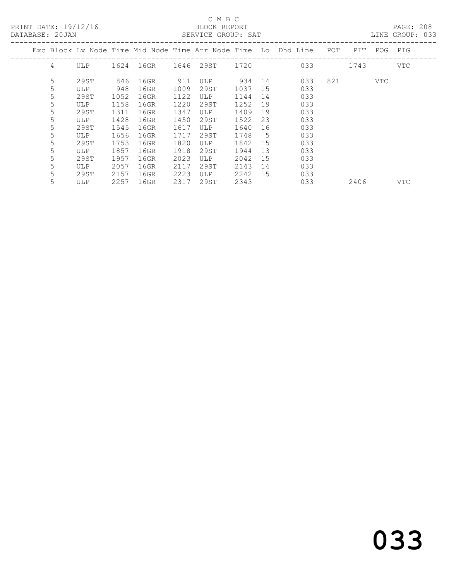PRINT DATE: 19/12/16 BLOCK REPORT<br>
DATABASE: 20.JAN SERVICE GROUP: SAT

### C M B C<br>BLOCK REPORT

PAGE: 208<br>LINE GROUP: 033

| DAIADAUE. ZUUAN |   |      |      |           |      | DERVICE GROOT. DAI |      |    |                                                                    |     |      |     | DIND GIVOU. UJJ |
|-----------------|---|------|------|-----------|------|--------------------|------|----|--------------------------------------------------------------------|-----|------|-----|-----------------|
|                 |   |      |      |           |      |                    |      |    | Exc Block Ly Node Time Mid Node Time Arr Node Time Lo Dhd Line POT |     | PIT  | POG | PIG             |
|                 | 4 | ULP  |      | 1624 16GR |      | 1646 29ST 1720     |      |    | 033                                                                |     | 1743 |     | VTC             |
|                 | 5 | 29ST | 846  | 16GR      | 911  | <b>ULP</b>         | 934  | 14 | 033                                                                | 821 |      | VTC |                 |
|                 | 5 | ULP  | 948  | 16GR      | 1009 | 29ST               | 1037 | 15 | 033                                                                |     |      |     |                 |
|                 | 5 | 29ST | 1052 | 16GR      | 1122 | ULP                | 1144 | 14 | 033                                                                |     |      |     |                 |
|                 | 5 | ULP  | 1158 | 16GR      | 1220 | 29ST               | 1252 | 19 | 033                                                                |     |      |     |                 |
|                 | 5 | 29ST | 1311 | 16GR      | 1347 | ULP                | 1409 | 19 | 033                                                                |     |      |     |                 |
|                 | 5 | ULP  | 1428 | 16GR      | 1450 | 29ST               | 1522 | 23 | 033                                                                |     |      |     |                 |
|                 | 5 | 29ST | 1545 | 16GR      | 1617 | ULP                | 1640 | 16 | 033                                                                |     |      |     |                 |
|                 | 5 | ULP  | 1656 | 16GR      | 1717 | 29ST               | 1748 | 5  | 033                                                                |     |      |     |                 |
|                 | 5 | 29ST | 1753 | 16GR      | 1820 | ULP                | 1842 | 15 | 033                                                                |     |      |     |                 |
|                 | 5 | ULP  | 1857 | 16GR      | 1918 | 29ST               | 1944 | 13 | 033                                                                |     |      |     |                 |
|                 | 5 | 29ST | 1957 | 16GR      | 2023 | ULP                | 2042 | 15 | 033                                                                |     |      |     |                 |
|                 | 5 | ULP  | 2057 | 16GR      | 2117 | 29ST               | 2143 | 14 | 033                                                                |     |      |     |                 |
|                 | 5 | 29ST | 2157 | 16GR      | 2223 | ULP                | 2242 | 15 | 033                                                                |     |      |     |                 |
|                 | 5 | ULP  | 2257 | 16GR      | 2317 | 29ST               | 2343 |    | 033                                                                |     | 2406 |     | VTC             |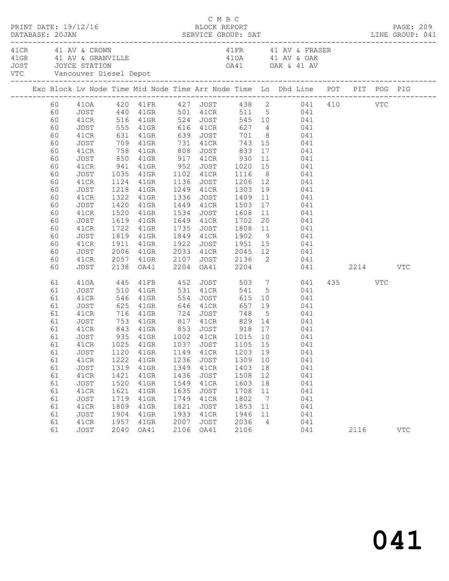|                                                                                                                      | PRINT DATE: 19/12/16                                                                                                                                 |                                                                                             |                                                                                                                                                                                      |                                                                                      | C M B C<br>BLOCK REPORT                                                              |                                                                                         |                                                               |                                                                                                                                                                                                                                                                                                                                                                                                                                                                                                                                                                                         |                 | PAGE: 209  |
|----------------------------------------------------------------------------------------------------------------------|------------------------------------------------------------------------------------------------------------------------------------------------------|---------------------------------------------------------------------------------------------|--------------------------------------------------------------------------------------------------------------------------------------------------------------------------------------|--------------------------------------------------------------------------------------|--------------------------------------------------------------------------------------|-----------------------------------------------------------------------------------------|---------------------------------------------------------------|-----------------------------------------------------------------------------------------------------------------------------------------------------------------------------------------------------------------------------------------------------------------------------------------------------------------------------------------------------------------------------------------------------------------------------------------------------------------------------------------------------------------------------------------------------------------------------------------|-----------------|------------|
|                                                                                                                      | 41 CR 41 AV & CROWN<br>JOST JOYCE STATION                                                                                                            |                                                                                             | VTC Vancouver Diesel Depot                                                                                                                                                           |                                                                                      |                                                                                      |                                                                                         |                                                               | 41 FR 41 AV & FRASER                                                                                                                                                                                                                                                                                                                                                                                                                                                                                                                                                                    |                 |            |
|                                                                                                                      |                                                                                                                                                      |                                                                                             |                                                                                                                                                                                      |                                                                                      |                                                                                      |                                                                                         |                                                               | Exc Block Lv Node Time Mid Node Time Arr Node Time Lo Dhd Line POT PIT POG PIG                                                                                                                                                                                                                                                                                                                                                                                                                                                                                                          |                 |            |
| 60<br>60<br>60<br>60<br>60<br>60<br>60<br>60<br>60<br>60<br>60<br>60<br>60<br>60<br>60<br>60<br>60<br>60<br>60<br>60 | JOST<br>41CR<br>JOST<br>41CR<br>JOST<br>41CR<br>JOST<br>41CR<br>JOST<br>41CR<br>JOST<br>41CR<br>JOST<br>41CR<br>JOST<br>41CR<br>JOST<br>41CR<br>JOST | 1218<br>2006                                                                                | 850 41GR 917 41CR<br>1124  41GR  1136  JOST  1206  12<br>41GR<br>1322 41GR<br>1420 41GR<br>1520 41GR<br>1619 41GR<br>1722 41GR<br>41GR                                               | 1534<br>2107                                                                         | 1336 JOST<br>1449 41CR<br>1735 JOST                                                  | 930<br>JOST 1608                                                                        |                                                               | 60 410A 420 41FR 427 JOST 438 2 041 410 VTC<br>60 JOST 440 41GR 501 41CR 511 5 041<br>41CR 516 41GR 524 JOST 545 10 041<br>555 41GR 616 41CR 627 4 041<br>631 41GR 639 JOST 701 8 041<br>709 41GR 731 41CR 743 15 041<br>758 41GR 808 JOST 833 17 041<br>11 041<br>041<br>1249 41CR 1303 19 041<br>1409  11  041<br>1503  17  041<br>11 041<br>1649 41CR 1702 20 041<br>1722 41GR 1735 JOST 1808 11 041<br>1819 41GR 1849 41CR 1902 9 041<br>1911 41GR 1922 JOST 1951 15 041<br>2033 41CR 2045 12 041<br>2057 41GR 2107 JOST 2136 2 041<br>2138 OA41 2204 OA41 2204 041<br>041 2214 VTC |                 |            |
| 61<br>61<br>61<br>61<br>61<br>61<br>61<br>61<br>61<br>61<br>61<br>61<br>61<br>61<br>61<br>61<br>61<br>61<br>61       | 410A<br>JOST<br>41CR<br>JOST<br>41CR<br>JOST<br>41CR<br>JOST<br>JOST<br>41CR<br>JOST<br>41CR<br>JOST<br>41CR<br>JOST<br>41CR<br>JOST<br>41CR<br>JOST | 445<br>1120<br>1222<br>1319<br>1421<br>1520<br>1621<br>1719<br>1809<br>1904<br>1957<br>2040 | 41FR 452<br>510 41GR 531 41CR<br>546 41GR 554<br>625 41GR 646<br>716 41GR 724<br>41GR<br>41GR<br>41GR<br>$41$ GR<br>41GR<br>$41$ GR<br>$41$ GR<br>$41$ GR<br>$41$ GR<br>41GR<br>OA41 | 1149<br>1236<br>1349<br>1436<br>1549<br>1635<br>1749<br>1821<br>1933<br>2007<br>2106 | 41CR<br>JOST<br>41CR<br>JOST<br>41CR<br>JOST<br>41CR<br>JOST<br>41CR<br>JOST<br>OA41 | 1203 19<br>1309<br>1403<br>1508<br>1603<br>1708<br>1802<br>1853<br>1946<br>2036<br>2106 | 10<br>18<br>12<br>18<br>11<br>$\overline{7}$<br>11<br>11<br>4 | JOST 503 7 041<br>541 5 041<br>JOST 615 10 041<br>41CR 657 19 041<br>JOST 748 5 041<br>753 41GR 817 41CR 829 14 041<br>843 41GR 853 JOST 918 17 041<br>935 41GR 1002 41CR 1015 10 041<br>041<br>041<br>041<br>041<br>041<br>041<br>041<br>041<br>041<br>041<br>041                                                                                                                                                                                                                                                                                                                      | 435 VTC<br>2116 | <b>VTC</b> |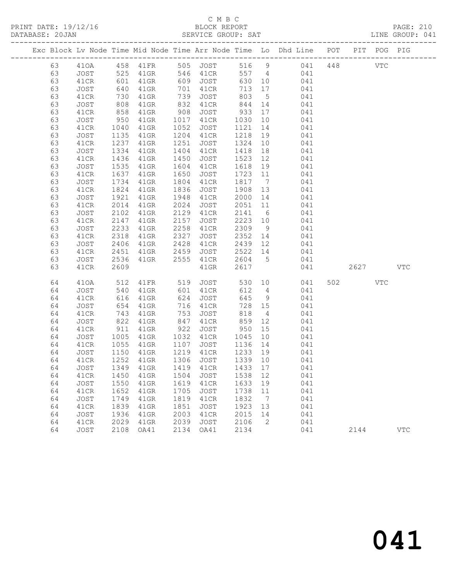|          |                                     |              |                    |              |                   |                   |                 | Exc Block Lv Node Time Mid Node Time Arr Node Time Lo Dhd Line POT |     |        | PIT POG PIG  |            |
|----------|-------------------------------------|--------------|--------------------|--------------|-------------------|-------------------|-----------------|--------------------------------------------------------------------|-----|--------|--------------|------------|
| 63       | 410A                                |              | 458 41FR 505 JOST  |              |                   |                   |                 | 516 9 041                                                          | 448 |        | $_{\rm VTC}$ |            |
| 63       | JOST                                | 525<br>601   |                    |              |                   |                   |                 | 41GR 546 41CR 557 4 041<br>41GR 609 JOST 630 10 041                |     |        |              |            |
| 63       | 41CR                                |              |                    |              |                   |                   |                 |                                                                    |     |        |              |            |
| 63       | JOST                                | 640          | $41$ GR            |              | 701 41CR          | 713 17            |                 | 041                                                                |     |        |              |            |
| 63       | 41CR                                | 730          | 41GR               | 739          | JOST              | 803               | $5\overline{)}$ | 041                                                                |     |        |              |            |
| 63       | JOST                                | 808<br>858   | $41$ GR            | 832          | 41CR              | 844 14<br>933 17  |                 | 041                                                                |     |        |              |            |
| 63       | 41CR                                |              | $41$ GR            | 908          | JOST              |                   |                 | 041                                                                |     |        |              |            |
| 63       | JOST                                | 950          | $41$ GR            | 1017         | 41CR              | 1030              | 10              | 041                                                                |     |        |              |            |
| 63       | 41CR                                | 1040         | 41GR               | 1052         | JOST              | 1121              | 14              | 041                                                                |     |        |              |            |
| 63       | JOST                                | 1135         | $41$ GR            | 1204         | 41CR              | 1218              | 19              | 041                                                                |     |        |              |            |
| 63       | 41CR                                | 1237         | $41$ GR            | 1251         | JOST              | 1324              | 10              | 041                                                                |     |        |              |            |
| 63       | JOST                                | 1334         | $41$ GR            | 1404         | 41CR              | 1418              | 18              | 041                                                                |     |        |              |            |
| 63       | 41CR                                | 1436         | 41GR               | 1450         | JOST              | 1523              | 12              | 041                                                                |     |        |              |            |
| 63       | JOST                                | 1535         | $41$ GR            | 1604         | 41CR              | 1618              | 19              | 041                                                                |     |        |              |            |
| 63<br>63 | 41CR                                | 1637<br>1734 | 41GR               | 1650<br>1804 | JOST              | 1723 11<br>1817 7 |                 | 041<br>041                                                         |     |        |              |            |
| 63       | JOST<br>41CR                        | 1824         | $41$ GR<br>41GR    | 1836         | 41CR<br>JOST      | 1908 13           |                 | 041                                                                |     |        |              |            |
| 63       | JOST                                | 1921         | $41$ GR            | 1948         | 41CR              | 2000              | 14              |                                                                    |     |        |              |            |
| 63       | 41CR                                | 2014         | $41$ GR            | 2024         | JOST              | 2051 11           |                 | 041<br>041                                                         |     |        |              |            |
| 63       | JOST                                | 2102         | $41$ GR            | 2129         | 41CR              | 2141 6            |                 | 041                                                                |     |        |              |            |
| 63       | 41CR                                | 2147         | $41$ GR            | 2157         | JOST              | 2223 10           |                 | 041                                                                |     |        |              |            |
| 63       | JOST                                | 2233         | $41$ GR            | 2258         | 41CR              | 2309              | 9               | 041                                                                |     |        |              |            |
| 63       | 41CR                                | 2318         | 41GR               | 2327         | JOST              |                   |                 |                                                                    |     |        |              |            |
| 63       | JOST                                | 2406         | 41GR               | 2428         | 41CR              |                   |                 | 2352 14 041<br>2439 12 041                                         |     |        |              |            |
| 63       | 41CR                                | 2451         | $41$ GR            | 2459         | JOST              |                   |                 | 2522 14<br>041                                                     |     |        |              |            |
| 63       | JOST                                | 2536         | $41$ GR            | 2555         | 41CR              |                   |                 | 2604 5 041                                                         |     |        |              |            |
| 63       | 41CR                                | 2609         |                    |              | $41$ GR           | 2617              |                 | 041                                                                |     | 2627   |              | <b>VTC</b> |
|          |                                     |              |                    |              |                   |                   |                 |                                                                    |     |        |              |            |
| 64       | 410A                                | 512          | 41FR 519           |              | <b>JOST</b>       |                   |                 | 530 10<br>041                                                      |     | 502 30 | VTC          |            |
| 64       | JOST                                | 540          | 41GR               |              | 601 41CR          | 612               |                 | 4 041                                                              |     |        |              |            |
| 64       | 41CR                                | 616          | 41GR               | 624          | JOST              | 645               | 9               | 041                                                                |     |        |              |            |
| 64       | JOST                                | 654          | 41GR               |              | 716 41CR          |                   | 728 15          | 041                                                                |     |        |              |            |
| 64       | 41CR                                | 743          | $41$ GR            | 753          | JOST              | 818               |                 | $4\overline{ }$<br>041                                             |     |        |              |            |
| 64       | JOST                                | 822          | 41GR               | 847          | 41CR              | 859 12            |                 | 041                                                                |     |        |              |            |
| 64       | 41CR                                | $-911$       | 41GR               | 922          | JOST<br>1032 41CR | 950               | 15<br>10        | 041                                                                |     |        |              |            |
| 64<br>64 | JOST<br>41CR                        | 1055         | $41$ GR<br>$41$ GR |              | 1107 JOST         | 1045<br>1136 14   |                 | 041<br>041                                                         |     |        |              |            |
| 64       | JOST                                | 1150         | $41$ GR            |              | 1219 41CR         | 1233 19           |                 | 041                                                                |     |        |              |            |
| 64       | 41CR                                | 1252         | 41GR               |              | 1306 JOST         | 1339 10           |                 | 041                                                                |     |        |              |            |
|          | 64 JOST 1349 41GR 1419 41CR 1433 17 |              |                    |              |                   |                   |                 | 041                                                                |     |        |              |            |
| 64       | 41CR                                | 1450         | 41GR               | 1504         | JOST              | 1538              | 12              | 041                                                                |     |        |              |            |
| 64       | JOST                                | 1550         | 41GR               | 1619         | 41CR              | 1633              | 19              | 041                                                                |     |        |              |            |
| 64       | 41CR                                | 1652         | 41GR               | 1705         | <b>JOST</b>       | 1738              | 11              | 041                                                                |     |        |              |            |
| 64       | JOST                                | 1749         | 41GR               | 1819         | 41CR              | 1832              | $\overline{7}$  | 041                                                                |     |        |              |            |
| 64       | 41CR                                | 1839         | 41GR               | 1851         | <b>JOST</b>       | 1923              | 13              | 041                                                                |     |        |              |            |
| 64       | JOST                                | 1936         | 41GR               | 2003         | 41CR              | 2015              | 14              | 041                                                                |     |        |              |            |
| 64       | 41CR                                | 2029         | 41GR               | 2039         | <b>JOST</b>       | 2106              | 2               | 041                                                                |     |        |              |            |
| 64       | JOST                                | 2108         | OA41               | 2134         | OA41              | 2134              |                 | 041                                                                |     | 2144   |              | <b>VTC</b> |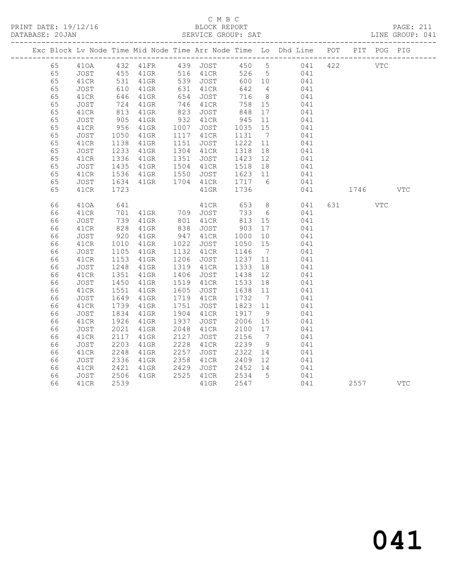|  |    |      |                   |                                |      |                      |         |                              | Exc Block Lv Node Time Mid Node Time Arr Node Time Lo Dhd Line POT |     |         | PIT POG PIG |            |
|--|----|------|-------------------|--------------------------------|------|----------------------|---------|------------------------------|--------------------------------------------------------------------|-----|---------|-------------|------------|
|  | 65 |      |                   |                                |      |                      |         |                              | 410A 432 41FR 439 JOST 450 5 041                                   | 422 |         | <b>VTC</b>  |            |
|  | 65 | JOST | 455<br>531<br>610 | 41GR 516 41CR                  |      |                      |         |                              | 526 5 041                                                          |     |         |             |            |
|  | 65 | 41CR |                   | $41$ GR                        |      | 539 JOST<br>631 41CR | 600 10  |                              | $041$<br>$041$                                                     |     |         |             |            |
|  | 65 | JOST |                   | $41$ GR                        |      |                      | 642     | $\overline{4}$               |                                                                    |     |         |             |            |
|  | 65 | 41CR | 646               | $41$ GR                        | 654  | JOST                 | 716     | 8 <sup>8</sup>               | 041                                                                |     |         |             |            |
|  | 65 | JOST | 724<br>813        | 41GR                           |      | 746 41CR             | 758 15  |                              | 041                                                                |     |         |             |            |
|  | 65 | 41CR |                   | $41$ GR                        | 823  | JOST                 | 848     | 17                           | 041                                                                |     |         |             |            |
|  | 65 | JOST | 905<br>956        | 41GR                           | 932  | 41CR                 | 945     | 11                           | 041                                                                |     |         |             |            |
|  | 65 | 41CR |                   | $41$ GR                        | 1007 | JOST                 | 1035    | 15                           | 041                                                                |     |         |             |            |
|  | 65 | JOST | 1050              | $41$ GR                        |      | 1117 41CR            | 1131    | $7\phantom{.0}\phantom{.0}7$ | 041                                                                |     |         |             |            |
|  | 65 | 41CR | 1138              | 41GR                           | 1151 | JOST                 | 1222    | 11                           | 041                                                                |     |         |             |            |
|  | 65 | JOST | 1233              | $41$ GR                        |      | 1304 41CR            | 1318    | 18                           | 041                                                                |     |         |             |            |
|  | 65 | 41CR | 1336              | $41$ GR                        | 1351 | JOST                 | 1423    | 12                           | 041                                                                |     |         |             |            |
|  | 65 | JOST | 1435              | 41GR                           |      | 1504 41CR            | 1518    | 18                           | 041                                                                |     |         |             |            |
|  | 65 | 41CR | 1536              | $41$ GR                        |      | 1550 JOST            | 1623 11 |                              | 041                                                                |     |         |             |            |
|  | 65 | JOST | 1634              | $41$ GR                        |      | 1704 41CR            | 1717 6  |                              | 041                                                                |     |         |             |            |
|  | 65 | 41CR | 1723              |                                |      | 41GR                 | 1736    |                              | 041                                                                |     | 1746    |             | <b>VTC</b> |
|  | 66 | 410A | 641               |                                |      | 41CR                 | 653     |                              | $8 \overline{)}$<br>041                                            |     | 631 000 | <b>VTC</b>  |            |
|  | 66 | 41CR | 701               |                                |      |                      | 733     | 6                            | 041                                                                |     |         |             |            |
|  | 66 | JOST | $701$<br>739      | 41GR 709 JOST<br>41GR 801 41CR |      |                      | 813     | 15                           | 041                                                                |     |         |             |            |
|  | 66 | 41CR | 828               | $41$ GR                        |      | 838 JOST             | 903     | 17                           | 041                                                                |     |         |             |            |
|  | 66 | JOST | $\frac{220}{10}$  | $41$ GR                        | 947  | 41CR                 | 1000    | 10                           | 041                                                                |     |         |             |            |
|  | 66 | 41CR | 1010              | $41$ GR                        | 1022 | JOST                 | 1050    | 15                           | 041                                                                |     |         |             |            |
|  | 66 | JOST | 1105              | 41GR                           |      | 1132 41CR            | 1146    | $\overline{7}$               | 041                                                                |     |         |             |            |
|  | 66 | 41CR | 1153              | $41$ GR                        | 1206 | JOST                 | 1237    | 11                           | 041                                                                |     |         |             |            |
|  | 66 | JOST | 1248              | $41$ GR                        |      | 1319 41CR            | 1333    | 18                           | 041                                                                |     |         |             |            |
|  | 66 | 41CR | 1351              | $41$ GR                        |      | 1406 JOST            | 1438    | 12                           | 041                                                                |     |         |             |            |
|  | 66 | JOST | 1450              | $41$ GR                        |      | 1519 41CR            | 1533    | 18                           | 041                                                                |     |         |             |            |
|  | 66 | 41CR | 1551              | 41GR                           | 1605 | JOST                 | 1638 11 |                              | 041                                                                |     |         |             |            |
|  | 66 | JOST | 1649              | $41$ GR                        | 1719 | 41CR                 | 1732    | $\overline{7}$               | 041                                                                |     |         |             |            |
|  | 66 | 41CR | 1739              | $41$ GR                        | 1751 | JOST                 | 1823 11 |                              | 041                                                                |     |         |             |            |
|  | 66 | JOST | 1834              | $41$ GR                        |      | 1904 41CR            | 1917    | 9                            | 041                                                                |     |         |             |            |
|  | 66 | 41CR | 1926              | $41$ GR                        | 1937 | JOST                 | 2006 15 |                              | 041                                                                |     |         |             |            |
|  | 66 | JOST | 2021              | $41$ GR                        | 2048 | 41CR                 | 2100    | 17                           | 041                                                                |     |         |             |            |
|  | 66 | 41CR | 2117              | 41GR                           | 2127 | JOST                 | 2156    | $\overline{7}$               | 041                                                                |     |         |             |            |
|  | 66 | JOST | 2203              | 41GR                           | 2228 | 41CR                 | 2239    | 9                            | 041                                                                |     |         |             |            |
|  | 66 | 41CR | 2248              | $41$ GR                        | 2257 | JOST                 | 2322    | 14                           | 041<br>041                                                         |     |         |             |            |
|  | 66 | JOST | 2336              | $41$ GR                        | 2358 | 41CR                 | 2409    | 12                           |                                                                    |     |         |             |            |
|  | 66 | 41CR | 2421              | $41$ GR                        | 2429 | JOST                 | 2452 14 |                              | 041                                                                |     |         |             |            |
|  | 66 | JOST | 2506              | $41$ GR                        |      | 2525 41CR            | 2534 5  |                              | 041                                                                |     |         |             |            |
|  | 66 | 41CR | 2539              |                                |      | $41$ GR              | 2547    |                              | 041                                                                |     | 2557    |             | VTC        |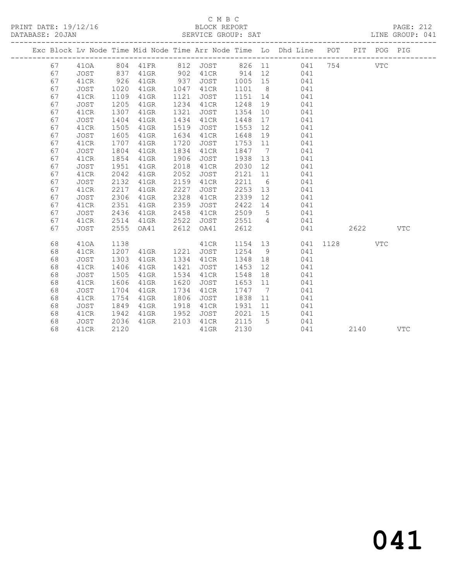|  |    |      |      |          |      |          |        |                | Exc Block Lv Node Time Mid Node Time Arr Node Time Lo Dhd Line POT |      | PIT  | POG PIG    |              |
|--|----|------|------|----------|------|----------|--------|----------------|--------------------------------------------------------------------|------|------|------------|--------------|
|  | 67 | 410A |      | 804 41FR |      | 812 JOST | 826 11 |                | 041                                                                | 754  |      | <b>VTC</b> |              |
|  | 67 | JOST | 837  | $41$ GR  | 902  | 41CR     | 914    | 12             | 041                                                                |      |      |            |              |
|  | 67 | 41CR | 926  | 41GR     | 937  | JOST     | 1005   | 15             | 041                                                                |      |      |            |              |
|  | 67 | JOST | 1020 | 41GR     | 1047 | 41CR     | 1101   | 8 <sup>8</sup> | 041                                                                |      |      |            |              |
|  | 67 | 41CR | 1109 | $41$ GR  | 1121 | JOST     | 1151   | 14             | 041                                                                |      |      |            |              |
|  | 67 | JOST | 1205 | $41$ GR  | 1234 | 41CR     | 1248   | 19             | 041                                                                |      |      |            |              |
|  | 67 | 41CR | 1307 | 41GR     | 1321 | JOST     | 1354   | 10             | 041                                                                |      |      |            |              |
|  | 67 | JOST | 1404 | 41GR     | 1434 | 41CR     | 1448   | 17             | 041                                                                |      |      |            |              |
|  | 67 | 41CR | 1505 | 41GR     | 1519 | JOST     | 1553   | 12             | 041                                                                |      |      |            |              |
|  | 67 | JOST | 1605 | 41GR     | 1634 | 41CR     | 1648   | 19             | 041                                                                |      |      |            |              |
|  | 67 | 41CR | 1707 | $41$ GR  | 1720 | JOST     | 1753   | 11             | 041                                                                |      |      |            |              |
|  | 67 | JOST | 1804 | $41$ GR  | 1834 | 41CR     | 1847   | $\overline{7}$ | 041                                                                |      |      |            |              |
|  | 67 | 41CR | 1854 | $41$ GR  | 1906 | JOST     | 1938   | 13             | 041                                                                |      |      |            |              |
|  | 67 | JOST | 1951 | $41$ GR  | 2018 | 41CR     | 2030   | 12             | 041                                                                |      |      |            |              |
|  | 67 | 41CR | 2042 | 41GR     | 2052 | JOST     | 2121   | 11             | 041                                                                |      |      |            |              |
|  | 67 | JOST | 2132 | $41$ GR  | 2159 | 41CR     | 2211   | 6              | 041                                                                |      |      |            |              |
|  | 67 | 41CR | 2217 | $41$ GR  | 2227 | JOST     | 2253   | 13             | 041                                                                |      |      |            |              |
|  | 67 | JOST | 2306 | 41GR     | 2328 | 41CR     | 2339   | 12             | 041                                                                |      |      |            |              |
|  | 67 | 41CR | 2351 | 41GR     | 2359 | JOST     | 2422   | 14             | 041                                                                |      |      |            |              |
|  | 67 | JOST | 2436 | $41$ GR  | 2458 | 41CR     | 2509   | $5^{\circ}$    | 041                                                                |      |      |            |              |
|  | 67 | 41CR | 2514 | 41GR     | 2522 | JOST     | 2551   | $\overline{4}$ | 041                                                                |      |      |            |              |
|  | 67 | JOST | 2555 | OA41     | 2612 | OA41     | 2612   |                | 041                                                                |      | 2622 |            | $_{\rm VTC}$ |
|  | 68 | 410A | 1138 |          |      | 41CR     | 1154   | 13             | 041                                                                | 1128 |      | <b>VTC</b> |              |
|  | 68 | 41CR | 1207 | $41$ GR  | 1221 | JOST     | 1254   | 9              | 041                                                                |      |      |            |              |
|  | 68 | JOST | 1303 | 41GR     | 1334 | 41CR     | 1348   | 18             | 041                                                                |      |      |            |              |
|  | 68 | 41CR | 1406 | 41GR     | 1421 | JOST     | 1453   | 12             | 041                                                                |      |      |            |              |
|  | 68 | JOST | 1505 | $41$ GR  | 1534 | 41CR     | 1548   | 18             | 041                                                                |      |      |            |              |
|  | 68 | 41CR | 1606 | 41GR     | 1620 | JOST     | 1653   | 11             | 041                                                                |      |      |            |              |
|  | 68 | JOST | 1704 | 41GR     | 1734 | 41CR     | 1747 7 |                | 041                                                                |      |      |            |              |
|  | 68 | 41CR | 1754 | 41GR     | 1806 | JOST     | 1838   | 11             | 041                                                                |      |      |            |              |
|  | 68 | JOST | 1849 | 41GR     | 1918 | 41CR     | 1931   | 11             | 041                                                                |      |      |            |              |
|  | 68 | 41CR | 1942 | 41GR     | 1952 | JOST     | 2021   | 15             | 041                                                                |      |      |            |              |
|  | 68 | JOST | 2036 | 41GR     | 2103 | 41CR     | 2115   | 5              | 041                                                                |      |      |            |              |
|  | 68 | 41CR | 2120 |          |      | $41$ GR  | 2130   |                | 041                                                                |      | 2140 |            | <b>VTC</b>   |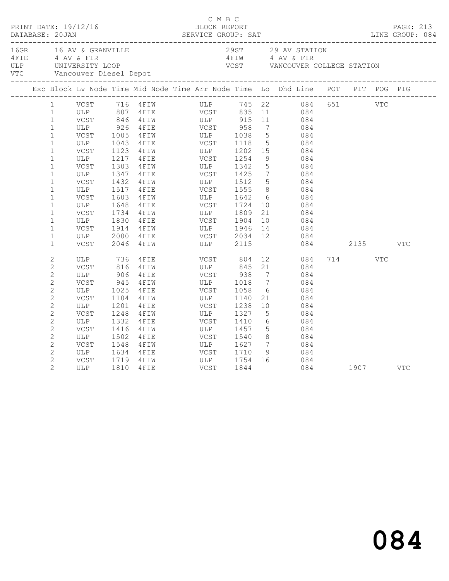|                | 16GR 16 AV & GRANVILLE<br>16GR 16 AV & GRANVILLE<br>4 AV & FIR<br>16LP UNIVERSITY LOOP VCST VANCOUVER COLLEGE STATION<br>16TIM 4 AV & FIR<br>16TIM 4 AV & FIR<br>16TIM VCST VANCOUVER COLLEGE STATION<br>16TIM 1 AV & FIR<br>16TIM VCST VANCOU |      |                                                    |             |                                                         |                 |                                                                                                                                               |              |      |     |     |
|----------------|------------------------------------------------------------------------------------------------------------------------------------------------------------------------------------------------------------------------------------------------|------|----------------------------------------------------|-------------|---------------------------------------------------------|-----------------|-----------------------------------------------------------------------------------------------------------------------------------------------|--------------|------|-----|-----|
|                | Exc Block Lv Node Time Mid Node Time Arr Node Time Lo Dhd Line POT PIT POG PIG                                                                                                                                                                 |      |                                                    |             |                                                         |                 |                                                                                                                                               |              |      |     |     |
| $\mathbf{1}$   |                                                                                                                                                                                                                                                |      |                                                    |             |                                                         |                 | VCST 716 4FIW ULP 745 22 084 651 VTC                                                                                                          |              |      |     |     |
| $\mathbf{1}$   |                                                                                                                                                                                                                                                |      |                                                    |             |                                                         |                 |                                                                                                                                               |              |      |     |     |
| $\mathbf{1}$   |                                                                                                                                                                                                                                                |      |                                                    |             |                                                         |                 |                                                                                                                                               |              |      |     |     |
| $\mathbf{1}$   | ULP 926                                                                                                                                                                                                                                        |      | 4FIE VCST 958                                      |             |                                                         |                 | 7 084                                                                                                                                         |              |      |     |     |
| $\mathbf{1}$   |                                                                                                                                                                                                                                                |      | VCST 1005 4FIW ULP 1038<br>ULP 1043 4FIE VCST 1118 |             |                                                         |                 | $\begin{array}{ccc} 5 & 084 \\ 5 & 084 \end{array}$                                                                                           |              |      |     |     |
| $\mathbf{1}$   |                                                                                                                                                                                                                                                |      |                                                    |             |                                                         |                 |                                                                                                                                               |              |      |     |     |
| $\mathbf{1}$   | VCST                                                                                                                                                                                                                                           | 1123 | 4FIW ULP 1202<br>4FIE VCST 1254                    |             |                                                         |                 | 15 084                                                                                                                                        |              |      |     |     |
| $\mathbf{1}$   | ULP                                                                                                                                                                                                                                            |      | 1217 4FIE                                          |             |                                                         | 9               | 084                                                                                                                                           |              |      |     |     |
| $\mathbf{1}$   | VCST                                                                                                                                                                                                                                           | 1303 | 4FIW ULP 1342                                      |             |                                                         | 5 <sup>5</sup>  | 084                                                                                                                                           |              |      |     |     |
| $\mathbf{1}$   | ULP                                                                                                                                                                                                                                            | 1347 |                                                    |             |                                                         |                 | $\begin{array}{ccc} 7 & 084 \\ 5 & 084 \end{array}$                                                                                           |              |      |     |     |
| $\mathbf{1}$   | VCST                                                                                                                                                                                                                                           |      | 1432 4FIW                                          |             |                                                         |                 |                                                                                                                                               |              |      |     |     |
| $\mathbf{1}$   | ULP                                                                                                                                                                                                                                            |      | 1517 4FIE                                          |             | <b>VCST</b> 1555                                        |                 | 8 084                                                                                                                                         |              |      |     |     |
| $\mathbf{1}$   | VCST                                                                                                                                                                                                                                           | 1603 | 4 FIW ULP 1642<br>4 FIE VCST 1724                  |             |                                                         |                 | $\begin{array}{c} 6 \\ 10 \end{array}$<br>084                                                                                                 |              |      |     |     |
| $\mathbf{1}$   | ULP                                                                                                                                                                                                                                            | 1648 |                                                    |             |                                                         |                 | 084                                                                                                                                           |              |      |     |     |
| $\mathbf{1}$   | VCST                                                                                                                                                                                                                                           | 1734 | 4 FIW ULP 1809                                     |             |                                                         |                 | 21<br>084                                                                                                                                     |              |      |     |     |
| $\mathbf{1}$   | ULP                                                                                                                                                                                                                                            | 1830 | $4$ FIE                                            | VCST        | 1904                                                    | 10              | 084                                                                                                                                           |              |      |     |     |
| $\mathbf{1}$   | VCST                                                                                                                                                                                                                                           | 1914 | 4FIW ULP 1946                                      |             |                                                         |                 | $\begin{array}{ccc} 13 & 084 \end{array}$                                                                                                     |              |      |     |     |
| $\mathbf{1}$   | ULP                                                                                                                                                                                                                                            | 2000 |                                                    |             |                                                         |                 | 12 084                                                                                                                                        |              |      |     |     |
| $\mathbf{1}$   | VCST                                                                                                                                                                                                                                           | 2046 |                                                    |             |                                                         |                 |                                                                                                                                               | 084 2135 VTC |      |     |     |
| $\sqrt{2}$     |                                                                                                                                                                                                                                                |      | 4 FIE VCST 804<br>4 FIW ULP 845                    |             |                                                         |                 | $\begin{array}{ccc} 12 & 084 \\ 21 & 084 \end{array}$                                                                                         |              | 714  | VTC |     |
| $\mathbf{2}$   |                                                                                                                                                                                                                                                |      |                                                    |             |                                                         |                 |                                                                                                                                               |              |      |     |     |
| $\overline{c}$ | ULP                                                                                                                                                                                                                                            | 906  | 4FIE                                               |             | VCST 938                                                |                 | $7\overline{ }$<br>084                                                                                                                        |              |      |     |     |
| $\overline{c}$ | VCST                                                                                                                                                                                                                                           | 945  | 4 F I W                                            |             | ULP 1018                                                | $7\overline{)}$ | 084                                                                                                                                           |              |      |     |     |
| $\mathbf{2}$   | ULP                                                                                                                                                                                                                                            |      | 1025 4FIE                                          |             | $\frac{5}{2}$ $\frac{1}{2}$ $\frac{1}{2}$ $\frac{5}{8}$ | 6               | 084                                                                                                                                           |              |      |     |     |
| $\mathbf{2}$   | VCST                                                                                                                                                                                                                                           | 1104 | 4 F I W                                            | ULP<br>VCST | 1140                                                    |                 | 21 084                                                                                                                                        |              |      |     |     |
| $\sqrt{2}$     | ULP                                                                                                                                                                                                                                            | 1201 | 4FIE                                               |             | 1238                                                    | 10              | 084                                                                                                                                           |              |      |     |     |
| $\mathbf{2}$   | VCST                                                                                                                                                                                                                                           | 1248 | 4FIW                                               |             | ULP 1327                                                | $5\overline{)}$ | 084                                                                                                                                           |              |      |     |     |
| $\mathbf{2}$   | ULP                                                                                                                                                                                                                                            | 1332 | 4 F I E                                            |             | VCST 1410<br>ULP 1457                                   |                 | $\begin{array}{c} 6 \\ 5 \end{array}$<br>084                                                                                                  |              |      |     |     |
| $\overline{c}$ | VCST                                                                                                                                                                                                                                           | 1416 | $4$ $F$ $I$ $W$                                    |             | 1457                                                    |                 | 084                                                                                                                                           |              |      |     |     |
| $\mathbf{2}$   | ULP                                                                                                                                                                                                                                            | 1502 | 4 F I E                                            |             | $VCST$ 1540                                             |                 | 8 084                                                                                                                                         |              |      |     |     |
| $\sqrt{2}$     | VCST                                                                                                                                                                                                                                           | 1548 | 4FIW                                               | ULP         | 1627                                                    | $7\overline{ }$ | 084<br>$\begin{array}{ccc} \text{1} & \text{1} & \text{1} \\ \text{2} & \text{1} & \text{2} \\ \text{3} & \text{1} & \text{3} \\ \end{array}$ |              |      |     |     |
| $\overline{c}$ | ULP                                                                                                                                                                                                                                            |      | 1634 4FIE                                          |             | VCST 1710                                               |                 |                                                                                                                                               |              |      |     |     |
| $\overline{2}$ | VCST                                                                                                                                                                                                                                           | 1719 | 4 F I W                                            |             | ULP 1754<br>VCST 1844                                   |                 | 16 084                                                                                                                                        |              |      |     |     |
| $\overline{2}$ | ULP                                                                                                                                                                                                                                            | 1810 | 4FIE                                               |             |                                                         |                 | 084                                                                                                                                           |              | 1907 |     | VTC |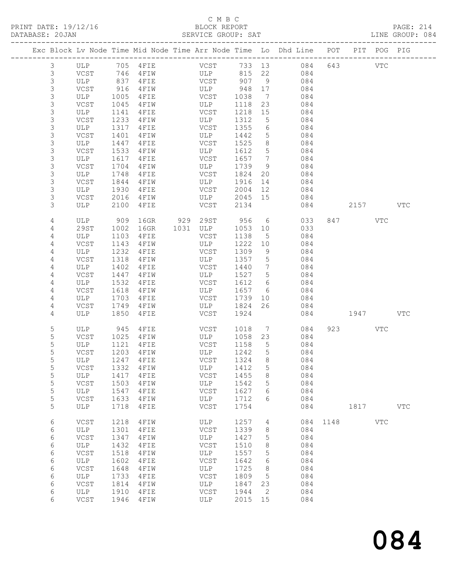# C M B C<br>BLOCK REPORT

| DATABASE: 20JAN |             |              |                                 | SERVICE GROUP: SAT |              |                 |                                                                                |          |          |            | LINE GROUP: 084 |  |
|-----------------|-------------|--------------|---------------------------------|--------------------|--------------|-----------------|--------------------------------------------------------------------------------|----------|----------|------------|-----------------|--|
|                 |             |              |                                 |                    |              |                 | Exc Block Lv Node Time Mid Node Time Arr Node Time Lo Dhd Line POT PIT POG PIG |          |          |            |                 |  |
| $\mathcal{S}$   |             |              |                                 |                    |              |                 |                                                                                |          |          |            |                 |  |
| 3               | VCST 746    |              |                                 |                    |              |                 | 4 FIW ULP 815 22 084                                                           |          |          |            |                 |  |
| 3               | ULP         | 837          |                                 | 4FIE VCST 907 9    |              |                 | 084                                                                            |          |          |            |                 |  |
| $\mathsf S$     | VCST        | 916          | 4 F I W                         | ULP                | 948 17       |                 | 084                                                                            |          |          |            |                 |  |
| $\mathsf S$     | ULP         | 1005         | 4FIE                            | VCST               | 1038         | $7\overline{ }$ | 084                                                                            |          |          |            |                 |  |
| $\mathsf S$     | VCST        | 1045         | 4 F I W                         | <b>ULP</b>         | 1118         | 23              | 084                                                                            |          |          |            |                 |  |
| 3               | ULP         | 1141         | 4FIE                            | VCST               | 1218         | 15              | 084                                                                            |          |          |            |                 |  |
| $\mathsf S$     | VCST        | 1233         | 4 F I W                         | ULP                | 1312         | $5^{\circ}$     | 084                                                                            |          |          |            |                 |  |
| $\mathsf S$     | ULP         | 1317         | $4$ FIE                         | VCST               | 1355         | $6\overline{6}$ | 084                                                                            |          |          |            |                 |  |
| 3               | VCST        | 1401         | 4 F I W                         | ULP                | 1442         | 5               | 084                                                                            |          |          |            |                 |  |
| 3               |             |              | $4$ FIE                         | VCST               |              | 8               | 084                                                                            |          |          |            |                 |  |
|                 | ULP         | 1447         |                                 |                    | 1525         |                 |                                                                                |          |          |            |                 |  |
| $\mathsf S$     | VCST        | 1533         | 4 F I W                         | ULP                | 1612         | 5 <sup>5</sup>  | 084                                                                            |          |          |            |                 |  |
| $\mathsf S$     | ULP         | 1617         | $4$ FIE                         | VCST               | 1657 7       |                 | 084                                                                            |          |          |            |                 |  |
| 3               | VCST        | 1704         | 4 F I W                         | <b>ULP</b>         | 1739         | - 9             | 084                                                                            |          |          |            |                 |  |
| $\mathsf S$     | ULP         | 1748         | $4$ FIE                         | VCST               | 1824         | 20              | 084                                                                            |          |          |            |                 |  |
| 3               | VCST        | 1844         | $4 F I W$                       | ULP                | 1916         | 14              | 084                                                                            |          |          |            |                 |  |
| $\mathsf S$     | ULP         | 1930         | $4$ FIE                         | VCST               | 2004         | 12              | 084                                                                            |          |          |            |                 |  |
| 3               | VCST        | 2016         |                                 | 4FIW ULP 2045 15   |              |                 | 084                                                                            |          |          |            |                 |  |
| 3               | ULP         | 2100         | 4FIE                            | <b>VCST</b>        | 2134         |                 |                                                                                | 084 08   | 2157 VTC |            |                 |  |
| 4               | ULP         | 909          |                                 | 16GR 929 29ST 956  |              |                 | $6\degree$<br>033                                                              |          | 847 VTC  |            |                 |  |
| 4               | 29ST        | 1002         | 16GR                            | 1031 ULP           | 1053 10      |                 | 033                                                                            |          |          |            |                 |  |
| 4               | ULP         | 1103         | 4FIE                            | VCST               | 1138         | 5               | 084                                                                            |          |          |            |                 |  |
| 4               | VCST        | 1143         | 4FIW                            | ULP                | 1222         | 10              | 084                                                                            |          |          |            |                 |  |
| 4               | ULP         | 1232         | $4$ FIE                         | VCST               | 1309         | 9               | 084                                                                            |          |          |            |                 |  |
| 4               | VCST        | 1318         | $4$ $\textrm{F}$ I $\textrm{W}$ | ULP                | 1357         | $5\overline{)}$ | 084                                                                            |          |          |            |                 |  |
| 4               | ULP         | 1402         | 4FIE                            | VCST               | 1440         | $\overline{7}$  | 084                                                                            |          |          |            |                 |  |
| 4               | VCST        | 1447         | 4 F I W                         | ULP                | 1527         | $5\overline{)}$ | 084                                                                            |          |          |            |                 |  |
| 4               | ULP         | 1532         | 4 F I E                         | VCST               | 1612         | $6\overline{6}$ | 084                                                                            |          |          |            |                 |  |
| 4               | VCST        | 1618         | 4 F I W                         | ULP                | 1657         | 6               | 084                                                                            |          |          |            |                 |  |
| 4               | ULP         | 1703         |                                 | 4 FIE VCST         | 1739         |                 | 084                                                                            |          |          |            |                 |  |
|                 |             |              |                                 |                    |              | 10              |                                                                                |          |          |            |                 |  |
| 4<br>4          | VCST<br>ULP | 1749<br>1850 | $4$ FIW<br>4FIE                 | ULP<br>VCST        | 1824<br>1924 | 26              | 084                                                                            | 084 1947 |          |            | VTC             |  |
|                 |             |              |                                 |                    |              |                 |                                                                                |          |          |            |                 |  |
| 5               | ULP 945     |              | 4 F I E                         | VCST               | 1018         |                 | $7\overline{ }$<br>084                                                         |          | 923 VTC  |            |                 |  |
| 5               | VCST        | 1025         | $4$ $F$ $I$ $W$                 | ULP                | 1058 23      |                 | 084                                                                            |          |          |            |                 |  |
| 5               | ULP         | 1121         | 4 F I E                         | VCST<br>ULP        | 1158         | 5 <sup>5</sup>  | 084                                                                            |          |          |            |                 |  |
| 5               | VCST        |              | 1203 4FIW                       |                    | 1242         | $5\overline{)}$ | 084                                                                            |          |          |            |                 |  |
| 5               |             |              | ULP 1247 4FIE VCST 1324 8       |                    |              |                 | 084                                                                            |          |          |            |                 |  |
| 5               | VCST        | 1332         | 4 F I W                         | ULP                | 1412         | 5               | 084                                                                            |          |          |            |                 |  |
| 5               | ULP         | 1417         | 4FIE                            | VCST               | 1455         | 8               | 084                                                                            |          |          |            |                 |  |
| 5               | VCST        | 1503         | 4FIW                            | ULP                | 1542         | 5               | 084                                                                            |          |          |            |                 |  |
| 5               | ULP         | 1547         | 4FIE                            | VCST               | 1627         | 6               | 084                                                                            |          |          |            |                 |  |
| 5               | VCST        | 1633         | 4FIW                            | ULP                | 1712         | 6               | 084                                                                            |          |          |            |                 |  |
| 5               | ULP         | 1718         | 4FIE                            | VCST               | 1754         |                 | 084                                                                            |          | 1817     |            | <b>VTC</b>      |  |
| 6               | VCST        | 1218         | 4FIW                            | ULP                | 1257         | $4\overline{ }$ |                                                                                | 084 1148 |          | <b>VTC</b> |                 |  |
| 6               | ULP         | 1301         | 4FIE                            | VCST               | 1339         | 8               | 084                                                                            |          |          |            |                 |  |
| 6               | VCST        | 1347         | 4FIW                            | ULP                | 1427         | 5               | 084                                                                            |          |          |            |                 |  |
| 6               | ULP         | 1432         | 4FIE                            | VCST               | 1510         | 8               | 084                                                                            |          |          |            |                 |  |
| 6               | VCST        | 1518         |                                 | ULP                | 1557         | 5               | 084                                                                            |          |          |            |                 |  |
|                 |             |              | 4FIW                            |                    |              |                 |                                                                                |          |          |            |                 |  |
| 6               | ULP         | 1602         | 4FIE                            | VCST               | 1642         | 6               | 084                                                                            |          |          |            |                 |  |
| 6               | VCST        | 1648         | 4FIW                            | ULP                | 1725         | 8               | 084                                                                            |          |          |            |                 |  |
| 6               | ULP         | 1733         | 4FIE                            | VCST               | 1809         | $5\phantom{.0}$ | 084                                                                            |          |          |            |                 |  |
| 6               | VCST        | 1814         | 4FIW                            | ULP                | 1847         | 23              | 084                                                                            |          |          |            |                 |  |
| 6               | ULP         | 1910         | 4FIE                            | VCST               | 1944         | $\overline{2}$  | 084                                                                            |          |          |            |                 |  |
| 6               | VCST        | 1946         | 4FIW                            | ULP                | 2015 15      |                 | 084                                                                            |          |          |            |                 |  |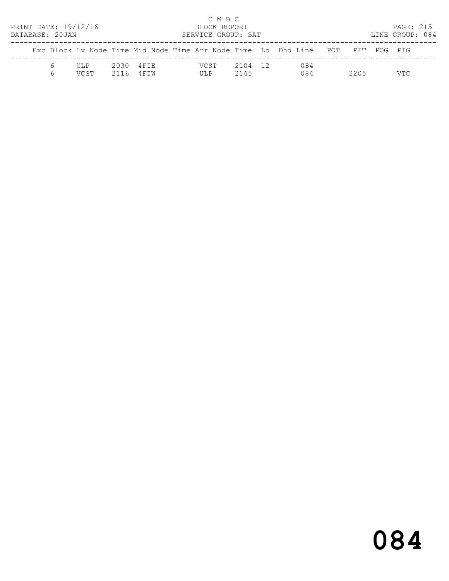| PRINT DATE: 19/12/16<br>DATABASE: 20JAN |   |               |      |                      | C M B C<br>BLOCK REPORT<br>SERVICE GROUP: SAT |                 |                                                                                |      | PAGE: 215<br>LINE GROUP: 084 |  |
|-----------------------------------------|---|---------------|------|----------------------|-----------------------------------------------|-----------------|--------------------------------------------------------------------------------|------|------------------------------|--|
|                                         |   |               |      |                      |                                               |                 | Exc Block Ly Node Time Mid Node Time Arr Node Time Lo Dhd Line POT PIT POG PIG |      |                              |  |
|                                         | 6 | III.P<br>VCST | 2116 | 2030 4FIE<br>4 F T W | VCST<br>III.P                                 | 2104 12<br>2145 | 084<br>084                                                                     | 2205 | VTC.                         |  |

# 084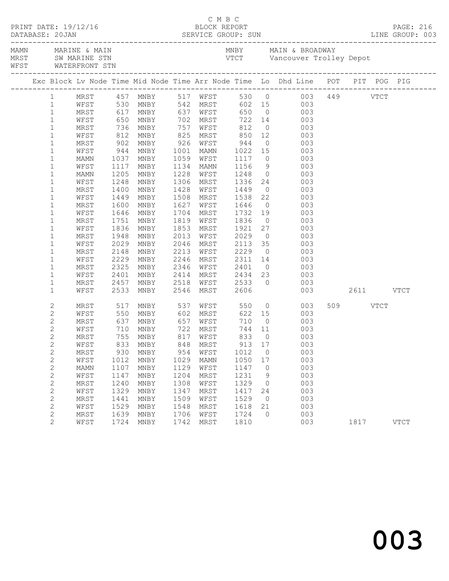|                                | WFST WATERFRONT STN |              |                                                 |              |           |                                  |                |                                                                                                                    |               |           |  |
|--------------------------------|---------------------|--------------|-------------------------------------------------|--------------|-----------|----------------------------------|----------------|--------------------------------------------------------------------------------------------------------------------|---------------|-----------|--|
|                                |                     |              |                                                 |              |           |                                  |                | Exc Block Lv Node Time Mid Node Time Arr Node Time Lo Dhd Line POT PIT POG PIG                                     |               |           |  |
| 1                              |                     |              |                                                 |              |           |                                  |                | MRST 457 MNBY 517 WFST 530 0 003 449 VTCT<br>WFST 530 MNBY 542 MRST 602 15 003<br>MRST 617 MNBY 637 WFST 650 0 003 |               |           |  |
| $\mathbf{1}$                   |                     |              |                                                 |              |           |                                  |                |                                                                                                                    |               |           |  |
| $\mathbf{1}$                   |                     |              |                                                 |              |           |                                  |                |                                                                                                                    |               |           |  |
| $\mathbf{1}$                   |                     |              |                                                 |              |           |                                  |                | WFST 650 MNBY 702 MRST 722 14 003                                                                                  |               |           |  |
| $\mathbf{1}$                   | MRST                |              | 736 MNBY 757<br>812 MNBY 825<br>902 MNBY 926    |              | WFST      | 812                              |                | $0\qquad \qquad 003$                                                                                               |               |           |  |
| $\mathbf{1}$                   | WFST                |              |                                                 |              |           |                                  |                | MNBY 825 MRST 850 12 003<br>MNBY 926 WFST 944 0 003                                                                |               |           |  |
| $\mathbf 1$                    | MRST                |              |                                                 |              |           |                                  |                |                                                                                                                    |               |           |  |
| $\mathbf{1}$                   | WFST                | 944          | MNBY                                            |              | 1001 MAMN | 1022 15                          |                | 003                                                                                                                |               |           |  |
| $\mathbf 1$                    | MAMN                | 1037         | MNBY                                            |              | 1059 WFST | 1117                             |                | $0\qquad \qquad 003$                                                                                               |               |           |  |
| $\mathbf 1$                    | WFST                | 1117         | MNBY                                            |              | 1134 MAMN | 1156<br>1248                     |                | $\begin{array}{ccc} 9 & \hspace{1.5cm} 003 \\ 0 & \hspace{1.5cm} 003 \end{array}$                                  |               |           |  |
| $\mathbf 1$                    | MAMN                | 1205         | MNBY                                            |              | 1228 WFST |                                  |                |                                                                                                                    |               |           |  |
| $\mathbf 1$                    | WFST                | 1248         | MNBY                                            | 1306         |           | MRST 1336 24                     |                | 003                                                                                                                |               |           |  |
| $\mathbf 1$                    | MRST                | 1400         | MNBY                                            | 1428         | WFST      | 1449                             |                | $\overline{0}$<br>003                                                                                              |               |           |  |
| $\mathbf 1$                    | WFST                | 1449         | MNBY                                            | 1508         | MRST      | 1538 22<br>1646 0                |                | 003<br>$\begin{array}{c} 22 \\ 0 \end{array}$                                                                      |               |           |  |
| $\mathbf 1$                    | MRST                | 1600         | MNBY                                            |              | 1627 WFST |                                  |                | 003<br>19                                                                                                          |               |           |  |
| $\mathbf 1$                    | WFST                | 1646         | MNBY                                            | 1704         | MRST      | 1732                             |                | 003                                                                                                                |               |           |  |
| $\mathbf 1$                    | MRST                | 1751         | MNBY                                            |              | 1819 WFST | 1836                             | $\overline{0}$ | 003                                                                                                                |               |           |  |
| $\mathbf{1}$                   | WFST                | 1836         | MNBY                                            | 1853         | MRST      | 1921<br>2029                     |                | 27 003                                                                                                             |               |           |  |
| $\mathbf 1$                    | MRST                | 1948<br>2029 | MNBY                                            | 2013<br>2046 | WFST      | 2113 35                          | $\overline{0}$ | 003<br>003                                                                                                         |               |           |  |
| $\mathbf 1$<br>$\mathbf{1}$    | WFST                | 2148         | MNBY<br>MNBY                                    |              | MRST      | 2213 WFST 2229                   |                | $\overline{0}$<br>003                                                                                              |               |           |  |
| $\mathbf{1}$                   | MRST<br>WFST        | 2229         | MNBY                                            | 2246         | MRST      |                                  |                |                                                                                                                    |               |           |  |
| $\mathbf 1$                    | MRST                | 2325         | MNBY                                            |              | 2346 WFST |                                  |                | 2311 14 003<br>2401 0 003<br>2434 23 003                                                                           |               |           |  |
| $\mathbf{1}$                   | WFST                | 2401         | MNBY                                            |              | 2414 MRST |                                  |                |                                                                                                                    |               |           |  |
| $\mathbf 1$                    | MRST                | 2457         | MNBY                                            |              |           | 2518 WFST 2533                   |                | $0$ 003                                                                                                            |               |           |  |
| $\mathbf{1}$                   | WFST                | 2533         | MNBY                                            |              | 2546 MRST | 2606                             |                |                                                                                                                    | 003 2611 VTCT |           |  |
|                                |                     |              |                                                 |              |           |                                  |                |                                                                                                                    |               |           |  |
| $\mathbf{2}$                   | MRST                | 517          | MNBY                                            | 537          | WFST      | 550                              |                | $\overline{O}$<br>003                                                                                              |               | 509 VTCT  |  |
| $\mathbf{2}$                   | WFST                | 550          | MNBY 602 MRST                                   |              |           |                                  | $\overline{0}$ | 622 15<br>003                                                                                                      |               |           |  |
| $\mathbf{2}$<br>$\overline{c}$ | MRST                | 637          | MNBY 657                                        |              |           | 744 11                           |                | 003                                                                                                                |               |           |  |
| $\mathbf{2}$                   | WFST<br>MRST        |              | 710 MNBY      722 MRST<br>755 MNBY     817 WFST |              |           | WFST 710<br>MRST 744<br>WFST 833 | $\overline{0}$ | $\begin{array}{c} 003 \\ 003 \end{array}$                                                                          |               |           |  |
| $\sqrt{2}$                     |                     |              | WFST 833 MNBY 848 MRST                          |              |           |                                  |                | 913 17 003                                                                                                         |               |           |  |
| $\mathbf{2}$                   | MRST                | 930          | MNBY                                            | 954          | WFST      | 1012                             | $\circ$        | 003                                                                                                                |               |           |  |
| $\sqrt{2}$                     | WFST                | 1012         | MNBY                                            | 1029         | MAMN      | 1050                             | 17             | 003                                                                                                                |               |           |  |
| $\mathbf{2}$                   | MAMN                | 1107         | MNBY                                            | 1129         | WFST      | 1147                             | $\circ$        | 003                                                                                                                |               |           |  |
| $\sqrt{2}$                     | WFST                | 1147         | MNBY                                            | 1204         | MRST      | 1231                             | 9              | 003                                                                                                                |               |           |  |
| $\mathbf{2}$                   | MRST                | 1240         | MNBY                                            | 1308         | WFST      | 1329                             | 0              | 003                                                                                                                |               |           |  |
| $\sqrt{2}$                     | WFST                | 1329         | MNBY                                            | 1347         | MRST      | 1417                             | 24             | 003                                                                                                                |               |           |  |
| $\sqrt{2}$                     | MRST                | 1441         | MNBY                                            | 1509         | WFST      | 1529                             | $\overline{0}$ | 003                                                                                                                |               |           |  |
| $\mathbf{2}$                   | WFST                | 1529         | MNBY                                            | 1548         | MRST      | 1618                             | 21             | 003                                                                                                                |               |           |  |
| $\mathbf{2}$                   | MRST                | 1639         | MNBY                                            | 1706         | WFST      | 1724                             | $\Omega$       | 003                                                                                                                |               |           |  |
| 2                              | WFST                | 1724         | MNBY                                            | 1742         | MRST      | 1810                             |                | 003                                                                                                                |               | 1817 VTCT |  |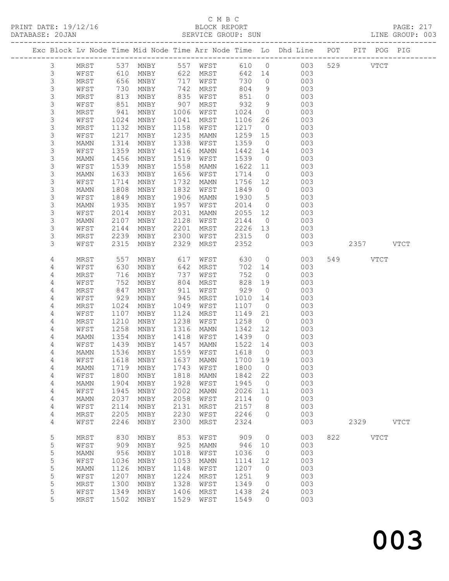PRINT DATE: 19/12/16 BLOCK REPORT BLOCK REPORT DATABASE: 20

# C M B C<br>BLOCK REPORT

 3 MAMN 1456 MNBY 1519 WFST 1539 0 003 3 WFST 1539 MNBY 1558 MAMN 1622 11 003

| DATABASE: 20JAN                                                |      |      |      |      | SERVICE GROUP: SUN |      |           |     |     |     |      | LINE GROUP: 003 |  |
|----------------------------------------------------------------|------|------|------|------|--------------------|------|-----------|-----|-----|-----|------|-----------------|--|
| Exc Block Ly Node Time Mid Node Time Arr Node Time Lo Dhd Line |      |      |      |      |                    |      |           |     | POT | PIT | POG  | PIG             |  |
|                                                                | MRST | 537  | MNBY | 557  | WFST               | 610  | $\cup$ 0  | 003 | 529 |     | VTCT |                 |  |
|                                                                | WFST | 610  | MNBY | 622  | MRST               | 642  | 14        | 003 |     |     |      |                 |  |
|                                                                | MRST | 656  | MNBY | 717  | WFST               | 730  | $\Omega$  | 003 |     |     |      |                 |  |
|                                                                | WFST | 730  | MNBY | 742  | MRST               | 804  | 9         | 003 |     |     |      |                 |  |
|                                                                | MRST | 813  | MNBY | 835  | WFST               | 851  | $\Omega$  | 003 |     |     |      |                 |  |
|                                                                | WFST | 851  | MNBY | 907  | MRST               | 932  | 9         | 003 |     |     |      |                 |  |
|                                                                | MRST | 941  | MNBY | 1006 | WFST               | 1024 | $\Omega$  | 003 |     |     |      |                 |  |
|                                                                | WFST | 1024 | MNBY | 1041 | MRST               | 1106 | 26        | 003 |     |     |      |                 |  |
|                                                                | MRST | 1132 | MNBY | 1158 | WFST               | 1217 | $\Omega$  | 003 |     |     |      |                 |  |
|                                                                | WFST | 1217 | MNBY | 1235 | MAMN               | 1259 | 15        | 003 |     |     |      |                 |  |
|                                                                | MAMN | 1314 | MNBY | 1338 | WFST               | 1359 | $\circ$ 0 | 003 |     |     |      |                 |  |
|                                                                | WFST | 1359 | MNBY | 1416 | MAMN               | 1442 | 14        | 003 |     |     |      |                 |  |

| 3                                     | MAMN        | 1633 | MNBY            | 1656 | WFST        | 1714 | $\circ$             | 003 |     |      |             |             |
|---------------------------------------|-------------|------|-----------------|------|-------------|------|---------------------|-----|-----|------|-------------|-------------|
| 3                                     | WFST        | 1714 | <b>MNBY</b>     | 1732 | <b>MAMN</b> | 1756 | 12                  | 003 |     |      |             |             |
| 3                                     | <b>MAMN</b> | 1808 | <b>MNBY</b>     | 1832 | WFST        | 1849 | $\circ$             | 003 |     |      |             |             |
| 3                                     | WFST        | 1849 | $\texttt{MNBY}$ | 1906 | <b>MAMN</b> | 1930 | $\mathsf S$         | 003 |     |      |             |             |
|                                       | <b>MAMN</b> | 1935 | <b>MNBY</b>     | 1957 | WFST        | 2014 | $\circ$             | 003 |     |      |             |             |
| $\begin{array}{c} 3 \\ 3 \end{array}$ | WFST        | 2014 | <b>MNBY</b>     | 2031 | MAMN        | 2055 | 12                  | 003 |     |      |             |             |
|                                       | MAMN        | 2107 | $\texttt{MNBY}$ | 2128 | WFST        | 2144 | $\circ$             | 003 |     |      |             |             |
| 3                                     | WFST        | 2144 | MNBY            | 2201 | MRST        | 2226 | 13                  | 003 |     |      |             |             |
| $\frac{3}{3}$                         | <b>MRST</b> | 2239 | <b>MNBY</b>     | 2300 | WFST        | 2315 | $\mathbf{0}$        | 003 |     |      |             |             |
|                                       | WFST        | 2315 | <b>MNBY</b>     | 2329 | MRST        | 2352 |                     | 003 |     | 2357 |             | <b>VTCT</b> |
|                                       |             |      |                 |      |             |      |                     |     |     |      |             |             |
| 4                                     | MRST        | 557  | MNBY            | 617  | WFST        | 630  | $\circ$             | 003 | 549 |      | <b>VTCT</b> |             |
| $\sqrt{4}$                            | WFST        | 630  | MNBY            | 642  | MRST        | 702  | 14                  | 003 |     |      |             |             |
| $\sqrt{4}$                            | MRST        | 716  | MNBY            | 737  | WFST        | 752  | $\circ$             | 003 |     |      |             |             |
| $\overline{4}$                        | WFST        | 752  | <b>MNBY</b>     | 804  | MRST        | 828  | 19                  | 003 |     |      |             |             |
| $\overline{4}$                        | MRST        | 847  | MNBY            | 911  | WFST        | 929  | $\circ$             | 003 |     |      |             |             |
| $\overline{4}$                        | WFST        | 929  | $\texttt{MNBY}$ | 945  | MRST        | 1010 | 14                  | 003 |     |      |             |             |
| 4                                     | MRST        | 1024 | MNBY            | 1049 | WFST        | 1107 | $\circ$             | 003 |     |      |             |             |
| $\overline{4}$                        | WFST        | 1107 | MNBY            | 1124 | MRST        | 1149 | 21                  | 003 |     |      |             |             |
| 4                                     | MRST        | 1210 | MNBY            | 1238 | WFST        | 1258 | $\circ$             | 003 |     |      |             |             |
| $\overline{4}$                        | WFST        | 1258 | <b>MNBY</b>     | 1316 | <b>MAMN</b> | 1342 | 12                  | 003 |     |      |             |             |
| 4                                     | MAMN        | 1354 | MNBY            | 1418 | WFST        | 1439 | $\circ$             | 003 |     |      |             |             |
| $\overline{4}$                        | WFST        | 1439 | MNBY            | 1457 | <b>MAMN</b> | 1522 | 14                  | 003 |     |      |             |             |
| $\overline{4}$                        | MAMN        | 1536 | $\texttt{MNBY}$ | 1559 | WFST        | 1618 | $\circlearrowright$ | 003 |     |      |             |             |
| 4                                     | WFST        | 1618 | MNBY            | 1637 | MAMN        | 1700 | 19                  | 003 |     |      |             |             |
| $\overline{4}$                        | MAMN        | 1719 | $\texttt{MNBY}$ | 1743 | WFST        | 1800 | $\circ$             | 003 |     |      |             |             |
| $\overline{4}$                        | WFST        | 1800 | $\texttt{MNBY}$ | 1818 | <b>MAMN</b> | 1842 | 22                  | 003 |     |      |             |             |
| 4                                     | MAMN        | 1904 | MNBY            | 1928 | WFST        | 1945 | $\circ$             | 003 |     |      |             |             |
| 4                                     | WFST        | 1945 | MNBY            | 2002 | MAMN        | 2026 | 11                  | 003 |     |      |             |             |
| 4                                     | <b>MAMN</b> | 2037 | $\texttt{MNBY}$ | 2058 | WFST        | 2114 | $\circ$             | 003 |     |      |             |             |
| $\overline{4}$                        | WFST        | 2114 | MNBY            | 2131 | MRST        | 2157 | 8                   | 003 |     |      |             |             |
| $\overline{4}$                        | MRST        | 2205 | MNBY            | 2230 | WFST        | 2246 | $\circ$             | 003 |     |      |             |             |
| 4                                     | WFST        | 2246 | MNBY            | 2300 | MRST        | 2324 |                     | 003 |     | 2329 |             | <b>VTCT</b> |
|                                       |             |      |                 |      |             |      |                     |     |     |      |             |             |
| 5                                     | MRST        | 830  | <b>MNBY</b>     | 853  | WFST        | 909  | $\circ$             | 003 | 822 |      | <b>VTCT</b> |             |
| 5                                     | WFST        | 909  | <b>MNBY</b>     | 925  | <b>MAMN</b> | 946  | 10                  | 003 |     |      |             |             |
|                                       | MAMN        | 956  | $\texttt{MNBY}$ | 1018 | WFST        | 1036 | $\circledcirc$      | 003 |     |      |             |             |
|                                       | WFST        | 1036 | <b>MNBY</b>     | 1053 | <b>MAMN</b> | 1114 | 12                  | 003 |     |      |             |             |
|                                       | MAMN        | 1126 | <b>MNBY</b>     | 1148 | WFST        | 1207 | $\circledcirc$      | 003 |     |      |             |             |
| 55555                                 | WFST        | 1207 | <b>MNBY</b>     | 1224 | MRST        | 1251 | 9                   | 003 |     |      |             |             |
|                                       | MRST        | 1300 | MNBY            | 1328 | WFST        | 1349 | 0                   | 003 |     |      |             |             |
| 5                                     | WFST        | 1349 | MNBY            | 1406 | <b>MRST</b> | 1438 | 24                  | 003 |     |      |             |             |
| 5                                     | MRST        | 1502 | MNBY            | 1529 | WFST        | 1549 | $\circ$             | 003 |     |      |             |             |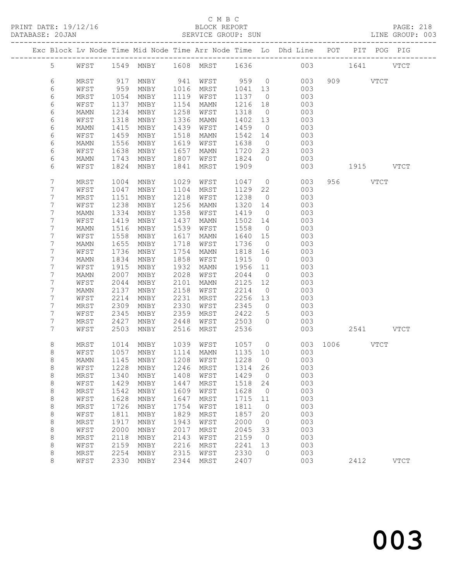## C M B C

| DATABASE: 20JAN |         |             |      |                                |      | SERVICE GROUP: SUN  |         |                | LINE GROUP: 003                                                                |               |           |           |               |  |
|-----------------|---------|-------------|------|--------------------------------|------|---------------------|---------|----------------|--------------------------------------------------------------------------------|---------------|-----------|-----------|---------------|--|
|                 |         |             |      |                                |      |                     |         |                | Exc Block Lv Node Time Mid Node Time Arr Node Time Lo Dhd Line POT PIT POG PIG |               |           |           |               |  |
|                 |         |             |      |                                |      |                     |         |                | 5 WFST 1549 MNBY 1608 MRST 1636 003 1641 VTCT                                  |               |           |           |               |  |
|                 | 6       | MRST        | 917  |                                |      | MNBY 941 WFST 959 0 |         |                | 003                                                                            |               | 909 VTCT  |           |               |  |
|                 | 6       | WFST        | 959  | MNBY                           |      | 1016 MRST           | 1041 13 |                | 003                                                                            |               |           |           |               |  |
|                 | 6       | MRST        | 1054 | MNBY                           | 1119 | WFST                | 1137    | $\overline{0}$ | 003                                                                            |               |           |           |               |  |
|                 | 6       | WFST        | 1137 | MNBY                           | 1154 | MAMN                | 1216    | 18             | 003                                                                            |               |           |           |               |  |
|                 | 6       | MAMN        | 1234 | MNBY                           | 1258 | WFST                | 1318    | $\overline{0}$ | 003                                                                            |               |           |           |               |  |
|                 | 6       | WFST        | 1318 | MNBY                           | 1336 | MAMN                | 1402 13 |                | 003                                                                            |               |           |           |               |  |
|                 | 6       | <b>MAMN</b> | 1415 | MNBY                           | 1439 | WFST                | 1459    | $\overline{0}$ | 003                                                                            |               |           |           |               |  |
|                 | 6       | WFST        | 1459 | MNBY                           | 1518 | MAMN                | 1542 14 |                | 003                                                                            |               |           |           |               |  |
|                 | 6       | MAMN        | 1556 | MNBY                           | 1619 | WFST                | 1638    | $\overline{0}$ | 003                                                                            |               |           |           |               |  |
|                 | 6       | WFST        | 1638 | MNBY                           | 1657 | MAMN                | 1720 23 |                | 003                                                                            |               |           |           |               |  |
|                 | 6       | MAMN        | 1743 | MNBY                           | 1807 | WFST                | 1824    | $\overline{0}$ | 003                                                                            |               |           |           |               |  |
|                 | 6       | WFST        | 1824 | MNBY                           | 1841 | MRST                | 1909    |                | 003                                                                            |               | 1915 VTCT |           |               |  |
|                 | 7       | MRST        | 1004 | MNBY                           | 1029 | WFST                | 1047 0  |                | 003                                                                            |               | 956 VTCT  |           |               |  |
|                 | 7       | WFST        | 1047 | MNBY                           | 1104 | MRST                | 1129    | 22             | 003                                                                            |               |           |           |               |  |
|                 | 7       | MRST        | 1151 | MNBY                           | 1218 | WFST                | 1238    | $\overline{0}$ | 003                                                                            |               |           |           |               |  |
|                 | 7       | WFST        | 1238 | MNBY                           | 1256 | MAMN                | 1320    | 14             | 003                                                                            |               |           |           |               |  |
|                 | 7       | MAMN        | 1334 | MNBY                           | 1358 | WFST                | 1419    | $\overline{0}$ | 003                                                                            |               |           |           |               |  |
|                 | 7       | WFST        | 1419 | MNBY                           | 1437 | MAMN                | 1502 14 |                | 003                                                                            |               |           |           |               |  |
|                 | 7       | MAMN        | 1516 | MNBY                           | 1539 | WFST                | 1558    | $\overline{0}$ | 003                                                                            |               |           |           |               |  |
|                 | 7       | WFST        | 1558 | MNBY                           | 1617 | MAMN                | 1640    | 15             | 003                                                                            |               |           |           |               |  |
|                 | 7       | MAMN        | 1655 | MNBY                           | 1718 | WFST                | 1736    | $\overline{0}$ | 003                                                                            |               |           |           |               |  |
|                 | 7       | WFST        | 1736 | MNBY                           | 1754 | MAMN                | 1818    | 16             | 003                                                                            |               |           |           |               |  |
|                 | 7       | MAMN        | 1834 | MNBY                           | 1858 | WFST                | 1915    | $\overline{0}$ | 003                                                                            |               |           |           |               |  |
|                 | 7       | WFST        | 1915 | MNBY                           | 1932 | MAMN                | 1956    | 11             | 003                                                                            |               |           |           |               |  |
|                 | 7       | MAMN        | 2007 | MNBY                           | 2028 | WFST                | 2044    | $\overline{0}$ | 003                                                                            |               |           |           |               |  |
|                 | 7       | WFST        | 2044 | MNBY                           | 2101 | MAMN                | 2125    | 12             | 003                                                                            |               |           |           |               |  |
|                 | 7       | MAMN        | 2137 | MNBY                           | 2158 | WFST                | 2214    | $\overline{0}$ | 003                                                                            |               |           |           |               |  |
|                 | 7       | WFST        | 2214 | MNBY                           | 2231 | MRST                | 2256 13 |                | 003                                                                            |               |           |           |               |  |
|                 | 7       | MRST        | 2309 | MNBY                           | 2330 | WFST                | 2345    | $\overline{0}$ | 003                                                                            |               |           |           |               |  |
|                 | 7       | WFST        | 2345 | MNBY                           | 2359 | MRST                | 2422    | 5 <sup>5</sup> | 003                                                                            |               |           |           |               |  |
|                 | 7       | MRST        | 2427 | MNBY                           | 2448 | WFST                | 2503    | $\bigcirc$     | 003                                                                            |               |           |           |               |  |
|                 | 7       | WFST        | 2503 | MNBY                           | 2516 | MRST                | 2536    |                | 003                                                                            |               |           | 2541 VTCT |               |  |
|                 | 8       | MRST        | 1014 | MNBY                           |      | 1039 WFST           | 1057 0  |                |                                                                                | 003 1006 VTCT |           |           |               |  |
|                 | 8       | WFST        | 1057 | MNBY                           |      | 1114 MAMN           | 1135 10 |                | 003                                                                            |               |           |           |               |  |
|                 | 8       |             |      |                                |      |                     |         |                | MAMN 1145 MNBY 1208 WFST 1228 0 003                                            |               |           |           |               |  |
|                 | 8       | WFST        | 1228 | MNBY                           | 1246 | MRST                | 1314    | 26             | 003                                                                            |               |           |           |               |  |
|                 | $\,8\,$ | MRST        | 1340 | MNBY                           | 1408 | WFST                | 1429    | $\overline{0}$ | 003                                                                            |               |           |           |               |  |
|                 | $\,8\,$ | WFST        | 1429 | MNBY                           | 1447 | MRST                | 1518    | 24             | 003                                                                            |               |           |           |               |  |
|                 | 8       | MRST        | 1542 | MNBY                           | 1609 | WFST                | 1628    | $\overline{0}$ | 003                                                                            |               |           |           |               |  |
|                 | $\,8\,$ | WFST        | 1628 | MNBY                           | 1647 | MRST                | 1715    | 11             | 003                                                                            |               |           |           |               |  |
|                 | $\,8\,$ | MRST        | 1726 | MNBY                           | 1754 | WFST                | 1811    | $\overline{0}$ | 003                                                                            |               |           |           |               |  |
|                 | $\,8\,$ | WFST        | 1811 | MNBY                           | 1829 | MRST                | 1857    | 20             | 003                                                                            |               |           |           |               |  |
|                 | 8       | MRST        | 1917 | MNBY                           | 1943 | WFST                | 2000    | $\overline{0}$ | 003                                                                            |               |           |           |               |  |
|                 | 8       | WFST        | 2000 | MNBY                           | 2017 | MRST                | 2045    | 33             | 003                                                                            |               |           |           |               |  |
|                 | 8       | MRST        | 2118 | $\operatorname{\mathsf{MNBY}}$ | 2143 | WFST                | 2159    | $\overline{0}$ | 003                                                                            |               |           |           |               |  |
|                 | $\,8\,$ | WFST        | 2159 | MNBY                           | 2216 | MRST                | 2241    | 13             | 003                                                                            |               |           |           |               |  |
|                 | 8       | MRST        | 2254 | MNBY                           | 2315 | WFST                | 2330    | $\overline{0}$ | 003                                                                            |               |           |           |               |  |
|                 | 8       | WFST        | 2330 | MNBY                           | 2344 | MRST                | 2407    |                | 003                                                                            |               | 2412      |           | $_{\rm VTCT}$ |  |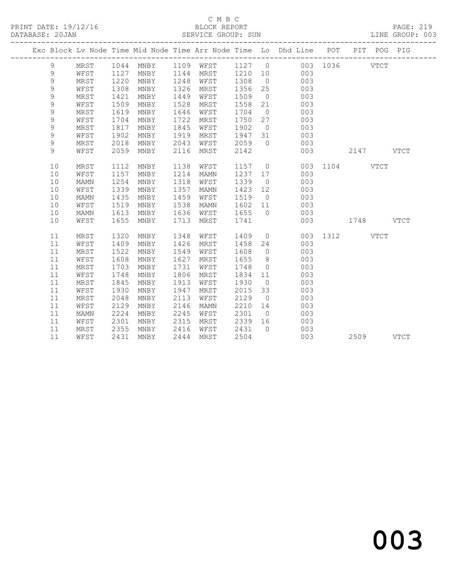## $\begin{tabular}{lllll} \multicolumn{2}{c}{\textbf{C} M B C} & \multicolumn{2}{c}{\textbf{C} M B C} \\ \multicolumn{2}{c}{\textbf{P RINT} \textbf{DATE: }} 19/12/16 & \multicolumn{2}{c}{\textbf{D} M B C} \\ \multicolumn{2}{c}{\textbf{D} M T C} & \multicolumn{2}{c}{\textbf{D} M T C} & \multicolumn{2}{c}{\textbf{D} M T C} \\ \multicolumn{2}{c}{\textbf{D} M T C} & \multicolumn{2}{c}{\textbf{D} M T C} & \multicolumn{2}{c}{\textbf{D}$

DATABASE: 20JAN SERVICE GROUP: SUN LINE GROUP: 003 -------------------------------------------------------------------------------------------------

|  |    |      |      |           |      |             |        |                | Exc Block Lv Node Time Mid Node Time Arr Node Time Lo Dhd Line POT |      | PIT POG PIG   |             |             |
|--|----|------|------|-----------|------|-------------|--------|----------------|--------------------------------------------------------------------|------|---------------|-------------|-------------|
|  | 9  | MRST |      | 1044 MNBY | 1109 | WFST        | 1127 0 |                |                                                                    |      | 003 1036 VTCT |             |             |
|  | 9  | WFST | 1127 | MNBY      | 1144 | MRST        | 1210   | 10             | 003                                                                |      |               |             |             |
|  | 9  | MRST | 1220 | MNBY      | 1248 | WFST        | 1308   | $\overline{0}$ | 003                                                                |      |               |             |             |
|  | 9  | WFST | 1308 | MNBY      | 1326 | MRST        | 1356   | 25             | 003                                                                |      |               |             |             |
|  | 9  | MRST | 1421 | MNBY      | 1449 | WFST        | 1509   | $\overline{0}$ | 003                                                                |      |               |             |             |
|  | 9  | WFST | 1509 | MNBY      | 1528 | MRST        | 1558   | 21             | 003                                                                |      |               |             |             |
|  | 9  | MRST | 1619 | MNBY      | 1646 | WFST        | 1704   | $\overline{0}$ | 003                                                                |      |               |             |             |
|  | 9  | WFST | 1704 | MNBY      | 1722 | MRST        | 1750   | 27             | 003                                                                |      |               |             |             |
|  | 9  | MRST | 1817 | MNBY      | 1845 | WFST        | 1902   | $\overline{0}$ | 003                                                                |      |               |             |             |
|  | 9  | WFST | 1902 | MNBY      | 1919 | MRST        | 1947   | 31             | 003                                                                |      |               |             |             |
|  | 9  | MRST | 2018 | MNBY      | 2043 | WFST        | 2059   | $\bigcirc$     | 003                                                                |      |               |             |             |
|  | 9  | WFST | 2059 | MNBY      | 2116 | MRST        | 2142   |                | 003                                                                |      | 2147 VTCT     |             |             |
|  | 10 | MRST | 1112 | MNBY      | 1138 | WFST        | 1157 0 |                |                                                                    |      | 003 1104 VTCT |             |             |
|  | 10 | WFST | 1157 | MNBY      | 1214 | <b>MAMN</b> | 1237   | 17             | 003                                                                |      |               |             |             |
|  | 10 | MAMN | 1254 | MNBY      | 1318 | WFST        | 1339   | $\overline{0}$ | 003                                                                |      |               |             |             |
|  | 10 | WFST | 1339 | MNBY      | 1357 | MAMN        | 1423   | 12             | 003                                                                |      |               |             |             |
|  | 10 | MAMN | 1435 | MNBY      | 1459 | WFST        | 1519   | $\overline{0}$ | 003                                                                |      |               |             |             |
|  | 10 | WFST | 1519 | MNBY      | 1538 | <b>MAMN</b> | 1602   | 11             | 003                                                                |      |               |             |             |
|  | 10 | MAMN | 1613 | MNBY      | 1636 | WFST        | 1655   | $\overline{0}$ | 003                                                                |      |               |             |             |
|  | 10 | WFST | 1655 | MNBY      | 1713 | MRST        | 1741   |                | 003                                                                |      | 1748          |             | <b>VTCT</b> |
|  | 11 | MRST | 1320 | MNBY      | 1348 | WFST        | 1409   |                | $\overline{0}$<br>003                                              | 1312 |               | <b>VTCT</b> |             |
|  | 11 | WFST | 1409 | MNBY      | 1426 | MRST        | 1458   | 24             | 003                                                                |      |               |             |             |
|  | 11 | MRST | 1522 | MNBY      | 1549 | WFST        | 1608   | $\overline{0}$ | 003                                                                |      |               |             |             |
|  | 11 | WFST | 1608 | MNBY      | 1627 | MRST        | 1655   | 8 <sup>8</sup> | 003                                                                |      |               |             |             |
|  | 11 | MRST | 1703 | MNBY      | 1731 | WFST        | 1748   | $\overline{0}$ | 003                                                                |      |               |             |             |
|  | 11 | WFST | 1748 | MNBY      | 1806 | MRST        | 1834   | 11             | 003                                                                |      |               |             |             |
|  | 11 | MRST | 1845 | MNBY      | 1913 | WFST        | 1930   | $\overline{0}$ | 003                                                                |      |               |             |             |
|  | 11 | WFST | 1930 | MNBY      | 1947 | MRST        | 2015   | 33             | 003                                                                |      |               |             |             |
|  | 11 | MRST | 2048 | MNBY      | 2113 | WFST        | 2129   | $\overline{0}$ | 003                                                                |      |               |             |             |
|  | 11 | WFST | 2129 | MNBY      | 2146 | MAMN        | 2210   | 14             | 003                                                                |      |               |             |             |
|  | 11 | MAMN | 2224 | MNBY      | 2245 | WFST        | 2301   | $\overline{0}$ | 003                                                                |      |               |             |             |
|  | 11 | WFST | 2301 | MNBY      | 2315 | MRST        | 2339   | 16             | 003                                                                |      |               |             |             |
|  | 11 | MRST | 2355 | MNBY      | 2416 | WFST        | 2431   | $\bigcirc$     | 003                                                                |      |               |             |             |
|  | 11 | WFST | 2431 | MNBY      | 2444 | MRST        | 2504   |                | 003                                                                |      | 2509          |             | <b>VTCT</b> |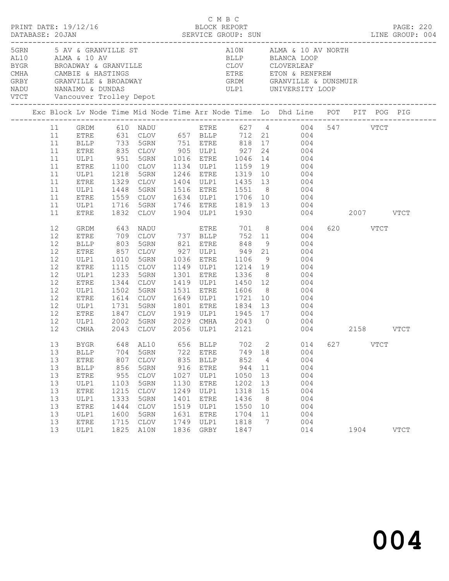| DATABASE: 20JAN |                                                                                        |                                                                                                                                 |                                                                          | $\begin{array}{cccc}\n\texttt{CRINT} & \texttt{DATE: } 19/12/16 \\ \texttt{PRINT} & \texttt{DATE: } 19/12/16 \\ \end{array}$   |                                                                                   |                                                                                                              |                                                                                   |                                                                    |                                                                                                                                                                                                                                                                                                                                                                                                                           |                                |          |             | PAGE: 220   |
|-----------------|----------------------------------------------------------------------------------------|---------------------------------------------------------------------------------------------------------------------------------|--------------------------------------------------------------------------|--------------------------------------------------------------------------------------------------------------------------------|-----------------------------------------------------------------------------------|--------------------------------------------------------------------------------------------------------------|-----------------------------------------------------------------------------------|--------------------------------------------------------------------|---------------------------------------------------------------------------------------------------------------------------------------------------------------------------------------------------------------------------------------------------------------------------------------------------------------------------------------------------------------------------------------------------------------------------|--------------------------------|----------|-------------|-------------|
|                 |                                                                                        |                                                                                                                                 |                                                                          |                                                                                                                                |                                                                                   |                                                                                                              |                                                                                   |                                                                    | 5 AV & GRANVILLE ST<br>AL10 ALMA & 10 AV BLLP BLANCA LOOP<br>BYGR BROADWAY & GRANVILLE (NHA CAMBIE & HASTINGS ETRE ETON & RENFREW<br>GRBY GRANVILLE & BROADWAY (SRDM GRANVILLE & DUNSMUIR<br>NADU NANAIMO & DUNDAS ULP1 UNIVERSITY LOO                                                                                                                                                                                    |                                |          |             |             |
|                 |                                                                                        |                                                                                                                                 |                                                                          |                                                                                                                                |                                                                                   |                                                                                                              |                                                                                   |                                                                    | Exc Block Lv Node Time Mid Node Time Arr Node Time Lo Dhd Line POT PIT POG PIG                                                                                                                                                                                                                                                                                                                                            |                                |          |             |             |
|                 | 11<br>11<br>11<br>11<br>11<br>11<br>11<br>11<br>11<br>11<br>11                         | ULP1<br>ETRE<br>ULP1<br>ETRE<br>ULP1<br>ETRE<br>ULP1                                                                            | 951<br>1448                                                              | 5GRN                                                                                                                           |                                                                                   |                                                                                                              |                                                                                   |                                                                    | GRDM 610 NADU ETRE 627 4 004 547 VTCT<br>ETRE 631 CLOV 657 BLLP 712 21 004<br>BLLP 733 5GRN 751 ETRE 818 17 004<br>ETRE 835 CLOV 905 ULP1 927 24 004<br>HTRE 835 CLOV 905 ULP1 927 24 004<br>5GRN 1016 ETRE 1046 14 004<br>1329 CLOV 1404 ULP1 1435 13 004<br>1516 ETRE 1551 8 004<br>1559 CLOV      1634   ULP1       1706    10                004<br>1716   5GRN       1746   ETRE       1819    13                004 |                                |          |             |             |
|                 | 11<br>12<br>12<br>12<br>12<br>12<br>12<br>12<br>12<br>12<br>12<br>12<br>12<br>12<br>12 | ETRE<br>GRDM<br>ETRE<br>BLLP<br>ETRE<br>ULP1<br>ETRE<br>ULP1<br>ETRE<br>ULP1<br>ETRE<br>ULP1<br>ETRE<br>ULP1<br>CMHA            | 1010<br>1233<br>1344<br>1502<br>1614<br>1731<br>2002                     | 1832 CLOV<br>857 CLOV 927 ULP1 949 21<br>5GRN<br>1115 CLOV<br>5GRN<br><b>CLOV</b><br>5GRN<br>CLOV<br>5GRN<br>5GRN<br>2043 CLOV |                                                                                   | 1904 ULP1 1930<br>1036 ETRE<br>1419 ULP1 1450 12<br>1649 ULP1 1721 10<br>1801 ETRE 1834 13<br>2056 ULP1 2121 | 1106                                                                              |                                                                    | 004<br>9 004<br>1149 ULP1 1214 19 004<br>1301 ETRE 1336 8 004<br>004<br>1531 ETRE 1606 8 004<br>004<br>004<br>1847 CLOV 1919 ULP1 1945 17 004<br>2029 CMHA 2043 0 004                                                                                                                                                                                                                                                     | 004 2007 VTCT<br>004 2158 VTCT | 620 VTCT |             |             |
|                 | 13<br>13<br>13<br>13<br>13<br>13<br>13<br>13<br>13<br>13<br>13<br>13                   | <b>BLLP</b><br>ETRE<br><b>BLLP</b><br><b>ETRE</b><br>ULP1<br><b>ETRE</b><br>ULP1<br>${\tt ETRE}$<br>ULP1<br><b>ETRE</b><br>ULP1 | 704<br>807<br>856<br>955<br>1103<br>1215<br>1333<br>1444<br>1600<br>1715 | 5GRN<br>CLOV<br>5GRN<br>CLOV<br>5GRN<br>CLOV<br>5GRN<br>CLOV<br>5GRN<br>CLOV<br>1825 A10N                                      | 722<br>835<br>916<br>1027<br>1130<br>1249<br>1401<br>1519<br>1631<br>1749<br>1836 | ETRE<br>BLLP<br>${\tt ETRE}$<br>ULP1<br>ETRE<br>ULP1<br>ETRE<br>ULP1<br>ETRE<br>ULP1<br>GRBY                 | 749<br>852<br>944<br>1050<br>1202<br>1318<br>1436<br>1550<br>1704<br>1818<br>1847 | 18<br>$\overline{4}$<br>11<br>13<br>13<br>15<br>8<br>10<br>11<br>7 | BYGR 648 AL10 656 BLLP 702 2 014 627<br>004<br>004<br>004<br>004<br>004<br>004<br>004<br>004<br>004<br>004<br>014                                                                                                                                                                                                                                                                                                         |                                | 1904     | <b>VTCT</b> | <b>VTCT</b> |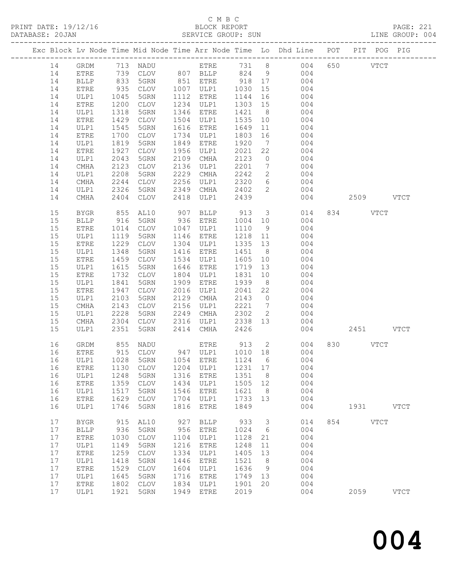# C M B C

|    |              |      |                     |      |             |                     |                         | PAGE: 221<br>LINE GROUP: 004                                                   |     |             |           |  |
|----|--------------|------|---------------------|------|-------------|---------------------|-------------------------|--------------------------------------------------------------------------------|-----|-------------|-----------|--|
|    |              |      |                     |      |             |                     |                         | Exc Block Lv Node Time Mid Node Time Arr Node Time Lo Dhd Line POT PIT POG PIG |     |             |           |  |
| 14 | GRDM         |      | 713 NADU ETRE 731 8 |      |             |                     |                         | 004                                                                            | 650 | VTCT        |           |  |
| 14 | ETRE         |      |                     |      |             |                     |                         | 004                                                                            |     |             |           |  |
| 14 | <b>BLLP</b>  |      |                     |      |             | $\frac{5}{1030}$ 17 |                         | 004                                                                            |     |             |           |  |
| 14 | ETRE         |      |                     |      |             |                     |                         | 004                                                                            |     |             |           |  |
| 14 | ULP1         | 1045 | 5GRN                |      | 1112 ETRE   | 1144 16             |                         | 004                                                                            |     |             |           |  |
| 14 | ETRE         | 1200 | CLOV                |      | 1234 ULP1   | 1303 15             |                         | 004                                                                            |     |             |           |  |
| 14 | ULP1         | 1318 | 5GRN                |      | 1346 ETRE   | 1421                | 8 <sup>8</sup>          | 004                                                                            |     |             |           |  |
| 14 | ETRE         | 1429 | CLOV                |      | 1504 ULP1   | 1535                |                         | 10<br>004                                                                      |     |             |           |  |
| 14 | ULP1         | 1545 | 5GRN                |      | 1616 ETRE   | 1649                |                         | 11<br>004                                                                      |     |             |           |  |
| 14 | ETRE         | 1700 | CLOV                | 1734 | ULP1        | 1803                | 16                      | 004                                                                            |     |             |           |  |
| 14 | ULP1         | 1819 | 5GRN                | 1849 | ETRE        | 1920                | $7\overline{ }$         | 004                                                                            |     |             |           |  |
| 14 | ETRE         | 1927 | CLOV                | 1956 | ULP1        | 2021                | 22                      | 004                                                                            |     |             |           |  |
| 14 | ULP1         | 2043 | 5GRN                | 2109 | CMHA        | 2123                | $\overline{0}$          | 004                                                                            |     |             |           |  |
| 14 | CMHA         | 2123 | CLOV                | 2136 | ULP1        | 2201                |                         | $7\overline{ }$<br>004                                                         |     |             |           |  |
| 14 | ULP1         | 2208 | 5GRN                | 2229 | CMHA        | 2242                |                         | $\frac{2}{5}$<br>004                                                           |     |             |           |  |
| 14 | CMHA         | 2244 | CLOV                | 2256 | ULP1        | 2320 6              |                         | 004                                                                            |     |             |           |  |
| 14 | ULP1         | 2326 | 5GRN                | 2349 | CMHA        | 2402                | $\overline{2}$          | 004                                                                            |     |             |           |  |
| 14 | CMHA         | 2404 | CLOV                | 2418 | ULP1        | 2439                |                         | 004                                                                            |     | 2509 VTCT   |           |  |
| 15 | BYGR         | 855  | AL10                |      | 907 BLLP    | 913                 |                         | $\overline{\mathbf{3}}$<br>014                                                 |     | 834 VTCT    |           |  |
| 15 | BLLP         | 916  | 5GRN                |      | 936 ETRE    | 1004 10             |                         | 004                                                                            |     |             |           |  |
| 15 | ETRE         | 1014 | CLOV                |      | 1047 ULP1   | 1110                | 9                       | 004                                                                            |     |             |           |  |
| 15 | ULP1         | 1119 | 5GRN                | 1146 | ETRE        | 1218                |                         | 004<br>11                                                                      |     |             |           |  |
| 15 | ETRE         | 1229 | CLOV                |      | 1304 ULP1   | 1335                | 13                      | 004                                                                            |     |             |           |  |
| 15 | ULP1         | 1348 | 5GRN                |      | 1416 ETRE   | 1451                |                         | 8<br>004                                                                       |     |             |           |  |
| 15 | ETRE         | 1459 | CLOV                |      | 1534 ULP1   | 1605 10             |                         | 004                                                                            |     |             |           |  |
| 15 | ULP1         | 1615 | 5GRN                | 1646 | ETRE        | 1719                | 13                      | 004                                                                            |     |             |           |  |
| 15 | ${\tt ETRE}$ | 1732 | CLOV                | 1804 | ULP1        | 1831                | 10                      | 004                                                                            |     |             |           |  |
| 15 | ULP1         | 1841 | 5GRN                |      | 1909 ETRE   | 1939                |                         | 8 <sup>1</sup><br>004                                                          |     |             |           |  |
| 15 | ETRE         | 1947 | CLOV                | 2016 | ULP1        | 2041 22             |                         | 004                                                                            |     |             |           |  |
| 15 | ULP1         | 2103 | 5GRN                | 2129 | CMHA        | 2143                |                         | $\overline{O}$<br>004                                                          |     |             |           |  |
| 15 | CMHA         | 2143 | CLOV                | 2156 | ULP1        | 2221                | $7\overline{ }$         | 004                                                                            |     |             |           |  |
| 15 | ULP1         | 2228 | 5GRN                | 2249 | CMHA        | 2302                | $\overline{2}$          | 004                                                                            |     |             |           |  |
| 15 | CMHA         | 2304 | CLOV                | 2316 | ULP1        | 2338                | 13                      | 004                                                                            |     |             |           |  |
| 15 | ULP1         | 2351 | 5GRN                | 2414 | CMHA        | 2426                |                         | 004                                                                            |     | $2451$ VTCT |           |  |
| 16 | GRDM         |      | 855 NADU ETRE       |      |             |                     |                         | 913 2<br>004                                                                   |     | 830 VTCT    |           |  |
|    | 16 ETRE      |      |                     |      |             |                     |                         | 915 CLOV 947 ULP1 1010 18 004                                                  |     |             |           |  |
| 16 | ULP1         | 1028 | 5GRN                | 1054 | ETRE        | 1124                | $6\overline{6}$         | 004                                                                            |     |             |           |  |
| 16 | ETRE         | 1130 | CLOV                | 1204 | ULP1        | 1231 17             |                         | 004                                                                            |     |             |           |  |
| 16 | ULP1         | 1248 | 5GRN                | 1316 | ETRE        | 1351                | 8                       | 004                                                                            |     |             |           |  |
| 16 | ETRE         | 1359 | CLOV                | 1434 | ULP1        | 1505                | 12                      | 004                                                                            |     |             |           |  |
| 16 | ULP1         | 1517 | 5GRN                | 1546 | ETRE        | 1621                | 8 <sup>8</sup>          | 004                                                                            |     |             |           |  |
| 16 | ETRE         | 1629 | CLOV                | 1704 | ULP1        | 1733                | 13                      | 004                                                                            |     |             |           |  |
| 16 | ULP1         | 1746 | 5GRN                | 1816 | <b>ETRE</b> | 1849                |                         | 004                                                                            |     |             | 1931 VTCT |  |
| 17 | <b>BYGR</b>  | 915  | AL10                | 927  | <b>BLLP</b> | 933                 | $\overline{\mathbf{3}}$ | 014                                                                            | 854 | <b>VTCT</b> |           |  |
| 17 | BLLP         | 936  | 5GRN                |      | 956 ETRE    | 1024 6              |                         | 004                                                                            |     |             |           |  |
| 17 | ETRE         | 1030 | CLOV                | 1104 | ULP1        | 1128                | 21                      | 004                                                                            |     |             |           |  |
| 17 | ULP1         |      | 1149 5GRN           |      | 1216 ETRE   | 1248                | 11                      | 004                                                                            |     |             |           |  |

 17 ETRE 1259 CLOV 1334 ULP1 1405 13 004 17 ULP1 1418 5GRN 1446 ETRE 1521 8 004 17 ETRE 1529 CLOV 1604 ULP1 1636 9 004 17 ULP1 1645 5GRN 1716 ETRE 1749 13 004 17 ETRE 1802 CLOV 1834 ULP1 1901 20 004

17 ULP1 1921 5GRN 1949 ETRE 2019 004 2059 VTCT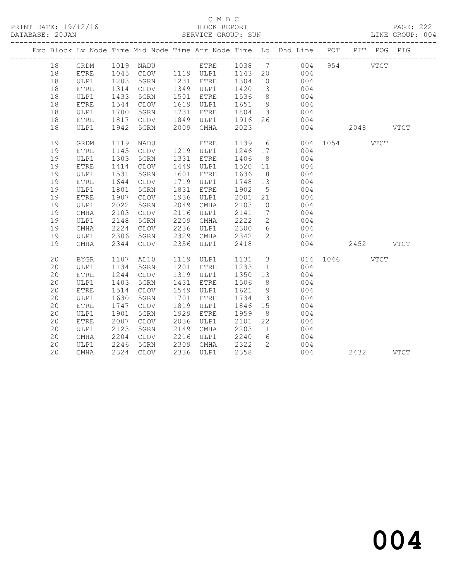PRINT DATE: 19/12/16 BLOCK REPORT BATABASE: 20JAN BLOCK REPORT

## C M B C<br>BLOCK REPORT

PAGE: 222<br>LINE GROUP: 004

|  |    |              |      |             |      |           |         |                 | Exc Block Lv Node Time Mid Node Time Arr Node Time Lo Dhd Line POT PIT POG PIG |               |          |           |             |
|--|----|--------------|------|-------------|------|-----------|---------|-----------------|--------------------------------------------------------------------------------|---------------|----------|-----------|-------------|
|  | 18 | GRDM         |      | 1019 NADU   |      |           |         |                 | ETRE 1038 7 004                                                                |               | 954 VTCT |           |             |
|  | 18 | <b>ETRE</b>  |      |             |      |           |         |                 | 1045 CLOV 1119 ULP1 1143 20 004                                                |               |          |           |             |
|  | 18 | ULP1         | 1203 | 5GRN        |      | 1231 ETRE | 1304    | 10              | $\begin{array}{c} 004 \\ 004 \end{array}$                                      |               |          |           |             |
|  | 18 | <b>ETRE</b>  | 1314 | CLOV        |      | 1349 ULP1 | 1420 13 |                 |                                                                                |               |          |           |             |
|  | 18 | ULP1         | 1433 | 5GRN        | 1501 | ETRE      | 1536    | 8 <sup>8</sup>  | 004                                                                            |               |          |           |             |
|  | 18 | <b>ETRE</b>  | 1544 | CLOV        | 1619 | ULP1      | 1651    | 9               | 004                                                                            |               |          |           |             |
|  | 18 | ULP1         | 1700 | 5GRN        | 1731 | ETRE      | 1804 13 |                 | 004                                                                            |               |          |           |             |
|  | 18 | ETRE         | 1817 | CLOV        | 1849 | ULP1      | 1916    | 26              | 004                                                                            |               |          |           |             |
|  | 18 | ULP1         | 1942 | 5GRN        | 2009 | CMHA      | 2023    |                 | 004                                                                            |               |          | 2048 VTCT |             |
|  | 19 | GRDM         | 1119 | NADU        |      | ETRE      | 1139    |                 | $6\overline{6}$                                                                | 004 1054 VTCT |          |           |             |
|  | 19 | <b>ETRE</b>  | 1145 | CLOV        |      | 1219 ULP1 | 1246    | 17              | 004                                                                            |               |          |           |             |
|  | 19 | ULP1         | 1303 | 5GRN        | 1331 | ETRE      | 1406    | 8 <sup>8</sup>  | 004                                                                            |               |          |           |             |
|  | 19 | ETRE         | 1414 | CLOV        | 1449 | ULP1      | 1520    | 11              | 004                                                                            |               |          |           |             |
|  | 19 | ULP1         | 1531 | 5GRN        | 1601 | ETRE      | 1636    | 8 <sup>8</sup>  | 004                                                                            |               |          |           |             |
|  | 19 | ${\tt ETRE}$ | 1644 | CLOV        | 1719 | ULP1      | 1748 13 |                 | 004                                                                            |               |          |           |             |
|  | 19 | ULP1         | 1801 | 5GRN        | 1831 | ETRE      | 1902    | $5\overline{)}$ | 004                                                                            |               |          |           |             |
|  | 19 | <b>ETRE</b>  | 1907 | CLOV        | 1936 | ULP1      | 2001    | 21              | 004                                                                            |               |          |           |             |
|  | 19 | ULP1         | 2022 | 5GRN        | 2049 | CMHA      | 2103    | $\overline{0}$  | 004                                                                            |               |          |           |             |
|  | 19 | CMHA         | 2103 | CLOV        | 2116 | ULP1      | 2141    | $7\overline{ }$ | 004                                                                            |               |          |           |             |
|  | 19 | ULP1         | 2148 | 5GRN        | 2209 | CMHA      | 2222    | $2^{\circ}$     | 004                                                                            |               |          |           |             |
|  | 19 | <b>CMHA</b>  | 2224 | <b>CLOV</b> | 2236 | ULP1      | 2300    | 6               | 004                                                                            |               |          |           |             |
|  | 19 | ULP1         | 2306 | 5GRN        | 2329 | CMHA      | 2342    | $\overline{2}$  | 004                                                                            |               |          |           |             |
|  | 19 | CMHA         | 2344 | <b>CLOV</b> | 2356 | ULP1      | 2418    |                 |                                                                                | 004           | 2452     |           | <b>VTCT</b> |
|  | 20 | <b>BYGR</b>  | 1107 | AL10        | 1119 | ULP1      |         |                 | 1131 3 014 1046 VTCT                                                           |               |          |           |             |
|  | 20 | ULP1         | 1134 | 5GRN        | 1201 | ETRE      | 1233 11 |                 | 004                                                                            |               |          |           |             |
|  | 20 | <b>ETRE</b>  | 1244 | CLOV        | 1319 | ULP1      | 1350 13 |                 | 004                                                                            |               |          |           |             |
|  | 20 | ULP1         | 1403 | 5GRN        | 1431 | ETRE      | 1506    | 8 <sup>8</sup>  | 004                                                                            |               |          |           |             |
|  | 20 | <b>ETRE</b>  | 1514 | CLOV        | 1549 | ULP1      | 1621    | 9               | 004                                                                            |               |          |           |             |
|  | 20 | ULP1         | 1630 | 5GRN        | 1701 | ETRE      | 1734    | 13              | 004                                                                            |               |          |           |             |
|  | 20 | <b>ETRE</b>  | 1747 | CLOV        | 1819 | ULP1      | 1846    | 15              | 004                                                                            |               |          |           |             |
|  | 20 | ULP1         | 1901 | 5GRN        | 1929 | ETRE      | 1959    | 8 <sup>8</sup>  | 004                                                                            |               |          |           |             |
|  | 20 | ETRE         | 2007 | <b>CLOV</b> | 2036 | ULP1      | 2101    | 22              | 004                                                                            |               |          |           |             |
|  | 20 | ULP1         | 2123 | 5GRN        | 2149 | CMHA      | 2203    |                 | 1 004                                                                          |               |          |           |             |
|  | 20 | CMHA         | 2204 | CLOV        | 2216 | ULP1      | 2240    | 6               | 004                                                                            |               |          |           |             |
|  | 20 | ULP1         | 2246 | 5GRN        | 2309 | CMHA      | 2322    | $2^{\circ}$     | 004                                                                            |               |          |           |             |
|  | 20 | CMHA         | 2324 | CLOV        |      | 2336 ULP1 | 2358    |                 | 004                                                                            |               | 2432     |           | <b>VTCT</b> |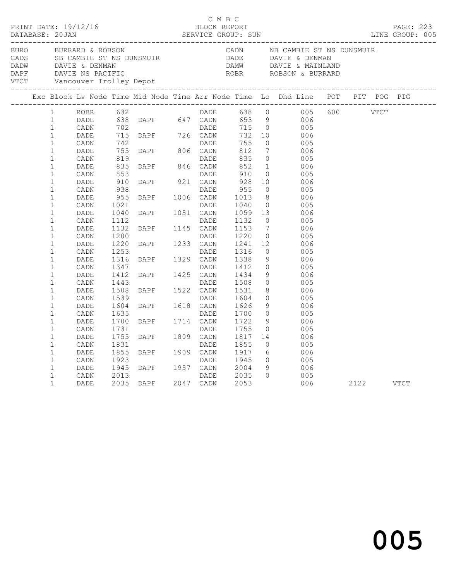|                  |                                                                              |                                      |                                      |                                                                                                                                                                                                                                                                                      | C M B C      |                                                         |                                  | PRINT DATE: 19/12/16<br>BLOCK REPORT BLOCK PRESSERIES DATABASE: 20JAN SERVICE GROUP: SUN LINE GROUP: 005                                                                                                                                         |           |  |
|------------------|------------------------------------------------------------------------------|--------------------------------------|--------------------------------------|--------------------------------------------------------------------------------------------------------------------------------------------------------------------------------------------------------------------------------------------------------------------------------------|--------------|---------------------------------------------------------|----------------------------------|--------------------------------------------------------------------------------------------------------------------------------------------------------------------------------------------------------------------------------------------------|-----------|--|
| ________________ |                                                                              |                                      |                                      |                                                                                                                                                                                                                                                                                      |              |                                                         |                                  | BURO BURRARD & ROBSON CADN NB CAMBIE ST NS DUNSMUIR<br>CADS SB CAMBIE ST NS DUNSMUIR<br>DADE DAVIE & DENMAN DAVIE & DENMAN DAVIE & MAINLAND<br>DAPF DAVIE NS PACIFIC<br>VTCT Vancouver Trolley Depot<br>VTCT Vancouver Trolley Depot             |           |  |
|                  |                                                                              |                                      |                                      |                                                                                                                                                                                                                                                                                      |              |                                                         |                                  | Exc Block Lv Node Time Mid Node Time Arr Node Time Lo Dhd Line POT PIT POG PIG                                                                                                                                                                   |           |  |
|                  | 1<br>$\mathbf{1}$<br>$\mathbf{1}$<br>$\mathbf{1}$<br>$\mathbf{1}$            |                                      |                                      |                                                                                                                                                                                                                                                                                      |              |                                                         |                                  | ROBR 632<br>DADE 638 DAPF 647 CADN 653 9 006<br>CADN 702<br>DADE 715 DAPF 726 CADN 732 10 006<br>CADN 742<br>DADE 715 DAPF 726 CADN 732 10 006<br>CADN 742<br>DADE 755 0 005<br>DADE 755 DAPF 806 CADN 812 7 006<br>DADE 755 DAPF 806 CADN 812 7 |           |  |
|                  | $\mathbf{1}$<br>$\mathbf{1}$<br>$1\,$<br>$\mathbf{1}$<br>$\mathbf{1}$        | DADE<br>CADN<br>DADE                 | 835<br>853<br>910                    | DADE DADE<br>DAPF 846 CADN<br>DAPF 921 CADN                                                                                                                                                                                                                                          | DADE         | $812$<br>$835$<br>$852$<br>910<br>928                   | $\overline{0}$                   | 1 006<br>005<br>10 006                                                                                                                                                                                                                           |           |  |
|                  | $\mathbf{1}$<br>$\mathbf{1}$<br>$\mathbf{1}$<br>$\mathbf{1}$                 | CADN<br>DADE<br>CADN<br>DADE         | 938<br>955<br>1021<br>1040           | DAPF 1006 CADN<br>DAPF 1051 CADN                                                                                                                                                                                                                                                     | DADE         | 955<br>1013<br>1040 0<br>1059 13                        | $\overline{0}$                   | 005<br>8006<br>005<br>006                                                                                                                                                                                                                        |           |  |
|                  | $\mathbf{1}$<br>$\mathbf{1}$<br>$\mathbf{1}$<br>$\mathbf{1}$<br>$\mathbf{1}$ | CADN<br>DADE<br>CADN<br>DADE<br>CADN | 1112<br>1132<br>1200<br>1220<br>1253 | DAPF 1051 CADN<br>DAPF 1145 CADN<br>DADE<br>DAPF 1233 CADN<br>DAPF 1329 CADN<br>DAPF 1329 CADN<br>DAPF 1425 CADN<br>DAPF 1522 CADN<br>DAPF 1522 CADN<br>DAPF 1522 CADN<br>DADE<br>DAPF 1618 CADN<br>DADE<br>DAPF 1618 CADN<br>DADE<br>DAPF 1618 CADN<br>DADE<br>DAPF 1618 CADN<br>DA |              | 1132<br>1153<br>1220<br>1241<br>1241 12<br>1316<br>1338 | $7\phantom{0}$                   | $\begin{array}{ccc} 0 & \quad & 005 \\ 7 & \quad & 006 \end{array}$<br>$\begin{array}{c} 0 \\ 12 \end{array}$<br>005<br>- 006<br>$\overline{0}$<br>005                                                                                           |           |  |
|                  | $\mathbf 1$<br>$\mathbf{1}$<br>$\mathbf{1}$<br>$\mathbf{1}$<br>$\mathbf{1}$  | DADE<br>CADN<br>DADE<br>CADN<br>DADE | 1316<br>1347<br>1412<br>1443<br>1508 |                                                                                                                                                                                                                                                                                      |              | 1412<br>1434<br>1508                                    | 9<br>$\circ$<br>9                | 006<br>005<br>006<br>$\begin{array}{ccc}\n0 & 0 & 0 \\ 0 & 0 & 0\n\end{array}$                                                                                                                                                                   |           |  |
|                  | $\mathbf{1}$<br>$\mathbf{1}$<br>$\mathbf{1}$<br>$\mathbf{1}$                 | CADN<br>DADE<br>CADN<br>DADE         | 1539<br>1604<br>1635<br>1700         |                                                                                                                                                                                                                                                                                      |              | 1531<br>1604<br>1626<br>1700<br>1722                    |                                  | 8 006<br>0 005<br>$\frac{9}{0}$<br>- 006<br>005<br>$\frac{9}{2}$<br>006                                                                                                                                                                          |           |  |
|                  | $\mathbf{1}$<br>$\mathbf{1}$<br>$\mathbf{1}$<br>$\mathbf{1}$                 | CADN<br>DADE<br>CADN<br>DADE         | 1731<br>1755<br>1831<br>1855         | DAPF 1809 CADN<br>DAPF 1909 CADN<br>DAPF 1909 CADN                                                                                                                                                                                                                                   |              | 1755<br>1817<br>1855<br>1917                            | $\overline{0}$<br>$\overline{0}$ | 005<br>14 006<br>005<br>6 006                                                                                                                                                                                                                    |           |  |
|                  | $\mathbf{1}$<br>$\mathbf{1}$<br>$\mathbf 1$<br>$\mathbf{1}$                  | CADN<br>DADE<br>CADN<br>DADE         | 1923<br>1945<br>2013                 | DAPF 1957 CADN<br>2035 DAPF 2047 CADN                                                                                                                                                                                                                                                | DADE<br>DADE | 1945<br>2004<br>$2035$<br>$2053$<br>2053                | $\Omega$                         | $\begin{array}{ccc} 0 & \quad & 005 \\ 9 & \quad & 006 \end{array}$<br>005<br>006                                                                                                                                                                | 2122 VTCT |  |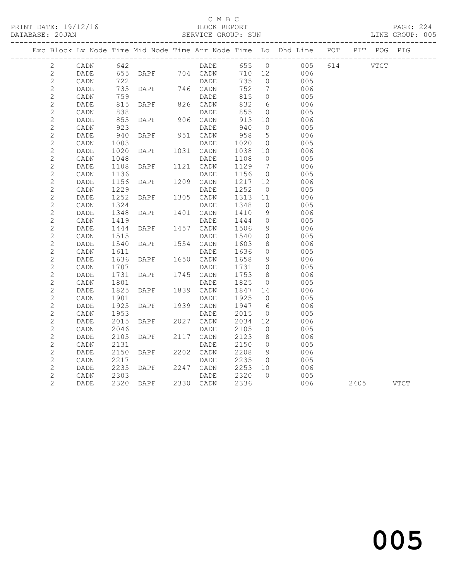PRINT DATE: 19/12/16 BLOCK REPORT BATABASE: 20JAN BLOCK REPORT

### C M B C<br>BLOCK REPORT

PAGE: 224<br>LINE GROUP: 005

|                |                 |      |             |                   |         |                 | Exc Block Lv Node Time Mid Node Time Arr Node Time Lo Dhd Line POT PIT POG PIG |           |  |
|----------------|-----------------|------|-------------|-------------------|---------|-----------------|--------------------------------------------------------------------------------|-----------|--|
| 2              | CADN            | 642  |             |                   |         |                 | DADE 655 0 005                                                                 | 614 VTCT  |  |
| $\overline{2}$ | DADE            |      |             | 655 DAPF 704 CADN |         |                 | 710 12 006                                                                     |           |  |
| $\sqrt{2}$     | CADN            | 722  |             | DADE              | 735     | $\overline{0}$  | 005                                                                            |           |  |
| $\sqrt{2}$     | DADE            | 735  | DAPF        | 746 CADN          | 752     | $\overline{7}$  | 006                                                                            |           |  |
| $\mathbf{2}$   | CADN            | 759  |             | DADE              | 815     | $\overline{0}$  | 005                                                                            |           |  |
| $\sqrt{2}$     | DADE            | 815  | <b>DAPF</b> | 826 CADN          | 832     | 6               | 006                                                                            |           |  |
| $\sqrt{2}$     | CADN            | 838  |             | DADE              | 855     | $\overline{0}$  | 005                                                                            |           |  |
| $\mathbf{2}$   | DADE            | 855  | DAPF        | 906 CADN          | 913     | 10              | 006                                                                            |           |  |
| $\sqrt{2}$     | CADN            | 923  |             | DADE              | 940     | $\overline{0}$  | 005                                                                            |           |  |
| $\sqrt{2}$     | DADE            | 940  | DAPF        | 951 CADN          | 958     | $5\overline{)}$ | 006                                                                            |           |  |
| $\mathbf{2}$   | CADN            | 1003 |             | DADE              | 1020    | $\overline{0}$  | 005                                                                            |           |  |
| $\mathbf{2}$   | DADE            | 1020 | DAPF        | 1031 CADN         | 1038 10 |                 | 006                                                                            |           |  |
| $\mathbf{2}$   | CADN            | 1048 |             | DADE              | 1108    | $\overline{0}$  | 005                                                                            |           |  |
| $\mathbf{2}$   | DADE            | 1108 | DAPF        | 1121 CADN         | 1129    | $\overline{7}$  | 006                                                                            |           |  |
| $\mathbf{2}$   | $\mathtt{CADN}$ | 1136 |             | DADE              | 1156    | $\overline{0}$  | 005                                                                            |           |  |
| $\mathbf{2}$   | DADE            | 1156 | DAPF        | 1209 CADN         | 1217    | 12              | 006                                                                            |           |  |
| $\mathbf{2}$   | CADN            | 1229 |             | DADE              | 1252    | $\overline{0}$  | 005                                                                            |           |  |
| $\sqrt{2}$     | DADE            | 1252 | DAPF        | 1305 CADN         | 1313    | 11              | 006                                                                            |           |  |
| $\mathbf{2}$   | CADN            | 1324 |             | DADE              | 1348    | $\overline{0}$  | 005                                                                            |           |  |
| $\mathbf{2}$   | DADE            | 1348 | DAPF        | 1401 CADN         | 1410    | 9               | 006                                                                            |           |  |
| $\mathbf{2}$   | CADN            | 1419 |             | DADE              | 1444    | $\overline{0}$  | 005                                                                            |           |  |
| $\mathbf{2}$   | DADE            | 1444 | DAPF        | 1457 CADN         | 1506    | 9               | 006                                                                            |           |  |
| $\mathbf{2}$   | CADN            | 1515 |             | DADE              | 1540    | $\circ$         | 005                                                                            |           |  |
| $\mathbf{2}$   | DADE            | 1540 | DAPF        | 1554 CADN         | 1603    | 8 <sup>8</sup>  | 006                                                                            |           |  |
| $\mathbf{2}$   | CADN            | 1611 |             | DADE              | 1636    | $\circ$         | 005                                                                            |           |  |
| $\mathbf{2}$   | DADE            | 1636 | DAPF        | 1650 CADN         | 1658    | 9               | 006                                                                            |           |  |
| $\mathbf{2}$   | CADN            | 1707 |             | DADE              | 1731    | $\overline{0}$  | 005                                                                            |           |  |
| $\sqrt{2}$     | DADE            | 1731 | DAPF        | 1745 CADN         | 1753    | 8 <sup>8</sup>  | 006                                                                            |           |  |
| $\mathbf{2}$   | CADN            | 1801 |             | DADE              | 1825    | $\overline{0}$  | 005                                                                            |           |  |
| $\mathbf{2}$   | DADE            | 1825 | DAPF        | 1839 CADN         | 1847 14 |                 | 006                                                                            |           |  |
| $\mathbf{2}$   | CADN            | 1901 |             | DADE              | 1925    | $\overline{0}$  | 005                                                                            |           |  |
| $\mathbf{2}$   | DADE            | 1925 | DAPF        | 1939 CADN         | 1947    | 6               | 006                                                                            |           |  |
| $\mathbf{2}$   | CADN            | 1953 |             | DADE              | 2015    | $\circ$         | 005                                                                            |           |  |
| $\mathbf{2}$   | DADE            | 2015 | DAPF        | 2027 CADN         | 2034    | 12              | 006                                                                            |           |  |
| $\mathbf{2}$   | CADN            | 2046 |             | DADE              | 2105    | $\overline{0}$  | 005                                                                            |           |  |
| $\mathbf{2}$   | DADE            | 2105 | DAPF        | 2117 CADN         | 2123    | 8 <sup>8</sup>  | 006                                                                            |           |  |
| $\mathbf{2}$   | CADN            | 2131 |             | DADE              | 2150    | $\bigcirc$      | 005                                                                            |           |  |
| $\mathbf{2}$   | DADE            | 2150 | DAPF        | 2202 CADN         | 2208    | 9               | 006                                                                            |           |  |
| $\mathbf{2}$   | CADN            | 2217 |             | DADE              | 2235    | $\overline{0}$  | 005                                                                            |           |  |
| $\overline{c}$ | DADE            | 2235 | DAPF        | 2247 CADN         | 2253    | 10              | 006                                                                            |           |  |
| $\mathbf{2}$   | CADN            | 2303 |             | DADE              | 2320    | $\bigcirc$      | 005                                                                            |           |  |
| $\overline{c}$ | DADE            |      | 2320 DAPF   | 2330 CADN         | 2336    |                 | 006                                                                            | 2405 VTCT |  |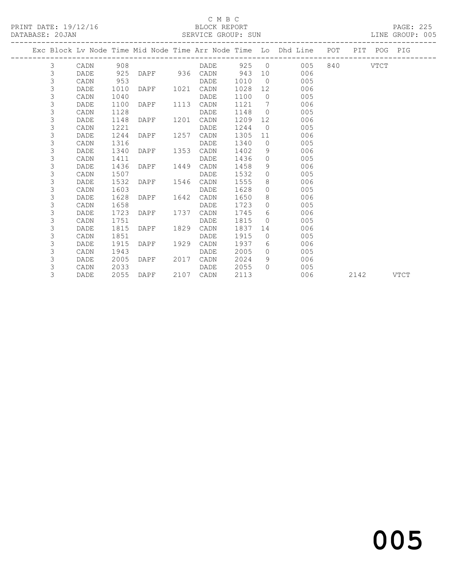### C M B C<br>BLOCK REPORT

### SERVICE GROUP: SUN

|  |                |      |      |                   |      |      |        |                | Exc Block Lv Node Time Mid Node Time Arr Node Time Lo Dhd Line POT |          | PIT POG PIG |  |
|--|----------------|------|------|-------------------|------|------|--------|----------------|--------------------------------------------------------------------|----------|-------------|--|
|  | 3              | CADN | 908  |                   |      | DADE |        |                | 925 0<br>005                                                       | 840 VTCT |             |  |
|  | 3              | DADE | 925  | DAPF 936 CADN 943 |      |      |        |                | 10 006                                                             |          |             |  |
|  | 3              | CADN | 953  |                   |      | DADE | 1010   |                | $\overline{0}$<br>005                                              |          |             |  |
|  | 3              | DADE | 1010 | DAPF 1021         |      | CADN | 1028   | 12             | 006                                                                |          |             |  |
|  | 3              | CADN | 1040 |                   |      | DADE | 1100   |                | 005<br>$\overline{0}$                                              |          |             |  |
|  | $\mathfrak{Z}$ | DADE | 1100 | DAPF              | 1113 | CADN | 1121 7 |                | 006                                                                |          |             |  |
|  | 3              | CADN | 1128 |                   |      | DADE | 1148   |                | $\Omega$<br>005                                                    |          |             |  |
|  | 3              | DADE | 1148 | DAPF              | 1201 | CADN | 1209   | 12             | 006                                                                |          |             |  |
|  | 3              | CADN | 1221 |                   |      | DADE | 1244   | $\overline{0}$ | 005                                                                |          |             |  |
|  | 3              | DADE | 1244 | DAPF              | 1257 | CADN | 1305   | 11             | 006                                                                |          |             |  |
|  | 3              | CADN | 1316 |                   |      | DADE | 1340   |                | $\overline{0}$<br>005                                              |          |             |  |
|  | 3              | DADE | 1340 | DAPF              | 1353 | CADN | 1402   | - 9            | 006                                                                |          |             |  |
|  | 3              | CADN | 1411 |                   |      | DADE | 1436   | $\overline{0}$ | 005                                                                |          |             |  |
|  | 3              | DADE | 1436 | DAPF              | 1449 | CADN | 1458   | 9              | 006                                                                |          |             |  |
|  | 3              | CADN | 1507 |                   |      | DADE | 1532   |                | $\Omega$<br>005                                                    |          |             |  |
|  | 3              | DADE | 1532 | DAPF              | 1546 | CADN | 1555   | 8              | 006                                                                |          |             |  |
|  | 3              | CADN | 1603 |                   |      | DADE | 1628   | $\Omega$       | 005                                                                |          |             |  |
|  | 3              | DADE | 1628 | DAPF              | 1642 | CADN | 1650   | 8 <sup>8</sup> | 006                                                                |          |             |  |
|  | 3              | CADN | 1658 |                   |      | DADE | 1723   |                | $\bigcirc$<br>005                                                  |          |             |  |
|  | 3              | DADE | 1723 | DAPF              | 1737 | CADN | 1745   | 6              | 006                                                                |          |             |  |
|  | 3              | CADN | 1751 |                   |      | DADE | 1815   | $\Omega$       | 005                                                                |          |             |  |
|  | 3              | DADE | 1815 | DAPF              | 1829 | CADN | 1837   | 14             | 006                                                                |          |             |  |
|  | 3              | CADN | 1851 |                   |      | DADE | 1915   |                | $\Omega$<br>005                                                    |          |             |  |
|  | 3              | DADE | 1915 | DAPF              | 1929 | CADN | 1937   | 6              | 006                                                                |          |             |  |
|  | 3              | CADN | 1943 |                   |      | DADE | 2005   | $\Omega$       | 005                                                                |          |             |  |
|  | 3              | DADE | 2005 | DAPF              | 2017 | CADN | 2024   | 9              | 006                                                                |          |             |  |
|  | 3              | CADN | 2033 |                   |      | DADE | 2055   | $\Omega$       | 005                                                                |          |             |  |

3 DADE 2055 DAPF 2107 CADN 2113 006 2142 VTCT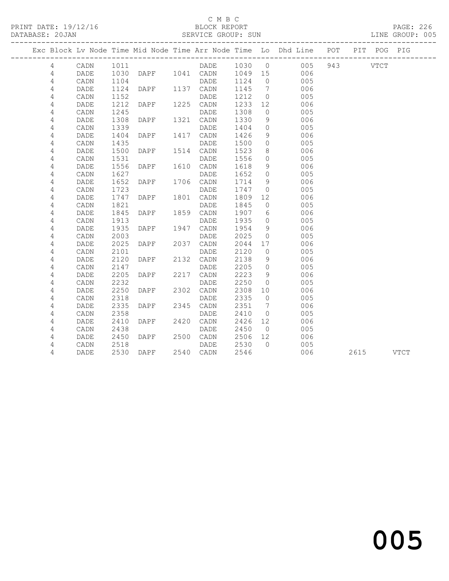### C M B C<br>BLOCK REPORT

PAGE: 226<br>LINE GROUP: 005

|                |      |              |                |      |                                       |      |                 | Exc Block Lv Node Time Mid Node Time Arr Node Time Lo Dhd Line POT PIT POG PIG |           |  |
|----------------|------|--------------|----------------|------|---------------------------------------|------|-----------------|--------------------------------------------------------------------------------|-----------|--|
| 4              | CADN | 1011         |                |      |                                       |      |                 | DADE 1030 0 005                                                                | 943 VTCT  |  |
| 4              | DADE |              |                |      | DAPF 1041 CADN 1049 15<br>DADE 1124 0 |      |                 | 006                                                                            |           |  |
| $\overline{4}$ | CADN | 1030<br>1104 |                |      |                                       |      |                 | 005                                                                            |           |  |
| 4              | DADE | 1124         | <b>DAPF</b>    |      | 1137 CADN                             | 1145 | $\overline{7}$  | 006                                                                            |           |  |
| 4              | CADN | 1152         |                |      | DADE                                  | 1212 | $\overline{0}$  | 005                                                                            |           |  |
| 4              | DADE | 1212         | <b>DAPF</b>    |      | 1225 CADN                             | 1233 | 12              | 006                                                                            |           |  |
| 4              | CADN | 1245         |                |      | DADE                                  | 1308 | $\overline{0}$  | 005                                                                            |           |  |
| 4              | DADE | 1308         | DAPF           |      | 1321 CADN                             | 1330 | 9               | 006                                                                            |           |  |
| 4              | CADN | 1339         |                |      | DADE                                  | 1404 | $\overline{0}$  | 005                                                                            |           |  |
| 4              | DADE | 1404         | DAPF           |      | 1417 CADN                             | 1426 | 9               | 006                                                                            |           |  |
| 4              | CADN | 1435         |                |      | DADE                                  | 1500 | $\overline{0}$  | 005                                                                            |           |  |
| 4              | DADE | 1500         | DAPF           |      | 1514 CADN                             | 1523 | 8               | 006                                                                            |           |  |
| 4              | CADN | 1531         |                |      | DADE                                  | 1556 | $\circ$         | 005                                                                            |           |  |
| $\sqrt{4}$     | DADE | 1556         | DAPF           |      | 1610 CADN                             | 1618 | 9               | 006                                                                            |           |  |
| 4              | CADN | 1627         |                |      | DADE                                  | 1652 | $\overline{0}$  | 005                                                                            |           |  |
| 4              | DADE | 1652         | DAPF           |      | 1706 CADN                             | 1714 | $\overline{9}$  | 006                                                                            |           |  |
| 4              | CADN | 1723         |                |      | DADE                                  | 1747 | $\overline{0}$  | 005                                                                            |           |  |
| 4              | DADE | 1747         | DAPF           |      | 1801 CADN                             | 1809 | 12              | 006                                                                            |           |  |
| 4              | CADN | 1821         |                |      | DADE                                  | 1845 | $\overline{0}$  | 005                                                                            |           |  |
| 4              | DADE | 1845         | DAPF           |      | 1859 CADN                             | 1907 | 6               | 006                                                                            |           |  |
| 4              | CADN | 1913         |                |      | DADE                                  | 1935 | $\overline{0}$  | 005                                                                            |           |  |
| $\sqrt{4}$     | DADE | 1935         | DAPF           |      | 1947 CADN                             | 1954 | 9               | 006                                                                            |           |  |
| 4              | CADN | 2003         |                |      | DADE                                  | 2025 | $\overline{0}$  | 005                                                                            |           |  |
| 4              | DADE | 2025         | DAPF           |      | 2037 CADN                             | 2044 | 17              | 006                                                                            |           |  |
| 4              | CADN | 2101         |                |      | DADE                                  | 2120 | $\overline{0}$  | 005                                                                            |           |  |
| 4              | DADE | 2120         | DAPF           |      | 2132 CADN                             | 2138 | 9               | 006                                                                            |           |  |
| 4              | CADN | 2147         |                |      | DADE                                  | 2205 | $\overline{0}$  | 005                                                                            |           |  |
| 4              | DADE | 2205         | DAPF           |      | 2217 CADN                             | 2223 | $\overline{9}$  | 006                                                                            |           |  |
| 4              | CADN | 2232         |                |      | DADE                                  | 2250 | $\overline{0}$  | 005                                                                            |           |  |
| 4              | DADE | 2250         | DAPF           | 2302 | CADN                                  | 2308 | 10              | 006                                                                            |           |  |
| $\sqrt{4}$     | CADN | 2318         |                |      | DADE                                  | 2335 | $\overline{0}$  | 005                                                                            |           |  |
| 4              | DADE | 2335         | DAPF           |      | 2345 CADN                             | 2351 | $7\overline{ }$ | 006                                                                            |           |  |
| 4              | CADN | 2358         |                |      | DADE                                  | 2410 | $\overline{0}$  | 005                                                                            |           |  |
| 4              | DADE | 2410         | DAPF           |      | 2420 CADN                             | 2426 | 12              | 006                                                                            |           |  |
| 4              | CADN | 2438         |                |      | DADE                                  | 2450 | $\overline{0}$  | 005                                                                            |           |  |
| 4              | DADE | 2450         | DAPF 2500 CADN |      |                                       | 2506 | 12              | 006                                                                            |           |  |
| 4              | CADN | 2518         |                |      | DADE                                  | 2530 | $\bigcirc$      | 005                                                                            |           |  |
| 4              | DADE |              | 2530 DAPF      |      | 2540 CADN                             | 2546 |                 | 006                                                                            | 2615 VTCT |  |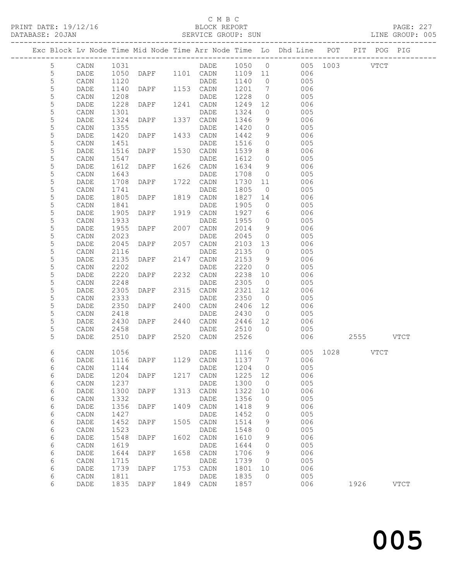### C M B C<br>BLOCK REPORT

6 CADN 1811 DADE 1835 0 005

6 DADE 1835 DAPF 1849 CADN 1857 006 1926 VTCT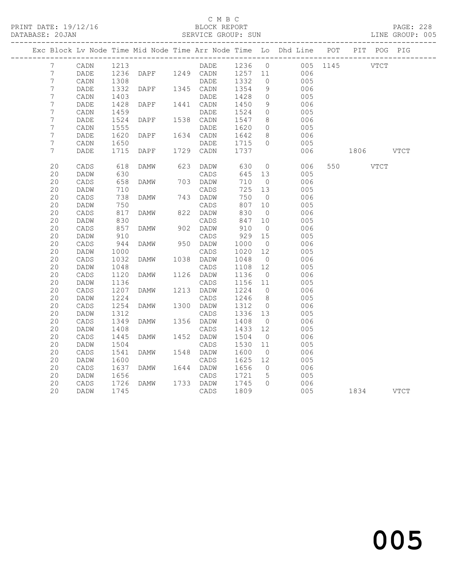### C M B C<br>BLOCK REPORT

| DATABASE: 20JAN |                  |                 |      |                |      | SERVICE GROUP: SUN       |         |                 |                                                                                |                   |      |             | LINE GROUP: 005 |
|-----------------|------------------|-----------------|------|----------------|------|--------------------------|---------|-----------------|--------------------------------------------------------------------------------|-------------------|------|-------------|-----------------|
|                 |                  |                 |      |                |      | ________________________ |         |                 | Exc Block Lv Node Time Mid Node Time Arr Node Time Lo Dhd Line POT PIT POG PIG | ----------------- |      |             |                 |
|                 | 7                | CADN            | 1213 |                |      | DADE                     | 1236 0  |                 |                                                                                | 005 1145          |      | <b>VTCT</b> |                 |
|                 | $7\phantom{.0}$  | DADE            | 1236 | DAPF           |      | 1249 CADN                | 1257 11 |                 | 006                                                                            |                   |      |             |                 |
|                 | 7                | $\mathtt{CADN}$ | 1308 |                |      | DADE                     | 1332    | $\circ$         | 005                                                                            |                   |      |             |                 |
|                 | $\overline{7}$   | DADE            | 1332 | DAPF 1345 CADN |      |                          | 1354    | 9               | 006                                                                            |                   |      |             |                 |
|                 | $\boldsymbol{7}$ | CADN            | 1403 |                |      | DADE                     | 1428    | $\circ$         | 005                                                                            |                   |      |             |                 |
|                 | $\boldsymbol{7}$ | DADE            | 1428 | DAPF           |      | 1441 CADN                | 1450    | 9               | 006                                                                            |                   |      |             |                 |
|                 | 7                | $\mathtt{CADN}$ | 1459 |                |      | DADE                     | 1524    | $\circ$         | 005                                                                            |                   |      |             |                 |
|                 | $\boldsymbol{7}$ | DADE            | 1524 | DAPF           |      | 1538 CADN                | 1547    | 8               | 006                                                                            |                   |      |             |                 |
|                 | $\boldsymbol{7}$ | CADN            | 1555 |                |      | DADE                     | 1620    | $\overline{0}$  | 005                                                                            |                   |      |             |                 |
|                 | 7                | DADE            | 1620 | DAPF           |      | 1634 CADN                | 1642    | 8               | 006                                                                            |                   |      |             |                 |
|                 | $\boldsymbol{7}$ | CADN            | 1650 |                |      | DADE                     | 1715    | $\Omega$        | 005                                                                            |                   |      |             |                 |
|                 | $\overline{7}$   | DADE            | 1715 | DAPF           | 1729 | CADN                     | 1737    |                 | 006                                                                            |                   |      |             | 1806 VTCT       |
|                 | 20               | CADS            | 618  | DAMW           | 623  | DADW                     | 630     | $\overline{0}$  | 006                                                                            | 550               | VTCT |             |                 |
|                 | 20               | DADW            | 630  |                |      | CADS                     | 645     | 13              | 005                                                                            |                   |      |             |                 |
|                 | 20               | CADS            | 658  | DAMW           |      | 703 DADW                 | 710     | $\overline{0}$  | 006                                                                            |                   |      |             |                 |
|                 | 20               | DADW            | 710  |                |      | CADS                     | 725     | 13              | 005                                                                            |                   |      |             |                 |
|                 | 20               | CADS            | 738  | DAMW           |      | 743 DADW                 | 750     | $\overline{0}$  | 006                                                                            |                   |      |             |                 |
|                 | 20               | DADW            | 750  |                |      | CADS                     | 807     | 10              | 005                                                                            |                   |      |             |                 |
|                 | 20               | $\mathtt{CADS}$ | 817  | DAMW           |      | 822 DADW                 | 830     | $\overline{0}$  | 006                                                                            |                   |      |             |                 |
|                 | 20               | DADW            | 830  |                |      | CADS                     | 847     | 10              | 005                                                                            |                   |      |             |                 |
|                 | 20               | CADS            | 857  | DAMW           |      | 902 DADW                 | 910     | $\overline{0}$  | 006                                                                            |                   |      |             |                 |
|                 | 20               | DADW            | 910  |                |      | CADS                     | 929     | 15              | 005                                                                            |                   |      |             |                 |
|                 | 20               | CADS            | 944  | DAMW           |      | 950 DADW                 | 1000    | $\overline{0}$  | 006                                                                            |                   |      |             |                 |
|                 | 20               | DADW            | 1000 |                |      | CADS                     | 1020    | 12              | 005                                                                            |                   |      |             |                 |
|                 | 20               | $\mathtt{CADS}$ | 1032 | DAMW           |      | 1038 DADW                | 1048    | $\overline{0}$  | 006                                                                            |                   |      |             |                 |
|                 | 20               | DADW            | 1048 |                |      | CADS                     | 1108    | 12 <sup>°</sup> | 005                                                                            |                   |      |             |                 |
|                 | 20               | CADS            | 1120 | DAMW           |      | 1126 DADW                | 1136    | $\overline{0}$  | 006                                                                            |                   |      |             |                 |
|                 | 20               | DADW            | 1136 |                |      | CADS                     | 1156    | 11              | 005                                                                            |                   |      |             |                 |
|                 | 20               | CADS            | 1207 | DAMW           |      | 1213 DADW                | 1224    | $\overline{0}$  | 006                                                                            |                   |      |             |                 |
|                 | 20               | DADW            | 1224 |                |      | CADS                     | 1246    | 8               | 005                                                                            |                   |      |             |                 |
|                 | 20               | $\mathtt{CADS}$ | 1254 | DAMW           |      | 1300 DADW                | 1312    | $\overline{0}$  | 006                                                                            |                   |      |             |                 |
|                 | 20               | DADW            | 1312 |                |      | CADS                     | 1336 13 |                 | 005                                                                            |                   |      |             |                 |
|                 | 20               | CADS            | 1349 | DAMW           |      | 1356 DADW                | 1408    | $\overline{0}$  | 006                                                                            |                   |      |             |                 |
|                 | 20               | DADW            | 1408 |                |      | CADS                     | 1433    | 12 <sup>°</sup> | 005                                                                            |                   |      |             |                 |
|                 | 20               | CADS            | 1445 | DAMW           | 1452 | DADW                     | 1504    | $\overline{0}$  | 006                                                                            |                   |      |             |                 |
|                 | 20               | DADW            | 1504 |                |      | CADS                     | 1530    | 11              | 005                                                                            |                   |      |             |                 |
|                 | 20               | CADS            | 1541 | DAMW           | 1548 | DADW                     | 1600    | $\overline{0}$  | 006                                                                            |                   |      |             |                 |
|                 | 20               | DADW            | 1600 |                |      | CADS                     | 1625    | 12              | 005                                                                            |                   |      |             |                 |
|                 | 20               | CADS            | 1637 | DAMW           |      | 1644 DADW                | 1656    | $\overline{0}$  | 006                                                                            |                   |      |             |                 |
|                 | 20               | DADW            | 1656 |                |      | CADS                     | 1721    | 5               | 005                                                                            |                   |      |             |                 |
|                 | 20               | CADS            | 1726 | DAMW           |      | 1733 DADW                | 1745    | $\circ$         | 006                                                                            |                   |      |             |                 |
|                 | 20               | DADW            | 1745 |                |      | CADS                     | 1809    |                 | 005                                                                            |                   |      |             | 1834 VTCT       |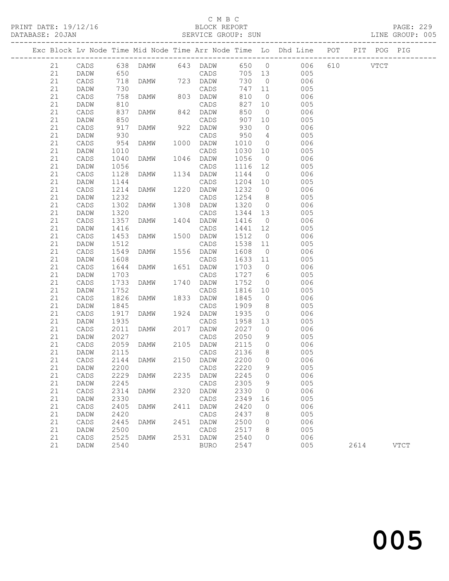PRINT DATE: 19/12/16 BLOCK REPORT BATABASE: 20JAN BLOCK REPORT

### C M B C<br>BLOCK REPORT

PAGE: 229<br>LINE GROUP: 005

|  |    |             |            |                |      |               |         |                 | Exc Block Lv Node Time Mid Node Time Arr Node Time Lo Dhd Line POT |          | PIT POG PIG |             |
|--|----|-------------|------------|----------------|------|---------------|---------|-----------------|--------------------------------------------------------------------|----------|-------------|-------------|
|  | 21 | CADS        |            |                |      |               |         |                 |                                                                    | 610 VTCT |             |             |
|  | 21 | DADW        |            |                |      | CADS          |         |                 |                                                                    |          |             |             |
|  | 21 | CADS        | 718        |                |      | DAMW 723 DADW | 730     | $\overline{0}$  | 006                                                                |          |             |             |
|  | 21 | DADW        | 730        |                |      | CADS          | 747 11  |                 | 005                                                                |          |             |             |
|  | 21 | CADS        | 758        | DAMW           |      | 803 DADW      | 810     | $\overline{0}$  | 006                                                                |          |             |             |
|  | 21 | DADW        | 810        |                |      | CADS          | 827     | 10              | 005                                                                |          |             |             |
|  | 21 | CADS        | 837        | DAMW           |      | 842 DADW      | 850     | $\overline{0}$  | 006                                                                |          |             |             |
|  | 21 | DADW        | 850        |                |      | CADS          | 907     | 10              | 005                                                                |          |             |             |
|  | 21 | CADS        | 917<br>930 | DAMW           |      | 922 DADW      | 930     | $\overline{0}$  | 006                                                                |          |             |             |
|  | 21 | DADW        |            |                |      | CADS          | 950     | $4\overline{4}$ | 005                                                                |          |             |             |
|  | 21 | CADS        | 954        | DAMW           |      | 1000 DADW     | 1010    | $\overline{0}$  | 006                                                                |          |             |             |
|  | 21 | DADW        | 1010       |                |      | CADS          | 1030    | 10              | 005                                                                |          |             |             |
|  | 21 | CADS        | 1040       | DAMW           |      | 1046 DADW     | 1056    | $\overline{0}$  | 006                                                                |          |             |             |
|  | 21 | DADW        | 1056       |                |      | CADS          | 1116    | 12              | 005                                                                |          |             |             |
|  | 21 | CADS        | 1128       | DAMW           |      | 1134 DADW     | 1144    | $\overline{0}$  | 006                                                                |          |             |             |
|  | 21 | DADW        | 1144       |                |      | CADS          | 1204    | 10              | 005                                                                |          |             |             |
|  | 21 | CADS        | 1214       | DAMW           |      | 1220 DADW     | 1232    | $\overline{0}$  | 006                                                                |          |             |             |
|  | 21 | DADW        | 1232       |                |      | CADS          | 1254    | 8 <sup>8</sup>  | 005                                                                |          |             |             |
|  | 21 | CADS        | 1302       | DAMW           |      | 1308 DADW     | 1320    | $\overline{0}$  | 006                                                                |          |             |             |
|  | 21 | DADW        | 1320       |                |      | CADS          | 1344    | 13              | 005                                                                |          |             |             |
|  | 21 | CADS        | 1357       | DAMW           |      | 1404 DADW     | 1416    | $\overline{0}$  | 006                                                                |          |             |             |
|  | 21 | DADW        | 1416       |                |      | CADS          | 1441    | 12              | 005                                                                |          |             |             |
|  | 21 | CADS        | 1453       | DAMW           |      | 1500 DADW     | 1512    | $\overline{0}$  | 006                                                                |          |             |             |
|  | 21 | DADW        | 1512       |                |      | CADS          | 1538    | 11              | 005                                                                |          |             |             |
|  | 21 | CADS        | 1549       | DAMW           |      | 1556 DADW     | 1608    | $\overline{0}$  | 006                                                                |          |             |             |
|  | 21 | DADW        | 1608       |                |      | CADS          | 1633 11 |                 | 005                                                                |          |             |             |
|  | 21 | CADS        | 1644       | DAMW           |      | 1651 DADW     | 1703 0  |                 | 006                                                                |          |             |             |
|  | 21 | DADW        | 1703       |                |      | CADS          | 1727 6  |                 | 005                                                                |          |             |             |
|  | 21 | CADS        | 1733       | DAMW           |      | 1740 DADW     | 1752    | $\overline{0}$  | 006                                                                |          |             |             |
|  | 21 | DADW        | 1752       |                |      | CADS          | 1816    | 10              | 005                                                                |          |             |             |
|  | 21 | CADS        | 1826       | DAMW           |      | 1833 DADW     | 1845    | $\overline{0}$  | 006                                                                |          |             |             |
|  | 21 | DADW        | 1845       |                |      | CADS          | 1909    | 8 <sup>8</sup>  | 005                                                                |          |             |             |
|  | 21 | CADS        | 1917       | DAMW           | 1924 | DADW          | 1935    | $\overline{0}$  | 006                                                                |          |             |             |
|  | 21 | DADW        | 1935       |                |      | CADS          | 1958    | 13              | 005                                                                |          |             |             |
|  | 21 | CADS        | 2011       | DAMW           |      | 2017 DADW     | 2027    | $\overline{0}$  | 006                                                                |          |             |             |
|  | 21 | DADW        | 2027       |                |      | CADS          | 2050    | 9               | 005                                                                |          |             |             |
|  | 21 | CADS        | 2059       | DAMW           |      | 2105 DADW     | 2115    | $\overline{0}$  | 006                                                                |          |             |             |
|  | 21 | DADW        | 2115       |                |      | CADS          | 2136    | 8 <sup>8</sup>  | 005                                                                |          |             |             |
|  | 21 | CADS        | 2144       | DAMW           |      | 2150 DADW     | 2200    | $\overline{0}$  | 006                                                                |          |             |             |
|  | 21 | <b>DADW</b> |            | 2200 CADS 2220 |      |               |         | 9               | 005                                                                |          |             |             |
|  | 21 | CADS        | 2229       | DAMW           |      | 2235 DADW     | 2245    | $\overline{0}$  | 006                                                                |          |             |             |
|  | 21 | DADW        | 2245       |                |      | CADS          | 2305    | 9               | 005                                                                |          |             |             |
|  | 21 | CADS        | 2314       | DAMW           |      | 2320 DADW     | 2330    | $\overline{0}$  | 006                                                                |          |             |             |
|  | 21 | DADW        | 2330       |                |      | CADS          | 2349    | 16              | 005                                                                |          |             |             |
|  | 21 | CADS        | 2405       | <b>DAMW</b>    | 2411 | DADW          | 2420    | 0               | 006                                                                |          |             |             |
|  | 21 | DADW        | 2420       |                |      | CADS          | 2437    | 8               | 005                                                                |          |             |             |
|  | 21 | CADS        | 2445       | DAMW           |      | 2451 DADW     | 2500    | $\overline{0}$  | 006                                                                |          |             |             |
|  | 21 | DADW        | 2500       |                |      | CADS          | 2517    | 8               | 005                                                                |          |             |             |
|  | 21 | CADS        | 2525       | DAMW           |      | 2531 DADW     | 2540    | $\mathbf 0$     | 006                                                                |          |             |             |
|  | 21 | DADW        | 2540       |                |      | BURO          | 2547    |                 | 005                                                                | 2614     |             | <b>VTCT</b> |
|  |    |             |            |                |      |               |         |                 |                                                                    |          |             |             |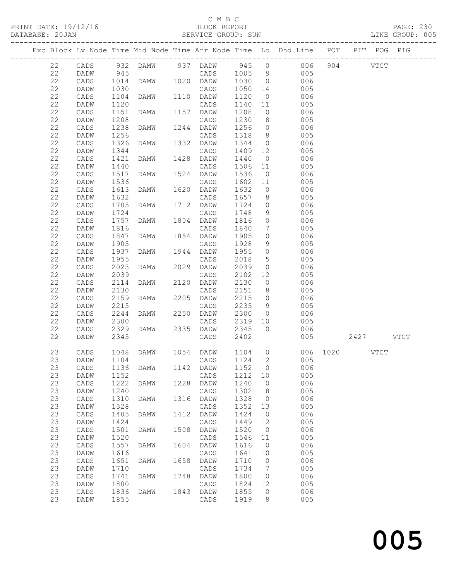### C M B C

PRINT DATE: 19/12/16 BLOCK REPORT PAGE: 230

DATABASE: 20JAN SERVICE GROUP: SUN LINE GROUP: 005 ------------------------------------------------------------------------------------------------- Exc Block Lv Node Time Mid Node Time Arr Node Time Lo Dhd Line POT PIT POG PIG ------------------------------------------------------------------------------------------------- 22 CADS 932 DAMW 937 DADW 945 0 006 904 VTCT 22 DADW 945 CADS 1005 9 005 22 CADS 1014 DAMW 1020 DADW 1030 0 006

|             | ື້              | $+$ $ +$ | _______     |      |                 | $-000$ |                     |     |           |             |
|-------------|-----------------|----------|-------------|------|-----------------|--------|---------------------|-----|-----------|-------------|
| 22          | DADW            | 1030     |             |      | CADS            | 1050   | 14                  | 005 |           |             |
| 22          | CADS            | 1104     | DAMW        | 1110 | DADW            | 1120   | $\circ$             | 006 |           |             |
| 22          | DADW            | 1120     |             |      | CADS            | 1140   | 11                  | 005 |           |             |
| 22          | CADS            | 1151     | DAMW        | 1157 | DADW            | 1208   | $\circ$             | 006 |           |             |
| 22          | DADW            | 1208     |             |      | CADS            | 1230   | 8                   | 005 |           |             |
| 22          | $\mathtt{CADS}$ | 1238     | <b>DAMW</b> | 1244 | DADW            | 1256   | 0                   | 006 |           |             |
| 22          | DADW            | 1256     |             |      | CADS            | 1318   | 8                   | 005 |           |             |
| 22          | CADS            | 1326     | DAMW        | 1332 | DADW            | 1344   | $\circ$             | 006 |           |             |
| 22          | DADW            | 1344     |             |      | CADS            | 1409   | 12                  | 005 |           |             |
| 22          | $\mathtt{CADS}$ | 1421     | DAMW        | 1428 | DADW            | 1440   | $\circ$             | 006 |           |             |
| 22          | DADW            | 1440     |             |      | CADS            | 1506   | 11                  | 005 |           |             |
| 22          | $\mathtt{CADS}$ | 1517     | DAMW        | 1524 | DADW            | 1536   | $\circ$             | 006 |           |             |
| 22          | DADW            | 1536     |             |      | CADS            | 1602   | 11                  | 005 |           |             |
| $2\sqrt{2}$ | CADS            | 1613     | DAMW        | 1620 | DADW            | 1632   | $\circ$             | 006 |           |             |
| 22          |                 | 1632     |             |      |                 |        |                     | 005 |           |             |
|             | DADW            |          |             |      | CADS            | 1657   | 8                   |     |           |             |
| 22          | CADS            | 1705     | DAMW        | 1712 | DADW            | 1724   | 0                   | 006 |           |             |
| 22          | DADW            | 1724     |             |      | CADS            | 1748   | 9                   | 005 |           |             |
| 22          | CADS            | 1757     | DAMW        | 1804 | DADW            | 1816   | $\circ$             | 006 |           |             |
| 22          | DADW            | 1816     |             |      | CADS            | 1840   | 7                   | 005 |           |             |
| 22          | $\mathtt{CADS}$ | 1847     | DAMW        | 1854 | DADW            | 1905   | 0                   | 006 |           |             |
| 22          | <b>DADW</b>     | 1905     |             |      | CADS            | 1928   | 9                   | 005 |           |             |
| 22          | CADS            | 1937     | DAMW        | 1944 | DADW            | 1955   | 0                   | 006 |           |             |
| 22          | DADW            | 1955     |             |      | CADS            | 2018   | 5                   | 005 |           |             |
| 22          | $\mathtt{CADS}$ | 2023     | DAMW        | 2029 | DADW            | 2039   | $\circledcirc$      | 006 |           |             |
| 22          | DADW            | 2039     |             |      | CADS            | 2102   | 12                  | 005 |           |             |
| 22          | CADS            | 2114     | DAMW        | 2120 | DADW            | 2130   | 0                   | 006 |           |             |
| 22          | DADW            | 2130     |             |      | CADS            | 2151   | 8                   | 005 |           |             |
| 22          | $\mathtt{CADS}$ | 2159     | DAMW        | 2205 | DADW            | 2215   | $\circ$             | 006 |           |             |
| 22          | DADW            | 2215     |             |      | CADS            | 2235   | 9                   | 005 |           |             |
| 22          | $\mathtt{CADS}$ | 2244     | DAMW        | 2250 | DADW            | 2300   | $\circ$             | 006 |           |             |
|             |                 |          |             |      |                 |        |                     |     |           |             |
| 22          | DADW            | 2300     |             |      | CADS            | 2319   | 10                  | 005 |           |             |
| 22          | CADS            | 2329     | DAMW        | 2335 | DADW            | 2345   | $\circ$             | 006 |           |             |
| 22          | DADW            | 2345     |             |      | CADS            | 2402   |                     | 005 | 2427      | <b>VTCT</b> |
|             |                 |          |             |      |                 |        |                     |     |           |             |
| 23          | CADS            | 1048     | DAMW        | 1054 | DADW            | 1104   | $\circ$             | 006 | 1020 VTCT |             |
| 23          | DADW            | 1104     |             |      | CADS            | 1124   | 12                  | 005 |           |             |
| 23          | $\mathtt{CADS}$ | 1136     | <b>DAMW</b> | 1142 | DADW            | 1152   | $\circ$             | 006 |           |             |
| 23          | DADW            | 1152     |             |      | CADS            | 1212   | 10                  | 005 |           |             |
| 23          | CADS            | 1222     | DAMW        | 1228 | DADW            | 1240   | 0                   | 006 |           |             |
| 23          | DADW            | 1240     |             |      | CADS            | 1302   | 8                   | 005 |           |             |
| 23          | CADS            | 1310     | DAMW        | 1316 | DADW            | 1328   | $\circ$             | 006 |           |             |
| 23          | <b>DADW</b>     | 1328     |             |      | CADS            | 1352   | 13                  | 005 |           |             |
| 23          | CADS            | 1405     | <b>DAMW</b> | 1412 | DADW            | 1424   | 0                   | 006 |           |             |
| 23          | DADW            | 1424     |             |      | CADS            | 1449   | 12                  | 005 |           |             |
| 23          | CADS            | 1501     | DAMW        | 1508 | DADW            | 1520   | $\mathbb O$         | 006 |           |             |
| 23          | DADW            | 1520     |             |      | CADS            | 1546   | 11                  | 005 |           |             |
| 23          | CADS            | 1557     | DAMW        | 1604 | DADW            | 1616   | $\circ$             | 006 |           |             |
| 23          | DADW            | 1616     |             |      | $\mathtt{CADS}$ | 1641   | 10                  | 005 |           |             |
|             |                 |          |             |      |                 |        |                     | 006 |           |             |
| 23          | $\mathtt{CADS}$ | 1651     | DAMW        | 1658 | DADW            | 1710   | $\mathbb O$         |     |           |             |
| 23          | DADW            | 1710     |             |      | CADS            | 1734   | 7                   | 005 |           |             |
| 23          | CADS            | 1741     | DAMW        | 1748 | DADW            | 1800   | $\mathsf{O}\xspace$ | 006 |           |             |
| 23          | DADW            | 1800     |             |      | CADS            | 1824   | 12                  | 005 |           |             |
| 23          | CADS            | 1836     | DAMW        | 1843 | DADW            | 1855   | $\mathsf{O}\xspace$ | 006 |           |             |
| 23          | DADW            | 1855     |             |      | CADS            | 1919   | 8                   | 005 |           |             |
|             |                 |          |             |      |                 |        |                     |     |           |             |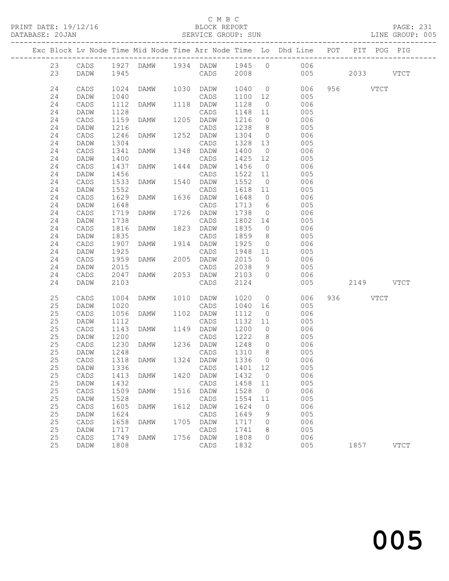### C M B C<br>BLOCK REPORT

| DATABASE: 20JAN |          |              |              |                |      |                       |              |                                   | SERVICE GROUP: SUN                                                             |           | LINE GROUP: 005 |  |
|-----------------|----------|--------------|--------------|----------------|------|-----------------------|--------------|-----------------------------------|--------------------------------------------------------------------------------|-----------|-----------------|--|
|                 |          |              |              |                |      |                       |              |                                   | Exc Block Lv Node Time Mid Node Time Arr Node Time Lo Dhd Line POT PIT POG PIG |           |                 |  |
|                 |          |              |              |                |      |                       |              |                                   | 23 CADS 1927 DAMW 1934 DADW 1945 0 006                                         |           |                 |  |
|                 | 23       | DADW         | 1945         |                |      |                       |              |                                   | CADS 2008 005 2033 VTCT                                                        |           |                 |  |
|                 | 24       | CADS         | 1024         |                |      | DAMW 1030 DADW 1040 0 |              |                                   | 006                                                                            | 956 VTCT  |                 |  |
|                 | 24       | DADW         | 1040         |                |      | CADS                  | 1100 12      |                                   | 005                                                                            |           |                 |  |
|                 | 24       | CADS         | 1112         | DAMW           |      | 1118 DADW             | 1128         |                                   | 006<br>$\overline{0}$                                                          |           |                 |  |
|                 | 24       | DADW         | 1128         |                |      | CADS                  | 1148         | 11                                | 005                                                                            |           |                 |  |
|                 | 24       | CADS         | 1159         | DAMW           |      | 1205 DADW             | 1216         | $\overline{0}$                    | 006                                                                            |           |                 |  |
|                 | 24       | DADW         | 1216         |                |      | CADS                  | 1238         | 8 <sup>8</sup>                    | 005                                                                            |           |                 |  |
|                 | 24       | CADS         | 1246         | <b>DAMW</b>    |      | 1252 DADW             | 1304         | $\overline{0}$                    | 006                                                                            |           |                 |  |
|                 | 24       | DADW         | 1304         |                |      | CADS                  | 1328         | 13                                | 005                                                                            |           |                 |  |
|                 | 24       | CADS         | 1341         | DAMW           |      | 1348 DADW             | 1400         | $\overline{0}$                    | 006                                                                            |           |                 |  |
|                 | 24       | DADW         | 1400         |                |      | CADS                  | 1425         | 12                                | 005                                                                            |           |                 |  |
|                 | 24       | CADS         | 1437         | DAMW           |      | 1444 DADW             | 1456         | $\overline{0}$                    | 006                                                                            |           |                 |  |
|                 | 24       | DADW         | 1456         |                |      | CADS                  | 1522         | 11                                | 005                                                                            |           |                 |  |
|                 | 24       | CADS         | 1533         | DAMW           |      | 1540 DADW             | 1552         | $\overline{0}$                    | 006                                                                            |           |                 |  |
|                 | 24       | DADW         | 1552         | <b>DAMW</b>    |      | CADS<br>1636 DADW     | 1618 11      |                                   | 005                                                                            |           |                 |  |
|                 | 24<br>24 | CADS         | 1629<br>1648 |                |      |                       | 1648<br>1713 | $\overline{0}$<br>$6\overline{6}$ | 006                                                                            |           |                 |  |
|                 | 24       | DADW<br>CADS | 1719         | DAMW           |      | CADS<br>1726 DADW     | 1738         | $\overline{0}$                    | 005<br>006                                                                     |           |                 |  |
|                 | 24       | DADW         | 1738         |                |      | CADS                  | 1802 14      |                                   | 005                                                                            |           |                 |  |
|                 | 24       | CADS         | 1816         | DAMW           |      | 1823 DADW             | 1835         | $\overline{0}$                    | 006                                                                            |           |                 |  |
|                 | 24       | DADW         | 1835         |                |      | CADS                  | 1859         | 8 <sup>8</sup>                    | 005                                                                            |           |                 |  |
|                 | 24       | CADS         | 1907         | DAMW           |      | 1914 DADW             | 1925         | $\overline{0}$                    | 006                                                                            |           |                 |  |
|                 | 24       | DADW         | 1925         |                |      | CADS                  | 1948 11      |                                   | 005                                                                            |           |                 |  |
|                 | 24       | CADS         | 1959         | DAMW           |      | 2005 DADW             | 2015         |                                   | $\overline{0}$<br>006                                                          |           |                 |  |
|                 | 24       | DADW         | 2015         |                |      | CADS                  | 2038         | 9                                 | 005                                                                            |           |                 |  |
|                 | 24       | CADS         | 2047         | DAMW           |      | 2053 DADW             | 2103         | $\bigcirc$                        | 006                                                                            |           |                 |  |
|                 | 24       | DADW         | 2103         |                |      | CADS                  | 2124         |                                   | 005                                                                            | 2149 VTCT |                 |  |
|                 | 25       | CADS         | 1004         | DAMW 1010 DADW |      |                       | 1020         | $\overline{0}$                    | 006                                                                            | 936 VTCT  |                 |  |
|                 | 25       | DADW         | 1020         |                |      | CADS                  | 1040         | 16                                | 005                                                                            |           |                 |  |
|                 | 25       | CADS         | 1056         | DAMW           |      | 1102 DADW             | 1112         | $\overline{0}$                    | 006                                                                            |           |                 |  |
|                 | 25       | DADW         | 1112         |                |      | CADS                  | 1132         | 11                                | 005                                                                            |           |                 |  |
|                 | 25       | CADS         | 1143         | <b>DAMW</b>    |      | 1149 DADW             | 1200         | $\overline{0}$                    | 006                                                                            |           |                 |  |
|                 | 25       | DADW         | 1200         |                |      | CADS                  | 1222         | 8 <sup>8</sup>                    | 005                                                                            |           |                 |  |
|                 | 25       | CADS         | 1230<br>1248 | <b>DAMW</b>    |      | 1236 DADW             | 1248         | $\overline{0}$                    | 006                                                                            |           |                 |  |
|                 | 25       | DADW         |              |                |      | CADS                  | 1310         | 8 <sup>8</sup>                    | 005                                                                            |           |                 |  |
|                 | 25       |              |              |                |      |                       |              |                                   | CADS 1318 DAMW 1324 DADW 1336 0 006                                            |           |                 |  |
|                 | 25       | DADW         | 1336         |                |      | CADS                  | 1401         | 12                                | 005                                                                            |           |                 |  |
|                 | 25       | CADS         | 1413         | DAMW           | 1420 | DADW                  | 1432         | $\overline{0}$                    | 006                                                                            |           |                 |  |
|                 | 25       | DADW         | 1432         |                |      | CADS                  | 1458         | 11                                | 005                                                                            |           |                 |  |
|                 | 25       | CADS         | 1509         | DAMW           | 1516 | DADW                  | 1528         | $\overline{0}$                    | 006                                                                            |           |                 |  |
|                 | $25\,$   | DADW         | 1528         |                |      | CADS                  | 1554         | 11                                | 005                                                                            |           |                 |  |
|                 | 25       | CADS         | 1605         | DAMW           | 1612 | DADW                  | 1624         | 0                                 | 006                                                                            |           |                 |  |
|                 | 25       | DADW         | 1624         |                |      | $\mathtt{CADS}$       | 1649         | 9                                 | 005                                                                            |           |                 |  |
|                 | 25       | CADS         | 1658         | DAMW           | 1705 | DADW                  | 1717         | 0                                 | 006                                                                            |           |                 |  |
|                 | 25<br>25 | DADW         | 1717<br>1749 |                |      | CADS                  | 1741         | 8<br>$\Omega$                     | 005<br>006                                                                     |           |                 |  |
|                 | 25       | CADS<br>DADW | 1808         | DAMW           |      | 1756 DADW<br>CADS     | 1808<br>1832 |                                   | 005                                                                            | 1857      | <b>VTCT</b>     |  |
|                 |          |              |              |                |      |                       |              |                                   |                                                                                |           |                 |  |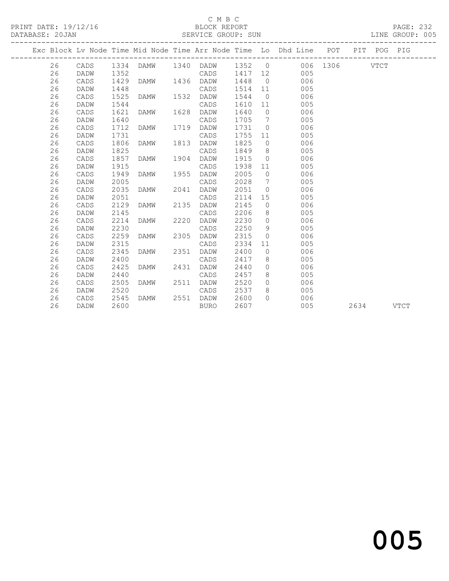### C M B C

PRINT DATE: 19/12/16 BLOCK REPORT PAGE: 232 DATABASE: 20JAN SERVICE GROUP: SUN ------------------------------------------------------------------------------------------------- Exc Block Lv Node Time Mid Node Time Arr Node Time Lo Dhd Line POT PIT POG PIG ------------------------------------------------------------------------------------------------- 26 CADS 1334 DAMW 1340 DADW 1352 0 006 1306 VTCT 26 DADW 1352 CADS 1429 DAMW 1436 DADW 1448 0 006<br>26 DADW 1448 1436 DADW 1448 0 006<br>26 DADW 1448 CADS 1514 11 005 26 CADS 1429 DAMW 1436 DADW 1448 0 006 26 DADW 1448 CADS 1514 11 005 26 CADS 1525 DAMW 1532 DADW 1544 0 006 26 DADW 1544 CADS 1610 11 005 26 CADS 1621 DAMW 1628 DADW 1640 0 006 26 DADW 1640 CADS 1705 7 005 26 CADS 1712 DAMW 1719 DADW 1731 0 006 26 DADW 1731 CADS 1755 11 005 26 CADS 1806 DAMW 1813 DADW 1825 0 006 26 DADW 1825 CADS 1849 8 005 26 CADS 1857 DAMW 1904 DADW 1915 0 006 26 DADW 1915 CADS 1938 11 005 26 CADS 1949 DAMW 1955 DADW 2005 0 006 26 DADW 2005 CADS 2028 7 005 26 CADS 2035 DAMW 2041 DADW 2051 0 006 26 DADW 2051 CADS 2114 15 005 26 CADS 2129 DAMW 2135 DADW 2145 0 006 26 DADW 2145 CADS 2206 8 005 26 CADS 2129 DAMW 2135 DADW 2145 0 006<br>26 DADW 2145 CADS 2206 8 005<br>26 CADS 2214 DAMW 2220 DADW 2230 0 006<br>26 DADW 2230 CADS 2250 9 005<br>26 CADS 2259 DAMW 2305 DADW 2315 0 006 26 DADW 2230 CADS 2250 9 005 26 CADS 2259 DAMW 2305 DADW 2315 0 006 26 DADW 2315 CADS 2334 11 005 26 CADS 2345 DAMW 2351 DADW 2400 0 006 26 DADW 2400 CADS 2417 8 005 26 CADS 2425 DAMW 2431 DADW 2440 0 006 26 DADW 2440 CADS 2457 8 005 26 CADS 2505 DAMW 2511 DADW 2520 0 006 26 DADW 2520 CADS 2537 8 005 26 CADS 2545 DAMW 2551 DADW 2600 0 006

26 DADW 2600 BURO 2607 005 2634 VTCT

# and the contract of  $\sim$  005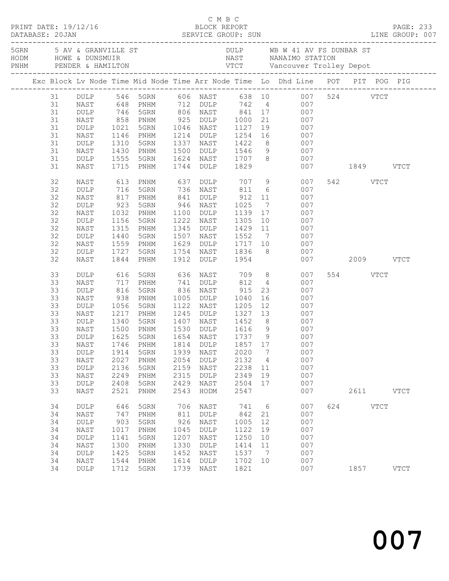| PRINT DATE: 19/12/16<br>DATABASE: 20JAN |                                                                                        |                                                                                                                                        |                                                                                  |                                                                                                                                                                                         |                                                                   |                                                                                     |                                                                    |                                                         |                                                                                                                                                                                                                                                                                                      |     |                           | C M B C<br>BLOCK REPORT BLOCK REPORT PAGE: 233<br>SERVICE GROUP: SUN LINE GROUP: 007                                                                                                            |
|-----------------------------------------|----------------------------------------------------------------------------------------|----------------------------------------------------------------------------------------------------------------------------------------|----------------------------------------------------------------------------------|-----------------------------------------------------------------------------------------------------------------------------------------------------------------------------------------|-------------------------------------------------------------------|-------------------------------------------------------------------------------------|--------------------------------------------------------------------|---------------------------------------------------------|------------------------------------------------------------------------------------------------------------------------------------------------------------------------------------------------------------------------------------------------------------------------------------------------------|-----|---------------------------|-------------------------------------------------------------------------------------------------------------------------------------------------------------------------------------------------|
|                                         |                                                                                        |                                                                                                                                        |                                                                                  |                                                                                                                                                                                         |                                                                   |                                                                                     |                                                                    |                                                         |                                                                                                                                                                                                                                                                                                      |     |                           | 5 AV & GRANVILLE ST AN UNIVERSITY AND WE WE WE SUIND STATION AND HOWE & DUNSMUIR<br>FRIME TRIME TRIME PENDER & HAMILTON TENDER & HAMILTON TENDER & HAMILTON TENDER & HAMILTON TENDER & HAMILTON |
|                                         |                                                                                        |                                                                                                                                        |                                                                                  |                                                                                                                                                                                         |                                                                   |                                                                                     |                                                                    |                                                         | Exc Block Lv Node Time Mid Node Time Arr Node Time Lo Dhd Line POT PIT POG PIG                                                                                                                                                                                                                       |     |                           |                                                                                                                                                                                                 |
|                                         | 31<br>31<br>31<br>31<br>31<br>31<br>31<br>31<br>31<br>32                               | NAST<br>NAST<br>DULP<br>NAST<br>DULP<br>NAST<br>NAST                                                                                   | 1310                                                                             | 1146 PNHM<br>5GRN<br>1430 PNHM<br>1555 5GRN<br>1715 PNHM                                                                                                                                |                                                                   |                                                                                     | 1744 DULP 1829                                                     |                                                         | 31 DULP 546 5GRN 606 NAST 638 10 007 524 VTCT<br>648 PNHM 712 DULP 742 4 007<br>007 746 746 765 806 77 746 766 81<br>1000 71 746 768 81 825 701<br>1000 71 7021 7021 7031 1046 7887 7127 712<br>1214 DULP 1254 16 007<br>1337 NAST 1422 8 007<br>1500 DULP 1546 9 007<br>1624 NAST 1707 8 007<br>007 |     | 007 1849 VTCT<br>542 VTCT |                                                                                                                                                                                                 |
|                                         | 32<br>32<br>32<br>32<br>32<br>32<br>32<br>32<br>32<br>32                               | DULP<br>NAST<br>DULP<br>NAST<br>$\texttt{DULP}$<br>NAST<br>DULP<br>NAST<br>DULP<br>NAST                                                | 923<br>1315<br>1440                                                              | 613 PNHM      637 DULP      707    9<br>716   5GRN       736   NAST       811    6<br>817 PNHM<br>5GRN<br>1032 PNHM<br>1156 5GRN<br>PNHM<br>5GRN<br>1559 PNHM<br>1727 5GRN<br>1844 PNHM | 841                                                               | 946 NAST<br>1100 DULP<br>1222 NAST                                                  | DULP 912 11<br>1025<br>1507 NAST 1552                              |                                                         | 007<br>007<br>$7\overline{ }$<br>007<br>1139  17  007<br>1305  10  007<br>1345 DULP 1429 11 007<br>7 007<br>1629 DULP 1717 10 007<br>1754 NAST 1836 8 007<br>1912 DULP 1954 007<br>007                                                                                                               |     | 007 2009 VTCT             |                                                                                                                                                                                                 |
|                                         | 33<br>33<br>33<br>33<br>33<br>33<br>33<br>33<br>33<br>33<br>33<br>33<br>33<br>33<br>33 | DULP<br>NAST<br>$\texttt{DULP}$<br>NAST<br>DULP<br>NAST<br>DULP<br>NAST<br><b>DULP</b><br>DULP<br>NAST<br>DULP<br>NAST<br>DULP<br>NAST | 616<br>717<br>816<br>938<br>1056<br>1914<br>2027<br>2136<br>2249<br>2408<br>2521 | 5GRN<br>PNHM<br>5GRN<br>PNHM<br>5GRN<br>1217 PNHM<br>1340 5GRN<br>5GRN<br>1500 PNHM<br>1625 5GRN<br>5GRN<br>PNHM<br>5GRN<br>PNHM<br>5GRN<br>PNHM                                        | 1939<br>2054<br>2159<br>2315<br>2429<br>2543                      | 836 NAST<br>1005 DULP<br>NAST<br><b>DULP</b><br>NAST<br><b>DULP</b><br>NAST<br>HODM | 915<br>1040<br>2020<br>2132<br>2238<br>2349<br>2504<br>2547        | $7\phantom{.0}$<br>$\overline{4}$<br>11<br>19<br>17     | 23<br>007<br>007<br>1122 NAST 1205 12 007<br>1245 DULP 1327 13 007<br>1407 NAST 1452 8 007<br>1530 DULP 1616 9 007<br>1654 NAST 1737 9 007<br>33 NAST 1746 PNHM 1814 DULP 1857 17 007<br>007<br>007<br>007<br>007<br>007<br>007                                                                      |     | 554 VTCT<br>2611          | <b>VTCT</b>                                                                                                                                                                                     |
|                                         | 34<br>34<br>34<br>34<br>34<br>34<br>34<br>34<br>34                                     | DULP<br>NAST<br>$\texttt{DULP}$<br>NAST<br>DULP<br>NAST<br>$\texttt{DULP}$<br>NAST<br>DULP                                             | 646<br>747<br>903<br>1017<br>1141<br>1300<br>1425<br>1544<br>1712                | 5GRN<br>PNHM<br>5GRN<br>PNHM<br>5GRN<br>PNHM<br>5GRN<br>PNHM<br>5GRN                                                                                                                    | 706<br>811<br>926<br>1045<br>1207<br>1330<br>1452<br>1614<br>1739 | NAST<br>DULP<br>NAST<br>DULP<br>NAST<br>DULP<br>NAST<br><b>DULP</b><br>NAST         | 741<br>842<br>1005<br>1122<br>1250<br>1414<br>1537<br>1702<br>1821 | 6<br>21<br>12<br>19<br>10<br>11<br>$\overline{7}$<br>10 | 007<br>007<br>007<br>007<br>007<br>007<br>007<br>007<br>007                                                                                                                                                                                                                                          | 624 | $_{\rm VTCT}$<br>1857     | <b>VTCT</b>                                                                                                                                                                                     |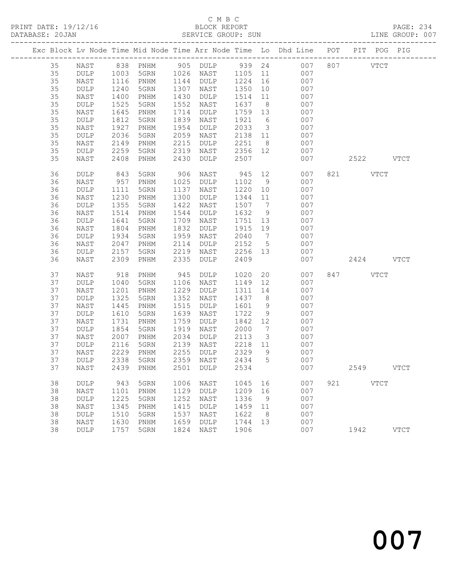# C M B C<br>BLOCK REPORT

PAGE: 234<br>LINE GROUP: 007

|  |    |                 |      |                              |      |                 |      |                 | Exc Block Lv Node Time Mid Node Time Arr Node Time Lo Dhd Line POT |     | PIT POG PIG |               |               |
|--|----|-----------------|------|------------------------------|------|-----------------|------|-----------------|--------------------------------------------------------------------|-----|-------------|---------------|---------------|
|  | 35 | NAST            | 838  | PNHM                         | 905  | $\texttt{DULP}$ | 939  | 24              | 007                                                                | 807 |             | $_{\rm VTCT}$ |               |
|  | 35 | <b>DULP</b>     | 1003 | 5GRN                         | 1026 | NAST            | 1105 | 11              | 007                                                                |     |             |               |               |
|  | 35 | NAST            | 1116 | PNHM                         | 1144 | DULP            | 1224 | 16              | 007                                                                |     |             |               |               |
|  | 35 | DULP            | 1240 | 5GRN                         | 1307 | NAST            | 1350 | 10              | 007                                                                |     |             |               |               |
|  | 35 | NAST            | 1400 | PNHM                         | 1430 | DULP            | 1514 | 11              | 007                                                                |     |             |               |               |
|  | 35 | DULP            | 1525 | 5GRN                         | 1552 | NAST            | 1637 | 8               | 007                                                                |     |             |               |               |
|  | 35 | NAST            | 1645 | PNHM                         | 1714 | DULP            | 1759 | 13              | 007                                                                |     |             |               |               |
|  | 35 | $\texttt{DULP}$ | 1812 | 5GRN                         | 1839 | NAST            | 1921 | 6               | 007                                                                |     |             |               |               |
|  | 35 | NAST            | 1927 | PNHM                         | 1954 | DULP            | 2033 | $\mathcal{E}$   | 007                                                                |     |             |               |               |
|  | 35 | DULP            | 2036 | 5GRN                         | 2059 | NAST            | 2138 | 11              | 007                                                                |     |             |               |               |
|  | 35 | NAST            | 2149 | PNHM                         | 2215 | DULP            | 2251 | 8               | 007                                                                |     |             |               |               |
|  | 35 | DULP            | 2259 | 5GRN                         | 2319 | NAST            | 2356 | 12              | 007                                                                |     |             |               |               |
|  | 35 | NAST            | 2408 | PNHM                         | 2430 | DULP            | 2507 |                 | 007                                                                |     | 2522        |               | <b>VTCT</b>   |
|  | 36 | DULP            | 843  | 5GRN                         | 906  | NAST            | 945  | 12              | 007                                                                | 821 | VTCT        |               |               |
|  | 36 | NAST            | 957  | PNHM                         | 1025 | DULP            | 1102 | 9               | 007                                                                |     |             |               |               |
|  | 36 | DULP            | 1111 | 5GRN                         | 1137 | NAST            | 1220 | 10              | 007                                                                |     |             |               |               |
|  | 36 | NAST            | 1230 | PNHM                         | 1300 | DULP            | 1344 | 11              | 007                                                                |     |             |               |               |
|  | 36 | DULP            | 1355 | 5GRN                         | 1422 | NAST            | 1507 | $7\phantom{.0}$ | 007                                                                |     |             |               |               |
|  | 36 | NAST            | 1514 | PNHM                         | 1544 | $\texttt{DULP}$ | 1632 | 9               | 007                                                                |     |             |               |               |
|  | 36 | DULP            | 1641 | 5GRN                         | 1709 | NAST            | 1751 | 13              | 007                                                                |     |             |               |               |
|  | 36 | NAST            | 1804 | PNHM                         | 1832 | DULP            | 1915 | 19              | 007                                                                |     |             |               |               |
|  | 36 | DULP            | 1934 | 5GRN                         | 1959 | NAST            | 2040 | $7\phantom{.0}$ | 007                                                                |     |             |               |               |
|  | 36 | NAST            | 2047 | PNHM                         | 2114 | DULP            | 2152 | $5\phantom{.0}$ | 007                                                                |     |             |               |               |
|  | 36 | DULP            | 2157 | 5GRN                         | 2219 | NAST            | 2256 | 13              | 007                                                                |     |             |               |               |
|  | 36 | NAST            | 2309 | PNHM                         | 2335 | DULP            | 2409 |                 | 007                                                                |     | 2424        |               | <b>VTCT</b>   |
|  | 37 | NAST            | 918  | PNHM                         | 945  | DULP            | 1020 | 20              | 007                                                                | 847 |             | <b>VTCT</b>   |               |
|  | 37 | DULP            | 1040 | 5GRN                         | 1106 | NAST            | 1149 | 12              | 007                                                                |     |             |               |               |
|  | 37 | NAST            | 1201 | PNHM                         | 1229 | DULP            | 1311 | 14              | 007                                                                |     |             |               |               |
|  | 37 | DULP            | 1325 | 5GRN                         | 1352 | NAST            | 1437 | 8               | 007                                                                |     |             |               |               |
|  | 37 | NAST            | 1445 | PNHM                         | 1515 | DULP            | 1601 | 9               | 007                                                                |     |             |               |               |
|  | 37 | $\texttt{DULP}$ | 1610 | 5GRN                         | 1639 | NAST            | 1722 | 9               | 007                                                                |     |             |               |               |
|  | 37 | NAST            | 1731 | PNHM                         | 1759 | <b>DULP</b>     | 1842 | 12              | 007                                                                |     |             |               |               |
|  | 37 | DULP            | 1854 | 5GRN                         | 1919 | NAST            | 2000 | 7               | 007                                                                |     |             |               |               |
|  | 37 | NAST            | 2007 | PNHM                         | 2034 | DULP            | 2113 | 3               | 007                                                                |     |             |               |               |
|  | 37 | DULP            | 2116 | 5GRN                         | 2139 | NAST            | 2218 | 11              | 007                                                                |     |             |               |               |
|  | 37 | NAST            | 2229 | $\mathop{\rm PNHM}\nolimits$ | 2255 | DULP            | 2329 | 9               | 007                                                                |     |             |               |               |
|  | 37 | <b>DULP</b>     | 2338 | 5GRN                         | 2359 | NAST            | 2434 | 5               | 007                                                                |     |             |               |               |
|  | 37 | NAST            |      | 2439 PNHM                    |      | 2501 DULP       | 2534 |                 | 007                                                                |     | 2549        |               | <b>VTCT</b>   |
|  | 38 | DULP            | 943  | 5GRN                         | 1006 | NAST            | 1045 | 16              | 007                                                                | 921 |             | $_{\rm VTCT}$ |               |
|  | 38 | NAST            | 1101 | PNHM                         | 1129 | <b>DULP</b>     | 1209 | 16              | 007                                                                |     |             |               |               |
|  | 38 | DULP            | 1225 | 5GRN                         | 1252 | NAST            | 1336 | 9               | 007                                                                |     |             |               |               |
|  | 38 | NAST            | 1345 | PNHM                         | 1415 | <b>DULP</b>     | 1459 | 11              | 007                                                                |     |             |               |               |
|  | 38 | $\texttt{DULP}$ | 1510 | 5GRN                         | 1537 | NAST            | 1622 | 8               | 007                                                                |     |             |               |               |
|  | 38 | NAST            | 1630 | PNHM                         | 1659 | DULP            | 1744 | 13              | 007                                                                |     |             |               |               |
|  | 38 | $\texttt{DULP}$ | 1757 | 5GRN                         | 1824 | NAST            | 1906 |                 | 007                                                                |     | 1942        |               | $_{\rm VTCT}$ |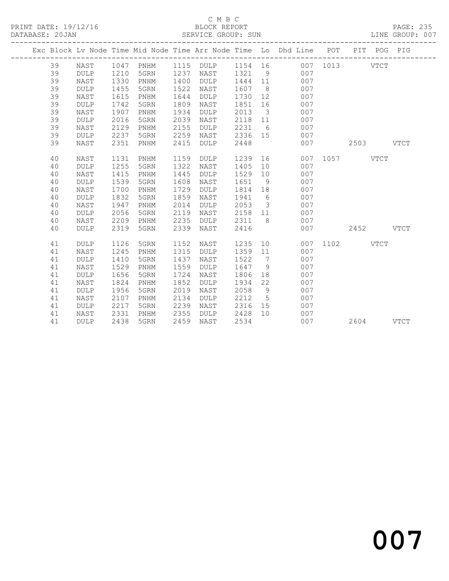### C M B C<br>BLOCK REPORT SERVICE GROUP: SUN

|  |    |             |      |           |      |             |         |                         | Exc Block Lv Node Time Mid Node Time Arr Node Time Lo Dhd Line POT PIT POG PIG |          |      |             |             |
|--|----|-------------|------|-----------|------|-------------|---------|-------------------------|--------------------------------------------------------------------------------|----------|------|-------------|-------------|
|  | 39 | NAST        |      | 1047 PNHM | 1115 | DULP        | 1154 16 |                         |                                                                                | 007 1013 |      | <b>VTCT</b> |             |
|  | 39 | <b>DULP</b> | 1210 | 5GRN      | 1237 | NAST        | 1321    | 9                       | 007                                                                            |          |      |             |             |
|  | 39 | NAST        | 1330 | PNHM      | 1400 | <b>DULP</b> | 1444    | 11                      | 007                                                                            |          |      |             |             |
|  | 39 | <b>DULP</b> | 1455 | 5GRN      | 1522 | NAST        | 1607    | 8 <sup>8</sup>          | 007                                                                            |          |      |             |             |
|  | 39 | NAST        | 1615 | PNHM      | 1644 | <b>DULP</b> | 1730    | 12                      | 007                                                                            |          |      |             |             |
|  | 39 | <b>DULP</b> | 1742 | 5GRN      | 1809 | NAST        | 1851    | 16                      | 007                                                                            |          |      |             |             |
|  | 39 | NAST        | 1907 | PNHM      | 1934 | <b>DULP</b> | 2013    | $\overline{\mathbf{3}}$ | 007                                                                            |          |      |             |             |
|  | 39 | <b>DULP</b> | 2016 | 5GRN      | 2039 | NAST        | 2118    | 11                      | 007                                                                            |          |      |             |             |
|  | 39 | NAST        | 2129 | PNHM      | 2155 | <b>DULP</b> | 2231    | 6                       | 007                                                                            |          |      |             |             |
|  | 39 | <b>DULP</b> | 2237 | 5GRN      | 2259 | NAST        | 2336 15 |                         | 007                                                                            |          |      |             |             |
|  | 39 | NAST        | 2351 | PNHM      | 2415 | <b>DULP</b> | 2448    |                         | 007                                                                            |          | 2503 |             | <b>VTCT</b> |
|  | 40 | NAST        | 1131 | PNHM      | 1159 | <b>DULP</b> | 1239    | 16                      | 007                                                                            | 1057     |      | <b>VTCT</b> |             |
|  | 40 | <b>DULP</b> | 1255 | 5GRN      | 1322 | NAST        | 1405    | 10 <sub>1</sub>         | 007                                                                            |          |      |             |             |
|  | 40 | NAST        | 1415 | PNHM      | 1445 | <b>DULP</b> | 1529    | 10                      | 007                                                                            |          |      |             |             |
|  | 40 | <b>DULP</b> | 1539 | 5GRN      | 1608 | NAST        | 1651    | 9                       | 007                                                                            |          |      |             |             |
|  | 40 | NAST        | 1700 | PNHM      | 1729 | <b>DULP</b> | 1814    | 18                      | 007                                                                            |          |      |             |             |
|  | 40 | <b>DULP</b> | 1832 | 5GRN      | 1859 | NAST        | 1941    | 6                       | 007                                                                            |          |      |             |             |
|  | 40 | NAST        | 1947 | PNHM      | 2014 | <b>DULP</b> | 2053    | $\overline{\mathbf{3}}$ | 007                                                                            |          |      |             |             |
|  | 40 | DULP        | 2056 | 5GRN      | 2119 | NAST        | 2158    | 11                      | 007                                                                            |          |      |             |             |
|  | 40 | NAST        | 2209 | PNHM      | 2235 | DULP        | 2311    | 8                       | 007                                                                            |          |      |             |             |
|  | 40 | <b>DULP</b> | 2319 | 5GRN      | 2339 | NAST        | 2416    |                         | 007                                                                            |          | 2452 |             | <b>VTCT</b> |
|  | 41 | <b>DULP</b> | 1126 | 5GRN      | 1152 | NAST        | 1235    | 10                      | 007                                                                            | 1102     |      | <b>VTCT</b> |             |
|  | 41 | NAST        | 1245 | PNHM      | 1315 | <b>DULP</b> | 1359    | 11                      | 007                                                                            |          |      |             |             |
|  | 41 | <b>DULP</b> | 1410 | 5GRN      | 1437 | NAST        | 1522    | $\overline{7}$          | 007                                                                            |          |      |             |             |
|  | 41 | NAST        | 1529 | PNHM      | 1559 | <b>DULP</b> | 1647    | 9                       | 007                                                                            |          |      |             |             |
|  | 41 | <b>DULP</b> | 1656 | 5GRN      | 1724 | NAST        | 1806    | 18                      | 007                                                                            |          |      |             |             |
|  | 41 | NAST        | 1824 | PNHM      | 1852 | <b>DULP</b> | 1934    | 22                      | 007                                                                            |          |      |             |             |
|  | 41 | DULP        | 1956 | 5GRN      | 2019 | NAST        | 2058    | 9                       | 007                                                                            |          |      |             |             |
|  | 41 | NAST        | 2107 | PNHM      | 2134 | DULP        | 2212    | $5\overline{)}$         | 007                                                                            |          |      |             |             |
|  | 41 | DULP        | 2217 | 5GRN      | 2239 | NAST        | 2316    | 15                      | 007                                                                            |          |      |             |             |
|  | 41 | NAST        | 2331 | PNHM      | 2355 | DULP        | 2428    | 10 <sup>°</sup>         | 007                                                                            |          |      |             |             |
|  | 41 | <b>DULP</b> | 2438 | 5GRN      | 2459 | NAST        | 2534    |                         | 007                                                                            |          | 2604 |             | <b>VTCT</b> |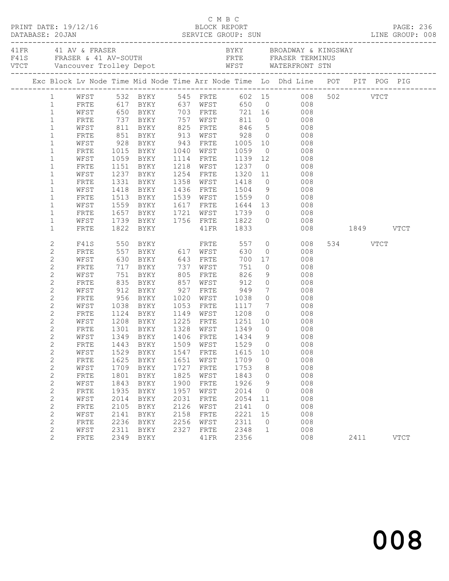|  |                                |              |              |                                              |              |              |                   |                | A FRANCH AND THE SERIES AND THE RESERVE SERIES OF THE RESERVE SERIES FRASER TERMINUS<br>FAIS FRASER & 41 AV-SOUTH FRTE FRASER TERMINUS<br>FITE WATERFRONT STN<br>TICT Vancouver Trolley Depot WEST WATERFRONT STN<br>----------------- |               |          |             |  |
|--|--------------------------------|--------------|--------------|----------------------------------------------|--------------|--------------|-------------------|----------------|----------------------------------------------------------------------------------------------------------------------------------------------------------------------------------------------------------------------------------------|---------------|----------|-------------|--|
|  |                                |              |              |                                              |              |              |                   |                | Exc Block Lv Node Time Mid Node Time Arr Node Time Lo Dhd Line POT PIT POG PIG                                                                                                                                                         |               |          |             |  |
|  |                                |              |              |                                              |              |              |                   |                | 1 WFST 532 BYKY 545 FRTE 602 15 008 502 VTCT                                                                                                                                                                                           |               |          |             |  |
|  | $\mathbf{1}$                   | FRTE         |              |                                              |              |              |                   |                | 617 BYKY 637 WFST 650 0 008                                                                                                                                                                                                            |               |          |             |  |
|  | $\mathbf{1}$                   | WFST         |              | 650 BYKY 703 FRTE                            |              |              |                   |                | 721 16 008                                                                                                                                                                                                                             |               |          |             |  |
|  | $\mathbf{1}$                   | FRTE         |              |                                              |              |              |                   |                |                                                                                                                                                                                                                                        |               |          |             |  |
|  | $\mathbf{1}$                   | WFST         |              |                                              |              |              |                   |                | 737 BYKY 757 WFST 811 0 008<br>811 BYKY 825 FRTE 846 5 008<br>851 BYKY 913 WFST 928 0 008                                                                                                                                              |               |          |             |  |
|  | $\mathbf{1}$                   | FRTE         |              |                                              |              |              |                   |                |                                                                                                                                                                                                                                        |               |          |             |  |
|  | $\mathbf{1}$                   | WFST         | 928          |                                              |              |              |                   |                | BYKY 943 FRTE 1005 10 008                                                                                                                                                                                                              |               |          |             |  |
|  | $\mathbf 1$                    | FRTE         |              | 1015 BYKY<br>1059 BYKY                       |              | 1040 WFST    |                   |                | 1059 0 008<br>1139 12 008                                                                                                                                                                                                              |               |          |             |  |
|  | $\mathbf{1}$                   | WFST         |              |                                              |              | 1114 FRTE    | 1218 WFST 1237    |                | $\overline{0}$ 008                                                                                                                                                                                                                     |               |          |             |  |
|  | $\mathbf 1$                    | FRTE         |              | 1151 BYKY                                    |              |              |                   |                |                                                                                                                                                                                                                                        |               |          |             |  |
|  | $\mathbf 1$                    | WFST         |              | 1237 BYKY<br>BYKY                            |              |              | 1254 FRTE 1320 11 |                | 008                                                                                                                                                                                                                                    |               |          |             |  |
|  | $\mathbf 1$<br>$\mathbf 1$     | FRTE<br>WFST | 1331         | 1418 BYKY                                    |              |              |                   |                |                                                                                                                                                                                                                                        |               |          |             |  |
|  | $\mathbf 1$                    | FRTE         |              | 1513 BYKY                                    |              |              |                   |                |                                                                                                                                                                                                                                        |               |          |             |  |
|  | $\mathbf{1}$                   | WFST         | 1559         | <b>BYKY</b>                                  |              |              | 1617 FRTE 1644 13 |                | 008                                                                                                                                                                                                                                    |               |          |             |  |
|  | $\mathbf 1$                    | FRTE         |              |                                              |              | 1721 WFST    |                   |                | $\overline{0}$<br>008                                                                                                                                                                                                                  |               |          |             |  |
|  | $\mathbf 1$                    | WFST         |              |                                              |              |              |                   |                | 008                                                                                                                                                                                                                                    |               |          |             |  |
|  | $\mathbf{1}$                   | FRTE         |              |                                              |              |              |                   |                | $\overline{0}$                                                                                                                                                                                                                         | 008 1849 VTCT |          |             |  |
|  | $\mathbf{2}$                   | F41S         |              |                                              |              |              | 557               |                | $\overline{0}$<br>008                                                                                                                                                                                                                  |               | 534 VTCT |             |  |
|  | $\mathbf{2}$                   | FRTE         |              |                                              |              |              | 630               | $\overline{0}$ | 008                                                                                                                                                                                                                                    |               |          |             |  |
|  | $\mathbf{2}$                   | WFST         |              |                                              |              |              | 700               |                | 17<br>008                                                                                                                                                                                                                              |               |          |             |  |
|  | $\mathbf{2}$                   | FRTE         | 717          | BYKY 737 WFST                                |              |              | 751               | $\overline{0}$ | 008                                                                                                                                                                                                                                    |               |          |             |  |
|  | $\mathbf{2}$                   | WFST         |              | 751 BYKY<br>835 BYKY<br>912 BYKY             |              | 805 FRTE     | 826               |                | 9<br>008                                                                                                                                                                                                                               |               |          |             |  |
|  | $\mathbf{2}$                   | FRTE         |              |                                              |              | 857 WFST     | 912<br>949        |                | $\begin{array}{c} 0 \\ 7 \end{array}$<br>008                                                                                                                                                                                           |               |          |             |  |
|  | $\mathbf{2}$                   | WFST         |              |                                              |              | $927$ FRTE   |                   |                | 008                                                                                                                                                                                                                                    |               |          |             |  |
|  | $\mathbf{2}$                   | FRTE         |              | 956 BYKY                                     |              | 1020 WFST    | 1038              |                | $\overline{O}$<br>008                                                                                                                                                                                                                  |               |          |             |  |
|  | $\mathbf{2}$                   | WFST         | 1038         | BYKY                                         | 1053         | FRTE         | 1117              |                | $7\overline{ }$<br>008                                                                                                                                                                                                                 |               |          |             |  |
|  | $\mathbf{2}$                   | FRTE         |              | 1124 BYKY<br>1208 BYKY                       |              |              |                   |                | 008                                                                                                                                                                                                                                    |               |          |             |  |
|  | $\mathbf{2}$                   | WFST         |              | 1301 BYKY 1328 WFST 1349                     |              |              |                   |                | 008<br>$0$ 008                                                                                                                                                                                                                         |               |          |             |  |
|  | $\mathbf{2}$                   | FRTE         |              |                                              |              |              |                   | 9              |                                                                                                                                                                                                                                        |               |          |             |  |
|  | 2                              | WFST         |              | 1349 BYKY<br>FRTE 1443 BYKY 1509 WFST 1529 0 |              |              | 1406 FRTE 1434    |                | 008<br>008                                                                                                                                                                                                                             |               |          |             |  |
|  | $\overline{2}$<br>$\mathbf{2}$ |              |              |                                              |              |              |                   | 10             |                                                                                                                                                                                                                                        |               |          |             |  |
|  | $\sqrt{2}$                     | WFST<br>FRTE | 1529<br>1625 | BYKY<br>BYKY                                 | 1547<br>1651 | FRTE<br>WFST | 1615<br>1709      | 0              | 008<br>008                                                                                                                                                                                                                             |               |          |             |  |
|  | $\sqrt{2}$                     | WFST         | 1709         | BYKY                                         | 1727         | FRTE         | 1753              | 8              | 008                                                                                                                                                                                                                                    |               |          |             |  |
|  | $\sqrt{2}$                     | FRTE         | 1801         | BYKY                                         | 1825         | WFST         | 1843              | 0              | 008                                                                                                                                                                                                                                    |               |          |             |  |
|  | $\sqrt{2}$                     | WFST         | 1843         | <b>BYKY</b>                                  | 1900         | ${\tt FRTE}$ | 1926              | 9              | 008                                                                                                                                                                                                                                    |               |          |             |  |
|  | $\sqrt{2}$                     | FRTE         | 1935         | BYKY                                         | 1957         | WFST         | 2014              | $\circ$        | 008                                                                                                                                                                                                                                    |               |          |             |  |
|  | $\sqrt{2}$                     | WFST         | 2014         | BYKY                                         | 2031         | FRTE         | 2054              | 11             | 008                                                                                                                                                                                                                                    |               |          |             |  |
|  | $\sqrt{2}$                     | FRTE         | 2105         | <b>BYKY</b>                                  | 2126         | WFST         | 2141              | 0              | 008                                                                                                                                                                                                                                    |               |          |             |  |
|  | $\overline{c}$                 | WFST         | 2141         | BYKY                                         | 2158         | FRTE         | 2221              | 15             | 008                                                                                                                                                                                                                                    |               |          |             |  |
|  | $\sqrt{2}$                     | FRTE         | 2236         | BYKY                                         | 2256         | WFST         | 2311              | 0              | 008                                                                                                                                                                                                                                    |               |          |             |  |
|  | $\sqrt{2}$                     | WFST         | 2311         | BYKY                                         | 2327         | <b>FRTE</b>  | 2348              | $\mathbf{1}$   | 008                                                                                                                                                                                                                                    |               |          |             |  |
|  | 2                              | FRTE         | 2349         | BYKY                                         |              | 41FR         | 2356              |                | 008                                                                                                                                                                                                                                    |               | 2411     | <b>VTCT</b> |  |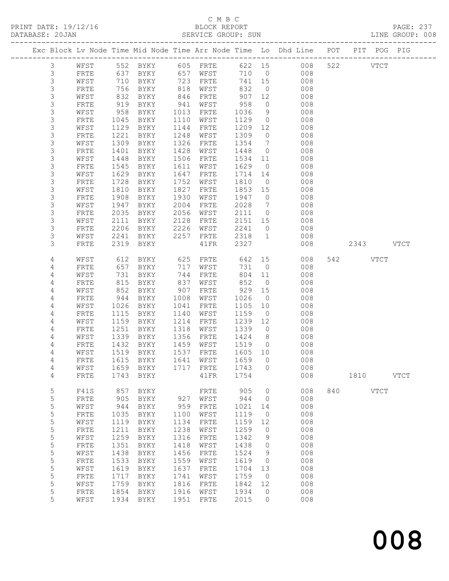PRINT DATE: 19/12/16 BLOCK REPORT BATABASE: 20JAN BLOCK REPORT

# C M B C<br>BLOCK REPORT

PAGE: 237<br>LINE GROUP: 008

|                |                      |              |                     |              |              |              |                | Exc Block Lv Node Time Mid Node Time Arr Node Time Lo Dhd Line POT PIT POG PIG |     |           |             |             |
|----------------|----------------------|--------------|---------------------|--------------|--------------|--------------|----------------|--------------------------------------------------------------------------------|-----|-----------|-------------|-------------|
| $\mathcal{S}$  | WFST                 |              | 552 BYKY 605 FRTE   |              |              |              |                | 622 15 008                                                                     |     | 522 VTCT  |             |             |
| $\mathfrak{Z}$ | FRTE                 | 637          | BYKY                | 657          | WFST         |              |                | 710 0 008                                                                      |     |           |             |             |
| $\mathsf 3$    | WFST                 | 710          | BYKY                | 723          | FRTE         | 741          | 15             | 008                                                                            |     |           |             |             |
| $\mathsf 3$    | FRTE                 | 756          | BYKY                | 818          | WFST         | 832          | $\overline{0}$ | 008                                                                            |     |           |             |             |
| 3              | WFST                 | 832          | BYKY                | 846          | FRTE         | 907          | 12             | 008                                                                            |     |           |             |             |
| 3              | FRTE                 | 919          | BYKY                | 941          | WFST         | 958          | $\circ$        | 008                                                                            |     |           |             |             |
| $\mathsf S$    | WFST                 | 958          | BYKY                | 1013         | FRTE         | 1036         | 9              | 008                                                                            |     |           |             |             |
| $\mathsf S$    | FRTE                 | 1045         | BYKY                | 1110         | WFST         | 1129         | $\overline{0}$ | 008                                                                            |     |           |             |             |
| 3              | WFST                 | 1129         | BYKY                | 1144         | FRTE         | 1209         | 12             | 008                                                                            |     |           |             |             |
| $\mathsf S$    | FRTE                 | 1221         | BYKY                | 1248         | WFST         | 1309         | $\overline{0}$ | 008                                                                            |     |           |             |             |
| 3              | WFST                 | 1309         | BYKY                | 1326         | FRTE         | 1354         | $\overline{7}$ | 008                                                                            |     |           |             |             |
| $\mathsf S$    | FRTE                 | 1401         | BYKY                | 1428         | WFST         | 1448         | $\overline{0}$ | 008                                                                            |     |           |             |             |
| 3              | WFST                 | 1448         | BYKY                | 1506         | FRTE         | 1534         | 11             | 008                                                                            |     |           |             |             |
| 3              | FRTE                 | 1545         | BYKY                | 1611         | WFST         | 1629         | $\overline{0}$ | 008                                                                            |     |           |             |             |
| 3              | WFST                 | 1629         | BYKY                | 1647         | FRTE         | 1714         | 14             | 008                                                                            |     |           |             |             |
| $\mathsf S$    | FRTE                 | 1728         | BYKY                | 1752         | WFST         | 1810         | $\overline{0}$ | 008                                                                            |     |           |             |             |
| 3              | WFST                 | 1810         | BYKY                | 1827         | FRTE         | 1853         | 15             | 008                                                                            |     |           |             |             |
| 3              | FRTE                 | 1908         | BYKY                | 1930         | WFST         | 1947         | $\overline{0}$ | 008                                                                            |     |           |             |             |
| 3              | WFST                 | 1947         | BYKY                | 2004         | FRTE         | 2028         | $\overline{7}$ | 008                                                                            |     |           |             |             |
| $\mathsf S$    | FRTE                 | 2035         | BYKY                | 2056         | WFST         | 2111         | $\overline{0}$ | 008                                                                            |     |           |             |             |
| 3              | WFST                 | 2111         | BYKY                | 2128         | FRTE         | 2151         | 15             | 008                                                                            |     |           |             |             |
| 3              | FRTE                 | 2206         | BYKY                | 2226         | WFST         | 2241         | $\overline{0}$ | 008                                                                            |     |           |             |             |
| 3              | WFST                 | 2241         | BYKY                | 2257         | FRTE         | 2318         | $\overline{1}$ | 008                                                                            |     |           |             |             |
| 3              | FRTE                 | 2319         | BYKY                |              | 41FR         | 2327         |                | 008                                                                            |     | 2343 VTCT |             |             |
| 4              | WFST                 | 612          | BYKY                | 625          | FRTE         | 642          | 15             | 008                                                                            |     | 542 VTCT  |             |             |
| 4              | FRTE                 | 657          | BYKY                | 717          | WFST         | 731          | $\overline{0}$ | 008                                                                            |     |           |             |             |
| $\overline{4}$ | WFST                 | 731          | BYKY                | 744          | FRTE         | 804          | 11             | 008                                                                            |     |           |             |             |
| 4              | FRTE                 | 815          | BYKY                | 837          | WFST         | 852          | $\overline{0}$ | 008                                                                            |     |           |             |             |
| 4              | WFST                 | 852          | BYKY                | 907          | FRTE         | 929          | 15             | 008                                                                            |     |           |             |             |
| 4              | FRTE                 | 944          | BYKY                | 1008         | WFST         | 1026         | $\overline{0}$ | 008                                                                            |     |           |             |             |
| 4              | WFST                 | 1026         | BYKY                | 1041         | FRTE         | 1105         | 10             | 008                                                                            |     |           |             |             |
| 4              | FRTE                 | 1115         | BYKY                | 1140         | WFST         | 1159         | $\overline{0}$ | 008                                                                            |     |           |             |             |
| 4              | WFST                 | 1159         | BYKY                | 1214         | FRTE         | 1239         | 12             | 008                                                                            |     |           |             |             |
| 4              | FRTE                 | 1251         | BYKY                | 1318         | WFST         | 1339         | $\overline{0}$ | 008                                                                            |     |           |             |             |
| 4              | WFST                 | 1339         | BYKY                | 1356         | FRTE         | 1424         | 8 <sup>8</sup> | 008                                                                            |     |           |             |             |
| 4              | FRTE                 | 1432         | BYKY                | 1459         | WFST         | 1519         | $\overline{0}$ | 008                                                                            |     |           |             |             |
| 4              | WFST                 | 1519         | BYKY                | 1537         | FRTE         | 1605 10      |                | 008                                                                            |     |           |             |             |
| 4              | FRTE                 |              | 1615 BYKY           | 1641         | WFST         | 1659         | $\bigcirc$     | 008                                                                            |     |           |             |             |
| 4              | WFST                 |              | 1659 BYKY           |              | 1717 FRTE    | 1743 0       |                | 008                                                                            |     |           |             |             |
| 4              | FRTE                 | 1743         | <b>BYKY</b>         |              | 41FR         | 1754         |                | 008                                                                            |     | 1810      |             | <b>VTCT</b> |
| 5              | F41S                 | 857          | BYKY                |              | FRTE         | 905          | 0              | 008                                                                            | 840 |           | <b>VTCT</b> |             |
| 5              | FRTE                 | 905          | BYKY                | 927          | WFST         | 944          | 0              | 008                                                                            |     |           |             |             |
| 5              | WFST                 | 944          | BYKY                | 959          | FRTE         | 1021         | 14             | 008                                                                            |     |           |             |             |
| 5              | ${\tt FRTE}$         | 1035         | BYKY                | 1100         | WFST         | 1119         | $\circ$        | 008                                                                            |     |           |             |             |
| 5              | WFST                 | 1119         | BYKY                | 1134         | FRTE         | 1159         | 12             | 008                                                                            |     |           |             |             |
| 5              | ${\tt FRTE}$         | 1211         | <b>BYKY</b>         | 1238         | WFST         | 1259         | 0              | 008                                                                            |     |           |             |             |
| 5              | WFST                 | 1259         | <b>BYKY</b>         | 1316         | FRTE         | 1342         | 9              | 008                                                                            |     |           |             |             |
| 5              | ${\tt FRTE}$         | 1351         | BYKY                | 1418         | WFST         | 1438         | 0              | 008                                                                            |     |           |             |             |
| 5              | WFST                 | 1438         | BYKY                | 1456         | FRTE         | 1524         | 9              | 008                                                                            |     |           |             |             |
| 5<br>5         | FRTE                 | 1533<br>1619 | BYKY                | 1559<br>1637 | WFST         | 1619<br>1704 | 0<br>13        | 008<br>008                                                                     |     |           |             |             |
| 5              | WFST<br>${\tt FRTE}$ | 1717         | <b>BYKY</b><br>BYKY | 1741         | FRTE<br>WFST | 1759         | $\circ$        | 008                                                                            |     |           |             |             |
| 5              | WFST                 | 1759         | BYKY                | 1816         | FRTE         | 1842         | 12             | 008                                                                            |     |           |             |             |
| 5              | FRTE                 | 1854         | BYKY                | 1916         | WFST         | 1934         | 0              | 008                                                                            |     |           |             |             |
| 5              | WFST                 | 1934         | <b>BYKY</b>         | 1951         | FRTE         | 2015         | $\circ$        | 008                                                                            |     |           |             |             |
|                |                      |              |                     |              |              |              |                |                                                                                |     |           |             |             |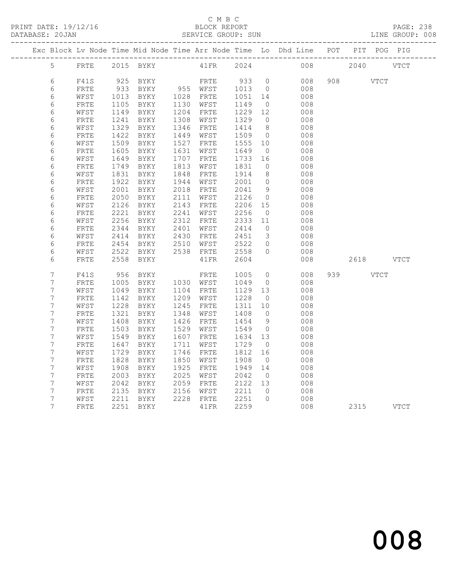### C M B C<br>BLOCK REPORT SERVICE GROUP: SUN

|                                   |                      |              |                          |      |                        |                   |                         | Exc Block Lv Node Time Mid Node Time Arr Node Time Lo Dhd Line POT PIT POG PIG |          |             |
|-----------------------------------|----------------------|--------------|--------------------------|------|------------------------|-------------------|-------------------------|--------------------------------------------------------------------------------|----------|-------------|
| $5 -$                             |                      |              | FRTE 2015 BYKY 41FR 2024 |      |                        |                   |                         | 008 2040 VTCT                                                                  |          |             |
| 6                                 | F41S                 |              | 925 BYKY                 |      |                        | 933 0             |                         | 008                                                                            | 908 8    | VTCT        |
| 6                                 | FRTE                 |              |                          |      |                        | 1013 0            |                         | 008                                                                            |          |             |
| 6                                 | WFST                 | 1013         | BYKY 1028 FRTE           |      |                        | 1051 14           |                         | 008                                                                            |          |             |
| 6                                 | ${\tt FRTE}$         | 1105         | <b>BYKY</b>              |      | 1130 WFST              | 1149              | $\overline{0}$          | 008                                                                            |          |             |
| 6                                 | WFST                 |              | 1149 BYKY                |      | 1204 FRTE              | 1229              | 12                      | 008                                                                            |          |             |
| $\epsilon$                        | ${\tt FRTE}$         | 1241         | BYKY                     |      | 1308 WFST              | 1329              | $\overline{0}$          | 008                                                                            |          |             |
| 6                                 | WFST                 | 1329         | BYKY                     |      | 1346 FRTE              | 1414              | 8 <sup>8</sup>          | 008                                                                            |          |             |
| 6                                 | FRTE                 | 1422         | BYKY                     | 1449 | WFST                   | 1509              | $\overline{0}$          | 008                                                                            |          |             |
| 6                                 | WFST                 | 1509         | BYKY                     |      | 1527 FRTE              | 1555              | 10                      | 008                                                                            |          |             |
| 6                                 | FRTE                 | 1605         | BYKY                     | 1631 | WFST                   | 1649              | $\overline{0}$          | 008                                                                            |          |             |
| 6                                 | WFST                 | 1649         | BYKY                     | 1707 | FRTE                   | 1733 16           |                         | 008                                                                            |          |             |
| 6                                 | FRTE                 | 1749         | BYKY                     | 1813 | WFST                   | 1831              | $\overline{0}$          | 008                                                                            |          |             |
| $\epsilon$                        | WFST                 | 1831         | BYKY                     |      | 1848 FRTE              | 1914              | 8 <sup>8</sup>          | 008                                                                            |          |             |
| 6                                 | ${\tt FRTE}$         | 1922         | BYKY<br>BYKY 2018 FRTE   |      | 1944 WFST              | 2001              | $\overline{0}$<br>9     | 008                                                                            |          |             |
| 6<br>6                            | WFST<br>FRTE         | 2001<br>2050 | <b>BYKY</b>              |      | 2111 WFST              | 2041<br>2126      | $\overline{0}$          | 008<br>008                                                                     |          |             |
| $\epsilon$                        | WFST                 | 2126         | BYKY                     |      | 2143 FRTE              | 2206 15           |                         | 008                                                                            |          |             |
| 6                                 | FRTE                 | 2221         | BYKY                     |      | 2241 WFST              | 2256              | $\overline{0}$          | 008                                                                            |          |             |
| $\epsilon$                        | WFST                 | 2256         | BYKY                     |      | 2312 FRTE              |                   |                         | 008                                                                            |          |             |
| 6                                 | FRTE                 | 2344         | BYKY                     |      | 2401 WFST              | 2333 11<br>2414 0 |                         | 008                                                                            |          |             |
| 6                                 | WFST                 | 2414         | BYKY                     |      | 2430 FRTE              | 2451              | $\overline{\mathbf{3}}$ | 008                                                                            |          |             |
| 6                                 | FRTE                 | 2454         | BYKY                     |      | 2510 WFST              | 2522              | $\circ$                 | 008                                                                            |          |             |
| 6                                 | WFST                 | 2522         | BYKY                     |      | 2538 FRTE              | 2558              | $\bigcirc$              | 008                                                                            |          |             |
| 6                                 | FRTE                 | 2558         | BYKY                     |      | 41FR                   | 2604              |                         | 008                                                                            |          | 2618 VTCT   |
| $\overline{7}$                    | F41S                 | 956          | BYKY                     |      | FRTE                   | 1005              | $\overline{0}$          | 008                                                                            | 939 — 10 | VTCT        |
| $\overline{7}$                    | ${\tt FRTE}$         | 1005         | BYKY 1030 WFST           |      |                        | 1049              | $\overline{0}$          | 008                                                                            |          |             |
| $\boldsymbol{7}$                  | WFST                 |              | 1049 BYKY                |      | 1104 FRTE              | 1129 13           |                         | 008                                                                            |          |             |
| $\overline{7}$                    | FRTE                 | 1142         | BYKY                     |      | 1209 WFST              | 1228              | $\overline{0}$          | 008                                                                            |          |             |
| $\overline{7}$                    | WFST                 | 1228         | BYKY                     |      | 1245 FRTE              | 1311 10           |                         | 008                                                                            |          |             |
| 7                                 | FRTE                 | 1321         | BYKY                     |      | 1348 WFST              | 1408              | $\overline{0}$          | 008                                                                            |          |             |
| $\boldsymbol{7}$                  | WFST                 | 1408         | BYKY                     |      | 1426 FRTE              | 1454              | 9                       | 008                                                                            |          |             |
| 7                                 | FRTE                 | 1503         | BYKY                     |      | 1529 WFST              | 1549              | $\overline{0}$          | 008                                                                            |          |             |
| $\overline{7}$                    | WFST                 | 1549         | BYKY                     | 1607 | FRTE                   | 1634 13           |                         | 008                                                                            |          |             |
| $\overline{7}$                    | FRTE                 | 1647         | BYKY                     | 1711 | WFST                   | 1729              | $\overline{0}$          | 008                                                                            |          |             |
| $\overline{7}$                    | WFST                 | 1729         | BYKY                     | 1746 | FRTE                   | 1812              | 16                      | 008                                                                            |          |             |
| $\boldsymbol{7}$                  | FRTE                 | 1828         | BYKY                     | 1850 | WFST                   | 1908              | $\overline{0}$          | 008                                                                            |          |             |
| $\overline{7}$                    | WFST                 | 1908         | BYKY                     | 1925 | FRTE                   | 1949              | 14                      | 008                                                                            |          |             |
| $\boldsymbol{7}$                  | ${\tt FRTE}$         | 2003         | BYKY                     |      | 2025 WFST              | 2042              | $\overline{0}$          | 008                                                                            |          |             |
| $\overline{7}$<br>$7\phantom{.0}$ | WFST                 | 2042<br>2135 | BYKY                     |      | 2059 FRTE              | 2122 13<br>2211 0 |                         | 008                                                                            |          |             |
| $\overline{7}$                    | ${\tt FRTE}$<br>WFST |              | BYKY<br>2211 BYKY        |      | 2156 WFST<br>2228 FRTE | 2251              | $\overline{0}$          | 008<br>008                                                                     |          |             |
| 7                                 | FRTE                 |              | 2251 BYKY                |      | 41FR                   | 2259              |                         | 008                                                                            | 2315     | <b>VTCT</b> |
|                                   |                      |              |                          |      |                        |                   |                         |                                                                                |          |             |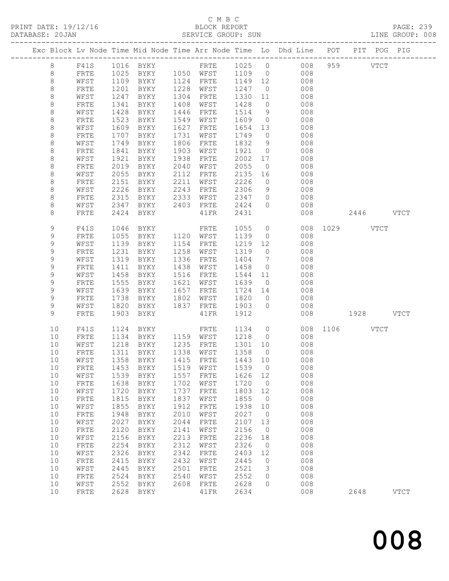# C M B C<br>BLOCK REPORT

| DATABASE: 20JAN |             |      |      |                                |      | SERVICE GROUP: SUN  |                                                 |                | LINE GROUP: 008                                                                |               |      |             |  |
|-----------------|-------------|------|------|--------------------------------|------|---------------------|-------------------------------------------------|----------------|--------------------------------------------------------------------------------|---------------|------|-------------|--|
|                 |             |      |      |                                |      |                     |                                                 |                | Exc Block Lv Node Time Mid Node Time Arr Node Time Lo Dhd Line POT PIT POG PIG |               |      |             |  |
|                 | 8           |      |      |                                |      |                     |                                                 |                | F41S 1016 BYKY FRTE 1025 0 008 959 VTCT                                        |               |      |             |  |
|                 | 8           | FRTE |      |                                |      |                     |                                                 |                | 1025 BYKY 1050 WFST 1109 0 008                                                 |               |      |             |  |
|                 | 8           | WFST |      |                                |      |                     |                                                 |                | 1109 BYKY 1124 FRTE 1149 12 008                                                |               |      |             |  |
|                 | $\,8\,$     | FRTE | 1201 | BYKY 1228 WFST                 |      |                     | 1247 0                                          |                | 008                                                                            |               |      |             |  |
|                 | 8           | WFST | 1247 | BYKY                           |      | 1304 FRTE           | 1330                                            |                | $11$<br>008                                                                    |               |      |             |  |
|                 | 8           | FRTE | 1341 | BYKY                           |      | 1408 WFST           | 1428                                            |                | $\overline{0}$<br>008                                                          |               |      |             |  |
|                 | 8           | WFST | 1428 | BYKY                           | 1446 | FRTE                | 1514                                            | 9              | 008                                                                            |               |      |             |  |
|                 | $\,8\,$     | FRTE | 1523 | BYKY                           |      | 1549 WFST           | 1609                                            | $\overline{0}$ | 008                                                                            |               |      |             |  |
|                 | 8           | WFST | 1609 | BYKY                           | 1627 | FRTE                | 1654 13                                         |                | 008                                                                            |               |      |             |  |
|                 | 8           | FRTE | 1707 | BYKY                           | 1731 | WFST                | 1749                                            | $\overline{0}$ | 008                                                                            |               |      |             |  |
|                 | 8           | WFST | 1749 | BYKY                           | 1806 | FRTE                | 1832                                            | 9              | 008                                                                            |               |      |             |  |
|                 | $\,8\,$     | FRTE | 1841 | BYKY                           | 1903 | WFST                | 1921                                            | $\overline{0}$ | 008                                                                            |               |      |             |  |
|                 | 8           | WFST | 1921 | BYKY                           | 1938 | FRTE                | 2002                                            | 17             | 008                                                                            |               |      |             |  |
|                 | 8           | FRTE | 2019 | BYKY                           | 2040 | WFST                | 2055                                            | $\overline{0}$ | 008                                                                            |               |      |             |  |
|                 | $\,8\,$     | WFST | 2055 | BYKY                           | 2112 | FRTE                | 2135                                            | 16             | 008                                                                            |               |      |             |  |
|                 | $\,8\,$     | FRTE | 2151 | BYKY                           | 2211 | WFST                | 2226                                            | $\overline{0}$ | 008                                                                            |               |      |             |  |
|                 | 8           | WFST | 2226 | BYKY                           | 2243 | FRTE                | 2306                                            | 9              | 008                                                                            |               |      |             |  |
|                 | 8           | FRTE | 2315 | BYKY 2333                      |      | WFST                | 2347 0                                          |                | 008                                                                            |               |      |             |  |
|                 | 8           | WFST | 2347 |                                |      | BYKY 2403 FRTE      | 2424                                            | $\overline{0}$ | 008                                                                            |               |      |             |  |
|                 | 8           | FRTE | 2424 | BYKY                           |      | $41\mathrm{FR}$     | 2431                                            |                | 008                                                                            | 2446 VTCT     |      |             |  |
|                 | 9           | F41S | 1046 | BYKY                           |      | FRTE                | 1055                                            |                | $\overline{O}$                                                                 | 008 1029 VTCT |      |             |  |
|                 | 9           | FRTE | 1055 | <b>BYKY</b>                    |      | 1120 WFST           | 1139                                            | $\overline{0}$ | 008                                                                            |               |      |             |  |
|                 | $\mathsf 9$ | WFST | 1139 | BYKY                           |      | 1154 FRTE           | 1219                                            | 12             | 008                                                                            |               |      |             |  |
|                 | 9           | FRTE | 1231 | BYKY                           |      | 1258 WFST           | 1319 0                                          |                | 008                                                                            |               |      |             |  |
|                 | 9           | WFST | 1319 | BYKY                           | 1336 | FRTE                | 1404                                            | $\overline{7}$ | 008                                                                            |               |      |             |  |
|                 | 9           | FRTE | 1411 | BYKY                           | 1438 | WFST                | 1458                                            | $\overline{0}$ | 008                                                                            |               |      |             |  |
|                 | 9           | WFST | 1458 | BYKY                           | 1516 | FRTE                | 1544                                            | 11             | 008                                                                            |               |      |             |  |
|                 | 9           | FRTE | 1555 | BYKY                           |      | 1621 WFST           | 1639                                            | $\overline{0}$ | 008                                                                            |               |      |             |  |
|                 | 9           | WFST | 1639 | BYKY                           |      | 1657 FRTE           | 1724 14                                         |                | 008                                                                            |               |      |             |  |
|                 | 9           | FRTE | 1738 | BYKY 1802 WFST                 |      |                     | 1820                                            | $\overline{0}$ | 008                                                                            |               |      |             |  |
|                 | 9           | WFST | 1820 | BYKY 1837 FRTE                 |      |                     | 1903                                            | $\overline{0}$ | 008                                                                            |               |      |             |  |
|                 | 9           | FRTE | 1903 | BYKY                           |      | 41FR                | 1912                                            |                | 008                                                                            | 1928 VTCT     |      |             |  |
|                 | 10          | F41S | 1124 | <b>BYKY</b>                    |      | FRTE                | 1134 0                                          |                |                                                                                | 008 1106 VTCT |      |             |  |
|                 | 10          | FRTE | 1134 |                                |      | BYKY 1159 WFST 1218 |                                                 | $\overline{O}$ | 008                                                                            |               |      |             |  |
|                 | 10          | WFST |      | 1218 BYKY<br>1311 BYKY<br>BYKY |      | 1235 FRTE           | 1301 10                                         |                | 008                                                                            |               |      |             |  |
|                 | 10          | FRTE |      |                                |      | 1338 WFST           | $\begin{array}{c}\n 1358 \quad 0\n \end{array}$ |                | 008                                                                            |               |      |             |  |
|                 |             |      |      |                                |      |                     |                                                 |                | 10 WFST 1358 BYKY 1415 FRTE 1443 10 008                                        |               |      |             |  |
|                 | 10          | FRTE | 1453 | BYKY                           | 1519 | WFST                | 1539                                            | $\overline{0}$ | 008                                                                            |               |      |             |  |
|                 | 10          | WFST | 1539 | BYKY                           | 1557 | FRTE                | 1626                                            | 12             | 008                                                                            |               |      |             |  |
|                 | 10          | FRTE | 1638 | BYKY                           | 1702 | WFST                | 1720                                            | $\overline{0}$ | 008                                                                            |               |      |             |  |
|                 | 10          | WFST | 1720 | BYKY                           | 1737 | FRTE                | 1803                                            | 12             | 008                                                                            |               |      |             |  |
|                 | 10          | FRTE | 1815 | BYKY                           | 1837 | WFST                | 1855                                            | $\overline{0}$ | 008                                                                            |               |      |             |  |
|                 | 10          | WFST | 1855 | BYKY                           | 1912 | ${\tt FRTE}$        | 1938                                            | 10             | 008                                                                            |               |      |             |  |
|                 | 10          | FRTE | 1948 | BYKY                           | 2010 | WFST                | 2027                                            | $\overline{0}$ | 008                                                                            |               |      |             |  |
|                 | 10          | WFST | 2027 | BYKY                           | 2044 | FRTE                | 2107                                            | 13             | 008                                                                            |               |      |             |  |
|                 | 10          | FRTE | 2120 | BYKY                           | 2141 | WFST                | 2156                                            | $\overline{0}$ | 008                                                                            |               |      |             |  |
|                 | 10          | WFST | 2156 | BYKY                           | 2213 | ${\tt FRTE}$        | 2236                                            | 18             | 008                                                                            |               |      |             |  |
|                 | 10          | FRTE | 2254 | BYKY                           | 2312 | WFST                | 2326                                            | $\overline{0}$ | 008                                                                            |               |      |             |  |
|                 | 10          | WFST | 2326 | BYKY                           | 2342 | ${\tt FRTE}$        | 2403                                            | 12             | 008                                                                            |               |      |             |  |
|                 | 10          | FRTE | 2415 | BYKY                           | 2432 | WFST                | 2445                                            | $\overline{0}$ | 008                                                                            |               |      |             |  |
|                 | 10          | WFST | 2445 | BYKY                           | 2501 | FRTE                | 2521                                            | 3              | 008                                                                            |               |      |             |  |
|                 | 10          | FRTE | 2524 | BYKY                           | 2540 | WFST                | 2552                                            | $\circ$        | 008                                                                            |               |      |             |  |
|                 | 10          | WFST | 2552 | BYKY                           | 2608 | FRTE                | 2628                                            | $\circ$        | 008                                                                            |               |      |             |  |
|                 | 10          | FRTE | 2628 | BYKY                           |      | 41FR                | 2634                                            |                | 008                                                                            |               | 2648 | <b>VTCT</b> |  |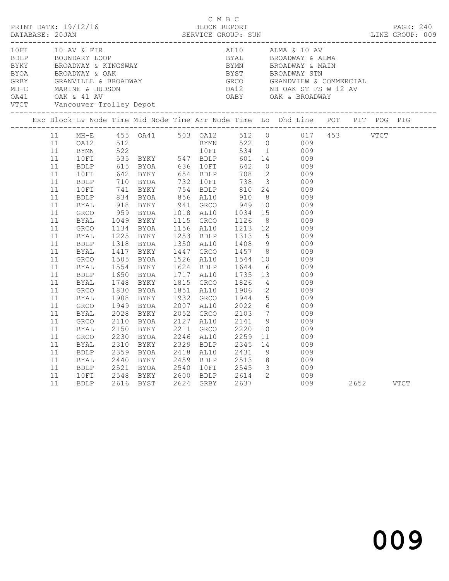|  |                                                                            | 10 FI 10 AV & FIR                                                                                                                                            |                              |                                                                                                                                                                     |  |  | AL10 ALMA & 10 AV                                                                                                                                                                                                                                                                                                                                                                                                          |  |  |  |
|--|----------------------------------------------------------------------------|--------------------------------------------------------------------------------------------------------------------------------------------------------------|------------------------------|---------------------------------------------------------------------------------------------------------------------------------------------------------------------|--|--|----------------------------------------------------------------------------------------------------------------------------------------------------------------------------------------------------------------------------------------------------------------------------------------------------------------------------------------------------------------------------------------------------------------------------|--|--|--|
|  |                                                                            |                                                                                                                                                              |                              |                                                                                                                                                                     |  |  | Exc Block Lv Node Time Mid Node Time Arr Node Time Lo Dhd Line POT PIT POG PIG                                                                                                                                                                                                                                                                                                                                             |  |  |  |
|  | 11<br>11<br>11<br>11<br>11<br>11<br>11<br>11<br>11<br>11<br>11<br>11<br>11 | BYAL<br>BDLP<br>BYAL<br>GRCO<br>BYAL<br>GRCO<br>BYAL<br>GRCO<br>BYAL<br>GRCO<br>BYAL<br>BDLP 2359 BYOA<br>BDLP 2359 BYOA<br>BYAL 2440 BYKY<br>BDLP 2521 BYOA | 2110<br>2150<br>2230<br>2310 | 1554 BYKY<br>1650 BYOA<br>1748 BYKY<br>1830 BYOA<br>1908 BYKY<br>BYOA<br>1949 BYOA<br>2028 BYKY<br>BYOA<br>BYKY<br>BYOA 2246 AL10 2259 11<br>BYKY 2329 BDLP 2345 14 |  |  | 1526 ALIO 1544 10 009<br>1624 BDLP 1644 6 009<br>1717 AL10 1735 13 009<br>1815 GRCO 1826 4 009<br>1851 AL10 1906 2 009<br>1932 GRCO 1944 5 009<br>2007 AL10 2022 6 009<br>2052 GRCO 2103 7 009<br>2137 NT10 2114 0 009<br>2127 AL10 2141 9 009<br>2211 GRCO 2220 10 009<br>11 009<br>009<br>2418 AL10 2431 9 009<br>2459 BDLP       2513       8                009<br>2540    10FI         2545      3                009 |  |  |  |
|  | 11<br>11<br>11                                                             | 10FI                                                                                                                                                         |                              |                                                                                                                                                                     |  |  | 10FI 2548 BYKY 2600 BDLP 2614 2 009<br>BDLP 2616 BYST 2624 GRBY 2637 009 2652 VTCT                                                                                                                                                                                                                                                                                                                                         |  |  |  |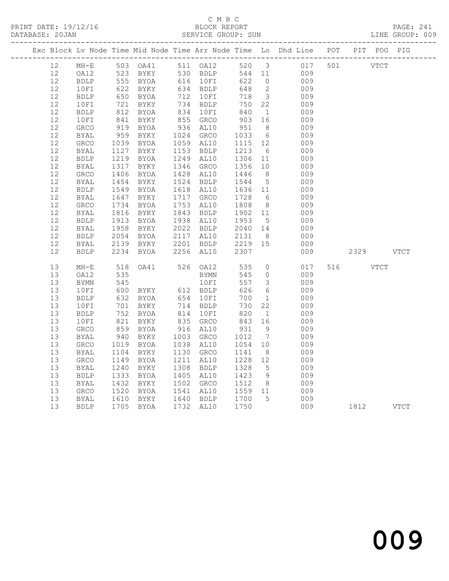# C M B C<br>BLOCK REPORT

PRINT DATE: 19/12/16 BLOCK REPORT BATABASE: 20JAN BLOCK REPORT

PAGE: 241<br>LINE GROUP: 009

|          |                     |              |                                              |                                  |                                                                                  |                                   | Exc Block Lv Node Time Mid Node Time Arr Node Time Lo Dhd Line POT PIT POG PIG |             |      |             |
|----------|---------------------|--------------|----------------------------------------------|----------------------------------|----------------------------------------------------------------------------------|-----------------------------------|--------------------------------------------------------------------------------|-------------|------|-------------|
| 12       |                     |              |                                              |                                  |                                                                                  |                                   | MH-E 503 OA41 511 OA12 520 3 017 501<br>OA12 523 BYKY 530 BDLP 544 11 009      | <b>VTCT</b> |      |             |
| 12       | OA12                |              |                                              |                                  |                                                                                  |                                   |                                                                                |             |      |             |
| 12       | <b>BDLP</b>         |              | 555 BYOA<br>555 BYOA<br>622 BYKY<br>650 BYOA | 616 10FI<br>634 BDLP<br>712 10FI | 622                                                                              | $\overline{0}$                    | 009                                                                            |             |      |             |
| 12       | 10FI                |              |                                              |                                  | 648                                                                              | $\overline{2}$                    | 009                                                                            |             |      |             |
| 12       | BDLP                |              |                                              |                                  | 718                                                                              | $\overline{\mathbf{3}}$           | 009                                                                            |             |      |             |
| 12       | 10FI                |              | 721 BYKY<br>812 BYOA                         | 734 BDLP<br>734 BDLP<br>834 10FI | 750                                                                              | 22                                | 009                                                                            |             |      |             |
| 12       | <b>BDLP</b>         |              |                                              |                                  | 840                                                                              | $\overline{1}$                    | 009                                                                            |             |      |             |
| 12       | 10FI                |              | 841 BYKY<br>919 BYOA                         | 855 GRCO<br>936 AL10             | 903<br>951                                                                       | 16                                | 009                                                                            |             |      |             |
| 12       | GRCO                |              |                                              |                                  |                                                                                  | 8 <sup>8</sup>                    | 009                                                                            |             |      |             |
| 12       | BYAL                | 959          | <b>BYKY</b>                                  | 1024 GRCO                        | 1033 6<br>1115 12                                                                |                                   | 009                                                                            |             |      |             |
| 12<br>12 | GRCO                | 1039         | <b>BYOA</b><br>1127 BYKY                     | 1059 AL10<br>1153 BDLP           |                                                                                  |                                   | 009<br>009                                                                     |             |      |             |
| 12       | BYAL                | 1219         | <b>BYOA</b>                                  | 1249 AL10                        |                                                                                  | 6<br>11                           | 009                                                                            |             |      |             |
| $12$     | <b>BDLP</b><br>BYAL |              | 1317 BYKY                                    | 1346 GRCO                        | 1213<br>1306<br>1356                                                             | 10                                | 009                                                                            |             |      |             |
| 12       | <b>GRCO</b>         | 1406         | BYOA                                         | 1428 AL10                        | 1446                                                                             | 8 <sup>8</sup>                    | 009                                                                            |             |      |             |
| 12       | BYAL                |              | 1454 BYKY                                    | 1524 BDLP                        | 1544                                                                             | $5^{\circ}$                       | 009                                                                            |             |      |             |
| 12       | BDLP                |              | 1549 BYOA                                    | 1618 AL10                        |                                                                                  | 11                                | 009                                                                            |             |      |             |
| 12       | BYAL                |              | 1647 BYKY                                    | 1717 GRCO                        | 1636<br>1728                                                                     | 6                                 | 009                                                                            |             |      |             |
| 12       | GRCO                | 1734         | BYOA                                         | 1753 AL10                        |                                                                                  |                                   | 009                                                                            |             |      |             |
| 12       | BYAL                | 1816         | BYKY                                         | 1843 BDLP                        | 1808 8<br>1902 11                                                                |                                   | 009                                                                            |             |      |             |
| $12$     | <b>BDLP</b>         | 1913         | <b>BYOA</b>                                  | 1938 AL10                        | $\begin{array}{rrrr} 1952 & 11 \\ 1953 & 5 \\ 2040 & 14 \\ 2131 & 8 \end{array}$ |                                   | 009                                                                            |             |      |             |
| 12       | BYAL                | 1958         | <b>BYKY</b>                                  | 2022 BDLP                        |                                                                                  |                                   | 009                                                                            |             |      |             |
| 12       | BDLP                | 2054         | <b>BYOA</b>                                  | 2117 AL10                        |                                                                                  |                                   | 009                                                                            |             |      |             |
| 12       | <b>BYAL</b>         | 2139         | BYKY                                         | 2201 BDLP                        |                                                                                  |                                   | 009                                                                            |             |      |             |
| 12       | <b>BDLP</b>         |              | 2234 BYOA                                    | 2256 AL10                        | 2219 15<br>2307<br>2307                                                          |                                   | 009                                                                            | 2329        |      | <b>VTCT</b> |
|          |                     |              |                                              |                                  |                                                                                  |                                   |                                                                                |             |      |             |
| 13       | $MH-E$              |              | 518 OA41                                     | 526 OA12                         | 535                                                                              | $\overline{0}$                    | 017                                                                            | 516 7       | VTCT |             |
| 13       | OA12                | 535<br>545   |                                              | BYMN                             | 545                                                                              | $\circ$                           | 009                                                                            |             |      |             |
| 13       | BYMN                |              |                                              | 10FI                             | 557                                                                              | $\overline{3}$                    | 009                                                                            |             |      |             |
| 13<br>13 | 10FI                |              | 600 BYKY<br>632 BYOA<br>701 BYKY             | 612 BDLP<br>654 10FI             | 626<br>700                                                                       | $6\overline{6}$<br>$\overline{1}$ | 009                                                                            |             |      |             |
| 13       | BDLP                |              |                                              |                                  | 730                                                                              | 22                                | 009<br>009                                                                     |             |      |             |
| 13       | 10FI<br><b>BDLP</b> |              | BYOA                                         |                                  |                                                                                  | $\overline{1}$                    | 009                                                                            |             |      |             |
| 13       | 10FI                | 821          | BYKY                                         | 714 BDLP<br>814 10FI<br>835 GRCO | 820<br>843                                                                       | 16                                | 009                                                                            |             |      |             |
| 13       | GRCO                |              | BYOA                                         | 916 AL10                         |                                                                                  | 9                                 | 009                                                                            |             |      |             |
| 13       | BYAL                | 859<br>940   | BYKY                                         | 1003 GRCO                        | 931<br>1012                                                                      | $7\phantom{.0}\phantom{.0}7$      | 009                                                                            |             |      |             |
| 13       | <b>GRCO</b>         | 1019         | BYOA                                         | 1038 AL10                        | 1054                                                                             | 10                                | 009                                                                            |             |      |             |
| 13       | BYAL                | 1104         | BYKY                                         | 1130 GRCO                        | 1141                                                                             | 8 <sup>8</sup>                    | 009                                                                            |             |      |             |
| 13       | GRCO                | 1149         | <b>BYOA</b>                                  | 1211 AL10                        | 1228                                                                             | 12                                | 009                                                                            |             |      |             |
| 13       | BYAL                | 1240         | BYKY                                         | 1308 BDLP                        | 1328                                                                             | $5^{\circ}$                       | 009                                                                            |             |      |             |
| 13       | <b>BDLP</b>         | 1333         | BYOA                                         | 1405 AL10                        | 1423                                                                             | 9                                 | 009                                                                            |             |      |             |
| 13       | BYAL                | 1432         | BYKY                                         | 1502 GRCO                        |                                                                                  | 8 <sup>8</sup>                    | 009                                                                            |             |      |             |
| 13       | GRCO                | 1520         | BYOA                                         | 1541 AL10                        | 1512 8<br>1559 11                                                                |                                   | 009                                                                            |             |      |             |
| 13       | BYAL                | 1610<br>1705 | BYKY                                         |                                  | 1700<br>1750                                                                     | $5^{\circ}$                       | 009                                                                            |             |      |             |
| 13       | <b>BDLP</b>         |              | 1705 BYOA                                    | 1640 BDLP<br>1732 AL10           | 1750                                                                             |                                   | 009                                                                            | 1812        |      | <b>VTCT</b> |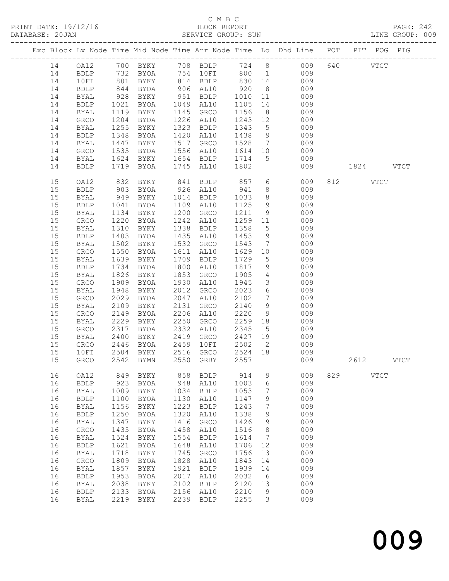# C M B C<br>BLOCK REPORT

| DATABASE: 20JAN |    |              |                   |                      |      | SERVICE GROUP: SUN                                    |                   |                              | LINE GROUP: 009                                                                |     |           |      |
|-----------------|----|--------------|-------------------|----------------------|------|-------------------------------------------------------|-------------------|------------------------------|--------------------------------------------------------------------------------|-----|-----------|------|
|                 |    |              |                   |                      |      |                                                       |                   |                              | Exc Block Lv Node Time Mid Node Time Arr Node Time Lo Dhd Line POT PIT POG PIG |     |           |      |
|                 |    |              |                   |                      |      |                                                       |                   |                              | 14   0A12   700   BYKY   708   BDLP   724   8   009                            |     | 640 VTCT  |      |
|                 | 14 |              |                   |                      |      |                                                       |                   |                              | BDLP 732 BYOA 754 10FI 800 1 009                                               |     |           |      |
|                 | 14 | 10FI         |                   | BYKY                 |      |                                                       |                   |                              | 009                                                                            |     |           |      |
|                 | 14 | <b>BDLP</b>  | 801<br>844<br>928 | BYOA                 |      | 814 BDLP 830 14<br>906 AL10 920 8<br>951 BDLP 1010 11 |                   |                              | 009                                                                            |     |           |      |
|                 | 14 | BYAL         |                   | BYKY                 |      |                                                       |                   |                              | 009                                                                            |     |           |      |
|                 | 14 | BDLP         | 1021              | BYOA                 |      | 1049 AL10                                             | 1105              | 14                           | 009                                                                            |     |           |      |
|                 | 14 | <b>BYAL</b>  | 1119              | BYKY                 |      | 1145 GRCO                                             | 1156              | 8 <sup>8</sup>               | 009                                                                            |     |           |      |
|                 | 14 | GRCO         | 1204              | BYOA                 |      | 1226 AL10                                             | 1243 12           |                              | 009                                                                            |     |           |      |
|                 | 14 | BYAL         | 1255              | BYKY                 |      | 1323 BDLP                                             | 1343              | $5\overline{)}$              | 009                                                                            |     |           |      |
|                 | 14 | <b>BDLP</b>  | 1348              | BYOA                 |      | 1420 AL10                                             | 1438              | 9                            | 009                                                                            |     |           |      |
|                 | 14 |              |                   |                      | 1517 |                                                       | 1528              |                              | 009                                                                            |     |           |      |
|                 |    | BYAL         | 1447              | BYKY                 |      | GRCO                                                  |                   |                              | $7\overline{ }$                                                                |     |           |      |
|                 | 14 | GRCO         | 1535              | BYOA                 |      | 1556 AL10                                             | 1614 10           |                              | 009                                                                            |     |           |      |
|                 | 14 | BYAL         | 1624              | BYKY                 |      | 1654 BDLP                                             | 1714              | $5\overline{)}$              | 009                                                                            |     |           |      |
|                 | 14 | <b>BDLP</b>  |                   | 1719 BYOA            |      | 1745 AL10                                             | 1802              |                              | 009                                                                            |     | 1824 VTCT |      |
|                 | 15 | OA12         |                   | 832 BYKY<br>903 BYOA |      | 841 BDLP 857<br>926 AL10 941                          |                   | $6\overline{6}$              | 009                                                                            |     | 812 VTCT  |      |
|                 | 15 | BDLP         |                   |                      |      |                                                       |                   | 8 <sup>8</sup>               | 009                                                                            |     |           |      |
|                 | 15 | BYAL         | 949               | BYKY                 |      | 1014 BDLP                                             | 1033              | 8 <sup>8</sup>               | 009                                                                            |     |           |      |
|                 | 15 | <b>BDLP</b>  | 1041              | BYOA                 |      | 1109 AL10                                             | 1125              | 9                            | 009                                                                            |     |           |      |
|                 | 15 | BYAL         | 1134              | BYKY                 | 1200 | GRCO                                                  | 1211              | 9                            | 009                                                                            |     |           |      |
|                 | 15 | GRCO         | 1220              | BYOA                 |      | 1242 AL10                                             | 1259 11           |                              | 009                                                                            |     |           |      |
|                 | 15 | BYAL         | 1310              | BYKY                 |      | 1338 BDLP                                             | 1358              | 5 <sup>5</sup>               | 009                                                                            |     |           |      |
|                 | 15 | <b>BDLP</b>  | 1403              | BYOA                 |      | 1435 AL10                                             | 1453              | 9                            | 009                                                                            |     |           |      |
|                 | 15 | BYAL         | 1502              | BYKY                 |      | 1532 GRCO                                             | 1543              | $7\overline{ }$              | 009                                                                            |     |           |      |
|                 | 15 | GRCO         | 1550              | BYOA                 |      | 1611 AL10                                             | 1629 10           |                              | 009                                                                            |     |           |      |
|                 | 15 | BYAL         | 1639              | BYKY                 |      | 1709 BDLP                                             | 1729              | $5\overline{)}$              | 009                                                                            |     |           |      |
|                 | 15 | <b>BDLP</b>  | 1734              | BYOA                 | 1800 | AL10                                                  | 1817              | 9                            | 009                                                                            |     |           |      |
|                 | 15 | BYAL         | 1826              | BYKY                 | 1853 | GRCO                                                  | 1905              | $4\overline{ }$              | 009                                                                            |     |           |      |
|                 | 15 | GRCO         | 1909              | BYOA                 |      | 1930 AL10                                             | 1945              | 3 <sup>7</sup>               | 009                                                                            |     |           |      |
|                 | 15 | BYAL         | 1948              | BYKY                 |      | 2012 GRCO                                             | 2023              | 6                            | 009                                                                            |     |           |      |
|                 | 15 | GRCO         | 2029              | BYOA                 | 2047 | AL10                                                  | 2102              | $7\phantom{.0}\phantom{.0}7$ | 009                                                                            |     |           |      |
|                 | 15 | BYAL         | 2109              | BYKY                 | 2131 | GRCO                                                  | 2140              | 9                            | 009                                                                            |     |           |      |
|                 | 15 | GRCO         | 2149              | BYOA                 | 2206 | AL10                                                  | 2220              | 9                            | 009                                                                            |     |           |      |
|                 | 15 | BYAL         | 2229              | BYKY                 | 2250 | GRCO                                                  | 2259              | 18                           | 009                                                                            |     |           |      |
|                 |    |              | 2317              |                      | 2332 | AL10                                                  | 2345              |                              | 009                                                                            |     |           |      |
|                 | 15 | GRCO         |                   | BYOA                 |      |                                                       |                   | 15                           |                                                                                |     |           |      |
|                 | 15 | BYAL         | 2400              | BYKY                 | 2419 | GRCO                                                  | 2427 19           |                              | 009                                                                            |     |           |      |
|                 | 15 | GRCO         | 2446              | BYOA                 |      | 2459 10FI                                             | 2502 2<br>2524 18 |                              | 009                                                                            |     |           |      |
|                 | 15 | 10FI         |                   | 2504 BYKY            |      | 2516 GRCO                                             |                   |                              | 009<br>15 GRCO 2542 BYMN 2550 GRBY 2557 009 2612                               |     |           | VTCT |
|                 | 16 | OA12         | 849               | BYKY                 | 858  | BDLP                                                  | 914               | 9                            | 009                                                                            | 829 | VTCT      |      |
|                 | 16 | <b>BDLP</b>  | 923               | BYOA                 | 948  | AL10                                                  | 1003              | 6                            | 009                                                                            |     |           |      |
|                 | 16 |              |                   |                      | 1034 |                                                       | 1053              | 7                            | 009                                                                            |     |           |      |
|                 |    | BYAL         | 1009              | BYKY                 |      | <b>BDLP</b>                                           |                   |                              |                                                                                |     |           |      |
|                 | 16 | <b>BDLP</b>  | 1100              | BYOA                 | 1130 | AL10                                                  | 1147              | 9                            | 009                                                                            |     |           |      |
|                 | 16 | BYAL         | 1156              | BYKY                 | 1223 | <b>BDLP</b>                                           | 1243              | 7                            | 009                                                                            |     |           |      |
|                 | 16 | <b>BDLP</b>  | 1250              | BYOA                 | 1320 | AL10                                                  | 1338              | 9                            | 009                                                                            |     |           |      |
|                 | 16 | BYAL         | 1347              | BYKY                 | 1416 | GRCO                                                  | 1426              | 9                            | 009                                                                            |     |           |      |
|                 | 16 | GRCO         | 1435              | BYOA                 | 1458 | AL10                                                  | 1516              | 8                            | 009                                                                            |     |           |      |
|                 | 16 | <b>BYAL</b>  | 1524              | BYKY                 | 1554 | <b>BDLP</b>                                           | 1614              | $7\phantom{.0}$              | 009                                                                            |     |           |      |
|                 | 16 | <b>BDLP</b>  | 1621              | BYOA                 | 1648 | AL10                                                  | 1706              | 12                           | 009                                                                            |     |           |      |
|                 | 16 | <b>BYAL</b>  | 1718              | BYKY                 | 1745 | GRCO                                                  | 1756              | 13                           | 009                                                                            |     |           |      |
|                 | 16 | GRCO         | 1809              | BYOA                 | 1828 | AL10                                                  | 1843              | 14                           | 009                                                                            |     |           |      |
|                 | 16 | BYAL         | 1857              | BYKY                 | 1921 | <b>BDLP</b>                                           | 1939              | 14                           | 009                                                                            |     |           |      |
|                 | 16 | ${\tt BDLP}$ | 1953              | BYOA                 | 2017 | AL10                                                  | 2032              | 6                            | 009                                                                            |     |           |      |
|                 | 16 | BYAL         | 2038              | BYKY                 | 2102 | <b>BDLP</b>                                           | 2120              | 13                           | 009                                                                            |     |           |      |
|                 | 16 | <b>BDLP</b>  | 2133              | BYOA                 | 2156 | AL10                                                  | 2210              | 9                            | 009                                                                            |     |           |      |
|                 | 16 | <b>BYAL</b>  | 2219              | BYKY                 | 2239 | <b>BDLP</b>                                           | 2255              | 3                            | 009                                                                            |     |           |      |
|                 |    |              |                   |                      |      |                                                       |                   |                              |                                                                                |     |           |      |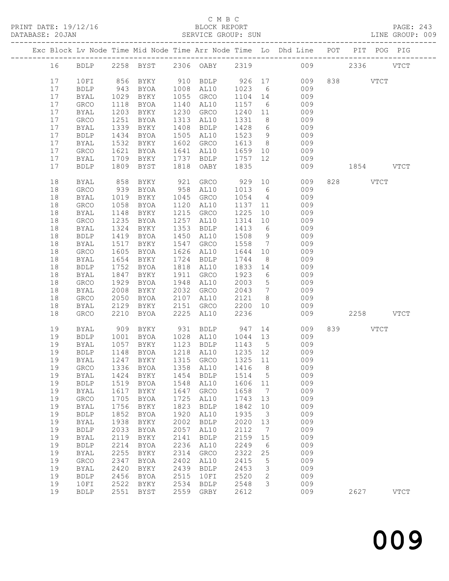PRINT DATE: 19/12/16 BLOCK REPORT PAGE: 243 DATABASE: 20JAN

## C M B C<br>BLOCK REPORT

|  | DAIABASE; ZUJAN |             |      |             |      | SLKVICL GKUUF; SUN |      |     |                                                                  |     |      |      | LINE GROUP; UUY |  |
|--|-----------------|-------------|------|-------------|------|--------------------|------|-----|------------------------------------------------------------------|-----|------|------|-----------------|--|
|  |                 |             |      |             |      |                    |      |     | Exc Block Lv Node Time Mid Node Time Arr Node Time (Lo) Dhd Line | POT | PIT  |      | POG PIG         |  |
|  | 16              | <b>BDLP</b> | 2258 | BYST        |      | 2306 OABY          | 2319 |     | 009                                                              |     | 2336 |      | <b>VTCT</b>     |  |
|  | 17              | 10FI        | 856  | BYKY        | 910  | BDLP               | 926  | 17  | 009                                                              | 838 |      | VTCT |                 |  |
|  | 17              | <b>BDLP</b> | 943  | BYOA        | 1008 | AL10               | 1023 | 6   | 009                                                              |     |      |      |                 |  |
|  | 17              | BYAL        | 1029 | BYKY        | 1055 | GRCO               | 1104 | 14  | 009                                                              |     |      |      |                 |  |
|  | 17              | GRCO        | 1118 | BYOA        | 1140 | AL10               | 1157 | - 6 | 009                                                              |     |      |      |                 |  |
|  | 17              | BYAL        | 1203 | BYKY        | 1230 | GRCO               | 1240 | 11  | 009                                                              |     |      |      |                 |  |
|  | 17              | <b>GRCO</b> | 1251 | BYOA        | 1313 | AL10               | 1331 | 8   | 009                                                              |     |      |      |                 |  |
|  | 17              | BYAL        | 1339 | BYKY        | 1408 | BDLP               | 1428 | 6   | 009                                                              |     |      |      |                 |  |
|  | 17              | <b>BDLP</b> | 1434 | BYOA        | 1505 | AL10               | 1523 | 9   | 009                                                              |     |      |      |                 |  |
|  |                 | RYAT.       | 1532 | <b>RYKY</b> | 1602 | <b>GRMA</b>        | 1613 | R   | $\cap \cap Q$                                                    |     |      |      |                 |  |

| 17       | <b>BYAL</b>         | 1203         | BYKY                       | 1230         | GRCO                | 1240         | $11$            | 009        |     |      |             |             |
|----------|---------------------|--------------|----------------------------|--------------|---------------------|--------------|-----------------|------------|-----|------|-------------|-------------|
| 17       | ${\tt GRCO}$        | 1251         | BYOA                       | 1313         | AL10                | 1331         | $\,8\,$         | 009        |     |      |             |             |
| 17       | <b>BYAL</b>         | 1339         | BYKY                       | 1408         | <b>BDLP</b>         | 1428         | $\epsilon$      | 009        |     |      |             |             |
|          |                     |              |                            |              |                     |              |                 |            |     |      |             |             |
| 17       | <b>BDLP</b>         | 1434         | <b>BYOA</b>                | 1505         | AL10                | 1523         | $\mathsf 9$     | 009        |     |      |             |             |
| 17       | <b>BYAL</b>         | 1532         | BYKY                       | 1602         | GRCO                | 1613         | 8               | 009        |     |      |             |             |
| 17       | GRCO                | 1621         | BYOA                       | 1641         | AL10                | 1659         | 10              | 009        |     |      |             |             |
| 17       | <b>BYAL</b>         | 1709         | BYKY                       | 1737         | <b>BDLP</b>         | 1757         | 12              | 009        |     |      |             |             |
| 17       | <b>BDLP</b>         | 1809         | BYST                       | 1818         | OABY                | 1835         |                 | 009        |     | 1854 |             | <b>VTCT</b> |
|          |                     |              |                            |              |                     |              |                 |            |     |      |             |             |
| 18       | <b>BYAL</b>         | 858          | BYKY                       | 921          | GRCO                | 929          | $10$            | 009        | 828 |      | VTCT        |             |
|          |                     |              |                            |              |                     |              |                 |            |     |      |             |             |
| 18       | GRCO                | 939          | BYOA                       | 958          | AL10                | 1013         | 6               | 009        |     |      |             |             |
| 18       | <b>BYAL</b>         | 1019         | BYKY                       | 1045         | GRCO                | 1054         | $\overline{4}$  | 009        |     |      |             |             |
| 18       | GRCO                | 1058         | BYOA                       | 1120         | AL10                | 1137         | 11              | 009        |     |      |             |             |
| 18       | <b>BYAL</b>         | 1148         | BYKY                       | 1215         | GRCO                | 1225         | 10              | 009        |     |      |             |             |
| 18       | ${\tt GRCO}$        | 1235         | BYOA                       | 1257         | AL10                | 1314         | $10$            | 009        |     |      |             |             |
| 18       | <b>BYAL</b>         | 1324         | BYKY                       | 1353         | <b>BDLP</b>         | 1413         | 6               | 009        |     |      |             |             |
| 18       | <b>BDLP</b>         | 1419         | BYOA                       | 1450         | AL10                | 1508         | 9               | 009        |     |      |             |             |
| 18       | <b>BYAL</b>         | 1517         | BYKY                       | 1547         |                     | 1558         | $7\phantom{.0}$ | 009        |     |      |             |             |
|          |                     |              |                            |              | ${\tt GRCO}$        |              |                 |            |     |      |             |             |
| 18       | ${\tt GRCO}$        | 1605         | <b>BYOA</b>                | 1626         | AL10                | 1644         | $10$            | 009        |     |      |             |             |
| 18       | <b>BYAL</b>         | 1654         | BYKY                       | 1724         | <b>BDLP</b>         | 1744         | 8               | 009        |     |      |             |             |
| 18       | <b>BDLP</b>         | 1752         | <b>BYOA</b>                | 1818         | AL10                | 1833         | 14              | 009        |     |      |             |             |
| 18       | <b>BYAL</b>         | 1847         | BYKY                       | 1911         | GRCO                | 1923         | 6               | 009        |     |      |             |             |
| 18       | ${\tt GRCO}$        | 1929         | BYOA                       | 1948         | AL10                | 2003         | 5               | 009        |     |      |             |             |
| 18       | <b>BYAL</b>         | 2008         | BYKY                       | 2032         | GRCO                | 2043         | $7\phantom{.0}$ | 009        |     |      |             |             |
|          |                     |              |                            |              |                     |              |                 |            |     |      |             |             |
| 18       | GRCO                | 2050         | BYOA                       | 2107         | AL10                | 2121         | 8               | 009        |     |      |             |             |
| 18       | <b>BYAL</b>         | 2129         | BYKY                       | 2151         | ${\tt GRCO}$        | 2200         | 10              | 009        |     |      |             |             |
| 18       | GRCO                | 2210         | <b>BYOA</b>                | 2225         | AL10                | 2236         |                 | 009        |     | 2258 |             | <b>VTCT</b> |
|          |                     |              |                            |              |                     |              |                 |            |     |      |             |             |
| 19       | <b>BYAL</b>         | 909          | BYKY                       | 931          | <b>BDLP</b>         | 947          | 14              | 009        | 839 |      | <b>VTCT</b> |             |
| 19       | <b>BDLP</b>         | 1001         | <b>BYOA</b>                | 1028         | AL10                | 1044         | 13              | 009        |     |      |             |             |
| 19       | <b>BYAL</b>         | 1057         | BYKY                       | 1123         | <b>BDLP</b>         | 1143         | $5\phantom{.0}$ | 009        |     |      |             |             |
| 19       | <b>BDLP</b>         | 1148         | BYOA                       | 1218         | AL10                | 1235         | 12              | 009        |     |      |             |             |
| 19       | <b>BYAL</b>         | 1247         | BYKY                       | 1315         | GRCO                | 1325         | 11              | 009        |     |      |             |             |
|          |                     |              |                            |              |                     |              |                 |            |     |      |             |             |
| 19       | GRCO                | 1336         | BYOA                       | 1358         | AL10                | 1416         | $\,8\,$         | 009        |     |      |             |             |
| 19       | <b>BYAL</b>         | 1424         | BYKY                       | 1454         | <b>BDLP</b>         | 1514         | 5               | 009        |     |      |             |             |
| 19       | <b>BDLP</b>         | 1519         | BYOA                       | 1548         | AL10                | 1606         | 11              | 009        |     |      |             |             |
| 19       | <b>BYAL</b>         | 1617         | BYKY                       | 1647         | GRCO                | 1658         | 7               | 009        |     |      |             |             |
| 19       | GRCO                | 1705         | BYOA                       | 1725         | AL10                | 1743         |                 | 009        |     |      |             |             |
|          |                     |              |                            |              |                     |              | 13              |            |     |      |             |             |
|          |                     |              |                            |              |                     |              |                 |            |     |      |             |             |
| 19       | <b>BYAL</b>         | 1756         | BYKY                       | 1823         | <b>BDLP</b>         | 1842         | 10              | 009        |     |      |             |             |
| 19       | <b>BDLP</b>         | 1852         | BYOA                       | 1920         | AL10                | 1935         | $\mathcal{S}$   | 009        |     |      |             |             |
| 19       | <b>BYAL</b>         | 1938         | BYKY                       | 2002         | <b>BDLP</b>         | 2020         | 13              | 009        |     |      |             |             |
| 19       | <b>BDLP</b>         | 2033         | <b>BYOA</b>                | 2057         | AL10                | 2112         | 7               | 009        |     |      |             |             |
| 19       | <b>BYAL</b>         |              | 2119 BYKY                  | 2141 BDLP    |                     | 2159 15      |                 | 009        |     |      |             |             |
| 19       | <b>BDLP</b>         | 2214         | BYOA                       | 2236         | AL10                | 2249         | 6               | 009        |     |      |             |             |
| 19       | <b>BYAL</b>         | 2255         | <b>BYKY</b>                | 2314         | GRCO                | 2322         | $25$            | 009        |     |      |             |             |
|          |                     | 2347         |                            | 2402         | AL10                |              |                 | 009        |     |      |             |             |
| 19       | GRCO                |              | BYOA                       |              |                     | 2415         | 5               |            |     |      |             |             |
| 19       | <b>BYAL</b>         | 2420         | <b>BYKY</b>                | 2439         | <b>BDLP</b>         | 2453         | 3               | 009        |     |      |             |             |
| 19       | <b>BDLP</b>         | 2456         | <b>BYOA</b>                | 2515         | 10FI                | 2520         | $\mathbf{2}$    | 009        |     |      |             |             |
| 19<br>19 | 10FI<br><b>BDLP</b> | 2522<br>2551 | <b>BYKY</b><br><b>BYST</b> | 2534<br>2559 | <b>BDLP</b><br>GRBY | 2548<br>2612 | 3               | 009<br>009 |     | 2627 |             | <b>VTCT</b> |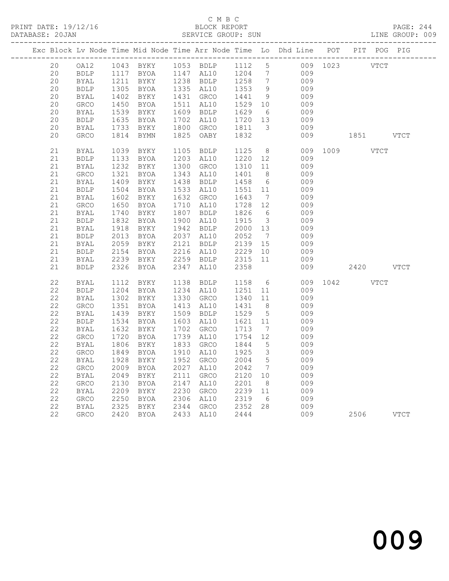PRINT DATE: 19/12/16 BLOCK REPORT BATABASE: 20JAN BLOCK REPORT

## C M B C<br>BLOCK REPORT

PAGE: 244<br>LINE GROUP: 009

|  |                            |                            |              |                   |      |                          |                                                  |                                            | Exc Block Lv Node Time Mid Node Time Arr Node Time Lo Dhd Line POT PIT POG PIG |          |      |             |             |
|--|----------------------------|----------------------------|--------------|-------------------|------|--------------------------|--------------------------------------------------|--------------------------------------------|--------------------------------------------------------------------------------|----------|------|-------------|-------------|
|  | 20                         | OA12                       |              | 1043 BYKY         |      | 1053 BDLP 1112 5         |                                                  |                                            | 009 1023 VTCT                                                                  |          |      |             |             |
|  | 20                         | BDLP                       |              | 1117 BYOA         |      | 1147 AL10                | 1204                                             | $7\phantom{.0}\phantom{.0}7$               | 009                                                                            |          |      |             |             |
|  | 20                         | BYAL                       | 1211         | BYKY              |      | 1238 BDLP<br>1335 AL10   | 1258<br>1353<br>1441<br>1529                     | $7\phantom{.0}\phantom{.0}7$               | 009                                                                            |          |      |             |             |
|  | 20                         | <b>BDLP</b>                |              | 1305 BYOA         |      |                          |                                                  | 9                                          | 009                                                                            |          |      |             |             |
|  | 20                         | BYAL                       | 1402         | BYKY              |      | 1431 GRCO                |                                                  | 9                                          | 009                                                                            |          |      |             |             |
|  | 20<br>20                   | GRCO                       | 1450         | BYOA              |      | 1511 AL10                |                                                  | 10<br>6                                    | 009<br>009                                                                     |          |      |             |             |
|  | 20                         | BYAL<br>BDLP               | 1539<br>1635 | BYKY<br>BYOA      |      | $1609$ BDLP<br>1702 AL10 | 1629<br>1720                                     | 13                                         | 009                                                                            |          |      |             |             |
|  | 20                         | BYAL                       | 1733         | BYKY              |      | 1800 GRCO                | 1811                                             | $\overline{\mathbf{3}}$                    | 009                                                                            |          |      |             |             |
|  | 20                         | <b>GRCO</b>                | 1814         | BYMN              |      | 1825 OABY                | 1832                                             |                                            | 009                                                                            |          | 1851 |             | VTCT        |
|  |                            |                            |              |                   |      |                          |                                                  |                                            |                                                                                |          |      |             |             |
|  | 21                         | BYAL                       | 1039         | <b>BYKY</b>       |      | 1105 BDLP                | 1125                                             | 8 <sup>8</sup>                             |                                                                                | 009 1009 |      | <b>VTCT</b> |             |
|  | 21                         | <b>BDLP</b>                | 1133         | <b>BYOA</b>       |      | 1203 AL10                | 1220                                             | 12                                         | 009                                                                            |          |      |             |             |
|  | 21                         | BYAL                       | 1232         | BYKY              |      | 1300 GRCO                | 1310                                             | 11                                         | 009                                                                            |          |      |             |             |
|  | 21                         | GRCO                       | 1321         | BYOA              |      | 1343 AL10                | 1401                                             | 8 <sup>8</sup>                             | 009                                                                            |          |      |             |             |
|  | 21                         | <b>BYAL</b>                | 1409         | BYKY              |      | 1438 BDLP                | 1458                                             | $6\overline{6}$                            | 009                                                                            |          |      |             |             |
|  | 21                         | BDLP                       | 1504         | <b>BYOA</b>       |      | 1533 AL10                | $\begin{array}{c}\n 1551 \quad 11\n \end{array}$ |                                            | 009                                                                            |          |      |             |             |
|  | 21                         | BYAL                       | 1602         | BYKY              |      | 1632 GRCO                | 1643                                             | $7\overline{ }$                            | 009                                                                            |          |      |             |             |
|  | 21                         | GRCO                       | 1650         | BYOA              |      | 1710 AL10                | 1728                                             | 12                                         | 009                                                                            |          |      |             |             |
|  | 21                         | BYAL                       | 1740         | BYKY              |      | 1807 BDLP                | 1826<br>1915                                     | 6                                          | 009                                                                            |          |      |             |             |
|  | 21                         | BDLP                       | 1832         | BYOA              |      | 1900 AL10                |                                                  | $\overline{\mathbf{3}}$                    | 009                                                                            |          |      |             |             |
|  | 21                         | <b>BYAL</b>                | 1918         | BYKY              |      | 1942 BDLP                | 2000<br>2052                                     | 13                                         | 009                                                                            |          |      |             |             |
|  | 21                         | <b>BDLP</b>                | 2013         | BYOA              |      | 2037 AL10                |                                                  | $\overline{7}$                             | 009                                                                            |          |      |             |             |
|  | 21                         | BYAL                       | 2059         | BYKY              |      | 2121 BDLP                | 2139<br>2229                                     | 15                                         | 009                                                                            |          |      |             |             |
|  | 21<br>21                   | BDLP                       | 2154<br>2239 | BYOA              |      | 2216 AL10<br>2259 BDLP   |                                                  | 10<br>11                                   | 009<br>009                                                                     |          |      |             |             |
|  | 21                         | BYAL<br><b>BDLP</b>        |              | BYKY<br>2326 BYOA |      | 2347 AL10                | 2315<br>2358<br>2358                             |                                            | 009                                                                            |          | 2420 |             | <b>VTCT</b> |
|  |                            |                            |              |                   |      |                          |                                                  |                                            |                                                                                |          |      |             |             |
|  | 22                         | BYAL                       | 1112         | BYKY              |      | 1138 BDLP                | 1158                                             | 6                                          |                                                                                | 009 1042 |      | <b>VTCT</b> |             |
|  | 22                         | BDLP                       | 1204         | BYOA              |      | 1234 AL10                | 1251<br>1340                                     | 11                                         | 009                                                                            |          |      |             |             |
|  | 22                         | BYAL                       |              | 1302 BYKY         |      | 1330 GRCO                |                                                  | 11                                         | 009                                                                            |          |      |             |             |
|  | 22                         | GRCO                       | 1351         | BYOA              |      | 1413 AL10                | 1431<br>1529                                     | 8 <sup>8</sup>                             | 009                                                                            |          |      |             |             |
|  | $2\sqrt{2}$                | BYAL                       | 1439         | BYKY              |      | 1509 BDLP                |                                                  | $5^{\circ}$                                | 009                                                                            |          |      |             |             |
|  | 22                         | <b>BDLP</b>                | 1534         | BYOA              |      | 1603 AL10                | 1621                                             | 11                                         | 009                                                                            |          |      |             |             |
|  | 22                         | BYAL                       | 1632         | BYKY              |      | 1702 GRCO                | 1713                                             | $\overline{7}$                             | 009                                                                            |          |      |             |             |
|  | 22                         | GRCO                       | 1720         | <b>BYOA</b>       |      | 1739 AL10                | 1754                                             | 12                                         | 009                                                                            |          |      |             |             |
|  | $2\sqrt{2}$                | BYAL                       | 1806         | BYKY              |      | 1833 GRCO                | 1844                                             | $5\overline{)}$                            | 009                                                                            |          |      |             |             |
|  | $2\sqrt{2}$<br>$2\sqrt{2}$ | GRCO                       | 1849         | BYOA<br>BYKY      |      | 1910 AL10<br>1952 GRCO   | 1925                                             | $\overline{\mathbf{3}}$<br>$5\phantom{.0}$ | 009<br>009                                                                     |          |      |             |             |
|  | 22                         | <b>BYAL</b><br><b>GRCO</b> | 1928<br>2009 | BYOA              |      | 2027 AL10                | 2004<br>2042                                     | $7\phantom{.0}\phantom{.0}7$               | 009                                                                            |          |      |             |             |
|  | 22                         | BYAL                       | 2049         | BYKY              |      | 2111 GRCO                | 2120                                             | 10                                         | 009                                                                            |          |      |             |             |
|  | 22                         | GRCO                       | 2130         | BYOA              | 2147 | AL10                     | 2201                                             | 8 <sup>8</sup>                             | 009                                                                            |          |      |             |             |
|  | 22                         | BYAL                       | 2209         | BYKY              |      | 2230 GRCO                | 2239                                             | 11                                         | 009                                                                            |          |      |             |             |
|  | 22                         | GRCO                       | 2250         | BYOA              |      | 2306 AL10                | 2319                                             | 6                                          | 009                                                                            |          |      |             |             |
|  | $2\sqrt{2}$                | BYAL                       | 2325         | BYKY              |      | 2344 GRCO                |                                                  | 28                                         | 009                                                                            |          |      |             |             |
|  | 22                         | <b>GRCO</b>                |              | 2420 BYOA         |      | 2433 AL10                | 2352<br>2444                                     |                                            | 009                                                                            |          | 2506 |             | VTCT        |
|  |                            |                            |              |                   |      |                          |                                                  |                                            |                                                                                |          |      |             |             |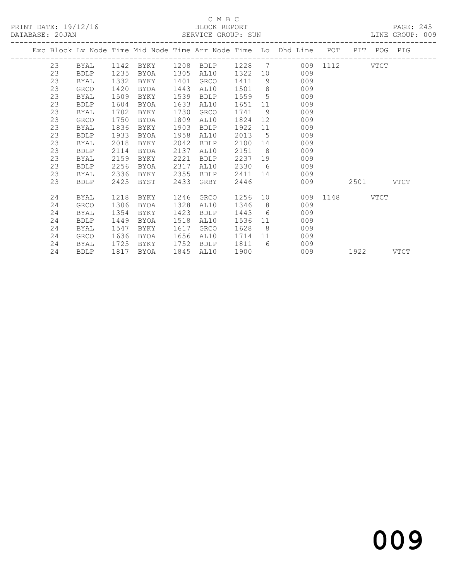PRINT DATE: 19/12/16 BLOCK REPORT<br>DATABASE: 20JAN SERVICE GROUP: SUN

# C M B C<br>BLOCK REPORT

PAGE: 245<br>LINE GROUP: 009

|  |    |             |      |           |      |                  |      |                 | Exc Block Lv Node Time Mid Node Time Arr Node Time Lo Dhd Line POT PIT POG PIG |               |           |      |
|--|----|-------------|------|-----------|------|------------------|------|-----------------|--------------------------------------------------------------------------------|---------------|-----------|------|
|  | 23 | BYAL        |      | 1142 BYKY |      | 1208 BDLP 1228 7 |      |                 |                                                                                | 009 1112 VTCT |           |      |
|  | 23 | <b>BDLP</b> | 1235 | BYOA      | 1305 | AL10             | 1322 | 10 <sup>°</sup> | 009                                                                            |               |           |      |
|  | 23 | BYAL        | 1332 | BYKY      | 1401 | GRCO             | 1411 | 9               | 009                                                                            |               |           |      |
|  | 23 | GRCO        | 1420 | BYOA      | 1443 | AL10             | 1501 | 8 <sup>8</sup>  | 009                                                                            |               |           |      |
|  | 23 | BYAL        | 1509 | BYKY      | 1539 | <b>BDLP</b>      | 1559 | 5               | 009                                                                            |               |           |      |
|  | 23 | <b>BDLP</b> | 1604 | BYOA      | 1633 | AL10             | 1651 | 11              | 009                                                                            |               |           |      |
|  | 23 | BYAL        | 1702 | BYKY      | 1730 | GRCO             | 1741 | 9               | 009                                                                            |               |           |      |
|  | 23 | <b>GRCO</b> | 1750 | BYOA      | 1809 | AL10             | 1824 | 12 <sup>°</sup> | 009                                                                            |               |           |      |
|  | 23 | BYAL        | 1836 | BYKY      | 1903 | <b>BDLP</b>      | 1922 | 11              | 009                                                                            |               |           |      |
|  | 23 | <b>BDLP</b> | 1933 | BYOA      | 1958 | AL10             | 2013 | 5               | 009                                                                            |               |           |      |
|  | 23 | <b>BYAL</b> | 2018 | BYKY      | 2042 | <b>BDLP</b>      | 2100 | 14              | 009                                                                            |               |           |      |
|  | 23 | <b>BDLP</b> | 2114 | BYOA      | 2137 | AL10             | 2151 | 8 <sup>8</sup>  | 009                                                                            |               |           |      |
|  | 23 | BYAL        | 2159 | BYKY      | 2221 | <b>BDLP</b>      | 2237 | 19              | 009                                                                            |               |           |      |
|  | 23 | <b>BDLP</b> | 2256 | BYOA      | 2317 | AL10             | 2330 | 6               | 009                                                                            |               |           |      |
|  | 23 | BYAL        | 2336 | BYKY      | 2355 | BDLP             | 2411 | 14              | 009                                                                            |               |           |      |
|  | 23 | <b>BDLP</b> | 2425 | BYST      | 2433 | GRBY             | 2446 |                 | 009                                                                            |               | 2501 VTCT |      |
|  | 24 | BYAL        | 1218 | BYKY      | 1246 | GRCO             | 1256 | 10              |                                                                                | 009 1148 VTCT |           |      |
|  | 24 | GRCO        | 1306 | BYOA      | 1328 | AL10             | 1346 | 8               | 009                                                                            |               |           |      |
|  | 24 | BYAL        | 1354 | BYKY      | 1423 | BDLP             | 1443 | 6               | 009                                                                            |               |           |      |
|  | 24 | <b>BDLP</b> | 1449 | BYOA      | 1518 | AL10             | 1536 | 11              | 009                                                                            |               |           |      |
|  | 24 | BYAL        | 1547 | BYKY      | 1617 | GRCO             | 1628 | 8               | 009                                                                            |               |           |      |
|  | 24 | GRCO        | 1636 | BYOA      | 1656 | AL10             | 1714 | 11              | 009                                                                            |               |           |      |
|  | 24 | BYAL        | 1725 | BYKY      | 1752 | <b>BDLP</b>      | 1811 | $6\degree$      | 009                                                                            |               |           |      |
|  | 24 | <b>BDLP</b> | 1817 | BYOA      | 1845 | AL10             | 1900 |                 | 009                                                                            |               | 1922      | VTCT |
|  |    |             |      |           |      |                  |      |                 |                                                                                |               |           |      |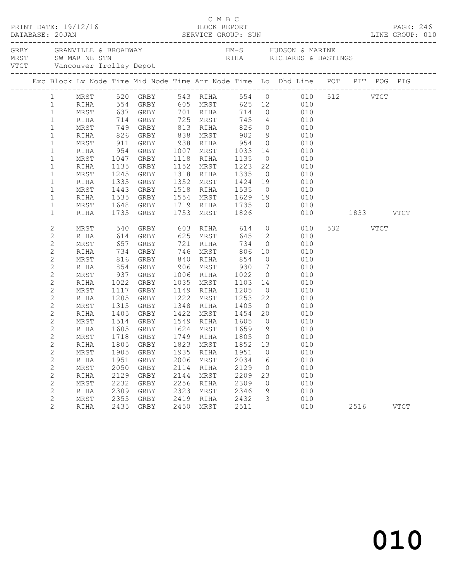|  | PRINT DATE: 19/12/16<br>DATABASE: 20JAN |            |                      |           |      |                                       |        |    | C M B C<br>BLOCK REPORT BLOCK REPORT PAGE: 246<br>SERVICE GROUP: SUN LINE GROUP: 010      |     |           |          |             |  |
|--|-----------------------------------------|------------|----------------------|-----------|------|---------------------------------------|--------|----|-------------------------------------------------------------------------------------------|-----|-----------|----------|-------------|--|
|  |                                         |            |                      |           |      |                                       |        |    |                                                                                           |     |           |          |             |  |
|  |                                         |            |                      |           |      |                                       |        |    | Exc Block Lv Node Time Mid Node Time Arr Node Time Lo Dhd Line POT PIT POG PIG            |     |           |          |             |  |
|  |                                         |            |                      |           |      |                                       |        |    | 1 MRST 520 GRBY 543 RIHA 554 0 010 512 VTCT                                               |     |           |          |             |  |
|  | $\mathbf{1}$                            | RIHA       |                      |           |      | 554 GRBY 605 MRST                     |        |    | 625 12 010                                                                                |     |           |          |             |  |
|  | $\mathbf{1}$                            | MRST       |                      |           |      |                                       |        |    | 637 GRBY 701 RIHA 714 0 010<br>714 GRBY 725 MRST 745 4 010<br>749 GRBY 813 RIHA 826 0 010 |     |           |          |             |  |
|  | $\mathbf{1}$                            | RIHA       |                      |           |      |                                       |        |    |                                                                                           |     |           |          |             |  |
|  | $\mathbf{1}$                            | MRST       |                      |           |      |                                       |        |    |                                                                                           |     |           |          |             |  |
|  | $\mathbf{1}$                            | RIHA       | 826 GRBY             |           |      |                                       |        |    | 838 MRST 902 9 010                                                                        |     |           |          |             |  |
|  | $\mathbf{1}$                            | MRST       | 911                  | GRBY      |      |                                       |        |    | 938 RIHA 954 0 010<br>1007 MRST 1033 14 010<br>1118 RIHA 1135 0 010                       |     |           |          |             |  |
|  | $\mathbf{1}$                            | RIHA       | 954                  | GRBY      |      |                                       |        |    |                                                                                           |     |           |          |             |  |
|  | $\mathbf{1}$                            | MRST       | 1047                 | GRBY      |      |                                       |        |    |                                                                                           |     |           |          |             |  |
|  | $\mathbf{1}$                            | RIHA       |                      | 1135 GRBY |      |                                       |        |    | 1152 MRST 1223 22 010                                                                     |     |           |          |             |  |
|  | $\mathbf{1}$                            | MRST       | 1245                 | GRBY      |      | 1318 RIHA 1335                        |        |    | $0$ 010                                                                                   |     |           |          |             |  |
|  | $\mathbf 1$                             | RIHA       | 1335                 | GRBY      |      |                                       |        |    | 1352 MRST 1424 19 010<br>1518 RIHA 1535 0 010                                             |     |           |          |             |  |
|  | $\mathbf{1}$                            | MRST       |                      | 1443 GRBY |      |                                       |        |    |                                                                                           |     |           |          |             |  |
|  | $\mathbf{1}$                            | RIHA       | 1535 GRBY            |           |      |                                       |        |    | 1554 MRST 1629 19 010                                                                     |     |           |          |             |  |
|  | $\mathbf{1}$                            | MRST       | 1648                 | GRBY      |      |                                       |        |    | 1719 RIHA 1735 0 010                                                                      |     |           |          |             |  |
|  | $\mathbf{1}$                            | RIHA       | 1735                 | GRBY      |      | 1753 MRST 1826                        |        |    |                                                                                           | 010 | 1833 VTCT |          |             |  |
|  | 2                                       | MRST       | 540                  | GRBY      |      | 603 RIHA 614                          |        |    | $0$ 010                                                                                   |     |           | 532 VTCT |             |  |
|  | $\overline{c}$                          | RIHA       | 614                  | GRBY      |      | 625 MRST                              |        |    | 645 12 010                                                                                |     |           |          |             |  |
|  | $\mathbf{2}$                            | MRST       | 657 GRBY<br>734 GRBY |           |      |                                       |        |    | $\overline{0}$                                                                            | 010 |           |          |             |  |
|  | $\mathbf{2}$                            | RIHA       |                      |           |      |                                       |        |    |                                                                                           | 010 |           |          |             |  |
|  | $\mathbf{2}$                            | MRST       | 816 GRBY             |           |      | 840 RIHA 854                          |        |    | $0$ 010                                                                                   |     |           |          |             |  |
|  | $\mathbf{2}$                            | RIHA       | 854                  | GRBY      |      |                                       |        |    | 906 MRST 930 7 010                                                                        |     |           |          |             |  |
|  | 2                                       | MRST       | $937$ $1022$         | GRBY      |      | 1006 RIHA 1022 0<br>1035 MRST 1103 14 |        |    | $\begin{array}{ccc} 0 & 010 \\ 14 & 010 \end{array}$                                      |     |           |          |             |  |
|  | $\mathbf{2}$                            | RIHA       |                      | 1022 GRBY |      |                                       |        |    | 010                                                                                       |     |           |          |             |  |
|  | 2                                       | MRST       |                      | 1117 GRBY |      | 1149 RIHA 1205                        |        |    | $\begin{array}{ccc}\n & & & & \\ 0 & & & & \\ 0 & & & & \\ 0 & & & & & \\ \end{array}$    |     |           |          |             |  |
|  | $\overline{c}$                          | RIHA       | 1205                 | GRBY      |      | 1222 MRST 1253 22                     |        |    | 010                                                                                       |     |           |          |             |  |
|  | $\overline{c}$                          | MRST       | 1315                 | GRBY      |      | 1348 RIHA 1405 0<br>1422 MRST 1454 20 |        |    | 010                                                                                       |     |           |          |             |  |
|  | $\mathbf{2}$                            | RIHA       |                      | 1405 GRBY |      |                                       |        |    | 010                                                                                       |     |           |          |             |  |
|  | $\mathbf{2}$                            | MRST       |                      |           |      |                                       |        |    | 1105 6651 1122 1165 1161 20 010<br>1514 GRBY 1549 RIHA 1605 0 010                         |     |           |          |             |  |
|  | $\overline{c}$                          | RIHA       |                      |           |      | 1605 GRBY 1624 MRST 1659 19           |        |    | 010                                                                                       |     |           |          |             |  |
|  | 2                                       | MRST       |                      | 1718 GRBY |      | 1749 RIHA                             | 1805 0 |    | 010                                                                                       |     |           |          |             |  |
|  | $\overline{2}$                          |            |                      |           |      | RIHA 1805 GRBY 1823 MRST 1852 13      |        |    | 010                                                                                       |     |           |          |             |  |
|  | 2                                       | MRST       | 1905                 | GRBY      | 1935 | RIHA                                  | 1951   | 0  |                                                                                           | 010 |           |          |             |  |
|  | $\mathbf{2}$                            | RIHA       | 1951                 | GRBY      | 2006 | MRST                                  | 2034   | 16 |                                                                                           | 010 |           |          |             |  |
|  | $\mathbf{2}$                            | MRST       | 2050                 | GRBY      | 2114 | RIHA                                  | 2129   | 0  |                                                                                           | 010 |           |          |             |  |
|  | $\sqrt{2}$                              | RIHA       | 2129                 | GRBY      | 2144 | MRST                                  | 2209   | 23 |                                                                                           | 010 |           |          |             |  |
|  | $\mathbf{2}$                            | MRST       | 2232                 | GRBY      | 2256 | RIHA                                  | 2309   | 0  |                                                                                           | 010 |           |          |             |  |
|  | 2                                       | RIHA       | 2309                 | GRBY      | 2323 | MRST                                  | 2346   | 9  |                                                                                           | 010 |           |          |             |  |
|  | 2                                       | $\tt MRST$ | 2355                 | GRBY      | 2419 | RIHA                                  | 2432   | 3  |                                                                                           | 010 |           |          |             |  |
|  | $\overline{2}$                          | RIHA       | 2435                 | GRBY      | 2450 | MRST                                  | 2511   |    |                                                                                           | 010 |           | 2516     | <b>VTCT</b> |  |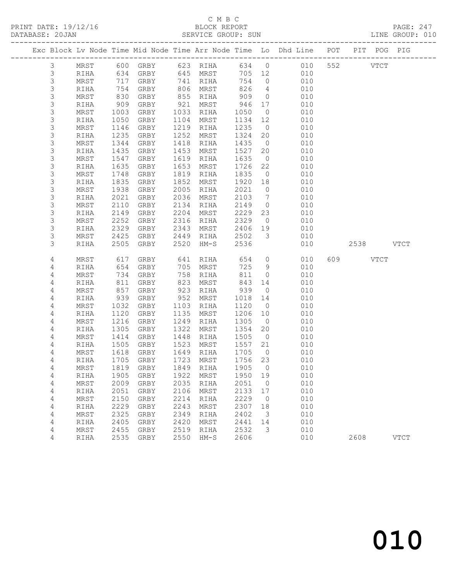PRINT DATE: 19/12/16 BLOCK REPORT<br>DATABASE: 20JAN BERVICE GROUP: SUN

# C M B C<br>BLOCK REPORT

PAGE: 247<br>LINE GROUP: 010

| . |                     |              |              |              |              | ATTLATAT ATIONT. |              |                      |                                                                    |     |             |             |             |
|---|---------------------|--------------|--------------|--------------|--------------|------------------|--------------|----------------------|--------------------------------------------------------------------|-----|-------------|-------------|-------------|
|   |                     |              |              |              |              |                  |              |                      | Exc Block Lv Node Time Mid Node Time Arr Node Time Lo Dhd Line POT |     | PIT POG PIG |             |             |
|   | 3                   | MRST         |              | 600 GRBY     |              | 623 RIHA         |              | 634 0                | 010                                                                | 552 |             | <b>VTCT</b> |             |
|   | 3                   | RIHA         | 634          | GRBY         |              | 645 MRST         |              | 705 12               | 010                                                                |     |             |             |             |
|   | $\mathsf S$         | MRST         | 717          | GRBY         |              | 741 RIHA         | 754          | $\overline{0}$       | 010                                                                |     |             |             |             |
|   | 3                   | RIHA         | 754          | GRBY         |              | 806 MRST         | 826          | $\overline{4}$       | 010                                                                |     |             |             |             |
|   | $\mathsf S$         | MRST         | 830          | GRBY         |              | 855 RIHA         | 909          | $\overline{0}$       | 010                                                                |     |             |             |             |
|   | 3                   | RIHA         | 909          | GRBY         | 921          | MRST             | 946          | 17                   | 010                                                                |     |             |             |             |
|   | 3                   | MRST         | 1003         | GRBY         | 1033         | RIHA             | 1050         | $\overline{0}$       | 010                                                                |     |             |             |             |
|   | $\mathsf S$         | RIHA         | 1050         | GRBY         | 1104         | MRST             | 1134         | 12                   | 010                                                                |     |             |             |             |
|   | 3<br>3              | MRST         | 1146<br>1235 | GRBY         | 1219<br>1252 | RIHA             | 1235<br>1324 | $\overline{0}$       | 010<br>010                                                         |     |             |             |             |
|   | 3                   | RIHA<br>MRST | 1344         | GRBY<br>GRBY | 1418         | MRST<br>RIHA     | 1435         | 20<br>$\overline{0}$ | 010                                                                |     |             |             |             |
|   | 3                   | RIHA         | 1435         | GRBY         | 1453         | MRST             | 1527         | 20                   | 010                                                                |     |             |             |             |
|   | 3                   | MRST         | 1547         | GRBY         | 1619         | RIHA             | 1635         | $\overline{0}$       | 010                                                                |     |             |             |             |
|   | 3                   | RIHA         | 1635         | GRBY         | 1653         | MRST             | 1726         | 22                   | 010                                                                |     |             |             |             |
|   | 3                   | MRST         | 1748         | GRBY         | 1819         | RIHA             | 1835         | $\overline{0}$       | 010                                                                |     |             |             |             |
|   | 3                   | RIHA         | 1835         | GRBY         | 1852         | MRST             | 1920         | 18                   | 010                                                                |     |             |             |             |
|   | 3                   | MRST         | 1938         | GRBY         | 2005         | RIHA             | 2021         | $\overline{0}$       | 010                                                                |     |             |             |             |
|   | 3                   | RIHA         | 2021         | GRBY         | 2036         | MRST             | 2103         | $\overline{7}$       | 010                                                                |     |             |             |             |
|   | 3                   | MRST         | 2110         | GRBY         | 2134         | RIHA             | 2149         | $\overline{0}$       | 010                                                                |     |             |             |             |
|   | 3                   | RIHA         | 2149         | GRBY         | 2204         | MRST             | 2229         | 23                   | 010                                                                |     |             |             |             |
|   | $\mathsf S$         | MRST         | 2252         | GRBY         | 2316         | RIHA             | 2329         | $\overline{0}$       | 010                                                                |     |             |             |             |
|   | 3                   | RIHA         | 2329         | GRBY         | 2343         | MRST             | 2406         | 19                   | 010                                                                |     |             |             |             |
|   | 3                   | MRST         | 2425         | GRBY         | 2449         | RIHA             | 2502         | $\mathcal{S}$        | 010                                                                |     |             |             |             |
|   | 3                   | RIHA         | 2505         | GRBY         | 2520         | $HM-S$           | 2536         |                      | 010                                                                |     | 2538 VTCT   |             |             |
|   | 4                   | MRST         | 617          | GRBY         | 641          | RIHA             | 654          | $\circ$              | 010                                                                | 609 |             | VTCT        |             |
|   | 4                   | RIHA         | 654          | GRBY         | 705          | MRST             | 725          | 9                    | 010                                                                |     |             |             |             |
|   | 4                   | MRST         | 734          | GRBY         | 758          | RIHA             | 811          | $\circ$              | 010                                                                |     |             |             |             |
|   | 4                   | RIHA         | 811          | GRBY         | 823          | MRST             | 843          | 14                   | 010                                                                |     |             |             |             |
|   | 4                   | MRST         | 857          | GRBY         | 923          | RIHA             | 939          | $\overline{0}$       | 010                                                                |     |             |             |             |
|   | 4                   | RIHA         | 939          | GRBY         | 952          | MRST             | 1018         | 14                   | 010                                                                |     |             |             |             |
|   | 4                   | MRST         | 1032         | GRBY         | 1103         | RIHA             | 1120         | $\overline{0}$       | 010                                                                |     |             |             |             |
|   | 4                   | RIHA         | 1120         | GRBY         | 1135         | MRST             | 1206         | 10                   | 010                                                                |     |             |             |             |
|   | 4                   | MRST         | 1216         | GRBY         | 1249         | RIHA             | 1305         | $\overline{0}$       | 010                                                                |     |             |             |             |
|   | 4                   | RIHA         | 1305         | GRBY         | 1322         | MRST             | 1354         | 20                   | 010                                                                |     |             |             |             |
|   | 4                   | MRST         | 1414         | GRBY         | 1448         | RIHA             | 1505         | $\overline{0}$       | 010                                                                |     |             |             |             |
|   | 4                   | RIHA         | 1505         | GRBY         | 1523         | MRST             | 1557         | 21                   | 010                                                                |     |             |             |             |
|   | 4                   | MRST         | 1618         | GRBY         | 1649         | RIHA             | 1705         | $\overline{0}$       | 010                                                                |     |             |             |             |
|   | 4                   | RIHA         | 1705         | GRBY         | 1723         | MRST             | 1756         | 23                   | 010                                                                |     |             |             |             |
|   | 4                   | MRST         | 1819         | GRBY         | 1849         | RIHA             | 1905         | 0                    | 010                                                                |     |             |             |             |
|   | 4                   | RIHA         | 1905<br>2009 | GRBY         | 1922<br>2035 | MRST             | 1950<br>2051 | 19                   | 010<br>010                                                         |     |             |             |             |
|   | $\overline{4}$<br>4 | MRST<br>RIHA | 2051         | GRBY<br>GRBY | 2106         | RIHA<br>MRST     | 2133         | $\circ$<br>17        | 010                                                                |     |             |             |             |
|   | 4                   | MRST         | 2150         | GRBY         | 2214         | RIHA             | 2229         | 0                    | 010                                                                |     |             |             |             |
|   | 4                   | RIHA         | 2229         | ${\tt GRBY}$ | 2243         | MRST             | 2307         | 18                   | 010                                                                |     |             |             |             |
|   | 4                   | MRST         | 2325         | GRBY         | 2349         | RIHA             | 2402         | 3                    | 010                                                                |     |             |             |             |
|   | 4                   | RIHA         | 2405         | GRBY         | 2420         | MRST             | 2441         | 14                   | 010                                                                |     |             |             |             |
|   | 4                   | MRST         | 2455         | GRBY         | 2519         | RIHA             | 2532         | 3                    | 010                                                                |     |             |             |             |
|   | 4                   | RIHA         | 2535         | GRBY         | 2550         | $HM-S$           | 2606         |                      | 010                                                                |     | 2608        |             | <b>VTCT</b> |
|   |                     |              |              |              |              |                  |              |                      |                                                                    |     |             |             |             |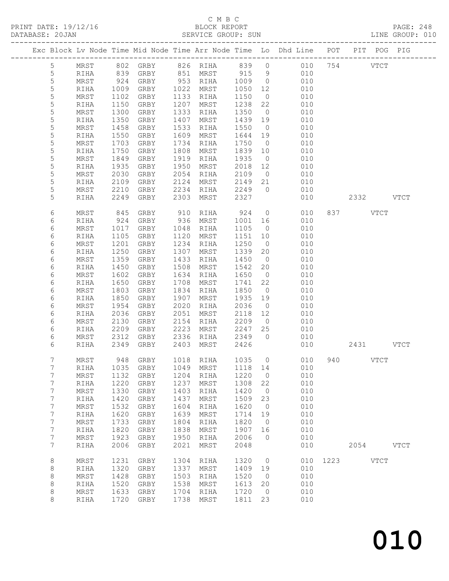# C M B C<br>BLOCK REPORT<br>SERVICE GROUP: SUN

| DATABASE: 20JAN |                  |            |                     |                |      | SERVICE GROUP: SUN   |         |                |                         |          |                                                                                | LINE GROUP: 010 |
|-----------------|------------------|------------|---------------------|----------------|------|----------------------|---------|----------------|-------------------------|----------|--------------------------------------------------------------------------------|-----------------|
|                 |                  |            |                     |                |      |                      |         |                |                         |          | Exc Block Lv Node Time Mid Node Time Arr Node Time Lo Dhd Line POT PIT POG PIG |                 |
|                 | $5\overline{)}$  |            |                     |                |      |                      |         |                |                         |          | MRST 802 GRBY 826 RIHA 839 0 010 754 VTCT                                      |                 |
|                 | $\overline{5}$   | RIHA       | 839                 |                |      |                      |         |                | GRBY 851 MRST 915 9 010 |          |                                                                                |                 |
|                 | 5                | MRST       | 924<br>1009<br>1102 |                |      | GRBY 953 RIHA 1009 0 |         |                | 010                     |          |                                                                                |                 |
|                 | $\mathsf S$      | RIHA       |                     | GRBY 1022 MRST |      |                      | 1050 12 |                | 010                     |          |                                                                                |                 |
|                 | 5                | MRST       |                     | GRBY           |      | 1133 RIHA            | 1150    | $\overline{0}$ | 010                     |          |                                                                                |                 |
|                 | 5                | RIHA       | 1150                | GRBY           |      | 1207 MRST            | 1238    | 22             | 010                     |          |                                                                                |                 |
|                 | 5                | MRST       | 1300                | GRBY           |      | 1333 RIHA            | 1350    | $\overline{0}$ | 010                     |          |                                                                                |                 |
|                 | $\mathsf S$      | RIHA       | 1350                | GRBY           | 1407 | MRST                 | 1439 19 |                | 010                     |          |                                                                                |                 |
|                 | 5                | MRST       | 1458                | GRBY           | 1533 | RIHA                 | 1550    | $\overline{0}$ | 010                     |          |                                                                                |                 |
|                 | 5                | RIHA       | 1550                | GRBY           | 1609 | MRST                 | 1644 19 |                | 010                     |          |                                                                                |                 |
|                 | 5                | MRST       | 1703                | GRBY           | 1734 | RIHA                 | 1750    | $\overline{0}$ | 010                     |          |                                                                                |                 |
|                 | 5                | RIHA       | 1750                | GRBY           | 1808 | MRST                 | 1839 10 |                | 010                     |          |                                                                                |                 |
|                 | 5                | MRST       | 1849                | GRBY           |      | 1919 RIHA            | 1935    | $\overline{0}$ | 010                     |          |                                                                                |                 |
|                 | 5                | RIHA       | 1935                | GRBY           | 1950 | MRST                 | 2018    | 12             | 010                     |          |                                                                                |                 |
|                 | 5                | MRST       | 2030                | GRBY           | 2054 | RIHA                 | 2109    |                | 0 0 1 0 0 1 0           |          |                                                                                |                 |
|                 | 5                | RIHA       | 2109                | GRBY           |      | 2124 MRST            | 2149 21 |                | 010                     |          |                                                                                |                 |
|                 | 5                | MRST       | 2210                | GRBY           |      | $2234$ RIHA          | 2249 0  |                | 010                     |          |                                                                                |                 |
|                 | 5                | RIHA       | 2249                | GRBY           | 2303 | MRST                 | 2327    |                | 010                     |          | 2332 VTCT                                                                      |                 |
|                 |                  |            |                     |                |      |                      |         |                |                         |          |                                                                                |                 |
|                 | 6                | MRST       | 845                 | GRBY           |      | 910 RIHA             | 924     | $\overline{O}$ | 010                     |          | 837 VTCT                                                                       |                 |
|                 | 6                | RIHA       | 924                 | GRBY           |      | 936 MRST             | 1001 16 |                | 010                     |          |                                                                                |                 |
|                 | 6                | MRST       | 1017                | GRBY           |      | 1048 RIHA            | 1105    |                | $\overline{O}$<br>010   |          |                                                                                |                 |
|                 | 6                | RIHA       | 1105                | GRBY           |      | 1120 MRST            | 1151    | 10             | 010                     |          |                                                                                |                 |
|                 | 6                | MRST       | 1201                | GRBY           |      | 1234 RIHA            | 1250    | $\overline{0}$ | 010                     |          |                                                                                |                 |
|                 | 6                | RIHA       | 1250                | GRBY           |      | 1307 MRST            | 1339    | 20             | 010                     |          |                                                                                |                 |
|                 | 6                | MRST       | 1359                | GRBY           | 1433 | RIHA                 | 1450    | $\overline{0}$ | 010                     |          |                                                                                |                 |
|                 | 6                | RIHA       | 1450                | GRBY           | 1508 | MRST                 | 1542    | 20             | 010                     |          |                                                                                |                 |
|                 | 6                | MRST       | 1602                | GRBY           | 1634 | RIHA                 | 1650    | $\overline{0}$ | 010                     |          |                                                                                |                 |
|                 | 6                | RIHA       | 1650                | GRBY           |      | 1708 MRST            | 1741    | 22             | 010                     |          |                                                                                |                 |
|                 | 6                | MRST       | 1803                | GRBY           |      | 1834 RIHA            | 1850    | $\overline{0}$ | 010                     |          |                                                                                |                 |
|                 | 6                | RIHA       | 1850                | GRBY           |      | 1907 MRST            | 1935    | 19             | 010                     |          |                                                                                |                 |
|                 | 6                | MRST       | 1954                | GRBY           | 2020 | RIHA                 | 2036    | $\overline{0}$ | 010                     |          |                                                                                |                 |
|                 | 6                | RIHA       | 2036                | GRBY           |      | 2051 MRST            | 2118    | 12             | 010                     |          |                                                                                |                 |
|                 | 6                | MRST       | 2130                | GRBY           | 2154 | RIHA                 | 2209    | $\overline{0}$ | 010                     |          |                                                                                |                 |
|                 | 6                | RIHA       | 2209                | GRBY           |      | 2223 MRST            | 2247 25 |                | 010                     |          |                                                                                |                 |
|                 | 6                | MRST       | 2312                | GRBY           |      | 2336 RIHA            | 2349 0  |                | 010                     |          |                                                                                |                 |
|                 | 6                | RIHA       | 2349                | GRBY           |      | 2403 MRST            | 2426    |                | 010                     |          | 2431 VTCT                                                                      |                 |
|                 | 7                | MRST       |                     |                |      |                      |         |                |                         |          | 948 GRBY 1018 RIHA 1035 0 010 940 VTCT                                         |                 |
|                 | 7                | RIHA       | 1035                | GRBY           | 1049 | MRST                 | 1118    | 14             | 010                     |          |                                                                                |                 |
|                 | 7                | $\tt MRST$ | 1132                | GRBY           | 1204 | RIHA                 | 1220    | $\overline{0}$ | 010                     |          |                                                                                |                 |
|                 | 7                | RIHA       | 1220                | GRBY           | 1237 | MRST                 | 1308    | 22             | 010                     |          |                                                                                |                 |
|                 | 7                | MRST       | 1330                | GRBY           | 1403 | RIHA                 | 1420    | $\overline{0}$ | 010                     |          |                                                                                |                 |
|                 | 7                | RIHA       | 1420                | GRBY           | 1437 | MRST                 | 1509    | 23             | 010                     |          |                                                                                |                 |
|                 | 7                | $\tt MRST$ | 1532                | GRBY           | 1604 | RIHA                 | 1620    | $\overline{0}$ | 010                     |          |                                                                                |                 |
|                 | $\boldsymbol{7}$ | RIHA       | 1620                | GRBY           | 1639 | MRST                 | 1714    | 19             | 010                     |          |                                                                                |                 |
|                 | 7                | $\tt MRST$ | 1733                | GRBY           | 1804 | RIHA                 | 1820    | $\overline{0}$ | 010                     |          |                                                                                |                 |
|                 | 7                | RIHA       | 1820                | GRBY           | 1838 | MRST                 | 1907    | 16             | 010                     |          |                                                                                |                 |
|                 | 7                | MRST       | 1923                | GRBY           | 1950 | RIHA                 | 2006    | $\circ$        | 010                     |          |                                                                                |                 |
|                 | 7                | RIHA       | 2006                | GRBY           | 2021 | MRST                 | 2048    |                | 010                     |          | 2054                                                                           | <b>VTCT</b>     |
|                 | 8                | MRST       | 1231                | GRBY           | 1304 | RIHA                 | 1320    | $\overline{0}$ |                         | 010 1223 | <b>VTCT</b>                                                                    |                 |
|                 | 8                | RIHA       | 1320                | GRBY           | 1337 | MRST                 | 1409    | 19             | 010                     |          |                                                                                |                 |
|                 | $\,8\,$          | MRST       | 1428                | GRBY           | 1503 | RIHA                 | 1520    | $\overline{0}$ | 010                     |          |                                                                                |                 |
|                 | 8                | RIHA       | 1520                | GRBY           | 1538 | MRST                 | 1613    | 20             | 010                     |          |                                                                                |                 |
|                 | 8                | MRST       | 1633                | GRBY           | 1704 | RIHA                 | 1720    | $\overline{0}$ | 010                     |          |                                                                                |                 |
|                 | 8                | RIHA       | 1720                | GRBY           | 1738 | MRST                 | 1811    | 23             | 010                     |          |                                                                                |                 |
|                 |                  |            |                     |                |      |                      |         |                |                         |          |                                                                                |                 |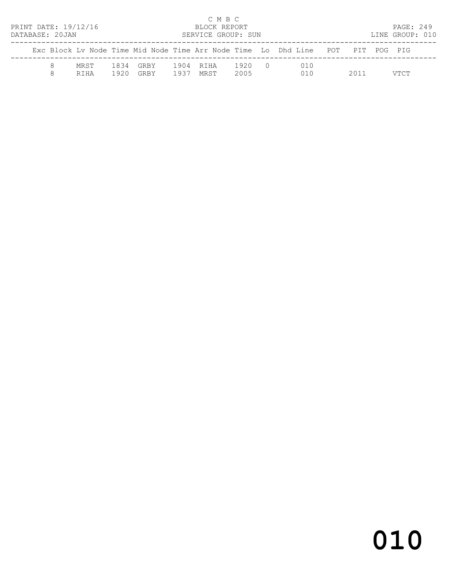| PRINT DATE: 19/12/16<br>DATABASE: 20JAN |                     |              |                     |              | C M B C<br>BLOCK REPORT<br>SERVICE GROUP: SUN |              |           |                                                                                |      | PAGE: 249<br>LINE GROUP: 010 |  |
|-----------------------------------------|---------------------|--------------|---------------------|--------------|-----------------------------------------------|--------------|-----------|--------------------------------------------------------------------------------|------|------------------------------|--|
|                                         |                     |              |                     |              |                                               |              |           | Exc Block Ly Node Time Mid Node Time Arr Node Time Lo Dhd Line POT PIT POG PIG |      |                              |  |
|                                         | MRST<br><b>RTHA</b> | 1834<br>1920 | GRBY<br><b>GRBY</b> | 1904<br>1937 | RTHA<br>MRST                                  | 1920<br>2005 | $\bigcap$ | 010<br>010                                                                     | 2011 | VTCT                         |  |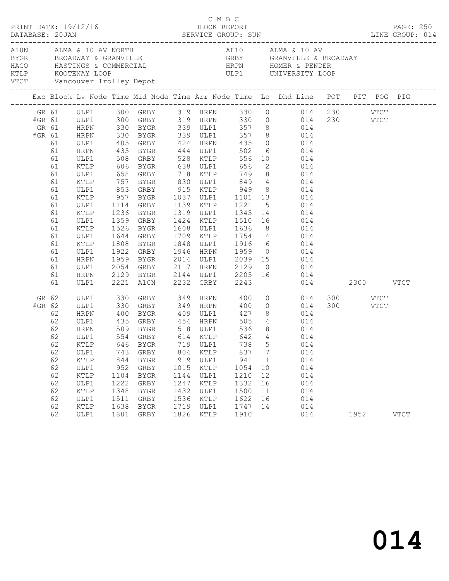|        |                           | PRINT DATE: 19/12/16 |      |                          |      | C M B C<br>BLOCK REPORT |      |                |                                                                                                                                                                                                                                      |  |      | PAGE: 250   |
|--------|---------------------------|----------------------|------|--------------------------|------|-------------------------|------|----------------|--------------------------------------------------------------------------------------------------------------------------------------------------------------------------------------------------------------------------------------|--|------|-------------|
|        |                           |                      |      |                          |      |                         |      |                | ALM ALMA & 10 AV NORTH AL10 ALMA & 10 AV ALMA & 10 AV BROADWAY & GRANVILLE A BROADWAY GRBY GRANVILLE & BROADWAY<br>HACO HASTINGS & COMMERCIAL HRPN HOMER & PENDER<br>KTLP KOOTENAY LOOP ULP1 UNIVERSITY LOOP<br>VTCT Vancouver Troll |  |      |             |
|        |                           |                      |      |                          |      |                         |      |                | Exc Block Lv Node Time Mid Node Time Arr Node Time Lo Dhd Line POT PIT POG PIG                                                                                                                                                       |  |      |             |
|        |                           |                      |      |                          |      |                         |      |                | GR 61 ULP1 300 GRBY 319 HRPN 330 0 014 230 VTCT                                                                                                                                                                                      |  |      |             |
|        |                           |                      |      |                          |      |                         |      |                | #GR 61 ULP1 300 GRBY 319 HRPN 330 0 014 230 VTCT                                                                                                                                                                                     |  |      |             |
|        | GR 61 HRPN<br>#GR 61 HRPN |                      |      |                          |      |                         |      |                |                                                                                                                                                                                                                                      |  |      |             |
|        |                           |                      |      |                          |      |                         |      |                | 330 BYGR 339 ULP1 357 8 014<br>330 BYGR 339 ULP1 357 8 014<br>405 GRBY 424 HRPN 435 0 014                                                                                                                                            |  |      |             |
|        | 61                        | ULP1                 |      |                          |      |                         |      |                | 6 014                                                                                                                                                                                                                                |  |      |             |
|        | 61                        | HRPN                 |      | 435 BYGR 444 ULP1 502    |      |                         |      |                |                                                                                                                                                                                                                                      |  |      |             |
|        | 61                        | ULP1                 |      |                          |      |                         |      |                |                                                                                                                                                                                                                                      |  |      |             |
|        | 61                        | KTLP                 |      |                          |      |                         |      |                |                                                                                                                                                                                                                                      |  |      |             |
|        | 61<br>61                  | ULP1                 | 757  |                          |      |                         |      |                | BYGR 830 ULP1 849 4 014                                                                                                                                                                                                              |  |      |             |
|        | 61                        | KTLP<br>ULP1         |      |                          |      |                         |      |                |                                                                                                                                                                                                                                      |  |      |             |
|        | 61                        | KTLP                 |      |                          |      |                         |      |                | 853 GRBY 915 KTLP 949 8 014                                                                                                                                                                                                          |  |      |             |
|        | 61                        | ULP1                 |      |                          |      |                         |      |                | 957 BYGR 1037 ULP1 1101 13 014<br>1114 GRBY 1139 KTLP 1221 15 014                                                                                                                                                                    |  |      |             |
|        | 61                        | KTLP                 | 1236 |                          |      |                         |      |                | BYGR 1319 ULP1 1345 14 014                                                                                                                                                                                                           |  |      |             |
|        | 61                        | ULP1                 |      |                          |      |                         |      |                | 1359 GRBY 1424 KTLP 1510 16 014                                                                                                                                                                                                      |  |      |             |
|        | 61                        | KTLP                 |      |                          |      |                         |      |                |                                                                                                                                                                                                                                      |  |      |             |
|        | 61                        | ULP1                 |      |                          |      |                         |      |                |                                                                                                                                                                                                                                      |  |      |             |
|        | 61                        | KTLP                 | 1808 |                          |      |                         |      |                | 1526 BYGR 1608 ULP1 1636 8 014<br>1644 GRBY 1709 KTLP 1754 14 014<br>1808 BYGR 1848 ULP1 1916 6 014                                                                                                                                  |  |      |             |
|        | 61                        | ULP1                 |      |                          |      |                         |      |                | 1922 GRBY 1946 HRPN 1959 0 014                                                                                                                                                                                                       |  |      |             |
|        | 61                        | HRPN                 |      |                          |      |                         |      |                |                                                                                                                                                                                                                                      |  |      |             |
|        | 61                        | ULP1                 |      |                          |      |                         |      |                | 1959 BYGR 2014 ULP1 2039 15 014<br>2054 GRBY 2117 HRPN 2129 0 014<br>2129 BYGR 2144 ULP1 2205 16 014                                                                                                                                 |  |      |             |
|        | 61                        | HRPN                 |      |                          |      |                         |      |                |                                                                                                                                                                                                                                      |  |      |             |
|        | 61                        | ULP1                 |      | 2221 A10N 2232 GRBY 2243 |      |                         |      |                | 014 2300 VTCT                                                                                                                                                                                                                        |  |      |             |
|        | GR 62                     |                      |      |                          |      |                         |      |                | ULP1 330 GRBY 349 HRPN 400 0 014 300 VTCT<br>ULP1 330 GRBY 349 HRPN 400 0 014 300 VTCT                                                                                                                                               |  |      |             |
| #GR 62 |                           | ULP1                 |      |                          |      |                         |      |                |                                                                                                                                                                                                                                      |  |      |             |
|        | 62                        | HRPN                 | 400  | BYGR 409 ULP1            |      |                         |      |                | 427 8 014                                                                                                                                                                                                                            |  |      |             |
|        | 62                        | ULP1                 |      |                          |      |                         |      |                | 4 014                                                                                                                                                                                                                                |  |      |             |
|        | 62                        | HRPN                 |      |                          |      |                         |      |                | $014$<br>$014$                                                                                                                                                                                                                       |  |      |             |
|        | 62                        | ULP1                 |      |                          |      |                         |      |                |                                                                                                                                                                                                                                      |  |      |             |
|        | 62                        |                      |      |                          |      |                         |      |                | KTLP 646 BYGR 719 ULP1 738 5 014                                                                                                                                                                                                     |  |      |             |
|        | 62                        | ULP1                 |      | 743 GRBY                 | 804  | KTLP                    | 837  | $\overline{7}$ | 014                                                                                                                                                                                                                                  |  |      |             |
|        | 62                        | KTLP                 | 844  | BYGR                     | 919  | ULP1                    | 941  | 11             | 014                                                                                                                                                                                                                                  |  |      |             |
|        | 62                        | ULP1                 | 952  | GRBY                     | 1015 | KTLP                    | 1054 | 10             | 014                                                                                                                                                                                                                                  |  |      |             |
|        | 62                        | KTLP                 | 1104 | BYGR                     | 1144 | ULP1                    | 1210 | 12             | 014                                                                                                                                                                                                                                  |  |      |             |
|        | 62                        | ULP1                 | 1222 | GRBY                     | 1247 | KTLP                    | 1332 | 16             | 014                                                                                                                                                                                                                                  |  |      |             |
|        | 62                        | KTLP                 | 1348 | <b>BYGR</b>              | 1432 | ULP1                    | 1500 | 11             | 014                                                                                                                                                                                                                                  |  |      |             |
|        | 62                        | ULP1                 | 1511 | GRBY                     | 1536 | KTLP                    | 1622 | 16             | 014                                                                                                                                                                                                                                  |  |      |             |
|        | 62                        | KTLP                 | 1638 | BYGR                     | 1719 | ULP1                    | 1747 | 14             | 014                                                                                                                                                                                                                                  |  |      |             |
|        | 62                        | ULP1                 |      | 1801 GRBY                | 1826 | KTLP                    | 1910 |                | 014                                                                                                                                                                                                                                  |  | 1952 | <b>VTCT</b> |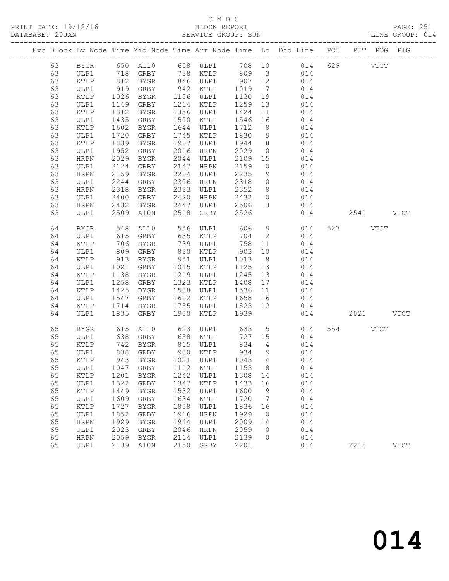PRINT DATE: 19/12/16 BLOCK REPORT<br>DATABASE: 20JAN BERVICE GROUP: SUN

# C M B C<br>BLOCK REPORT

PAGE: 251<br>LINE GROUP: 014

|  |    |               |      |                      |      |                      |                |                 | Exc Block Lv Node Time Mid Node Time Arr Node Time Lo Dhd Line POT PIT POG PIG |           |             |
|--|----|---------------|------|----------------------|------|----------------------|----------------|-----------------|--------------------------------------------------------------------------------|-----------|-------------|
|  | 63 | BYGR          |      |                      |      |                      |                |                 | 650 AL10 658 ULP1 708 10 014                                                   | 629 VTCT  |             |
|  | 63 | ULP1          |      | 718 GRBY             |      |                      |                |                 | 738 KTLP 809 3 014                                                             |           |             |
|  | 63 | KTLP          |      | 812 BYGR<br>919 GRBY |      | 846 ULP1<br>942 KTLP | $907 \quad 12$ |                 | 014                                                                            |           |             |
|  | 63 | ULP1          |      |                      |      |                      | 1019           | $7\overline{ }$ | 014                                                                            |           |             |
|  | 63 | KTLP          | 1026 | BYGR                 |      | 1106 ULP1            | 1130           | 19              | 014                                                                            |           |             |
|  | 63 | ULP1          | 1149 | GRBY                 | 1214 | KTLP                 | 1259           | 13              | 014                                                                            |           |             |
|  | 63 | KTLP          | 1312 | BYGR                 | 1356 | ULP1                 | 1424           | 11              | 014                                                                            |           |             |
|  | 63 | ULP1          | 1435 | GRBY                 | 1500 | KTLP                 | 1546           | 16              | 014                                                                            |           |             |
|  | 63 | KTLP          | 1602 | BYGR                 | 1644 | ULP1                 | 1712           | 8 <sup>8</sup>  | 014                                                                            |           |             |
|  | 63 | ULP1          | 1720 | GRBY                 | 1745 | KTLP                 | 1830           | 9               | 014                                                                            |           |             |
|  | 63 | KTLP          | 1839 | BYGR                 | 1917 | ULP1                 | 1944           | 8 <sup>8</sup>  | 014                                                                            |           |             |
|  | 63 | ULP1          | 1952 | GRBY                 | 2016 | HRPN                 | 2029           | $\overline{0}$  | 014                                                                            |           |             |
|  | 63 | HRPN          | 2029 | BYGR                 | 2044 | ULP1                 | 2109           | 15              | 014                                                                            |           |             |
|  | 63 | ULP1          | 2124 | GRBY                 | 2147 | HRPN                 | 2159           | $\overline{0}$  | 014                                                                            |           |             |
|  | 63 | HRPN          | 2159 | BYGR                 | 2214 | ULP1                 | 2235           | 9               | 014                                                                            |           |             |
|  | 63 | ULP1          | 2244 | GRBY                 | 2306 | HRPN                 | 2318           | $\circ$         | 014                                                                            |           |             |
|  | 63 | HRPN          | 2318 | BYGR                 | 2333 | ULP1                 | 2352           | 8               | 014                                                                            |           |             |
|  | 63 | ULP1          | 2400 | GRBY                 | 2420 | HRPN                 | 2432           | $\overline{0}$  | 014                                                                            |           |             |
|  | 63 | HRPN          | 2432 | BYGR                 | 2447 | ULP1                 | 2506           | $\mathcal{S}$   | 014                                                                            |           |             |
|  | 63 | ULP1          | 2509 | A10N                 | 2518 | GRBY                 | 2526           |                 | 014                                                                            | 2541 VTCT |             |
|  | 64 | BYGR          | 548  | AL10                 |      | 556 ULP1             | 606            | 9               | 014                                                                            | 527 VTCT  |             |
|  | 64 | ULP1          | 615  | GRBY                 | 635  | KTLP                 | 704            | $\overline{2}$  | 014                                                                            |           |             |
|  | 64 | KTLP          | 706  | BYGR                 | 739  | ULP1                 | 758            | 11              | 014                                                                            |           |             |
|  | 64 | ULP1          | 809  | GRBY                 | 830  | KTLP                 | 903            | 10              | 014                                                                            |           |             |
|  | 64 | KTLP          | 913  | BYGR                 | 951  | ULP1                 | 1013           | 8 <sup>8</sup>  | 014                                                                            |           |             |
|  | 64 | ULP1          | 1021 | GRBY                 | 1045 | KTLP                 | 1125           | 13              | 014                                                                            |           |             |
|  | 64 | KTLP          | 1138 | BYGR                 | 1219 | ULP1                 | 1245           | 13              | 014                                                                            |           |             |
|  | 64 | ULP1          | 1258 | GRBY                 | 1323 | KTLP                 | 1408           | 17              | 014                                                                            |           |             |
|  | 64 | KTLP          | 1425 | BYGR                 | 1508 | ULP1                 | 1536           | 11              | 014                                                                            |           |             |
|  | 64 | ULP1          | 1547 | GRBY                 | 1612 | KTLP                 | 1658           | 16              | 014                                                                            |           |             |
|  | 64 | KTLP          | 1714 | BYGR                 | 1755 | ULP1                 | 1823 12        |                 | 014                                                                            |           |             |
|  | 64 | ULP1          | 1835 | GRBY                 | 1900 | KTLP                 | 1939           |                 | 014                                                                            | 2021 VTCT |             |
|  | 65 | <b>BYGR</b>   | 615  | AL10                 | 623  | ULP1                 | 633            | 5 <sup>5</sup>  | 014                                                                            | 554 VTCT  |             |
|  | 65 | ULP1          | 638  | GRBY                 | 658  | KTLP                 | 727            | 15              | 014                                                                            |           |             |
|  | 65 | KTLP          | 742  | BYGR                 |      | 815 ULP1             | 834            | $\overline{4}$  | 014                                                                            |           |             |
|  | 65 | ULP1          | 838  | GRBY                 |      | 900 KTLP             | 934            | 9               | 014                                                                            |           |             |
|  | 65 | KTLP          |      | 943 BYGR             |      | 1021 ULP1            | 1043 4         |                 | 014                                                                            |           |             |
|  | 65 | ULP1          | 1047 | GRBY                 | 1112 | KTLP                 | 1153 8         |                 | 014                                                                            |           |             |
|  | 65 | KTLP          | 1201 | <b>BYGR</b>          | 1242 | ULP1                 | 1308           | 14              | 014                                                                            |           |             |
|  | 65 | ULP1          | 1322 | GRBY                 | 1347 | KTLP                 | 1433           | 16              | 014                                                                            |           |             |
|  | 65 | KTLP          | 1449 | <b>BYGR</b>          | 1532 | ULP1                 | 1600           | 9               | 014                                                                            |           |             |
|  | 65 | ULP1          | 1609 | GRBY                 | 1634 | KTLP                 | 1720           | 7               | 014                                                                            |           |             |
|  | 65 | $\verb KTLP $ | 1727 | <b>BYGR</b>          | 1808 | ULP1                 | 1836           | 16              | 014                                                                            |           |             |
|  | 65 | ULP1          | 1852 | GRBY                 | 1916 | <b>HRPN</b>          | 1929           | $\circ$         | 014                                                                            |           |             |
|  | 65 | <b>HRPN</b>   | 1929 | <b>BYGR</b>          | 1944 | ULP1                 | 2009           | 14              | 014                                                                            |           |             |
|  | 65 | ULP1          | 2023 | ${\tt GRBY}$         | 2046 | <b>HRPN</b>          | 2059           | 0               | 014                                                                            |           |             |
|  | 65 | <b>HRPN</b>   | 2059 | <b>BYGR</b>          | 2114 | ULP1                 | 2139           | 0               | 014                                                                            |           |             |
|  | 65 | ULP1          | 2139 | A10N                 | 2150 | GRBY                 | 2201           |                 | 014                                                                            | 2218      | <b>VTCT</b> |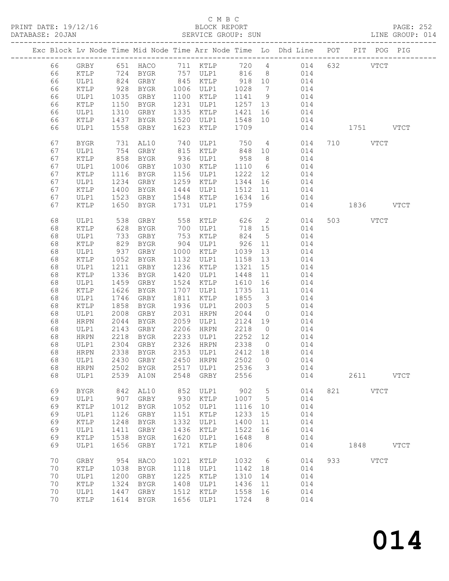PRINT DATE: 19/12/16<br>DATABASE: 20JAN

# C M B C<br>BLOCK REPORT<br>SERVICE GROUP: SUN

PAGE: 252<br>LINE GROUP: 014

| DAIABASE; ZUJAN |             |      |             |      | PERATOR GROOF: POM |         |                              |                                                                    |     |      |               | TIME GROOF: ATH |
|-----------------|-------------|------|-------------|------|--------------------|---------|------------------------------|--------------------------------------------------------------------|-----|------|---------------|-----------------|
|                 |             |      |             |      |                    |         |                              | Exc Block Lv Node Time Mid Node Time Arr Node Time Lo Dhd Line POT |     |      | PIT POG PIG   |                 |
| 66              | GRBY        |      | 651 HACO    |      | 711 KTLP           | 720 4   |                              | 014                                                                | 632 |      | <b>VTCT</b>   |                 |
| 66              | KTLP        | 724  | BYGR        |      | 757 ULP1           | 816     | 8 <sup>8</sup>               | 014                                                                |     |      |               |                 |
| 66              | ULP1        | 824  | GRBY        |      | 845 KTLP           | 918     | 10                           | 014                                                                |     |      |               |                 |
| 66              | KTLP        | 928  | BYGR        |      | 1006 ULP1          | 1028    | $7\phantom{.0}\phantom{.0}7$ | 014                                                                |     |      |               |                 |
| 66              | ULP1        | 1035 | GRBY        |      | 1100 KTLP          | 1141    | 9                            | 014                                                                |     |      |               |                 |
| 66              | KTLP        | 1150 | BYGR        | 1231 | ULP1               | 1257 13 |                              | 014                                                                |     |      |               |                 |
| 66              | ULP1        | 1310 | GRBY        | 1335 | KTLP               | 1421    | 16                           | 014                                                                |     |      |               |                 |
| 66              | KTLP        | 1437 | BYGR        | 1520 | ULP1               | 1548    | 10                           | 014                                                                |     |      |               |                 |
| 66              | ULP1        | 1558 | GRBY        | 1623 | KTLP               | 1709    |                              | 014                                                                |     | 1751 |               | <b>VTCT</b>     |
| 67              | <b>BYGR</b> | 731  | AL10        | 740  | ULP1               | 750     | $4\overline{4}$              | 014                                                                |     | 710  | <b>VTCT</b>   |                 |
| 67              | ULP1        | 754  | GRBY        | 815  | KTLP               | 848     | 10                           | 014                                                                |     |      |               |                 |
| 67              | KTLP        | 858  | BYGR        | 936  | ULP1               | 958     | 8 <sup>8</sup>               | 014                                                                |     |      |               |                 |
| 67              | ULP1        | 1006 | GRBY        | 1030 | KTLP               | 1110    | 6                            | 014                                                                |     |      |               |                 |
| 67              | KTLP        | 1116 | BYGR        | 1156 | ULP1               | 1222    | 12                           | 014                                                                |     |      |               |                 |
| 67              | ULP1        | 1234 | GRBY        | 1259 | KTLP               | 1344    | 16                           | 014                                                                |     |      |               |                 |
| 67              | KTLP        | 1400 | BYGR        | 1444 | ULP1               | 1512    | 11                           | 014                                                                |     |      |               |                 |
| 67              | ULP1        | 1523 | GRBY        | 1548 | KTLP               | 1634    | 16                           | 014                                                                |     |      |               |                 |
| 67              | <b>KTLP</b> | 1650 | BYGR        | 1731 | ULP1               | 1759    |                              | 014                                                                |     | 1836 |               | <b>VTCT</b>     |
| 68              | ULP1        | 538  | GRBY        | 558  | KTLP               | 626     | $\overline{2}$               | 014                                                                | 503 |      | <b>VTCT</b>   |                 |
| 68              | KTLP        | 628  | BYGR        | 700  | ULP1               | 718 15  |                              | 014                                                                |     |      |               |                 |
| 68              | ULP1        | 733  | GRBY        | 753  | KTLP               | 824     | $5\overline{)}$              | 014                                                                |     |      |               |                 |
| 68              | KTLP        | 829  | BYGR        | 904  | ULP1               | 926     | 11                           | 014                                                                |     |      |               |                 |
| 68              | ULP1        | 937  | GRBY        | 1000 | KTLP               | 1039    | 13                           | 014                                                                |     |      |               |                 |
| 68              | KTLP        | 1052 | BYGR        | 1132 | ULP1               | 1158    | 13                           | 014                                                                |     |      |               |                 |
| 68              | ULP1        | 1211 | GRBY        | 1236 | KTLP               | 1321    | 15                           | 014                                                                |     |      |               |                 |
| 68              | KTLP        | 1336 | BYGR        | 1420 | ULP1               | 1448    | 11                           | 014                                                                |     |      |               |                 |
| 68              | ULP1        | 1459 | GRBY        | 1524 | KTLP               | 1610    | 16                           | 014                                                                |     |      |               |                 |
| 68              | KTLP        | 1626 | BYGR        | 1707 | ULP1               | 1735    | 11                           | 014                                                                |     |      |               |                 |
| 68              | ULP1        | 1746 | GRBY        | 1811 | KTLP               | 1855    | $\overline{\mathbf{3}}$      | 014                                                                |     |      |               |                 |
| 68              | KTLP        | 1858 | BYGR        | 1936 | ULP1               | 2003    | $5\overline{)}$              | 014                                                                |     |      |               |                 |
| 68              | ULP1        | 2008 | GRBY        | 2031 | HRPN               | 2044    | $\overline{0}$               | 014                                                                |     |      |               |                 |
| 68              | <b>HRPN</b> | 2044 | BYGR        | 2059 | ULP1               | 2124    | 19                           | 014                                                                |     |      |               |                 |
| 68              | ULP1        | 2143 | GRBY        | 2206 | HRPN               | 2218    | $\overline{0}$               | 014                                                                |     |      |               |                 |
| 68              | HRPN        | 2218 | BYGR        | 2233 | ULP1               | 2252    | 12                           | 014                                                                |     |      |               |                 |
| 68              | ULP1        | 2304 | GRBY        | 2326 | HRPN               | 2338    | $\overline{0}$               | 014                                                                |     |      |               |                 |
| 68              | HRPN        | 2338 | BYGR        | 2353 | ULP1               | 2412    | 18                           | 014                                                                |     |      |               |                 |
| 68              | ULP1        | 2430 | GRBY        | 2450 | HRPN               | 2502    | $\bigcirc$                   | 014                                                                |     |      |               |                 |
| 68              | HRPN        | 2502 | BYGR        | 2517 | ULP1               | 2536    | 3                            | 014                                                                |     |      |               |                 |
| 68              | ULP1        | 2539 | A10N        | 2548 | GRBY               | 2556    |                              | 014                                                                |     | 2611 |               | <b>VTCT</b>     |
| 69              | <b>BYGR</b> | 842  | AL10        | 852  | ULP1               | 902     | 5                            | 014                                                                | 821 |      | $_{\rm VTCT}$ |                 |
| 69              | ULP1        | 907  | GRBY        | 930  | KTLP               | 1007    | 5                            | 014                                                                |     |      |               |                 |
| 69              | KTLP        | 1012 | <b>BYGR</b> | 1052 | ULP1               | 1116    | 10                           | 014                                                                |     |      |               |                 |
| 69              | ULP1        | 1126 | GRBY        | 1151 | KTLP               | 1233    | 15                           | 014                                                                |     |      |               |                 |
| 69              | KTLP        | 1248 | <b>BYGR</b> | 1332 | ULP1               | 1400    | 11                           | 014                                                                |     |      |               |                 |
| 69              | ULP1        | 1411 | GRBY        | 1436 | KTLP               | 1522    | 16                           | 014                                                                |     |      |               |                 |
| 69              | KTLP        | 1538 | <b>BYGR</b> | 1620 | ULP1               | 1648    | 8                            | 014                                                                |     |      |               |                 |
| 69              | ULP1        | 1656 | GRBY        | 1721 | KTLP               | 1806    |                              | 014                                                                |     | 1848 |               | <b>VTCT</b>     |
| 70              | GRBY        | 954  | HACO        | 1021 | KTLP               | 1032    | 6                            | 014                                                                | 933 |      | <b>VTCT</b>   |                 |
| 70              | KTLP        | 1038 | <b>BYGR</b> | 1118 | ULP1               | 1142    | 18                           | 014                                                                |     |      |               |                 |
| 70              | ULP1        | 1200 | GRBY        | 1225 | KTLP               | 1310    | 14                           | 014                                                                |     |      |               |                 |
| 70              | KTLP        | 1324 | <b>BYGR</b> | 1408 | ULP1               | 1436    | 11                           | 014                                                                |     |      |               |                 |
| 70              | ULP1        | 1447 | GRBY        | 1512 | KTLP               | 1558    | 16                           | 014                                                                |     |      |               |                 |
| 70              | KTLP        | 1614 | <b>BYGR</b> | 1656 | ULP1               | 1724    | 8                            | 014                                                                |     |      |               |                 |
|                 |             |      |             |      |                    |         |                              |                                                                    |     |      |               |                 |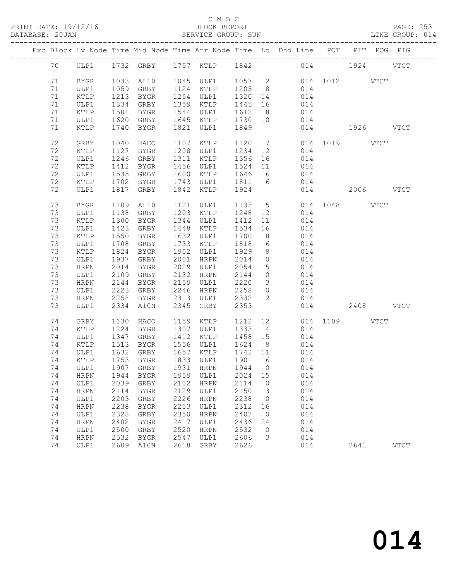#### C M B C<br>BLOCK REPORT SERVICE GROUP: SUN

|    |             |      |             |      |                   |         |                         | Exc Block Lv Node Time Mid Node Time Arr Node Time Lo Dhd Line POT PIT POG PIG |               |           |             |
|----|-------------|------|-------------|------|-------------------|---------|-------------------------|--------------------------------------------------------------------------------|---------------|-----------|-------------|
| 70 |             |      |             |      |                   |         |                         | ULP1 1732 GRBY 1757 KTLP 1842 014 1924 VTCT                                    |               |           |             |
| 71 | BYGR        |      | 1033 AL10   |      | 1045 ULP1 1057 2  |         |                         |                                                                                | 014 1012 VTCT |           |             |
| 71 | ULP1        |      | 1059 GRBY   |      | 1124 KTLP 1205 8  |         |                         | 014                                                                            |               |           |             |
| 71 | KTLP        | 1213 | BYGR        |      | 1254 ULP1 1320 14 |         |                         | 014                                                                            |               |           |             |
| 71 | ULP1        | 1334 | GRBY        |      | 1359 KTLP         | 1445 16 |                         | 014                                                                            |               |           |             |
| 71 | KTLP        | 1501 | BYGR        |      | 1544 ULP1         | 1612 8  |                         | 014                                                                            |               |           |             |
| 71 | ULP1        | 1620 | GRBY        |      | 1645 KTLP         | 1730 10 |                         | 014                                                                            |               |           |             |
| 71 | KTLP        | 1740 | BYGR        |      | 1821 ULP1         | 1849    |                         |                                                                                | 014 1926 VTCT |           |             |
| 72 | GRBY        | 1040 | HACO        |      | 1107 KTLP         |         |                         | 1120 7                                                                         | 014 1019 VTCT |           |             |
| 72 | KTLP        | 1127 | BYGR        |      | 1208 ULP1         | 1234 12 |                         | 014                                                                            |               |           |             |
| 72 | ULP1        | 1246 | GRBY        |      | 1311 KTLP         | 1356 16 |                         |                                                                                |               |           |             |
| 72 | KTLP        | 1412 | BYGR        |      | 1456 ULP1         | 1524 11 |                         | $014$<br>$014$                                                                 |               |           |             |
| 72 | ULP1        | 1535 | GRBY        |      | 1600 KTLP         | 1646 16 |                         | 014                                                                            |               |           |             |
| 72 | KTLP        | 1702 | BYGR        |      | 1743 ULP1         | 1811 6  |                         | 014                                                                            |               |           |             |
| 72 | ULP1        | 1817 | GRBY        |      | 1842 KTLP         | 1924    |                         |                                                                                | 014           | 2006 VTCT |             |
| 73 | BYGR        |      | 1109 AL10   |      | 1121 ULP1         |         |                         | 1133 5                                                                         | 014 1048 VTCT |           |             |
| 73 | ULP1        | 1138 | GRBY        |      | 1203 KTLP         | 1248 12 |                         | 014                                                                            |               |           |             |
| 73 | KTLP        | 1300 | BYGR        |      | 1344 ULP1         | 1412    | 11                      | 014                                                                            |               |           |             |
| 73 | ULP1        | 1423 | GRBY        |      | 1448 KTLP         | 1534 16 |                         | 014                                                                            |               |           |             |
| 73 | KTLP        | 1550 | BYGR        |      | 1632 ULP1         | 1700    | 8 <sup>8</sup>          | 014                                                                            |               |           |             |
| 73 | ULP1        | 1708 | GRBY        |      | 1733 KTLP         | 1818    | $6\overline{6}$         | 014                                                                            |               |           |             |
| 73 | KTLP        | 1824 | BYGR        |      | 1902 ULP1         | 1929    | 8 <sup>8</sup>          | 014                                                                            |               |           |             |
| 73 | ULP1        | 1937 | GRBY        |      | 2001 HRPN         | 2014    | $\overline{0}$          | 014                                                                            |               |           |             |
| 73 | HRPN        | 2014 | BYGR        |      | 2029 ULP1         | 2054 15 |                         | 014                                                                            |               |           |             |
| 73 | ULP1        | 2109 | GRBY        |      | 2132 HRPN         | 2144    | $\overline{0}$          | 014                                                                            |               |           |             |
| 73 | HRPN        | 2144 | BYGR        |      | 2159 ULP1         | 2220    | $\overline{\mathbf{3}}$ | 014                                                                            |               |           |             |
| 73 | ULP1        | 2223 | GRBY        |      | 2246 HRPN         | 2258    | $\overline{0}$          | 014                                                                            |               |           |             |
| 73 | HRPN        | 2258 | BYGR        |      | 2313 ULP1         | 2332    | $\overline{2}$          | 014                                                                            |               |           |             |
| 73 | ULP1        |      | 2334 A10N   | 2345 | GRBY              | 2353    |                         |                                                                                | 014 2408 VTCT |           |             |
| 74 | GRBY        | 1130 | HACO        |      | 1159 KTLP         | 1212 12 |                         |                                                                                | 014 1109 VTCT |           |             |
| 74 | KTLP        |      | 1224 BYGR   |      | 1307 ULP1         | 1333 14 |                         | 014                                                                            |               |           |             |
| 74 | ULP1        | 1347 | GRBY        |      | 1412 KTLP         | 1458 15 |                         | 014                                                                            |               |           |             |
| 74 | KTLP        | 1513 | BYGR        |      | 1556 ULP1         | 1624 8  |                         | 014                                                                            |               |           |             |
| 74 | ULP1        | 1632 | GRBY        |      | 1657 KTLP         | 1742 11 |                         | 014                                                                            |               |           |             |
| 74 | KTLP        |      | $1753$ BYGR |      | 1833 ULP1         | 1901 6  |                         | 014                                                                            |               |           |             |
|    |             |      |             |      |                   |         |                         | 74  ULP1  1907  GRBY  1931  HRPN  1944  0  014                                 |               |           |             |
| 74 | HRPN        | 1944 | BYGR        | 1959 | ULP1              | 2024    | 15                      | 014                                                                            |               |           |             |
| 74 | ULP1        | 2039 | GRBY        | 2102 | HRPN              | 2114    | $\overline{0}$          | 014                                                                            |               |           |             |
| 74 | HRPN        | 2114 | BYGR        | 2129 | ULP1              | 2150    | 13                      | 014                                                                            |               |           |             |
| 74 | ULP1        | 2203 | GRBY        | 2226 | HRPN              | 2238    | $\overline{0}$          | 014                                                                            |               |           |             |
| 74 | <b>HRPN</b> | 2238 | <b>BYGR</b> | 2253 | ULP1              | 2312    | 16                      | 014                                                                            |               |           |             |
| 74 | ULP1        | 2328 | GRBY        | 2350 | <b>HRPN</b>       | 2402    | $\overline{0}$          | 014                                                                            |               |           |             |
| 74 | HRPN        | 2402 | BYGR        | 2417 | ULP1              | 2436    | 24                      | 014                                                                            |               |           |             |
| 74 | ULP1        | 2500 | GRBY        | 2520 | <b>HRPN</b>       | 2532    | $\overline{0}$          | 014                                                                            |               |           |             |
| 74 | HRPN        | 2532 | BYGR        | 2547 | ULP1              | 2606    | 3                       | 014                                                                            |               |           |             |
| 74 | ULP1        |      | 2609 A10N   | 2618 | GRBY              | 2626    |                         | 014                                                                            |               | 2641      | <b>VTCT</b> |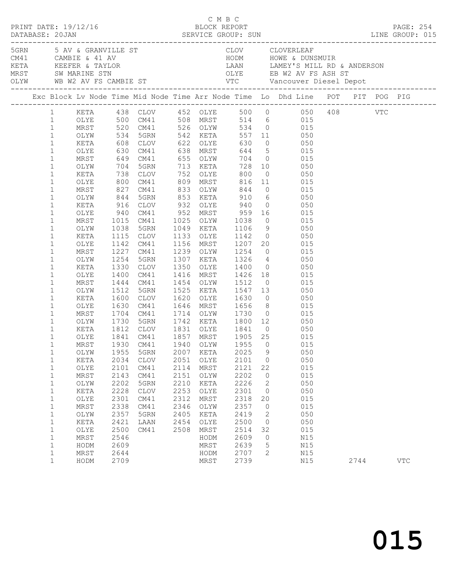|                                              |                      |                      |                                                                 |                      |                                     |                           |                |                                                                                                                        |      | PAGE: 254<br>LINE GROUP: 015                                                   |
|----------------------------------------------|----------------------|----------------------|-----------------------------------------------------------------|----------------------|-------------------------------------|---------------------------|----------------|------------------------------------------------------------------------------------------------------------------------|------|--------------------------------------------------------------------------------|
|                                              |                      |                      |                                                                 |                      |                                     |                           |                |                                                                                                                        |      |                                                                                |
|                                              |                      |                      |                                                                 |                      |                                     |                           |                |                                                                                                                        |      | Exc Block Lv Node Time Mid Node Time Arr Node Time Lo Dhd Line POT PIT POG PIG |
|                                              |                      |                      |                                                                 |                      |                                     |                           |                | 1 KETA 438 CLOV 452 OLYE 500 0 050 408 VTC<br>1 OLYE 500 CM41 508 MRST 514 6 015<br>1 MRST 520 CM41 526 OLYW 534 0 015 |      |                                                                                |
| $\mathbf{1}$<br>$\mathbf{1}$                 | KETA                 |                      | OLYW 534 5GRN 542 KETA                                          |                      |                                     |                           |                | 557 11 050                                                                                                             |      |                                                                                |
| $\mathbf{1}$<br>$\mathbf{1}$                 | OLYE<br>MRST         |                      |                                                                 |                      |                                     |                           |                | 608 CLOV 622 OLYE 630 0 050<br>630 CM41 638 MRST 644 5 015<br>649 CM41 655 OLYW 704 0 015                              |      |                                                                                |
| $\mathbf{1}$<br>$\mathbf{1}$                 | OLYW<br>KETA         |                      | 704 5GRN 713 KETA<br>738 CLOV                                   |                      | 752 OLYE                            | 800                       |                | 728 10 050<br>$0 \qquad \qquad 050$                                                                                    |      |                                                                                |
| $\mathbf{1}$<br>$\mathbf{1}$<br>$\mathbf{1}$ | OLYE<br>MRST<br>OLYW |                      | 800 CM41 809 MRST<br>827 CM41 833 OLYW<br>844 5GRN 853 KETA     |                      |                                     |                           |                | 809 MRST 816 11 015<br>833 OLYW 844 0 015<br>853 KETA 910 6 050                                                        |      |                                                                                |
| $\mathbf{1}$<br>$\mathbf{1}$<br>$1\,$        | KETA<br>OLYE         |                      | 916 CLOV 932 OLYE 940<br>940 CM41<br>1015 CM41                  |                      | 952 MRST<br>1025 OLYW               | 959<br>1038<br>1106       |                | $0 \qquad \qquad 050$<br>$\begin{array}{ccc} 16 & & 015 \\ 0 & & 015 \\ 9 & & 050 \end{array}$                         |      |                                                                                |
| $\mathbf{1}$<br>$\mathbf{1}$                 | MRST<br>OLYW<br>KETA | 1038                 | 5GRN<br>1115 CLOV                                               |                      | 1049 KETA<br>1133 OLYE              | 1142                      |                | $0\qquad \qquad 050$                                                                                                   |      |                                                                                |
| $\mathbf{1}$<br>$\mathbf{1}$<br>$\mathbf{1}$ | OLYE<br>MRST         |                      | 1142 CM41<br>1227 CM41<br>1254 5GRN                             |                      | 1156 MRST<br>1239 OLYW<br>1307 KETA |                           |                | 1207  20  015<br>1254  0  015<br>1254 0 015<br>1326 4 050                                                              |      |                                                                                |
| $\mathbf{1}$<br>$\mathbf{1}$                 | OLYW<br>KETA<br>OLYE | 1330<br>1400         | CLOV<br>CM41                                                    | 1350                 | 1416 MRST                           | OLYE 1400<br>1426         |                | $0\qquad \qquad 050$<br>18 015                                                                                         |      |                                                                                |
| $\mathbf{1}$<br>$\mathbf{1}$                 | MRST<br>OLYW         |                      | 1444 CM41<br>1512 5GRN<br>1600 CLOV                             |                      | 1454 OLYW<br>1525 KETA              | 1512<br>1620 OLYE 1630    | $\overline{0}$ | 015<br>$1512$ $050$<br>$1547$ $13$ 050<br>$0$ 050                                                                      |      |                                                                                |
| $\mathbf{1}$<br>$\mathbf{1}$<br>$\mathbf{1}$ | KETA<br>OLYE<br>MRST | 1630                 | CM41                                                            |                      | 1646 MRST<br>1714 OLYW              |                           |                | 1656 8 015<br>1730 0 015<br>1800 12 050                                                                                |      |                                                                                |
| $\mathbf{1}$<br>$\mathbf{1}$<br>$\mathbf{1}$ | OLYW<br>KETA<br>OLYE |                      | 1704 CM41<br>1730 5GRN<br>1812 CLOV 1831 OLYE 1841<br>1841 CM41 |                      | 1742 KETA                           |                           |                |                                                                                                                        |      |                                                                                |
| $\mathbf{1}$<br>$\mathbf 1$                  | MRST                 |                      | 1930 CM41                                                       |                      | 1940 OLYW                           | 1857 MRST 1905 25<br>1955 | $\overline{0}$ | 015<br>015<br>OLYW 1955 5GRN 2007 KETA 2025 9 050                                                                      |      |                                                                                |
| 1<br>$1\,$<br>$\mathbf 1$                    | KETA<br>OLYE<br>MRST | 2034<br>2101<br>2143 | <b>CLOV</b><br>CM41<br>CM41                                     | 2051<br>2114<br>2151 | OLYE<br>MRST<br>OLYW                | 2101<br>2121<br>2202      | 0<br>22<br>0   | 050<br>015<br>015                                                                                                      |      |                                                                                |
| $1\,$<br>$\mathbf 1$                         | OLYW<br>KETA         | 2202<br>2228         | 5GRN<br><b>CLOV</b>                                             | 2210<br>2253         | KETA<br>OLYE                        | 2226<br>2301              | 2<br>0         | 050<br>050                                                                                                             |      |                                                                                |
| $1\,$<br>$\mathbf 1$<br>$\,1$                | OLYE<br>MRST<br>OLYW | 2301<br>2338<br>2357 | CM41<br>CM41<br>5GRN                                            | 2312<br>2346<br>2405 | MRST<br>OLYW<br>KETA                | 2318<br>2357<br>2419      | 20<br>0<br>2   | 015<br>015<br>050                                                                                                      |      |                                                                                |
| $\mathbf{1}$<br>$\mathbf{1}$                 | KETA<br>OLYE         | 2421<br>2500         | LAAN<br>CM41                                                    | 2454<br>2508         | OLYE<br>MRST                        | 2500<br>2514              | $\circ$<br>32  | 050<br>015                                                                                                             |      |                                                                                |
| $\mathbf{1}$<br>$\mathbf{1}$<br>$\mathbf 1$  | MRST<br>HODM<br>MRST | 2546<br>2609<br>2644 |                                                                 |                      | HODM<br>MRST<br>HODM                | 2609<br>2639<br>2707      | 0<br>5<br>2    | N15<br>N15<br>N15                                                                                                      |      |                                                                                |
| $\mathbf{1}$                                 | HODM                 | 2709                 |                                                                 |                      | MRST                                | 2739                      |                | N15                                                                                                                    | 2744 | $_{\rm VTC}$                                                                   |

C M B C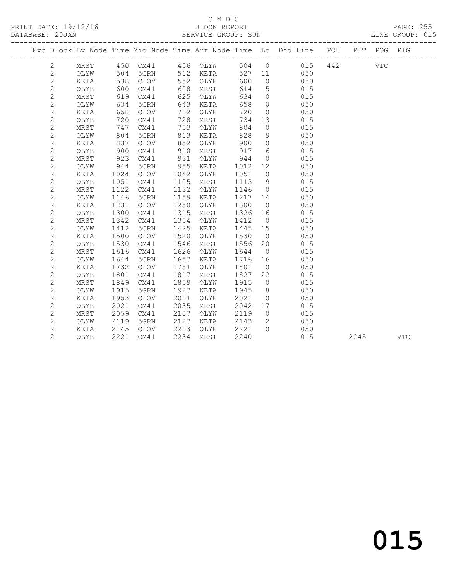#### C M B C<br>BLOCK REPORT SERVICE GROUP: SUN

|  |                |             |      |             |      |          |      |                | Exc Block Lv Node Time Mid Node Time Arr Node Time Lo Dhd Line POT |     |      | PIT POG PIG |            |
|--|----------------|-------------|------|-------------|------|----------|------|----------------|--------------------------------------------------------------------|-----|------|-------------|------------|
|  | 2              | MRST        | 450  | CM41        |      | 456 OLYW | 504  | $\overline{0}$ | 015                                                                | 442 |      | <b>VTC</b>  |            |
|  | $\mathbf{2}$   | OLYW        | 504  | 5GRN        | 512  | KETA     | 527  | 11             | 050                                                                |     |      |             |            |
|  | $\mathbf{2}$   | KETA        | 538  | CLOV        | 552  | OLYE     | 600  | $\circ$        | 050                                                                |     |      |             |            |
|  | 2              | OLYE        | 600  | CM41        | 608  | MRST     | 614  | 5              | 015                                                                |     |      |             |            |
|  | $\mathbf{2}$   | MRST        | 619  | CM41        | 625  | OLYW     | 634  | $\circ$        | 015                                                                |     |      |             |            |
|  | $\mathbf{2}$   | OLYW        | 634  | 5GRN        | 643  | KETA     | 658  | $\overline{0}$ | 050                                                                |     |      |             |            |
|  | $\mathbf{2}$   | KETA        | 658  | <b>CLOV</b> | 712  | OLYE     | 720  | $\circ$        | 050                                                                |     |      |             |            |
|  | $\mathbf{2}$   | OLYE        | 720  | CM41        | 728  | MRST     | 734  | 13             | 015                                                                |     |      |             |            |
|  | $\mathbf{2}$   | MRST        | 747  | CM41        | 753  | OLYW     | 804  | $\Omega$       | 015                                                                |     |      |             |            |
|  | $\mathbf{2}$   | OLYW        | 804  | 5GRN        | 813  | KETA     | 828  | 9              | 050                                                                |     |      |             |            |
|  | $\overline{c}$ | <b>KETA</b> | 837  | CLOV        | 852  | OLYE     | 900  | 0              | 050                                                                |     |      |             |            |
|  | $\mathbf{2}$   | OLYE        | 900  | CM41        | 910  | MRST     | 917  | 6              | 015                                                                |     |      |             |            |
|  | $\mathbf{2}$   | MRST        | 923  | CM41        | 931  | OLYW     | 944  | $\circ$        | 015                                                                |     |      |             |            |
|  | $\mathbf{2}$   | OLYW        | 944  | 5GRN        | 955  | KETA     | 1012 | 12             | 050                                                                |     |      |             |            |
|  | $\mathbf{2}$   | KETA        | 1024 | <b>CLOV</b> | 1042 | OLYE     | 1051 | $\overline{0}$ | 050                                                                |     |      |             |            |
|  | $\mathbf{2}$   | OLYE        | 1051 | CM41        | 1105 | MRST     | 1113 | 9              | 015                                                                |     |      |             |            |
|  | $\mathbf{2}$   | MRST        | 1122 | CM41        | 1132 | OLYW     | 1146 | $\overline{0}$ | 015                                                                |     |      |             |            |
|  | $\sqrt{2}$     | OLYW        | 1146 | 5GRN        | 1159 | KETA     | 1217 | 14             | 050                                                                |     |      |             |            |
|  | $\mathbf{2}$   | KETA        | 1231 | <b>CLOV</b> | 1250 | OLYE     | 1300 | $\overline{0}$ | 050                                                                |     |      |             |            |
|  | $\mathbf{2}$   | OLYE        | 1300 | CM41        | 1315 | MRST     | 1326 | 16             | 015                                                                |     |      |             |            |
|  | $\overline{c}$ | MRST        | 1342 | CM41        | 1354 | OLYW     | 1412 | $\overline{0}$ | 015                                                                |     |      |             |            |
|  | $\mathbf{2}$   | OLYW        | 1412 | 5GRN        | 1425 | KETA     | 1445 | 15             | 050                                                                |     |      |             |            |
|  | $\mathbf{2}$   | KETA        | 1500 | CLOV        | 1520 | OLYE     | 1530 | $\overline{0}$ | 050                                                                |     |      |             |            |
|  | $\mathbf{2}$   | OLYE        | 1530 | CM41        | 1546 | MRST     | 1556 | 20             | 015                                                                |     |      |             |            |
|  | $\mathbf{2}$   | MRST        | 1616 | CM41        | 1626 | OLYW     | 1644 | $\overline{0}$ | 015                                                                |     |      |             |            |
|  | $\mathbf{2}$   | OLYW        | 1644 | 5GRN        | 1657 | KETA     | 1716 | 16             | 050                                                                |     |      |             |            |
|  | $\mathbf 2$    | KETA        | 1732 | <b>CLOV</b> | 1751 | OLYE     | 1801 | $\overline{0}$ | 050                                                                |     |      |             |            |
|  | $\mathbf{2}$   | OLYE        | 1801 | CM41        | 1817 | MRST     | 1827 | 22             | 015                                                                |     |      |             |            |
|  | $\mathbf{2}$   | MRST        | 1849 | CM41        | 1859 | OLYW     | 1915 | $\overline{0}$ | 015                                                                |     |      |             |            |
|  | $\mathbf{2}$   | OLYW        | 1915 | 5GRN        | 1927 | KETA     | 1945 | 8              | 050                                                                |     |      |             |            |
|  | $\mathbf{2}$   | KETA        | 1953 | <b>CLOV</b> | 2011 | OLYE     | 2021 | $\circ$        | 050                                                                |     |      |             |            |
|  | $\mathbf 2$    | OLYE        | 2021 | CM41        | 2035 | MRST     | 2042 | 17             | 015                                                                |     |      |             |            |
|  | $\overline{c}$ | <b>MRST</b> | 2059 | CM41        | 2107 | OLYW     | 2119 | $\overline{0}$ | 015                                                                |     |      |             |            |
|  | $\mathbf{2}$   | OLYW        | 2119 | 5GRN        | 2127 | KETA     | 2143 | $\mathbf{2}$   | 050                                                                |     |      |             |            |
|  | $\overline{c}$ | KETA        | 2145 | CLOV        | 2213 | OLYE     | 2221 | $\Omega$       | 050                                                                |     |      |             |            |
|  | $\overline{2}$ | OLYE        | 2221 | CM41        | 2234 | MRST     | 2240 |                | 015                                                                |     | 2245 |             | <b>VTC</b> |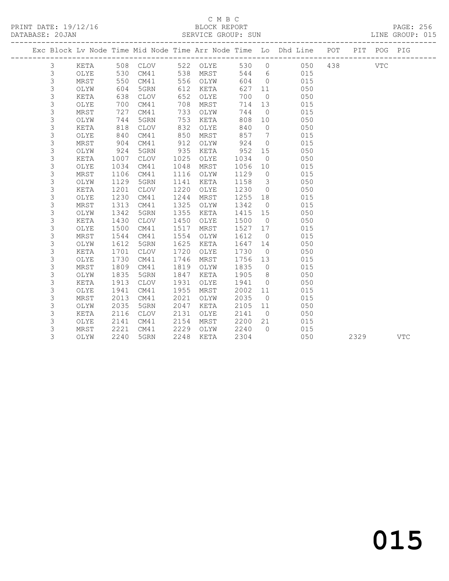PRINT DATE: 19/12/16 BLOCK REPORT<br>DATABASE: 20JAN SERVICE GROUP: SUN

### C M B C<br>BLOCK REPORT

PAGE: 256<br>LINE GROUP: 015

|                |             |      |             |      |             |         |                         | ---------------------                                              |     |      |             |            |
|----------------|-------------|------|-------------|------|-------------|---------|-------------------------|--------------------------------------------------------------------|-----|------|-------------|------------|
|                |             |      |             |      |             |         |                         | Exc Block Lv Node Time Mid Node Time Arr Node Time Lo Dhd Line POT |     |      | PIT POG PIG |            |
| 3              | KETA        |      | 508 CLOV    |      | 522 OLYE    |         | 530 0                   | 050                                                                | 438 |      | <b>VTC</b>  |            |
| 3              | OLYE        | 530  | CM41        | 538  | MRST        |         | 544 6                   | 015                                                                |     |      |             |            |
| $\mathsf 3$    | MRST        | 550  | CM41        |      | 556 OLYW    | 604     | $\overline{0}$          | 015                                                                |     |      |             |            |
| $\mathsf 3$    | OLYW        | 604  | 5GRN        | 612  | KETA        | 627     | 11                      | 050                                                                |     |      |             |            |
| $\mathsf 3$    | KETA        | 638  | CLOV        | 652  | OLYE        | 700     | $\overline{0}$          | 050                                                                |     |      |             |            |
| 3              | OLYE        | 700  | CM41        | 708  | MRST        | 714     | 13                      | 015                                                                |     |      |             |            |
| 3              | MRST        | 727  | CM41        | 733  | OLYW        | 744     | $\overline{0}$          | 015                                                                |     |      |             |            |
| 3              | OLYW        | 744  | 5GRN        | 753  | KETA        | 808     | 10                      | 050                                                                |     |      |             |            |
| $\mathsf 3$    | KETA        | 818  | <b>CLOV</b> | 832  | OLYE        | 840     | $\overline{0}$          | 050                                                                |     |      |             |            |
| $\mathsf 3$    | OLYE        | 840  | CM41        | 850  | MRST        | 857     | $\overline{7}$          | 015                                                                |     |      |             |            |
| 3              | MRST        | 904  | CM41        | 912  | OLYW        | 924     | $\overline{0}$          | 015                                                                |     |      |             |            |
| $\mathsf 3$    | OLYW        | 924  | 5GRN        | 935  | KETA        | 952     | 15                      | 050                                                                |     |      |             |            |
| $\mathsf 3$    | KETA        | 1007 | CLOV        | 1025 | OLYE        | 1034    | $\overline{0}$          | 050                                                                |     |      |             |            |
| $\mathsf 3$    | OLYE        | 1034 | CM41        | 1048 | MRST        | 1056    | 10                      | 015                                                                |     |      |             |            |
| $\mathsf 3$    | MRST        | 1106 | CM41        | 1116 | OLYW        | 1129    | $\overline{0}$          | 015                                                                |     |      |             |            |
| $\mathsf 3$    | OLYW        | 1129 | 5GRN        | 1141 | KETA        | 1158    | $\overline{\mathbf{3}}$ | 050                                                                |     |      |             |            |
| $\mathsf 3$    | KETA        | 1201 | <b>CLOV</b> | 1220 | OLYE        | 1230    | $\overline{0}$          | 050                                                                |     |      |             |            |
| 3              | OLYE        | 1230 | CM41        | 1244 | MRST        | 1255    | 18                      | 015                                                                |     |      |             |            |
| 3              | MRST        | 1313 | CM41        | 1325 | OLYW        | 1342    | $\overline{0}$          | 015                                                                |     |      |             |            |
| 3              | OLYW        | 1342 | 5GRN        | 1355 | KETA        | 1415 15 |                         | 050                                                                |     |      |             |            |
| 3              | KETA        | 1430 | CLOV        | 1450 | OLYE        | 1500    | $\overline{0}$          | 050                                                                |     |      |             |            |
| 3              | OLYE        | 1500 | CM41        | 1517 | MRST        | 1527    | 17                      | 015                                                                |     |      |             |            |
| $\mathsf 3$    | MRST        | 1544 | CM41        | 1554 | OLYW        | 1612    | $\overline{0}$          | 015                                                                |     |      |             |            |
| 3              | OLYW        | 1612 | 5GRN        | 1625 | KETA        | 1647    | 14                      | 050                                                                |     |      |             |            |
| $\mathsf 3$    | <b>KETA</b> | 1701 | CLOV        | 1720 | OLYE        | 1730    | $\overline{0}$          | 050                                                                |     |      |             |            |
| $\mathsf 3$    | OLYE        | 1730 | CM41        | 1746 | MRST        | 1756    | 13                      | 015                                                                |     |      |             |            |
| $\mathsf 3$    | MRST        | 1809 | CM41        | 1819 | OLYW        | 1835    | $\overline{0}$          | 015                                                                |     |      |             |            |
| $\mathsf 3$    | OLYW        | 1835 | 5GRN        | 1847 | KETA        | 1905    | 8 <sup>8</sup>          | 050                                                                |     |      |             |            |
| $\mathfrak{Z}$ | KETA        | 1913 | <b>CLOV</b> | 1931 | OLYE        | 1941    | $\overline{0}$          | 050                                                                |     |      |             |            |
| $\mathfrak{Z}$ | OLYE        | 1941 | CM41        | 1955 | MRST        | 2002    | 11                      | 015                                                                |     |      |             |            |
| $\mathsf 3$    | MRST        | 2013 | CM41        | 2021 | OLYW        | 2035    | $\overline{0}$          | 015                                                                |     |      |             |            |
| $\mathsf 3$    | OLYW        | 2035 | 5GRN        | 2047 | KETA        | 2105    | 11                      | 050                                                                |     |      |             |            |
| $\mathsf 3$    | KETA        | 2116 | CLOV        | 2131 | OLYE        | 2141    | $\overline{0}$          | 050                                                                |     |      |             |            |
| 3              | OLYE        | 2141 | CM41        | 2154 | MRST        | 2200    | 21                      | 015                                                                |     |      |             |            |
| 3              | MRST        | 2221 | CM41        | 2229 | OLYW        | 2240    | $\bigcap$               | 015                                                                |     |      |             |            |
| 3              | OLYW        | 2240 | 5GRN        | 2248 | <b>KETA</b> | 2304    |                         | 050                                                                |     | 2329 |             | <b>VTC</b> |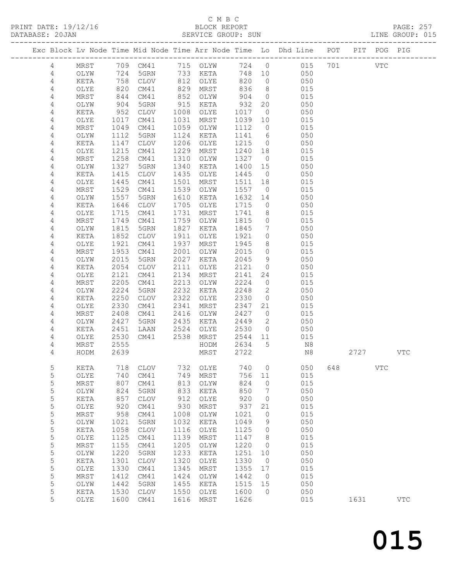PRINT DATE: 19/12/16

## C M B C<br>BLOCK REPORT<br>SERVICE GROUP: SUN

|        |                       |                  |                         |              |               |              |                      |                                                                                |     |      |            | PAGE: 257    |
|--------|-----------------------|------------------|-------------------------|--------------|---------------|--------------|----------------------|--------------------------------------------------------------------------------|-----|------|------------|--------------|
|        |                       |                  |                         |              |               |              |                      | Exc Block Lv Node Time Mid Node Time Arr Node Time Lo Dhd Line POT PIT POG PIG |     |      |            |              |
| 4      |                       |                  |                         |              |               |              |                      | MRST 709 CM41 715 OLYW 724 0 015 701 VTC                                       |     |      |            |              |
| 4      | OLYW                  | 724              |                         |              | 5GRN 733 KETA |              |                      | 748 10 050                                                                     |     |      |            |              |
| 4      | KETA                  | 758              |                         |              | CLOV 812 OLYE | 820          |                      | $0 \qquad 050$                                                                 |     |      |            |              |
| 4      | OLYE                  | 820<br>844       | CM41                    | 829          | MRST          | 836          |                      | 8 015                                                                          |     |      |            |              |
| 4      | MRST                  |                  | CM41                    | 852          | OLYW          | 904          | $\overline{0}$       | 015                                                                            |     |      |            |              |
| 4      | OLYW                  | 904              | 5GRN                    | 915          | KETA          | 932          |                      | 20 050                                                                         |     |      |            |              |
| 4      | KETA                  | 952              | CLOV                    | 1008         | OLYE          | 1017         |                      |                                                                                |     |      |            |              |
| 4      | OLYE                  | 1017             | CM41                    | 1031         | MRST          | 1039         |                      | 10 015                                                                         |     |      |            |              |
| 4      | MRST                  | 1049             | CM41                    | 1059         | OLYW          | 1112         | $\overline{0}$       | 015<br>$\begin{matrix} 6 & 0.50 \\ 6 & 0.50 \end{matrix}$                      |     |      |            |              |
| 4      | OLYW                  | 1112             | 5GRN                    | 1124         | KETA          | 1141         |                      |                                                                                |     |      |            |              |
| 4      | KETA                  | 1147             | <b>CLOV</b>             | 1206         | OLYE          | 1215         |                      |                                                                                |     |      |            |              |
| 4      | OLYE                  | 1215             | CM41                    | 1229         | MRST          | 1240         |                      | 18 015                                                                         |     |      |            |              |
| 4      | MRST                  | 1258             | CM41                    | 1310         | OLYW          | 1327         | $\overline{0}$       | 015<br>050                                                                     |     |      |            |              |
| 4      | OLYW                  | 1327             | 5GRN                    | 1340         | KETA          | 1400         | 15                   |                                                                                |     |      |            |              |
| 4      | KETA                  | 1415             | CLOV                    | 1435         | OLYE          | 1445         |                      | $0$ 050                                                                        |     |      |            |              |
| 4      | OLYE                  | 1445<br>1529     | CM41                    | 1501<br>1539 | MRST          | 1511         | 18                   | 015<br>015                                                                     |     |      |            |              |
| 4<br>4 | MRST<br>OLYW          | 1557             | CM41<br>5GRN            | 1610         | OLYW<br>KETA  | 1557<br>1632 | $\overline{0}$<br>14 | 050                                                                            |     |      |            |              |
| 4      | KETA                  | 1646             | CLOV                    | 1705         | OLYE          | 1715         |                      | $\overline{O}$<br>050                                                          |     |      |            |              |
| 4      | OLYE                  | 1715             | CM41                    | 1731         | MRST          | 1741         |                      | 8<br>015                                                                       |     |      |            |              |
| 4      | MRST                  | 1749             | CM41                    | 1759         | OLYW          | 1815         | $\overline{0}$       | 015                                                                            |     |      |            |              |
| 4      | OLYW                  | $\frac{1}{1815}$ | 5GRN                    | 1827         | KETA          | 1845         | $7\overline{ }$      | 050                                                                            |     |      |            |              |
| 4      | KETA                  | 1852             | CLOV                    | 1911         | OLYE          | 1921         |                      | $0\qquad \qquad 050$                                                           |     |      |            |              |
| 4      | OLYE                  | 1921             | CM41                    | 1937         | MRST          | 1945         |                      | 8 015                                                                          |     |      |            |              |
| 4      | MRST                  | 1953             | CM41                    | 2001         | OLYW          | 2015         | $\overline{0}$       |                                                                                |     |      |            |              |
| 4      | OLYW                  | 2015             | 5GRN                    | 2027         | KETA          | 2045         | 9                    | $\begin{array}{c} 015 \\ 050 \end{array}$                                      |     |      |            |              |
| 4      | KETA                  | 2054             | <b>CLOV</b>             | 2111         | OLYE          | 2121         |                      | 0 050                                                                          |     |      |            |              |
| 4      | OLYE                  | 2121             | CM41                    | 2134         | MRST          | 2141         |                      | 24<br>015                                                                      |     |      |            |              |
| 4      | MRST                  | 2205             | CM41                    | 2213         | OLYW          | 2224         | $\overline{0}$       | 015                                                                            |     |      |            |              |
| 4      | OLYW                  | 2224             | 5GRN                    | 2232         | KETA          | 2248         | $\overline{2}$       | 050                                                                            |     |      |            |              |
| 4      | KETA                  | 2250             | CLOV                    | 2322         | OLYE          | 2330         |                      | $\overline{0}$<br>050                                                          |     |      |            |              |
| 4      | OLYE                  | 2330             | CM41                    | 2341         | MRST          | 2347         |                      | 21<br>015                                                                      |     |      |            |              |
| 4      | MRST                  | 2408             | CM41                    | 2416         | OLYW          | 2427         | $\overline{0}$       | 015                                                                            |     |      |            |              |
| 4      | OLYW                  | 2427             | 5GRN                    | 2435         | KETA          | 2449         | $\overline{2}$       | 050                                                                            |     |      |            |              |
| 4      | KETA                  | 2451             | LAAN                    | 2524         | OLYE          | 2530         |                      | $0\qquad \qquad 050$                                                           |     |      |            |              |
| 4      | OLYE                  | 2530             | CM41 2538               |              | MRST          | 2544 11      |                      | 015                                                                            |     |      |            |              |
| 4      | MRST                  | 2555             |                         |              | HODM          | 2634         |                      | 5 N8                                                                           |     |      |            |              |
| 4      | HODM 2639             |                  |                         |              | MRST 2722     |              |                      | N8                                                                             |     | 2727 |            | VTC          |
| 5      | KETA                  | 718              | <b>CLOV</b>             | 732          | OLYE          | 740          | 0                    | 050                                                                            | 648 |      | <b>VTC</b> |              |
| 5      | OLYE                  | 740              | CM41                    | 749          | MRST          | 756          | 11                   | 015                                                                            |     |      |            |              |
| 5      | $\tt MRST$            | 807              | CM41                    | 813          | OLYW          | 824          | 0                    | 015                                                                            |     |      |            |              |
| 5      | OLYW                  | 824              | 5GRN                    | 833          | KETA          | 850          | 7                    | 050                                                                            |     |      |            |              |
| 5      | KETA                  | 857              | <b>CLOV</b>             | 912          | OLYE          | 920          | 0                    | 050                                                                            |     |      |            |              |
| 5      | OLYE                  | 920              | CM41                    | 930          | MRST          | 937          | 21                   | 015                                                                            |     |      |            |              |
| 5      | $\tt MRST$            | 958              | CM41                    | 1008         | OLYW          | 1021         | 0                    | 015                                                                            |     |      |            |              |
| 5      | OLYW                  | 1021             | 5GRN                    | 1032         | KETA          | 1049         | 9                    | 050                                                                            |     |      |            |              |
| 5      | KETA                  | 1058             | <b>CLOV</b>             | 1116         | OLYE          | 1125         | 0                    | 050                                                                            |     |      |            |              |
| 5      | OLYE                  | 1125             | CM41                    | 1139         | MRST          | 1147         | 8                    | 015                                                                            |     |      |            |              |
| 5      | $\tt MRST$            | 1155             | CM41                    | 1205         | OLYW          | 1220         | $\circ$              | 015                                                                            |     |      |            |              |
| 5      | OLYW                  | 1220             | 5GRN                    | 1233         | KETA          | 1251         | 10                   | 050                                                                            |     |      |            |              |
| 5      | $\verb KETA $         | 1301             | $\mathtt{CLOV}$         | 1320         | OLYE          | 1330         | $\circ$              | 050                                                                            |     |      |            |              |
| 5      | OLYE                  | 1330             | CM41                    | 1345         | MRST          | 1355         | 17                   | 015                                                                            |     |      |            |              |
| 5      | $\tt MRST$            | 1412             | CM41                    | 1424         | OLYW          | 1442         | $\circ$              | 015                                                                            |     |      |            |              |
| 5<br>5 | OLYW<br>$\verb KETA $ | 1442<br>1530     | 5GRN<br>$\mathtt{CLOV}$ | 1455<br>1550 | KETA<br>OLYE  | 1515<br>1600 | 15<br>0              | 050<br>050                                                                     |     |      |            |              |
| 5      | OLYE                  | 1600             | CM41                    | 1616         | MRST          | 1626         |                      | 015                                                                            |     | 1631 |            | $_{\rm VTC}$ |
|        |                       |                  |                         |              |               |              |                      |                                                                                |     |      |            |              |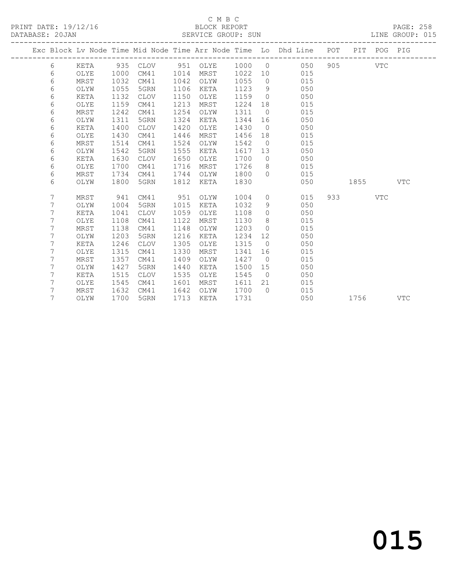### C M B C<br>BLOCK REPORT

PAGE: 258<br>LINE GROUP: 015

|  |   |      |      |             |      |      |      |                | Exc Block Lv Node Time Mid Node Time Arr Node Time Lo Dhd Line POT PIT POG PIG |      |            |            |
|--|---|------|------|-------------|------|------|------|----------------|--------------------------------------------------------------------------------|------|------------|------------|
|  | 6 | KETA |      |             |      |      |      |                | 935 CLOV 951 OLYE 1000 0 050                                                   |      | <b>VTC</b> |            |
|  | 6 | OLYE | 1000 | CM41        | 1014 | MRST |      |                | 1022 10 015                                                                    |      |            |            |
|  | 6 | MRST | 1032 | CM41        | 1042 | OLYW | 1055 |                | $\overline{0}$<br>015                                                          |      |            |            |
|  | 6 | OLYW | 1055 | 5GRN        | 1106 | KETA | 1123 |                | 050<br>$9 \left( \frac{1}{2} \right)$                                          |      |            |            |
|  | 6 | KETA | 1132 | CLOV        | 1150 | OLYE | 1159 | $\bigcirc$     | 050                                                                            |      |            |            |
|  | 6 | OLYE | 1159 | CM41        | 1213 | MRST | 1224 | 18             | 015                                                                            |      |            |            |
|  | 6 | MRST | 1242 | CM41        | 1254 | OLYW | 1311 | $\overline{0}$ | 015                                                                            |      |            |            |
|  | 6 | OLYW | 1311 | 5GRN        | 1324 | KETA | 1344 |                | 050                                                                            |      |            |            |
|  | 6 | KETA | 1400 | <b>CLOV</b> | 1420 | OLYE | 1430 |                | $\overline{0}$<br>050                                                          |      |            |            |
|  | 6 | OLYE | 1430 | CM41        | 1446 | MRST | 1456 |                | 015<br>18                                                                      |      |            |            |
|  | 6 | MRST | 1514 | CM41        | 1524 | OLYW | 1542 | $\overline{0}$ | 015                                                                            |      |            |            |
|  | 6 | OLYW | 1542 | 5GRN        | 1555 | KETA | 1617 | 13             | 050                                                                            |      |            |            |
|  | 6 | KETA | 1630 | CLOV        | 1650 | OLYE | 1700 |                | $\overline{0}$<br>050                                                          |      |            |            |
|  | 6 | OLYE | 1700 | CM41        | 1716 | MRST | 1726 |                | $8 - 8$<br>015                                                                 |      |            |            |
|  | 6 | MRST | 1734 | CM41        | 1744 | OLYW | 1800 | $\bigcirc$     | 015                                                                            |      |            |            |
|  | 6 | OLYW | 1800 | 5GRN        | 1812 | KETA | 1830 |                | 050                                                                            | 1855 |            | VTC        |
|  |   |      |      |             |      |      |      |                |                                                                                |      |            |            |
|  | 7 | MRST | 941  | CM41        | 951  | OLYW | 1004 | $\overline{0}$ | 015                                                                            |      | <b>VTC</b> |            |
|  | 7 | OLYW | 1004 | 5GRN        | 1015 | KETA | 1032 |                | $9 \quad \bullet$<br>050                                                       |      |            |            |
|  | 7 | KETA | 1041 | CLOV        | 1059 | OLYE | 1108 |                | 050<br>$\overline{0}$                                                          |      |            |            |
|  | 7 | OLYE | 1108 | CM41        | 1122 | MRST | 1130 | 8 <sup>8</sup> | 015                                                                            |      |            |            |
|  | 7 | MRST | 1138 | CM41        | 1148 | OLYW | 1203 | $\overline{0}$ | 015                                                                            |      |            |            |
|  | 7 | OLYW | 1203 | 5GRN        | 1216 | KETA | 1234 |                | 050                                                                            |      |            |            |
|  | 7 | KETA | 1246 | CLOV        | 1305 | OLYE | 1315 |                | 050<br>$\overline{0}$                                                          |      |            |            |
|  | 7 | OLYE | 1315 | CM41        | 1330 | MRST | 1341 | 16             | 015                                                                            |      |            |            |
|  | 7 | MRST | 1357 | CM41        | 1409 | OLYW | 1427 | $\overline{0}$ | 015                                                                            |      |            |            |
|  | 7 | OLYW | 1427 | 5GRN        | 1440 | KETA | 1500 | 15             | 050                                                                            |      |            |            |
|  | 7 | KETA | 1515 | CLOV        | 1535 | OLYE | 1545 | $\overline{0}$ | 050                                                                            |      |            |            |
|  | 7 | OLYE | 1545 | CM41        | 1601 | MRST | 1611 |                | 015                                                                            |      |            |            |
|  | 7 | MRST | 1632 | CM41        | 1642 | OLYW | 1700 |                | $\bigcap$<br>015                                                               |      |            |            |
|  | 7 | OLYW | 1700 | 5GRN        | 1713 | KETA | 1731 |                | 050                                                                            | 1756 |            | <b>VTC</b> |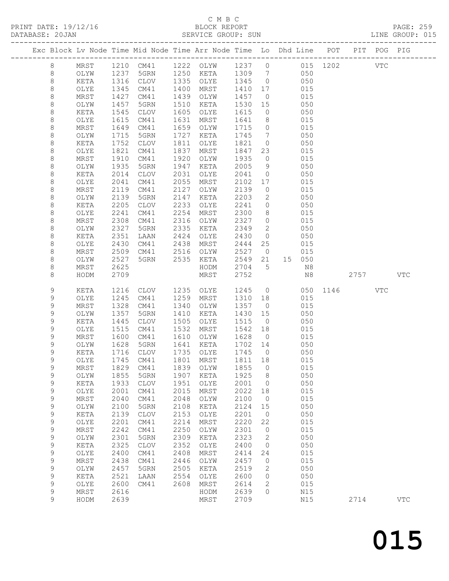PRINT DATE: 19/12/16<br>DATABASE: 20JAN

## C M B C<br>BLOCK REPORT<br>SERVICE GROUP: SUN

|              |              |              |                                  |              |                                                                                |               |                |                                                                     |            |                 |      |            | PAGE: 259<br>LINE GROUP: 015 |
|--------------|--------------|--------------|----------------------------------|--------------|--------------------------------------------------------------------------------|---------------|----------------|---------------------------------------------------------------------|------------|-----------------|------|------------|------------------------------|
|              |              |              |                                  |              | Exc Block Lv Node Time Mid Node Time Arr Node Time Lo Dhd Line POT PIT POG PIG |               |                |                                                                     |            |                 |      |            |                              |
| 8            |              |              |                                  |              | MRST 1210 CM41 1222 OLYW 1237 0 015 1202 VTC                                   |               |                |                                                                     |            |                 |      |            |                              |
| 8            | OLYW         | 1237         |                                  |              | 5GRN 1250 KETA 1309 7 050                                                      |               |                |                                                                     |            |                 |      |            |                              |
| $\,8\,$      | KETA         | 1316         | CLOV                             |              | 1335 OLYE                                                                      | 1345 0 050    |                |                                                                     |            |                 |      |            |                              |
| $\,8\,$      | OLYE         | 1345         | CM41                             | 1400         | MRST                                                                           |               |                | 1410 17 015                                                         |            |                 |      |            |                              |
| $\,8\,$      | MRST         | 1427<br>1457 | CM41                             | 1439         | OLYW                                                                           | 1457 0        |                | 15 050                                                              | 015        |                 |      |            |                              |
| 8<br>$\,8\,$ | OLYW<br>KETA |              | 5GRN                             | 1510         | KETA                                                                           | 1530          |                |                                                                     |            |                 |      |            |                              |
| $\,8\,$      | OLYE         | 1545<br>1615 | CLOV<br>CM41                     | 1605<br>1631 | OLYE<br>MRST                                                                   | 1615<br>1641  |                |                                                                     |            |                 |      |            |                              |
| $\,8\,$      | MRST         | 1649         | CM41                             | 1659         | OLYW                                                                           | 1715          |                | 8 015                                                               |            |                 |      |            |                              |
| 8            | OLYW         | 1715         | 5GRN                             | 1727         | KETA                                                                           | 1745          |                | $\begin{array}{ccc} 0 & \quad & 015 \\ 7 & \quad & 050 \end{array}$ |            |                 |      |            |                              |
| 8            | KETA         | 1752         | CLOV                             | 1811         | OLYE                                                                           | 1821          |                | $0 \qquad \qquad 050$                                               |            |                 |      |            |                              |
| 8            | OLYE         | 1821         | CM41                             | 1837         | MRST                                                                           |               |                | 1847 23 015                                                         |            |                 |      |            |                              |
| $\,8\,$      | MRST         | 1910         | CM41                             | 1920         | OLYW                                                                           | 1935          | $\overline{0}$ |                                                                     | 015        |                 |      |            |                              |
| 8            | OLYW         | 1935         | 5GRN                             | 1947         | KETA                                                                           | 2005          |                | $\frac{315}{9}$ 050                                                 |            |                 |      |            |                              |
| 8            | KETA         | 2014         | CLOV                             | 2031         | OLYE                                                                           | 2041          |                | $0$ 050                                                             |            |                 |      |            |                              |
| 8            | OLYE         | 2041         | CM41                             | 2055         | MRST                                                                           | 2102          |                | 17 015                                                              |            |                 |      |            |                              |
| $\,8\,$      | MRST         | 2119         | CM41                             | 2127         | OLYW                                                                           | 2139          | $\overline{0}$ |                                                                     | 015        |                 |      |            |                              |
| 8            | OLYW         | 2139         | 5GRN                             | 2147         | KETA                                                                           | 2203          |                | $\begin{array}{ccc}\n 2 & 050 \\  \end{array}$                      |            |                 |      |            |                              |
| 8            | KETA         | 2205         | CLOV                             | 2233         | OLYE                                                                           | 2241          |                | $0$ 050                                                             |            |                 |      |            |                              |
| 8            | OLYE         | 2241         | CM41                             | 2254         | MRST                                                                           | 2300          |                | 8 015                                                               |            |                 |      |            |                              |
| $\,8\,$      | MRST         | 2308         | CM41                             | 2316         | OLYW                                                                           | 2327          | $\overline{0}$ |                                                                     |            |                 |      |            |                              |
| $\,8\,$      | OLYW         | 2327         | 5GRN                             | 2335         | KETA                                                                           | 2349          | $\overline{2}$ | 015<br>050                                                          |            |                 |      |            |                              |
| 8            | KETA         | 2351         | LAAN                             | 2424         | OLYE                                                                           | 2430          |                | $0$ 050                                                             |            |                 |      |            |                              |
| $\,8\,$      | OLYE         | 2430         | CM41                             | 2438         | MRST                                                                           | 2444          |                | 25 015                                                              |            |                 |      |            |                              |
| $\,8\,$      | MRST         | 2509         |                                  |              |                                                                                | 2527 0        |                |                                                                     | 015        |                 |      |            |                              |
| $\,8\,$      | OLYW         | 2527         | CM41 2516 OLYW<br>5GRN 2535 KETA |              |                                                                                |               |                | 2549 21 15 050                                                      |            |                 |      |            |                              |
| 8            | MRST         | 2625         |                                  |              | HODM                                                                           | 2704 5        |                |                                                                     | N8         |                 |      |            |                              |
| 8            | HODM         | 2709         |                                  |              | MRST                                                                           | 2752          |                |                                                                     |            | N8 2757 VTC     |      |            |                              |
| 9            | KETA         |              | 1216 CLOV                        |              | 1235 OLYE                                                                      |               |                |                                                                     |            | 1245 0 050 1146 |      | <b>VTC</b> |                              |
| 9            | OLYE         | 1245         | CM41                             | 1259         | MRST                                                                           | 1310 18       |                |                                                                     | 015        |                 |      |            |                              |
| 9            | MRST         | 1328         | CM41                             | 1340         | OLYW                                                                           | 1357 0        |                |                                                                     | 015        |                 |      |            |                              |
| 9            | OLYW         | 1357         | 5GRN                             | 1410         | KETA                                                                           |               |                | 1430 15 050                                                         |            |                 |      |            |                              |
| 9            | KETA         | 1445         | CLOV                             | 1505         | OLYE                                                                           | 1515          | $\overline{0}$ |                                                                     | 050        |                 |      |            |                              |
| 9            | OLYE         | 1515         | CM41                             |              | 1532 MRST                                                                      | $1542$ 18 015 |                |                                                                     |            |                 |      |            |                              |
| 9            | MRST         | 1600         | CM41 1610 OLYW                   |              |                                                                                | 1628 0 015    |                |                                                                     |            |                 |      |            |                              |
| 9            | OLYW         | 1628         | 5GRN                             |              | 1641 KETA                                                                      | 1702 14       |                |                                                                     | 050        |                 |      |            |                              |
| 9            |              |              |                                  |              | KETA 1716 CLOV 1735 OLYE 1745 0                                                |               |                |                                                                     | 050        |                 |      |            |                              |
| 9            | OLYE         | 1745         | CM41                             | 1801         | MRST                                                                           | 1811          | 18             |                                                                     | 015        |                 |      |            |                              |
| 9<br>9       | MRST         | 1829<br>1855 | CM41                             | 1839<br>1907 | OLYW                                                                           | 1855<br>1925  | $\circ$        |                                                                     | 015<br>050 |                 |      |            |                              |
| 9            | OLYW<br>KETA | 1933         | 5GRN<br><b>CLOV</b>              | 1951         | KETA<br>OLYE                                                                   | 2001          | 8<br>$\circ$   |                                                                     | 050        |                 |      |            |                              |
| 9            | OLYE         | 2001         | CM41                             | 2015         | MRST                                                                           | 2022          | 18             |                                                                     | 015        |                 |      |            |                              |
| 9            | MRST         | 2040         | CM41                             | 2048         | OLYW                                                                           | 2100          | $\circ$        |                                                                     | 015        |                 |      |            |                              |
| 9            | OLYW         | 2100         | 5GRN                             | 2108         | KETA                                                                           | 2124          | 15             |                                                                     | 050        |                 |      |            |                              |
| 9            | KETA         | 2139         | <b>CLOV</b>                      | 2153         | OLYE                                                                           | 2201          | 0              |                                                                     | 050        |                 |      |            |                              |
| 9            | OLYE         | 2201         | CM41                             | 2214         | MRST                                                                           | 2220          | 22             |                                                                     | 015        |                 |      |            |                              |
| 9            | MRST         | 2242         | CM41                             | 2250         | OLYW                                                                           | 2301          | $\circ$        |                                                                     | 015        |                 |      |            |                              |
| 9            | OLYW         | 2301         | 5GRN                             | 2309         | KETA                                                                           | 2323          | 2              |                                                                     | 050        |                 |      |            |                              |
| 9            | KETA         | 2325         | CLOV                             | 2352         | OLYE                                                                           | 2400          | 0              |                                                                     | 050        |                 |      |            |                              |
| 9            | OLYE         | 2400         | CM41                             | 2408         | MRST                                                                           | 2414          | 24             |                                                                     | 015        |                 |      |            |                              |
| 9            | MRST         | 2438         | CM41                             | 2446         | OLYW                                                                           | 2457          | 0              |                                                                     | 015        |                 |      |            |                              |
| 9            | OLYW         | 2457         | 5GRN                             | 2505         | KETA                                                                           | 2519          | 2              |                                                                     | 050        |                 |      |            |                              |
| 9            | KETA         | 2521         | LAAN                             | 2554         | OLYE                                                                           | 2600          | 0              |                                                                     | 050        |                 |      |            |                              |
| $\mathsf 9$  | OLYE         | 2600         | CM41                             | 2608         | MRST                                                                           | 2614          | $\mathbf{2}$   |                                                                     | 015        |                 |      |            |                              |
| 9            | MRST         | 2616         |                                  |              | HODM                                                                           | 2639          | $\circ$        |                                                                     | N15        |                 |      |            |                              |
| 9            | HODM         | 2639         |                                  |              | MRST                                                                           | 2709          |                |                                                                     | N15        |                 | 2714 |            | $_{\rm VTC}$                 |
|              |              |              |                                  |              |                                                                                |               |                |                                                                     |            |                 |      |            |                              |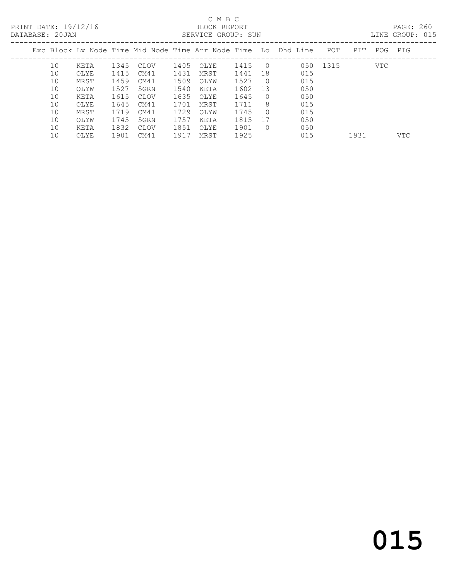PRINT DATE: 19/12/16 BLOCK REPORT<br>DATABASE: 20JAN BERVICE GROUP: SUN

## C M B C<br>BLOCK REPORT

PAGE: 260<br>LINE GROUP: 015

| PAIAPASE. 200AN |    |      |      |      |      | PEIZATOE GIVOOL . DOM |      |                  |                                                                |          |     |         | TIME GIVOOL . ATA |
|-----------------|----|------|------|------|------|-----------------------|------|------------------|----------------------------------------------------------------|----------|-----|---------|-------------------|
|                 |    |      |      |      |      |                       |      |                  | Exc Block Ly Node Time Mid Node Time Arr Node Time Lo Dhd Line | POT      | PIT | POG PIG |                   |
|                 | 10 | KETA | 1345 | CLOV | 1405 | OLYE                  | 1415 | $\bigcirc$       |                                                                | 050 1315 |     | VTC.    |                   |
|                 | 10 | OLYE | 1415 | CM41 | 1431 | MRST                  | 1441 | 18               | 015                                                            |          |     |         |                   |
|                 | 10 | MRST | 1459 | CM41 | 1509 | OLYW                  | 1527 | $\Omega$         | 015                                                            |          |     |         |                   |
|                 | 10 | OLYW | 1527 | 5GRN | 1540 | KETA                  | 1602 | -13              | 050                                                            |          |     |         |                   |
|                 | 10 | KETA | 1615 | CLOV | 1635 | OLYE                  | 1645 | $\left( \right)$ | 050                                                            |          |     |         |                   |
|                 | 10 | OLYE | 1645 | CM41 | 1701 | MRST                  | 1711 | 8                | 015                                                            |          |     |         |                   |
|                 | 10 | MRST | 1719 | CM41 | 1729 | OLYW                  | 1745 | $\Omega$         | 015                                                            |          |     |         |                   |
|                 | 10 | OLYW | 1745 | 5GRN | 1757 | KETA                  | 1815 | - 17             | 050                                                            |          |     |         |                   |
|                 | 10 | KETA | 1832 | CLOV | 1851 | OLYE                  | 1901 |                  | 050                                                            |          |     |         |                   |

10 OLYE 1901 CM41 1917 MRST 1925 015 1931 VTC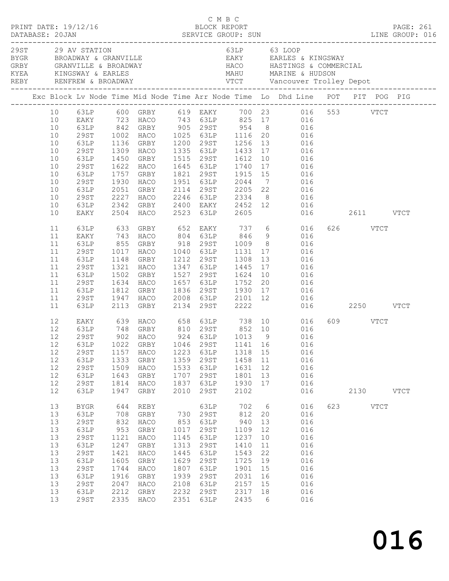|          | PRINT DATE: 19/12/16                            |              |                        |              | C M B C      | BLOCK REPORT    |                 | DATABASE: 20JAN SERVICE GROUP: SUN<br>DATABASE: 20JAN SERVICE GROUP: SUN LINE GROUP: 016                             |           | PAGE: 261 |  |
|----------|-------------------------------------------------|--------------|------------------------|--------------|--------------|-----------------|-----------------|----------------------------------------------------------------------------------------------------------------------|-----------|-----------|--|
|          | 29ST 29 AV STATION<br>BYGR BROADWAY & GRANVILLE |              |                        |              |              |                 |                 | 63LP 63 LOOP<br>EAKY EARLES & KINGSWAY                                                                               |           |           |  |
|          |                                                 |              |                        |              |              |                 |                 | Exc Block Lv Node Time Mid Node Time Arr Node Time Lo Dhd Line POT PIT POG PIG                                       |           |           |  |
|          |                                                 |              |                        |              |              |                 |                 | 10 63LP 600 GRBY 619 EAKY 700 23 016 553 VTCT                                                                        |           |           |  |
| 10       |                                                 |              |                        |              |              |                 |                 | EAKY 723 HACO 743 63LP 825 17 016                                                                                    |           |           |  |
| 10       |                                                 |              |                        |              |              |                 |                 | 63LP 842 GRBY 905 29ST 954 8 016<br>29ST 1002 HACO 1025 63LP 1116 20 016<br>63LP 1136 GRBY 1200 29ST 1256 13 016     |           |           |  |
| 10       |                                                 |              |                        |              |              |                 |                 |                                                                                                                      |           |           |  |
| 10       |                                                 |              |                        |              |              |                 |                 |                                                                                                                      |           |           |  |
| 10       | 29ST                                            |              |                        |              |              |                 |                 | 1309 HACO 1335 63LP 1433 17 016                                                                                      |           |           |  |
| 10       |                                                 |              |                        |              |              |                 |                 | 63LP 1450 GRBY 1515 29ST 1612 10 016<br>29ST 1622 HACO 1645 63LP 1740 17 016<br>63LP 1757 GRBY 1821 29ST 1915 15 016 |           |           |  |
| 10       |                                                 |              |                        |              |              |                 |                 |                                                                                                                      |           |           |  |
| 10       |                                                 |              |                        |              |              |                 |                 | 1930 HACO 1951 63LP 2044 7 016                                                                                       |           |           |  |
| 10<br>10 | 29ST<br>63LP                                    |              |                        |              |              |                 |                 |                                                                                                                      |           |           |  |
| 10       | 29ST                                            |              |                        |              |              |                 |                 | 2051 GRBY 2114 29ST 2205 22 016                                                                                      |           |           |  |
| 10       | 63LP                                            |              |                        |              |              |                 |                 |                                                                                                                      |           |           |  |
| 10       | EAKY                                            |              |                        |              |              |                 |                 | 2227 HACO 2246 63LP 2334 8 016<br>2342 GRBY 2400 EAKY 2452 12 016<br>2504 HACO 2523 63LP 2605 016 2611 VTCT          |           |           |  |
| 11       |                                                 |              |                        |              |              |                 |                 | 63LP 633 GRBY 652 EAKY 737 6 016<br>EAKY 743 HACO 804 63LP 846 9 016<br>63LP 855 GRBY 918 29ST 1009 8 016            | 626 VTCT  |           |  |
| 11       |                                                 |              |                        |              |              |                 |                 |                                                                                                                      |           |           |  |
| 11<br>11 | 29ST                                            |              |                        |              |              |                 |                 | 1017 HACO 1040 63LP 1131 17 016                                                                                      |           |           |  |
| 11       | 63LP                                            |              | 1148 GRBY              |              |              |                 |                 |                                                                                                                      |           |           |  |
| 11       | 29ST                                            |              |                        |              |              |                 |                 | 1212 29ST 1308 13 016<br>1347 63LP 1445 17 016<br>1527 29ST 1624 10 016                                              |           |           |  |
| 11       | 63LP                                            |              | 1321 HACO<br>1502 GRBY |              |              |                 |                 |                                                                                                                      |           |           |  |
| 11       | 29ST                                            |              |                        |              |              |                 |                 | 1634 HACO 1657 63LP 1752 20 016                                                                                      |           |           |  |
| 11       | 63LP                                            |              | 1812 GRBY              |              |              |                 |                 |                                                                                                                      |           |           |  |
| 11       |                                                 |              |                        |              |              |                 |                 |                                                                                                                      |           |           |  |
| 11       |                                                 |              |                        |              |              |                 |                 | 63LP 1812 GRBY 1836 29ST 1930 17 016<br>29ST 1947 HACO 2008 63LP 2101 12 016<br>63LP 2113 GRBY 2134 29ST 2222 016    |           |           |  |
| 12       |                                                 |              |                        |              |              |                 |                 | EAKY 639 HACO 658 63LP 738 10 016                                                                                    | 609 VTCT  |           |  |
| 12       |                                                 |              |                        |              |              |                 |                 | 63LP 748 GRBY 810 29ST 852 10 016<br>29ST 902 HACO 924 63LP 1013 9 016                                               |           |           |  |
| 12       |                                                 |              |                        |              |              |                 |                 |                                                                                                                      |           |           |  |
|          |                                                 |              |                        |              |              |                 |                 | 12 63LP 1022 GRBY 1046 29ST 1141 16 016                                                                              |           |           |  |
| 12       | 29ST                                            | 1157         | HACO                   | 1223         | 63LP         | 1318 15         |                 | 016                                                                                                                  |           |           |  |
| 12<br>12 | 63LP<br>29ST                                    | 1333<br>1509 | GRBY                   | 1359<br>1533 | 29ST<br>63LP | 1458 11<br>1631 | 12              | 016<br>016                                                                                                           |           |           |  |
| 12       | 63LP                                            | 1643         | HACO<br>GRBY           | 1707         | 29ST         | 1801            | 13              | 016                                                                                                                  |           |           |  |
| 12       | <b>29ST</b>                                     | 1814         | HACO                   | 1837         | 63LP         | 1930            | 17              | 016                                                                                                                  |           |           |  |
| 12       | 63LP                                            | 1947         | GRBY                   | 2010         | 29ST         | 2102            |                 | 016                                                                                                                  | 2130 VTCT |           |  |
| 13       | <b>BYGR</b>                                     | 644          | REBY                   |              | 63LP         | 702             | $6\overline{6}$ | 016                                                                                                                  | 623 VTCT  |           |  |
| 13       | 63LP                                            | 708          | GRBY                   |              | 730 29ST     | 812             | 20              | 016                                                                                                                  |           |           |  |
| 13       | <b>29ST</b>                                     | 832          | HACO                   | 853          | 63LP         | 940             | 13              | 016                                                                                                                  |           |           |  |
| 13       | 63LP                                            | 953          | GRBY                   | 1017         | 29ST         | 1109            | 12              | 016                                                                                                                  |           |           |  |
| 13       | <b>29ST</b>                                     | 1121         | HACO                   | 1145         | 63LP         | 1237            | 10              | 016                                                                                                                  |           |           |  |
| 13       | 63LP                                            | 1247         | GRBY                   | 1313         | 29ST         | 1410            | 11              | 016                                                                                                                  |           |           |  |
| 13       | <b>29ST</b>                                     | 1421         | HACO                   | 1445         | 63LP         | 1543            | 22              | 016                                                                                                                  |           |           |  |
| 13       | 63LP                                            | 1605         | GRBY                   | 1629         | 29ST         | 1725            | 19              | 016                                                                                                                  |           |           |  |
| 13       | <b>29ST</b>                                     | 1744         | HACO                   | 1807         | 63LP         | 1901            | 15              | 016                                                                                                                  |           |           |  |
| 13       | 63LP                                            | 1916         | GRBY                   | 1939         | 29ST         | 2031            | 16              | 016                                                                                                                  |           |           |  |
| 13<br>13 | <b>29ST</b><br>63LP                             | 2047<br>2212 | HACO<br>GRBY           | 2108<br>2232 | 63LP<br>29ST | 2157<br>2317    | 15<br>18        | 016<br>016                                                                                                           |           |           |  |
| 13       | <b>29ST</b>                                     |              | 2335 HACO              | 2351         | 63LP         | 2435            | 6               | 016                                                                                                                  |           |           |  |
|          |                                                 |              |                        |              |              |                 |                 |                                                                                                                      |           |           |  |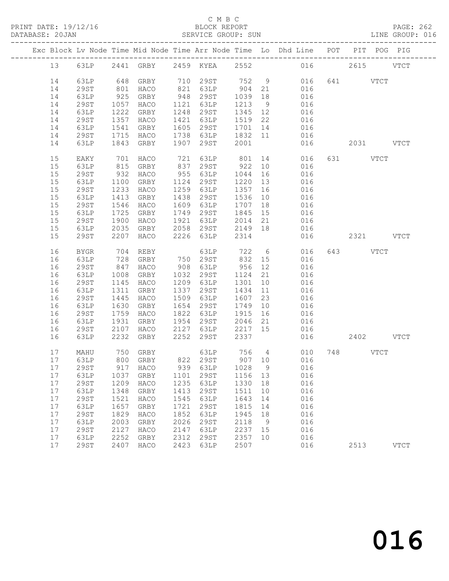#### C M B C<br>BLOCK REPORT

#### PAGE: 262<br>LINE GROUP: 016

|          |              |              |                           |              |                               |                    |          | Exc Block Lv Node Time Mid Node Time Arr Node Time Lo Dhd Line POT PIT POG PIG                       |     |           |             |
|----------|--------------|--------------|---------------------------|--------------|-------------------------------|--------------------|----------|------------------------------------------------------------------------------------------------------|-----|-----------|-------------|
| 13       |              |              |                           |              |                               |                    |          | 63LP 2441 GRBY 2459 KYEA 2552 016 2615 VTCT                                                          |     |           |             |
| 14       | 63LP         |              | 648 GRBY                  |              |                               |                    |          | 710 29ST 752 9 016                                                                                   |     | 641 VTCT  |             |
| 14       | 29ST         | 801          | HACO                      |              | 821 63LP 904 21               |                    |          | 016                                                                                                  |     |           |             |
| 14       | 63LP         | 925          | GRBY                      |              | 948 29ST                      | 1039 18            |          | 016                                                                                                  |     |           |             |
| 14       | 29ST         | 1057         | HACO                      |              | 1121 63LP                     | 1213               | 9        | 016                                                                                                  |     |           |             |
| 14       | 63LP         | 1222         | GRBY                      |              | 1248 29ST                     | 1345 12            |          | 016                                                                                                  |     |           |             |
| 14       | 29ST         | 1357         | HACO                      |              | 1421 63LP                     | 1519 22            |          | 016                                                                                                  |     |           |             |
| 14       | 63LP         | 1541         | GRBY                      |              | 1605 29ST                     | 1701 14            |          | 016                                                                                                  |     |           |             |
| 14       | 29ST         |              | 1715 HACO                 |              | $1738$ $63LP$                 | 1832 11            |          | 016                                                                                                  |     |           |             |
| 14       | 63LP         |              | 1843 GRBY                 | 1907         | 29ST                          | 2001               |          | 016                                                                                                  |     | 2031 VTCT |             |
| 15       | EAKY         | 701          | HACO                      |              |                               |                    |          | 721 63LP 801 14 016<br>837 29ST 922 10 016                                                           |     | 631 VTCT  |             |
| 15       | 63LP         | 815          | GRBY                      |              |                               |                    |          |                                                                                                      |     |           |             |
| 15       | 29ST         | 932          | HACO                      |              | 955 63LP                      | 1044               | 16       | 016                                                                                                  |     |           |             |
| 15       | 63LP         | 1100         | GRBY                      |              | 1124 29ST                     | 1220               | 13       | 016                                                                                                  |     |           |             |
| 15       | 29ST         | 1233         | HACO                      |              | 1259 63LP                     | 1357 16            |          | 016                                                                                                  |     |           |             |
| 15       | 63LP         | 1413         | GRBY                      |              | 1438 29ST                     | 1536 10            |          | 016                                                                                                  |     |           |             |
| 15       | 29ST         | 1546         | HACO                      | 1609         | 63LP                          | 1707 18            |          | 016                                                                                                  |     |           |             |
| 15       | 63LP         | 1725         | GRBY                      | 1749         | 29ST                          | 1845 15            |          | 016                                                                                                  |     |           |             |
| 15       | 29ST         | 1900         | HACO                      | 1921         | 63LP                          | 2014               | 21       | 016                                                                                                  |     |           |             |
| 15<br>15 | 63LP<br>29ST | 2035<br>2207 | GRBY                      |              | 2058 29ST<br>2226 63LP        | 2149 18<br>2314    |          | 016<br>016                                                                                           |     | 2321 VTCT |             |
|          |              |              | HACO                      |              |                               |                    |          |                                                                                                      |     |           |             |
| 16       | BYGR         | 704          | REBY                      |              | 63LP 722 6<br>750 29ST 832 15 |                    |          | 016                                                                                                  |     | 643 VTCT  |             |
| 16       | 63LP         |              | 728 GRBY                  |              |                               |                    |          | 016                                                                                                  |     |           |             |
| 16       | 29ST         | 847          | HACO                      |              | 908 63LP                      | 956 12             |          | 016                                                                                                  |     |           |             |
| 16       | 63LP         | 1008         | GRBY                      |              | 1032 29ST                     | 1124 21            |          | 016                                                                                                  |     |           |             |
| 16       | 29ST         | 1145         | HACO                      |              | 1209 63LP                     | 1301               | 10       | 016                                                                                                  |     |           |             |
| 16       | 63LP         | 1311         | GRBY                      |              | 1337 29ST                     | 1434 11            |          | 016                                                                                                  |     |           |             |
| 16       | 29ST         | 1445         | HACO                      |              | 1509 63LP                     | 1607               | 23       | 016                                                                                                  |     |           |             |
| 16       | 63LP         | 1630         | GRBY                      |              | 1654 29ST                     | 1749               | 10       | 016                                                                                                  |     |           |             |
| 16       | 29ST         | 1759         | HACO                      |              | 1822 63LP<br>1954 29ST        | 1915               | 16       | 016                                                                                                  |     |           |             |
| 16<br>16 | 63LP<br>29ST | 1931<br>2107 | GRBY<br>HACO              |              | $2127$ 63LP                   | 2046 21<br>2217 15 |          | 016<br>016                                                                                           |     |           |             |
| 16       | 63LP         | 2232         | GRBY                      |              | 2252 29ST                     | 2337               |          |                                                                                                      | 016 | 2402 VTCT |             |
|          |              |              |                           |              |                               |                    |          |                                                                                                      |     |           |             |
| 17       | MAHU         | 750          | GRBY<br>800 GRBY 822 29ST |              |                               |                    |          | $\begin{tabular}{llllll} 63LP & 756 & 4 & 010 & 748 & VTCT \\ 29ST & 907 & 10 & 016 & \end{tabular}$ |     |           |             |
| 17       | 63LP         |              |                           |              |                               |                    |          |                                                                                                      |     |           |             |
|          | 17 29ST      |              |                           |              |                               |                    |          | 917 HACO 939 63LP 1028 9 016                                                                         |     |           |             |
| 17<br>17 | 63LP<br>29ST | 1037<br>1209 | GRBY<br>HACO              | 1101<br>1235 | 29ST<br>63LP                  | 1156<br>1330       | 13<br>18 | 016<br>016                                                                                           |     |           |             |
| 17       | 63LP         | 1348         | GRBY                      | 1413         | 29ST                          | 1511               | 10       | 016                                                                                                  |     |           |             |
| 17       | <b>29ST</b>  | 1521         | HACO                      | 1545         | 63LP                          | 1643               | 14       | 016                                                                                                  |     |           |             |
| 17       | 63LP         | 1657         | GRBY                      | 1721         | 29ST                          | 1815               | 14       | 016                                                                                                  |     |           |             |
| 17       | <b>29ST</b>  | 1829         | HACO                      | 1852         | 63LP                          | 1945               | 18       | 016                                                                                                  |     |           |             |
| 17       | 63LP         | 2003         | GRBY                      | 2026         | 29ST                          | 2118               | 9        | 016                                                                                                  |     |           |             |
| 17       | <b>29ST</b>  | 2127         | HACO                      | 2147         | 63LP                          | 2237               | 15       | 016                                                                                                  |     |           |             |
| 17       | 63LP         | 2252         | GRBY                      | 2312         | 29ST                          | 2357               | 10       | 016                                                                                                  |     |           |             |
| 17       | <b>29ST</b>  | 2407         | HACO                      | 2423         | 63LP                          | 2507               |          | 016                                                                                                  |     | 2513      | <b>VTCT</b> |
|          |              |              |                           |              |                               |                    |          |                                                                                                      |     |           |             |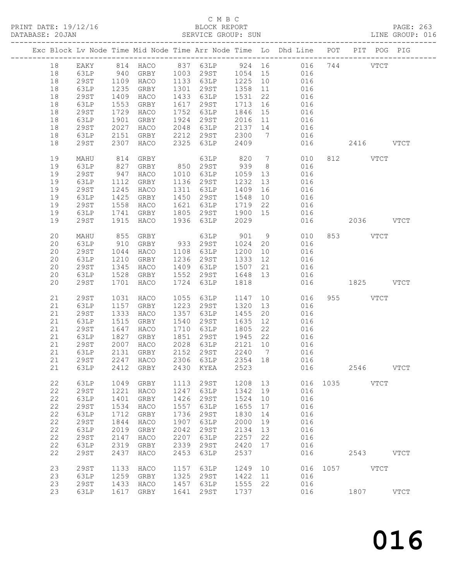#### C M B C<br>BLOCK REPORT

|    |             |      |                     |      |                                  |                              |    | PRINT DATE: 19/12/16 BLOCK REPORT<br>DATABASE: 20JAN SERVICE GROUP: SUN                 |                 |           |      | PAGE: 263<br>LINE GROUP: 016 |
|----|-------------|------|---------------------|------|----------------------------------|------------------------------|----|-----------------------------------------------------------------------------------------|-----------------|-----------|------|------------------------------|
|    |             |      |                     |      |                                  |                              |    | Exc Block Lv Node Time Mid Node Time Arr Node Time Lo Dhd Line POT PIT POG PIG          |                 |           |      |                              |
|    |             |      |                     |      |                                  |                              |    | 18 EAKY 814 HACO 837 63LP 924 16 016 744 VTCT<br>18 63LP 940 GRBY 1003 29ST 1054 15 016 |                 |           |      |                              |
|    |             |      |                     |      |                                  |                              |    |                                                                                         |                 |           |      |                              |
| 18 |             |      |                     |      | 29ST 1109 HACO 1133 63LP 1225 10 |                              |    | 016                                                                                     |                 |           |      |                              |
| 18 | 63LP        |      | 1235 GRBY           |      | 1301 29ST                        |                              |    |                                                                                         |                 |           |      |                              |
| 18 | 29ST        |      | 1409 HACO           |      | 1433 63LP                        |                              |    | 1358 11 016<br>1531 22 016                                                              |                 |           |      |                              |
| 18 | 63LP        |      | 1553 GRBY           |      | 1617 29ST                        |                              |    | $\frac{1}{1713}$ $\frac{1}{16}$ $\frac{010}{016}$                                       |                 |           |      |                              |
| 18 | 29ST        |      | 1729 HACO           |      | 1752 63LP                        | 1846                         | 15 | 016                                                                                     |                 |           |      |                              |
| 18 | 63LP        |      | 1901 GRBY           |      | 1924 29ST                        |                              |    | 11 016                                                                                  |                 |           |      |                              |
| 18 | 29ST        |      | 2027 HACO           |      | 2048 63LP                        |                              |    |                                                                                         |                 |           |      |                              |
| 18 | 63LP        |      | 2151 GRBY 2212 29ST |      |                                  | 2016 11<br>2137 14<br>2300 7 |    | $\begin{array}{ccc} 14 & \quad & 016 \\ 7 & \quad & 016 \end{array}$                    |                 |           |      |                              |
| 18 | 29ST        |      |                     |      | 2307 HACO 2325 63LP              | 2409                         |    |                                                                                         | 016  2416  VTCT |           |      |                              |
| 19 | MAHU        |      | 814 GRBY            |      | 63LP                             |                              |    | 820 7 010                                                                               |                 | 812 VTCT  |      |                              |
| 19 | 63LP        |      | 827 GRBY 850 29ST   |      |                                  | 939                          |    | 8 <sup>1</sup><br>016                                                                   |                 |           |      |                              |
| 19 | 29ST        |      | 947 HACO 1010 63LP  |      |                                  | 1059                         |    | 13<br>016                                                                               |                 |           |      |                              |
| 19 | 63LP        |      | 1112 GRBY           |      | 1136 29ST                        | 1232                         | 13 | 016                                                                                     |                 |           |      |                              |
| 19 | 29ST        |      | 1245 HACO           |      | 1311 63LP                        | 1409                         |    |                                                                                         |                 |           |      |                              |
| 19 | 63LP        |      | 1425 GRBY           |      | 1450 29ST                        | 1548                         |    | $\begin{array}{ccc} 16 & \quad & 016 \\ 10 & \quad & 016 \end{array}$                   |                 |           |      |                              |
| 19 | 29ST        |      | 1558 HACO 1621 63LP |      |                                  | 1719 22                      |    | 016                                                                                     |                 |           |      |                              |
| 19 | 63LP        |      | 1741 GRBY           |      | 1805 29ST                        | 1900                         |    | 15 016                                                                                  |                 |           |      |                              |
| 19 | 29ST        |      | 1915 HACO 1936 63LP |      |                                  | 2029                         |    |                                                                                         | 016  2036  VTCT |           |      |                              |
| 20 | MAHU        |      | 855 GRBY            |      | 63LP                             | 901                          |    | 9 010                                                                                   |                 | 853 VTCT  |      |                              |
| 20 | 63LP        |      | 910 GRBY 933 29ST   |      |                                  | 1024 20                      |    | 016                                                                                     |                 |           |      |                              |
| 20 | 29ST        |      | 1044 HACO           |      | 1108 63LP                        | 1200<br>1333                 |    | $10$ 016                                                                                |                 |           |      |                              |
| 20 | 63LP        |      | 1210 GRBY           |      | 1236 29ST                        |                              | 12 | 016                                                                                     |                 |           |      |                              |
| 20 | 29ST        |      | 1345 HACO 1409 63LP |      |                                  | 1507                         |    | 21 016                                                                                  |                 |           |      |                              |
| 20 | 63LP        |      | 1528 GRBY           |      | 1552 29ST                        |                              |    | 1648 13 016                                                                             |                 |           |      |                              |
| 20 | 29ST        | 1701 | HACO                |      | 1724 63LP                        | 1818                         |    |                                                                                         | 016 1825 VTCT   |           |      |                              |
| 21 | 29ST        | 1031 | HACO                |      | 1055 63LP                        | 1147                         |    | 10<br>016                                                                               |                 | 955 VTCT  |      |                              |
| 21 | 63LP        |      | 1157 GRBY           |      | 1223 29ST                        | 1320 13                      |    | 016                                                                                     |                 |           |      |                              |
| 21 | 29ST        | 1333 | HACO                |      | 1357 63LP                        | 1455                         | 20 | 016                                                                                     |                 |           |      |                              |
| 21 | 63LP        |      | 1515 GRBY           |      | 1540 29ST                        | 1635                         | 12 | 016                                                                                     |                 |           |      |                              |
| 21 | 29ST        |      |                     |      | 1647 HACO 1710 63LP 1805 22      |                              |    | 016                                                                                     |                 |           |      |                              |
| 21 | 63LP        |      | 1827 GRBY           |      | 1851 29ST 1945 22                |                              |    | 016                                                                                     |                 |           |      |                              |
| 21 | <b>29ST</b> |      | 2007 HACO           |      | 2028 63LP                        | 2121 10                      |    | 016                                                                                     |                 |           |      |                              |
|    |             |      |                     |      |                                  |                              |    | 21 63LP 2131 GRBY 2152 29ST 2240 7 016                                                  |                 |           |      |                              |
| 21 | 29ST        | 2247 | HACO                | 2306 | 63LP                             | 2354                         | 18 | 016                                                                                     |                 |           |      |                              |
| 21 | 63LP        | 2412 | GRBY                | 2430 | KYEA                             | 2523                         |    | 016                                                                                     |                 |           | 2546 | VTCT                         |
| 22 | 63LP        | 1049 | GRBY                | 1113 | 29ST                             | 1208                         | 13 |                                                                                         | 016 1035 VTCT   |           |      |                              |
| 22 | 29ST        | 1221 | HACO                | 1247 | 63LP                             | 1342                         | 19 | 016                                                                                     |                 |           |      |                              |
| 22 | 63LP        | 1401 | GRBY                | 1426 | 29ST                             | 1524                         | 10 | 016                                                                                     |                 |           |      |                              |
| 22 | 29ST        | 1534 | HACO                | 1557 | 63LP                             | 1655                         | 17 | 016                                                                                     |                 |           |      |                              |
| 22 | 63LP        | 1712 | GRBY                | 1736 | 29ST                             | 1830                         | 14 | 016                                                                                     |                 |           |      |                              |
| 22 | 29ST        | 1844 | HACO                | 1907 | 63LP                             | 2000                         | 19 | 016                                                                                     |                 |           |      |                              |
| 22 | 63LP        | 2019 | GRBY                | 2042 | 29ST                             | 2134                         | 13 | 016                                                                                     |                 |           |      |                              |
| 22 | 29ST        | 2147 | HACO                | 2207 | 63LP                             | 2257                         | 22 | 016                                                                                     |                 |           |      |                              |
| 22 | 63LP        | 2319 | GRBY                | 2339 | 29ST                             | 2420                         | 17 | 016                                                                                     |                 |           |      |                              |
| 22 | <b>29ST</b> | 2437 | HACO                | 2453 | 63LP                             | 2537                         |    | 016                                                                                     |                 |           | 2543 | VTCT                         |
| 23 | 29ST        | 1133 | HACO                | 1157 | 63LP                             | 1249                         | 10 | 016                                                                                     |                 | 1057 VTCT |      |                              |
| 23 | 63LP        | 1259 | GRBY                | 1325 | 29ST                             | 1422                         | 11 | 016                                                                                     |                 |           |      |                              |
| 23 | <b>29ST</b> | 1433 | HACO                | 1457 | 63LP                             | 1555                         | 22 | 016                                                                                     |                 |           |      |                              |
| 23 | 63LP        | 1617 | GRBY                | 1641 | 29ST                             | 1737                         |    | 016                                                                                     |                 | 1807      |      | <b>VTCT</b>                  |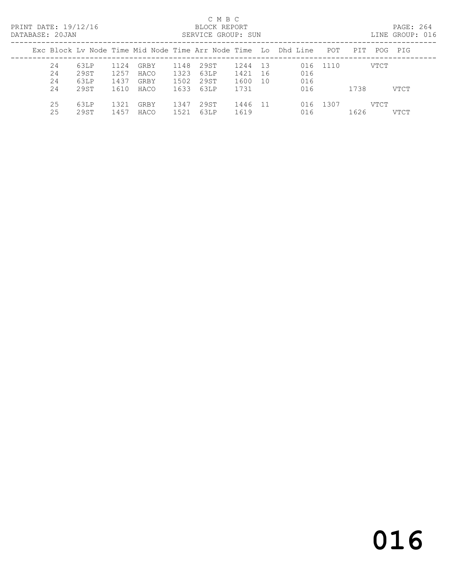PRINT DATE: 19/12/16 BLOCK REPORT<br>DATABASE: 20JAN SERVICE GROUP: SUN

#### C M B C<br>BLOCK REPORT

PAGE: 264<br>LINE GROUP: 016

| Exc Block Lv Node Time Mid Node Time Arr Node Time Lo Dhd Line<br>POT<br>PIT<br>POG PIG<br>29ST<br>63LP<br>24<br>1124<br>1148<br>1244 13<br>GRBY<br>016 1110<br>VTCT<br>1257<br>29ST<br>1323<br>63LP<br>24<br>016<br>1421<br>HACO<br>-16<br>1437<br>016<br>1502<br>1600<br>24<br>63LP<br>29ST<br>GRBY<br>10<br>24<br>29ST<br>1610<br>1633<br>63LP<br>016<br>1738<br>1731<br>HACO<br>VTCT<br>25<br>29ST<br>016 1307<br>1321<br>63LP<br>1347<br>1446<br>VTCT<br>GRBY<br>-11<br>25<br>1457<br>1626<br>29ST<br>1521<br>63LP<br>1619<br>HACO<br>016<br><b>VTCT</b> |  |  |  | <u>ULIN IUL UINUUL I UUIN</u> |  |  |  |  |
|---------------------------------------------------------------------------------------------------------------------------------------------------------------------------------------------------------------------------------------------------------------------------------------------------------------------------------------------------------------------------------------------------------------------------------------------------------------------------------------------------------------------------------------------------------------|--|--|--|-------------------------------|--|--|--|--|
|                                                                                                                                                                                                                                                                                                                                                                                                                                                                                                                                                               |  |  |  |                               |  |  |  |  |
|                                                                                                                                                                                                                                                                                                                                                                                                                                                                                                                                                               |  |  |  |                               |  |  |  |  |
|                                                                                                                                                                                                                                                                                                                                                                                                                                                                                                                                                               |  |  |  |                               |  |  |  |  |
|                                                                                                                                                                                                                                                                                                                                                                                                                                                                                                                                                               |  |  |  |                               |  |  |  |  |
|                                                                                                                                                                                                                                                                                                                                                                                                                                                                                                                                                               |  |  |  |                               |  |  |  |  |
|                                                                                                                                                                                                                                                                                                                                                                                                                                                                                                                                                               |  |  |  |                               |  |  |  |  |
|                                                                                                                                                                                                                                                                                                                                                                                                                                                                                                                                                               |  |  |  |                               |  |  |  |  |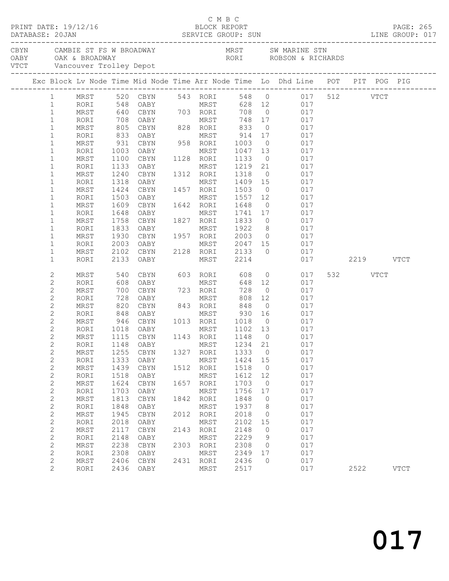| DATABASE: 20JAN |                              |                                  | PRINT DATE: 19/12/16 |              |                             |      | C M B C                            |                   |                | 2/16<br>BLOCK REPORT<br>SERVICE GROUP: SUN                                                                                     |          | PAGE: 265<br>LINE GROUP: 017 |
|-----------------|------------------------------|----------------------------------|----------------------|--------------|-----------------------------|------|------------------------------------|-------------------|----------------|--------------------------------------------------------------------------------------------------------------------------------|----------|------------------------------|
|                 |                              |                                  |                      |              |                             |      |                                    |                   |                | CBYN CAMBIE ST FS W BROADWAY MRST SW MARINE STN OABY OAK & BROADWAY RORI ROBSON & RICHARDS VTCT Vancouver Trolley Depot        |          |                              |
|                 |                              |                                  |                      |              |                             |      |                                    |                   |                |                                                                                                                                |          |                              |
|                 |                              |                                  |                      |              |                             |      |                                    |                   |                | Exc Block Lv Node Time Mid Node Time Arr Node Time Lo Dhd Line POT PIT POG PIG                                                 |          |                              |
|                 |                              |                                  |                      |              |                             |      |                                    |                   |                | 1 MRST 520 CBYN 543 RORI 548 0 017 512 VTCT                                                                                    |          |                              |
|                 |                              | $\mathbf{1}$                     | RORI                 |              |                             |      |                                    |                   |                |                                                                                                                                |          |                              |
|                 |                              | $\mathbf{1}$                     | MRST                 |              |                             |      |                                    |                   |                |                                                                                                                                |          |                              |
|                 | $\mathbf{1}$                 |                                  | RORI                 |              |                             |      |                                    |                   |                | 548 OABY<br>548 OABY MRST 628 12 017<br>640 CBYN 703 RORI 708 0 017<br>708 OABY MRST 748 17 017<br>805 CBYN 828 RORI 833 0 017 |          |                              |
|                 |                              | $\mathbf{1}$                     | MRST                 |              |                             |      |                                    |                   |                |                                                                                                                                |          |                              |
|                 |                              | $\mathbf{1}$                     | RORI                 | 833          | OABY                        |      | MRST 914 17                        |                   |                | 017                                                                                                                            |          |                              |
|                 | $\mathbf{1}$                 |                                  | MRST                 | 931          | CBYN                        |      | 958 RORI 1003                      |                   | $\overline{0}$ | 017                                                                                                                            |          |                              |
|                 | $\mathbf{1}$                 |                                  | RORI                 | 1003         | OABY                        |      | MRST                               |                   |                | 1047 13 017<br>1133 0 017                                                                                                      |          |                              |
|                 | $\mathbf{1}$                 |                                  | MRST                 | 1100         | CBYN                        |      | 1128 RORI                          | 1133              |                |                                                                                                                                |          |                              |
|                 | $\mathbf{1}$                 |                                  | RORI                 | 1133         | OABY                        |      |                                    |                   |                | MRST 1219 21 017                                                                                                               |          |                              |
|                 | $\mathbf{1}$                 |                                  | MRST                 | 1240         | CBYN                        |      | 1312 RORI                          | 1318              |                | 0 017                                                                                                                          |          |                              |
|                 | $\mathbf 1$                  |                                  | RORI                 | 1318         |                             |      |                                    | 1409 15<br>1503 0 |                | 017                                                                                                                            |          |                              |
|                 | $\mathbf{1}$                 |                                  | MRST                 | 1424<br>1503 |                             |      | MRST 1557 12                       |                   |                | 017<br>017                                                                                                                     |          |                              |
|                 | $\mathbf 1$<br>$\mathbf 1$   |                                  | RORI                 |              | OABY                        |      |                                    |                   |                |                                                                                                                                |          |                              |
|                 | $\mathbf 1$                  |                                  | MRST<br>RORI         | 1609<br>1648 | CBYN<br>OABY                |      | 1642 RORI<br>MRST                  | 1648              |                | $0 \qquad \qquad 017$                                                                                                          |          |                              |
|                 | $\mathbf{1}$                 |                                  | MRST                 |              | 1758 CBYN 1827 RORI         |      |                                    |                   |                | 1741 17 017<br>1833 0 017                                                                                                      |          |                              |
|                 | $\mathbf 1$                  |                                  | RORI                 | 1833         | OABY                        |      | MRST 1922                          |                   |                | 8 017                                                                                                                          |          |                              |
|                 | $\mathbf{1}$                 |                                  | MRST                 | 1930         | CBYN                        |      | 1957 RORI 2003                     |                   |                | $0 \qquad 017$                                                                                                                 |          |                              |
|                 | $\mathbf 1$                  |                                  | RORI                 |              |                             |      |                                    |                   |                |                                                                                                                                |          |                              |
|                 | $\mathbf{1}$                 |                                  | MRST                 |              |                             |      |                                    |                   |                | 017                                                                                                                            |          |                              |
|                 | $\mathbf 1$                  |                                  | RORI                 |              | 2133 OABY                   |      | MRST 2214                          |                   |                | 017 2219 VTCT                                                                                                                  |          |                              |
|                 |                              | 2                                | MRST                 | 540<br>608   |                             |      | CBYN 603 RORI 608<br>OARY MRST 648 |                   |                | $0\qquad \qquad 017$                                                                                                           | 532 VTCT |                              |
|                 | $\mathbf{2}$                 |                                  | RORI                 |              | OABY                        |      | MRST                               | 648 12            |                | 017                                                                                                                            |          |                              |
|                 | $\mathbf 2$                  |                                  | MRST                 | 700          | CBYN                        |      | 723 RORI                           | 728               |                | $0\qquad \qquad 017$                                                                                                           |          |                              |
|                 | $\mathbf{2}$                 |                                  | RORI                 | 728          | OABY                        |      | MRST                               | 808               | 12             | 017                                                                                                                            |          |                              |
|                 |                              | $\mathbf{2}$                     | MRST                 |              |                             |      | 843 RORI                           |                   |                | 820 CBYN 843 RORI 848 0 017<br>848 OABY MRST 930 16 017<br>946 CBYN 1013 RORI 1018 0 017                                       |          |                              |
|                 | $\mathbf{2}$                 |                                  | RORI                 |              |                             |      |                                    |                   |                |                                                                                                                                |          |                              |
|                 |                              | $\mathbf{2}$                     | MRST                 |              | 1018 OABY                   |      |                                    |                   |                | 017                                                                                                                            |          |                              |
|                 |                              | $\overline{c}$<br>$\overline{c}$ | RORI<br>MRST         |              | 1115 CBYN                   |      | MRST 1102 13<br>1143 RORI          | 1148 0            |                | 017                                                                                                                            |          |                              |
|                 |                              | $\mathbf{2}$                     |                      |              | RORI 1148 OABY MRST 1234 21 |      |                                    |                   |                | 017                                                                                                                            |          |                              |
|                 | $\mathbf{2}$                 |                                  | MRST                 | 1255         | CBYN                        | 1327 | RORI                               | 1333              | $\circ$        | 017                                                                                                                            |          |                              |
|                 | $\mathbf{2}$                 |                                  | RORI                 | 1333         | OABY                        |      | MRST                               | 1424              | 15             | 017                                                                                                                            |          |                              |
|                 | $\mathbf{2}$                 |                                  | MRST                 | 1439         | CBYN                        | 1512 | RORI                               | 1518              | 0              | 017                                                                                                                            |          |                              |
|                 | $\sqrt{2}$                   |                                  | RORI                 | 1518         | OABY                        |      | MRST                               | 1612              | 12             | 017                                                                                                                            |          |                              |
|                 | $\mathbf{2}$                 |                                  | MRST                 | 1624         | CBYN                        | 1657 | RORI                               | 1703              | $\circ$        | 017                                                                                                                            |          |                              |
|                 | $\mathbf 2$                  |                                  | RORI                 | 1703         | OABY                        |      | MRST                               | 1756              | 17             | 017                                                                                                                            |          |                              |
|                 | $\mathbf{2}$                 |                                  | MRST                 | 1813         | CBYN                        | 1842 | RORI                               | 1848              | 0              | 017                                                                                                                            |          |                              |
|                 | $\sqrt{2}$                   |                                  | RORI                 | 1848         | OABY                        |      | MRST                               | 1937              | 8              | 017                                                                                                                            |          |                              |
|                 | $\mathbf 2$                  |                                  | MRST                 | 1945         | CBYN                        | 2012 | RORI                               | 2018              | $\circ$        | 017                                                                                                                            |          |                              |
|                 | $\sqrt{2}$                   |                                  | RORI                 | 2018         | OABY                        |      | MRST                               | 2102              | 15             | 017                                                                                                                            |          |                              |
|                 | $\mathbf{2}$                 |                                  | MRST                 | 2117         | CBYN                        | 2143 | RORI                               | 2148              | 0              | 017                                                                                                                            |          |                              |
|                 | $\sqrt{2}$                   |                                  | RORI                 | 2148         | OABY                        |      | MRST                               | 2229              | 9              | 017                                                                                                                            |          |                              |
|                 | $\mathbf 2$                  |                                  | MRST                 | 2238         | CBYN                        | 2303 | RORI                               | 2308              | $\circ$        | 017                                                                                                                            |          |                              |
|                 | $\mathbf 2$                  |                                  | RORI                 | 2308         | OABY                        |      | MRST                               | 2349              | 17             | 017                                                                                                                            |          |                              |
|                 | $\mathbf{2}$<br>$\mathbf{2}$ |                                  | MRST<br>RORI         | 2406<br>2436 | $\tt CBYN$<br>OABY          | 2431 | RORI<br>MRST                       | 2436<br>2517      | $\circ$        | 017<br>017                                                                                                                     | 2522     | <b>VTCT</b>                  |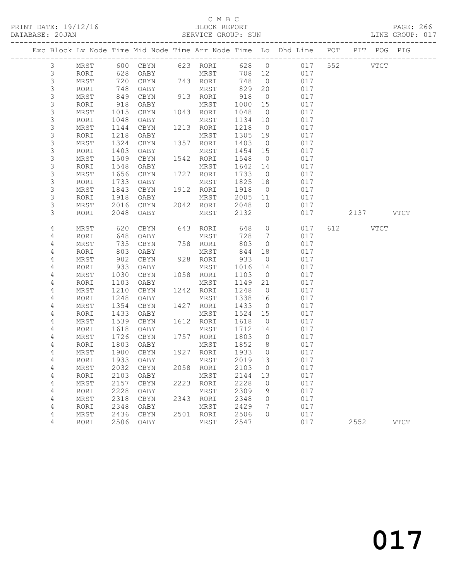### C M B C<br>BLOCK REPORT

PAGE: 266<br>LINE GROUP: 017

|                |      |      |           |      |             |         |                | Exc Block Lv Node Time Mid Node Time Arr Node Time Lo Dhd Line POT |     | PIT POG PIG        |             |
|----------------|------|------|-----------|------|-------------|---------|----------------|--------------------------------------------------------------------|-----|--------------------|-------------|
| $\mathfrak{Z}$ | MRST |      | 600 CBYN  |      | 623 RORI    |         | 628 0          | 017                                                                |     | 552<br><b>VTCT</b> |             |
| $\mathsf 3$    | RORI | 628  | OABY      |      | MRST        | 708 12  |                | 017                                                                |     |                    |             |
| $\mathsf S$    | MRST | 720  | CBYN      |      | 743 RORI    | 748     | $\overline{0}$ | 017                                                                |     |                    |             |
| $\mathsf 3$    | RORI | 748  | OABY      |      | MRST        | 829     | 20             | 017                                                                |     |                    |             |
| $\mathsf S$    | MRST | 849  | CBYN      |      | 913 RORI    | 918     | $\overline{0}$ | 017                                                                |     |                    |             |
| 3              | RORI | 918  | OABY      |      | MRST        | 1000    | 15             | 017                                                                |     |                    |             |
| $\mathsf S$    | MRST | 1015 | CBYN      |      | 1043 RORI   | 1048    | $\overline{0}$ | 017                                                                |     |                    |             |
| 3              | RORI | 1048 | OABY      |      | MRST        | 1134    | 10             | 017                                                                |     |                    |             |
| $\mathsf S$    | MRST | 1144 | CBYN      | 1213 | RORI        | 1218    | $\overline{0}$ | 017                                                                |     |                    |             |
| 3              | RORI | 1218 | OABY      |      | MRST        | 1305    | 19             | 017                                                                |     |                    |             |
| $\mathsf S$    | MRST | 1324 | CBYN      |      | 1357 RORI   | 1403    | $\overline{0}$ | 017                                                                |     |                    |             |
| $\mathsf 3$    | RORI | 1403 | OABY      |      | MRST        | 1454    | 15             | 017                                                                |     |                    |             |
| 3              | MRST | 1509 | CBYN      | 1542 | RORI        | 1548    | $\overline{0}$ | 017                                                                |     |                    |             |
| 3              | RORI | 1548 | OABY      |      | MRST        | 1642    | 14             | 017                                                                |     |                    |             |
| $\mathsf S$    | MRST | 1656 | CBYN      |      | 1727 RORI   | 1733    | $\overline{0}$ | 017                                                                |     |                    |             |
| $\mathsf 3$    | RORI | 1733 | OABY      |      | MRST        | 1825    | 18             | 017                                                                |     |                    |             |
| $\mathsf S$    | MRST | 1843 | CBYN      |      | 1912 RORI   | 1918    | $\overline{0}$ | 017                                                                |     |                    |             |
| 3              | RORI | 1918 | OABY      |      | MRST        | 2005    | 11             | 017                                                                |     |                    |             |
| 3              | MRST | 2016 | CBYN      |      | 2042 RORI   | 2048    | $\overline{0}$ | 017                                                                |     |                    |             |
| 3              | RORI | 2048 | OABY      |      | MRST        | 2132    |                | 017                                                                |     | 2137 VTCT          |             |
| 4              | MRST | 620  | CBYN      | 643  | RORI        | 648     | $\circ$        | 017                                                                | 612 | VTCT               |             |
| 4              | RORI | 648  | OABY      |      | MRST        | 728     | $\overline{7}$ | 017                                                                |     |                    |             |
| 4              | MRST | 735  | CBYN      |      | 758 RORI    | 803     | $\circ$        | 017                                                                |     |                    |             |
| 4              | RORI | 803  | OABY      |      | MRST        | 844     | 18             | 017                                                                |     |                    |             |
| 4              | MRST | 902  | CBYN      | 928  | RORI        | 933     | $\overline{0}$ | 017                                                                |     |                    |             |
| 4              | RORI | 933  | OABY      |      | MRST        | 1016    | 14             | 017                                                                |     |                    |             |
| 4              | MRST | 1030 | CBYN      |      | 1058 RORI   | 1103    | $\overline{0}$ | 017                                                                |     |                    |             |
| 4              | RORI | 1103 | OABY      |      | MRST        | 1149    | 21             | 017                                                                |     |                    |             |
| 4              | MRST | 1210 | CBYN      | 1242 | RORI        | 1248    | $\overline{0}$ | 017                                                                |     |                    |             |
| 4              | RORI | 1248 | OABY      |      | MRST        | 1338    | 16             | 017                                                                |     |                    |             |
| 4              | MRST | 1354 | CBYN      |      | 1427 RORI   | 1433    | $\overline{0}$ | 017                                                                |     |                    |             |
| 4              | RORI | 1433 | OABY      |      | MRST        | 1524    | 15             | 017                                                                |     |                    |             |
| 4              | MRST | 1539 | CBYN      | 1612 | RORI        | 1618    | $\overline{0}$ | 017                                                                |     |                    |             |
| 4              | RORI | 1618 | OABY      |      | MRST        | 1712    | 14             | 017                                                                |     |                    |             |
| 4              | MRST | 1726 | CBYN      |      | 1757 RORI   | 1803    | $\overline{0}$ | 017                                                                |     |                    |             |
| 4              | RORI | 1803 | OABY      |      | MRST        | 1852    | 8 <sup>8</sup> | 017                                                                |     |                    |             |
| 4              | MRST | 1900 | CBYN      |      | 1927 RORI   | 1933    | $\overline{0}$ | 017                                                                |     |                    |             |
| 4              | RORI | 1933 | OABY      |      | MRST        | 2019 13 |                | 017                                                                |     |                    |             |
| 4              | MRST |      | 2032 CBYN |      | 2058 RORI   | 2103 0  |                | 017                                                                |     |                    |             |
| 4              | RORI | 2103 | OABY      |      | MRST        | 2144    | 13             | 017                                                                |     |                    |             |
| 4              | MRST | 2157 | CBYN      | 2223 | RORI        | 2228    | 0              | 017                                                                |     |                    |             |
| 4              | RORI | 2228 | OABY      |      | MRST        | 2309    | 9              | 017                                                                |     |                    |             |
| 4              | MRST | 2318 | CBYN      | 2343 | RORI        | 2348    | 0              | 017                                                                |     |                    |             |
| 4              | RORI | 2348 | OABY      |      | MRST        | 2429    | 7              | 017                                                                |     |                    |             |
| 4              | MRST | 2436 | CBYN      | 2501 | RORI        | 2506    | 0              | 017                                                                |     |                    |             |
| 4              | RORI | 2506 | OABY      |      | <b>MRST</b> | 2547    |                | 017                                                                |     | 2552               | <b>VTCT</b> |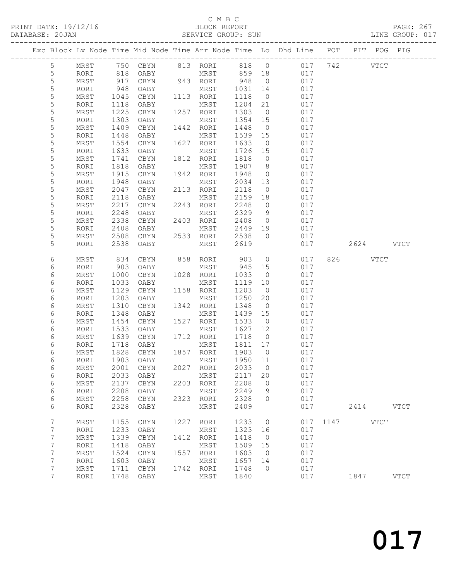#### C M B C<br>BLOCK REPORT

SERVICE GROUP: SUN

|                 |              |              |              |      |                   |              |                      | Exc Block Lv Node Time Mid Node Time Arr Node Time Lo Dhd Line POT |          | PIT POG PIG |             |
|-----------------|--------------|--------------|--------------|------|-------------------|--------------|----------------------|--------------------------------------------------------------------|----------|-------------|-------------|
| 5               | MRST         |              |              |      |                   |              |                      | 750 CBYN 813 RORI 818 0 017 742                                    |          | VTCT        |             |
| 5               | RORI         | 818          | OABY         |      | MRST 859 18       |              |                      | 017                                                                |          |             |             |
| 5               | MRST         | 917          | CBYN         |      | 943 RORI          | 948          | $\overline{0}$       | 017                                                                |          |             |             |
| 5               | RORI         | 948          | OABY         |      | MRST              | 1031         | 14                   | 017                                                                |          |             |             |
| $\mathsf S$     | MRST         | 1045         | CBYN         |      | 1113 RORI         | 1118         | $\overline{0}$       | 017                                                                |          |             |             |
| 5               | RORI         | 1118         | OABY         |      | MRST              | 1204         | 21                   | 017                                                                |          |             |             |
| 5               | MRST         | 1225         | CBYN         |      | 1257 RORI         | 1303         | $\overline{0}$       | 017                                                                |          |             |             |
| 5               | RORI         | 1303         | OABY         |      | MRST              | 1354         | 15                   | 017                                                                |          |             |             |
| $\mathsf S$     | MRST         | 1409         | CBYN         |      | 1442 RORI         | 1448         | $\overline{0}$       | 017                                                                |          |             |             |
| 5               | RORI         | 1448         | OABY         |      | MRST              | 1539         | 15                   | 017                                                                |          |             |             |
| 5               | MRST         | 1554         | CBYN         |      | 1627 RORI         | 1633         | $\overline{0}$       | 017                                                                |          |             |             |
| 5               | RORI         | 1633         | OABY         |      | MRST              | 1726         | 15                   | 017                                                                |          |             |             |
| 5               | MRST         | 1741         | CBYN         |      | 1812 RORI         | 1818         | $\overline{0}$       | 017                                                                |          |             |             |
| 5               | RORI         | 1818         | OABY         |      | MRST              | 1907         | 8 <sup>8</sup>       | 017                                                                |          |             |             |
| 5<br>5          | MRST         | 1915         | CBYN         |      | 1942 RORI         | 1948         | $\overline{0}$       | 017                                                                |          |             |             |
| 5               | RORI<br>MRST | 1948<br>2047 | OABY<br>CBYN |      | MRST<br>2113 RORI | 2034<br>2118 | 13<br>$\overline{0}$ | 017<br>017                                                         |          |             |             |
| 5               | RORI         | 2118         | OABY         |      | MRST              | 2159         | 18                   | 017                                                                |          |             |             |
| 5               | MRST         | 2217         | CBYN         |      | 2243 RORI         | 2248         | $\overline{0}$       | 017                                                                |          |             |             |
| 5               | RORI         | 2248         | OABY         |      | MRST              | 2329         | $\overline{9}$       | 017                                                                |          |             |             |
| 5               | MRST         | 2338         | CBYN         |      | 2403 RORI         | 2408         | $\overline{0}$       | 017                                                                |          |             |             |
| 5               | RORI         | 2408         | OABY         |      | MRST              | 2449         | 19                   | 017                                                                |          |             |             |
| 5               | MRST         | 2508         | CBYN         |      | 2533 RORI         | 2538         | $\overline{0}$       | 017                                                                |          |             |             |
| 5               | RORI         | 2538         | OABY         |      | MRST              | 2619         |                      | 017                                                                |          | 2624 VTCT   |             |
|                 |              |              |              |      |                   |              |                      |                                                                    |          |             |             |
| 6               | MRST         | 834          | CBYN         |      | 858 RORI          | 903          | $\overline{0}$       | 017                                                                |          | 826 VTCT    |             |
| 6               | RORI         | 903          | OABY         |      | MRST              | 945          | 15                   | 017                                                                |          |             |             |
| 6               | MRST         | 1000         | CBYN         |      | 1028 RORI         | 1033         | $\overline{0}$       | 017                                                                |          |             |             |
| 6               | RORI         | 1033         | OABY         |      | MRST              | 1119         | 10                   | 017                                                                |          |             |             |
| 6               | MRST         | 1129         | CBYN         |      | 1158 RORI         | 1203         | $\overline{0}$       | 017                                                                |          |             |             |
| 6               | RORI         | 1203         | OABY         |      | MRST              | 1250         | 20                   | 017                                                                |          |             |             |
| 6               | MRST         | 1310         | CBYN         |      | 1342 RORI         | 1348         | $\overline{0}$       | 017                                                                |          |             |             |
| 6               | RORI         | 1348         | OABY         |      | MRST              | 1439         | 15                   | 017                                                                |          |             |             |
| 6               | MRST         | 1454         | CBYN         |      | 1527 RORI         | 1533         | $\overline{0}$       | 017                                                                |          |             |             |
| 6               | RORI         | 1533         | OABY         |      | MRST              | 1627         | 12                   | 017                                                                |          |             |             |
| 6               | MRST         | 1639         | CBYN         |      | 1712 RORI         | 1718         | $\overline{0}$       | 017                                                                |          |             |             |
| 6<br>6          | RORI         | 1718<br>1828 | OABY         |      | MRST<br>1857 RORI | 1811<br>1903 | 17<br>$\overline{0}$ | 017<br>017                                                         |          |             |             |
| 6               | MRST<br>RORI | 1903         | CBYN<br>OABY |      | MRST              | 1950 11      |                      | 017                                                                |          |             |             |
| $6\phantom{.}6$ | MRST         |              | 2001 CBYN    |      | 2027 RORI         | 2033 0       |                      | 017                                                                |          |             |             |
| 6               | RORI         | 2033         | OABY         |      | MRST              | 2117         | 20                   | 017                                                                |          |             |             |
| 6               | MRST         | 2137         | CBYN         |      | 2203 RORI         | 2208         | $\overline{0}$       | 017                                                                |          |             |             |
| 6               | RORI         | 2208         | OABY         |      | MRST              | 2249         | 9                    | 017                                                                |          |             |             |
| 6               | MRST         | 2258         | CBYN         | 2323 | RORI              | 2328         | $\circ$              | 017                                                                |          |             |             |
| 6               | RORI         | 2328         | OABY         |      | MRST              | 2409         |                      | 017                                                                |          | 2414        | <b>VTCT</b> |
|                 |              |              |              |      |                   |              |                      |                                                                    |          |             |             |
| 7               | MRST         | 1155         | CBYN         |      | 1227 RORI         | 1233         | $\overline{0}$       |                                                                    | 017 1147 | <b>VTCT</b> |             |
| 7               | RORI         | 1233         | OABY         |      | MRST              | 1323         | 16                   | 017                                                                |          |             |             |
| 7               | MRST         | 1339         | CBYN         | 1412 | RORI              | 1418         | $\overline{0}$       | 017                                                                |          |             |             |
| 7               | RORI         | 1418         | OABY         |      | MRST              | 1509         | 15                   | 017                                                                |          |             |             |
| $\overline{7}$  | MRST         | 1524         | CBYN         |      | 1557 RORI         | 1603         | $\overline{0}$       | 017                                                                |          |             |             |
| 7               | RORI         | 1603         | OABY         |      | MRST              | 1657         | 14                   | 017                                                                |          |             |             |
| 7               | MRST         | 1711         | CBYN         | 1742 | RORI              | 1748         | $\overline{0}$       | 017                                                                |          |             |             |
| 7               | RORI         | 1748         | OABY         |      | MRST              | 1840         |                      | 017                                                                |          | 1847        | <b>VTCT</b> |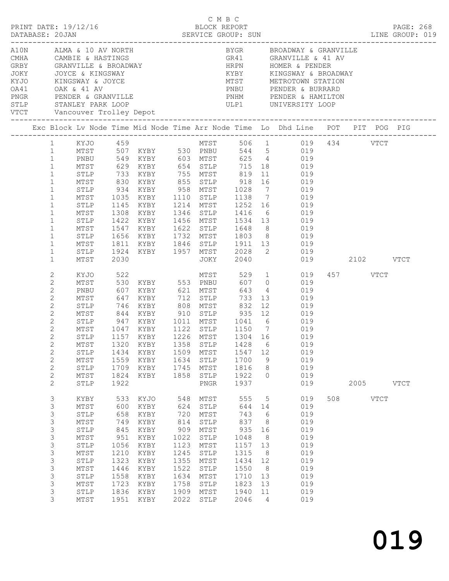|                                                                                                                                                                                                                          |                                                                                                                                      |                                                                                                        |                                                                                                                                                              |                                                                                                         |                                                                                                                                                      |                                                                                                                  |                                                                                                                   | Exc Block Lv Node Time Mid Node Time Arr Node Time Lo Dhd Line POT PIT POG PIG                                                                                                                                                                                                                                                                                 |                 |          |           |  |
|--------------------------------------------------------------------------------------------------------------------------------------------------------------------------------------------------------------------------|--------------------------------------------------------------------------------------------------------------------------------------|--------------------------------------------------------------------------------------------------------|--------------------------------------------------------------------------------------------------------------------------------------------------------------|---------------------------------------------------------------------------------------------------------|------------------------------------------------------------------------------------------------------------------------------------------------------|------------------------------------------------------------------------------------------------------------------|-------------------------------------------------------------------------------------------------------------------|----------------------------------------------------------------------------------------------------------------------------------------------------------------------------------------------------------------------------------------------------------------------------------------------------------------------------------------------------------------|-----------------|----------|-----------|--|
| $\mathbf{1}$<br>$\mathbf{1}$<br>$\mathbf{1}$<br>$1\,$<br>$\mathbf{1}$<br>$\mathbf{1}$<br>$\mathbf 1$<br>$\mathbf{1}$<br>$\mathbf{1}$<br>$\mathbf{1}$<br>$\mathbf 1$<br>1<br>$\mathbf{1}$<br>$\mathbf{1}$<br>$\mathbf{1}$ | 1 KYJO 459<br>PNBU<br>MTST<br>MTST<br>STLP<br>MTST<br>STLP<br>MTST<br>STLP<br>MTST<br>STLP<br>MTST<br>STLP<br>MTST                   | 934<br>1035<br>1656<br>1811<br>1924<br>2030                                                            | MTST 507 KYBY 530 PNBU<br>549 KYBY 603 MTST<br>KYBY 958 MTST 1028<br>KYBY<br>1145 KYBY<br>1308 KYBY<br>1422 KYBY<br>1547 KYBY<br>KYBY<br>KYBY 1957 MTST 2028 |                                                                                                         | JOKY                                                                                                                                                 | 1346 STLP 1416<br>1622 STLP 1648 8<br>1732 MTST 1803 8<br>2040                                                   |                                                                                                                   | MTST 506 1 019 434 VTCT<br>544 5 019<br>625 4 019<br>MTST 629 KYBY 654 STLP 715 18 019<br>STLP 733 KYBY 755 MTST 819 11 019<br>MTST 830 KYBY 855 STLP 918 16 019<br>7 019<br>1110 STLP 1138 7 019<br>1214 MTST 1252 16 019<br>6 019<br>1456 MTST 1534 13 019<br>$\begin{matrix} 8 & 019 \\ 8 & 019 \end{matrix}$<br>019<br>KYBY 1846 STLP 1911 13 019<br>2 019 | 019  2102  VTCT |          |           |  |
| 2<br>$\sqrt{2}$<br>2<br>$\overline{c}$<br>$\mathbf{2}$<br>$\mathbf{2}$<br>2<br>$\overline{c}$<br>$\mathbf{2}$<br>$\mathbf{2}$<br>$\mathbf{2}$<br>$\overline{c}$<br>$\overline{c}$<br>$\mathbf{2}$<br>2                   | KYJO<br>MTST<br>PNBU<br>MTST<br>STLP<br>MTST<br>STLP<br>MTST<br>STLP<br>MTST<br>STLP<br>MTST<br>${\tt STLP}$<br>MTST<br>STLP         | 522<br>607<br>647<br>947<br>1434<br>1559<br>1709<br>1824<br>1922                                       | 530 KYBY 553 PNBU<br>KYBY 621 MTST<br>KYBY<br>$746$ KYBY<br>KYBY<br>$1047$ KYBY<br>1157 KYBY<br>KYBY<br>KYBY<br>KYBY<br>KYBY                                 | 1634<br>1745<br>1858                                                                                    | MTST<br>712 STLP<br>808 MTST<br>$1226$ MTST<br>1509 MTST<br>STLP<br>MTST<br>STLP<br>PNGR                                                             | 529<br>607<br>643<br>733<br>832<br>1122 STLP 1150 7<br>1226 MTST 1304 16<br>1547<br>1700<br>1816<br>1922<br>1937 | 13<br>12<br>12<br>9<br>8<br>$\circ$                                                                               | 1 019<br>0 0 0 1 9<br>4 019<br>019<br>019<br>844 KYBY 910 STLP 935 12 019<br>1011 MTST 1041 6 019<br>$019$<br>$019$<br>1320 KYBY 1358 STLP 1428 6 019<br>019<br>019<br>019<br>019<br>019                                                                                                                                                                       |                 | 457 VTCT | 2005 VTCT |  |
| $\mathfrak{Z}$<br>3<br>3<br>3<br>3<br>3<br>3<br>3<br>$\mathsf 3$<br>3<br>3<br>3<br>3<br>3                                                                                                                                | KYBY<br>MTST<br>STLP<br>MTST<br>${\tt STLP}$<br>MTST<br>${\tt STLP}$<br>MTST<br>${\tt STLP}$<br>MTST<br>STLP<br>MTST<br>STLP<br>MTST | 533<br>600<br>658<br>749<br>845<br>951<br>1056<br>1210<br>1323<br>1446<br>1558<br>1723<br>1836<br>1951 | KYJO<br>KYBY<br>KYBY<br>KYBY<br>KYBY<br>KYBY<br>KYBY<br>KYBY<br>KYBY<br>KYBY<br>KYBY<br>KYBY<br>KYBY<br>KYBY                                                 | 548<br>624<br>720<br>814<br>909<br>1022<br>1123<br>1245<br>1355<br>1522<br>1634<br>1758<br>1909<br>2022 | MTST<br>${\tt STLP}$<br>MTST<br>${\tt STLP}$<br>MTST<br>${\tt STLP}$<br>MTST<br>${\tt STLP}$<br>MTST<br>STLP<br>MTST<br>STLP<br>MTST<br>${\tt STLP}$ | 555<br>644<br>743<br>837<br>935<br>1048<br>1157<br>1315<br>1434<br>1550<br>1710<br>1823<br>1940<br>2046          | $5\overline{)}$<br>14<br>6<br>8<br>16<br>8<br>13<br>8<br>12<br>8 <sup>8</sup><br>13<br>13<br>11<br>$\overline{4}$ | 019<br>019<br>019<br>019<br>019<br>019<br>019<br>019<br>019<br>019<br>019<br>019<br>019<br>019                                                                                                                                                                                                                                                                 |                 | 508 VTCT |           |  |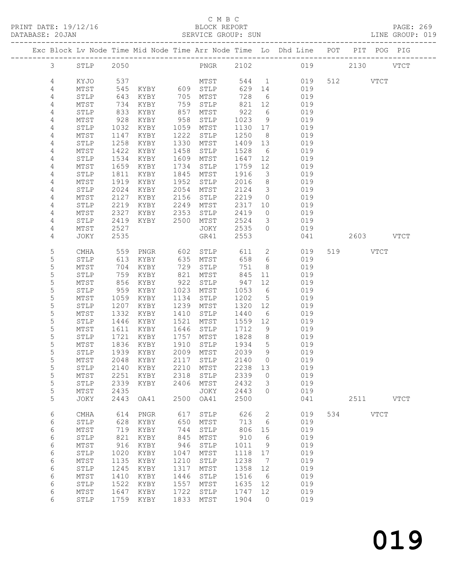#### C M B C<br>BLOCK REPORT

PRINT DATE: 19/12/16 BLOCK REPORT BATABASE: 20JAN BLOCK REPORT

PAGE: 269<br>LINE GROUP: 019

|                |                 |      |                             |      |              |         |                         | Exc Block Lv Node Time Mid Node Time Arr Node Time Lo Dhd Line POT PIT POG PIG |     |           |             |             |
|----------------|-----------------|------|-----------------------------|------|--------------|---------|-------------------------|--------------------------------------------------------------------------------|-----|-----------|-------------|-------------|
| $\mathfrak{Z}$ | STLP 2050       |      |                             |      |              |         |                         | PNGR 2102 019                                                                  |     | 2130 VTCT |             |             |
|                |                 |      |                             |      |              |         |                         |                                                                                |     |           |             |             |
| 4              | KYJO            | 537  |                             |      | MTST         |         |                         | 544 1<br>019                                                                   |     | 512 VTCT  |             |             |
| 4              | MTST            | 545  | KYBY 609 STLP               |      |              | 629     | 14                      | 019                                                                            |     |           |             |             |
| $\overline{4}$ | STLP            | 643  | KYBY                        |      | 705 MTST     | 728     | $6\overline{6}$         | 019                                                                            |     |           |             |             |
| 4              | $\mathtt{MTST}$ | 734  | KYBY                        | 759  | STLP         | 821     | 12                      | 019                                                                            |     |           |             |             |
| 4              | STLP            | 833  | KYBY                        | 857  | MTST         | 922     | 6                       | 019                                                                            |     |           |             |             |
| 4              | MTST            | 928  | KYBY                        | 958  | STLP         | 1023    | 9                       | 019                                                                            |     |           |             |             |
| $\sqrt{4}$     | STLP            | 1032 | KYBY                        | 1059 | MTST         | 1130 17 |                         | 019                                                                            |     |           |             |             |
| $\overline{4}$ | MTST            | 1147 | KYBY                        | 1222 | STLP         | 1250    | 8 <sup>8</sup>          | 019                                                                            |     |           |             |             |
| $\overline{4}$ | STLP            | 1258 | KYBY                        | 1330 | MTST         | 1409 13 |                         | 019                                                                            |     |           |             |             |
| 4              | MTST            | 1422 | KYBY                        | 1458 | STLP         | 1528    | 6                       | 019                                                                            |     |           |             |             |
| 4              | STLP            | 1534 | KYBY                        | 1609 | MTST         | 1647    | 12                      | 019                                                                            |     |           |             |             |
| 4              | MTST            | 1659 | KYBY                        | 1734 | STLP         | 1759    | 12                      | 019                                                                            |     |           |             |             |
| 4              | STLP            | 1811 | KYBY                        | 1845 | MTST         | 1916    | $\overline{\mathbf{3}}$ | 019                                                                            |     |           |             |             |
| 4              | MTST            | 1919 | KYBY                        | 1952 | STLP         | 2016    | 8 <sup>8</sup>          | 019                                                                            |     |           |             |             |
| 4              | STLP            | 2024 | KYBY                        | 2054 | MTST         | 2124    | $\overline{\mathbf{3}}$ | 019                                                                            |     |           |             |             |
| 4              | MTST            | 2127 | KYBY                        | 2156 | STLP         | 2219    | $\overline{0}$          | 019                                                                            |     |           |             |             |
| 4              | STLP            | 2219 | KYBY                        | 2249 | MTST         | 2317 10 |                         | 019                                                                            |     |           |             |             |
| 4              | MTST            | 2327 | KYBY                        | 2353 | STLP         | 2419    | $\overline{0}$          | 019                                                                            |     |           |             |             |
| 4              | STLP            | 2419 | KYBY                        | 2500 | MTST         | 2524    | $\mathcal{S}$           | 019                                                                            |     |           |             |             |
| 4              | MTST            | 2527 |                             |      | JOKY         | 2535    | $\circ$                 | 019                                                                            |     |           |             |             |
| 4              |                 | 2535 |                             |      | GR41         | 2553    |                         | 041                                                                            |     | 2603 VTCT |             |             |
|                | JOKY            |      |                             |      |              |         |                         |                                                                                |     |           |             |             |
| 5              | CMHA            | 559  | PNGR                        | 602  | STLP         | 611     | $\overline{2}$          | 019                                                                            |     | 519       | VTCT        |             |
| 5              | STLP            | 613  | KYBY                        | 635  | MTST         | 658     | $6\overline{6}$         | 019                                                                            |     |           |             |             |
| 5              | $\mathtt{MTST}$ | 704  | KYBY                        | 729  | STLP         | 751     | 8 <sup>8</sup>          | 019                                                                            |     |           |             |             |
| 5              | STLP            | 759  | KYBY                        | 821  | MTST         | 845     | 11                      | 019                                                                            |     |           |             |             |
| 5              | MTST            | 856  | KYBY                        | 922  | STLP         | 947     | 12                      | 019                                                                            |     |           |             |             |
| $\mathsf S$    | STLP            | 959  | KYBY                        |      | 1023 MTST    | 1053    | $6\overline{6}$         | 019                                                                            |     |           |             |             |
| 5              | MTST            | 1059 | KYBY                        | 1134 | STLP         | 1202    | $5\overline{)}$         | 019                                                                            |     |           |             |             |
| 5              | STLP            | 1207 | KYBY                        | 1239 | MTST         | 1320 12 |                         | 019                                                                            |     |           |             |             |
| 5              | MTST            | 1332 | KYBY                        | 1410 | STLP         | 1440    | 6                       | 019                                                                            |     |           |             |             |
| 5              | STLP            | 1446 | KYBY                        | 1521 | MTST         | 1559    | 12                      | 019                                                                            |     |           |             |             |
| 5              | MTST            | 1611 | KYBY                        | 1646 | STLP         | 1712    | 9                       | 019                                                                            |     |           |             |             |
| 5              | STLP            | 1721 | KYBY                        | 1757 | MTST         | 1828    | 8 <sup>8</sup>          | 019                                                                            |     |           |             |             |
| 5              | MTST            | 1836 | KYBY                        | 1910 | STLP         | 1934    | $5\overline{)}$         | 019                                                                            |     |           |             |             |
| 5              | STLP            | 1939 | KYBY                        | 2009 | MTST         | 2039    | 9                       | 019                                                                            |     |           |             |             |
| 5              | MTST            | 2048 | KYBY                        | 2117 | STLP         | 2140    | $\bigcirc$              | 019                                                                            |     |           |             |             |
| 5              | STLP            |      | 2140 KYBY 2210 MTST 2238 13 |      |              |         |                         | 019                                                                            |     |           |             |             |
| 5              | MTST            | 2251 | KYBY                        | 2318 | STLP         | 2339    | $\circ$                 | 019                                                                            |     |           |             |             |
| 5              | STLP            | 2339 | KYBY                        | 2406 | MTST         | 2432    | 3                       | 019                                                                            |     |           |             |             |
| 5              | MTST            | 2435 |                             |      | JOKY         | 2443    | $\circ$                 | 019                                                                            |     |           |             |             |
| 5              | JOKY            | 2443 | OA41                        | 2500 | OA41         | 2500    |                         | 041                                                                            |     | 2511      |             | <b>VTCT</b> |
|                |                 |      |                             |      |              |         |                         |                                                                                |     |           |             |             |
| 6              | CMHA            | 614  | PNGR                        | 617  | ${\tt STLP}$ | 626     | 2                       | 019                                                                            | 534 |           | <b>VTCT</b> |             |
| 6              | STLP            | 628  | KYBY                        | 650  | MTST         | 713     | 6                       | 019                                                                            |     |           |             |             |
| 6              | MTST            | 719  | KYBY                        | 744  | STLP         | 806     | 15                      | 019                                                                            |     |           |             |             |
| 6              | STLP            | 821  | KYBY                        | 845  | MTST         | 910     | 6                       | 019                                                                            |     |           |             |             |
| 6              | $\mathtt{MTST}$ | 916  | KYBY                        | 946  | ${\tt STLP}$ | 1011    | 9                       | 019                                                                            |     |           |             |             |
| 6              | STLP            | 1020 | KYBY                        | 1047 | MTST         | 1118    | 17                      | 019                                                                            |     |           |             |             |
| 6              | MTST            | 1135 | KYBY                        | 1210 | STLP         | 1238    | $\overline{7}$          | 019                                                                            |     |           |             |             |
| 6              | STLP            | 1245 | KYBY                        | 1317 | MTST         | 1358    | 12                      | 019                                                                            |     |           |             |             |
| 6              | MTST            | 1410 | KYBY                        | 1446 | STLP         | 1516    | - 6                     | 019                                                                            |     |           |             |             |
| 6              | STLP            | 1522 | KYBY                        | 1557 | MTST         | 1635    | 12                      | 019                                                                            |     |           |             |             |
| 6              | MTST            | 1647 | KYBY                        | 1722 | STLP         | 1747    | 12                      | 019                                                                            |     |           |             |             |
| 6              | STLP            | 1759 | KYBY                        | 1833 | MTST         | 1904    | $\overline{0}$          | 019                                                                            |     |           |             |             |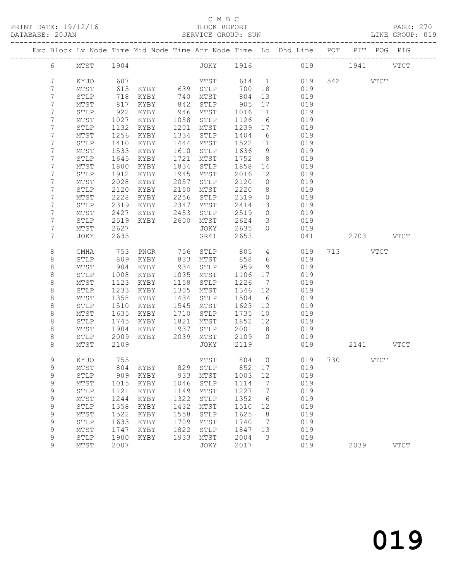#### C M B C<br>BLOCK REPORT

| DATABASE: 20JAN |              |                 |              | SERVICE GROUP: SUN<br>--------------------------- |              |              |              |                                  | ROUP: SUN<br>--------------------------------                                  |           | LINE GROUP: 019 |  |
|-----------------|--------------|-----------------|--------------|---------------------------------------------------|--------------|--------------|--------------|----------------------------------|--------------------------------------------------------------------------------|-----------|-----------------|--|
|                 |              |                 |              |                                                   |              |              |              |                                  | Exc Block Lv Node Time Mid Node Time Arr Node Time Lo Dhd Line POT PIT POG PIG |           |                 |  |
|                 | 6            | MTST 1904       |              |                                                   |              |              |              |                                  | JOKY 1916 019 1941 VTCT                                                        |           |                 |  |
|                 | 7            | KYJO            | 607          |                                                   |              | MTST 614 1   |              |                                  | 019                                                                            | 542 VTCT  |                 |  |
|                 | 7            | MTST            | 615          | KYBY 639 STLP                                     |              |              | 700          | 18                               | 019                                                                            |           |                 |  |
|                 | 7            | STLP            | 718          | KYBY 740                                          |              | MTST         | 804          | 13                               | 019                                                                            |           |                 |  |
|                 | 7            | $\mathtt{MTST}$ | 817          | KYBY                                              | 842          | STLP         | 905          | 17                               | 019                                                                            |           |                 |  |
|                 | 7            | ${\tt STLP}$    | 922          | KYBY                                              | 946          | MTST         | 1016         | 11                               | 019                                                                            |           |                 |  |
|                 | 7            | MTST            | 1027         | KYBY                                              | 1058         | STLP         | 1126         | 6                                | 019                                                                            |           |                 |  |
|                 | 7            | STLP            | 1132         | KYBY                                              | 1201         | MTST         | 1239         | 17                               | 019                                                                            |           |                 |  |
|                 | 7            | MTST            | 1256         | KYBY                                              | 1334         | STLP         | 1404         | 6                                | 019                                                                            |           |                 |  |
|                 | 7            | STLP            | 1410         | KYBY                                              | 1444         | MTST         | 1522         | 11                               | 019                                                                            |           |                 |  |
|                 | 7            | MTST            | 1533         | KYBY                                              | 1610         | STLP         | 1636         | 9                                | 019                                                                            |           |                 |  |
|                 | 7            | STLP            | 1645         | KYBY                                              | 1721         | MTST         | 1752         | 8 <sup>8</sup>                   | 019                                                                            |           |                 |  |
|                 | 7            | MTST            | 1800         | KYBY                                              | 1834         | STLP         | 1858         | 14                               | 019                                                                            |           |                 |  |
|                 | 7            | ${\tt STLP}$    | 1912         | KYBY                                              | 1945         | MTST         | 2016         | 12                               | 019                                                                            |           |                 |  |
|                 | 7            | MTST            | 2028         | KYBY                                              | 2057         | STLP         | 2120         | $\overline{0}$                   | 019                                                                            |           |                 |  |
|                 | 7            | STLP            | 2120         | KYBY                                              | 2150         | MTST         | 2220         | 8 <sup>8</sup>                   | 019                                                                            |           |                 |  |
|                 | 7            | MTST            | 2228         | KYBY                                              | 2256         | STLP         | 2319         | $\overline{0}$                   | 019                                                                            |           |                 |  |
|                 | 7            | STLP            | 2319         | KYBY                                              | 2347         | MTST         | 2414         | 13                               | 019                                                                            |           |                 |  |
|                 | 7            | MTST            | 2427         | KYBY                                              | 2453         | STLP         | 2519         | $\overline{0}$                   | 019                                                                            |           |                 |  |
|                 | 7            | STLP            | 2519         | KYBY 2600                                         |              | MTST         | 2624         | $\overline{\mathbf{3}}$          | 019                                                                            |           |                 |  |
|                 | 7            | MTST            | 2627         |                                                   |              | JOKY         | 2635         | $\Omega$                         | 019                                                                            |           |                 |  |
|                 | 7            | JOKY            | 2635         |                                                   |              | GR41         | 2653         |                                  | 041                                                                            | 2703 VTCT |                 |  |
|                 | 8            | CMHA            | 753          | PNGR                                              | 756          | STLP         | 805          | $4\overline{ }$                  | 019                                                                            | 713 VTCT  |                 |  |
|                 | $\,8\,$      | STLP            | 809          | KYBY                                              | 833          | MTST         | 858          | 6                                | 019                                                                            |           |                 |  |
|                 | $\,8\,$      | MTST            | 904          | KYBY                                              | 934          | STLP         | 959          | 9                                | 019                                                                            |           |                 |  |
|                 | 8            | STLP            | 1008         | KYBY                                              | 1035         | MTST         | 1106         | 17                               | 019                                                                            |           |                 |  |
|                 | $\,8\,$      | MTST            | 1123         | KYBY                                              | 1158         | STLP         | 1226         | $\overline{7}$                   | 019                                                                            |           |                 |  |
|                 | $\,8\,$      | STLP            | 1233         | KYBY                                              | 1305         | MTST         | 1346         | 12                               | 019                                                                            |           |                 |  |
|                 | $\,8\,$      | MTST            | 1358         | KYBY                                              | 1434         | STLP         | 1504         | 6                                | 019                                                                            |           |                 |  |
|                 | 8            | ${\tt STLP}$    | 1510         | KYBY                                              | 1545         | MTST         | 1623         | 12                               | 019                                                                            |           |                 |  |
|                 | $\,8\,$      | MTST            | 1635         | KYBY                                              | 1710         | STLP         | 1735         | 10                               | 019                                                                            |           |                 |  |
|                 | 8            | STLP            | 1745         | KYBY                                              | 1821         | MTST         | 1852         | 12                               | 019                                                                            |           |                 |  |
|                 | $\,8\,$<br>8 | MTST            | 1904<br>2009 | KYBY<br>KYBY                                      | 1937<br>2039 | STLP         | 2001<br>2109 | 8 <sup>8</sup><br>$\overline{0}$ | 019                                                                            |           |                 |  |
|                 | 8            | STLP<br>MTST    | 2109         |                                                   |              | MTST<br>JOKY | 2119         |                                  | 019<br>019                                                                     | 2141 VTCT |                 |  |
|                 |              |                 |              |                                                   |              |              |              |                                  |                                                                                |           |                 |  |
|                 | 9            | KYJO            | 755          |                                                   |              |              |              |                                  | MTST 804 0 019 730 VTCT                                                        |           |                 |  |
|                 | 9            | MTST            | 804          | KYBY                                              | 829          | STLP         | 852          | 17                               | 019                                                                            |           |                 |  |
|                 | $\mathsf 9$  | STLP            | 909          | KYBY                                              | 933          | MTST         | 1003         | 12                               | 019                                                                            |           |                 |  |
|                 | 9            | MTST            | 1015         | KYBY                                              | 1046         | STLP         | 1114         | 7                                | 019                                                                            |           |                 |  |
|                 | $\mathsf 9$  | STLP            | 1121         | KYBY                                              | 1149         | MTST         | 1227         | 17                               | 019                                                                            |           |                 |  |
|                 | $\mathsf 9$  | MTST            | 1244         | KYBY                                              | 1322         | STLP         | 1352         | 6                                | 019                                                                            |           |                 |  |
|                 | 9            | STLP            | 1358         | KYBY                                              | 1432         | MTST         | 1510         | 12                               | 019                                                                            |           |                 |  |
|                 | 9            | MTST            | 1522         | KYBY                                              | 1558         | STLP         | 1625         | 8                                | 019                                                                            |           |                 |  |
|                 | 9            | STLP            | 1633         | KYBY                                              | 1709         | MTST         | 1740         | 7                                | 019                                                                            |           |                 |  |

 9 MTST 1747 KYBY 1822 STLP 1847 13 019 9 STLP 1900 KYBY 1933 MTST 2004 3 019

9 MTST 2007 JOKY 2017 019 2039 VTCT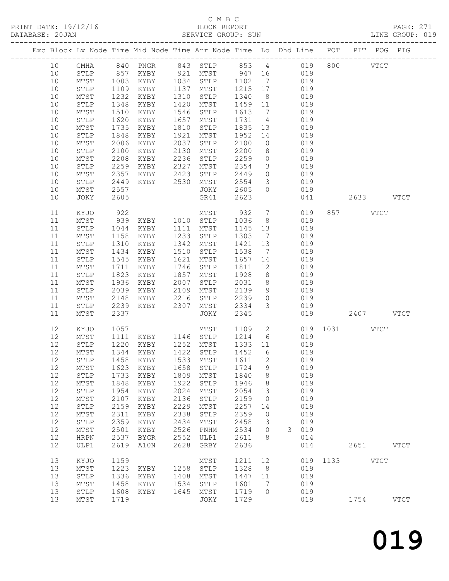### C M B C<br>BLOCK REPORT

| DATABASE: 20JAN |          |                 |              |                                  |              | SERVICE GROUP: SUN                              |                         |                         | LINE GROUP: 019                                                                |               |          |           |  |
|-----------------|----------|-----------------|--------------|----------------------------------|--------------|-------------------------------------------------|-------------------------|-------------------------|--------------------------------------------------------------------------------|---------------|----------|-----------|--|
|                 |          |                 |              |                                  |              |                                                 |                         |                         | Exc Block Lv Node Time Mid Node Time Arr Node Time Lo Dhd Line POT PIT POG PIG |               |          |           |  |
|                 | 10       |                 |              |                                  |              |                                                 |                         |                         | CMHA 840 PNGR 843 STLP 853 4 019 800 VTCT                                      |               |          |           |  |
|                 | 10       | STLP 857        |              |                                  |              |                                                 |                         |                         | KYBY 921 MTST 947 16 019                                                       |               |          |           |  |
|                 | 10       | MTST            | 1003<br>1109 |                                  |              | KYBY 1034 STLP 1102 7<br>KYBY 1137 MTST 1215 17 |                         |                         | 019                                                                            |               |          |           |  |
|                 | 10       | STLP            |              |                                  |              |                                                 |                         |                         | 019                                                                            |               |          |           |  |
|                 | 10       | MTST            | 1232         | KYBY                             |              | 1310 STLP                                       | 1340                    | 8 <sup>8</sup>          | 019                                                                            |               |          |           |  |
|                 | 10       | STLP            | 1348         | KYBY                             |              | 1420 MTST                                       | 1459 11                 |                         | 019                                                                            |               |          |           |  |
|                 | 10       | MTST            | 1510         | KYBY                             |              | 1546 STLP                                       | 1613                    | $7\overline{ }$         | 019                                                                            |               |          |           |  |
|                 | 10       | STLP            | 1620         | KYBY                             |              | 1657 MTST                                       | 1731 4                  |                         | 019                                                                            |               |          |           |  |
|                 | 10       | MTST            | 1735         | KYBY                             | 1810         | STLP                                            | 1835 13                 |                         | 019                                                                            |               |          |           |  |
|                 | 10       | STLP            | 1848         | KYBY                             | 1921         | MTST                                            | 1952 14                 |                         | 019                                                                            |               |          |           |  |
|                 | 10       | MTST            | 2006         | KYBY                             | 2037         | STLP                                            | 2100                    | $\overline{0}$          | 019                                                                            |               |          |           |  |
|                 | 10       | STLP            | 2100         | KYBY                             |              | 2130 MTST                                       | 2200                    | 8 <sup>8</sup>          | 019                                                                            |               |          |           |  |
|                 | 10       | $\mathtt{MTST}$ | 2208         | KYBY                             |              | 2236 STLP                                       | 2259                    | $\overline{O}$          | 019                                                                            |               |          |           |  |
|                 | 10       | ${\tt STLP}$    | 2259         | KYBY 2327                        |              | MTST                                            | 2354                    | $\overline{\mathbf{3}}$ | 019                                                                            |               |          |           |  |
|                 | 10       | MTST            | 2357         | KYBY 2423                        |              | STLP                                            | 2449                    | $\overline{0}$          | 019                                                                            |               |          |           |  |
|                 | 10       | STLP            | 2449         | KYBY 2530 MTST                   |              |                                                 | 2554                    | $\overline{\mathbf{3}}$ | 019                                                                            |               |          |           |  |
|                 | 10       | MTST            | 2557         |                                  |              | JOKY                                            | 2605                    | $\overline{0}$          | 019                                                                            |               |          |           |  |
|                 | 10       | JOKY            | 2605         |                                  |              | GR41                                            | 2623                    |                         | 041                                                                            |               |          | 2633 VTCT |  |
|                 | 11       | KYJO            | 922<br>939   |                                  |              | MTST                                            | 932                     | $7\overline{ }$         | 019                                                                            |               | 857 VTCT |           |  |
|                 | 11       | MTST            |              | KYBY 1010 STLP                   |              |                                                 | 1036                    | 8 <sup>8</sup>          | 019                                                                            |               |          |           |  |
|                 | 11       | STLP            | 1044         | KYBY                             |              | 1111 MTST                                       | 1145 13                 |                         | 019                                                                            |               |          |           |  |
|                 | 11       | MTST            | 1158         | KYBY                             |              | 1233 STLP                                       | 1303                    | $\overline{7}$          | 019                                                                            |               |          |           |  |
|                 | 11       | STLP            | 1310         | KYBY                             | 1342         | MTST                                            | 1421                    | 13                      | 019                                                                            |               |          |           |  |
|                 | 11       | MTST            | 1434         | KYBY                             | 1510         | STLP                                            | 1538 7                  |                         | 019                                                                            |               |          |           |  |
|                 | 11       | ${\tt STLP}$    | 1545         | KYBY                             | 1621         | MTST                                            | 1657                    | 14                      | 019                                                                            |               |          |           |  |
|                 | 11       | MTST            | 1711         | KYBY                             | 1746         | STLP                                            | 1811                    | 12                      | 019                                                                            |               |          |           |  |
|                 | 11       | STLP            | 1823         | KYBY                             | 1857         | MTST                                            | 1928                    | 8 <sup>8</sup>          | 019                                                                            |               |          |           |  |
|                 | 11       | MTST            | 1936         | KYBY                             |              | 2007 STLP                                       | 2031                    | 8 <sup>8</sup>          | 019                                                                            |               |          |           |  |
|                 | 11       | ${\tt STLP}$    | 2039         | KYBY                             |              | 2109 MTST                                       | 2139                    |                         | 9 019                                                                          |               |          |           |  |
|                 | 11       | MTST            | 2148         | KYBY 2216                        |              | STLP 2239                                       |                         |                         | 0 019                                                                          |               |          |           |  |
|                 | 11       | STLP            | 2239         | KYBY 2307                        |              | MTST                                            | 2334                    | $\mathcal{S}$           | 019                                                                            |               |          |           |  |
|                 | 11       | MTST            | 2337         |                                  |              | JOKY                                            | 2345                    |                         |                                                                                | 019 2407 VTCT |          |           |  |
|                 | 12       | KYJO            | 1057         |                                  |              | MTST                                            | 1109 2                  |                         |                                                                                | 019 1031 VTCT |          |           |  |
|                 | 12       | MTST            | 1111         |                                  |              | KYBY 1146 STLP 1214                             |                         | $6\overline{6}$         | 019                                                                            |               |          |           |  |
|                 | 12       | STLP            | 1220<br>1344 | KYBY 1252 MTST<br>KYBY 1422 STLP |              |                                                 | 1333    11<br>1452    6 |                         | 019                                                                            |               |          |           |  |
|                 | 12       | MTST            |              | KYBY                             |              |                                                 |                         |                         | 019                                                                            |               |          |           |  |
|                 |          |                 |              |                                  |              |                                                 |                         |                         | 12 STLP 1458 KYBY 1533 MTST 1611 12 019                                        |               |          |           |  |
|                 | 12       | MTST            | 1623         | KYBY                             | 1658         | STLP                                            | 1724                    | 9                       | 019                                                                            |               |          |           |  |
|                 | 12       | STLP            | 1733         | KYBY                             | 1809<br>1922 | MTST                                            | 1840                    | 8 <sup>8</sup>          | 019                                                                            |               |          |           |  |
|                 | 12<br>12 | MTST            | 1848<br>1954 | KYBY                             | 2024         | $\operatorname{\mathtt{STLP}}$                  | 1946<br>2054            | 8                       | 019<br>019                                                                     |               |          |           |  |
|                 | 12       | STLP            | 2107         | KYBY                             | 2136         | MTST                                            |                         | 13<br>$\overline{0}$    |                                                                                |               |          |           |  |
|                 | 12       | MTST            |              | KYBY                             |              | ${\tt STLP}$                                    | 2159                    |                         | 019                                                                            |               |          |           |  |
|                 |          | ${\tt STLP}$    | 2159         | KYBY                             | 2229         | ${\tt MTST}$                                    | 2257                    | 14                      | 019                                                                            |               |          |           |  |
|                 | 12       | MTST            | 2311         | KYBY                             | 2338         | STLP                                            | 2359                    | $\overline{0}$          | 019                                                                            |               |          |           |  |
|                 | 12       | ${\tt STLP}$    | 2359         | KYBY                             | 2434         | MTST                                            | 2458                    | $\overline{\mathbf{3}}$ | 019                                                                            |               |          |           |  |
|                 | 12       | MTST            | 2501         | KYBY                             | 2526         | PNHM                                            | 2534                    | $\overline{0}$          | 3 019                                                                          |               |          |           |  |
|                 | 12       | HRPN            | 2537         | BYGR                             | 2552         | ULP1                                            | 2611                    | 8 <sup>8</sup>          | 014                                                                            |               |          |           |  |
|                 | 12       | ULP1            | 2619         | A10N                             | 2628         | GRBY                                            | 2636                    |                         | 014                                                                            |               |          | 2651 VTCT |  |
|                 | 13<br>13 | KYJO            | 1159<br>1223 |                                  | 1258         | MTST                                            | 1211<br>1328            | 12<br>8 <sup>8</sup>    | 019                                                                            | 019 1133 VTCT |          |           |  |
|                 | 13       | MTST<br>STLP    | 1336         | KYBY<br>KYBY                     |              | STLP<br>1408 MTST                               | 1447 11                 |                         | 019                                                                            |               |          |           |  |
|                 | 13       | MTST            |              | 1458 KYBY                        |              | 1534 STLP                                       | 1601                    | $7\overline{ }$         | 019                                                                            |               |          |           |  |
|                 |          |                 |              |                                  |              |                                                 |                         |                         |                                                                                |               |          |           |  |

13 STLP 1608 KYBY 1645 MTST 1719 0 019

13 MTST 1719 JOKY 1729 019 1754 VTCT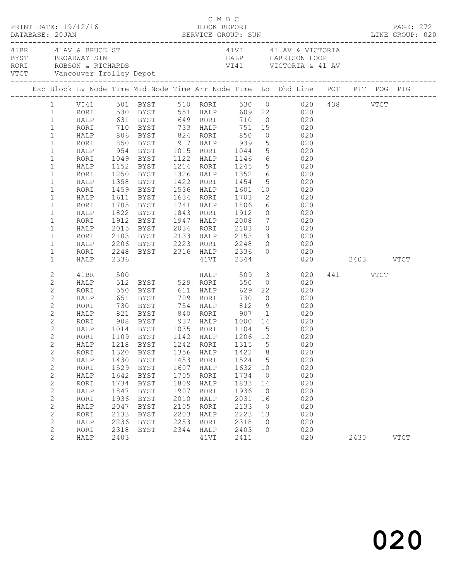| PRINT DATE: 19/12/16<br>DATABASE: 20JAN |                                                                                                                                                                                                                                                                                                                                        |                                                                                                                                                      |                                                                                                            |                                                                                                                                                                                                                                                           |                                                                                      | C M B C<br>BLOCK REPORT                                                                                     |                                                                                                     |                                                                                                            |                                                                                                                                                                                                                                                                                                                                                                                                                                                                                                                                                                                                                                                        |                  | PAGE: 272   |
|-----------------------------------------|----------------------------------------------------------------------------------------------------------------------------------------------------------------------------------------------------------------------------------------------------------------------------------------------------------------------------------------|------------------------------------------------------------------------------------------------------------------------------------------------------|------------------------------------------------------------------------------------------------------------|-----------------------------------------------------------------------------------------------------------------------------------------------------------------------------------------------------------------------------------------------------------|--------------------------------------------------------------------------------------|-------------------------------------------------------------------------------------------------------------|-----------------------------------------------------------------------------------------------------|------------------------------------------------------------------------------------------------------------|--------------------------------------------------------------------------------------------------------------------------------------------------------------------------------------------------------------------------------------------------------------------------------------------------------------------------------------------------------------------------------------------------------------------------------------------------------------------------------------------------------------------------------------------------------------------------------------------------------------------------------------------------------|------------------|-------------|
| 41BR 41AV & BRUCE ST                    |                                                                                                                                                                                                                                                                                                                                        |                                                                                                                                                      |                                                                                                            |                                                                                                                                                                                                                                                           |                                                                                      |                                                                                                             |                                                                                                     |                                                                                                            | 41VI 41 AV & VICTORIA<br>BYST BROADWAY STN HALP HARRISON LOOP<br>RORI ROBSON & RICHARDS VI41 VICTORIA & 41 AV<br>VTCT Vancouver Trolley Depot VI41 VICTORIA & 41 AV                                                                                                                                                                                                                                                                                                                                                                                                                                                                                    |                  |             |
|                                         |                                                                                                                                                                                                                                                                                                                                        |                                                                                                                                                      |                                                                                                            |                                                                                                                                                                                                                                                           |                                                                                      |                                                                                                             |                                                                                                     |                                                                                                            | Exc Block Lv Node Time Mid Node Time Arr Node Time Lo Dhd Line POT PIT POG PIG                                                                                                                                                                                                                                                                                                                                                                                                                                                                                                                                                                         |                  |             |
|                                         | $\mathbf{1}$<br>$\mathbf{1}$<br>$\mathbf{1}$<br>$\mathbf{1}$<br>$1\,$<br>$\mathbf{1}$<br>$\mathbf{1}$<br>$\mathbf{1}$<br>$\mathbf 1$<br>$\mathbf{1}$<br>$\mathbf 1$<br>$\mathbf{1}$<br>$\mathbf 1$<br>$\mathbf{1}$<br>$\mathbf 1$<br>$\mathbf{1}$<br>$\mathbf{1}$                                                                      | RORI<br>HALP<br>RORI<br>HALP<br>RORI<br>HALP<br>RORI<br>HALP<br>RORI<br>HALP<br>RORI<br>HALP                                                         | 1459                                                                                                       | HALP 954 BYST 1015 RORI 1044<br>1358 BYST<br>BYST<br>1611 BYST<br>1705 BYST<br>1822 BYST<br>1912 BYST                                                                                                                                                     |                                                                                      |                                                                                                             | 1843 RORI 1912                                                                                      |                                                                                                            | 1 VI41 501 BYST 510 RORI 530 0 020 438 VTCT<br>1 RORI 530 BYST 551 HALP 609 22 020<br>HALP 631 BYST 649 RORI 710 0 020<br>RORI 710 BYST 733 HALP 751 15 020<br>HALP 806 BYST 824 RORI 850 0 020<br>RORI 850 BYST 917 HALP 939 15 020<br>5 020<br>1049 BYST 1122 HALP 1146 6 020<br>1152 BYST 1214 RORI 1245 5 020<br>1250 BYST 1326 HALP 1352 6 020<br>1422 RORI 1454 5 020<br>1536 HALP 1601 10 020<br>1634 RORI      1703      2               020<br>1741    HALP        1806    16                   020<br>$0$ 020<br>1947 HALP 2008 7 020<br>2015 BYST 2034 RORI 2103 0 020<br>2103 BYST 2133 HALP 2153 13 020<br>2206 BYST 2223 RORI 2248 0 020 |                  |             |
|                                         | $\mathbf{1}$<br>$\mathbf{1}$                                                                                                                                                                                                                                                                                                           | RORI<br>HALP                                                                                                                                         | 2336                                                                                                       |                                                                                                                                                                                                                                                           |                                                                                      |                                                                                                             |                                                                                                     |                                                                                                            | 2248 BYST 2316 HALP 2336 0 020<br>41VI 2344 020 2403 VTCT                                                                                                                                                                                                                                                                                                                                                                                                                                                                                                                                                                                              |                  |             |
|                                         | 2<br>$\mathbf{2}$<br>$\mathbf{2}$<br>$\mathbf{2}$<br>$\mathbf{2}$<br>$\mathbf{2}$<br>$\mathbf{2}$<br>$\mathbf{2}$<br>$\mathbf{2}$<br>$\overline{c}$<br>$\mathbf{2}$<br>$\mathbf{2}$<br>$\mathbf{2}$<br>$\mathbf{2}$<br>$\mathbf{2}$<br>$\mathbf{2}$<br>$\mathbf{2}$<br>$\mathbf{2}$<br>$\mathbf{2}$<br>$\mathbf{2}$<br>$\sqrt{2}$<br>2 | 41BR<br>RORI<br>HALP<br>RORI<br>RORI<br>HALP<br>RORI<br>RORI<br>HALP<br>RORI<br>HALP<br>RORI<br>HALP<br>RORI<br>HALP<br>RORI<br>HALP<br>RORI<br>HALP | 500<br>908<br>1320<br>1430<br>1529<br>1642<br>1734<br>1847<br>1936<br>2047<br>2133<br>2236<br>2318<br>2403 | HALP 512 BYST 529 RORI<br>1014    BYST         1035     RORI         1104       5<br>1109     BYST         1142     HALP         1206     12<br>BYST<br>BYST<br>BYST<br>BYST<br><b>BYST</b><br><b>BYST</b><br><b>BYST</b><br>BYST<br>BYST<br>BYST<br>BYST | 1356<br>1453<br>1607<br>1705<br>1809<br>1907<br>2010<br>2105<br>2203<br>2253<br>2344 | <b>HALP</b><br>HALP<br>RORI<br>HALP<br>RORI<br>HALP<br>RORI<br>HALP<br>RORI<br>HALP<br>RORI<br>HALP<br>41VI | 550<br>1422<br>1524<br>1632<br>1734<br>1833<br>1936<br>2031<br>2133<br>2223<br>2318<br>2403<br>2411 | 8<br>5<br>10<br>$\overline{0}$<br>14<br>$\overline{0}$<br>16<br>$\overline{0}$<br>13<br>$\circ$<br>$\circ$ | 509 3 020<br>$0$ 020<br>22 020<br>020<br>$\frac{3}{9}$ 020<br>HALP 821 BYST 840 RORI 907 1 020<br>BYST 937 HALP 1000 14 020<br>$\begin{array}{c} 020 \\ 020 \end{array}$<br>HALP 1218 BYST 1242 RORI 1315 5 020<br>020<br>020<br>020<br>020<br>020<br>020<br>020<br>020<br>020<br>020<br>020<br>020                                                                                                                                                                                                                                                                                                                                                    | 441 VTCT<br>2430 | <b>VTCT</b> |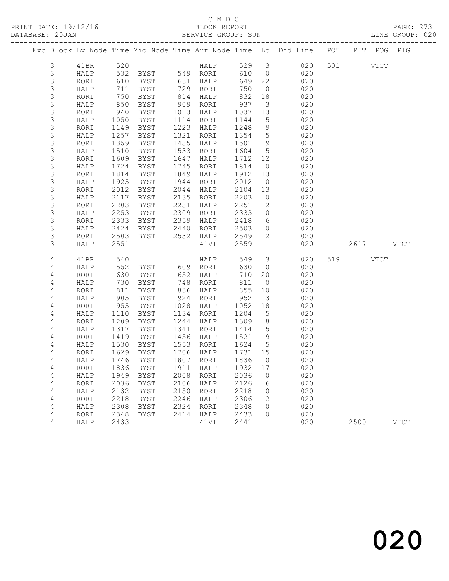PRINT DATE: 19/12/16 BLOCK REPORT BATABASE: 20JAN BLOCK REPORT

### C M B C<br>BLOCK REPORT

PAGE: 273<br>LINE GROUP: 020

|                            |              |              |                                  |              |              |              |                         | Exc Block Lv Node Time Mid Node Time Arr Node Time Lo Dhd Line POT | PIT POG PIG            |             |
|----------------------------|--------------|--------------|----------------------------------|--------------|--------------|--------------|-------------------------|--------------------------------------------------------------------|------------------------|-------------|
| $\mathfrak{Z}$             | 41BR         | 520          |                                  |              | HALP         |              |                         | 529 3 020                                                          | 501 000<br><b>VTCT</b> |             |
| $\mathsf 3$                | HALP         | 532          | <b>BYST</b>                      |              | 549 RORI     | 610          | $\overline{0}$          | 020                                                                |                        |             |
| 3                          | RORI         | 610          | BYST                             |              | 631 HALP     | 649          | 22                      | 020                                                                |                        |             |
| 3                          | HALP         | 711          | BYST                             |              | 729 RORI     | 750          | $\overline{0}$          | 020                                                                |                        |             |
| 3                          | RORI         | 750          | BYST                             | 814          | HALP         | 832          | 18                      | 020                                                                |                        |             |
| $\mathsf S$                | HALP         | 850          | BYST                             | 909          | RORI         | 937          | $\overline{\mathbf{3}}$ | 020                                                                |                        |             |
| $\mathsf S$                | RORI         | 940          | BYST                             | 1013         | HALP         | 1037         | 13                      | 020                                                                |                        |             |
| $\mathsf S$                | HALP         | 1050         | BYST                             | 1114         | RORI         | 1144         | $5\overline{)}$         | 020                                                                |                        |             |
| $\mathsf S$                | RORI         | 1149         | BYST                             | 1223         | HALP         | 1248         | 9                       | 020                                                                |                        |             |
| $\mathsf S$                | HALP         | 1257         | BYST                             | 1321         | RORI         | 1354         | $5^{\circ}$             | 020                                                                |                        |             |
| $\mathsf S$                | RORI         | 1359         | BYST                             | 1435         | HALP         | 1501         | 9                       | 020                                                                |                        |             |
| $\mathsf 3$                | HALP         | 1510         | BYST                             | 1533         | RORI         | 1604         | $5^{\circ}$             | 020                                                                |                        |             |
| 3                          | RORI         | 1609         | BYST                             | 1647         | HALP         | 1712         | 12                      | 020                                                                |                        |             |
| $\mathsf S$                | HALP         | 1724         | BYST                             | 1745         | RORI         | 1814         | $\overline{0}$          | 020                                                                |                        |             |
| $\mathsf S$<br>$\mathsf 3$ | RORI         | 1814<br>1925 | <b>BYST</b>                      | 1849<br>1944 | HALP         | 1912<br>2012 | 13<br>$\overline{0}$    | 020<br>020                                                         |                        |             |
| $\mathsf S$                | HALP<br>RORI | 2012         | BYST<br><b>BYST</b>              | 2044         | RORI<br>HALP | 2104         | 13                      | 020                                                                |                        |             |
| $\mathsf S$                | HALP         | 2117         | BYST                             | 2135         | RORI         | 2203         | $\overline{0}$          | 020                                                                |                        |             |
| $\mathsf S$                | RORI         | 2203         | BYST                             | 2231         | HALP         | 2251         | $\overline{2}$          | 020                                                                |                        |             |
| 3                          | HALP         | 2253         | BYST                             | 2309         | RORI         | 2333         | $\circ$                 | 020                                                                |                        |             |
| 3                          | RORI         | 2333         | BYST                             | 2359         | HALP         | 2418         | 6                       | 020                                                                |                        |             |
| 3                          | HALP         | 2424         | BYST                             | 2440         | RORI         | 2503         | $\circ$                 | 020                                                                |                        |             |
| $\mathsf S$                | RORI         | 2503         | BYST                             | 2532         | HALP         | 2549         | $\mathbf{2}$            | 020                                                                |                        |             |
| 3                          | HALP         | 2551         |                                  |              | 41VI         | 2559         |                         | 020                                                                | 2617 VTCT              |             |
|                            |              |              |                                  |              |              |              |                         |                                                                    |                        |             |
| 4                          | 41BR         | 540          |                                  |              | HALP         | 549          | $\mathcal{S}$           | 020                                                                | 519<br>VTCT            |             |
| 4                          | HALP         | 552          | BYST 609 RORI                    |              |              | 630          | $\overline{0}$          | 020                                                                |                        |             |
| 4                          | RORI         | 630          | BYST                             | 652          | HALP         | 710          | 20                      | 020                                                                |                        |             |
| 4                          | HALP         | 730          | BYST                             | 748          | RORI         | 811          | $\overline{0}$          | 020                                                                |                        |             |
| 4                          | RORI         | 811          | BYST                             | 836          | HALP         | 855          | 10                      | 020                                                                |                        |             |
| 4                          | HALP         | 905          | BYST                             | 924          | RORI         | 952          | $\mathcal{S}$           | 020                                                                |                        |             |
| 4                          | RORI         | 955          | BYST                             | 1028         | HALP         | 1052         | 18                      | 020                                                                |                        |             |
| 4                          | HALP         | 1110         | BYST                             | 1134         | RORI         | 1204         | $5^{\circ}$             | 020                                                                |                        |             |
| 4                          | RORI         | 1209         | BYST                             | 1244         | HALP         | 1309         | 8 <sup>8</sup>          | 020                                                                |                        |             |
| $\overline{4}$             | HALP         | 1317         | BYST                             | 1341         | RORI         | 1414         | $5\overline{)}$         | 020                                                                |                        |             |
| 4<br>4                     | RORI<br>HALP | 1419<br>1530 | BYST<br>BYST                     | 1456<br>1553 | HALP<br>RORI | 1521<br>1624 | 9<br>$5\overline{)}$    | 020<br>020                                                         |                        |             |
| 4                          | RORI         | 1629         | BYST                             | 1706         | HALP         | 1731         | 15                      | 020                                                                |                        |             |
| 4                          | HALP         | 1746         | BYST                             |              | 1807 RORI    | 1836         | $\overline{0}$          | 020                                                                |                        |             |
| 4                          |              |              | RORI 1836 BYST 1911 HALP 1932 17 |              |              |              |                         | 020                                                                |                        |             |
| 4                          | HALP         | 1949         | BYST                             | 2008         | RORI         | 2036         | 0                       | 020                                                                |                        |             |
| 4                          | RORI         | 2036         | BYST                             | 2106         | HALP         | 2126         | 6                       | 020                                                                |                        |             |
| 4                          | HALP         | 2132         | BYST                             | 2150         | RORI         | 2218         | 0                       | 020                                                                |                        |             |
| 4                          | RORI         | 2218         | BYST                             | 2246         | HALP         | 2306         | 2                       | 020                                                                |                        |             |
| 4                          | HALP         | 2308         | BYST                             | 2324         | RORI         | 2348         | 0                       | 020                                                                |                        |             |
| 4                          | RORI         | 2348         | <b>BYST</b>                      | 2414         | HALP         | 2433         | $\Omega$                | 020                                                                |                        |             |
| 4                          | HALP         | 2433         |                                  |              | 41VI         | 2441         |                         | 020                                                                | 2500                   | <b>VTCT</b> |
|                            |              |              |                                  |              |              |              |                         |                                                                    |                        |             |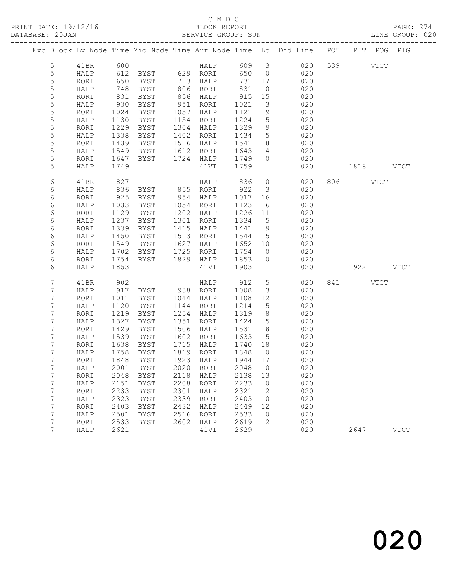PRINT DATE: 19/12/16 BLOCK REPORT BATABASE: 20JAN BLOCK REPORT

### C M B C<br>BLOCK REPORT

PAGE: 274<br>LINE GROUP: 020

|                 |              |              |                |              |                        |                 |                 | Exc Block Lv Node Time Mid Node Time Arr Node Time Lo Dhd Line POT | PIT POG PIG |             |
|-----------------|--------------|--------------|----------------|--------------|------------------------|-----------------|-----------------|--------------------------------------------------------------------|-------------|-------------|
| $5\phantom{.}$  | 41BR         |              |                |              |                        |                 |                 |                                                                    | 539 VTCT    |             |
| 5               | HALP         |              |                |              |                        |                 |                 |                                                                    |             |             |
| 5               | RORI         | 650          | BYST 713 HALP  |              |                        | 731 17          |                 | 020                                                                |             |             |
| 5               | HALP         | 748          | BYST           |              | 806 RORI               | 831             | $\overline{0}$  | 020                                                                |             |             |
| 5               | RORI         | 831          | BYST           |              | 856 HALP               | 915             | 15              | 020                                                                |             |             |
| 5               | HALP         | 930          | BYST           |              | 951 RORI               | 1021            | $\mathcal{S}$   | 020                                                                |             |             |
| 5               | RORI         | 1024         | BYST           |              | 1057 HALP              | 1121            | 9               | 020                                                                |             |             |
| 5               | HALP         | 1130         | BYST           |              | 1154 RORI              | 1224            | $5\overline{)}$ | 020                                                                |             |             |
| 5               | RORI         | 1229         | BYST           | 1304         | HALP                   | 1329            | 9               | 020                                                                |             |             |
| $\mathsf S$     | HALP         | 1338         | BYST           |              | 1402 RORI              | 1434            | $5\overline{)}$ | 020                                                                |             |             |
| 5               | RORI         | 1439         | BYST           |              | 1516 HALP              | 1541            | 8 <sup>8</sup>  | 020                                                                |             |             |
| 5               | HALP         | 1549         | BYST           |              | 1612 RORI              | 1643            | $\overline{4}$  | 020                                                                |             |             |
| 5               | RORI         | 1647         | BYST           |              | 1724 HALP              | 1749            | $\Omega$        | 020                                                                |             |             |
| 5               | HALP         | 1749         |                |              | 41VI                   | 1759            |                 | 020                                                                | 1818 VTCT   |             |
| 6               | 41BR         | 827          |                |              | HALP                   | 836             |                 | 020<br>$\overline{O}$                                              | 806 VTCT    |             |
| 6               | HALP         | 836          | BYST           |              | 855 RORI               | 922             | $\overline{3}$  | 020                                                                |             |             |
| 6               | RORI         | 925          | BYST           |              | 954 HALP               | 1017            | 16              | 020                                                                |             |             |
| 6               | HALP         | 1033         | BYST           |              | 1054 RORI              | 1123            | 6               | 020                                                                |             |             |
| 6               | RORI         | 1129         | BYST           | 1202         | HALP                   | 1226 11         |                 | 020                                                                |             |             |
| 6               | HALP         | 1237         | BYST           | 1301         | RORI                   | 1334            | $5^{\circ}$     | 020                                                                |             |             |
| 6               | RORI         | 1339         | BYST           | 1415         | HALP                   | 1441            | 9               | 020                                                                |             |             |
| 6               | HALP         | 1450         | BYST           |              | 1513 RORI              | 1544            | $5\overline{)}$ | 020                                                                |             |             |
| 6               | RORI         | 1549         | BYST           | 1627         | HALP                   | 1652 10         |                 | 020                                                                |             |             |
| 6               | HALP         | 1702         | BYST           | 1725         | RORI                   | 1754            | $\overline{0}$  | 020                                                                |             |             |
| 6               | RORI         | 1754         | BYST           |              | 1829 HALP              | 1853            | $\overline{0}$  | 020                                                                |             |             |
| 6               | HALP         | 1853         |                |              | 41VI                   | 1903            |                 | 020                                                                | 1922 VTCT   |             |
| 7               | 41BR         | 902          |                |              | HALP                   | 912             | $5\overline{)}$ | 020                                                                | 841 VTCT    |             |
| 7               | HALP         | 917          | BYST 938 RORI  |              |                        | 1008            | $\mathcal{S}$   | 020                                                                |             |             |
| 7               | RORI         | 1011         | BYST           |              | 1044 HALP              | 1108            | 12              | 020                                                                |             |             |
| 7               | HALP         | 1120         | BYST           | 1144         | RORI                   | 1214            | $5\overline{)}$ | 020                                                                |             |             |
| 7               | RORI         | 1219         | BYST           | 1254         | HALP                   | 1319            | 8 <sup>8</sup>  | 020                                                                |             |             |
| 7               | HALP         | 1327         | BYST           | 1351         | RORI                   | 1424            | $5\overline{)}$ | 020                                                                |             |             |
| 7               | RORI         | 1429         | BYST           | 1506         | HALP                   | 1531            | 8 <sup>8</sup>  | 020                                                                |             |             |
| 7               | HALP         | 1539         | BYST           | 1602         | RORI                   | 1633            | $5^{\circ}$     | 020                                                                |             |             |
| 7               | RORI         | 1638         | BYST           |              | 1715 HALP              | 1740 18         |                 | 020                                                                |             |             |
| 7<br>7          | HALP<br>RORI | 1758<br>1848 | BYST<br>BYST   |              | 1819 RORI<br>1923 HALP | 1848<br>1944 17 | $\overline{0}$  | 020<br>020                                                         |             |             |
| $7\overline{ }$ |              |              |                |              | 2020 RORI 2048 0       |                 |                 | 020                                                                |             |             |
| 7               |              |              | HALP 2001 BYST |              |                        |                 |                 | 020                                                                |             |             |
| 7               | RORI<br>HALP | 2048<br>2151 | BYST<br>BYST   | 2118<br>2208 | HALP<br>RORI           | 2138<br>2233    | 13<br>$\circ$   | 020                                                                |             |             |
| 7               | RORI         | 2233         | BYST           | 2301         | HALP                   | 2321            | 2               | 020                                                                |             |             |
| 7               | HALP         | 2323         | BYST           | 2339         | RORI                   | 2403            | $\mathbf{0}$    | 020                                                                |             |             |
| 7               | RORI         | 2403         | BYST           | 2432         | HALP                   | 2449            | 12              | 020                                                                |             |             |
| 7               | HALP         | 2501         | BYST           | 2516         | RORI                   | 2533            | $\mathbf 0$     | 020                                                                |             |             |
| 7               | RORI         | 2533         | <b>BYST</b>    | 2602         | HALP                   | 2619            | 2               | 020                                                                |             |             |
| 7               | HALP         | 2621         |                |              | 41VI                   | 2629            |                 | 020                                                                | 2647        | <b>VTCT</b> |
|                 |              |              |                |              |                        |                 |                 |                                                                    |             |             |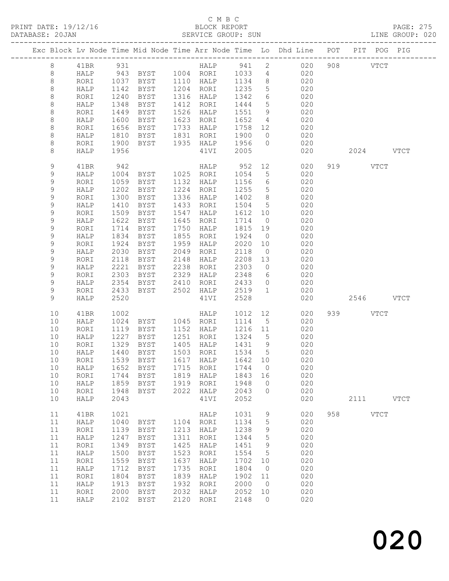PRINT DATE: 19/12/16<br>DATABASE: 20JAN

## C M B C<br>BLOCK REPORT<br>SERVICE GROUP: SUN

PAGE: 275<br>LINE GROUP: 020

| DAIABASE; ZUJAN |             |              |              |                            |              | SERVICE GROUF; SUN |              |                                |                                                                    |     |           |             | TIME GROOF: ARA |
|-----------------|-------------|--------------|--------------|----------------------------|--------------|--------------------|--------------|--------------------------------|--------------------------------------------------------------------|-----|-----------|-------------|-----------------|
|                 |             |              |              |                            |              |                    |              |                                | Exc Block Lv Node Time Mid Node Time Arr Node Time Lo Dhd Line POT |     |           | PIT POG PIG |                 |
|                 | 8           | 41BR         | 931          |                            |              | HALP 941           |              | $2^{\circ}$                    | 020                                                                |     | 908 VTCT  |             |                 |
|                 | 8           | HALP         |              | 943 BYST 1004 RORI         |              |                    | 1033         | $4\overline{4}$                | 020                                                                |     |           |             |                 |
|                 | 8           | RORI         | 1037         | BYST                       |              | 1110 HALP          | 1134         | 8 <sup>8</sup>                 | 020                                                                |     |           |             |                 |
|                 | 8           | HALP         | 1142         | BYST                       |              | 1204 RORI          | 1235         | 5                              | 020                                                                |     |           |             |                 |
|                 | 8           | RORI         | 1240         | BYST                       |              | 1316 HALP          | 1342         | $6\overline{6}$                | 020                                                                |     |           |             |                 |
|                 | 8           | HALP         | 1348         | BYST                       |              | 1412 RORI          | 1444         | $5\overline{)}$                | 020                                                                |     |           |             |                 |
|                 | 8           | RORI         | 1449         | BYST                       | 1526         | HALP               | 1551         | 9                              | 020                                                                |     |           |             |                 |
|                 | 8           | HALP         | 1600         | BYST                       | 1623         | RORI               | 1652         | $\overline{4}$                 | 020                                                                |     |           |             |                 |
|                 | 8           | RORI         | 1656         | BYST                       |              | 1733 HALP          | 1758         | 12                             | 020                                                                |     |           |             |                 |
|                 | 8           | HALP         | 1810         | BYST                       |              | 1831 RORI          | 1900         | $\overline{0}$                 | 020                                                                |     |           |             |                 |
|                 | 8           | RORI         | 1900         | BYST                       |              | 1935 HALP 1956     |              | $\overline{0}$                 | 020                                                                |     |           |             |                 |
|                 | 8           | HALP         | 1956         |                            |              | 41VI               | 2005         |                                | 020                                                                |     | 2024      |             | <b>VTCT</b>     |
|                 | 9           | 41BR         | 942          |                            |              | HALP               | 952 12       |                                | 020                                                                | 919 |           | <b>VTCT</b> |                 |
|                 | 9           | HALP         | 1004         | BYST 1025 RORI             |              |                    | 1054         | $5\overline{)}$                | 020                                                                |     |           |             |                 |
|                 | 9           | RORI         | 1059         | BYST                       |              | 1132 HALP          | 1156         | 6                              | 020                                                                |     |           |             |                 |
|                 | 9           | HALP         | 1202         | BYST                       | 1224         | RORI               | 1255         | $5\overline{)}$                | 020                                                                |     |           |             |                 |
|                 | 9           | RORI         | 1300         | BYST                       |              | 1336 HALP          | 1402         | 8 <sup>8</sup>                 | 020                                                                |     |           |             |                 |
|                 | 9           | HALP         | 1410         | BYST                       |              | 1433 RORI          | 1504         | $5\overline{)}$                | 020                                                                |     |           |             |                 |
|                 | 9           | RORI         | 1509         | BYST                       | 1547         | HALP               | 1612         | 10 <sub>o</sub>                | 020                                                                |     |           |             |                 |
|                 | 9           | HALP         | 1622         | BYST                       | 1645         | RORI               | 1714         | $\overline{0}$                 | 020                                                                |     |           |             |                 |
|                 | $\mathsf 9$ | RORI         | 1714         | BYST                       | 1750         | HALP               | 1815 19      |                                | 020                                                                |     |           |             |                 |
|                 | 9           | HALP         | 1834         | BYST                       | 1855         | RORI               | 1924         | $\overline{0}$                 | 020                                                                |     |           |             |                 |
|                 | 9           | RORI         | 1924         | BYST                       | 1959         | HALP               | 2020         | 10                             | 020                                                                |     |           |             |                 |
|                 | 9           | HALP         | 2030         | BYST                       | 2049         | RORI               | 2118         | $\overline{0}$                 | 020                                                                |     |           |             |                 |
|                 | $\mathsf 9$ | RORI         | 2118         | BYST                       | 2148         | HALP               | 2208         | 13                             | 020                                                                |     |           |             |                 |
|                 | 9           | HALP         | 2221         | BYST                       | 2238         | RORI               | 2303         | $\overline{0}$                 | 020                                                                |     |           |             |                 |
|                 | 9           | RORI         | 2303         | BYST                       | 2329         | HALP               | 2348         | 6                              | 020                                                                |     |           |             |                 |
|                 | 9           | HALP         | 2354         | BYST                       | 2410         | RORI               | 2433         | $\overline{0}$<br>$\mathbf{1}$ | 020                                                                |     |           |             |                 |
|                 | 9           | RORI<br>HALP | 2433<br>2520 | BYST                       |              | 2502 HALP          | 2519<br>2528 |                                | 020                                                                |     |           |             |                 |
|                 | 9           |              |              |                            |              | 41VI               |              |                                | 020                                                                |     | 2546 VTCT |             |                 |
|                 | 10          | 41BR         | 1002         |                            |              | HALP               | 1012         | 12                             | 020                                                                |     | 939 VTCT  |             |                 |
|                 | 10          | HALP         | 1024         | BYST 1045 RORI             |              |                    | 1114         | $5^{\circ}$                    | 020                                                                |     |           |             |                 |
|                 | 10          | RORI         | 1119         | BYST                       |              | 1152 HALP          | 1216 11      |                                | 020                                                                |     |           |             |                 |
|                 | 10          | HALP         | 1227         | BYST                       |              | 1251 RORI          | 1324         | $5^{\circ}$                    | 020                                                                |     |           |             |                 |
|                 | 10          | RORI         | 1329         | BYST                       | 1405         | HALP               | 1431         | 9                              | 020                                                                |     |           |             |                 |
|                 | 10          | HALP         | 1440         | BYST                       | 1503         | RORI               | 1534         | $5^{\circ}$                    | 020                                                                |     |           |             |                 |
|                 | 10          | RORI         |              | 1539 BYST                  |              | 1617 HALP          | 1642 10      |                                | 020                                                                |     |           |             |                 |
|                 | 10<br>10    | HALP<br>RORI | 1652<br>1744 | <b>BYST</b><br><b>BYST</b> | 1715<br>1819 | RORI<br>HALP       | 1744<br>1843 | 0<br>16                        | 020<br>020                                                         |     |           |             |                 |
|                 | 10          | HALP         | 1859         | <b>BYST</b>                | 1919         | RORI               | 1948         | 0                              | 020                                                                |     |           |             |                 |
|                 | 10          | RORI         | 1948         | <b>BYST</b>                | 2022         | HALP               | 2043         | 0                              | 020                                                                |     |           |             |                 |
|                 | 10          | HALP         | 2043         |                            |              | 41VI               | 2052         |                                | 020                                                                |     | 2111      |             | <b>VTCT</b>     |
|                 |             |              |              |                            |              |                    |              |                                |                                                                    |     |           |             |                 |
|                 | 11          | 41BR         | 1021         |                            |              | HALP               | 1031         | 9                              | 020                                                                | 958 |           | <b>VTCT</b> |                 |
|                 | 11          | HALP         | 1040         | BYST                       | 1104         | RORI               | 1134         | 5                              | 020                                                                |     |           |             |                 |
|                 | 11          | RORI         | 1139         | <b>BYST</b>                | 1213         | HALP               | 1238         | $\mathsf 9$                    | 020                                                                |     |           |             |                 |
|                 | 11          | HALP         | 1247         | <b>BYST</b>                | 1311         | RORI               | 1344         | 5                              | 020                                                                |     |           |             |                 |
|                 | 11          | RORI         | 1349         | <b>BYST</b>                | 1425         | HALP               | 1451         | 9                              | 020                                                                |     |           |             |                 |
|                 | 11          | HALP         | 1500         | <b>BYST</b>                | 1523         | RORI               | 1554         | 5                              | 020                                                                |     |           |             |                 |
|                 | 11          | RORI         | 1559         | <b>BYST</b>                | 1637         | HALP               | 1702         | 10                             | 020                                                                |     |           |             |                 |
|                 | 11          | HALP         | 1712         | <b>BYST</b>                | 1735         | RORI               | 1804         | 0                              | 020                                                                |     |           |             |                 |
|                 | 11          | RORI         | 1804         | <b>BYST</b>                | 1839         | HALP               | 1902         | 11                             | 020                                                                |     |           |             |                 |
|                 | 11          | HALP         | 1913         | <b>BYST</b>                | 1932         | RORI               | 2000         | $\circ$                        | 020                                                                |     |           |             |                 |
|                 | 11          | RORI         | 2000         | ${\tt BYST}$               | 2032         | HALP               | 2052         | 10                             | 020                                                                |     |           |             |                 |
|                 | 11          | HALP         | 2102         | <b>BYST</b>                | 2120         | RORI               | 2148         | $\circ$                        | 020                                                                |     |           |             |                 |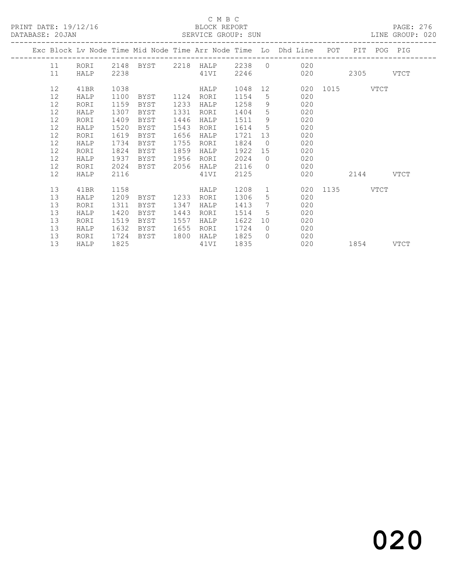#### C M B C<br>BLOCK REPORT

| DATABASE: 20JAN |         |      |      |      |      | SERVICE GROUP: SUN |         |             | LINE GROUP: 020                                                                |               |             |  |  |
|-----------------|---------|------|------|------|------|--------------------|---------|-------------|--------------------------------------------------------------------------------|---------------|-------------|--|--|
|                 |         |      |      |      |      |                    |         |             | Exc Block Lv Node Time Mid Node Time Arr Node Time Lo Dhd Line POT PIT POG PIG |               |             |  |  |
|                 | 11 RORI |      |      |      |      |                    |         |             | 2148 BYST 2218 HALP 2238 0 020                                                 |               |             |  |  |
|                 | 11      | HALP | 2238 |      |      | 41VI               | 2246    |             |                                                                                | 020 020       | 2305 VTCT   |  |  |
|                 | 12      | 41BR | 1038 |      |      | HALP               | 1048 12 |             |                                                                                | 020 1015 VTCT |             |  |  |
|                 | 12      | HALP | 1100 | BYST | 1124 | RORI               | 1154    | 5           | 020                                                                            |               |             |  |  |
|                 | 12      | RORI | 1159 | BYST | 1233 | HALP               | 1258    | 9           | 020                                                                            |               |             |  |  |
|                 | 12      | HALP | 1307 | BYST | 1331 | RORI               | 1404    | 5           | 020                                                                            |               |             |  |  |
|                 | 12      | RORI | 1409 | BYST | 1446 | HALP               | 1511    | 9           | 020                                                                            |               |             |  |  |
|                 | 12      | HALP | 1520 | BYST | 1543 | RORI               | 1614    | $5^{\circ}$ | 020                                                                            |               |             |  |  |
|                 | 12      | RORI | 1619 | BYST | 1656 | HALP               | 1721    | 13          | 020                                                                            |               |             |  |  |
|                 | 12      | HALP | 1734 | BYST | 1755 | RORI               | 1824    | $\bigcirc$  | 020                                                                            |               |             |  |  |
|                 | 12      | RORI | 1824 | BYST | 1859 | HALP               | 1922    | 15          | 020                                                                            |               |             |  |  |
|                 | 12      | HALP | 1937 | BYST | 1956 | RORI               | 2024    | $\bigcirc$  | 020                                                                            |               |             |  |  |
|                 | 12      | RORI | 2024 | BYST | 2056 | HALP               | 2116    | $\bigcap$   | 020                                                                            |               |             |  |  |
|                 | 12      | HALP | 2116 |      |      | 41VI               | 2125    |             | 020                                                                            |               | $2144$ VTCT |  |  |
|                 | 13      | 41BR | 1158 |      |      | HALP               | 1208    | 1           |                                                                                | 020 1135 VTCT |             |  |  |
|                 | 13      | HALP | 1209 | BYST | 1233 | RORI               | 1306    | 5           | 020                                                                            |               |             |  |  |
|                 | 13      | RORI | 1311 | BYST | 1347 | HALP               | 1413    | 7           | 020                                                                            |               |             |  |  |
|                 | 13      | HALP | 1420 | BYST | 1443 | RORI               | 1514    | 5           | 020                                                                            |               |             |  |  |
|                 | 13      | RORI | 1519 | BYST | 1557 | HALP               | 1622    | 10          | 020                                                                            |               |             |  |  |
|                 | 13      | HALP | 1632 | BYST | 1655 | RORI               | 1724    | $\bigcirc$  | 020                                                                            |               |             |  |  |
|                 | 13      | RORI | 1724 | BYST | 1800 | HALP               | 1825    | $\bigcap$   | 020                                                                            |               |             |  |  |
|                 | 13      | HALP | 1825 |      |      | 41VI               | 1835    |             | 020                                                                            | 1854 VTCT     |             |  |  |
|                 |         |      |      |      |      |                    |         |             |                                                                                |               |             |  |  |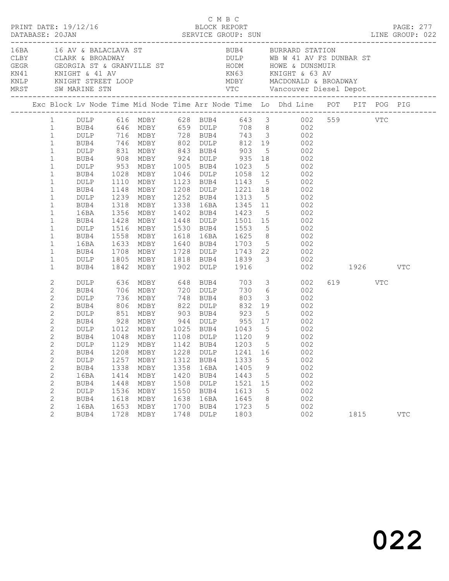|                                                                                                                                                                                                                                                                                                  | PRINT DATE: 19/12/16                                                                                                                 |                                                                             |                                                                                                                                                                                   |                                                                      | C M B C<br>BLOCK REPORT                                              |                                                                      |                                        |                                                                                                                                                                                                                                                                                                                                                                                                                                                                                                                                                                                                                                                                                     |                 | <b>PAGE: 277</b> |
|--------------------------------------------------------------------------------------------------------------------------------------------------------------------------------------------------------------------------------------------------------------------------------------------------|--------------------------------------------------------------------------------------------------------------------------------------|-----------------------------------------------------------------------------|-----------------------------------------------------------------------------------------------------------------------------------------------------------------------------------|----------------------------------------------------------------------|----------------------------------------------------------------------|----------------------------------------------------------------------|----------------------------------------|-------------------------------------------------------------------------------------------------------------------------------------------------------------------------------------------------------------------------------------------------------------------------------------------------------------------------------------------------------------------------------------------------------------------------------------------------------------------------------------------------------------------------------------------------------------------------------------------------------------------------------------------------------------------------------------|-----------------|------------------|
|                                                                                                                                                                                                                                                                                                  | MRST SW MARINE STN                                                                                                                   |                                                                             |                                                                                                                                                                                   |                                                                      |                                                                      |                                                                      |                                        |                                                                                                                                                                                                                                                                                                                                                                                                                                                                                                                                                                                                                                                                                     |                 |                  |
|                                                                                                                                                                                                                                                                                                  |                                                                                                                                      |                                                                             |                                                                                                                                                                                   |                                                                      |                                                                      |                                                                      |                                        | Exc Block Lv Node Time Mid Node Time Arr Node Time Lo Dhd Line POT PIT POG PIG                                                                                                                                                                                                                                                                                                                                                                                                                                                                                                                                                                                                      |                 |                  |
| $1 \quad \blacksquare$<br>$\mathbf{1}$<br>$\mathbf{1}$<br>$\mathbf{1}$<br>$\mathbf{1}$<br>$\mathbf{1}$<br>$\mathbf{1}$<br>$\mathbf{1}$<br>$\mathbf{1}$<br>$\mathbf{1}$<br>$\mathbf{1}$<br>$\mathbf{1}$<br>$\mathbf{1}$<br>$\mathbf{1}$<br>1<br>$\mathbf{1}$<br>1<br>$\mathbf{1}$<br>$\mathbf{1}$ | BUB4<br>DULP<br>BUB4<br>DULP<br>BUB4<br>DULP<br>BUB4<br>16BA<br>BUB4<br>DULP<br>BUB4<br>16BA<br>BUB4<br>DULP<br>BUB4                 | 1110<br>1148                                                                | DULP 831 MDBY 843 BUB4 903<br>1356 MDBY<br>1633 MDBY                                                                                                                              |                                                                      | 1402 BUB4 1423                                                       |                                                                      |                                        | 1 DULP 616 MDBY 628 BUB4 643 3 002 559 VTC<br>BUB4 646 MDBY 659 DULP 708 8 002<br>DULP 716 MDBY 728 BUB4 743 3 002<br>BUB4 746 MDBY 802 DULP 812 19 002<br>5 002<br>908 MDBY 924 DULP 935 18 002<br>953 MDBY 1005 BUB4 1023 5 002<br>1028 MDBY 1046 DULP 1058 12 002<br>MDBY 1123 BUB4 1143 5 002<br>MDBY 1208 DULP 1221 18 002<br>1239 MDBY 1252 BUB4 1313 5 002<br>1318 MDBY 1338 16BA 1345 11 002<br>$\frac{1}{5}$ 002<br>1428 MDBY 1448 DULP 1501 15 002<br>1516 MDBY 1530 BUB4 1553 5 002<br>1558 MDBY 1618 16BA 1625 8 002<br>1633 MDBY 1640 BUB4 1703 5 002<br>1708 MDBY 1728 DULP 1743 22 002<br>1805 MDBY 1818 BUB4 1839 3 002<br>1842 MDBY 1902 DULP 1916 002<br>002 1926 |                 | VTC              |
| $\mathbf{2}$<br>2<br>$\mathbf{2}$<br>$\overline{c}$<br>$\mathbf{2}$<br>2<br>$\mathbf{2}$<br>$\overline{c}$<br>$\mathbf{2}$<br>2<br>$\overline{c}$<br>$\overline{c}$<br>$\mathbf{2}$<br>2<br>$\mathbf{2}$<br>$\mathbf{2}$<br>2<br>$\overline{2}$                                                  | DULP<br>BUB4<br>DULP<br>BUB4<br>DULP<br>BUB4<br>DULP<br>BUB4<br>BUB4<br>DULP<br>BUB4<br>16BA<br>BUB4<br>DULP<br>BUB4<br>16BA<br>BUB4 | 851<br>1208<br>1257<br>1338<br>1414<br>1448<br>1536<br>1618<br>1653<br>1728 | MDBY 903 BUB4 923<br>928 MDBY 944 DULP 955 17<br>1012 MDBY 1025 BUB4 1043 5<br>1048 MDBY 1108 DULP 1120 9<br>MDBY<br>MDBY<br>MDBY<br>MDBY<br>MDBY<br>MDBY<br>MDBY<br>MDBY<br>MDBY | 1228<br>1312<br>1358<br>1420<br>1508<br>1550<br>1638<br>1700<br>1748 | DULP<br>BUB4<br>16BA<br>BUB4<br>DULP<br>BUB4<br>16BA<br>BUB4<br>DULP | 1241<br>1333<br>1405<br>1443<br>1521<br>1613<br>1645<br>1723<br>1803 | 16<br>5<br>9<br>5<br>15<br>5<br>8<br>5 | 636 MDBY 648 BUB4 703 3 002<br>5 002<br>17 002<br>$\begin{array}{ccc} 5 & 002 \\ 9 & 002 \end{array}$<br>DULP 1129 MDBY 1142 BUB4 1203 5 002<br>002<br>002<br>002<br>002<br>002<br>002<br>002<br>002<br>002                                                                                                                                                                                                                                                                                                                                                                                                                                                                         | 619 VTC<br>1815 | $_{\rm VTC}$     |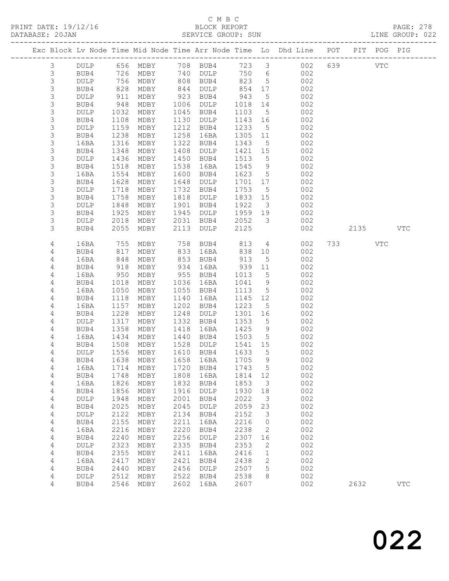### C M B C<br>BLOCK REPORT

PAGE: 278<br>LINE GROUP: 022

|  |                  |              |              |                                         |              |              |              |                         | Exc Block Lv Node Time Mid Node Time Arr Node Time Lo Dhd Line POT |     |      | PIT POG PIG |              |
|--|------------------|--------------|--------------|-----------------------------------------|--------------|--------------|--------------|-------------------------|--------------------------------------------------------------------|-----|------|-------------|--------------|
|  |                  |              |              |                                         |              |              |              |                         |                                                                    |     |      |             |              |
|  | 3                | <b>DULP</b>  |              | 656 MDBY                                |              | 708 BUB4     | 723 3        |                         | 002                                                                | 639 |      | <b>VTC</b>  |              |
|  | $\mathsf 3$      | BUB4         |              | 726 MDBY                                |              | 740 DULP     | 750 6        |                         | 002                                                                |     |      |             |              |
|  | $\mathsf S$      | DULP         | 756          | MDBY                                    |              | 808 BUB4     | 823          | $5^{\circ}$             | 002                                                                |     |      |             |              |
|  | 3                | BUB4         | 828          | MDBY                                    | 844          | DULP         | 854          | 17                      | 002                                                                |     |      |             |              |
|  | $\mathsf S$      | DULP         | 911          | MDBY                                    | 923          | BUB4         | 943          | $5\overline{)}$         | 002                                                                |     |      |             |              |
|  | 3                | BUB4         | 948          | MDBY                                    | 1006         | DULP         | 1018         | 14                      | 002                                                                |     |      |             |              |
|  | $\mathsf S$      | DULP         | 1032         | MDBY                                    | 1045         | BUB4         | 1103         | $5\overline{)}$         | 002                                                                |     |      |             |              |
|  | 3                | BUB4         | 1108         | MDBY                                    | 1130         | DULP         | 1143         | 16                      | 002                                                                |     |      |             |              |
|  | $\mathsf S$<br>3 | <b>DULP</b>  | 1159<br>1238 | MDBY                                    | 1212<br>1258 | BUB4         | 1233<br>1305 | $5^{\circ}$<br>11       | 002                                                                |     |      |             |              |
|  | $\mathsf S$      | BUB4<br>16BA | 1316         | MDBY<br>MDBY                            | 1322         | 16BA<br>BUB4 | 1343         | $5\overline{)}$         | 002<br>002                                                         |     |      |             |              |
|  | 3                | BUB4         | 1348         | MDBY                                    | 1408         | DULP         | 1421         | 15                      | 002                                                                |     |      |             |              |
|  | 3                | <b>DULP</b>  | 1436         | MDBY                                    | 1450         | BUB4         | 1513         | $5^{\circ}$             | 002                                                                |     |      |             |              |
|  | 3                | BUB4         | 1518         | MDBY                                    | 1538         | 16BA         | 1545         | 9                       | 002                                                                |     |      |             |              |
|  | $\mathsf S$      | 16BA         | 1554         | MDBY                                    | 1600         | BUB4         | 1623         | $5\overline{)}$         | 002                                                                |     |      |             |              |
|  | $\mathsf S$      | BUB4         | 1628         | MDBY                                    | 1648         | DULP         | 1701         | 17                      | 002                                                                |     |      |             |              |
|  | $\mathsf S$      | <b>DULP</b>  | 1718         | MDBY                                    | 1732         | BUB4         | 1753         | $5^{\circ}$             | 002                                                                |     |      |             |              |
|  | 3                | BUB4         | 1758         | MDBY                                    | 1818         | DULP         | 1833         | 15                      | 002                                                                |     |      |             |              |
|  | $\mathsf S$      | <b>DULP</b>  | 1848         | MDBY                                    | 1901         | BUB4         | 1922         | $\overline{\mathbf{3}}$ | 002                                                                |     |      |             |              |
|  | 3                | BUB4         | 1925         | MDBY                                    | 1945         | DULP         | 1959         | 19                      | 002                                                                |     |      |             |              |
|  | 3                | <b>DULP</b>  | 2018         | MDBY                                    | 2031         | BUB4         | 2052         | $\overline{\mathbf{3}}$ | 002                                                                |     |      |             |              |
|  | 3                | BUB4         | 2055         | MDBY                                    | 2113         | DULP         | 2125         |                         | 002                                                                |     | 2135 |             | <b>VTC</b>   |
|  |                  |              |              |                                         |              |              |              |                         |                                                                    |     |      |             |              |
|  | 4                | 16BA         | 755          | MDBY                                    | 758          | BUB4         | 813          | $\overline{4}$          | 002                                                                | 733 |      | VTC         |              |
|  | 4                | BUB4         | 817          | MDBY                                    | 833          | 16BA         | 838          | 10                      | 002                                                                |     |      |             |              |
|  | 4                | 16BA         | 848          | MDBY                                    | 853          | BUB4         | 913          | 5                       | 002                                                                |     |      |             |              |
|  | 4                | BUB4         | 918          | MDBY                                    | 934          | 16BA         | 939          | 11                      | 002                                                                |     |      |             |              |
|  | 4                | 16BA         | 950          | MDBY                                    | 955          | BUB4         | 1013         | $5\overline{)}$         | 002                                                                |     |      |             |              |
|  | 4                | BUB4         | 1018         | MDBY                                    | 1036         | 16BA         | 1041         | 9                       | 002                                                                |     |      |             |              |
|  | 4                | 16BA         | 1050         | MDBY                                    | 1055         | BUB4         | 1113         | $5\overline{)}$         | 002                                                                |     |      |             |              |
|  | 4                | BUB4         | 1118         | MDBY                                    | 1140         | 16BA         | 1145         | 12                      | 002                                                                |     |      |             |              |
|  | 4                | 16BA         | 1157         | MDBY                                    | 1202         | BUB4         | 1223         | $5\overline{)}$         | 002                                                                |     |      |             |              |
|  | 4                | BUB4         | 1228         | MDBY                                    | 1248         | DULP         | 1301         | 16                      | 002                                                                |     |      |             |              |
|  | 4                | <b>DULP</b>  | 1317         | MDBY                                    | 1332         | BUB4         | 1353         | $5\phantom{.0}$         | 002                                                                |     |      |             |              |
|  | 4                | BUB4         | 1358         | MDBY                                    | 1418         | 16BA         | 1425         | 9                       | 002                                                                |     |      |             |              |
|  | 4                | 16BA         | 1434         | MDBY                                    | 1440         | BUB4         | 1503         | $5^{\circ}$             | 002                                                                |     |      |             |              |
|  | 4                | BUB4         | 1508         | MDBY                                    | 1528         | DULP         | 1541         | 15                      | 002                                                                |     |      |             |              |
|  | 4                | <b>DULP</b>  | 1556         | MDBY                                    |              | 1610 BUB4    | 1633         | $5^{\circ}$             | 002                                                                |     |      |             |              |
|  | 4                | BUB4         | 1638         | MDBY<br>16BA 1714 MDBY 1720 BUB4 1743 5 |              | 1658 16BA    | 1705         | 9                       | 002<br>002                                                         |     |      |             |              |
|  | 4                | BUB4         | 1748         | MDBY                                    | 1808         | 16BA         | 1814         |                         | 002                                                                |     |      |             |              |
|  | 4<br>4           | 16BA         | 1826         | MDBY                                    | 1832         | BUB4         | 1853         | 12<br>3                 | 002                                                                |     |      |             |              |
|  | 4                | BUB4         | 1856         | MDBY                                    | 1916         | DULP         | 1930         | 18                      | 002                                                                |     |      |             |              |
|  | 4                | DULP         | 1948         | MDBY                                    | 2001         | BUB4         | 2022         | 3                       | 002                                                                |     |      |             |              |
|  | 4                | BUB4         | 2025         | MDBY                                    | 2045         | DULP         | 2059         | 23                      | 002                                                                |     |      |             |              |
|  | 4                | <b>DULP</b>  | 2122         | MDBY                                    | 2134         | BUB4         | 2152         | 3                       | 002                                                                |     |      |             |              |
|  | 4                | BUB4         | 2155         | MDBY                                    | 2211         | 16BA         | 2216         | $\circ$                 | 002                                                                |     |      |             |              |
|  | $\sqrt{4}$       | 16BA         | 2216         | MDBY                                    | 2220         | BUB4         | 2238         | 2                       | 002                                                                |     |      |             |              |
|  | 4                | BUB4         | 2240         | MDBY                                    | 2256         | <b>DULP</b>  | 2307         | 16                      | 002                                                                |     |      |             |              |
|  | 4                | <b>DULP</b>  | 2323         | MDBY                                    | 2335         | BUB4         | 2353         | 2                       | 002                                                                |     |      |             |              |
|  | 4                | BUB4         | 2355         | MDBY                                    | 2411         | 16BA         | 2416         | 1                       | 002                                                                |     |      |             |              |
|  | 4                | 16BA         | 2417         | MDBY                                    | 2421         | BUB4         | 2438         | $\mathbf{2}$            | 002                                                                |     |      |             |              |
|  | 4                | BUB4         | 2440         | MDBY                                    | 2456         | <b>DULP</b>  | 2507         | 5                       | 002                                                                |     |      |             |              |
|  | 4                | DULP         | 2512         | MDBY                                    | 2522         | BUB4         | 2538         | 8                       | 002                                                                |     |      |             |              |
|  | 4                | BUB4         | 2546         | MDBY                                    | 2602         | 16BA         | 2607         |                         | 002                                                                |     | 2632 |             | $_{\rm VTC}$ |
|  |                  |              |              |                                         |              |              |              |                         |                                                                    |     |      |             |              |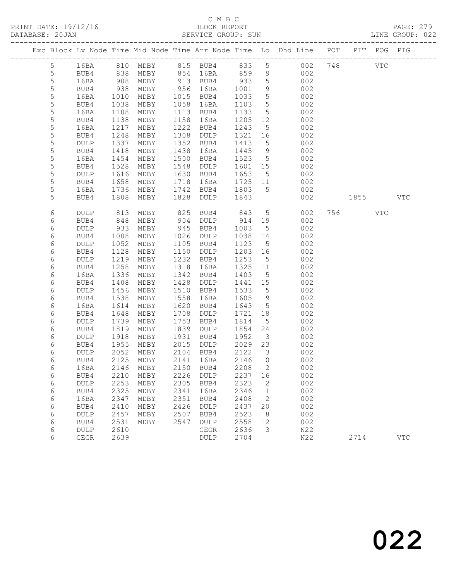PRINT DATE: 19/12/16 BLOCK REPORT BATABASE: 20JAN BLOCK REPORT

### C M B C<br>BLOCK REPORT

PAGE: 279<br>LINE GROUP: 022

|                 |                     |              |              |              |                        |              |                                           | Exc Block Lv Node Time Mid Node Time Arr Node Time Lo Dhd Line POT |                                                                                                                                                                                                                               | PIT POG PIG |            |
|-----------------|---------------------|--------------|--------------|--------------|------------------------|--------------|-------------------------------------------|--------------------------------------------------------------------|-------------------------------------------------------------------------------------------------------------------------------------------------------------------------------------------------------------------------------|-------------|------------|
| $5\overline{)}$ | 16BA                |              |              |              |                        |              |                                           | 810 MDBY 815 BUB4 833 5 002 748                                    |                                                                                                                                                                                                                               | VTC         |            |
| 5               | BUB4                | 838          | MDBY         |              | 854 16BA               | 859          | 9                                         | 002                                                                |                                                                                                                                                                                                                               |             |            |
| 5               | 16BA                | 908          | MDBY         |              | 913 BUB4               | 933          | $5\overline{)}$                           | 002                                                                |                                                                                                                                                                                                                               |             |            |
| 5               | BUB4                | 938          | MDBY         | 956          | 16BA                   | 1001         | 9                                         | 002                                                                |                                                                                                                                                                                                                               |             |            |
| 5               | 16BA                | 1010         | MDBY         | 1015         | BUB4                   | 1033         | $5\phantom{.0}$                           | 002                                                                |                                                                                                                                                                                                                               |             |            |
| $\mathsf S$     | BUB4                | 1038         | MDBY         | 1058         | 16BA                   | 1103         | $5\overline{)}$                           | 002                                                                |                                                                                                                                                                                                                               |             |            |
| 5               | 16BA                | 1108         | MDBY         | 1113         | BUB4                   | 1133         | $5\overline{)}$                           | 002                                                                |                                                                                                                                                                                                                               |             |            |
| 5               | BUB4                | 1138         | MDBY         | 1158         | 16BA                   | 1205         | 12                                        | 002                                                                |                                                                                                                                                                                                                               |             |            |
| 5               | 16BA                | 1217         | MDBY         | 1222         | BUB4                   | 1243         | 5                                         | 002                                                                |                                                                                                                                                                                                                               |             |            |
| 5               | BUB4                | 1248         | MDBY         | 1308         | DULP                   | 1321         | 16                                        | 002                                                                |                                                                                                                                                                                                                               |             |            |
| 5               | DULP                | 1337         | MDBY         | 1352         | BUB4                   | 1413         | $5\overline{)}$                           | 002                                                                |                                                                                                                                                                                                                               |             |            |
| 5               | BUB4                | 1418         | MDBY         | 1438         | 16BA                   | 1445         | 9                                         | 002                                                                |                                                                                                                                                                                                                               |             |            |
| 5               | 16BA                | 1454         | MDBY         | 1500         | BUB4                   | 1523         | $5^{\circ}$                               | 002                                                                |                                                                                                                                                                                                                               |             |            |
| 5               | BUB4                | 1528         | MDBY         | 1548         | DULP                   | 1601         | 15                                        | 002                                                                |                                                                                                                                                                                                                               |             |            |
| 5               | DULP                | 1616         | MDBY         | 1630         | BUB4                   | 1653         | $5\overline{)}$                           | 002                                                                |                                                                                                                                                                                                                               |             |            |
| 5               | BUB4                | 1658         | MDBY         | 1718         | 16BA                   | 1725         | 11                                        | 002                                                                |                                                                                                                                                                                                                               |             |            |
| 5               | 16BA                | 1736         | MDBY         | 1742         | BUB4                   | 1803         | $5^{\circ}$                               | 002                                                                |                                                                                                                                                                                                                               |             |            |
| 5               | BUB4                | 1808         | MDBY         | 1828         | DULP                   | 1843         |                                           | 002                                                                | 1855   1860   1860   1860   1860   1860   1860   1860   1860   1860   1860   1860   1860   1860   1860   1860   1860   1860   1860   1860   1860   1860   1860   1860   1860   1860   1860   1860   1860   1860   1860   1870 |             | <b>VTC</b> |
| 6               | DULP                | 813          | MDBY         | 825          | BUB4                   | 843          | $5\overline{)}$                           | 002                                                                | 756 VTC                                                                                                                                                                                                                       |             |            |
| 6               | BUB4                | 848          | MDBY         | 904          | DULP                   | 914          | 19                                        | 002                                                                |                                                                                                                                                                                                                               |             |            |
| 6               | <b>DULP</b>         | 933          | MDBY         | 945          | BUB4                   | 1003         | $5^{\circ}$                               | 002                                                                |                                                                                                                                                                                                                               |             |            |
| 6               | BUB4                | 1008         | MDBY         | 1026         | DULP                   | 1038         | 14                                        | 002                                                                |                                                                                                                                                                                                                               |             |            |
| 6               | DULP                | 1052         | MDBY         | 1105         | BUB4                   | 1123         | $5\overline{)}$                           | 002                                                                |                                                                                                                                                                                                                               |             |            |
| 6               | BUB4                | 1128         | MDBY         | 1150         | DULP                   | 1203         | 16                                        | 002                                                                |                                                                                                                                                                                                                               |             |            |
| 6               | DULP                | 1219         | MDBY         | 1232         | BUB4                   | 1253         | $5^{\circ}$                               | 002                                                                |                                                                                                                                                                                                                               |             |            |
| 6               | BUB4                | 1258         | MDBY         | 1318         | 16BA                   | 1325         | 11                                        | 002                                                                |                                                                                                                                                                                                                               |             |            |
| 6               | 16BA                | 1336         | MDBY         | 1342         | BUB4                   | 1403         | $5\overline{)}$                           | 002                                                                |                                                                                                                                                                                                                               |             |            |
| 6               | BUB4                | 1408         | MDBY         | 1428         | DULP                   | 1441 15      |                                           | 002                                                                |                                                                                                                                                                                                                               |             |            |
| 6               | <b>DULP</b>         | 1456         | MDBY         | 1510         | BUB4                   | 1533         | 5                                         | 002                                                                |                                                                                                                                                                                                                               |             |            |
| 6               | BUB4                | 1538         | MDBY         | 1558         | 16BA                   | 1605         | 9                                         | 002                                                                |                                                                                                                                                                                                                               |             |            |
| 6               | 16BA                | 1614         | MDBY         | 1620         | BUB4                   | 1643         | $5\overline{)}$                           | 002                                                                |                                                                                                                                                                                                                               |             |            |
| 6               | BUB4                | 1648         | MDBY         | 1708         | DULP                   | 1721         | 18                                        | 002                                                                |                                                                                                                                                                                                                               |             |            |
| 6               | <b>DULP</b>         | 1739         | MDBY         | 1753         | BUB4                   | 1814         | 5                                         | 002                                                                |                                                                                                                                                                                                                               |             |            |
| 6               | BUB4                | 1819         | MDBY         | 1839         | DULP                   | 1854         | 24                                        | 002                                                                |                                                                                                                                                                                                                               |             |            |
| 6               | DULP                | 1918         | MDBY         | 1931         | BUB4                   | 1952         | $\overline{\mathbf{3}}$                   | 002                                                                |                                                                                                                                                                                                                               |             |            |
| 6               | BUB4                | 1955         | MDBY         |              | 2015 DULP              | 2029 23      |                                           | 002                                                                |                                                                                                                                                                                                                               |             |            |
| 6<br>6          | <b>DULP</b><br>BUB4 | 2052<br>2125 | MDBY<br>MDBY |              | 2104 BUB4<br>2141 16BA | 2122<br>2146 | $\overline{\mathbf{3}}$<br>$\overline{0}$ | 002<br>002                                                         |                                                                                                                                                                                                                               |             |            |
|                 |                     |              |              |              |                        | 2208 2       |                                           |                                                                    |                                                                                                                                                                                                                               |             |            |
| 6               | 16BA                |              |              |              | 2146 MDBY 2150 BUB4    |              |                                           | 002                                                                |                                                                                                                                                                                                                               |             |            |
| 6<br>6          | BUB4                | 2210<br>2253 | MDBY         | 2226<br>2305 | DULP                   | 2237<br>2323 | 16                                        | 002                                                                |                                                                                                                                                                                                                               |             |            |
| 6               | DULP<br>BUB4        | 2325         | MDBY<br>MDBY | 2341         | BUB4<br>16BA           | 2346         | 2<br>$\mathbf{1}$                         | 002<br>002                                                         |                                                                                                                                                                                                                               |             |            |
| 6               | 16BA                | 2347         | MDBY         | 2351         | BUB4                   | 2408         | 2                                         | 002                                                                |                                                                                                                                                                                                                               |             |            |
| 6               | BUB4                | 2410         | MDBY         | 2426         | DULP                   | 2437         | 20                                        | 002                                                                |                                                                                                                                                                                                                               |             |            |
| 6               | <b>DULP</b>         | 2457         | MDBY         | 2507         | BUB4                   | 2523         | 8                                         | 002                                                                |                                                                                                                                                                                                                               |             |            |
| 6               | BUB4                | 2531         | MDBY         | 2547         | DULP                   | 2558         | 12                                        | 002                                                                |                                                                                                                                                                                                                               |             |            |
| 6               | DULP                | 2610         |              |              | GEGR                   | 2636         | 3                                         | N22                                                                |                                                                                                                                                                                                                               |             |            |
| 6               | GEGR                | 2639         |              |              | DULP                   | 2704         |                                           | N22                                                                | 2714                                                                                                                                                                                                                          |             | <b>VTC</b> |
|                 |                     |              |              |              |                        |              |                                           |                                                                    |                                                                                                                                                                                                                               |             |            |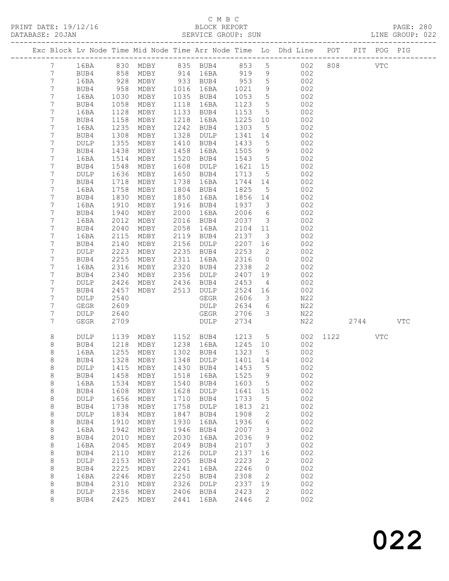#### C M B C<br>BLOCK REPORT SERVICE GROUP: SUN

PRINT DATE: 19/12/16 BLOCK REPORT PAGE: 280

|                 |              |              |                |              |                                 |              |                                  | Exc Block Lv Node Time Mid Node Time Arr Node Time Lo Dhd Line POT PIT POG PIG |          |         |     |     |
|-----------------|--------------|--------------|----------------|--------------|---------------------------------|--------------|----------------------------------|--------------------------------------------------------------------------------|----------|---------|-----|-----|
| 7 <sup>7</sup>  | 16BA         |              |                |              |                                 |              |                                  | 830 MDBY 835 BUB4 853 5 002                                                    |          | 808 VTC |     |     |
| $7\phantom{.0}$ | BUB4         | 858          |                |              | MDBY 914 16BA 919 9             |              |                                  | 002                                                                            |          |         |     |     |
| $7\phantom{.}$  | 16BA         | 928          | MDBY           |              | 933 BUB4                        | 953          | $5\overline{)}$                  | 002                                                                            |          |         |     |     |
| 7               | BUB4         | 958          | MDBY           |              | 1016 16BA                       | 1021         | 9                                | 002                                                                            |          |         |     |     |
| 7               | 16BA         | 1030         | MDBY           |              | 1035 BUB4                       | 1053         | 5                                | 002                                                                            |          |         |     |     |
| 7               | BUB4         | 1058         | MDBY           |              | 1118 16BA                       | 1123         | $5\overline{)}$                  | 002                                                                            |          |         |     |     |
| 7               | 16BA         | 1128         | MDBY           |              | 1133 BUB4                       | 1153         | $5\overline{)}$                  | 002                                                                            |          |         |     |     |
| 7               | BUB4         | 1158         | MDBY           |              | 1218 16BA                       | 1225         | 10                               | 002                                                                            |          |         |     |     |
| 7               | 16BA         | 1235         | MDBY           |              | 1242 BUB4                       | 1303         | $5\overline{)}$                  | 002                                                                            |          |         |     |     |
| $7\phantom{.}$  | BUB4         | 1308         | MDBY           | 1328         | DULP                            | 1341 14      |                                  | 002                                                                            |          |         |     |     |
| 7               | DULP         | 1355         | MDBY           | 1410         | BUB4                            | 1433         | $5\overline{)}$                  | 002                                                                            |          |         |     |     |
| 7               | BUB4         | 1438         | MDBY           | 1458         | 16BA                            | 1505         | 9                                | 002                                                                            |          |         |     |     |
| 7               | 16BA         | 1514         | MDBY           | 1520         | BUB4                            | 1543         | $5\overline{)}$                  | 002                                                                            |          |         |     |     |
| 7               | BUB4         | 1548         | MDBY           | 1608         | DULP                            | 1621 15      |                                  | 002                                                                            |          |         |     |     |
| 7               | DULP         | 1636         | MDBY           |              | 1650 BUB4                       | 1713         | $5^{\circ}$                      | 002                                                                            |          |         |     |     |
| 7               | BUB4         | 1718         | MDBY           |              | 1738 16BA                       | 1744         | 14                               | 002                                                                            |          |         |     |     |
| 7               | 16BA         | 1758         | MDBY           |              | 1804 BUB4                       | 1825         | $5\overline{)}$                  | 002                                                                            |          |         |     |     |
| 7               | BUB4         | 1830         | MDBY           | 1850         | 16BA                            | 1856 14      |                                  | 002                                                                            |          |         |     |     |
| 7               | 16BA         | 1910         | MDBY           |              | 1916 BUB4                       | 1937 3       |                                  | 002                                                                            |          |         |     |     |
| 7               | BUB4         | 1940         | MDBY           | 2000         | 16BA                            | 2006         | 6                                | 002                                                                            |          |         |     |     |
| 7               | 16BA         | 2012         | MDBY           |              | 2016 BUB4                       | 2037         | $\overline{\mathbf{3}}$          | 002                                                                            |          |         |     |     |
| 7               | BUB4         | 2040         | MDBY           | 2058         | 16BA<br>2119 BUB4               | 2104 11      |                                  | 002                                                                            |          |         |     |     |
| 7               | 16BA         | 2115<br>2140 | MDBY           |              | 2156 DULP                       | 2137<br>2207 | $\overline{\mathbf{3}}$          | 002<br>002                                                                     |          |         |     |     |
| 7<br>7          | BUB4         | 2223         | MDBY           |              | 2235 BUB4                       | 2253         | 16                               |                                                                                |          |         |     |     |
| $\overline{7}$  | DULP<br>BUB4 | 2255         | MDBY<br>MDBY   |              | 2311 16BA                       | 2316         | $\overline{2}$<br>$\overline{0}$ | 002<br>002                                                                     |          |         |     |     |
| $7\phantom{.}$  | 16BA         | 2316         | MDBY           |              | 2320 BUB4                       | 2338         | $\overline{2}$                   | 002                                                                            |          |         |     |     |
| 7               | BUB4         | 2340         | MDBY 2356 DULP |              |                                 | 2407 19      |                                  | 002                                                                            |          |         |     |     |
| 7               | <b>DULP</b>  | 2426         | MDBY           | 2436         | BUB4                            | 2453         | $\overline{4}$                   | 002                                                                            |          |         |     |     |
| 7               | BUB4         | 2457         | MDBY           |              | 2513 DULP                       | 2524 16      |                                  | 002                                                                            |          |         |     |     |
| 7               | DULP         | 2540         |                |              | GEGR                            | 2606         | $\overline{\mathbf{3}}$          | N22                                                                            |          |         |     |     |
| 7               | GEGR         | 2609         |                |              | DULP                            | 2634         | 6                                | N22                                                                            |          |         |     |     |
| 7               | DULP         | 2640         |                |              | GEGR                            | 2706         | $\overline{\mathbf{3}}$          | N22                                                                            |          |         |     |     |
| $7\phantom{.}$  | GEGR         | 2709         |                |              | DULP                            | 2734         |                                  | N22                                                                            |          | 2744    |     | VTC |
|                 |              |              |                |              |                                 |              |                                  |                                                                                |          |         |     |     |
| 8               | DULP         | 1139         |                |              | MDBY 1152 BUB4 1213 5           |              |                                  |                                                                                | 002 1122 |         | VTC |     |
| 8               | BUB4         | 1218         | MDBY           |              | 1238 16BA                       | 1245 10      |                                  | 002                                                                            |          |         |     |     |
| $\,8\,$         | 16BA         | 1255         | MDBY           |              | 1302 BUB4                       | 1323         | $5^{\circ}$                      | 002                                                                            |          |         |     |     |
| 8               | BUB4         |              | 1328 MDBY      |              | 1348 DULP                       | 1401 14      |                                  | 002                                                                            |          |         |     |     |
| 8               |              |              |                |              | DULP 1415 MDBY 1430 BUB4 1453 5 |              |                                  | 002                                                                            |          |         |     |     |
| 8               | BUB4         | 1458         | MDBY           | 1518         | 16BA                            | 1525         | 9                                | 002                                                                            |          |         |     |     |
| $\,8\,$         | 16BA         | 1534         | MDBY           | 1540         | BUB4                            | 1603         | $5^{\circ}$                      | 002                                                                            |          |         |     |     |
| $\,8\,$         | BUB4         | 1608         | MDBY           | 1628         | DULP                            | 1641         | 15                               | 002                                                                            |          |         |     |     |
| 8               | DULP         | 1656         | MDBY           | 1710         | BUB4                            | 1733         | $5^{\circ}$                      | 002                                                                            |          |         |     |     |
| 8               | BUB4         | 1738         | MDBY           | 1758         | DULP                            | 1813         | 21                               | 002                                                                            |          |         |     |     |
| 8               | DULP         | 1834         | MDBY           | 1847         | BUB4                            | 1908         | 2                                | 002                                                                            |          |         |     |     |
| $\,8\,$         | BUB4         | 1910         | MDBY           | 1930         | 16BA                            | 1936         | 6                                | 002                                                                            |          |         |     |     |
| 8               | 16BA         | 1942         | MDBY           | 1946         | BUB4                            | 2007         | $\mathcal{E}$                    | 002                                                                            |          |         |     |     |
| 8               | BUB4         | 2010         | MDBY           | 2030         | 16BA                            | 2036         | 9                                | 002                                                                            |          |         |     |     |
| 8               | 16BA         | 2045         | MDBY           | 2049         | BUB4                            | 2107         | $\mathcal{E}$                    | 002                                                                            |          |         |     |     |
| $\,8\,$         | BUB4         | 2110         | MDBY           | 2126         | DULP                            | 2137         | 16                               | 002                                                                            |          |         |     |     |
| 8               | DULP         | 2153<br>2225 | MDBY           | 2205<br>2241 | BUB4                            | 2223<br>2246 | 2<br>$\overline{0}$              | 002<br>002                                                                     |          |         |     |     |
| 8<br>8          | BUB4<br>16BA | 2246         | MDBY<br>MDBY   | 2250         | 16BA<br>BUB4                    | 2308         | 2                                | 002                                                                            |          |         |     |     |
| 8               | BUB4         | 2310         | MDBY           | 2326         | DULP                            | 2337         | 19                               | 002                                                                            |          |         |     |     |
| 8               | DULP         | 2356         | MDBY           | 2406         | BUB4                            | 2423         | 2                                | 002                                                                            |          |         |     |     |
| 8               | BUB4         | 2425         | MDBY           | 2441         | 16BA                            | 2446         | $\mathbf{2}$                     | 002                                                                            |          |         |     |     |
|                 |              |              |                |              |                                 |              |                                  |                                                                                |          |         |     |     |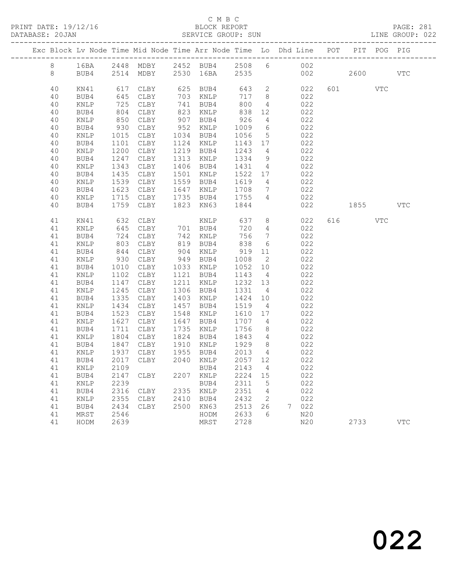#### C M B C<br>BLOCK REPORT SERVICE GROUP: SUN

|  |          |                 |              | Exc Block Lv Node Time Mid Node Time Arr Node Time Lo Dhd Line POT |      |                        |                   |                 |             |            |                                                                                                                                                                                                                               | PIT POG PIG |            |
|--|----------|-----------------|--------------|--------------------------------------------------------------------|------|------------------------|-------------------|-----------------|-------------|------------|-------------------------------------------------------------------------------------------------------------------------------------------------------------------------------------------------------------------------------|-------------|------------|
|  | 8        | 16BA            |              | 2448 MDBY 2452 BUB4 2508 6 002                                     |      |                        |                   |                 |             |            |                                                                                                                                                                                                                               |             |            |
|  | 8        | BUB4            |              | 2514 MDBY 2530 16BA 2535 002                                       |      |                        |                   |                 |             |            | 2600 000                                                                                                                                                                                                                      |             | <b>VTC</b> |
|  | 40       | KN41            |              | 617 CLBY                                                           |      | 625 BUB4 643 2 022     |                   |                 |             |            | 601 VTC                                                                                                                                                                                                                       |             |            |
|  | 40       | BUB4            | 645          | CLBY                                                               |      | 703 KNLP               | 717 8             |                 |             | 022        |                                                                                                                                                                                                                               |             |            |
|  | 40       | KNLP            | 725<br>804   | CLBY                                                               |      | 741 BUB4<br>823 KNLP   | 800               | $4\overline{4}$ |             | 022        |                                                                                                                                                                                                                               |             |            |
|  | 40       | BUB4            |              | CLBY                                                               |      |                        | 838               | 12              |             | 022        |                                                                                                                                                                                                                               |             |            |
|  | 40       | KNLP            | 850          | CLBY                                                               |      | 907 BUB4               | 926               | $\overline{4}$  | 022         |            |                                                                                                                                                                                                                               |             |            |
|  | 40       | BUB4            | 930          | CLBY                                                               |      | 952 KNLP               | 1009              | 6               | 022         |            |                                                                                                                                                                                                                               |             |            |
|  | 40       | KNLP            |              | 1015 CLBY                                                          |      | 1034 BUB4              | 1056              | 5 <sup>5</sup>  |             | 022        |                                                                                                                                                                                                                               |             |            |
|  | 40       | BUB4            | 1101         | CLBY                                                               |      | 1124 KNLP              | 1143 17           |                 |             | 022        |                                                                                                                                                                                                                               |             |            |
|  | 40       | $\texttt{KNLP}$ | 1200         | CLBY                                                               |      | 1219 BUB4              | 1243 4            |                 |             | 022        |                                                                                                                                                                                                                               |             |            |
|  | 40       | BUB4            | 1247         | CLBY                                                               |      | 1313 KNLP              | 1334              | 9               | 022         |            |                                                                                                                                                                                                                               |             |            |
|  | 40       | KNLP            | 1343         | CLBY                                                               |      | 1406 BUB4              | 1431 4            |                 |             | 022        |                                                                                                                                                                                                                               |             |            |
|  | 40       | BUB4            | 1435         | CLBY                                                               |      | 1501 KNLP              | 1522 17           |                 |             | 022<br>022 |                                                                                                                                                                                                                               |             |            |
|  | 40       | KNLP            | 1539         | CLBY                                                               |      | 1559 BUB4              | 1619 4            |                 |             |            |                                                                                                                                                                                                                               |             |            |
|  | 40       | BUB4            | 1623         | CLBY                                                               |      | 1647 KNLP              | 1708              | $\overline{7}$  | 022         |            |                                                                                                                                                                                                                               |             |            |
|  | 40       | KNLP            | 1715         | CLBY                                                               |      | 1735 BUB4 1755         |                   | $4\overline{4}$ |             | 022        |                                                                                                                                                                                                                               |             |            |
|  | 40       | BUB4            | 1759         | CLBY                                                               |      | 1823 KN63              | 1844              |                 |             | 022        | 1855   1860   1860   1860   1860   1860   1860   1860   1860   1860   1860   1860   1860   1860   1860   1860   1860   1860   1860   1860   1860   1860   1860   1860   1860   1860   1860   1860   1860   1860   1860   1870 |             | <b>VTC</b> |
|  | 41       | KN41            | 632          | CLBY                                                               |      | KNLP                   |                   |                 | 637 8       | 022        | 616 VTC                                                                                                                                                                                                                       |             |            |
|  | 41       | KNLP            | 645          | CLBY                                                               |      | 701 BUB4               | 720               | $4\overline{ }$ |             | 022        |                                                                                                                                                                                                                               |             |            |
|  | 41       | BUB4            | 724<br>803   | CLBY                                                               |      | 742 KNLP<br>819 BUB4   | 756               | $7\overline{ }$ |             | 022        |                                                                                                                                                                                                                               |             |            |
|  | 41       | KNLP            |              | CLBY                                                               |      |                        | 838               | 6               |             | 022        |                                                                                                                                                                                                                               |             |            |
|  | 41       | BUB4            | 844          | CLBY                                                               |      | 904 KNLP               | 919 11            |                 | 022         |            |                                                                                                                                                                                                                               |             |            |
|  | 41       | KNLP            | 930          | CLBY                                                               |      | 949 BUB4               | 1008              | $\overline{2}$  |             | 022        |                                                                                                                                                                                                                               |             |            |
|  | 41       | BUB4            | 1010         | CLBY                                                               |      | 1033 KNLP              | 1052 10           |                 |             | 022        |                                                                                                                                                                                                                               |             |            |
|  | 41       | KNLP            | 1102         | CLBY                                                               |      | 1121 BUB4              | 1143 4            |                 |             | 022        |                                                                                                                                                                                                                               |             |            |
|  | 41       | BUB4            | 1147         | CLBY                                                               | 1211 | KNLP                   | 1232 13           |                 | 022         |            |                                                                                                                                                                                                                               |             |            |
|  | 41       | KNLP            | 1245         | CLBY                                                               |      | 1306 BUB4              | 1331              | $\overline{4}$  |             | 022        |                                                                                                                                                                                                                               |             |            |
|  | 41       | BUB4            | 1335         | CLBY                                                               |      | 1403 KNLP              | 1424 10           |                 |             | 022        |                                                                                                                                                                                                                               |             |            |
|  | 41       | KNLP            | 1434         | CLBY                                                               |      | 1457 BUB4              | 1519              | $\overline{4}$  |             | 022        |                                                                                                                                                                                                                               |             |            |
|  | 41       | BUB4            | 1523         | CLBY                                                               | 1548 | KNLP                   | 1610 17           |                 | 022         |            |                                                                                                                                                                                                                               |             |            |
|  | 41       | KNLP            | 1627         | CLBY                                                               |      | 1647 BUB4              | 1707 4            |                 | 022         |            |                                                                                                                                                                                                                               |             |            |
|  | 41       | BUB4            | 1711         | CLBY                                                               |      | 1735 KNLP              | 1756              | 8 <sup>8</sup>  |             | 022        |                                                                                                                                                                                                                               |             |            |
|  | 41       | KNLP            | 1804         | CLBY                                                               |      | 1824 BUB4              | 1843 4<br>1929 8  |                 | $022$       | 022        |                                                                                                                                                                                                                               |             |            |
|  | 41       | BUB4            |              | 1847 CLBY                                                          |      | 1910 KNLP              |                   |                 |             |            |                                                                                                                                                                                                                               |             |            |
|  | 41<br>41 | KNLP<br>BUB4    |              | 1937 CLBY<br>2017 CLBY                                             |      | 1955 BUB4<br>2040 KNLP | 2013 4<br>2057 12 |                 |             | 022        |                                                                                                                                                                                                                               |             |            |
|  |          |                 |              |                                                                    |      |                        |                   |                 |             | 022        |                                                                                                                                                                                                                               |             |            |
|  |          |                 |              | 41 KNLP 2109 BUB4 2143 4                                           | 2207 |                        | 2224              |                 |             | 022        |                                                                                                                                                                                                                               |             |            |
|  | 41<br>41 | BUB4<br>KNLP    | 2147<br>2239 | CLBY                                                               |      | KNLP<br>BUB4           | 2311              | 15<br>5         |             | 022<br>022 |                                                                                                                                                                                                                               |             |            |
|  | 41       | BUB4            | 2316         | CLBY                                                               | 2335 | KNLP                   | 2351              | 4               |             | 022        |                                                                                                                                                                                                                               |             |            |
|  | 41       | KNLP            | 2355         | CLBY                                                               | 2410 | BUB4                   | 2432              | 2               |             | 022        |                                                                                                                                                                                                                               |             |            |
|  | 41       | BUB4            | 2434         | <b>CLBY</b>                                                        | 2500 | KN63                   | 2513              | 26              | $7^{\circ}$ | 022        |                                                                                                                                                                                                                               |             |            |
|  | 41       | <b>MRST</b>     | 2546         |                                                                    |      | HODM                   | 2633              | 6               |             | N20        |                                                                                                                                                                                                                               |             |            |
|  | 41       | HODM            | 2639         |                                                                    |      | MRST                   | 2728              |                 |             | N20        | 2733                                                                                                                                                                                                                          |             | <b>VTC</b> |
|  |          |                 |              |                                                                    |      |                        |                   |                 |             |            |                                                                                                                                                                                                                               |             |            |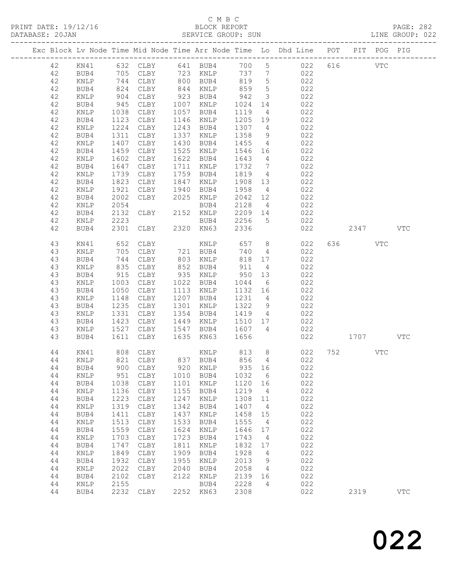## C M B C<br>BLOCK REPORT<br>SERVICE GROUP: SUN

| DATABASE: 20JAN |    |                 |                         |           |      | SERVICE GROUP: SUN           |            |                         |                                                                                |         |     | LINE GROUP: 022 |  |
|-----------------|----|-----------------|-------------------------|-----------|------|------------------------------|------------|-------------------------|--------------------------------------------------------------------------------|---------|-----|-----------------|--|
|                 |    |                 |                         |           |      |                              |            |                         | Exc Block Lv Node Time Mid Node Time Arr Node Time Lo Dhd Line POT PIT POG PIG |         |     |                 |  |
|                 | 42 |                 |                         |           |      | KN41 632 CLBY 641 BUB4 700 5 |            |                         | 022 616 VTC                                                                    |         |     |                 |  |
|                 | 42 | BUB4            |                         |           |      |                              |            |                         | 705 CLBY 723 KNLP 737 7 022                                                    |         |     |                 |  |
|                 | 42 | KNLP            | 744<br>824<br>904       |           |      | CLBY 800 BUB4 819            |            | $5\overline{)}$         | 022                                                                            |         |     |                 |  |
|                 | 42 | BUB4            |                         | CLBY      |      | 844 KNLP                     |            | $5\overline{)}$         | 022                                                                            |         |     |                 |  |
|                 | 42 | KNLP            |                         | CLBY      |      | 923 BUB4                     | 859<br>942 | $\overline{\mathbf{3}}$ | 022                                                                            |         |     |                 |  |
|                 | 42 | BUB4            | 945                     | CLBY      |      | 1007 KNLP                    | 1024       | 14                      | 022                                                                            |         |     |                 |  |
|                 | 42 | KNLP            | 1038                    | CLBY      |      | 1057 BUB4                    | 1119       | $\overline{4}$          | 022                                                                            |         |     |                 |  |
|                 | 42 | BUB4            | 1123                    | CLBY      |      | 1146 KNLP                    | 1205 19    |                         | 022                                                                            |         |     |                 |  |
|                 | 42 | KNLP            | 1224                    | CLBY      |      | 1243 BUB4                    | 1307 4     |                         | 022                                                                            |         |     |                 |  |
|                 | 42 | BUB4            | 1311                    | CLBY      | 1337 | KNLP                         | 1358       | 9                       | 022                                                                            |         |     |                 |  |
|                 | 42 | KNLP            | 1407                    | CLBY      | 1430 | BUB4                         | 1455       | $\overline{4}$          | 022                                                                            |         |     |                 |  |
|                 | 42 | BUB4            |                         | CLBY      |      | 1525 KNLP                    | 1546 16    |                         | 022                                                                            |         |     |                 |  |
|                 | 42 | $\texttt{KNLP}$ | $1455$<br>$1602$        | CLBY      |      | 1622 BUB4                    | 1643       | $4\overline{4}$         | 022                                                                            |         |     |                 |  |
|                 | 42 | BUB4            | 1647                    | CLBY      |      | 1711 KNLP                    | 1732       | $\overline{7}$          | 022                                                                            |         |     |                 |  |
|                 | 42 | KNLP            | 1739                    | CLBY      |      | 1759 BUB4                    | 1819       | $\overline{4}$          | 022                                                                            |         |     |                 |  |
|                 | 42 | BUB4            | 1823                    | CLBY      |      | 1847 KNLP                    | 1908 13    |                         | 022                                                                            |         |     |                 |  |
|                 | 42 | KNLP            |                         | CLBY      |      | 1940 BUB4                    | 1958       | $\overline{4}$          | 022                                                                            |         |     |                 |  |
|                 | 42 | BUB4            | $102$<br>$1921$<br>2002 | CLBY      |      | 2025 KNLP                    | 2042 12    |                         | 022                                                                            |         |     |                 |  |
|                 | 42 | KNLP            | 2054                    |           |      | BUB4                         | 2128       | $4\overline{4}$         | 022                                                                            |         |     |                 |  |
|                 | 42 | BUB4            | 2132                    | CLBY      |      | 2152 KNLP                    | 2209 14    |                         | 022                                                                            |         |     |                 |  |
|                 | 42 | KNLP            | 2223                    |           |      | BUB4                         | 2256       | $5\overline{)}$         | 022                                                                            |         |     |                 |  |
|                 | 42 | BUB4            | 2301                    | CLBY      |      | 2320 KN63                    | 2336       |                         | 022                                                                            | 2347    |     | <b>VTC</b>      |  |
|                 |    |                 |                         |           |      |                              |            |                         |                                                                                |         |     |                 |  |
|                 | 43 | KN41            | 652<br>705<br>744       | CLBY      |      | KNLP<br>721 BUB4             | 657        | 8 <sup>8</sup>          | 022                                                                            | 636 100 | VTC |                 |  |
|                 | 43 | KNLP            |                         | CLBY      |      |                              | 740        | $4\overline{4}$         | 022                                                                            |         |     |                 |  |
|                 | 43 | BUB4            |                         | CLBY      |      | 803 KNLP                     | 818 17     |                         | 022                                                                            |         |     |                 |  |
|                 | 43 | KNLP            | 835                     | CLBY      |      | 852 BUB4                     | 911        | $\overline{4}$          | 022                                                                            |         |     |                 |  |
|                 | 43 | BUB4            | 915<br>1003             | CLBY      |      | 935 KNLP                     | 950        | 13                      | 022                                                                            |         |     |                 |  |
|                 | 43 | KNLP            |                         | CLBY      |      | 1022 BUB4                    | 1044       | 6                       | 022                                                                            |         |     |                 |  |
|                 | 43 | BUB4            | 1050                    | CLBY      |      | 1113 KNLP                    | 1132 16    |                         | 022                                                                            |         |     |                 |  |
|                 | 43 | KNLP            | 1148                    | CLBY      |      | 1207 BUB4                    | 1231       | $\overline{4}$          | 022                                                                            |         |     |                 |  |
|                 | 43 | BUB4            | 1235                    | CLBY      | 1301 | KNLP                         | 1322       | 9                       | 022                                                                            |         |     |                 |  |
|                 | 43 | KNLP            | 1331                    | CLBY      |      | 1354 BUB4                    | 1419 4     |                         | 022                                                                            |         |     |                 |  |
|                 | 43 | BUB4            | 1423                    | CLBY      |      | 1449 KNLP                    | 1510 17    |                         | 022                                                                            |         |     |                 |  |
|                 | 43 | KNLP            | 1527                    | CLBY      |      | 1547 BUB4 1607 4             |            |                         | 022                                                                            |         |     |                 |  |
|                 | 43 | BUB4            | 1611                    | CLBY      | 1635 | KN63                         | 1656       |                         | 022                                                                            | 1707    |     | VTC             |  |
|                 | 44 | KN41            |                         | 808 CLBY  |      | KNLP 813 8                   |            |                         | 022                                                                            | 752     | VTC |                 |  |
|                 |    |                 |                         |           |      |                              |            |                         | 44 KNLP 821 CLBY 837 BUB4 856 4 022                                            |         |     |                 |  |
|                 | 44 | BUB4            |                         | 900 CLBY  | 920  | KNLP                         | 935        | 16                      | 022                                                                            |         |     |                 |  |
|                 | 44 | KNLP            | 951                     | CLBY      |      | 1010 BUB4                    | 1032       | $6\overline{6}$         | 022                                                                            |         |     |                 |  |
|                 | 44 | BUB4            | 1038                    | CLBY      | 1101 | KNLP                         | 1120       | 16                      | 022                                                                            |         |     |                 |  |
|                 | 44 | KNLP            | 1136                    | CLBY      | 1155 | BUB4                         | 1219       | $\overline{4}$          | 022                                                                            |         |     |                 |  |
|                 | 44 | BUB4            | 1223                    | CLBY      | 1247 | $\texttt{KNLP}$              | 1308       | 11                      | 022                                                                            |         |     |                 |  |
|                 | 44 | $\texttt{KNLP}$ | 1319                    | CLBY      | 1342 | BUB4                         | 1407       | $\overline{4}$          | 022                                                                            |         |     |                 |  |
|                 | 44 | BUB4            | 1411                    | CLBY      | 1437 | KNLP                         | 1458       | 15                      | 022                                                                            |         |     |                 |  |
|                 | 44 | $\texttt{KNLP}$ | 1513                    | CLBY      | 1533 | BUB4                         | 1555       | $\overline{4}$          | 022                                                                            |         |     |                 |  |
|                 | 44 | BUB4            | 1559                    | CLBY      | 1624 | KNLP                         | 1646       | 17                      | 022                                                                            |         |     |                 |  |
|                 | 44 | KNLP            | 1703                    | CLBY      | 1723 | BUB4                         | 1743       | $\overline{4}$          | 022                                                                            |         |     |                 |  |
|                 | 44 | BUB4            | 1747                    | CLBY      | 1811 | KNLP                         | 1832       | 17                      | 022                                                                            |         |     |                 |  |
|                 | 44 | $\texttt{KNLP}$ | 1849                    | CLBY      | 1909 | BUB4                         | 1928       | $\overline{4}$          | 022                                                                            |         |     |                 |  |
|                 | 44 | BUB4            | 1932                    | CLBY      | 1955 | KNLP                         | 2013       | 9                       | 022                                                                            |         |     |                 |  |
|                 | 44 | KNLP            | 2022                    | CLBY      | 2040 | BUB4                         | 2058       | $\overline{4}$          | 022                                                                            |         |     |                 |  |
|                 | 44 | BUB4            | 2102                    | CLBY      | 2122 | KNLP                         | 2139 16    |                         | 022                                                                            |         |     |                 |  |
|                 | 44 | KNLP            | 2155                    |           |      | BUB4                         | 2228       | $\overline{4}$          | 022                                                                            |         |     |                 |  |
|                 | 44 | BUB4            |                         | 2232 CLBY |      | 2252 KN63                    | 2308       |                         | 022                                                                            | 2319    |     | $_{\rm VTC}$    |  |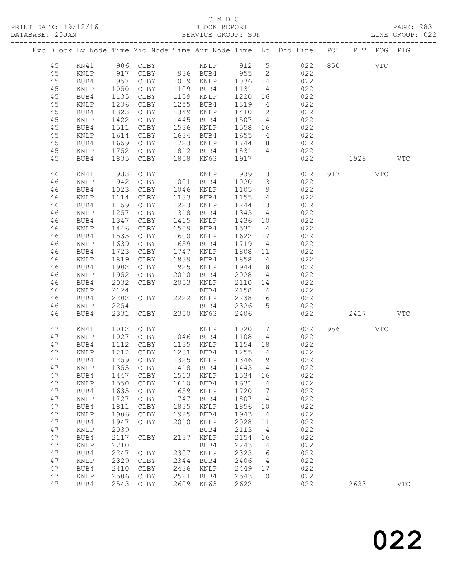#### C M B C<br>BLOCK REPORT SERVICE GROUP: SUN

|          |                 |              |                        |              |                                    |                 |                         | Exc Block Lv Node Time Mid Node Time Arr Node Time Lo Dhd Line POT PIT POG PIG |          |            |            |
|----------|-----------------|--------------|------------------------|--------------|------------------------------------|-----------------|-------------------------|--------------------------------------------------------------------------------|----------|------------|------------|
| 45       | KN41            |              |                        |              |                                    |                 |                         |                                                                                |          | <b>VTC</b> |            |
| 45       | KNLP            |              |                        |              |                                    |                 |                         | 022                                                                            |          |            |            |
| 45       | BUB4            |              |                        |              |                                    |                 |                         | 022                                                                            |          |            |            |
| 45       | KNLP            |              | 1050 CLBY              |              | 1109 BUB4                          | 1131            | $\overline{4}$          | 022                                                                            |          |            |            |
| $4\,5$   | BUB4            | 1135         | CLBY                   |              | 1159 KNLP                          | 1220            | 16                      | 022                                                                            |          |            |            |
| 45       | KNLP            | 1236         | CLBY                   | 1255         | BUB4                               | 1319            | $\overline{4}$          | 022                                                                            |          |            |            |
| $4\,5$   | BUB4            | 1323         | CLBY                   | 1349         | KNLP                               | 1410            | 12                      | 022                                                                            |          |            |            |
| 45       | KNLP            | 1422         | CLBY                   | 1445         | BUB4                               | 1507            | $\overline{4}$          | 022                                                                            |          |            |            |
| 45       | BUB4            |              | 1511 CLBY              |              | 1536 KNLP                          | 1558            | 16                      | 022                                                                            |          |            |            |
| 45       | KNLP            | 1614         | CLBY                   |              | 1634 BUB4                          | 1655<br>1744    | $4\overline{4}$         | 022                                                                            |          |            |            |
| 45       | BUB4            |              | 1659 CLBY<br>1752 CLBY |              | 1723 KNLP<br>1812 BUB4             | 1831            | 8 <sup>8</sup>          | 022<br>022                                                                     |          |            |            |
| 45<br>45 | KNLP<br>BUB4    |              | 1835 CLBY              |              | 1858 KN63 1917                     |                 | $\overline{4}$          | 022                                                                            | 1928 VTC |            |            |
|          |                 |              |                        |              |                                    |                 |                         |                                                                                |          |            |            |
| 46       | KN41            | 933          | CLBY                   |              | KNLP                               | 939             |                         | 3 <sup>1</sup><br>022                                                          | 917 VTC  |            |            |
| 46       | KNLP            | 942          | CLBY                   |              | 1001 BUB4                          | 1020            | $\overline{\mathbf{3}}$ | 022                                                                            |          |            |            |
| 46       | BUB4            | 1023         | CLBY                   |              | 1046 KNLP                          | 1105            | 9                       | 022                                                                            |          |            |            |
| 46       | KNLP            | 1114         | CLBY                   |              | 1133 BUB4                          | 1155            | $4\overline{4}$         | 022                                                                            |          |            |            |
| 46       | BUB4            |              | 1159 CLBY              | 1223         | KNLP                               | 1244            | 13                      | 022                                                                            |          |            |            |
| 46       | KNLP            |              | 1257 CLBY              | 1318         | BUB4                               | 1343            | $\overline{4}$          | 022                                                                            |          |            |            |
| 46       | BUB4            | 1347         | CLBY                   | 1415         | KNLP                               | 1436 10         |                         | 022                                                                            |          |            |            |
| 46       | KNLP            | 1446         | CLBY                   | 1509         | BUB4                               | 1531            | $\overline{4}$          | 022                                                                            |          |            |            |
| 46       | BUB4            | 1535         | CLBY<br>1639 CLBY      | 1600         | KNLP                               | 1622 17<br>1719 |                         | 022                                                                            |          |            |            |
| 46<br>46 | KNLP<br>BUB4    | 1723         | CLBY                   | 1747         | 1659 BUB4<br>KNLP                  | 1808            | $4\overline{4}$<br>11   | 022<br>022                                                                     |          |            |            |
| 46       | KNLP            | 1819         | CLBY                   |              | 1839 BUB4                          | 1858            | $\overline{4}$          | 022                                                                            |          |            |            |
| 46       | BUB4            | 1902         | CLBY                   | 1925         | KNLP                               | 1944            | 8 <sup>8</sup>          | 022                                                                            |          |            |            |
| 46       | KNLP            | 1952         | CLBY                   | 2010         | BUB4                               | 2028            | $\overline{4}$          | 022                                                                            |          |            |            |
| 46       | BUB4            | 2032         | CLBY                   | 2053         | KNLP                               | 2110            | 14                      | 022                                                                            |          |            |            |
| 46       | KNLP            | 2124         |                        |              | BUB4                               | 2158            | $4\overline{4}$         | 022                                                                            |          |            |            |
| 46       | BUB4            | 2202         | CLBY                   |              | 2222 KNLP                          |                 | 16                      | 022                                                                            |          |            |            |
| 46       | KNLP            | 2254         |                        |              | BUB4                               | 2238<br>2326    | $5\overline{)}$         | 022                                                                            |          |            |            |
| 46       | BUB4            | 2331         | CLBY                   |              | 2350 KN63                          | 2406            |                         | 022                                                                            | 2417     |            | <b>VTC</b> |
| 47       | KN41            | 1012         | CLBY                   |              | KNLP                               | 1020<br>1108    | $\overline{7}$          | 022                                                                            | 956 70   | VTC        |            |
| 47       | $\texttt{KNLP}$ |              | 1027 CLBY              |              | 1046 BUB4                          |                 | $4\overline{4}$         | 022                                                                            |          |            |            |
| 47       | BUB4            |              | 1112 CLBY              |              | 1135 KNLP                          | 1154 18         |                         | 022                                                                            |          |            |            |
| 47       | $\texttt{KNLP}$ |              | 1212 CLBY              |              | 1231 BUB4                          | 1255            | $\overline{4}$          | 022                                                                            |          |            |            |
| 47       | BUB4            |              | 1259 CLBY              |              | 1325 KNLP                          | 1346            | 9                       | 022                                                                            |          |            |            |
|          |                 |              |                        |              | 47 KNLP 1355 CLBY 1418 BUB4 1443 4 |                 |                         | 022                                                                            |          |            |            |
| 47       | BUB4            | 1447         | CLBY                   | 1513         | KNLP                               | 1534            | 16                      | 022                                                                            |          |            |            |
| 47       | KNLP            | 1550         | $\texttt{CLBY}{}$      | 1610         | BUB4                               | 1631            | 4                       | 022                                                                            |          |            |            |
| 47<br>47 | BUB4<br>KNLP    | 1635<br>1727 | CLBY                   | 1659<br>1747 | KNLP<br>BUB4                       | 1720<br>1807    | 7                       | 022<br>022                                                                     |          |            |            |
| 47       | BUB4            | 1811         | CLBY<br>CLBY           | 1835         | KNLP                               | 1856            | 4<br>10                 | 022                                                                            |          |            |            |
| 47       | <b>KNLP</b>     | 1906         | CLBY                   | 1925         | BUB4                               | 1943            | 4                       | 022                                                                            |          |            |            |
| 47       | BUB4            | 1947         | CLBY                   | 2010         | KNLP                               | 2028            | 11                      | 022                                                                            |          |            |            |
| 47       | KNLP            | 2039         |                        |              | BUB4                               | 2113            | 4                       | 022                                                                            |          |            |            |
| 47       | BUB4            | 2117         | CLBY                   | 2137         | KNLP                               | 2154            | 16                      | 022                                                                            |          |            |            |
| 47       | KNLP            | 2210         |                        |              | BUB4                               | 2243            | 4                       | 022                                                                            |          |            |            |
| 47       | BUB4            | 2247         | CLBY                   | 2307         | KNLP                               | 2323            | 6                       | 022                                                                            |          |            |            |
| 47       | KNLP            | 2329         | CLBY                   | 2344         | BUB4                               | 2406            | 4                       | 022                                                                            |          |            |            |
| 47       | BUB4            | 2410         | CLBY                   | 2436         | KNLP                               | 2449            | 17                      | 022                                                                            |          |            |            |
| 47       | KNLP            | 2506         | ${\tt CLBY}$           | 2521         | BUB4                               | 2543            | $\circ$                 | 022                                                                            |          |            |            |
| 47       | BUB4            | 2543         | CLBY                   | 2609         | KN63                               | 2622            |                         | 022                                                                            | 2633     |            | <b>VTC</b> |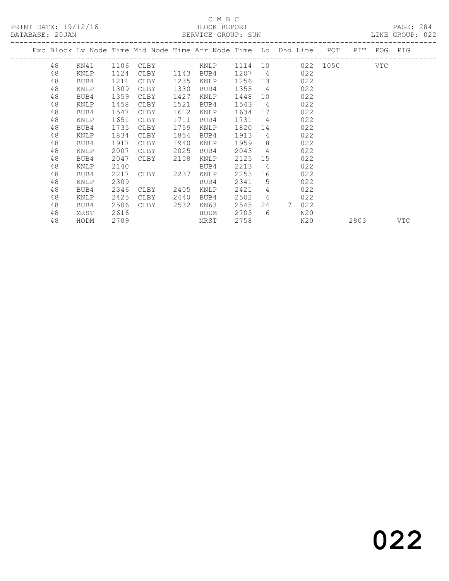### C M B C<br>BLOCK REPORT

|                 |                    | _ _ _ _ _ _ _ _ _ _ _ _ _ _ |  |
|-----------------|--------------------|-----------------------------|--|
| DATABASE: 20JAN | SERVICE GROUP: SUN |                             |  |
|                 |                    |                             |  |

LINE GROUP: 022

| Exc Block Lv Node Time Mid Node Time Arr Node Time Lo Dhd Line POT<br>PIT POG PIG<br>48<br>1106<br>1114 10 022 1050 VTC<br>KN41<br>CLBY<br>KNLP<br>48<br>1207<br>$\overline{4}$<br>1124<br>1143<br>022<br>KNLP<br>CLBY<br>BUB4<br>1211<br>48<br>1235<br>1256<br>13<br>022<br>BUB4<br>CLBY<br>KNLP<br>1309<br>1355<br>$\overline{4}$<br>48<br>1330<br>KNLP<br>CLBY<br>BUB4<br>022<br>1359<br>48<br>1427<br>1448<br>022<br>BUB4<br>CLBY<br>KNLP<br>10<br>48<br>1458<br>1543<br>1521<br>$\overline{4}$<br>022<br>KNLP<br>CLBY<br>BUB4<br>48<br>1612<br>BUB4<br>1547<br>1634<br>022<br>CLBY<br>KNLP<br>17<br>48<br>1651<br>1711<br>1731<br>022<br>BUB4<br>$\overline{4}$<br>KNLP<br>CLBY<br>1735<br>1759<br>1820<br>48<br>022<br>BUB4<br>CLBY<br>KNLP<br>14<br>1913<br>48<br>1834<br>1854<br>$\overline{4}$<br>022<br>KNLP<br>CLBY<br>BUB4<br>1959<br>8 <sup>8</sup><br>48<br>1917<br>022<br>BUB4<br>CLBY<br>1940<br>KNLP<br>$\overline{4}$<br>2007<br>2043<br>48<br>2025<br>022<br>KNLP<br>CLBY<br>BUB4<br>48<br>2047<br>2108<br>2125<br>022<br>BUB4<br>KNLP<br>15<br>CLBY<br>48<br>2213<br>2140<br>$\overline{4}$<br>022<br>KNLP<br>BUB4<br>2253<br>48<br>2217<br>2237<br>16<br>022<br>BUB4<br>CLBY<br>KNLP<br>2309<br>2341<br>48<br>5<br>022<br>KNLP<br>BUB4<br>48<br>2421<br>$\overline{4}$<br>022<br>2346<br>2405<br>BUB4<br>CLBY<br>KNLP<br>2425<br>48<br>2440<br>2502<br>$\overline{4}$<br>022<br>KNLP<br>CLBY<br>BUB4<br>7<br>022<br>48<br>2506<br>2532<br>KN63<br>2545<br>BUB4<br>CLBY<br>24<br>48<br>2616<br>2703<br>- 6<br>HODM<br>N20<br>MRST<br>48<br>2758<br>2709<br>N20<br>HODM<br>MRST<br>2803<br>VTC |  |  |  |  |  |  |  |  |
|-------------------------------------------------------------------------------------------------------------------------------------------------------------------------------------------------------------------------------------------------------------------------------------------------------------------------------------------------------------------------------------------------------------------------------------------------------------------------------------------------------------------------------------------------------------------------------------------------------------------------------------------------------------------------------------------------------------------------------------------------------------------------------------------------------------------------------------------------------------------------------------------------------------------------------------------------------------------------------------------------------------------------------------------------------------------------------------------------------------------------------------------------------------------------------------------------------------------------------------------------------------------------------------------------------------------------------------------------------------------------------------------------------------------------------------------------------------------------------------------------------------------------------------------------------------------------------------------------------------------|--|--|--|--|--|--|--|--|
|                                                                                                                                                                                                                                                                                                                                                                                                                                                                                                                                                                                                                                                                                                                                                                                                                                                                                                                                                                                                                                                                                                                                                                                                                                                                                                                                                                                                                                                                                                                                                                                                                   |  |  |  |  |  |  |  |  |
|                                                                                                                                                                                                                                                                                                                                                                                                                                                                                                                                                                                                                                                                                                                                                                                                                                                                                                                                                                                                                                                                                                                                                                                                                                                                                                                                                                                                                                                                                                                                                                                                                   |  |  |  |  |  |  |  |  |
|                                                                                                                                                                                                                                                                                                                                                                                                                                                                                                                                                                                                                                                                                                                                                                                                                                                                                                                                                                                                                                                                                                                                                                                                                                                                                                                                                                                                                                                                                                                                                                                                                   |  |  |  |  |  |  |  |  |
|                                                                                                                                                                                                                                                                                                                                                                                                                                                                                                                                                                                                                                                                                                                                                                                                                                                                                                                                                                                                                                                                                                                                                                                                                                                                                                                                                                                                                                                                                                                                                                                                                   |  |  |  |  |  |  |  |  |
|                                                                                                                                                                                                                                                                                                                                                                                                                                                                                                                                                                                                                                                                                                                                                                                                                                                                                                                                                                                                                                                                                                                                                                                                                                                                                                                                                                                                                                                                                                                                                                                                                   |  |  |  |  |  |  |  |  |
|                                                                                                                                                                                                                                                                                                                                                                                                                                                                                                                                                                                                                                                                                                                                                                                                                                                                                                                                                                                                                                                                                                                                                                                                                                                                                                                                                                                                                                                                                                                                                                                                                   |  |  |  |  |  |  |  |  |
|                                                                                                                                                                                                                                                                                                                                                                                                                                                                                                                                                                                                                                                                                                                                                                                                                                                                                                                                                                                                                                                                                                                                                                                                                                                                                                                                                                                                                                                                                                                                                                                                                   |  |  |  |  |  |  |  |  |
|                                                                                                                                                                                                                                                                                                                                                                                                                                                                                                                                                                                                                                                                                                                                                                                                                                                                                                                                                                                                                                                                                                                                                                                                                                                                                                                                                                                                                                                                                                                                                                                                                   |  |  |  |  |  |  |  |  |
|                                                                                                                                                                                                                                                                                                                                                                                                                                                                                                                                                                                                                                                                                                                                                                                                                                                                                                                                                                                                                                                                                                                                                                                                                                                                                                                                                                                                                                                                                                                                                                                                                   |  |  |  |  |  |  |  |  |
|                                                                                                                                                                                                                                                                                                                                                                                                                                                                                                                                                                                                                                                                                                                                                                                                                                                                                                                                                                                                                                                                                                                                                                                                                                                                                                                                                                                                                                                                                                                                                                                                                   |  |  |  |  |  |  |  |  |
|                                                                                                                                                                                                                                                                                                                                                                                                                                                                                                                                                                                                                                                                                                                                                                                                                                                                                                                                                                                                                                                                                                                                                                                                                                                                                                                                                                                                                                                                                                                                                                                                                   |  |  |  |  |  |  |  |  |
|                                                                                                                                                                                                                                                                                                                                                                                                                                                                                                                                                                                                                                                                                                                                                                                                                                                                                                                                                                                                                                                                                                                                                                                                                                                                                                                                                                                                                                                                                                                                                                                                                   |  |  |  |  |  |  |  |  |
|                                                                                                                                                                                                                                                                                                                                                                                                                                                                                                                                                                                                                                                                                                                                                                                                                                                                                                                                                                                                                                                                                                                                                                                                                                                                                                                                                                                                                                                                                                                                                                                                                   |  |  |  |  |  |  |  |  |
|                                                                                                                                                                                                                                                                                                                                                                                                                                                                                                                                                                                                                                                                                                                                                                                                                                                                                                                                                                                                                                                                                                                                                                                                                                                                                                                                                                                                                                                                                                                                                                                                                   |  |  |  |  |  |  |  |  |
|                                                                                                                                                                                                                                                                                                                                                                                                                                                                                                                                                                                                                                                                                                                                                                                                                                                                                                                                                                                                                                                                                                                                                                                                                                                                                                                                                                                                                                                                                                                                                                                                                   |  |  |  |  |  |  |  |  |
|                                                                                                                                                                                                                                                                                                                                                                                                                                                                                                                                                                                                                                                                                                                                                                                                                                                                                                                                                                                                                                                                                                                                                                                                                                                                                                                                                                                                                                                                                                                                                                                                                   |  |  |  |  |  |  |  |  |
|                                                                                                                                                                                                                                                                                                                                                                                                                                                                                                                                                                                                                                                                                                                                                                                                                                                                                                                                                                                                                                                                                                                                                                                                                                                                                                                                                                                                                                                                                                                                                                                                                   |  |  |  |  |  |  |  |  |
|                                                                                                                                                                                                                                                                                                                                                                                                                                                                                                                                                                                                                                                                                                                                                                                                                                                                                                                                                                                                                                                                                                                                                                                                                                                                                                                                                                                                                                                                                                                                                                                                                   |  |  |  |  |  |  |  |  |
|                                                                                                                                                                                                                                                                                                                                                                                                                                                                                                                                                                                                                                                                                                                                                                                                                                                                                                                                                                                                                                                                                                                                                                                                                                                                                                                                                                                                                                                                                                                                                                                                                   |  |  |  |  |  |  |  |  |
|                                                                                                                                                                                                                                                                                                                                                                                                                                                                                                                                                                                                                                                                                                                                                                                                                                                                                                                                                                                                                                                                                                                                                                                                                                                                                                                                                                                                                                                                                                                                                                                                                   |  |  |  |  |  |  |  |  |
|                                                                                                                                                                                                                                                                                                                                                                                                                                                                                                                                                                                                                                                                                                                                                                                                                                                                                                                                                                                                                                                                                                                                                                                                                                                                                                                                                                                                                                                                                                                                                                                                                   |  |  |  |  |  |  |  |  |
|                                                                                                                                                                                                                                                                                                                                                                                                                                                                                                                                                                                                                                                                                                                                                                                                                                                                                                                                                                                                                                                                                                                                                                                                                                                                                                                                                                                                                                                                                                                                                                                                                   |  |  |  |  |  |  |  |  |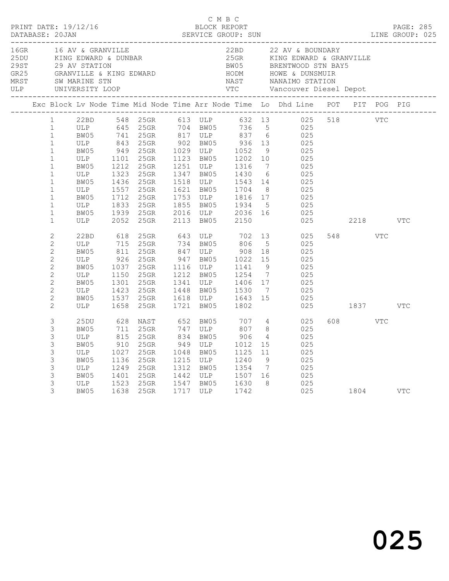|                                                                                                                                                                                                                   |                                                                                                                                     |                                                                          |                                                                                                                                      |      | C M B C                                                                                                                                             |                              |                                                    | PRINT DATE: 19/12/16<br>BLOCK REPORT BLOCK PRESS BLOOCK PRESS DATABASE: 20JAN SERVICE GROUP: SUN LINE GROUP: 025                                                                                                                                                                                      |          |            |            |  |
|-------------------------------------------------------------------------------------------------------------------------------------------------------------------------------------------------------------------|-------------------------------------------------------------------------------------------------------------------------------------|--------------------------------------------------------------------------|--------------------------------------------------------------------------------------------------------------------------------------|------|-----------------------------------------------------------------------------------------------------------------------------------------------------|------------------------------|----------------------------------------------------|-------------------------------------------------------------------------------------------------------------------------------------------------------------------------------------------------------------------------------------------------------------------------------------------------------|----------|------------|------------|--|
|                                                                                                                                                                                                                   |                                                                                                                                     |                                                                          |                                                                                                                                      |      |                                                                                                                                                     |                              |                                                    | 16GR 16 AV & GRANVILLE 22BD 22 AV & BOUNDARY<br>25DU KING EDWARD & DUNBAR 25GR KING EDWARD & GRANVILLE<br>29 AV STATION BW05 BRENTWOOD STN BAY5<br>GR25 GRANVILLE & KING EDWARD HODM HOWE & DUNSMUIR<br>MRST SW_MARINE_STN NAST NANAIM                                                                |          |            |            |  |
|                                                                                                                                                                                                                   |                                                                                                                                     |                                                                          |                                                                                                                                      |      |                                                                                                                                                     |                              |                                                    | Exc Block Lv Node Time Mid Node Time Arr Node Time Lo Dhd Line POT PIT POG PIG                                                                                                                                                                                                                        |          |            |            |  |
| 1<br>$\mathbf{1}$<br>$\mathbf{1}$<br>$\mathbf{1}$<br>$\mathbf{1}$<br>$\mathbf{1}$<br>$\mathbf{1}$<br>$\mathbf{1}$<br>$\mathbf{1}$<br>$\mathbf{1}$<br>$\mathbf{1}$<br>$\mathbf{1}$<br>$\mathbf{1}$<br>$\mathbf{1}$ | ULP 1101 25GR<br>BW05 1212 25GR<br>ULP<br>BW05<br>ULP<br>BW05<br>$\begin{array}{c}\n\hline\nL' \\ \hline\nBW05 \\ ULP\n\end{array}$ | 2052                                                                     | 1323 25GR<br>1436 25GR<br>1557 25GR<br>1712 25GR<br>1833 25GR<br>1939 25GR<br>25GR                                                   | 2113 | 1123 BW05 1202 10<br>1251 ULP 1316 7<br>1621 BW05 1704 8<br>1753 ULP 1816 17<br>1855 BW05 1934 5<br>2016 ULP 2036 16<br>BW05                        | 2150                         |                                                    | 22BD 548 25GR 613 ULP 632 13 025 518 VTC<br>ULP 645 25GR 704 BW05 736 5 025<br>BW05 741 25GR 817 ULP 837 6 025<br>ULP 843 25GR 902 BW05 936 13 025<br>BW05 949 25GR 1029 ULP 1052 9 025<br>025<br>025<br>1347 BW05 1430 6 025<br>1518 ULP 1543 14 025<br>$025$<br>$025$<br>$025$<br>$025$<br>025 2218 |          |            | <b>VTC</b> |  |
| $\overline{c}$<br>$\overline{2}$<br>$\overline{c}$<br>$\mathbf{2}$<br>$\overline{2}$<br>$\mathbf{2}$<br>$\overline{c}$<br>$\overline{2}$<br>$\overline{c}$<br>$\overline{c}$                                      | 22BD<br>ULP<br>BW05 811<br>ULP 926<br>BW05<br>ULP<br>BW05<br>ULP<br>BW05<br>ULP                                                     | 618<br>715<br>1150<br>1658                                               | 25GR 643 ULP 702<br>25GR 734 BW05 806<br>25GR<br>25GR<br>1037 25GR<br>25GR<br>1301 25GR<br>1423 25GR<br>1537 25GR<br>25GR            |      | 847 ULP 908 18<br>947 BW05 1022 15<br>1116 ULP 1141<br>1212 BW05 1254<br>1341 ULP 1406 17<br>1448 BW05 1530 7<br>1618 ULP 1643 15<br>1721 BW05 1802 |                              | 5 <sup>5</sup><br>9<br>$\overline{7}$              | 13 025<br>025<br>025<br>025<br>025<br>025<br>025<br>025<br>025                                                                                                                                                                                                                                        | 025 1837 | <b>VTC</b> | VTC        |  |
| 3<br>3<br>3<br>3<br>3<br>3<br>3<br>3<br>3<br>3                                                                                                                                                                    | 25DU<br>BW05<br>ULP<br>BW05<br>ULP<br>BW05<br>ULP<br>BW05<br>ULP<br>BW05<br>BW05                                                    | 628<br>711<br>815<br>910<br>1027<br>1136<br>1249<br>1249<br>1401<br>1523 | NAST 652 BW05<br>25GR<br>25GR<br>$25$ GR<br>25GR<br>25GR<br>25GR<br>25GR<br>25GR 1547 BW05 1630 8<br>25GR 1717 ULP 1742<br>1638 25GR |      | 747 ULP 807<br>834 BW05<br>$949$ ULP $1012$<br>1048 BW05<br>1215 ULP<br>1312 BW05 1354 7<br>1442 ULP 1507 16                                        | 707 4<br>906<br>1125<br>1240 | 8 <sup>8</sup><br>$4\overline{4}$<br>15<br>11<br>9 | 025<br>025<br>025<br>025<br>025<br>025<br>025<br>025<br>025<br>025 1804 VTC                                                                                                                                                                                                                           | 608 VTC  |            |            |  |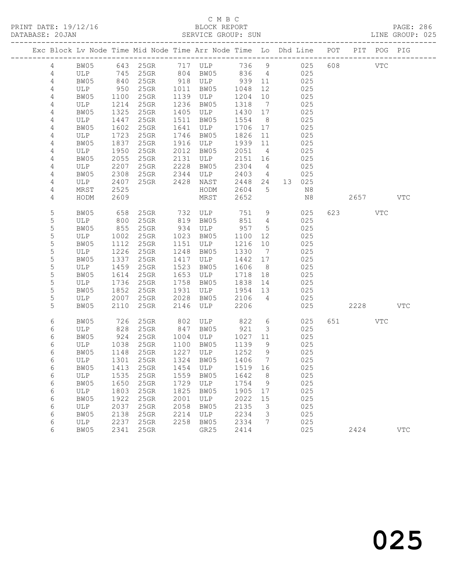#### C M B C<br>BLOCK REPORT SERVICE GROUP: SUN

| Exc Block Lv Node Time Mid Node Time Arr Node Time Lo Dhd Line POT PIT POG PIG |             |              |                                 |              |                                |                 |                                   |               |         |            |
|--------------------------------------------------------------------------------|-------------|--------------|---------------------------------|--------------|--------------------------------|-----------------|-----------------------------------|---------------|---------|------------|
| $\overline{4}$                                                                 | BW05        |              | 643 25GR 717 ULP                |              |                                | 736 9           |                                   | 025           | 608 VTC |            |
| 4                                                                              | ULP         | 745          | 25GR                            |              | 804 BW05                       | 836 4           |                                   | 025           |         |            |
| 4                                                                              | BW05        | 840          | 25GR                            |              | 918 ULP                        | 939 11          |                                   | 025           |         |            |
| 4                                                                              | ULP         | 950          | 25GR                            | 1011         | BW05                           | 1048            | 12                                | 025           |         |            |
| $\overline{4}$                                                                 | BW05        | 1100         | 25GR                            |              | 1139 ULP                       | 1204            | 10                                | 025           |         |            |
| 4                                                                              | ULP         | 1214         | 25GR                            | 1236         | BW05                           | 1318            | $\overline{7}$                    | 025           |         |            |
| 4                                                                              | BW05        | 1325         | 25GR                            |              | 1405 ULP                       | 1430 17         |                                   | 025           |         |            |
| 4                                                                              | ULP         | 1447         | $25$ GR                         | 1511         | BW05                           | 1554            | 8 <sup>8</sup>                    | 025           |         |            |
| $\sqrt{4}$                                                                     | BW05        | 1602         | $25$ GR                         | 1641         | ULP                            | 1706 17         |                                   | 025           |         |            |
| $\overline{4}$                                                                 | ULP         | 1723         | $25$ GR                         | 1746         | BW05                           | 1826            | 11                                | 025           |         |            |
| 4                                                                              | BW05        | 1837         | 25GR                            | 1916         | ULP                            | 1939 11         |                                   | 025           |         |            |
| 4                                                                              | ULP         | 1950         | $25$ GR                         | 2012         | BW05                           | 2051            | $\overline{4}$                    | 025           |         |            |
| 4                                                                              | BW05        | 2055         | $25$ GR                         | 2131<br>2228 | ULP                            | 2151 16         |                                   | 025           |         |            |
| 4                                                                              | ULP         | 2207         | $25$ GR                         |              | BW05                           | 2304            | $\overline{4}$<br>$4\overline{ }$ | 025           |         |            |
| 4                                                                              | BW05        | 2308         | 25GR<br>25GR 2428               | 2344         | ULP                            | 2403            |                                   | 025<br>13 025 |         |            |
| 4<br>4                                                                         | ULP<br>MRST | 2407<br>2525 |                                 |              | NAST<br>HODM                   | 2448 24<br>2604 | $5\overline{)}$                   | N8            |         |            |
| 4                                                                              | HODM        | 2609         |                                 |              | MRST                           | 2652            |                                   | N8            | 2657    | VTC        |
|                                                                                |             |              |                                 |              |                                |                 |                                   |               |         |            |
| 5                                                                              | BW05        | 658          |                                 |              | 25GR 732 ULP 751               |                 | 9                                 | 025           | 623 VTC |            |
| 5                                                                              | ULP         | 800          | $25$ GR                         |              | 819 BW05                       | 851             | $\overline{4}$                    | 025           |         |            |
| $\mathsf S$                                                                    | BW05        | 855          | $25$ GR                         |              | 934 ULP                        | 957             | $5\phantom{.0}$                   | 025           |         |            |
| 5                                                                              | ULP         | 1002         | 25GR                            | 1023         | BW05                           | 1100            | 12                                | 025           |         |            |
| $\mathsf S$                                                                    | BW05        | 1112         | 25GR                            |              | 1151 ULP                       | 1216            | 10                                | 025           |         |            |
| 5                                                                              | ULP         | 1226         | $25$ GR                         | 1248         | BW05                           | 1330            | $\overline{7}$                    | 025           |         |            |
| $\mathsf S$                                                                    | BW05        | 1337         | $25$ GR                         | 1417         | ULP                            | 1442 17         |                                   | 025           |         |            |
| $\mathsf S$                                                                    | ULP         | 1459         | 25GR                            | 1523         | BW05                           | 1606            | 8 <sup>8</sup>                    | 025           |         |            |
| $\mathsf S$                                                                    | BW05        | 1614         | $25$ GR                         | 1653         | ULP                            | 1718            | 18                                | 025           |         |            |
| 5                                                                              | ULP         | 1736         | $25$ GR                         | 1758         | BW05                           | 1838            | 14                                | 025           |         |            |
| $\mathsf S$                                                                    | BW05        | 1852         | $25$ GR                         | 1931         | ULP                            | 1954 13         |                                   | 025           |         |            |
| 5                                                                              | ULP         | 2007         | 25GR                            | 2028         | BW05                           | 2106            | $\overline{4}$                    | 025           |         |            |
| 5                                                                              | BW05        | 2110         | 25GR                            | 2146         | ULP                            | 2206            |                                   | 025           | 2228    | <b>VTC</b> |
| 6                                                                              | BW05        | 726          | $25$ GR                         |              | 802 ULP<br>847 BW05<br>ULP 822 |                 | $6\overline{6}$                   | 025           | 651 VTC |            |
| 6                                                                              | ULP         | 828          | 25GR                            |              |                                | 921             | $\mathcal{S}$                     | 025           |         |            |
| 6                                                                              | BW05        | 924          | $25$ GR                         | 1004         | ULP                            | 1027            | 11                                | 025           |         |            |
| 6                                                                              | ULP         | 1038         | 25GR                            | 1100         | BW05                           | 1139            | 9                                 | 025           |         |            |
| 6                                                                              | BW05        | 1148         | 25GR                            |              | 1227 ULP                       | 1252            | 9                                 | 025           |         |            |
| 6                                                                              | ULP         | 1301         | 25GR                            |              | 1324 BW05                      | 1406            | $\overline{7}$                    | 025           |         |            |
| 6                                                                              |             |              | BW05 1413 25GR 1454 ULP 1519 16 |              |                                |                 |                                   | 025           |         |            |
| 6                                                                              | ULP         | 1535         | 25GR                            | 1559         | BW05                           | 1642            | 8 <sup>8</sup>                    | 025           |         |            |
| 6                                                                              | BW05        | 1650         | 25GR                            | 1729         | ULP                            | 1754            | $\overline{9}$                    | 025           |         |            |
| 6                                                                              | ULP         | 1803         | 25GR                            | 1825         | BW05                           | 1905            | 17                                | 025           |         |            |
| 6                                                                              | BW05        | 1922         | 25GR                            | 2001         | ULP                            | 2022            | 15                                | 025           |         |            |
| 6                                                                              | ULP         | 2037         | 25GR                            | 2058         | BW05                           | 2135            | 3                                 | 025           |         |            |
| 6                                                                              | BW05        | 2138         | 25GR                            | 2214         | ULP                            | 2234            | 3                                 | 025           |         |            |
| 6                                                                              | ULP         | 2237         | 25GR                            | 2258         | BW05                           | 2334            | $7\phantom{.}$                    | 025           |         |            |

6 BW05 2341 25GR GR25 2414 025 2424 VTC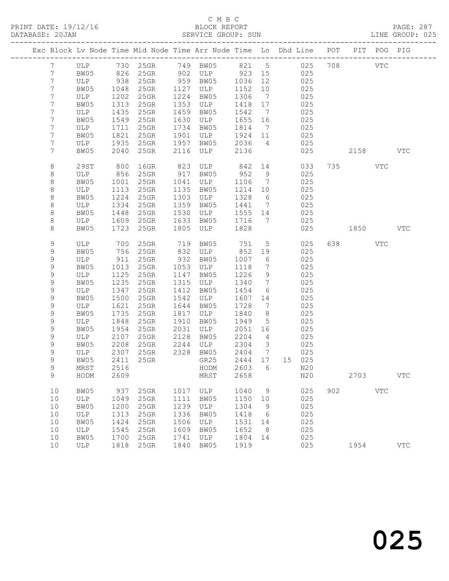#### C M B C<br>BLOCK REPORT SERVICE GROUP: SUN

|  |                                   |             |              | Exc Block Lv Node Time Mid Node Time Arr Node Time Lo Dhd Line POT PIT POG PIG |              |                 |              |                              |                              |         |     |            |
|--|-----------------------------------|-------------|--------------|--------------------------------------------------------------------------------|--------------|-----------------|--------------|------------------------------|------------------------------|---------|-----|------------|
|  | $7\overline{ }$                   |             |              | ULP 730 25GR 749 BW05 821 5 025                                                |              |                 |              |                              |                              | 708 VTC |     |            |
|  | $7\phantom{.0}$                   | BW05        |              | 826 25GR                                                                       |              | 902 ULP 923 15  |              |                              | 025                          |         |     |            |
|  | $7\phantom{.0}$                   | ULP         | 938          | 25GR                                                                           |              | 959 BW05        | 1036         | 12                           | 025                          |         |     |            |
|  | $7\phantom{.0}$<br>$7\phantom{.}$ | BW05<br>ULP | 1048<br>1202 | $25$ GR<br>$25$ GR                                                             | 1127<br>1224 | ULP<br>BW05     | 1152<br>1306 | 10<br>$\overline{7}$         | 025<br>025                   |         |     |            |
|  | 7                                 | BW05        | 1313         | $25$ GR                                                                        | 1353         | ULP             | 1418         | 17                           | 025                          |         |     |            |
|  | $7\phantom{.}$                    | ULP         | 1435         | 25GR                                                                           | 1459         | BW05            | 1542         | $\overline{7}$               | 025                          |         |     |            |
|  | 7                                 | BW05        | 1549         | 25GR                                                                           | 1630         | ULP             | 1655         | 16                           | 025                          |         |     |            |
|  | 7                                 | ULP         | 1711         | $25$ GR                                                                        | 1734         | BW05            | 1814         | $\overline{7}$               | 025                          |         |     |            |
|  | $7\phantom{.}$                    | BW05        | 1821         | $25$ GR                                                                        | 1901         | ULP             | 1924         | 11                           | 025                          |         |     |            |
|  | 7                                 | ULP         | 1935         | 25GR                                                                           | 1957         | BW05            | 2036         | $\overline{4}$               | 025                          |         |     |            |
|  | 7                                 | BW05        | 2040         | 25GR                                                                           | 2116         | ULP             | 2136         |                              | 025                          | 2158    |     | <b>VTC</b> |
|  | 8                                 | 29ST        | 800          | $16$ GR                                                                        | 823          | ULP             | 842          |                              | 14 and $\overline{a}$<br>033 | 735     | VTC |            |
|  | 8                                 | ULP         | 856          | $25$ GR                                                                        | 917          | BW05            | 952          | 9                            | 025                          |         |     |            |
|  | 8                                 | BW05        | 1001         | $25$ GR                                                                        | 1041         | ULP             | 1106         | $\overline{7}$               | 025                          |         |     |            |
|  | 8                                 | ULP         | 1113         | 25GR                                                                           | 1135         | BW05            | 1214         | 10                           | 025                          |         |     |            |
|  | 8                                 | BW05        | 1224         | 25GR                                                                           | 1303         | ULP             | 1328         | $6\overline{6}$              | 025                          |         |     |            |
|  | 8<br>8                            | ULP<br>BW05 | 1334<br>1448 | $25$ GR<br>25GR                                                                | 1359<br>1530 | BW05<br>ULP     | 1441<br>1555 | $\overline{7}$<br>14         | 025<br>025                   |         |     |            |
|  | 8                                 | ULP         | 1609         | 25GR                                                                           | 1633         | BW05            | 1716         | $\overline{7}$               | 025                          |         |     |            |
|  | 8                                 | BW05        | 1723         | $25$ GR                                                                        | 1805         | ULP             | 1828         |                              | 025                          | 1850    |     | <b>VTC</b> |
|  |                                   |             |              |                                                                                |              |                 |              |                              |                              |         |     |            |
|  | 9                                 | ULP         | 700          | 25GR                                                                           | 719          | BW05            | 751          | $5\overline{)}$              | 025                          | 638 8   | VTC |            |
|  | 9<br>9                            | BW05        | 756<br>911   | 25GR                                                                           | 832<br>932   | ULP<br>BW05     | 852<br>1007  | 19<br>$6\overline{6}$        | 025<br>025                   |         |     |            |
|  | 9                                 | ULP<br>BW05 | 1013         | $25$ GR<br>$25$ GR                                                             | 1053         | ULP             | 1118         | $7\phantom{.0}\phantom{.0}7$ | 025                          |         |     |            |
|  | 9                                 | ULP         | 1125         | $25$ GR                                                                        | 1147         | BW05            | 1226         | 9                            | 025                          |         |     |            |
|  | 9                                 | BW05        | 1235         | 25GR                                                                           | 1315         | ULP             | 1340         | $7\phantom{.0}\phantom{.0}7$ | 025                          |         |     |            |
|  | $\mathsf 9$                       | ULP         | 1347         | $25$ GR                                                                        | 1412         | BW05            | 1454         | 6                            | 025                          |         |     |            |
|  | 9                                 | BW05        | 1500         | 25GR                                                                           | 1542         | ULP             | 1607         | 14                           | 025                          |         |     |            |
|  | 9                                 | ULP         | 1621         | $25$ GR                                                                        | 1644         | BW05            | 1728         | $\overline{7}$               | 025                          |         |     |            |
|  | 9                                 | BW05        | 1735         | $25$ GR                                                                        | 1817         | ULP             | 1840         | 8                            | 025                          |         |     |            |
|  | 9                                 | ULP         | 1848         | $25$ GR                                                                        | 1910         | BW05            | 1949         | $5\overline{)}$              | 025                          |         |     |            |
|  | 9<br>9                            | BW05<br>ULP | 1954<br>2107 | 25GR<br>25GR                                                                   | 2031<br>2128 | ULP<br>BW05     | 2051<br>2204 | 16<br>$\overline{4}$         | 025<br>025                   |         |     |            |
|  | 9                                 | BW05        | 2208         | $25$ GR                                                                        | 2244         | ULP             | 2304         | $\overline{\mathbf{3}}$      | 025                          |         |     |            |
|  | 9                                 | ULP         | 2307         | 25GR                                                                           |              | 2328 BW05       | 2404         | $\overline{7}$               | 025                          |         |     |            |
|  | 9                                 | BW05        |              | 2411 25GR                                                                      |              | GR25            | 2444 17      |                              | 15 025                       |         |     |            |
|  | 9                                 | $\tt MRST$  |              | 2516 2516                                                                      |              | HODM 2603 6 N20 |              |                              |                              |         |     |            |
|  | 9                                 | HODM        | 2609         |                                                                                |              | MRST            | 2658         |                              | N20                          | 2703    |     | <b>VTC</b> |
|  | 10                                | BW05        | 937          | 25GR                                                                           | 1017         | ULP             | 1040         | 9                            | 025                          | 902     | VTC |            |
|  | 10                                | ULP         | 1049         | 25GR                                                                           | 1111         | BW05            | 1150         | 10                           | 025                          |         |     |            |
|  | 10                                | BW05        | 1200         | 25GR                                                                           | 1239         | ULP             | 1304         | 9                            | 025                          |         |     |            |
|  | 10                                | ULP         | 1313         | 25GR                                                                           | 1336         | BW05            | 1418         | $6\overline{6}$              | 025                          |         |     |            |
|  | 10<br>10                          | BW05        | 1424<br>1545 | 25GR<br>25GR                                                                   | 1506<br>1609 | ULP             | 1531<br>1652 | 14<br>8 <sup>8</sup>         | 025<br>025                   |         |     |            |
|  | 10                                | ULP<br>BW05 | 1700         | 25GR                                                                           | 1741         | BW05<br>ULP     | 1804         | 14                           | 025                          |         |     |            |
|  | 10                                | ULP         | 1818         | $25$ GR                                                                        | 1840         | BW05            | 1919         |                              | 025                          | 1954    |     | <b>VTC</b> |
|  |                                   |             |              |                                                                                |              |                 |              |                              |                              |         |     |            |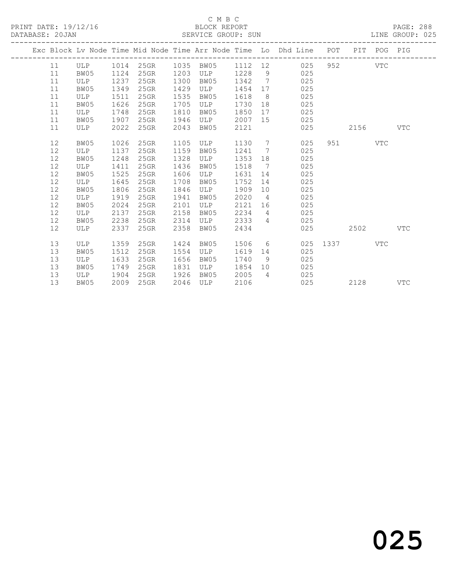#### C M B C<br>BLOCK REPORT SERVICE GROUP: SUN

|  |    |      |      |         |      |                |          |                | Exc Block Lv Node Time Mid Node Time Arr Node Time Lo Dhd Line POT PIT POG PIG |      |           |            |            |
|--|----|------|------|---------|------|----------------|----------|----------------|--------------------------------------------------------------------------------|------|-----------|------------|------------|
|  | 11 | ULP  | 1014 |         |      | 25GR 1035 BW05 | 1112  12 |                | 025                                                                            | 952  |           | <b>VTC</b> |            |
|  | 11 | BW05 | 1124 | 25GR    | 1203 | ULP            | 1228     |                | 9<br>025                                                                       |      |           |            |            |
|  | 11 | ULP  | 1237 | 25GR    | 1300 | BW05           | 1342     | $7\phantom{0}$ | 025                                                                            |      |           |            |            |
|  | 11 | BW05 | 1349 | 25GR    | 1429 | ULP            | 1454     | 17             | 025                                                                            |      |           |            |            |
|  | 11 | ULP  | 1511 | 25GR    | 1535 | BW05           | 1618     | 8 <sup>8</sup> | 025                                                                            |      |           |            |            |
|  | 11 | BW05 | 1626 | 25GR    | 1705 | ULP            | 1730     |                | 025                                                                            |      |           |            |            |
|  | 11 | ULP  | 1748 | 25GR    | 1810 | BW05           | 1850     |                | 025                                                                            |      |           |            |            |
|  | 11 | BW05 | 1907 | $25$ GR | 1946 | ULP            | 2007     |                | 025                                                                            |      |           |            |            |
|  | 11 | ULP  | 2022 | $25$ GR | 2043 | BW05           | 2121     |                | 025                                                                            |      | 2156      |            | VTC        |
|  | 12 | BW05 | 1026 | $25$ GR | 1105 | ULP            | 1130 7   |                | 025                                                                            |      | 951 — 100 | VTC        |            |
|  | 12 | ULP  | 1137 | 25GR    | 1159 | BW05           | 1241     | $\overline{7}$ | 025                                                                            |      |           |            |            |
|  | 12 | BW05 | 1248 | 25GR    | 1328 | ULP            | 1353     | 18             | 025                                                                            |      |           |            |            |
|  | 12 | ULP  | 1411 | $25$ GR | 1436 | BW05           | 1518     | 7              | 025                                                                            |      |           |            |            |
|  | 12 | BW05 | 1525 | $25$ GR | 1606 | ULP            | 1631     | 14             | 025                                                                            |      |           |            |            |
|  | 12 | ULP  | 1645 | 25GR    | 1708 | BW05           | 1752     | 14             | 025                                                                            |      |           |            |            |
|  | 12 | BW05 | 1806 | 25GR    | 1846 | ULP            | 1909     |                | 025<br>10                                                                      |      |           |            |            |
|  | 12 | ULP  | 1919 | 25GR    | 1941 | BW05           | 2020     | $\overline{4}$ | 025                                                                            |      |           |            |            |
|  | 12 | BW05 | 2024 | 25GR    | 2101 | ULP            | 2121     | 16             | 025                                                                            |      |           |            |            |
|  | 12 | ULP  | 2137 | $25$ GR | 2158 | BW05           | 2234     |                | 025<br>$\overline{4}$                                                          |      |           |            |            |
|  | 12 | BW05 | 2238 | 25GR    | 2314 | ULP            | 2333     | $\overline{4}$ | 025                                                                            |      |           |            |            |
|  | 12 | ULP  | 2337 | 25GR    | 2358 | BW05           | 2434     |                | 025                                                                            |      | 2502      |            | <b>VTC</b> |
|  | 13 | ULP  | 1359 | $25$ GR | 1424 | BW05           | 1506     | $6\degree$     | 025                                                                            | 1337 |           | VTC        |            |
|  | 13 | BW05 | 1512 | 25GR    | 1554 | ULP            | 1619     | 14             | 025                                                                            |      |           |            |            |
|  | 13 | ULP  | 1633 | $25$ GR | 1656 | BW05           | 1740     | 9              | 025                                                                            |      |           |            |            |
|  | 13 | BW05 | 1749 | 25GR    | 1831 | ULP            | 1854     | 10             | 025                                                                            |      |           |            |            |
|  | 13 | ULP  | 1904 | $25$ GR | 1926 | BW05           | 2005     | $\overline{4}$ | 025                                                                            |      |           |            |            |
|  | 13 | BW05 | 2009 | 25GR    | 2046 | ULP            | 2106     |                | 025                                                                            |      | 2128      |            | <b>VTC</b> |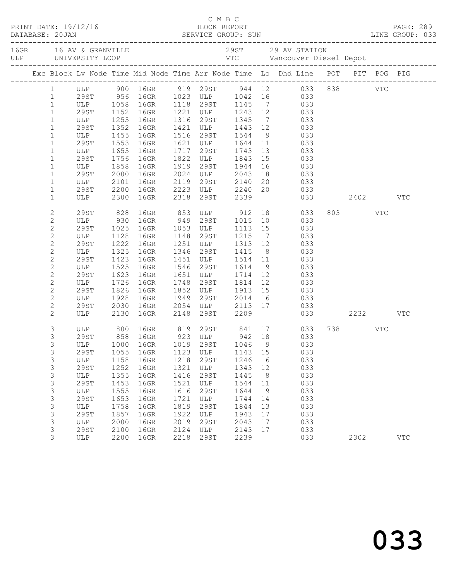|  |                |                                 |      |                               |      |                                       | C M B C<br>PRINT DATE: 19/12/16 BLOCK REPORT PAGE: 289<br>DATABASE: 20JAN SERVICE GROUP: SUN LINE GROUP: 033 |                 |                                                                                |         |     |
|--|----------------|---------------------------------|------|-------------------------------|------|---------------------------------------|--------------------------------------------------------------------------------------------------------------|-----------------|--------------------------------------------------------------------------------|---------|-----|
|  |                |                                 |      |                               |      |                                       |                                                                                                              |                 |                                                                                |         |     |
|  |                |                                 |      |                               |      |                                       |                                                                                                              |                 | Exc Block Lv Node Time Mid Node Time Arr Node Time Lo Dhd Line POT PIT POG PIG |         |     |
|  |                |                                 |      |                               |      |                                       |                                                                                                              |                 |                                                                                |         |     |
|  |                |                                 |      |                               |      |                                       |                                                                                                              |                 |                                                                                |         |     |
|  | $\mathbf{1}$   |                                 |      |                               |      |                                       |                                                                                                              |                 | ULP 1058 16GR 1118 29ST 1145 7 033                                             |         |     |
|  | $\mathbf{1}$   | 29ST 1152 16GR<br>ULP 1255 16GR |      |                               |      |                                       |                                                                                                              |                 | 1221 ULP 1243 12 033<br>1316 29ST 1345 7 033<br>1421 ULP 1443 12 033           |         |     |
|  | $\mathbf{1}$   |                                 |      |                               |      |                                       |                                                                                                              |                 |                                                                                |         |     |
|  | $\mathbf{1}$   | 29ST 1352                       |      | 16GR                          |      |                                       |                                                                                                              |                 |                                                                                |         |     |
|  | $\mathbf{1}$   | ULP                             |      | 1455 16GR                     |      | 1516 29ST 1544                        |                                                                                                              |                 | 9 033                                                                          |         |     |
|  | $\mathbf{1}$   | 29ST                            | 1553 | 16GR                          |      |                                       |                                                                                                              |                 |                                                                                |         |     |
|  | $\mathbf{1}$   | ULP<br>29ST                     | 1655 | 16GR                          |      |                                       |                                                                                                              |                 | 1621 ULP 1644 11 033<br>1717 29ST 1743 13 033<br>1822 ULP 1843 15 033<br>033   |         |     |
|  | $\mathbf{1}$   | 29ST                            |      | 1756 16GR                     |      |                                       |                                                                                                              |                 |                                                                                |         |     |
|  | $\mathbf{1}$   | ULP                             | 1858 | 16GR                          |      | 1919 29ST 1944                        |                                                                                                              | 16              | 033                                                                            |         |     |
|  | $\mathbf{1}$   | 29ST                            | 2000 | 16GR                          |      |                                       |                                                                                                              |                 |                                                                                |         |     |
|  | $\mathbf{1}$   | ULP                             |      | 2101 IOGR<br>2200 16GR        |      |                                       |                                                                                                              |                 | 2024 ULP 2043 18 033<br>2119 29ST 2140 20 033<br>2223 ULP 2240 20 033          |         |     |
|  | $\mathbf{1}$   | 29ST<br>ULP 2300 16GR           |      |                               |      | 2318 29ST 2339                        |                                                                                                              |                 | 033 2402 VTC                                                                   |         |     |
|  | $\mathbf 1$    |                                 |      |                               |      |                                       |                                                                                                              |                 |                                                                                |         |     |
|  | 2              |                                 |      | 29ST 828 16GR<br>ULP 930 16GR |      |                                       |                                                                                                              |                 | 16GR 853 ULP 912 18 033<br>16GR 949 29ST 1015 10 033                           | 803 VTC |     |
|  | $\mathbf{2}$   |                                 |      |                               |      |                                       |                                                                                                              |                 |                                                                                |         |     |
|  | $\mathbf{2}$   | 29ST                            | 1025 | 16GR                          |      |                                       |                                                                                                              |                 | 1053 ULP 1113 15 033                                                           |         |     |
|  | $\mathbf{2}$   | ULP                             | 1128 | 16GR                          |      | 1148  29ST  1215                      |                                                                                                              | $7\overline{)}$ | 033                                                                            |         |     |
|  | $\mathbf{2}$   | 29ST<br>ULP                     | 1222 | 16GR                          |      | 1251 ULP 1313 12<br>1346 29ST 1415 8  |                                                                                                              |                 | 033                                                                            |         |     |
|  | $\mathbf{2}$   |                                 |      | 1325 16GR                     | 1346 |                                       |                                                                                                              |                 | 033                                                                            |         |     |
|  | $\mathbf{2}$   | 29ST                            |      | 1423 16GR                     | 1451 | ULP 1514 11                           |                                                                                                              |                 | 033                                                                            |         |     |
|  | $\mathbf{2}$   | ULP                             | 1525 | 16GR                          |      | 1546 29ST 1614                        |                                                                                                              |                 | 9 033                                                                          |         |     |
|  | $\overline{c}$ | 29ST                            | 1623 | 16GR                          |      | 1651 ULP 1714 12<br>1748 29ST 1814 12 |                                                                                                              |                 | 033                                                                            |         |     |
|  | $\mathbf{2}$   | ULP                             | 1726 | 16GR                          |      |                                       |                                                                                                              |                 | 033                                                                            |         |     |
|  | $\mathbf{2}$   | 29ST                            |      | 1826 16GR                     |      | 1852 ULP 1913 15                      |                                                                                                              |                 | 033                                                                            |         |     |
|  | $\overline{c}$ | ULP                             | 1928 | 16GR                          |      |                                       |                                                                                                              |                 | 1949 29ST 2014 16 033                                                          |         |     |
|  | $\overline{c}$ | 29ST                            | 2030 | 16GR                          |      |                                       |                                                                                                              |                 | 2054 ULP 2113 17 033<br>2148 29ST 2209 033                                     |         |     |
|  | $\overline{2}$ | ULP                             |      | 2130 16GR                     |      |                                       |                                                                                                              |                 | 033 2232                                                                       |         | VTC |
|  | 3              |                                 |      |                               |      |                                       |                                                                                                              |                 | ULP 800 16GR 819 29ST 841 17 033                                               | 738 VTC |     |
|  | 3              | 29ST                            |      |                               |      |                                       |                                                                                                              |                 | 858 16GR 923 ULP 942 18 033                                                    |         |     |
|  | 3              |                                 |      |                               |      |                                       |                                                                                                              |                 | ULP 1000 16GR 1019 29ST 1046 9 033                                             |         |     |
|  | 3              | 29ST                            | 1055 | 16GR                          | 1123 | ULP                                   | 1143                                                                                                         | 15              | 033                                                                            |         |     |
|  | 3              | ULP                             | 1158 | 16GR                          | 1218 | 29ST                                  | 1246                                                                                                         | 6               | 033                                                                            |         |     |
|  | 3              | <b>29ST</b>                     | 1252 | 16GR                          | 1321 | ULP                                   | 1343                                                                                                         | 12              | 033                                                                            |         |     |
|  | 3              | ULP                             | 1355 | 16GR                          | 1416 | <b>29ST</b>                           | 1445                                                                                                         | 8               | 033                                                                            |         |     |
|  | 3              | <b>29ST</b>                     | 1453 | 16GR                          | 1521 | ULP                                   | 1544                                                                                                         | 11              | 033                                                                            |         |     |
|  | 3              | ULP                             | 1555 | 16GR                          | 1616 | 29ST                                  | 1644                                                                                                         | 9               | 033                                                                            |         |     |
|  | 3              | 29ST                            | 1653 | 16GR                          | 1721 | ULP                                   | 1744                                                                                                         | 14              | 033                                                                            |         |     |
|  | 3              | ULP                             | 1758 | 16GR                          | 1819 | 29ST                                  | 1844                                                                                                         | 13              | 033                                                                            |         |     |
|  | 3              | <b>29ST</b>                     | 1857 | 16GR                          | 1922 | ULP                                   | 1943                                                                                                         | 17              | 033                                                                            |         |     |
|  | 3              | ULP                             | 2000 | 16GR                          | 2019 | 29ST                                  | 2043                                                                                                         | 17              | 033                                                                            |         |     |
|  | 3              | 29ST                            | 2100 | 16GR                          | 2124 | ULP                                   | 2143                                                                                                         | 17              | 033                                                                            |         |     |
|  | 3              | ULP                             | 2200 | 16GR                          | 2218 | 29ST                                  | 2239                                                                                                         |                 | 033                                                                            | 2302    | VTC |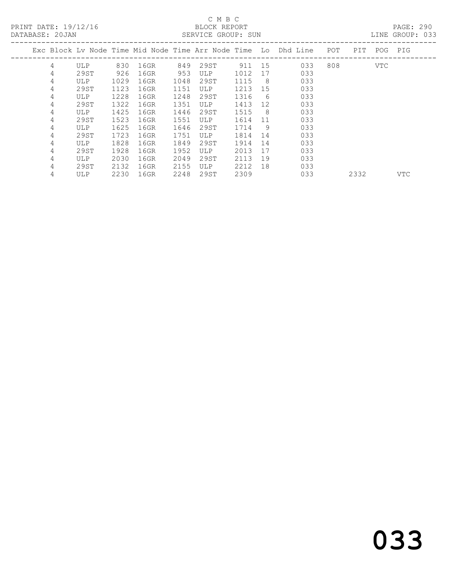PRINT DATE: 19/12/16 BLOCK REPORT PAGE: 290

#### C M B C<br>BLOCK REPORT SERVICE GROUP: SUN

|   |            |      |      |      |            |      |    | Exc Block Lv Node Time Mid Node Time Arr Node Time Lo Dhd Line | POT | PIT  | POG        | PIG        |  |
|---|------------|------|------|------|------------|------|----|----------------------------------------------------------------|-----|------|------------|------------|--|
| 4 | <b>ULP</b> | 830  | 16GR | 849  | 29ST       | 911  | 15 | 033                                                            | 808 |      | <b>VTC</b> |            |  |
| 4 | 29ST       | 926  | 16GR | 953  | <b>ULP</b> | 1012 | 17 | 033                                                            |     |      |            |            |  |
| 4 | <b>ULP</b> | 1029 | 16GR | 1048 | 29ST       | 1115 | 8  | 033                                                            |     |      |            |            |  |
| 4 | 29ST       | 1123 | 16GR | 1151 | <b>ULP</b> | 1213 | 15 | 033                                                            |     |      |            |            |  |
| 4 | ULP        | 1228 | 16GR | 1248 | 29ST       | 1316 | 6  | 033                                                            |     |      |            |            |  |
| 4 | 29ST       | 1322 | 16GR | 1351 | <b>ULP</b> | 1413 | 12 | 033                                                            |     |      |            |            |  |
| 4 | ULP        | 1425 | 16GR | 1446 | 29ST       | 1515 | -8 | 033                                                            |     |      |            |            |  |
| 4 | 29ST       | 1523 | 16GR | 1551 | ULP        | 1614 | 11 | 033                                                            |     |      |            |            |  |
| 4 | ULP        | 1625 | 16GR | 1646 | 29ST       | 1714 | 9  | 033                                                            |     |      |            |            |  |
| 4 | 29ST       | 1723 | 16GR | 1751 | ULP        | 1814 | 14 | 033                                                            |     |      |            |            |  |
| 4 | ULP        | 1828 | 16GR | 1849 | 29ST       | 1914 | 14 | 033                                                            |     |      |            |            |  |
| 4 | 29ST       | 1928 | 16GR | 1952 | <b>ULP</b> | 2013 | 17 | 033                                                            |     |      |            |            |  |
| 4 | <b>ULP</b> | 2030 | 16GR | 2049 | 29ST       | 2113 | 19 | 033                                                            |     |      |            |            |  |
| 4 | 29ST       | 2132 | 16GR | 2155 | ULP        | 2212 | 18 | 033                                                            |     |      |            |            |  |
| 4 | <b>ULP</b> | 2230 | 16GR | 2248 | 29ST       | 2309 |    | 033                                                            |     | 2332 |            | <b>VTC</b> |  |
|   |            |      |      |      |            |      |    |                                                                |     |      |            |            |  |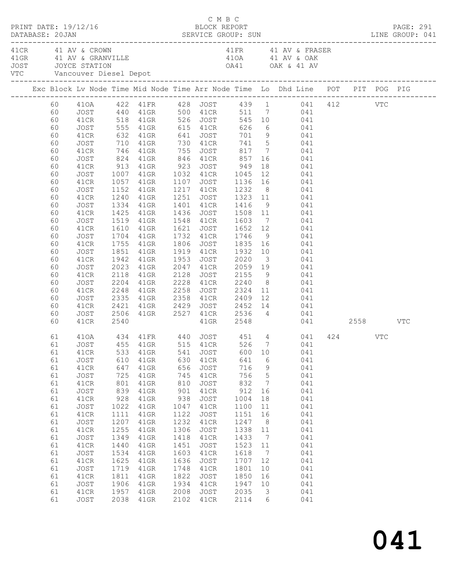| PRINT DATE: 19/12/16                                                                                                                                     |                                                                                                                                                                                                       |                                                                                                                                                       |                                                                                                                                                                       |                                                                                                                                                       | C M B C<br>BLOCK REPORT                                                                                                                                      |                                                                                                                                                        |                                                                                                                                                                                                                                |                                                                                                                                                                                                                                                                                                                                                                                                                                                                                                                                                                                                                                                                                                                                                                                                                             |  |  | PAGE: 291 |
|----------------------------------------------------------------------------------------------------------------------------------------------------------|-------------------------------------------------------------------------------------------------------------------------------------------------------------------------------------------------------|-------------------------------------------------------------------------------------------------------------------------------------------------------|-----------------------------------------------------------------------------------------------------------------------------------------------------------------------|-------------------------------------------------------------------------------------------------------------------------------------------------------|--------------------------------------------------------------------------------------------------------------------------------------------------------------|--------------------------------------------------------------------------------------------------------------------------------------------------------|--------------------------------------------------------------------------------------------------------------------------------------------------------------------------------------------------------------------------------|-----------------------------------------------------------------------------------------------------------------------------------------------------------------------------------------------------------------------------------------------------------------------------------------------------------------------------------------------------------------------------------------------------------------------------------------------------------------------------------------------------------------------------------------------------------------------------------------------------------------------------------------------------------------------------------------------------------------------------------------------------------------------------------------------------------------------------|--|--|-----------|
|                                                                                                                                                          |                                                                                                                                                                                                       |                                                                                                                                                       |                                                                                                                                                                       |                                                                                                                                                       |                                                                                                                                                              |                                                                                                                                                        | DATABASE: 20JAN SERVICE GROUP: SUN LINE GROUP: 041                                                                                                                                                                             |                                                                                                                                                                                                                                                                                                                                                                                                                                                                                                                                                                                                                                                                                                                                                                                                                             |  |  |           |
| 41 CR 41 AV & CROWN<br>41 CA 41 AV & GRANVILLE<br>11 AV & GRANVILLE<br>11 JOYCE STATION<br>12 OA41 OAK & 41 AV                                           |                                                                                                                                                                                                       |                                                                                                                                                       |                                                                                                                                                                       |                                                                                                                                                       |                                                                                                                                                              |                                                                                                                                                        |                                                                                                                                                                                                                                | 41 FR 41 AV & FRASER                                                                                                                                                                                                                                                                                                                                                                                                                                                                                                                                                                                                                                                                                                                                                                                                        |  |  |           |
| Exc Block Lv Node Time Mid Node Time Arr Node Time Lo Dhd Line POT PIT POG PIG                                                                           |                                                                                                                                                                                                       |                                                                                                                                                       |                                                                                                                                                                       |                                                                                                                                                       |                                                                                                                                                              |                                                                                                                                                        |                                                                                                                                                                                                                                |                                                                                                                                                                                                                                                                                                                                                                                                                                                                                                                                                                                                                                                                                                                                                                                                                             |  |  |           |
| 60<br>60<br>60<br>60<br>60<br>60<br>60<br>60<br>60<br>60<br>60<br>60<br>60<br>60<br>60<br>60<br>60<br>60<br>60<br>60<br>60<br>60<br>60<br>60<br>60<br>60 | JOST<br>41CR<br>JOST<br>41 CR<br>JOST<br>41CR<br>JOST<br>41CR<br>JOST<br>41CR<br>JOST<br>41CR<br>JOST<br>41CR<br>JOST<br>41CR<br>JOST<br>41CR<br>JOST<br>41CR<br>JOST<br>41CR<br>JOST<br>41CR<br>41CR | 1942<br>2540                                                                                                                                          | 824 41GR 846 41CR<br>1519 41GR<br>1851 41GR<br>41GR<br>2023 41GR<br>2118 41GR<br>2204 41GR                                                                            | 1953                                                                                                                                                  | 2228 41CR 2240<br>41GR 2548                                                                                                                                  | 857                                                                                                                                                    |                                                                                                                                                                                                                                | 410A 422 41FR 428 JOST 439 1 041 412 VTC<br>60 JOST 440 41GR 500 41CR 511 7 041<br>60 41CR 518 41GR 526 JOST 545 10 041<br>555 41GR 615 41CR 626 6 041<br>16 041<br>913 41GR 923 JOST 949 18 041<br>1007 41GR 1032 41CR 1045 12 041<br>1057 41GR 1107 JOST 1136 16 041<br>1152 41GR 1217 41CR 1232 8 041<br>1240 41GR 1251 JOST 1323 11 041<br>1334 41GR 1401 41CR 1416 9 041<br>1425 41GR 1436 JOST 1508 11 041<br>1548 41CR 1603 7 041<br>1610 41GR 1621 JOST 1652 12 041<br>1704 41GR 1732 41CR 1746 9 041<br>1755 41GR 1806 JOST 1835 16 041<br>1919 41CR 1932 10 041<br>1953 JOST 2020 3 041<br>2047 41CR 2059 19 041<br>2128 JOST 2155 9 041<br>8 041<br>2248 41GR 2258 JOST 2324 11 041<br>2335 41GR 2358 41CR 2409 12 041<br>2421 41GR 2429 JOST 2452 14 041<br>JOST 2506 41GR 2527 41CR 2536 4 041<br>041 2558 VTC |  |  |           |
| 61<br>61<br>61<br>61<br>61<br>61<br>61<br>61<br>61<br>61<br>61<br>61<br>61<br>61<br>61<br>61<br>61<br>61<br>61<br>61<br>61                               | 41CR<br>JOST<br>41CR<br>JOST<br>41CR<br>JOST<br>41CR<br>JOST<br>41CR<br>JOST<br>41CR<br>JOST<br>41CR<br>JOST<br>41CR<br>JOST<br>41CR<br>JOST<br>41CR<br>JOST                                          | 533<br>610<br>647<br>725<br>801<br>839<br>928<br>1022<br>1111<br>1207<br>1255<br>1349<br>1440<br>1534<br>1625<br>1719<br>1811<br>1906<br>1957<br>2038 | 41GR<br>41GR<br>41GR<br>$41$ GR<br>41GR<br>$41$ GR<br>41GR<br>$41$ GR<br>41GR<br>41GR<br>41GR<br>41GR<br>41GR<br>41GR<br>41GR<br>41GR<br>41GR<br>41GR<br>41GR<br>41GR | 541<br>630<br>656<br>745<br>810<br>901<br>938<br>1047<br>1122<br>1232<br>1306<br>1418<br>1451<br>1603<br>1636<br>1748<br>1822<br>1934<br>2008<br>2102 | JOST<br>41CR<br>JOST<br>41CR<br>JOST<br>41CR<br>JOST<br>41CR<br>JOST<br>41CR<br>JOST<br>41CR<br>JOST<br>41CR<br>JOST<br>41CR<br>JOST<br>41CR<br>JOST<br>41CR | 600<br>641<br>716<br>756<br>832<br>912<br>1004<br>1100<br>1151<br>1247<br>1338<br>1433<br>1523<br>1618<br>1707<br>1801<br>1850<br>1947<br>2035<br>2114 | 10<br>6<br>$\overline{9}$<br>$5\phantom{.0}$<br>$\overline{7}$<br>16<br>18<br>11<br>16<br>8 <sup>8</sup><br>11<br>$7\phantom{.0}\phantom{.0}7$<br>11<br>$\overline{7}$<br>12<br>10<br>16<br>10<br>$\overline{\mathbf{3}}$<br>6 | 410A 434 41FR 440 JOST 451 4 041 424 VTC<br>61 JOST 455 41GR 515 41CR 526 7 041<br>041<br>041<br>041<br>041<br>041<br>041<br>041<br>041<br>041<br>041<br>041<br>041<br>041<br>041<br>041<br>041<br>041<br>041<br>041<br>041                                                                                                                                                                                                                                                                                                                                                                                                                                                                                                                                                                                                 |  |  |           |

# 041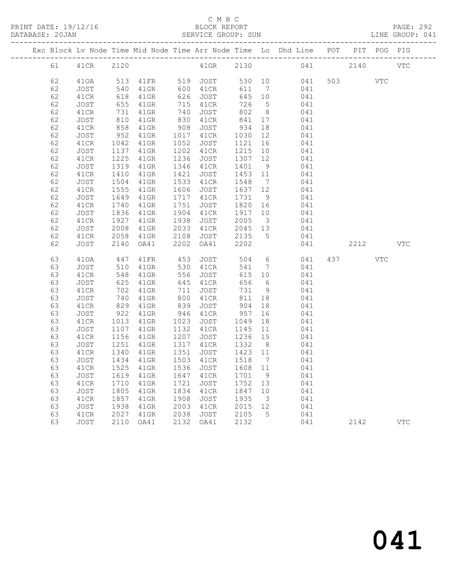## C M B C<br>BLOCK REPORT

|    |           |              |                        |            |                      |        |               |                                                                                             |      | PAGE: 292<br>LINE GROUP: 041 |              |
|----|-----------|--------------|------------------------|------------|----------------------|--------|---------------|---------------------------------------------------------------------------------------------|------|------------------------------|--------------|
|    |           |              |                        |            |                      |        |               | Exc Block Lv Node Time Mid Node Time Arr Node Time Lo Dhd Line POT PIT POG PIG              |      |                              |              |
| 61 | 41CR 2120 |              |                        |            |                      |        |               | 41GR 2130 041 2140                                                                          |      |                              | <b>VTC</b>   |
| 62 |           |              | 410A 513 41FR 519 JOST |            |                      |        |               | 530 10 041 503 VTC                                                                          |      |                              |              |
| 62 | JOST      | 540          |                        |            | 41GR 600 41CR        |        |               | 611 7 041                                                                                   |      |                              |              |
| 62 | 41CR      | 618          | 41GR 626               |            | JOST                 |        |               | 645 10 041                                                                                  |      |                              |              |
| 62 | JOST      | 655<br>731   | 41GR                   |            | 715 41CR<br>740 JOST | 726    |               | $\begin{array}{ccc} 5 & 041 \\ 8 & 041 \end{array}$                                         |      |                              |              |
| 62 | 41CR      |              | 41GR                   | 740        | 4⊥CR<br>JOST         | 802    |               |                                                                                             |      |                              |              |
| 62 | JOST      | 810          | 41GR                   |            | 830 41CR             |        |               | 841 17 041                                                                                  |      |                              |              |
| 62 | 41CR      | 858          | $41$ GR                | 908        | JOST 934             |        |               | 18 041                                                                                      |      |                              |              |
| 62 | JOST      | 952<br>1042  | $41$ GR                |            | 1017 41CR            |        |               | 1030 12 041<br>1121 16 041                                                                  |      |                              |              |
| 62 | 41CR      |              | $41$ GR                | 1052       | JOST                 |        |               |                                                                                             |      |                              |              |
| 62 | JOST      | 1137         | 41GR                   |            | 1202 41CR            |        |               | $1215$ 10 041                                                                               |      |                              |              |
| 62 | 41CR      | 1225         | 41GR                   | 1236       |                      |        |               | JOST 1307 12 041                                                                            |      |                              |              |
| 62 | JOST      | 1319<br>1410 | $41$ GR                |            | 1346 41CR            |        |               | $\begin{array}{cccc} 1401 & 9 & & 041 \\ 1453 & 11 & & 041 \\ 1548 & 7 & & 041 \end{array}$ |      |                              |              |
| 62 | 41CR      |              | $41$ GR                | 1421       | JOST                 |        |               |                                                                                             |      |                              |              |
| 62 | JOST      | 1504         | $41$ GR                |            | 1533 41CR            |        |               |                                                                                             |      |                              |              |
| 62 | 41CR      | 1555         | $41$ GR                |            |                      |        |               | 1606 JOST 1637 12 041                                                                       |      |                              |              |
| 62 | JOST      | 1649<br>1740 | $41$ GR                |            | 1717 41CR            |        |               | 1731 9 041<br>1820 16 041                                                                   |      |                              |              |
| 62 | 41CR      |              | 41GR                   | 1751       | JOST                 |        |               |                                                                                             |      |                              |              |
| 62 | JOST      | 1836         | $41$ GR                |            | 1904 41CR            |        |               | $1917$ $10$ $041$                                                                           |      |                              |              |
| 62 | 41CR      | 1927         | $41$ GR                | 1938       | JOST                 | 2005   |               | 3 041                                                                                       |      |                              |              |
| 62 | JOST      | 2008         | $41$ GR                | 2033       | 41CR                 |        |               | 2045 13 041                                                                                 |      |                              |              |
| 62 | 41CR      | 2058         | 41GR                   | 2108       | JOST                 | 2135 5 |               | 041                                                                                         |      |                              |              |
| 62 | JOST      | 2140         | OA41                   | 2202       | OA41                 | 2202   |               | 041                                                                                         | 2212 |                              | $_{\rm VTC}$ |
| 63 | 410A      | 447          | $41\mathrm{FR}$        | 453        | JOST                 | 504    |               | 6 041                                                                                       | 437  | VTC                          |              |
| 63 | JOST      | 510<br>548   | 41GR                   |            | 41CR<br>JOST         |        |               | $\begin{array}{ccccc} 541 & 7 & & 041 \\ 615 & 10 & & 041 \end{array}$                      |      |                              |              |
| 63 | 41CR      |              | $41$ GR                | 556        |                      |        |               |                                                                                             |      |                              |              |
| 63 | JOST      | 625          | 41GR                   |            | 645 41CR             |        |               | 656 6 041                                                                                   |      |                              |              |
| 63 | 41CR      | 702          | $41$ GR                | 711        | JOST                 | 731    |               | 9 041                                                                                       |      |                              |              |
| 63 | JOST      | 740<br>829   | 41GR                   | 800<br>839 | 41CR<br>JOST         | 811    |               | $\begin{array}{cc} 18 & \qquad & 041 \\ 18 & \qquad & 041 \end{array}$                      |      |                              |              |
| 63 | 41CR      |              | 41GR                   |            |                      | 904    |               |                                                                                             |      |                              |              |
| 63 | JOST      | 922          | $41$ GR                |            | 946 41CR 957         |        |               | 16 041                                                                                      |      |                              |              |
| 63 | 41CR      | 1013         | $41$ GR                | 1023       | JOST 1049            |        |               | 18 041                                                                                      |      |                              |              |
| 63 | JOST      |              |                        |            |                      |        |               | 1107 41GR 1132 41CR 1145 11 041<br>1156 41GR 1207 JOST 1236 15 041                          |      |                              |              |
| 63 | 41CR      |              |                        |            |                      |        |               |                                                                                             |      |                              |              |
| 63 | JOST      |              | 1251 41GR              |            | 1317 41CR            |        |               | 1332 8 041                                                                                  |      |                              |              |
| 63 | 41CR      | 1340         | 41GR                   | 1351       | JOST                 | 1423   | 11            | 041                                                                                         |      |                              |              |
| 63 | JOST      | 1434         | 41GR                   | 1503       | 41CR                 | 1518   | 7             | 041                                                                                         |      |                              |              |
| 63 | 41CR      | 1525         | 41GR                   | 1536       | <b>JOST</b>          | 1608   | 11            | 041                                                                                         |      |                              |              |
| 63 | JOST      | 1619         | 41GR                   | 1647       | 41CR                 | 1701   | 9             | 041                                                                                         |      |                              |              |
| 63 | 41CR      | 1710         | 41GR                   | 1721       | <b>JOST</b>          | 1752   | 13            | 041                                                                                         |      |                              |              |
| 63 | JOST      | 1805         | 41GR                   | 1834       | 41CR                 | 1847   | 10            | 041                                                                                         |      |                              |              |
| 63 | 41CR      | 1857         | 41GR                   | 1908       | JOST                 | 1935   | $\mathcal{E}$ | 041                                                                                         |      |                              |              |
| 63 | JOST      | 1938         | 41GR                   | 2003       | 41CR                 | 2015   | 12            | 041                                                                                         |      |                              |              |
| 63 | 41CR      | 2027         | 41GR                   | 2038       | JOST                 | 2105   | 5             | 041                                                                                         |      |                              |              |

63 JOST 2110 OA41 2132 OA41 2132 041 2142 VTC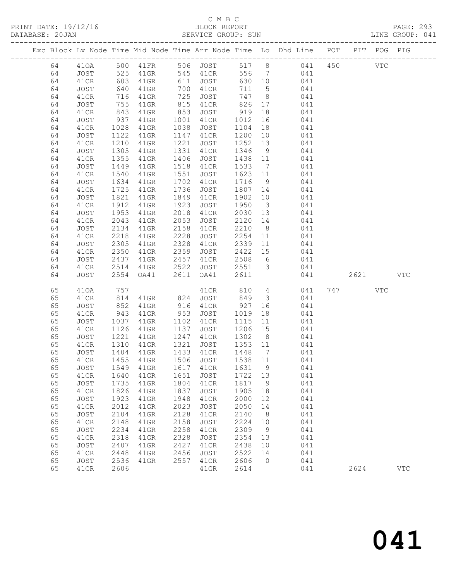### C M B C SERVICE GROUP: SUN

| PRINT DATE: 19/12/16 | BLOCK REPORT       | PAGE: 293       |
|----------------------|--------------------|-----------------|
| DATABASE: 20JAN      | SERVICE GROUP: SUN | LINE GROUP: 041 |

| TTNT |  |  |  |
|------|--|--|--|

|  |          |              |              |                                 |              |                   |                 |                         | Exc Block Lv Node Time Mid Node Time Arr Node Time Lo Dhd Line POT       |            | PIT POG PIG |              |
|--|----------|--------------|--------------|---------------------------------|--------------|-------------------|-----------------|-------------------------|--------------------------------------------------------------------------|------------|-------------|--------------|
|  | 64       |              |              |                                 |              |                   |                 |                         |                                                                          | <b>VTC</b> |             |              |
|  | 64       |              |              |                                 |              |                   | 556 7           |                         | 410A 500 41FR 506 JOST 517 8 041 450<br>JOST 525 41GR 545 41CR 556 7 041 |            |             |              |
|  | 64       | 41CR         | 603          | 41GR                            | 611          | <b>JOST</b>       | 630 10          |                         | 041                                                                      |            |             |              |
|  | 64       | JOST         | 640          | 41GR                            | 700          | 41CR              | 711             | $5\overline{)}$         | 041                                                                      |            |             |              |
|  | 64       | 41CR         | 716          | 41GR                            | 725          | JOST              | 747 8           |                         | 041                                                                      |            |             |              |
|  | 64       | JOST         | 755          | 41GR                            | 815          | 41CR              | 826             | 17                      | 041                                                                      |            |             |              |
|  | 64       | 41CR         | 843          | 41GR                            | 853          | JOST              | 919             | 18                      | 041                                                                      |            |             |              |
|  | 64       | JOST         | 937          | 41GR                            | 1001         | 41CR              | 1012            | 16                      | 041                                                                      |            |             |              |
|  | 64       | 41CR         | 1028         | 41GR                            | 1038         | JOST              | 1104            | 18                      | 041                                                                      |            |             |              |
|  | 64       | JOST         | 1122         | 41GR                            | 1147         | 41CR              | 1200            | 10                      | 041                                                                      |            |             |              |
|  | 64       | 41CR         | 1210         | 41GR                            | 1221         | JOST              | 1252            | 13                      | 041                                                                      |            |             |              |
|  | 64       | JOST         | 1305         | 41GR                            | 1331         | 41CR              | 1346            | 9                       | 041                                                                      |            |             |              |
|  | 64       | 41CR         | 1355         | 41GR                            | 1406         | JOST              | 1438            | 11                      | 041                                                                      |            |             |              |
|  | 64       | JOST         | 1449         | 41GR                            | 1518         | 41CR              | 1533            | $\overline{7}$          | 041                                                                      |            |             |              |
|  | 64       | 41CR         | 1540         | 41GR                            | 1551         | JOST              | 1623 11         |                         | 041                                                                      |            |             |              |
|  | 64       | JOST         | 1634         | 41GR                            | 1702         | 41CR              | 1716            | 9                       | 041                                                                      |            |             |              |
|  | 64       | 41CR         | 1725         | 41GR                            | 1736         | JOST              | 1807            | 14                      | 041                                                                      |            |             |              |
|  | 64       | JOST         | 1821         | 41GR                            | 1849         | 41CR              | 1902            | 10                      | 041                                                                      |            |             |              |
|  | 64       | 41CR         | 1912         | $41$ GR                         | 1923         | JOST              | 1950            | $\overline{\mathbf{3}}$ | 041                                                                      |            |             |              |
|  | 64       | JOST         | 1953         | 41GR                            | 2018         | 41CR              | 2030 13         |                         | 041                                                                      |            |             |              |
|  | 64<br>64 | 41CR         | 2043<br>2134 | $41$ GR                         | 2053<br>2158 | JOST              | 2120<br>2210    | 14<br>8 <sup>8</sup>    | 041<br>041                                                               |            |             |              |
|  | 64       | JOST<br>41CR | 2218         | 41GR<br>$41$ GR                 | 2228         | 41CR<br>JOST      | 2254            | 11                      | 041                                                                      |            |             |              |
|  | 64       | JOST         | 2305         | 41GR                            | 2328         | 41CR              | 2339            | 11                      | 041                                                                      |            |             |              |
|  | 64       | 41CR         | 2350         | 41GR                            | 2359         | JOST              | 2422            | 15                      | 041                                                                      |            |             |              |
|  | 64       | JOST         | 2437         | 41GR                            | 2457         | 41CR              | 2508            | 6                       | 041                                                                      |            |             |              |
|  | 64       | 41CR         | 2514         | 41GR                            | 2522         | JOST              | 2551            | $\overline{\mathbf{3}}$ | 041                                                                      |            |             |              |
|  | 64       | JOST         |              | 2554 OA41                       | 2611         | OA41              | 2611            |                         | 041                                                                      | 2621       |             | VTC          |
|  |          |              |              |                                 |              |                   |                 |                         |                                                                          |            |             |              |
|  | 65       | 410A         | 757          |                                 |              | 41CR              | 810             | $4\overline{4}$         | 041                                                                      | 747 VTC    |             |              |
|  | 65       | 41CR         | 814          | 41GR                            | 824          | JOST              | 849             | $\overline{\mathbf{3}}$ | 041                                                                      |            |             |              |
|  | 65       | JOST         | 852          | 41GR                            | 916          | 41CR              | 927             | 16                      | 041                                                                      |            |             |              |
|  | 65       | 41CR         | 943          | 41GR                            | 953          | JOST              | 1019            | 18                      | 041                                                                      |            |             |              |
|  | 65       | JOST         | 1037         | 41GR                            | 1102         | 41CR              | 1115            | 11                      | 041                                                                      |            |             |              |
|  | 65       | 41CR         | 1126         | 41GR                            | 1137         | JOST              | 1206            | 15                      | 041                                                                      |            |             |              |
|  | 65       | JOST         | 1221         | 41GR                            | 1247         | 41CR              | 1302            | 8 <sup>8</sup>          | 041                                                                      |            |             |              |
|  | 65<br>65 | 41CR         | 1310         | 41GR                            | 1321<br>1433 | JOST              | 1353 11<br>1448 |                         | 041<br>041                                                               |            |             |              |
|  | 65       | JOST<br>41CR | 1404<br>1455 | 41GR<br>41GR                    |              | 41CR<br>1506 JOST | 1538 11         | $\overline{7}$          | 041                                                                      |            |             |              |
|  | 65       |              |              | JOST 1549 41GR 1617 41CR 1631 9 |              |                   |                 |                         |                                                                          |            |             |              |
|  | 65       | 41CR         | 1640         | 41GR                            | 1651         | JOST              | 1722 13         |                         | 041<br>041                                                               |            |             |              |
|  | 65       | JOST         | 1735         | 41GR                            | 1804         | 41CR              | 1817            | $\overline{9}$          | 041                                                                      |            |             |              |
|  | 65       | 41CR         | 1826         | 41GR                            | 1837         | JOST              | 1905            | 18                      | 041                                                                      |            |             |              |
|  | 65       | JOST         | 1923         | $41$ GR                         | 1948         | 41CR              | 2000            | 12                      | 041                                                                      |            |             |              |
|  | 65       | 41CR         | 2012         | $41$ GR                         | 2023         | JOST              | 2050            | 14                      | 041                                                                      |            |             |              |
|  | 65       | JOST         | 2104         | $41$ GR                         | 2128         | 41CR              | 2140            | 8                       | 041                                                                      |            |             |              |
|  | 65       | 41CR         | 2148         | 41GR                            | 2158         | JOST              | 2224            | 10                      | 041                                                                      |            |             |              |
|  | 65       | JOST         | 2234         | $41$ GR                         | 2258         | 41CR              | 2309            | 9                       | 041                                                                      |            |             |              |
|  | 65       | 41CR         | 2318         | $41$ GR                         | 2328         | JOST              | 2354 13         |                         | 041                                                                      |            |             |              |
|  | 65       | JOST         | 2407         | $41$ GR                         | 2427         | 41CR              | 2438            | 10                      | 041                                                                      |            |             |              |
|  | 65       | 41CR         | 2448         | 41GR                            | 2456         | JOST              | 2522            | 14                      | 041                                                                      |            |             |              |
|  | 65       | JOST         | 2536         | $41$ GR                         | 2557         | 41CR              | 2606            | $\overline{0}$          | 041                                                                      |            |             |              |
|  | 65       | 41CR         | 2606         |                                 |              | $41$ GR           | 2614            |                         | 041                                                                      | 2624       |             | $_{\rm VTC}$ |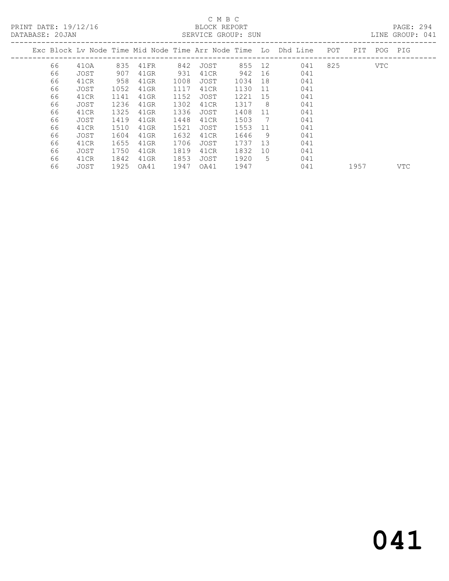PRINT DATE: 19/12/16 BLOCK REPORT PAGE: 294

## C M B C

| DATABASE: 20JAN |    |      |      |      | SERVICE GROUP: SUN |      |        |                |                                                                    |     |     |     | LINE GROUP: 041 |  |
|-----------------|----|------|------|------|--------------------|------|--------|----------------|--------------------------------------------------------------------|-----|-----|-----|-----------------|--|
|                 |    |      |      |      |                    |      |        |                | Exc Block Ly Node Time Mid Node Time Arr Node Time Lo Dhd Line POT |     | PIT |     | POG PIG         |  |
|                 | 66 | 410A | 835  | 41FR | 842                | JOST | 855 12 |                | 041                                                                | 825 |     | VTC |                 |  |
|                 | 66 | JOST | 907  | 41GR | 931                | 41CR | 942    | 16             | 041                                                                |     |     |     |                 |  |
|                 | 66 | 41CR | 958  | 41GR | 1008               | JOST | 1034   | 18             | 041                                                                |     |     |     |                 |  |
|                 | 66 | JOST | 1052 | 41GR | 1117               | 41CR | 1130   | $-11$          | 041                                                                |     |     |     |                 |  |
|                 | 66 | 41CR | 1141 | 41GR | 1152               | JOST | 1221   | 15             | 041                                                                |     |     |     |                 |  |
|                 | 66 | JOST | 1236 | 41GR | 1302               | 41CR | 1317   | - 8            | 041                                                                |     |     |     |                 |  |
|                 | 66 | 41CR | 1325 | 41GR | 1336               | JOST | 1408   | 11             | 041                                                                |     |     |     |                 |  |
|                 | 66 | JOST | 1419 | 41GR | 1448               | 41CR | 1503   | $\overline{7}$ | 041                                                                |     |     |     |                 |  |
|                 | 66 | 41CR | 1510 | 41GR | 1521               | JOST | 1553   | 11             | 041                                                                |     |     |     |                 |  |
|                 | 66 | JOST | 1604 | 41GR | 1632               | 41CR | 1646   | 9              | 041                                                                |     |     |     |                 |  |
|                 | 66 | 41CR | 1655 | 41GR | 1706               | JOST | 1737   | 13             | 041                                                                |     |     |     |                 |  |
|                 | 66 | JOST | 1750 | 41GR | 1819               | 41CR | 1832   | 10             | 041                                                                |     |     |     |                 |  |
|                 | 66 | 41CR | 1842 | 41GR | 1853               | JOST | 1920   | .5             | 041                                                                |     |     |     |                 |  |

66 JOST 1925 OA41 1947 OA41 1947 041 1957 VTC